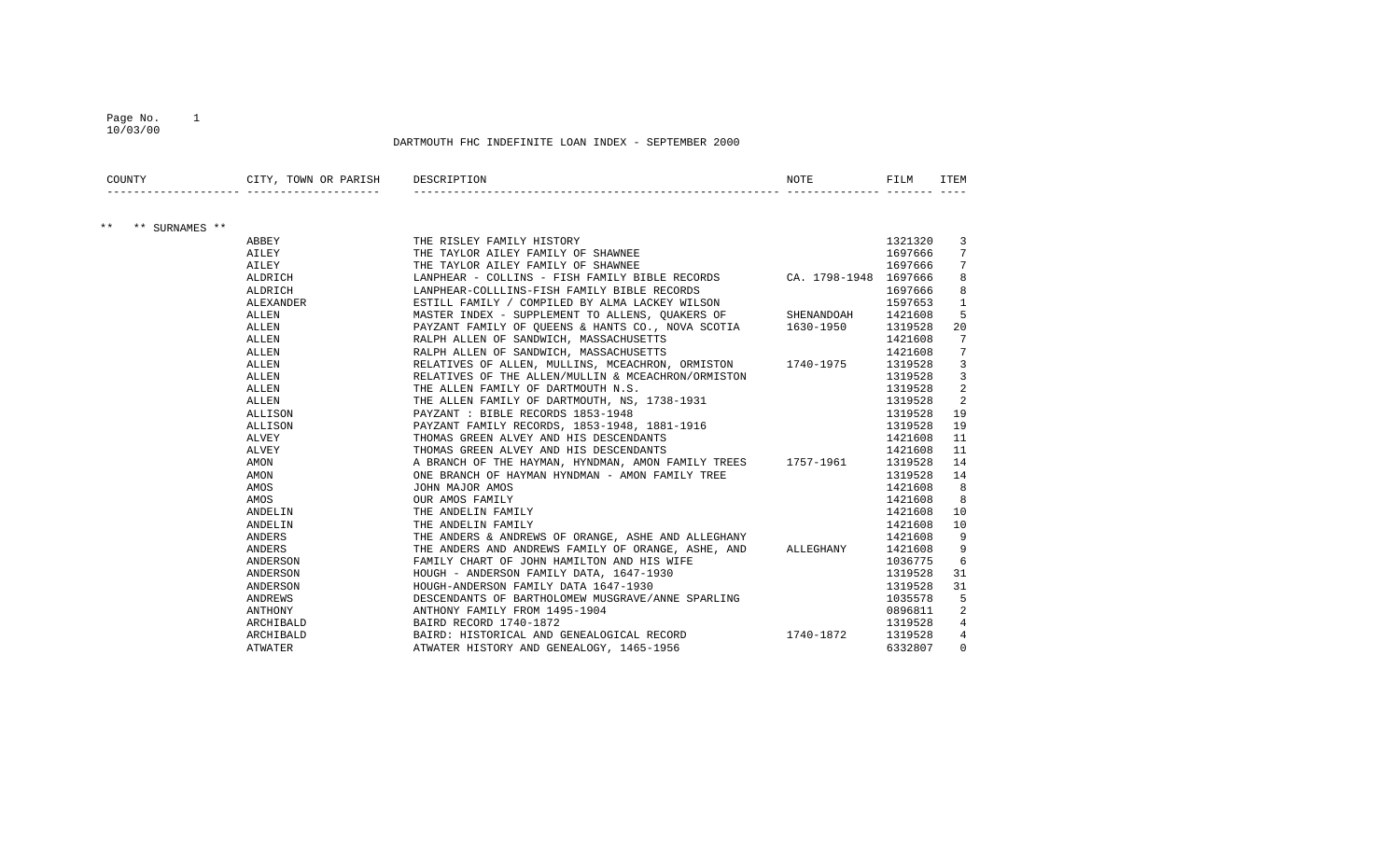#### Page No. 1 10/03/00

| COUNTY                  | CITY, TOWN OR PARISH DESCRIPTION |                                                                                   | NOTE | FILM    | <b>ITEM</b>    |
|-------------------------|----------------------------------|-----------------------------------------------------------------------------------|------|---------|----------------|
|                         |                                  |                                                                                   |      |         |                |
| $***$<br>** SURNAMES ** |                                  |                                                                                   |      |         |                |
|                         | ABBEY                            | THE RISLEY FAMILY HISTORY<br>The mant on ait my mamily of cuaninfr                |      | 1321320 | 3              |
|                         | AILEY                            | THE TAYLOR AILEY FAMILY OF SHAWNEE                                                |      | 1697666 | 7              |
|                         | AILEY                            | THE TAYLOR AILEY FAMILY OF SHAWNEE                                                |      | 1697666 | 7              |
|                         | ALDRICH                          | LANPHEAR - COLLINS - FISH FAMILY BIBLE RECORDS CA. 1798-1948 1697666              |      |         | 8              |
|                         | ALDRICH                          | LANPHEAR-COLLLINS-FISH FAMILY BIBLE RECORDS                                       |      | 1697666 | 8              |
|                         | <b>ALEXANDER</b>                 | ESTILL FAMILY / COMPILED BY ALMA LACKEY WILSON                                    |      | 1597653 | $\mathbf{1}$   |
|                         | ALLEN                            | MASTER INDEX - SUPPLEMENT TO ALLENS, QUAKERS OF SHENANDOAH                        |      | 1421608 | 5              |
|                         | ALLEN                            | PAYZANT FAMILY OF QUEENS & HANTS CO., NOVA SCOTIA 1630-1950                       |      | 1319528 | 20             |
|                         | ALLEN                            | RALPH ALLEN OF SANDWICH, MASSACHUSETTS                                            |      | 1421608 | 7              |
|                         | ALLEN                            | RALPH ALLEN OF SANDWICH, MASSACHUSETTS                                            |      | 1421608 | 7              |
|                         | ALLEN                            | RELATIVES OF ALLEN, MULLINS, MCEACHRON, ORMISTON 1740-1975                        |      | 1319528 | 3              |
|                         | ALLEN                            | RELATIVES OF THE ALLEN/MULLIN & MCEACHRON/ORMISTON                                |      | 1319528 | $\overline{3}$ |
|                         | ALLEN                            | THE ALLEN FAMILY OF DARTMOUTH N.S.                                                |      | 1319528 | $\overline{2}$ |
|                         | ALLEN                            | THE ALLEN FAMILY OF DARTMOUTH, NS, 1738-1931                                      |      | 1319528 | $\overline{2}$ |
|                         | ALLISON                          |                                                                                   |      | 1319528 | 19             |
|                         | ALLISON                          | PAYZANT : BIBLE RECORDS 1853-1948<br>PAYZANT FAMILY RECORDS, 1853-1948, 1881-1916 |      | 1319528 | 19             |
|                         | ALVEY                            | THOMAS GREEN ALVEY AND HIS DESCENDANTS                                            |      | 1421608 | 11             |
|                         | ALVEY                            | THOMAS GREEN ALVEY AND HIS DESCENDANTS                                            |      | 1421608 | 11             |
|                         | AMON                             | A BRANCH OF THE HAYMAN, HYNDMAN, AMON FAMILY TREES 1757-1961                      |      | 1319528 | 14             |
|                         | AMON                             | ONE BRANCH OF HAYMAN HYNDMAN - AMON FAMILY TREE                                   |      | 1319528 | 14             |
|                         | AMOS                             | JOHN MAJOR AMOS                                                                   |      | 1421608 | 8              |
|                         | AMOS                             | OUR AMOS FAMILY                                                                   |      | 1421608 | 8              |
|                         | ANDELIN                          | THE ANDELIN FAMILY                                                                |      | 1421608 | 10             |
|                         | ANDELIN                          | THE ANDELIN FAMILY                                                                |      | 1421608 | 10             |
|                         | ANDERS                           | THE ANDERS & ANDREWS OF ORANGE, ASHE AND ALLEGHANY                                |      | 1421608 | 9              |
|                         | ANDERS                           | THE ANDERS AND ANDREWS FAMILY OF ORANGE, ASHE, AND ALLEGHANY                      |      | 1421608 | 9              |
|                         | ANDERSON                         | FAMILY CHART OF JOHN HAMILTON AND HIS WIFE                                        |      | 1036775 | 6              |
|                         | ANDERSON                         | HOUGH - ANDERSON FAMILY DATA, 1647-1930<br>HOUGH-ANDERSON FAMILY DATA 1647-1930   |      | 1319528 | 31             |
|                         | ANDERSON                         | HOUGH-ANDERSON FAMILY DATA 1647-1930                                              |      | 1319528 | 31             |
|                         | ANDREWS                          | DESCENDANTS OF BARTHOLOMEW MUSGRAVE/ANNE SPARLING                                 |      | 1035578 | 5              |
|                         | <b>ANTHONY</b>                   | ANTHONY FAMILY FROM 1495-1904                                                     |      | 0896811 | 2              |
|                         | ARCHIBALD                        | BAIRD RECORD 1740-1872                                                            |      | 1319528 | $\overline{4}$ |
|                         | ARCHIBALD                        | BAIRD: HISTORICAL AND GENEALOGICAL RECORD 1740-1872                               |      | 1319528 | $\overline{4}$ |
|                         | ATWATER                          | ATWATER HISTORY AND GENEALOGY, 1465-1956                                          |      | 6332807 | $\Omega$       |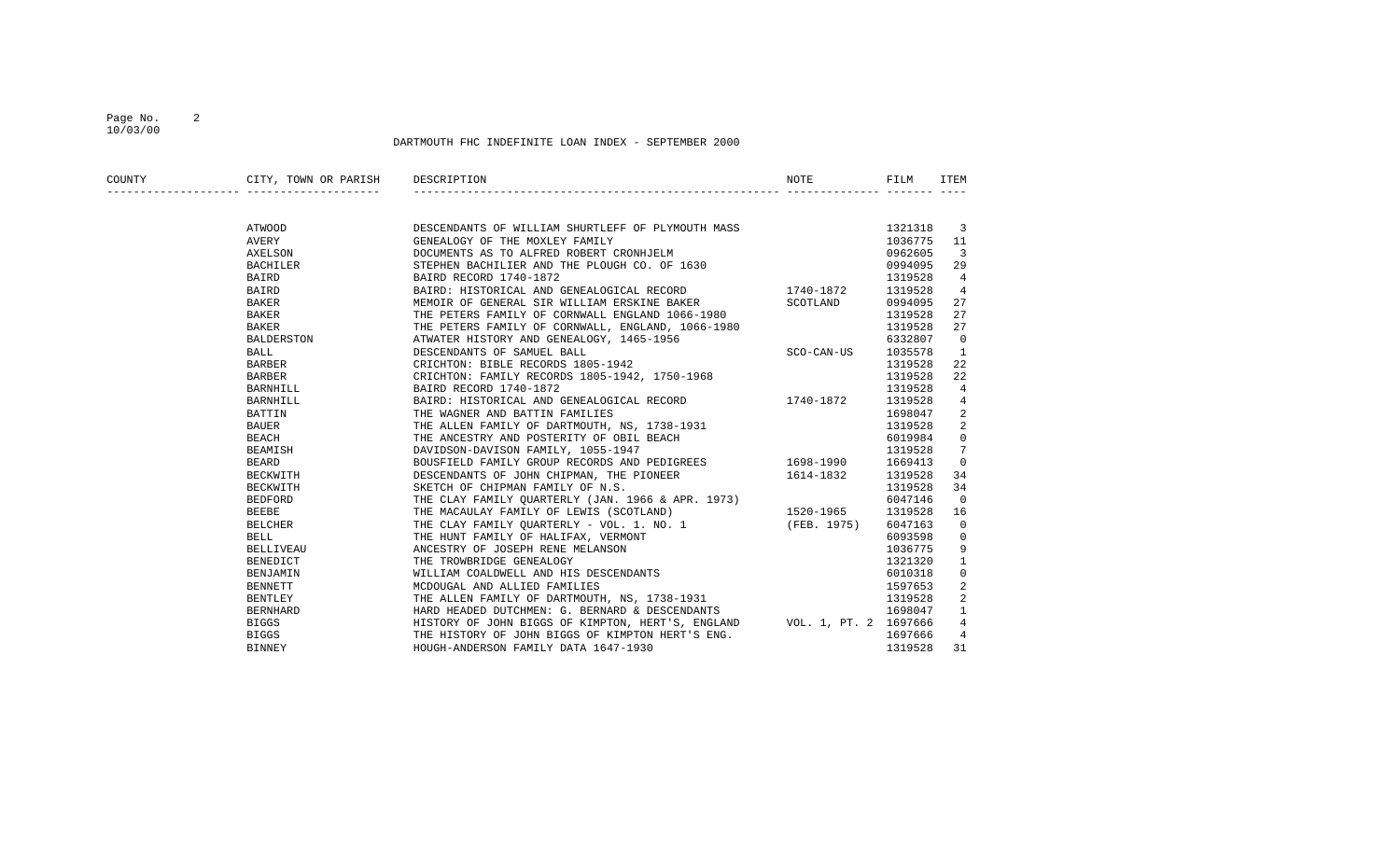## Page No. 2 10/03/00

| COUNTY | CITY, TOWN OR PARISH DESCRIPTION |                                                                                                                                                                                | NOTE     | FILM    | ITEM           |
|--------|----------------------------------|--------------------------------------------------------------------------------------------------------------------------------------------------------------------------------|----------|---------|----------------|
|        |                                  |                                                                                                                                                                                |          |         |                |
|        | ATWOOD                           | DESCENDANTS OF WILLIAM SHURTLEFF OF PLYMOUTH MASS                                                                                                                              |          | 1321318 | 3              |
|        | AVERY                            |                                                                                                                                                                                |          | 1036775 | 11             |
|        | AXELSON                          | GENEALOGY OF THE MOXLEY FAMILY<br>DOCUMENTS AS TO ALFRED ROBERT CRONHJELM<br>STEPHEN BACHILIER AND THE PLOUGH CO. OF 1630                                                      |          | 0962605 | 3              |
|        | BACHILER                         |                                                                                                                                                                                |          | 0994095 | 29             |
|        | <b>BAIRD</b>                     | BAIRD RECORD 1740-1872                                                                                                                                                         |          | 1319528 | $\overline{4}$ |
|        | BAIRD                            | BAIRD: HISTORICAL AND GENEALOGICAL RECORD 1740-1872                                                                                                                            |          | 1319528 | 4              |
|        | BAKER                            | MEMOIR OF GENERAL SIR WILLIAM ERSKINE BAKER                                                                                                                                    | SCOTLAND | 0994095 | 27             |
|        | BAKER                            | THE PETERS FAMILY OF CORNWALL ENGLAND 1066-1980                                                                                                                                |          | 1319528 | 27             |
|        | <b>BAKER</b>                     | THE PETERS FAMILY OF CORNWALL, ENGLAND, 1000 1200<br>ATWATER HISTORY AND GENEALOGY, 1465-1956<br>ATWATER HISTORY AND GENEALOGY, 1465-1956                                      |          | 1319528 | 27             |
|        | <b>BALDERSTON</b>                |                                                                                                                                                                                |          | 6332807 | $\Omega$       |
|        | BALL                             |                                                                                                                                                                                |          | 1035578 | 1              |
|        | BARBER                           | CRICHTON: BIBLE RECORDS 1805-1942                                                                                                                                              |          | 1319528 | 22             |
|        | BARBER                           | CRICHTON: FAMILY RECORDS 1805-1942, 1750-1968                                                                                                                                  |          | 1319528 | 22             |
|        | BARNHILL                         | BAIRD RECORD 1740-1872                                                                                                                                                         |          | 1319528 | $\overline{4}$ |
|        | BARNHILL                         | BAIRD: HISTORICAL AND GENEALOGICAL RECORD 1740-1872 1319528                                                                                                                    |          |         | 4              |
|        | BATTIN                           | THE WAGNER AND BATTIN FAMILIES                                                                                                                                                 |          | 1698047 | 2              |
|        | BAUER                            |                                                                                                                                                                                |          | 1319528 |                |
|        | BEACH                            |                                                                                                                                                                                |          | 6019984 | $\Omega$       |
|        | BEAMISH                          | THE ALLEN FAMILY OF DARTMOUTH, NS, 1738-1931<br>THE ALLEN FAMILY OF DARTMOUTH, NS, 1738-1931<br>THE ANCESTRY AND POSTERITY OF OBIL BEACH<br>DAVIDSON-DAVISON FAMILY, 1055-1947 |          | 1319528 | 7              |
|        | BEARD                            | BOUSFIELD FAMILY GROUP RECORDS AND PEDIGREES 1698-1990 1669413                                                                                                                 |          |         | $\Omega$       |
|        | BECKWITH                         | DESCENDANTS OF JOHN CHIPMAN, THE PIONEER 1614-1832 1319528                                                                                                                     |          |         | 34             |
|        | BECKWITH                         | SKETCH OF CHIPMAN FAMILY OF N.S.                                                                                                                                               |          | 1319528 | 34             |
|        | BEDFORD                          | THE CLAY FAMILY QUARTERLY (JAN. 1966 & APR. 1973)                                                                                                                              |          | 6047146 | $\Omega$       |
|        | <b>BEEBE</b>                     |                                                                                                                                                                                |          |         | 16             |
|        | BELCHER                          | THE MACAULAY FAMILY OF LEWIS (SCOTLAND) 1520-1965 1319528<br>THE CLAY FAMILY QUARTERLY - VOL. 1. NO. 1 (FEB. 1975) 6047163<br>THE HUNT FAMILY OF HALIFAX, VERMONT 6093598      |          |         | $\Omega$       |
|        | <b>BELL</b>                      |                                                                                                                                                                                |          |         | $\Omega$       |
|        | BELLIVEAU                        |                                                                                                                                                                                |          | 1036775 | 9              |
|        | BENEDICT                         |                                                                                                                                                                                |          | 1321320 |                |
|        | BENJAMIN                         | THE HUNT FAMILY OF HALIFAA, VERTION<br>ANCESTRY OF JOSEPH RENE MELANSON<br>THE TROWBRIDGE GENEALOGY<br>WILLIAM COALDWELL AND HIS DESCENDANTS                                   |          | 6010318 | 0              |
|        | BENNETT                          |                                                                                                                                                                                |          | 1597653 |                |
|        | <b>BENTLEY</b>                   | THE ALLEN FAMILY OF DARTMOUTH, NS, 1738-1931                                                                                                                                   |          | 1319528 | $\overline{2}$ |
|        | BERNHARD                         | HARD HEADED DUTCHMEN: G. BERNARD & DESCENDANTS                                                                                                                                 |          | 1698047 | $\mathbf{1}$   |
|        | BIGGS                            | HISTORY OF JOHN BIGGS OF KIMPTON, HERT'S, ENGLAND VOL. 1, PT. 2 1697666                                                                                                        |          |         |                |
|        | BIGGS                            | THE HISTORY OF JOHN BIGGS OF KIMPTON HERT'S ENG.                                                                                                                               |          | 1697666 | 4              |
|        | <b>BINNEY</b>                    | HOUGH-ANDERSON FAMILY DATA 1647-1930                                                                                                                                           |          | 1319528 | 31             |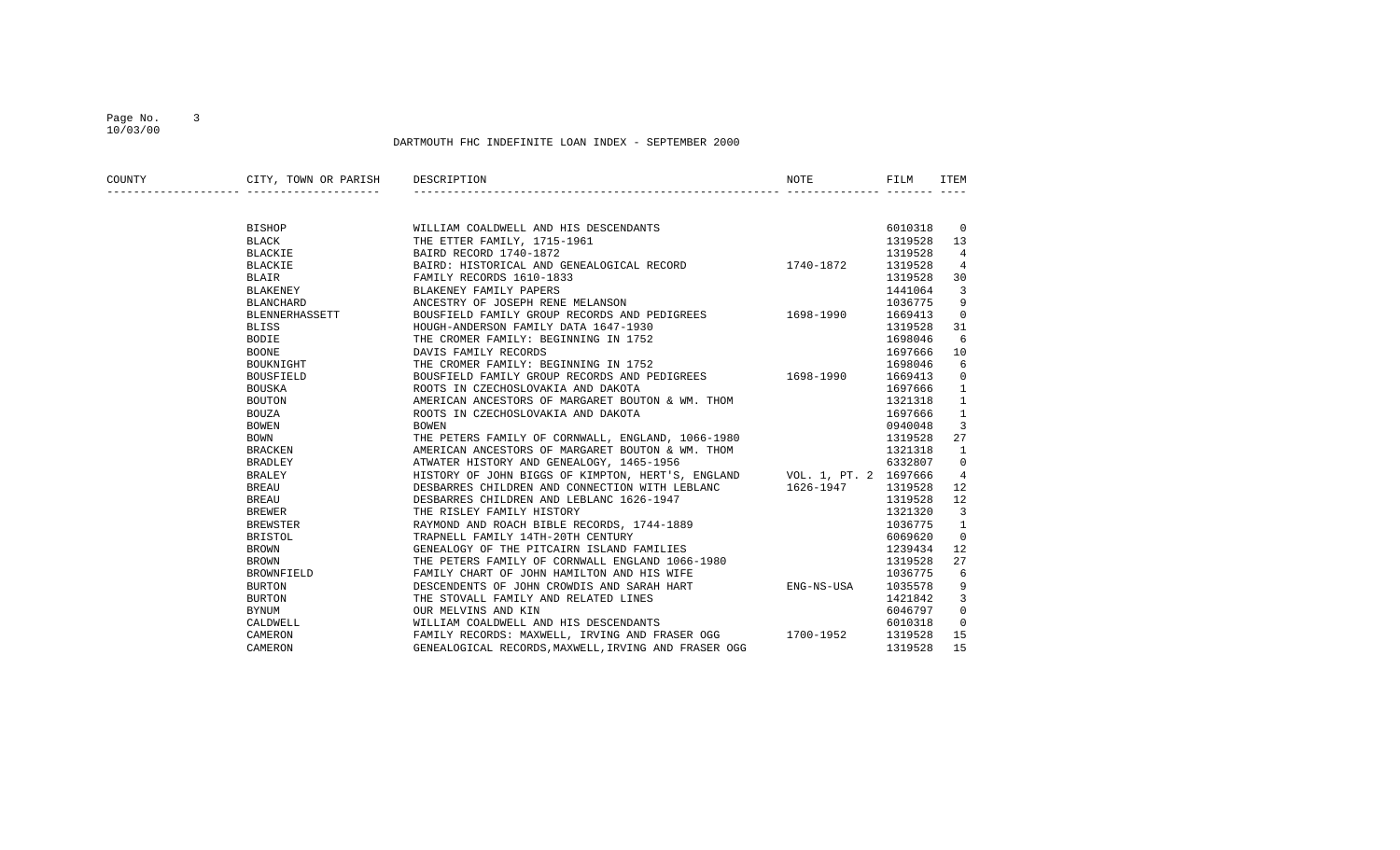## Page No. 3 10/03/00

| COUNTY | CITY, TOWN OR PARISH | DESCRIPTION                                                             | NOTE       | FILM    | ITEM                     |
|--------|----------------------|-------------------------------------------------------------------------|------------|---------|--------------------------|
|        |                      |                                                                         |            |         |                          |
|        | BISHOP               | WILLIAM COALDWELL AND HIS DESCENDANTS                                   |            | 6010318 | $\overline{\phantom{0}}$ |
|        | <b>BLACK</b>         | THE ETTER FAMILY, 1715-1961                                             |            | 1319528 | 13                       |
|        | BLACKIE              | BAIRD RECORD 1740-1872                                                  |            | 1319528 | $\overline{4}$           |
|        | BLACKIE              | BAIRD: HISTORICAL AND GENEALOGICAL RECORD                               | 1740-1872  | 1319528 | 4                        |
|        | BLAIR                | FAMILY RECORDS 1610-1833                                                |            | 1319528 | 30                       |
|        | BLAKENEY             | BLAKENEY FAMILY PAPERS                                                  |            | 1441064 | 3                        |
|        | BLANCHARD            | ANCESTRY OF JOSEPH RENE MELANSON                                        |            | 1036775 | 9                        |
|        | BLENNERHASSETT       | BOUSFIELD FAMILY GROUP RECORDS AND PEDIGREES 1698-1990                  |            | 1669413 | 0                        |
|        | <b>BLISS</b>         | HOUGH-ANDERSON FAMILY DATA 1647-1930                                    |            | 1319528 | 31                       |
|        | BODIE                | THE CROMER FAMILY: BEGINNING IN 1752                                    |            | 1698046 | 6                        |
|        | <b>BOONE</b>         | DAVIS FAMILY RECORDS                                                    |            | 1697666 | 10                       |
|        | BOUKNIGHT            | THE CROMER FAMILY: BEGINNING IN 1752                                    |            | 1698046 | 6                        |
|        | BOUSFIELD            | BOUSFIELD FAMILY GROUP RECORDS AND PEDIGREES 1698-1990                  |            | 1669413 | $\mathbf 0$              |
|        | BOUSKA               | ROOTS IN CZECHOSLOVAKIA AND DAKOTA                                      |            | 1697666 | $\mathbf{1}$             |
|        | BOUTON               | AMERICAN ANCESTORS OF MARGARET BOUTON & WM. THOM                        |            | 1321318 | $\mathbf{1}$             |
|        | BOUZA                | ROOTS IN CZECHOSLOVAKIA AND DAKOTA                                      |            | 1697666 | $\mathbf{1}$             |
|        | BOWEN                | <b>BOWEN</b>                                                            |            | 0940048 | 3                        |
|        | BOWN                 | THE PETERS FAMILY OF CORNWALL, ENGLAND, 1066-1980                       |            | 1319528 | 27                       |
|        | <b>BRACKEN</b>       | AMERICAN ANCESTORS OF MARGARET BOUTON & WM. THOM                        |            | 1321318 | 1                        |
|        | BRADLEY              | ATWATER HISTORY AND GENEALOGY, 1465-1956                                |            | 6332807 | $\mathbf{0}$             |
|        | BRALEY               | HISTORY OF JOHN BIGGS OF KIMPTON, HERT'S, ENGLAND VOL. 1, PT. 2 1697666 |            |         | 4                        |
|        | BREAU                | DESBARRES CHILDREN AND CONNECTION WITH LEBLANC 1626-1947                |            | 1319528 | 12                       |
|        | BREAU                | DESBARRES CHILDREN AND LEBLANC 1626-1947                                |            | 1319528 | 12                       |
|        | <b>BREWER</b>        | THE RISLEY FAMILY HISTORY                                               |            | 1321320 | 3                        |
|        | <b>BREWSTER</b>      | RAYMOND AND ROACH BIBLE RECORDS, 1744-1889                              |            | 1036775 | 1                        |
|        | BRISTOL              | TRAPNELL FAMILY 14TH-20TH CENTURY                                       |            | 6069620 | $\mathbf 0$              |
|        | BROWN                | GENEALOGY OF THE PITCAIRN ISLAND FAMILIES                               |            | 1239434 | 12                       |
|        | <b>BROWN</b>         | THE PETERS FAMILY OF CORNWALL ENGLAND 1066-1980                         |            | 1319528 | 27                       |
|        | BROWNFIELD           | FAMILY CHART OF JOHN HAMILTON AND HIS WIFE                              |            | 1036775 | 6                        |
|        | BURTON               | DESCENDENTS OF JOHN CROWDIS AND SARAH HART                              | ENG-NS-USA | 1035578 | 9                        |
|        | BURTON               | THE STOVALL FAMILY AND RELATED LINES                                    |            | 1421842 | 3                        |
|        | BYNUM                | OUR MELVINS AND KIN                                                     |            | 6046797 | $\mathbf{0}$             |
|        | CALDWELL             | WILLIAM COALDWELL AND HIS DESCENDANTS                                   |            | 6010318 | $\mathbf 0$              |
|        | CAMERON              | FAMILY RECORDS: MAXWELL, IRVING AND FRASER OGG 1700-1952                |            | 1319528 | 15                       |
|        | CAMERON              | GENEALOGICAL RECORDS, MAXWELL, IRVING AND FRASER OGG                    |            | 1319528 | 15                       |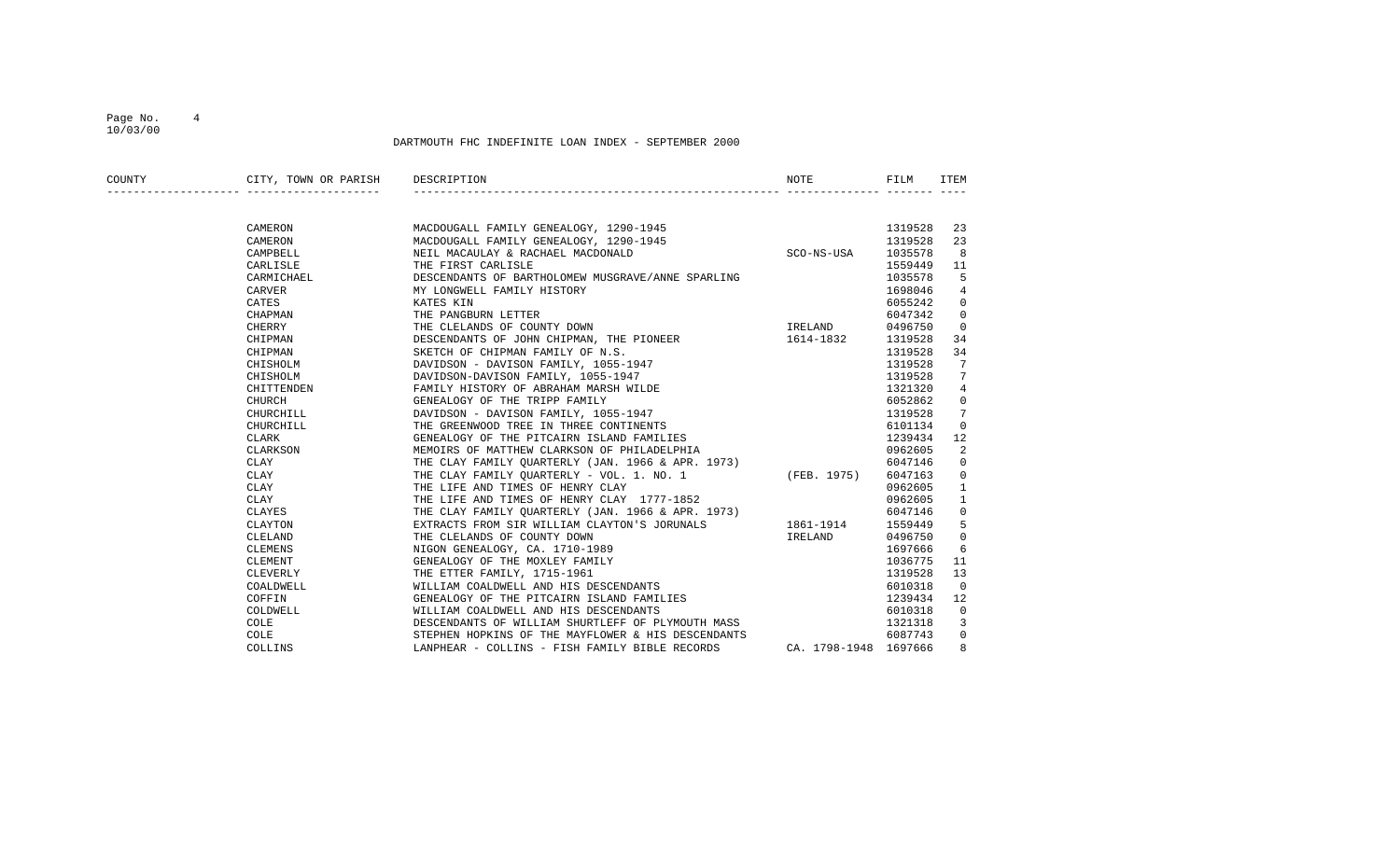## Page No. 4 10/03/00

| COUNTY | CITY, TOWN OR PARISH | DESCRIPTION                                                                      | NOTE                  | FILM    | ITEM           |
|--------|----------------------|----------------------------------------------------------------------------------|-----------------------|---------|----------------|
|        |                      |                                                                                  |                       |         |                |
|        | CAMERON              | MACDOUGALL FAMILY GENEALOGY, 1290-1945<br>MACDOUGALL FAMILY GENEALOGY, 1290-1945 |                       | 1319528 | 23             |
|        | CAMERON              |                                                                                  |                       | 1319528 | 23             |
|        | CAMPBELL             | NEIL MACAULAY & RACHAEL MACDONALD                                                | SCO-NS-USA            | 1035578 | 8              |
|        | CARLISLE             | THE FIRST CARLISLE                                                               |                       | 1559449 | 11             |
|        | CARMICHAEL           | DESCENDANTS OF BARTHOLOMEW MUSGRAVE/ANNE SPARLING                                |                       | 1035578 | -5             |
|        | CARVER               | MY LONGWELL FAMILY HISTORY                                                       |                       | 1698046 | 4              |
|        | CATES                | KATES KIN                                                                        |                       | 6055242 | 0              |
|        | CHAPMAN              | THE PANGBURN LETTER                                                              |                       | 6047342 | 0              |
|        | CHERRY               | THE CLELANDS OF COUNTY DOWN                                                      | <b>IRELAND</b>        | 0496750 | $\overline{0}$ |
|        | CHIPMAN              | DESCENDANTS OF JOHN CHIPMAN, THE PIONEER                                         | 1614-1832             | 1319528 | 34             |
|        | CHIPMAN              | SKETCH OF CHIPMAN FAMILY OF N.S.                                                 |                       | 1319528 | 34             |
|        | CHISHOLM             | DAVIDSON - DAVISON FAMILY, 1055-1947                                             |                       | 1319528 | 7              |
|        | CHISHOLM             | DAVIDSON-DAVISON FAMILY, 1055-1947                                               |                       | 1319528 | 7              |
|        | CHITTENDEN           | FAMILY HISTORY OF ABRAHAM MARSH WILDE                                            |                       | 1321320 | 4              |
|        | CHURCH               | GENEALOGY OF THE TRIPP FAMILY                                                    |                       | 6052862 | 0              |
|        | CHURCHILL            | DAVIDSON - DAVISON FAMILY, 1055-1947                                             |                       | 1319528 | 7              |
|        | CHURCHILL            | THE GREENWOOD TREE IN THREE CONTINENTS                                           |                       | 6101134 | 0              |
|        | CLARK                | GENEALOGY OF THE PITCAIRN ISLAND FAMILIES                                        |                       | 1239434 | 12             |
|        | CLARKSON             | MEMOIRS OF MATTHEW CLARKSON OF PHILADELPHIA                                      |                       | 0962605 | 2              |
|        | CLAY                 | THE CLAY FAMILY QUARTERLY (JAN. 1966 & APR. 1973)                                |                       | 6047146 | $\mathbf{0}$   |
|        | CLAY                 | THE CLAY FAMILY QUARTERLY - VOL. 1. NO. 1 (FEB. 1975)                            |                       | 6047163 | 0              |
|        | CLAY                 | THE LIFE AND TIMES OF HENRY CLAY                                                 |                       | 0962605 | 1              |
|        | CLAY                 | THE LIFE AND TIMES OF HENRY CLAY 1777-1852                                       |                       | 0962605 | $\mathbf{1}$   |
|        | CLAYES               | THE CLAY FAMILY OUARTERLY (JAN. 1966 & APR. 1973)                                |                       | 6047146 | 0              |
|        | CLAYTON              | EXTRACTS FROM SIR WILLIAM CLAYTON'S JORUNALS                                     | 1861-1914             | 1559449 | 5              |
|        | CLELAND              | THE CLELANDS OF COUNTY DOWN                                                      | IRELAND               | 0496750 | 0              |
|        | CLEMENS              | NIGON GENEALOGY, CA. 1710-1989                                                   |                       | 1697666 | 6              |
|        | CLEMENT              | GENEALOGY OF THE MOXLEY FAMILY                                                   |                       | 1036775 | 11             |
|        | CLEVERLY             |                                                                                  |                       | 1319528 | 13             |
|        | COALDWELL            | THE ETTER FAMILY, 1715-1961<br>WILLIAM COALDWELL AND HIS DESCENDANTS             |                       | 6010318 | 0              |
|        | COFFIN               | GENEALOGY OF THE PITCAIRN ISLAND FAMILIES                                        |                       | 1239434 | 12             |
|        | COLDWELL             | WILLIAM COALDWELL AND HIS DESCENDANTS                                            |                       | 6010318 | 0              |
|        | COLE                 | DESCENDANTS OF WILLIAM SHURTLEFF OF PLYMOUTH MASS                                |                       | 1321318 | 3              |
|        | <b>COLE</b>          | STEPHEN HOPKINS OF THE MAYFLOWER & HIS DESCENDANTS                               |                       | 6087743 | 0              |
|        | COLLINS              | LANPHEAR - COLLINS - FISH FAMILY BIBLE RECORDS                                   | CA. 1798-1948 1697666 |         | 8              |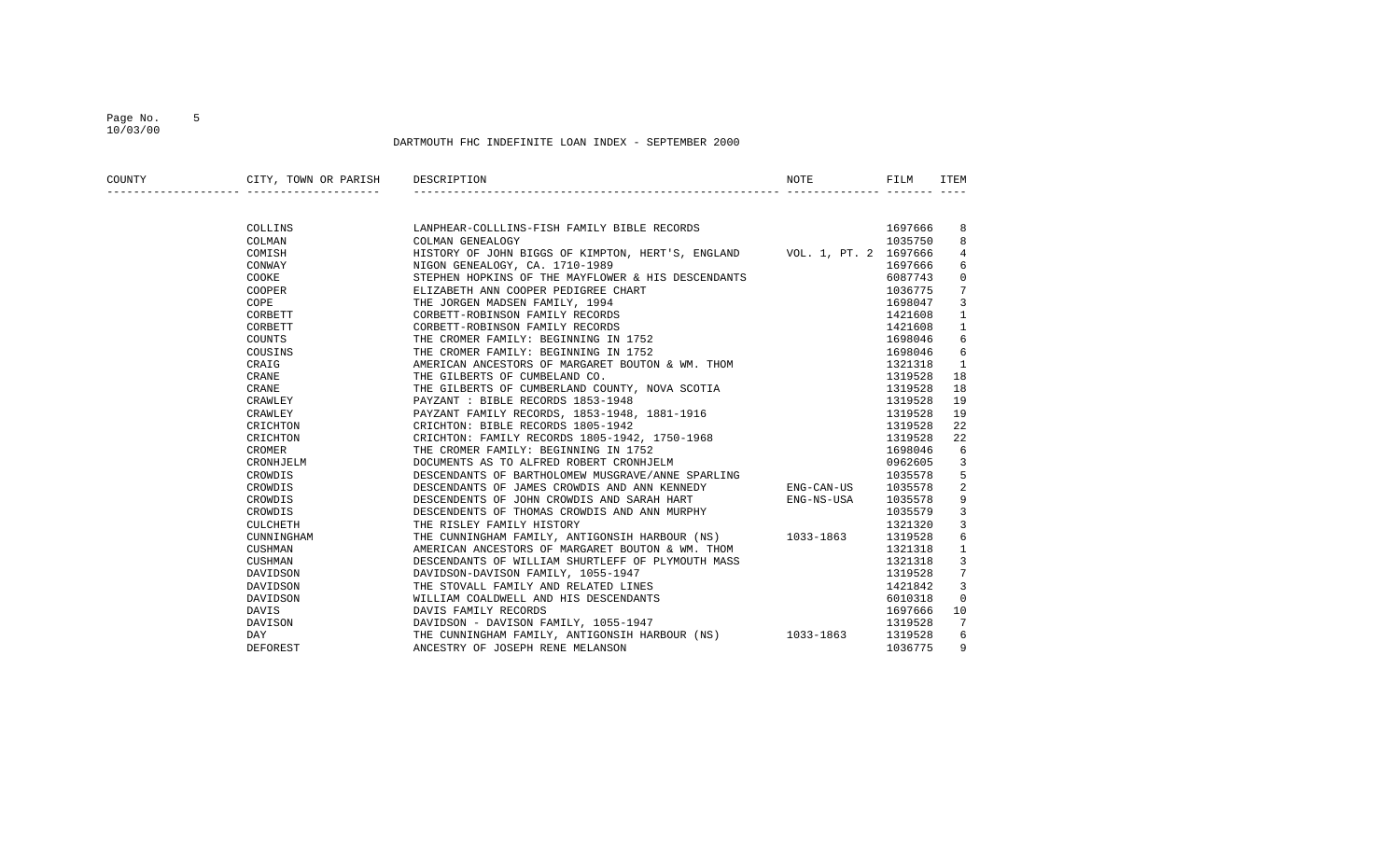## Page No. 5 10/03/00

| COUNTY | CITY, TOWN OR PARISH DESCRIPTION |                                                                                   | NOTE       | FILM    | ITEM         |
|--------|----------------------------------|-----------------------------------------------------------------------------------|------------|---------|--------------|
|        |                                  |                                                                                   |            |         |              |
|        | COLLINS                          | LANPHEAR-COLLLINS-FISH FAMILY BIBLE RECORDS                                       |            | 1697666 | 8            |
|        | COLMAN                           | COLMAN GENEALOGY                                                                  |            | 1035750 | 8            |
|        | COMISH                           | HISTORY OF JOHN BIGGS OF KIMPTON, HERT'S, ENGLAND VOL. 1, PT. 2 1697666           |            |         | 4            |
|        | CONWAY                           | NIGON GENEALOGY, CA. 1710-1989                                                    |            | 1697666 | 6            |
|        | COOKE                            | STEPHEN HOPKINS OF THE MAYFLOWER & HIS DESCENDANTS                                |            | 6087743 | $\mathbf 0$  |
|        | COOPER                           | ELIZABETH ANN COOPER PEDIGREE CHART                                               |            | 1036775 | 7            |
|        | COPE                             | THE JORGEN MADSEN FAMILY, 1994                                                    |            | 1698047 | 3            |
|        | CORBETT                          | CORBETT-ROBINSON FAMILY RECORDS                                                   |            | 1421608 | $\mathbf{1}$ |
|        | CORBETT                          | CORBETT-ROBINSON FAMILY RECORDS                                                   |            | 1421608 | 1            |
|        | COUNTS                           | THE CROMER FAMILY: BEGINNING IN 1752                                              |            | 1698046 | 6            |
|        | COUSINS                          | THE CROMER FAMILY: BEGINNING IN 1752                                              |            | 1698046 | 6            |
|        | CRAIG                            | AMERICAN ANCESTORS OF MARGARET BOUTON & WM. THOM                                  |            | 1321318 | 1            |
|        | CRANE                            | THE GILBERTS OF CUMBELAND CO.                                                     |            | 1319528 | 18           |
|        | CRANE                            | THE GILBERTS OF CUMBERLAND COUNTY, NOVA SCOTIA                                    |            | 1319528 | 18           |
|        | CRAWLEY                          |                                                                                   |            | 1319528 | 19           |
|        | CRAWLEY                          | PAYZANT : BIBLE RECORDS 1853-1948<br>PAYZANT FAMILY RECORDS, 1853-1948, 1881-1916 |            | 1319528 | 19           |
|        | CRICHTON                         | CRICHTON: BIBLE RECORDS 1805-1942                                                 |            | 1319528 | 22           |
|        | CRICHTON                         | CRICHTON: FAMILY RECORDS 1805-1942, 1750-1968                                     |            | 1319528 | 22           |
|        | CROMER                           | THE CROMER FAMILY: BEGINNING IN 1752                                              |            | 1698046 | 6            |
|        | CRONHJELM                        | DOCUMENTS AS TO ALFRED ROBERT CRONHJELM                                           |            | 0962605 | 3            |
|        | CROWDIS                          | DESCENDANTS OF BARTHOLOMEW MUSGRAVE/ANNE SPARLING                                 |            | 1035578 | 5            |
|        | CROWDIS                          | DESCENDANTS OF JAMES CROWDIS AND ANN KENNEDY                                      | ENG-CAN-US | 1035578 | 2            |
|        | CROWDIS                          | DESCENDENTS OF JOHN CROWDIS AND SARAH HART                                        | ENG-NS-USA | 1035578 | 9            |
|        | CROWDIS                          | DESCENDENTS OF THOMAS CROWDIS AND ANN MURPHY                                      |            | 1035579 | 3            |
|        | CULCHETH                         | THE RISLEY FAMILY HISTORY                                                         |            | 1321320 | 3            |
|        | CUNNINGHAM                       | THE CUNNINGHAM FAMILY, ANTIGONSIH HARBOUR (NS) 1033-1863                          |            | 1319528 | 6            |
|        | CUSHMAN                          | AMERICAN ANCESTORS OF MARGARET BOUTON & WM. THOM                                  |            | 1321318 | $\mathbf{1}$ |
|        | CUSHMAN                          | DESCENDANTS OF WILLIAM SHURTLEFF OF PLYMOUTH MASS                                 |            | 1321318 | 3            |
|        | DAVIDSON                         | DAVIDSON-DAVISON FAMILY, 1055-1947                                                |            | 1319528 | 7            |
|        | DAVIDSON                         | THE STOVALL FAMILY AND RELATED LINES                                              |            | 1421842 | 3            |
|        | DAVIDSON                         | WILLIAM COALDWELL AND HIS DESCENDANTS                                             |            | 6010318 | 0            |
|        | DAVIS                            | DAVIS FAMILY RECORDS                                                              |            | 1697666 | 10           |
|        | DAVISON                          | DAVIDSON - DAVISON FAMILY, 1055-1947                                              |            | 1319528 | 7            |
|        | DAY                              | THE CUNNINGHAM FAMILY, ANTIGONSIH HARBOUR (NS) 1033-1863                          |            | 1319528 | 6            |
|        | DEFOREST                         | ANCESTRY OF JOSEPH RENE MELANSON                                                  |            | 1036775 | 9            |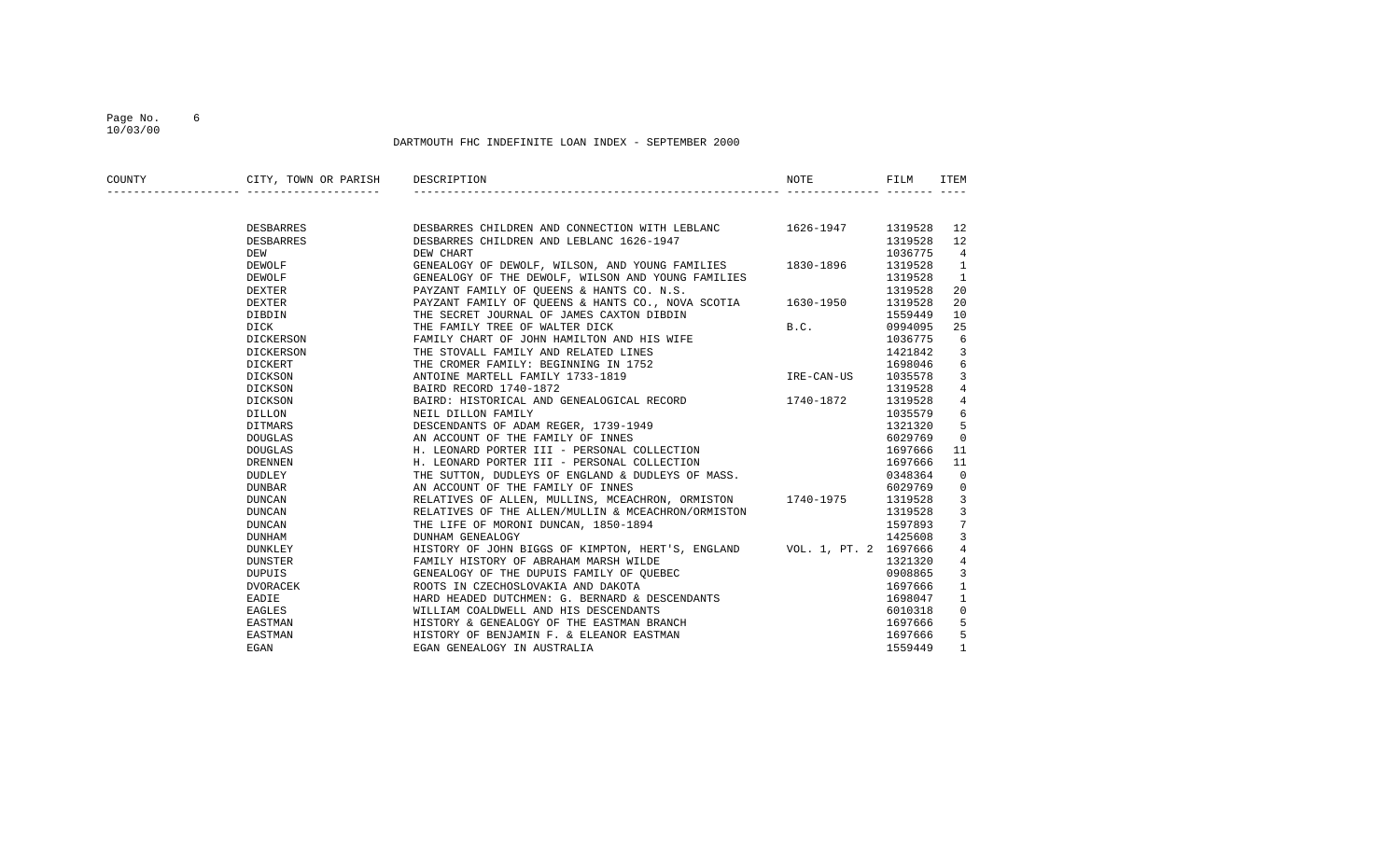## Page No. 6 10/03/00

| COUNTY | CITY, TOWN OR PARISH DESCRIPTION |                                                                                                                      | NOTE       | FILM    | ITEM           |
|--------|----------------------------------|----------------------------------------------------------------------------------------------------------------------|------------|---------|----------------|
|        |                                  |                                                                                                                      |            |         |                |
|        | DESBARRES                        | DESBARRES CHILDREN AND CONNECTION WITH LEBLANC 1626-1947 1319528                                                     |            |         | 12             |
|        | DESBARRES                        | DESBARRES CHILDREN AND LEBLANC 1626-1947                                                                             |            | 1319528 | 12             |
|        | DEW                              | DEW CHART                                                                                                            |            | 1036775 | $\overline{4}$ |
|        | DEWOLF                           | GENEALOGY OF DEWOLF, WILSON, AND YOUNG FAMILIES 1830-1896                                                            |            | 1319528 | <sup>1</sup>   |
|        | DEWOLF                           | GENEALOGY OF THE DEWOLF, WILSON AND YOUNG FAMILIES                                                                   |            | 1319528 | $\mathbf{1}$   |
|        | DEXTER                           | PAYZANT FAMILY OF QUEENS & HANTS CO. N.S.                                                                            |            | 1319528 | 20             |
|        | DEXTER                           | PAYZANT FAMILY OF QUEENS & HANTS CO., NOVA SCOTIA 1630-1950                                                          |            | 1319528 | 20             |
|        | DIBDIN                           | THE SECRET JOURNAL OF JAMES CAXTON DIBDIN                                                                            |            | 1559449 | 10             |
|        | DICK                             | THE FAMILY TREE OF WALTER DICK                                                                                       | B.C.       | 0994095 | 25             |
|        | DICKERSON                        | FAMILY CHART OF JOHN HAMILTON AND HIS WIFE                                                                           |            | 1036775 | 6              |
|        | DICKERSON                        | THE STOVALL FAMILY AND RELATED LINES                                                                                 |            | 1421842 | 3              |
|        | DICKERT                          | THE CROMER FAMILY: BEGINNING IN 1752                                                                                 |            | 1698046 | 6              |
|        | DICKSON                          | ANTOINE MARTELL FAMILY 1733-1819                                                                                     | IRE-CAN-US | 1035578 | 3              |
|        | DICKSON                          | BAIRD RECORD 1740-1872                                                                                               |            | 1319528 | $\overline{4}$ |
|        | DICKSON                          | BAIRD: HISTORICAL AND GENEALOGICAL RECORD 1740-1872                                                                  |            | 1319528 | $\overline{4}$ |
|        | DILLON                           | NEIL DILLON FAMILY                                                                                                   |            | 1035579 | 6              |
|        | DITMARS                          | DESCENDANTS OF ADAM REGER, 1739-1949                                                                                 |            | 1321320 | 5              |
|        | DOUGLAS                          | AN ACCOUNT OF THE FAMILY OF INNES                                                                                    |            | 6029769 | $\overline{0}$ |
|        | DOUGLAS                          | H. LEONARD PORTER III - PERSONAL COLLECTION                                                                          |            | 1697666 | 11             |
|        | DRENNEN                          | H. LEONARD PORTER III - PERSONAL COLLECTION                                                                          |            | 1697666 | 11             |
|        | DUDLEY                           | THE SUTTON, DUDLEYS OF ENGLAND & DUDLEYS OF MASS.                                                                    |            | 0348364 | $\Omega$       |
|        | DUNBAR                           | AN ACCOUNT OF THE FAMILY OF INNES                                                                                    |            | 6029769 | 0              |
|        | DUNCAN                           | RELATIVES OF ALLEN, MULLINS, MCEACHRON, ORMISTON 1740-1975                                                           |            | 1319528 | 3              |
|        | DUNCAN                           | RELATIVES OF THE ALLEN/MULLIN & MCEACHRON/ORMISTON                                                                   |            | 1319528 | 3              |
|        | DUNCAN                           | THE LIFE OF MORONI DUNCAN, 1850-1894                                                                                 |            | 1597893 | 7              |
|        | DUNHAM                           | DUNHAM GENEALOGY                                                                                                     |            | 1425608 | 3              |
|        | DUNKLEY                          | HISTORY OF JOHN BIGGS OF KIMPTON, HERT'S, ENGLAND VOL. 1, PT. 2 1697666                                              |            |         | 4              |
|        | DUNSTER                          | FAMILY HISTORY OF ABRAHAM MARSH WILDE                                                                                |            | 1321320 | $\overline{4}$ |
|        | DUPUIS                           |                                                                                                                      |            | 0908865 | 3              |
|        | DVORACEK                         | GENEALOGY OF THE DUPUIS FAMILY OF QUEBEC<br>ROOTS IN CZECHOSLOVAKIA AND DAKOTA<br>ROOTS IN CZECHOSLOVAKIA AND DAKOTA |            | 1697666 | $\mathbf{1}$   |
|        | EADIE                            | HARD HEADED DUTCHMEN: G. BERNARD & DESCENDANTS                                                                       |            | 1698047 | $\mathbf{1}$   |
|        | EAGLES                           | WILLIAM COALDWELL AND HIS DESCENDANTS                                                                                |            | 6010318 | 0              |
|        | EASTMAN                          | HISTORY & GENEALOGY OF THE EASTMAN BRANCH                                                                            |            | 1697666 | 5              |
|        | EASTMAN                          |                                                                                                                      |            | 1697666 | 5              |
|        | EGAN                             | HISTORY & GENEALOGI OF SELEANOR EASTMAN<br>HISTORY OF BENJAMIN F. & ELEANOR EASTMAN                                  |            | 1559449 | $\mathbf{1}$   |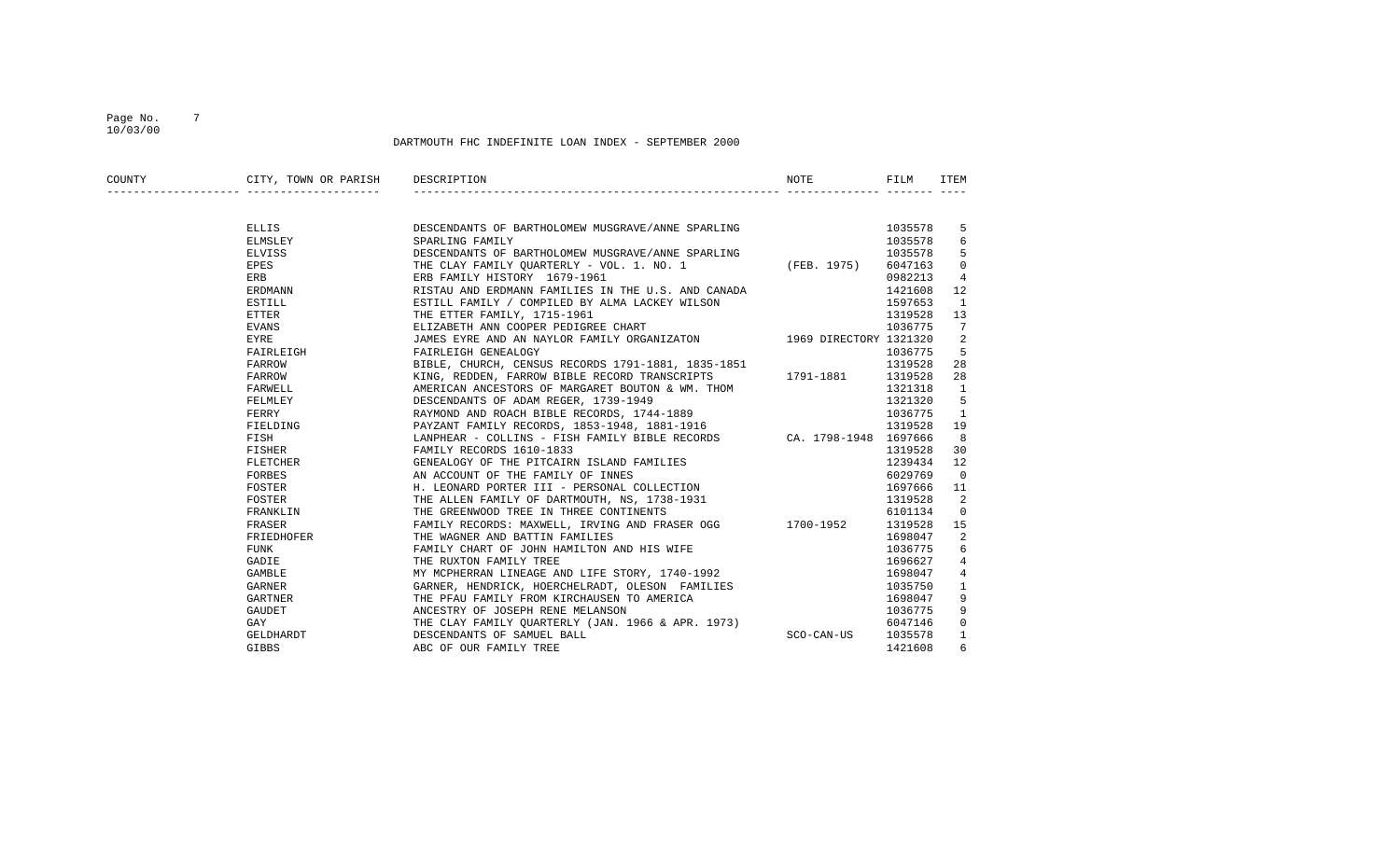## Page No. 7 10/03/00

| COUNTY | CITY, TOWN OR PARISH DESCRIPTION |                                                                                                                                                                                         | NOTE       | FILM    | ITEM           |
|--------|----------------------------------|-----------------------------------------------------------------------------------------------------------------------------------------------------------------------------------------|------------|---------|----------------|
|        |                                  |                                                                                                                                                                                         |            |         |                |
|        | ELLIS                            | DESCENDANTS OF BARTHOLOMEW MUSGRAVE/ANNE SPARLING                                                                                                                                       |            | 1035578 | 5              |
|        | ELMSLEY                          | SPARLING FAMILY                                                                                                                                                                         |            | 1035578 | 6              |
|        | ELVISS                           | DESCENDANTS OF BARTHOLOMEW MUSGRAVE/ANNE SPARLING                                                                                                                                       |            | 1035578 | - 5            |
|        | EPES                             | THE CLAY FAMILY QUARTERLY - VOL. 1. NO. 1 (FEB. 1975) 6047163                                                                                                                           |            |         | 0              |
|        | ERB                              | ERB FAMILY HISTORY 1679-1961                                                                                                                                                            |            | 0982213 | $\overline{4}$ |
|        | ERDMANN                          | RISTAU AND ERDMANN FAMILIES IN THE U.S. AND CANADA                                                                                                                                      |            | 1421608 | 12             |
|        | ESTILL                           | ESTILL FAMILY / COMPILED BY ALMA LACKEY WILSON                                                                                                                                          |            | 1597653 | 1              |
|        | ETTER                            | THE ETTER FAMILY, 1715-1961                                                                                                                                                             |            |         | 13             |
|        | EVANS                            | THE ETTER FAMILY, 1715-1961<br>ELIZABETH ANN COOPER PEDIGREE CHART 1036775<br>JAMES EYRE AND AN NAYLOR FAMILY ORGANIZATON 1969 DIRECTORY 1321320<br>ELIZABETH ANN COOPER PEDIGREE CHART |            |         | 7              |
|        | EYRE                             |                                                                                                                                                                                         |            |         | 2              |
|        | FAIRLEIGH                        | FAIRLEIGH GENEALOGY                                                                                                                                                                     |            | 1036775 | 5              |
|        | FARROW                           |                                                                                                                                                                                         |            | 1319528 | 28             |
|        | FARROW                           | BIBLE, CHURCH, CENSUS RECORDS 1791-1881, 1835-1851<br>KING, REDDEN, FARROW BIBLE RECORD TRANSCRIPTS                  1791-1881                                                          |            | 1319528 | 28             |
|        | FARWELL                          | AMERICAN ANCESTORS OF MARGARET BOUTON & WM. THOM                                                                                                                                        |            | 1321318 | <sup>1</sup>   |
|        | FELMLEY                          |                                                                                                                                                                                         |            | 1321320 | 5              |
|        | FERRY                            | DESCENDANTS OF ADAM REGER, 1739-1949<br>RAYMOND AND ROACH BIBLE RECORDS, 1744-1889                                                                                                      |            | 1036775 | $\mathbf{1}$   |
|        | FIELDING                         | PAYZANT FAMILY RECORDS, 1853-1948, 1881-1916                                                                                                                                            |            | 1319528 | 19             |
|        | FISH                             | LANPHEAR - COLLINS - FISH FAMILY BIBLE RECORDS CA. 1798-1948 1697666                                                                                                                    |            |         | 8              |
|        | <b>FISHER</b> FISHER             | FAMILY RECORDS 1610-1833                                                                                                                                                                |            | 1319528 | 30             |
|        | FLETCHER                         | GENEALOGY OF THE PITCAIRN ISLAND FAMILIES                                                                                                                                               |            | 1239434 | 12             |
|        | FORBES                           |                                                                                                                                                                                         |            | 6029769 | $\overline{0}$ |
|        | FOSTER                           | AN ACCOUNT OF THE FAMILY OF INNES<br>H. LEONARD PORTER III - PERSONAL COLLECTION                                                                                                        |            | 1697666 | 11             |
|        | FOSTER                           | THE ALLEN FAMILY OF DARTMOUTH, NS, 1738-1931                                                                                                                                            |            | 1319528 | -2             |
|        | FRANKLIN                         | THE GREENWOOD TREE IN THREE CONTINENTS                                                                                                                                                  |            | 6101134 | $\overline{0}$ |
|        | FRASER                           | FAMILY RECORDS: MAXWELL, IRVING AND FRASER OGG 1700-1952                                                                                                                                |            | 1319528 | 15             |
|        | FRIEDHOFER                       | THE WAGNER AND BATTIN FAMILIES                                                                                                                                                          |            | 1698047 | 2              |
|        | FUNK                             | FAMILY CHART OF JOHN HAMILTON AND HIS WIFE<br>THE PIIYTON FAMILY TPEE                                                                                                                   |            | 1036775 | 6              |
|        | GADIE                            | THE RUXTON FAMILY TREE                                                                                                                                                                  |            | 1696627 | 4              |
|        | <b>GAMBLE</b>                    | MY MCPHERRAN LINEAGE AND LIFE STORY, 1740-1992                                                                                                                                          |            | 1698047 | $\overline{4}$ |
|        | GARNER                           | GARNER, HENDRICK, HOERCHELRADT, OLESON FAMILIES                                                                                                                                         |            | 1035750 | 1              |
|        | GARTNER                          | THE PFAU FAMILY FROM KIRCHAUSEN TO AMERICA                                                                                                                                              |            | 1698047 | 9              |
|        | GAUDET                           | ANCESTRY OF JOSEPH RENE MELANSON                                                                                                                                                        |            | 1036775 | 9              |
|        | GAY                              | THE CLAY FAMILY QUARTERLY (JAN. 1966 & APR. 1973)                                                                                                                                       |            | 6047146 | $\mathbf{0}$   |
|        | GELDHARDT                        | DESCENDANTS OF SAMUEL BALL                                                                                                                                                              | SCO-CAN-US | 1035578 | $\mathbf{1}$   |
|        | GIBBS                            | ABC OF OUR FAMILY TREE                                                                                                                                                                  |            | 1421608 | 6              |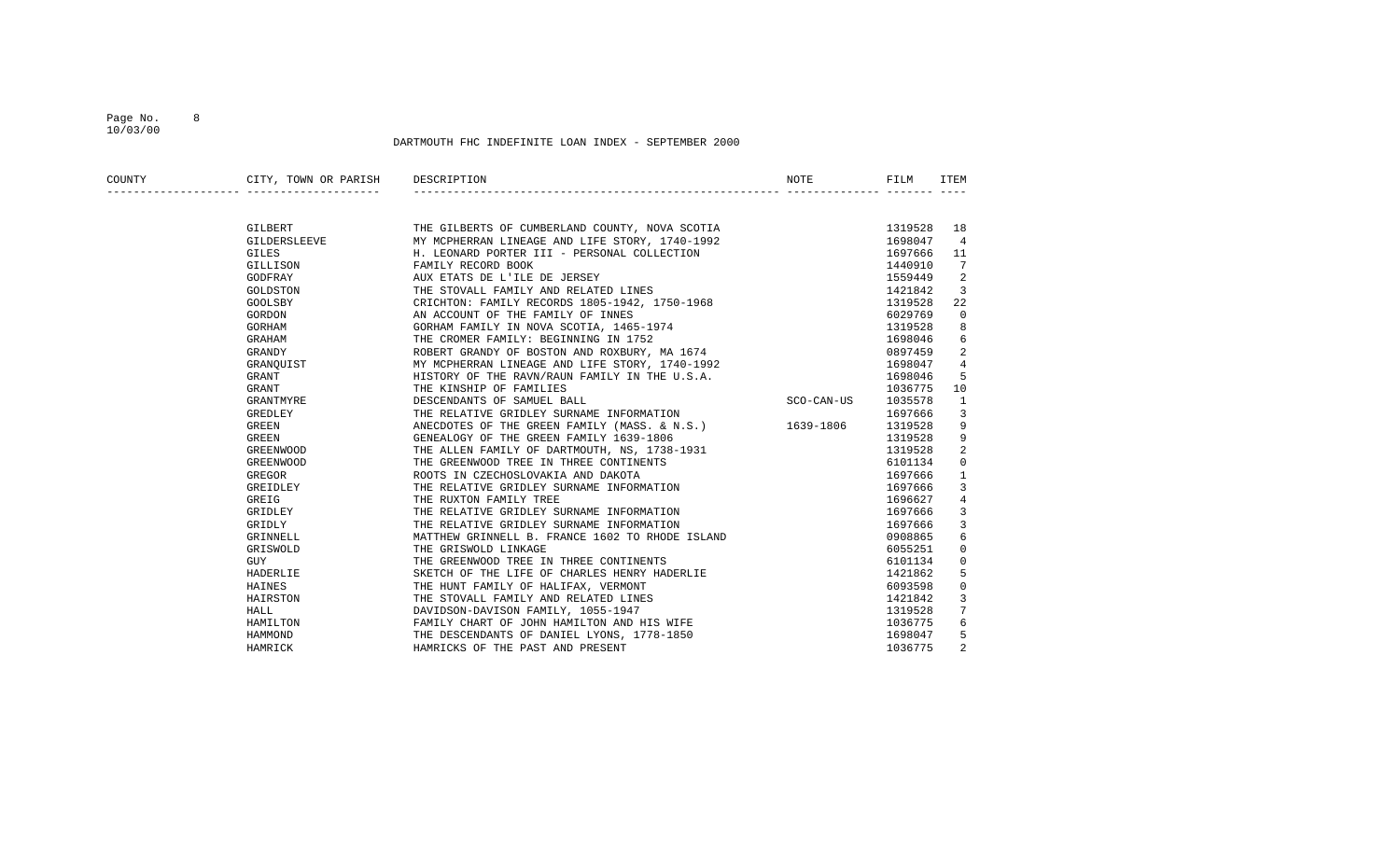## Page No. 8 10/03/00

| COUNTY | CITY, TOWN OR PARISH | NOTE<br>DESCRIPTION                                                          | FILM    | <b>ITEM</b>    |
|--------|----------------------|------------------------------------------------------------------------------|---------|----------------|
|        |                      |                                                                              |         |                |
|        | GILBERT              | THE GILBERTS OF CUMBERLAND COUNTY, NOVA SCOTIA                               | 1319528 | 18             |
|        | GILDERSLEEVE         | MY MCPHERRAN LINEAGE AND LIFE STORY, 1740-1992                               | 1698047 | $\overline{4}$ |
|        | <b>GILES</b>         | H. LEONARD PORTER III - PERSONAL COLLECTION                                  | 1697666 | 11             |
|        | GILLISON             | FAMILY RECORD BOOK                                                           | 1440910 | 7              |
|        | GODFRAY              | AUX ETATS DE L'ILE DE JERSEY                                                 | 1559449 | 2              |
|        | GOLDSTON             | THE STOVALL FAMILY AND RELATED LINES                                         | 1421842 | 3              |
|        | GOOLSBY              | CRICHTON: FAMILY RECORDS 1805-1942, 1750-1968                                | 1319528 | 22             |
|        | GORDON               |                                                                              | 6029769 | $\mathbf 0$    |
|        | GORHAM               | AN ACCOUNT OF THE FAMILY OF INNES<br>GORHAM FAMILY IN NOVA SCOTIA, 1465-1974 | 1319528 | 8              |
|        | GRAHAM               | THE CROMER FAMILY: BEGINNING IN 1752                                         | 1698046 | 6              |
|        | GRANDY               | ROBERT GRANDY OF BOSTON AND ROXBURY, MA 1674                                 | 0897459 | 2              |
|        | GRANQUIST            | MY MCPHERRAN LINEAGE AND LIFE STORY, 1740-1992                               | 1698047 | $\overline{4}$ |
|        | GRANT                | HISTORY OF THE RAVN/RAUN FAMILY IN THE U.S.A.                                | 1698046 | 5              |
|        | GRANT                | THE KINSHIP OF FAMILIES                                                      | 1036775 | 10             |
|        | GRANTMYRE            | SCO-CAN-US<br>DESCENDANTS OF SAMUEL BALL                                     | 1035578 | $\mathbf{1}$   |
|        | GREDLEY              | THE RELATIVE GRIDLEY SURNAME INFORMATION                                     | 1697666 | 3              |
|        | GREEN                | ANECDOTES OF THE GREEN FAMILY (MASS. & N.S.) 1639-1806                       | 1319528 | 9              |
|        | GREEN                | GENEALOGY OF THE GREEN FAMILY 1639-1806                                      | 1319528 | 9              |
|        | GREENWOOD            | THE ALLEN FAMILY OF DARTMOUTH, NS, 1738-1931                                 | 1319528 | 2              |
|        | GREENWOOD            | THE GREENWOOD TREE IN THREE CONTINENTS                                       | 6101134 | 0              |
|        | GREGOR               | ROOTS IN CZECHOSLOVAKIA AND DAKOTA                                           | 1697666 | $\mathbf{1}$   |
|        | GREIDLEY             | THE RELATIVE GRIDLEY SURNAME INFORMATION                                     | 1697666 | 3              |
|        | GREIG                | THE RUXTON FAMILY TREE                                                       | 1696627 | 4              |
|        | GRIDLEY              | THE RELATIVE GRIDLEY SURNAME INFORMATION                                     | 1697666 | 3              |
|        | GRIDLY               | THE RELATIVE GRIDLEY SURNAME INFORMATION                                     | 1697666 | 3              |
|        | GRINNELL             | MATTHEW GRINNELL B. FRANCE 1602 TO RHODE ISLAND                              | 0908865 | 6              |
|        | GRISWOLD             | THE GRISWOLD LINKAGE                                                         | 6055251 | 0              |
|        | GUY                  | THE GREENWOOD TREE IN THREE CONTINENTS                                       | 6101134 | 0              |
|        | HADERLIE             | SKETCH OF THE LIFE OF CHARLES HENRY HADERLIE                                 | 1421862 | 5              |
|        | HAINES               | THE HUNT FAMILY OF HALIFAX, VERMONT                                          | 6093598 | 0              |
|        | HAIRSTON             | THE STOVALL FAMILY AND RELATED LINES                                         | 1421842 | 3              |
|        | HALL                 | DAVIDSON-DAVISON FAMILY, 1055-1947                                           | 1319528 | 7              |
|        | HAMILTON             | FAMILY CHART OF JOHN HAMILTON AND HIS WIFE                                   | 1036775 | 6              |
|        | HAMMOND              | THE DESCENDANTS OF DANIEL LYONS, 1778-1850                                   | 1698047 | 5              |
|        | HAMRICK              | HAMRICKS OF THE PAST AND PRESENT                                             | 1036775 | $\overline{2}$ |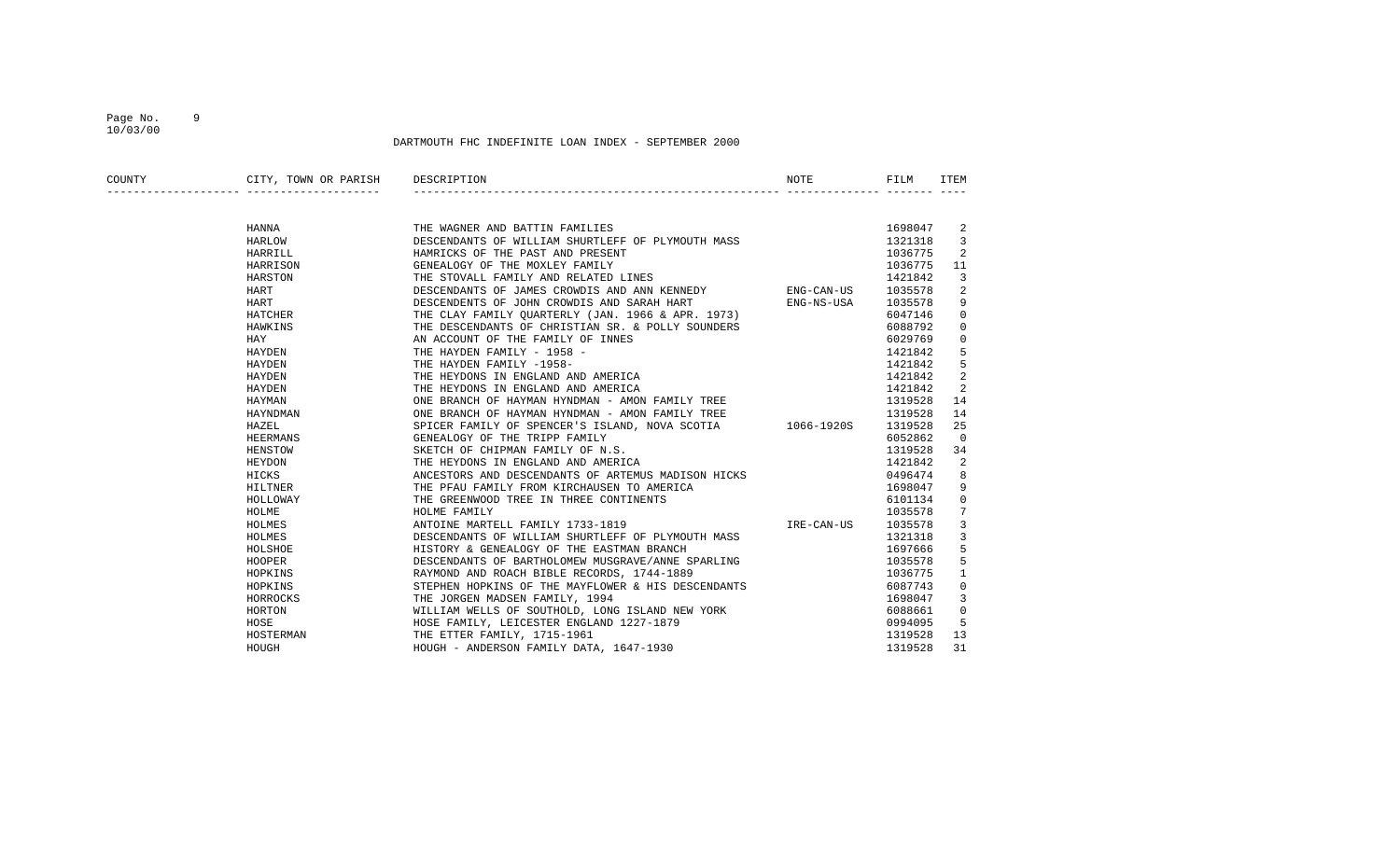## Page No. 9 10/03/00

| COUNTY | CITY, TOWN OR PARISH DESCRIPTION |                                                                                                                    | NOTE       | FILM    | ITEM           |
|--------|----------------------------------|--------------------------------------------------------------------------------------------------------------------|------------|---------|----------------|
|        |                                  |                                                                                                                    |            |         |                |
|        | HANNA                            | THE WAGNER AND BATTIN FAMILIES                                                                                     |            | 1698047 | 2              |
|        | HARLOW                           | DESCENDANTS OF WILLIAM SHURTLEFF OF PLYMOUTH MASS                                                                  |            | 1321318 | 3              |
|        | HARRILL                          | HAMRICKS OF THE PAST AND PRESENT                                                                                   |            | 1036775 | 2              |
|        | HARRISON                         | GENEALOGY OF THE MOXLEY FAMILY                                                                                     |            | 1036775 | 11             |
|        | HARSTON                          | THE STOVALL FAMILY AND RELATED LINES                                                                               |            | 1421842 | 3              |
|        | HART                             | DESCENDANTS OF JAMES CROWDIS AND ANN KENNEDY                                                                       | ENG-CAN-US | 1035578 | 2              |
|        | HART                             | DESCENDENTS OF JOHN CROWDIS AND SARAH HART                                                                         | ENG-NS-USA | 1035578 | 9              |
|        | HATCHER                          | THE CLAY FAMILY QUARTERLY (JAN. 1966 & APR. 1973)                                                                  |            | 6047146 | $\mathbf{0}$   |
|        | HAWKINS                          | THE DESCENDANTS OF CHRISTIAN SR. & POLLY SOUNDERS                                                                  |            | 6088792 | $\mathbf{0}$   |
|        | HAY                              | AN ACCOUNT OF THE FAMILY OF INNES                                                                                  |            | 6029769 | $\mathbf{0}$   |
|        | HAYDEN                           | THE HAYDEN FAMILY - 1958 -                                                                                         |            | 1421842 | 5              |
|        | HAYDEN                           | THE HAYDEN FAMILY -1958-                                                                                           |            | 1421842 | 5              |
|        | HAYDEN                           | THE HEYDONS IN ENGLAND AND AMERICA                                                                                 |            | 1421842 | 2              |
|        | HAYDEN                           | THE HEYDONS IN ENGLAND AND AMERICA                                                                                 |            | 1421842 | 2              |
|        | HAYMAN                           | ONE BRANCH OF HAYMAN HYNDMAN - AMON FAMILY TREE                                                                    |            | 1319528 | 14             |
|        | HAYNDMAN                         | ONE BRANCH OF HAYMAN HYNDMAN - AMON FAMILY TREE                                                                    |            | 1319528 | 14             |
|        | HAZEL                            | SPICER FAMILY OF SPENCER'S ISLAND, NOVA SCOTIA 1066-1920S                                                          |            | 1319528 | 25             |
|        | HEERMANS                         | GENEALOGY OF THE TRIPP FAMILY                                                                                      |            | 6052862 | $\overline{0}$ |
|        | HENSTOW                          | SKETCH OF CHIPMAN FAMILY OF N.S.                                                                                   |            | 1319528 | 34             |
|        | HEYDON                           | THE HEYDONS IN ENGLAND AND AMERICA                                                                                 |            | 1421842 | 2              |
|        | HICKS                            | ANCESTORS AND DESCENDANTS OF ARTEMUS MADISON HICKS                                                                 |            | 0496474 | 8              |
|        | HILTNER                          | THE PFAU FAMILY FROM KIRCHAUSEN TO AMERICA                                                                         |            | 1698047 | 9              |
|        | HOLLOWAY                         | THE GREENWOOD TREE IN THREE CONTINENTS                                                                             |            | 6101134 | 0              |
|        | HOLME                            | HOLME FAMILY                                                                                                       |            | 1035578 | 7              |
|        | HOLMES                           | ANTOINE MARTELL FAMILY 1733-1819                                                                                   | IRE-CAN-US | 1035578 | 3              |
|        | HOLMES                           | DESCENDANTS OF WILLIAM SHURTLEFF OF PLYMOUTH MASS<br>HISTORY & GENEALOGY OF THE EASTMAN BRANCH                     |            | 1321318 | 3              |
|        | HOLSHOE                          | HISTORY & GENEALOGY OF THE EASTMAN BRANCH                                                                          |            | 1697666 | 5              |
|        | HOOPER                           | DESCENDANTS OF BARTHOLOMEW MUSGRAVE/ANNE SPARLING<br>RAYMOND AND ROACH BIBLE RECORDS, 1744-1889                    |            | 1035578 | 5              |
|        | HOPKINS                          |                                                                                                                    |            | 1036775 | 1              |
|        | HOPKINS                          | STEPHEN HOPKINS OF THE MAYFLOWER & HIS DESCENDANTS                                                                 |            | 6087743 | 0              |
|        | HORROCKS                         | THE JORGEN MADSEN FAMILY, 1994                                                                                     |            | 1698047 | 3              |
|        | HORTON                           | WILLIAM WELLS OF SOUTHOLD, LONG ISLAND NEW YORK                                                                    |            | 6088661 | $\mathbf 0$    |
|        | HOSE                             | HOSE FAMILY, LEICESTER ENGLAND 1227-1879<br>THE ETTER FAMILY, 1715-1961<br>HOUGH - ANDERSON FAMILY DATA, 1647-1930 |            | 0994095 | 5              |
|        | HOSTERMAN                        |                                                                                                                    |            | 1319528 | 13             |
|        | HOUGH                            |                                                                                                                    |            | 1319528 | 31             |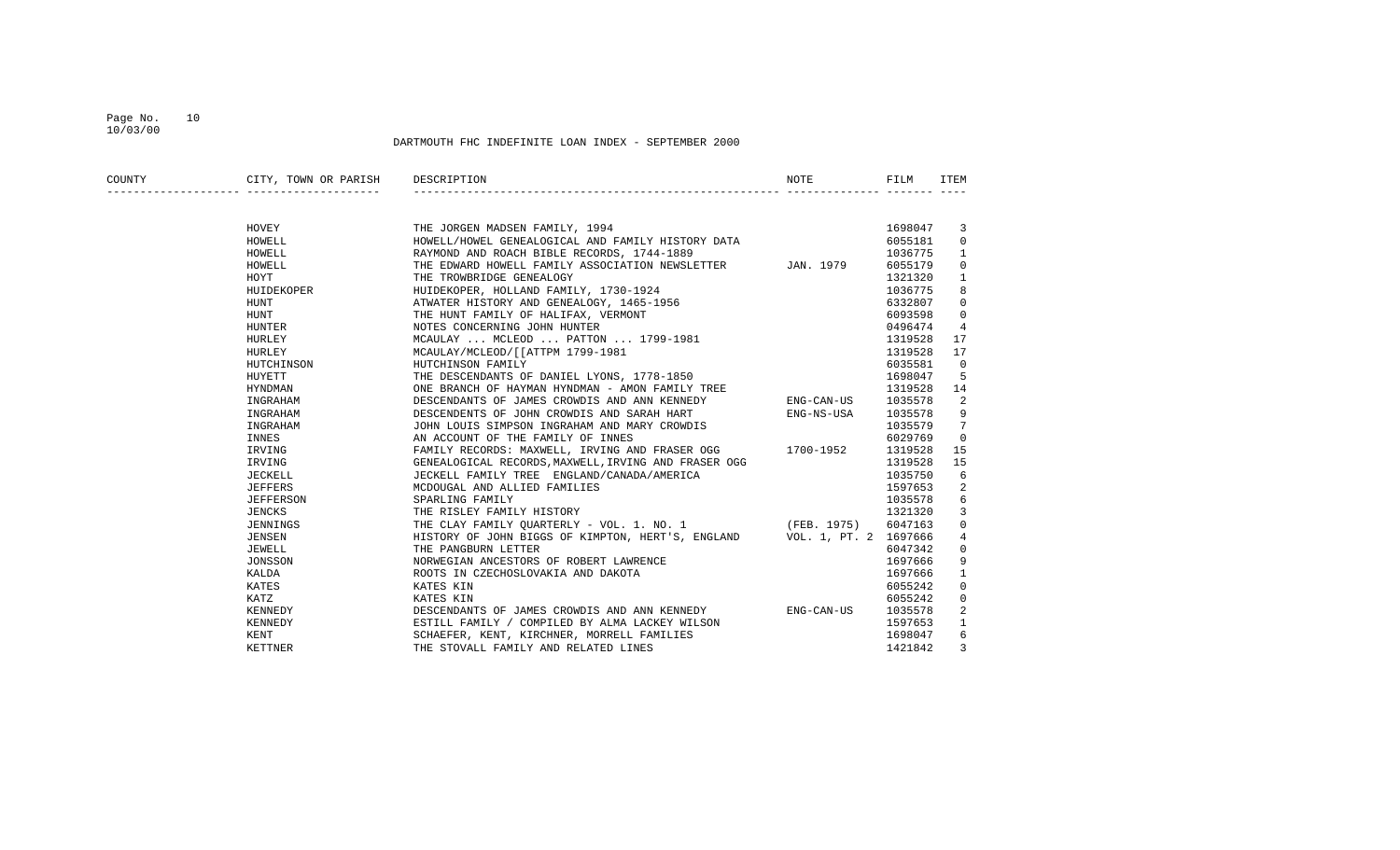## Page No. 10 10/03/00

| COUNTY | CITY, TOWN OR PARISH | DESCRIPTION                                                             | NOTE       | FILM    | ITEM           |
|--------|----------------------|-------------------------------------------------------------------------|------------|---------|----------------|
|        |                      |                                                                         |            |         |                |
|        | HOVEY                | THE JORGEN MADSEN FAMILY, 1994                                          |            | 1698047 | 3              |
|        | HOWELL               | HOWELL/HOWEL GENEALOGICAL AND FAMILY HISTORY DATA                       |            | 6055181 | 0              |
|        | HOWELL               | RAYMOND AND ROACH BIBLE RECORDS, 1744-1889                              |            | 1036775 | $\mathbf{1}$   |
|        | HOWELL               | THE EDWARD HOWELL FAMILY ASSOCIATION NEWSLETTER JAN. 1979               |            | 6055179 | $\Omega$       |
|        | HOYT                 | THE TROWBRIDGE GENEALOGY                                                |            | 1321320 | 1              |
|        | HUIDEKOPER           | HUIDEKOPER, HOLLAND FAMILY, 1730-1924                                   |            | 1036775 | 8              |
|        | HUNT                 | ATWATER HISTORY AND GENEALOGY, 1465-1956                                |            | 6332807 | 0              |
|        | HUNT                 | THE HUNT FAMILY OF HALIFAX, VERMONT                                     |            | 6093598 | $\mathbf 0$    |
|        | HUNTER               | NOTES CONCERNING JOHN HUNTER                                            |            | 0496474 | $\overline{4}$ |
|        | HURLEY               | MCAULAY  MCLEOD  PATTON  1799-1981                                      |            | 1319528 | 17             |
|        | HURLEY               | MCAULAY/MCLEOD/[[ATTPM 1799-1981                                        |            | 1319528 | 17             |
|        | HUTCHINSON           | HUTCHINSON FAMILY                                                       |            | 6035581 | $\Omega$       |
|        | HUYETT               | THE DESCENDANTS OF DANIEL LYONS, 1778-1850                              |            | 1698047 | 5              |
|        | HYNDMAN              | ONE BRANCH OF HAYMAN HYNDMAN - AMON FAMILY TREE                         |            | 1319528 | 14             |
|        | INGRAHAM             | DESCENDANTS OF JAMES CROWDIS AND ANN KENNEDY                            | ENG-CAN-US | 1035578 | 2              |
|        | INGRAHAM             | DESCENDENTS OF JOHN CROWDIS AND SARAH HART                              | ENG-NS-USA | 1035578 | 9              |
|        | INGRAHAM             | JOHN LOUIS SIMPSON INGRAHAM AND MARY CROWDIS                            |            | 1035579 | 7              |
|        | INNES                | AN ACCOUNT OF THE FAMILY OF INNES                                       |            | 6029769 | $\overline{0}$ |
|        | IRVING               | FAMILY RECORDS: MAXWELL, IRVING AND FRASER OGG 1700-1952                |            | 1319528 | 15             |
|        | IRVING               | GENEALOGICAL RECORDS, MAXWELL, IRVING AND FRASER OGG                    |            | 1319528 | 15             |
|        | JECKELL              | JECKELL FAMILY TREE ENGLAND/CANADA/AMERICA                              |            | 1035750 | 6              |
|        | <b>JEFFERS</b>       | MCDOUGAL AND ALLIED FAMILIES                                            |            | 1597653 | 2              |
|        | JEFFERSON            | SPARLING FAMILY                                                         |            | 1035578 | 6              |
|        | <b>JENCKS</b>        | THE RISLEY FAMILY HISTORY                                               |            | 1321320 | 3              |
|        | JENNINGS             | THE CLAY FAMILY OUARTERLY - VOL. 1. NO. 1 (FEB. 1975)                   |            | 6047163 | 0              |
|        | JENSEN               | HISTORY OF JOHN BIGGS OF KIMPTON, HERT'S, ENGLAND VOL. 1, PT. 2 1697666 |            |         | 4              |
|        | JEWELL               | THE PANGBURN LETTER                                                     |            | 6047342 | 0              |
|        | JONSSON              | NORWEGIAN ANCESTORS OF ROBERT LAWRENCE                                  |            | 1697666 | 9              |
|        | KALDA                | ROOTS IN CZECHOSLOVAKIA AND DAKOTA                                      |            | 1697666 | 1              |
|        | KATES                | KATES KIN                                                               |            | 6055242 | $\Omega$       |
|        | KATZ                 | KATES KIN                                                               |            | 6055242 | 0              |
|        | KENNEDY              | DESCENDANTS OF JAMES CROWDIS AND ANN KENNEDY                            | ENG-CAN-US | 1035578 | 2              |
|        | KENNEDY              | ESTILL FAMILY / COMPILED BY ALMA LACKEY WILSON                          |            | 1597653 | 1              |
|        | KENT                 | SCHAEFER, KENT, KIRCHNER, MORRELL FAMILIES                              |            | 1698047 | 6              |
|        | <b>KETTNER</b>       | THE STOVALL FAMILY AND RELATED LINES                                    |            | 1421842 | 3              |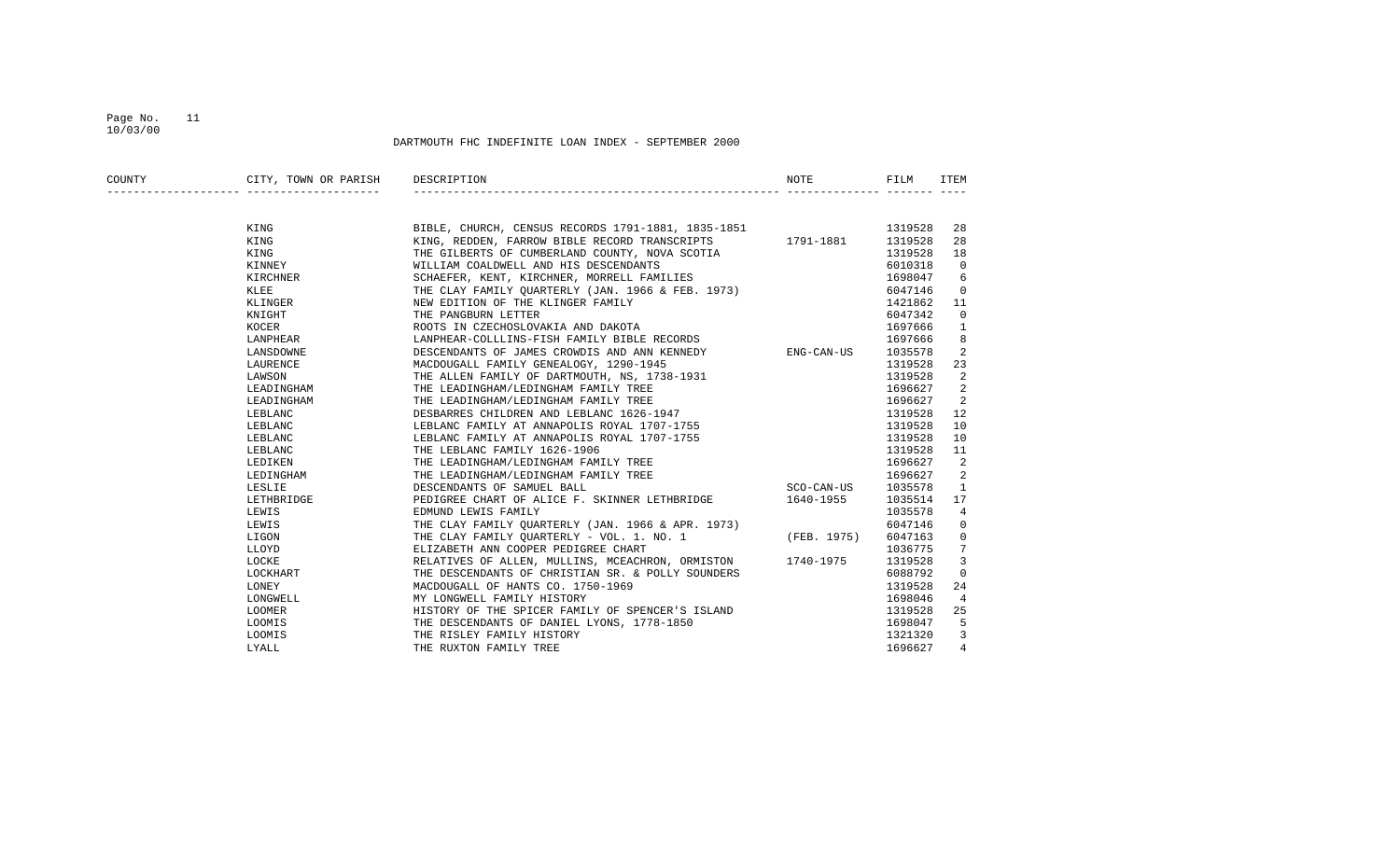## Page No. 11 10/03/00

| COUNTY | CITY, TOWN OR PARISH | DESCRIPTION                                                                                               | NOTE       | FILM    | ITEM           |
|--------|----------------------|-----------------------------------------------------------------------------------------------------------|------------|---------|----------------|
|        |                      |                                                                                                           |            |         |                |
|        | KING                 |                                                                                                           |            | 1319528 | 28             |
|        | KING                 | BIBLE, CHURCH, CENSUS RECORDS 1791-1881, 1835-1851                                                        |            | 1319528 | 28             |
|        | KING                 | KING, REDDEN, FARROW BIBLE RECORD TRANSCRIPTS 1791-1881<br>THE GILBERTS OF CUMBERLAND COUNTY, NOVA SCOTIA |            | 1319528 | 18             |
|        | KINNEY               | WILLIAM COALDWELL AND HIS DESCENDANTS                                                                     |            | 6010318 | $\overline{0}$ |
|        | KIRCHNER             | SCHAEFER, KENT, KIRCHNER, MORRELL FAMILIES                                                                |            | 1698047 | 6              |
|        | KLEE                 | THE CLAY FAMILY QUARTERLY (JAN. 1966 & FEB. 1973)                                                         |            | 6047146 | $\overline{0}$ |
|        | KLINGER              | NEW EDITION OF THE KLINGER FAMILY                                                                         |            | 1421862 | 11             |
|        | KNIGHT               | THE PANGBURN LETTER                                                                                       |            | 6047342 | 0              |
|        | KOCER                | ROOTS IN CZECHOSLOVAKIA AND DAKOTA                                                                        |            | 1697666 | 1              |
|        | LANPHEAR             | LANPHEAR-COLLLINS-FISH FAMILY BIBLE RECORDS                                                               |            | 1697666 | 8              |
|        | LANSDOWNE            | DESCENDANTS OF JAMES CROWDIS AND ANN KENNEDY ENG-CAN-US                                                   |            | 1035578 | 2              |
|        | LAURENCE             | MACDOUGALL FAMILY GENEALOGY, 1290-1945                                                                    |            | 1319528 | 23             |
|        | LAWSON               | THE ALLEN FAMILY OF DARTMOUTH, NS, 1738-1931                                                              |            | 1319528 | 2              |
|        | LEADINGHAM           | THE LEADINGHAM/LEDINGHAM FAMILY TREE                                                                      |            | 1696627 | 2              |
|        | LEADINGHAM           | THE LEADINGHAM/LEDINGHAM FAMILY TREE                                                                      |            | 1696627 | 2              |
|        | LEBLANC              | DESBARRES CHILDREN AND LEBLANC 1626-1947                                                                  |            | 1319528 | 12             |
|        | LEBLANC              | LEBLANC FAMILY AT ANNAPOLIS ROYAL 1707-1755                                                               |            | 1319528 | 10             |
|        | LEBLANC              | LEBLANC FAMILY AT ANNAPOLIS ROYAL 1707-1755                                                               |            | 1319528 | 10             |
|        | LEBLANC              | THE LEBLANC FAMILY 1626-1906                                                                              |            | 1319528 | 11             |
|        | LEDIKEN              | THE LEADINGHAM/LEDINGHAM FAMILY TREE                                                                      |            | 1696627 | 2              |
|        | LEDINGHAM            | THE LEADINGHAM/LEDINGHAM FAMILY TREE                                                                      |            | 1696627 | 2              |
|        | LESLIE               | DESCENDANTS OF SAMUEL BALL                                                                                | SCO-CAN-US | 1035578 | 1              |
|        | LETHBRIDGE           | PEDIGREE CHART OF ALICE F. SKINNER LETHBRIDGE                                                             | 1640-1955  | 1035514 | 17             |
|        | LEWIS                | EDMUND LEWIS FAMILY                                                                                       |            | 1035578 | $\overline{4}$ |
|        | LEWIS                | THE CLAY FAMILY QUARTERLY (JAN. 1966 & APR. 1973)                                                         |            | 6047146 | 0              |
|        | LIGON                | THE CLAY FAMILY QUARTERLY - VOL. 1. NO. 1 (FEB. 1975)                                                     |            | 6047163 | 0              |
|        | LLOYD                | ELIZABETH ANN COOPER PEDIGREE CHART                                                                       |            | 1036775 | 7              |
|        | LOCKE                | RELATIVES OF ALLEN, MULLINS, MCEACHRON, ORMISTON 1740-1975                                                |            | 1319528 | 3              |
|        | LOCKHART             | THE DESCENDANTS OF CHRISTIAN SR. & POLLY SOUNDERS                                                         |            | 6088792 | 0              |
|        | LONEY                | MACDOUGALL OF HANTS CO. 1750-1969                                                                         |            | 1319528 | 24             |
|        | LONGWELL             | MY LONGWELL FAMILY HISTORY                                                                                |            | 1698046 | 4              |
|        | LOOMER               | HISTORY OF THE SPICER FAMILY OF SPENCER'S ISLAND                                                          |            | 1319528 | 25             |
|        | LOOMIS               | THE DESCENDANTS OF DANIEL LYONS, 1778-1850                                                                |            | 1698047 | 5              |
|        | LOOMIS               | THE RISLEY FAMILY HISTORY                                                                                 |            | 1321320 | 3              |
|        | LYALL                | THE RUXTON FAMILY TREE                                                                                    |            | 1696627 | $\overline{4}$ |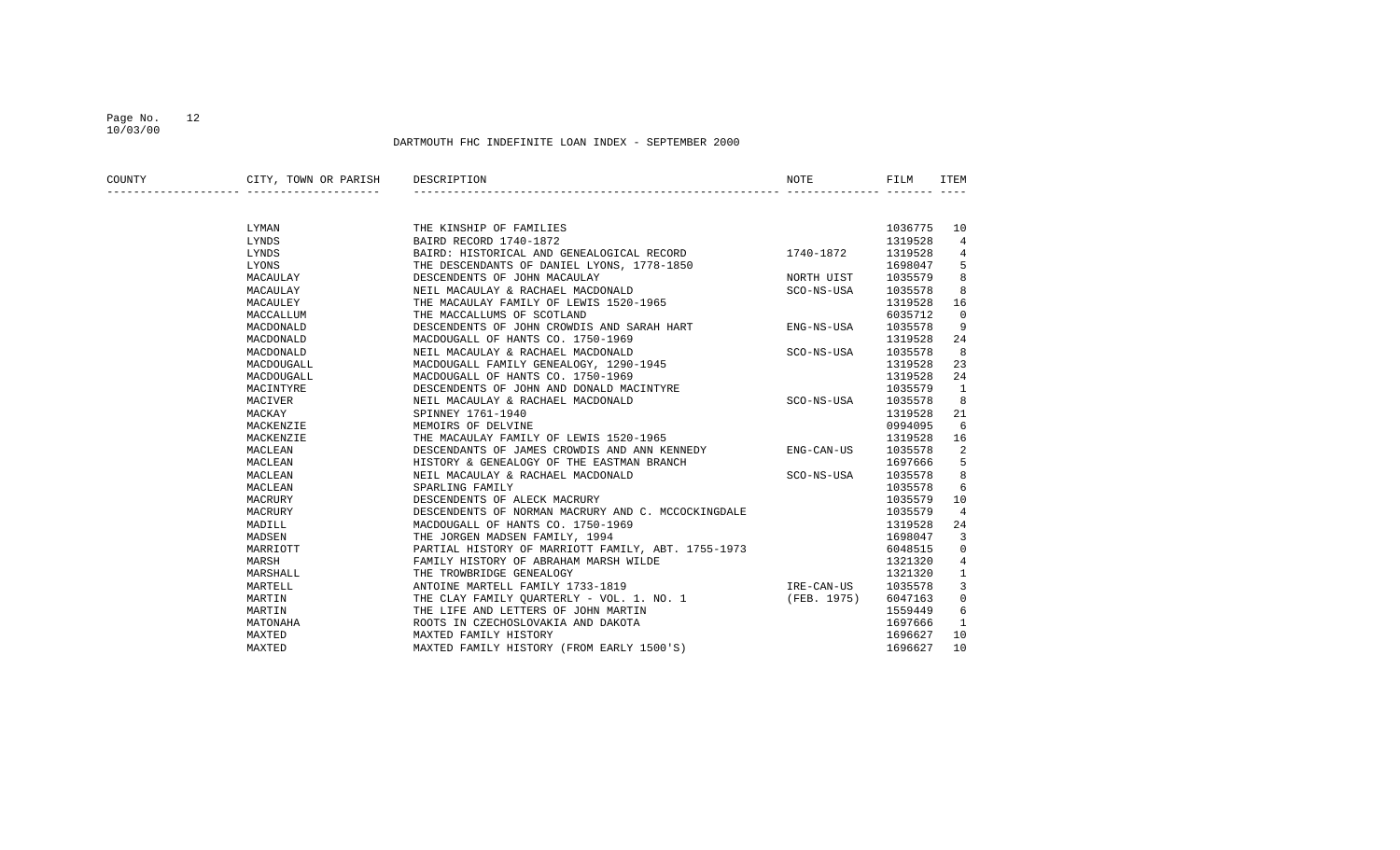## Page No. 12 10/03/00

| COUNTY | CITY, TOWN OR PARISH | DESCRIPTION                                        | NOTE        | FILM    | <b>ITEM</b>    |
|--------|----------------------|----------------------------------------------------|-------------|---------|----------------|
|        |                      |                                                    |             |         |                |
|        | LYMAN                | THE KINSHIP OF FAMILIES                            |             | 1036775 | 10             |
|        | LYNDS                | BAIRD RECORD 1740-1872                             |             | 1319528 | 4              |
|        | LYNDS                | BAIRD: HISTORICAL AND GENEALOGICAL RECORD          | 1740-1872   | 1319528 | 4              |
|        | LYONS                | THE DESCENDANTS OF DANIEL LYONS, 1778-1850         |             | 1698047 | 5              |
|        | MACAULAY             | DESCENDENTS OF JOHN MACAULAY                       | NORTH UIST  | 1035579 | 8              |
|        | MACAULAY             | NEIL MACAULAY & RACHAEL MACDONALD                  | SCO-NS-USA  | 1035578 | 8              |
|        | MACAULEY             | THE MACAULAY FAMILY OF LEWIS 1520-1965             |             | 1319528 | 16             |
|        | MACCALLUM            | THE MACCALLUMS OF SCOTLAND                         |             | 6035712 | $\mathbf 0$    |
|        | MACDONALD            | DESCENDENTS OF JOHN CROWDIS AND SARAH HART         | ENG-NS-USA  | 1035578 | 9              |
|        | MACDONALD            | MACDOUGALL OF HANTS CO. 1750-1969                  |             | 1319528 | 24             |
|        | MACDONALD            | NEIL MACAULAY & RACHAEL MACDONALD                  | SCO-NS-USA  | 1035578 | 8              |
|        | MACDOUGALL           | MACDOUGALL FAMILY GENEALOGY, 1290-1945             |             | 1319528 | 23             |
|        | MACDOUGALL           | MACDOUGALL OF HANTS CO. 1750-1969                  |             | 1319528 | 24             |
|        | MACINTYRE            | DESCENDENTS OF JOHN AND DONALD MACINTYRE           |             | 1035579 | 1              |
|        | MACIVER              | NEIL MACAULAY & RACHAEL MACDONALD                  | SCO-NS-USA  | 1035578 | 8              |
|        | MACKAY               | SPINNEY 1761-1940                                  |             | 1319528 | 21             |
|        | MACKENZIE            | MEMOIRS OF DELVINE                                 |             | 0994095 | 6              |
|        | MACKENZIE            | THE MACAULAY FAMILY OF LEWIS 1520-1965             |             | 1319528 | 16             |
|        | MACLEAN              | DESCENDANTS OF JAMES CROWDIS AND ANN KENNEDY       | ENG-CAN-US  | 1035578 | 2              |
|        | MACLEAN              | HISTORY & GENEALOGY OF THE EASTMAN BRANCH          |             | 1697666 | 5              |
|        | MACLEAN              | NEIL MACAULAY & RACHAEL MACDONALD                  | SCO-NS-USA  | 1035578 | 8              |
|        | MACLEAN              | SPARLING FAMILY                                    |             | 1035578 | 6              |
|        | MACRURY              | DESCENDENTS OF ALECK MACRURY                       |             | 1035579 | 10             |
|        | MACRURY              | DESCENDENTS OF NORMAN MACRURY AND C. MCCOCKINGDALE |             | 1035579 | $\overline{4}$ |
|        | MADILL               | MACDOUGALL OF HANTS CO. 1750-1969                  |             | 1319528 | 24             |
|        | MADSEN               | THE JORGEN MADSEN FAMILY, 1994                     |             | 1698047 | 3              |
|        | MARRIOTT             | PARTIAL HISTORY OF MARRIOTT FAMILY, ABT. 1755-1973 |             | 6048515 | $\mathbf 0$    |
|        | MARSH                | FAMILY HISTORY OF ABRAHAM MARSH WILDE              |             | 1321320 | 4              |
|        | MARSHALL             | THE TROWBRIDGE GENEALOGY                           |             | 1321320 | $\mathbf{1}$   |
|        | MARTELL              | ANTOINE MARTELL FAMILY 1733-1819                   | IRE-CAN-US  | 1035578 | 3              |
|        | MARTIN               | THE CLAY FAMILY OUARTERLY - VOL. 1. NO. 1          | (FEB. 1975) | 6047163 | $\mathbf 0$    |
|        | MARTIN               | THE LIFE AND LETTERS OF JOHN MARTIN                |             | 1559449 | 6              |
|        | MATONAHA             | ROOTS IN CZECHOSLOVAKIA AND DAKOTA                 |             | 1697666 | 1              |
|        | MAXTED               | MAXTED FAMILY HISTORY                              |             | 1696627 | 10             |
|        | MAXTED               | MAXTED FAMILY HISTORY (FROM EARLY 1500'S)          |             | 1696627 | 10             |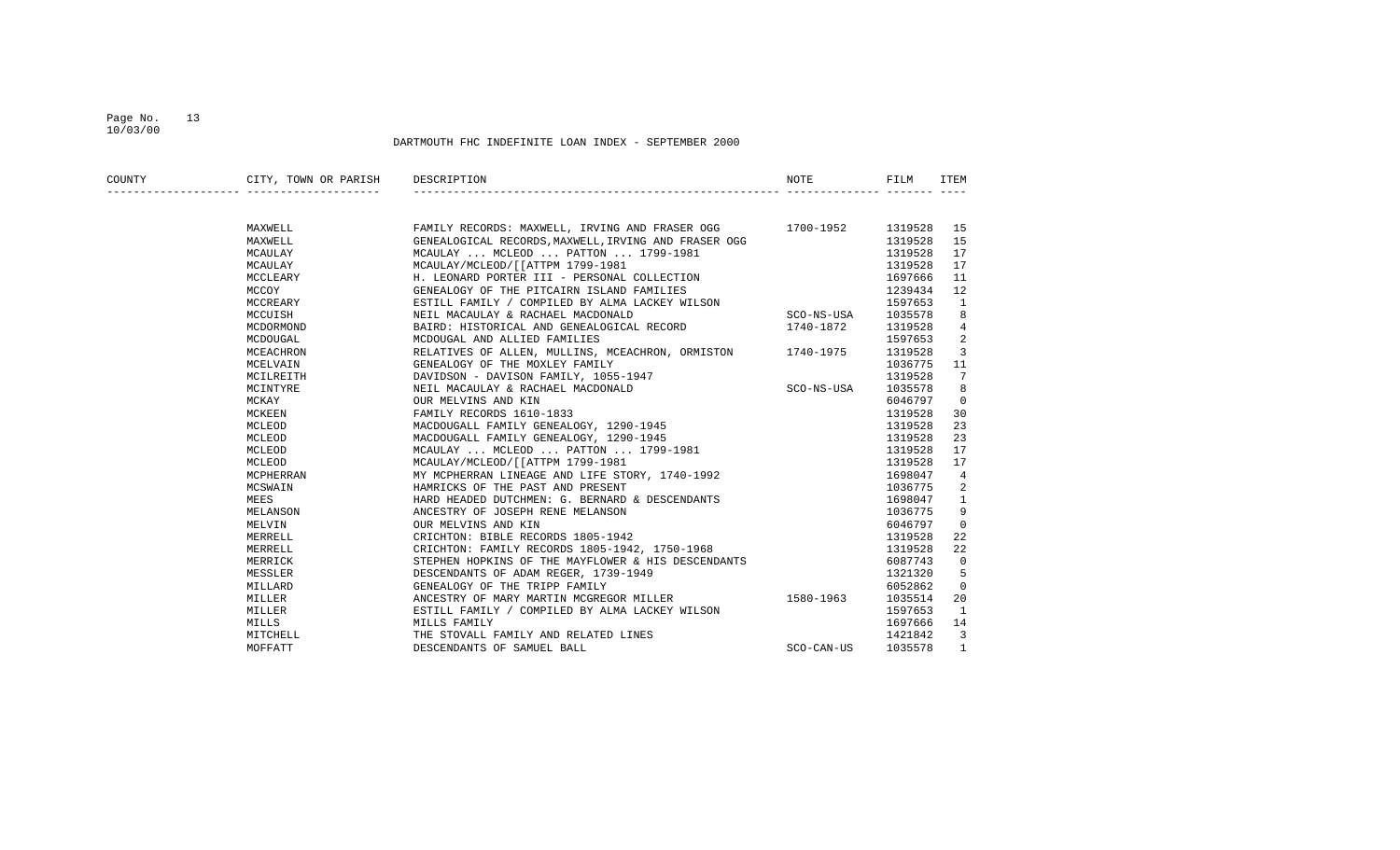## Page No. 13 10/03/00

| COUNTY | CITY, TOWN OR PARISH | DESCRIPTION                                                         | NOTE       | FILM    | ITEM         |
|--------|----------------------|---------------------------------------------------------------------|------------|---------|--------------|
|        |                      |                                                                     |            |         |              |
|        | MAXWELL              | FAMILY RECORDS: MAXWELL, IRVING AND FRASER OGG 1700-1952 1319528 15 |            |         |              |
|        | MAXWELL              | GENEALOGICAL RECORDS, MAXWELL, IRVING AND FRASER OGG                |            | 1319528 | 15           |
|        | MCAULAY              | MCAULAY  MCLEOD  PATTON  1799-1981                                  |            | 1319528 | 17           |
|        | MCAULAY              | MCAULAY/MCLEOD/[[ATTPM 1799-1981                                    |            | 1319528 | 17           |
|        | MCCLEARY             | H. LEONARD PORTER III - PERSONAL COLLECTION                         |            | 1697666 | 11           |
|        | MCCOY                | GENEALOGY OF THE PITCAIRN ISLAND FAMILIES                           |            | 1239434 | 12           |
|        | MCCREARY             | ESTILL FAMILY / COMPILED BY ALMA LACKEY WILSON                      |            | 1597653 | 1            |
|        | MCCUISH              | NEIL MACAULAY & RACHAEL MACDONALD                                   | SCO-NS-USA | 1035578 | 8            |
|        | MCDORMOND            | BAIRD: HISTORICAL AND GENEALOGICAL RECORD                           | 1740-1872  | 1319528 | 4            |
|        | MCDOUGAL             | MCDOUGAL AND ALLIED FAMILIES                                        |            | 1597653 | 2            |
|        | MCEACHRON            | RELATIVES OF ALLEN, MULLINS, MCEACHRON, ORMISTON 1740-1975          |            | 1319528 | 3            |
|        | MCELVAIN             | GENEALOGY OF THE MOXLEY FAMILY                                      |            | 1036775 | 11           |
|        | MCILREITH            | DAVIDSON - DAVISON FAMILY, 1055-1947                                |            | 1319528 | 7            |
|        | MCINTYRE             | NEIL MACAULAY & RACHAEL MACDONALD                                   | SCO-NS-USA | 1035578 | 8            |
|        | MCKAY                | OUR MELVINS AND KIN                                                 |            | 6046797 | $\mathbf 0$  |
|        | MCKEEN               | FAMILY RECORDS 1610-1833                                            |            | 1319528 | 30           |
|        | MCLEOD               | NACDOUGALL FAMILY GENEALOGY, 1290-1945                              |            | 1319528 | 23           |
|        | MCLEOD               | MACDOUGALL FAMILY GENEALOGY, 1290-1945                              |            | 1319528 | 23           |
|        | MCLEOD               | MCAULAY  MCLEOD  PATTON  1799-1981                                  |            | 1319528 | 17           |
|        | MCLEOD               | MCAULAY/MCLEOD/[[ATTPM 1799-1981                                    |            | 1319528 | 17           |
|        | MCPHERRAN            | MY MCPHERRAN LINEAGE AND LIFE STORY, 1740-1992                      |            | 1698047 | 4            |
|        | MCSWAIN              | HAMRICKS OF THE PAST AND PRESENT                                    |            | 1036775 | 2            |
|        | MEES                 | HARD HEADED DUTCHMEN: G. BERNARD & DESCENDANTS                      |            | 1698047 | $\mathbf{1}$ |
|        | MELANSON             | ANCESTRY OF JOSEPH RENE MELANSON                                    |            | 1036775 | 9            |
|        | MELVIN               | OUR MELVINS AND KIN                                                 |            | 6046797 | $\Omega$     |
|        | MERRELL              | CRICHTON: BIBLE RECORDS 1805-1942                                   |            | 1319528 | 22           |
|        | MERRELL              | CRICHTON: FAMILY RECORDS 1805-1942, 1750-1968                       |            | 1319528 | 22           |
|        | MERRICK              | STEPHEN HOPKINS OF THE MAYFLOWER & HIS DESCENDANTS                  |            | 6087743 | $\mathbf 0$  |
|        | MESSLER              | DESCENDANTS OF ADAM REGER, 1739-1949                                |            | 1321320 | 5            |
|        | MILLARD              | GENEALOGY OF THE TRIPP FAMILY                                       |            | 6052862 | $\Omega$     |
|        | MILLER               | ANCESTRY OF MARY MARTIN MCGREGOR MILLER 1580-1963                   |            | 1035514 | 20           |
|        | MILLER               | ESTILL FAMILY / COMPILED BY ALMA LACKEY WILSON                      |            | 1597653 | 1            |
|        | MILLS                | MILLS FAMILY                                                        |            | 1697666 | 14           |
|        | MITCHELL             | THE STOVALL FAMILY AND RELATED LINES                                |            | 1421842 | 3            |
|        | MOFFATT              | DESCENDANTS OF SAMUEL BALL                                          | SCO-CAN-US | 1035578 | $\mathbf{1}$ |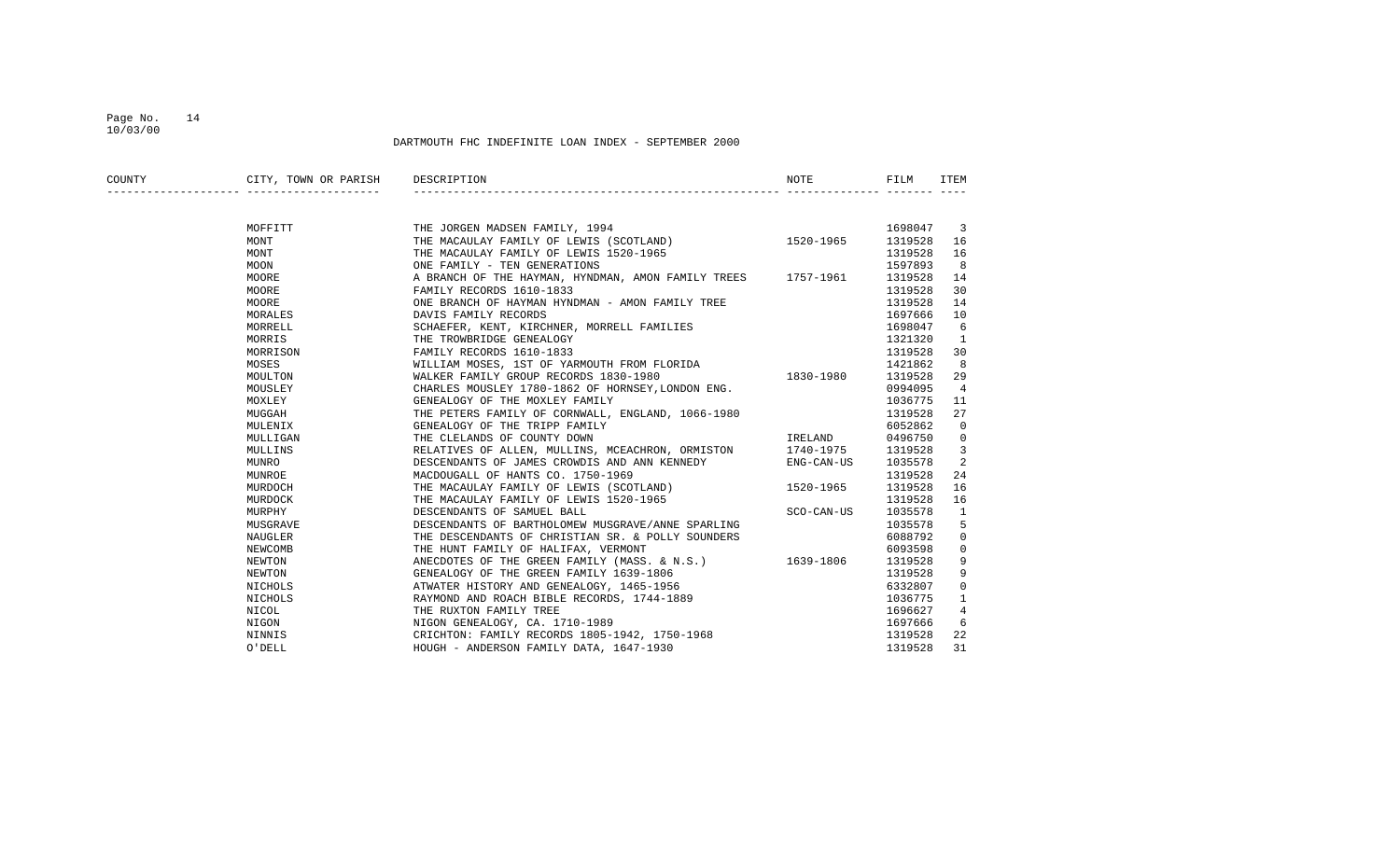## Page No. 14 10/03/00

| COUNTY | CITY, TOWN OR PARISH | DESCRIPTION                                                  | NOTE          | FILM    | ITEM                    |
|--------|----------------------|--------------------------------------------------------------|---------------|---------|-------------------------|
|        |                      |                                                              |               |         |                         |
|        | MOFFITT              | THE JORGEN MADSEN FAMILY, 1994                               |               | 1698047 | $\overline{\mathbf{3}}$ |
|        | MONT                 | THE MACAULAY FAMILY OF LEWIS (SCOTLAND)                      | $1520 - 1965$ | 1319528 | 16                      |
|        | MONT                 | THE MACAULAY FAMILY OF LEWIS 1520-1965                       |               | 1319528 | 16                      |
|        | MOON                 | ONE FAMILY - TEN GENERATIONS                                 |               | 1597893 | 8                       |
|        | MOORE                | A BRANCH OF THE HAYMAN, HYNDMAN, AMON FAMILY TREES 1757-1961 |               | 1319528 | 14                      |
|        | MOORE                | FAMILY RECORDS 1610-1833                                     |               | 1319528 | 30                      |
|        | MOORE                | ONE BRANCH OF HAYMAN HYNDMAN - AMON FAMILY TREE              |               | 1319528 | 14                      |
|        | MORALES              | DAVIS FAMILY RECORDS                                         |               | 1697666 | 10                      |
|        | MORRELL              | SCHAEFER, KENT, KIRCHNER, MORRELL FAMILIES                   |               | 1698047 | 6                       |
|        | MORRIS               | THE TROWBRIDGE GENEALOGY                                     |               | 1321320 | 1                       |
|        | MORRISON             | FAMILY RECORDS 1610-1833                                     |               | 1319528 | 30                      |
|        | MOSES                | WILLIAM MOSES, 1ST OF YARMOUTH FROM FLORIDA                  |               | 1421862 | 8                       |
|        | MOULTON              | WALKER FAMILY GROUP RECORDS 1830-1980                        | 1830-1980     | 1319528 | 29                      |
|        | MOUSLEY              | CHARLES MOUSLEY 1780-1862 OF HORNSEY, LONDON ENG.            |               | 0994095 | $\overline{4}$          |
|        | MOXLEY               | GENEALOGY OF THE MOXLEY FAMILY                               |               | 1036775 | 11                      |
|        | MUGGAH               | THE PETERS FAMILY OF CORNWALL, ENGLAND, 1066-1980            |               | 1319528 | 27                      |
|        | MULENIX              | GENEALOGY OF THE TRIPP FAMILY                                |               | 6052862 | $\overline{0}$          |
|        | MULLIGAN             | THE CLELANDS OF COUNTY DOWN                                  | IRELAND       | 0496750 | $\overline{0}$          |
|        | MULLINS              | RELATIVES OF ALLEN, MULLINS, MCEACHRON, ORMISTON 1740-1975   |               | 1319528 | 3                       |
|        | MUNRO                | DESCENDANTS OF JAMES CROWDIS AND ANN KENNEDY                 | ENG-CAN-US    | 1035578 | 2                       |
|        | MUNROE               | MACDOUGALL OF HANTS CO. 1750-1969                            |               | 1319528 | 24                      |
|        | MURDOCH              | THE MACAULAY FAMILY OF LEWIS (SCOTLAND)                      | 1520-1965     | 1319528 | 16                      |
|        | MURDOCK              | THE MACAULAY FAMILY OF LEWIS 1520-1965                       |               | 1319528 | 16                      |
|        | MURPHY               | DESCENDANTS OF SAMUEL BALL                                   | SCO-CAN-US    | 1035578 | 1                       |
|        | MUSGRAVE             | DESCENDANTS OF BARTHOLOMEW MUSGRAVE/ANNE SPARLING            |               | 1035578 | 5                       |
|        | NAUGLER              | THE DESCENDANTS OF CHRISTIAN SR. & POLLY SOUNDERS            |               | 6088792 | 0                       |
|        | NEWCOMB              | THE HUNT FAMILY OF HALIFAX, VERMONT                          |               | 6093598 | $\mathbf 0$             |
|        | NEWTON               | ANECDOTES OF THE GREEN FAMILY (MASS. & N.S.) 1639-1806       |               | 1319528 | 9                       |
|        | NEWTON               | GENEALOGY OF THE GREEN FAMILY 1639-1806                      |               | 1319528 | 9                       |
|        | NICHOLS              | ATWATER HISTORY AND GENEALOGY, 1465-1956                     |               | 6332807 | $\mathbf{0}$            |
|        | NICHOLS              | RAYMOND AND ROACH BIBLE RECORDS, 1744-1889                   |               | 1036775 | 1                       |
|        | NICOL                | THE RUXTON FAMILY TREE                                       |               | 1696627 | $\overline{4}$          |
|        | NIGON                | NIGON GENEALOGY, CA. 1710-1989                               |               | 1697666 | 6                       |
|        | NINNIS               | CRICHTON: FAMILY RECORDS 1805-1942, 1750-1968                |               | 1319528 | 22                      |
|        | O'DELL               | HOUGH - ANDERSON FAMILY DATA, 1647-1930                      |               | 1319528 | 31                      |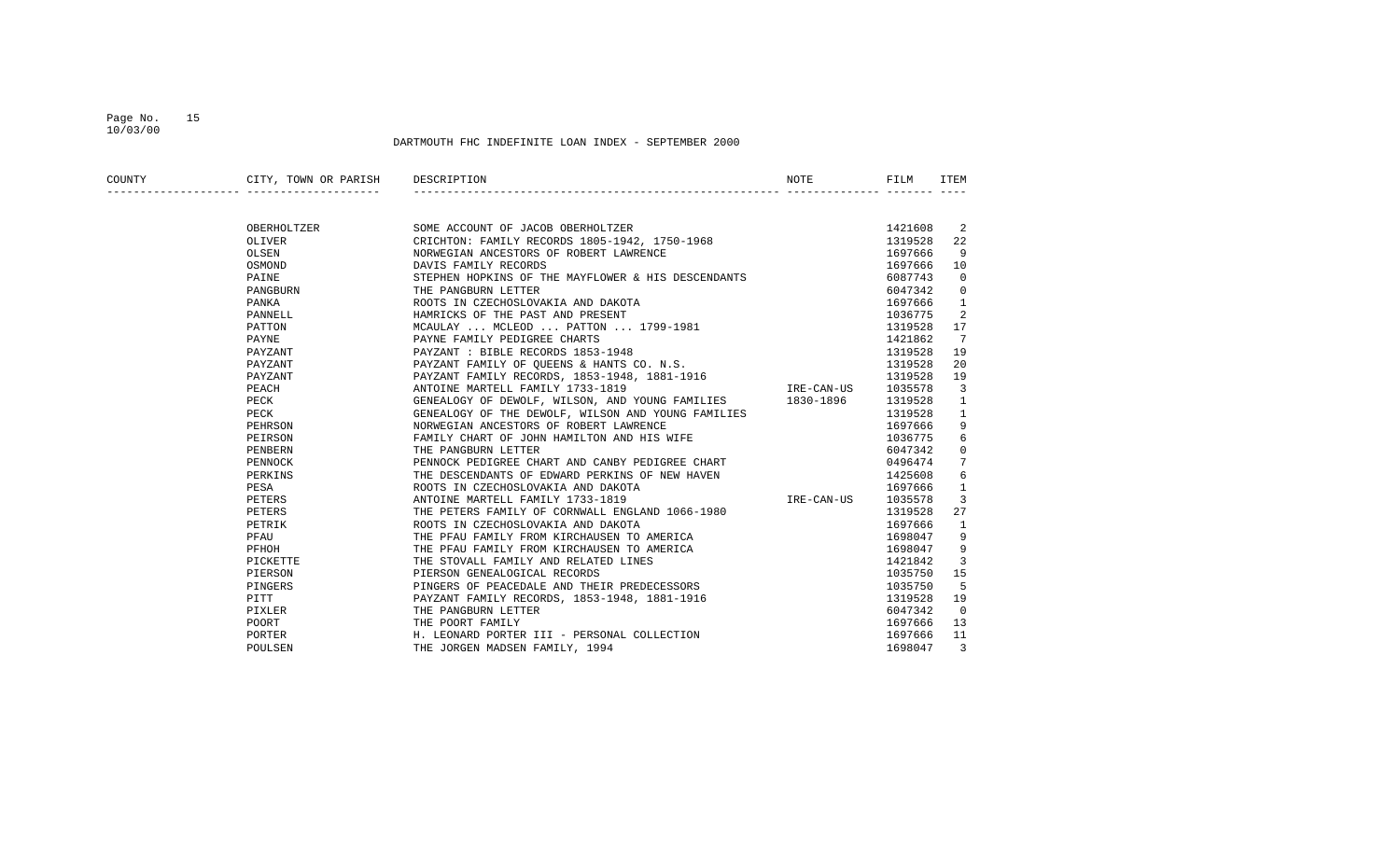## Page No. 15 10/03/00

| COUNTY | CITY, TOWN OR PARISH DESCRIPTION |                                                                                    | NOTE       | FILM    | ITEM           |
|--------|----------------------------------|------------------------------------------------------------------------------------|------------|---------|----------------|
|        |                                  |                                                                                    |            |         |                |
|        | OBERHOLTZER                      | SOME ACCOUNT OF JACOB OBERHOLTZER                                                  |            | 1421608 | -2             |
|        | OLIVER                           | CRICHTON: FAMILY RECORDS 1805-1942, 1750-1968                                      |            | 1319528 | 22             |
|        | OLSEN                            | NORWEGIAN ANCESTORS OF ROBERT LAWRENCE                                             |            | 1697666 | 9              |
|        | OSMOND                           | DAVIS FAMILY RECORDS                                                               |            | 1697666 | 10             |
|        | PAINE                            | STEPHEN HOPKINS OF THE MAYFLOWER & HIS DESCENDANTS                                 |            | 6087743 | $\overline{0}$ |
|        | PANGBURN                         | THE PANGBURN LETTER                                                                |            | 6047342 | $\overline{0}$ |
|        | PANKA                            | ROOTS IN CZECHOSLOVAKIA AND DAKOTA                                                 |            | 1697666 | $\mathbf{1}$   |
|        | PANNELL                          | HAMRICKS OF THE PAST AND PRESENT                                                   |            | 1036775 | -2             |
|        | PATTON                           | MCAULAY  MCLEOD  PATTON  1799-1981                                                 |            | 1319528 | 17             |
|        | PAYNE                            | PAYNE FAMILY PEDIGREE CHARTS                                                       |            | 1421862 | $\overline{7}$ |
|        | PAYZANT                          | PAYZANT : BIBLE RECORDS 1853-1948                                                  |            | 1319528 | 19             |
|        | PAYZANT                          | PAYZANT FAMILY OF QUEENS & HANTS CO. N.S.                                          |            | 1319528 | 20             |
|        | PAYZANT                          | PAYZANT FAMILY RECORDS, 1853-1948, 1881-1916                                       |            | 1319528 | 19             |
|        | PEACH                            | ANTOINE MARTELL FAMILY 1733-1819                                                   | IRE-CAN-US | 1035578 | $\overline{3}$ |
|        | PECK                             | GENEALOGY OF DEWOLF, WILSON, AND YOUNG FAMILIES 1830-1896                          |            | 1319528 | $\mathbf{1}$   |
|        | PECK                             | GENEALOGY OF THE DEWOLF, WILSON AND YOUNG FAMILIES                                 |            | 1319528 | $\mathbf{1}$   |
|        | PEHRSON                          | NORWEGIAN ANCESTORS OF ROBERT LAWRENCE                                             |            | 1697666 | 9              |
|        | PEIRSON                          | FAMILY CHART OF JOHN HAMILTON AND HIS WIFE                                         |            | 1036775 | 6              |
|        | PENBERN                          | THE PANGBURN LETTER                                                                |            | 6047342 | $\overline{0}$ |
|        | PENNOCK                          | PENNOCK PEDIGREE CHART AND CANBY PEDIGREE CHART                                    |            | 0496474 | 7              |
|        | PERKINS                          | THE DESCENDANTS OF EDWARD PERKINS OF NEW HAVEN                                     |            | 1425608 | 6              |
|        | PESA                             | ROOTS IN CZECHOSLOVAKIA AND DAKOTA                                                 |            | 1697666 | 1              |
|        | PETERS                           | ANTOINE MARTELL FAMILY 1733-1819                                                   | IRE-CAN-US | 1035578 | 3              |
|        | PETERS                           | THE PETERS FAMILY OF CORNWALL ENGLAND 1066-1980                                    |            | 1319528 | 27             |
|        | PETRIK                           | ROOTS IN CZECHOSLOVAKIA AND DAKOTA                                                 |            | 1697666 | $\mathbf{1}$   |
|        | PFAU                             | THE PFAU FAMILY FROM KIRCHAUSEN TO AMERICA                                         |            | 1698047 | 9              |
|        | PFHOH                            |                                                                                    |            | 1698047 | 9              |
|        | PICKETTE                         | THE PFAU FAMILY FROM KIRCHAUSEN TO AMERICA<br>THE STOVALL FAMILY AND RELATED LINES |            | 1421842 | 3              |
|        | PIERSON                          | PIERSON GENEALOGICAL RECORDS                                                       |            | 1035750 | 15             |
|        | PINGERS                          | PINGERS OF PEACEDALE AND THEIR PREDECESSORS                                        |            | 1035750 | - 5            |
|        | PITT                             | PAYZANT FAMILY RECORDS, 1853-1948, 1881-1916                                       |            | 1319528 | 19             |
|        | PIXLER                           | THE PANGBURN LETTER                                                                |            | 6047342 | $\Omega$       |
|        | POORT                            | THE POORT FAMILY                                                                   |            | 1697666 | 13             |
|        | PORTER                           | H. LEONARD PORTER III - PERSONAL COLLECTION                                        |            | 1697666 | 11             |
|        | POULSEN                          | THE JORGEN MADSEN FAMILY, 1994                                                     |            | 1698047 | 3              |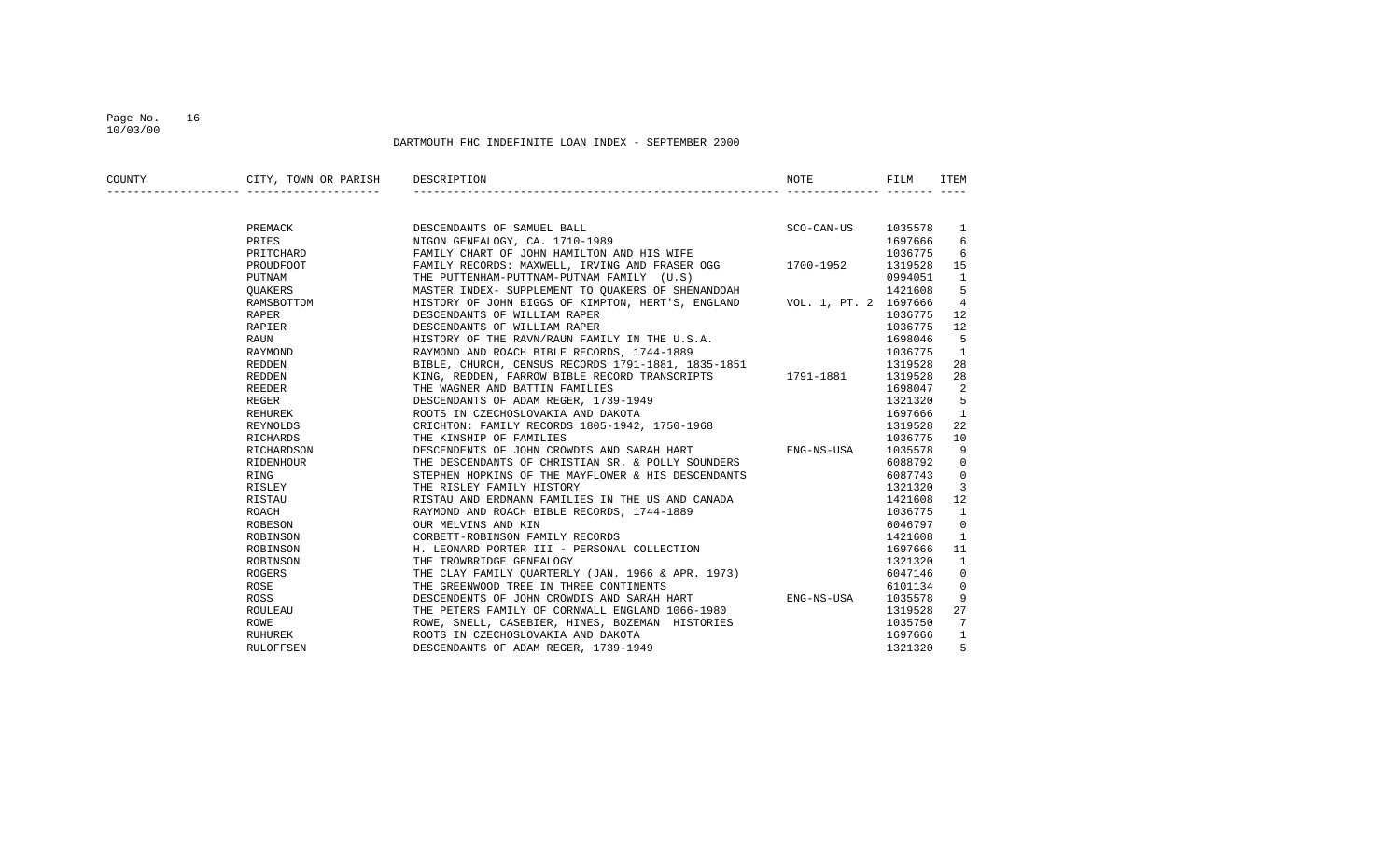## Page No. 16 10/03/00

| COUNTY | CITY, TOWN OR PARISH       | DESCRIPTION                                                                                                                                | <b>NOTE</b>          | FILM    | ITEM           |
|--------|----------------------------|--------------------------------------------------------------------------------------------------------------------------------------------|----------------------|---------|----------------|
|        |                            |                                                                                                                                            |                      |         |                |
|        | PREMACK                    | DESCENDANTS OF SAMUEL BALL<br>NIGON GENEALOGY, CA. 1710-1989                                                                               | SCO-CAN-US 1035578 1 |         |                |
|        | PRIES                      |                                                                                                                                            |                      | 1697666 | 6              |
|        | PRITCHARD                  | FAMILY CHART OF JOHN HAMILTON AND HIS WIFE                                                                                                 |                      | 1036775 | 6              |
|        | PROUDFOOT                  | FAMILY RECORDS: MAXWELL, IRVING AND FRASER OGG 1700-1952                                                                                   |                      | 1319528 | 15             |
|        | PUTNAM                     | THE PUTTENHAM-PUTTNAM-PUTNAM FAMILY (U.S)                                                                                                  |                      | 0994051 | $\mathbf{1}$   |
|        | QUAKERS                    | MASTER INDEX- SUPPLEMENT TO QUAKERS OF SHENANDOAH                                                                                          |                      | 1421608 | -5             |
|        | RAMSBOTTOM                 | HISTORY OF JOHN BIGGS OF KIMPTON, HERT'S, ENGLAND VOL. 1, PT. 2 1697666                                                                    |                      |         | 4              |
|        | RAPER                      | DESCENDANTS OF WILLIAM RAPER                                                                                                               |                      | 1036775 | 12             |
|        | RAPIER <b>Example 1999</b> | DESCENDANTS OF WILLIAM RAPER                                                                                                               |                      | 1036775 | 12             |
|        | RAUN                       | HISTORY OF THE RAVN/RAUN FAMILY IN THE U.S.A.                                                                                              |                      | 1698046 | -5             |
|        | RAYMOND                    | RAYMOND AND ROACH BIBLE RECORDS, 1744-1889                                                                                                 |                      | 1036775 | 1              |
|        | REDDEN                     |                                                                                                                                            |                      | 1319528 | 28             |
|        | REDDEN                     | , CHURCH, CENSUS RECORDS 1791-1881, 1835-1851<br>KING, REDDEN, FARROW BIBLE RECORD TRANSCRIPTS 1791-1881<br>THE WAGNER AND RATTIM FAMILIES |                      | 1319528 | 28             |
|        | REEDER                     | THE WAGNER AND BATTIN FAMILIES                                                                                                             |                      | 1698047 | 2              |
|        | REGER                      | DESCENDANTS OF ADAM REGER, 1739-1949                                                                                                       |                      | 1321320 | 5              |
|        | REHUREK                    |                                                                                                                                            |                      | 1697666 | $\overline{1}$ |
|        | REYNOLDS                   | ROOTS IN CZECHOSLOVAKIA AND DAKOTA<br>CRICHTON: FAMILY RECORDS 1805-1942, 1750-1968                                                        |                      | 1319528 | 22             |
|        | RICHARDS                   | THE KINSHIP OF FAMILIES                                                                                                                    |                      | 1036775 | 10             |
|        | RICHARDSON                 | DESCENDENTS OF JOHN CROWDIS AND SARAH HART TENG-NS-USA                                                                                     |                      | 1035578 | 9              |
|        | RIDENHOUR                  | THE DESCENDANTS OF CHRISTIAN SR. & POLLY SOUNDERS                                                                                          |                      | 6088792 | $\mathbf{0}$   |
|        | RING                       | STEPHEN HOPKINS OF THE MAYFLOWER & HIS DESCENDANTS                                                                                         |                      | 6087743 | $\mathbf{0}$   |
|        | RISLEY                     | THE RISLEY FAMILY HISTORY                                                                                                                  |                      | 1321320 | 3              |
|        | RISTAU                     | RISTAU AND ERDMANN FAMILIES IN THE US AND CANADA                                                                                           |                      | 1421608 | 12             |
|        | ROACH                      | RAYMOND AND ROACH BIBLE RECORDS, 1744-1889                                                                                                 |                      | 1036775 | $\mathbf{1}$   |
|        | ROBESON                    | OUR MELVINS AND KIN                                                                                                                        |                      | 6046797 | 0              |
|        | ROBINSON                   | CORBETT-ROBINSON FAMILY RECORDS                                                                                                            |                      | 1421608 | 1              |
|        | ROBINSON                   | H. LEONARD PORTER III - PERSONAL COLLECTION                                                                                                |                      | 1697666 | 11             |
|        | ROBINSON                   | THE TROWBRIDGE GENEALOGY                                                                                                                   |                      | 1321320 | $\mathbf{1}$   |
|        | ROGERS                     | THE CLAY FAMILY QUARTERLY (JAN. 1966 & APR. 1973)                                                                                          |                      | 6047146 | $\mathbf 0$    |
|        | ROSE                       | THE GREENWOOD TREE IN THREE CONTINENTS                                                                                                     |                      | 6101134 | $\mathbf{0}$   |
|        | ROSS                       | DESCENDENTS OF JOHN CROWDIS AND SARAH HART ENG-NS-USA                                                                                      |                      | 1035578 | 9              |
|        | ROULEAU                    | THE PETERS FAMILY OF CORNWALL ENGLAND 1066-1980                                                                                            |                      | 1319528 | 27             |
|        | ROWE                       | ROWE, SNELL, CASEBIER, HINES, BOZEMAN HISTORIES                                                                                            |                      | 1035750 | 7              |
|        | RUHUREK                    | ROOTS IN CZECHOSLOVAKIA AND DAKOTA                                                                                                         |                      | 1697666 | $\mathbf{1}$   |
|        | RULOFFSEN                  | DESCENDANTS OF ADAM REGER, 1739-1949                                                                                                       |                      | 1321320 | 5              |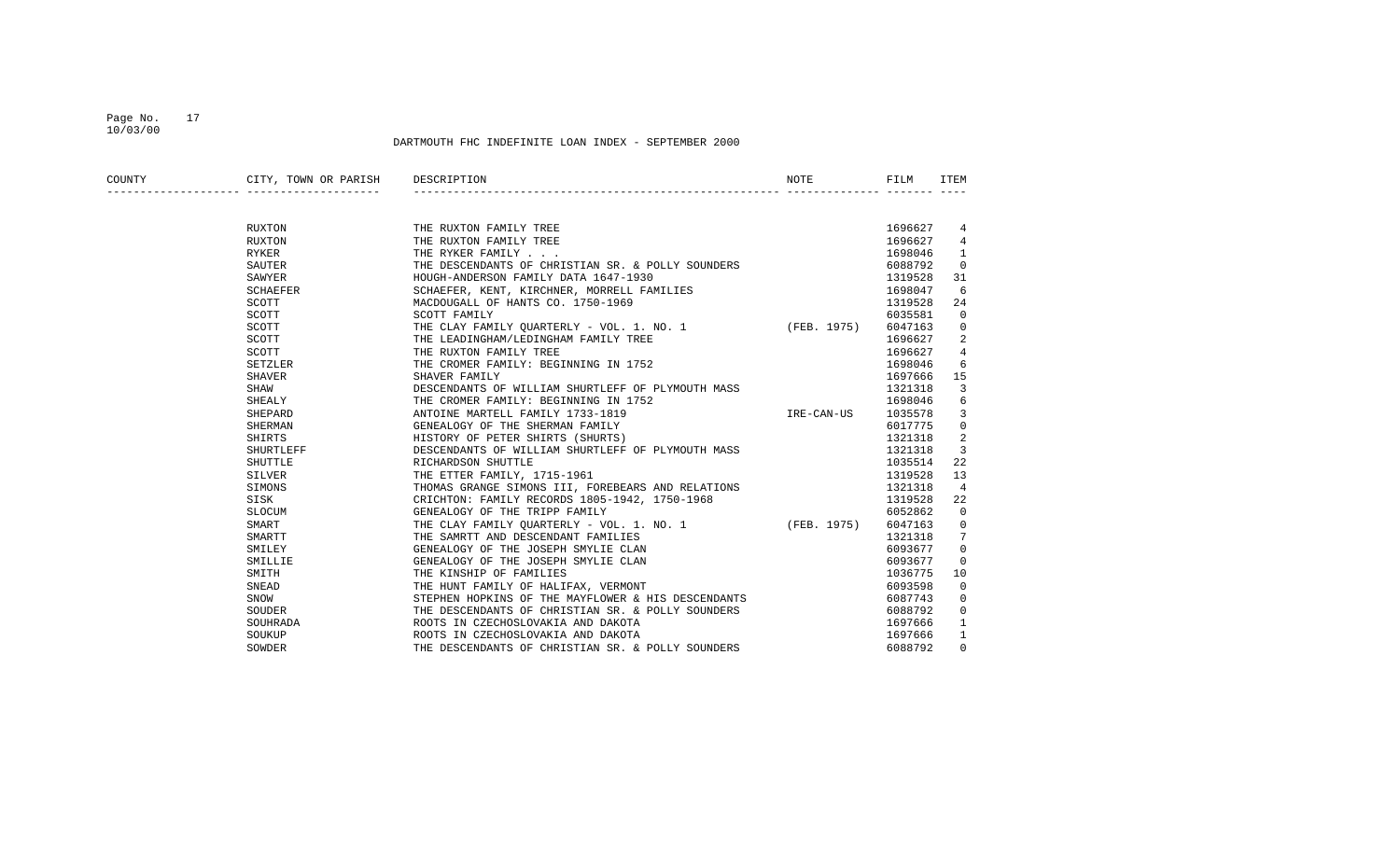## Page No. 17 10/03/00

| COUNTY | CITY, TOWN OR PARISH | DESCRIPTION                                           | NOTE       | FILM    | ITEM           |
|--------|----------------------|-------------------------------------------------------|------------|---------|----------------|
|        |                      |                                                       |            |         |                |
|        | RUXTON               | THE RUXTON FAMILY TREE                                |            | 1696627 | 4              |
|        | RUXTON               | THE RUXTON FAMILY TREE                                |            | 1696627 | 4              |
|        | RYKER                | THE RYKER FAMILY                                      |            | 1698046 | 1              |
|        | SAUTER               | THE DESCENDANTS OF CHRISTIAN SR. & POLLY SOUNDERS     |            | 6088792 | $\mathbf 0$    |
|        | SAWYER               | HOUGH-ANDERSON FAMILY DATA 1647-1930                  |            | 1319528 | 31             |
|        | SCHAEFER             | SCHAEFER, KENT, KIRCHNER, MORRELL FAMILIES            |            | 1698047 | 6              |
|        | SCOTT                | MACDOUGALL OF HANTS CO. 1750-1969                     |            | 1319528 | 24             |
|        | SCOTT                | SCOTT FAMILY                                          |            | 6035581 | 0              |
|        | SCOTT                | THE CLAY FAMILY OUARTERLY - VOL. 1. NO. 1 (FEB. 1975) |            | 6047163 | 0              |
|        | SCOTT                | THE LEADINGHAM/LEDINGHAM FAMILY TREE                  |            | 1696627 | 2              |
|        | SCOTT                | THE RUXTON FAMILY TREE                                |            | 1696627 | $\overline{4}$ |
|        | SETZLER              | THE CROMER FAMILY: BEGINNING IN 1752                  |            | 1698046 | 6              |
|        | SHAVER               | SHAVER FAMILY                                         |            | 1697666 | 15             |
|        | SHAW                 | DESCENDANTS OF WILLIAM SHURTLEFF OF PLYMOUTH MASS     |            | 1321318 | 3              |
|        | SHEALY               | THE CROMER FAMILY: BEGINNING IN 1752                  |            | 1698046 | 6              |
|        | SHEPARD              | ANTOINE MARTELL FAMILY 1733-1819                      | IRE-CAN-US | 1035578 | 3              |
|        | SHERMAN              | GENEALOGY OF THE SHERMAN FAMILY                       |            | 6017775 | 0              |
|        | SHIRTS               | HISTORY OF PETER SHIRTS (SHURTS)                      |            | 1321318 | 2              |
|        | SHURTLEFF            | DESCENDANTS OF WILLIAM SHURTLEFF OF PLYMOUTH MASS     |            | 1321318 | 3              |
|        | SHUTTLE              | RICHARDSON SHUTTLE                                    |            | 1035514 | 22             |
|        | SILVER               | THE ETTER FAMILY, 1715-1961                           |            | 1319528 | 13             |
|        | SIMONS               | THOMAS GRANGE SIMONS III, FOREBEARS AND RELATIONS     |            | 1321318 | 4              |
|        | SISK                 | CRICHTON: FAMILY RECORDS 1805-1942, 1750-1968         |            | 1319528 | 22             |
|        | SLOCUM               | GENEALOGY OF THE TRIPP FAMILY                         |            | 6052862 | $\mathbf 0$    |
|        | SMART                | THE CLAY FAMILY QUARTERLY - VOL. 1. NO. 1 (FEB. 1975) |            | 6047163 | 0              |
|        | SMARTT               | THE SAMRTT AND DESCENDANT FAMILIES                    |            | 1321318 | 7              |
|        | SMILEY               | GENEALOGY OF THE JOSEPH SMYLIE CLAN                   |            | 6093677 | 0              |
|        | SMILLIE              | GENEALOGY OF THE JOSEPH SMYLIE CLAN                   |            | 6093677 | 0              |
|        | SMITH                | THE KINSHIP OF FAMILIES                               |            | 1036775 | 10             |
|        | SNEAD                | THE HUNT FAMILY OF HALIFAX, VERMONT                   |            | 6093598 | $\mathbf 0$    |
|        | SNOW                 | STEPHEN HOPKINS OF THE MAYFLOWER & HIS DESCENDANTS    |            | 6087743 | $\mathbf 0$    |
|        | SOUDER               | THE DESCENDANTS OF CHRISTIAN SR. & POLLY SOUNDERS     |            | 6088792 | $\mathbf 0$    |
|        | SOUHRADA             | ROOTS IN CZECHOSLOVAKIA AND DAKOTA                    |            | 1697666 | 1              |
|        | SOUKUP               | ROOTS IN CZECHOSLOVAKIA AND DAKOTA                    |            | 1697666 | 1              |
|        | SOWDER               | THE DESCENDANTS OF CHRISTIAN SR. & POLLY SOUNDERS     |            | 6088792 | $\Omega$       |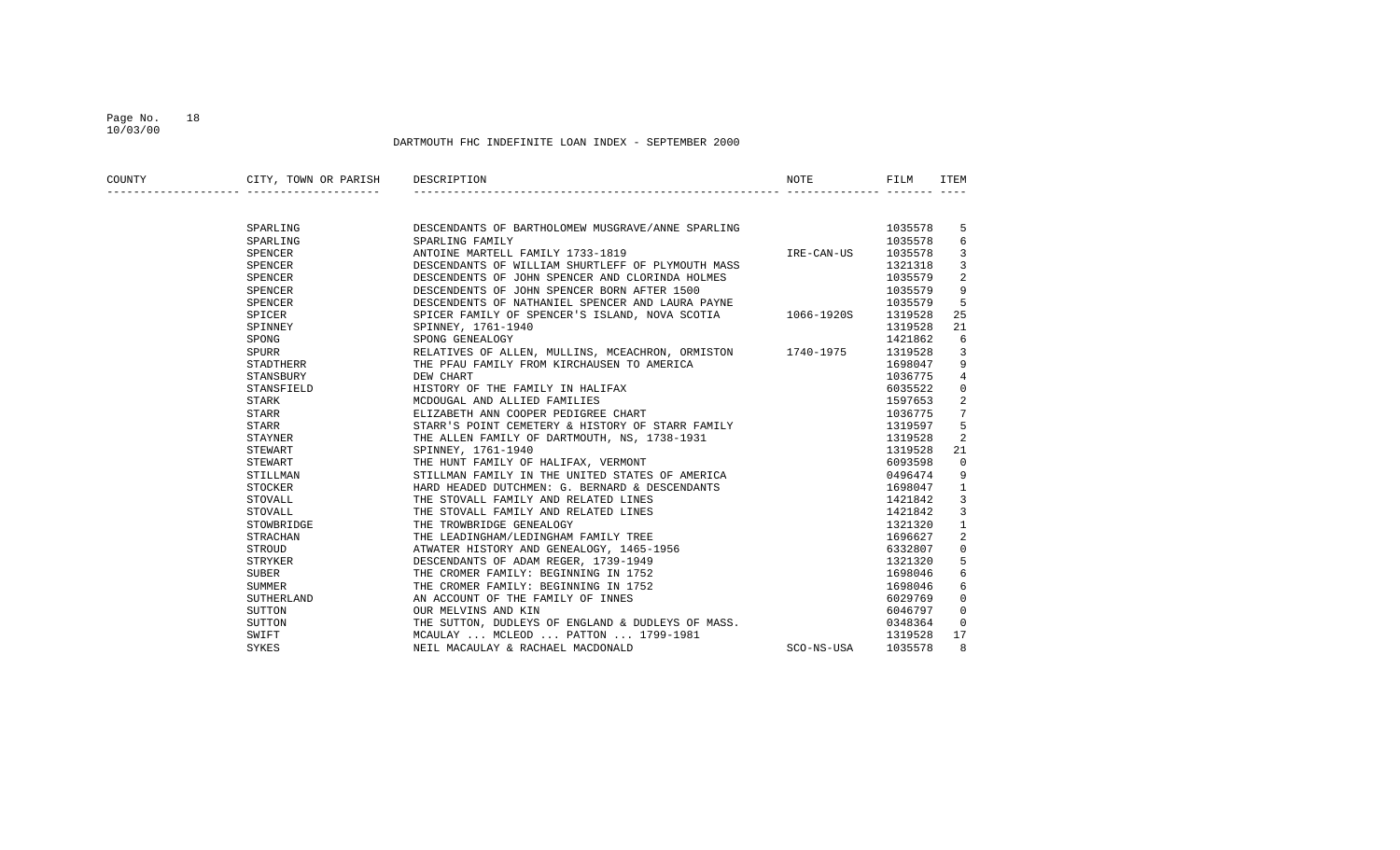## Page No. 18 10/03/00

| COUNTY | CITY, TOWN OR PARISH | DESCRIPTION                                                                                              | NOTE       | FILM    | ITEM           |
|--------|----------------------|----------------------------------------------------------------------------------------------------------|------------|---------|----------------|
|        |                      |                                                                                                          |            |         |                |
|        | SPARLING             | DESCENDANTS OF BARTHOLOMEW MUSGRAVE/ANNE SPARLING                                                        |            | 1035578 | 5              |
|        | SPARLING             | SPARLING FAMILY                                                                                          |            | 1035578 | 6              |
|        | SPENCER              | ANTOINE MARTELL FAMILY 1733-1819                                                                         | IRE-CAN-US | 1035578 | 3              |
|        | SPENCER              | DESCENDANTS OF WILLIAM SHURTLEFF OF PLYMOUTH MASS                                                        |            | 1321318 | 3              |
|        | SPENCER              | DESCENDENTS OF JOHN SPENCER AND CLORINDA HOLMES                                                          |            | 1035579 | 2              |
|        | SPENCER              | DESCENDENTS OF JOHN SPENCER BORN AFTER 1500                                                              |            | 1035579 | 9              |
|        | SPENCER              | DESCENDENTS OF NATHANIEL SPENCER AND LAURA PAYNE                                                         |            | 1035579 | 5              |
|        | SPICER               | SPICER FAMILY OF SPENCER'S ISLAND, NOVA SCOTIA 1066-1920S                                                |            | 1319528 | 25             |
|        | SPINNEY              | SPINNEY, 1761-1940                                                                                       |            | 1319528 | 21             |
|        | SPONG                | SPONG GENEALOGY                                                                                          |            | 1421862 | 6              |
|        | SPURR                | RELATIVES OF ALLEN, MULLINS, MCEACHRON, ORMISTON 1740-1975                                               |            | 1319528 | 3              |
|        | STADTHERR            | THE PFAU FAMILY FROM KIRCHAUSEN TO AMERICA                                                               |            | 1698047 | 9              |
|        | STANSBURY            | DEW CHART                                                                                                |            | 1036775 | $\overline{4}$ |
|        | STANSFIELD           | HISTORY OF THE FAMILY IN HALIFAX                                                                         |            | 6035522 | $\Omega$       |
|        | STARK                | MCDOUGAL AND ALLIED FAMILIES                                                                             |            | 1597653 | $\overline{2}$ |
|        | STARR                | ELIZABETH ANN COOPER PEDIGREE CHART                                                                      |            | 1036775 | 7              |
|        | STARR                | STARR'S POINT CEMETERY & HISTORY OF STARR FAMILY                                                         |            | 1319597 | 5              |
|        | STAYNER              | THE ALLEN FAMILY OF DARTMOUTH, NS, 1738-1931                                                             |            | 1319528 | 2              |
|        | STEWART              | SPINNEY, 1761-1940                                                                                       |            | 1319528 | 21             |
|        | STEWART              | THE HUNT FAMILY OF HALIFAX, VERMONT                                                                      |            | 6093598 | $\Omega$       |
|        | STILLMAN             | STILLMAN FAMILY IN THE UNITED STATES OF AMERICA                                                          |            | 0496474 | 9              |
|        | STOCKER              | HARD HEADED DUTCHMEN: G. BERNARD & DESCENDANTS                                                           |            | 1698047 | $\mathbf{1}$   |
|        | STOVALL              | THE STOVALL FAMILY AND RELATED LINES                                                                     |            | 1421842 | 3              |
|        | STOVALL              | THE STOVALL FAMILY AND RELATED LINES<br>THE TROWBRIDGE GENEALOGY<br>THE LEADINGHAM/LEDINGHAM FAMILY TREE |            | 1421842 | 3              |
|        | STOWBRIDGE           |                                                                                                          |            | 1321320 | $\mathbf{1}$   |
|        | STRACHAN             |                                                                                                          |            | 1696627 | 2              |
|        | STROUD               | ATWATER HISTORY AND GENEALOGY, 1465-1956                                                                 |            | 6332807 | $\Omega$       |
|        | STRYKER              | DESCENDANTS OF ADAM REGER, 1739-1949                                                                     |            | 1321320 | 5              |
|        | SUBER                | THE CROMER FAMILY: BEGINNING IN 1752                                                                     |            | 1698046 | 6              |
|        | SUMMER               | THE CROMER FAMILY: BEGINNING IN 1752                                                                     |            | 1698046 | 6              |
|        | SUTHERLAND           | AN ACCOUNT OF THE FAMILY OF INNES                                                                        |            | 6029769 | $\mathbf 0$    |
|        | SUTTON               | OUR MELVINS AND KIN                                                                                      |            | 6046797 | $\Omega$       |
|        | SUTTON               | THE SUTTON, DUDLEYS OF ENGLAND & DUDLEYS OF MASS.                                                        |            | 0348364 | $\Omega$       |
|        | SWIFT                | MCAULAY  MCLEOD  PATTON  1799-1981                                                                       |            | 1319528 | 17             |
|        | SYKES                | NEIL MACAULAY & RACHAEL MACDONALD                                                                        | SCO-NS-USA | 1035578 | 8              |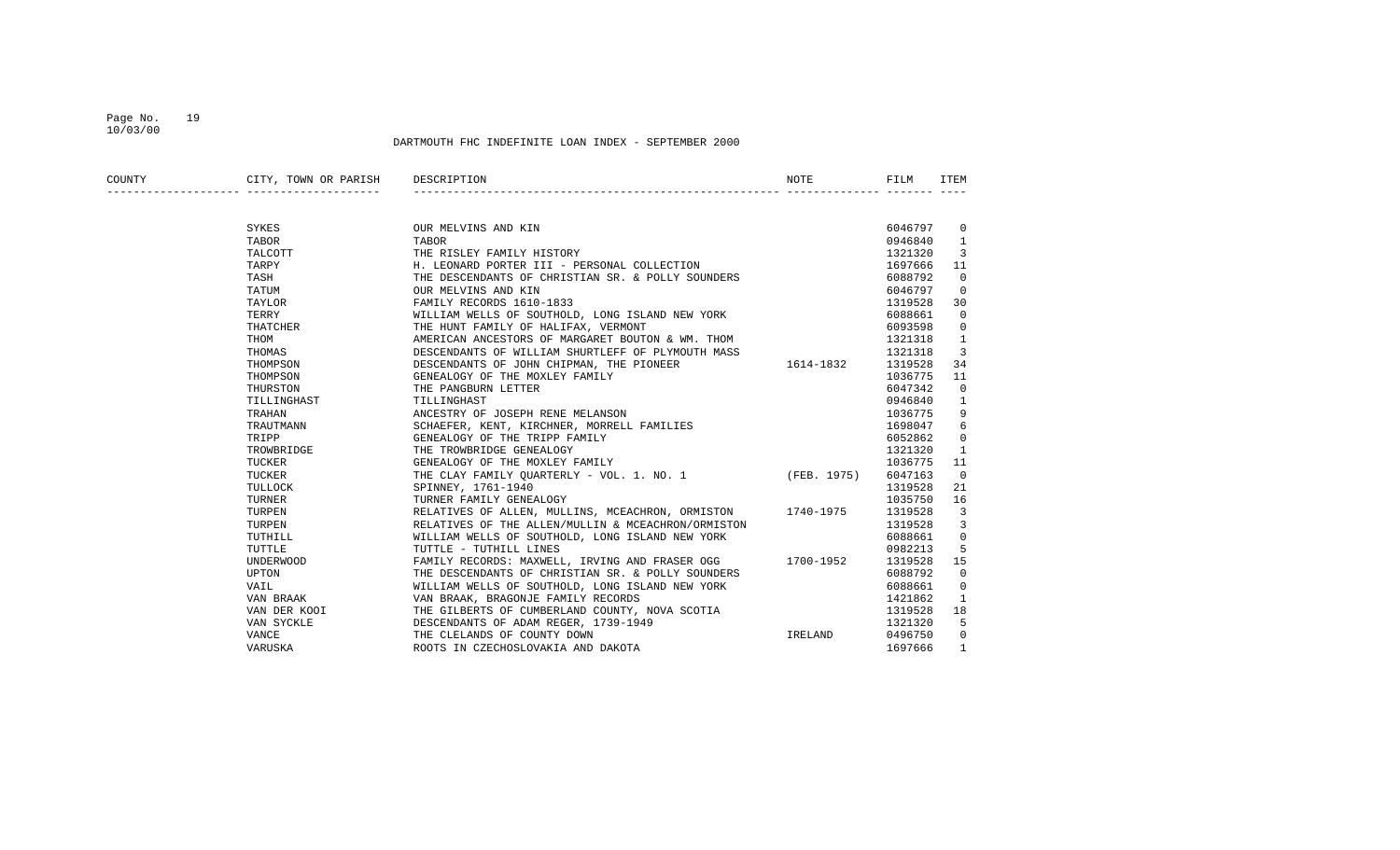## Page No. 19 10/03/00

| COUNTY | CITY, TOWN OR PARISH<br>_______________________________ | DESCRIPTION                                                | NOTE    | FILM    | ITEM                     |
|--------|---------------------------------------------------------|------------------------------------------------------------|---------|---------|--------------------------|
|        |                                                         |                                                            |         |         |                          |
|        | SYKES                                                   | OUR MELVINS AND KIN                                        |         | 6046797 | $\overline{\phantom{0}}$ |
|        | TABOR                                                   | TABOR                                                      |         | 0946840 | $\overline{1}$           |
|        | TALCOTT                                                 | THE RISLEY FAMILY HISTORY                                  |         | 1321320 | 3                        |
|        | TARPY                                                   | H. LEONARD PORTER III - PERSONAL COLLECTION                |         | 1697666 | 11                       |
|        | TASH                                                    | THE DESCENDANTS OF CHRISTIAN SR. & POLLY SOUNDERS          |         | 6088792 | $\overline{0}$           |
|        | TATUM                                                   | OUR MELVINS AND KIN                                        |         | 6046797 | $\overline{0}$           |
|        | TAYLOR                                                  | FAMILY RECORDS 1610-1833                                   |         | 1319528 | 30                       |
|        | TERRY                                                   | WILLIAM WELLS OF SOUTHOLD, LONG ISLAND NEW YORK            |         | 6088661 | $\mathbf 0$              |
|        | THATCHER                                                | THE HUNT FAMILY OF HALIFAX, VERMONT                        |         | 6093598 | $\mathbf 0$              |
|        | THOM                                                    | AMERICAN ANCESTORS OF MARGARET BOUTON & WM. THOM           |         | 1321318 | 1                        |
|        | THOMAS                                                  | DESCENDANTS OF WILLIAM SHURTLEFF OF PLYMOUTH MASS          |         | 1321318 | 3                        |
|        | THOMPSON                                                | DESCENDANTS OF JOHN CHIPMAN, THE PIONEER 1614-1832         |         | 1319528 | 34                       |
|        | THOMPSON                                                | GENEALOGY OF THE MOXLEY FAMILY                             |         | 1036775 | 11                       |
|        | THURSTON                                                | THE PANGBURN LETTER                                        |         | 6047342 | $\mathbf 0$              |
|        | TILLINGHAST                                             | TILLINGHAST                                                |         | 0946840 | 1                        |
|        | TRAHAN                                                  | ANCESTRY OF JOSEPH RENE MELANSON                           |         | 1036775 | 9                        |
|        | TRAUTMANN                                               | SCHAEFER, KENT, KIRCHNER, MORRELL FAMILIES                 |         | 1698047 | 6                        |
|        | TRIPP                                                   | GENEALOGY OF THE TRIPP FAMILY                              |         | 6052862 | 0                        |
|        | TROWBRIDGE                                              | THE TROWBRIDGE GENEALOGY                                   |         | 1321320 | $\mathbf{1}$             |
|        | TUCKER                                                  | GENEALOGY OF THE MOXLEY FAMILY                             |         | 1036775 | 11                       |
|        | TUCKER                                                  | THE CLAY FAMILY QUARTERLY - VOL. 1. NO. 1 (FEB. 1975)      |         | 6047163 | $\overline{0}$           |
|        | TULLOCK                                                 | SPINNEY, 1761-1940                                         |         | 1319528 | 21                       |
|        | TURNER                                                  | TURNER FAMILY GENEALOGY                                    |         | 1035750 | 16                       |
|        | TURPEN                                                  | RELATIVES OF ALLEN, MULLINS, MCEACHRON, ORMISTON 1740-1975 |         | 1319528 | $\overline{3}$           |
|        | TURPEN                                                  | RELATIVES OF THE ALLEN/MULLIN & MCEACHRON/ORMISTON         |         | 1319528 | 3                        |
|        | TUTHILL                                                 | WILLIAM WELLS OF SOUTHOLD, LONG ISLAND NEW YORK            |         | 6088661 | $\mathbf 0$              |
|        | TUTTLE                                                  | TUTTLE - TUTHILL LINES                                     |         | 0982213 | 5                        |
|        | UNDERWOOD                                               | FAMILY RECORDS: MAXWELL, IRVING AND FRASER OGG 1700-1952   |         | 1319528 | 15                       |
|        | UPTON                                                   | THE DESCENDANTS OF CHRISTIAN SR. & POLLY SOUNDERS          |         | 6088792 | $\mathbf 0$              |
|        | VAIL                                                    | WILLIAM WELLS OF SOUTHOLD, LONG ISLAND NEW YORK            |         | 6088661 | $\mathbf 0$              |
|        | VAN BRAAK                                               | VAN BRAAK, BRAGONJE FAMILY RECORDS                         |         | 1421862 | 1                        |
|        | VAN DER KOOI                                            | THE GILBERTS OF CUMBERLAND COUNTY, NOVA SCOTIA             |         | 1319528 | 18                       |
|        | VAN SYCKLE                                              | DESCENDANTS OF ADAM REGER, 1739-1949                       |         | 1321320 | 5                        |
|        | VANCE                                                   | THE CLELANDS OF COUNTY DOWN                                | IRELAND | 0496750 | $\overline{0}$           |
|        | VARUSKA                                                 | ROOTS IN CZECHOSLOVAKIA AND DAKOTA                         |         | 1697666 | $\mathbf{1}$             |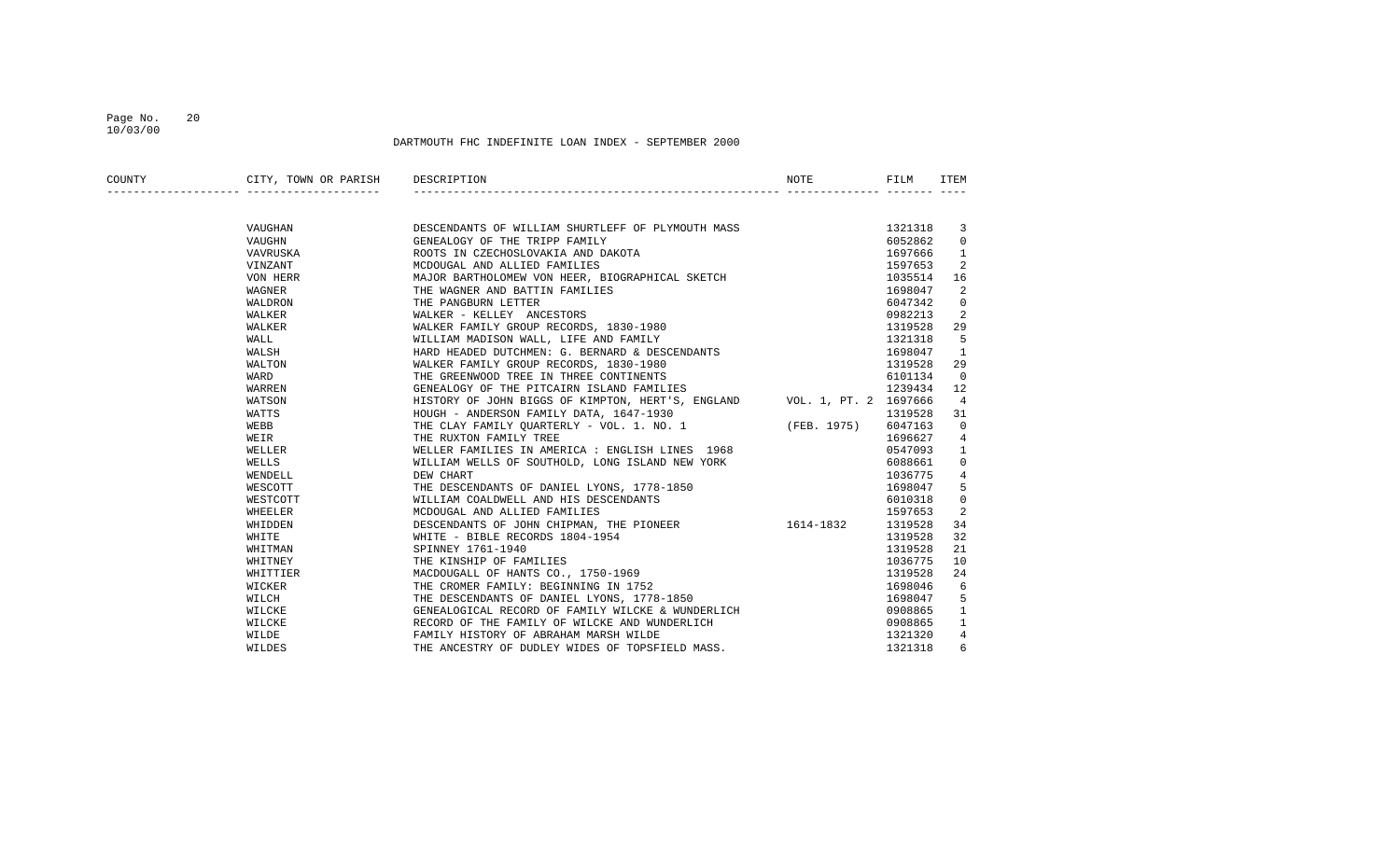#### Page No. 20 10/03/00

| COUNTY | CITY, TOWN OR PARISH<br>______________________ | DESCRIPTION                                                                                                              | NOTE | FILM    | ITEM           |
|--------|------------------------------------------------|--------------------------------------------------------------------------------------------------------------------------|------|---------|----------------|
|        |                                                |                                                                                                                          |      |         |                |
|        | VAUGHAN                                        | DESCENDANTS OF WILLIAM SHURTLEFF OF PLYMOUTH MASS                                                                        |      | 1321318 | $\overline{3}$ |
|        | VAUGHN                                         | GENEALOGY OF THE TRIPP FAMILY                                                                                            |      | 6052862 | $\mathbf{0}$   |
|        | VAVRUSKA                                       | ROOTS IN CZECHOSLOVAKIA AND DAKOTA                                                                                       |      | 1697666 | 1              |
|        | VINZANT                                        | MCDOUGAL AND ALLIED FAMILIES                                                                                             |      | 1597653 | 2              |
|        | VON HERR                                       | MAJOR BARTHOLOMEW VON HEER, BIOGRAPHICAL SKETCH                                                                          |      | 1035514 | 16             |
|        | WAGNER                                         | THE WAGNER AND BATTIN FAMILIES                                                                                           |      | 1698047 | 2              |
|        | WALDRON                                        | THE PANGBURN LETTER                                                                                                      |      | 6047342 | $\mathbf 0$    |
|        | WALKER                                         | WALKER - KELLEY ANCESTORS                                                                                                |      | 0982213 | 2              |
|        | WALKER                                         | WALKER FAMILY GROUP RECORDS, 1830-1980                                                                                   |      | 1319528 | 29             |
|        | WALL                                           | WILLIAM MADISON WALL, LIFE AND FAMILY                                                                                    |      | 1321318 | 5              |
|        | WALSH                                          | HARD HEADED DUTCHMEN: G. BERNARD & DESCENDANTS                                                                           |      | 1698047 | 1              |
|        | WALTON                                         | WALKER FAMILY GROUP RECORDS, 1830-1980                                                                                   |      | 1319528 | 29             |
|        | WARD                                           | THE GREENWOOD TREE IN THREE CONTINENTS                                                                                   |      | 6101134 | $\mathbf 0$    |
|        | WARREN                                         | GENEALOGY OF THE PITCAIRN ISLAND FAMILIES                                                                                |      | 1239434 | 12             |
|        | WATSON                                         | HISTORY OF JOHN BIGGS OF KIMPTON, HERT'S, ENGLAND VOL. 1, PT. 2 1697666                                                  |      |         | $\overline{4}$ |
|        | WATTS                                          |                                                                                                                          |      | 1319528 | 31             |
|        | WEBB                                           | HOUGH - ANDERSON FAMILY DATA, 1647-1930<br>THE CLAY FAMILY QUARTERLY - VOL. 1. NO. 1 (FEB. 1975)                         |      | 6047163 | $\mathbf 0$    |
|        | WEIR                                           | THE RUXTON FAMILY TREE                                                                                                   |      | 1696627 | $\overline{4}$ |
|        | WELLER                                         | WELLER FAMILIES IN AMERICA : ENGLISH LINES 1968                                                                          |      | 0547093 | 1              |
|        | WELLS                                          | WILLIAM WELLS OF SOUTHOLD, LONG ISLAND NEW YORK                                                                          |      | 6088661 | 0              |
|        | WENDELL                                        | DEW CHART                                                                                                                |      | 1036775 | 4              |
|        | WESCOTT                                        | THE DESCENDANTS OF DANIEL LYONS, 1778-1850                                                                               |      | 1698047 | 5              |
|        | WESTCOTT                                       | WILLIAM COALDWELL AND HIS DESCENDANTS                                                                                    |      | 6010318 | $\mathbf 0$    |
|        | WHEELER                                        | MCDOUGAL AND ALLIED FAMILIES                                                                                             |      | 1597653 | 2              |
|        | WHIDDEN                                        | DESCENDANTS OF JOHN CHIPMAN, THE PIONEER 1614-1832                                                                       |      | 1319528 | 34             |
|        | WHITE                                          | WHITE - BIBLE RECORDS 1804-1954                                                                                          |      | 1319528 | 32             |
|        | WHITMAN                                        | SPINNEY 1761-1940                                                                                                        |      | 1319528 | 21             |
|        | WHITNEY                                        | THE KINSHIP OF FAMILIES                                                                                                  |      | 1036775 | 10             |
|        | WHITTIER                                       |                                                                                                                          |      | 1319528 | 24             |
|        | WICKER                                         |                                                                                                                          |      | 1698046 | 6              |
|        | WILCH                                          | MACDOUGALL OF HANTS CO., 1750-1969<br>THE CROMER FAMILY: BEGINNING IN 1752<br>THE DESCENDANTS OF DANIEL LYONS, 1778-1850 |      | 1698047 | 5              |
|        | WILCKE                                         | GENEALOGICAL RECORD OF FAMILY WILCKE & WUNDERLICH                                                                        |      | 0908865 | 1              |
|        | WILCKE                                         | RECORD OF THE FAMILY OF WILCKE AND WUNDERLICH                                                                            |      | 0908865 | $\mathbf{1}$   |
|        | WILDE                                          | FAMILY HISTORY OF ABRAHAM MARSH WILDE                                                                                    |      | 1321320 | 4              |
|        | WILDES                                         | THE ANCESTRY OF DUDLEY WIDES OF TOPSFIELD MASS.                                                                          |      | 1321318 | 6              |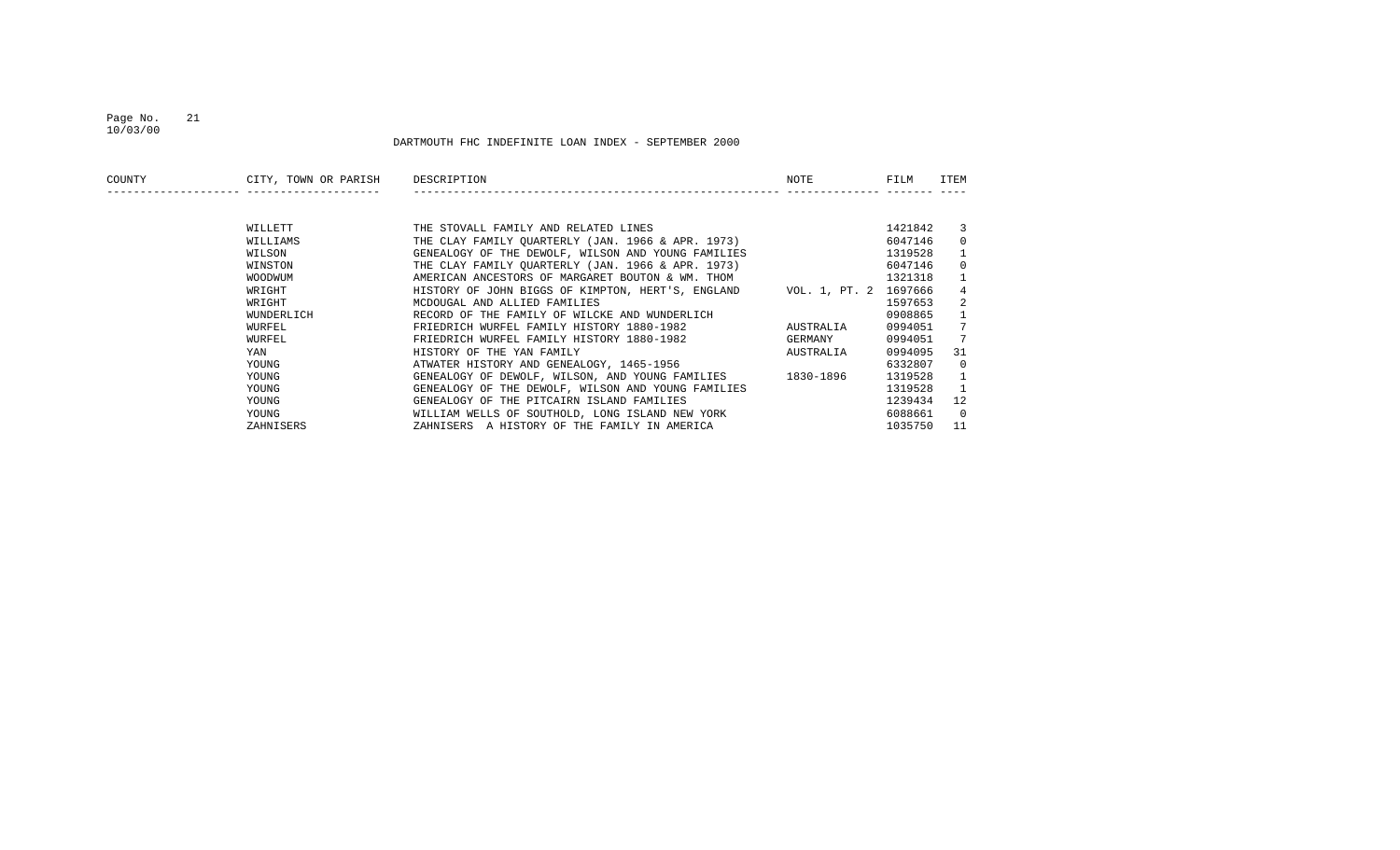#### Page No. 21 10/03/00

| COUNTY | CITY, TOWN OR PARISH | DESCRIPTION                                        | NOTE                  | FILM    | ITEM |
|--------|----------------------|----------------------------------------------------|-----------------------|---------|------|
|        |                      |                                                    |                       |         |      |
|        | WILLETT              | THE STOVALL FAMILY AND RELATED LINES               |                       | 1421842 |      |
|        | WILLIAMS             | THE CLAY FAMILY OUARTERLY (JAN. 1966 & APR. 1973)  |                       | 6047146 |      |
|        | WILSON               | GENEALOGY OF THE DEWOLF, WILSON AND YOUNG FAMILIES |                       | 1319528 |      |
|        | WINSTON              | THE CLAY FAMILY OUARTERLY (JAN. 1966 & APR. 1973)  |                       | 6047146 |      |
|        | WOODWUM              | AMERICAN ANCESTORS OF MARGARET BOUTON & WM. THOM   |                       | 1321318 |      |
|        | WRIGHT               | HISTORY OF JOHN BIGGS OF KIMPTON, HERT'S, ENGLAND  | VOL. 1, PT. 2 1697666 |         |      |
|        | WRIGHT               | MCDOUGAL AND ALLIED FAMILIES                       |                       | 1597653 |      |
|        | WUNDERLICH           | RECORD OF THE FAMILY OF WILCKE AND WUNDERLICH      |                       | 0908865 |      |
|        | WURFEL               | FRIEDRICH WURFEL FAMILY HISTORY 1880-1982          | AUSTRALIA             | 0994051 |      |
|        | WURFEL               | FRIEDRICH WURFEL FAMILY HISTORY 1880-1982          | GERMANY               | 0994051 |      |
|        | YAN                  | HISTORY OF THE YAN FAMILY                          | AUSTRALIA             | 0994095 | 31   |
|        | YOUNG                | ATWATER HISTORY AND GENEALOGY, 1465-1956           |                       | 6332807 |      |
|        | YOUNG                | GENEALOGY OF DEWOLF, WILSON, AND YOUNG FAMILIES    | 1830-1896             | 1319528 |      |
|        | YOUNG                | GENEALOGY OF THE DEWOLF, WILSON AND YOUNG FAMILIES |                       | 1319528 |      |
|        | YOUNG                | GENEALOGY OF THE PITCAIRN ISLAND FAMILIES          |                       | 1239434 | 12   |
|        | YOUNG                | WILLIAM WELLS OF SOUTHOLD, LONG ISLAND NEW YORK    |                       | 6088661 | - 0  |
|        | ZAHNISERS            | ZAHNISERS A HISTORY OF THE FAMILY IN AMERICA       |                       | 1035750 | 11   |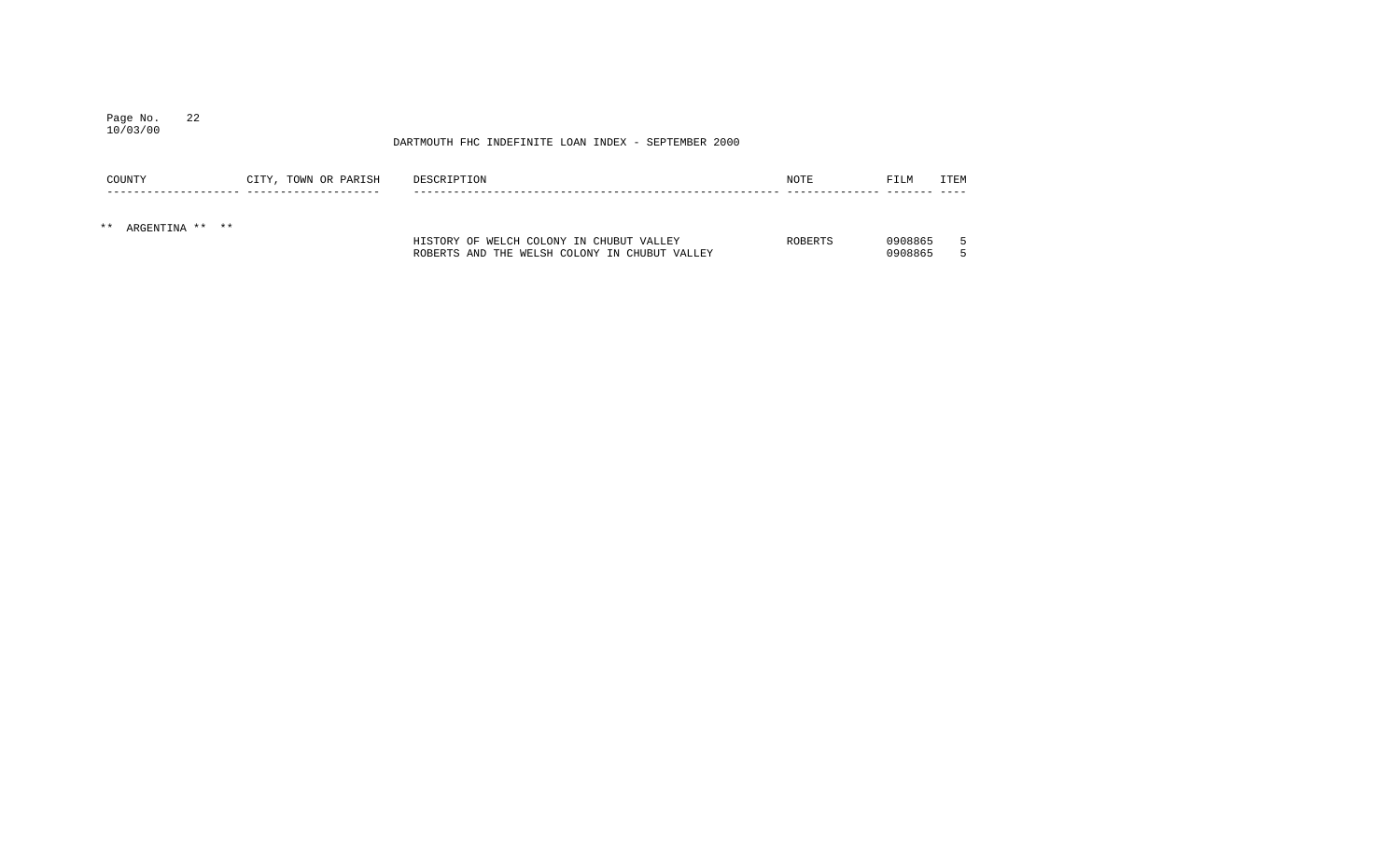## Page No. 22 10/03/00

| COUNTY                   | CITY, TOWN OR PARISH | DESCRIPTION                                                                               | <b>NOTE</b> | FILM               | <b>ITEM</b> |
|--------------------------|----------------------|-------------------------------------------------------------------------------------------|-------------|--------------------|-------------|
| $***$<br>ARGENTINA ** ** |                      | HISTORY OF WELCH COLONY IN CHUBUT VALLEY<br>ROBERTS AND THE WELSH COLONY IN CHUBUT VALLEY | ROBERTS     | 0908865<br>0908865 |             |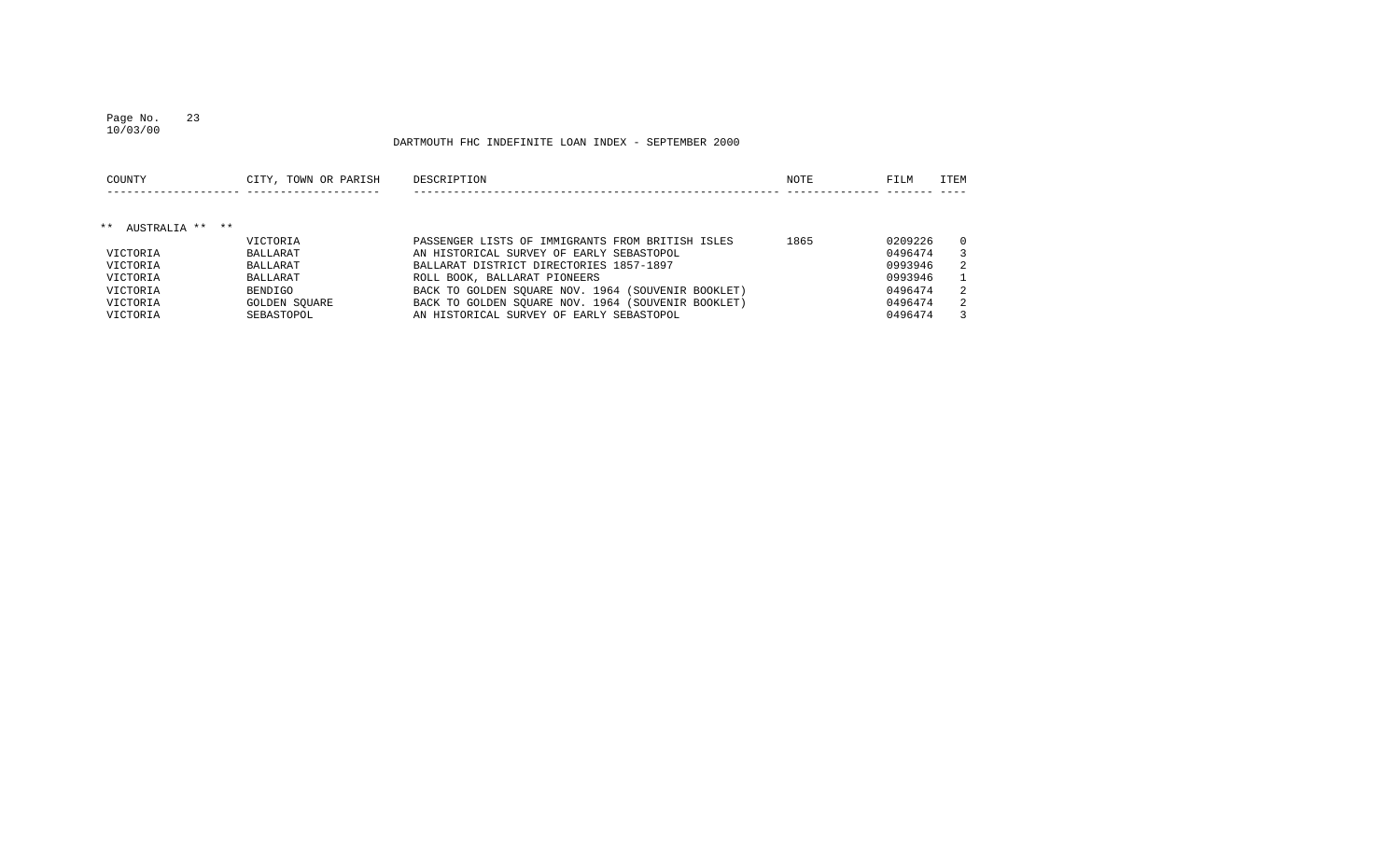## Page No. 23

DARTMOUTH FHC INDEFINITE LOAN INDEX - SEPTEMBER 2000

| COUNTY                   | CITY, TOWN OR PARISH | DESCRIPTION                                        | NOTE | FILM    | <b>ITEM</b> |
|--------------------------|----------------------|----------------------------------------------------|------|---------|-------------|
| AUSTRALIA ** **<br>$***$ |                      |                                                    |      |         |             |
|                          | <b>VICTORIA</b>      | PASSENGER LISTS OF IMMIGRANTS FROM BRITISH ISLES   | 1865 | 0209226 | $\Omega$    |
| VICTORIA                 | <b>BALLARAT</b>      | AN HISTORICAL SURVEY OF EARLY SEBASTOPOL           |      | 0496474 | 3           |
| VICTORIA                 | <b>BALLARAT</b>      | BALLARAT DISTRICT DIRECTORIES 1857-1897            |      | 0993946 | 2           |
| VICTORIA                 | <b>BALLARAT</b>      | ROLL BOOK, BALLARAT PIONEERS                       |      | 0993946 |             |
| VICTORIA                 | <b>BENDIGO</b>       | BACK TO GOLDEN SQUARE NOV. 1964 (SOUVENIR BOOKLET) |      | 0496474 | 2           |
| VICTORIA                 | GOLDEN SOUARE        | BACK TO GOLDEN SOUARE NOV. 1964 (SOUVENIR BOOKLET) |      | 0496474 | -2.         |
| VICTORIA                 | SEBASTOPOL           | AN HISTORICAL SURVEY OF EARLY SEBASTOPOL           |      | 0496474 | 3           |

10/03/00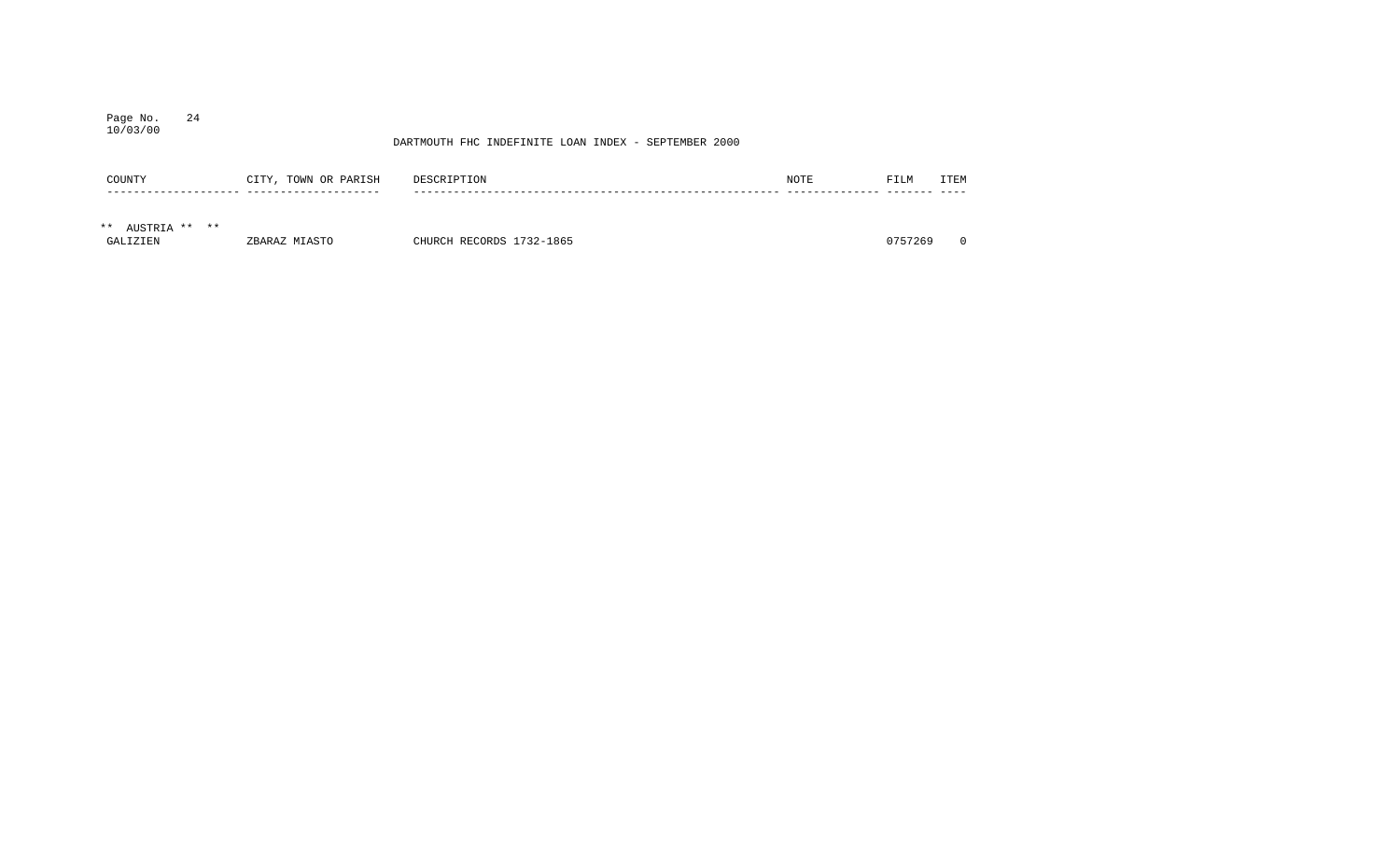## Page No. 24 10/03/00

| COUNTY           | CITY, TOWN OR PARISH | DESCRIPTION              | NOTE | FILM    | ITEM |
|------------------|----------------------|--------------------------|------|---------|------|
|                  |                      |                          |      |         |      |
| ** AUSTRIA ** ** |                      |                          |      |         |      |
| GALIZIEN         | ZBARAZ MIASTO        | CHURCH RECORDS 1732-1865 |      | 0757269 |      |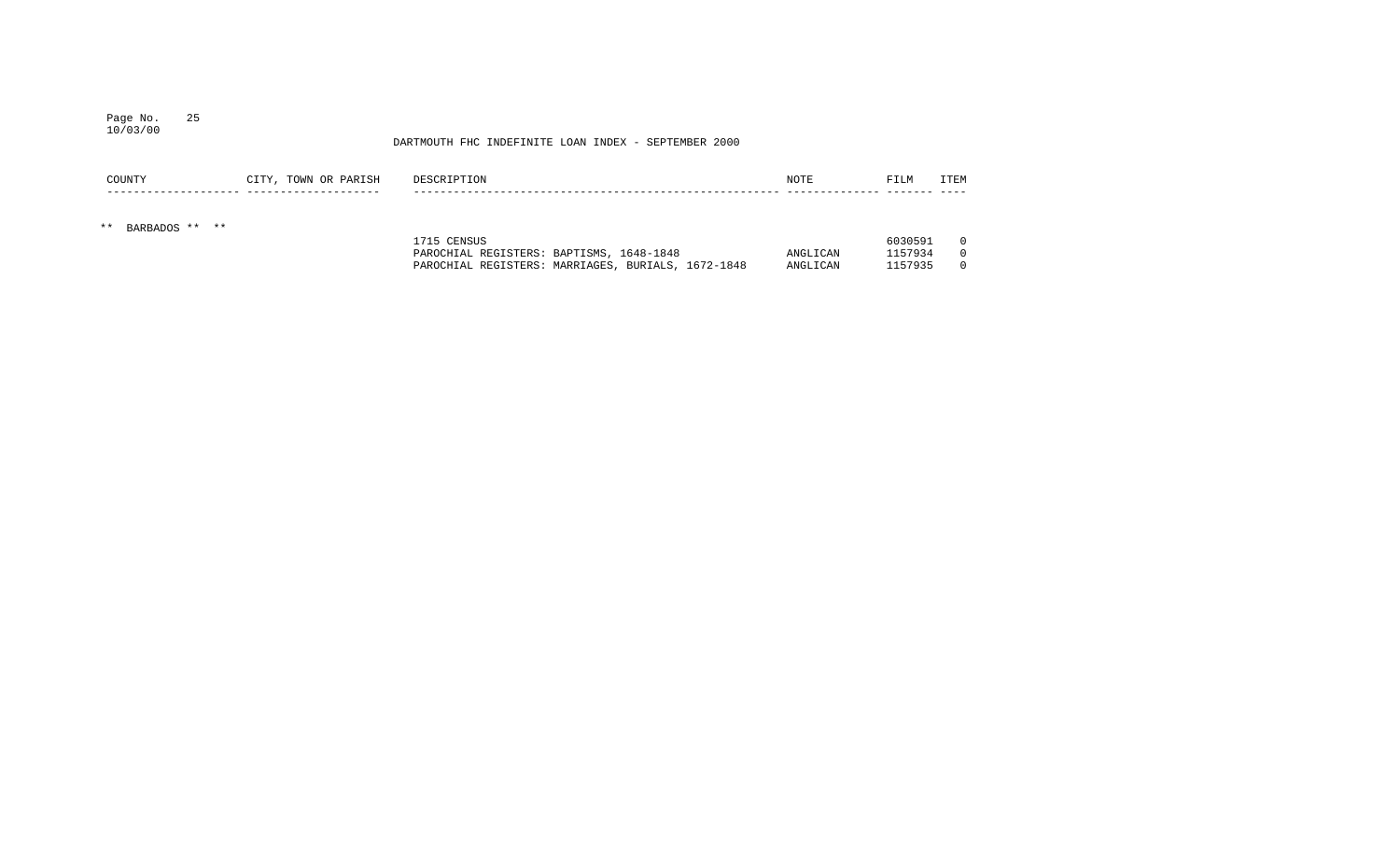#### Page No. 25 10/03/00

## DARTMOUTH FHC INDEFINITE LOAN INDEX - SEPTEMBER 2000

PAROCHIAL REGISTERS: MARRIAGES, BURIALS, 1672-1848 ANGLICAN 1157935 0

| COUNTY                  | CITY, TOWN OR PARISH | DESCRIPTION                                             | <b>NOTE</b> | FILM               | ITEM                 |
|-------------------------|----------------------|---------------------------------------------------------|-------------|--------------------|----------------------|
| BARBADOS ** **<br>$***$ |                      |                                                         |             |                    |                      |
|                         |                      | 1715 CENSUS<br>PAROCHIAL REGISTERS: BAPTISMS, 1648-1848 | ANGLICAN    | 6030591<br>1157934 | $\Omega$<br>$\Omega$ |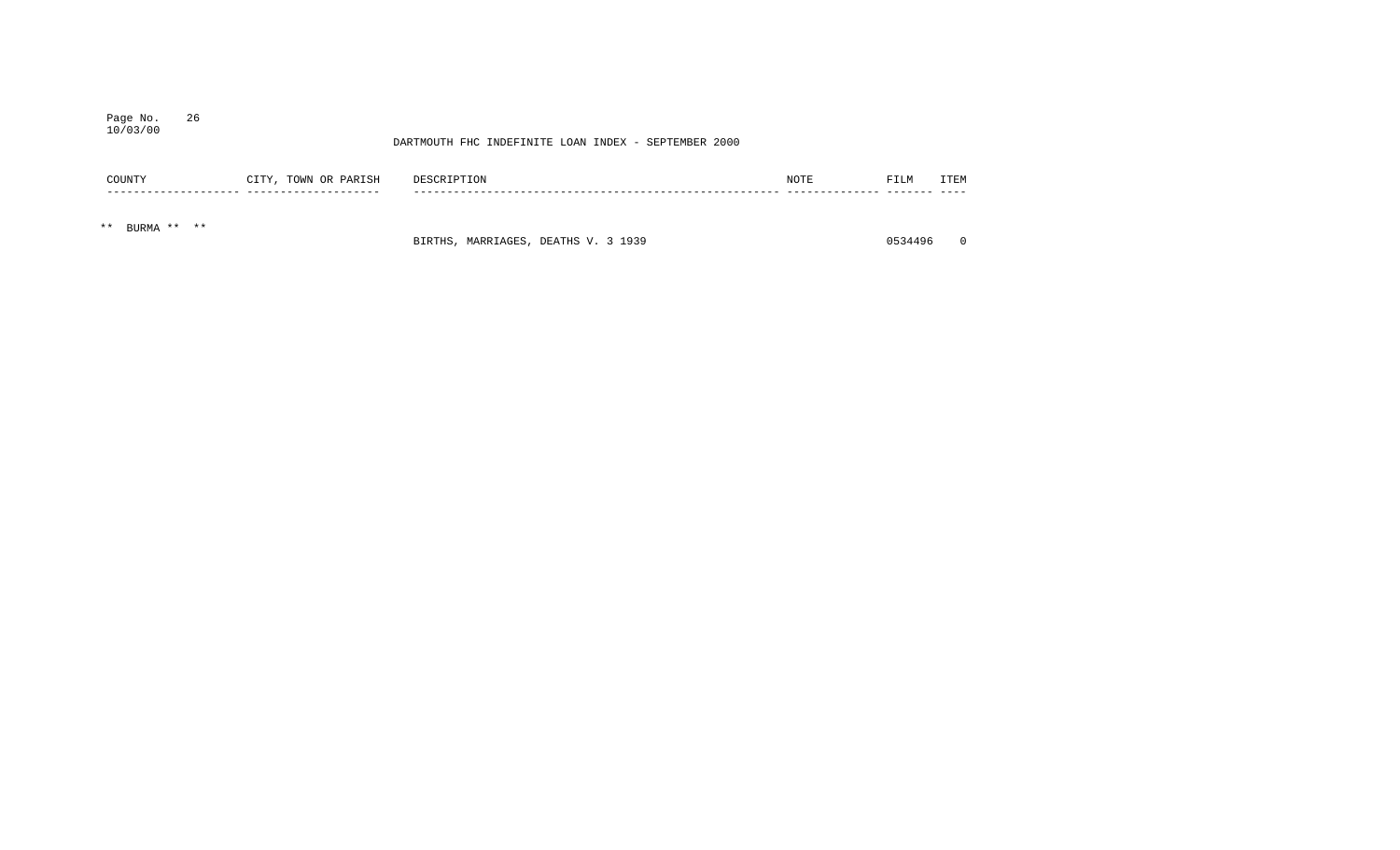## Page No. 26 10/03/00

## DARTMOUTH FHC INDEFINITE LOAN INDEX - SEPTEMBER 2000

|       | COUNTY      | CITY, TOWN OR PARISH | DESCRIPTION | <b>NOTE</b> | FILM | <b>TTEM</b> |
|-------|-------------|----------------------|-------------|-------------|------|-------------|
|       |             |                      |             |             |      |             |
| $* *$ | BURMA ** ** |                      |             |             |      |             |

BIRTHS, MARRIAGES, DEATHS V. 3 1939 0534496 0534496 0534496 0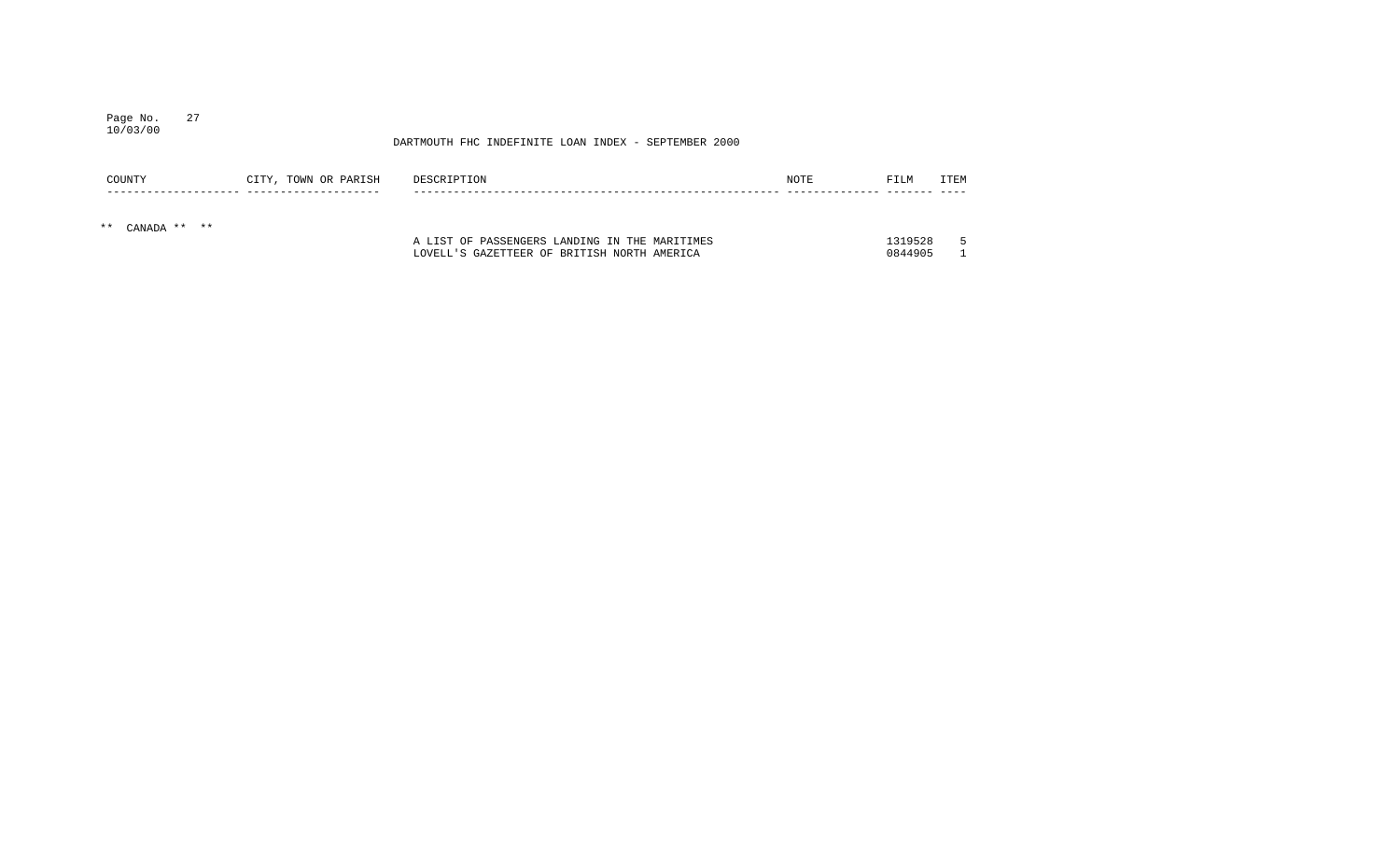## Page No. 27 10/03/00

| COUNTY          | CITY, TOWN OR PARISH | DESCRIPTION                                   | NOTE | FILM    | <b>ITEM</b> |
|-----------------|----------------------|-----------------------------------------------|------|---------|-------------|
| ** CANADA ** ** |                      |                                               |      |         |             |
|                 |                      | A LIST OF PASSENGERS LANDING IN THE MARITIMES |      | 1319528 |             |
|                 |                      | LOVELL'S GAZETTEER OF BRITISH NORTH AMERICA   |      | 0844905 |             |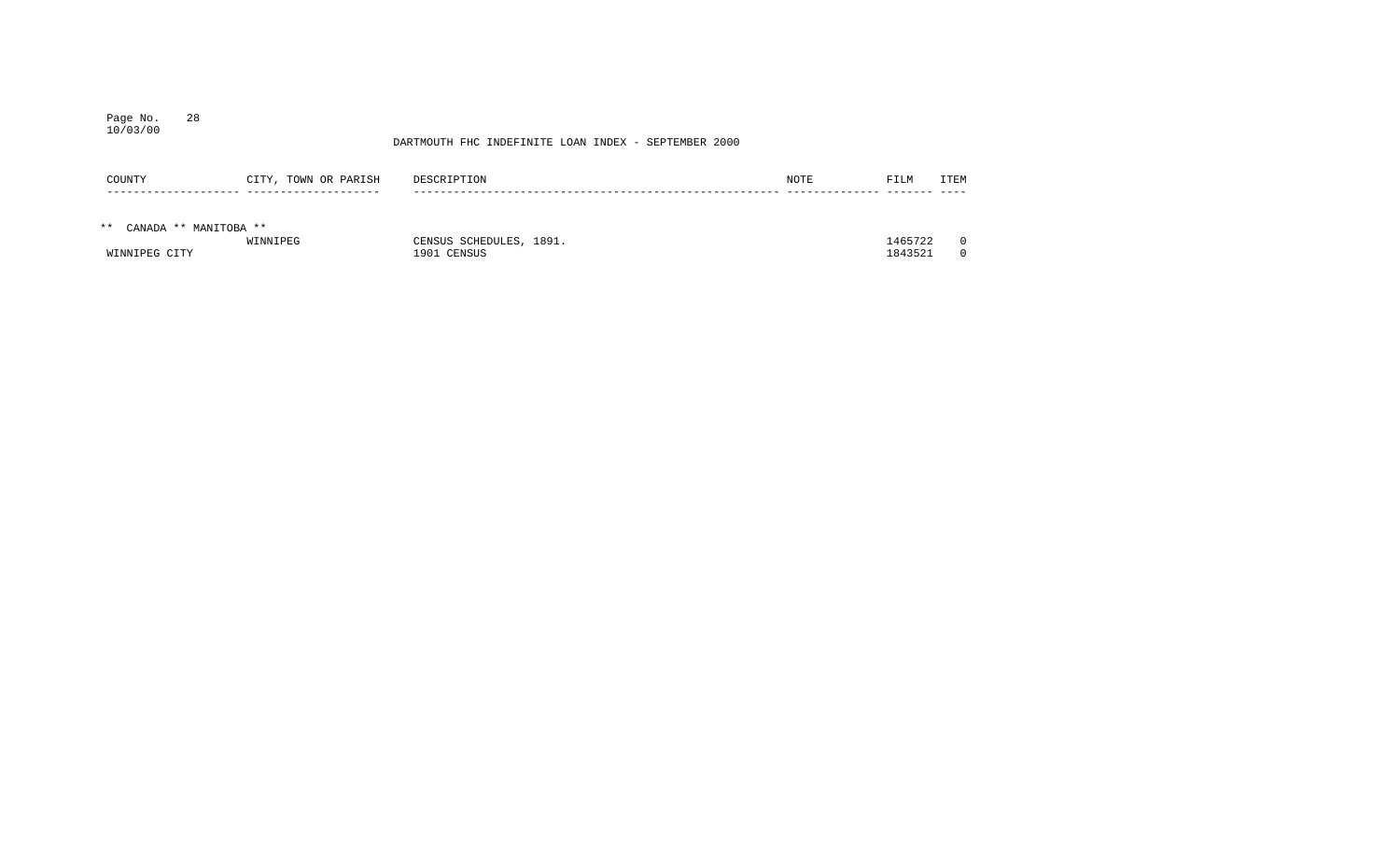## Page No. 28 10/03/00

| COUNTY                   | CITY, TOWN OR PARISH | DESCRIPTION             | NOTE | FILM    | <b>ITEM</b> |
|--------------------------|----------------------|-------------------------|------|---------|-------------|
|                          |                      |                         |      |         |             |
| ** CANADA ** MANITOBA ** |                      |                         |      |         |             |
|                          | WINNIPEG             | CENSUS SCHEDULES, 1891. |      | 1465722 |             |
| WINNIPEG CITY            |                      | 1901 CENSUS             |      | 1843521 |             |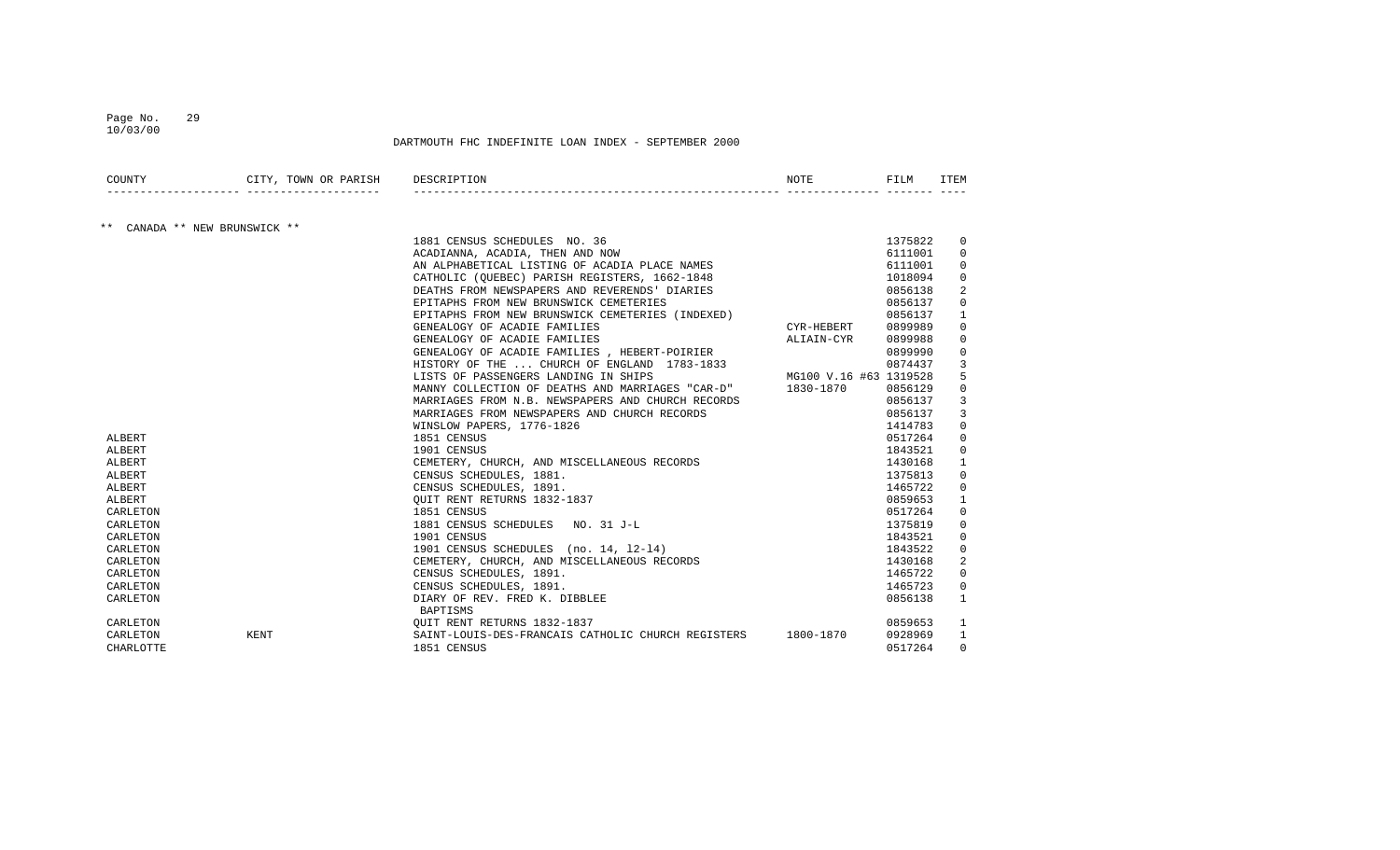#### Page No. 29 10/03/00

| COUNTY    | CITY, TOWN OR PARISH       | DESCRIPTION                                                | <b>NOTE</b>            | FILM    | <b>ITEM</b>  |
|-----------|----------------------------|------------------------------------------------------------|------------------------|---------|--------------|
|           |                            |                                                            |                        |         |              |
| $***$     | CANADA ** NEW BRUNSWICK ** |                                                            |                        |         |              |
|           |                            | 1881 CENSUS SCHEDULES NO. 36                               |                        | 1375822 | 0            |
|           |                            | ACADIANNA, ACADIA, THEN AND NOW                            |                        | 6111001 | $\Omega$     |
|           |                            | AN ALPHABETICAL LISTING OF ACADIA PLACE NAMES              |                        | 6111001 | $\Omega$     |
|           |                            | CATHOLIC (OUEBEC) PARISH REGISTERS, 1662-1848              |                        | 1018094 | $\Omega$     |
|           |                            | DEATHS FROM NEWSPAPERS AND REVERENDS' DIARIES              |                        | 0856138 |              |
|           |                            | EPITAPHS FROM NEW BRUNSWICK CEMETERIES                     |                        | 0856137 | $\Omega$     |
|           |                            | EPITAPHS FROM NEW BRUNSWICK CEMETERIES (INDEXED)           |                        | 0856137 | 1            |
|           |                            | GENEALOGY OF ACADIE FAMILIES                               | CYR-HEBERT             | 0899989 | 0            |
|           |                            | GENEALOGY OF ACADIE FAMILIES                               | ALIAIN-CYR             | 0899988 | $\Omega$     |
|           |                            | GENEALOGY OF ACADIE FAMILIES , HEBERT-POIRIER              |                        | 0899990 | 0            |
|           |                            | HISTORY OF THE  CHURCH OF ENGLAND 1783-1833                |                        | 0874437 | 3            |
|           |                            | LISTS OF PASSENGERS LANDING IN SHIPS                       | MG100 V.16 #63 1319528 |         |              |
|           |                            | MANNY COLLECTION OF DEATHS AND MARRIAGES "CAR-D" 1830-1870 |                        | 0856129 | $\Omega$     |
|           |                            | MARRIAGES FROM N.B. NEWSPAPERS AND CHURCH RECORDS          |                        | 0856137 | 3            |
|           |                            | MARRIAGES FROM NEWSPAPERS AND CHURCH RECORDS               |                        | 0856137 | 3            |
|           |                            | WINSLOW PAPERS, 1776-1826                                  |                        | 1414783 | $\Omega$     |
| ALBERT    |                            | 1851 CENSUS                                                |                        | 0517264 | $\Omega$     |
| ALBERT    |                            | 1901 CENSUS                                                |                        | 1843521 | $\mathbf 0$  |
| ALBERT    |                            | CEMETERY, CHURCH, AND MISCELLANEOUS RECORDS                |                        | 1430168 | $\mathbf{1}$ |
| ALBERT    |                            | CENSUS SCHEDULES, 1881.                                    |                        | 1375813 | $\Omega$     |
| ALBERT    |                            | CENSUS SCHEDULES, 1891.                                    |                        | 1465722 | $\Omega$     |
| ALBERT    |                            | OUIT RENT RETURNS 1832-1837                                |                        | 0859653 |              |
| CARLETON  |                            | 1851 CENSUS                                                |                        | 0517264 | $\Omega$     |
| CARLETON  |                            | 1881 CENSUS SCHEDULES NO. 31 J-L                           |                        | 1375819 | 0            |
| CARLETON  |                            | 1901 CENSUS                                                |                        | 1843521 | 0            |
| CARLETON  |                            | 1901 CENSUS SCHEDULES (no. 14, 12-14)                      |                        | 1843522 | $\Omega$     |
| CARLETON  |                            | CEMETERY, CHURCH, AND MISCELLANEOUS RECORDS                |                        | 1430168 | 2            |
| CARLETON  |                            | CENSUS SCHEDULES, 1891.                                    |                        | 1465722 | $\Omega$     |
| CARLETON  |                            | CENSUS SCHEDULES, 1891.                                    |                        | 1465723 | 0            |
| CARLETON  |                            | DIARY OF REV. FRED K. DIBBLEE                              |                        | 0856138 | $\mathbf{1}$ |
|           |                            | BAPTISMS                                                   |                        |         |              |
| CARLETON  |                            | OUIT RENT RETURNS 1832-1837                                |                        | 0859653 | 1            |
| CARLETON  | KENT                       | SAINT-LOUIS-DES-FRANCAIS CATHOLIC CHURCH REGISTERS         | 1800-1870              | 0928969 | 1            |
| CHARLOTTE |                            | 1851 CENSUS                                                |                        | 0517264 | $\Omega$     |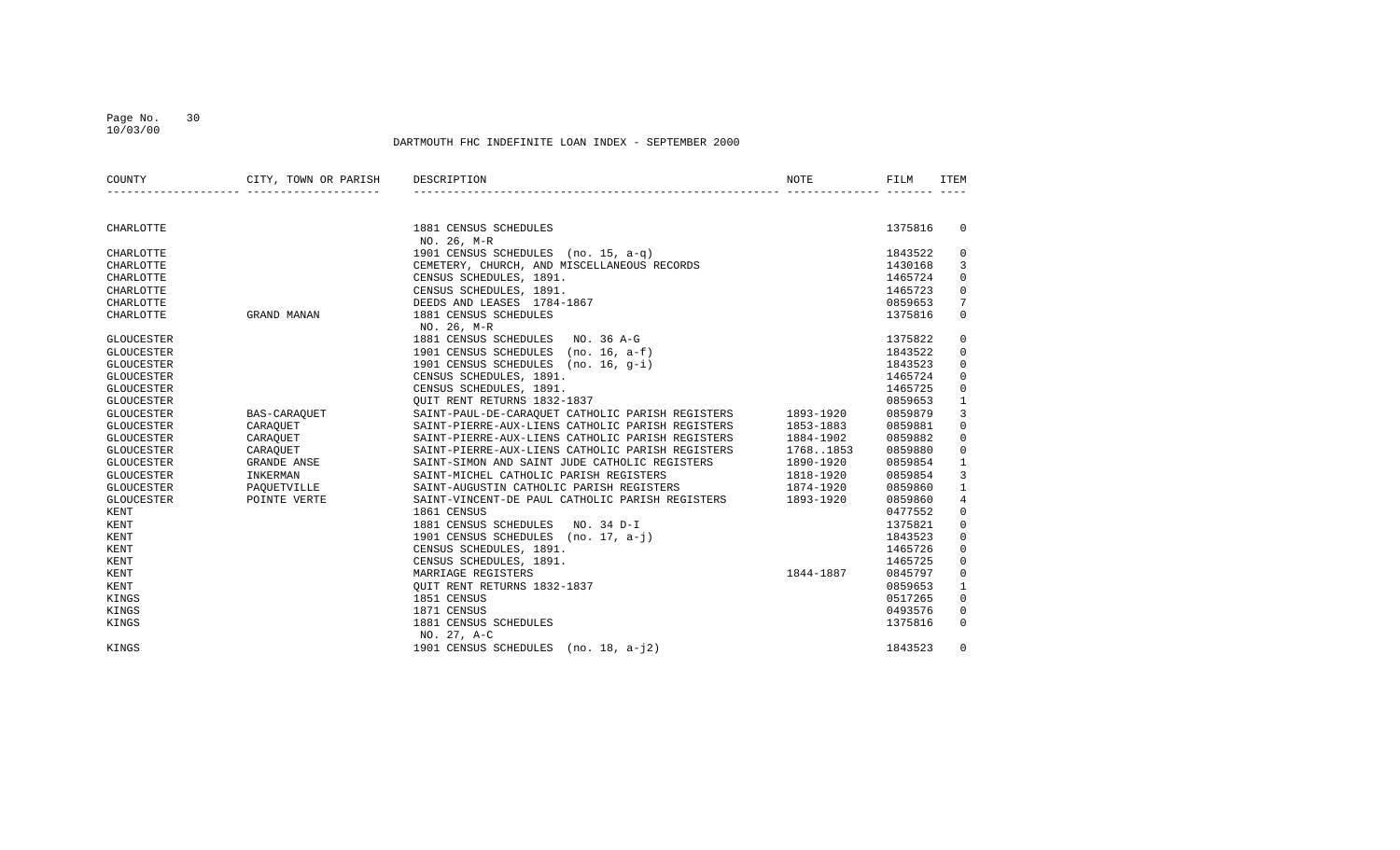#### Page No. 30 10/03/00

| COUNTY            | CITY, TOWN OR PARISH<br>_______________________________ | DESCRIPTION                                                                        | NOTE                   | FILM    | ITEM            |
|-------------------|---------------------------------------------------------|------------------------------------------------------------------------------------|------------------------|---------|-----------------|
|                   |                                                         |                                                                                    |                        |         |                 |
| CHARLOTTE         |                                                         | 1881 CENSUS SCHEDULES                                                              |                        | 1375816 | $\Omega$        |
|                   |                                                         | NO. 26, M-R                                                                        |                        |         |                 |
| CHARLOTTE         |                                                         | 1901 CENSUS SCHEDULES (no. 15, a-q)<br>CEMETERY, CHURCH, AND MISCELLANEOUS RECORDS |                        | 1843522 | 0               |
| CHARLOTTE         |                                                         |                                                                                    |                        | 1430168 | 3               |
| CHARLOTTE         |                                                         | CENSUS SCHEDULES, 1891.                                                            |                        | 1465724 | $\mathbf 0$     |
| CHARLOTTE         |                                                         | CENSUS SCHEDULES, 1891.                                                            |                        | 1465723 | $\mathbf 0$     |
| CHARLOTTE         |                                                         | DEEDS AND LEASES 1784-1867                                                         |                        | 0859653 | $7\phantom{.0}$ |
| CHARLOTTE         | GRAND MANAN                                             | 1881 CENSUS SCHEDULES                                                              |                        | 1375816 | $\mathbf 0$     |
| <b>GLOUCESTER</b> |                                                         | NO. 26, M-R<br>1881 CENSUS SCHEDULES NO. 36 A-G                                    |                        | 1375822 | 0               |
| <b>GLOUCESTER</b> |                                                         | 1901 CENSUS SCHEDULES (no. 16, a-f)                                                |                        | 1843522 | $\mathbf 0$     |
| <b>GLOUCESTER</b> |                                                         | 1901 CENSUS SCHEDULES (no. 16, q-i)                                                |                        | 1843523 | $\mathbf 0$     |
| <b>GLOUCESTER</b> |                                                         | CENSUS SCHEDULES, 1891.                                                            |                        | 1465724 | $\mathbf 0$     |
| <b>GLOUCESTER</b> |                                                         | CENSUS SCHEDULES, 1891.                                                            |                        | 1465725 | $\mathbf 0$     |
| <b>GLOUCESTER</b> |                                                         | OUIT RENT RETURNS 1832-1837                                                        |                        | 0859653 | $\mathbf{1}$    |
| <b>GLOUCESTER</b> | BAS-CARAQUET                                            | SAINT-PAUL-DE-CARAQUET CATHOLIC PARISH REGISTERS 1893-1920                         |                        | 0859879 | 3               |
| <b>GLOUCESTER</b> | CARAQUET                                                | SAINT-PIERRE-AUX-LIENS CATHOLIC PARISH REGISTERS                                   | 1853-1883              | 0859881 | $\mathbf 0$     |
| GLOUCESTER        | CARAQUET                                                | SAINT-PIERRE-AUX-LIENS CATHOLIC PARISH REGISTERS                                   | 1884-1902              | 0859882 | $\Omega$        |
| <b>GLOUCESTER</b> | CARAQUET                                                | SAINT-PIERRE-AUX-LIENS CATHOLIC PARISH REGISTERS 17681853                          |                        | 0859880 | $\mathbf 0$     |
| <b>GLOUCESTER</b> | GRANDE ANSE                                             | SAINT-SIMON AND SAINT JUDE CATHOLIC REGISTERS 1890-1920                            |                        | 0859854 | 1               |
| <b>GLOUCESTER</b> | INKERMAN                                                |                                                                                    |                        | 0859854 | 3               |
| <b>GLOUCESTER</b> | PAQUETVILLE                                             | SAINT-MICHEL CATHOLIC PARISH REGISTERS<br>SAINT-AUGUSTIN CATHOLIC PARISH REGISTERS | 1818-1920<br>1874-1920 | 0859860 | $\mathbf{1}$    |
| GLOUCESTER        | POINTE VERTE                                            | SAINT-VINCENT-DE PAUL CATHOLIC PARISH REGISTERS 1893-1920                          |                        | 0859860 | $\overline{4}$  |
| KENT              |                                                         | 1861 CENSUS                                                                        |                        | 0477552 | $\mathbf 0$     |
| KENT              |                                                         | 1881 CENSUS SCHEDULES NO. 34 D-I                                                   |                        | 1375821 | $\mathbf 0$     |
| KENT              |                                                         | 1901 CENSUS SCHEDULES (no. 17, a-j)                                                |                        | 1843523 | $\mathbf 0$     |
| <b>KENT</b>       |                                                         | CENSUS SCHEDULES, 1891.                                                            |                        | 1465726 | $\mathbf 0$     |
| KENT              |                                                         | CENSUS SCHEDULES, 1891.                                                            |                        | 1465725 | $\mathbf 0$     |
| KENT              |                                                         | MARRIAGE REGISTERS                                                                 | 1844-1887              | 0845797 | $\mathbf 0$     |
| KENT              |                                                         | OUIT RENT RETURNS 1832-1837                                                        |                        | 0859653 | 1               |
| KINGS             |                                                         | 1851 CENSUS                                                                        |                        | 0517265 | $\mathbf 0$     |
| KINGS             |                                                         | 1871 CENSUS                                                                        |                        | 0493576 | $\mathbf 0$     |
| KINGS             |                                                         | 1881 CENSUS SCHEDULES                                                              |                        | 1375816 | $\Omega$        |
|                   |                                                         | NO. 27, A-C                                                                        |                        |         |                 |
| KINGS             |                                                         | 1901 CENSUS SCHEDULES (no. 18, a-j2)                                               |                        | 1843523 | $\Omega$        |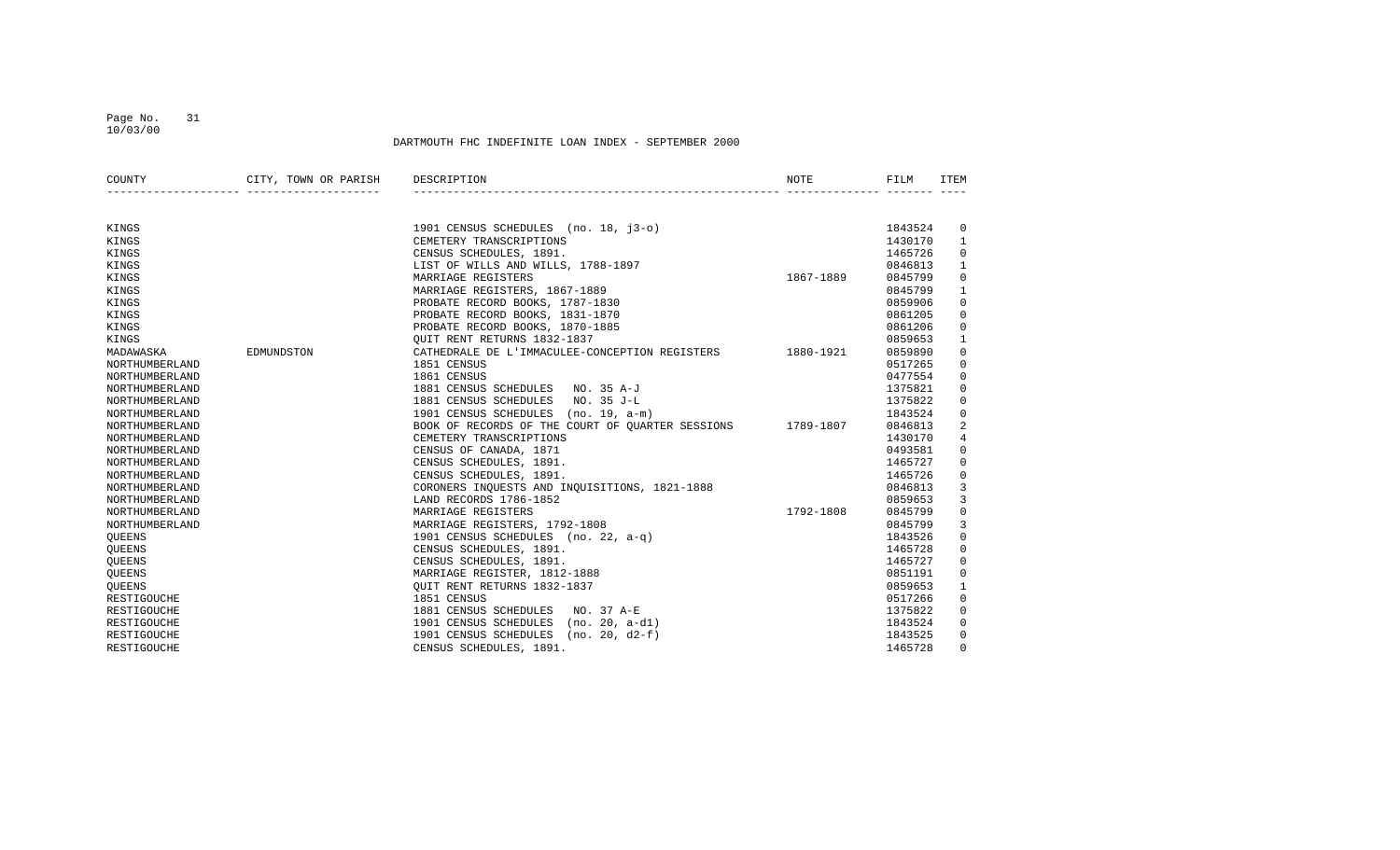#### Page No. 31 10/03/00

| COUNTY             | CITY, TOWN OR PARISH DESCRIPTION |                                                                                                     | NOTE      | FILM    | ITEM           |
|--------------------|----------------------------------|-----------------------------------------------------------------------------------------------------|-----------|---------|----------------|
|                    |                                  |                                                                                                     |           |         |                |
| KINGS              |                                  | 1901 CENSUS SCHEDULES (no. 18, j3-o)                                                                |           | 1843524 | $\overline{0}$ |
| KINGS              |                                  | CEMETERY TRANSCRIPTIONS                                                                             |           | 1430170 | $\mathbf{1}$   |
| KINGS              |                                  | CENSUS SCHEDULES, 1891.                                                                             |           | 1465726 | $\mathbf 0$    |
| KINGS              |                                  | LIST OF WILLS AND WILLS, 1788-1897                                                                  |           | 0846813 | $\mathbf{1}$   |
| KINGS              |                                  | MARRIAGE REGISTERS                                                                                  | 1867-1889 | 0845799 | 0              |
| KINGS              |                                  | MARRIAGE REGISTERS, 1867-1889                                                                       |           | 0845799 | 1              |
| KINGS              |                                  | PROBATE RECORD BOOKS, 1787-1830                                                                     |           | 0859906 | 0              |
| KINGS              |                                  | PROBATE RECORD BOOKS, 1831-1870                                                                     |           | 0861205 | $\mathbf 0$    |
| KINGS              |                                  | PROBATE RECORD BOOKS, 1870-1885                                                                     |           | 0861206 | 0              |
| KINGS              |                                  | $\frac{1}{2}$<br>OUIT RENT RETURNS 1832-1837                                                        |           | 0859653 | $\mathbf{1}$   |
| MADAWASKA          | EDMUNDSTON                       | CATHEDRALE DE L'IMMACULEE-CONCEPTION REGISTERS 1880-1921                                            |           | 0859890 | $\mathbf 0$    |
| NORTHUMBERLAND     |                                  | 1851 CENSUS                                                                                         |           | 0517265 | $\mathbf 0$    |
| NORTHUMBERLAND     |                                  | 1861 CENSUS                                                                                         |           | 0477554 | $\mathbf 0$    |
| NORTHUMBERLAND     |                                  | 1881 CENSUS SCHEDULES NO. 35 A-J                                                                    |           | 1375821 | $\mathbf 0$    |
| NORTHUMBERLAND     |                                  | 1881 CENSUS SCHEDULES NO. 35 J-L                                                                    |           | 1375822 | $\mathbf 0$    |
| NORTHUMBERLAND     |                                  | 1901 CENSUS SCHEDULES (no. 19, a-m)                                                                 |           | 1843524 | 0              |
| NORTHUMBERLAND     |                                  | BOOK OF RECORDS OF THE COURT OF QUARTER SESSIONS 1789-1807                                          |           | 0846813 | 2              |
| NORTHUMBERLAND     |                                  | CEMETERY TRANSCRIPTIONS                                                                             |           | 1430170 | $\overline{4}$ |
| NORTHUMBERLAND     |                                  | CENSUS OF CANADA, 1871                                                                              |           | 0493581 | $\Omega$       |
| NORTHUMBERLAND     |                                  | CENSUS SCHEDULES, 1891.                                                                             |           | 1465727 | $\Omega$       |
| NORTHUMBERLAND     |                                  |                                                                                                     |           | 1465726 | $\mathbf 0$    |
| NORTHUMBERLAND     |                                  | CENSUS SCHEDULES, 1891.<br>CENSUS SCHEDULES, 1891.<br>CORONERS INQUESTS AND INQUISITIONS, 1821-1888 |           | 0846813 | 3              |
| NORTHUMBERLAND     |                                  | LAND RECORDS 1786-1852                                                                              |           | 0859653 | 3              |
| NORTHUMBERLAND     |                                  | MARRIAGE REGISTERS                                                                                  | 1792-1808 | 0845799 | $\mathbf 0$    |
| NORTHUMBERLAND     |                                  | MARRIAGE REGISTERS, 1792-1808                                                                       |           | 0845799 | $\overline{3}$ |
| <b>OUEENS</b>      |                                  | 1901 CENSUS SCHEDULES (no. 22, a-q)                                                                 |           | 1843526 | 0              |
| OUEENS             |                                  | CENSUS SCHEDULES, 1891.                                                                             |           | 1465728 | 0              |
| QUEENS             |                                  | CENSUS SCHEDULES, 1891.                                                                             |           | 1465727 | $\mathbf 0$    |
| QUEENS             |                                  | MARRIAGE REGISTER, 1812-1888                                                                        |           | 0851191 | $\mathbf 0$    |
| <b>OUEENS</b>      |                                  | OUIT RENT RETURNS 1832-1837                                                                         |           | 0859653 | $\mathbf{1}$   |
| RESTIGOUCHE        |                                  | 1851 CENSUS                                                                                         |           | 0517266 | 0              |
| RESTIGOUCHE        |                                  | 1881 CENSUS SCHEDULES NO. 37 A-E                                                                    |           | 1375822 | 0              |
| RESTIGOUCHE        |                                  | 1901 CENSUS SCHEDULES (no. 20, a-d1)                                                                |           | 1843524 | $\mathbf 0$    |
| <b>RESTIGOUCHE</b> |                                  | 1901 CENSUS SCHEDULES (no. 20, d2-f)                                                                |           | 1843525 | $\mathbf 0$    |
| RESTIGOUCHE        |                                  | CENSUS SCHEDULES, 1891.                                                                             |           | 1465728 | $\Omega$       |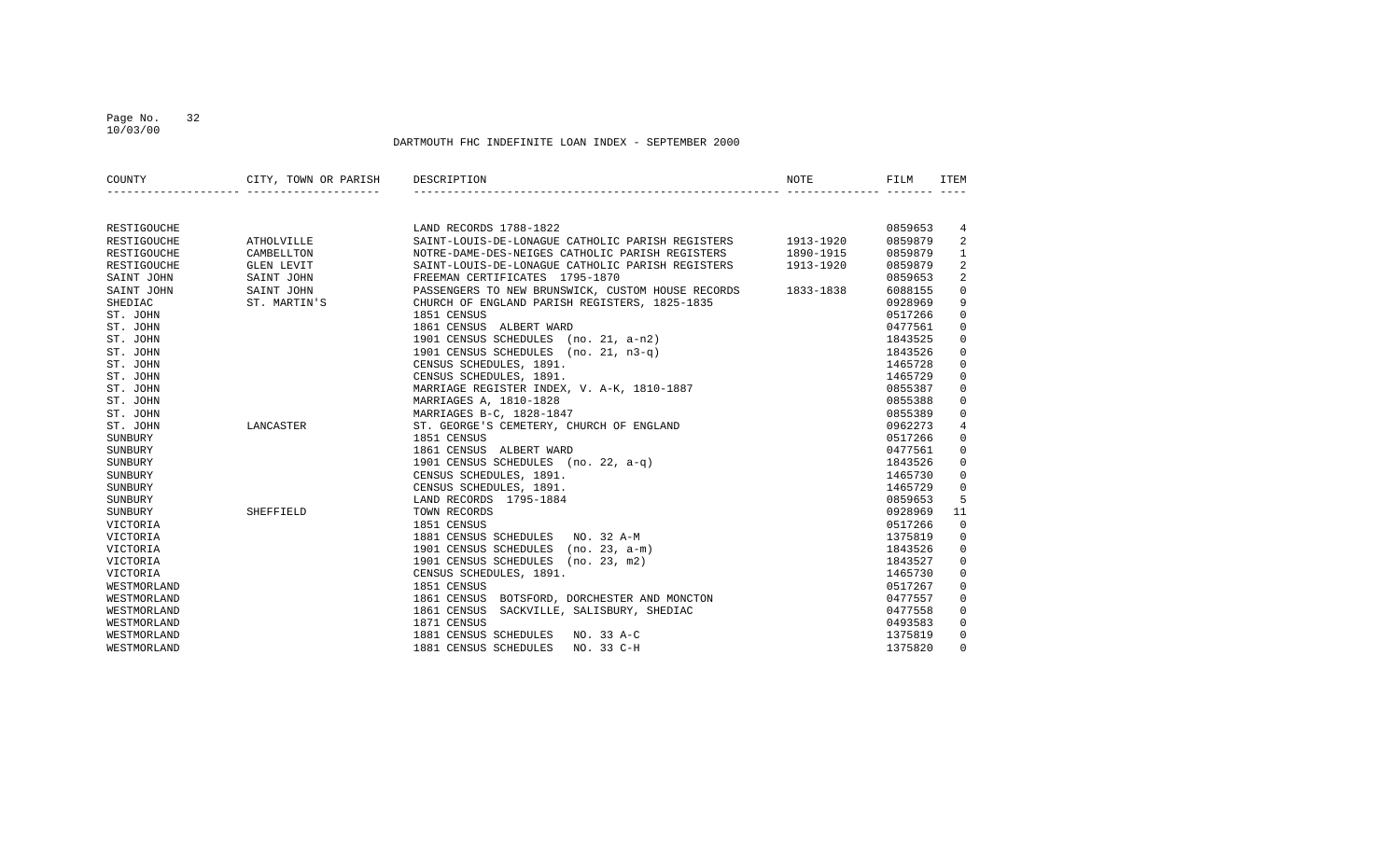## Page No. 32 10/03/00

| COUNTY      | CITY, TOWN OR PARISH DESCRIPTION |                                                             | NOTE      | FILM    | <b>TTEM</b>    |
|-------------|----------------------------------|-------------------------------------------------------------|-----------|---------|----------------|
|             | ________________________________ |                                                             |           |         |                |
| RESTIGOUCHE |                                  | LAND RECORDS 1788-1822                                      |           | 0859653 | 4              |
| RESTIGOUCHE | ATHOLVILLE                       | SAINT-LOUIS-DE-LONAGUE CATHOLIC PARISH REGISTERS 1913-1920  |           | 0859879 | 2              |
| RESTIGOUCHE | CAMBELLTON                       | NOTRE-DAME-DES-NEIGES CATHOLIC PARISH REGISTERS 1890-1915   |           | 0859879 | $\mathbf{1}$   |
| RESTIGOUCHE | GLEN LEVIT                       | SAINT-LOUIS-DE-LONAGUE CATHOLIC PARISH REGISTERS            | 1913-1920 | 0859879 | $\overline{2}$ |
| SAINT JOHN  | SAINT JOHN                       | FREEMAN CERTIFICATES 1795-1870                              |           | 0859653 | 2              |
| SAINT JOHN  | SAINT JOHN                       | PASSENGERS TO NEW BRUNSWICK, CUSTOM HOUSE RECORDS 1833-1838 |           | 6088155 | $\mathbf 0$    |
| SHEDIAC     | ST. MARTIN'S                     | CHURCH OF ENGLAND PARISH REGISTERS, 1825-1835               |           | 0928969 | 9              |
| ST. JOHN    |                                  | 1851 CENSUS                                                 |           | 0517266 | $\mathbf 0$    |
| ST. JOHN    |                                  | 1861 CENSUS ALBERT WARD                                     |           | 0477561 | $\mathbf 0$    |
| ST. JOHN    |                                  | 1901 CENSUS SCHEDULES (no. 21, a-n2)                        |           | 1843525 | $\mathbf 0$    |
| ST. JOHN    |                                  | 1901 CENSUS SCHEDULES (no. 21, n3-q)                        |           | 1843526 | $\mathbf 0$    |
| ST. JOHN    |                                  | CENSUS SCHEDULES, 1891.                                     |           | 1465728 | $\mathbf 0$    |
| ST. JOHN    |                                  | CENSUS SCHEDULES, 1891.                                     |           | 1465729 | $\mathbf 0$    |
| ST. JOHN    |                                  | MARRIAGE REGISTER INDEX, V. A-K, 1810-1887                  |           | 0855387 | $\overline{0}$ |
| ST. JOHN    |                                  | MARRIAGES A, 1810-1828                                      |           | 0855388 | $\mathsf{O}$   |
| ST. JOHN    |                                  | MARRIAGES B-C, 1828-1847                                    |           | 0855389 | $\mathbf 0$    |
| ST. JOHN    | LANCASTER                        | ST. GEORGE'S CEMETERY, CHURCH OF ENGLAND                    |           | 0962273 | $\overline{4}$ |
| SUNBURY     |                                  | 1851 CENSUS                                                 |           | 0517266 | $\mathbf 0$    |
| SUNBURY     |                                  | 1861 CENSUS ALBERT WARD                                     |           | 0477561 | $\mathbf 0$    |
| SUNBURY     |                                  | 1901 CENSUS SCHEDULES (no. 22, a-q)                         |           | 1843526 | $\mathbf{0}$   |
| SUNBURY     |                                  | CENSUS SCHEDULES, 1891.                                     |           | 1465730 | 0              |
| SUNBURY     |                                  | CENSUS SCHEDULES, 1891.                                     |           | 1465729 | $\mathbf 0$    |
| SUNBURY     |                                  | LAND RECORDS 1795-1884                                      |           | 0859653 | 5              |
| SUNBURY     | SHEFFIELD                        | TOWN RECORDS                                                |           | 0928969 | 11             |
| VICTORIA    |                                  | 1851 CENSUS                                                 |           | 0517266 | $\mathbf 0$    |
| VICTORIA    |                                  | 1881 CENSUS SCHEDULES NO. 32 A-M                            |           | 1375819 | 0              |
| VICTORIA    |                                  | 1901 CENSUS SCHEDULES (no. 23, a-m)                         |           | 1843526 | $\overline{0}$ |
| VICTORIA    |                                  | 1901 CENSUS SCHEDULES (no. 23, m2)                          |           | 1843527 | $\mathbf 0$    |
| VICTORIA    |                                  | CENSUS SCHEDULES, 1891.                                     |           | 1465730 | $\mathbf 0$    |
| WESTMORLAND |                                  | 1851 CENSUS                                                 |           | 0517267 | $\mathbf 0$    |
| WESTMORLAND |                                  | 1861 CENSUS BOTSFORD, DORCHESTER AND MONCTON                |           | 0477557 | $\mathbf 0$    |
| WESTMORLAND |                                  | SACKVILLE, SALISBURY, SHEDIAC<br>1861 CENSUS                |           | 0477558 | 0              |
| WESTMORLAND |                                  | 1871 CENSUS                                                 |           | 0493583 | $\mathbf 0$    |
| WESTMORLAND |                                  | 1881 CENSUS SCHEDULES NO. 33 A-C                            |           | 1375819 | $\mathbf{0}$   |
| WESTMORLAND |                                  | NO. 33 C-H<br>1881 CENSUS SCHEDULES                         |           | 1375820 | $\mathbf 0$    |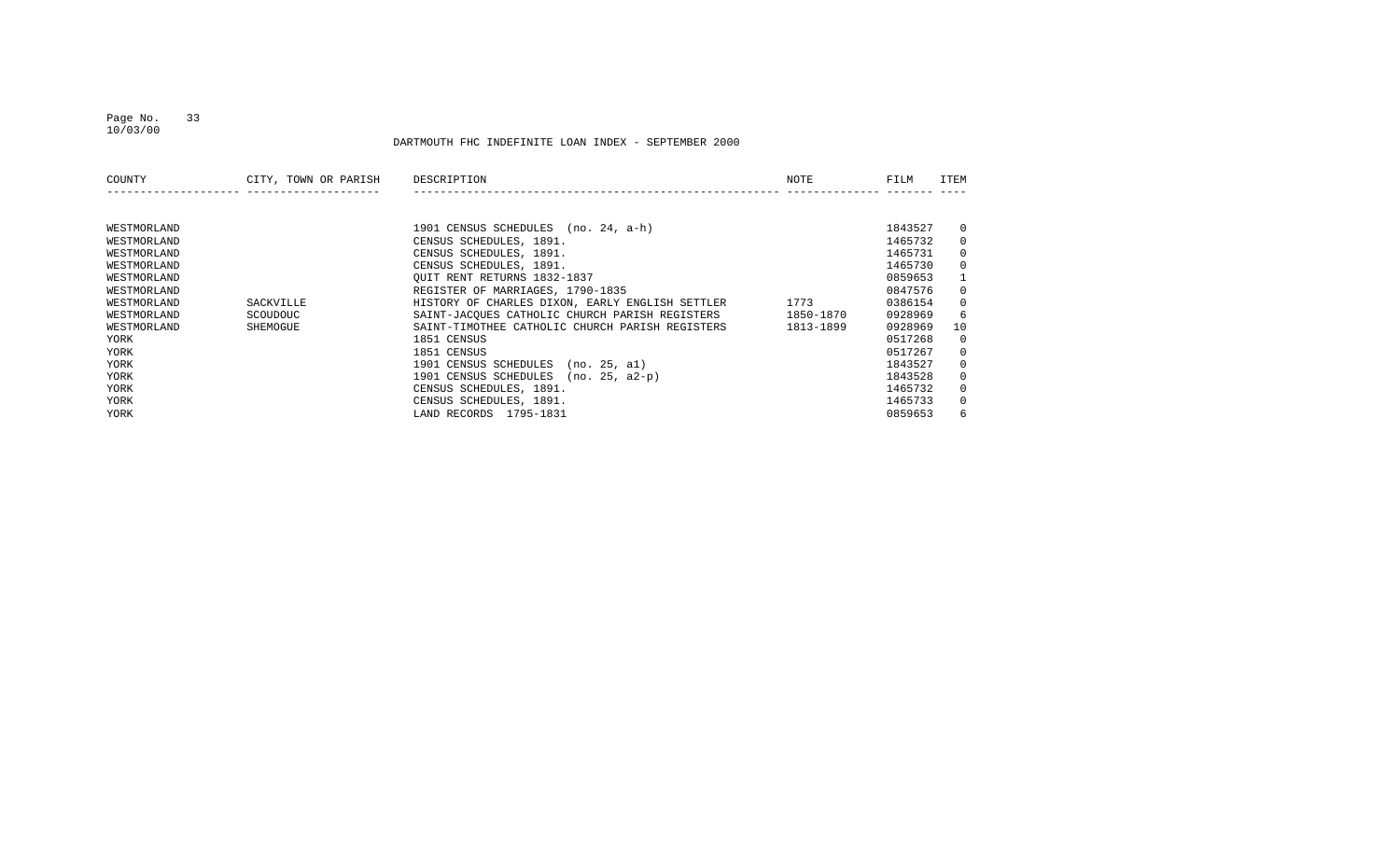#### Page No. 33 10/03/00

| COUNTY      | CITY, TOWN OR PARISH | DESCRIPTION                                     | NOTE      | FILM    | ITEM         |
|-------------|----------------------|-------------------------------------------------|-----------|---------|--------------|
|             |                      |                                                 |           |         |              |
| WESTMORLAND |                      | 1901 CENSUS SCHEDULES (no. 24, a-h)             |           | 1843527 | $\mathbf{0}$ |
| WESTMORLAND |                      | CENSUS SCHEDULES, 1891.                         |           | 1465732 | $\mathbf{0}$ |
| WESTMORLAND |                      | CENSUS SCHEDULES, 1891.                         |           | 1465731 | $\mathbf{0}$ |
| WESTMORLAND |                      | CENSUS SCHEDULES, 1891.                         |           | 1465730 | $\mathbf{0}$ |
| WESTMORLAND |                      | OUIT RENT RETURNS 1832-1837                     |           | 0859653 | $\mathbf{1}$ |
| WESTMORLAND |                      | REGISTER OF MARRIAGES, 1790-1835                |           | 0847576 | $\mathbf{0}$ |
| WESTMORLAND | SACKVILLE            | HISTORY OF CHARLES DIXON, EARLY ENGLISH SETTLER | 1773      | 0386154 | $\mathbf{0}$ |
| WESTMORLAND | SCOUDOUC             | SAINT-JACOUES CATHOLIC CHURCH PARISH REGISTERS  | 1850-1870 | 0928969 | 6            |
| WESTMORLAND | SHEMOGUE             | SAINT-TIMOTHEE CATHOLIC CHURCH PARISH REGISTERS | 1813-1899 | 0928969 | 10           |
| YORK        |                      | 1851 CENSUS                                     |           | 0517268 | $\mathbf{0}$ |
| YORK        |                      | 1851 CENSUS                                     |           | 0517267 | $\mathbf{0}$ |
| YORK        |                      | 1901 CENSUS SCHEDULES<br>(no. 25, al)           |           | 1843527 | $\mathbf{0}$ |
| YORK        |                      | 1901 CENSUS SCHEDULES<br>$(no. 25. a2-p)$       |           | 1843528 | $\mathbf{0}$ |
| YORK        |                      | CENSUS SCHEDULES, 1891.                         |           | 1465732 | $\mathbf{0}$ |
| YORK        |                      | CENSUS SCHEDULES, 1891.                         |           | 1465733 | $\mathbf{0}$ |
| YORK        |                      | LAND RECORDS 1795-1831                          |           | 0859653 | 6            |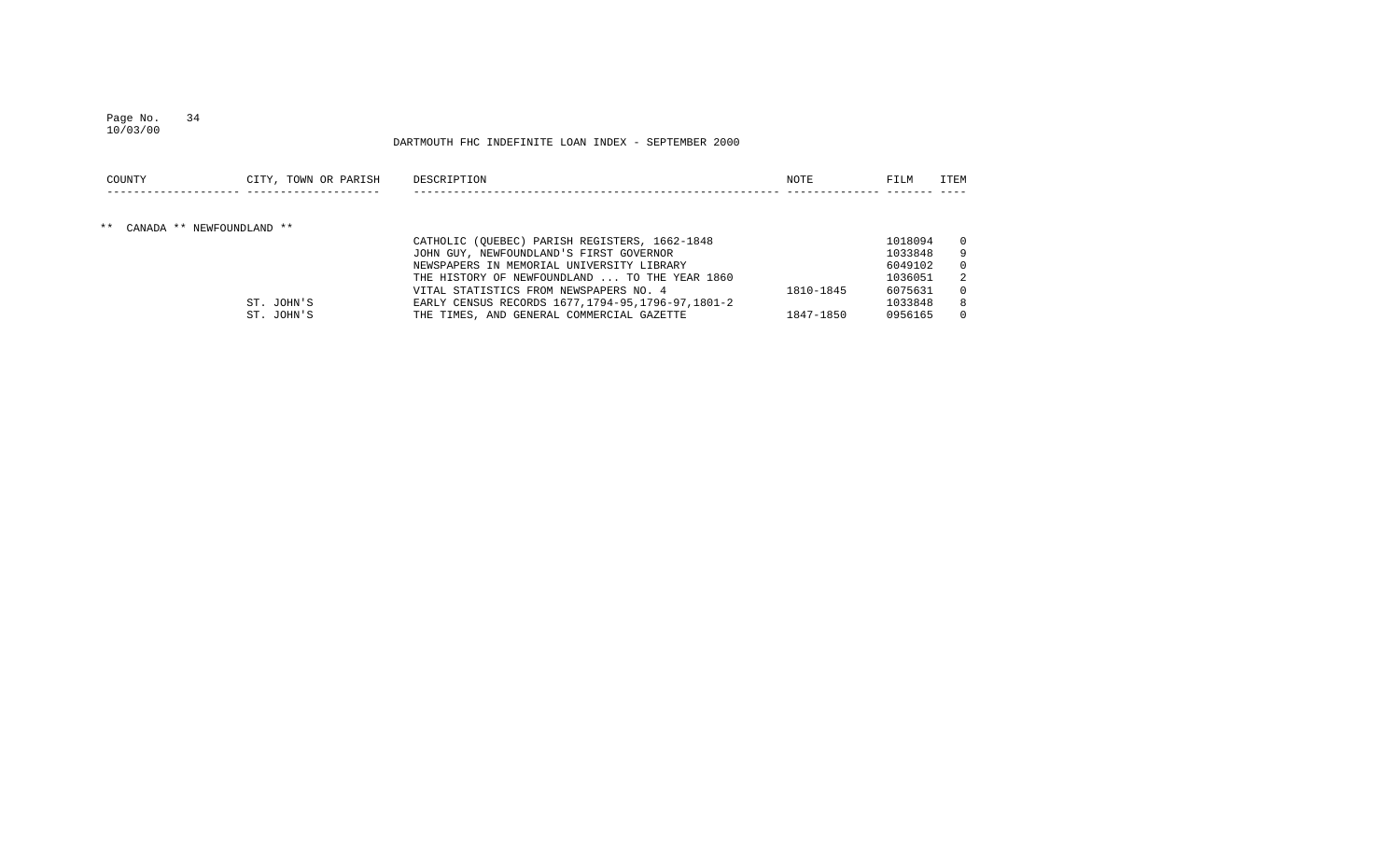# Page No. 34

## DARTMOUTH FHC INDEFINITE LOAN INDEX - SEPTEMBER 2000

| COUNTY                       | CITY, TOWN OR PARISH | DESCRIPTION                                         | NOTE      | FILM    | <b>ITEM</b> |
|------------------------------|----------------------|-----------------------------------------------------|-----------|---------|-------------|
|                              |                      |                                                     |           |         |             |
| ** CANADA ** NEWFOUNDLAND ** |                      |                                                     |           |         |             |
|                              |                      | CATHOLIC (OUEBEC) PARISH REGISTERS, 1662-1848       |           | 1018094 |             |
|                              |                      | JOHN GUY, NEWFOUNDLAND'S FIRST GOVERNOR             |           | 1033848 |             |
|                              |                      | NEWSPAPERS IN MEMORIAL UNIVERSITY LIBRARY           |           | 6049102 |             |
|                              |                      | THE HISTORY OF NEWFOUNDLAND  TO THE YEAR 1860       |           | 1036051 |             |
|                              |                      | VITAL STATISTICS FROM NEWSPAPERS NO. 4              | 1810-1845 | 6075631 |             |
|                              | ST. JOHN'S           | EARLY CENSUS RECORDS 1677, 1794-95, 1796-97, 1801-2 |           | 1033848 |             |
|                              | ST. JOHN'S           | THE TIMES, AND GENERAL COMMERCIAL GAZETTE           | 1847-1850 | 0956165 |             |

10/03/00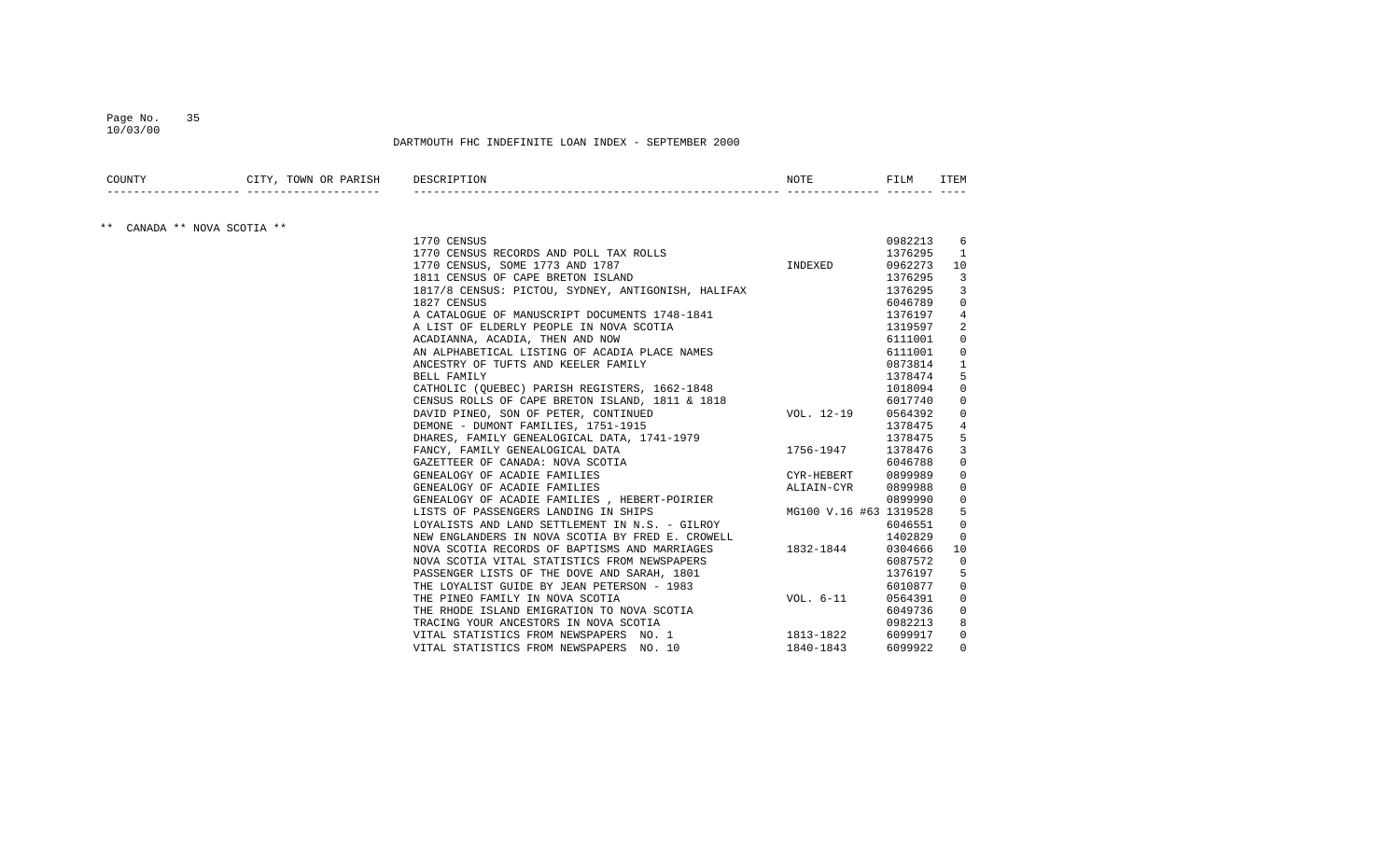#### Page No. 35 10/03/00

DARTMOUTH FHC INDEFINITE LOAN INDEX - SEPTEMBER 2000

| max<br>ᅲᇭᅕ<br>JWN. |      | -1-1-113 |  |
|--------------------|------|----------|--|
|                    | $ -$ |          |  |

## \*\* CANADA \*\* NOVA SCOTIA \*\*

| 1770 CENSUS                                                    | 0982213 | 6              |
|----------------------------------------------------------------|---------|----------------|
| OLLS INDEXED<br>1770 CENSUS RECORDS AND POLL TAX ROLLS         | 1376295 | <sup>1</sup>   |
| 1770 CENSUS, SOME 1773 AND 1787                                | 0962273 | 10             |
| 1811 CENSUS OF CAPE BRETON ISLAND                              | 1376295 | 3              |
| 1817/8 CENSUS: PICTOU, SYDNEY, ANTIGONISH, HALIFAX             | 1376295 | $\overline{3}$ |
| 1827 CENSUS                                                    | 6046789 | $\overline{0}$ |
| A CATALOGUE OF MANUSCRIPT DOCUMENTS 1748-1841                  | 1376197 | $\overline{4}$ |
| A LIST OF ELDERLY PEOPLE IN NOVA SCOTIA                        | 1319597 | 2              |
| ACADIANNA, ACADIA, THEN AND NOW                                | 6111001 | 0              |
| AN ALPHABETICAL LISTING OF ACADIA PLACE NAMES                  | 6111001 | $\overline{0}$ |
| ANCESTRY OF TUFTS AND KEELER FAMILY                            | 0873814 | $\mathbf{1}$   |
| BELL FAMILY                                                    | 1378474 | 5              |
| CATHOLIC (QUEBEC) PARISH REGISTERS, 1662-1848                  | 1018094 | $\overline{0}$ |
| CENSUS ROLLS OF CAPE BRETON ISLAND, 1811 & 1818                | 6017740 | $\overline{0}$ |
| VOL. 12-19<br>DAVID PINEO, SON OF PETER, CONTINUED             | 0564392 | $\overline{0}$ |
| DEMONE - DUMONT FAMILIES, 1751-1915                            | 1378475 | 4              |
| DHARES, FAMILY GENEALOGICAL DATA, 1741-1979                    | 1378475 | 5              |
| 1756-1947<br>FANCY, FAMILY GENEALOGICAL DATA                   | 1378476 | 3              |
| GAZETTEER OF CANADA: NOVA SCOTIA                               | 6046788 | $\mathbf 0$    |
| CYR-HEBERT<br>GENEALOGY OF ACADIE FAMILIES                     | 0899989 | 0              |
| GENEALOGY OF ACADIE FAMILIES<br>ALIAIN-CYR                     | 0899988 | $\mathbf 0$    |
| GENEALOGY OF ACADIE FAMILIES , HEBERT-POIRIER                  | 0899990 | $\overline{0}$ |
| MG100 V.16 #63 1319528<br>LISTS OF PASSENGERS LANDING IN SHIPS |         | 5              |
| LOYALISTS AND LAND SETTLEMENT IN N.S. - GILROY                 | 6046551 | 0              |
| NEW ENGLANDERS IN NOVA SCOTIA BY FRED E. CROWELL               | 1402829 | $\overline{0}$ |
| 1832-1844<br>NOVA SCOTIA RECORDS OF BAPTISMS AND MARRIAGES     | 0304666 | 10             |
| NOVA SCOTIA VITAL STATISTICS FROM NEWSPAPERS                   | 6087572 | $\mathbf 0$    |
| PASSENGER LISTS OF THE DOVE AND SARAH, 1801                    | 1376197 | 5              |
| THE LOYALIST GUIDE BY JEAN PETERSON - 1983                     | 6010877 | 0              |
| VOL. 6-11<br>THE PINEO FAMILY IN NOVA SCOTIA                   | 0564391 | $\overline{0}$ |
| THE RHODE ISLAND EMIGRATION TO NOVA SCOTIA                     | 6049736 | $\overline{0}$ |
| TRACING YOUR ANCESTORS IN NOVA SCOTIA                          | 0982213 | 8              |
| VITAL STATISTICS FROM NEWSPAPERS NO. 1 1813-1822               | 6099917 | $\overline{0}$ |
| VITAL STATISTICS FROM NEWSPAPERS NO. 10<br>1840-1843           | 6099922 | $\Omega$       |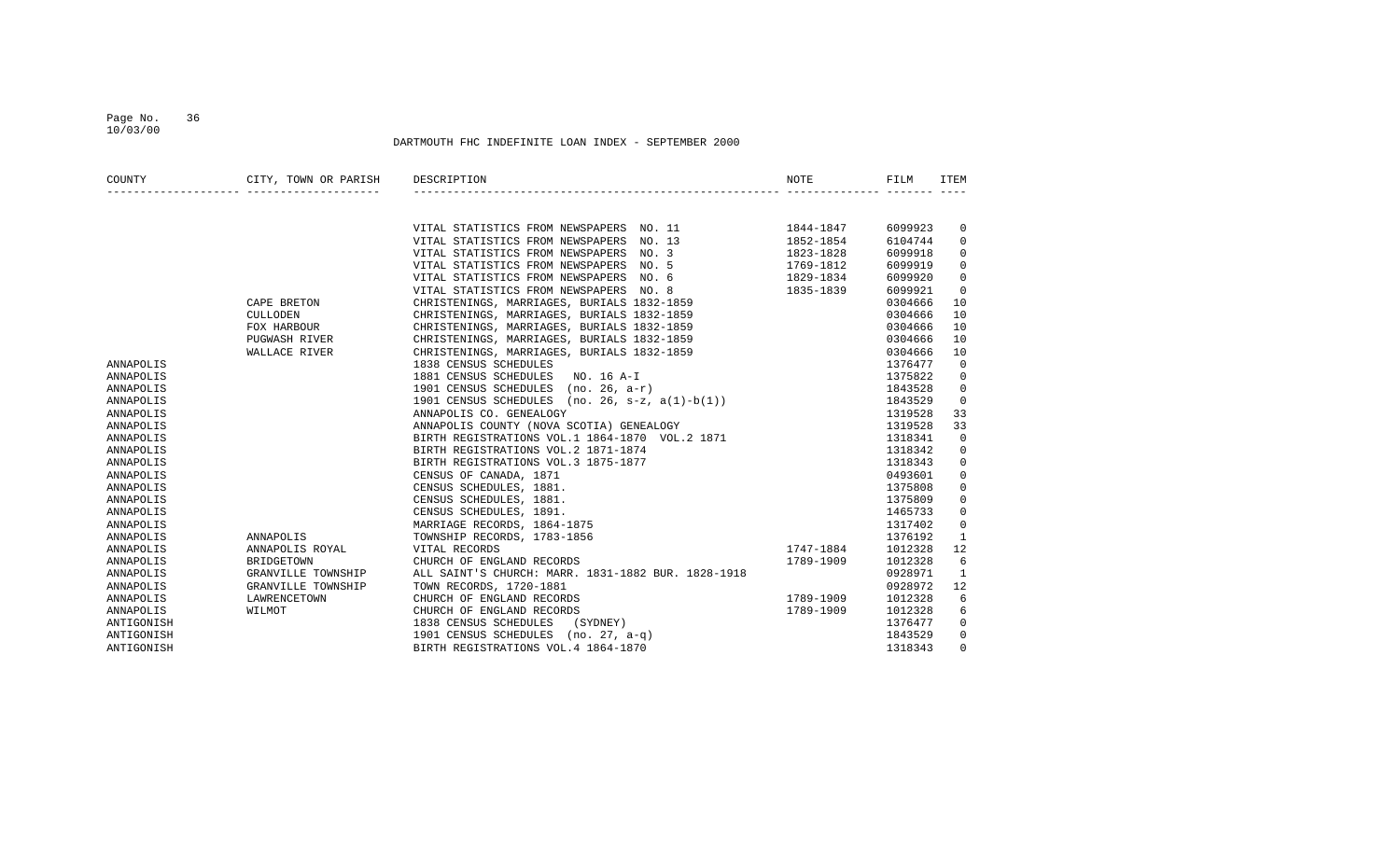## Page No. 36 10/03/00

| COUNTY     | CITY, TOWN OR PARISH | DESCRIPTION                                         | NOTE      | FILM    | ITEM           |
|------------|----------------------|-----------------------------------------------------|-----------|---------|----------------|
|            |                      |                                                     |           |         |                |
|            |                      |                                                     |           |         |                |
|            |                      | VITAL STATISTICS FROM NEWSPAPERS NO. 11             | 1844-1847 | 6099923 | 0              |
|            |                      | VITAL STATISTICS FROM NEWSPAPERS NO. 13             | 1852-1854 | 6104744 | $\Omega$       |
|            |                      | VITAL STATISTICS FROM NEWSPAPERS NO. 3              | 1823-1828 | 6099918 | 0              |
|            |                      | VITAL STATISTICS FROM NEWSPAPERS NO. 5              | 1769-1812 | 6099919 | $\Omega$       |
|            |                      | VITAL STATISTICS FROM NEWSPAPERS NO. 6              | 1829-1834 | 6099920 | $\Omega$       |
|            |                      | VITAL STATISTICS FROM NEWSPAPERS NO. 8              | 1835-1839 | 6099921 | 0              |
|            | CAPE BRETON          | CHRISTENINGS, MARRIAGES, BURIALS 1832-1859          |           | 0304666 | 10             |
|            | <b>CULLODEN</b>      | CHRISTENINGS, MARRIAGES, BURIALS 1832-1859          |           | 0304666 | 10             |
|            | FOX HARBOUR          | CHRISTENINGS, MARRIAGES, BURIALS 1832-1859          |           | 0304666 | 10             |
|            | <b>PUGWASH RIVER</b> | CHRISTENINGS, MARRIAGES, BURIALS 1832-1859          |           | 0304666 | 10             |
|            | WALLACE RIVER        | CHRISTENINGS, MARRIAGES, BURIALS 1832-1859          |           | 0304666 | 10             |
| ANNAPOLIS  |                      | 1838 CENSUS SCHEDULES                               |           | 1376477 | $\overline{0}$ |
| ANNAPOLIS  |                      | 1881 CENSUS SCHEDULES<br>NO. 16 A-I                 |           | 1375822 | 0              |
| ANNAPOLIS  |                      | 1901 CENSUS SCHEDULES (no. 26, a-r)                 |           | 1843528 | 0              |
| ANNAPOLIS  |                      | 1901 CENSUS SCHEDULES<br>$(no. 26, s-z, a(1)-b(1))$ |           | 1843529 | $\Omega$       |
| ANNAPOLIS  |                      | ANNAPOLIS CO. GENEALOGY                             |           | 1319528 | 33             |
| ANNAPOLIS  |                      | ANNAPOLIS COUNTY (NOVA SCOTIA) GENEALOGY            |           | 1319528 | 33             |
| ANNAPOLIS  |                      | BIRTH REGISTRATIONS VOL.1 1864-1870 VOL.2 1871      |           | 1318341 | $\Omega$       |
| ANNAPOLIS  |                      | BIRTH REGISTRATIONS VOL.2 1871-1874                 |           | 1318342 | 0              |
| ANNAPOLIS  |                      | BIRTH REGISTRATIONS VOL.3 1875-1877                 |           | 1318343 | 0              |
| ANNAPOLIS  |                      | CENSUS OF CANADA, 1871                              |           | 0493601 | 0              |
| ANNAPOLIS  |                      | CENSUS SCHEDULES, 1881.                             |           | 1375808 | $\Omega$       |
| ANNAPOLIS  |                      | CENSUS SCHEDULES, 1881.                             |           | 1375809 | $\Omega$       |
| ANNAPOLIS  |                      | CENSUS SCHEDULES, 1891.                             |           | 1465733 | 0              |
| ANNAPOLIS  |                      | MARRIAGE RECORDS, 1864-1875                         |           | 1317402 | $\mathbf 0$    |
| ANNAPOLIS  | ANNAPOLIS            | TOWNSHIP RECORDS, 1783-1856                         |           | 1376192 | 1              |
| ANNAPOLIS  | ANNAPOLIS ROYAL      | VITAL RECORDS                                       | 1747-1884 | 1012328 | 12             |
| ANNAPOLIS  | BRIDGETOWN           | CHURCH OF ENGLAND RECORDS                           | 1789-1909 | 1012328 | 6              |
| ANNAPOLIS  | GRANVILLE TOWNSHIP   | ALL SAINT'S CHURCH: MARR. 1831-1882 BUR. 1828-1918  |           | 0928971 | 1              |
| ANNAPOLIS  | GRANVILLE TOWNSHIP   | TOWN RECORDS, 1720-1881                             |           | 0928972 | 12             |
| ANNAPOLIS  | LAWRENCETOWN         | CHURCH OF ENGLAND RECORDS                           | 1789-1909 | 1012328 | 6              |
| ANNAPOLIS  | WILMOT               | CHURCH OF ENGLAND RECORDS                           | 1789-1909 | 1012328 | 6              |
| ANTIGONISH |                      | 1838 CENSUS SCHEDULES<br>(SYDNEY)                   |           | 1376477 | $\Omega$       |
| ANTIGONISH |                      | 1901 CENSUS SCHEDULES<br>$(no. 27, a-q)$            |           | 1843529 | $\Omega$       |
| ANTIGONISH |                      | BIRTH REGISTRATIONS VOL.4 1864-1870                 |           | 1318343 | 0              |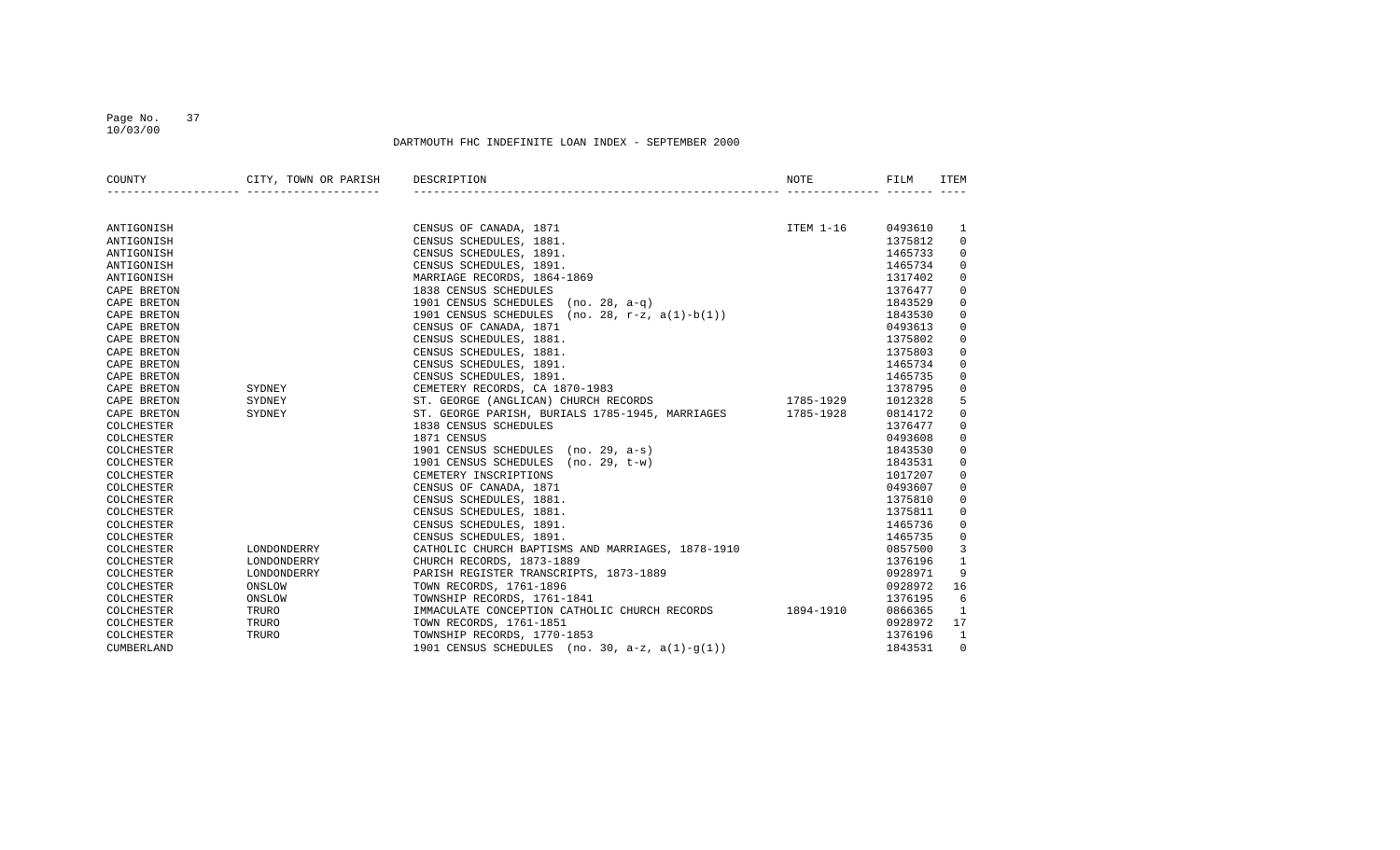#### Page No. 37 10/03/00

| COUNTY      | CITY, TOWN OR PARISH DESCRIPTION<br>_______________________________ |                                                                                                                                                                                                                                              | NOTE      | FILM    | ITEM           |
|-------------|---------------------------------------------------------------------|----------------------------------------------------------------------------------------------------------------------------------------------------------------------------------------------------------------------------------------------|-----------|---------|----------------|
|             |                                                                     |                                                                                                                                                                                                                                              |           |         |                |
| ANTIGONISH  |                                                                     | CENSUS OF CANADA, 1871                                                                                                                                                                                                                       | ITEM 1-16 | 0493610 | 1              |
| ANTIGONISH  |                                                                     | CENSUS SCHEDULES, 1881.                                                                                                                                                                                                                      |           | 1375812 | $\mathbf 0$    |
| ANTIGONISH  |                                                                     |                                                                                                                                                                                                                                              |           | 1465733 | $\mathbf 0$    |
| ANTIGONISH  |                                                                     |                                                                                                                                                                                                                                              |           | 1465734 | 0              |
| ANTIGONISH  |                                                                     | CENSUS SCHEDULES, 1881.<br>CENSUS SCHEDULES, 1891.<br>CENSUS SCHEDULES, 1891.<br>MARRIAGE RECORDS, 1864-1869<br>1838 CENSUS SCHEDULES<br>1901 CENSUS SCHEDULES (no. 28, a-q)<br>1901 CENSUS SCHEDULES (no. 28, a-q)<br>1901 CENSUS SCHEDULES |           | 1317402 | 0              |
| CAPE BRETON |                                                                     |                                                                                                                                                                                                                                              |           | 1376477 | $\Omega$       |
| CAPE BRETON |                                                                     |                                                                                                                                                                                                                                              |           | 1843529 | $\Omega$       |
| CAPE BRETON |                                                                     |                                                                                                                                                                                                                                              |           | 1843530 | $\Omega$       |
| CAPE BRETON | $\begin{minipage}{.4\linewidth} \texttt{SYDNEY} \end{minipage}$     | CENSUS OF CANADA, 1871                                                                                                                                                                                                                       |           | 0493613 | $\mathbf 0$    |
| CAPE BRETON |                                                                     | CENSUS SCHEDULES, 1881.                                                                                                                                                                                                                      |           | 1375802 | $\mathbf 0$    |
| CAPE BRETON |                                                                     | CENSUS SCHEDULES, 1881.                                                                                                                                                                                                                      |           | 1375803 | $\mathbf 0$    |
| CAPE BRETON |                                                                     | CENSUS SCHEDULES, 1891.                                                                                                                                                                                                                      |           | 1465734 | $\mathbf 0$    |
| CAPE BRETON |                                                                     | CENSUS SCHEDULES, 1891.                                                                                                                                                                                                                      |           | 1465735 | $\mathbf 0$    |
| CAPE BRETON |                                                                     | CEMETERY RECORDS, CA 1870-1983                                                                                                                                                                                                               |           | 1378795 | $\mathbf 0$    |
| CAPE BRETON | SYDNEY                                                              | ST. GEORGE (ANGLICAN) CHURCH RECORDS 1785-1929                                                                                                                                                                                               |           | 1012328 | 5              |
| CAPE BRETON | SYDNEY                                                              | ST. GEORGE PARISH, BURIALS 1785-1945, MARRIAGES 1785-1928                                                                                                                                                                                    |           | 0814172 | 0              |
| COLCHESTER  |                                                                     | 1838 CENSUS SCHEDULES                                                                                                                                                                                                                        |           | 1376477 | $\mathbf 0$    |
| COLCHESTER  |                                                                     | 1871 CENSUS                                                                                                                                                                                                                                  |           | 0493608 | $\mathbf 0$    |
| COLCHESTER  |                                                                     | 1901 CENSUS SCHEDULES (no. 29, a-s)                                                                                                                                                                                                          |           | 1843530 | $\mathbf 0$    |
| COLCHESTER  |                                                                     | 1901 CENSUS SCHEDULES (no. 29, t-w)                                                                                                                                                                                                          |           | 1843531 | $\mathbf 0$    |
| COLCHESTER  |                                                                     | CEMETERY INSCRIPTIONS                                                                                                                                                                                                                        |           | 1017207 | 0              |
| COLCHESTER  |                                                                     | CENSUS OF CANADA, 1871                                                                                                                                                                                                                       |           | 0493607 | $\mathbf 0$    |
| COLCHESTER  |                                                                     | CENSUS SCHEDULES, 1881.                                                                                                                                                                                                                      |           | 1375810 | $\mathbf 0$    |
| COLCHESTER  |                                                                     | CENSUS SCHEDULES, 1881.                                                                                                                                                                                                                      |           | 1375811 | $\mathbf 0$    |
| COLCHESTER  |                                                                     | CENSUS SCHEDULES, 1891.                                                                                                                                                                                                                      |           | 1465736 | $\mathbf 0$    |
| COLCHESTER  |                                                                     | CENSUS SCHEDULES, 1891.                                                                                                                                                                                                                      |           | 1465735 | 0              |
| COLCHESTER  | LONDONDERRY                                                         | CATHOLIC CHURCH BAPTISMS AND MARRIAGES, 1878-1910<br>CHURCH RECORDS, 1873-1889                                                                                                                                                               |           | 0857500 | $\overline{3}$ |
| COLCHESTER  | LONDONDERRY                                                         |                                                                                                                                                                                                                                              |           | 1376196 | $\mathbf{1}$   |
| COLCHESTER  | LONDONDERRY                                                         |                                                                                                                                                                                                                                              |           | 0928971 | 9              |
| COLCHESTER  | ONSLOW                                                              | CHURCH RECORDS, 1073-1002<br>PARISH REGISTER TRANSCRIPTS, 1873-1889<br>TOWN RECORDS, 1761-1896<br>TOWNSHIP RECORDS, 1761-1841                                                                                                                |           | 0928972 | 16             |
| COLCHESTER  | ONSLOW                                                              |                                                                                                                                                                                                                                              |           | 1376195 | 6              |
| COLCHESTER  | TRURO                                                               | IMMACULATE CONCEPTION CATHOLIC CHURCH RECORDS 1894-1910                                                                                                                                                                                      |           | 0866365 | 1              |
| COLCHESTER  | TRURO                                                               | TOWN RECORDS, 1761-1851                                                                                                                                                                                                                      |           | 0928972 | 17             |
| COLCHESTER  | TRURO                                                               | TOWNSHIP RECORDS, 1770-1853                                                                                                                                                                                                                  |           | 1376196 | $\mathbf{1}$   |
| CUMBERLAND  |                                                                     | 1901 CENSUS SCHEDULES (no. 30, $a-z$ , $a(1) - q(1)$ )                                                                                                                                                                                       |           | 1843531 | $\Omega$       |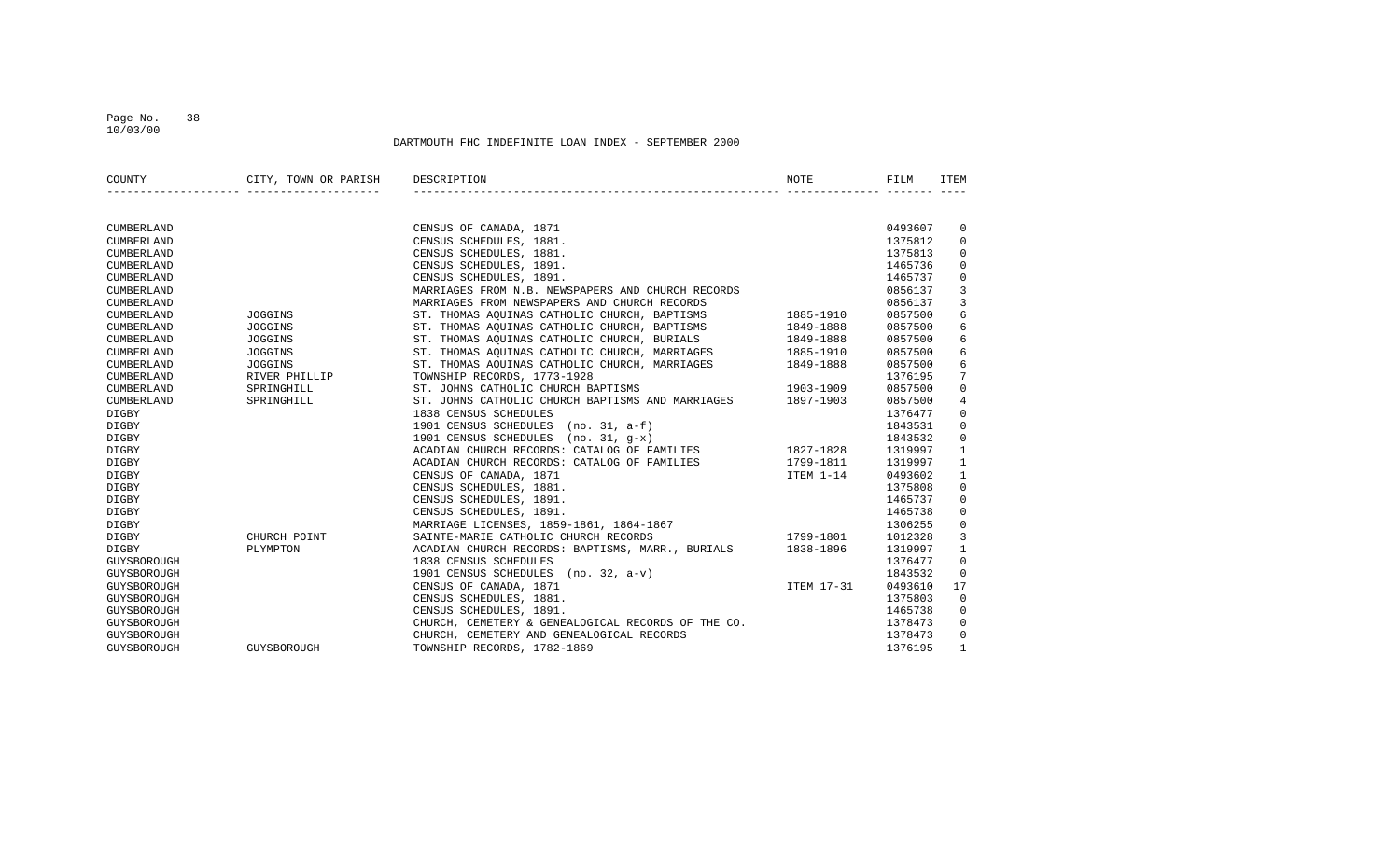#### Page No. 38 10/03/00

| COUNTY            | CITY, TOWN OR PARISH        | DESCRIPTION                                                                                                                                                                                                                          | NOTE      | FILM    | ITEM            |
|-------------------|-----------------------------|--------------------------------------------------------------------------------------------------------------------------------------------------------------------------------------------------------------------------------------|-----------|---------|-----------------|
|                   |                             |                                                                                                                                                                                                                                      |           |         |                 |
| CUMBERLAND        |                             | CENSUS OF CANADA, 1871                                                                                                                                                                                                               |           | 0493607 | $\overline{0}$  |
| CUMBERLAND        |                             | CENSUS SCHEDULES, 1881.                                                                                                                                                                                                              |           | 1375812 | $\mathbf 0$     |
| CUMBERLAND        |                             | CENSUS SCHEDULES, 1881.                                                                                                                                                                                                              |           | 1375813 | $\mathbf 0$     |
| CUMBERLAND        |                             | CENSUS SCHEDULES, 1891.                                                                                                                                                                                                              |           | 1465736 | $\mathbf 0$     |
| CUMBERLAND        |                             | CENSUS SCHEDULES, 1891.                                                                                                                                                                                                              |           | 1465737 | $\mathbf 0$     |
| CUMBERLAND        |                             | MARRIAGES FROM N.B. NEWSPAPERS AND CHURCH RECORDS                                                                                                                                                                                    |           | 0856137 | 3               |
| <b>CUMBERLAND</b> |                             |                                                                                                                                                                                                                                      |           | 0856137 | 3               |
| CUMBERLAND        | JOGGINS                     | MARRIAGES FROM NEWSPAPERS AND CHURCH RECORDS<br>ST. THOMAS AQUINAS CATHOLIC CHURCH, BAPTISMS<br>CR. TURNAS ACUINAS CATHOLIC CHURCH, BAPTISMS                                                                                         |           | 0857500 | 6               |
| CUMBERLAND        | <b>JOGGINS</b>              | ST. THOMAS AQUINAS CATHOLIC CHURCH, BAPTISMS 1849-1888<br>ST. THOMAS AQUINAS CATHOLIC CHURCH, BURIALS 1849-1888<br>ST. THOMAS AQUINAS CATHOLIC CHURCH, MARRIAGES 1885-1910<br>ST. THOMAS AQUINAS CATHOLIC CHURCH, MARRIAGES 1849-188 |           | 0857500 | 6               |
| CUMBERLAND        | <b>JOGGINS</b>              |                                                                                                                                                                                                                                      |           | 0857500 | 6               |
| CUMBERLAND        | <b>JOGGINS</b>              |                                                                                                                                                                                                                                      |           | 0857500 | 6               |
| CUMBERLAND        | <b>JOGGINS</b>              |                                                                                                                                                                                                                                      |           | 0857500 | 6               |
| CUMBERLAND        |                             | TOWNSHIP RECORDS, 1773-1928                                                                                                                                                                                                          |           | 1376195 | $7\phantom{.0}$ |
| CUMBERLAND        | RIVER PHILLIP<br>SPRINGHILL | 1903-1909<br>ST. JOHNS CATHOLIC CHURCH BAPTISMS                                                                                                                                                                                      |           | 0857500 | $\mathbf 0$     |
| CUMBERLAND        | SPRINGHILL                  | ST. JOHNS CATHOLIC CHURCH BAPTISMS AND MARRIAGES 1897-1903                                                                                                                                                                           |           | 0857500 | $\overline{4}$  |
| DIGBY             |                             | 1838 CENSUS SCHEDULES                                                                                                                                                                                                                |           | 1376477 | $\mathbf{0}$    |
| DIGBY             |                             | 1838 CENSUS SCHEDULES<br>1901 CENSUS SCHEDULES (no. 31, a-f)<br>1901 CENSUS SCHEDULES (no. 31, g-x)<br>ACADIAN CHURCH RECORDS: CATALOG OF FAMILIES 1827-1828                                                                         |           | 1843531 | $\mathbf 0$     |
| DIGBY             |                             |                                                                                                                                                                                                                                      |           | 1843532 | $\mathbf 0$     |
| DIGBY             |                             |                                                                                                                                                                                                                                      |           | 1319997 | $\mathbf{1}$    |
| DIGBY             |                             | ACADIAN CHURCH RECORDS: CATALOG OF FAMILIES 1799-1811                                                                                                                                                                                |           | 1319997 | 1               |
| DIGBY             |                             | CENSUS OF CANADA, 1871                                                                                                                                                                                                               | ITEM 1-14 | 0493602 | 1               |
| DIGBY             |                             |                                                                                                                                                                                                                                      |           | 1375808 | $\mathbf 0$     |
| DIGBY             |                             |                                                                                                                                                                                                                                      |           | 1465737 | $\mathbf 0$     |
| DIGBY             |                             |                                                                                                                                                                                                                                      |           | 1465738 | $\mathbf 0$     |
| DIGBY             |                             | CENSUS OF CANADA, 1671<br>CENSUS SCHEDULES, 1881.<br>CENSUS SCHEDULES, 1891.<br>MARRIAGE LICENSES, 1859-1861, 1864-1867<br>SAINTE-MARIE CATHOLIC CHURCH RECORDS 1799-1801                                                            |           | 1306255 | $\mathbf 0$     |
| DIGBY             | CHURCH POINT                |                                                                                                                                                                                                                                      |           | 1012328 | $\overline{3}$  |
| <b>DIGBY</b>      | PLYMPTON                    | ACADIAN CHURCH RECORDS: BAPTISMS, MARR., BURIALS 1838-1896                                                                                                                                                                           |           | 1319997 | $\mathbf{1}$    |
| GUYSBOROUGH       |                             | 1838 CENSUS SCHEDULES                                                                                                                                                                                                                |           | 1376477 | $\mathbf 0$     |
| GUYSBOROUGH       |                             |                                                                                                                                                                                                                                      |           | 1843532 | $\mathbf 0$     |
| GUYSBOROUGH       |                             | 1901 CENSUS SCHEDULES (no. 32, a-v)<br>1901 CENSUS SCHEDULES (no. 32, a-v)<br>CENSUS OF CANADA, 1871                                                                                                                                 |           | 0493610 | 17              |
| GUYSBOROUGH       |                             | CENSUS SCHEDULES, 1881.                                                                                                                                                                                                              |           | 1375803 | $\Omega$        |
| GUYSBOROUGH       |                             | CENSUS SCHEDULES, 1891.                                                                                                                                                                                                              |           | 1465738 | $\mathbf 0$     |
| GUYSBOROUGH       |                             | CHURCH, CEMETERY & GENEALOGICAL RECORDS OF THE CO.                                                                                                                                                                                   |           | 1378473 | $\mathbf{0}$    |
| GUYSBOROUGH       |                             | CHURCH, CEMETERY AND GENEALOGICAL RECORDS                                                                                                                                                                                            |           | 1378473 | 0               |
| GUYSBOROUGH       | GUYSBOROUGH                 | TOWNSHIP RECORDS, 1782-1869                                                                                                                                                                                                          |           | 1376195 | $\mathbf{1}$    |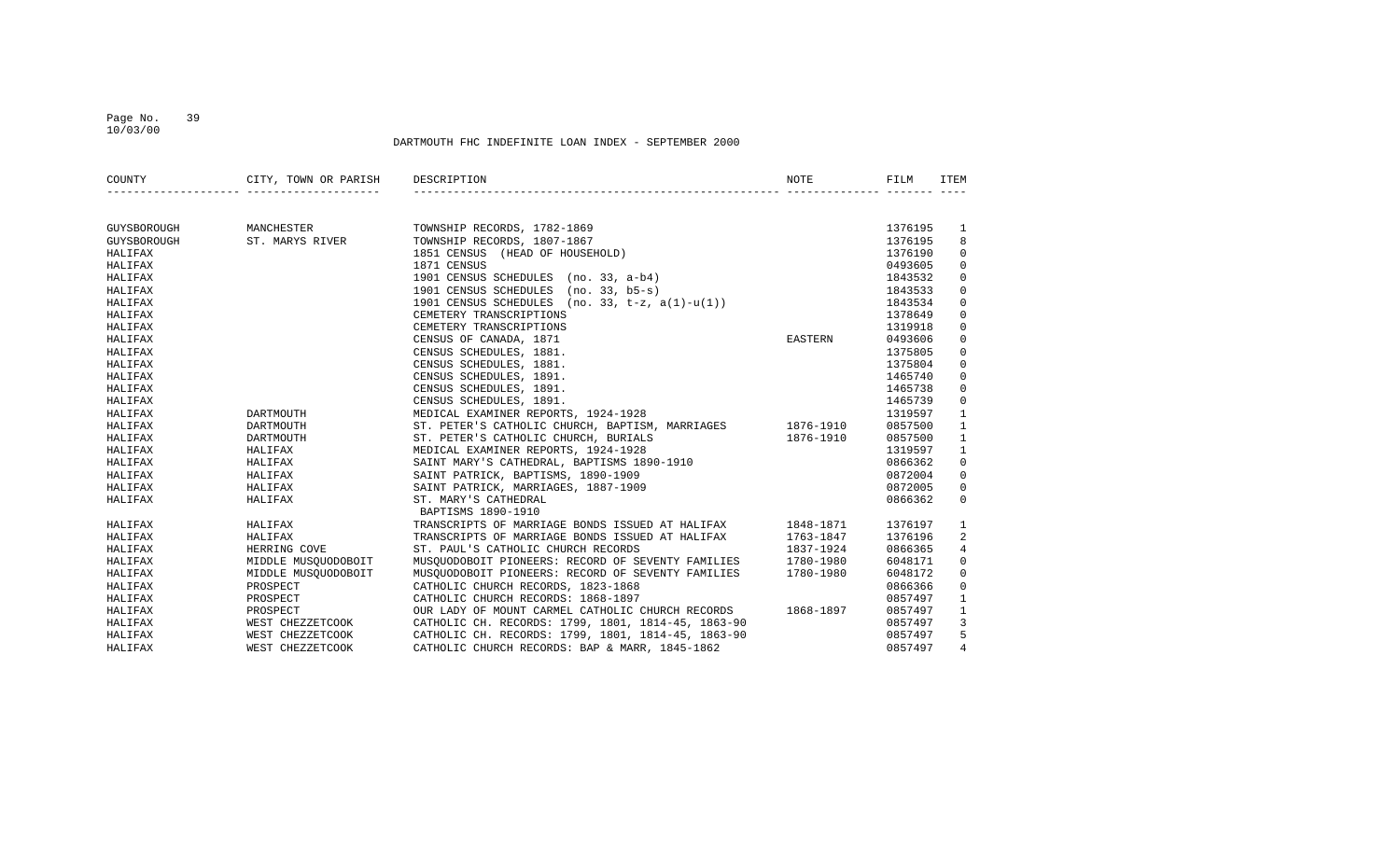### Page No. 39 10/03/00

| COUNTY      | CITY, TOWN OR PARISH | DESCRIPTION                                                                                                                                                                                                                                | NOTE      | FILM    | ITEM           |
|-------------|----------------------|--------------------------------------------------------------------------------------------------------------------------------------------------------------------------------------------------------------------------------------------|-----------|---------|----------------|
|             |                      |                                                                                                                                                                                                                                            |           |         |                |
| GUYSBOROUGH | MANCHESTER           | TOWNSHIP RECORDS, 1782-1869<br>TOWNSHIP RECORDS, 1807-1867<br>1851 CENSUS (HEAD OF HOUSEHOLD)<br>1871 CENSUS SCHEDULES (no. 33, a-b4)<br>1901 CENSUS SCHEDULES (no. 33, b5-s)<br>1901 CENSUS SCHEDULES (no. 33, b5-s)<br>1901 CENSUS SCHED |           | 1376195 | 1              |
| GUYSBOROUGH | ST. MARYS RIVER      |                                                                                                                                                                                                                                            |           | 1376195 | 8              |
| HALIFAX     |                      |                                                                                                                                                                                                                                            |           | 1376190 | $\mathbf{0}$   |
| HALIFAX     |                      |                                                                                                                                                                                                                                            |           | 0493605 | $\mathbf 0$    |
| HALIFAX     |                      |                                                                                                                                                                                                                                            |           | 1843532 | 0              |
| HALIFAX     |                      |                                                                                                                                                                                                                                            |           | 1843533 | 0              |
| HALIFAX     |                      |                                                                                                                                                                                                                                            |           | 1843534 | 0              |
| HALIFAX     |                      | CEMETERY TRANSCRIPTIONS                                                                                                                                                                                                                    |           | 1378649 | $\mathbf 0$    |
| HALIFAX     |                      | CEMETERY TRANSCRIPTIONS                                                                                                                                                                                                                    |           | 1319918 | $\mathbf 0$    |
| HALIFAX     |                      | CENSUS OF CANADA, 1871                                                                                                                                                                                                                     | EASTERN   | 0493606 | $\mathbf 0$    |
| HALIFAX     |                      | CENSUS SCHEDULES, 1881.                                                                                                                                                                                                                    |           | 1375805 | 0              |
| HALIFAX     |                      | CENSUS SCHEDULES, 1881.                                                                                                                                                                                                                    |           | 1375804 | 0              |
| HALIFAX     |                      | CENSUS SCHEDULES, 1891.                                                                                                                                                                                                                    |           | 1465740 | $\mathbf 0$    |
| HALIFAX     |                      | CENSUS SCHEDULES, 1891.                                                                                                                                                                                                                    |           | 1465738 | $\mathbf 0$    |
| HALIFAX     |                      | CENSUS SCHEDULES, 1891.                                                                                                                                                                                                                    |           | 1465739 | $\mathbf{0}$   |
| HALIFAX     | DARTMOUTH            | MEDICAL EXAMINER REPORTS, 1924-1928                                                                                                                                                                                                        |           | 1319597 | $\mathbf{1}$   |
| HALIFAX     | DARTMOUTH            | ST. PETER'S CATHOLIC CHURCH, BAPTISM, MARRIAGES 1876-1910                                                                                                                                                                                  |           | 0857500 | $\mathbf{1}$   |
| HALIFAX     | DARTMOUTH            | ST. PETER'S CATHOLIC CHURCH, BURIALS                                                                                                                                                                                                       | 1876-1910 | 0857500 | $\mathbf{1}$   |
| HALIFAX     | HALIFAX              |                                                                                                                                                                                                                                            |           | 1319597 | $\mathbf{1}$   |
| HALIFAX     | HALIFAX              |                                                                                                                                                                                                                                            |           | 0866362 | $\mathbf 0$    |
| HALIFAX     | HALIFAX              |                                                                                                                                                                                                                                            |           | 0872004 | $\mathbf 0$    |
| HALIFAX     | HALIFAX              | MEDICAL EXAMINER REPORTS, 1924-1926<br>SAINT MARY'S CATHEDRAL, BAPTISMS 1890-1910<br>SAINT PATRICK, BAPTISMS, 1890-1909<br>HATRICK, BAPTISMS, 1890-1909                                                                                    |           | 0872005 | $\mathbf{0}$   |
| HALIFAX     | HALIFAX              | ST. MARY'S CATHEDRAL                                                                                                                                                                                                                       |           | 0866362 | $\Omega$       |
|             |                      | BAPTISMS 1890-1910                                                                                                                                                                                                                         |           |         |                |
| HALIFAX     | HALIFAX              | TRANSCRIPTS OF MARRIAGE BONDS ISSUED AT HALIFAX 1848-1871                                                                                                                                                                                  |           | 1376197 | 1              |
| HALIFAX     | HALIFAX              | TRANSCRIPTS OF MARRIAGE BONDS ISSUED AT HALIFAX                                                                                                                                                                                            | 1763-1847 | 1376196 | 2              |
| HALIFAX     | HERRING COVE         | ST. PAUL'S CATHOLIC CHURCH RECORDS                                                                                                                                                                                                         | 1837-1924 | 0866365 | $\overline{4}$ |
| HALIFAX     | MIDDLE MUSQUODOBOIT  | MUSQUODOBOIT PIONEERS: RECORD OF SEVENTY FAMILIES 1780-1980                                                                                                                                                                                |           | 6048171 | 0              |
| HALIFAX     | MIDDLE MUSOUODOBOIT  | MUSQUODOBOIT PIONEERS: RECORD OF SEVENTY FAMILIES 1780-1980                                                                                                                                                                                |           | 6048172 | 0              |
| HALIFAX     | PROSPECT             | CATHOLIC CHURCH RECORDS, 1823-1868                                                                                                                                                                                                         |           | 0866366 | 0              |
| HALIFAX     | PROSPECT             | CATHOLIC CHURCH RECORDS: 1868-1897                                                                                                                                                                                                         |           | 0857497 | 1              |
| HALIFAX     | PROSPECT             | OUR LADY OF MOUNT CARMEL CATHOLIC CHURCH RECORDS 1868-1897                                                                                                                                                                                 |           | 0857497 | $\mathbf{1}$   |
| HALIFAX     |                      | WEST CHEZZETCOOK CATHOLIC CH. RECORDS: 1799, 1801, 1814-45, 1863-90                                                                                                                                                                        |           | 0857497 | $\overline{3}$ |
| HALIFAX     | WEST CHEZZETCOOK     | CATHOLIC CH. RECORDS: 1799, 1801, 1814-45, 1863-90                                                                                                                                                                                         |           | 0857497 | 5              |
| HALIFAX     | WEST CHEZZETCOOK     | CATHOLIC CHURCH RECORDS: BAP & MARR, 1845-1862                                                                                                                                                                                             |           | 0857497 | $\overline{4}$ |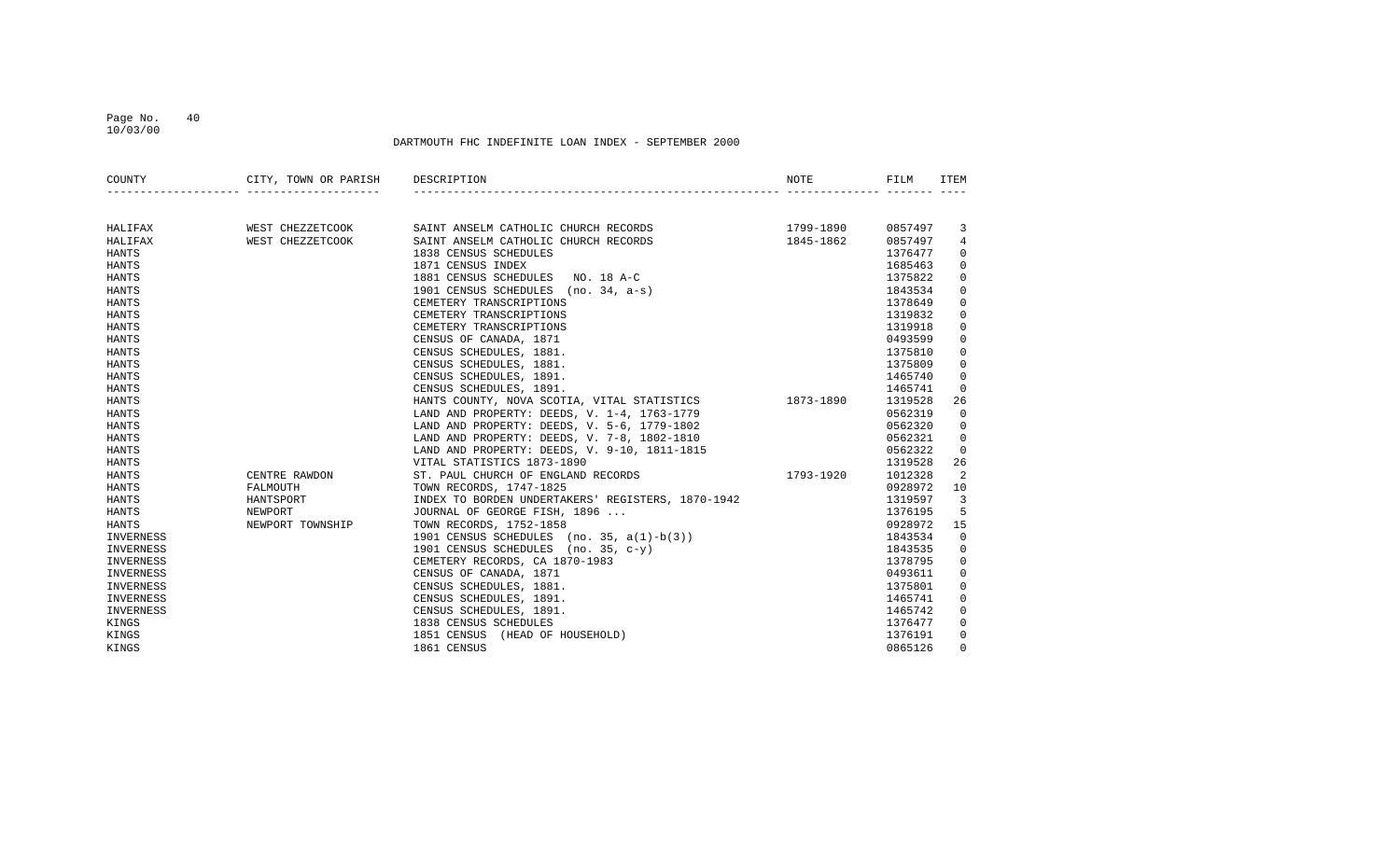10/03/00

| COUNTY       | CITY, TOWN OR PARISH DESCRIPTION<br>_________________________________ |                                                                                                                                                                                                                                        | NOTE | FILM    | ITEM           |
|--------------|-----------------------------------------------------------------------|----------------------------------------------------------------------------------------------------------------------------------------------------------------------------------------------------------------------------------------|------|---------|----------------|
|              |                                                                       |                                                                                                                                                                                                                                        |      |         |                |
| HALIFAX      |                                                                       |                                                                                                                                                                                                                                        |      | 0857497 | 3              |
| HALIFAX      |                                                                       |                                                                                                                                                                                                                                        |      | 0857497 | 4              |
| HANTS        |                                                                       |                                                                                                                                                                                                                                        |      | 1376477 | $\mathbf 0$    |
| HANTS        |                                                                       |                                                                                                                                                                                                                                        |      | 1685463 | 0              |
| <b>HANTS</b> |                                                                       |                                                                                                                                                                                                                                        |      | 1375822 | $\mathbf 0$    |
| HANTS        |                                                                       |                                                                                                                                                                                                                                        |      | 1843534 | $\mathbf 0$    |
| HANTS        |                                                                       |                                                                                                                                                                                                                                        |      | 1378649 | $\mathbf 0$    |
| HANTS        |                                                                       |                                                                                                                                                                                                                                        |      | 1319832 | $\mathbf 0$    |
| HANTS        |                                                                       |                                                                                                                                                                                                                                        |      | 1319918 | $\mathbf 0$    |
| HANTS        |                                                                       |                                                                                                                                                                                                                                        |      | 0493599 | $\mathbf 0$    |
| <b>HANTS</b> |                                                                       |                                                                                                                                                                                                                                        |      | 1375810 | $\mathbf 0$    |
| HANTS        |                                                                       |                                                                                                                                                                                                                                        |      | 1375809 | $\mathbf 0$    |
| HANTS        |                                                                       |                                                                                                                                                                                                                                        |      | 1465740 | $\mathbf 0$    |
| HANTS        |                                                                       |                                                                                                                                                                                                                                        |      | 1465741 | $\overline{0}$ |
| <b>HANTS</b> |                                                                       |                                                                                                                                                                                                                                        |      | 1319528 | 26             |
| HANTS        |                                                                       |                                                                                                                                                                                                                                        |      | 0562319 | $\mathbf 0$    |
| <b>HANTS</b> |                                                                       | LAND AND PROPERTY: DEEDS, V. 5-6, 1779-1802                                                                                                                                                                                            |      | 0562320 | 0              |
| <b>HANTS</b> |                                                                       | LAND AND PROPERTY: DEEDS, V. 7-8, 1802-1810                                                                                                                                                                                            |      | 0562321 | $\mathbf 0$    |
| <b>HANTS</b> |                                                                       | LAND AND PROPERTY: DEEDS, V. 9-10, 1811-1815                                                                                                                                                                                           |      | 0562322 | $\Omega$       |
| <b>HANTS</b> |                                                                       | VITAL STATISTICS 1873-1890                                                                                                                                                                                                             |      | 1319528 | 26             |
| <b>HANTS</b> |                                                                       | 1793-1920                                                                                                                                                                                                                              |      | 1012328 | 2              |
| HANTS        |                                                                       | CENTRE RAWDON ST. PAUL CHURCH OF ENGLAND RECORDS FALMOUTH                                                                                                                                                                              |      | 0928972 | 10             |
| HANTS        | HANTSPORT                                                             |                                                                                                                                                                                                                                        |      | 1319597 | $\overline{3}$ |
| HANTS        | NEWPORT                                                               |                                                                                                                                                                                                                                        |      | 1376195 | 5              |
| HANTS        | NEWPORT TOWNSHIP                                                      |                                                                                                                                                                                                                                        |      | 0928972 | 15             |
| INVERNESS    |                                                                       |                                                                                                                                                                                                                                        |      | 1843534 | $\overline{0}$ |
| INVERNESS    |                                                                       |                                                                                                                                                                                                                                        |      | 1843535 | $\mathbf{0}$   |
| INVERNESS    |                                                                       |                                                                                                                                                                                                                                        |      | 1378795 | 0              |
| INVERNESS    |                                                                       |                                                                                                                                                                                                                                        |      | 0493611 | 0              |
| INVERNESS    |                                                                       |                                                                                                                                                                                                                                        |      | 1375801 | $\mathbf 0$    |
| INVERNESS    |                                                                       |                                                                                                                                                                                                                                        |      | 1465741 | $\mathbf 0$    |
| INVERNESS    |                                                                       |                                                                                                                                                                                                                                        |      | 1465742 | $\mathbf 0$    |
| KINGS        |                                                                       | TOWN RECORDS, 1747-1825<br>INDEX TO BORDEN UNDERTAKERS' REGISTERS, 1870-1942<br>JOURNAL OF GEORGE FISH, 1896<br>TOWN RECORDS, 1752-1858<br>1901 CENSUS SCHEDULES (no. 35, a(1)-b(3))<br>1901 CENSUS SCHEDULES (no. 35, c-y)<br>CEMETER |      | 1376477 | 0              |
| KINGS        |                                                                       |                                                                                                                                                                                                                                        |      | 1376191 | $\mathbf 0$    |
| KINGS        |                                                                       | 1861 CENSUS                                                                                                                                                                                                                            |      | 0865126 | $\Omega$       |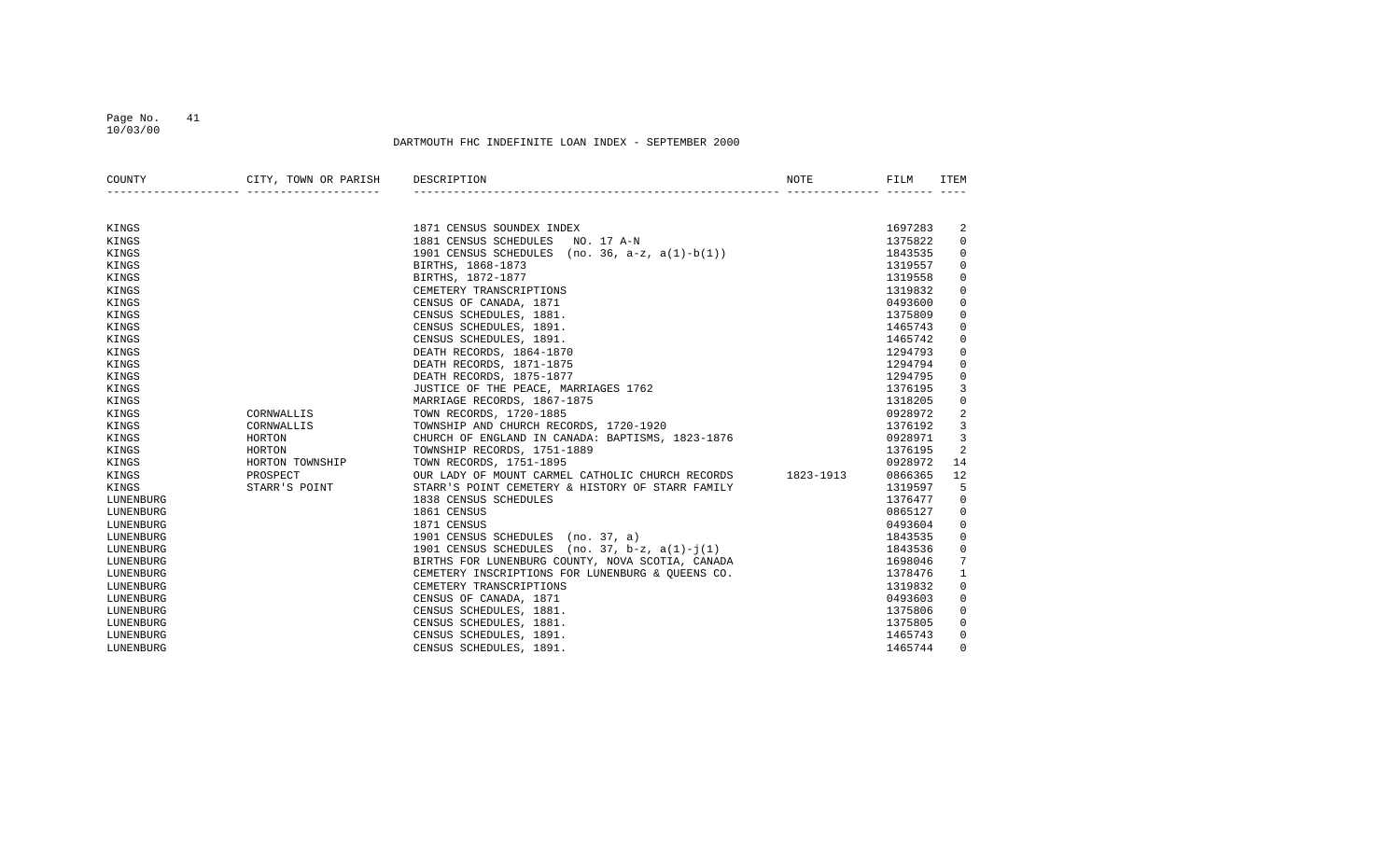10/03/00

| COUNTY    | CITY, TOWN OR PARISH | DESCRIPTION                                                | <b>NOTE</b> | FILM    | <b>ITEM</b>    |
|-----------|----------------------|------------------------------------------------------------|-------------|---------|----------------|
|           |                      |                                                            |             |         |                |
| KINGS     |                      | 1871 CENSUS SOUNDEX INDEX                                  |             | 1697283 | 2              |
| KINGS     |                      | 1881 CENSUS SCHEDULES<br>NO. 17 A-N                        |             | 1375822 | 0              |
| KINGS     |                      | 1901 CENSUS SCHEDULES (no. 36, $a-z$ , $a(1)-b(1)$ )       |             | 1843535 | 0              |
| KINGS     |                      | BIRTHS, 1868-1873                                          |             | 1319557 | 0              |
| KINGS     |                      | BIRTHS, 1872-1877                                          |             | 1319558 | 0              |
| KINGS     |                      | CEMETERY TRANSCRIPTIONS                                    |             | 1319832 | $\mathbf 0$    |
| KINGS     |                      | CENSUS OF CANADA, 1871                                     |             | 0493600 | $\mathsf 0$    |
| KINGS     |                      | CENSUS SCHEDULES, 1881.                                    |             | 1375809 | $\mathbf 0$    |
| KINGS     |                      | CENSUS SCHEDULES, 1891.                                    |             | 1465743 | 0              |
| KINGS     |                      | CENSUS SCHEDULES, 1891.                                    |             | 1465742 | 0              |
| KINGS     |                      | DEATH RECORDS, 1864-1870                                   |             | 1294793 | 0              |
| KINGS     |                      | DEATH RECORDS, 1871-1875                                   |             | 1294794 | 0              |
| KINGS     |                      | DEATH RECORDS, 1875-1877                                   |             | 1294795 | 0              |
| KINGS     |                      | JUSTICE OF THE PEACE, MARRIAGES 1762                       |             | 1376195 | 3              |
| KINGS     |                      | MARRIAGE RECORDS, 1867-1875                                |             | 1318205 | $\mathbf 0$    |
| KINGS     | CORNWALLIS           | TOWN RECORDS, 1720-1885                                    |             | 0928972 | $\overline{a}$ |
| KINGS     | CORNWALLIS           | TOWNSHIP AND CHURCH RECORDS, 1720-1920                     |             | 1376192 | 3              |
| KINGS     | HORTON               | CHURCH OF ENGLAND IN CANADA: BAPTISMS, 1823-1876           |             | 0928971 | 3              |
| KINGS     | HORTON               | TOWNSHIP RECORDS, 1751-1889                                |             | 1376195 | 2              |
| KINGS     | HORTON TOWNSHIP      | TOWN RECORDS, 1751-1895                                    |             | 0928972 | 14             |
| KINGS     | PROSPECT             | OUR LADY OF MOUNT CARMEL CATHOLIC CHURCH RECORDS 1823-1913 |             | 0866365 | 12             |
| KINGS     | STARR'S POINT        | STARR'S POINT CEMETERY & HISTORY OF STARR FAMILY           |             | 1319597 | 5              |
| LUNENBURG |                      | 1838 CENSUS SCHEDULES                                      |             | 1376477 | 0              |
| LUNENBURG |                      | 1861 CENSUS                                                |             | 0865127 | 0              |
| LUNENBURG |                      | 1871 CENSUS                                                |             | 0493604 | 0              |
| LUNENBURG |                      | 1901 CENSUS SCHEDULES (no. 37, a)                          |             | 1843535 | 0              |
| LUNENBURG |                      | 1901 CENSUS SCHEDULES (no. $37$ , $b-z$ , $a(1)-j(1)$      |             | 1843536 | $\mathbf 0$    |
| LUNENBURG |                      | BIRTHS FOR LUNENBURG COUNTY, NOVA SCOTIA, CANADA           |             | 1698046 | 7              |
| LUNENBURG |                      | CEMETERY INSCRIPTIONS FOR LUNENBURG & OUEENS CO.           |             | 1378476 | 1              |
| LUNENBURG |                      | CEMETERY TRANSCRIPTIONS                                    |             | 1319832 | 0              |
| LUNENBURG |                      | CENSUS OF CANADA, 1871                                     |             | 0493603 | 0              |
| LUNENBURG |                      | CENSUS SCHEDULES, 1881.                                    |             | 1375806 | 0              |
| LUNENBURG |                      | CENSUS SCHEDULES, 1881.                                    |             | 1375805 | 0              |
| LUNENBURG |                      | CENSUS SCHEDULES, 1891.                                    |             | 1465743 | 0              |
| LUNENBURG |                      | CENSUS SCHEDULES, 1891.                                    |             | 1465744 | $\Omega$       |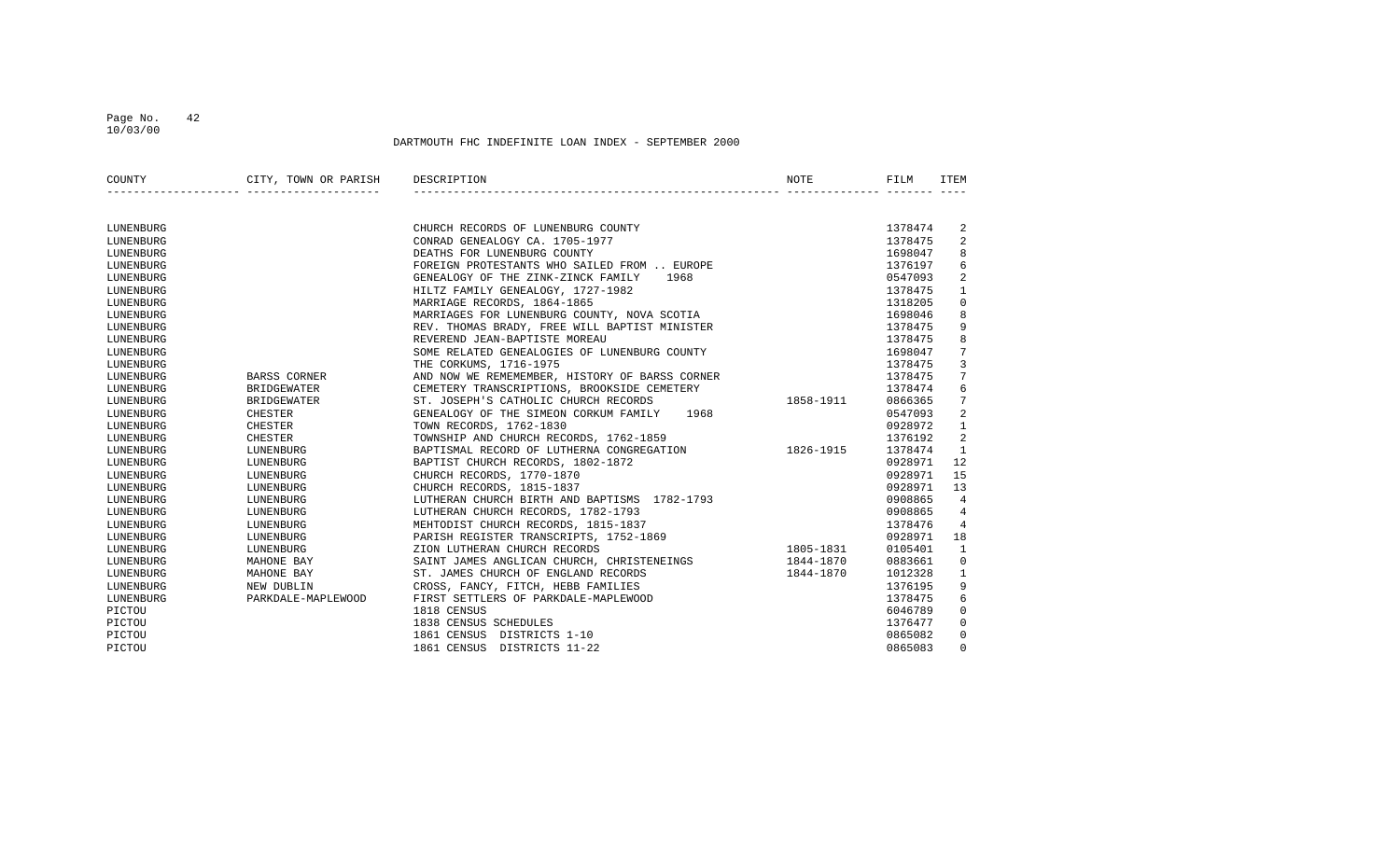10/03/00

| COUNTY    | CITY, TOWN OR PARISH | DESCRIPTION                                    | NOTE      | FILM    | ITEM           |
|-----------|----------------------|------------------------------------------------|-----------|---------|----------------|
|           |                      |                                                |           |         |                |
| LUNENBURG |                      | CHURCH RECORDS OF LUNENBURG COUNTY             |           | 1378474 | 2              |
| LUNENBURG |                      | CONRAD GENEALOGY CA. 1705-1977                 |           | 1378475 | 2              |
| LUNENBURG |                      | DEATHS FOR LUNENBURG COUNTY                    |           | 1698047 | 8              |
| LUNENBURG |                      | FOREIGN PROTESTANTS WHO SAILED FROM  EUROPE    |           | 1376197 | 6              |
| LUNENBURG |                      | GENEALOGY OF THE ZINK-ZINCK FAMILY<br>1968     |           | 0547093 | 2              |
| LUNENBURG |                      | HILTZ FAMILY GENEALOGY, 1727-1982              |           | 1378475 | $\mathbf{1}$   |
| LUNENBURG |                      | MARRIAGE RECORDS, 1864-1865                    |           | 1318205 | $\mathbf 0$    |
| LUNENBURG |                      | MARRIAGES FOR LUNENBURG COUNTY, NOVA SCOTIA    |           | 1698046 | 8              |
| LUNENBURG |                      | REV. THOMAS BRADY, FREE WILL BAPTIST MINISTER  |           | 1378475 | 9              |
| LUNENBURG |                      | REVEREND JEAN-BAPTISTE MOREAU                  |           | 1378475 | 8              |
| LUNENBURG |                      | SOME RELATED GENEALOGIES OF LUNENBURG COUNTY   |           | 1698047 | 7              |
| LUNENBURG |                      | THE CORKUMS, 1716-1975                         |           | 1378475 | 3              |
| LUNENBURG | BARSS CORNER         | AND NOW WE REMEMEMBER, HISTORY OF BARSS CORNER |           | 1378475 | 7              |
| LUNENBURG | <b>BRIDGEWATER</b>   | CEMETERY TRANSCRIPTIONS, BROOKSIDE CEMETERY    |           | 1378474 | 6              |
| LUNENBURG | <b>BRIDGEWATER</b>   | ST. JOSEPH'S CATHOLIC CHURCH RECORDS           | 1858-1911 | 0866365 | 7              |
| LUNENBURG | <b>CHESTER</b>       | GENEALOGY OF THE SIMEON CORKUM FAMILY<br>1968  |           | 0547093 | 2              |
| LUNENBURG | CHESTER              | TOWN RECORDS, 1762-1830                        |           | 0928972 | 1              |
| LUNENBURG | <b>CHESTER</b>       | TOWNSHIP AND CHURCH RECORDS, 1762-1859         |           | 1376192 | 2              |
| LUNENBURG | LUNENBURG            | BAPTISMAL RECORD OF LUTHERNA CONGREGATION      | 1826-1915 | 1378474 | $\mathbf{1}$   |
| LUNENBURG | LUNENBURG            | BAPTIST CHURCH RECORDS, 1802-1872              |           | 0928971 | 12             |
| LUNENBURG | LUNENBURG            | CHURCH RECORDS, 1770-1870                      |           | 0928971 | 15             |
| LUNENBURG | LUNENBURG            | CHURCH RECORDS, 1815-1837                      |           | 0928971 | 13             |
| LUNENBURG | LUNENBURG            | LUTHERAN CHURCH BIRTH AND BAPTISMS 1782-1793   |           | 0908865 | 4              |
| LUNENBURG | LUNENBURG            | LUTHERAN CHURCH RECORDS, 1782-1793             |           | 0908865 | 4              |
| LUNENBURG | LUNENBURG            | MEHTODIST CHURCH RECORDS, 1815-1837            |           | 1378476 | $\overline{4}$ |
| LUNENBURG | LUNENBURG            | PARISH REGISTER TRANSCRIPTS, 1752-1869         |           | 0928971 | 18             |
| LUNENBURG | LUNENBURG            | ZION LUTHERAN CHURCH RECORDS                   | 1805-1831 | 0105401 | $\mathbf{1}$   |
| LUNENBURG | MAHONE BAY           | SAINT JAMES ANGLICAN CHURCH, CHRISTENEINGS     | 1844-1870 | 0883661 | $\mathbf 0$    |
| LUNENBURG | MAHONE BAY           | ST. JAMES CHURCH OF ENGLAND RECORDS            | 1844-1870 | 1012328 | $\mathbf{1}$   |
| LUNENBURG | NEW DUBLIN           | CROSS, FANCY, FITCH, HEBB FAMILIES             |           | 1376195 | 9              |
| LUNENBURG | PARKDALE-MAPLEWOOD   | FIRST SETTLERS OF PARKDALE-MAPLEWOOD           |           | 1378475 | 6              |
| PICTOU    |                      | 1818 CENSUS                                    |           | 6046789 | 0              |
| PICTOU    |                      | 1838 CENSUS SCHEDULES                          |           | 1376477 | 0              |
| PICTOU    |                      | 1861 CENSUS<br>DISTRICTS 1-10                  |           | 0865082 | 0              |
| PICTOU    |                      | 1861 CENSUS DISTRICTS 11-22                    |           | 0865083 | $\Omega$       |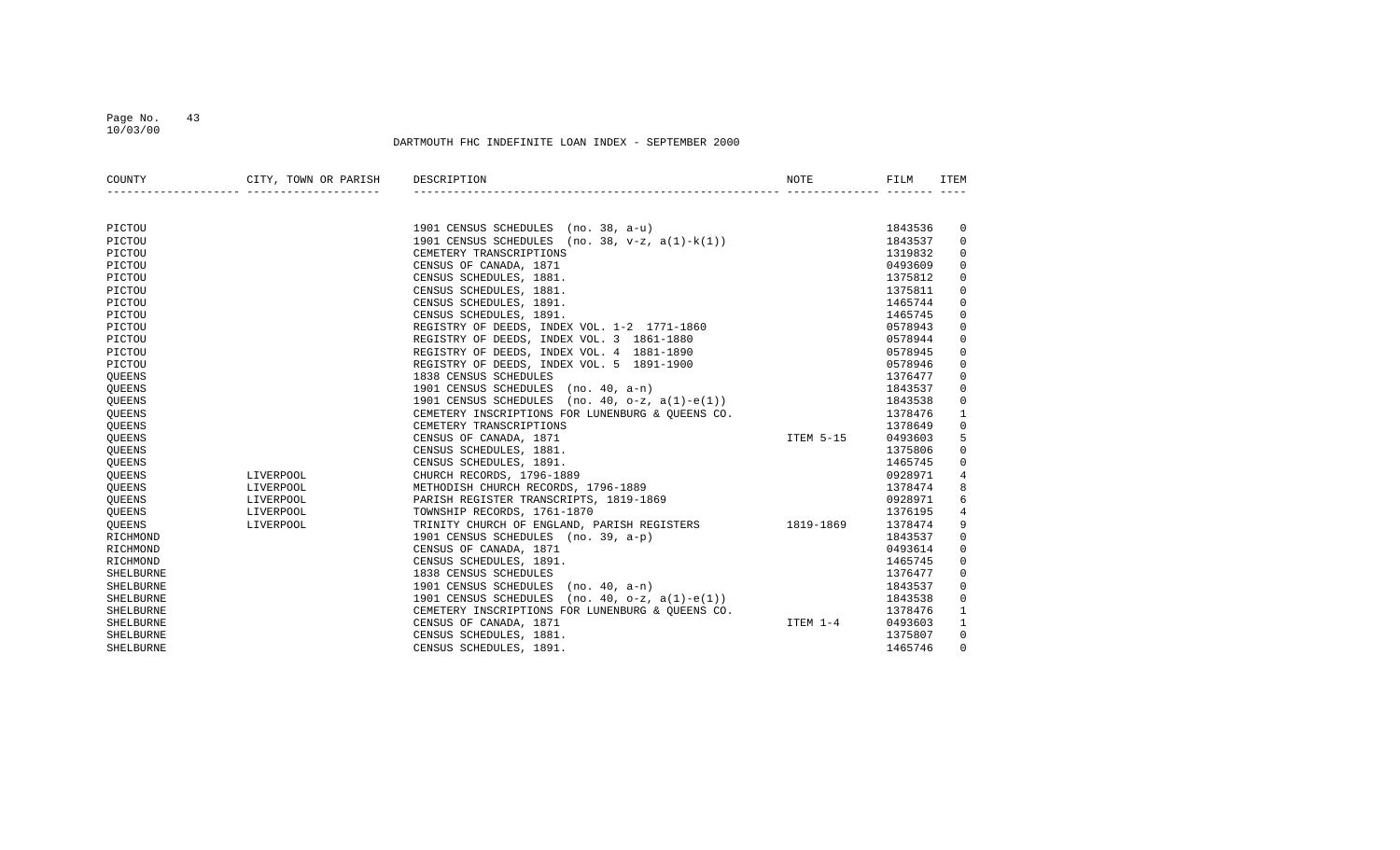### Page No. 43 10/03/00

| COUNTY        | CITY, TOWN OR PARISH DESCRIPTION |                                                                                                                                                                                                                                              |          | FILM    | ITEM           |
|---------------|----------------------------------|----------------------------------------------------------------------------------------------------------------------------------------------------------------------------------------------------------------------------------------------|----------|---------|----------------|
|               |                                  |                                                                                                                                                                                                                                              |          |         |                |
| PICTOU        |                                  | 1901 CENSUS SCHEDULES (no. 38, a-u)<br>1901 CENSUS SCHEDULES (no. 38, v-z, a(1)-k(1))<br>CEMETERY TRANSCRIPTIONS<br>1319832<br>0493609                                                                                                       |          |         | 0              |
| PICTOU        |                                  |                                                                                                                                                                                                                                              |          |         | $\mathbf{0}$   |
| PICTOU        |                                  | CEMETERY TRANSCRIPTIONS<br>CENSUS OF CANADA, 1871<br>CENSUS SCHEDULES, 1881.<br>CENSUS SCHEDULES, 1881.<br>CENSUS SCHEDULES, 1891.<br>CENSUS SCHEDULES, 1891.<br>REGISTRY OF DEEDS, INDEX VOL. 1-2 1771-1860<br>REGISTRY OF DEEDS, INDEX VOL |          |         | $\mathbf 0$    |
| PICTOU        |                                  |                                                                                                                                                                                                                                              |          | 0493609 | $\mathbf 0$    |
| PICTOU        |                                  |                                                                                                                                                                                                                                              |          | 1375812 | $\mathbf 0$    |
| PICTOU        |                                  |                                                                                                                                                                                                                                              |          | 1375811 | $\mathbf 0$    |
| PICTOU        |                                  |                                                                                                                                                                                                                                              |          | 1465744 | $\mathbf 0$    |
| PICTOU        |                                  |                                                                                                                                                                                                                                              |          | 1465745 | $\mathbf 0$    |
| PICTOU        |                                  |                                                                                                                                                                                                                                              |          | 0578943 | $\mathbf 0$    |
| PICTOU        |                                  |                                                                                                                                                                                                                                              |          | 0578944 | $\Omega$       |
| PICTOU        |                                  |                                                                                                                                                                                                                                              |          | 0578945 | $\mathbf 0$    |
| PICTOU        |                                  |                                                                                                                                                                                                                                              |          | 0578946 | $\mathbf 0$    |
| QUEENS        |                                  |                                                                                                                                                                                                                                              |          | 1376477 | $\mathbf 0$    |
| <b>QUEENS</b> |                                  |                                                                                                                                                                                                                                              |          | 1843537 | $\mathbf 0$    |
| <b>QUEENS</b> |                                  |                                                                                                                                                                                                                                              |          | 1843538 | $\mathbf 0$    |
| QUEENS        |                                  |                                                                                                                                                                                                                                              |          | 1378476 | 1              |
| QUEENS        |                                  | CEMETERY TRANSCRIPTIONS                                                                                                                                                                                                                      |          | 1378649 | 0              |
| <b>OUEENS</b> |                                  | CENSUS OF CANADA, 1871                                                                                                                                                                                                                       |          | 0493603 | 5              |
| QUEENS        |                                  | CENSUS SCHEDULES, 1881.                                                                                                                                                                                                                      |          | 1375806 | $\mathbf 0$    |
| <b>OUEENS</b> |                                  | CENSUS SCHEDULES, 1891.                                                                                                                                                                                                                      |          | 1465745 | $\mathbf 0$    |
| <b>OUEENS</b> | LIVERPOOL                        | CHURCH RECORDS, 1796-1889                                                                                                                                                                                                                    |          | 0928971 | 4              |
| QUEENS        | LIVERPOOL                        | METHODISH CHURCH RECORDS, 1796-1889                                                                                                                                                                                                          |          | 1378474 | 8              |
| <b>OUEENS</b> | LIVERPOOL                        | PARISH REGISTER TRANSCRIPTS, 1819-1869                                                                                                                                                                                                       |          | 0928971 | 6              |
| <b>OUEENS</b> | LIVERPOOL                        | TOWNSHIP RECORDS, 1761-1870                                                                                                                                                                                                                  |          | 1376195 | $\overline{4}$ |
| QUEENS        | LIVERPOOL                        |                                                                                                                                                                                                                                              |          | 1378474 | 9              |
| RICHMOND      |                                  | TOWNSHIP RECORDS, $1/61-1870$<br>TRINITY CHURCH OF ENGLAND, PARISH REGISTERS<br>1901 CENSUS SCHEDULES (no. 39, a-p)<br>CENSUS OF CANADA, 1871<br>CENSUS SCHEDULES, 1891.<br>1838 CENSUS SCHEDULES (no. 40, a-n)<br>1901 CENSUS SCHEDULES     |          | 1843537 | $\mathbf 0$    |
| RICHMOND      |                                  |                                                                                                                                                                                                                                              |          | 0493614 | $\mathbf 0$    |
| RICHMOND      |                                  |                                                                                                                                                                                                                                              |          | 1465745 | $\mathbf 0$    |
| SHELBURNE     |                                  |                                                                                                                                                                                                                                              |          | 1376477 | $\Omega$       |
| SHELBURNE     |                                  |                                                                                                                                                                                                                                              |          | 1843537 | $\Omega$       |
| SHELBURNE     |                                  |                                                                                                                                                                                                                                              |          | 1843538 | 0              |
| SHELBURNE     |                                  | CEMETERY INSCRIPTIONS FOR LUNENBURG & QUEENS CO.                                                                                                                                                                                             |          | 1378476 | 1              |
| SHELBURNE     |                                  | CENSUS OF CANADA, 1871                                                                                                                                                                                                                       | ITEM 1-4 | 0493603 | 1              |
| SHELBURNE     |                                  | CENSUS SCHEDULES, 1881.                                                                                                                                                                                                                      |          | 1375807 | $\mathbf 0$    |
| SHELBURNE     |                                  | CENSUS SCHEDULES, 1891.                                                                                                                                                                                                                      |          | 1465746 | $\Omega$       |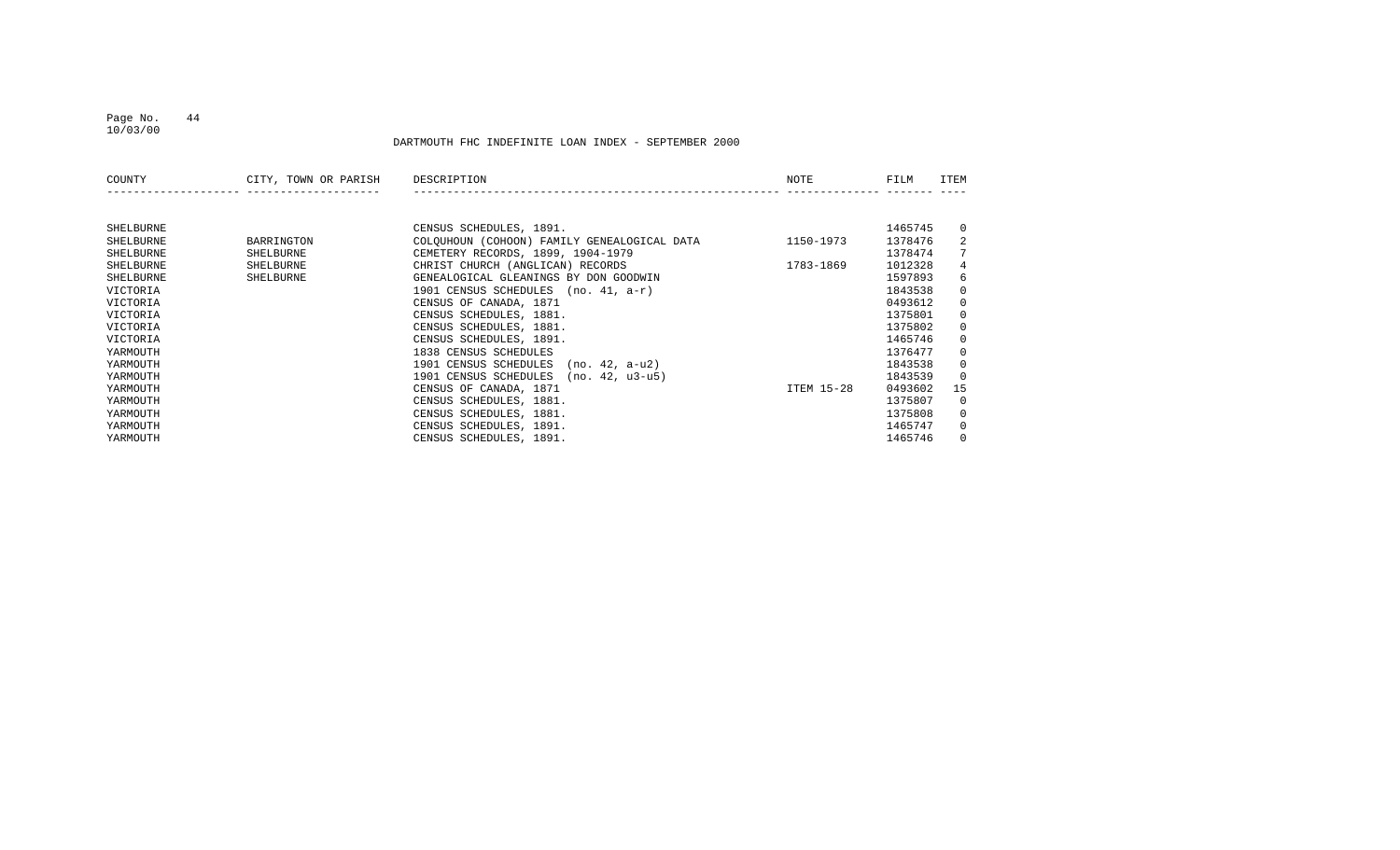#### Page No. 44 10/03/00

| COUNTY    | CITY, TOWN OR PARISH | DESCRIPTION                                 | NOTE       | FILM    | ITEM           |
|-----------|----------------------|---------------------------------------------|------------|---------|----------------|
|           |                      |                                             |            |         |                |
| SHELBURNE |                      | CENSUS SCHEDULES, 1891.                     |            | 1465745 | $\Omega$       |
| SHELBURNE | BARRINGTON           | COLOUHOUN (COHOON) FAMILY GENEALOGICAL DATA | 1150-1973  | 1378476 | 2              |
| SHELBURNE | SHELBURNE            | CEMETERY RECORDS, 1899, 1904-1979           |            | 1378474 | 7              |
| SHELBURNE | SHELBURNE            | CHRIST CHURCH (ANGLICAN) RECORDS            | 1783-1869  | 1012328 | 4              |
| SHELBURNE | SHELBURNE            | GENEALOGICAL GLEANINGS BY DON GOODWIN       |            | 1597893 | 6              |
| VICTORIA  |                      | 1901 CENSUS SCHEDULES<br>(no. 41, a-r)      |            | 1843538 | $\mathbf{0}$   |
| VICTORIA  |                      | CENSUS OF CANADA, 1871                      |            | 0493612 | $\overline{0}$ |
| VICTORIA  |                      | CENSUS SCHEDULES, 1881.                     |            | 1375801 | $\mathbf{0}$   |
| VICTORIA  |                      | CENSUS SCHEDULES, 1881.                     |            | 1375802 | $\mathbf{0}$   |
| VICTORIA  |                      | CENSUS SCHEDULES, 1891.                     |            | 1465746 | $\mathbf{0}$   |
| YARMOUTH  |                      | 1838 CENSUS SCHEDULES                       |            | 1376477 | $\mathbf{0}$   |
| YARMOUTH  |                      | 1901 CENSUS SCHEDULES<br>(no. 42, a-u2)     |            | 1843538 | $\mathbf{0}$   |
| YARMOUTH  |                      | 1901 CENSUS SCHEDULES<br>(no. 42, u3-u5)    |            | 1843539 | $\mathbf{0}$   |
| YARMOUTH  |                      | CENSUS OF CANADA, 1871                      | ITEM 15-28 | 0493602 | 15             |
| YARMOUTH  |                      | CENSUS SCHEDULES, 1881.                     |            | 1375807 | $\mathbf{0}$   |
| YARMOUTH  |                      | CENSUS SCHEDULES, 1881.                     |            | 1375808 | $\mathbf{0}$   |
| YARMOUTH  |                      | CENSUS SCHEDULES, 1891.                     |            | 1465747 | $\overline{0}$ |
| YARMOUTH  |                      | CENSUS SCHEDULES, 1891.                     |            | 1465746 | $\mathbf{0}$   |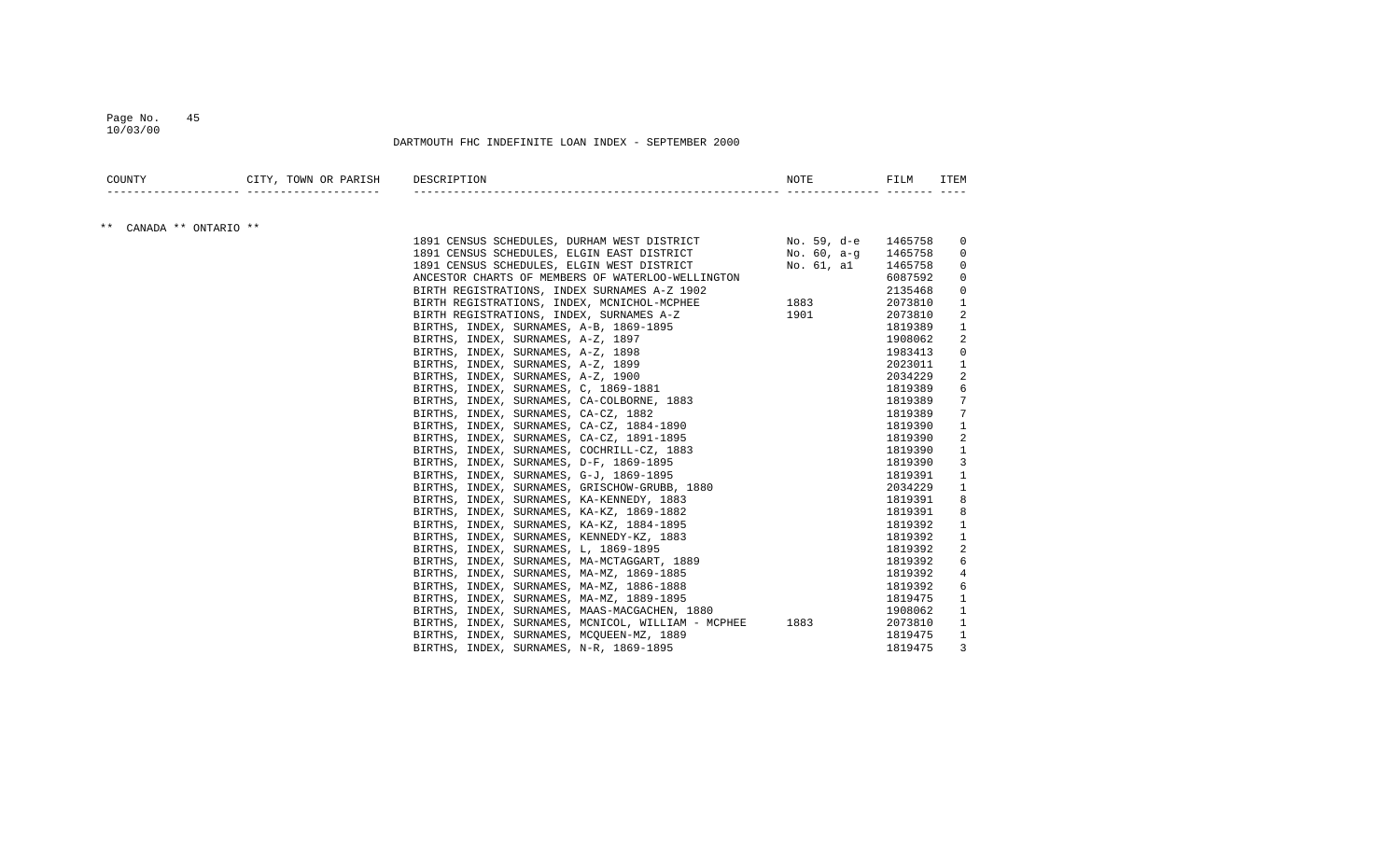#### Page No. 45 10/03/00

| COUNTY                  | CITY, TOWN OR PARISH<br>____________ ___________________ | DESCRIPTION                                        | NOTE                                                                                                                                                                                                                          | FILM    | ITEM         |
|-------------------------|----------------------------------------------------------|----------------------------------------------------|-------------------------------------------------------------------------------------------------------------------------------------------------------------------------------------------------------------------------------|---------|--------------|
|                         |                                                          |                                                    |                                                                                                                                                                                                                               |         |              |
| ** CANADA ** ONTARIO ** |                                                          | 1891 CENSUS SCHEDULES, DURHAM WEST DISTRICT        | No. 59, d-e 1465758                                                                                                                                                                                                           |         | 0            |
|                         |                                                          | 1891 CENSUS SCHEDULES, ELGIN EAST DISTRICT         | No. 60, a-q                                                                                                                                                                                                                   | 1465758 | 0            |
|                         |                                                          | 1891 CENSUS SCHEDULES, ELGIN WEST DISTRICT         | No. 61 <i>.</i> al                                                                                                                                                                                                            | 1465758 | 0            |
|                         |                                                          | ANCESTOR CHARTS OF MEMBERS OF WATERLOO-WELLINGTON  |                                                                                                                                                                                                                               | 6087592 | 0            |
|                         |                                                          | BIRTH REGISTRATIONS, INDEX SURNAMES A-Z 1902       |                                                                                                                                                                                                                               | 2135468 | 0            |
|                         |                                                          | BIRTH REGISTRATIONS, INDEX, MCNICHOL-MCPHEE        | 1883   1890   1890   1890   1890   1890   1890   1890   1890   1890   1890   1890   1890   1890   1890   1890   1890   1890   1890   1890   1890   1890   1890   1890   1890   1890   1890   1890   1890   1890   1890   1890 | 2073810 | 1            |
|                         |                                                          | BIRTH REGISTRATIONS, INDEX, SURNAMES A-Z           | 1901                                                                                                                                                                                                                          | 2073810 | 2            |
|                         |                                                          | BIRTHS, INDEX, SURNAMES, A-B, 1869-1895            |                                                                                                                                                                                                                               | 1819389 | 1            |
|                         |                                                          | BIRTHS, INDEX, SURNAMES, A-Z, 1897                 |                                                                                                                                                                                                                               | 1908062 | 2            |
|                         |                                                          | BIRTHS, INDEX, SURNAMES, A-Z, 1898                 |                                                                                                                                                                                                                               | 1983413 | 0            |
|                         |                                                          | BIRTHS, INDEX, SURNAMES, A-Z, 1899                 |                                                                                                                                                                                                                               | 2023011 | 1            |
|                         |                                                          | BIRTHS, INDEX, SURNAMES, A-Z, 1900                 |                                                                                                                                                                                                                               | 2034229 | 2            |
|                         |                                                          | BIRTHS, INDEX, SURNAMES, C, 1869-1881              |                                                                                                                                                                                                                               | 1819389 | 6            |
|                         |                                                          | BIRTHS, INDEX, SURNAMES, CA-COLBORNE, 1883         |                                                                                                                                                                                                                               | 1819389 | 7            |
|                         |                                                          | BIRTHS, INDEX, SURNAMES, CA-CZ, 1882               |                                                                                                                                                                                                                               | 1819389 | 7            |
|                         |                                                          | BIRTHS, INDEX, SURNAMES, CA-CZ, 1884-1890          |                                                                                                                                                                                                                               | 1819390 | $\mathbf{1}$ |
|                         |                                                          | BIRTHS, INDEX, SURNAMES, CA-CZ, 1891-1895          |                                                                                                                                                                                                                               | 1819390 | 2            |
|                         |                                                          | BIRTHS, INDEX, SURNAMES, COCHRILL-CZ, 1883         |                                                                                                                                                                                                                               | 1819390 | 1            |
|                         |                                                          | BIRTHS, INDEX, SURNAMES, D-F, 1869-1895            |                                                                                                                                                                                                                               | 1819390 | 3            |
|                         |                                                          | BIRTHS, INDEX, SURNAMES, G-J, 1869-1895            |                                                                                                                                                                                                                               | 1819391 | 1            |
|                         |                                                          | BIRTHS, INDEX, SURNAMES, GRISCHOW-GRUBB, 1880      |                                                                                                                                                                                                                               | 2034229 | 1            |
|                         |                                                          | BIRTHS, INDEX, SURNAMES, KA-KENNEDY, 1883          |                                                                                                                                                                                                                               | 1819391 | 8            |
|                         |                                                          | BIRTHS, INDEX, SURNAMES, KA-KZ, 1869-1882          |                                                                                                                                                                                                                               | 1819391 | 8            |
|                         |                                                          | BIRTHS, INDEX, SURNAMES, KA-KZ, 1884-1895          |                                                                                                                                                                                                                               | 1819392 | 1            |
|                         |                                                          | BIRTHS, INDEX, SURNAMES, KENNEDY-KZ, 1883          |                                                                                                                                                                                                                               | 1819392 | $\mathbf{1}$ |
|                         |                                                          | BIRTHS, INDEX, SURNAMES, L, 1869-1895              |                                                                                                                                                                                                                               | 1819392 | 2            |
|                         |                                                          | BIRTHS, INDEX, SURNAMES, MA-MCTAGGART, 1889        |                                                                                                                                                                                                                               | 1819392 | 6            |
|                         |                                                          | BIRTHS, INDEX, SURNAMES, MA-MZ, 1869-1885          |                                                                                                                                                                                                                               | 1819392 | 4            |
|                         |                                                          | BIRTHS, INDEX, SURNAMES, MA-MZ, 1886-1888          |                                                                                                                                                                                                                               | 1819392 | 6            |
|                         |                                                          | BIRTHS, INDEX, SURNAMES, MA-MZ, 1889-1895          |                                                                                                                                                                                                                               | 1819475 | 1            |
|                         |                                                          | BIRTHS, INDEX, SURNAMES, MAAS-MACGACHEN, 1880      |                                                                                                                                                                                                                               | 1908062 | $\mathbf{1}$ |
|                         |                                                          | BIRTHS, INDEX, SURNAMES, MCNICOL, WILLIAM - MCPHEE | 1883                                                                                                                                                                                                                          | 2073810 | 1            |
|                         |                                                          | BIRTHS, INDEX, SURNAMES, MCQUEEN-MZ, 1889          |                                                                                                                                                                                                                               | 1819475 | 1            |
|                         |                                                          | BIRTHS, INDEX, SURNAMES, N-R, 1869-1895            |                                                                                                                                                                                                                               | 1819475 | 3            |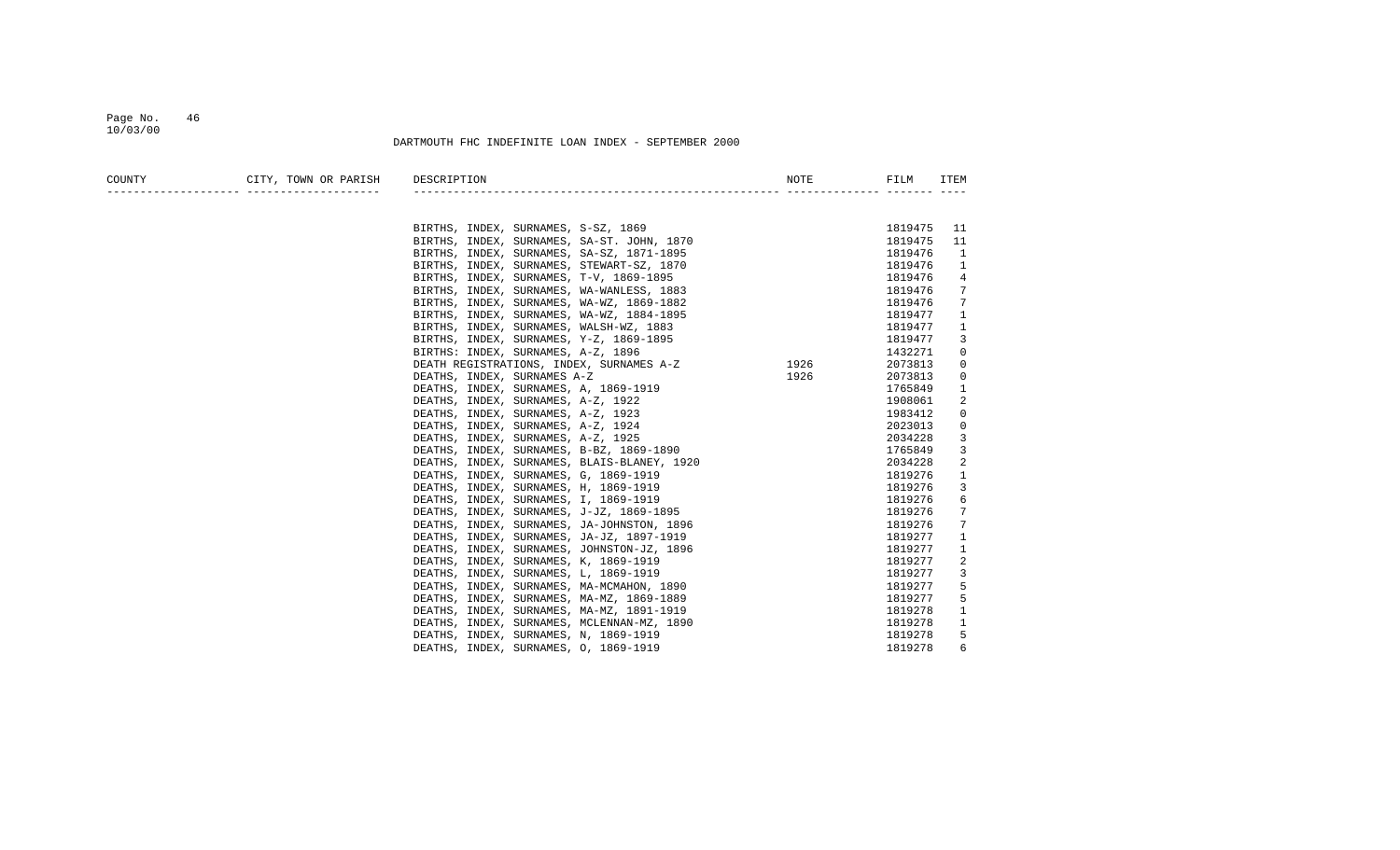### Page No. 46 10/03/00

| COUNTY | CITY, TOWN OR PARISH       | DESCRIPTION                                      | NOTE | FILM    | ITEM           |
|--------|----------------------------|--------------------------------------------------|------|---------|----------------|
|        | ---------- --------------- |                                                  |      |         |                |
|        |                            |                                                  |      |         |                |
|        |                            | BIRTHS, INDEX, SURNAMES, S-SZ, 1869              |      | 1819475 | 11             |
|        |                            | BIRTHS, INDEX, SURNAMES, SA-ST. JOHN, 1870       |      | 1819475 | 11             |
|        |                            | BIRTHS, INDEX, SURNAMES, SA-SZ, 1871-1895        |      | 1819476 | 1              |
|        |                            | BIRTHS, INDEX, SURNAMES, STEWART-SZ, 1870        |      | 1819476 | 1              |
|        |                            | BIRTHS, INDEX, SURNAMES, T-V, 1869-1895          |      | 1819476 | 4              |
|        |                            | BIRTHS, INDEX, SURNAMES, WA-WANLESS, 1883        |      | 1819476 | 7              |
|        |                            | BIRTHS, INDEX, SURNAMES, WA-WZ, 1869-1882        |      | 1819476 | 7              |
|        |                            | BIRTHS, INDEX, SURNAMES, WA-WZ, 1884-1895        |      | 1819477 | 1              |
|        |                            | BIRTHS, INDEX, SURNAMES, WALSH-WZ, 1883          |      | 1819477 | 1              |
|        |                            | BIRTHS, INDEX, SURNAMES, Y-Z, 1869-1895          |      | 1819477 | 3              |
|        |                            | BIRTHS: INDEX, SURNAMES, A-Z, 1896               |      | 1432271 | $\mathbf 0$    |
|        |                            | 1926<br>DEATH REGISTRATIONS, INDEX, SURNAMES A-Z |      | 2073813 | 0              |
|        |                            | DEATHS, INDEX, SURNAMES A-Z                      | 1926 | 2073813 | 0              |
|        |                            | DEATHS, INDEX, SURNAMES, A, 1869-1919            |      | 1765849 | 1              |
|        |                            | DEATHS, INDEX, SURNAMES, A-Z, 1922               |      | 1908061 | 2              |
|        |                            | DEATHS, INDEX, SURNAMES, A-Z, 1923               |      | 1983412 | $\mathbf 0$    |
|        |                            | DEATHS, INDEX, SURNAMES, A-Z, 1924               |      | 2023013 | 0              |
|        |                            | DEATHS, INDEX, SURNAMES, A-Z, 1925               |      | 2034228 | 3              |
|        |                            | DEATHS, INDEX, SURNAMES, B-BZ, 1869-1890         |      | 1765849 | 3              |
|        |                            | DEATHS, INDEX, SURNAMES, BLAIS-BLANEY, 1920      |      | 2034228 | $\overline{2}$ |
|        |                            | DEATHS, INDEX, SURNAMES, G, 1869-1919            |      | 1819276 | $\mathbf{1}$   |
|        |                            | DEATHS, INDEX, SURNAMES, H, 1869-1919            |      | 1819276 | 3              |
|        |                            | DEATHS, INDEX, SURNAMES, I, 1869-1919            |      | 1819276 | 6              |
|        |                            | DEATHS, INDEX, SURNAMES, J-JZ, 1869-1895         |      | 1819276 | 7              |
|        |                            | DEATHS, INDEX, SURNAMES, JA-JOHNSTON, 1896       |      | 1819276 | 7              |
|        |                            | DEATHS, INDEX, SURNAMES, JA-JZ, 1897-1919        |      | 1819277 | 1              |
|        |                            | DEATHS, INDEX, SURNAMES, JOHNSTON-JZ, 1896       |      | 1819277 | 1              |
|        |                            | DEATHS, INDEX, SURNAMES, K, 1869-1919            |      | 1819277 | 2              |
|        |                            | DEATHS, INDEX, SURNAMES, L, 1869-1919            |      | 1819277 | 3              |
|        |                            | DEATHS, INDEX, SURNAMES, MA-MCMAHON, 1890        |      | 1819277 | 5              |
|        |                            | DEATHS, INDEX, SURNAMES, MA-MZ, 1869-1889        |      | 1819277 | 5              |
|        |                            | DEATHS, INDEX, SURNAMES, MA-MZ, 1891-1919        |      | 1819278 | $\mathbf{1}$   |
|        |                            | DEATHS, INDEX, SURNAMES, MCLENNAN-MZ, 1890       |      | 1819278 | $\mathbf{1}$   |
|        |                            | DEATHS, INDEX, SURNAMES, N, 1869-1919            |      | 1819278 | 5              |
|        |                            | DEATHS, INDEX, SURNAMES, 0, 1869-1919            |      | 1819278 | 6              |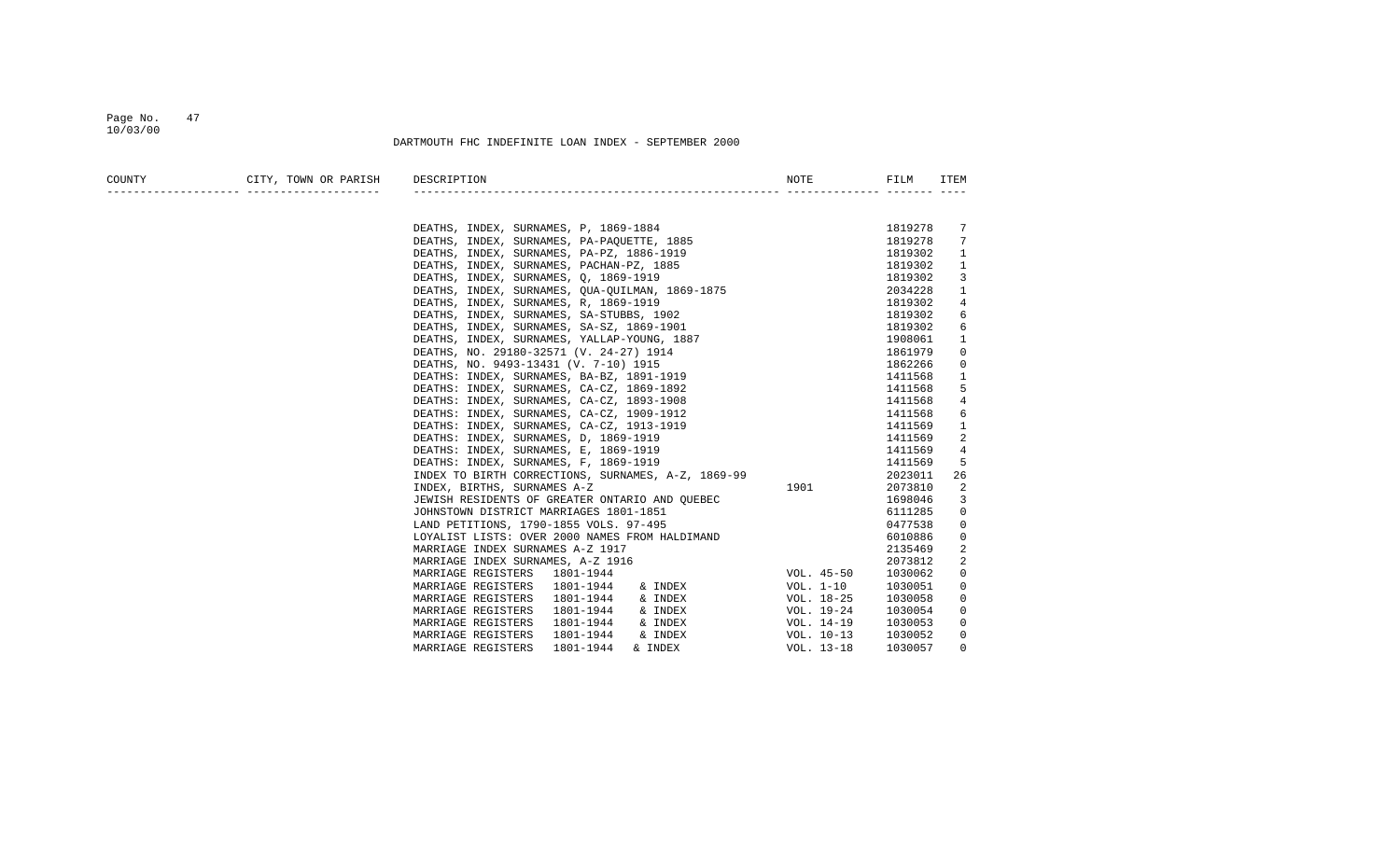#### Page No. 47 10/03/00

| COUNTY                                | CITY, TOWN OR PARISH DESCRIPTION                                                                                                                                                                                                |                |         |             |
|---------------------------------------|---------------------------------------------------------------------------------------------------------------------------------------------------------------------------------------------------------------------------------|----------------|---------|-------------|
| _____________________________________ |                                                                                                                                                                                                                                 |                |         |             |
|                                       |                                                                                                                                                                                                                                 |                |         |             |
|                                       | DEATHS, INDEX, SURNAMES, P, 1869-1884                                                                                                                                                                                           |                | 1819278 | 7           |
|                                       | DEATHS, INDEX, SURNAMES, PA-PAQUETTE, 1885                                                                                                                                                                                      | $\frac{35}{2}$ | 1819278 | 7           |
|                                       |                                                                                                                                                                                                                                 |                | 1819302 | 1           |
|                                       |                                                                                                                                                                                                                                 |                | 1819302 | 1           |
|                                       |                                                                                                                                                                                                                                 |                | 1819302 | 3           |
|                                       | DEATHS, INDEX, SURNAMES, PA-PAQUEILE, 1605<br>DEATHS, INDEX, SURNAMES, PA-PZ, 1886-1919<br>DEATHS, INDEX, SURNAMES, PACHAN-PZ, 1885<br>DEATHS, INDEX, SURNAMES, Q, 1869-1919<br>DEATHS, INDEX, SURNAMES, QUA-QUILMAN, 1869-1875 |                | 2034228 | 1           |
|                                       | DEATHS, INDEX, SURNAMES, R, 1869-1919                                                                                                                                                                                           |                | 1819302 | 4           |
|                                       | DEATHS, INDEX, SURNAMES, SA-STUBBS, 1902                                                                                                                                                                                        |                | 1819302 | 6           |
|                                       | DEATHS, INDEX, SURNAMES, SA-SZ, 1869-1901                                                                                                                                                                                       |                | 1819302 | 6           |
|                                       | DEATHS, INDEX, SURNAMES, YALLAP-YOUNG, 1887                                                                                                                                                                                     |                | 1908061 | 1           |
|                                       | DEATHS, NO. 29180-32571 (V. 24-27) 1914                                                                                                                                                                                         |                | 1861979 | 0           |
|                                       | DEATHS, NO. 9493-13431 (V. 7-10) 1915                                                                                                                                                                                           |                | 1862266 | 0           |
|                                       | DEATHS: INDEX, SURNAMES, BA-BZ, 1891-1919                                                                                                                                                                                       |                | 1411568 | 1           |
|                                       | DEATHS: INDEX, SURNAMES, CA-CZ, 1869-1892                                                                                                                                                                                       |                | 1411568 | 5           |
|                                       | DEATHS: INDEX, SURNAMES, CA-CZ, 1893-1908                                                                                                                                                                                       |                | 1411568 | 4           |
|                                       | DEATHS: INDEX, SURNAMES, CA-CZ, 1909-1912                                                                                                                                                                                       |                | 1411568 | 6           |
|                                       | DEATHS: INDEX, SURNAMES, CA-CZ, 1913-1919                                                                                                                                                                                       |                | 1411569 | 1           |
|                                       | DEATHS: INDEX, SURNAMES, D, 1869-1919                                                                                                                                                                                           |                | 1411569 | 2           |
|                                       | DEATHS: INDEX, SURNAMES, E, 1869-1919                                                                                                                                                                                           |                | 1411569 | 4           |
|                                       | DEATHS: INDEX, SURNAMES, F, 1869-1919                                                                                                                                                                                           |                | 1411569 | 5           |
|                                       | INDEX TO BIRTH CORRECTIONS, SURNAMES, A-Z, 1869-99                                                                                                                                                                              |                | 2023011 | 26          |
|                                       | INDEX, BIRTHS, SURNAMES A-Z                                                                                                                                                                                                     | 1901           | 2073810 | 2           |
|                                       |                                                                                                                                                                                                                                 |                | 1698046 | 3           |
|                                       |                                                                                                                                                                                                                                 |                | 6111285 | 0           |
|                                       |                                                                                                                                                                                                                                 |                | 0477538 | 0           |
|                                       | JEWISH RESIDENTS OF GREATER ONTARIO AND QUEBEC<br>JOHNSTOWN DISTRICT MARRIAGES 1801-1851<br>LAND PETITIONS, 1790-1855 VOLS. 97-495<br>LOYALIST LISTS: OVER 2000 NAMES FROM HALDIMAND<br>NABBIACE INDEV. CUERAPIC A 1917         |                | 6010886 | 0           |
|                                       | MARRIAGE INDEX SURNAMES A-Z 1917                                                                                                                                                                                                |                | 2135469 | 2           |
|                                       | MARRIAGE INDEX SURNAMES, A-Z 1916                                                                                                                                                                                               |                | 2073812 | 2           |
|                                       | MARRIAGE REGISTERS 1801-1944                                                                                                                                                                                                    |                | 1030062 | $\mathbf 0$ |
|                                       | 1801-1944<br>MARRIAGE REGISTERS                                                                                                                                                                                                 |                | 1030051 | $\mathbf 0$ |
|                                       | 1801-1944<br>MARRIAGE REGISTERS                                                                                                                                                                                                 |                | 1030058 | 0           |
|                                       | MARRIAGE REGISTERS<br>1801-1944                                                                                                                                                                                                 |                | 1030054 | 0           |
|                                       | MARRIAGE REGISTERS<br>1801-1944<br>& INDEX                                                                                                                                                                                      | VOL. 14–19     | 1030053 | 0           |
|                                       | MARRIAGE REGISTERS<br>1801-1944<br>& INDEX                                                                                                                                                                                      | VOL. 10-13     | 1030052 | 0           |
|                                       | MARRIAGE REGISTERS<br>1801-1944<br>& INDEX                                                                                                                                                                                      | VOL. 13-18     | 1030057 | $\Omega$    |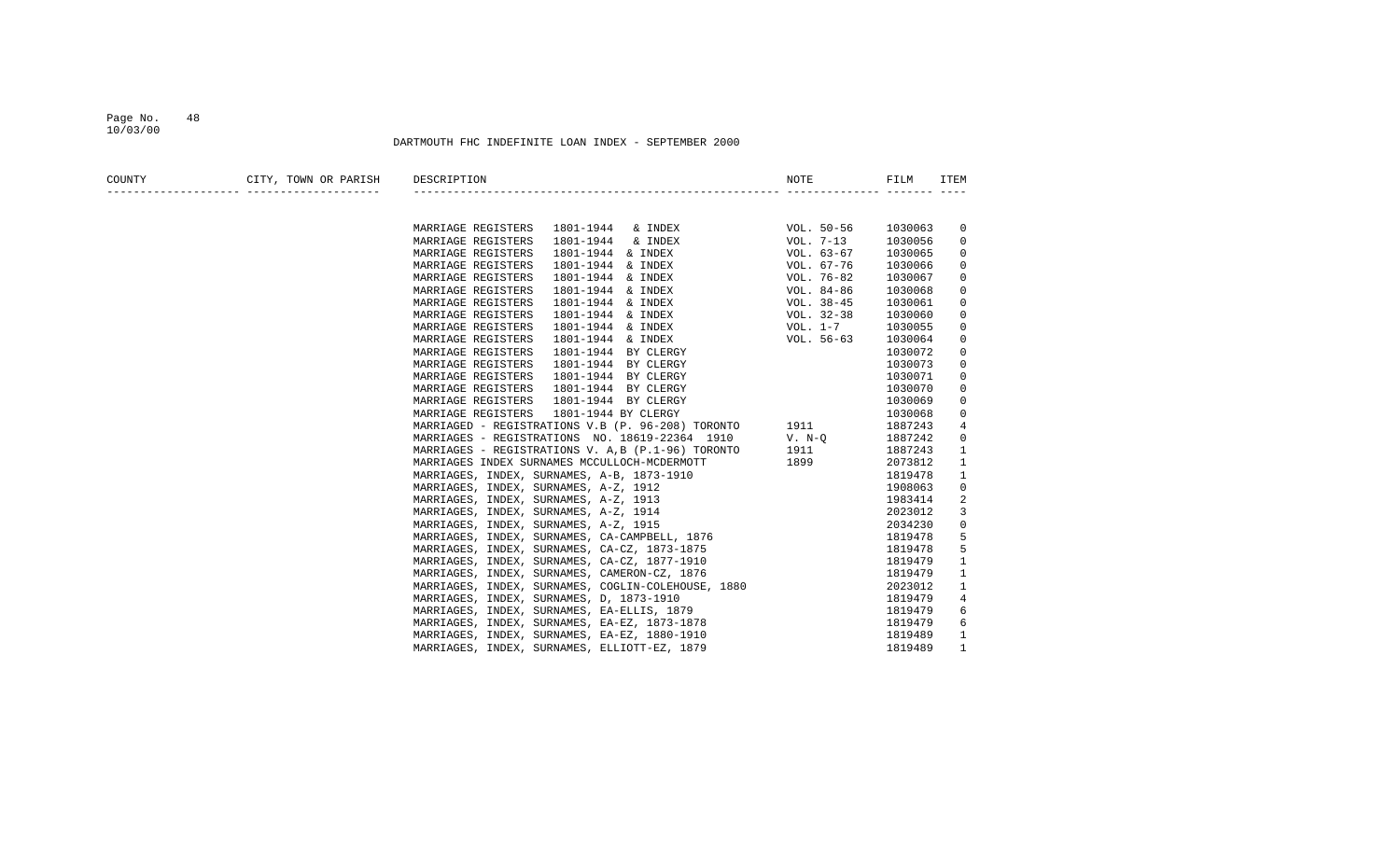#### Page No. 48 10/03/00

| COUNTY | CITY, TOWN OR PARISH               | DESCRIPTION                                                                                                                                                                                                                                |                                                      |         | ITEM        |
|--------|------------------------------------|--------------------------------------------------------------------------------------------------------------------------------------------------------------------------------------------------------------------------------------------|------------------------------------------------------|---------|-------------|
|        | __________________________________ |                                                                                                                                                                                                                                            |                                                      |         |             |
|        |                                    | MARRIAGE REGISTERS                                                                                                                                                                                                                         |                                                      | 1030063 | 0           |
|        |                                    | MARRIAGE REGISTERS                                                                                                                                                                                                                         |                                                      | 1030056 | 0           |
|        |                                    | MARRIAGE REGISTERS                                                                                                                                                                                                                         |                                                      | 1030065 | 0           |
|        |                                    | MARRIAGE REGISTERS                                                                                                                                                                                                                         |                                                      | 1030066 | 0           |
|        |                                    | MARRIAGE REGISTERS                                                                                                                                                                                                                         |                                                      | 1030067 | 0           |
|        |                                    | MARRIAGE REGISTERS<br>1801-1944 & INDEX                                                                                                                                                                                                    | VOL. 84-86                                           | 1030068 | $\mathbf 0$ |
|        |                                    | MARRIAGE REGISTERS<br>1801-1944 & INDEX                                                                                                                                                                                                    | VOL. 38-45                                           | 1030061 | 0           |
|        |                                    | MARRIAGE REGISTERS<br>1801-1944 & INDEX                                                                                                                                                                                                    | VOL. 32-38                                           | 1030060 | 0           |
|        |                                    | 1801-1944 & INDEX<br>MARRIAGE REGISTERS                                                                                                                                                                                                    | VOL. $1-7$                                           | 1030055 | 0           |
|        |                                    | MARRIAGE REGISTERS<br>1801-1944 & INDEX                                                                                                                                                                                                    | $VOL. 56-63$<br>Y<br>Y<br>Y<br>Y<br>Y<br>Y<br>Y<br>Y | 1030064 | 0           |
|        |                                    | MARRIAGE REGISTERS<br>1801-1944 BY CLERGY                                                                                                                                                                                                  |                                                      | 1030072 | 0           |
|        |                                    | MARRIAGE REGISTERS<br>1801-1944 BY CLERGY                                                                                                                                                                                                  |                                                      | 1030073 | 0           |
|        |                                    | MARRIAGE REGISTERS<br>1801-1944 BY CLERGY                                                                                                                                                                                                  |                                                      | 1030071 | 0           |
|        |                                    | 1801-1944 BY CLERGY<br>MARRIAGE REGISTERS                                                                                                                                                                                                  |                                                      | 1030070 | 0           |
|        |                                    | MARRIAGE REGISTERS<br>1801-1944 BY CLERGY                                                                                                                                                                                                  |                                                      | 1030069 | 0           |
|        |                                    | MARRIAGE REGISTERS<br>1801-1944 BY CLERGY                                                                                                                                                                                                  |                                                      | 1030068 | 0           |
|        |                                    | MARRIAGED - REGISTRATIONS V.B (P. 96-208) TORONTO 1911                                                                                                                                                                                     |                                                      | 1887243 | 4           |
|        |                                    | MARRIAGES - REGISTRATIONS NO. $18619-22364$ 1910 V. N-Q                                                                                                                                                                                    |                                                      | 1887242 | 0           |
|        |                                    | MARRIAGES - REGISTRATIONS V. A, B (P.1-96) TORONTO 1911                                                                                                                                                                                    |                                                      | 1887243 | 1           |
|        |                                    | MARRIAGES INDEX SURNAMES MCCULLOCH-MCDERMOTT                                                                                                                                                                                               |                                                      | 2073812 | 1           |
|        |                                    | MARRIAGES, INDEX, SURNAMES, A-B, 1873-1910                                                                                                                                                                                                 |                                                      | 1819478 | 1           |
|        |                                    | MARRIAGES, INDEX, SURNAMES, A-Z, 1912                                                                                                                                                                                                      |                                                      | 1908063 | 0           |
|        |                                    | MARRIAGES, INDEX, SURNAMES, A-Z, 1913                                                                                                                                                                                                      |                                                      | 1983414 | 2           |
|        |                                    | MARRIAGES, INDEX, SURNAMES, A-Z, 1914                                                                                                                                                                                                      |                                                      | 2023012 | 3           |
|        |                                    | MARRIAGES, INDEX, SURNAMES, A-Z, 1915                                                                                                                                                                                                      |                                                      | 2034230 | 0           |
|        |                                    | MARRIAGES, INDEX, SURNAMES, CA-CAMPBELL, 1876                                                                                                                                                                                              | MOTT 1899<br>MOTT 1899<br>10<br>1876<br>1875         | 1819478 | 5           |
|        |                                    | MARRIAGES, INDEX, SURNAMES, CA-CZ, 1873-1875                                                                                                                                                                                               |                                                      | 1819478 | 5           |
|        |                                    |                                                                                                                                                                                                                                            |                                                      | 1819479 | 1           |
|        |                                    |                                                                                                                                                                                                                                            |                                                      | 1819479 | 1           |
|        |                                    |                                                                                                                                                                                                                                            |                                                      | 2023012 | 1           |
|        |                                    | MARRIAGES, INDEX, SURNAMES, CA-C2, 1873-1873<br>MARRIAGES, INDEX, SURNAMES, CA-C2, 1877-1910<br>MARRIAGES, INDEX, SURNAMES, CAMERON-C2, 1876<br>MARRIAGES, INDEX, SURNAMES, COGLIN-COLEHOUSE, 1880<br>MARRIAGES, INDEX, SURNAMES, D, 1873- |                                                      | 1819479 | 4           |
|        |                                    |                                                                                                                                                                                                                                            |                                                      | 1819479 | 6           |
|        |                                    |                                                                                                                                                                                                                                            |                                                      | 1819479 | 6           |
|        |                                    |                                                                                                                                                                                                                                            |                                                      | 1819489 | 1           |
|        |                                    |                                                                                                                                                                                                                                            |                                                      | 1819489 | 1           |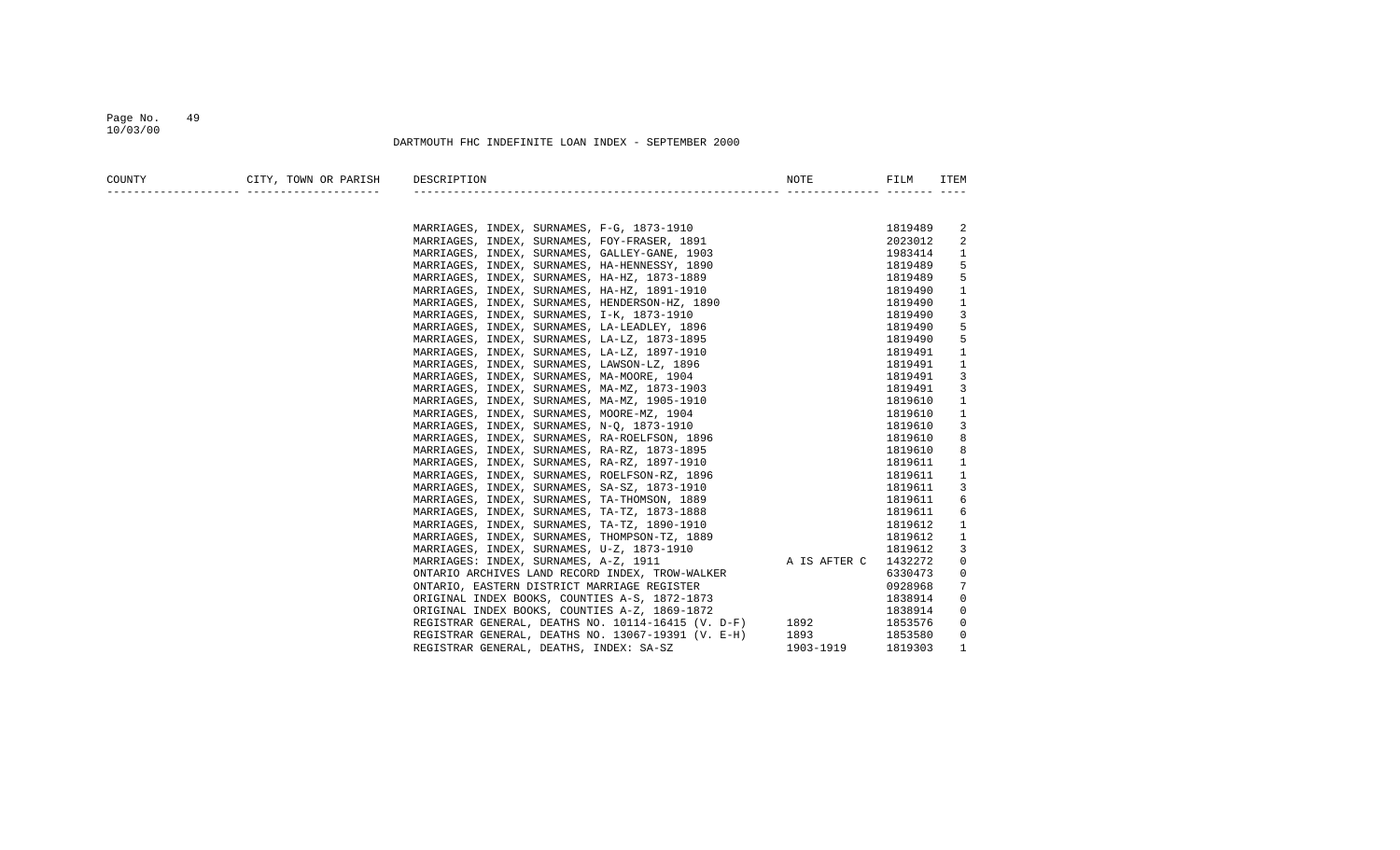#### Page No. 49 10/03/00

| COUNTY | CITY, TOWN OR PARISH | DESCRIPTION                                                                                   |              |                    | ITEM   |
|--------|----------------------|-----------------------------------------------------------------------------------------------|--------------|--------------------|--------|
|        |                      |                                                                                               |              |                    |        |
|        |                      |                                                                                               |              |                    |        |
|        |                      | MARRIAGES, INDEX, SURNAMES, F-G, 1873-1910                                                    |              | 1819489            | 2      |
|        |                      | MARRIAGES, INDEX, SURNAMES, FOY-FRASER, 1891                                                  |              | 2023012            | 2      |
|        |                      | MARRIAGES, INDEX, SURNAMES, GALLEY-GANE, 1903                                                 |              | 1983414<br>1819489 | 1<br>5 |
|        |                      | MARRIAGES, INDEX, SURNAMES, HA-HENNESSY, 1890<br>MARRIAGES, INDEX, SURNAMES, HA-HZ, 1873-1889 |              | 1819489            | 5      |
|        |                      | MARRIAGES, INDEX, SURNAMES, HA-HZ, 1891-1910                                                  |              | 1819490            | 1      |
|        |                      | MARRIAGES, INDEX, SURNAMES, HENDERSON-HZ, 1890                                                |              | 1819490            | 1      |
|        |                      | MARRIAGES, INDEX, SURNAMES, I-K, 1873-1910                                                    |              | 1819490            | 3      |
|        |                      | MARRIAGES, INDEX, SURNAMES, LA-LEADLEY, 1896                                                  |              | 1819490            | 5      |
|        |                      | MARRIAGES, INDEX, SURNAMES, LA-LZ, 1873-1895                                                  |              | 1819490            | 5      |
|        |                      | MARRIAGES, INDEX, SURNAMES, LA-LZ, 1897-1910                                                  |              | 1819491            | 1      |
|        |                      | MARRIAGES, INDEX, SURNAMES, LAWSON-LZ, 1896                                                   |              | 1819491            | 1      |
|        |                      | MARRIAGES, INDEX, SURNAMES, MA-MOORE, 1904                                                    |              | 1819491            | 3      |
|        |                      | MARRIAGES, INDEX, SURNAMES, MA-MZ, 1873-1903                                                  |              | 1819491            | 3      |
|        |                      | MARRIAGES, INDEX, SURNAMES, MA-MZ, 1905-1910                                                  |              | 1819610            | 1      |
|        |                      | MARRIAGES, INDEX, SURNAMES, MOORE-MZ, 1904                                                    |              | 1819610            | 1      |
|        |                      | MARRIAGES, INDEX, SURNAMES, N-Q, 1873-1910                                                    |              | 1819610            | 3      |
|        |                      | MARRIAGES, INDEX, SURNAMES, RA-ROELFSON, 1896                                                 |              | 1819610            | 8      |
|        |                      | MARRIAGES, INDEX, SURNAMES, RA-RZ, 1873-1895                                                  |              | 1819610            | 8      |
|        |                      | MARRIAGES, INDEX, SURNAMES, RA-RZ, 1897-1910                                                  |              | 1819611            | 1      |
|        |                      | MARRIAGES, INDEX, SURNAMES, ROELFSON-RZ, 1896                                                 |              | 1819611            | 1      |
|        |                      | MARRIAGES, INDEX, SURNAMES, SA-SZ, 1873-1910                                                  |              | 1819611            | 3      |
|        |                      | MARRIAGES, INDEX, SURNAMES, TA-THOMSON, 1889                                                  |              | 1819611            | 6      |
|        |                      | MARRIAGES, INDEX, SURNAMES, TA-TZ, 1873-1888                                                  |              | 1819611            | 6      |
|        |                      | MARRIAGES, INDEX, SURNAMES, TA-TZ, 1890-1910                                                  |              | 1819612            | 1      |
|        |                      | MARRIAGES, INDEX, SURNAMES, THOMPSON-TZ, 1889                                                 |              | 1819612            | 1      |
|        |                      | MARRIAGES, INDEX, SURNAMES, U-Z, 1873-1910                                                    |              | 1819612            | 3      |
|        |                      | MARRIAGES: INDEX, SURNAMES, A-Z, 1911                                                         | A IS AFTER C | 1432272            | 0      |
|        |                      | ONTARIO ARCHIVES LAND RECORD INDEX, TROW-WALKER                                               |              | 6330473            | 0      |
|        |                      | ONTARIO, EASTERN DISTRICT MARRIAGE REGISTER                                                   |              | 0928968            | 7      |
|        |                      | ORIGINAL INDEX BOOKS, COUNTIES A-S, 1872-1873                                                 |              | 1838914            | 0      |
|        |                      | ORIGINAL INDEX BOOKS, COUNTIES A-Z, 1869-1872                                                 |              | 1838914            | 0      |
|        |                      | REGISTRAR GENERAL, DEATHS NO. 10114-16415 (V. D-F)                                            | 1892         | 1853576            | 0      |
|        |                      | REGISTRAR GENERAL, DEATHS NO. 13067-19391 (V. E-H)                                            | 1893         | 1853580            | 0      |
|        |                      | REGISTRAR GENERAL, DEATHS, INDEX: SA-SZ                                                       | 1903-1919    | 1819303            | 1      |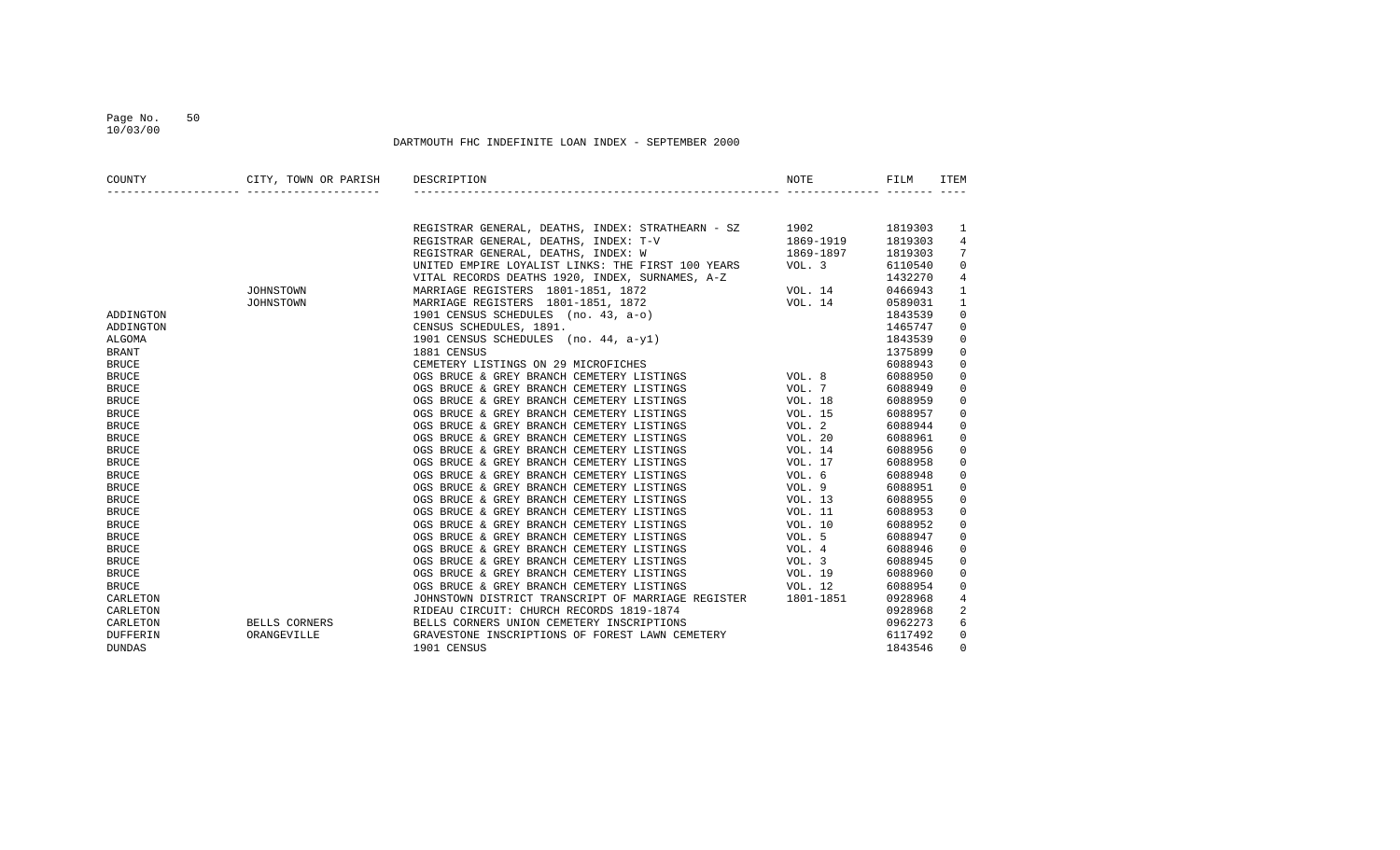### Page No. 50 10/03/00

| COUNTY          | CITY, TOWN OR PARISH DESCRIPTION<br>_______________________________ |                                                                                                                                                                                                                                                            | NOTE                                                                                                                                                                                                                                                                                                                                                                                                                                                                        | FILM    | <b>ITEM</b>             |
|-----------------|---------------------------------------------------------------------|------------------------------------------------------------------------------------------------------------------------------------------------------------------------------------------------------------------------------------------------------------|-----------------------------------------------------------------------------------------------------------------------------------------------------------------------------------------------------------------------------------------------------------------------------------------------------------------------------------------------------------------------------------------------------------------------------------------------------------------------------|---------|-------------------------|
|                 |                                                                     |                                                                                                                                                                                                                                                            |                                                                                                                                                                                                                                                                                                                                                                                                                                                                             |         |                         |
|                 |                                                                     | REGISTRAR GENERAL, DEATHS, INDEX: STRATHEARN - SZ 1902 1819303                                                                                                                                                                                             |                                                                                                                                                                                                                                                                                                                                                                                                                                                                             |         | 1                       |
|                 |                                                                     | REGISTRAR GENERAL, DEATHS, INDEX: T-V                                                                                                                                                                                                                      | 1869-1919                                                                                                                                                                                                                                                                                                                                                                                                                                                                   | 1819303 | 4                       |
|                 |                                                                     | $\mathbf{V}$<br>REGISTRAR GENERAL, DEATHS, INDEX: T-V<br>REGISTRAR GENERAL, DEATHS, INDEX: W<br>UNITED EMPIRE LOYALIST LINKS: THE FIRST 100 YEARS<br>VOL. 3<br>VITAL RECORDS DEATHS 1920, INDEX, SURNAMES, A-Z<br>MARRIAGE REGISTERS 1801-1851, 1872<br>19 |                                                                                                                                                                                                                                                                                                                                                                                                                                                                             | 1819303 | 7                       |
|                 |                                                                     |                                                                                                                                                                                                                                                            |                                                                                                                                                                                                                                                                                                                                                                                                                                                                             | 6110540 | $\mathbf 0$             |
|                 |                                                                     |                                                                                                                                                                                                                                                            |                                                                                                                                                                                                                                                                                                                                                                                                                                                                             | 1432270 | $\overline{4}$          |
|                 | JOHNSTOWN                                                           |                                                                                                                                                                                                                                                            |                                                                                                                                                                                                                                                                                                                                                                                                                                                                             | 0466943 | 1                       |
|                 | JOHNSTOWN                                                           |                                                                                                                                                                                                                                                            |                                                                                                                                                                                                                                                                                                                                                                                                                                                                             | 0589031 | 1                       |
| ADDINGTON       |                                                                     | MARRIAGE REGISTERS 1801-1851, 1872<br>1901 CENSUS SCHEDULES (no. 43, a-o)<br>CENSUS SCHEDULES (no. 44, a-y1)<br>1901 CENSUS SCHEDULES (no. 44, a-y1)<br>1901 CENSUS SCHEDULES (no. 44, a-y1)<br>1881 CENSUS<br>CEMETERY LISTINGS ON 29 MIC                 |                                                                                                                                                                                                                                                                                                                                                                                                                                                                             | 1843539 | $\mathbf 0$             |
| ADDINGTON       |                                                                     |                                                                                                                                                                                                                                                            |                                                                                                                                                                                                                                                                                                                                                                                                                                                                             | 1465747 | $\mathbf 0$             |
| ALGOMA          |                                                                     |                                                                                                                                                                                                                                                            |                                                                                                                                                                                                                                                                                                                                                                                                                                                                             | 1843539 | $\mathbf 0$             |
| <b>BRANT</b>    |                                                                     |                                                                                                                                                                                                                                                            |                                                                                                                                                                                                                                                                                                                                                                                                                                                                             | 1375899 | $\mathbf 0$             |
| <b>BRUCE</b>    |                                                                     |                                                                                                                                                                                                                                                            |                                                                                                                                                                                                                                                                                                                                                                                                                                                                             | 6088943 | $\mathbf 0$             |
| <b>BRUCE</b>    |                                                                     |                                                                                                                                                                                                                                                            |                                                                                                                                                                                                                                                                                                                                                                                                                                                                             | 6088950 | $\mathbf 0$             |
| <b>BRUCE</b>    |                                                                     |                                                                                                                                                                                                                                                            |                                                                                                                                                                                                                                                                                                                                                                                                                                                                             | 6088949 | $\mathbf 0$             |
| <b>BRUCE</b>    |                                                                     |                                                                                                                                                                                                                                                            |                                                                                                                                                                                                                                                                                                                                                                                                                                                                             | 6088959 | $\mathbf 0$             |
| <b>BRUCE</b>    |                                                                     |                                                                                                                                                                                                                                                            |                                                                                                                                                                                                                                                                                                                                                                                                                                                                             | 6088957 | 0                       |
| <b>BRUCE</b>    |                                                                     | OGS BRUCE & GREY BRANCH CEMETERY LISTINGS VOL. 2                                                                                                                                                                                                           |                                                                                                                                                                                                                                                                                                                                                                                                                                                                             | 6088944 | 0                       |
| <b>BRUCE</b>    |                                                                     | OGS BRUCE & GREY BRANCH CEMETERY LISTINGS                                                                                                                                                                                                                  | VOL. 20                                                                                                                                                                                                                                                                                                                                                                                                                                                                     | 6088961 | $\mathbf 0$             |
| <b>BRUCE</b>    |                                                                     | OGS BRUCE & GREY BRANCH CEMETERY LISTINGS <a>&gt;</a> VOL. 14                                                                                                                                                                                              |                                                                                                                                                                                                                                                                                                                                                                                                                                                                             | 6088956 | $\mathbf 0$             |
| <b>BRUCE</b>    |                                                                     | VOL. 17<br>OGS BRUCE & GREY BRANCH CEMETERY LISTINGS                                                                                                                                                                                                       |                                                                                                                                                                                                                                                                                                                                                                                                                                                                             | 6088958 | $\mathbf 0$             |
| <b>BRUCE</b>    |                                                                     | VOL. 6<br>OGS BRUCE & GREY BRANCH CEMETERY LISTINGS                                                                                                                                                                                                        |                                                                                                                                                                                                                                                                                                                                                                                                                                                                             | 6088948 | 0                       |
| <b>BRUCE</b>    |                                                                     | OGS BRUCE & GREY BRANCH CEMETERY LISTINGS                                                                                                                                                                                                                  |                                                                                                                                                                                                                                                                                                                                                                                                                                                                             | 6088951 | $\mathbf 0$             |
| <b>BRUCE</b>    |                                                                     | OGS BRUCE & GREY BRANCH CEMETERY LISTINGS                                                                                                                                                                                                                  |                                                                                                                                                                                                                                                                                                                                                                                                                                                                             | 6088955 | $\mathbf 0$             |
| <b>BRUCE</b>    |                                                                     | OGS BRUCE & GREY BRANCH CEMETERY LISTINGS                                                                                                                                                                                                                  |                                                                                                                                                                                                                                                                                                                                                                                                                                                                             | 6088953 | $\mathbf 0$             |
| <b>BRUCE</b>    |                                                                     | OGS BRUCE & GREY BRANCH CEMETERY LISTINGS                                                                                                                                                                                                                  |                                                                                                                                                                                                                                                                                                                                                                                                                                                                             | 6088952 | $\mathbf 0$             |
| <b>BRUCE</b>    |                                                                     | VOL. 9<br>VOL. 13<br>VOL. 11<br>VOL. 10<br>VOL. 5<br>VOL. 5<br>VOL. 4<br>OGS BRUCE & GREY BRANCH CEMETERY LISTINGS                                                                                                                                         |                                                                                                                                                                                                                                                                                                                                                                                                                                                                             | 6088947 | 0                       |
| <b>BRUCE</b>    |                                                                     | OGS BRUCE & GREY BRANCH CEMETERY LISTINGS                                                                                                                                                                                                                  |                                                                                                                                                                                                                                                                                                                                                                                                                                                                             | 6088946 | 0                       |
| <b>BRUCE</b>    |                                                                     | VOL. 3<br>OGS BRUCE & GREY BRANCH CEMETERY LISTINGS                                                                                                                                                                                                        |                                                                                                                                                                                                                                                                                                                                                                                                                                                                             | 6088945 | $\mathbf 0$             |
| <b>BRUCE</b>    |                                                                     | VOL. 19<br>OGS BRUCE & GREY BRANCH CEMETERY LISTINGS                                                                                                                                                                                                       |                                                                                                                                                                                                                                                                                                                                                                                                                                                                             | 6088960 | $\mathbf 0$             |
| <b>BRUCE</b>    |                                                                     | VOL. 12<br>OGS BRUCE & GREY BRANCH CEMETERY LISTINGS                                                                                                                                                                                                       |                                                                                                                                                                                                                                                                                                                                                                                                                                                                             | 6088954 | $\mathsf 0$             |
| CARLETON        |                                                                     | JOHNSTOWN DISTRICT TRANSCRIPT OF MARRIAGE REGISTER 1801-1851                                                                                                                                                                                               |                                                                                                                                                                                                                                                                                                                                                                                                                                                                             | 0928968 | 4                       |
| CARLETON        |                                                                     | RIDEAU CIRCUIT: CHURCH RECORDS 1819-1874                                                                                                                                                                                                                   | $\begin{tabular}{lclclcl} \multicolumn{2}{l}{\multicolumn{2}{l}{\textbf{1}} & \multicolumn{2}{l}{\textbf{2}} & \multicolumn{2}{l}{\textbf{3}} & \multicolumn{2}{l}{\textbf{4}} & \multicolumn{2}{l}{\textbf{5}} & \multicolumn{2}{l}{\textbf{6}} & \multicolumn{2}{l}{\textbf{7}} & \multicolumn{2}{l}{\textbf{8}} & \multicolumn{2}{l}{\textbf{9}} & \multicolumn{2}{l}{\textbf{1}} & \multicolumn{2}{l}{\textbf{1}} & \multicolumn{2}{l}{\textbf{1}} & \multicolumn{2}{l$ | 0928968 | $\overline{\mathbf{c}}$ |
| CARLETON        |                                                                     | BELLS CORNERS <b>BELLS CORNERS</b> UNION CEMETERY INSCRIPTIONS                                                                                                                                                                                             |                                                                                                                                                                                                                                                                                                                                                                                                                                                                             | 0962273 | 6                       |
| <b>DUFFERIN</b> | ORANGEVILLE                                                         | GRAVESTONE INSCRIPTIONS OF FOREST LAWN CEMETERY                                                                                                                                                                                                            |                                                                                                                                                                                                                                                                                                                                                                                                                                                                             | 6117492 | $\mathbf 0$             |
| <b>DUNDAS</b>   |                                                                     | 1901 CENSUS                                                                                                                                                                                                                                                |                                                                                                                                                                                                                                                                                                                                                                                                                                                                             | 1843546 | $\Omega$                |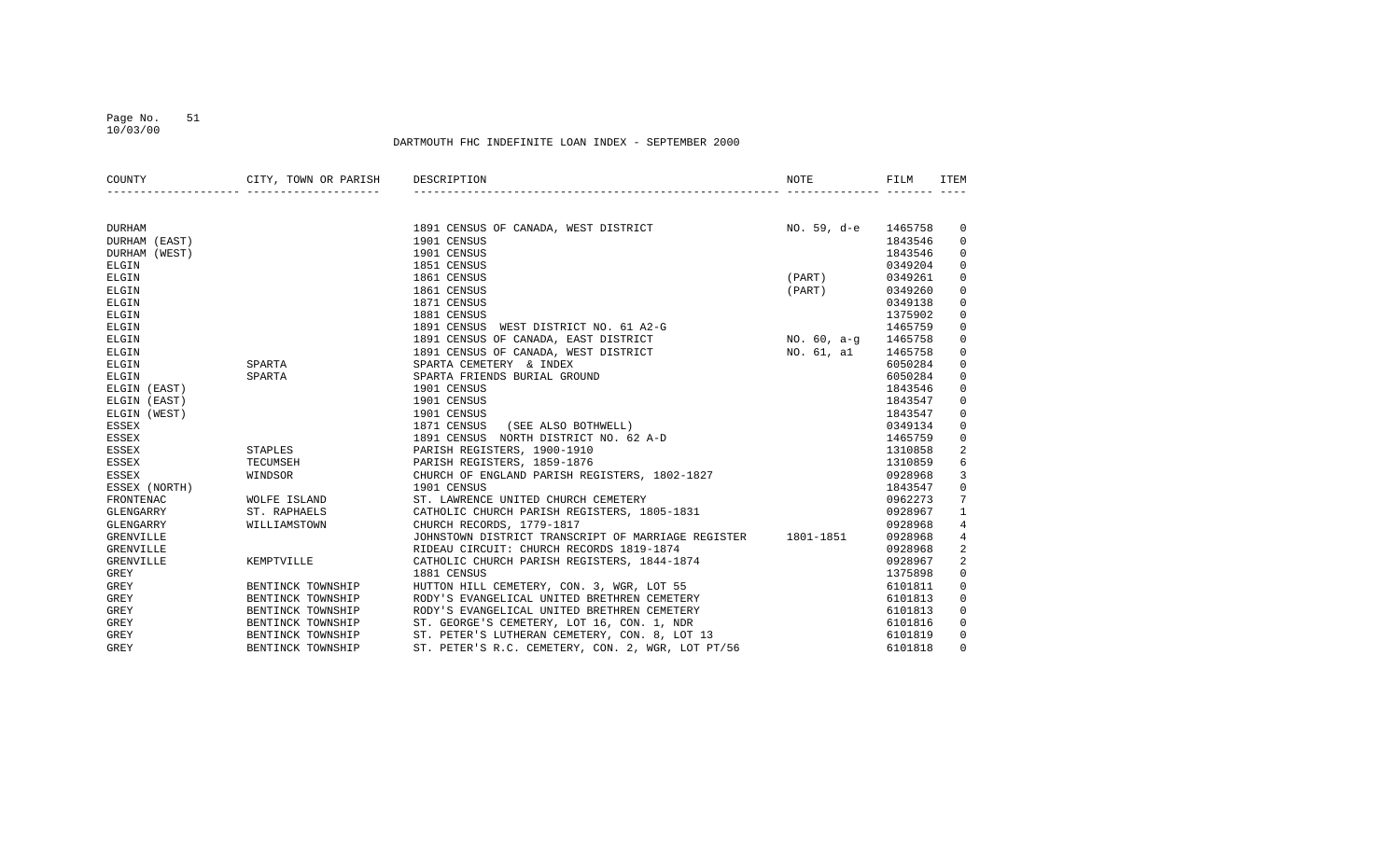#### Page No. 51 10/03/00

| COUNTY           | CITY, TOWN OR PARISH | DESCRIPTION                                                  | NOTE        | FILM    | ITEM                |
|------------------|----------------------|--------------------------------------------------------------|-------------|---------|---------------------|
|                  |                      |                                                              |             |         |                     |
| <b>DURHAM</b>    |                      | 1891 CENSUS OF CANADA, WEST DISTRICT                         | NO. 59, d-e | 1465758 | 0                   |
| DURHAM (EAST)    |                      | 1901 CENSUS                                                  |             | 1843546 | 0                   |
| DURHAM (WEST)    |                      | 1901 CENSUS                                                  |             | 1843546 | 0                   |
| ELGIN            |                      | 1851 CENSUS                                                  |             | 0349204 | $\mathbf 0$         |
| ELGIN            |                      | 1861 CENSUS                                                  | (PART)      | 0349261 | $\mathbf 0$         |
| ELGIN            |                      | 1861 CENSUS                                                  | (PART)      | 0349260 | $\mathbf 0$         |
| ELGIN            |                      | 1871 CENSUS                                                  |             | 0349138 | $\mathbf 0$         |
| ELGIN            |                      | 1881 CENSUS                                                  |             | 1375902 | $\mathbf 0$         |
| ELGIN            |                      | 1891 CENSUS<br>WEST DISTRICT NO. 61 A2-G                     |             | 1465759 | $\mathbf 0$         |
| ELGIN            |                      | 1891 CENSUS OF CANADA, EAST DISTRICT                         | NO. 60, a-g | 1465758 | $\mathsf 0$         |
| ELGIN            |                      | 1891 CENSUS OF CANADA, WEST DISTRICT                         | NO. 61, al  | 1465758 | $\mathsf 0$         |
| ELGIN            | SPARTA               | SPARTA CEMETERY & INDEX                                      |             | 6050284 | $\mathbf 0$         |
| ELGIN            | SPARTA               | SPARTA FRIENDS BURIAL GROUND                                 |             | 6050284 | $\mathbf 0$         |
| ELGIN (EAST)     |                      | 1901 CENSUS                                                  |             | 1843546 | $\mathbf 0$         |
| ELGIN (EAST)     |                      | 1901 CENSUS                                                  |             | 1843547 | 0                   |
| ELGIN (WEST)     |                      | 1901 CENSUS                                                  |             | 1843547 | $\mathbf 0$         |
| <b>ESSEX</b>     |                      | 1871 CENSUS<br>(SEE ALSO BOTHWELL)                           |             | 0349134 | $\mathbf 0$         |
| <b>ESSEX</b>     |                      | 1891 CENSUS NORTH DISTRICT NO. 62 A-D                        |             | 1465759 | $\mathbf 0$         |
| ESSEX            | STAPLES              | PARISH REGISTERS, 1900-1910                                  |             | 1310858 | 2                   |
| ESSEX            | TECUMSEH             | PARISH REGISTERS, 1859-1876                                  |             | 1310859 | 6                   |
| <b>ESSEX</b>     | WINDSOR              | CHURCH OF ENGLAND PARISH REGISTERS, 1802-1827                |             | 0928968 | 3                   |
| ESSEX (NORTH)    |                      | 1901 CENSUS                                                  |             | 1843547 | $\mathsf{O}\xspace$ |
| FRONTENAC        | WOLFE ISLAND         | ST. LAWRENCE UNITED CHURCH CEMETERY                          |             | 0962273 | $7\phantom{.0}$     |
| GLENGARRY        | ST. RAPHAELS         | CATHOLIC CHURCH PARISH REGISTERS, 1805-1831                  |             | 0928967 | $\mathbf{1}$        |
| GLENGARRY        | WILLIAMSTOWN         | CHURCH RECORDS, 1779-1817                                    |             | 0928968 | 4                   |
| <b>GRENVILLE</b> |                      | JOHNSTOWN DISTRICT TRANSCRIPT OF MARRIAGE REGISTER 1801-1851 |             | 0928968 | $\overline{4}$      |
| <b>GRENVILLE</b> |                      | RIDEAU CIRCUIT: CHURCH RECORDS 1819-1874                     |             | 0928968 | 2                   |
| <b>GRENVILLE</b> | KEMPTVILLE           | CATHOLIC CHURCH PARISH REGISTERS, 1844-1874                  |             | 0928967 | $\overline{c}$      |
| GREY             |                      | 1881 CENSUS                                                  |             | 1375898 | $\mathbf 0$         |
| GREY             | BENTINCK TOWNSHIP    | HUTTON HILL CEMETERY, CON. 3, WGR, LOT 55                    |             | 6101811 | $\mathbf 0$         |
| GREY             | BENTINCK TOWNSHIP    | RODY'S EVANGELICAL UNITED BRETHREN CEMETERY                  |             | 6101813 | $\mathbf 0$         |
| GREY             | BENTINCK TOWNSHIP    | RODY'S EVANGELICAL UNITED BRETHREN CEMETERY                  |             | 6101813 | $\mathbf 0$         |
| GREY             | BENTINCK TOWNSHIP    | ST. GEORGE'S CEMETERY, LOT 16, CON. 1, NDR                   |             | 6101816 | $\mathbf 0$         |
| <b>GREY</b>      | BENTINCK TOWNSHIP    | ST. PETER'S LUTHERAN CEMETERY, CON. 8, LOT 13                |             | 6101819 | $\mathbf 0$         |
| <b>GREY</b>      | BENTINCK TOWNSHIP    | ST. PETER'S R.C. CEMETERY, CON. 2, WGR, LOT PT/56            |             | 6101818 | $\mathbf 0$         |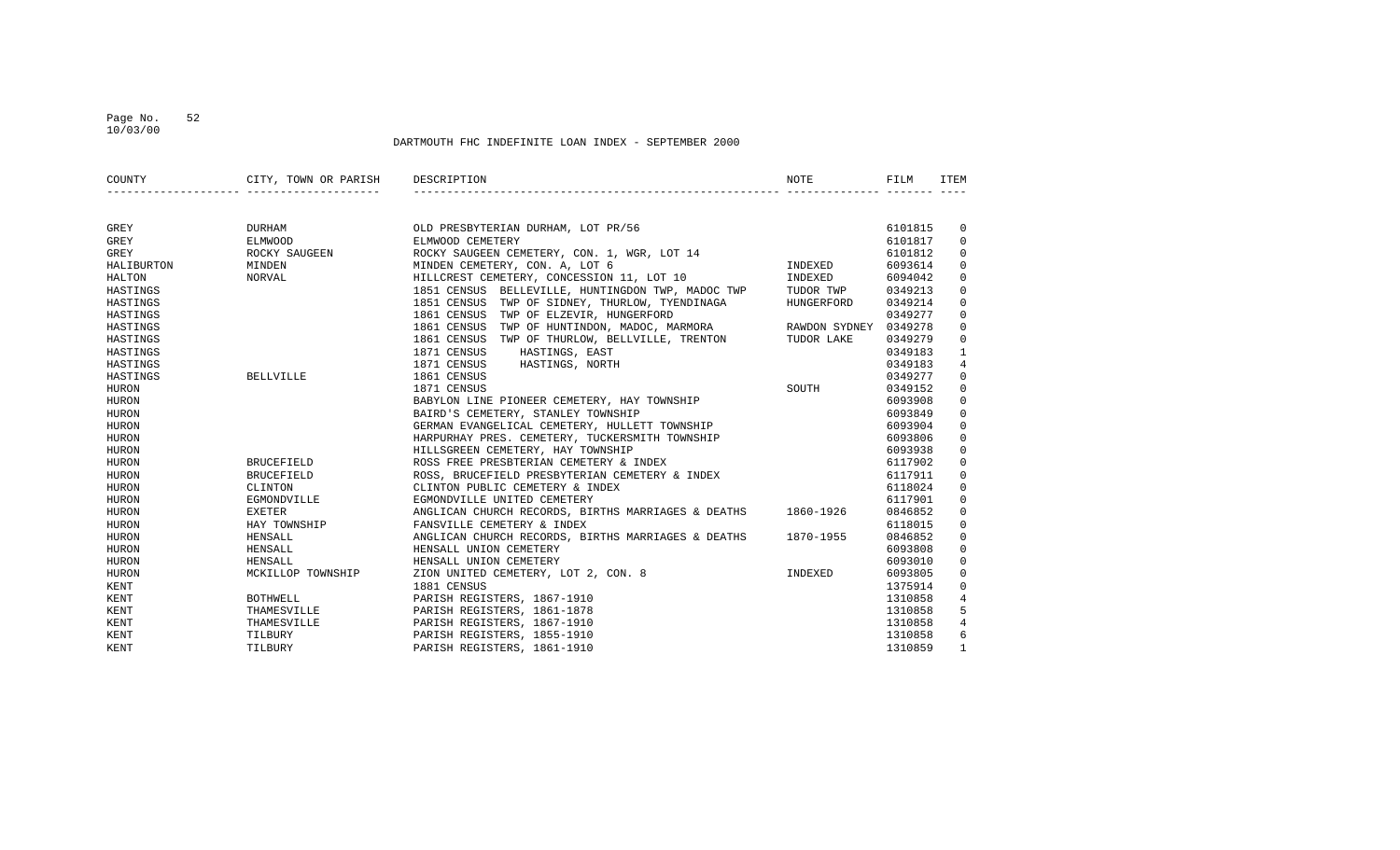### Page No. 52 10/03/00

| COUNTY       | CITY, TOWN OR PARISH                              | DESCRIPTION                                                                                                                                                                                                                      | NOTE       | FILM    | ITEM           |
|--------------|---------------------------------------------------|----------------------------------------------------------------------------------------------------------------------------------------------------------------------------------------------------------------------------------|------------|---------|----------------|
|              | __________________________________                |                                                                                                                                                                                                                                  |            |         |                |
|              |                                                   |                                                                                                                                                                                                                                  |            |         |                |
| GREY         |                                                   | OLD PRESBYTERIAN DURHAM, LOT PR/56<br>ELMWOOD CEMETERY<br>ROCKY SAUGEEN CEMETERY, CON. 1, WGR, LOT 14<br>MINDEN CEMETERY, CON. A, LOT 6<br>HILLCREST CEMETERY, CONCESSION 11 --- 11<br>DURHAM OLD PRESBYTERIAN DURHAM, LOT PR/56 |            | 6101815 | $\mathbf 0$    |
| GREY         | ELMWOOD                                           |                                                                                                                                                                                                                                  |            | 6101817 | $\Omega$       |
| GREY         | ROCKY SAUGEEN                                     |                                                                                                                                                                                                                                  |            | 6101812 | $\Omega$       |
| HALIBURTON   | MINDEN                                            |                                                                                                                                                                                                                                  | INDEXED    | 6093614 | $\Omega$       |
| HALTON       | NORVAL                                            | HILLCREST CEMETERY, CONCESSION 11, LOT 10                                                                                                                                                                                        | INDEXED    | 6094042 | $\mathbf 0$    |
| HASTINGS     |                                                   | 1851 CENSUS BELLEVILLE, HUNTINGDON TWP, MADOC TWP                                                                                                                                                                                | TUDOR TWP  | 0349213 | $\Omega$       |
| HASTINGS     |                                                   | 1851 CENSUS TWP OF SIDNEY, THURLOW, TYENDINAGA                                                                                                                                                                                   | HUNGERFORD | 0349214 | $\Omega$       |
| HASTINGS     |                                                   |                                                                                                                                                                                                                                  |            |         | $\Omega$       |
| HASTINGS     |                                                   | 1861 CENSUS TWP OF ELZEVIR, HUNGERFORD 0349277<br>1861 CENSUS TWP OF HUNTINDON, MADOC, MARMORA RAWDON SYDNEY 0349278                                                                                                             |            |         | $\mathbf 0$    |
| HASTINGS     |                                                   | 1861 CENSUS TWP OF THURLOW, BELLVILLE, TRENTON TUDOR LAKE                                                                                                                                                                        |            | 0349279 | $\mathbf 0$    |
| HASTINGS     |                                                   | 1871 CENSUS<br>HASTINGS, EAST                                                                                                                                                                                                    |            | 0349183 | $\mathbf{1}$   |
| HASTINGS     |                                                   | HASTINGS, NORTH<br>1871 CENSUS                                                                                                                                                                                                   |            | 0349183 | $\overline{4}$ |
| HASTINGS     | <b>BELLVILLE</b>                                  | 1861 CENSUS                                                                                                                                                                                                                      |            | 0349277 | $\Omega$       |
| <b>HURON</b> |                                                   | 1871 CENSUS                                                                                                                                                                                                                      | SOUTH      | 0349152 | $\Omega$       |
| HURON        |                                                   |                                                                                                                                                                                                                                  |            | 6093908 | $\mathbf 0$    |
| <b>HURON</b> |                                                   |                                                                                                                                                                                                                                  |            | 6093849 | $\Omega$       |
| <b>HURON</b> |                                                   | BABYLON LINE PIONEER CEMETERY, HAY TOWNSHIP<br>BAIRD'S CEMETERY, STANLEY TOWNSHIP<br>GERMAN EVANGELICAL CEMETERY, HULLETT TOWNSHIP                                                                                               |            | 6093904 | $\Omega$       |
| HURON        |                                                   | HARPURHAY PRES. CEMETERY, TUCKERSMITH TOWNSHIP                                                                                                                                                                                   |            | 6093806 | $\Omega$       |
| HURON        |                                                   | HILLSGREEN CEMETERY, HAY TOWNSHIP                                                                                                                                                                                                |            | 6093938 | $\mathbf 0$    |
| HURON        | <b>BRUCEFIELD</b>                                 | ROSS FREE PRESBTERIAN CEMETERY & INDEX                                                                                                                                                                                           |            | 6117902 | $\mathbf 0$    |
| <b>HURON</b> | <b>BRUCEFIELD</b>                                 | ROSS, BRUCEFIELD PRESBYTERIAN CEMETERY & INDEX                                                                                                                                                                                   |            | 6117911 | $\Omega$       |
| HURON        | CLINTON                                           | CLINTON PUBLIC CEMETERY & INDEX                                                                                                                                                                                                  |            | 6118024 | $\mathbf 0$    |
| <b>HURON</b> | EGMONDVILLE                                       | EGMONDVILLE UNITED CEMETERY                                                                                                                                                                                                      |            | 6117901 | $\Omega$       |
| <b>HURON</b> | EXETER                                            | ANGLICAN CHURCH RECORDS, BIRTHS MARRIAGES & DEATHS 1860-1926                                                                                                                                                                     |            | 0846852 | $\Omega$       |
| HURON        | HAY TOWNSHIP                                      | FANSVILLE CEMETERY & INDEX                                                                                                                                                                                                       |            | 6118015 | 0              |
| <b>HURON</b> | HENSALL                                           | ANGLICAN CHURCH RECORDS, BIRTHS MARRIAGES & DEATHS 1870-1955                                                                                                                                                                     |            | 0846852 | $\Omega$       |
| HURON        | HENSALL                                           | HENSALL UNION CEMETERY                                                                                                                                                                                                           |            | 6093808 | $\Omega$       |
| HURON        | HENSALL                                           | HENSALL UNION CEMETERY                                                                                                                                                                                                           |            | 6093010 | $\mathbf 0$    |
| HURON        | MCKILLOP TOWNSHIP                                 | INDEXED<br>ZION UNITED CEMETERY, LOT 2, CON. 8                                                                                                                                                                                   |            | 6093805 | $\mathbf 0$    |
| KENT         |                                                   | 1881 CENSUS                                                                                                                                                                                                                      |            | 1375914 | $\mathbf 0$    |
| KENT         |                                                   | PARISH REGISTERS, 1867-1910                                                                                                                                                                                                      |            | 1310858 | 4              |
| KENT         | BOTHWELL<br>THAMESVILLE<br>THAMESVILLE<br>TILBURY | PARISH REGISTERS, 1861-1878                                                                                                                                                                                                      |            | 1310858 | 5              |
| KENT         |                                                   | PARISH REGISTERS, 1867-1910                                                                                                                                                                                                      |            | 1310858 | 4              |
| <b>KENT</b>  |                                                   | PARISH REGISTERS, 1855-1910                                                                                                                                                                                                      |            | 1310858 | 6              |
| KENT         | TILBURY                                           | PARISH REGISTERS, 1861-1910                                                                                                                                                                                                      |            | 1310859 |                |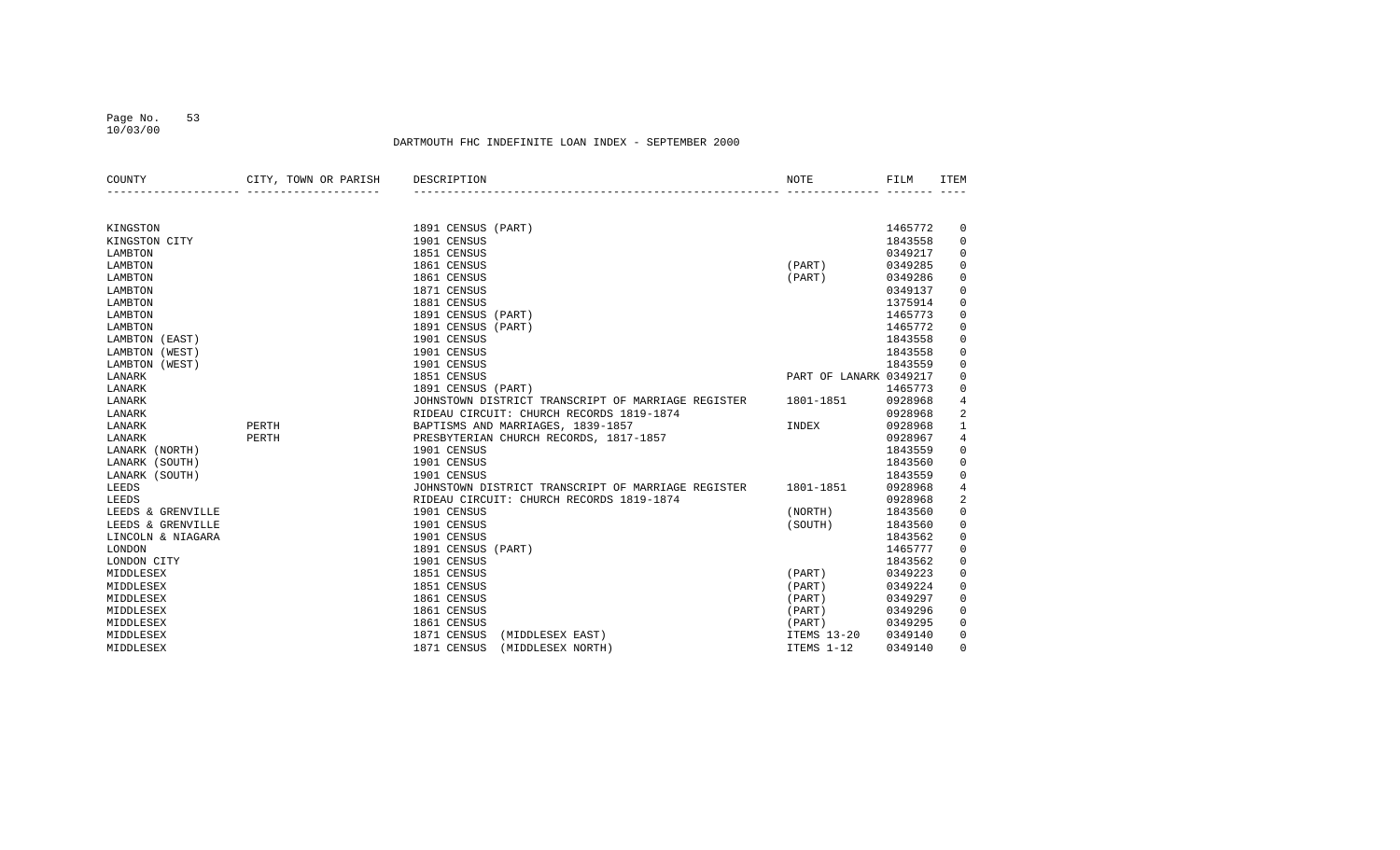#### Page No. 53 10/03/00

| COUNTY            | CITY, TOWN OR PARISH | DESCRIPTION                                        | <b>NOTE</b>            | FILM    | <b>ITEM</b>         |
|-------------------|----------------------|----------------------------------------------------|------------------------|---------|---------------------|
|                   |                      |                                                    |                        |         |                     |
| KINGSTON          |                      | 1891 CENSUS (PART)                                 |                        | 1465772 | 0                   |
| KINGSTON CITY     |                      | 1901 CENSUS                                        |                        | 1843558 | 0                   |
| LAMBTON           |                      | 1851 CENSUS                                        |                        | 0349217 | $\mathbf 0$         |
| LAMBTON           |                      | 1861 CENSUS                                        | (PART)                 | 0349285 | $\mathbf 0$         |
| LAMBTON           |                      | 1861 CENSUS                                        | (PART)                 | 0349286 | $\mathsf 0$         |
| LAMBTON           |                      | 1871 CENSUS                                        |                        | 0349137 | 0                   |
| LAMBTON           |                      | 1881 CENSUS                                        |                        | 1375914 | 0                   |
| LAMBTON           |                      | 1891 CENSUS<br>(PART)                              |                        | 1465773 | $\mathbf 0$         |
| LAMBTON           |                      | 1891 CENSUS<br>(PART)                              |                        | 1465772 | 0                   |
| LAMBTON (EAST)    |                      | 1901 CENSUS                                        |                        | 1843558 | $\mathsf 0$         |
| LAMBTON (WEST)    |                      | 1901 CENSUS                                        |                        | 1843558 | $\mathsf 0$         |
| LAMBTON (WEST)    |                      | 1901 CENSUS                                        |                        | 1843559 | $\mathbf 0$         |
| LANARK            |                      | 1851 CENSUS                                        | PART OF LANARK 0349217 |         | $\mathbf 0$         |
| LANARK            |                      | 1891 CENSUS (PART)                                 |                        | 1465773 | $\mathbf 0$         |
| LANARK            |                      | JOHNSTOWN DISTRICT TRANSCRIPT OF MARRIAGE REGISTER | 1801-1851              | 0928968 | $\overline{4}$      |
| LANARK            |                      | RIDEAU CIRCUIT: CHURCH RECORDS 1819-1874           |                        | 0928968 | 2                   |
| LANARK            | PERTH                | BAPTISMS AND MARRIAGES, 1839-1857                  | INDEX                  | 0928968 | $\mathbf{1}$        |
| LANARK            | PERTH                | PRESBYTERIAN CHURCH RECORDS, 1817-1857             |                        | 0928967 | $\,4$               |
| LANARK (NORTH)    |                      | 1901 CENSUS                                        |                        | 1843559 | 0                   |
| LANARK (SOUTH)    |                      | 1901 CENSUS                                        |                        | 1843560 | $\mathbf 0$         |
| LANARK (SOUTH)    |                      | 1901 CENSUS                                        |                        | 1843559 | $\mathsf 0$         |
| LEEDS             |                      | JOHNSTOWN DISTRICT TRANSCRIPT OF MARRIAGE REGISTER | 1801-1851              | 0928968 | $\overline{4}$      |
| LEEDS             |                      | RIDEAU CIRCUIT: CHURCH RECORDS 1819-1874           |                        | 0928968 | 2                   |
| LEEDS & GRENVILLE |                      | 1901 CENSUS                                        | (NORTH)                | 1843560 | $\mathbf 0$         |
| LEEDS & GRENVILLE |                      | 1901 CENSUS                                        | (SOUTH)                | 1843560 | $\mathbf 0$         |
| LINCOLN & NIAGARA |                      | 1901 CENSUS                                        |                        | 1843562 | $\mathsf 0$         |
| LONDON            |                      | 1891 CENSUS (PART)                                 |                        | 1465777 | $\mathsf{O}\xspace$ |
| LONDON CITY       |                      | 1901 CENSUS                                        |                        | 1843562 | $\mathbf 0$         |
| MIDDLESEX         |                      | 1851 CENSUS                                        | (PART)                 | 0349223 | $\mathbf 0$         |
| MIDDLESEX         |                      | 1851 CENSUS                                        | (PART)                 | 0349224 | $\mathbf 0$         |
| MIDDLESEX         |                      | 1861 CENSUS                                        | (PART)                 | 0349297 | $\mathbf 0$         |
| MIDDLESEX         |                      | 1861 CENSUS                                        | (PART)                 | 0349296 | $\mathbf 0$         |
| MIDDLESEX         |                      | 1861 CENSUS                                        | (PART)                 | 0349295 | $\mathbf 0$         |
| MIDDLESEX         |                      | 1871 CENSUS<br>(MIDDLESEX EAST)                    | ITEMS 13-20            | 0349140 | $\mathbf 0$         |
| MIDDLESEX         |                      | 1871 CENSUS<br>(MIDDLESEX NORTH)                   | ITEMS 1-12             | 0349140 | 0                   |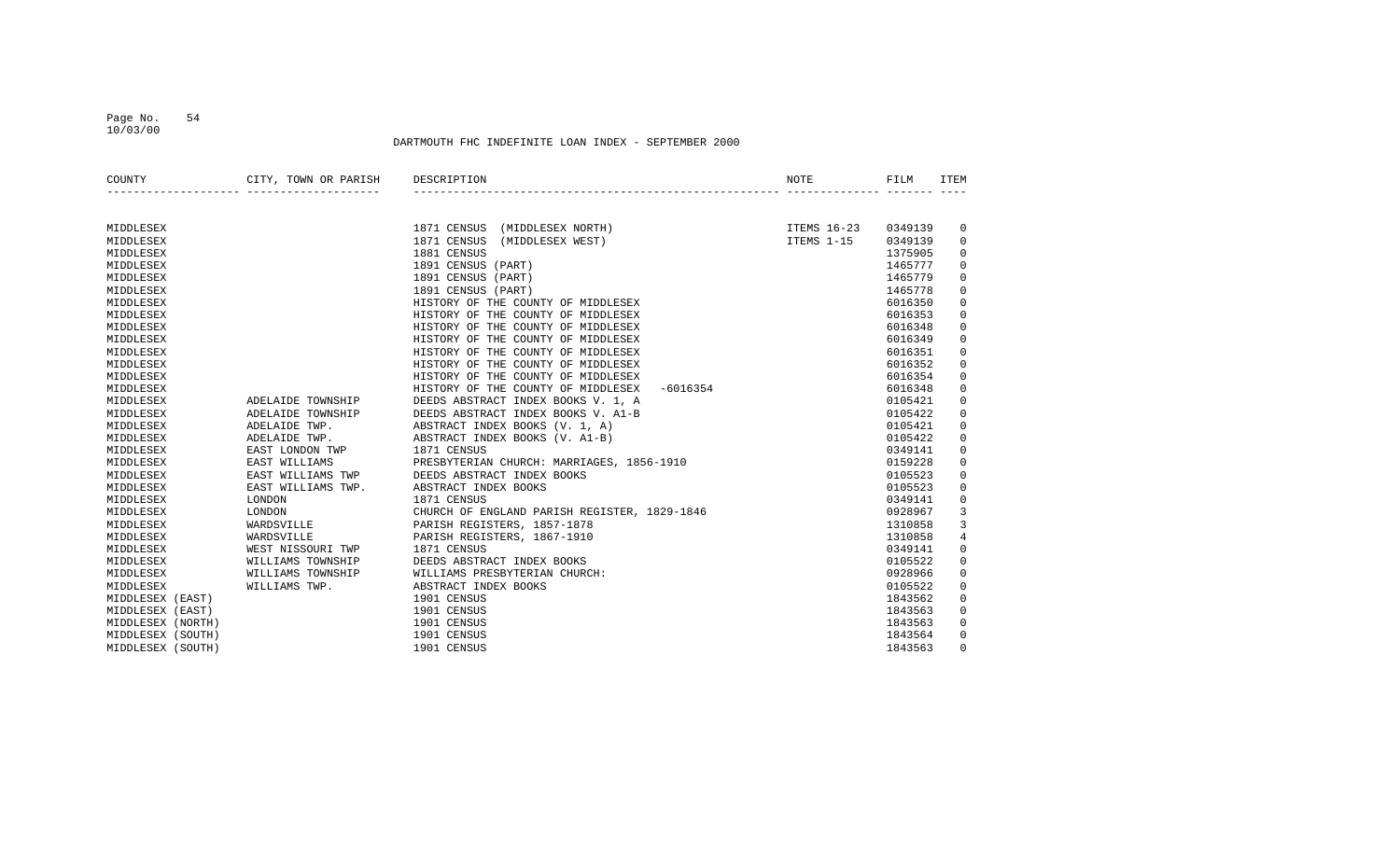#### Page No. 54 10/03/00

| COUNTY            | CITY, TOWN OR PARISH | DESCRIPTION                                      | NOTE        | FILM    | <b>TTEM</b>    |
|-------------------|----------------------|--------------------------------------------------|-------------|---------|----------------|
|                   |                      |                                                  |             |         |                |
| MIDDLESEX         |                      | 1871 CENSUS<br>(MIDDLESEX NORTH)                 | ITEMS 16-23 | 0349139 | 0              |
| MIDDLESEX         |                      | 1871 CENSUS<br>(MIDDLESEX WEST)                  | ITEMS 1-15  | 0349139 | $\mathbf 0$    |
| MIDDLESEX         |                      | 1881 CENSUS                                      |             | 1375905 | 0              |
| MIDDLESEX         |                      | 1891 CENSUS (PART)                               |             | 1465777 | $\mathbf 0$    |
| MIDDLESEX         |                      | 1891 CENSUS (PART)                               |             | 1465779 | $\mathbf 0$    |
| MIDDLESEX         |                      | 1891 CENSUS (PART)                               |             | 1465778 | $\mathbf 0$    |
| MIDDLESEX         |                      | HISTORY OF THE COUNTY OF MIDDLESEX               |             | 6016350 | $\mathbf 0$    |
| MIDDLESEX         |                      | HISTORY OF THE COUNTY OF MIDDLESEX               |             | 6016353 | $\mathbf 0$    |
| MIDDLESEX         |                      | HISTORY OF THE COUNTY OF MIDDLESEX               |             | 6016348 | $\mathbf 0$    |
| MIDDLESEX         |                      | HISTORY OF THE COUNTY OF MIDDLESEX               |             | 6016349 | $\mathbf 0$    |
| MIDDLESEX         |                      | HISTORY OF THE COUNTY OF MIDDLESEX               |             | 6016351 | $\mathbf 0$    |
| MIDDLESEX         |                      | HISTORY OF THE COUNTY OF MIDDLESEX               |             | 6016352 | $\mathbf 0$    |
| MIDDLESEX         |                      | HISTORY OF THE COUNTY OF MIDDLESEX               |             | 6016354 | 0              |
| MIDDLESEX         |                      | HISTORY OF THE COUNTY OF MIDDLESEX<br>$-6016354$ |             | 6016348 | $\mathbf 0$    |
| MIDDLESEX         | ADELAIDE TOWNSHIP    | DEEDS ABSTRACT INDEX BOOKS V. 1, A               |             | 0105421 | $\mathbf 0$    |
| MIDDLESEX         | ADELAIDE TOWNSHIP    | DEEDS ABSTRACT INDEX BOOKS V. A1-B               |             | 0105422 | $\mathbf 0$    |
| MIDDLESEX         | ADELAIDE TWP.        | ABSTRACT INDEX BOOKS (V. 1, A)                   |             | 0105421 | $\mathbf 0$    |
| MIDDLESEX         | ADELAIDE TWP.        | ABSTRACT INDEX BOOKS (V. A1-B)                   |             | 0105422 | $\mathbf 0$    |
| MIDDLESEX         | EAST LONDON TWP      | 1871 CENSUS                                      |             | 0349141 | $\mathbf 0$    |
| MIDDLESEX         | EAST WILLIAMS        | PRESBYTERIAN CHURCH: MARRIAGES, 1856-1910        |             | 0159228 | $\mathbf 0$    |
| MIDDLESEX         | EAST WILLIAMS TWP    | DEEDS ABSTRACT INDEX BOOKS                       |             | 0105523 | $\mathbf 0$    |
| MIDDLESEX         | EAST WILLIAMS TWP.   | ABSTRACT INDEX BOOKS                             |             | 0105523 | $\mathbf 0$    |
| MIDDLESEX         | LONDON               | 1871 CENSUS                                      |             | 0349141 | $\mathbf 0$    |
| MIDDLESEX         | LONDON               | CHURCH OF ENGLAND PARISH REGISTER, 1829-1846     |             | 0928967 | 3              |
| MIDDLESEX         | WARDSVILLE           | PARISH REGISTERS, 1857-1878                      |             | 1310858 | 3              |
| MIDDLESEX         | WARDSVILLE           | PARISH REGISTERS, 1867-1910                      |             | 1310858 | $\overline{4}$ |
| MIDDLESEX         | WEST NISSOURI TWP    | 1871 CENSUS                                      |             | 0349141 | $\mathbf 0$    |
| MIDDLESEX         | WILLIAMS TOWNSHIP    | DEEDS ABSTRACT INDEX BOOKS                       |             | 0105522 | $\mathbf 0$    |
| MIDDLESEX         | WILLIAMS TOWNSHIP    | WILLIAMS PRESBYTERIAN CHURCH:                    |             | 0928966 | $\mathbf 0$    |
| MIDDLESEX         | WILLIAMS TWP.        | ABSTRACT INDEX BOOKS                             |             | 0105522 | $\mathbf 0$    |
| MIDDLESEX (EAST)  |                      | 1901 CENSUS                                      |             | 1843562 | $\mathbf 0$    |
| MIDDLESEX (EAST)  |                      | 1901 CENSUS                                      |             | 1843563 | $\mathbf 0$    |
| MIDDLESEX (NORTH) |                      | 1901 CENSUS                                      |             | 1843563 | $\mathbf 0$    |
| MIDDLESEX (SOUTH) |                      | 1901 CENSUS                                      |             | 1843564 | $\mathbf 0$    |
| MIDDLESEX (SOUTH) |                      | 1901 CENSUS                                      |             | 1843563 | $\Omega$       |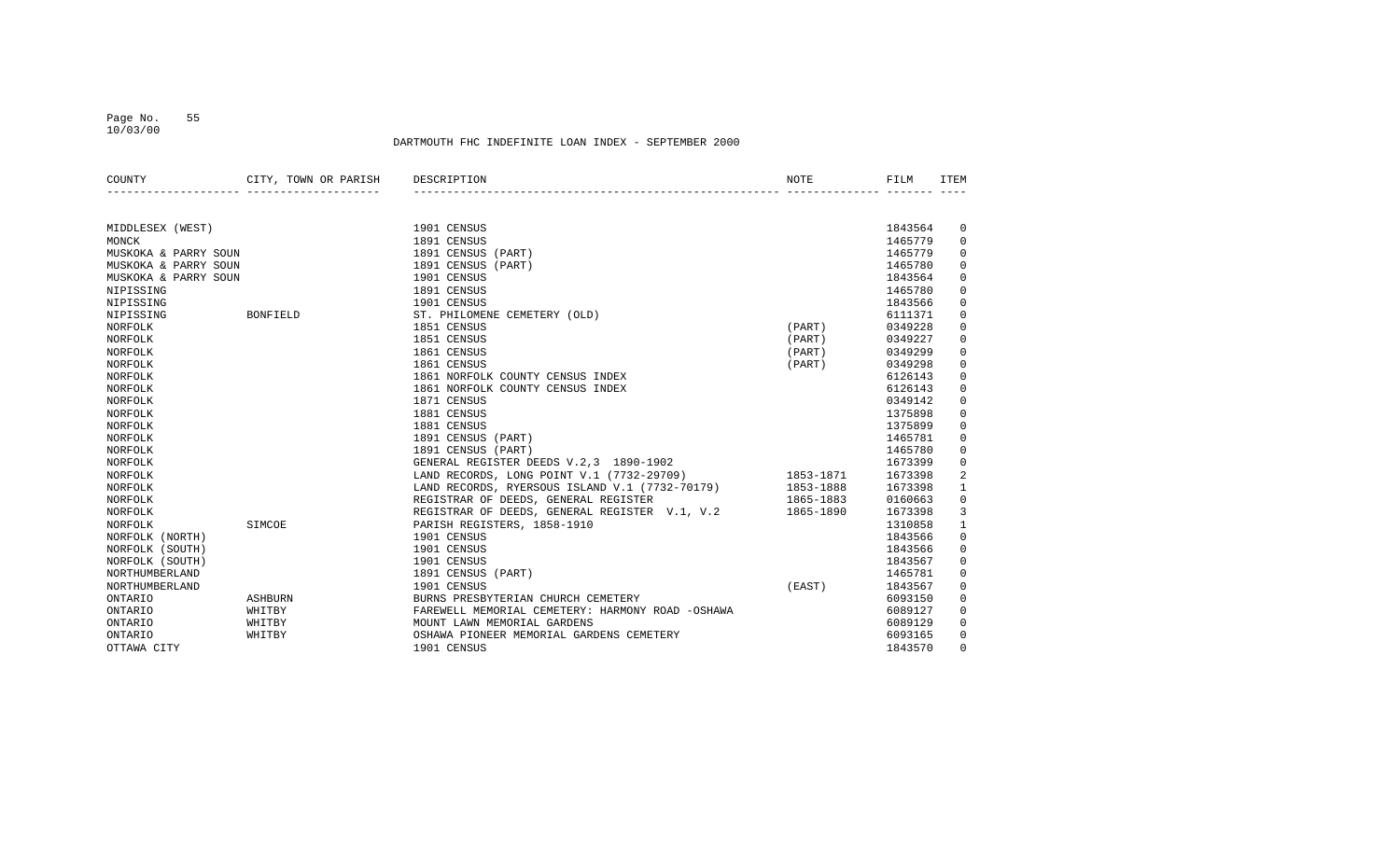10/03/00

| COUNTY               | CITY, TOWN OR PARISH | DESCRIPTION                                      | NOTE      | FILM    | <b>TTEM</b>  |
|----------------------|----------------------|--------------------------------------------------|-----------|---------|--------------|
|                      |                      |                                                  |           |         |              |
| MIDDLESEX (WEST)     |                      | 1901 CENSUS                                      |           | 1843564 | 0            |
| MONCK                |                      | 1891 CENSUS                                      |           | 1465779 | $\mathbf 0$  |
| MUSKOKA & PARRY SOUN |                      | 1891 CENSUS (PART)                               |           | 1465779 | $\mathbf 0$  |
| MUSKOKA & PARRY SOUN |                      | 1891 CENSUS (PART)                               |           | 1465780 | 0            |
| MUSKOKA & PARRY SOUN |                      | 1901 CENSUS                                      |           | 1843564 | $\mathbf 0$  |
| NIPISSING            |                      | 1891 CENSUS                                      |           | 1465780 | $\mathbf 0$  |
| NIPISSING            |                      | 1901 CENSUS                                      |           | 1843566 | $\mathbf 0$  |
| NIPISSING            | <b>BONFIELD</b>      | ST. PHILOMENE CEMETERY (OLD)                     |           | 6111371 | $\mathbf 0$  |
| NORFOLK              |                      | 1851 CENSUS                                      | (PART)    | 0349228 | 0            |
| NORFOLK              |                      | 1851 CENSUS                                      | (PART)    | 0349227 | $\mathbf 0$  |
| NORFOLK              |                      | 1861 CENSUS                                      | (PART)    | 0349299 | $\mathbf 0$  |
| NORFOLK              |                      | 1861 CENSUS                                      | (PART)    | 0349298 | $\mathbf 0$  |
| NORFOLK              |                      | 1861 NORFOLK COUNTY CENSUS INDEX                 |           | 6126143 | $\mathbf 0$  |
| NORFOLK              |                      | 1861 NORFOLK COUNTY CENSUS INDEX                 |           | 6126143 | $\mathbf 0$  |
| NORFOLK              |                      | 1871 CENSUS                                      |           | 0349142 | $\mathbf 0$  |
| NORFOLK              |                      | 1881 CENSUS                                      |           | 1375898 | $\mathbf 0$  |
| NORFOLK              |                      | 1881 CENSUS                                      |           | 1375899 | $\mathbf 0$  |
| NORFOLK              |                      | 1891 CENSUS (PART)                               |           | 1465781 | $\mathbf 0$  |
| NORFOLK              |                      | 1891 CENSUS (PART)                               |           | 1465780 | 0            |
| NORFOLK              |                      | GENERAL REGISTER DEEDS V.2,3 1890-1902           |           | 1673399 | 0            |
| NORFOLK              |                      | LAND RECORDS, LONG POINT V.1 (7732-29709)        | 1853-1871 | 1673398 | 2            |
| NORFOLK              |                      | LAND RECORDS, RYERSOUS ISLAND V.1 (7732-70179)   | 1853-1888 | 1673398 | $\mathbf{1}$ |
| NORFOLK              |                      | REGISTRAR OF DEEDS, GENERAL REGISTER             | 1865-1883 | 0160663 | $\mathsf 0$  |
| NORFOLK              |                      | REGISTRAR OF DEEDS, GENERAL REGISTER V.1, V.2    | 1865-1890 | 1673398 | 3            |
| NORFOLK              | SIMCOE               | PARISH REGISTERS, 1858-1910                      |           | 1310858 | $\mathbf{1}$ |
| NORFOLK (NORTH)      |                      | 1901 CENSUS                                      |           | 1843566 | $\mathbf 0$  |
| NORFOLK (SOUTH)      |                      | 1901 CENSUS                                      |           | 1843566 | $\mathbf 0$  |
| NORFOLK (SOUTH)      |                      | 1901 CENSUS                                      |           | 1843567 | $\mathbf 0$  |
| NORTHUMBERLAND       |                      | 1891 CENSUS (PART)                               |           | 1465781 | $\mathbf 0$  |
| NORTHUMBERLAND       |                      | 1901 CENSUS                                      | (EAST)    | 1843567 | $\mathbf 0$  |
| <b>ONTARIO</b>       | <b>ASHBURN</b>       | BURNS PRESBYTERIAN CHURCH CEMETERY               |           | 6093150 | $\mathbf 0$  |
| <b>ONTARIO</b>       | WHITBY               | FAREWELL MEMORIAL CEMETERY: HARMONY ROAD -OSHAWA |           | 6089127 | $\mathbf 0$  |
| ONTARIO              | WHITBY               | MOUNT LAWN MEMORIAL GARDENS                      |           | 6089129 | $\mathbf 0$  |
| <b>ONTARIO</b>       | WHITBY               | OSHAWA PIONEER MEMORIAL GARDENS CEMETERY         |           | 6093165 | 0            |
| OTTAWA CITY          |                      | 1901 CENSUS                                      |           | 1843570 | $\Omega$     |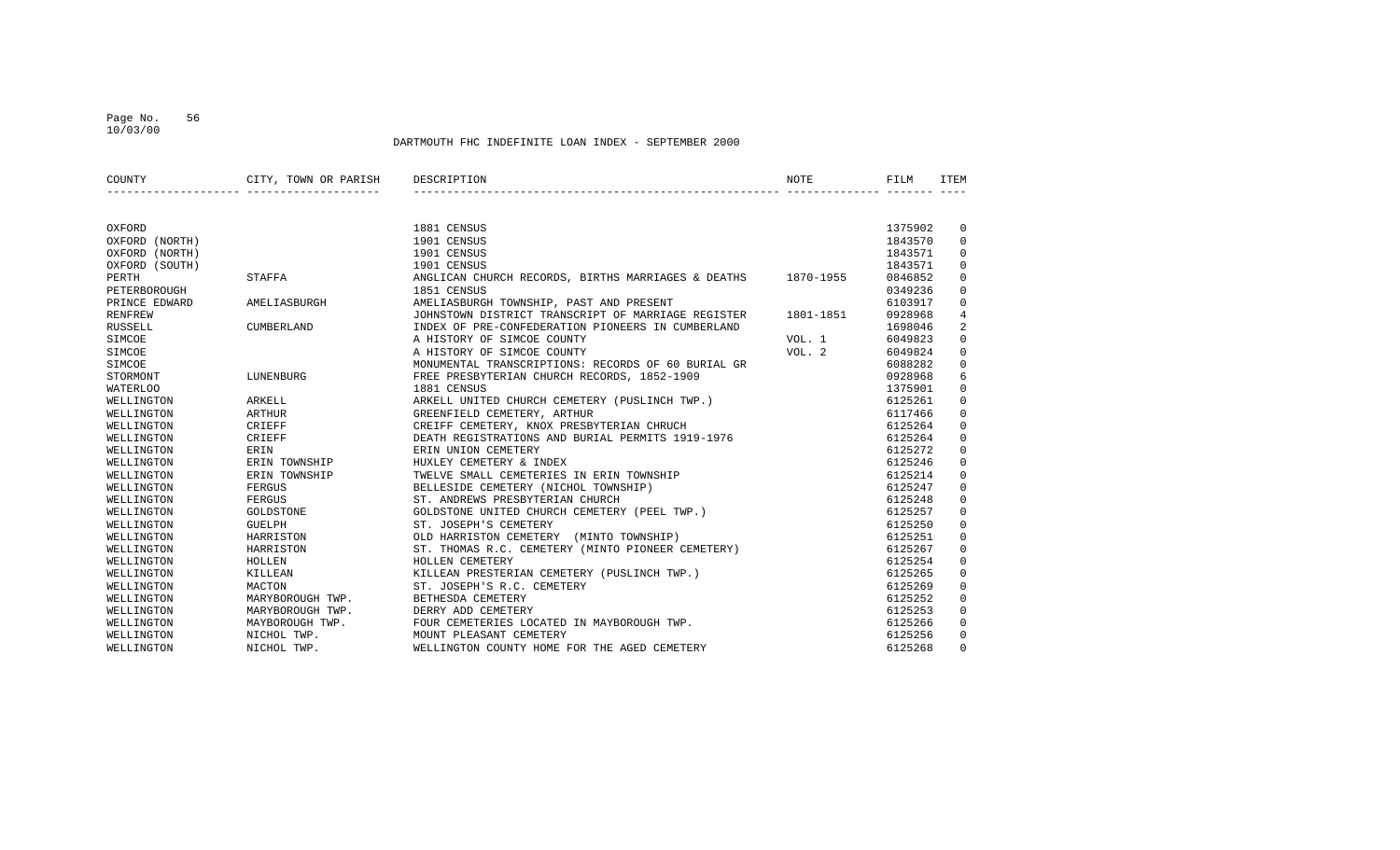#### Page No. 56 10/03/00

| COUNTY          | CITY, TOWN OR PARISH | DESCRIPTION                                        | <b>NOTE</b> | FILM    | <b>ITEM</b>    |
|-----------------|----------------------|----------------------------------------------------|-------------|---------|----------------|
|                 |                      |                                                    |             |         |                |
| OXFORD          |                      | 1881 CENSUS                                        |             | 1375902 | 0              |
| OXFORD (NORTH)  |                      | 1901 CENSUS                                        |             | 1843570 | $\Omega$       |
| OXFORD (NORTH)  |                      | 1901 CENSUS                                        |             | 1843571 | 0              |
| OXFORD (SOUTH)  |                      | 1901 CENSUS                                        |             | 1843571 | 0              |
| PERTH           | STAFFA               | ANGLICAN CHURCH RECORDS, BIRTHS MARRIAGES & DEATHS | 1870-1955   | 0846852 | $\Omega$       |
| PETERBOROUGH    |                      | 1851 CENSUS                                        |             | 0349236 | $\Omega$       |
| PRINCE EDWARD   | AMELIASBURGH         | AMELIASBURGH TOWNSHIP, PAST AND PRESENT            |             | 6103917 | 0              |
| <b>RENFREW</b>  |                      | JOHNSTOWN DISTRICT TRANSCRIPT OF MARRIAGE REGISTER | 1801-1851   | 0928968 | $\overline{4}$ |
| <b>RUSSELL</b>  | CUMBERLAND           | INDEX OF PRE-CONFEDERATION PIONEERS IN CUMBERLAND  |             | 1698046 | $\overline{2}$ |
| SIMCOE          |                      | A HISTORY OF SIMCOE COUNTY                         | VOL. 1      | 6049823 | $\Omega$       |
| SIMCOE          |                      | A HISTORY OF SIMCOE COUNTY                         | VOL. 2      | 6049824 | $\Omega$       |
| SIMCOE          |                      | MONUMENTAL TRANSCRIPTIONS: RECORDS OF 60 BURIAL GR |             | 6088282 | $\Omega$       |
| STORMONT        | LUNENBURG            | FREE PRESBYTERIAN CHURCH RECORDS, 1852-1909        |             | 0928968 | 6              |
| <b>WATERLOO</b> |                      | 1881 CENSUS                                        |             | 1375901 | 0              |
| WELLINGTON      | ARKELL               | ARKELL UNITED CHURCH CEMETERY (PUSLINCH TWP.)      |             | 6125261 | 0              |
| WELLINGTON      | ARTHUR               | GREENFIELD CEMETERY, ARTHUR                        |             | 6117466 | $\Omega$       |
| WELLINGTON      | CRIEFF               | CREIFF CEMETERY, KNOX PRESBYTERIAN CHRUCH          |             | 6125264 | $\Omega$       |
| WELLINGTON      | CRIEFF               | DEATH REGISTRATIONS AND BURIAL PERMITS 1919-1976   |             | 6125264 | $\Omega$       |
| WELLINGTON      | ERIN                 | ERIN UNION CEMETERY                                |             | 6125272 | 0              |
| WELLINGTON      | ERIN TOWNSHIP        | HUXLEY CEMETERY & INDEX                            |             | 6125246 | $\mathbf 0$    |
| WELLINGTON      | ERIN TOWNSHIP        | TWELVE SMALL CEMETERIES IN ERIN TOWNSHIP           |             | 6125214 | $\Omega$       |
| WELLINGTON      | FERGUS               | BELLESIDE CEMETERY (NICHOL TOWNSHIP)               |             | 6125247 | $\Omega$       |
| WELLINGTON      | FERGUS               | ST. ANDREWS PRESBYTERIAN CHURCH                    |             | 6125248 | $\Omega$       |
| WELLINGTON      | GOLDSTONE            | GOLDSTONE UNITED CHURCH CEMETERY (PEEL TWP.)       |             | 6125257 | $\Omega$       |
| WELLINGTON      | <b>GUELPH</b>        | ST. JOSEPH'S CEMETERY                              |             | 6125250 | 0              |
| WELLINGTON      | HARRISTON            | OLD HARRISTON CEMETERY (MINTO TOWNSHIP)            |             | 6125251 | $\Omega$       |
| WELLINGTON      | HARRISTON            | ST. THOMAS R.C. CEMETERY (MINTO PIONEER CEMETERY)  |             | 6125267 | $\Omega$       |
| WELLINGTON      | HOLLEN               | HOLLEN CEMETERY                                    |             | 6125254 | 0              |
| WELLINGTON      | KILLEAN              | KILLEAN PRESTERIAN CEMETERY (PUSLINCH TWP.)        |             | 6125265 | $\Omega$       |
| WELLINGTON      | MACTON               | ST. JOSEPH'S R.C. CEMETERY                         |             | 6125269 | 0              |
| WELLINGTON      | MARYBOROUGH TWP.     | BETHESDA CEMETERY                                  |             | 6125252 | $\mathbf 0$    |
| WELLINGTON      | MARYBOROUGH TWP.     | DERRY ADD CEMETERY                                 |             | 6125253 | $\Omega$       |
| WELLINGTON      | MAYBOROUGH TWP.      | FOUR CEMETERIES LOCATED IN MAYBOROUGH TWP.         |             | 6125266 | $\Omega$       |
| WELLINGTON      | NICHOL TWP.          | MOUNT PLEASANT CEMETERY                            |             | 6125256 | $\Omega$       |
| WELLINGTON      | NICHOL TWP.          | WELLINGTON COUNTY HOME FOR THE AGED CEMETERY       |             | 6125268 | 0              |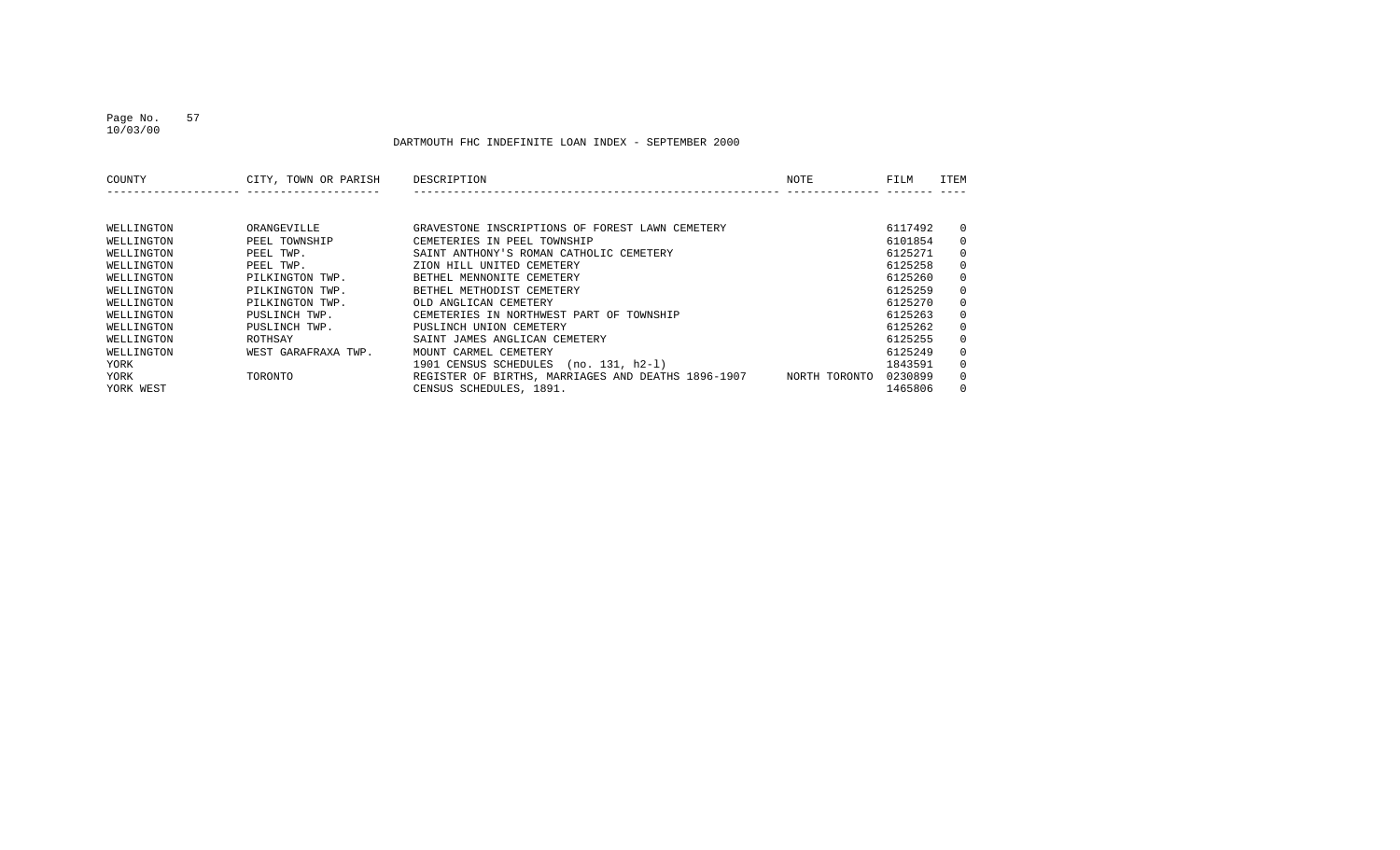DARTMOUTH FHC INDEFINITE LOAN INDEX - SEPTEMBER 2000

| COUNTY     | CITY, TOWN OR PARISH | DESCRIPTION                                        | NOTE          | FILM    | ITEM     |
|------------|----------------------|----------------------------------------------------|---------------|---------|----------|
|            |                      |                                                    |               |         |          |
|            |                      |                                                    |               |         |          |
| WELLINGTON | ORANGEVILLE          | GRAVESTONE INSCRIPTIONS OF FOREST LAWN CEMETERY    |               | 6117492 | $\Omega$ |
| WELLINGTON | PEEL TOWNSHIP        | CEMETERIES IN PEEL TOWNSHIP                        |               | 6101854 | $\Omega$ |
| WELLINGTON | PEEL TWP.            | SAINT ANTHONY'S ROMAN CATHOLIC CEMETERY            |               | 6125271 | $\Omega$ |
| WELLINGTON | PEEL TWP.            | ZION HILL UNITED CEMETERY                          |               | 6125258 | $\Omega$ |
| WELLINGTON | PILKINGTON TWP.      | BETHEL MENNONITE CEMETERY                          |               | 6125260 | $\Omega$ |
| WELLINGTON | PILKINGTON TWP.      | BETHEL METHODIST CEMETERY                          |               | 6125259 | $\Omega$ |
| WELLINGTON | PILKINGTON TWP.      | OLD ANGLICAN CEMETERY                              |               | 6125270 | $\Omega$ |
| WELLINGTON | PUSLINCH TWP.        | CEMETERIES IN NORTHWEST PART OF TOWNSHIP           |               | 6125263 | $\Omega$ |
| WELLINGTON | PUSLINCH TWP.        | PUSLINCH UNION CEMETERY                            |               | 6125262 | $\Omega$ |
| WELLINGTON | ROTHSAY              | SAINT JAMES ANGLICAN CEMETERY                      |               | 6125255 | $\Omega$ |
| WELLINGTON | WEST GARAFRAXA TWP.  | MOUNT CARMEL CEMETERY                              |               | 6125249 | $\Omega$ |
| YORK       |                      | 1901 CENSUS SCHEDULES<br>(no. 131, h2-1)           |               | 1843591 | $\Omega$ |
| YORK       | TORONTO              | REGISTER OF BIRTHS, MARRIAGES AND DEATHS 1896-1907 | NORTH TORONTO | 0230899 | $\Omega$ |
| YORK WEST  |                      | CENSUS SCHEDULES, 1891.                            |               | 1465806 | $\Omega$ |

10/03/00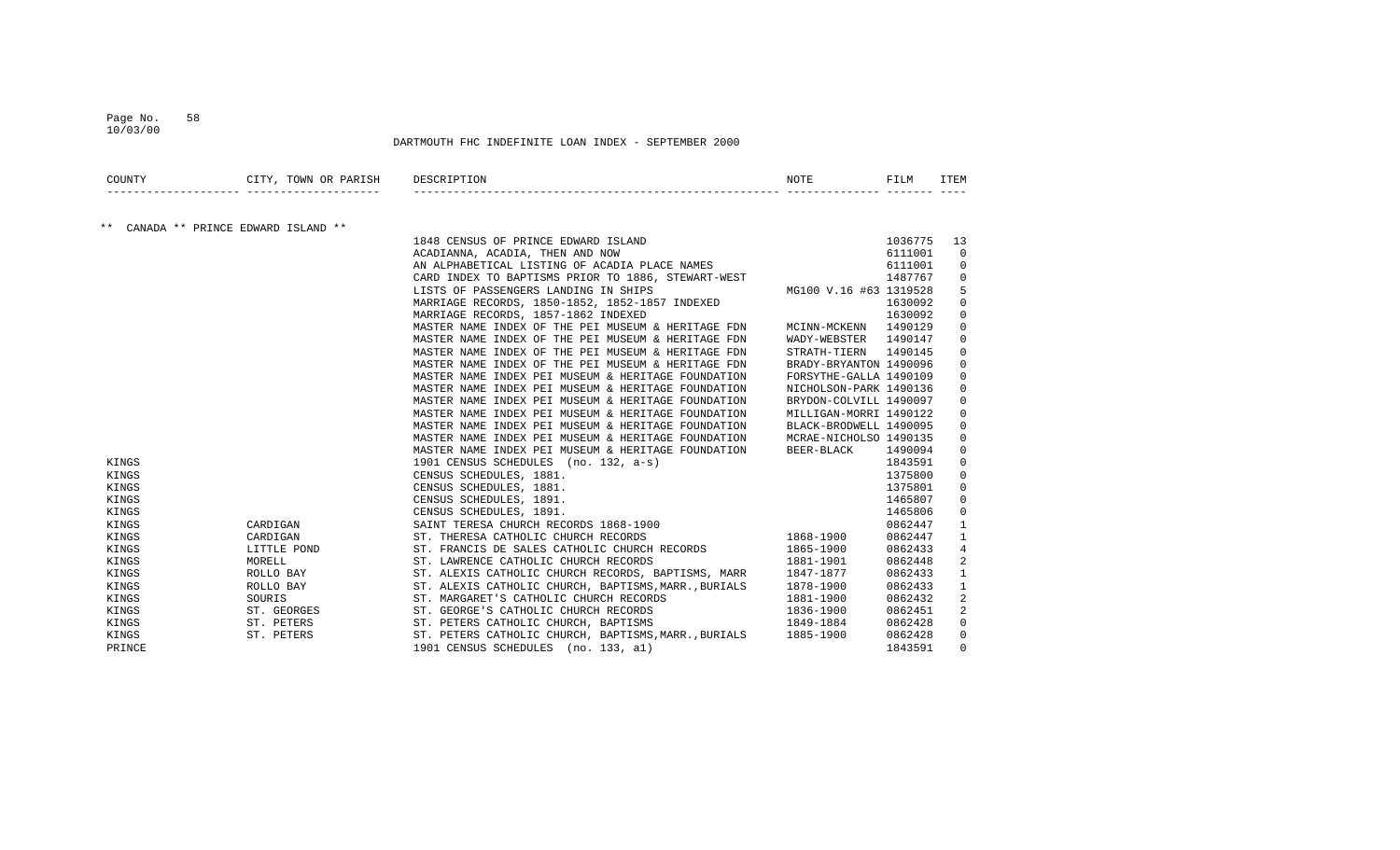#### Page No. 58 10/03/00

| COUNTY                                     |            | CITY, TOWN OR PARISH DESCRIPTION | NOTE                                                                                                                                                                                                                                                | FILM    | <b>ITEM</b>    |
|--------------------------------------------|------------|----------------------------------|-----------------------------------------------------------------------------------------------------------------------------------------------------------------------------------------------------------------------------------------------------|---------|----------------|
| $***$<br>CANADA ** PRINCE EDWARD ISLAND ** |            |                                  |                                                                                                                                                                                                                                                     |         |                |
|                                            |            |                                  | 1848 CENSUS OF PRINCE EDWARD ISLAND                                                                                                                                                                                                                 | 1036775 | 13             |
|                                            |            |                                  | D<br>ACADIANNA, ACADIA, THEN AND NOW                                                                                                                                                                                                                | 6111001 | $\mathbf 0$    |
|                                            |            |                                  | AN ALPHABETICAL LISTING OF ACADIA PLACE NAMES                                                                                                                                                                                                       | 6111001 | 0              |
|                                            |            |                                  | CARD INDEX TO BAPTISMS PRIOR TO 1886, STEWART-WEST<br>LISTS OF PASSENGERS LANDING IN SHIPS MG100 V.16 #63 1319528                                                                                                                                   |         | $\Omega$       |
|                                            |            |                                  | LISTS OF PASSENGERS LANDING IN SHIPS                                                                                                                                                                                                                |         | 5              |
|                                            |            |                                  | MARRIAGE RECORDS, 1850-1852, 1852-1857 INDEXED                                                                                                                                                                                                      | 1630092 | $\Omega$       |
|                                            |            |                                  | MARRIAGE RECORDS, 1857-1862 INDEXED                                                                                                                                                                                                                 | 1630092 | 0              |
|                                            |            |                                  | MASTER NAME INDEX OF THE PEI MUSEUM & HERITAGE FDN<br>MCINN-MCKENN 1490129                                                                                                                                                                          |         | $\Omega$       |
|                                            |            |                                  | MASTER NAME INDEX OF THE PEI MUSEUM & HERITAGE FDN<br>WADY-WEBSTER                                                                                                                                                                                  | 1490147 | 0              |
|                                            |            |                                  | MASTER NAME INDEX OF THE PEI MUSEUM & HERITAGE FDN<br>STRATH-TIERN                                                                                                                                                                                  | 1490145 | 0              |
|                                            |            |                                  | MASTER NAME INDEX OF THE PEI MUSEUM & HERITAGE FDN<br>BRADY-BRYANTON 1490096                                                                                                                                                                        |         | 0              |
|                                            |            |                                  | MASTER NAME INDEX PEI MUSEUM & HERITAGE FOUNDATION<br>FORSYTHE-GALLA 1490109                                                                                                                                                                        |         | $\Omega$       |
|                                            |            |                                  | MASTER NAME INDEX PEI MUSEUM & HERITAGE FOUNDATION<br>NICHOLSON-PARK 1490136                                                                                                                                                                        |         | 0              |
|                                            |            |                                  | MASTER NAME INDEX PEI MUSEUM & HERITAGE FOUNDATION<br>BRYDON-COLVILL 1490097                                                                                                                                                                        |         | $\Omega$       |
|                                            |            |                                  | MASTER NAME INDEX PEI MUSEUM & HERITAGE FOUNDATION<br>MILLIGAN-MORRI 1490122                                                                                                                                                                        |         | $\Omega$       |
|                                            |            |                                  | MASTER NAME INDEX PEI MUSEUM & HERITAGE FOUNDATION<br>BLACK-BRODWELL 1490095                                                                                                                                                                        |         | 0              |
|                                            |            |                                  | MASTER NAME INDEX PEI MUSEUM & HERITAGE FOUNDATION<br>MCRAE-NICHOLSO 1490135                                                                                                                                                                        |         | 0              |
|                                            |            |                                  |                                                                                                                                                                                                                                                     | 1490094 | 0              |
| KINGS                                      |            |                                  | WASTER NAME INDEX PEI MUSEUM & HERITAGE FOUNDALLON<br>1901 CENSUS SCHEDULES (no. 132, a-s)<br>CENSUS SCHEDULES, 1881.<br>CENSUS SCHEDULES, 1881.<br>CENSUS SCHEDULES, 1891.<br>CENSUS SCHEDULES, 1891.<br>SAINT TERESA CHURCH RECORDS 1868-1900<br> | 1843591 | $\mathbf 0$    |
| KINGS                                      |            |                                  |                                                                                                                                                                                                                                                     | 1375800 | 0              |
| KINGS                                      |            |                                  |                                                                                                                                                                                                                                                     | 1375801 | 0              |
| KINGS                                      |            |                                  |                                                                                                                                                                                                                                                     | 1465807 | 0              |
| KINGS                                      |            |                                  |                                                                                                                                                                                                                                                     | 1465806 | 0              |
| KINGS                                      | CARDIGAN   |                                  |                                                                                                                                                                                                                                                     | 0862447 | $\mathbf{1}$   |
| KINGS                                      | CARDIGAN   |                                  |                                                                                                                                                                                                                                                     | 0862447 | 1              |
| KINGS                                      |            | LITTLE POND                      | ST. FRANCIS DE SALES CATHOLIC CHURCH RECORDS<br>ST. LAWRENCE CATHOLIC CHURCH RECORDS<br>$1865 - 1900$                                                                                                                                               | 0862433 | 4              |
| KINGS                                      | MORELL     |                                  | ST. LAWRENCE CATHOLIC CHURCH RECORDS<br>1881-1901                                                                                                                                                                                                   | 0862448 | $\overline{a}$ |
| KINGS                                      | ROLLO BAY  |                                  | ST. ALEXIS CATHOLIC CHURCH RECORDS, BAPTISMS, MARR 1847-1877                                                                                                                                                                                        | 0862433 | 1              |
| KINGS                                      | ROLLO BAY  |                                  | ST. ALEXIS CATHOLIC CHURCH, BAPTISMS, MARR., BURIALS 1878-1900                                                                                                                                                                                      | 0862433 | 1              |
| KINGS                                      | SOURIS     |                                  | 1881-1900<br>ST. MARGARET'S CATHOLIC CHURCH RECORDS                                                                                                                                                                                                 | 0862432 | 2              |
| ST. GEORGES<br>ST. PETERS<br>KINGS         |            |                                  | ST. GEORGE'S CATHOLIC CHURCH RECORDS<br>1836-1900                                                                                                                                                                                                   | 0862451 | 2              |
| KINGS                                      |            |                                  | 1849-1884<br>ST. PETERS CATHOLIC CHURCH, BAPTISMS                                                                                                                                                                                                   | 0862428 | 0              |
| KINGS                                      | ST. PETERS |                                  | ST. PETERS CATHOLIC CHURCH, BAPTISMS, MARR., BURIALS 1885-1900                                                                                                                                                                                      | 0862428 | 0              |
| PRINCE                                     |            |                                  | 1901 CENSUS SCHEDULES (no. 133, al)                                                                                                                                                                                                                 | 1843591 | $\Omega$       |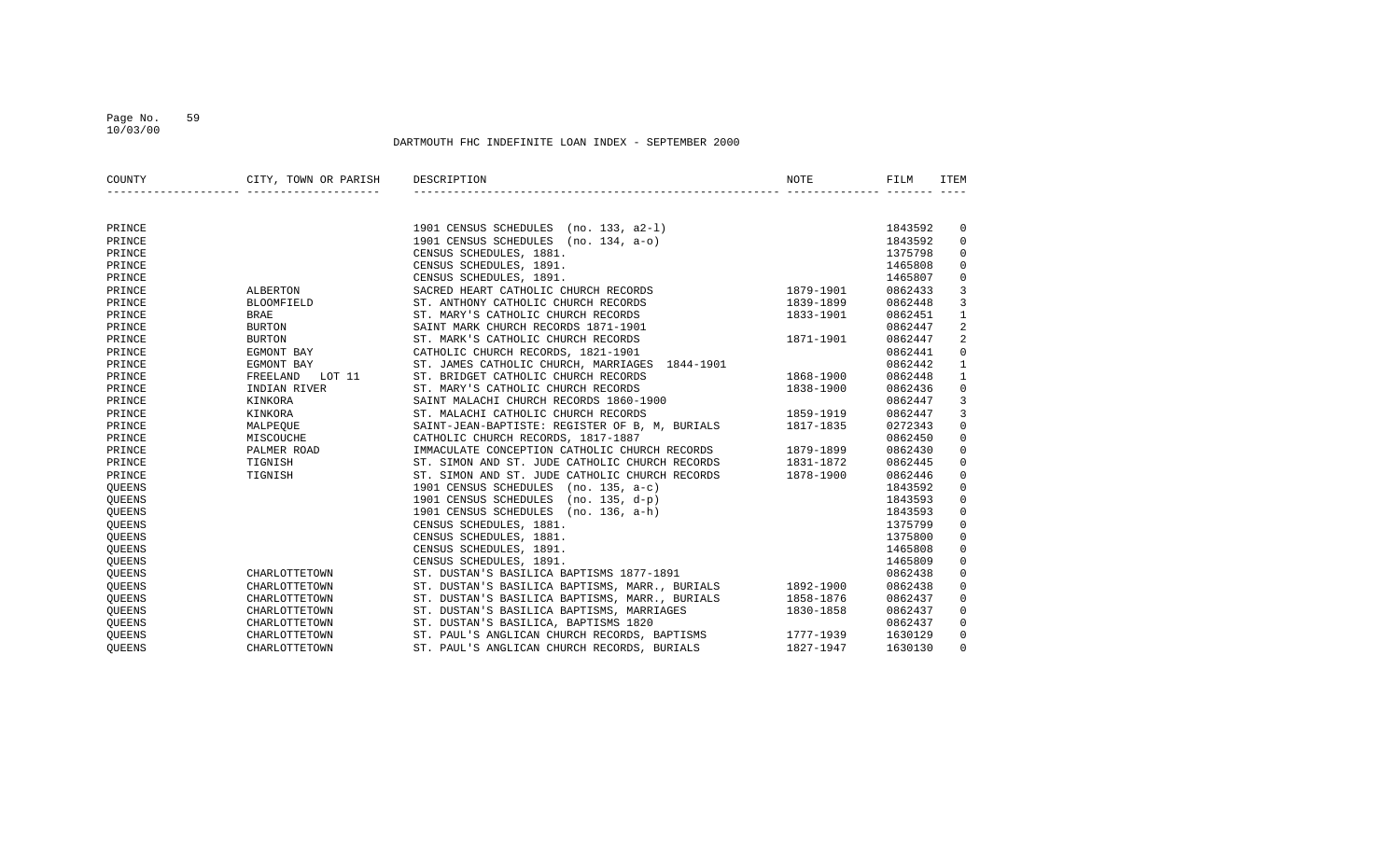#### Page No. 59 10/03/00

| COUNTY        | CITY, TOWN OR PARISH DESCRIPTION |                                                                                                                                                                 | NOTE                   | FILM    | ITEM                    |
|---------------|----------------------------------|-----------------------------------------------------------------------------------------------------------------------------------------------------------------|------------------------|---------|-------------------------|
|               |                                  |                                                                                                                                                                 |                        |         |                         |
| PRINCE        |                                  | 1901 CENSUS SCHEDULES (no. 133, a2-1)                                                                                                                           |                        | 1843592 | 0                       |
| PRINCE        |                                  | 1901 CENSUS SCHEDULES (no. 134, a-o)                                                                                                                            |                        | 1843592 | $\mathbf 0$             |
| PRINCE        |                                  | CENSUS SCHEDULES, 1881.                                                                                                                                         |                        | 1375798 | $\mathbf 0$             |
| PRINCE        |                                  | CENSUS SCHEDULES, 1891.                                                                                                                                         |                        | 1465808 | $\mathbf 0$             |
| PRINCE        |                                  | CENSUS SCHEDULES, 1891.                                                                                                                                         |                        | 1465807 | $\mathbf 0$             |
| PRINCE        | ALBERTON                         | SACRED HEART CATHOLIC CHURCH RECORDS 1879-1901                                                                                                                  |                        | 0862433 | $\mathbf{3}$            |
| PRINCE        | <b>BLOOMFIELD</b>                |                                                                                                                                                                 |                        | 0862448 | 3                       |
| PRINCE        | <b>BRAE</b>                      | ST. MARY'S CATHOLIC CHURCH RECORDS<br>1833-1901                                                                                                                 |                        | 0862451 | $\mathbf{1}$            |
| PRINCE        | BURTON                           | SAINT MARK CHURCH RECORDS 1871-1901                                                                                                                             |                        | 0862447 | $\overline{\mathbf{c}}$ |
| PRINCE        | <b>BURTON</b>                    | ST. MARK'S CATHOLIC CHURCH RECORDS                                                                                                                              | 1871-1901              | 0862447 | $\overline{2}$          |
| PRINCE        | EGMONT BAY                       | ST. MARK'S CATHOLIC CHURCH RECORDS<br>CATHOLIC CHURCH RECORDS, 1821-1901<br>AT ANNIC CHURCH ARTHOLIC GUIDENT AND STRIKE                                         |                        | 0862441 | $\mathsf{O}\xspace$     |
| PRINCE        | EGMONT BAY                       | ST. JAMES CATHOLIC CHURCH, MARRIAGES 1844-1901                                                                                                                  |                        | 0862442 | $1\,$                   |
| PRINCE        | LOT 11<br>FREELAND               | ST. BRIDGET CATHOLIC CHURCH RECORDS                                                                                                                             |                        | 0862448 | $\mathbf{1}$            |
| PRINCE        | INDIAN RIVER                     | ST. MARY'S CATHOLIC CHURCH RECORDS                                                                                                                              | 1868-1900<br>1838-1900 | 0862436 | $\mathbf 0$             |
| PRINCE        | KINKORA                          | SAINT MALACHI CHURCH RECORDS 1860-1900                                                                                                                          |                        | 0862447 | $\overline{3}$          |
| PRINCE        | KINKORA                          | ST. MALACHI CATHOLIC CHURCH RECORDS                                                                                                                             | 1859-1919              | 0862447 | 3                       |
| PRINCE        | MALPEOUE                         | SAINT-JEAN-BAPTISTE: REGISTER OF B, M, BURIALS 1817-1835                                                                                                        |                        | 0272343 | $\mathsf 0$             |
| PRINCE        | MISCOUCHE                        | CATHOLIC CHURCH RECORDS, 1817-1887                                                                                                                              |                        | 0862450 | $\mathsf 0$             |
| PRINCE        | PALMER ROAD                      | IMMACULATE CONCEPTION CATHOLIC CHURCH RECORDS 1879-1899                                                                                                         |                        | 0862430 | $\mathbf 0$             |
| PRINCE        | TIGNISH                          | ST. SIMON AND ST. JUDE CATHOLIC CHURCH RECORDS 1831-1872                                                                                                        |                        | 0862445 | $\mathbf 0$             |
| PRINCE        | TIGNISH                          | ST. SIMON AND ST. JUDE CATHOLIC CHURCH RECORDS 1878-1900                                                                                                        |                        | 0862446 | $\mathbf 0$             |
| QUEENS        |                                  | 1901 CENSUS SCHEDULES (no. 135, a-c)                                                                                                                            |                        | 1843592 | $\mathbf 0$             |
| QUEENS        |                                  | 1901 CENSUS SCHEDULES (no. 135, d-p)                                                                                                                            |                        | 1843593 | $\mathsf 0$             |
| QUEENS        |                                  | 1901 CENSUS SCHEDULES (no. 136, a-h)                                                                                                                            |                        | 1843593 | $\mathsf 0$             |
| QUEENS        |                                  | CENSUS SCHEDULES, 1881.                                                                                                                                         |                        | 1375799 | $\mathbf 0$             |
| QUEENS        |                                  | CENSUS SCHEDULES, 1881.                                                                                                                                         |                        | 1375800 | $\mathbf 0$             |
| QUEENS        |                                  | CENSUS SCHEDULES, 1891.                                                                                                                                         |                        | 1465808 | $\mathbf 0$             |
| QUEENS        |                                  | CENSUS SCHEDULES, 1891.                                                                                                                                         |                        | 1465809 | $\mathsf 0$             |
| <b>OUEENS</b> | CHARLOTTETOWN                    | ST. DUSTAN'S BASILICA BAPTISMS 1877-1891                                                                                                                        |                        | 0862438 | $\mathbf 0$             |
| <b>OUEENS</b> | CHARLOTTETOWN                    | ST. DUSTAN'S BASILICA BAPTISMS, MARR., BURIALS 1892-1900                                                                                                        |                        | 0862438 | $\mathbf 0$             |
| QUEENS        | CHARLOTTETOWN                    | ST. DUSTAN'S BASILICA BAPTISMS, MARR., BURIALS 1858-1876                                                                                                        |                        | 0862437 | $\mathbf 0$             |
| QUEENS        | CHARLOTTETOWN                    | ST. DUSTAN'S BASILICA BAPTISMS, MARRIAGES                                                                                                                       | 1830-1858              | 0862437 | $\mathbf 0$             |
| QUEENS        | CHARLOTTETOWN                    | ST. PAUL'S ANGLICAN CHURCH RECORDS, BAPTISMS<br>ST. PAUL'S ANGLICAN CHURCH RECORDS, BAPTISMS 1777-1939<br>ST. PAUL'S ANGLICAN CHURCH RECORDS, BURIALS 1827-1947 |                        | 0862437 | $\mathbf 0$             |
| <b>OUEENS</b> | CHARLOTTETOWN                    |                                                                                                                                                                 |                        | 1630129 | $\mathbf 0$             |
| <b>OUEENS</b> | CHARLOTTETOWN                    |                                                                                                                                                                 |                        | 1630130 | $\mathbf 0$             |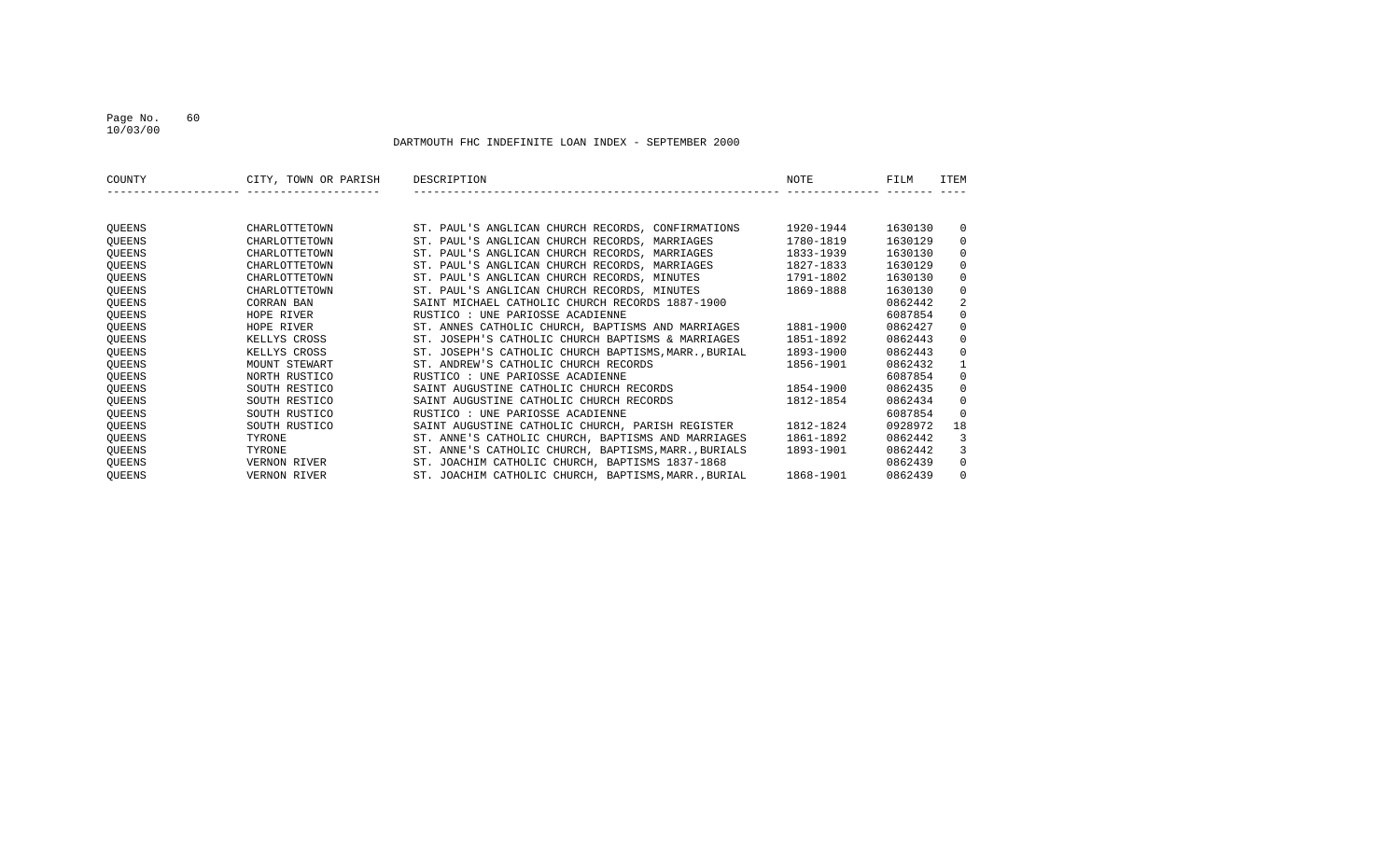### Page No. 60 10/03/00

| COUNTY        | CITY, TOWN OR PARISH | DESCRIPTION                                          | NOTE      | FILM    | <b>ITEM</b>  |
|---------------|----------------------|------------------------------------------------------|-----------|---------|--------------|
|               |                      |                                                      |           |         |              |
| QUEENS        | CHARLOTTETOWN        | ST. PAUL'S ANGLICAN CHURCH RECORDS, CONFIRMATIONS    | 1920-1944 | 1630130 | $\mathbf{0}$ |
| QUEENS        | CHARLOTTETOWN        | ST. PAUL'S ANGLICAN CHURCH RECORDS, MARRIAGES        | 1780-1819 | 1630129 | $\mathbf{0}$ |
| QUEENS        | CHARLOTTETOWN        | ST. PAUL'S ANGLICAN CHURCH RECORDS, MARRIAGES        | 1833-1939 | 1630130 | $\Omega$     |
| QUEENS        | CHARLOTTETOWN        | ST. PAUL'S ANGLICAN CHURCH RECORDS, MARRIAGES        | 1827-1833 | 1630129 | $\Omega$     |
| QUEENS        | CHARLOTTETOWN        | ST. PAUL'S ANGLICAN CHURCH RECORDS, MINUTES          | 1791-1802 | 1630130 | $\Omega$     |
| QUEENS        | CHARLOTTETOWN        | ST. PAUL'S ANGLICAN CHURCH RECORDS, MINUTES          | 1869-1888 | 1630130 | $\mathbf{0}$ |
| QUEENS        | CORRAN BAN           | SAINT MICHAEL CATHOLIC CHURCH RECORDS 1887-1900      |           | 0862442 | 2            |
| QUEENS        | HOPE RIVER           | RUSTICO : UNE PARIOSSE ACADIENNE                     |           | 6087854 | $\Omega$     |
| QUEENS        | HOPE RIVER           | ST. ANNES CATHOLIC CHURCH, BAPTISMS AND MARRIAGES    | 1881-1900 | 0862427 | $\Omega$     |
| QUEENS        | KELLYS CROSS         | ST. JOSEPH'S CATHOLIC CHURCH BAPTISMS & MARRIAGES    | 1851-1892 | 0862443 | $\mathbf 0$  |
| QUEENS        | KELLYS CROSS         | ST. JOSEPH'S CATHOLIC CHURCH BAPTISMS, MARR., BURIAL | 1893-1900 | 0862443 | $\Omega$     |
| QUEENS        | MOUNT STEWART        | ST. ANDREW'S CATHOLIC CHURCH RECORDS                 | 1856-1901 | 0862432 | $\mathbf{1}$ |
| QUEENS        | NORTH RUSTICO        | RUSTICO : UNE PARIOSSE ACADIENNE                     |           | 6087854 | $\Omega$     |
| QUEENS        | SOUTH RESTICO        | SAINT AUGUSTINE CATHOLIC CHURCH RECORDS              | 1854-1900 | 0862435 | $\Omega$     |
| <b>OUEENS</b> | SOUTH RESTICO        | SAINT AUGUSTINE CATHOLIC CHURCH RECORDS              | 1812-1854 | 0862434 | $\Omega$     |
| QUEENS        | SOUTH RUSTICO        | RUSTICO : UNE PARIOSSE ACADIENNE                     |           | 6087854 | $\Omega$     |
| QUEENS        | SOUTH RUSTICO        | SAINT AUGUSTINE CATHOLIC CHURCH, PARISH REGISTER     | 1812-1824 | 0928972 | 18           |
| QUEENS        | TYRONE               | ST. ANNE'S CATHOLIC CHURCH, BAPTISMS AND MARRIAGES   | 1861-1892 | 0862442 | 3            |
| QUEENS        | TYRONE               | ST. ANNE'S CATHOLIC CHURCH, BAPTISMS, MARR., BURIALS | 1893-1901 | 0862442 | 3            |
| QUEENS        | VERNON RIVER         | ST. JOACHIM CATHOLIC CHURCH, BAPTISMS 1837-1868      |           | 0862439 | $\mathbf{0}$ |
| QUEENS        | VERNON RIVER         | ST. JOACHIM CATHOLIC CHURCH, BAPTISMS, MARR., BURIAL | 1868-1901 | 0862439 | $\Omega$     |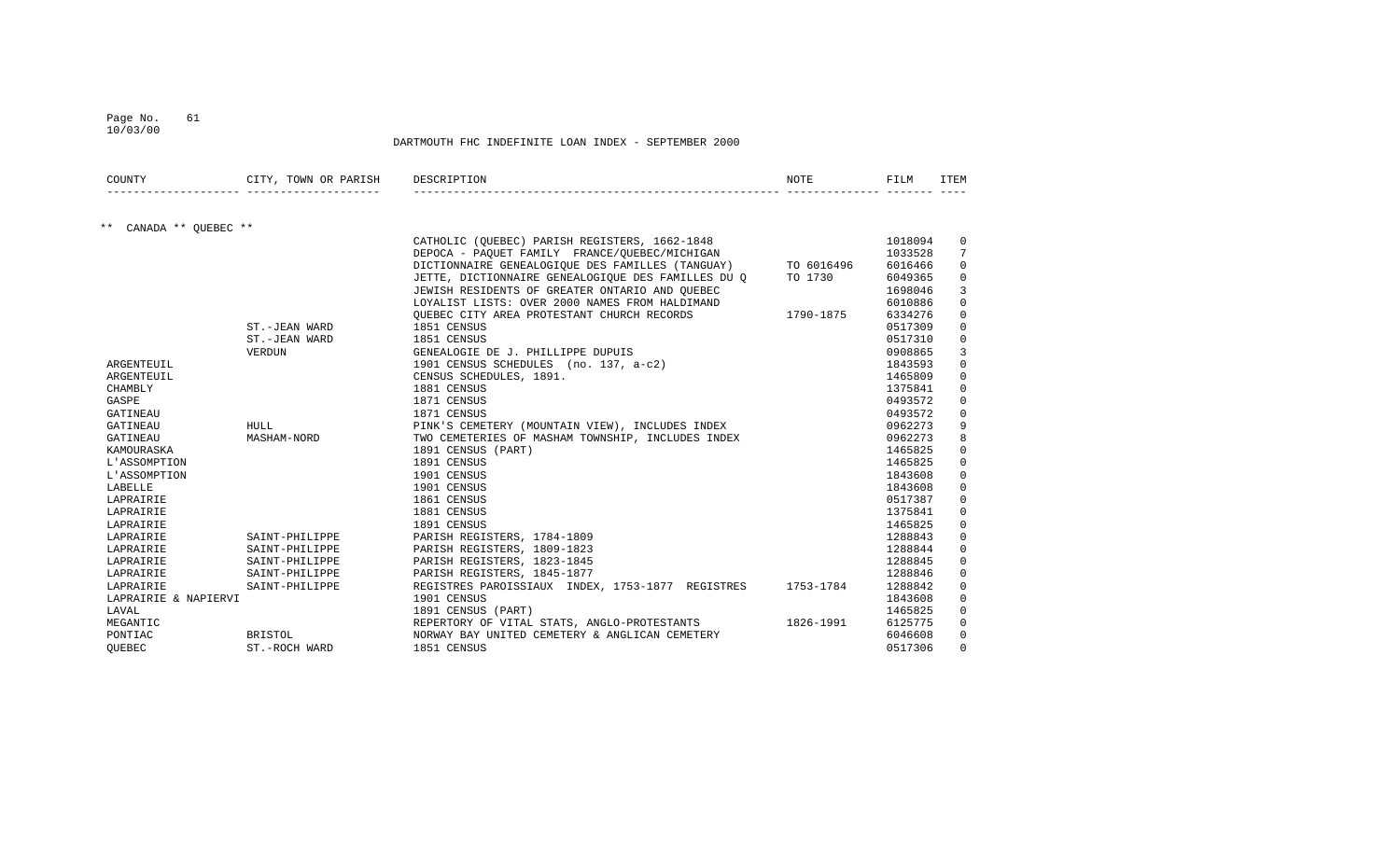10/03/00

| COUNTY                       | CITY, TOWN OR PARISH | DESCRIPTION                                                 | NOTE      | FILM    | ITEM        |
|------------------------------|----------------------|-------------------------------------------------------------|-----------|---------|-------------|
|                              |                      |                                                             |           |         |             |
| $***$<br>CANADA ** OUEBEC ** |                      |                                                             |           |         |             |
|                              |                      | CATHOLIC (OUEBEC) PARISH REGISTERS, 1662-1848               |           | 1018094 | 0           |
|                              |                      | DEPOCA - PAQUET FAMILY FRANCE/QUEBEC/MICHIGAN               |           | 1033528 | 7           |
|                              |                      | DICTIONNAIRE GENEALOGIQUE DES FAMILLES (TANGUAY) TO 6016496 |           | 6016466 | 0           |
|                              |                      | JETTE, DICTIONNAIRE GENEALOGIOUE DES FAMILLES DU O          | TO 1730   | 6049365 | 0           |
|                              |                      | JEWISH RESIDENTS OF GREATER ONTARIO AND QUEBEC              |           | 1698046 | 3           |
|                              |                      | LOYALIST LISTS: OVER 2000 NAMES FROM HALDIMAND              |           | 6010886 | $\mathbf 0$ |
|                              |                      | OUEBEC CITY AREA PROTESTANT CHURCH RECORDS                  | 1790-1875 | 6334276 | $\Omega$    |
|                              | ST.-JEAN WARD        | 1851 CENSUS                                                 |           | 0517309 | $\mathbf 0$ |
|                              | ST.-JEAN WARD        | 1851 CENSUS                                                 |           | 0517310 | 0           |
|                              | VERDUN               | GENEALOGIE DE J. PHILLIPPE DUPUIS                           |           | 0908865 | 3           |
| ARGENTEUIL                   |                      | 1901 CENSUS SCHEDULES (no. 137, a-c2)                       |           | 1843593 | $\mathbf 0$ |
| ARGENTEUIL                   |                      | CENSUS SCHEDULES, 1891.                                     |           | 1465809 | $\mathbf 0$ |
| CHAMBLY                      |                      | 1881 CENSUS                                                 |           | 1375841 | $\mathbf 0$ |
| GASPE                        |                      | 1871 CENSUS                                                 |           | 0493572 | $\mathbf 0$ |
| GATINEAU                     |                      | 1871 CENSUS                                                 |           | 0493572 | 0           |
| GATINEAU                     | <b>HULL</b>          | PINK'S CEMETERY (MOUNTAIN VIEW), INCLUDES INDEX             |           | 0962273 | 9           |
| GATINEAU                     | MASHAM-NORD          | TWO CEMETERIES OF MASHAM TOWNSHIP, INCLUDES INDEX           |           | 0962273 | 8           |
| KAMOURASKA                   |                      | 1891 CENSUS (PART)                                          |           | 1465825 | $\Omega$    |
| L'ASSOMPTION                 |                      | 1891 CENSUS                                                 |           | 1465825 | $\Omega$    |
| L'ASSOMPTION                 |                      | 1901 CENSUS                                                 |           | 1843608 | $\mathbf 0$ |
| LABELLE                      |                      | 1901 CENSUS                                                 |           | 1843608 | $\mathbf 0$ |
| LAPRAIRIE                    |                      | 1861 CENSUS                                                 |           | 0517387 | $\mathbf 0$ |
| LAPRAIRIE                    |                      | 1881 CENSUS                                                 |           | 1375841 | $\mathbf 0$ |
| LAPRAIRIE                    |                      | 1891 CENSUS                                                 |           | 1465825 | $\mathbf 0$ |
| LAPRAIRIE                    | SAINT-PHILIPPE       | PARISH REGISTERS, 1784-1809                                 |           | 1288843 | $\mathbf 0$ |
| LAPRAIRIE                    | SAINT-PHILIPPE       | PARISH REGISTERS, 1809-1823                                 |           | 1288844 | $\mathbf 0$ |
| LAPRAIRIE                    | SAINT-PHILIPPE       | PARISH REGISTERS, 1823-1845                                 |           | 1288845 | $\mathbf 0$ |
| LAPRAIRIE                    | SAINT-PHILIPPE       | PARISH REGISTERS, 1845-1877                                 |           | 1288846 | $\mathbf 0$ |
| LAPRAIRIE                    | SAINT-PHILIPPE       | REGISTRES PAROISSIAUX INDEX, 1753-1877 REGISTRES            | 1753-1784 | 1288842 | $\mathbf 0$ |
| LAPRAIRIE & NAPIERVI         |                      | 1901 CENSUS                                                 |           | 1843608 | $\mathbf 0$ |
| LAVAL                        |                      | 1891 CENSUS (PART)                                          |           | 1465825 | $\mathbf 0$ |
| MEGANTIC                     |                      | REPERTORY OF VITAL STATS, ANGLO-PROTESTANTS                 | 1826-1991 | 6125775 | $\mathbf 0$ |
| PONTIAC                      | <b>BRISTOL</b>       | NORWAY BAY UNITED CEMETERY & ANGLICAN CEMETERY              |           | 6046608 | $\Omega$    |
| OUEBEC                       | ST.-ROCH WARD        | 1851 CENSUS                                                 |           | 0517306 | $\Omega$    |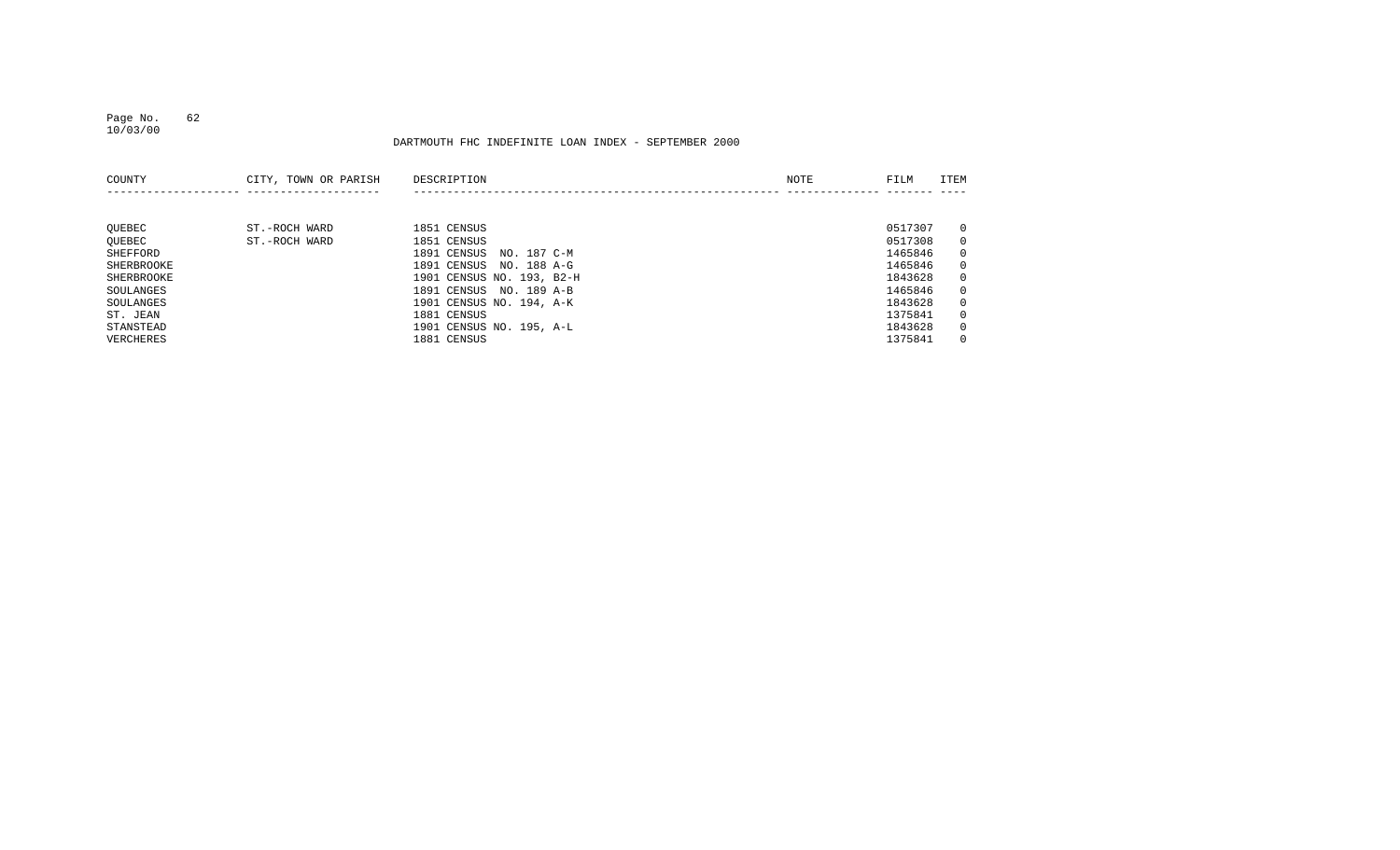### Page No. 62 10/03/00

| COUNTY     | CITY, TOWN OR PARISH | DESCRIPTION                | NOTE | FILM    | ITEM           |
|------------|----------------------|----------------------------|------|---------|----------------|
|            |                      |                            |      |         |                |
|            |                      |                            |      |         |                |
| QUEBEC     | ST.-ROCH WARD        | 1851 CENSUS                |      | 0517307 | $\overline{0}$ |
| OUEBEC     | ST.-ROCH WARD        | 1851 CENSUS                |      | 0517308 | $\overline{0}$ |
| SHEFFORD   |                      | NO. 187 C-M<br>1891 CENSUS |      | 1465846 | $\overline{0}$ |
| SHERBROOKE |                      | 1891 CENSUS<br>NO. 188 A-G |      | 1465846 | $\overline{0}$ |
| SHERBROOKE |                      | 1901 CENSUS NO. 193, B2-H  |      | 1843628 | $\overline{0}$ |
| SOULANGES  |                      | 1891 CENSUS<br>NO. 189 A-B |      | 1465846 | $\overline{0}$ |
| SOULANGES  |                      | 1901 CENSUS NO. 194, A-K   |      | 1843628 | $\overline{0}$ |
| ST. JEAN   |                      | 1881 CENSUS                |      | 1375841 | $\mathbf{0}$   |
| STANSTEAD  |                      | 1901 CENSUS NO. 195, A-L   |      | 1843628 | $\overline{0}$ |
| VERCHERES  |                      | 1881 CENSUS                |      | 1375841 | $\Omega$       |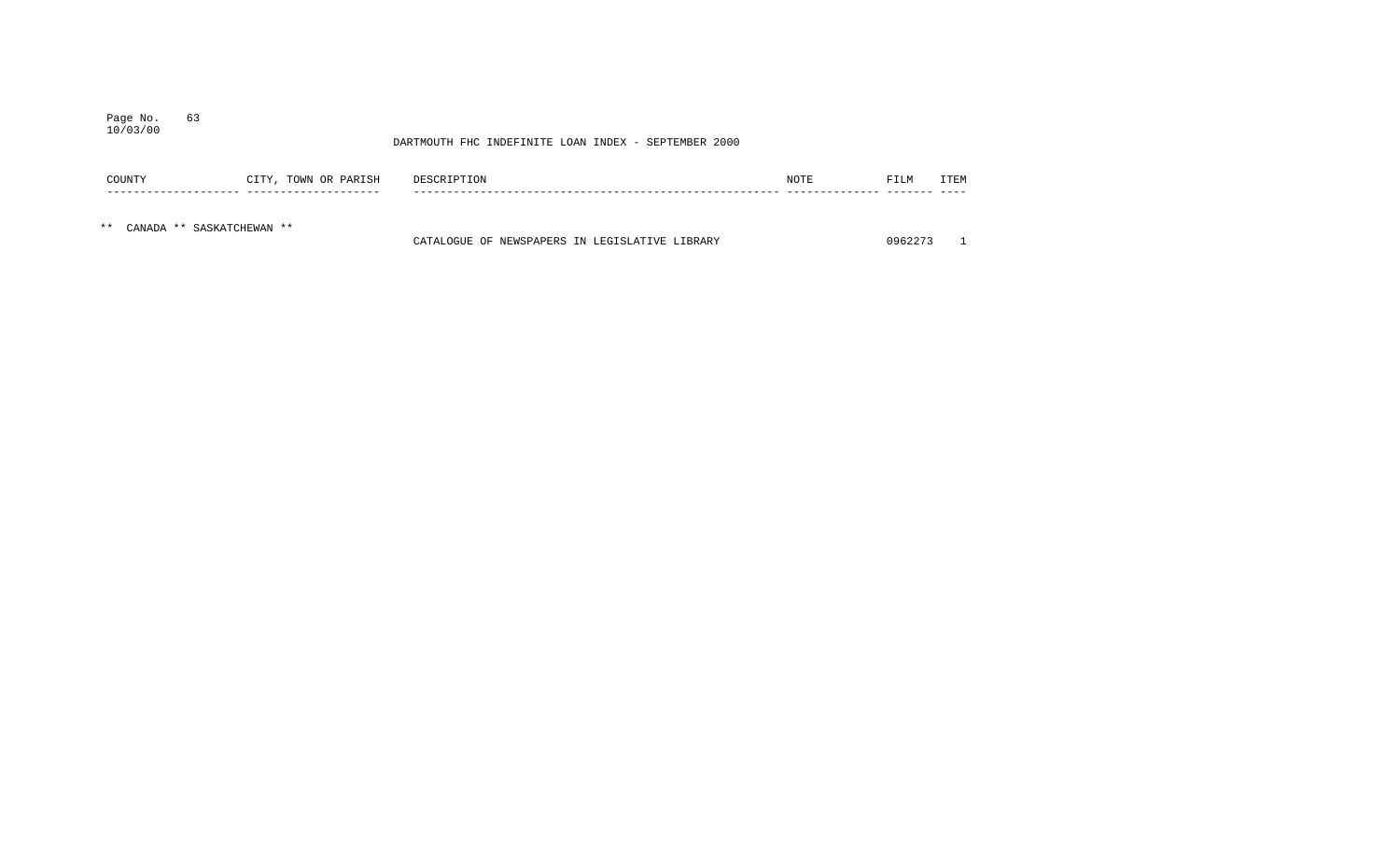### Page No. 63 10/03/00

|     | COUNTY                    | CITY, TOWN OR PARISH | DESCRIPTION                                    | NOTE | FILM    | ITEM |
|-----|---------------------------|----------------------|------------------------------------------------|------|---------|------|
|     |                           |                      |                                                |      |         |      |
| * * | CANADA ** SASKATCHEWAN ** |                      | CATALOGUE OF NEWSPAPERS IN LEGISLATIVE LIBRARY |      | 0962273 |      |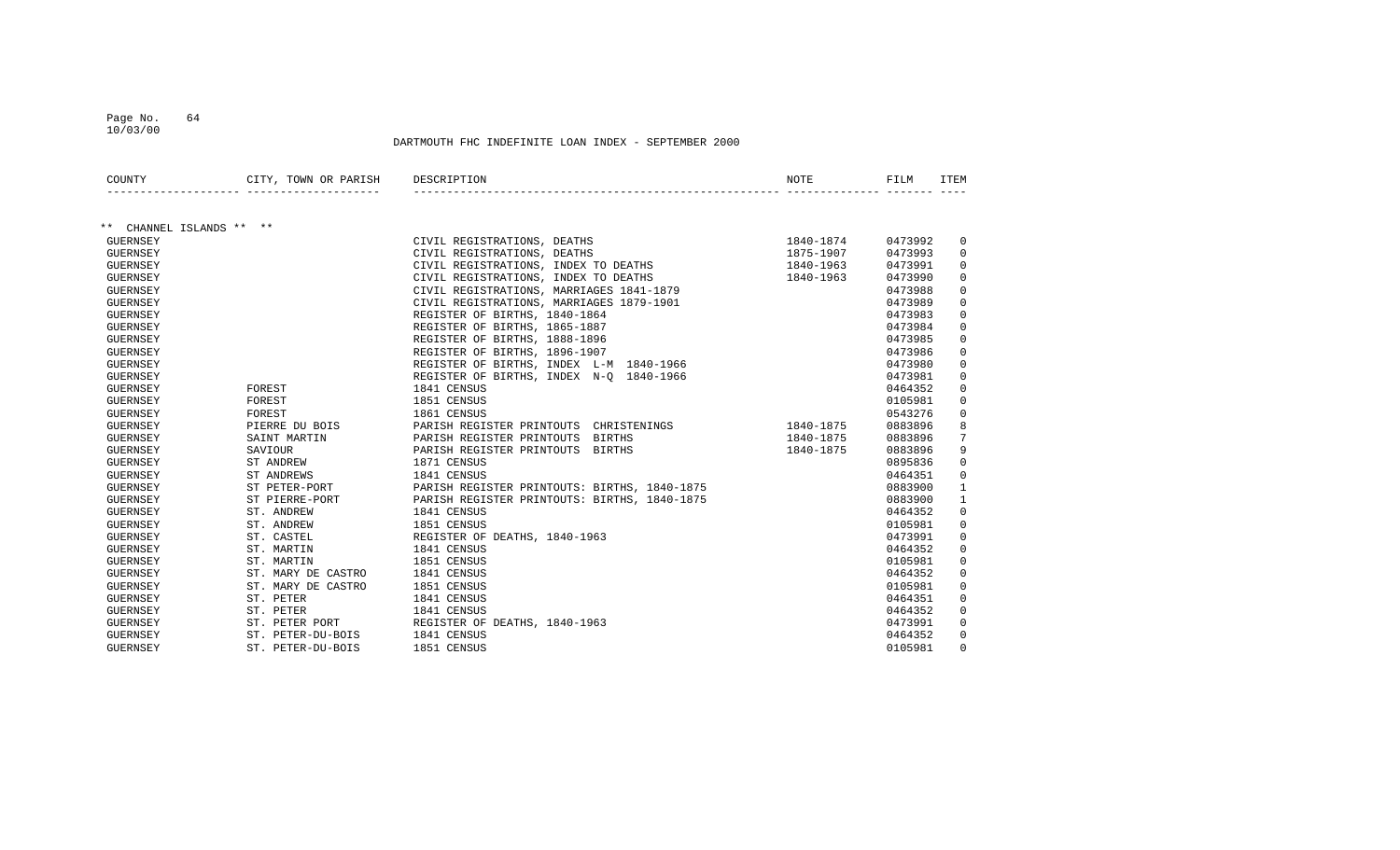10/03/00

| COUNTY                   | CITY, TOWN OR PARISH | DESCRIPTION                                  | NOTE      | FILM    | ITEM            |
|--------------------------|----------------------|----------------------------------------------|-----------|---------|-----------------|
|                          |                      |                                              |           |         |                 |
| ** CHANNEL ISLANDS ** ** |                      |                                              |           |         |                 |
| GUERNSEY                 |                      | CIVIL REGISTRATIONS, DEATHS                  | 1840-1874 | 0473992 | 0               |
| <b>GUERNSEY</b>          |                      | CIVIL REGISTRATIONS, DEATHS                  | 1875-1907 | 0473993 | 0               |
| <b>GUERNSEY</b>          |                      | CIVIL REGISTRATIONS, INDEX TO DEATHS         | 1840-1963 | 0473991 | $\mathbf 0$     |
| <b>GUERNSEY</b>          |                      | CIVIL REGISTRATIONS, INDEX TO DEATHS         | 1840-1963 | 0473990 | $\mathbf 0$     |
| <b>GUERNSEY</b>          |                      | CIVIL REGISTRATIONS, MARRIAGES 1841-1879     |           | 0473988 | $\mathbf 0$     |
| <b>GUERNSEY</b>          |                      | CIVIL REGISTRATIONS, MARRIAGES 1879-1901     |           | 0473989 | $\mathbf 0$     |
| <b>GUERNSEY</b>          |                      | REGISTER OF BIRTHS, 1840-1864                |           | 0473983 | $\Omega$        |
| <b>GUERNSEY</b>          |                      | REGISTER OF BIRTHS, 1865-1887                |           | 0473984 | $\mathbf 0$     |
| <b>GUERNSEY</b>          |                      | REGISTER OF BIRTHS, 1888-1896                |           | 0473985 | $\mathbf 0$     |
| <b>GUERNSEY</b>          |                      | REGISTER OF BIRTHS, 1896-1907                |           | 0473986 | $\mathbf 0$     |
| <b>GUERNSEY</b>          |                      | REGISTER OF BIRTHS, INDEX L-M 1840-1966      |           | 0473980 | $\mathbf 0$     |
| <b>GUERNSEY</b>          |                      | REGISTER OF BIRTHS, INDEX N-O 1840-1966      |           | 0473981 | $\Omega$        |
| <b>GUERNSEY</b>          | FOREST               | 1841 CENSUS                                  |           | 0464352 | $\Omega$        |
| <b>GUERNSEY</b>          | FOREST               | 1851 CENSUS                                  |           | 0105981 | $\mathbf 0$     |
| <b>GUERNSEY</b>          | FOREST               | 1861 CENSUS                                  |           | 0543276 | $\mathbf 0$     |
| GUERNSEY                 | PIERRE DU BOIS       | PARISH REGISTER PRINTOUTS CHRISTENINGS       | 1840-1875 | 0883896 | 8               |
| <b>GUERNSEY</b>          | SAINT MARTIN         | PARISH REGISTER PRINTOUTS<br><b>BIRTHS</b>   | 1840-1875 | 0883896 | $7\overline{ }$ |
| <b>GUERNSEY</b>          | SAVIOUR              | PARISH REGISTER PRINTOUTS BIRTHS             | 1840-1875 | 0883896 | 9               |
| GUERNSEY                 | ST ANDREW            | 1871 CENSUS                                  |           | 0895836 | $\mathbf 0$     |
| GUERNSEY                 | ST ANDREWS           | 1841 CENSUS                                  |           | 0464351 | $\mathbf 0$     |
| <b>GUERNSEY</b>          | ST PETER-PORT        | PARISH REGISTER PRINTOUTS: BIRTHS, 1840-1875 |           | 0883900 | $\mathbf{1}$    |
| <b>GUERNSEY</b>          | ST PIERRE-PORT       | PARISH REGISTER PRINTOUTS: BIRTHS, 1840-1875 |           | 0883900 | $\mathbf{1}$    |
| <b>GUERNSEY</b>          | ST. ANDREW           | 1841 CENSUS                                  |           | 0464352 | $\mathbf 0$     |
| <b>GUERNSEY</b>          | ST. ANDREW           | 1851 CENSUS                                  |           | 0105981 | $\mathbf 0$     |
| <b>GUERNSEY</b>          | ST. CASTEL           | REGISTER OF DEATHS, 1840-1963                |           | 0473991 | $\mathbf 0$     |
| <b>GUERNSEY</b>          | ST. MARTIN           | 1841 CENSUS                                  |           | 0464352 | $\mathbf 0$     |
| <b>GUERNSEY</b>          | ST. MARTIN           | 1851 CENSUS                                  |           | 0105981 | $\mathbf 0$     |
| <b>GUERNSEY</b>          | ST. MARY DE CASTRO   | 1841 CENSUS                                  |           | 0464352 | $\mathbf 0$     |
| <b>GUERNSEY</b>          | ST. MARY DE CASTRO   | 1851 CENSUS                                  |           | 0105981 | $\mathbf 0$     |
| <b>GUERNSEY</b>          | ST. PETER            | 1841 CENSUS                                  |           | 0464351 | $\mathbf 0$     |
| <b>GUERNSEY</b>          | ST. PETER            | 1841 CENSUS                                  |           | 0464352 | $\mathbf 0$     |
| <b>GUERNSEY</b>          | ST. PETER PORT       | REGISTER OF DEATHS, 1840-1963                |           | 0473991 | $\mathbf 0$     |
| <b>GUERNSEY</b>          | ST. PETER-DU-BOIS    | 1841 CENSUS                                  |           | 0464352 | $\mathbf 0$     |
| <b>GUERNSEY</b>          | ST. PETER-DU-BOIS    | 1851 CENSUS                                  |           | 0105981 | $\Omega$        |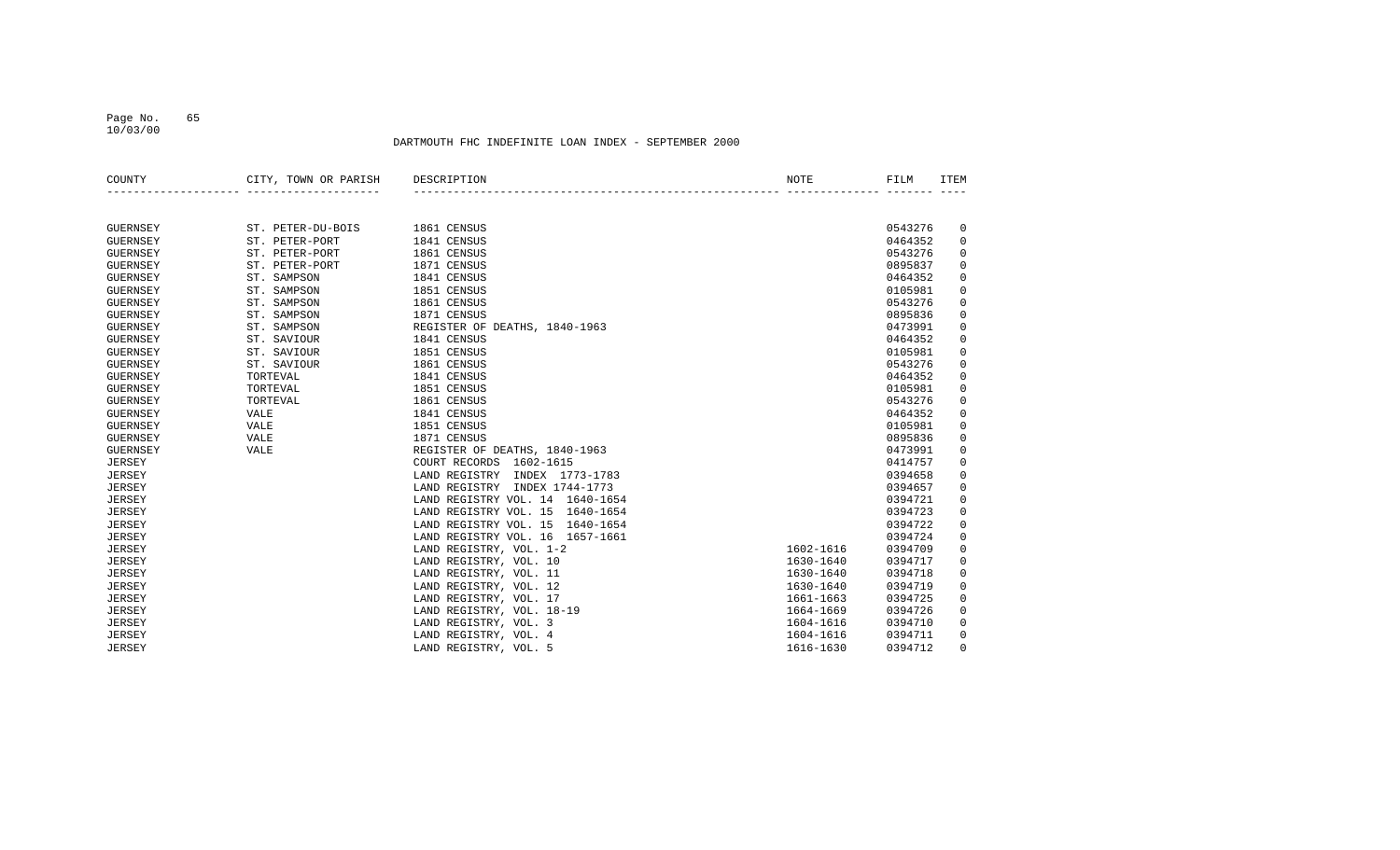#### Page No. 65 10/03/00

| COUNTY          | CITY, TOWN OR PARISH | DESCRIPTION                        | <b>NOTE</b> | FILM    | <b>ITEM</b>         |
|-----------------|----------------------|------------------------------------|-------------|---------|---------------------|
|                 |                      |                                    |             |         |                     |
| <b>GUERNSEY</b> | ST. PETER-DU-BOIS    | 1861 CENSUS                        |             | 0543276 | 0                   |
| <b>GUERNSEY</b> | ST. PETER-PORT       | 1841 CENSUS                        |             | 0464352 | $\mathbf 0$         |
| <b>GUERNSEY</b> | ST. PETER-PORT       | 1861 CENSUS                        |             | 0543276 | $\mathsf{O}\xspace$ |
| <b>GUERNSEY</b> | ST. PETER-PORT       | 1871 CENSUS                        |             | 0895837 | $\mathbf 0$         |
| <b>GUERNSEY</b> | ST. SAMPSON          | 1841 CENSUS                        |             | 0464352 | $\mathbf 0$         |
| <b>GUERNSEY</b> | ST. SAMPSON          | 1851 CENSUS                        |             | 0105981 | $\mathbf 0$         |
| <b>GUERNSEY</b> | ST. SAMPSON          | 1861 CENSUS                        |             | 0543276 | $\mathbf 0$         |
| <b>GUERNSEY</b> | ST. SAMPSON          | 1871 CENSUS                        |             | 0895836 | $\mathbf 0$         |
| <b>GUERNSEY</b> | ST. SAMPSON          | REGISTER OF DEATHS, 1840-1963      |             | 0473991 | $\mathbf 0$         |
| <b>GUERNSEY</b> | ST. SAVIOUR          | 1841 CENSUS                        |             | 0464352 | $\mathbf 0$         |
| <b>GUERNSEY</b> | ST. SAVIOUR          | 1851 CENSUS                        |             | 0105981 | $\mathbf 0$         |
| <b>GUERNSEY</b> | ST. SAVIOUR          | 1861 CENSUS                        |             | 0543276 | $\mathbf 0$         |
| <b>GUERNSEY</b> | TORTEVAL             | 1841 CENSUS                        |             | 0464352 | $\mathsf{O}\xspace$ |
| <b>GUERNSEY</b> | TORTEVAL             | 1851 CENSUS                        |             | 0105981 | $\mathsf{O}\xspace$ |
| <b>GUERNSEY</b> | TORTEVAL             | 1861 CENSUS                        |             | 0543276 | $\mathsf{O}\xspace$ |
| GUERNSEY        | VALE                 | 1841 CENSUS                        |             | 0464352 | $\mathbf 0$         |
| <b>GUERNSEY</b> | VALE                 | 1851 CENSUS                        |             | 0105981 | $\mathbf{0}$        |
| <b>GUERNSEY</b> | <b>VALE</b>          | 1871 CENSUS                        |             | 0895836 | $\mathbf 0$         |
| <b>GUERNSEY</b> | <b>VALE</b>          | REGISTER OF DEATHS, 1840-1963      |             | 0473991 | $\mathbf 0$         |
| <b>JERSEY</b>   |                      | COURT RECORDS<br>1602-1615         |             | 0414757 | $\mathsf{O}\xspace$ |
| <b>JERSEY</b>   |                      | LAND REGISTRY INDEX 1773-1783      |             | 0394658 | $\mathsf{O}\xspace$ |
| <b>JERSEY</b>   |                      | LAND REGISTRY INDEX 1744-1773      |             | 0394657 | $\mathbf 0$         |
| <b>JERSEY</b>   |                      | LAND REGISTRY VOL. 14 1640-1654    |             | 0394721 | $\mathbf 0$         |
| <b>JERSEY</b>   |                      | LAND REGISTRY VOL. 15<br>1640-1654 |             | 0394723 | $\mathbf 0$         |
| <b>JERSEY</b>   |                      | LAND REGISTRY VOL. 15<br>1640-1654 |             | 0394722 | $\mathbf 0$         |
| <b>JERSEY</b>   |                      | LAND REGISTRY VOL. 16 1657-1661    |             | 0394724 | $\mathsf 0$         |
| <b>JERSEY</b>   |                      | LAND REGISTRY, VOL. 1-2            | 1602-1616   | 0394709 | $\mathbf 0$         |
| <b>JERSEY</b>   |                      | LAND REGISTRY, VOL. 10             | 1630-1640   | 0394717 | $\mathbf 0$         |
| <b>JERSEY</b>   |                      | LAND REGISTRY, VOL. 11             | 1630-1640   | 0394718 | $\mathbf 0$         |
| <b>JERSEY</b>   |                      | LAND REGISTRY, VOL. 12             | 1630-1640   | 0394719 | $\mathbf 0$         |
| <b>JERSEY</b>   |                      | LAND REGISTRY, VOL. 17             | 1661-1663   | 0394725 | $\mathbf 0$         |
| <b>JERSEY</b>   |                      | LAND REGISTRY, VOL. 18-19          | 1664-1669   | 0394726 | $\mathsf 0$         |
| <b>JERSEY</b>   |                      | LAND REGISTRY, VOL. 3              | 1604-1616   | 0394710 | $\mathbf 0$         |
| <b>JERSEY</b>   |                      | LAND REGISTRY, VOL. 4              | 1604-1616   | 0394711 | $\mathbf 0$         |
| <b>JERSEY</b>   |                      | LAND REGISTRY, VOL. 5              | 1616-1630   | 0394712 | $\mathbf{0}$        |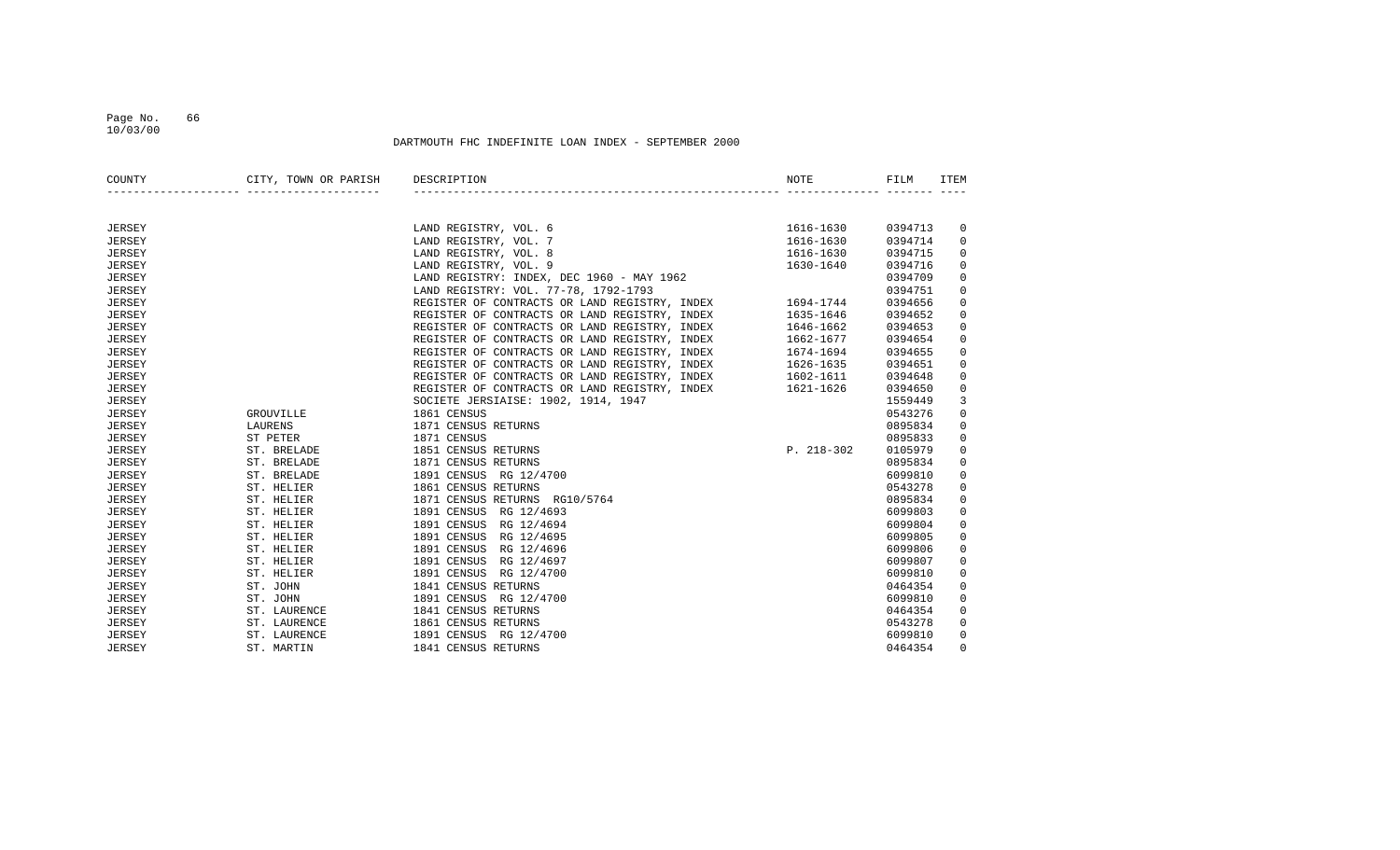### Page No. 66 10/03/00

| COUNTY        | CITY, TOWN OR PARISH DESCRIPTION<br>-------- --------------------- |                                                                                                                                                                                                                                        | NOTE           | FILM    | <b>ITEM</b> |
|---------------|--------------------------------------------------------------------|----------------------------------------------------------------------------------------------------------------------------------------------------------------------------------------------------------------------------------------|----------------|---------|-------------|
|               |                                                                    |                                                                                                                                                                                                                                        |                |         |             |
| <b>JERSEY</b> |                                                                    | LAND REGISTRY, VOL. 6                                                                                                                                                                                                                  | 1616-1630      | 0394713 | 0           |
| <b>JERSEY</b> |                                                                    | LAND REGISTRY, VOL. 7                                                                                                                                                                                                                  | 1616-1630      | 0394714 | $\mathbf 0$ |
| <b>JERSEY</b> |                                                                    | LAND REGISTRY, VOL. 8                                                                                                                                                                                                                  | 1616-1630      | 0394715 | 0           |
| <b>JERSEY</b> |                                                                    | LAND REGISTRY, VOL. 9                                                                                                                                                                                                                  | 1630-1640      | 0394716 | $\mathbf 0$ |
| <b>JERSEY</b> |                                                                    | LAND REGISTRY: INDEX, DEC 1960 - MAY 1962                                                                                                                                                                                              |                | 0394709 | $\mathbf 0$ |
| <b>JERSEY</b> |                                                                    | LAND REGISTRY: VOL. 77-78, 1792-1793                                                                                                                                                                                                   |                | 0394751 | $\mathbf 0$ |
| <b>JERSEY</b> |                                                                    | REGISTER OF CONTRACTS OR LAND REGISTRY, INDEX 1694-1744                                                                                                                                                                                |                | 0394656 | $\mathbf 0$ |
| <b>JERSEY</b> |                                                                    | REGISTER OF CONTRACTS OR LAND REGISTRY, INDEX                                                                                                                                                                                          | 1635-1646      | 0394652 | $\mathbf 0$ |
| <b>JERSEY</b> |                                                                    | REGISTER OF CONTRACTS OR LAND REGISTRY, INDEX                                                                                                                                                                                          | 1646-1662      | 0394653 | 0           |
| <b>JERSEY</b> |                                                                    | REGISTER OF CONTRACTS OR LAND REGISTRY, INDEX                                                                                                                                                                                          | 1662-1677      | 0394654 | $\mathbf 0$ |
| <b>JERSEY</b> |                                                                    | REGISTER OF CONTRACTS OR LAND REGISTRY, INDEX<br>REGISTER OF CONTRACTS OR LAND REGISTRY, INDEX<br>REGISTER OF CONTRACTS OR LAND REGISTRY, INDEX<br>REGISTER OF CONTRACTS OR LAND REGISTRY, INDEX<br>REGISTER OF CONTRACTS OR LAND REGI |                | 0394655 | $\mathbf 0$ |
| <b>JERSEY</b> |                                                                    |                                                                                                                                                                                                                                        |                | 0394651 | $\mathbf 0$ |
| <b>JERSEY</b> |                                                                    |                                                                                                                                                                                                                                        |                | 0394648 | $\mathbf 0$ |
| <b>JERSEY</b> |                                                                    |                                                                                                                                                                                                                                        |                | 0394650 | 0           |
| <b>JERSEY</b> |                                                                    | SOCIETE JERSIAISE: 1902, 1914, 1947                                                                                                                                                                                                    |                | 1559449 | 3           |
| <b>JERSEY</b> | GROUVILLE                                                          | 1861 CENSUS                                                                                                                                                                                                                            |                | 0543276 | $\mathbf 0$ |
| <b>JERSEY</b> | LAURENS                                                            | 1871 CENSUS RETURNS                                                                                                                                                                                                                    |                | 0895834 | $\mathbf 0$ |
| <b>JERSEY</b> | ST PETER                                                           | 1871 CENSUS                                                                                                                                                                                                                            |                | 0895833 | $\mathbf 0$ |
| JERSEY        | ST. BRELADE                                                        | 1851 CENSUS RETURNS                                                                                                                                                                                                                    | $P. 218 - 302$ | 0105979 | $\mathbf 0$ |
| <b>JERSEY</b> | ST. BRELADE                                                        | 1871 CENSUS RETURNS                                                                                                                                                                                                                    |                | 0895834 | $\mathbf 0$ |
| <b>JERSEY</b> | ST. BRELADE                                                        | 1891 CENSUS RG 12/4700                                                                                                                                                                                                                 |                | 6099810 | $\mathbf 0$ |
| JERSEY        | ST. HELIER                                                         | 1861 CENSUS RETURNS                                                                                                                                                                                                                    |                | 0543278 | $\mathbf 0$ |
| JERSEY        | ST. HELIER                                                         | 1871 CENSUS RETURNS RG10/5764                                                                                                                                                                                                          |                | 0895834 | $\mathbb O$ |
| <b>JERSEY</b> | ST. HELIER                                                         | 1891 CENSUS RG 12/4693                                                                                                                                                                                                                 |                | 6099803 | $\mathbb O$ |
| <b>JERSEY</b> | ST. HELIER                                                         | 1891 CENSUS RG 12/4694                                                                                                                                                                                                                 |                | 6099804 | $\mathbf 0$ |
| <b>JERSEY</b> | ST. HELIER                                                         | 1891 CENSUS RG 12/4695                                                                                                                                                                                                                 |                | 6099805 | $\mathbf 0$ |
| <b>JERSEY</b> | ST. HELIER                                                         | 1891 CENSUS<br>RG 12/4696                                                                                                                                                                                                              |                | 6099806 | $\mathbf 0$ |
| <b>JERSEY</b> | ST. HELIER                                                         | 1891 CENSUS RG 12/4697                                                                                                                                                                                                                 |                | 6099807 | $\mathbf 0$ |
| <b>JERSEY</b> | ST. HELIER                                                         | 1891 CENSUS RG 12/4700                                                                                                                                                                                                                 |                | 6099810 | $\mathbf 0$ |
| <b>JERSEY</b> | ST. JOHN                                                           | 1841 CENSUS RETURNS                                                                                                                                                                                                                    |                | 0464354 | $\mathbf 0$ |
| JERSEY        | ST. JOHN                                                           | 1891 CENSUS RG 12/4700                                                                                                                                                                                                                 |                | 6099810 | $\mathbf 0$ |
| JERSEY        | ST. LAURENCE                                                       | 1841 CENSUS RETURNS                                                                                                                                                                                                                    |                | 0464354 | $\mathbf 0$ |
| JERSEY        | ST. LAURENCE                                                       | 1861 CENSUS RETURNS                                                                                                                                                                                                                    |                | 0543278 | $\mathbf 0$ |
| <b>JERSEY</b> | ST. LAURENCE                                                       | 1891 CENSUS RG 12/4700                                                                                                                                                                                                                 |                | 6099810 | $\mathbf 0$ |
| JERSEY        | ST. MARTIN                                                         | 1841 CENSUS RETURNS                                                                                                                                                                                                                    |                | 0464354 | $\Omega$    |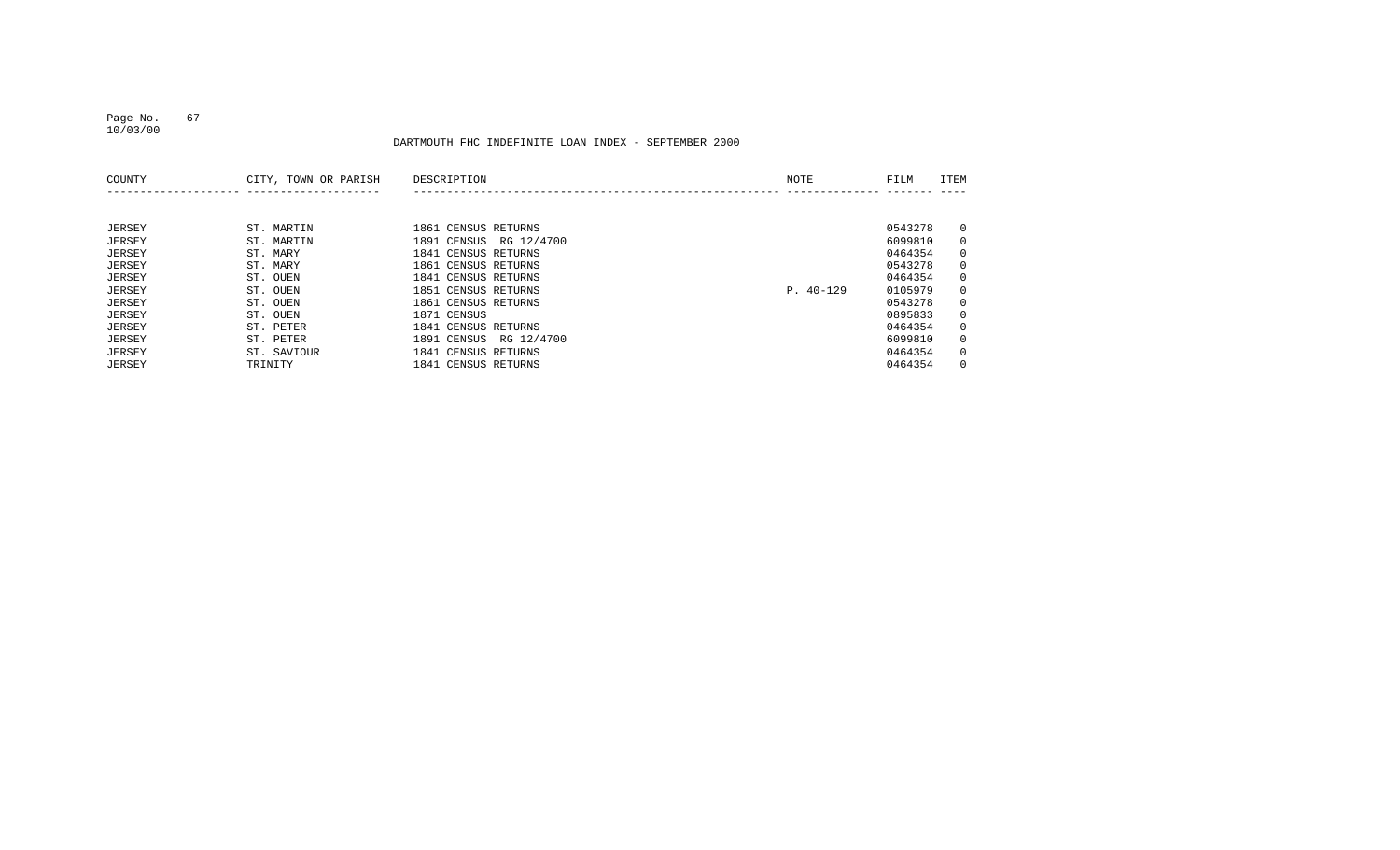### Page No. 67 10/03/00

| COUNTY | CITY, TOWN OR PARISH | DESCRIPTION               | NOTE        | FILM    | ITEM           |
|--------|----------------------|---------------------------|-------------|---------|----------------|
|        |                      |                           |             |         |                |
| JERSEY | ST. MARTIN           | 1861 CENSUS RETURNS       |             | 0543278 | $\overline{0}$ |
| JERSEY | ST. MARTIN           | RG 12/4700<br>1891 CENSUS |             | 6099810 | $\mathbf{0}$   |
| JERSEY | ST. MARY             | 1841 CENSUS RETURNS       |             | 0464354 | $\overline{0}$ |
| JERSEY | ST. MARY             | 1861 CENSUS RETURNS       |             | 0543278 | $\mathbf{0}$   |
| JERSEY | ST. OUEN             | 1841 CENSUS RETURNS       |             | 0464354 | $\overline{0}$ |
| JERSEY | ST. OUEN             | 1851 CENSUS RETURNS       | $P. 40-129$ | 0105979 | $\overline{0}$ |
| JERSEY | ST. OUEN             | 1861 CENSUS RETURNS       |             | 0543278 | $\mathbf{0}$   |
| JERSEY | ST. OUEN             | 1871 CENSUS               |             | 0895833 | $\overline{0}$ |
| JERSEY | ST. PETER            | 1841 CENSUS RETURNS       |             | 0464354 | $\mathbf{0}$   |
| JERSEY | ST. PETER            | RG 12/4700<br>1891 CENSUS |             | 6099810 | $\mathbf{0}$   |
| JERSEY | ST. SAVIOUR          | 1841 CENSUS RETURNS       |             | 0464354 | $\overline{0}$ |
| JERSEY | TRINITY              | 1841 CENSUS RETURNS       |             | 0464354 | $\Omega$       |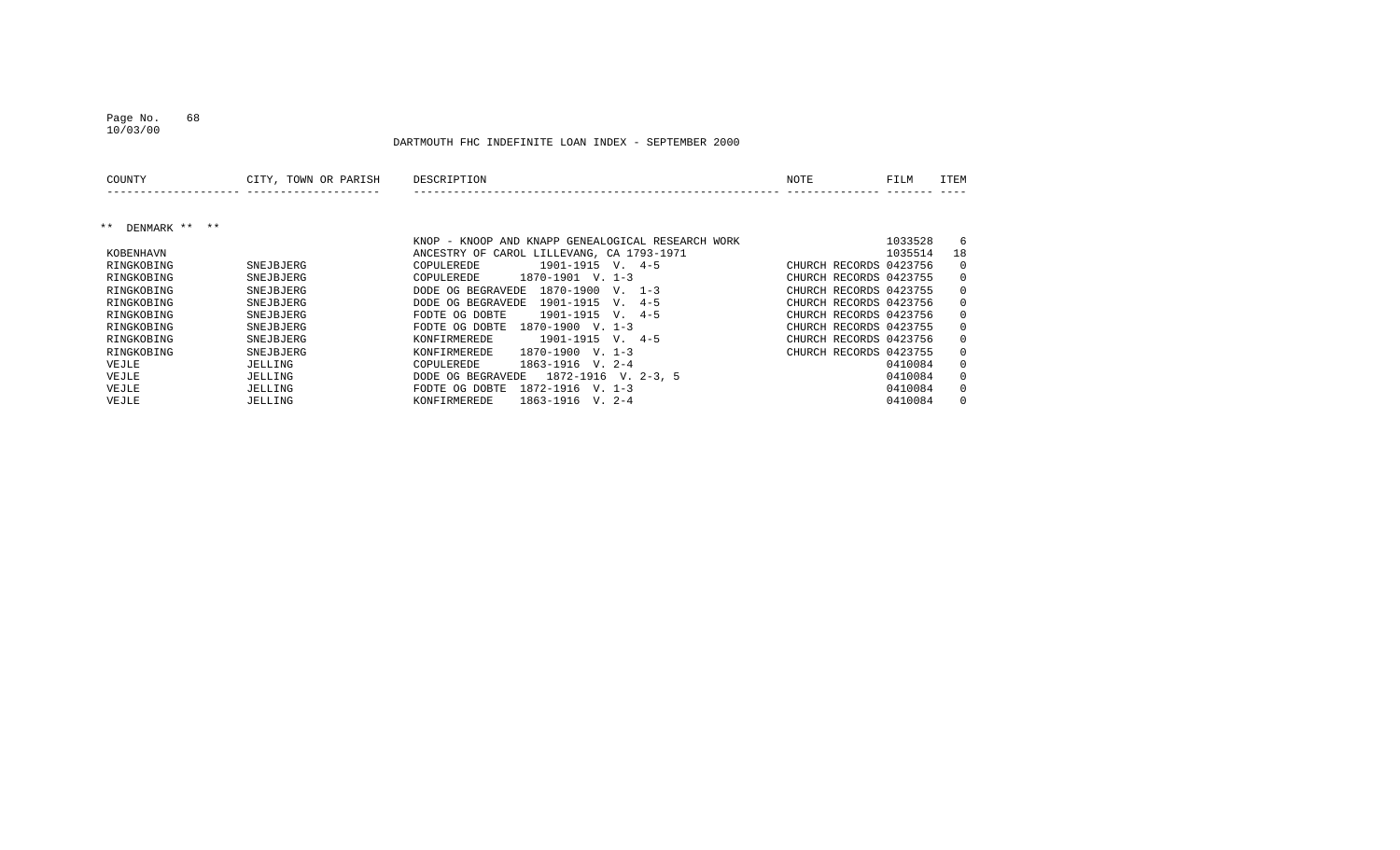#### Page No. 68 10/03/00

| COUNTY                 | CITY, TOWN OR PARISH | DESCRIPTION                                              | <b>NOTE</b>            | FILM    | ITEM         |
|------------------------|----------------------|----------------------------------------------------------|------------------------|---------|--------------|
|                        |                      |                                                          |                        |         |              |
| DENMARK ** **<br>$***$ |                      |                                                          |                        |         |              |
|                        |                      | KNOP - KNOOP AND KNAPP GENEALOGICAL RESEARCH WORK        |                        | 1033528 | 6            |
| KOBENHAVN              |                      | ANCESTRY OF CAROL LILLEVANG, CA 1793-1971                |                        | 1035514 | 18           |
| RINGKOBING             | SNEJBJERG            | $1901 - 1915$ V. $4-5$<br>COPULEREDE                     | CHURCH RECORDS 0423756 |         | $\Omega$     |
| RINGKOBING             | SNEJBJERG            | $1870 - 1901$ V. 1-3<br>COPULEREDE                       | CHURCH RECORDS 0423755 |         | $\mathbf{0}$ |
| RINGKOBING             | SNEJBJERG            | 1870-1900<br>V. 1-3<br>DODE OG BEGRAVEDE                 | CHURCH RECORDS 0423755 |         | $\Omega$     |
| RINGKOBING             | SNEJBJERG            | 1901-1915<br>$4 - 5$<br>DODE OG BEGRAVEDE<br>$V_{\cdot}$ | CHURCH RECORDS 0423756 |         | $\mathbf{0}$ |
| RINGKOBING             | SNEJBJERG            | $4 - 5$<br>1901-1915<br>FODTE OG DOBTE<br>V.             | CHURCH RECORDS 0423756 |         | $\Omega$     |
| RINGKOBING             | SNEJBJERG            | 1870-1900<br>$V. 1-3$<br>FODTE OG DOBTE                  | CHURCH RECORDS 0423755 |         | $\Omega$     |
| RINGKOBING             | SNEJBJERG            | $1901 - 1915$ V. $4-5$<br>KONFIRMEREDE                   | CHURCH RECORDS 0423756 |         | $\Omega$     |
| RINGKOBING             | SNEJBJERG            | 1870-1900<br>$V. 1-3$<br>KONFIRMEREDE                    | CHURCH RECORDS 0423755 |         | $\Omega$     |
| VEJLE                  | JELLING              | 1863-1916<br>$V. 2-4$<br>COPULEREDE                      |                        | 0410084 | $\Omega$     |
| VEJLE                  | JELLING              | 1872-1916 V. 2-3, 5<br>DODE OG BEGRAVEDE                 |                        | 0410084 | $\Omega$     |
| VEJLE                  | JELLING              | 1872-1916<br>FODTE OG DOBTE<br>$V. 1-3$                  |                        | 0410084 | $\Omega$     |
| VEJLE                  | JELLING              | 1863-1916<br>V. 2-4<br>KONFIRMEREDE                      |                        | 0410084 | $\Omega$     |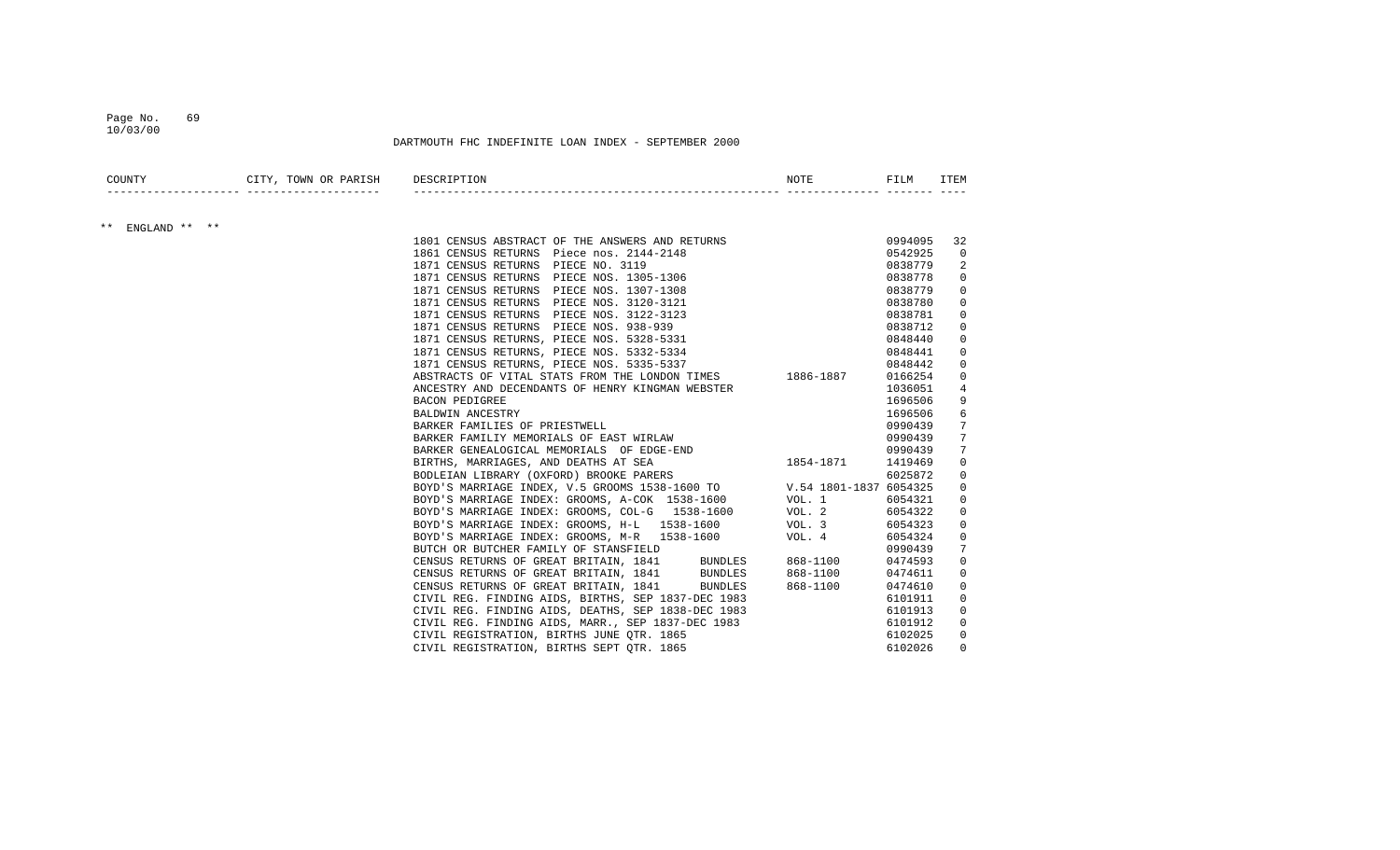#### Page No. 69 10/03/00

| COUNTY           | CITY, TOWN OR PARISH DESCRIPTION |                                                                                                                                                                                                                                               | NOTE                    | FILM    | ITEM           |
|------------------|----------------------------------|-----------------------------------------------------------------------------------------------------------------------------------------------------------------------------------------------------------------------------------------------|-------------------------|---------|----------------|
|                  |                                  |                                                                                                                                                                                                                                               |                         |         |                |
| ** ENGLAND ** ** |                                  | 1801 CENSUS ABSTRACT OF THE ANSWERS AND RETURNS 6994095                                                                                                                                                                                       |                         |         | 32             |
|                  |                                  | 1801 CENSUS ABSTRACT OF THE ANSWERS AND RETURNS<br>1861 CENSUS RETURNS Piece no. 2144-2148<br>1871 CENSUS RETURNS PIECE NO. 3119<br>1871 CENSUS RETURNS PIECE NOS. 1305-1306<br>1871 CENSUS RETURNS PIECE NOS. 1307-1308<br>1871 CENSUS RETUR |                         | 0542925 | $\Omega$       |
|                  |                                  |                                                                                                                                                                                                                                               |                         | 0838779 | 2              |
|                  |                                  |                                                                                                                                                                                                                                               |                         | 0838778 | $\mathbf 0$    |
|                  |                                  |                                                                                                                                                                                                                                               |                         | 0838779 | $\mathbf 0$    |
|                  |                                  |                                                                                                                                                                                                                                               |                         | 0838780 | $\mathbf 0$    |
|                  |                                  |                                                                                                                                                                                                                                               |                         | 0838781 | $\Omega$       |
|                  |                                  |                                                                                                                                                                                                                                               |                         | 0838712 | $\mathbf 0$    |
|                  |                                  |                                                                                                                                                                                                                                               |                         | 0848440 | 0              |
|                  |                                  | 1871 CENSUS RETURNS, PIECE NOS. 5332-5334                                                                                                                                                                                                     |                         | 0848441 | $\Omega$       |
|                  |                                  | 1871 CENSUS RETURNS, PIECE NOS. 5335-5337                                                                                                                                                                                                     |                         | 0848442 | $\Omega$       |
|                  |                                  | ABSTRACTS OF VITAL STATS FROM THE LONDON TIMES $1886-1887$ 0166254                                                                                                                                                                            |                         |         | 0              |
|                  |                                  | ANCESTRY AND DECENDANTS OF HENRY KINGMAN WEBSTER                                                                                                                                                                                              |                         | 1036051 | $\overline{4}$ |
|                  |                                  | BACON PEDIGREE                                                                                                                                                                                                                                |                         | 1696506 | 9              |
|                  |                                  |                                                                                                                                                                                                                                               |                         | 1696506 | 6              |
|                  |                                  | BARKER FAMILIES OF PRIESTWELL<br>BARKER FAMILIY MEMORIALS OF EAST WIRLAW<br>BARKER GENEALOGICAL MEMORIALS OF EDGE-END<br>BIRTHS. MARRIAGES AND DEATHO AT ORA                                                                                  |                         | 0990439 | 7              |
|                  |                                  |                                                                                                                                                                                                                                               |                         | 0990439 | 7              |
|                  |                                  |                                                                                                                                                                                                                                               |                         | 0990439 | 7              |
|                  |                                  | BIRTHS, MARRIAGES, AND DEATHS AT SEA                                                                                                                                                                                                          | $1854 - 1871$ $1419469$ |         | $\mathbf 0$    |
|                  |                                  |                                                                                                                                                                                                                                               |                         |         | $\mathbf 0$    |
|                  |                                  |                                                                                                                                                                                                                                               |                         |         | $\mathbf 0$    |
|                  |                                  |                                                                                                                                                                                                                                               |                         |         | $\Omega$       |
|                  |                                  | BOYD'S MARRIAGE INDEX: GROOMS, COL-G 1538-1600 VOL. 2 6054322                                                                                                                                                                                 |                         |         | 0              |
|                  |                                  | BOYD'S MARRIAGE INDEX: GROOMS, H-L 1538-1600 VOL. 3                                                                                                                                                                                           |                         | 6054323 | 0              |
|                  |                                  | BOYD'S MARRIAGE INDEX: GROOMS, M-R 1538-1600 VOL. 4                                                                                                                                                                                           |                         | 6054324 | $\Omega$       |
|                  |                                  | BUTCH OR BUTCHER FAMILY OF STANSFIELD                                                                                                                                                                                                         |                         | 0990439 | 7              |
|                  |                                  |                                                                                                                                                                                                                                               |                         | 0474593 | $\mathbf 0$    |
|                  |                                  |                                                                                                                                                                                                                                               |                         | 0474611 | 0              |
|                  |                                  |                                                                                                                                                                                                                                               |                         | 0474610 | $\mathbf 0$    |
|                  |                                  | CENSUS RETURNS OF GREAT BRITAIN, 1841 BUNDLES 868-1100<br>CENSUS RETURNS OF GREAT BRITAIN, 1841 BUNDLES 868-1100<br>CENSUS RETURNS OF GREAT BRITAIN, 1841 BUNDLES 868-1100<br>CIVIL REG. FINDING AIDS, BIRTHS, SEP 1837-DEC 1983              |                         | 6101911 | 0              |
|                  |                                  | CIVIL REG. FINDING AIDS, DEATHS, SEP 1838-DEC 1983                                                                                                                                                                                            |                         | 6101913 | 0              |
|                  |                                  | CIVIL REG. FINDING AIDS, MARR., SEP 1837-DEC 1983                                                                                                                                                                                             |                         |         | $\mathbf 0$    |
|                  |                                  | CIVIL REGISTRATION, BIRTHS JUNE OTR. 1865                                                                                                                                                                                                     |                         | 6101912 | $\Omega$       |
|                  |                                  | CIVIL REGISTRATION, BIRTHS SEPT OTR. 1865                                                                                                                                                                                                     |                         | 6102025 | $\Omega$       |
|                  |                                  |                                                                                                                                                                                                                                               |                         | 6102026 |                |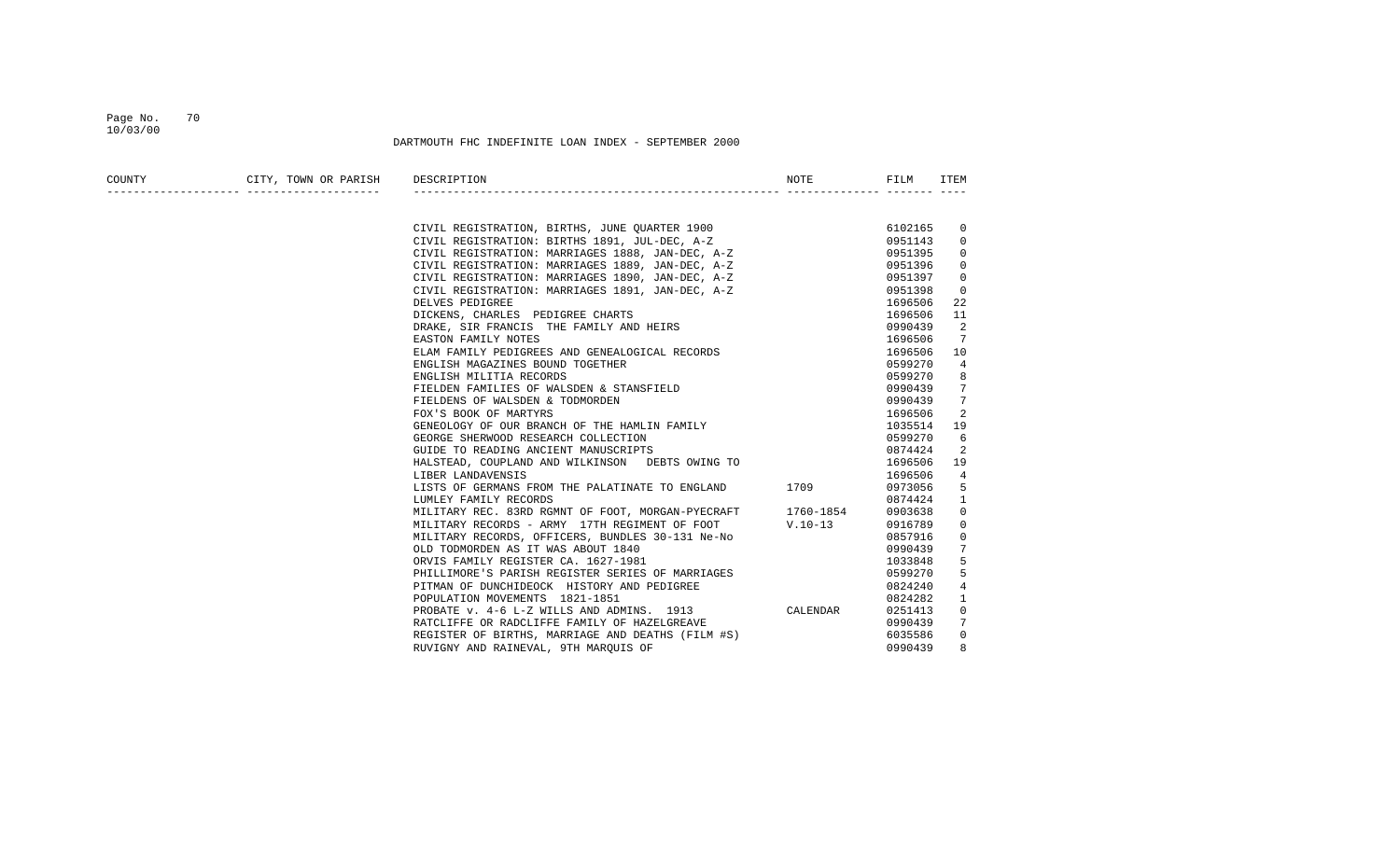#### Page No. 70 10/03/00

| COUNTY | CITY, TOWN OR PARISH DESCRIPTION |                                                                                                                                                    | NOTE | FILM    | ITEM           |
|--------|----------------------------------|----------------------------------------------------------------------------------------------------------------------------------------------------|------|---------|----------------|
|        |                                  |                                                                                                                                                    |      |         |                |
|        |                                  | CIVIL REGISTRATION, BIRTHS, JUNE QUARTER 1900<br>CIVIL REGISTRATION: BIRTHS 1891, JUL-DEC, A-Z<br>CIVIL REGISTRATION: MARRIAGES 1888, JAN-DEC, A-Z |      | 6102165 | 0              |
|        |                                  |                                                                                                                                                    |      | 0951143 | $\Omega$       |
|        |                                  |                                                                                                                                                    |      | 0951395 | $\Omega$       |
|        |                                  | CIVIL REGISTRATION: MARRIAGES 1889, JAN-DEC, A-Z                                                                                                   |      | 0951396 | $\Omega$       |
|        |                                  | CIVIL REGISTRATION: MARRIAGES 1890, JAN-DEC, A-Z                                                                                                   |      | 0951397 | 0              |
|        |                                  | CIVIL REGISTRATION: MARRIAGES 1891, JAN-DEC, A-Z                                                                                                   |      | 0951398 | $\Omega$       |
|        |                                  | DELVES PEDIGREE                                                                                                                                    |      | 1696506 | 22             |
|        |                                  | DICKENS, CHARLES PEDIGREE CHARTS                                                                                                                   |      | 1696506 | 11             |
|        |                                  | DRAKE, SIR FRANCIS THE FAMILY AND HEIRS                                                                                                            |      | 0990439 | 2              |
|        |                                  | EASTON FAMILY NOTES                                                                                                                                |      | 1696506 | 7              |
|        |                                  | ELAM FAMILY PEDIGREES AND GENEALOGICAL RECORDS                                                                                                     |      | 1696506 | 10             |
|        |                                  | ENGLISH MAGAZINES BOUND TOGETHER                                                                                                                   |      | 0599270 | 4              |
|        |                                  | ENGLISH MILITIA RECORDS                                                                                                                            |      | 0599270 | 8              |
|        |                                  | FIELDEN FAMILIES OF WALSDEN & STANSFIELD                                                                                                           |      | 0990439 | 7              |
|        |                                  | FIELDENS OF WALSDEN & TODMORDEN                                                                                                                    |      | 0990439 | 7              |
|        |                                  | FOX'S BOOK OF MARTYRS                                                                                                                              |      | 1696506 | 2              |
|        |                                  | GENEOLOGY OF OUR BRANCH OF THE HAMLIN FAMILY                                                                                                       |      | 1035514 | 19             |
|        |                                  | GEORGE SHERWOOD RESEARCH COLLECTION                                                                                                                |      | 0599270 | 6              |
|        |                                  | GUIDE TO READING ANCIENT MANUSCRIPTS                                                                                                               |      | 0874424 | 2              |
|        |                                  | HALSTEAD, COUPLAND AND WILKINSON DEBTS OWING TO                                                                                                    |      | 1696506 | 19             |
|        |                                  | LIBER LANDAVENSIS                                                                                                                                  |      | 1696506 | $\overline{4}$ |
|        |                                  | LISTS OF GERMANS FROM THE PALATINATE TO ENGLAND 1709                                                                                               |      | 0973056 | 5              |
|        |                                  | LUMLEY FAMILY RECORDS                                                                                                                              |      | 0874424 | 1              |
|        |                                  | MILITARY REC. 83RD RGMNT OF FOOT, MORGAN-PYECRAFT 1760-1854                                                                                        |      | 0903638 | $\Omega$       |
|        |                                  | MILITARY RECORDS - ARMY 17TH REGIMENT OF FOOT V.10-13                                                                                              |      | 0916789 | $\Omega$       |
|        |                                  | MILITARY RECORDS, OFFICERS, BUNDLES 30-131 Ne-No                                                                                                   |      | 0857916 | $\Omega$       |
|        |                                  | OLD TODMORDEN AS IT WAS ABOUT 1840                                                                                                                 |      | 0990439 |                |
|        |                                  | ORVIS FAMILY REGISTER CA. 1627-1981                                                                                                                |      | 1033848 | 5              |
|        |                                  | PHILLIMORE'S PARISH REGISTER SERIES OF MARRIAGES                                                                                                   |      | 0599270 | 5              |
|        |                                  | PITMAN OF DUNCHIDEOCK HISTORY AND PEDIGREE                                                                                                         |      | 0824240 | 4              |
|        |                                  | POPULATION MOVEMENTS 1821-1851                                                                                                                     |      | 0824282 | 1              |
|        |                                  | PROBATE $v$ . 4-6 L-Z WILLS AND ADMINS. 1913 CALENDAR                                                                                              |      | 0251413 | $\Omega$       |
|        |                                  | RATCLIFFE OR RADCLIFFE FAMILY OF HAZELGREAVE                                                                                                       |      | 0990439 | 7              |
|        |                                  | REGISTER OF BIRTHS, MARRIAGE AND DEATHS (FILM #S)                                                                                                  |      | 6035586 | $\Omega$       |
|        |                                  | RUVIGNY AND RAINEVAL, 9TH MAROUIS OF                                                                                                               |      | 0990439 | 8              |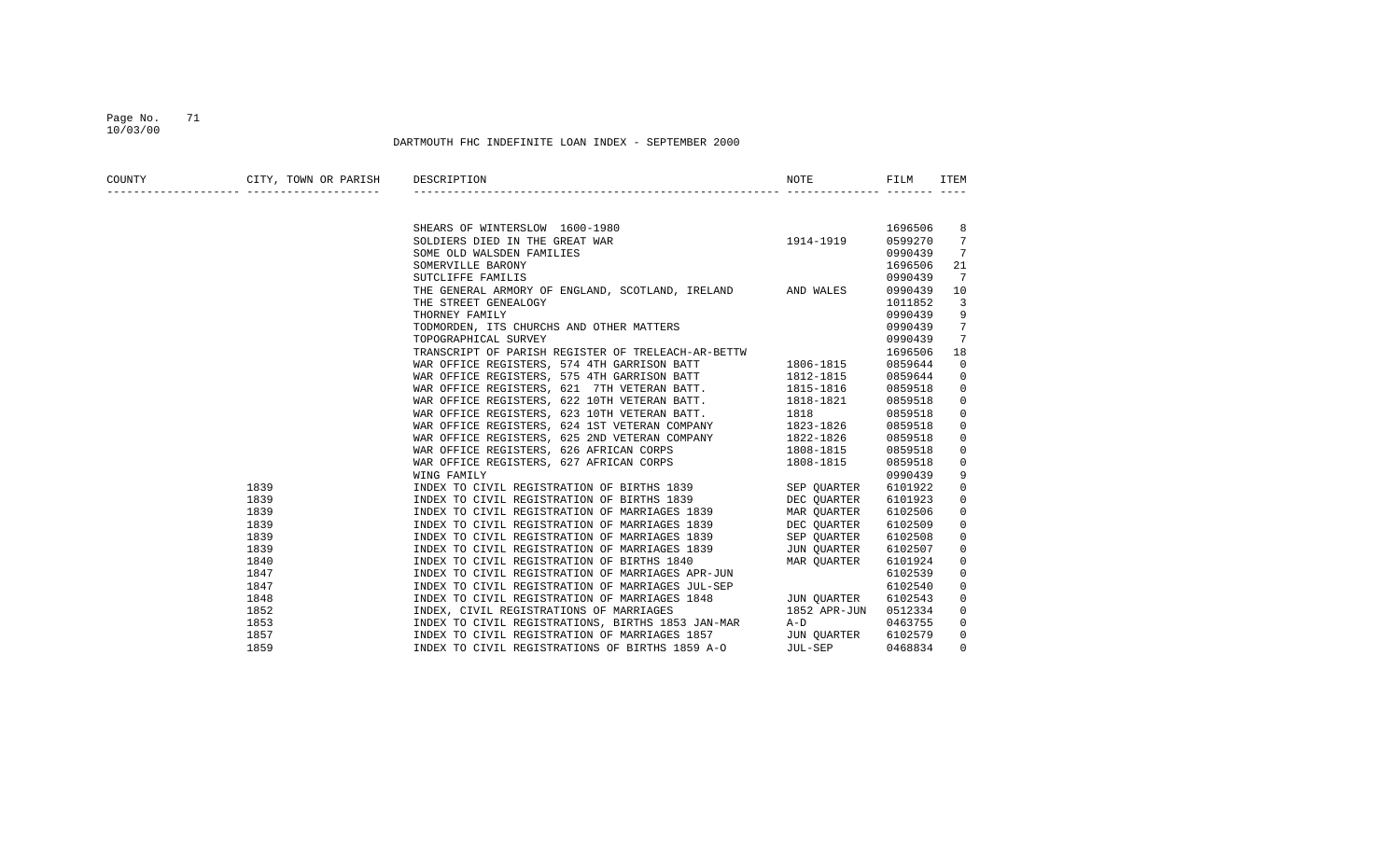#### Page No. 71 10/03/00

| COUNTY | CITY, TOWN OR PARISH DESCRIPTION |                                                                                                                                                                                                                                      | NOTE <b>NOTE</b> | FILM    | ITEM           |
|--------|----------------------------------|--------------------------------------------------------------------------------------------------------------------------------------------------------------------------------------------------------------------------------------|------------------|---------|----------------|
|        |                                  |                                                                                                                                                                                                                                      |                  |         |                |
|        |                                  |                                                                                                                                                                                                                                      |                  | 1696506 | 8              |
|        |                                  | SHEARS OF WINTERSLOW 1600-1980<br>SOLDIERS DIED IN THE GREAT WAR 1914-1919                                                                                                                                                           |                  | 0599270 | 7              |
|        |                                  | SOME OLD WALSDEN FAMILIES                                                                                                                                                                                                            |                  | 0990439 | 7              |
|        |                                  | SOMERVILLE BARONY                                                                                                                                                                                                                    |                  | 1696506 | 21             |
|        |                                  | SUTCLIFFE FAMILIS                                                                                                                                                                                                                    |                  | 0990439 | 7              |
|        |                                  | THE GENERAL ARMORY OF ENGLAND, SCOTLAND, IRELAND AND WALES                                                                                                                                                                           |                  | 0990439 | 10             |
|        |                                  | THE STREET GENEALOGY                                                                                                                                                                                                                 |                  | 1011852 | 3              |
|        |                                  | THORNEY FAMILY                                                                                                                                                                                                                       |                  | 0990439 | 9              |
|        |                                  | TODMORDEN, ITS CHURCHS AND OTHER MATTERS                                                                                                                                                                                             |                  | 0990439 | 7              |
|        |                                  | TOPOGRAPHICAL SURVEY                                                                                                                                                                                                                 |                  | 0990439 | 7              |
|        |                                  |                                                                                                                                                                                                                                      |                  | 1696506 | 18             |
|        |                                  | TRANSCRIPT OF PARISH REGISTER OF TRELEACH-AR-BETTW<br>WAR OFFICE REGISTERS, 574 4TH GARRISON BATT 1806-1815<br>WAR OFFICE REGISTERS, 575 4TH GARRISON BATT 1812-1815                                                                 |                  | 0859644 | 0              |
|        |                                  |                                                                                                                                                                                                                                      |                  | 0859644 | 0              |
|        |                                  | WAR OFFICE REGISTERS, 621 7TH VETERAN BATT. 1815-1816                                                                                                                                                                                |                  | 0859518 | $\overline{0}$ |
|        |                                  | WAR OFFICE REGISTERS, 622 10TH VETERAN BATT. 1818-1821                                                                                                                                                                               |                  | 0859518 | $\mathbf{0}$   |
|        |                                  | WAR OFFICE REGISTERS, 623 10TH VETERAN BATT. 1818                                                                                                                                                                                    |                  | 0859518 | $\mathbf 0$    |
|        |                                  | WAR OFFICE REGISTERS, 624 1ST VETERAN COMPANY 1823-1826                                                                                                                                                                              |                  | 0859518 | 0              |
|        |                                  | WAR OFFICE REGISTERS, 625 2ND VETERAN COMPANY 1822-1826                                                                                                                                                                              |                  | 0859518 | 0              |
|        |                                  |                                                                                                                                                                                                                                      | 1808-1815        | 0859518 | 0              |
|        |                                  |                                                                                                                                                                                                                                      |                  | 0859518 | $\mathbf 0$    |
|        |                                  | WING FAMILY                                                                                                                                                                                                                          |                  | 0990439 | 9              |
|        | 1839                             | INDEX TO CIVIL REGISTRATION OF BIRTHS 1839 SEP QUARTER                                                                                                                                                                               |                  | 6101922 | $\mathbf{0}$   |
|        | 1839                             | INDEX TO CIVIL REGISTRATION OF BIRTHS 1839 DEC OUARTER                                                                                                                                                                               |                  | 6101923 | 0              |
|        | 1839                             | INDEX TO CIVIL REGISTRATION OF MARRIAGES 1839 MAR OUARTER                                                                                                                                                                            |                  | 6102506 | $\mathbf 0$    |
|        | 1839                             | INDEX TO CIVIL REGISTRATION OF MARRIAGES 1839 DEC QUARTER                                                                                                                                                                            |                  | 6102509 | $\mathbf{0}$   |
|        | 1839                             | INDEX TO CIVIL REGISTRATION OF MARRIAGES 1839 SEP QUARTER                                                                                                                                                                            |                  | 6102508 | 0              |
|        | 1839                             | INDEX TO CIVIL REGISTRATION OF MARRIAGES 1839 JUN QUARTER<br>INDEX TO CIVIL REGISTRATION OF BIRTHS 1840 MAR QUARTER<br>INDEVITO GIVIL REGISTRATION OF MARTERS ARE TIME OF THE START OF THE START OF THE START OF THE START OF THE ST |                  | 6102507 | 0              |
|        | 1840                             | INDEX TO CIVIL REGISTRATION OF BIRTHS 1840<br>INDEX TO CIVIL REGISTRATION OF MARRIAGES APR-JUN                                                                                                                                       |                  | 6101924 | 0              |
|        | 1847                             |                                                                                                                                                                                                                                      |                  | 6102539 | $\Omega$       |
|        | 1847                             | INDEX TO CIVIL REGISTRATION OF MARRIAGES JUL-SEP                                                                                                                                                                                     |                  | 6102540 | $\mathbf{0}$   |
|        | 1848                             | INDEX TO CIVIL REGISTRATION OF MARRIAGES 1848 JUN QUARTER                                                                                                                                                                            |                  | 6102543 | $\mathbf{0}$   |
|        | 1852                             | INDEX, CIVIL REGISTRATIONS OF MARRIAGES                                                                                                                                                                                              | 1852 APR-JUN     | 0512334 | 0              |
|        | 1853                             | INDEX TO CIVIL REGISTRATIONS, BIRTHS 1853 JAN-MAR A-D                                                                                                                                                                                |                  | 0463755 | $\mathbf{0}$   |
|        | 1857                             |                                                                                                                                                                                                                                      |                  | 6102579 | $\mathbf{0}$   |
|        | 1859                             | INDEX TO CIVIL REGISTRATION OF MARRIAGES 1857 JUN QUARTER<br>INDEX TO CIVIL REGISTRATIONS OF BIRTHS 1859 A-O JUL-SEP                                                                                                                 |                  | 0468834 | $\mathbf{0}$   |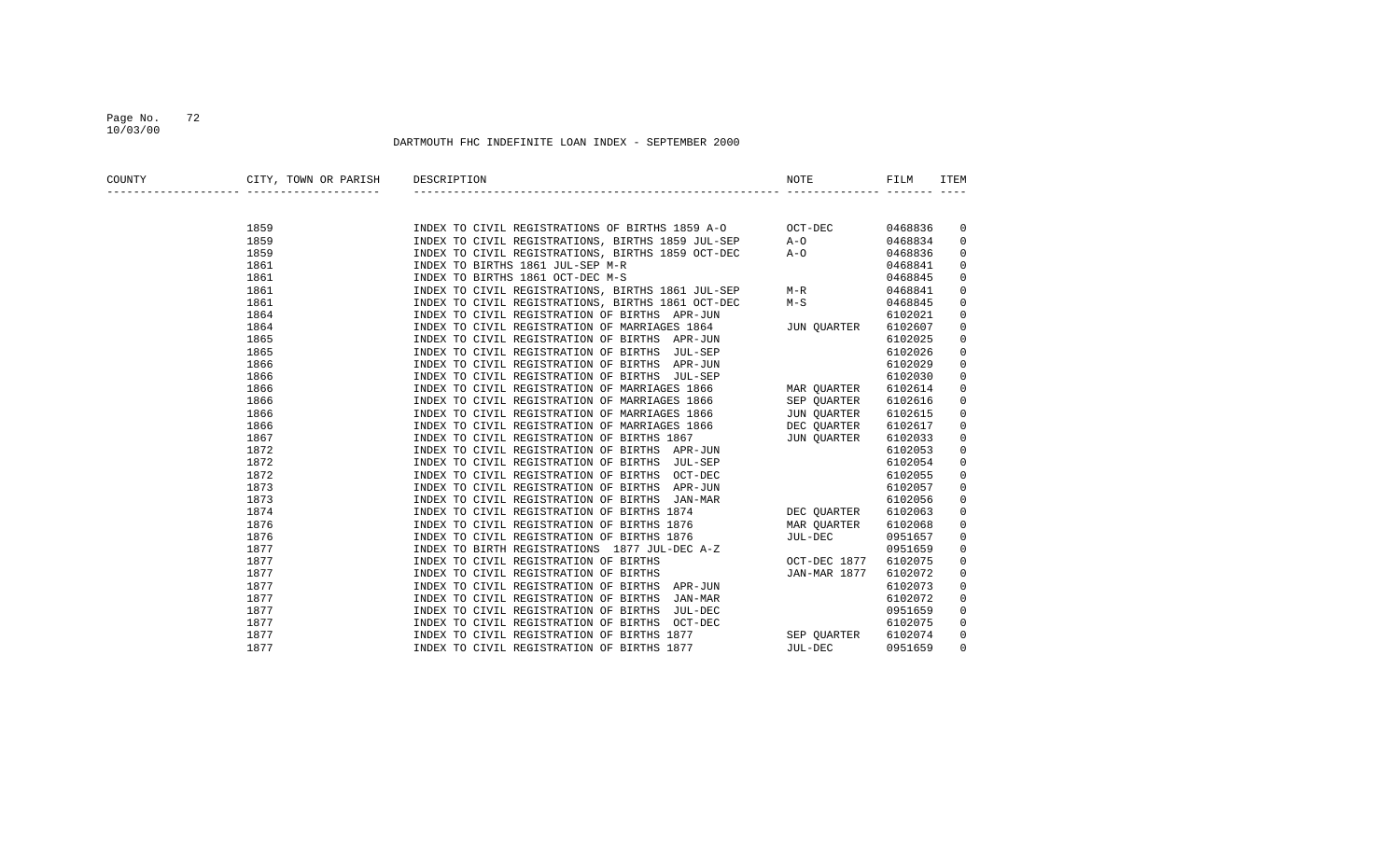## Page No. 72 10/03/00

| COUNTY | CITY, TOWN OR PARISH<br>________ _____________________ | DESCRIPTION                                                     | NOTE         | FILM    | <b>ITEM</b> |
|--------|--------------------------------------------------------|-----------------------------------------------------------------|--------------|---------|-------------|
|        |                                                        |                                                                 |              |         |             |
|        | 1859                                                   | INDEX TO CIVIL REGISTRATIONS OF BIRTHS 1859 A-O OCT-DEC 0468836 |              |         | 0           |
|        | 1859                                                   | INDEX TO CIVIL REGISTRATIONS, BIRTHS 1859 JUL-SEP A-O           |              | 0468834 | 0           |
|        | 1859                                                   | INDEX TO CIVIL REGISTRATIONS, BIRTHS 1859 OCT-DEC               | $A-O$        | 0468836 | 0           |
|        | 1861                                                   | INDEX TO BIRTHS 1861 JUL-SEP M-R                                |              | 0468841 | 0           |
|        | 1861                                                   | INDEX TO BIRTHS 1861 OCT-DEC M-S                                |              | 0468845 | 0           |
|        | 1861                                                   | INDEX TO CIVIL REGISTRATIONS, BIRTHS 1861 JUL-SEP M-R           |              | 0468841 | 0           |
|        | 1861                                                   | INDEX TO CIVIL REGISTRATIONS, BIRTHS 1861 OCT-DEC               | $M-S$        | 0468845 | 0           |
|        | 1864                                                   | INDEX TO CIVIL REGISTRATION OF BIRTHS APR-JUN                   |              | 6102021 | 0           |
|        | 1864                                                   | INDEX TO CIVIL REGISTRATION OF MARRIAGES 1864                   | JUN OUARTER  | 6102607 | 0           |
|        | 1865                                                   | INDEX TO CIVIL REGISTRATION OF BIRTHS APR-JUN                   |              | 6102025 | 0           |
|        | 1865                                                   | INDEX TO CIVIL REGISTRATION OF BIRTHS JUL-SEP                   |              | 6102026 | 0           |
|        | 1866                                                   | INDEX TO CIVIL REGISTRATION OF BIRTHS APR-JUN                   |              | 6102029 | 0           |
|        | 1866                                                   | INDEX TO CIVIL REGISTRATION OF BIRTHS JUL-SEP                   |              | 6102030 | 0           |
|        | 1866                                                   | INDEX TO CIVIL REGISTRATION OF MARRIAGES 1866 MAR QUARTER       |              | 6102614 | 0           |
|        | 1866                                                   | INDEX TO CIVIL REGISTRATION OF MARRIAGES 1866                   | SEP OUARTER  | 6102616 | 0           |
|        | 1866                                                   | INDEX TO CIVIL REGISTRATION OF MARRIAGES 1866                   | JUN QUARTER  | 6102615 | 0           |
|        | 1866                                                   | INDEX TO CIVIL REGISTRATION OF MARRIAGES 1866                   | DEC OUARTER  | 6102617 | 0           |
|        | 1867                                                   | INDEX TO CIVIL REGISTRATION OF BIRTHS 1867                      | JUN OUARTER  | 6102033 | 0           |
|        | 1872                                                   | INDEX TO CIVIL REGISTRATION OF BIRTHS APR-JUN                   |              | 6102053 | 0           |
|        | 1872                                                   | INDEX TO CIVIL REGISTRATION OF BIRTHS JUL-SEP                   |              | 6102054 | 0           |
|        | 1872                                                   | INDEX TO CIVIL REGISTRATION OF BIRTHS OCT-DEC                   |              | 6102055 | 0           |
|        | 1873                                                   | INDEX TO CIVIL REGISTRATION OF BIRTHS APR-JUN                   |              | 6102057 | 0           |
|        | 1873                                                   | INDEX TO CIVIL REGISTRATION OF BIRTHS JAN-MAR                   |              | 6102056 | 0           |
|        | 1874                                                   | INDEX TO CIVIL REGISTRATION OF BIRTHS 1874                      | DEC OUARTER  | 6102063 | 0           |
|        | 1876                                                   | INDEX TO CIVIL REGISTRATION OF BIRTHS 1876                      | MAR QUARTER  | 6102068 | 0           |
|        | 1876                                                   | INDEX TO CIVIL REGISTRATION OF BIRTHS 1876                      | JUL-DEC      | 0951657 | 0           |
|        | 1877                                                   | INDEX TO BIRTH REGISTRATIONS 1877 JUL-DEC A-Z                   |              | 0951659 | 0           |
|        | 1877                                                   | INDEX TO CIVIL REGISTRATION OF BIRTHS                           | OCT-DEC 1877 | 6102075 | 0           |
|        | 1877                                                   | INDEX TO CIVIL REGISTRATION OF BIRTHS                           | JAN-MAR 1877 | 6102072 | 0           |
|        | 1877                                                   | INDEX TO CIVIL REGISTRATION OF BIRTHS APR-JUN                   |              | 6102073 | 0           |
|        | 1877                                                   | INDEX TO CIVIL REGISTRATION OF BIRTHS JAN-MAR                   |              | 6102072 | 0           |
|        | 1877                                                   | INDEX TO CIVIL REGISTRATION OF BIRTHS JUL-DEC                   |              | 0951659 | 0           |
|        | 1877                                                   | INDEX TO CIVIL REGISTRATION OF BIRTHS OCT-DEC                   |              | 6102075 | 0           |
|        | 1877                                                   | INDEX TO CIVIL REGISTRATION OF BIRTHS 1877                      | SEP OUARTER  | 6102074 | 0           |
|        | 1877                                                   | INDEX TO CIVIL REGISTRATION OF BIRTHS 1877                      | JUL-DEC      | 0951659 | $\Omega$    |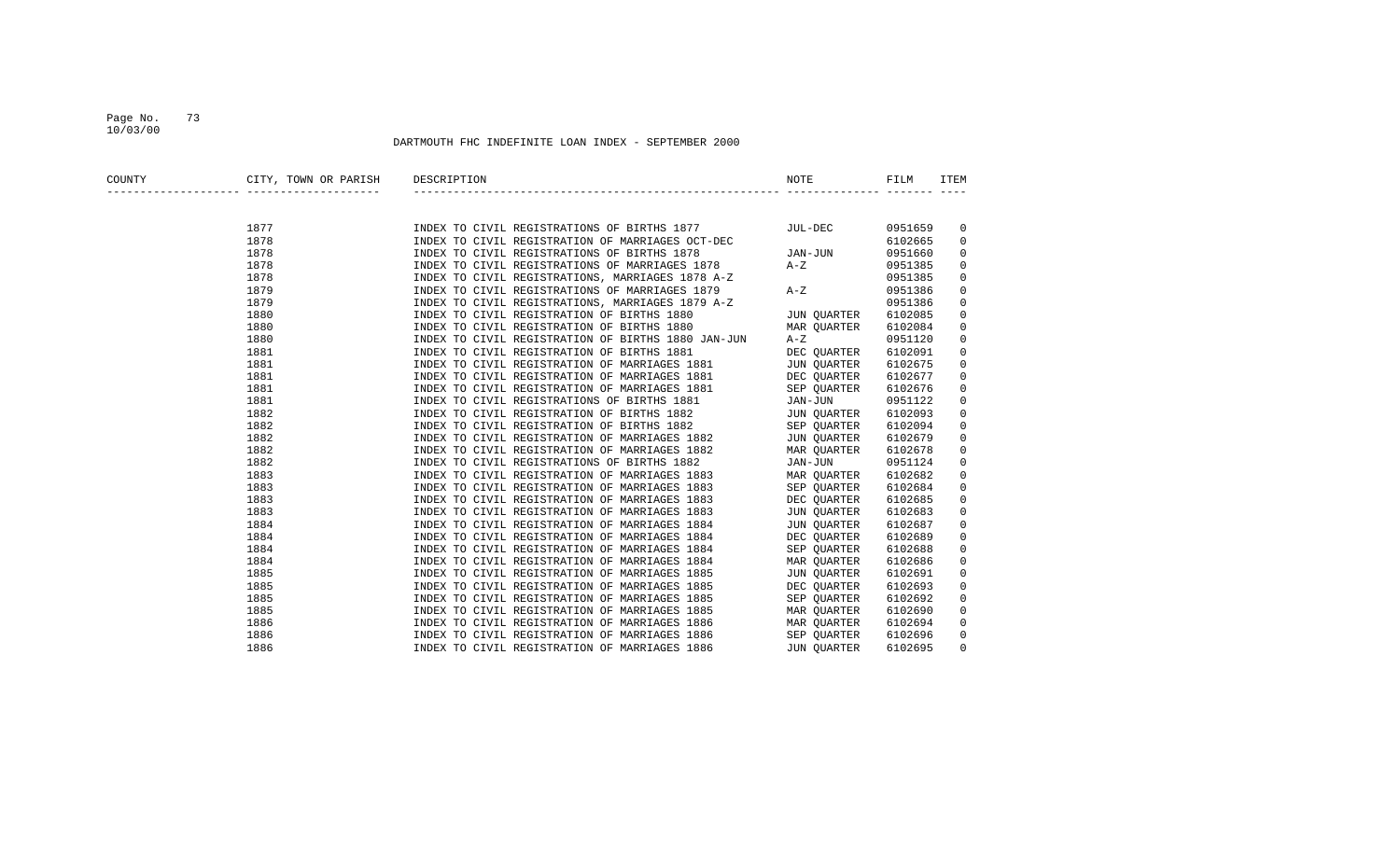### Page No. 73 10/03/00

| COUNTY | CITY, TOWN OR PARISH | DESCRIPTION                                                                                                                                                                                                                                | NOTE                 | FILM    | ITEM        |
|--------|----------------------|--------------------------------------------------------------------------------------------------------------------------------------------------------------------------------------------------------------------------------------------|----------------------|---------|-------------|
|        |                      |                                                                                                                                                                                                                                            |                      |         |             |
|        | 1877                 | INDEX TO CIVIL REGISTRATIONS OF BIRTHS 1877 JUL-DEC                                                                                                                                                                                        |                      | 0951659 | 0           |
|        | 1878                 | INDEX TO CIVIL REGISTRATION OF MARRIAGES OCT-DEC<br>INDEX TO CIVIL REGISTRATIONS OF BIRTHS 1878                                                                                                                                            |                      | 6102665 | 0           |
|        | 1878                 |                                                                                                                                                                                                                                            | JAN-JUN              | 0951660 | 0           |
|        | 1878                 | INDEX TO CIVIL REGISTRATIONS OF MARRIAGES 1878 A-Z                                                                                                                                                                                         |                      | 0951385 | 0           |
|        | 1878                 | INDEX TO CIVIL REGISTRATIONS, MARRIAGES 1878 A-Z                                                                                                                                                                                           |                      | 0951385 | 0           |
|        | 1879                 | INDEX TO CIVIL REGISTRATIONS OF MARRIAGES 1879                                                                                                                                                                                             | $A-Z$                | 0951386 | 0           |
|        | 1879                 | INDEX TO CIVIL REGISTRATIONS, MARRIAGES 1879 A-Z                                                                                                                                                                                           |                      | 0951386 | 0           |
|        | 1880                 | INDEX TO CIVIL REGISTRATION OF BIRTHS 1880                                                                                                                                                                                                 | ) A-Z<br>JUN QUARTER | 6102085 | 0           |
|        | 1880                 | INDEX TO CIVIL REGISTRATION OF BIRTHS 1880                                                                                                                                                                                                 | MAR QUARTER          | 6102084 | $\mathsf 0$ |
|        | 1880                 | INDEX TO CIVIL REGISTRATION OF BIRTHS 1880 JAN-JUN                                                                                                                                                                                         | $A-Z$                | 0951120 | 0           |
|        | 1881                 | INDEX TO CIVIL REGISTRATION OF BIRTHS 1881                                                                                                                                                                                                 | DEC QUARTER          | 6102091 | 0           |
|        | 1881                 |                                                                                                                                                                                                                                            |                      | 6102675 | 0           |
|        | 1881                 |                                                                                                                                                                                                                                            |                      | 6102677 | 0           |
|        | 1881                 |                                                                                                                                                                                                                                            |                      | 6102676 | 0           |
|        | 1881                 |                                                                                                                                                                                                                                            |                      | 0951122 | 0           |
|        | 1882                 | INDEX TO CIVIL REGISTRATION OF MARRIAGES 1881 UNDEX TO CIVIL REGISTRATION OF MARRIAGES 1881 DEC QUARTER<br>INDEX TO CIVIL REGISTRATION OF MARRIAGES 1881 SEP QUARTER<br>INDEX TO CIVIL REGISTRATIONS OF BIRTHS 1881 JAN-JUN<br>INDEX TO    |                      | 6102093 | 0           |
|        | 1882                 | INDEX TO CIVIL REGISTRATION OF BIRTHS 1882                                                                                                                                                                                                 | SEP OUARTER          | 6102094 | 0           |
|        | 1882                 | INDEX TO CIVIL REGISTRATION OF MARRIAGES 1882                                                                                                                                                                                              | JUN OUARTER          | 6102679 | 0           |
|        | 1882                 | INDEX TO CIVIL REGISTRATION OF MARRIAGES 1882                                                                                                                                                                                              | MAR OUARTER          | 6102678 | 0           |
|        | 1882                 | INDEX TO CIVIL REGISTRATIONS OF BIRTHS 1882                                                                                                                                                                                                | JAN-JUN              | 0951124 | 0           |
|        | 1883                 |                                                                                                                                                                                                                                            | MAR OUARTER          | 6102682 | 0           |
|        | 1883                 | INDEX TO CIVIL REGISTRATION OF MARRIAGES 1883<br>INDEX TO CIVIL REGISTRATION OF MARRIAGES 1883<br>INDEX TO CIVIL REGISTRATION OF MARRIAGES 1883<br>INDEX TO CIVIL REGISTRATION OF MARRIAGES 1883<br>INDEX TO CIVIL REGISTRATION OF MARRIAG | SEP QUARTER          | 6102684 | 0           |
|        | 1883                 |                                                                                                                                                                                                                                            | DEC OUARTER          | 6102685 | 0           |
|        | 1883                 |                                                                                                                                                                                                                                            | JUN OUARTER          | 6102683 | 0           |
|        | 1884                 |                                                                                                                                                                                                                                            | JUN QUARTER          | 6102687 | 0           |
|        | 1884                 |                                                                                                                                                                                                                                            | DEC QUARTER          | 6102689 | 0           |
|        | 1884                 |                                                                                                                                                                                                                                            | SEP QUARTER          | 6102688 | $\mathbf 0$ |
|        | 1884                 |                                                                                                                                                                                                                                            | MAR QUARTER          | 6102686 | 0           |
|        | 1885                 | INDEX TO CIVIL REGISTRATION OF MARRIAGES 1885                                                                                                                                                                                              | JUN QUARTER          | 6102691 | 0           |
|        | 1885                 | INDEX TO CIVIL REGISTRATION OF MARRIAGES 1885                                                                                                                                                                                              | DEC OUARTER          | 6102693 | 0           |
|        | 1885                 | INDEX TO CIVIL REGISTRATION OF MARRIAGES 1885                                                                                                                                                                                              | SEP QUARTER          | 6102692 | 0           |
|        | 1885                 | INDEX TO CIVIL REGISTRATION OF MARRIAGES 1885                                                                                                                                                                                              | MAR QUARTER          | 6102690 | 0           |
|        | 1886                 | INDEX TO CIVIL REGISTRATION OF MARRIAGES 1886                                                                                                                                                                                              | MAR QUARTER          | 6102694 | 0           |
|        | 1886                 | INDEX TO CIVIL REGISTRATION OF MARRIAGES 1886                                                                                                                                                                                              | SEP OUARTER          | 6102696 | 0           |
|        | 1886                 | INDEX TO CIVIL REGISTRATION OF MARRIAGES 1886                                                                                                                                                                                              | JUN OUARTER          | 6102695 | $\mathbf 0$ |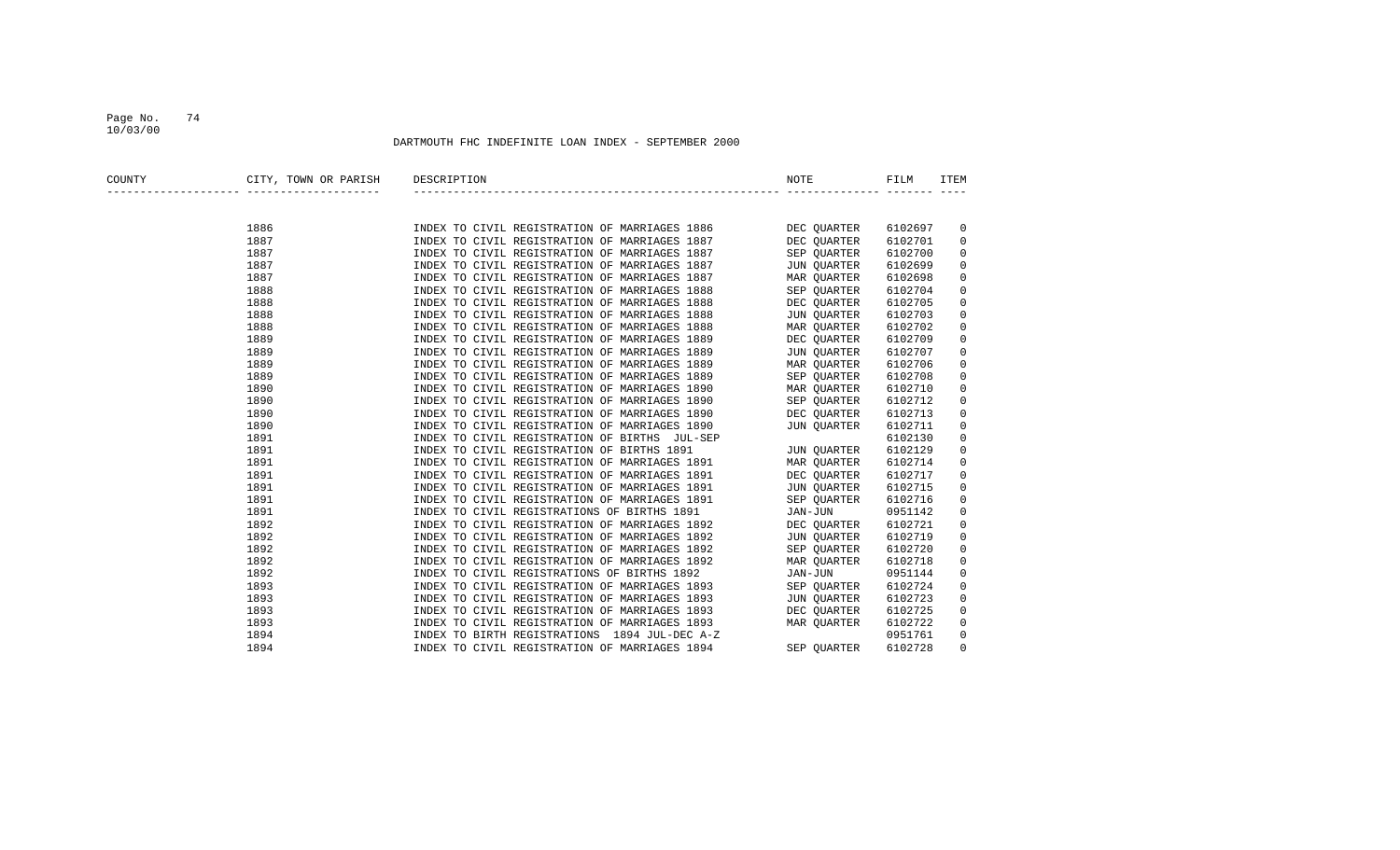### DARTMOUTH FHC INDEFINITE LOAN INDEX - SEPTEMBER 2000

10/03/00

| COUNTY | CITY, TOWN OR PARISH              | DESCRIPTION                                   | <b>NOTE</b> | FILM    | <b>ITEM</b>         |
|--------|-----------------------------------|-----------------------------------------------|-------------|---------|---------------------|
|        | _________________________________ |                                               |             |         |                     |
|        | 1886                              | INDEX TO CIVIL REGISTRATION OF MARRIAGES 1886 | DEC QUARTER | 6102697 | 0                   |
|        | 1887                              | INDEX TO CIVIL REGISTRATION OF MARRIAGES 1887 | DEC QUARTER | 6102701 | 0                   |
|        | 1887                              | INDEX TO CIVIL REGISTRATION OF MARRIAGES 1887 | SEP QUARTER | 6102700 | 0                   |
|        | 1887                              | INDEX TO CIVIL REGISTRATION OF MARRIAGES 1887 | JUN QUARTER | 6102699 | 0                   |
|        | 1887                              | INDEX TO CIVIL REGISTRATION OF MARRIAGES 1887 | MAR OUARTER | 6102698 | 0                   |
|        | 1888                              | INDEX TO CIVIL REGISTRATION OF MARRIAGES 1888 | SEP QUARTER | 6102704 | $\mathsf 0$         |
|        | 1888                              | INDEX TO CIVIL REGISTRATION OF MARRIAGES 1888 | DEC QUARTER | 6102705 | $\mathsf 0$         |
|        | 1888                              | INDEX TO CIVIL REGISTRATION OF MARRIAGES 1888 | JUN QUARTER | 6102703 | $\mathsf 0$         |
|        | 1888                              | INDEX TO CIVIL REGISTRATION OF MARRIAGES 1888 | MAR OUARTER | 6102702 | $\mathsf 0$         |
|        | 1889                              | INDEX TO CIVIL REGISTRATION OF MARRIAGES 1889 | DEC QUARTER | 6102709 | 0                   |
|        | 1889                              | INDEX TO CIVIL REGISTRATION OF MARRIAGES 1889 | JUN OUARTER | 6102707 | 0                   |
|        | 1889                              | INDEX TO CIVIL REGISTRATION OF MARRIAGES 1889 | MAR QUARTER | 6102706 | $\mathsf 0$         |
|        | 1889                              | INDEX TO CIVIL REGISTRATION OF MARRIAGES 1889 | SEP QUARTER | 6102708 | 0                   |
|        | 1890                              | INDEX TO CIVIL REGISTRATION OF MARRIAGES 1890 | MAR QUARTER | 6102710 | 0                   |
|        | 1890                              | INDEX TO CIVIL REGISTRATION OF MARRIAGES 1890 | SEP OUARTER | 6102712 | 0                   |
|        | 1890                              | INDEX TO CIVIL REGISTRATION OF MARRIAGES 1890 | DEC OUARTER | 6102713 | 0                   |
|        | 1890                              | INDEX TO CIVIL REGISTRATION OF MARRIAGES 1890 | JUN QUARTER | 6102711 | $\mathsf 0$         |
|        | 1891                              | INDEX TO CIVIL REGISTRATION OF BIRTHS JUL-SEP |             | 6102130 | $\mathsf{O}\xspace$ |
|        | 1891                              | INDEX TO CIVIL REGISTRATION OF BIRTHS 1891    | JUN OUARTER | 6102129 | $\mathsf{O}\xspace$ |
|        | 1891                              | INDEX TO CIVIL REGISTRATION OF MARRIAGES 1891 | MAR OUARTER | 6102714 | $\mathsf{O}\xspace$ |
|        | 1891                              | INDEX TO CIVIL REGISTRATION OF MARRIAGES 1891 | DEC OUARTER | 6102717 | 0                   |
|        | 1891                              | INDEX TO CIVIL REGISTRATION OF MARRIAGES 1891 | JUN QUARTER | 6102715 | $\mathsf{O}\xspace$ |
|        | 1891                              | INDEX TO CIVIL REGISTRATION OF MARRIAGES 1891 | SEP QUARTER | 6102716 | $\mathsf{O}\xspace$ |
|        | 1891                              | INDEX TO CIVIL REGISTRATIONS OF BIRTHS 1891   | JAN-JUN     | 0951142 | $\mathsf{O}\xspace$ |
|        | 1892                              | INDEX TO CIVIL REGISTRATION OF MARRIAGES 1892 | DEC OUARTER | 6102721 | $\mathsf{O}\xspace$ |
|        | 1892                              | INDEX TO CIVIL REGISTRATION OF MARRIAGES 1892 | JUN OUARTER | 6102719 | 0                   |
|        | 1892                              | INDEX TO CIVIL REGISTRATION OF MARRIAGES 1892 | SEP OUARTER | 6102720 | 0                   |
|        | 1892                              | INDEX TO CIVIL REGISTRATION OF MARRIAGES 1892 | MAR QUARTER | 6102718 | $\mathsf{O}\xspace$ |
|        | 1892                              | INDEX TO CIVIL REGISTRATIONS OF BIRTHS 1892   | JAN-JUN     | 0951144 | 0                   |
|        | 1893                              | INDEX TO CIVIL REGISTRATION OF MARRIAGES 1893 | SEP QUARTER | 6102724 | $\mathsf{O}\xspace$ |
|        | 1893                              | INDEX TO CIVIL REGISTRATION OF MARRIAGES 1893 | JUN QUARTER | 6102723 | 0                   |
|        | 1893                              | INDEX TO CIVIL REGISTRATION OF MARRIAGES 1893 | DEC QUARTER | 6102725 | $\mathsf{O}\xspace$ |
|        | 1893                              | INDEX TO CIVIL REGISTRATION OF MARRIAGES 1893 | MAR QUARTER | 6102722 | 0                   |
|        | 1894                              | INDEX TO BIRTH REGISTRATIONS 1894 JUL-DEC A-Z |             | 0951761 | 0                   |
|        | 1894                              | INDEX TO CIVIL REGISTRATION OF MARRIAGES 1894 | SEP QUARTER | 6102728 | 0                   |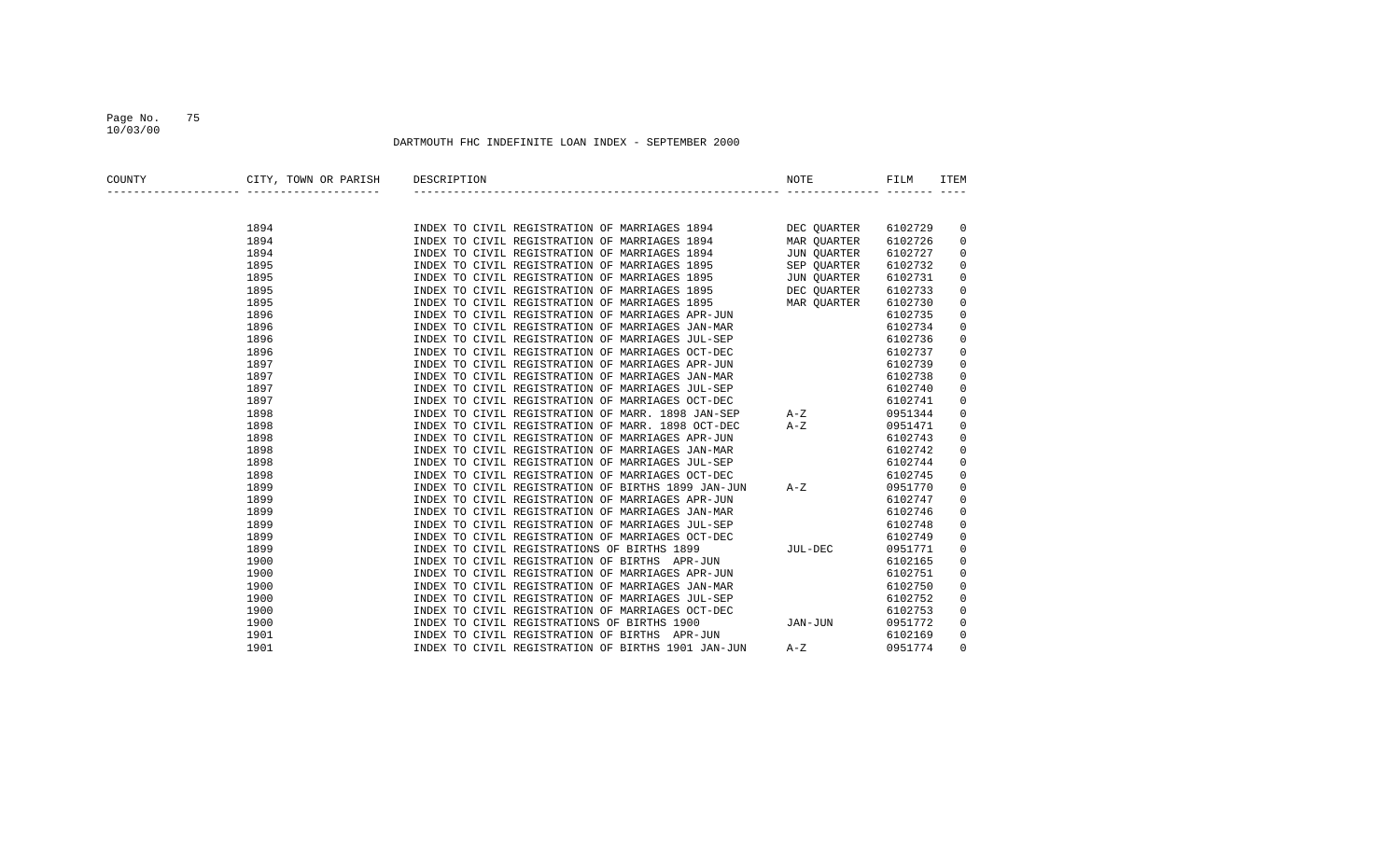### Page No. 75 10/03/00

| COUNTY | CITY, TOWN OR PARISH | DESCRIPTION                                                                                                            | <b>NOTE</b>        | FILM    | <b>ITEM</b> |
|--------|----------------------|------------------------------------------------------------------------------------------------------------------------|--------------------|---------|-------------|
|        |                      |                                                                                                                        |                    |         |             |
|        | 1894                 |                                                                                                                        |                    | 6102729 | 0           |
|        | 1894                 | INDEX TO CIVIL REGISTRATION OF MARRIAGES 1894 DEC QUARTER<br>INDEX TO CIVIL REGISTRATION OF MARRIAGES 1894 MAR QUARTER |                    | 6102726 | $\mathbf 0$ |
|        | 1894                 | INDEX TO CIVIL REGISTRATION OF MARRIAGES 1894                                                                          | JUN QUARTER        | 6102727 | 0           |
|        | 1895                 | INDEX TO CIVIL REGISTRATION OF MARRIAGES 1895                                                                          | SEP QUARTER        | 6102732 | 0           |
|        | 1895                 | INDEX TO CIVIL REGISTRATION OF MARRIAGES 1895                                                                          | <b>JUN OUARTER</b> | 6102731 | 0           |
|        | 1895                 | INDEX TO CIVIL REGISTRATION OF MARRIAGES 1895                                                                          | DEC QUARTER        | 6102733 | 0           |
|        | 1895                 | INDEX TO CIVIL REGISTRATION OF MARRIAGES 1895                                                                          | MAR OUARTER        | 6102730 | 0           |
|        | 1896                 | INDEX TO CIVIL REGISTRATION OF MARRIAGES APR-JUN                                                                       |                    | 6102735 | 0           |
|        | 1896                 | INDEX TO CIVIL REGISTRATION OF MARRIAGES JAN-MAR                                                                       |                    | 6102734 | 0           |
|        | 1896                 | INDEX TO CIVIL REGISTRATION OF MARRIAGES JUL-SEP                                                                       |                    | 6102736 | 0           |
|        | 1896                 | INDEX TO CIVIL REGISTRATION OF MARRIAGES OCT-DEC                                                                       |                    | 6102737 | 0           |
|        | 1897                 | INDEX TO CIVIL REGISTRATION OF MARRIAGES APR-JUN                                                                       |                    | 6102739 | 0           |
|        | 1897                 | INDEX TO CIVIL REGISTRATION OF MARRIAGES JAN-MAR                                                                       |                    | 6102738 | 0           |
|        | 1897                 | INDEX TO CIVIL REGISTRATION OF MARRIAGES JUL-SEP                                                                       |                    | 6102740 | 0           |
|        | 1897                 | INDEX TO CIVIL REGISTRATION OF MARRIAGES OCT-DEC                                                                       |                    | 6102741 | 0           |
|        | 1898                 | INDEX TO CIVIL REGISTRATION OF MARR. 1898 JAN-SEP                                                                      | $A-Z$              | 0951344 | 0           |
|        | 1898                 | INDEX TO CIVIL REGISTRATION OF MARR. 1898 OCT-DEC                                                                      | $A-Z$              | 0951471 | 0           |
|        | 1898                 | INDEX TO CIVIL REGISTRATION OF MARRIAGES APR-JUN                                                                       |                    | 6102743 | 0           |
|        | 1898                 | INDEX TO CIVIL REGISTRATION OF MARRIAGES JAN-MAR                                                                       |                    | 6102742 | 0           |
|        | 1898                 | INDEX TO CIVIL REGISTRATION OF MARRIAGES JUL-SEP                                                                       |                    | 6102744 | 0           |
|        | 1898                 | INDEX TO CIVIL REGISTRATION OF MARRIAGES OCT-DEC                                                                       |                    | 6102745 | 0           |
|        | 1899                 | INDEX TO CIVIL REGISTRATION OF BIRTHS 1899 JAN-JUN                                                                     | $A-Z$              | 0951770 | 0           |
|        | 1899                 | INDEX TO CIVIL REGISTRATION OF MARRIAGES APR-JUN                                                                       |                    | 6102747 | 0           |
|        | 1899                 | INDEX TO CIVIL REGISTRATION OF MARRIAGES JAN-MAR                                                                       |                    | 6102746 | 0           |
|        | 1899                 | INDEX TO CIVIL REGISTRATION OF MARRIAGES JUL-SEP                                                                       |                    | 6102748 | 0           |
|        | 1899                 | INDEX TO CIVIL REGISTRATION OF MARRIAGES OCT-DEC                                                                       |                    | 6102749 | 0           |
|        | 1899                 | INDEX TO CIVIL REGISTRATIONS OF BIRTHS 1899                                                                            | JUL-DEC            | 0951771 | 0           |
|        | 1900                 | INDEX TO CIVIL REGISTRATION OF BIRTHS APR-JUN                                                                          |                    | 6102165 | 0           |
|        | 1900                 | INDEX TO CIVIL REGISTRATION OF MARRIAGES APR-JUN                                                                       |                    | 6102751 | 0           |
|        | 1900                 | INDEX TO CIVIL REGISTRATION OF MARRIAGES JAN-MAR                                                                       |                    | 6102750 | 0           |
|        | 1900                 | INDEX TO CIVIL REGISTRATION OF MARRIAGES JUL-SEP                                                                       |                    | 6102752 | 0           |
|        | 1900                 | INDEX TO CIVIL REGISTRATION OF MARRIAGES OCT-DEC                                                                       |                    | 6102753 | 0           |
|        | 1900                 | INDEX TO CIVIL REGISTRATIONS OF BIRTHS 1900                                                                            | JAN-JUN            | 0951772 | 0           |
|        | 1901                 | INDEX TO CIVIL REGISTRATION OF BIRTHS APR-JUN                                                                          |                    | 6102169 | 0           |
|        | 1901                 | INDEX TO CIVIL REGISTRATION OF BIRTHS 1901 JAN-JUN                                                                     | $A-Z$              | 0951774 | $\Omega$    |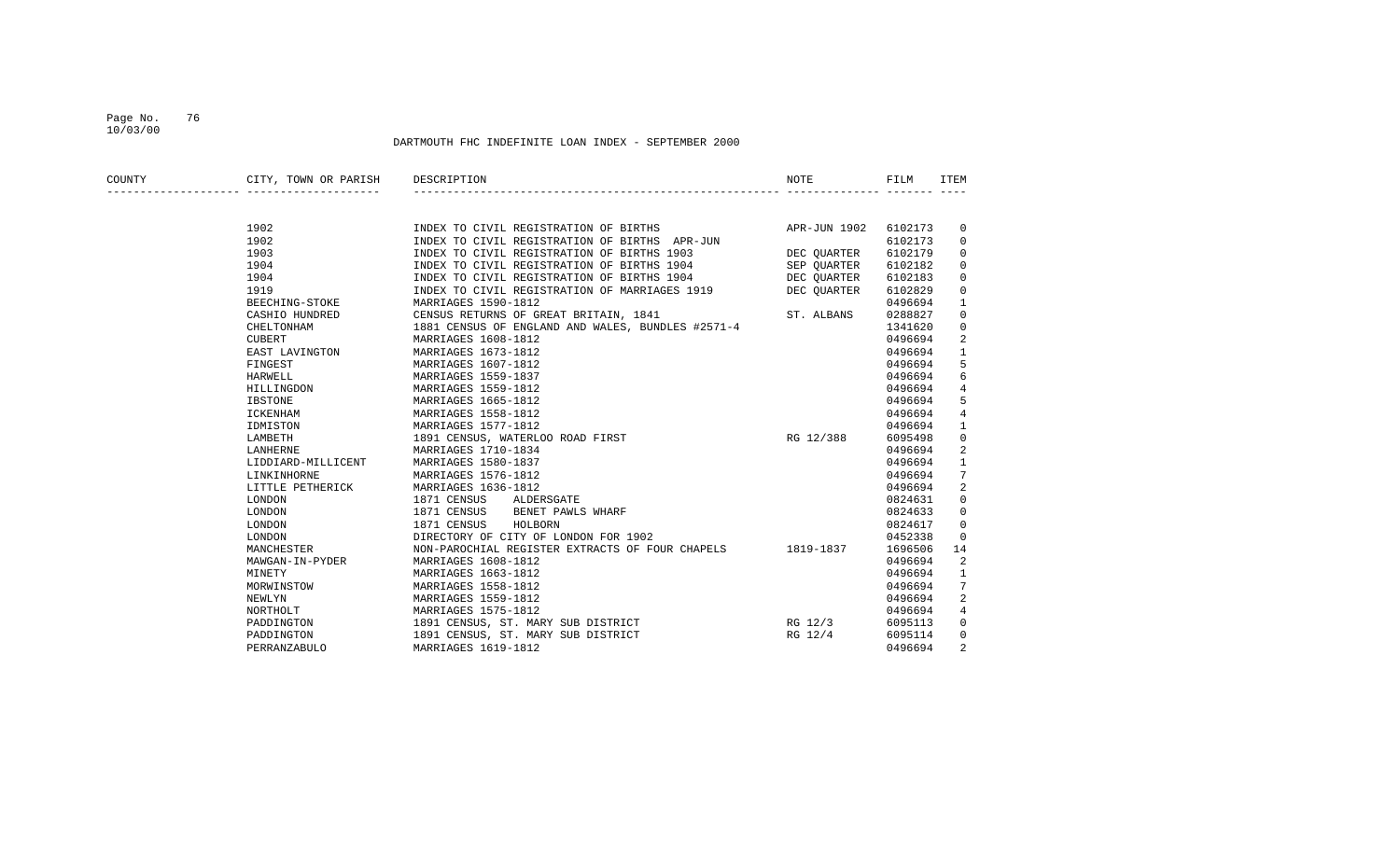### Page No. 76 10/03/00

| COUNTY | CITY, TOWN OR PARISH | DESCRIPTION                                       | NOTE         | FILM    | ITEM           |
|--------|----------------------|---------------------------------------------------|--------------|---------|----------------|
|        |                      |                                                   |              |         |                |
|        | 1902                 | INDEX TO CIVIL REGISTRATION OF BIRTHS             | APR-JUN 1902 | 6102173 | $\overline{0}$ |
|        | 1902                 | INDEX TO CIVIL REGISTRATION OF BIRTHS APR-JUN     |              | 6102173 | 0              |
|        | 1903                 | INDEX TO CIVIL REGISTRATION OF BIRTHS 1903        | DEC QUARTER  | 6102179 | 0              |
|        | 1904                 | INDEX TO CIVIL REGISTRATION OF BIRTHS 1904        | SEP OUARTER  | 6102182 | 0              |
|        | 1904                 | INDEX TO CIVIL REGISTRATION OF BIRTHS 1904        | DEC OUARTER  | 6102183 | 0              |
|        | 1919                 | INDEX TO CIVIL REGISTRATION OF MARRIAGES 1919     | DEC QUARTER  | 6102829 | 0              |
|        | BEECHING-STOKE       | MARRIAGES 1590-1812                               |              | 0496694 | 1              |
|        | CASHIO HUNDRED       | CENSUS RETURNS OF GREAT BRITAIN, 1841             | ST. ALBANS   | 0288827 | 0              |
|        | CHELTONHAM           | 1881 CENSUS OF ENGLAND AND WALES, BUNDLES #2571-4 |              | 1341620 | 0              |
|        | CUBERT               | MARRIAGES 1608-1812                               |              | 0496694 | 2              |
|        | EAST LAVINGTON       | MARRIAGES 1673-1812                               |              | 0496694 | $\mathbf{1}$   |
|        | FINGEST              | MARRIAGES 1607-1812                               |              | 0496694 | 5              |
|        | HARWELL              | MARRIAGES 1559-1837                               |              | 0496694 | 6              |
|        | HILLINGDON           | MARRIAGES 1559-1812                               |              | 0496694 | 4              |
|        | <b>IBSTONE</b>       | MARRIAGES 1665-1812                               |              | 0496694 | 5              |
|        | ICKENHAM             | MARRIAGES 1558-1812                               |              | 0496694 | 4              |
|        | IDMISTON             | MARRIAGES 1577-1812                               |              | 0496694 | 1              |
|        | LAMBETH              | 1891 CENSUS, WATERLOO ROAD FIRST                  | RG 12/388    | 6095498 | $\mathbf 0$    |
|        | LANHERNE             | MARRIAGES 1710-1834                               |              | 0496694 | 2              |
|        | LIDDIARD-MILLICENT   | MARRIAGES 1580-1837                               |              | 0496694 | $\mathbf 1$    |
|        | LINKINHORNE          | MARRIAGES 1576-1812                               |              | 0496694 | 7              |
|        | LITTLE PETHERICK     | MARRIAGES 1636-1812                               |              | 0496694 | 2              |
|        | LONDON               | 1871 CENSUS<br>ALDERSGATE                         |              | 0824631 | 0              |
|        | LONDON               | BENET PAWLS WHARF<br>1871 CENSUS                  |              | 0824633 | $\mathbf 0$    |
|        | LONDON               | 1871 CENSUS<br>HOLBORN                            |              | 0824617 | 0              |
|        | LONDON               | DIRECTORY OF CITY OF LONDON FOR 1902              |              | 0452338 | $\mathbf 0$    |
|        | MANCHESTER           | NON-PAROCHIAL REGISTER EXTRACTS OF FOUR CHAPELS   | 1819-1837    | 1696506 | 14             |
|        | MAWGAN-IN-PYDER      | MARRIAGES 1608-1812                               |              | 0496694 | 2              |
|        | MINETY               | MARRIAGES 1663-1812                               |              | 0496694 | 1              |
|        | MORWINSTOW           | MARRIAGES 1558-1812                               |              | 0496694 | 7              |
|        | NEWLYN               | MARRIAGES 1559-1812                               |              | 0496694 | 2              |
|        | NORTHOLT             | MARRIAGES 1575-1812                               |              | 0496694 | 4              |
|        | PADDINGTON           | 1891 CENSUS, ST. MARY SUB DISTRICT                | RG 12/3      | 6095113 | $\mathbf 0$    |
|        | PADDINGTON           | 1891 CENSUS, ST. MARY SUB DISTRICT                | RG 12/4      | 6095114 | $\mathbf 0$    |
|        | PERRANZABULO         | MARRIAGES 1619-1812                               |              | 0496694 | 2              |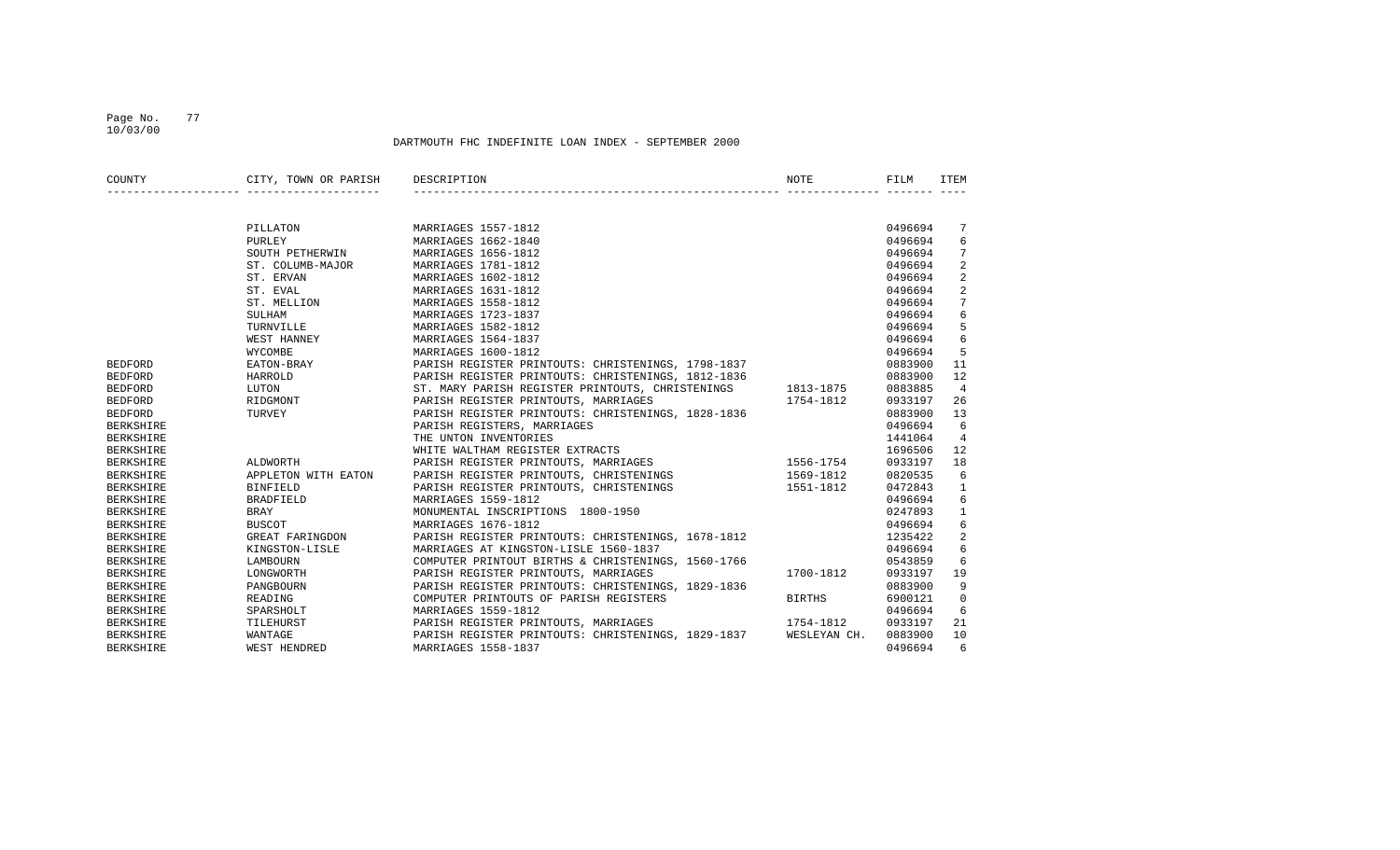### Page No. 77 10/03/00

| COUNTY           | CITY, TOWN OR PARISH | DESCRIPTION                                        | NOTE          | FILM    | ITEM            |
|------------------|----------------------|----------------------------------------------------|---------------|---------|-----------------|
|                  |                      |                                                    |               |         |                 |
|                  | PILLATON             | MARRIAGES 1557-1812                                |               | 0496694 | 7               |
|                  | PURLEY               | MARRIAGES 1662-1840                                |               | 0496694 | 6               |
|                  | SOUTH PETHERWIN      | MARRIAGES 1656-1812                                |               | 0496694 | 7               |
|                  | ST. COLUMB-MAJOR     | MARRIAGES 1781-1812                                |               | 0496694 | 2               |
|                  | ST. ERVAN            | MARRIAGES 1602-1812                                |               | 0496694 | 2               |
|                  | ST. EVAL             | MARRIAGES 1631-1812                                |               | 0496694 | $\overline{2}$  |
|                  | ST. MELLION          | MARRIAGES 1558-1812                                |               | 0496694 | $7\overline{ }$ |
|                  | SULHAM               | MARRIAGES 1723-1837                                |               | 0496694 | $\epsilon$      |
|                  | TURNVILLE            | MARRIAGES 1582-1812                                |               | 0496694 | 5               |
|                  | WEST HANNEY          | MARRIAGES 1564-1837                                |               | 0496694 | 6               |
|                  | WYCOMBE              | MARRIAGES 1600-1812                                |               | 0496694 | 5               |
| <b>BEDFORD</b>   | EATON-BRAY           | PARISH REGISTER PRINTOUTS: CHRISTENINGS, 1798-1837 |               | 0883900 | 11              |
| <b>BEDFORD</b>   | HARROLD              | PARISH REGISTER PRINTOUTS: CHRISTENINGS, 1812-1836 |               | 0883900 | 12              |
| <b>BEDFORD</b>   | LUTON                | ST. MARY PARISH REGISTER PRINTOUTS, CHRISTENINGS   | 1813-1875     | 0883885 | $\overline{4}$  |
| <b>BEDFORD</b>   | RIDGMONT             | PARISH REGISTER PRINTOUTS, MARRIAGES               | 1754-1812     | 0933197 | 26              |
| <b>BEDFORD</b>   | TURVEY               | PARISH REGISTER PRINTOUTS: CHRISTENINGS, 1828-1836 |               | 0883900 | 13              |
| <b>BERKSHIRE</b> |                      | PARISH REGISTERS, MARRIAGES                        |               | 0496694 | 6               |
| <b>BERKSHIRE</b> |                      | THE UNTON INVENTORIES                              |               | 1441064 | 4               |
| <b>BERKSHIRE</b> |                      | WHITE WALTHAM REGISTER EXTRACTS                    |               | 1696506 | 12              |
| <b>BERKSHIRE</b> | ALDWORTH             | PARISH REGISTER PRINTOUTS, MARRIAGES               | 1556-1754     | 0933197 | 18              |
| <b>BERKSHIRE</b> | APPLETON WITH EATON  | PARISH REGISTER PRINTOUTS, CHRISTENINGS            | 1569-1812     | 0820535 | 6               |
| <b>BERKSHIRE</b> | <b>BINFIELD</b>      | PARISH REGISTER PRINTOUTS, CHRISTENINGS            | 1551-1812     | 0472843 | $\mathbf{1}$    |
| <b>BERKSHIRE</b> | <b>BRADFIELD</b>     | MARRIAGES 1559-1812                                |               | 0496694 | 6               |
| <b>BERKSHIRE</b> | <b>BRAY</b>          | MONUMENTAL INSCRIPTIONS 1800-1950                  |               | 0247893 | $\mathbf{1}$    |
| <b>BERKSHIRE</b> | <b>BUSCOT</b>        | MARRIAGES 1676-1812                                |               | 0496694 | 6               |
| <b>BERKSHIRE</b> | GREAT FARINGDON      | PARISH REGISTER PRINTOUTS: CHRISTENINGS, 1678-1812 |               | 1235422 | 2               |
| <b>BERKSHIRE</b> | KINGSTON-LISLE       | MARRIAGES AT KINGSTON-LISLE 1560-1837              |               | 0496694 | 6               |
| <b>BERKSHIRE</b> | LAMBOURN             | COMPUTER PRINTOUT BIRTHS & CHRISTENINGS, 1560-1766 |               | 0543859 | 6               |
| <b>BERKSHIRE</b> | LONGWORTH            | PARISH REGISTER PRINTOUTS, MARRIAGES               | 1700-1812     | 0933197 | 19              |
| <b>BERKSHIRE</b> | PANGBOURN            | PARISH REGISTER PRINTOUTS: CHRISTENINGS, 1829-1836 |               | 0883900 | 9               |
| <b>BERKSHIRE</b> | READING              | COMPUTER PRINTOUTS OF PARISH REGISTERS             | <b>BIRTHS</b> | 6900121 | 0               |
| <b>BERKSHIRE</b> | SPARSHOLT            | MARRIAGES 1559-1812                                |               | 0496694 | 6               |
| <b>BERKSHIRE</b> | TILEHURST            | PARISH REGISTER PRINTOUTS, MARRIAGES               | 1754-1812     | 0933197 | 21              |
| <b>BERKSHIRE</b> | WANTAGE              | PARISH REGISTER PRINTOUTS: CHRISTENINGS, 1829-1837 | WESLEYAN CH.  | 0883900 | 10              |
| <b>BERKSHIRE</b> | WEST HENDRED         | MARRIAGES 1558-1837                                |               | 0496694 | 6               |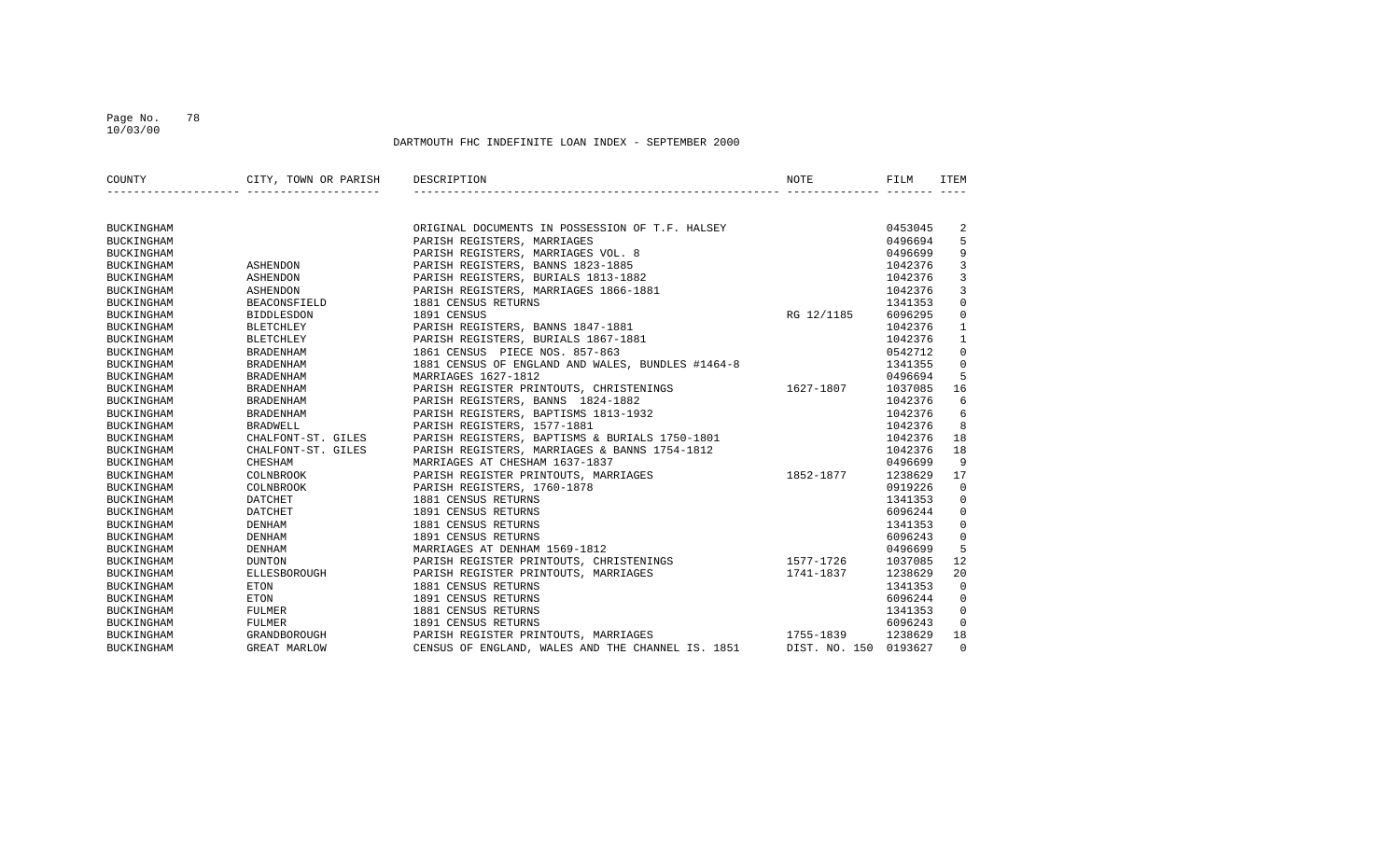### Page No. 78 10/03/00

| COUNTY            | CITY, TOWN OR PARISH DESCRIPTION |                                                   | NOTE                  | FILM    | ITEM           |
|-------------------|----------------------------------|---------------------------------------------------|-----------------------|---------|----------------|
|                   |                                  |                                                   |                       |         |                |
| <b>BUCKINGHAM</b> |                                  | ORIGINAL DOCUMENTS IN POSSESSION OF T.F. HALSEY   |                       | 0453045 | 2              |
| <b>BUCKINGHAM</b> |                                  | PARISH REGISTERS, MARRIAGES                       |                       | 0496694 | 5              |
| <b>BUCKINGHAM</b> |                                  | PARISH REGISTERS, MARRIAGES VOL. 8                |                       | 0496699 | 9              |
| <b>BUCKINGHAM</b> | ASHENDON                         | PARISH REGISTERS, BANNS 1823-1885                 |                       | 1042376 | $\mathbf{3}$   |
| <b>BUCKINGHAM</b> | ASHENDON                         | PARISH REGISTERS, BURIALS 1813-1882               |                       | 1042376 | 3              |
| <b>BUCKINGHAM</b> | ASHENDON                         | PARISH REGISTERS, MARRIAGES 1866-1881             |                       | 1042376 | $\overline{3}$ |
| BUCKINGHAM        | BEACONSFIELD                     | 1881 CENSUS RETURNS                               |                       | 1341353 | $\mathbf 0$    |
| BUCKINGHAM        | <b>BIDDLESDON</b>                | 1891 CENSUS                                       | RG 12/1185            | 6096295 | $\mathbf 0$    |
| <b>BUCKINGHAM</b> | BLETCHLEY                        | PARISH REGISTERS, BANNS 1847-1881                 |                       | 1042376 | $\mathbf{1}$   |
| BUCKINGHAM        | BLETCHLEY                        | PARISH REGISTERS, BURIALS 1867-1881               |                       | 1042376 | $\mathbf{1}$   |
| <b>BUCKINGHAM</b> | BRADENHAM                        | 1861 CENSUS PIECE NOS. 857-863                    |                       | 0542712 | $\mathbf 0$    |
| BUCKINGHAM        | BRADENHAM                        | 1881 CENSUS OF ENGLAND AND WALES, BUNDLES #1464-8 |                       | 1341355 | $\mathbf 0$    |
| <b>BUCKINGHAM</b> | BRADENHAM                        | MARRIAGES 1627-1812                               |                       | 0496694 | 5              |
| <b>BUCKINGHAM</b> | BRADENHAM                        | PARISH REGISTER PRINTOUTS, CHRISTENINGS           | 1627-1807             | 1037085 | 16             |
| <b>BUCKINGHAM</b> | BRADENHAM                        | PARISH REGISTERS, BANNS 1824-1882                 |                       | 1042376 | 6              |
| BUCKINGHAM        | BRADENHAM                        | PARISH REGISTERS, BAPTISMS 1813-1932              |                       | 1042376 | 6              |
| BUCKINGHAM        | BRADWELL                         | PARISH REGISTERS, 1577-1881                       |                       | 1042376 | 8              |
| BUCKINGHAM        | CHALFONT-ST. GILES               | PARISH REGISTERS, BAPTISMS & BURIALS 1750-1801    |                       | 1042376 | 18             |
| BUCKINGHAM        | CHALFONT-ST. GILES               | PARISH REGISTERS, MARRIAGES & BANNS 1754-1812     |                       | 1042376 | 18             |
| BUCKINGHAM        | CHESHAM                          | MARRIAGES AT CHESHAM 1637-1837                    |                       | 0496699 | 9              |
| <b>BUCKINGHAM</b> | COLNBROOK                        | PARISH REGISTER PRINTOUTS, MARRIAGES              | 1852-1877             | 1238629 | 17             |
| <b>BUCKINGHAM</b> | COLNBROOK                        | PARISH REGISTERS, 1760-1878                       |                       | 0919226 | $\mathbf 0$    |
| BUCKINGHAM        | DATCHET                          | 1881 CENSUS RETURNS                               |                       | 1341353 | $\mathbf 0$    |
| <b>BUCKINGHAM</b> | DATCHET                          | 1891 CENSUS RETURNS                               |                       | 6096244 | $\mathbf 0$    |
| <b>BUCKINGHAM</b> | DENHAM                           | 1881 CENSUS RETURNS                               |                       | 1341353 | $\overline{0}$ |
| <b>BUCKINGHAM</b> | DENHAM                           | 1891 CENSUS RETURNS                               |                       | 6096243 | $\mathbf 0$    |
| <b>BUCKINGHAM</b> | DENHAM                           | MARRIAGES AT DENHAM 1569-1812                     |                       | 0496699 | 5              |
| BUCKINGHAM        | <b>DUNTON</b>                    | PARISH REGISTER PRINTOUTS, CHRISTENINGS 1577-1726 |                       | 1037085 | 12             |
| <b>BUCKINGHAM</b> | ELLESBOROUGH                     | PARISH REGISTER PRINTOUTS, MARRIAGES              | $1741 - 1837$         | 1238629 | 20             |
| BUCKINGHAM        | <b>ETON</b>                      | 1881 CENSUS RETURNS                               |                       | 1341353 | $\Omega$       |
| BUCKINGHAM        | ETON                             | 1891 CENSUS RETURNS                               |                       | 6096244 | 0              |
| BUCKINGHAM        | FULMER                           | 1881 CENSUS RETURNS                               |                       | 1341353 | $\mathbf 0$    |
| BUCKINGHAM        | FULMER                           | 1891 CENSUS RETURNS                               |                       | 6096243 | $\mathbf 0$    |
| BUCKINGHAM        | GRANDBOROUGH                     | PARISH REGISTER PRINTOUTS, MARRIAGES 1755-1839    |                       | 1238629 | 18             |
| <b>BUCKINGHAM</b> | <b>GREAT MARLOW</b>              | CENSUS OF ENGLAND, WALES AND THE CHANNEL IS. 1851 | DIST. NO. 150 0193627 |         | $\Omega$       |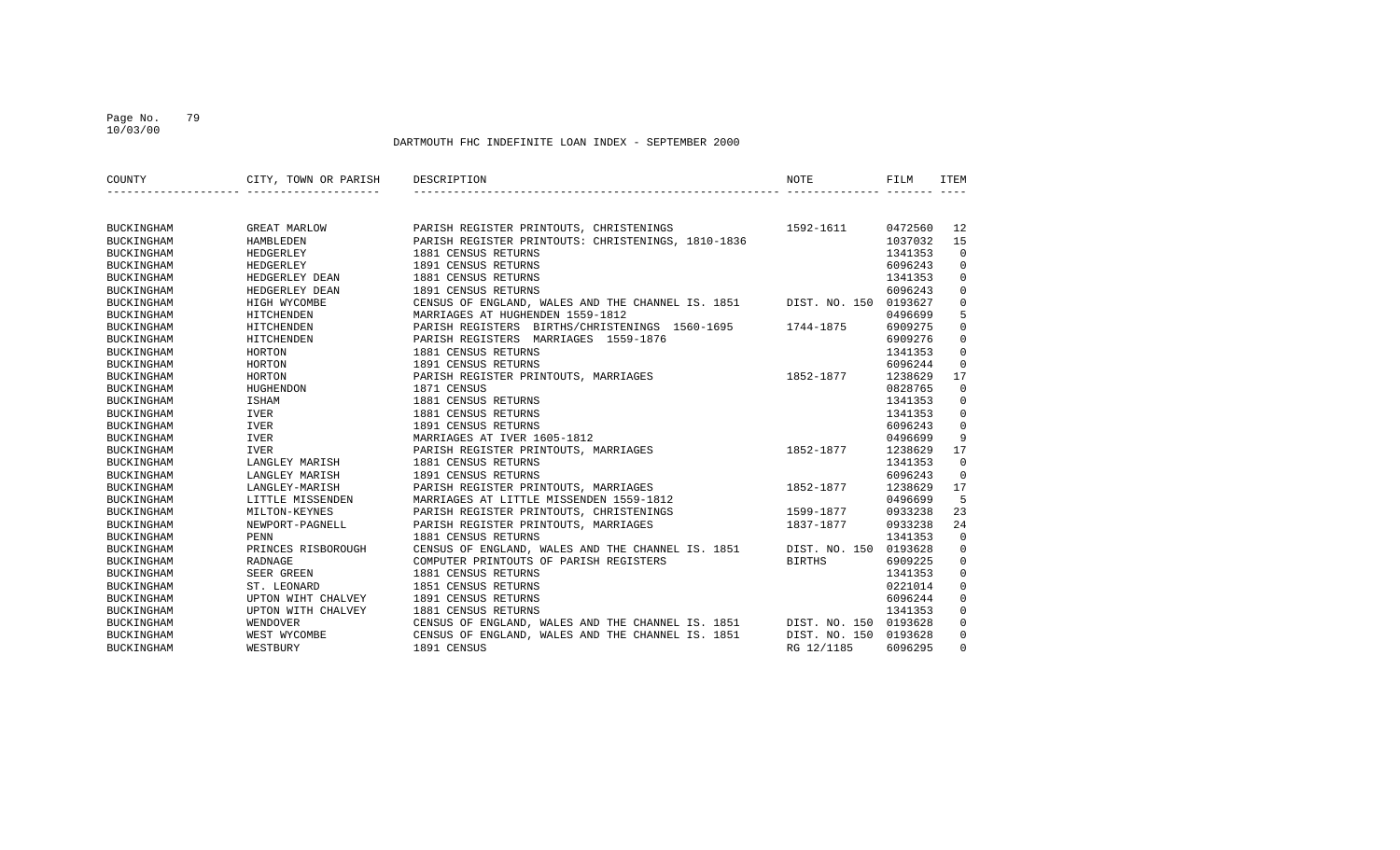### Page No. 79 10/03/00

| COUNTY            | CITY, TOWN OR PARISH | DESCRIPTION                                                             | NOTE                  | FILM    | ITEM        |
|-------------------|----------------------|-------------------------------------------------------------------------|-----------------------|---------|-------------|
|                   |                      |                                                                         |                       |         |             |
| <b>BUCKINGHAM</b> | <b>GREAT MARLOW</b>  | PARISH REGISTER PRINTOUTS, CHRISTENINGS                                 | 1592-1611             | 0472560 | 12          |
| <b>BUCKINGHAM</b> | HAMBLEDEN            | PARISH REGISTER PRINTOUTS: CHRISTENINGS, 1810-1836                      |                       | 1037032 | 15          |
| <b>BUCKINGHAM</b> | HEDGERLEY            | 1881 CENSUS RETURNS                                                     |                       | 1341353 | $\mathbf 0$ |
| <b>BUCKINGHAM</b> | HEDGERLEY            | 1891 CENSUS RETURNS                                                     |                       | 6096243 | $\mathbf 0$ |
| <b>BUCKINGHAM</b> | HEDGERLEY DEAN       | 1881 CENSUS RETURNS                                                     |                       | 1341353 | $\mathbf 0$ |
| <b>BUCKINGHAM</b> | HEDGERLEY DEAN       | 1891 CENSUS RETURNS                                                     |                       | 6096243 | $\mathbf 0$ |
| <b>BUCKINGHAM</b> | HIGH WYCOMBE         | CENSUS OF ENGLAND, WALES AND THE CHANNEL IS. 1851 DIST. NO. 150 0193627 |                       |         | $\mathbf 0$ |
| <b>BUCKINGHAM</b> | HITCHENDEN           | MARRIAGES AT HUGHENDEN 1559-1812                                        |                       | 0496699 | 5           |
| <b>BUCKINGHAM</b> | HITCHENDEN           | PARISH REGISTERS BIRTHS/CHRISTENINGS 1560-1695 1744-1875                |                       | 6909275 | $\mathbf 0$ |
| <b>BUCKINGHAM</b> | HITCHENDEN           | PARISH REGISTERS MARRIAGES 1559-1876                                    |                       | 6909276 | $\mathbf 0$ |
| <b>BUCKINGHAM</b> | HORTON               | 1881 CENSUS RETURNS                                                     |                       | 1341353 | $\mathbf 0$ |
| <b>BUCKINGHAM</b> | HORTON               | 1891 CENSUS RETURNS                                                     |                       | 6096244 | $\mathbf 0$ |
| BUCKINGHAM        | HORTON               | PARISH REGISTER PRINTOUTS, MARRIAGES                                    | 1852-1877             | 1238629 | 17          |
| <b>BUCKINGHAM</b> | HUGHENDON            | 1871 CENSUS                                                             |                       | 0828765 | $\mathbf 0$ |
| <b>BUCKINGHAM</b> | ISHAM                | 1881 CENSUS RETURNS                                                     |                       | 1341353 | 0           |
| BUCKINGHAM        | IVER                 | 1881 CENSUS RETURNS                                                     |                       | 1341353 | $\mathbf 0$ |
| BUCKINGHAM        | IVER                 | 1891 CENSUS RETURNS                                                     |                       | 6096243 | $\mathbf 0$ |
| <b>BUCKINGHAM</b> | IVER                 | MARRIAGES AT IVER 1605-1812                                             |                       | 0496699 | 9           |
| <b>BUCKINGHAM</b> | IVER                 | PARISH REGISTER PRINTOUTS, MARRIAGES                                    | 1852-1877             | 1238629 | 17          |
| BUCKINGHAM        | LANGLEY MARISH       | 1881 CENSUS RETURNS                                                     |                       | 1341353 | $\mathbf 0$ |
| BUCKINGHAM        | LANGLEY MARISH       | 1891 CENSUS RETURNS                                                     |                       | 6096243 | $\mathbf 0$ |
| <b>BUCKINGHAM</b> | LANGLEY-MARISH       | PARISH REGISTER PRINTOUTS, MARRIAGES                                    | 1852-1877             | 1238629 | 17          |
| <b>BUCKINGHAM</b> | LITTLE MISSENDEN     | MARRIAGES AT LITTLE MISSENDEN 1559-1812                                 |                       | 0496699 | 5           |
| <b>BUCKINGHAM</b> | MILTON-KEYNES        | PARISH REGISTER PRINTOUTS, CHRISTENINGS                                 | 1599-1877             | 0933238 | 23          |
| <b>BUCKINGHAM</b> | NEWPORT-PAGNELL      | PARISH REGISTER PRINTOUTS, MARRIAGES                                    | 1837-1877             | 0933238 | 24          |
| <b>BUCKINGHAM</b> | PENN                 | 1881 CENSUS RETURNS                                                     |                       | 1341353 | $\Omega$    |
| <b>BUCKINGHAM</b> | PRINCES RISBOROUGH   | CENSUS OF ENGLAND, WALES AND THE CHANNEL IS. 1851                       | DIST. NO. 150 0193628 |         | $\mathbf 0$ |
| <b>BUCKINGHAM</b> | RADNAGE              | COMPUTER PRINTOUTS OF PARISH REGISTERS                                  | BIRTHS                | 6909225 | $\mathbf 0$ |
| <b>BUCKINGHAM</b> | SEER GREEN           | 1881 CENSUS RETURNS                                                     |                       | 1341353 | $\mathbf 0$ |
| <b>BUCKINGHAM</b> | ST. LEONARD          | 1851 CENSUS RETURNS                                                     |                       | 0221014 | $\mathbf 0$ |
| <b>BUCKINGHAM</b> | UPTON WIHT CHALVEY   | 1891 CENSUS RETURNS                                                     |                       | 6096244 | $\mathbf 0$ |
| <b>BUCKINGHAM</b> | UPTON WITH CHALVEY   | 1881 CENSUS RETURNS                                                     |                       | 1341353 | $\mathbf 0$ |
| <b>BUCKINGHAM</b> | WENDOVER             | CENSUS OF ENGLAND, WALES AND THE CHANNEL IS. 1851 DIST. NO. 150 0193628 |                       |         | $\mathbf 0$ |
| <b>BUCKINGHAM</b> | WEST WYCOMBE         | CENSUS OF ENGLAND, WALES AND THE CHANNEL IS. 1851                       | DIST. NO. 150         | 0193628 | $\mathbf 0$ |
| BUCKINGHAM        | WESTBURY             | 1891 CENSUS                                                             | RG 12/1185            | 6096295 | $\mathbf 0$ |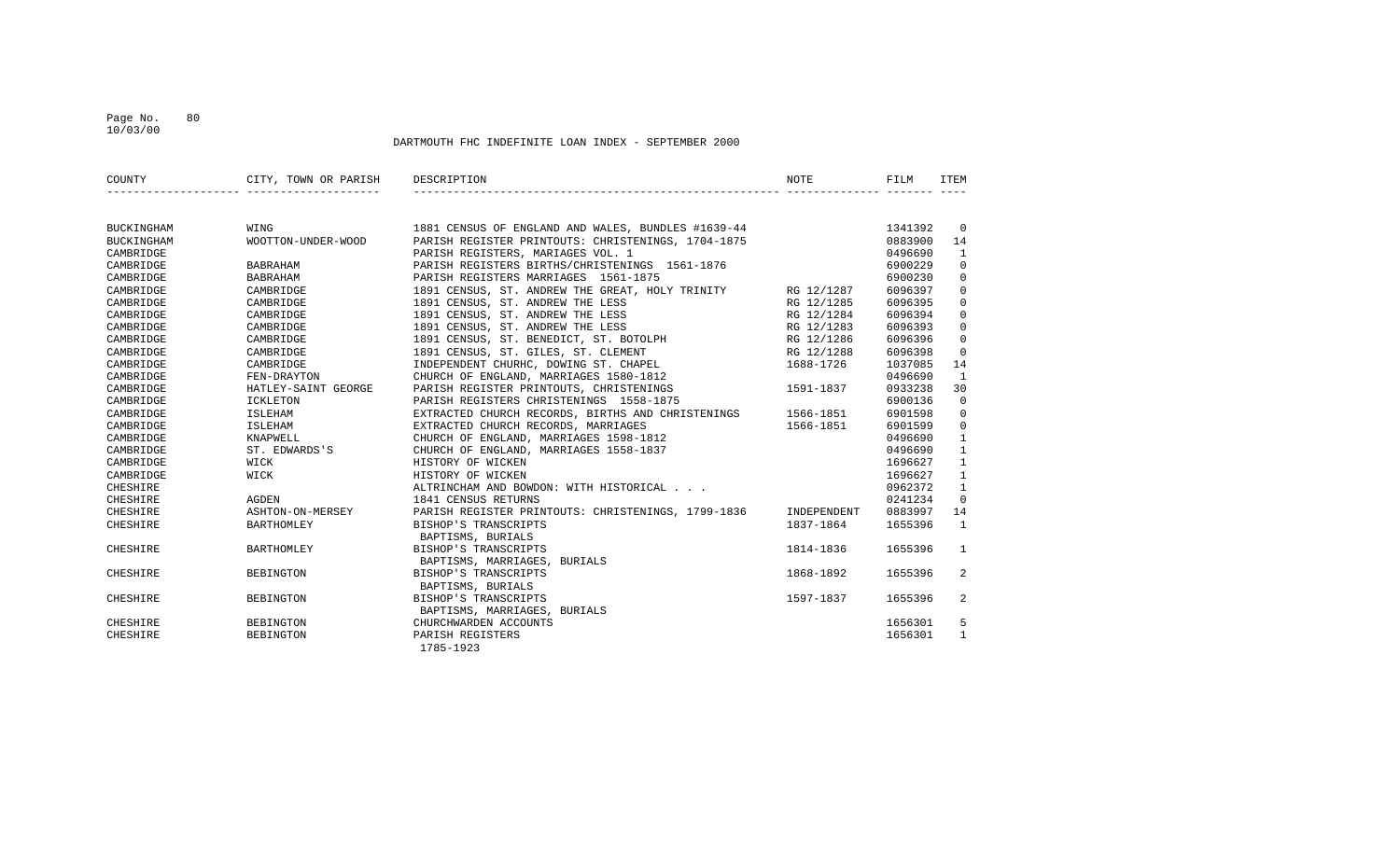### Page No. 80 10/03/00

| COUNTY          | CITY, TOWN OR PARISH DESCRIPTION |                                                                                                                                                                                          | NOTE       | FILM    | <b>TTEM</b>    |
|-----------------|----------------------------------|------------------------------------------------------------------------------------------------------------------------------------------------------------------------------------------|------------|---------|----------------|
|                 |                                  |                                                                                                                                                                                          |            |         |                |
| BUCKINGHAM      | WING                             | 1881 CENSUS OF ENGLAND AND WALES, BUNDLES #1639-44 1341392                                                                                                                               |            |         | $\overline{0}$ |
| BUCKINGHAM      | WOOTTON-UNDER-WOOD               | PARISH REGISTER PRINTOUTS: CHRISTENINGS, 1704-1875                                                                                                                                       |            | 0883900 | 14             |
| CAMBRIDGE       |                                  | PARISH REGISTERS, MARIAGES VOL. 1                                                                                                                                                        |            | 0496690 | 1              |
| CAMBRIDGE       | BABRAHAM                         | PARISH REGISTERS BIRTHS/CHRISTENINGS 1561-1876                                                                                                                                           |            | 6900229 | $\mathbf 0$    |
| CAMBRIDGE       | BABRAHAM                         | PARISH REGISTERS MARRIAGES 1561-1875                                                                                                                                                     |            | 6900230 | $\mathbf 0$    |
| CAMBRIDGE       | CAMBRIDGE                        | 1891 CENSUS, ST. ANDREW THE GREAT, HOLY TRINITY RG 12/1287                                                                                                                               |            | 6096397 | $\mathbf 0$    |
| CAMBRIDGE       | CAMBRIDGE                        | 1891 CENSUS, ST. ANDREW THE LESS                                                                                                                                                         | RG 12/1285 | 6096395 | $\mathbf 0$    |
| CAMBRIDGE       | CAMBRIDGE                        | 1891 CENSUS, ST. ANDREW THE LESS                                                                                                                                                         | RG 12/1284 | 6096394 | $\mathbf 0$    |
| CAMBRIDGE       | CAMBRIDGE                        |                                                                                                                                                                                          |            | 6096393 | $\mathbf 0$    |
| CAMBRIDGE       | CAMBRIDGE                        |                                                                                                                                                                                          |            | 6096396 | $\mathbf 0$    |
| CAMBRIDGE       | CAMBRIDGE                        | 1891 CENSUS, ST. GILES, ST. CLEMENT RG 12/1288                                                                                                                                           |            | 6096398 | $\mathbf 0$    |
| CAMBRIDGE       | CAMBRIDGE                        | INDEPENDENT CHURHC, DOWING ST. CHAPEL                                                                                                                                                    | 1688-1726  | 1037085 | 14             |
| CAMBRIDGE       | FEN-DRAYTON                      | CHURCH OF ENGLAND, MARRIAGES 1580-1812                                                                                                                                                   |            | 0496690 | 1              |
| CAMBRIDGE       | HATLEY-SAINT GEORGE              | PARISH REGISTER PRINTOUTS, CHRISTENINGS                                                                                                                                                  | 1591-1837  | 0933238 | 30             |
| CAMBRIDGE       | <b>ICKLETON</b>                  | PARISH REGISTERS CHRISTENINGS 1558-1875                                                                                                                                                  |            | 6900136 | $\Omega$       |
| CAMBRIDGE       | ISLEHAM                          | EXTRACTED CHURCH RECORDS, BIRTHS AND CHRISTENINGS 1566-1851                                                                                                                              |            | 6901598 | $\mathbf{0}$   |
| CAMBRIDGE       | ISLEHAM                          |                                                                                                                                                                                          | 1566-1851  | 6901599 | $\mathbf{0}$   |
| CAMBRIDGE       |                                  | EXTRACTED CHURCH RECORDS, MARRIAGES<br>CHURCH OF ENGLAND, MARRIAGES 1598-1812<br>XNAPWELL CHURCH OF ENGLAND, MARRIAGES 1598-1812<br>ST. EDWARDS'S CHURCH OF ENGLAND, MARRIAGES 1558-1837 |            | 0496690 | $\mathbf{1}$   |
| CAMBRIDGE       |                                  |                                                                                                                                                                                          |            | 0496690 | $\mathbf{1}$   |
| CAMBRIDGE       | WICK                             | HISTORY OF WICKEN                                                                                                                                                                        |            | 1696627 | $\mathbf{1}$   |
| CAMBRIDGE       | WICK                             | HISTORY OF WICKEN                                                                                                                                                                        |            | 1696627 | $\mathbf{1}$   |
| CHESHIRE        |                                  | ALTRINCHAM AND BOWDON: WITH HISTORICAL                                                                                                                                                   |            | 0962372 | $\mathbf{1}$   |
| CHESHIRE        | AGDEN                            | 1841 CENSUS RETURNS                                                                                                                                                                      |            | 0241234 | $\Omega$       |
| CHESHIRE        |                                  | ASHTON-ON-MERSEY PARISH REGISTER PRINTOUTS: CHRISTENINGS, 1799-1836 INDEPENDENT                                                                                                          |            | 0883997 | 14             |
| <b>CHESHIRE</b> | BARTHOMLEY                       | BISHOP'S TRANSCRIPTS<br>BAPTISMS, BURIALS                                                                                                                                                | 1837-1864  | 1655396 | 1              |
| CHESHIRE        | BARTHOMLEY                       | BISHOP'S TRANSCRIPTS<br>BAPTISMS, MARRIAGES, BURIALS                                                                                                                                     | 1814-1836  | 1655396 | $\mathbf{1}$   |
| CHESHIRE        | BEBINGTON                        | BISHOP'S TRANSCRIPTS                                                                                                                                                                     | 1868-1892  | 1655396 | 2              |
|                 |                                  | BAPTISMS, BURIALS                                                                                                                                                                        |            |         |                |
| CHESHIRE        | BEBINGTON                        | BISHOP'S TRANSCRIPTS                                                                                                                                                                     | 1597-1837  | 1655396 | 2              |
|                 |                                  | BAPTISMS, MARRIAGES, BURIALS                                                                                                                                                             |            |         |                |
| CHESHIRE        | BEBINGTON                        | CHURCHWARDEN ACCOUNTS                                                                                                                                                                    |            | 1656301 | 5              |
| <b>CHESHIRE</b> | BEBINGTON                        | PARISH REGISTERS<br>1785-1923                                                                                                                                                            |            | 1656301 | $\mathbf{1}$   |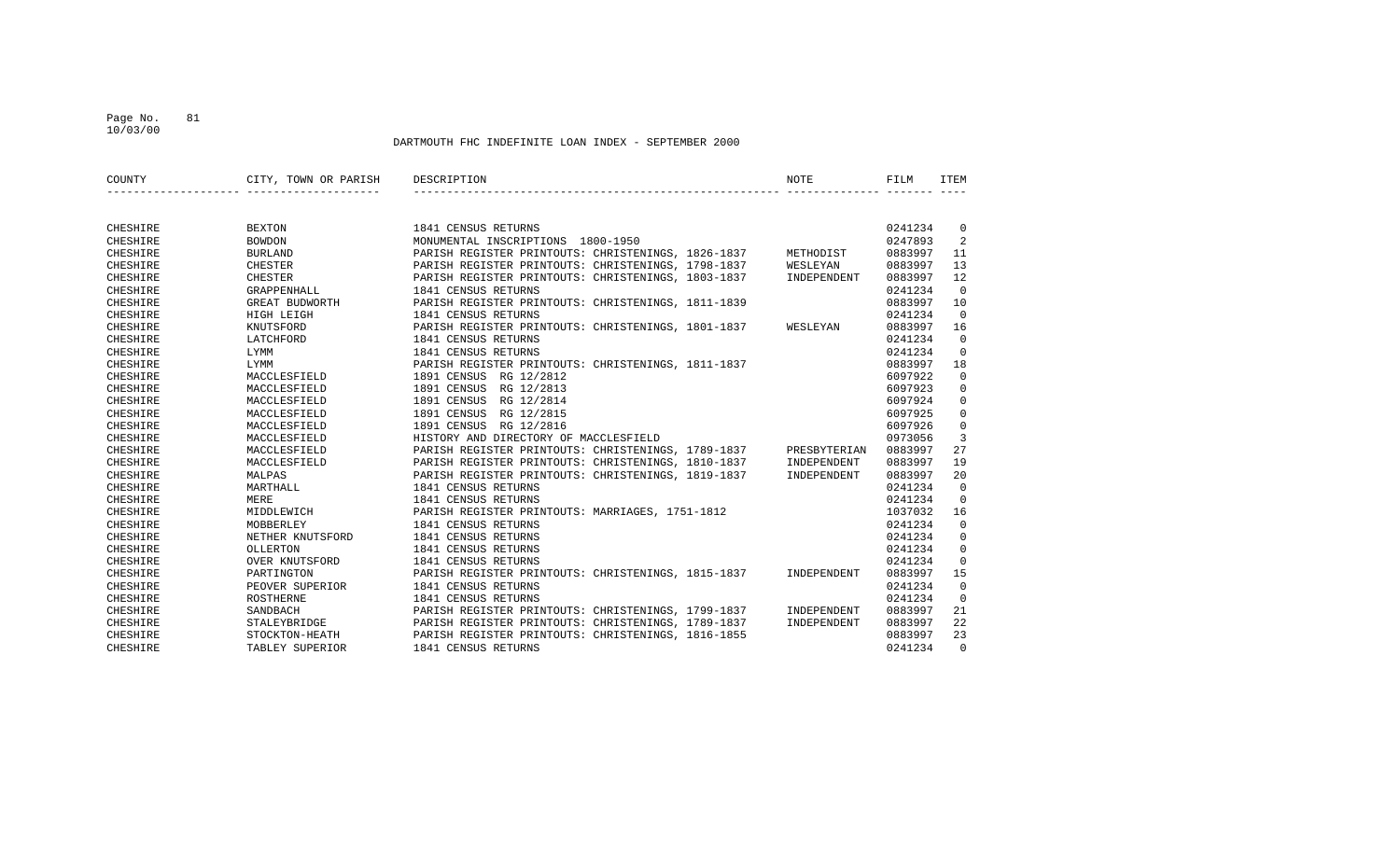### Page No. 81 10/03/00

| COUNTY   | CITY, TOWN OR PARISH | DESCRIPTION                                        | <b>NOTE</b>  | FILM    | <b>ITEM</b>    |
|----------|----------------------|----------------------------------------------------|--------------|---------|----------------|
|          |                      |                                                    |              |         |                |
| CHESHIRE | <b>BEXTON</b>        | 1841 CENSUS RETURNS                                |              | 0241234 | 0              |
| CHESHIRE | <b>BOWDON</b>        | MONUMENTAL INSCRIPTIONS 1800-1950                  |              | 0247893 | 2              |
| CHESHIRE | <b>BURLAND</b>       | PARISH REGISTER PRINTOUTS: CHRISTENINGS, 1826-1837 | METHODIST    | 0883997 | 11             |
| CHESHIRE | <b>CHESTER</b>       | PARISH REGISTER PRINTOUTS: CHRISTENINGS, 1798-1837 | WESLEYAN     | 0883997 | 13             |
| CHESHIRE | CHESTER              | PARISH REGISTER PRINTOUTS: CHRISTENINGS, 1803-1837 | INDEPENDENT  | 0883997 | 12             |
| CHESHIRE | GRAPPENHALL          | 1841 CENSUS RETURNS                                |              | 0241234 | $\Omega$       |
| CHESHIRE | GREAT BUDWORTH       | PARISH REGISTER PRINTOUTS: CHRISTENINGS, 1811-1839 |              | 0883997 | 10             |
| CHESHIRE | HIGH LEIGH           | 1841 CENSUS RETURNS                                |              | 0241234 | $\Omega$       |
| CHESHIRE | KNUTSFORD            | PARISH REGISTER PRINTOUTS: CHRISTENINGS, 1801-1837 | WESLEYAN     | 0883997 | 16             |
| CHESHIRE | LATCHFORD            | 1841 CENSUS RETURNS                                |              | 0241234 | $\Omega$       |
| CHESHIRE | LYMM                 | 1841 CENSUS RETURNS                                |              | 0241234 | $\Omega$       |
| CHESHIRE | LYMM                 | PARISH REGISTER PRINTOUTS: CHRISTENINGS, 1811-1837 |              | 0883997 | 18             |
| CHESHIRE | MACCLESFIELD         | 1891 CENSUS RG 12/2812                             |              | 6097922 | $\mathbf 0$    |
| CHESHIRE | MACCLESFIELD         | 1891 CENSUS RG 12/2813                             |              | 6097923 | $\mathbf 0$    |
| CHESHIRE | MACCLESFIELD         | 1891 CENSUS RG 12/2814                             |              | 6097924 | $\mathbf 0$    |
| CHESHIRE | MACCLESFIELD         | 1891 CENSUS<br>RG 12/2815                          |              | 6097925 | $\mathbf 0$    |
| CHESHIRE | MACCLESFIELD         | 1891 CENSUS<br>RG 12/2816                          |              | 6097926 | $\mathbf 0$    |
| CHESHIRE | MACCLESFIELD         | HISTORY AND DIRECTORY OF MACCLESFIELD              |              | 0973056 | 3              |
| CHESHIRE | MACCLESFIELD         | PARISH REGISTER PRINTOUTS: CHRISTENINGS, 1789-1837 | PRESBYTERIAN | 0883997 | 27             |
| CHESHIRE | MACCLESFIELD         | PARISH REGISTER PRINTOUTS: CHRISTENINGS, 1810-1837 | INDEPENDENT  | 0883997 | 19             |
| CHESHIRE | MALPAS               | PARISH REGISTER PRINTOUTS: CHRISTENINGS, 1819-1837 | INDEPENDENT  | 0883997 | 20             |
| CHESHIRE | MARTHALL             | 1841 CENSUS RETURNS                                |              | 0241234 | $\Omega$       |
| CHESHIRE | MERE                 | 1841 CENSUS RETURNS                                |              | 0241234 | $\Omega$       |
| CHESHIRE | MIDDLEWICH           | PARISH REGISTER PRINTOUTS: MARRIAGES, 1751-1812    |              | 1037032 | 16             |
| CHESHIRE | MOBBERLEY            | 1841 CENSUS RETURNS                                |              | 0241234 | $\Omega$       |
| CHESHIRE | NETHER KNUTSFORD     | 1841 CENSUS RETURNS                                |              | 0241234 | $\mathbf 0$    |
| CHESHIRE | OLLERTON             | 1841 CENSUS RETURNS                                |              | 0241234 | $\mathbf 0$    |
| CHESHIRE | OVER KNUTSFORD       | 1841 CENSUS RETURNS                                |              | 0241234 | $\mathbf 0$    |
| CHESHIRE | PARTINGTON           | PARISH REGISTER PRINTOUTS: CHRISTENINGS, 1815-1837 | INDEPENDENT  | 0883997 | 15             |
| CHESHIRE | PEOVER SUPERIOR      | 1841 CENSUS RETURNS                                |              | 0241234 | $\Omega$       |
| CHESHIRE | ROSTHERNE            | 1841 CENSUS RETURNS                                |              | 0241234 | $\overline{0}$ |
| CHESHIRE | SANDBACH             | PARISH REGISTER PRINTOUTS: CHRISTENINGS, 1799-1837 | INDEPENDENT  | 0883997 | 21             |
| CHESHIRE | STALEYBRIDGE         | PARISH REGISTER PRINTOUTS: CHRISTENINGS, 1789-1837 | INDEPENDENT  | 0883997 | 22             |
| CHESHIRE | STOCKTON-HEATH       | PARISH REGISTER PRINTOUTS: CHRISTENINGS, 1816-1855 |              | 0883997 | 23             |
| CHESHIRE | TABLEY SUPERIOR      | 1841 CENSUS RETURNS                                |              | 0241234 | $\Omega$       |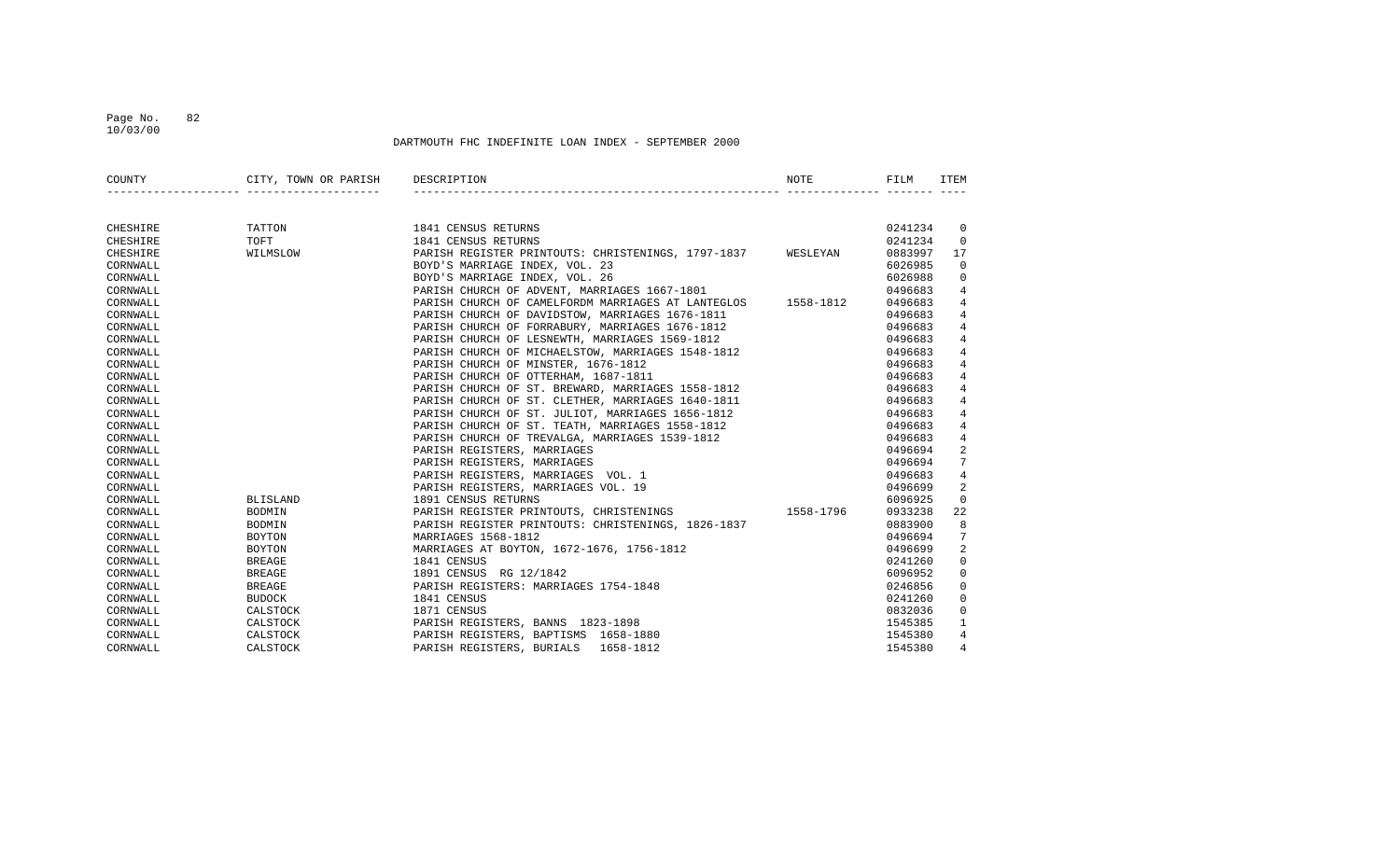### Page No. 82 10/03/00

| COUNTY   | CITY, TOWN OR PARISH DESCRIPTION |                                                                                                                                                                                                                                                  | NOTE | FILM    | <b>TTEM</b>     |
|----------|----------------------------------|--------------------------------------------------------------------------------------------------------------------------------------------------------------------------------------------------------------------------------------------------|------|---------|-----------------|
|          |                                  |                                                                                                                                                                                                                                                  |      |         |                 |
| CHESHIRE | TATTON                           | 1841 CENSUS RETURNS                                                                                                                                                                                                                              |      | 0241234 | $\overline{0}$  |
| CHESHIRE | TOFT                             | 1841 CENSUS RETURNS                                                                                                                                                                                                                              |      | 0241234 | $\Omega$        |
| CHESHIRE | WILMSLOW                         | PARISH REGISTER PRINTOUTS: CHRISTENINGS, 1797-1837 WESLEYAN                                                                                                                                                                                      |      | 0883997 | 17              |
| CORNWALL |                                  | BOYD'S MARRIAGE INDEX, VOL. 23                                                                                                                                                                                                                   |      | 6026985 | $\overline{0}$  |
| CORNWALL |                                  | BOYD'S MARRIAGE INDEX, VOL. 26                                                                                                                                                                                                                   |      | 6026988 | $\overline{0}$  |
| CORNWALL |                                  | PARISH CHURCH OF ADVENT, MARRIAGES 1667-1801                                                                                                                                                                                                     |      | 0496683 | $\overline{4}$  |
| CORNWALL |                                  | PARISH CHURCH OF CAMELFORDM MARRIAGES AT LANTEGLOS 1558-1812                                                                                                                                                                                     |      | 0496683 | 4               |
| CORNWALL |                                  | PARISH CHURCH OF DAVIDSTOW, MARRIAGES 1676-1811                                                                                                                                                                                                  |      | 0496683 | 4               |
| CORNWALL |                                  | PARISH CHURCH OF FORRABURY, MARRIAGES 1676-1812                                                                                                                                                                                                  |      | 0496683 | 4               |
| CORNWALL |                                  | PARISH CHURCH OF LESNEWTH, MARRIAGES 1569-1812                                                                                                                                                                                                   |      | 0496683 | $\overline{4}$  |
| CORNWALL |                                  | PARISH CHURCH OF MICHAELSTOW, MARRIAGES 1548-1812                                                                                                                                                                                                |      | 0496683 | $\overline{4}$  |
| CORNWALL |                                  | PARISH CHURCH OF MINSTER, 1676-1812                                                                                                                                                                                                              |      | 0496683 | $\overline{4}$  |
| CORNWALL |                                  | PARISH CHURCH OF OTTERHAM, 1687-1811                                                                                                                                                                                                             |      | 0496683 | $\overline{4}$  |
| CORNWALL |                                  |                                                                                                                                                                                                                                                  |      | 0496683 | $\overline{4}$  |
| CORNWALL |                                  |                                                                                                                                                                                                                                                  |      | 0496683 | $4\overline{ }$ |
| CORNWALL |                                  |                                                                                                                                                                                                                                                  |      | 0496683 | $\overline{4}$  |
| CORNWALL |                                  | PARISH CHURCH OF ST. BREWARD, MARRIAGES 1558-1812<br>PARISH CHURCH OF ST. CLETHER, MARRIAGES 1640-1811<br>PARISH CHURCH OF ST. JULIOT, MARRIAGES 1656-1812<br>PARISH CHURCH OF ST. TEATH, MARRIAGES 1558-1812                                    |      | 0496683 | $4\overline{ }$ |
| CORNWALL |                                  | PARISH CHURCH OF TREVALGA, MARRIAGES 1539-1812<br>PARISH REGISTERS, MARRIAGES<br>PARISH REGISTERS, MARRIAGES<br>PARISH REGISTERS, MARRIAGES<br>PARISH REGISTERS, MARRIAGES VOL. 1<br>PARISH REGISTERS, MARRIAGES VOL. 19<br>PARISH REGISTERS, MA |      | 0496683 | 4               |
| CORNWALL |                                  |                                                                                                                                                                                                                                                  |      | 0496694 | $\overline{2}$  |
| CORNWALL |                                  |                                                                                                                                                                                                                                                  |      | 0496694 | $7\overline{ }$ |
| CORNWALL |                                  |                                                                                                                                                                                                                                                  |      | 0496683 | $\overline{4}$  |
| CORNWALL |                                  |                                                                                                                                                                                                                                                  |      | 0496699 | 2               |
| CORNWALL | BLISLAND                         | 1891 CENSUS RETURNS                                                                                                                                                                                                                              |      | 6096925 | $\overline{0}$  |
| CORNWALL | BODMIN                           | PARISH REGISTER PRINTOUTS, CHRISTENINGS 1558-1796                                                                                                                                                                                                |      | 0933238 | 22              |
| CORNWALL | BODMIN                           | PARISH REGISTER PRINTOUTS: CHRISTENINGS, 1826-1837                                                                                                                                                                                               |      | 0883900 | 8               |
| CORNWALL | <b>BOYTON</b>                    | MARRIAGES 1568-1812                                                                                                                                                                                                                              |      | 0496694 | 7               |
| CORNWALL | BOYTON                           | MARRIAGES AT BOYTON, 1672-1676, 1756-1812                                                                                                                                                                                                        |      | 0496699 | 2               |
| CORNWALL | <b>BREAGE</b>                    | 1841 CENSUS                                                                                                                                                                                                                                      |      | 0241260 | $\mathbf 0$     |
| CORNWALL | <b>BREAGE</b>                    | 1891 CENSUS RG 12/1842                                                                                                                                                                                                                           |      | 6096952 | $\mathbf 0$     |
| CORNWALL | <b>BREAGE</b>                    | PARISH REGISTERS: MARRIAGES 1754-1848                                                                                                                                                                                                            |      | 0246856 | 0               |
| CORNWALL | BUDOCK                           | 1841 CENSUS                                                                                                                                                                                                                                      |      | 0241260 | 0               |
| CORNWALL | CALSTOCK                         | 1871 CENSUS                                                                                                                                                                                                                                      |      | 0832036 | 0               |
| CORNWALL | CALSTOCK                         | PARISH REGISTERS, BANNS 1823-1898                                                                                                                                                                                                                |      | 1545385 | $\mathbf{1}$    |
| CORNWALL | CALSTOCK                         | PARISH REGISTERS, BAPTISMS 1658-1880                                                                                                                                                                                                             |      | 1545380 | $4\overline{ }$ |
| CORNWALL | CALSTOCK                         | PARISH REGISTERS, BURIALS 1658-1812                                                                                                                                                                                                              |      | 1545380 | 4               |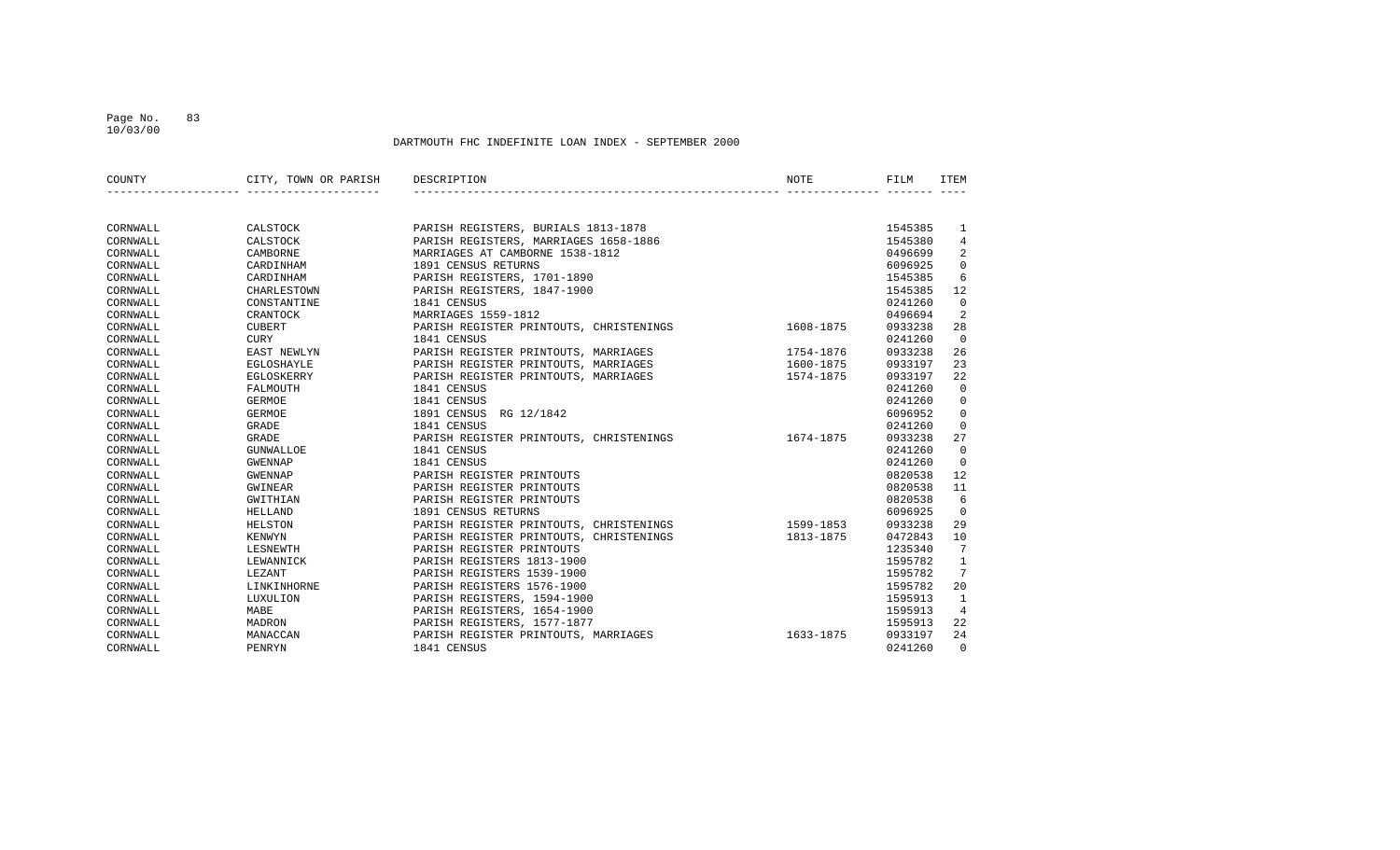### Page No. 83 10/03/00

| COUNTY   | CITY, TOWN OR PARISH | DESCRIPTION                             | NOTE      | FILM    | ITEM           |
|----------|----------------------|-----------------------------------------|-----------|---------|----------------|
|          |                      |                                         |           |         |                |
| CORNWALL | CALSTOCK             | PARISH REGISTERS, BURIALS 1813-1878     |           | 1545385 | 1              |
| CORNWALL | CALSTOCK             | PARISH REGISTERS, MARRIAGES 1658-1886   |           | 1545380 | $\overline{4}$ |
| CORNWALL | CAMBORNE             | MARRIAGES AT CAMBORNE 1538-1812         |           | 0496699 | 2              |
| CORNWALL | CARDINHAM            | 1891 CENSUS RETURNS                     |           | 6096925 | $\mathbf 0$    |
| CORNWALL | CARDINHAM            | PARISH REGISTERS, 1701-1890             |           | 1545385 | 6              |
| CORNWALL | CHARLESTOWN          | PARISH REGISTERS, 1847-1900             |           | 1545385 | 12             |
| CORNWALL | CONSTANTINE          | 1841 CENSUS                             |           | 0241260 | $\mathbf 0$    |
| CORNWALL | CRANTOCK             | MARRIAGES 1559-1812                     |           | 0496694 | 2              |
| CORNWALL | <b>CUBERT</b>        | PARISH REGISTER PRINTOUTS, CHRISTENINGS | 1608-1875 | 0933238 | 28             |
| CORNWALL | CURY                 | 1841 CENSUS                             |           | 0241260 | $\overline{0}$ |
| CORNWALL | EAST NEWLYN          | PARISH REGISTER PRINTOUTS, MARRIAGES    | 1754-1876 | 0933238 | 26             |
| CORNWALL | EGLOSHAYLE           | PARISH REGISTER PRINTOUTS, MARRIAGES    | 1600-1875 | 0933197 | 23             |
| CORNWALL | EGLOSKERRY           | PARISH REGISTER PRINTOUTS, MARRIAGES    | 1574-1875 | 0933197 | 22             |
| CORNWALL | FALMOUTH             | 1841 CENSUS                             |           | 0241260 | $\overline{0}$ |
| CORNWALL | <b>GERMOE</b>        | 1841 CENSUS                             |           | 0241260 | $\mathbf 0$    |
| CORNWALL | <b>GERMOE</b>        | 1891 CENSUS<br>RG 12/1842               |           | 6096952 | $\mathbf 0$    |
| CORNWALL | <b>GRADE</b>         | 1841 CENSUS                             |           | 0241260 | $\mathbf 0$    |
| CORNWALL | <b>GRADE</b>         | PARISH REGISTER PRINTOUTS, CHRISTENINGS | 1674-1875 | 0933238 | 27             |
| CORNWALL | GUNWALLOE            | 1841 CENSUS                             |           | 0241260 | $\overline{0}$ |
| CORNWALL | <b>GWENNAP</b>       | 1841 CENSUS                             |           | 0241260 | $\overline{0}$ |
| CORNWALL | GWENNAP              | PARISH REGISTER PRINTOUTS               |           | 0820538 | 12             |
| CORNWALL | GWINEAR              | PARISH REGISTER PRINTOUTS               |           | 0820538 | 11             |
| CORNWALL | GWITHIAN             | PARISH REGISTER PRINTOUTS               |           | 0820538 | 6              |
| CORNWALL | HELLAND              | 1891 CENSUS RETURNS                     |           | 6096925 | $\overline{0}$ |
| CORNWALL | HELSTON              | PARISH REGISTER PRINTOUTS, CHRISTENINGS | 1599-1853 | 0933238 | 29             |
| CORNWALL | <b>KENWYN</b>        | PARISH REGISTER PRINTOUTS, CHRISTENINGS | 1813-1875 | 0472843 | 10             |
| CORNWALL | LESNEWTH             | PARISH REGISTER PRINTOUTS               |           | 1235340 | 7              |
| CORNWALL | LEWANNICK            | PARISH REGISTERS 1813-1900              |           | 1595782 | $\mathbf{1}$   |
| CORNWALL | LEZANT               | PARISH REGISTERS 1539-1900              |           | 1595782 | 7              |
| CORNWALL | LINKINHORNE          | PARISH REGISTERS 1576-1900              |           | 1595782 | 20             |
| CORNWALL | LUXULION             | PARISH REGISTERS, 1594-1900             |           | 1595913 | $\mathbf{1}$   |
| CORNWALL | MABE                 | PARISH REGISTERS, 1654-1900             |           | 1595913 | $\overline{4}$ |
| CORNWALL | MADRON               | PARISH REGISTERS, 1577-1877             |           | 1595913 | 22             |
| CORNWALL | MANACCAN             | PARISH REGISTER PRINTOUTS, MARRIAGES    | 1633-1875 | 0933197 | 24             |
| CORNWALL | PENRYN               | 1841 CENSUS                             |           | 0241260 | $\Omega$       |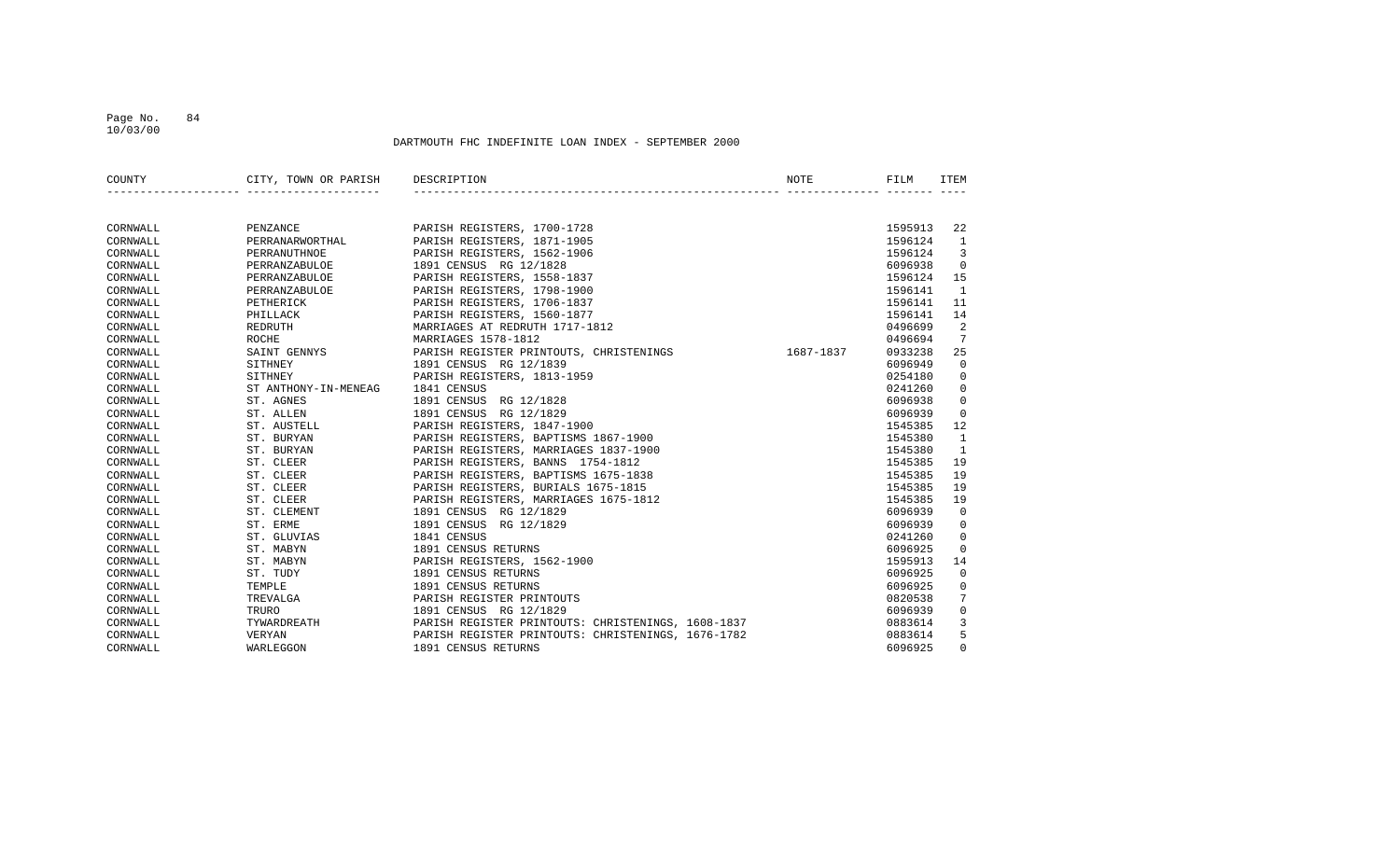### Page No. 84 10/03/00

| COUNTY   | CITY, TOWN OR PARISH | DESCRIPTION                                        | <b>NOTE</b> | FILM    | <b>ITEM</b>  |
|----------|----------------------|----------------------------------------------------|-------------|---------|--------------|
|          |                      |                                                    |             |         |              |
| CORNWALL | PENZANCE             | PARISH REGISTERS, 1700-1728                        |             | 1595913 | 22           |
| CORNWALL | PERRANARWORTHAL      | PARISH REGISTERS, 1871-1905                        |             | 1596124 | $\mathbf{1}$ |
| CORNWALL | PERRANUTHNOE         | PARISH REGISTERS, 1562-1906                        |             | 1596124 | 3            |
| CORNWALL | PERRANZABULOE        | 1891 CENSUS RG 12/1828                             |             | 6096938 | $\Omega$     |
| CORNWALL | PERRANZABULOE        | PARISH REGISTERS, 1558-1837                        |             | 1596124 | 15           |
| CORNWALL | PERRANZABULOE        | PARISH REGISTERS, 1798-1900                        |             | 1596141 | 1            |
| CORNWALL | PETHERICK            | PARISH REGISTERS, 1706-1837                        |             | 1596141 | 11           |
| CORNWALL | PHILLACK             | PARISH REGISTERS, 1560-1877                        |             | 1596141 | 14           |
| CORNWALL | REDRUTH              | MARRIAGES AT REDRUTH 1717-1812                     |             | 0496699 | 2            |
| CORNWALL | ROCHE                | MARRIAGES 1578-1812                                |             | 0496694 | 7            |
| CORNWALL | SAINT GENNYS         | PARISH REGISTER PRINTOUTS, CHRISTENINGS            | 1687-1837   | 0933238 | 25           |
| CORNWALL | SITHNEY              | 1891 CENSUS RG 12/1839                             |             | 6096949 | $\mathbf 0$  |
| CORNWALL | SITHNEY              | PARISH REGISTERS, 1813-1959                        |             | 0254180 | $\mathbf 0$  |
| CORNWALL | ST ANTHONY-IN-MENEAG | 1841 CENSUS                                        |             | 0241260 | $\mathbf 0$  |
| CORNWALL | ST. AGNES            | 1891 CENSUS<br>RG 12/1828                          |             | 6096938 | $\mathbf 0$  |
| CORNWALL | ST. ALLEN            | 1891 CENSUS RG 12/1829                             |             | 6096939 | $\mathbf 0$  |
| CORNWALL | ST. AUSTELL          | PARISH REGISTERS, 1847-1900                        |             | 1545385 | 12           |
| CORNWALL | ST. BURYAN           | PARISH REGISTERS, BAPTISMS 1867-1900               |             | 1545380 | $\mathbf{1}$ |
| CORNWALL | ST. BURYAN           | PARISH REGISTERS, MARRIAGES 1837-1900              |             | 1545380 | 1            |
| CORNWALL | ST. CLEER            | PARISH REGISTERS, BANNS 1754-1812                  |             | 1545385 | 19           |
| CORNWALL | ST. CLEER            | PARISH REGISTERS, BAPTISMS 1675-1838               |             | 1545385 | 19           |
| CORNWALL | ST. CLEER            | PARISH REGISTERS, BURIALS 1675-1815                |             | 1545385 | 19           |
| CORNWALL | ST. CLEER            | PARISH REGISTERS, MARRIAGES 1675-1812              |             | 1545385 | 19           |
| CORNWALL | ST. CLEMENT          | 1891 CENSUS RG 12/1829                             |             | 6096939 | $\mathbf 0$  |
| CORNWALL | ST. ERME             | 1891 CENSUS<br>RG 12/1829                          |             | 6096939 | $\mathbf 0$  |
| CORNWALL | ST. GLUVIAS          | 1841 CENSUS                                        |             | 0241260 | $\mathbf 0$  |
| CORNWALL | ST. MABYN            | 1891 CENSUS RETURNS                                |             | 6096925 | $\mathbf 0$  |
| CORNWALL | ST. MABYN            | PARISH REGISTERS, 1562-1900                        |             | 1595913 | 14           |
| CORNWALL | ST. TUDY             | 1891 CENSUS RETURNS                                |             | 6096925 | $\mathbf 0$  |
| CORNWALL | TEMPLE               | 1891 CENSUS RETURNS                                |             | 6096925 | $\mathbf 0$  |
| CORNWALL | TREVALGA             | PARISH REGISTER PRINTOUTS                          |             | 0820538 | 7            |
| CORNWALL | TRURO                | 1891 CENSUS RG 12/1829                             |             | 6096939 | $\mathbf 0$  |
| CORNWALL | TYWARDREATH          | PARISH REGISTER PRINTOUTS: CHRISTENINGS, 1608-1837 |             | 0883614 | 3            |
| CORNWALL | VERYAN               | PARISH REGISTER PRINTOUTS: CHRISTENINGS, 1676-1782 |             | 0883614 | 5            |
| CORNWALL | WARLEGGON            | 1891 CENSUS RETURNS                                |             | 6096925 | $\Omega$     |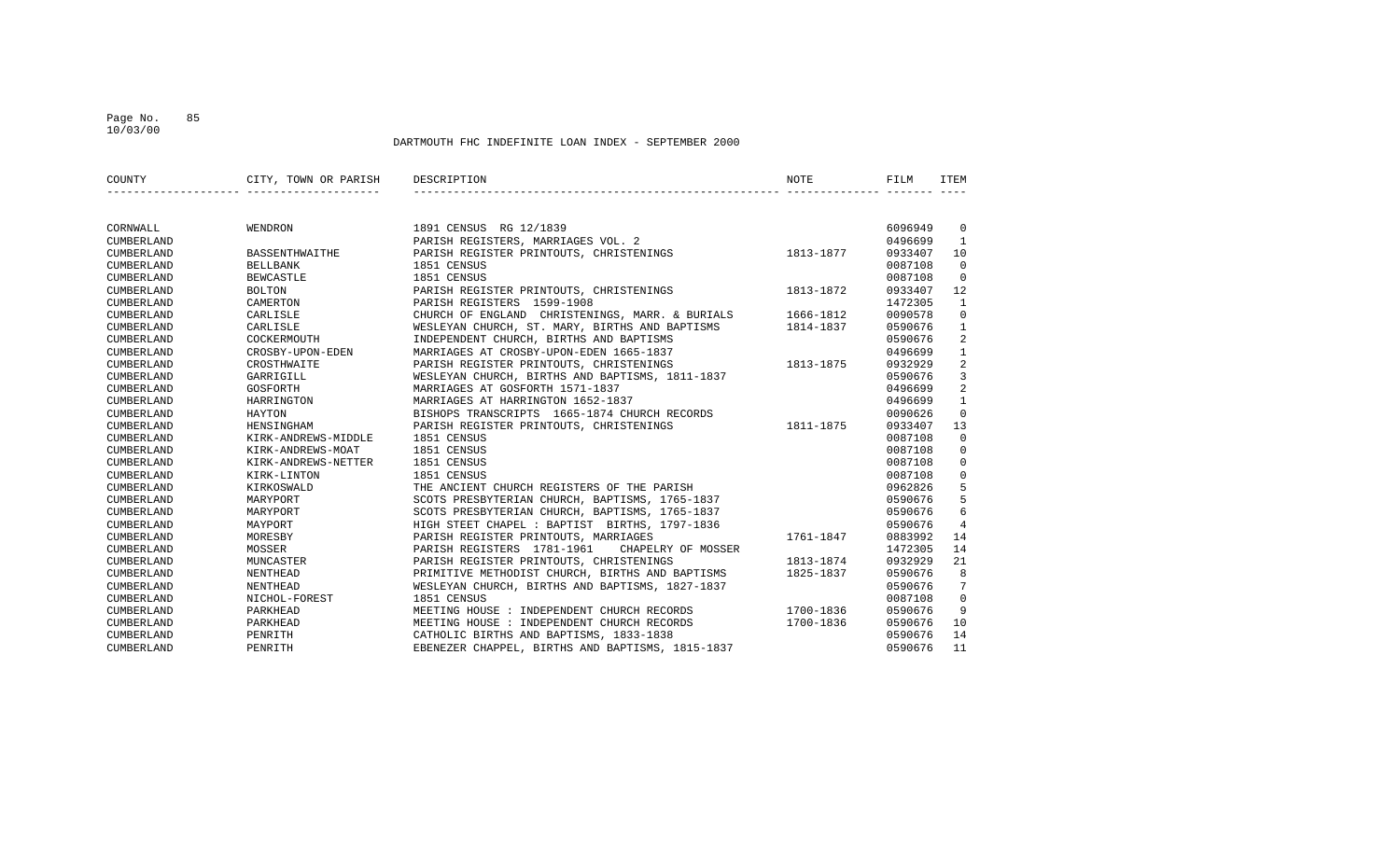10/03/00

| COUNTY     | CITY, TOWN OR PARISH | DESCRIPTION                                      | <b>NOTE</b> | FILM    | <b>ITEM</b>     |
|------------|----------------------|--------------------------------------------------|-------------|---------|-----------------|
|            |                      |                                                  |             |         |                 |
| CORNWALL   | WENDRON              | 1891 CENSUS RG 12/1839                           |             | 6096949 | $\mathbf 0$     |
| CUMBERLAND |                      | PARISH REGISTERS, MARRIAGES VOL. 2               |             | 0496699 | 1               |
| CUMBERLAND | BASSENTHWAITHE       | PARISH REGISTER PRINTOUTS, CHRISTENINGS          | 1813-1877   | 0933407 | 10              |
| CUMBERLAND | <b>BELLBANK</b>      | 1851 CENSUS                                      |             | 0087108 | $\mathbf 0$     |
| CUMBERLAND | <b>BEWCASTLE</b>     | 1851 CENSUS                                      |             | 0087108 | $\mathbf 0$     |
| CUMBERLAND | <b>BOLTON</b>        | PARISH REGISTER PRINTOUTS, CHRISTENINGS          | 1813-1872   | 0933407 | 12              |
| CUMBERLAND | CAMERTON             | PARISH REGISTERS 1599-1908                       |             | 1472305 | $\mathbf{1}$    |
| CUMBERLAND | CARLISLE             | CHURCH OF ENGLAND CHRISTENINGS, MARR. & BURIALS  | 1666-1812   | 0090578 | $\Omega$        |
| CUMBERLAND | CARLISLE             | WESLEYAN CHURCH, ST. MARY, BIRTHS AND BAPTISMS   | 1814-1837   | 0590676 | $\mathbf{1}$    |
| CUMBERLAND | COCKERMOUTH          | INDEPENDENT CHURCH, BIRTHS AND BAPTISMS          |             | 0590676 | 2               |
| CUMBERLAND | CROSBY-UPON-EDEN     | MARRIAGES AT CROSBY-UPON-EDEN 1665-1837          |             | 0496699 | $\mathbf{1}$    |
| CUMBERLAND | CROSTHWAITE          | PARISH REGISTER PRINTOUTS, CHRISTENINGS          | 1813-1875   | 0932929 | 2               |
| CUMBERLAND | GARRIGILL            | WESLEYAN CHURCH, BIRTHS AND BAPTISMS, 1811-1837  |             | 0590676 | 3               |
| CUMBERLAND | GOSFORTH             | MARRIAGES AT GOSFORTH 1571-1837                  |             | 0496699 | $\overline{2}$  |
| CUMBERLAND | HARRINGTON           | MARRIAGES AT HARRINGTON 1652-1837                |             | 0496699 | $\mathbf{1}$    |
| CUMBERLAND | HAYTON               | BISHOPS TRANSCRIPTS 1665-1874 CHURCH RECORDS     |             | 0090626 | $\mathbf 0$     |
| CUMBERLAND | HENSINGHAM           | PARISH REGISTER PRINTOUTS, CHRISTENINGS          | 1811-1875   | 0933407 | 13              |
| CUMBERLAND | KIRK-ANDREWS-MIDDLE  | 1851 CENSUS                                      |             | 0087108 | $\mathbf 0$     |
| CUMBERLAND | KIRK-ANDREWS-MOAT    | 1851 CENSUS                                      |             | 0087108 | $\Omega$        |
| CUMBERLAND | KIRK-ANDREWS-NETTER  | 1851 CENSUS                                      |             | 0087108 | $\Omega$        |
| CUMBERLAND | KIRK-LINTON          | 1851 CENSUS                                      |             | 0087108 | $\mathbf 0$     |
| CUMBERLAND | KIRKOSWALD           | THE ANCIENT CHURCH REGISTERS OF THE PARISH       |             | 0962826 | 5               |
| CUMBERLAND | MARYPORT             | SCOTS PRESBYTERIAN CHURCH, BAPTISMS, 1765-1837   |             | 0590676 | 5               |
| CUMBERLAND | MARYPORT             | SCOTS PRESBYTERIAN CHURCH, BAPTISMS, 1765-1837   |             | 0590676 | 6               |
| CUMBERLAND | MAYPORT              | HIGH STEET CHAPEL : BAPTIST BIRTHS, 1797-1836    |             | 0590676 | $\overline{4}$  |
| CUMBERLAND | MORESBY              | PARISH REGISTER PRINTOUTS, MARRIAGES             | 1761-1847   | 0883992 | 14              |
| CUMBERLAND | MOSSER               | PARISH REGISTERS 1781-1961<br>CHAPELRY OF MOSSER |             | 1472305 | 14              |
| CUMBERLAND | MUNCASTER            | PARISH REGISTER PRINTOUTS, CHRISTENINGS          | 1813-1874   | 0932929 | 21              |
| CUMBERLAND | NENTHEAD             | PRIMITIVE METHODIST CHURCH, BIRTHS AND BAPTISMS  | 1825-1837   | 0590676 | 8               |
| CUMBERLAND | <b>NENTHEAD</b>      | WESLEYAN CHURCH, BIRTHS AND BAPTISMS, 1827-1837  |             | 0590676 | $7\overline{ }$ |
| CUMBERLAND | NICHOL-FOREST        | 1851 CENSUS                                      |             | 0087108 | $\Omega$        |
| CUMBERLAND | PARKHEAD             | MEETING HOUSE : INDEPENDENT CHURCH RECORDS       | 1700-1836   | 0590676 | 9               |
| CUMBERLAND | PARKHEAD             | MEETING HOUSE : INDEPENDENT CHURCH RECORDS       | 1700-1836   | 0590676 | 10              |
| CUMBERLAND | PENRITH              | CATHOLIC BIRTHS AND BAPTISMS, 1833-1838          |             | 0590676 | 14              |
| CUMBERLAND | PENRITH              | EBENEZER CHAPPEL, BIRTHS AND BAPTISMS, 1815-1837 |             | 0590676 | 11              |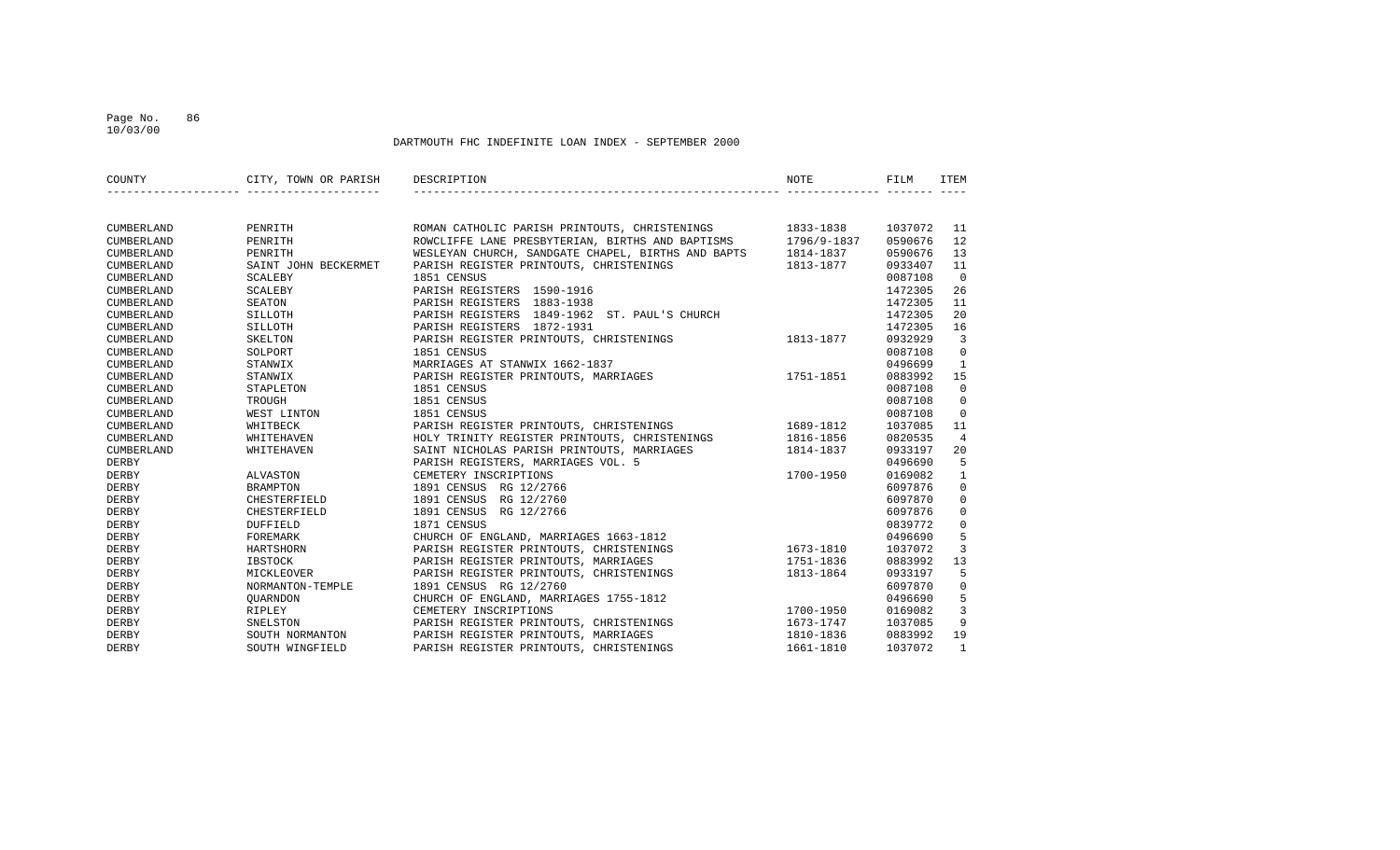### Page No. 86 10/03/00

| COUNTY       | CITY, TOWN OR PARISH DESCRIPTION |                                                              | <b>NOTE</b> | FILM    | ITEM           |
|--------------|----------------------------------|--------------------------------------------------------------|-------------|---------|----------------|
|              |                                  |                                                              |             |         |                |
| CUMBERLAND   | PENRITH                          | ROMAN CATHOLIC PARISH PRINTOUTS, CHRISTENINGS 1833-1838      |             | 1037072 | 11             |
| CUMBERLAND   | PENRITH                          | ROWCLIFFE LANE PRESBYTERIAN, BIRTHS AND BAPTISMS 1796/9-1837 |             | 0590676 | 12             |
| CUMBERLAND   | PENRITH                          | WESLEYAN CHURCH, SANDGATE CHAPEL, BIRTHS AND BAPTS           | 1814-1837   | 0590676 | 13             |
| CUMBERLAND   | SAINT JOHN BECKERMET             | PARISH REGISTER PRINTOUTS, CHRISTENINGS                      | 1813-1877   | 0933407 | 11             |
| CUMBERLAND   | <b>SCALEBY</b>                   | 1851 CENSUS                                                  |             | 0087108 | $\overline{0}$ |
| CUMBERLAND   | SCALEBY                          | PARISH REGISTERS 1590-1916                                   |             | 1472305 | 26             |
| CUMBERLAND   | SEATON                           | PARISH REGISTERS 1883-1938                                   |             | 1472305 | 11             |
| CUMBERLAND   | SILLOTH                          | PARISH REGISTERS 1849-1962 ST. PAUL'S CHURCH                 |             | 1472305 | 20             |
| CUMBERLAND   | SILLOTH                          | PARISH REGISTERS 1872-1931                                   |             | 1472305 | 16             |
| CUMBERLAND   | SKELTON                          | PARISH REGISTER PRINTOUTS, CHRISTENINGS                      | 1813-1877   | 0932929 | $\overline{3}$ |
| CUMBERLAND   | SOLPORT                          | 1851 CENSUS                                                  |             | 0087108 | $\mathbf 0$    |
| CUMBERLAND   | STANWIX                          | MARRIAGES AT STANWIX 1662-1837                               |             | 0496699 | $\mathbf{1}$   |
| CUMBERLAND   | STANWIX                          | PARISH REGISTER PRINTOUTS, MARRIAGES                         | 1751-1851   | 0883992 | 15             |
| CUMBERLAND   | STAPLETON                        | 1851 CENSUS                                                  |             | 0087108 | $\mathbf 0$    |
| CUMBERLAND   | TROUGH                           | 1851 CENSUS                                                  |             | 0087108 | $\mathbf 0$    |
| CUMBERLAND   | WEST LINTON                      | 1851 CENSUS                                                  |             | 0087108 | $\overline{0}$ |
| CUMBERLAND   | WHITBECK                         | PARISH REGISTER PRINTOUTS, CHRISTENINGS 1689-1812            |             | 1037085 | 11             |
| CUMBERLAND   | WHITEHAVEN                       | HOLY TRINITY REGISTER PRINTOUTS, CHRISTENINGS                | 1816-1856   | 0820535 | $\overline{4}$ |
| CUMBERLAND   | WHITEHAVEN                       | SAINT NICHOLAS PARISH PRINTOUTS, MARRIAGES                   | 1814-1837   | 0933197 | 20             |
| DERBY        |                                  | PARISH REGISTERS, MARRIAGES VOL. 5                           |             | 0496690 | 5              |
| DERBY        | ALVASTON                         | CEMETERY INSCRIPTIONS                                        | 1700-1950   | 0169082 | $\mathbf{1}$   |
| DERBY        | <b>BRAMPTON</b>                  | 1891 CENSUS RG 12/2766                                       |             | 6097876 | $\mathbf 0$    |
| DERBY        | CHESTERFIELD                     | 1891 CENSUS RG 12/2760                                       |             | 6097870 | $\mathbf 0$    |
| DERBY        | CHESTERFIELD                     | 1891 CENSUS<br>RG 12/2766                                    |             | 6097876 | $\mathbf 0$    |
| DERBY        | <b>DUFFIELD</b>                  | 1871 CENSUS                                                  |             | 0839772 | $\mathbf 0$    |
| DERBY        | FOREMARK                         | CHURCH OF ENGLAND, MARRIAGES 1663-1812                       |             | 0496690 | 5              |
| DERBY        | HARTSHORN                        | PARISH REGISTER PRINTOUTS, CHRISTENINGS                      | 1673-1810   | 1037072 | $\overline{3}$ |
| DERBY        | IBSTOCK                          | PARISH REGISTER PRINTOUTS, MARRIAGES                         | 1751-1836   | 0883992 | 13             |
| DERBY        | MICKLEOVER                       | PARISH REGISTER PRINTOUTS, CHRISTENINGS                      | 1813-1864   | 0933197 | 5              |
| <b>DERBY</b> | NORMANTON-TEMPLE                 | 1891 CENSUS RG 12/2760                                       |             | 6097870 | $\mathbf 0$    |
| DERBY        | QUARNDON                         | CHURCH OF ENGLAND, MARRIAGES 1755-1812                       |             | 0496690 | 5              |
| DERBY        | RIPLEY                           | CEMETERY INSCRIPTIONS                                        | 1700-1950   | 0169082 | $\overline{3}$ |
| DERBY        | SNELSTON                         | PARISH REGISTER PRINTOUTS, CHRISTENINGS                      | 1673-1747   | 1037085 | 9              |
| DERBY        | SOUTH NORMANTON                  | PARISH REGISTER PRINTOUTS, MARRIAGES                         | 1810-1836   | 0883992 | 19             |
| DERBY        | SOUTH WINGFIELD                  | PARISH REGISTER PRINTOUTS, CHRISTENINGS                      | 1661-1810   | 1037072 | $\mathbf{1}$   |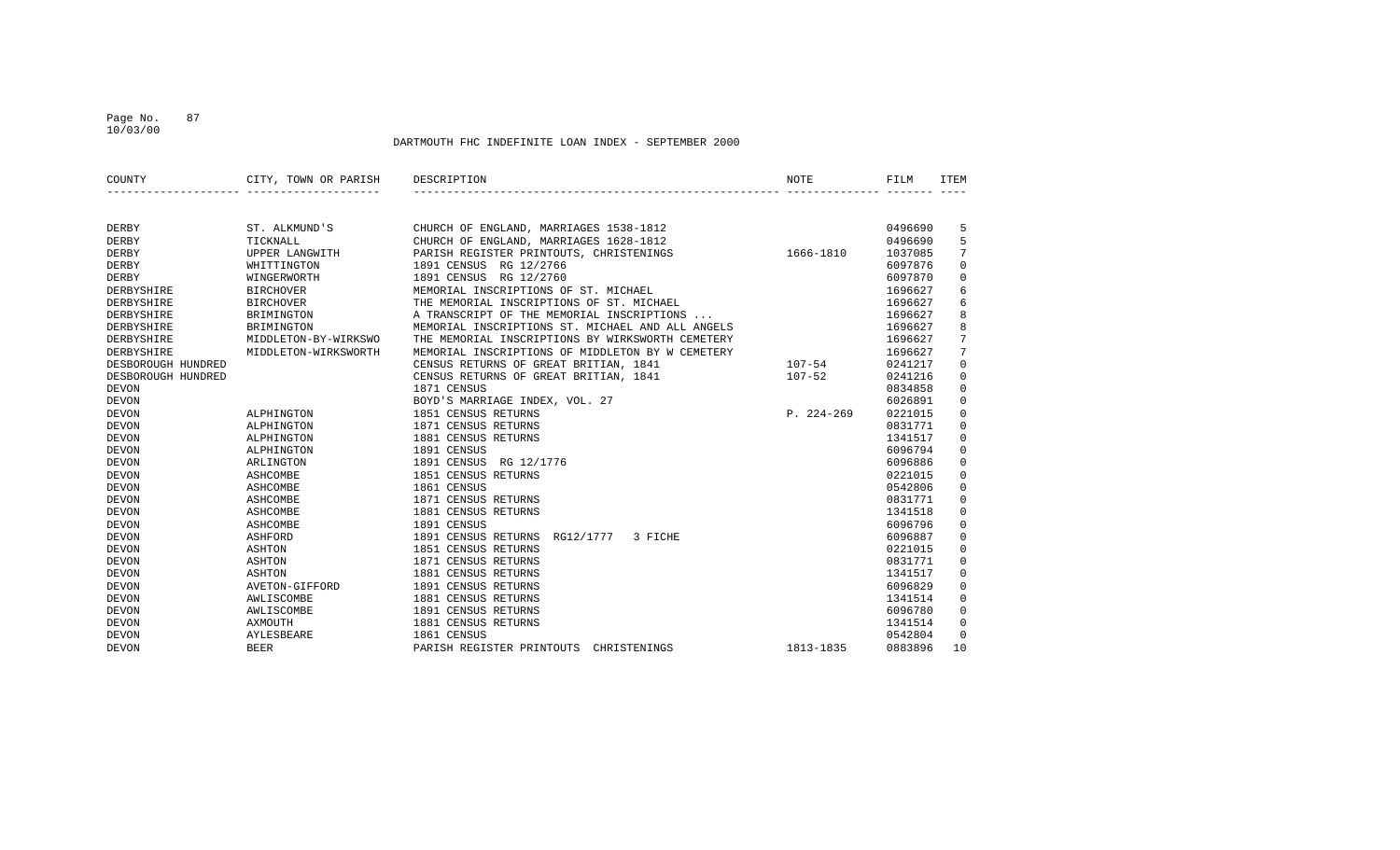### Page No. 87 10/03/00

| COUNTY             | CITY, TOWN OR PARISH | DESCRIPTION                                      | NOTE           | FILM    | <b>ITEM</b>    |
|--------------------|----------------------|--------------------------------------------------|----------------|---------|----------------|
|                    |                      |                                                  |                |         |                |
| DERBY              | ST. ALKMUND'S        | CHURCH OF ENGLAND, MARRIAGES 1538-1812           |                | 0496690 | 5              |
| <b>DERBY</b>       | TICKNALL             | CHURCH OF ENGLAND, MARRIAGES 1628-1812           |                | 0496690 | 5              |
| DERBY              | UPPER LANGWITH       | PARISH REGISTER PRINTOUTS, CHRISTENINGS          | 1666-1810      | 1037085 | 7              |
| DERBY              | WHITTINGTON          | 1891 CENSUS RG 12/2766                           |                | 6097876 | $\mathbf 0$    |
| <b>DERBY</b>       | WINGERWORTH          | 1891 CENSUS RG 12/2760                           |                | 6097870 | $\mathbf 0$    |
| DERBYSHIRE         | <b>BIRCHOVER</b>     | MEMORIAL INSCRIPTIONS OF ST. MICHAEL             |                | 1696627 | 6              |
| DERBYSHIRE         | <b>BIRCHOVER</b>     | THE MEMORIAL INSCRIPTIONS OF ST. MICHAEL         |                | 1696627 | 6              |
| DERBYSHIRE         | BRIMINGTON           | A TRANSCRIPT OF THE MEMORIAL INSCRIPTIONS        |                | 1696627 | 8              |
| DERBYSHIRE         | BRIMINGTON           | MEMORIAL INSCRIPTIONS ST. MICHAEL AND ALL ANGELS |                | 1696627 | 8              |
| DERBYSHIRE         | MIDDLETON-BY-WIRKSWO | THE MEMORIAL INSCRIPTIONS BY WIRKSWORTH CEMETERY |                | 1696627 | $\overline{7}$ |
| DERBYSHIRE         | MIDDLETON-WIRKSWORTH | MEMORIAL INSCRIPTIONS OF MIDDLETON BY W CEMETERY |                | 1696627 | 7              |
| DESBOROUGH HUNDRED |                      | CENSUS RETURNS OF GREAT BRITIAN, 1841            | $107 - 54$     | 0241217 | $\mathbf 0$    |
| DESBOROUGH HUNDRED |                      | CENSUS RETURNS OF GREAT BRITIAN, 1841            | $107 - 52$     | 0241216 | $\mathbf 0$    |
| <b>DEVON</b>       |                      | 1871 CENSUS                                      |                | 0834858 | $\mathbf 0$    |
| <b>DEVON</b>       |                      | BOYD'S MARRIAGE INDEX, VOL. 27                   |                | 6026891 | $\mathbf 0$    |
| <b>DEVON</b>       | ALPHINGTON           | 1851 CENSUS RETURNS                              | $P. 224 - 269$ | 0221015 | $\mathbf 0$    |
| <b>DEVON</b>       | ALPHINGTON           | 1871 CENSUS RETURNS                              |                | 0831771 | 0              |
| <b>DEVON</b>       | ALPHINGTON           | 1881 CENSUS RETURNS                              |                | 1341517 | 0              |
| <b>DEVON</b>       | ALPHINGTON           | 1891 CENSUS                                      |                | 6096794 | $\mathbf 0$    |
| <b>DEVON</b>       | ARLINGTON            | 1891 CENSUS<br>RG 12/1776                        |                | 6096886 | $\mathbf 0$    |
| <b>DEVON</b>       | ASHCOMBE             | 1851 CENSUS RETURNS                              |                | 0221015 | $\mathbf 0$    |
| <b>DEVON</b>       | ASHCOMBE             | 1861 CENSUS                                      |                | 0542806 | $\mathbb O$    |
| <b>DEVON</b>       | ASHCOMBE             | 1871 CENSUS RETURNS                              |                | 0831771 | $\mathbf 0$    |
| <b>DEVON</b>       | ASHCOMBE             | 1881 CENSUS RETURNS                              |                | 1341518 | $\mathbf 0$    |
| <b>DEVON</b>       | ASHCOMBE             | 1891 CENSUS                                      |                | 6096796 | $\mathbf 0$    |
| <b>DEVON</b>       | ASHFORD              | 1891 CENSUS RETURNS<br>RG12/1777<br>3 FICHE      |                | 6096887 | $\mathbf 0$    |
| <b>DEVON</b>       | ASHTON               | 1851 CENSUS RETURNS                              |                | 0221015 | $\mathbf 0$    |
| <b>DEVON</b>       | ASHTON               | 1871 CENSUS RETURNS                              |                | 0831771 | $\mathbf 0$    |
| <b>DEVON</b>       | ASHTON               | 1881 CENSUS RETURNS                              |                | 1341517 | $\mathbf 0$    |
| <b>DEVON</b>       | AVETON-GIFFORD       | 1891 CENSUS RETURNS                              |                | 6096829 | $\mathbf 0$    |
| <b>DEVON</b>       | AWLISCOMBE           | 1881 CENSUS RETURNS                              |                | 1341514 | $\mathbf 0$    |
| <b>DEVON</b>       | AWLISCOMBE           | 1891 CENSUS RETURNS                              |                | 6096780 | $\mathbf 0$    |
| <b>DEVON</b>       | AXMOUTH              | 1881 CENSUS RETURNS                              |                | 1341514 | $\mathbf 0$    |
| <b>DEVON</b>       | AYLESBEARE           | 1861 CENSUS                                      |                | 0542804 | $\mathbf 0$    |
| <b>DEVON</b>       | <b>BEER</b>          | PARISH REGISTER PRINTOUTS<br>CHRISTENINGS        | 1813-1835      | 0883896 | 10             |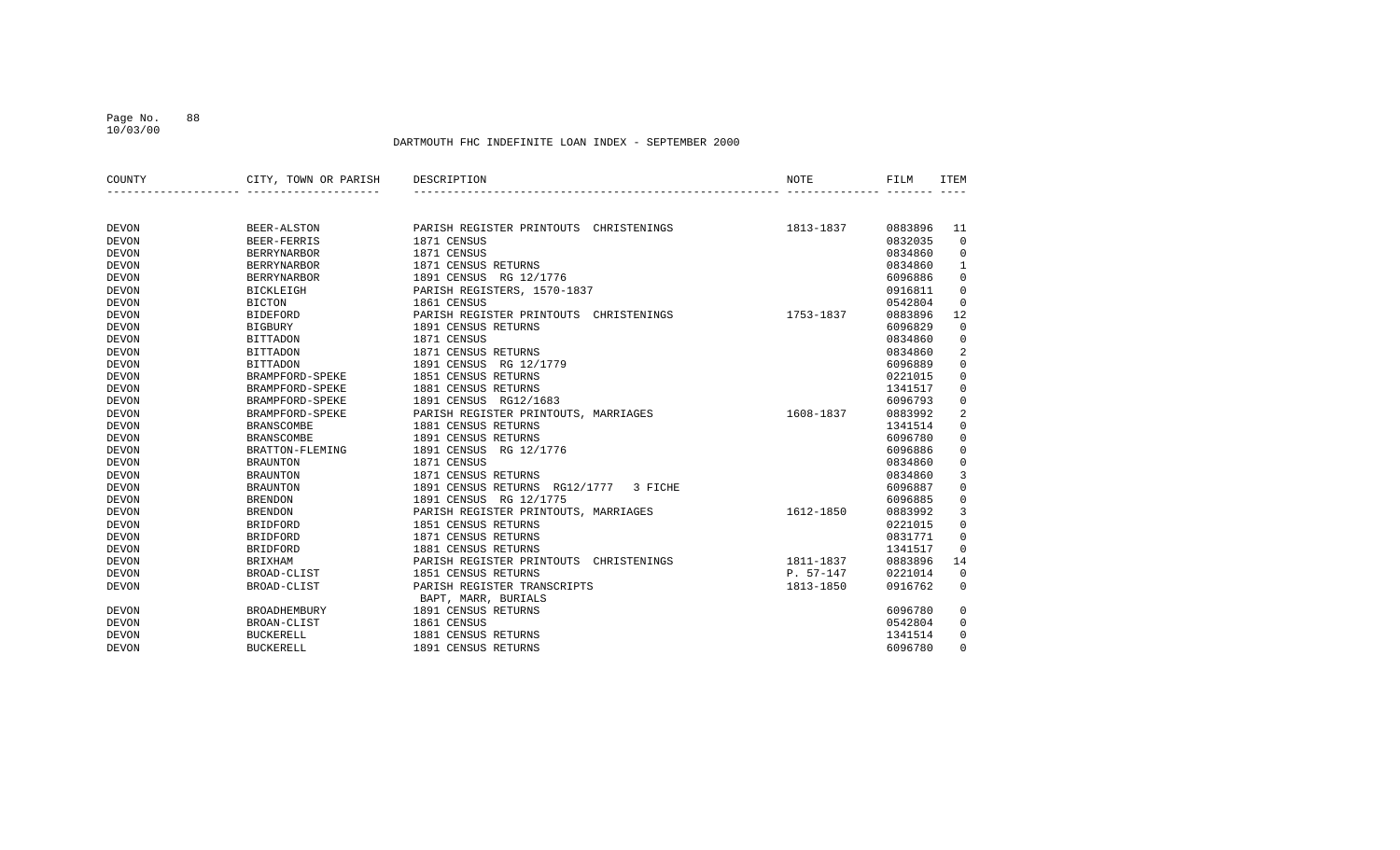10/03/00

| COUNTY       | CITY, TOWN OR PARISH | DESCRIPTION                               | NOTE        | FILM    | <b>ITEM</b>         |
|--------------|----------------------|-------------------------------------------|-------------|---------|---------------------|
|              |                      |                                           |             |         |                     |
| <b>DEVON</b> | <b>BEER-ALSTON</b>   | PARISH REGISTER PRINTOUTS<br>CHRISTENINGS | 1813-1837   | 0883896 | 11                  |
| <b>DEVON</b> | BEER-FERRIS          | 1871 CENSUS                               |             | 0832035 | $\mathbf 0$         |
| <b>DEVON</b> | <b>BERRYNARBOR</b>   | 1871 CENSUS                               |             | 0834860 | 0                   |
| <b>DEVON</b> | <b>BERRYNARBOR</b>   | 1871 CENSUS RETURNS                       |             | 0834860 | 1                   |
| <b>DEVON</b> | <b>BERRYNARBOR</b>   | 1891 CENSUS RG 12/1776                    |             | 6096886 | $\mathsf 0$         |
| <b>DEVON</b> | <b>BICKLEIGH</b>     | PARISH REGISTERS, 1570-1837               |             | 0916811 | $\mathbf 0$         |
| <b>DEVON</b> | <b>BICTON</b>        | 1861 CENSUS                               |             | 0542804 | 0                   |
| <b>DEVON</b> | <b>BIDEFORD</b>      | PARISH REGISTER PRINTOUTS<br>CHRISTENINGS | 1753-1837   | 0883896 | 12                  |
| <b>DEVON</b> | <b>BIGBURY</b>       | 1891 CENSUS RETURNS                       |             | 6096829 | 0                   |
| <b>DEVON</b> | <b>BITTADON</b>      | 1871 CENSUS                               |             | 0834860 | 0                   |
| <b>DEVON</b> | <b>BITTADON</b>      | 1871 CENSUS RETURNS                       |             | 0834860 | $\sqrt{2}$          |
| <b>DEVON</b> | <b>BITTADON</b>      | 1891 CENSUS<br>RG 12/1779                 |             | 6096889 | $\mathsf 0$         |
| <b>DEVON</b> | BRAMPFORD-SPEKE      | 1851 CENSUS RETURNS                       |             | 0221015 | $\mathbf 0$         |
| <b>DEVON</b> | BRAMPFORD-SPEKE      | 1881 CENSUS RETURNS                       |             | 1341517 | 0                   |
| <b>DEVON</b> | BRAMPFORD-SPEKE      | 1891 CENSUS RG12/1683                     |             | 6096793 | $\mathsf 0$         |
| <b>DEVON</b> | BRAMPFORD-SPEKE      | PARISH REGISTER PRINTOUTS, MARRIAGES      | 1608-1837   | 0883992 | $\sqrt{2}$          |
| <b>DEVON</b> | <b>BRANSCOMBE</b>    | 1881 CENSUS RETURNS                       |             | 1341514 | $\mathsf 0$         |
| <b>DEVON</b> | <b>BRANSCOMBE</b>    | 1891 CENSUS RETURNS                       |             | 6096780 | $\mathbf 0$         |
| <b>DEVON</b> | BRATTON-FLEMING      | 1891 CENSUS<br>RG 12/1776                 |             | 6096886 | $\mathbf 0$         |
| <b>DEVON</b> | <b>BRAUNTON</b>      | 1871 CENSUS                               |             | 0834860 | $\mathsf 0$         |
| <b>DEVON</b> | <b>BRAUNTON</b>      | 1871 CENSUS RETURNS                       |             | 0834860 | $\overline{3}$      |
| <b>DEVON</b> | <b>BRAUNTON</b>      | 1891 CENSUS RETURNS RG12/1777<br>3 FICHE  |             | 6096887 | $\mathsf 0$         |
| <b>DEVON</b> | <b>BRENDON</b>       | 1891 CENSUS RG 12/1775                    |             | 6096885 | $\mathsf{O}\xspace$ |
| <b>DEVON</b> | <b>BRENDON</b>       | PARISH REGISTER PRINTOUTS, MARRIAGES      | 1612-1850   | 0883992 | 3                   |
| <b>DEVON</b> | <b>BRIDFORD</b>      | 1851 CENSUS RETURNS                       |             | 0221015 | $\mathbf 0$         |
| <b>DEVON</b> | <b>BRIDFORD</b>      | 1871 CENSUS RETURNS                       |             | 0831771 | $\mathbf 0$         |
| <b>DEVON</b> | <b>BRIDFORD</b>      | 1881 CENSUS RETURNS                       |             | 1341517 | 0                   |
| <b>DEVON</b> | <b>BRIXHAM</b>       | PARISH REGISTER PRINTOUTS<br>CHRISTENINGS | 1811-1837   | 0883896 | 14                  |
| <b>DEVON</b> | BROAD-CLIST          | 1851 CENSUS RETURNS                       | $P. 57-147$ | 0221014 | $\mathbf 0$         |
| <b>DEVON</b> | BROAD-CLIST          | PARISH REGISTER TRANSCRIPTS               | 1813-1850   | 0916762 | $\Omega$            |
|              |                      | BAPT, MARR, BURIALS                       |             |         |                     |
| <b>DEVON</b> | <b>BROADHEMBURY</b>  | 1891 CENSUS RETURNS                       |             | 6096780 | 0                   |
| <b>DEVON</b> | <b>BROAN-CLIST</b>   | 1861 CENSUS                               |             | 0542804 | 0                   |
| <b>DEVON</b> | <b>BUCKERELL</b>     | 1881 CENSUS RETURNS                       |             | 1341514 | 0                   |
| <b>DEVON</b> | <b>BUCKERELL</b>     | 1891 CENSUS RETURNS                       |             | 6096780 | $\Omega$            |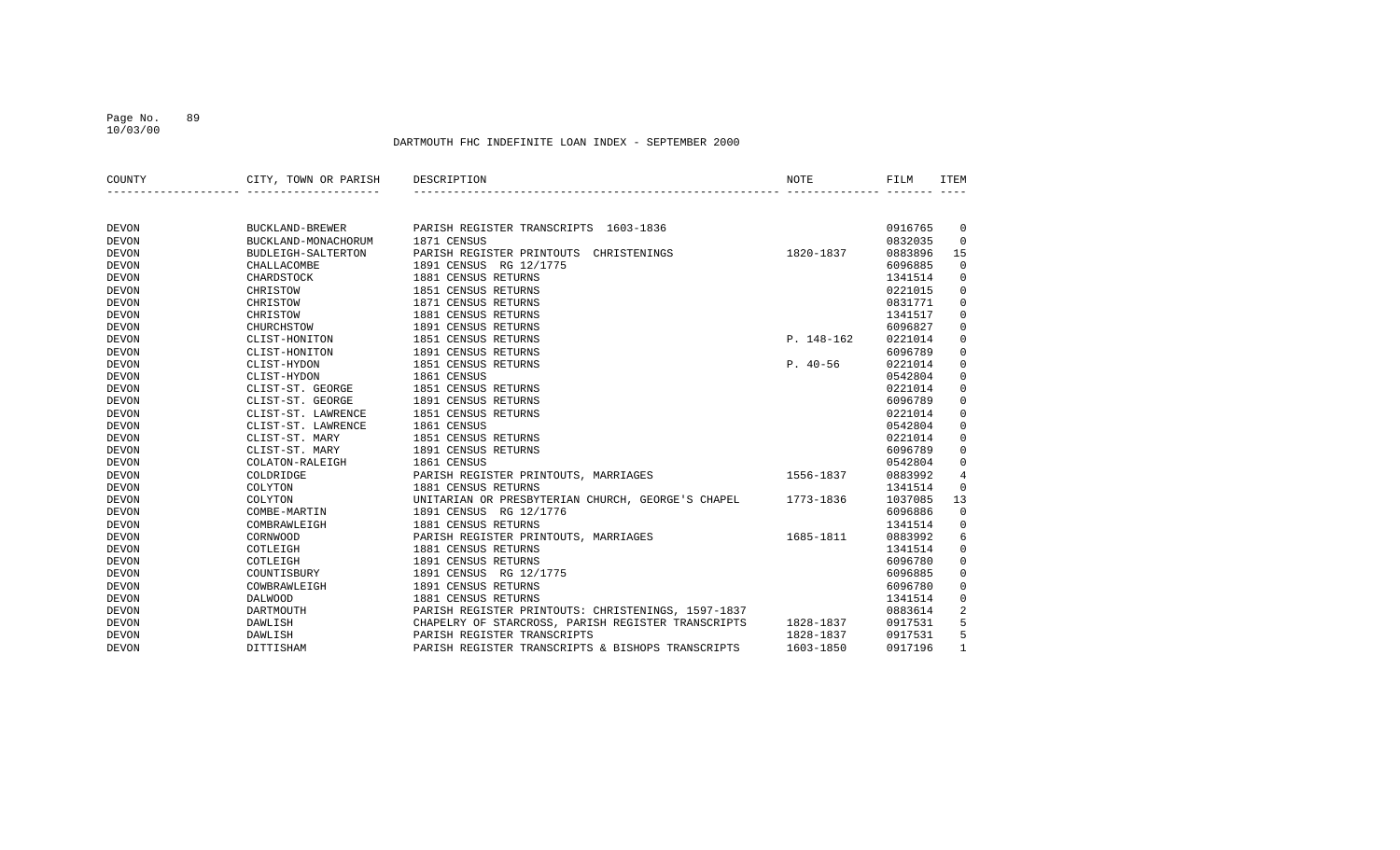10/03/00

| COUNTY       | CITY, TOWN OR PARISH | DESCRIPTION                                                  | <b>NOTE</b> | FILM    | <b>ITEM</b>    |
|--------------|----------------------|--------------------------------------------------------------|-------------|---------|----------------|
|              |                      |                                                              |             |         |                |
| <b>DEVON</b> | BUCKLAND-BREWER      | PARISH REGISTER TRANSCRIPTS 1603-1836                        |             | 0916765 | 0              |
| <b>DEVON</b> | BUCKLAND-MONACHORUM  | 1871 CENSUS                                                  |             | 0832035 | $\mathbf 0$    |
| <b>DEVON</b> | BUDLEIGH-SALTERTON   | PARISH REGISTER PRINTOUTS<br>CHRISTENINGS                    | 1820-1837   | 0883896 | 15             |
| <b>DEVON</b> | CHALLACOMBE          | 1891 CENSUS RG 12/1775                                       |             | 6096885 | $\mathbf 0$    |
| <b>DEVON</b> | CHARDSTOCK           | 1881 CENSUS RETURNS                                          |             | 1341514 | $\mathbf 0$    |
| <b>DEVON</b> | CHRISTOW             | 1851 CENSUS RETURNS                                          |             | 0221015 | $\mathbf 0$    |
| <b>DEVON</b> | CHRISTOW             | 1871 CENSUS RETURNS                                          |             | 0831771 | $\mathbf 0$    |
| <b>DEVON</b> | CHRISTOW             | 1881 CENSUS RETURNS                                          |             | 1341517 | $\mathbf 0$    |
| <b>DEVON</b> | CHURCHSTOW           | 1891 CENSUS RETURNS                                          |             | 6096827 | $\mathbf 0$    |
| <b>DEVON</b> | CLIST-HONITON        | 1851 CENSUS RETURNS                                          | P. 148-162  | 0221014 | $\mathbf 0$    |
| <b>DEVON</b> | CLIST-HONITON        | 1891 CENSUS RETURNS                                          |             | 6096789 | $\mathbf 0$    |
| <b>DEVON</b> | CLIST-HYDON          | 1851 CENSUS RETURNS                                          | $P. 40-56$  | 0221014 | $\mathbf 0$    |
| <b>DEVON</b> | CLIST-HYDON          | 1861 CENSUS                                                  |             | 0542804 | $\mathbf 0$    |
| <b>DEVON</b> | CLIST-ST. GEORGE     | 1851 CENSUS RETURNS                                          |             | 0221014 | $\mathbf 0$    |
| <b>DEVON</b> | CLIST-ST. GEORGE     | 1891 CENSUS RETURNS                                          |             | 6096789 | $\mathbf 0$    |
| <b>DEVON</b> | CLIST-ST. LAWRENCE   | 1851 CENSUS RETURNS                                          |             | 0221014 | 0              |
| <b>DEVON</b> | CLIST-ST. LAWRENCE   | 1861 CENSUS                                                  |             | 0542804 | $\mathbf 0$    |
| <b>DEVON</b> | CLIST-ST. MARY       | 1851 CENSUS RETURNS                                          |             | 0221014 | $\mathbf 0$    |
| <b>DEVON</b> | CLIST-ST. MARY       | 1891 CENSUS RETURNS                                          |             | 6096789 | $\mathbf 0$    |
| <b>DEVON</b> | COLATON-RALEIGH      | 1861 CENSUS                                                  |             | 0542804 | $\mathbf 0$    |
| <b>DEVON</b> | COLDRIDGE            | $1556 - 1837$<br>PARISH REGISTER PRINTOUTS, MARRIAGES        |             | 0883992 | $\overline{4}$ |
| <b>DEVON</b> | COLYTON              | 1881 CENSUS RETURNS                                          |             | 1341514 | $\mathbf 0$    |
| <b>DEVON</b> | COLYTON              | UNITARIAN OR PRESBYTERIAN CHURCH, GEORGE'S CHAPEL            | 1773-1836   | 1037085 | 13             |
| <b>DEVON</b> | COMBE-MARTIN         | 1891 CENSUS RG 12/1776                                       |             | 6096886 | $\mathbf 0$    |
| <b>DEVON</b> | COMBRAWLEIGH         | 1881 CENSUS RETURNS                                          |             | 1341514 | $\mathbf 0$    |
| <b>DEVON</b> | CORNWOOD             | PARISH REGISTER PRINTOUTS, MARRIAGES                         | 1685-1811   | 0883992 | 6              |
| <b>DEVON</b> | COTLEIGH             | 1881 CENSUS RETURNS                                          |             | 1341514 | $\mathbf 0$    |
| <b>DEVON</b> | COTLEIGH             | 1891 CENSUS RETURNS                                          |             | 6096780 | $\mathbf 0$    |
| <b>DEVON</b> | COUNTISBURY          | 1891 CENSUS RG 12/1775                                       |             | 6096885 | $\mathbf 0$    |
| <b>DEVON</b> | COWBRAWLEIGH         | 1891 CENSUS RETURNS                                          |             | 6096780 | $\mathbf 0$    |
| <b>DEVON</b> | <b>DALWOOD</b>       | 1881 CENSUS RETURNS                                          |             | 1341514 | 0              |
| <b>DEVON</b> | DARTMOUTH            | PARISH REGISTER PRINTOUTS: CHRISTENINGS, 1597-1837           |             | 0883614 | $\overline{a}$ |
| <b>DEVON</b> | DAWLISH              | CHAPELRY OF STARCROSS, PARISH REGISTER TRANSCRIPTS 1828-1837 |             | 0917531 | 5              |
| <b>DEVON</b> | DAWLISH              | PARISH REGISTER TRANSCRIPTS                                  | 1828-1837   | 0917531 | 5              |
| <b>DEVON</b> | DITTISHAM            | PARISH REGISTER TRANSCRIPTS & BISHOPS TRANSCRIPTS            | 1603-1850   | 0917196 | $\mathbf{1}$   |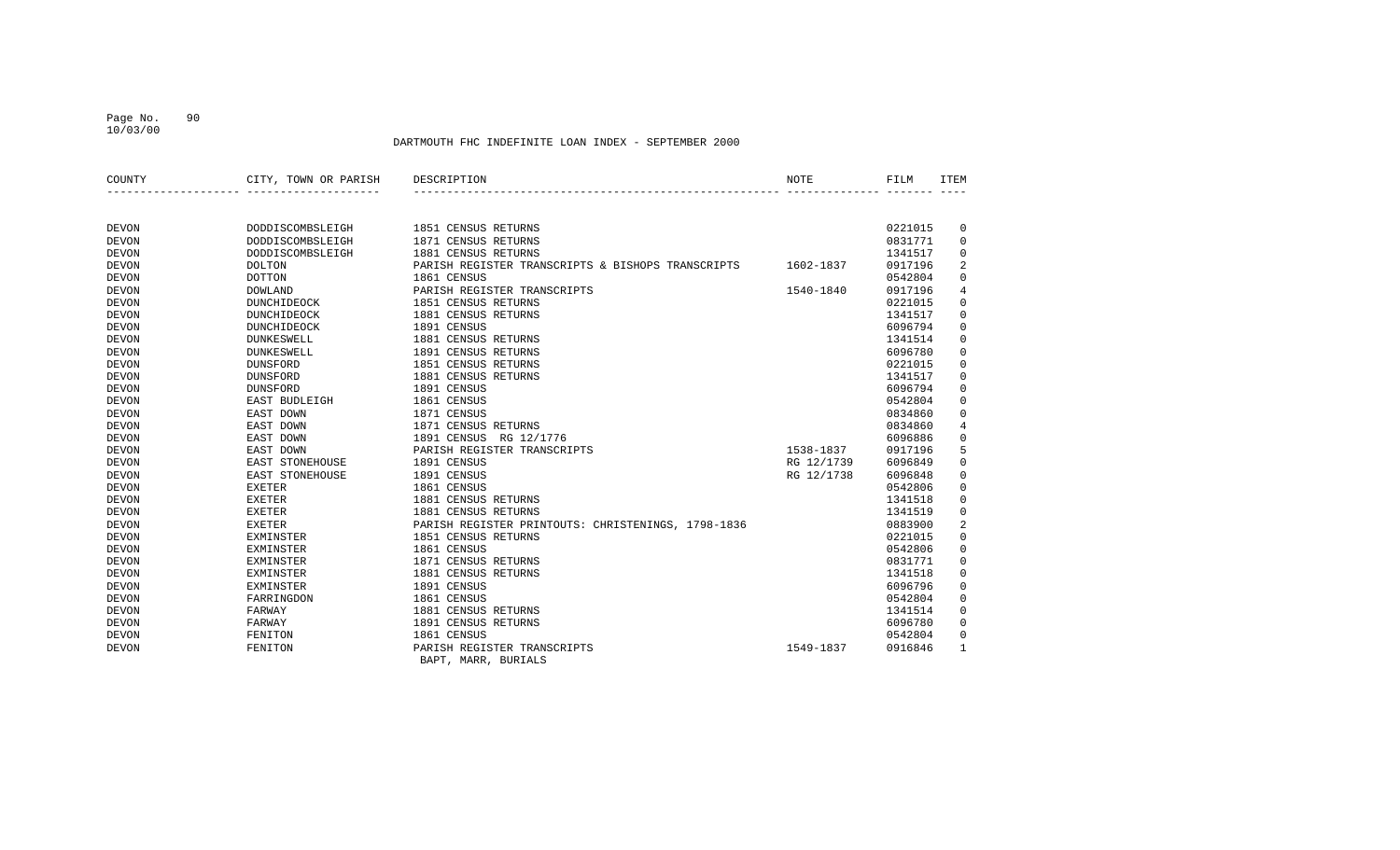10/03/00

| COUNTY       | CITY, TOWN OR PARISH | DESCRIPTION                                        | NOTE       | FILM    | <b>ITEM</b>    |
|--------------|----------------------|----------------------------------------------------|------------|---------|----------------|
|              |                      |                                                    |            |         |                |
| <b>DEVON</b> | DODDISCOMBSLEIGH     | 1851 CENSUS RETURNS                                |            | 0221015 | 0              |
| <b>DEVON</b> | DODDISCOMBSLEIGH     | 1871 CENSUS RETURNS                                |            | 0831771 | 0              |
| <b>DEVON</b> | DODDISCOMBSLEIGH     | 1881 CENSUS RETURNS                                |            | 1341517 | 0              |
| <b>DEVON</b> | <b>DOLTON</b>        | PARISH REGISTER TRANSCRIPTS & BISHOPS TRANSCRIPTS  | 1602-1837  | 0917196 | $\overline{2}$ |
| <b>DEVON</b> | <b>DOTTON</b>        | 1861 CENSUS                                        |            | 0542804 | $\mathbf 0$    |
| <b>DEVON</b> | <b>DOWLAND</b>       | PARISH REGISTER TRANSCRIPTS                        | 1540-1840  | 0917196 | 4              |
| <b>DEVON</b> | DUNCHIDEOCK          | 1851 CENSUS RETURNS                                |            | 0221015 | $\mathbf 0$    |
| <b>DEVON</b> | DUNCHIDEOCK          | 1881 CENSUS RETURNS                                |            | 1341517 | 0              |
| <b>DEVON</b> | DUNCHIDEOCK          | 1891 CENSUS                                        |            | 6096794 | 0              |
| <b>DEVON</b> | <b>DUNKESWELL</b>    | 1881 CENSUS RETURNS                                |            | 1341514 | 0              |
| <b>DEVON</b> | <b>DUNKESWELL</b>    | 1891 CENSUS RETURNS                                |            | 6096780 | $\mathbf 0$    |
| <b>DEVON</b> | <b>DUNSFORD</b>      | 1851 CENSUS RETURNS                                |            | 0221015 | 0              |
| <b>DEVON</b> | <b>DUNSFORD</b>      | 1881 CENSUS RETURNS                                |            | 1341517 | $\mathbf 0$    |
| <b>DEVON</b> | DUNSFORD             | 1891 CENSUS                                        |            | 6096794 | 0              |
| <b>DEVON</b> | EAST BUDLEIGH        | 1861 CENSUS                                        |            | 0542804 | 0              |
| <b>DEVON</b> | EAST DOWN            | 1871 CENSUS                                        |            | 0834860 | $\Omega$       |
| <b>DEVON</b> | EAST DOWN            | 1871 CENSUS RETURNS                                |            | 0834860 | 4              |
| <b>DEVON</b> | EAST DOWN            | 1891 CENSUS RG 12/1776                             |            | 6096886 | $\mathbf 0$    |
| <b>DEVON</b> | EAST DOWN            | PARISH REGISTER TRANSCRIPTS                        | 1538-1837  | 0917196 | 5              |
| <b>DEVON</b> | EAST STONEHOUSE      | 1891 CENSUS                                        | RG 12/1739 | 6096849 | $\mathbf 0$    |
| <b>DEVON</b> | EAST STONEHOUSE      | 1891 CENSUS                                        | RG 12/1738 | 6096848 | 0              |
| <b>DEVON</b> | <b>EXETER</b>        | 1861 CENSUS                                        |            | 0542806 | 0              |
| <b>DEVON</b> | <b>EXETER</b>        | 1881 CENSUS RETURNS                                |            | 1341518 | 0              |
| <b>DEVON</b> | <b>EXETER</b>        | 1881 CENSUS RETURNS                                |            | 1341519 | $\mathbf 0$    |
| <b>DEVON</b> | EXETER               | PARISH REGISTER PRINTOUTS: CHRISTENINGS, 1798-1836 |            | 0883900 | $\overline{2}$ |
| <b>DEVON</b> | EXMINSTER            | 1851 CENSUS RETURNS                                |            | 0221015 | $\mathbf 0$    |
| <b>DEVON</b> | <b>EXMINSTER</b>     | 1861 CENSUS                                        |            | 0542806 | 0              |
| <b>DEVON</b> | EXMINSTER            | 1871 CENSUS RETURNS                                |            | 0831771 | $\mathbf 0$    |
| <b>DEVON</b> | EXMINSTER            | 1881 CENSUS RETURNS                                |            | 1341518 | 0              |
| <b>DEVON</b> | <b>EXMINSTER</b>     | 1891 CENSUS                                        |            | 6096796 | 0              |
| <b>DEVON</b> | FARRINGDON           | 1861 CENSUS                                        |            | 0542804 | 0              |
| <b>DEVON</b> | FARWAY               | 1881 CENSUS RETURNS                                |            | 1341514 | $\Omega$       |
| <b>DEVON</b> | FARWAY               | 1891 CENSUS RETURNS                                |            | 6096780 | $\Omega$       |
| <b>DEVON</b> | FENITON              | 1861 CENSUS                                        |            | 0542804 | 0              |
| <b>DEVON</b> | FENITON              | PARISH REGISTER TRANSCRIPTS                        | 1549-1837  | 0916846 |                |
|              |                      | BAPT, MARR, BURIALS                                |            |         |                |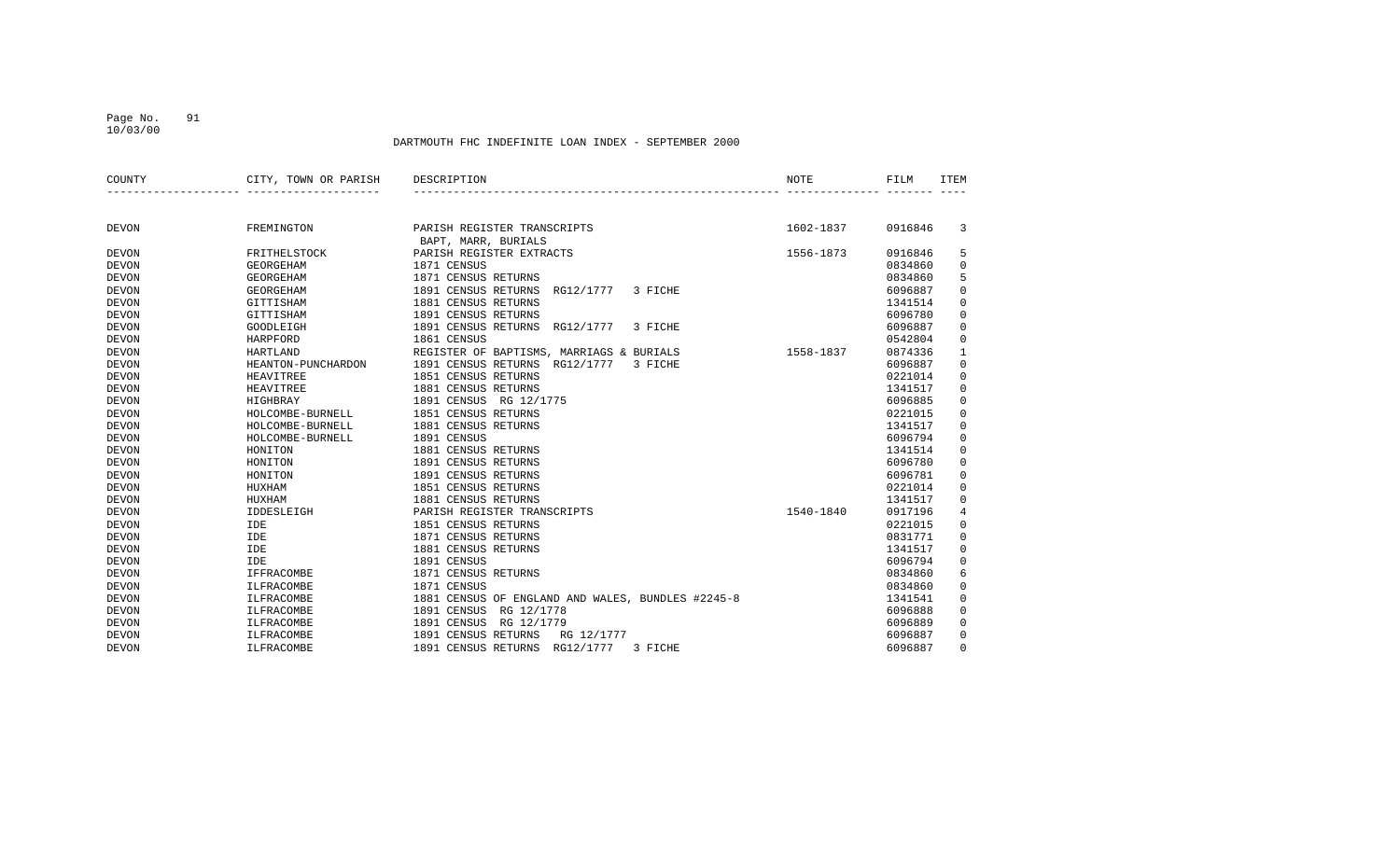10/03/00

| COUNTY       | CITY, TOWN OR PARISH | DESCRIPTION                                        | NOTE      | FILM    | <b>ITEM</b>    |
|--------------|----------------------|----------------------------------------------------|-----------|---------|----------------|
|              |                      |                                                    |           |         |                |
| <b>DEVON</b> | FREMINGTON           | PARISH REGISTER TRANSCRIPTS<br>BAPT, MARR, BURIALS | 1602-1837 | 0916846 | 3              |
| <b>DEVON</b> | FRITHELSTOCK         | PARISH REGISTER EXTRACTS                           | 1556-1873 | 0916846 | 5              |
| <b>DEVON</b> | <b>GEORGEHAM</b>     | 1871 CENSUS                                        |           | 0834860 | $\mathbf 0$    |
| <b>DEVON</b> | <b>GEORGEHAM</b>     | 1871 CENSUS RETURNS                                |           | 0834860 | 5              |
| <b>DEVON</b> | <b>GEORGEHAM</b>     | 1891 CENSUS RETURNS<br>RG12/1777<br>3 FICHE        |           | 6096887 | $\mathbf 0$    |
| <b>DEVON</b> | GITTISHAM            | 1881 CENSUS RETURNS                                |           | 1341514 | $\mathbf 0$    |
| <b>DEVON</b> | GITTISHAM            | 1891 CENSUS RETURNS                                |           | 6096780 | $\mathbf 0$    |
| <b>DEVON</b> | GOODLEIGH            | 1891 CENSUS RETURNS<br>RG12/1777<br>3 FICHE        |           | 6096887 | $\mathbf 0$    |
| <b>DEVON</b> | <b>HARPFORD</b>      | 1861 CENSUS                                        |           | 0542804 | $\mathbf 0$    |
| <b>DEVON</b> | <b>HARTLAND</b>      | REGISTER OF BAPTISMS, MARRIAGS & BURIALS           | 1558-1837 | 0874336 | $\mathbf{1}$   |
| <b>DEVON</b> | HEANTON-PUNCHARDON   | 1891 CENSUS RETURNS<br>RG12/1777<br>3 FICHE        |           | 6096887 | $\mathbf 0$    |
| <b>DEVON</b> | HEAVITREE            | 1851 CENSUS RETURNS                                |           | 0221014 | $\mathbf 0$    |
| <b>DEVON</b> | <b>HEAVITREE</b>     | 1881 CENSUS RETURNS                                |           | 1341517 | $\mathbf 0$    |
| <b>DEVON</b> | <b>HIGHBRAY</b>      | 1891 CENSUS<br>RG 12/1775                          |           | 6096885 | $\mathbf 0$    |
| <b>DEVON</b> | HOLCOMBE-BURNELL     | 1851 CENSUS RETURNS                                |           | 0221015 | $\mathbf 0$    |
| <b>DEVON</b> | HOLCOMBE-BURNELL     | 1881 CENSUS RETURNS                                |           | 1341517 | $\mathbf 0$    |
| <b>DEVON</b> | HOLCOMBE-BURNELL     | 1891 CENSUS                                        |           | 6096794 | $\overline{0}$ |
| <b>DEVON</b> | HONITON              | 1881 CENSUS RETURNS                                |           | 1341514 | $\mathbf 0$    |
| <b>DEVON</b> | HONITON              | 1891 CENSUS RETURNS                                |           | 6096780 | $\mathbf 0$    |
| <b>DEVON</b> | HONITON              | 1891 CENSUS RETURNS                                |           | 6096781 | $\mathbf 0$    |
| <b>DEVON</b> | HUXHAM               | 1851 CENSUS RETURNS                                |           | 0221014 | $\mathbf 0$    |
| <b>DEVON</b> | HUXHAM               | 1881 CENSUS RETURNS                                |           | 1341517 | $\mathbf 0$    |
| <b>DEVON</b> | IDDESLEIGH           | PARISH REGISTER TRANSCRIPTS                        | 1540-1840 | 0917196 | $\overline{4}$ |
| <b>DEVON</b> | IDE                  | 1851 CENSUS RETURNS                                |           | 0221015 | $\mathbf 0$    |
| <b>DEVON</b> | IDE                  | 1871 CENSUS RETURNS                                |           | 0831771 | $\mathbf 0$    |
| <b>DEVON</b> | IDE                  | 1881 CENSUS RETURNS                                |           | 1341517 | $\mathbf 0$    |
| <b>DEVON</b> | IDE                  | 1891 CENSUS                                        |           | 6096794 | $\mathbf 0$    |
| <b>DEVON</b> | IFFRACOMBE           | 1871 CENSUS RETURNS                                |           | 0834860 | 6              |
| <b>DEVON</b> | ILFRACOMBE           | 1871 CENSUS                                        |           | 0834860 | $\overline{0}$ |
| <b>DEVON</b> | ILFRACOMBE           | 1881 CENSUS OF ENGLAND AND WALES, BUNDLES #2245-8  |           | 1341541 | $\mathbf 0$    |
| <b>DEVON</b> | ILFRACOMBE           | 1891 CENSUS<br>RG 12/1778                          |           | 6096888 | $\mathbf 0$    |
| <b>DEVON</b> | ILFRACOMBE           | 1891 CENSUS<br>RG 12/1779                          |           | 6096889 | $\overline{0}$ |
| <b>DEVON</b> | ILFRACOMBE           | 1891 CENSUS RETURNS<br>RG 12/1777                  |           | 6096887 | $\mathbf 0$    |
| <b>DEVON</b> | ILFRACOMBE           | 1891 CENSUS RETURNS<br>RG12/1777<br>3 FICHE        |           | 6096887 | $\Omega$       |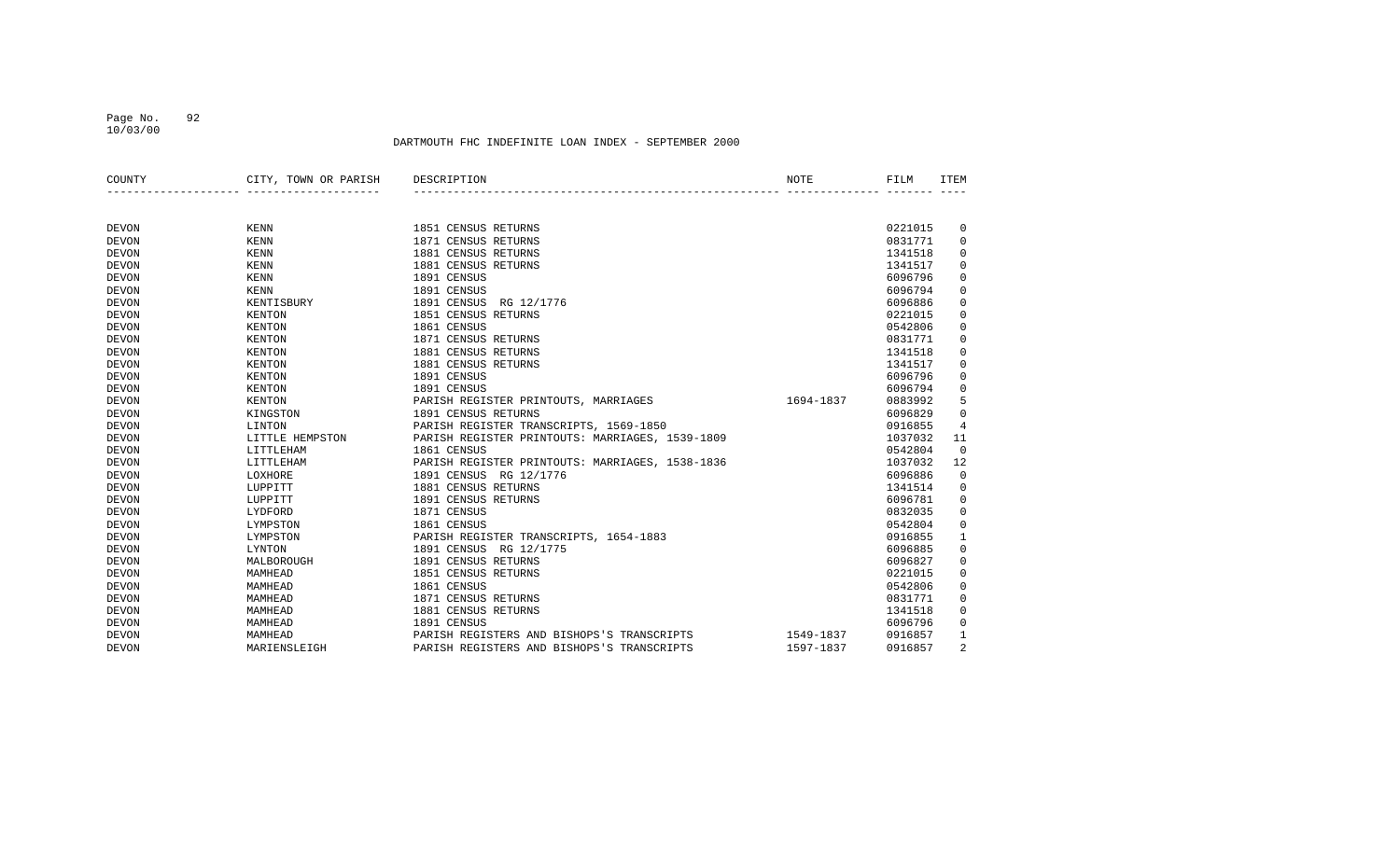10/03/00

| COUNTY       | CITY, TOWN OR PARISH | DESCRIPTION                                     | NOTE      | FILM    | ITEM           |
|--------------|----------------------|-------------------------------------------------|-----------|---------|----------------|
|              |                      |                                                 |           |         |                |
|              |                      |                                                 |           |         |                |
| <b>DEVON</b> | <b>KENN</b>          | 1851 CENSUS RETURNS                             |           | 0221015 | 0              |
| <b>DEVON</b> | <b>KENN</b>          | 1871 CENSUS RETURNS                             |           | 0831771 | 0              |
| <b>DEVON</b> | <b>KENN</b>          | 1881 CENSUS RETURNS                             |           | 1341518 | 0              |
| <b>DEVON</b> | <b>KENN</b>          | 1881 CENSUS RETURNS                             |           | 1341517 | 0              |
| <b>DEVON</b> | <b>KENN</b>          | 1891 CENSUS                                     |           | 6096796 | 0              |
| <b>DEVON</b> | <b>KENN</b>          | 1891 CENSUS                                     |           | 6096794 | 0              |
| <b>DEVON</b> | KENTISBURY           | 1891 CENSUS<br>RG 12/1776                       |           | 6096886 | 0              |
| <b>DEVON</b> | <b>KENTON</b>        | 1851 CENSUS RETURNS                             |           | 0221015 | 0              |
| <b>DEVON</b> | <b>KENTON</b>        | 1861 CENSUS                                     |           | 0542806 | 0              |
| <b>DEVON</b> | KENTON               | 1871 CENSUS RETURNS                             |           | 0831771 | 0              |
| <b>DEVON</b> | KENTON               | 1881 CENSUS RETURNS                             |           | 1341518 | 0              |
| <b>DEVON</b> | KENTON               | 1881 CENSUS RETURNS                             |           | 1341517 | 0              |
| <b>DEVON</b> | <b>KENTON</b>        | 1891 CENSUS                                     |           | 6096796 | 0              |
| <b>DEVON</b> | KENTON               | 1891 CENSUS                                     |           | 6096794 | 0              |
| <b>DEVON</b> | KENTON               | PARISH REGISTER PRINTOUTS, MARRIAGES            | 1694-1837 | 0883992 | 5              |
| <b>DEVON</b> | KINGSTON             | 1891 CENSUS RETURNS                             |           | 6096829 | 0              |
| <b>DEVON</b> | LINTON               | PARISH REGISTER TRANSCRIPTS, 1569-1850          |           | 0916855 | 4              |
| <b>DEVON</b> | LITTLE HEMPSTON      | PARISH REGISTER PRINTOUTS: MARRIAGES, 1539-1809 |           | 1037032 | 11             |
| <b>DEVON</b> | LITTLEHAM            | 1861 CENSUS                                     |           | 0542804 | $\mathbf 0$    |
| <b>DEVON</b> | LITTLEHAM            | PARISH REGISTER PRINTOUTS: MARRIAGES, 1538-1836 |           | 1037032 | 12             |
| <b>DEVON</b> | LOXHORE              | 1891 CENSUS RG 12/1776                          |           | 6096886 | $\mathbf 0$    |
| <b>DEVON</b> | LUPPITT              | 1881 CENSUS RETURNS                             |           | 1341514 | 0              |
| <b>DEVON</b> | LUPPITT              | 1891 CENSUS RETURNS                             |           | 6096781 | 0              |
| <b>DEVON</b> | LYDFORD              | 1871 CENSUS                                     |           | 0832035 | 0              |
| <b>DEVON</b> | LYMPSTON             | 1861 CENSUS                                     |           | 0542804 | 0              |
| <b>DEVON</b> | LYMPSTON             | PARISH REGISTER TRANSCRIPTS, 1654-1883          |           | 0916855 | 1              |
| <b>DEVON</b> | LYNTON               | 1891 CENSUS RG 12/1775                          |           | 6096885 | 0              |
| <b>DEVON</b> | MALBOROUGH           | 1891 CENSUS RETURNS                             |           | 6096827 | 0              |
| <b>DEVON</b> | MAMHEAD              | 1851 CENSUS RETURNS                             |           | 0221015 | 0              |
| <b>DEVON</b> | MAMHEAD              | 1861 CENSUS                                     |           | 0542806 | 0              |
| <b>DEVON</b> | MAMHEAD              | 1871 CENSUS RETURNS                             |           | 0831771 | 0              |
| <b>DEVON</b> | MAMHEAD              | 1881 CENSUS RETURNS                             |           | 1341518 | 0              |
| <b>DEVON</b> | MAMHEAD              | 1891 CENSUS                                     |           | 6096796 | 0              |
| <b>DEVON</b> | MAMHEAD              | PARISH REGISTERS AND BISHOPS'S TRANSCRIPTS      | 1549-1837 | 0916857 | 1              |
| <b>DEVON</b> | MARIENSLEIGH         | PARISH REGISTERS AND BISHOPS'S TRANSCRIPTS      | 1597-1837 | 0916857 | $\overline{2}$ |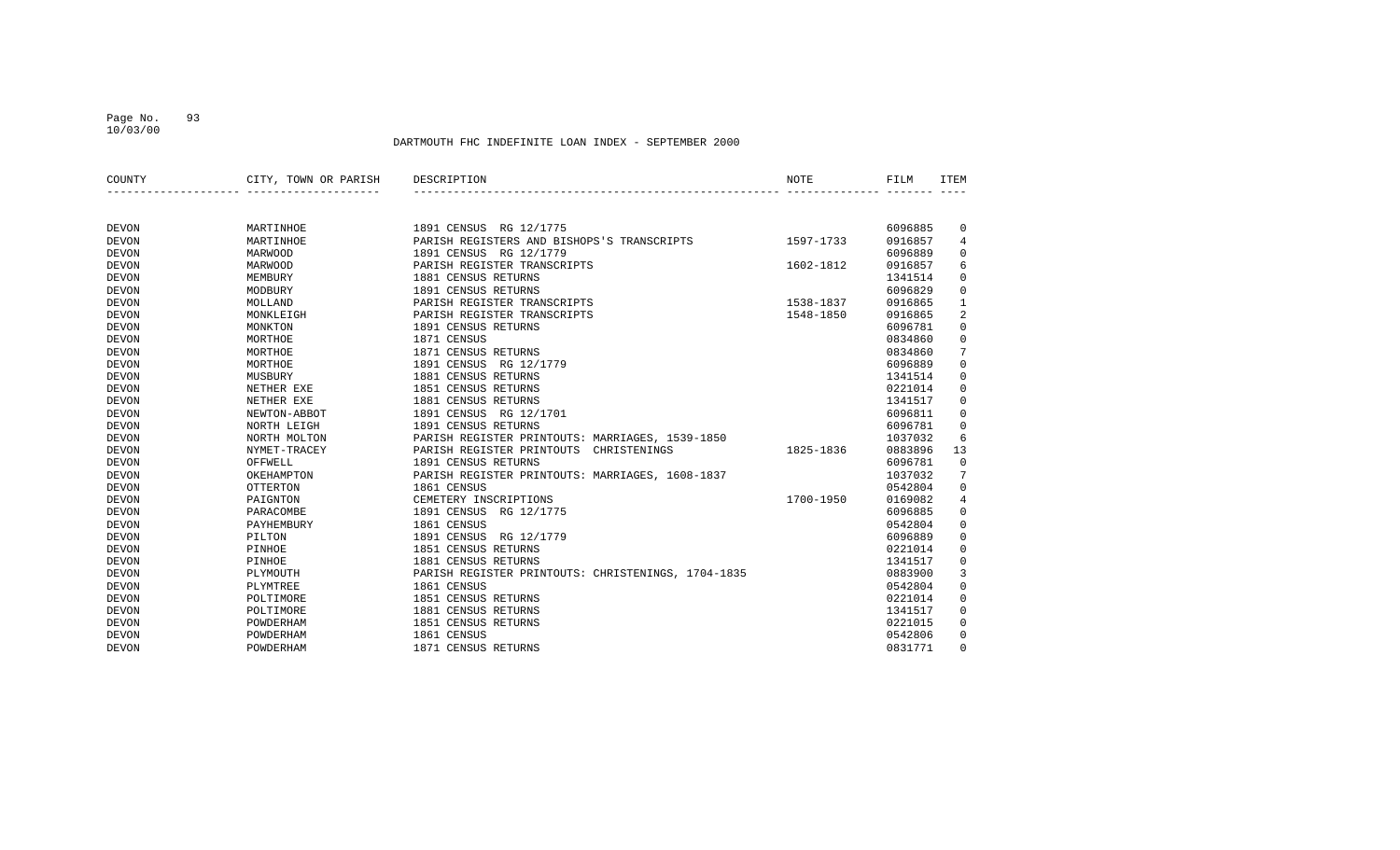10/03/00

| COUNTY       | CITY, TOWN OR PARISH | DESCRIPTION                                        | NOTE      | FILM    | <b>ITEM</b>    |
|--------------|----------------------|----------------------------------------------------|-----------|---------|----------------|
|              |                      |                                                    |           |         |                |
| <b>DEVON</b> | MARTINHOE            | 1891 CENSUS RG 12/1775                             |           | 6096885 | 0              |
| <b>DEVON</b> | MARTINHOE            | PARISH REGISTERS AND BISHOPS'S TRANSCRIPTS         | 1597-1733 | 0916857 | 4              |
| <b>DEVON</b> | <b>MARWOOD</b>       | 1891 CENSUS RG 12/1779                             |           | 6096889 | 0              |
| <b>DEVON</b> | <b>MARWOOD</b>       | PARISH REGISTER TRANSCRIPTS                        | 1602-1812 | 0916857 | 6              |
| <b>DEVON</b> | MEMBURY              | 1881 CENSUS RETURNS                                |           | 1341514 | $\mathbf 0$    |
| <b>DEVON</b> | MODBURY              | 1891 CENSUS RETURNS                                |           | 6096829 | $\mathbf 0$    |
| <b>DEVON</b> | MOLLAND              | PARISH REGISTER TRANSCRIPTS                        | 1538-1837 | 0916865 | $\mathbf{1}$   |
| <b>DEVON</b> | MONKLEIGH            | PARISH REGISTER TRANSCRIPTS                        | 1548-1850 | 0916865 | $\overline{2}$ |
| <b>DEVON</b> | MONKTON              | 1891 CENSUS RETURNS                                |           | 6096781 | $\mathsf 0$    |
| <b>DEVON</b> | MORTHOE              | 1871 CENSUS                                        |           | 0834860 | 0              |
| <b>DEVON</b> | MORTHOE              | 1871 CENSUS RETURNS                                |           | 0834860 | 7              |
| <b>DEVON</b> | MORTHOE              | 1891 CENSUS RG 12/1779                             |           | 6096889 | $\mathbf 0$    |
| <b>DEVON</b> | MUSBURY              | 1881 CENSUS RETURNS                                |           | 1341514 | 0              |
| <b>DEVON</b> | NETHER EXE           | 1851 CENSUS RETURNS                                |           | 0221014 | $\mathbf 0$    |
| <b>DEVON</b> | NETHER EXE           | 1881 CENSUS RETURNS                                |           | 1341517 | 0              |
| <b>DEVON</b> | NEWTON-ABBOT         | 1891 CENSUS RG 12/1701                             |           | 6096811 | $\mathbf 0$    |
| <b>DEVON</b> | NORTH LEIGH          | 1891 CENSUS RETURNS                                |           | 6096781 | $\mathbf 0$    |
| <b>DEVON</b> | NORTH MOLTON         | PARISH REGISTER PRINTOUTS: MARRIAGES, 1539-1850    |           | 1037032 | 6              |
| <b>DEVON</b> | NYMET-TRACEY         | PARISH REGISTER PRINTOUTS<br>CHRISTENINGS          | 1825-1836 | 0883896 | 13             |
| <b>DEVON</b> | OFFWELL              | 1891 CENSUS RETURNS                                |           | 6096781 | $\mathbf 0$    |
| <b>DEVON</b> | OKEHAMPTON           | PARISH REGISTER PRINTOUTS: MARRIAGES, 1608-1837    |           | 1037032 | 7              |
| <b>DEVON</b> | <b>OTTERTON</b>      | 1861 CENSUS                                        |           | 0542804 | $\mathbf 0$    |
| <b>DEVON</b> | PAIGNTON             | CEMETERY INSCRIPTIONS                              | 1700-1950 | 0169082 | $\overline{4}$ |
| <b>DEVON</b> | PARACOMBE            | 1891 CENSUS<br>RG 12/1775                          |           | 6096885 | $\mathbf 0$    |
| <b>DEVON</b> | PAYHEMBURY           | 1861 CENSUS                                        |           | 0542804 | $\mathbf 0$    |
| <b>DEVON</b> | PILTON               | 1891 CENSUS<br>RG 12/1779                          |           | 6096889 | $\mathbf 0$    |
| <b>DEVON</b> | PINHOE               | 1851 CENSUS RETURNS                                |           | 0221014 | $\mathbf 0$    |
| <b>DEVON</b> | PINHOE               | 1881 CENSUS RETURNS                                |           | 1341517 | 0              |
| <b>DEVON</b> | PLYMOUTH             | PARISH REGISTER PRINTOUTS: CHRISTENINGS, 1704-1835 |           | 0883900 | 3              |
| <b>DEVON</b> | PLYMTREE             | 1861 CENSUS                                        |           | 0542804 | $\mathbf 0$    |
| <b>DEVON</b> | POLTIMORE            | 1851 CENSUS RETURNS                                |           | 0221014 | $\mathbf 0$    |
| <b>DEVON</b> | POLTIMORE            | 1881 CENSUS RETURNS                                |           | 1341517 | $\mathbf 0$    |
| <b>DEVON</b> | POWDERHAM            | 1851 CENSUS RETURNS                                |           | 0221015 | $\mathbf 0$    |
| <b>DEVON</b> | POWDERHAM            | 1861 CENSUS                                        |           | 0542806 | $\mathbf 0$    |
| <b>DEVON</b> | POWDERHAM            | 1871 CENSUS RETURNS                                |           | 0831771 | $\Omega$       |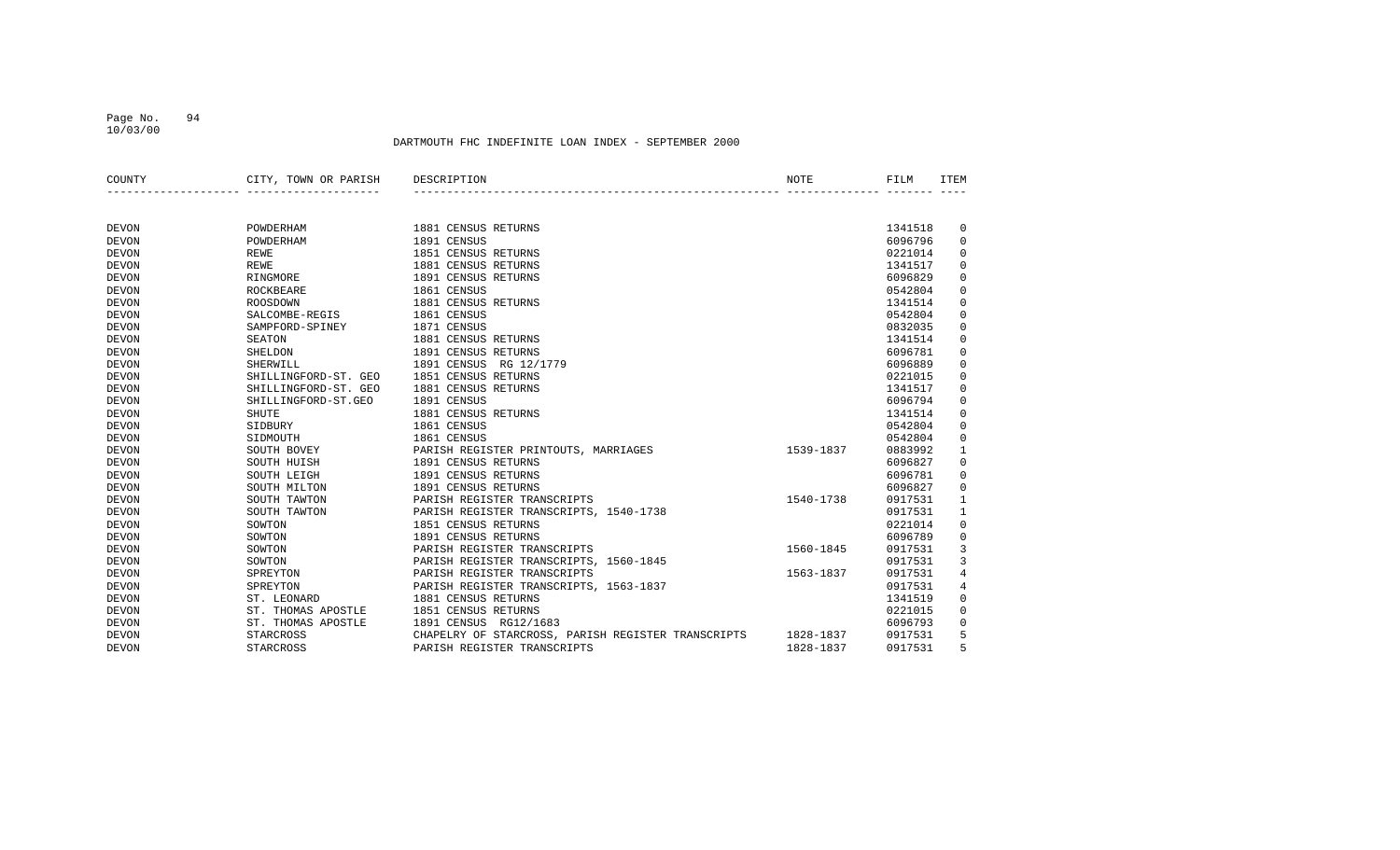#### DARTMOUTH FHC INDEFINITE LOAN INDEX - SEPTEMBER 2000

| COUNTY       | CITY, TOWN OR PARISH | DESCRIPTION                                        | NOTE      | FILM    | <b>ITEM</b>  |
|--------------|----------------------|----------------------------------------------------|-----------|---------|--------------|
|              |                      |                                                    |           |         |              |
| <b>DEVON</b> | POWDERHAM            | 1881 CENSUS RETURNS                                |           | 1341518 | 0            |
| <b>DEVON</b> | POWDERHAM            | 1891 CENSUS                                        |           | 6096796 | $\mathbf 0$  |
| <b>DEVON</b> | REWE                 | 1851 CENSUS RETURNS                                |           | 0221014 | $\mathbf 0$  |
| <b>DEVON</b> | <b>REWE</b>          | 1881 CENSUS RETURNS                                |           | 1341517 | 0            |
| <b>DEVON</b> | RINGMORE             | 1891 CENSUS RETURNS                                |           | 6096829 | $\mathbf 0$  |
| <b>DEVON</b> | <b>ROCKBEARE</b>     | 1861 CENSUS                                        |           | 0542804 | $\mathbf 0$  |
| <b>DEVON</b> | ROOSDOWN             | 1881 CENSUS RETURNS                                |           | 1341514 | $\mathbf 0$  |
| <b>DEVON</b> | SALCOMBE-REGIS       | 1861 CENSUS                                        |           | 0542804 | $\mathbf 0$  |
| <b>DEVON</b> | SAMPFORD-SPINEY      | 1871 CENSUS                                        |           | 0832035 | $\mathbf 0$  |
| <b>DEVON</b> | <b>SEATON</b>        | 1881 CENSUS RETURNS                                |           | 1341514 | $\mathbf 0$  |
| <b>DEVON</b> | SHELDON              | 1891 CENSUS RETURNS                                |           | 6096781 | $\mathbf 0$  |
| <b>DEVON</b> | SHERWILL             | 1891 CENSUS<br>RG 12/1779                          |           | 6096889 | 0            |
| <b>DEVON</b> | SHILLINGFORD-ST. GEO | 1851 CENSUS RETURNS                                |           | 0221015 | 0            |
| <b>DEVON</b> | SHILLINGFORD-ST. GEO | 1881 CENSUS RETURNS                                |           | 1341517 | $\mathbf 0$  |
| <b>DEVON</b> | SHILLINGFORD-ST.GEO  | 1891 CENSUS                                        |           | 6096794 | 0            |
| <b>DEVON</b> | SHUTE                | 1881 CENSUS RETURNS                                |           | 1341514 | $\mathbf 0$  |
| <b>DEVON</b> | SIDBURY              | 1861 CENSUS                                        |           | 0542804 | $\mathbf 0$  |
| <b>DEVON</b> | SIDMOUTH             | 1861 CENSUS                                        |           | 0542804 | 0            |
| <b>DEVON</b> | SOUTH BOVEY          | PARISH REGISTER PRINTOUTS, MARRIAGES               | 1539-1837 | 0883992 | $\mathbf{1}$ |
| <b>DEVON</b> | SOUTH HUISH          | 1891 CENSUS RETURNS                                |           | 6096827 | $\mathbf 0$  |
| <b>DEVON</b> | SOUTH LEIGH          | 1891 CENSUS RETURNS                                |           | 6096781 | $\mathsf 0$  |
| <b>DEVON</b> | SOUTH MILTON         | 1891 CENSUS RETURNS                                |           | 6096827 | $\mathbf 0$  |
| <b>DEVON</b> | SOUTH TAWTON         | PARISH REGISTER TRANSCRIPTS                        | 1540-1738 | 0917531 | $\mathbf{1}$ |
| <b>DEVON</b> | SOUTH TAWTON         | PARISH REGISTER TRANSCRIPTS, 1540-1738             |           | 0917531 | $\mathbf{1}$ |
| <b>DEVON</b> | SOWTON               | 1851 CENSUS RETURNS                                |           | 0221014 | $\mathbf 0$  |
| <b>DEVON</b> | SOWTON               | 1891 CENSUS RETURNS                                |           | 6096789 | 0            |
| <b>DEVON</b> | SOWTON               | PARISH REGISTER TRANSCRIPTS                        | 1560-1845 | 0917531 | 3            |
| <b>DEVON</b> | SOWTON               | PARISH REGISTER TRANSCRIPTS, 1560-1845             |           | 0917531 | 3            |
| <b>DEVON</b> | SPREYTON             | PARISH REGISTER TRANSCRIPTS                        | 1563-1837 | 0917531 | 4            |
| <b>DEVON</b> | SPREYTON             | PARISH REGISTER TRANSCRIPTS, 1563-1837             |           | 0917531 | 4            |
| <b>DEVON</b> | ST. LEONARD          | 1881 CENSUS RETURNS                                |           | 1341519 | 0            |
| <b>DEVON</b> | ST. THOMAS APOSTLE   | 1851 CENSUS RETURNS                                |           | 0221015 | 0            |
| <b>DEVON</b> | ST. THOMAS APOSTLE   | 1891 CENSUS RG12/1683                              |           | 6096793 | $\mathbf 0$  |
| <b>DEVON</b> | STARCROSS            | CHAPELRY OF STARCROSS, PARISH REGISTER TRANSCRIPTS | 1828-1837 | 0917531 | 5            |
| <b>DEVON</b> | STARCROSS            | PARISH REGISTER TRANSCRIPTS                        | 1828-1837 | 0917531 | 5            |

Page No. 94 10/03/00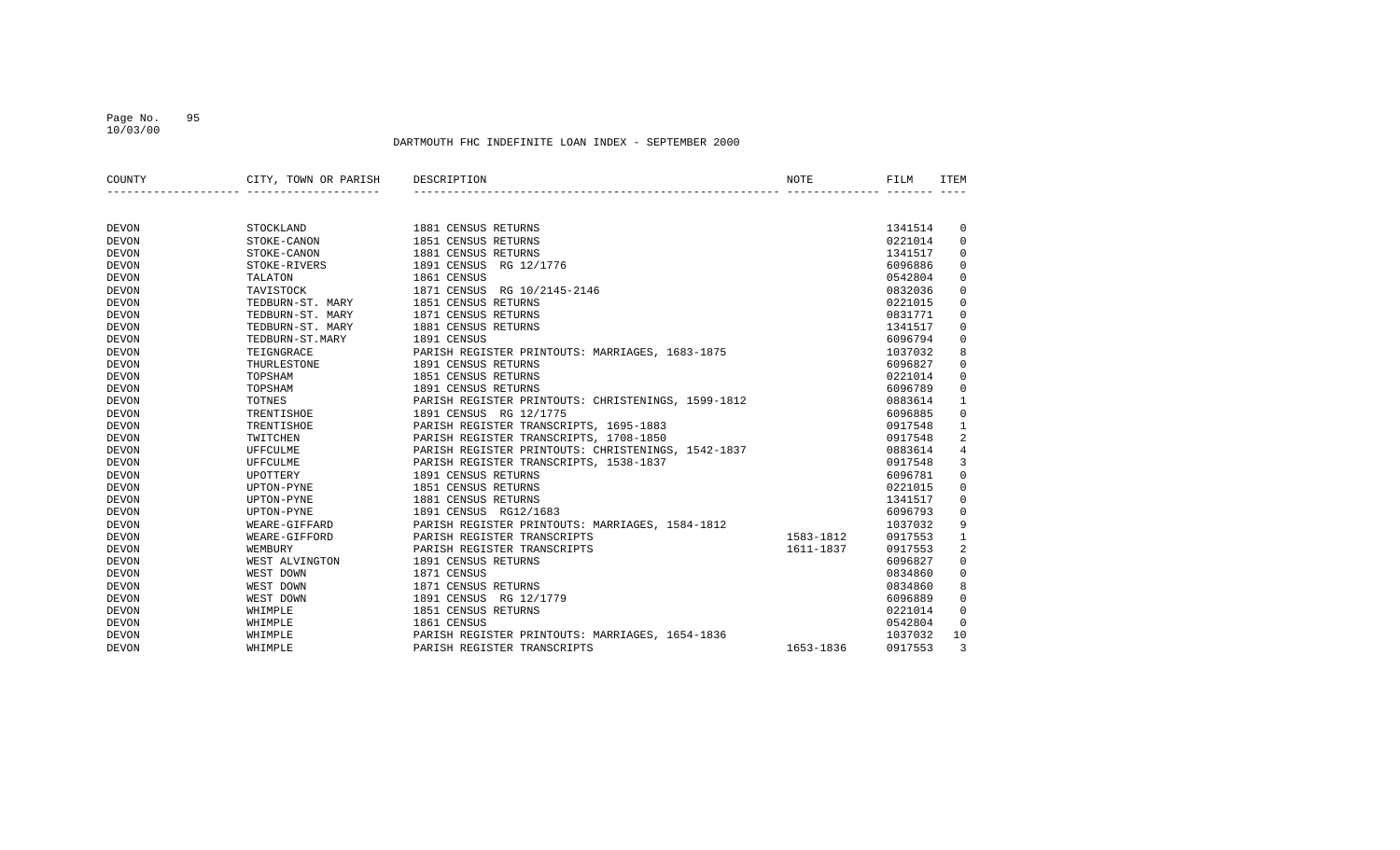### Page No. 95 10/03/00

| COUNTY       | CITY, TOWN OR PARISH | DESCRIPTION                                        | NOTE      | FILM    | ITEM           |
|--------------|----------------------|----------------------------------------------------|-----------|---------|----------------|
|              |                      |                                                    |           |         |                |
|              |                      |                                                    |           |         |                |
|              |                      |                                                    |           |         |                |
| <b>DEVON</b> | STOCKLAND            | 1881 CENSUS RETURNS                                |           | 1341514 | 0              |
| <b>DEVON</b> | STOKE-CANON          | 1851 CENSUS RETURNS                                |           | 0221014 | $\mathbf 0$    |
| <b>DEVON</b> | STOKE-CANON          | 1881 CENSUS RETURNS                                |           | 1341517 | 0              |
| <b>DEVON</b> | STOKE-RIVERS         | 1891 CENSUS<br>RG 12/1776                          |           | 6096886 | 0              |
| <b>DEVON</b> | TALATON              | 1861 CENSUS                                        |           | 0542804 | $\mathbf 0$    |
| <b>DEVON</b> | TAVISTOCK            | 1871 CENSUS<br>RG 10/2145-2146                     |           | 0832036 | $\mathbf 0$    |
| <b>DEVON</b> | TEDBURN-ST. MARY     | 1851 CENSUS RETURNS                                |           | 0221015 | $\mathbf 0$    |
| <b>DEVON</b> | TEDBURN-ST. MARY     | 1871 CENSUS RETURNS                                |           | 0831771 | $\mathbf 0$    |
| <b>DEVON</b> | TEDBURN-ST. MARY     | 1881 CENSUS RETURNS                                |           | 1341517 | $\mathbf 0$    |
| <b>DEVON</b> | TEDBURN-ST.MARY      | 1891 CENSUS                                        |           | 6096794 | $\mathbf 0$    |
| <b>DEVON</b> | TEIGNGRACE           | PARISH REGISTER PRINTOUTS: MARRIAGES, 1683-1875    |           | 1037032 | 8              |
| <b>DEVON</b> | THURLESTONE          | 1891 CENSUS RETURNS                                |           | 6096827 | $\mathbf 0$    |
| <b>DEVON</b> | TOPSHAM              | 1851 CENSUS RETURNS                                |           | 0221014 | 0              |
| <b>DEVON</b> | TOPSHAM              | 1891 CENSUS RETURNS                                |           | 6096789 | $\mathbf 0$    |
| <b>DEVON</b> | TOTNES               | PARISH REGISTER PRINTOUTS: CHRISTENINGS, 1599-1812 |           | 0883614 | 1              |
| <b>DEVON</b> | TRENTISHOE           | 1891 CENSUS RG 12/1775                             |           | 6096885 | $\mathbf 0$    |
| <b>DEVON</b> | <b>TRENTISHOE</b>    | PARISH REGISTER TRANSCRIPTS, 1695-1883             |           | 0917548 | 1              |
| <b>DEVON</b> | TWITCHEN             | PARISH REGISTER TRANSCRIPTS, 1708-1850             |           | 0917548 | 2              |
| <b>DEVON</b> | UFFCULME             | PARISH REGISTER PRINTOUTS: CHRISTENINGS, 1542-1837 |           | 0883614 | $\overline{4}$ |
| <b>DEVON</b> | UFFCULME             | PARISH REGISTER TRANSCRIPTS, 1538-1837             |           | 0917548 | 3              |
| <b>DEVON</b> | <b>UPOTTERY</b>      | 1891 CENSUS RETURNS                                |           | 6096781 | $\mathbf 0$    |
| <b>DEVON</b> | UPTON-PYNE           | 1851 CENSUS RETURNS                                |           | 0221015 | 0              |
| <b>DEVON</b> | UPTON-PYNE           | 1881 CENSUS RETURNS                                |           | 1341517 | 0              |
| <b>DEVON</b> | UPTON-PYNE           | 1891 CENSUS RG12/1683                              |           | 6096793 | 0              |
| <b>DEVON</b> | WEARE-GIFFARD        | PARISH REGISTER PRINTOUTS: MARRIAGES, 1584-1812    |           | 1037032 | 9              |
| <b>DEVON</b> | WEARE-GIFFORD        | PARISH REGISTER TRANSCRIPTS                        | 1583-1812 | 0917553 | 1              |
| <b>DEVON</b> | WEMBURY              | PARISH REGISTER TRANSCRIPTS                        | 1611-1837 | 0917553 | 2              |
| <b>DEVON</b> | WEST ALVINGTON       | 1891 CENSUS RETURNS                                |           | 6096827 | 0              |
| <b>DEVON</b> | WEST DOWN            | 1871 CENSUS                                        |           | 0834860 | 0              |
| <b>DEVON</b> | WEST DOWN            | 1871 CENSUS RETURNS                                |           | 0834860 | 8              |
| <b>DEVON</b> | WEST DOWN            | 1891 CENSUS RG 12/1779                             |           | 6096889 | $\mathbf 0$    |
| <b>DEVON</b> | WHIMPLE              | 1851 CENSUS RETURNS                                |           | 0221014 | $\mathbf 0$    |
| <b>DEVON</b> | WHIMPLE              | 1861 CENSUS                                        |           | 0542804 | $\Omega$       |
|              | WHIMPLE              | PARISH REGISTER PRINTOUTS: MARRIAGES, 1654-1836    |           | 1037032 | 10             |
| <b>DEVON</b> |                      |                                                    |           |         |                |
| <b>DEVON</b> | WHIMPLE              | PARISH REGISTER TRANSCRIPTS                        | 1653-1836 | 0917553 | 3              |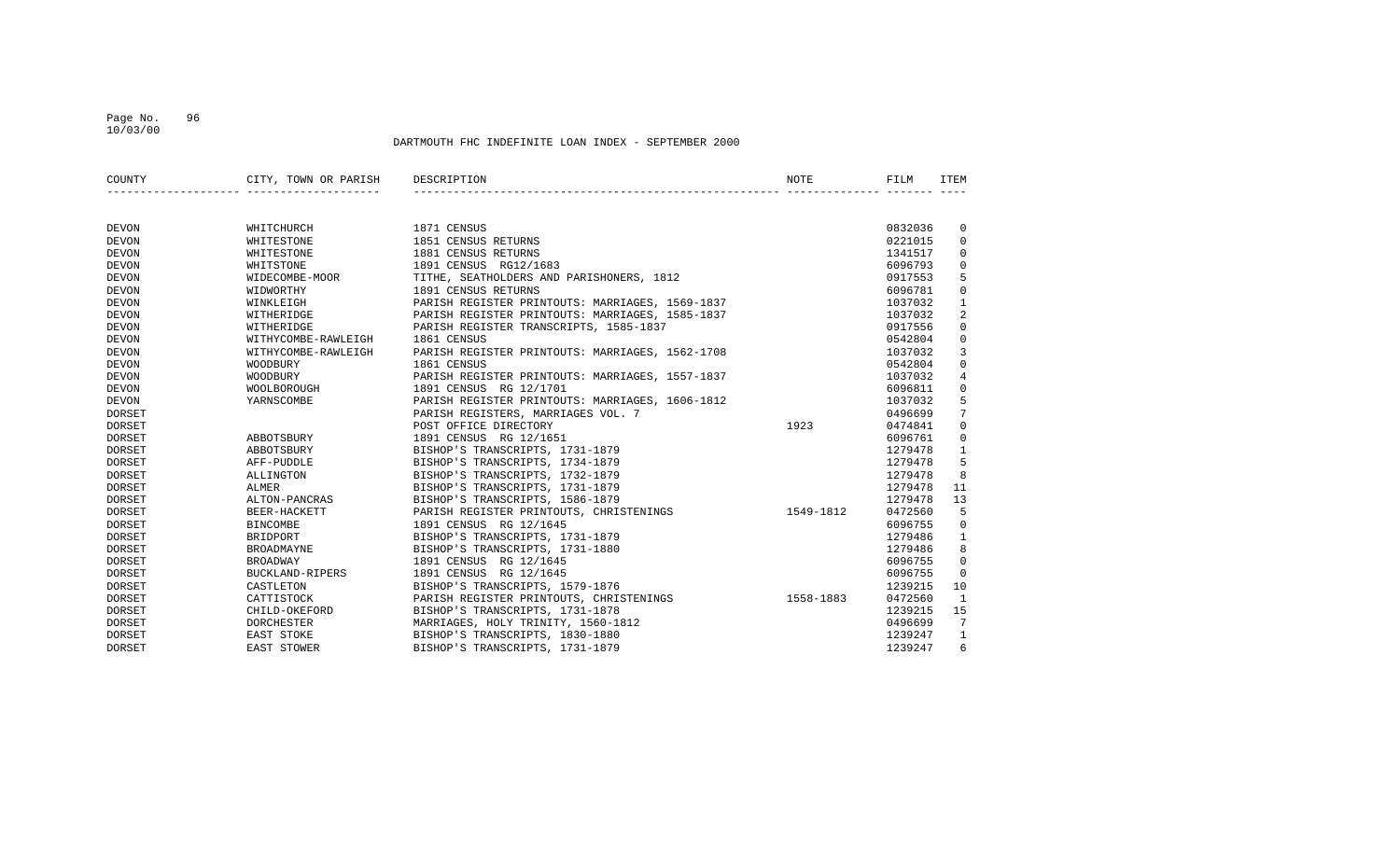### Page No. 96 10/03/00

| COUNTY        | CITY, TOWN OR PARISH | DESCRIPTION                                     | NOTE      | FILM    | ITEM           |
|---------------|----------------------|-------------------------------------------------|-----------|---------|----------------|
|               |                      |                                                 |           |         |                |
|               |                      |                                                 |           |         |                |
| <b>DEVON</b>  | WHITCHURCH           | 1871 CENSUS                                     |           | 0832036 | 0              |
| <b>DEVON</b>  | WHITESTONE           | 1851 CENSUS RETURNS                             |           | 0221015 | $\mathbf 0$    |
| <b>DEVON</b>  | WHITESTONE           | 1881 CENSUS RETURNS                             |           | 1341517 | $\mathbf 0$    |
| <b>DEVON</b>  | WHITSTONE            | 1891 CENSUS RG12/1683                           |           | 6096793 | $\mathbf 0$    |
| <b>DEVON</b>  | WIDECOMBE-MOOR       | TITHE, SEATHOLDERS AND PARISHONERS, 1812        |           | 0917553 | 5              |
| <b>DEVON</b>  | WIDWORTHY            | 1891 CENSUS RETURNS                             |           | 6096781 | $\mathbf 0$    |
| <b>DEVON</b>  | WINKLEIGH            | PARISH REGISTER PRINTOUTS: MARRIAGES, 1569-1837 |           | 1037032 | 1              |
| <b>DEVON</b>  | WITHERIDGE           | PARISH REGISTER PRINTOUTS: MARRIAGES, 1585-1837 |           | 1037032 | 2              |
| <b>DEVON</b>  | WITHERIDGE           | PARISH REGISTER TRANSCRIPTS, 1585-1837          |           | 0917556 | $\mathbf 0$    |
| <b>DEVON</b>  | WITHYCOMBE-RAWLEIGH  | 1861 CENSUS                                     |           | 0542804 | $\mathbf 0$    |
| <b>DEVON</b>  | WITHYCOMBE-RAWLEIGH  | PARISH REGISTER PRINTOUTS: MARRIAGES, 1562-1708 |           | 1037032 | $\overline{3}$ |
| <b>DEVON</b>  | WOODBURY             | 1861 CENSUS                                     |           | 0542804 | $\mathbf 0$    |
| <b>DEVON</b>  | WOODBURY             | PARISH REGISTER PRINTOUTS: MARRIAGES, 1557-1837 |           | 1037032 | $\overline{4}$ |
| <b>DEVON</b>  | WOOLBOROUGH          | 1891 CENSUS RG 12/1701                          |           | 6096811 | $\mathbf 0$    |
| <b>DEVON</b>  | YARNSCOMBE           | PARISH REGISTER PRINTOUTS: MARRIAGES, 1606-1812 |           | 1037032 | 5              |
| <b>DORSET</b> |                      | PARISH REGISTERS, MARRIAGES VOL. 7              |           | 0496699 | 7              |
| <b>DORSET</b> |                      | POST OFFICE DIRECTORY                           | 1923      | 0474841 | $\mathbf 0$    |
| <b>DORSET</b> | ABBOTSBURY           | 1891 CENSUS RG 12/1651                          |           | 6096761 | $\mathbf 0$    |
| <b>DORSET</b> | ABBOTSBURY           | BISHOP'S TRANSCRIPTS, 1731-1879                 |           | 1279478 | $\mathbf{1}$   |
| DORSET        | AFF-PUDDLE           | BISHOP'S TRANSCRIPTS, 1734-1879                 |           | 1279478 | 5              |
| DORSET        | ALLINGTON            | BISHOP'S TRANSCRIPTS, 1732-1879                 |           | 1279478 | 8              |
| DORSET        | <b>ALMER</b>         | BISHOP'S TRANSCRIPTS, 1731-1879                 |           | 1279478 | 11             |
| <b>DORSET</b> | ALTON-PANCRAS        | BISHOP'S TRANSCRIPTS, 1586-1879                 |           | 1279478 | 13             |
| DORSET        | BEER-HACKETT         | PARISH REGISTER PRINTOUTS, CHRISTENINGS         | 1549-1812 | 0472560 | 5              |
| DORSET        | <b>BINCOMBE</b>      | 1891 CENSUS RG 12/1645                          |           | 6096755 | $\overline{0}$ |
| DORSET        | BRIDPORT             | BISHOP'S TRANSCRIPTS, 1731-1879                 |           | 1279486 | $\mathbf{1}$   |
| DORSET        | <b>BROADMAYNE</b>    | BISHOP'S TRANSCRIPTS, 1731-1880                 |           | 1279486 | 8              |
| <b>DORSET</b> | <b>BROADWAY</b>      | 1891 CENSUS RG 12/1645                          |           | 6096755 | 0              |
| DORSET        | BUCKLAND-RIPERS      | 1891 CENSUS RG 12/1645                          |           | 6096755 | $\mathbf 0$    |
| DORSET        | CASTLETON            | BISHOP'S TRANSCRIPTS, 1579-1876                 |           | 1239215 | 10             |
| DORSET        | CATTISTOCK           | PARISH REGISTER PRINTOUTS, CHRISTENINGS         | 1558-1883 | 0472560 | 1              |
| DORSET        | CHILD-OKEFORD        | BISHOP'S TRANSCRIPTS, 1731-1878                 |           | 1239215 | 15             |
| <b>DORSET</b> | <b>DORCHESTER</b>    | MARRIAGES, HOLY TRINITY, 1560-1812              |           | 0496699 | 7              |
| <b>DORSET</b> | EAST STOKE           | BISHOP'S TRANSCRIPTS, 1830-1880                 |           | 1239247 | $\mathbf{1}$   |
| <b>DORSET</b> | EAST STOWER          | BISHOP'S TRANSCRIPTS, 1731-1879                 |           | 1239247 | 6              |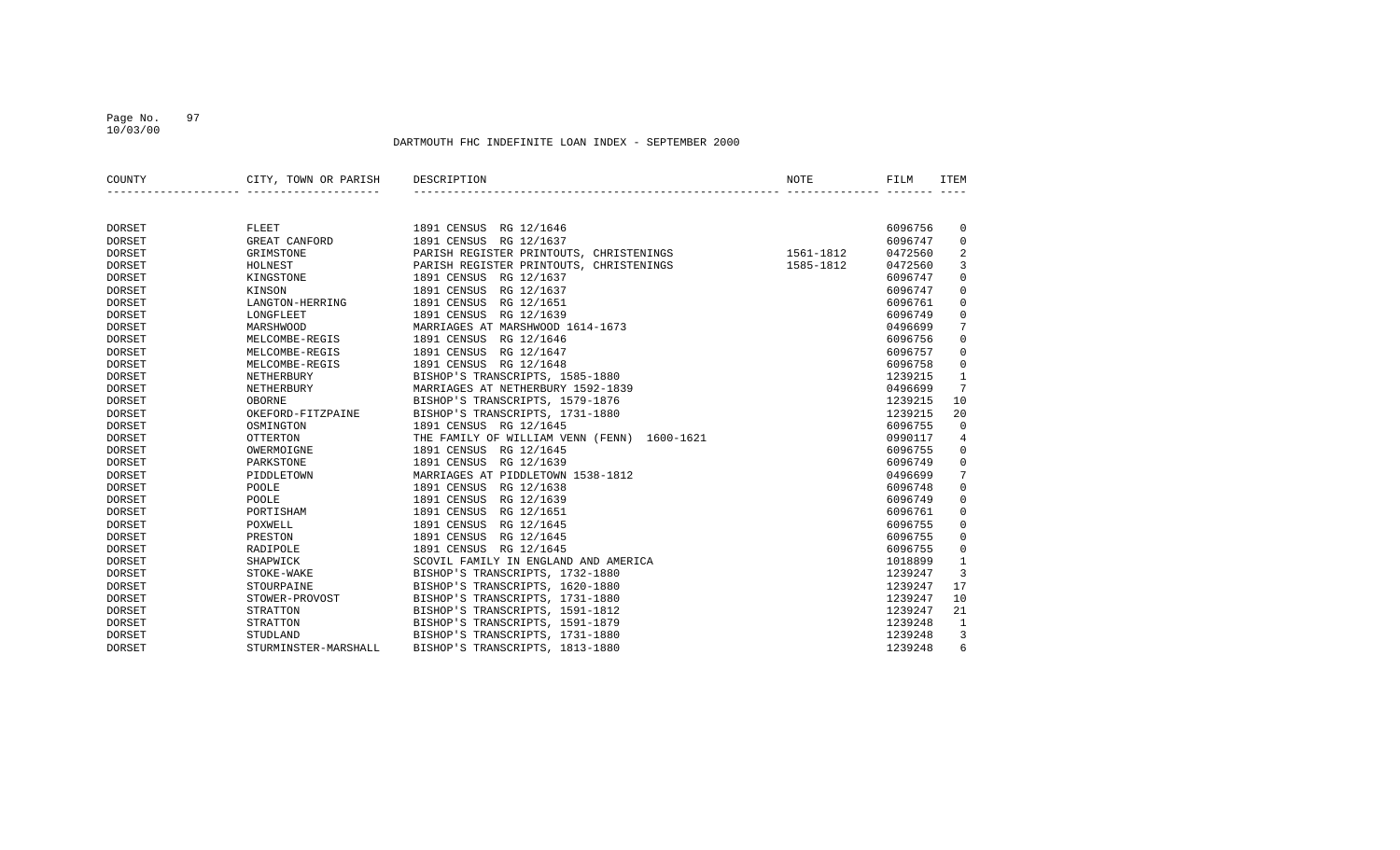### Page No. 97 10/03/00

| COUNTY        | CITY, TOWN OR PARISH | DESCRIPTION                                 | NOTE      | FILM    | <b>ITEM</b>  |
|---------------|----------------------|---------------------------------------------|-----------|---------|--------------|
|               |                      |                                             |           |         |              |
| <b>DORSET</b> | FLEET                | 1891 CENSUS RG 12/1646                      |           | 6096756 | 0            |
| <b>DORSET</b> | GREAT CANFORD        | 1891 CENSUS<br>RG 12/1637                   |           | 6096747 | 0            |
| <b>DORSET</b> | GRIMSTONE            | PARISH REGISTER PRINTOUTS, CHRISTENINGS     | 1561-1812 | 0472560 | 2            |
| <b>DORSET</b> | HOLNEST              | PARISH REGISTER PRINTOUTS, CHRISTENINGS     | 1585-1812 | 0472560 | 3            |
| <b>DORSET</b> | KINGSTONE            | RG 12/1637<br>1891 CENSUS                   |           | 6096747 | 0            |
| <b>DORSET</b> | KINSON               | 1891 CENSUS<br>RG 12/1637                   |           | 6096747 | $\mathbf 0$  |
| <b>DORSET</b> | LANGTON-HERRING      | 1891 CENSUS<br>RG 12/1651                   |           | 6096761 | $\mathbf 0$  |
| <b>DORSET</b> | LONGFLEET            | 1891 CENSUS<br>RG 12/1639                   |           | 6096749 | 0            |
| <b>DORSET</b> | <b>MARSHWOOD</b>     | MARRIAGES AT MARSHWOOD 1614-1673            |           | 0496699 | 7            |
| <b>DORSET</b> | MELCOMBE-REGIS       | 1891 CENSUS RG 12/1646                      |           | 6096756 | $\mathbf 0$  |
| <b>DORSET</b> | MELCOMBE-REGIS       | 1891 CENSUS<br>RG 12/1647                   |           | 6096757 | $\mathbf 0$  |
| <b>DORSET</b> | MELCOMBE-REGIS       | 1891 CENSUS<br>RG 12/1648                   |           | 6096758 | $\mathbf 0$  |
| <b>DORSET</b> | NETHERBURY           | BISHOP'S TRANSCRIPTS, 1585-1880             |           | 1239215 | 1            |
| <b>DORSET</b> | NETHERBURY           | MARRIAGES AT NETHERBURY 1592-1839           |           | 0496699 | 7            |
| <b>DORSET</b> | <b>OBORNE</b>        | BISHOP'S TRANSCRIPTS, 1579-1876             |           | 1239215 | 10           |
| <b>DORSET</b> | OKEFORD-FITZPAINE    | BISHOP'S TRANSCRIPTS, 1731-1880             |           | 1239215 | 20           |
| <b>DORSET</b> | OSMINGTON            | 1891 CENSUS RG 12/1645                      |           | 6096755 | $\mathbf 0$  |
| <b>DORSET</b> | <b>OTTERTON</b>      | THE FAMILY OF WILLIAM VENN (FENN) 1600-1621 |           | 0990117 | 4            |
| <b>DORSET</b> | OWERMOIGNE           | 1891 CENSUS<br>RG 12/1645                   |           | 6096755 | 0            |
| <b>DORSET</b> | PARKSTONE            | 1891 CENSUS<br>RG 12/1639                   |           | 6096749 | 0            |
| <b>DORSET</b> | PIDDLETOWN           | MARRIAGES AT PIDDLETOWN 1538-1812           |           | 0496699 | 7            |
| <b>DORSET</b> | POOLE                | 1891 CENSUS RG 12/1638                      |           | 6096748 | $\mathbf 0$  |
| <b>DORSET</b> | POOLE                | 1891 CENSUS<br>RG 12/1639                   |           | 6096749 | $\mathbf 0$  |
| <b>DORSET</b> | PORTISHAM            | 1891 CENSUS<br>RG 12/1651                   |           | 6096761 | $\mathbf 0$  |
| <b>DORSET</b> | POXWELL              | 1891 CENSUS<br>RG 12/1645                   |           | 6096755 | 0            |
| <b>DORSET</b> | PRESTON              | 1891 CENSUS<br>RG 12/1645                   |           | 6096755 | 0            |
| <b>DORSET</b> | RADIPOLE             | 1891 CENSUS<br>RG 12/1645                   |           | 6096755 | 0            |
| <b>DORSET</b> | SHAPWICK             | SCOVIL FAMILY IN ENGLAND AND AMERICA        |           | 1018899 | $\mathbf{1}$ |
| <b>DORSET</b> | STOKE-WAKE           | BISHOP'S TRANSCRIPTS, 1732-1880             |           | 1239247 | 3            |
| <b>DORSET</b> | STOURPAINE           | BISHOP'S TRANSCRIPTS, 1620-1880             |           | 1239247 | 17           |
| <b>DORSET</b> | STOWER-PROVOST       | BISHOP'S TRANSCRIPTS, 1731-1880             |           | 1239247 | 10           |
| <b>DORSET</b> | STRATTON             | BISHOP'S TRANSCRIPTS, 1591-1812             |           | 1239247 | 21           |
| <b>DORSET</b> | STRATTON             | BISHOP'S TRANSCRIPTS, 1591-1879             |           | 1239248 | 1            |
| <b>DORSET</b> | STUDLAND             | BISHOP'S TRANSCRIPTS, 1731-1880             |           | 1239248 | 3            |
| <b>DORSET</b> | STURMINSTER-MARSHALL | BISHOP'S TRANSCRIPTS, 1813-1880             |           | 1239248 | 6            |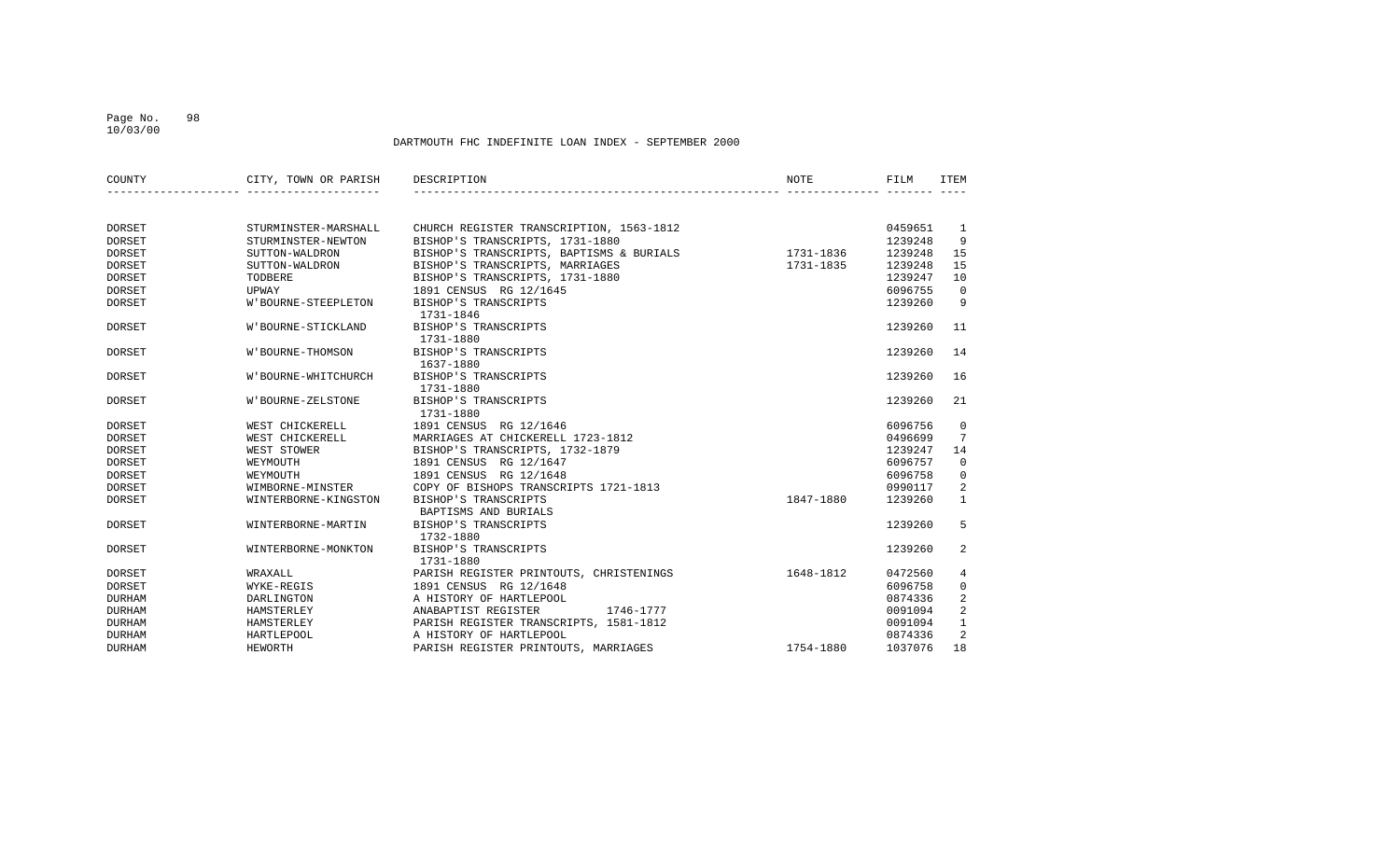### Page No. 98 10/03/00

| COUNTY        | CITY, TOWN OR PARISH       | DESCRIPTION                              | <b>NOTE</b> | FILM    | <b>ITEM</b>    |
|---------------|----------------------------|------------------------------------------|-------------|---------|----------------|
|               |                            |                                          |             |         |                |
| DORSET        | STURMINSTER-MARSHALL       | CHURCH REGISTER TRANSCRIPTION, 1563-1812 |             | 0459651 | <sup>1</sup>   |
| <b>DORSET</b> | STURMINSTER-NEWTON         | BISHOP'S TRANSCRIPTS, 1731-1880          |             | 1239248 | 9              |
| <b>DORSET</b> | SUTTON-WALDRON             | BISHOP'S TRANSCRIPTS, BAPTISMS & BURIALS | 1731-1836   | 1239248 | 15             |
| <b>DORSET</b> | SUTTON-WALDRON             | BISHOP'S TRANSCRIPTS, MARRIAGES          | 1731-1835   | 1239248 | 15             |
| <b>DORSET</b> | TODBERE                    | BISHOP'S TRANSCRIPTS, 1731-1880          |             | 1239247 | 10             |
| <b>DORSET</b> | UPWAY                      | 1891 CENSUS RG 12/1645                   |             | 6096755 | $\mathbf 0$    |
| <b>DORSET</b> | <b>W'BOURNE-STEEPLETON</b> | BISHOP'S TRANSCRIPTS                     |             | 1239260 | 9              |
|               |                            | 1731-1846                                |             |         |                |
| <b>DORSET</b> | W'BOURNE-STICKLAND         | BISHOP'S TRANSCRIPTS                     |             | 1239260 | 11             |
|               |                            | 1731-1880                                |             |         |                |
| <b>DORSET</b> | W'BOURNE-THOMSON           | BISHOP'S TRANSCRIPTS                     |             | 1239260 | 14             |
|               |                            | 1637-1880                                |             |         |                |
| DORSET        | W'BOURNE-WHITCHURCH        | BISHOP'S TRANSCRIPTS                     |             | 1239260 | 16             |
|               |                            | 1731-1880                                |             |         |                |
| DORSET        | W'BOURNE-ZELSTONE          | BISHOP'S TRANSCRIPTS                     |             | 1239260 | 21             |
|               |                            | 1731-1880                                |             |         |                |
| <b>DORSET</b> | WEST CHICKERELL            | 1891 CENSUS RG 12/1646                   |             | 6096756 | $\overline{0}$ |
| <b>DORSET</b> | WEST CHICKERELL            | MARRIAGES AT CHICKERELL 1723-1812        |             | 0496699 | 7              |
| <b>DORSET</b> | WEST STOWER                | BISHOP'S TRANSCRIPTS, 1732-1879          |             | 1239247 | 14             |
| DORSET        | WEYMOUTH                   | 1891 CENSUS RG 12/1647                   |             | 6096757 | $\mathbf 0$    |
| <b>DORSET</b> | WEYMOUTH                   | 1891 CENSUS RG 12/1648                   |             | 6096758 | $\mathbf 0$    |
| <b>DORSET</b> | WIMBORNE-MINSTER           | COPY OF BISHOPS TRANSCRIPTS 1721-1813    |             | 0990117 | 2              |
| DORSET        | WINTERBORNE-KINGSTON       | BISHOP'S TRANSCRIPTS                     | 1847-1880   | 1239260 | $\mathbf{1}$   |
|               |                            | BAPTISMS AND BURIALS                     |             |         |                |
| DORSET        | WINTERBORNE-MARTIN         | BISHOP'S TRANSCRIPTS                     |             | 1239260 | 5              |
|               |                            | 1732-1880                                |             |         |                |
| DORSET        | WINTERBORNE-MONKTON        | BISHOP'S TRANSCRIPTS                     |             | 1239260 | 2              |
|               |                            | 1731-1880                                |             |         |                |
| <b>DORSET</b> | WRAXALL                    | PARISH REGISTER PRINTOUTS, CHRISTENINGS  | 1648-1812   | 0472560 | 4              |
| <b>DORSET</b> | WYKE-REGIS                 | 1891 CENSUS RG 12/1648                   |             | 6096758 | 0              |
| <b>DURHAM</b> | DARLINGTON                 | A HISTORY OF HARTLEPOOL                  |             | 0874336 | 2              |
| <b>DURHAM</b> | HAMSTERLEY                 | ANABAPTIST REGISTER<br>1746-1777         |             | 0091094 | 2              |
| <b>DURHAM</b> | HAMSTERLEY                 | PARISH REGISTER TRANSCRIPTS, 1581-1812   |             | 0091094 | $\mathbf{1}$   |
| <b>DURHAM</b> | HARTLEPOOL                 | A HISTORY OF HARTLEPOOL                  |             | 0874336 | 2              |
| <b>DURHAM</b> | HEWORTH                    | PARISH REGISTER PRINTOUTS, MARRIAGES     | 1754-1880   | 1037076 | 18             |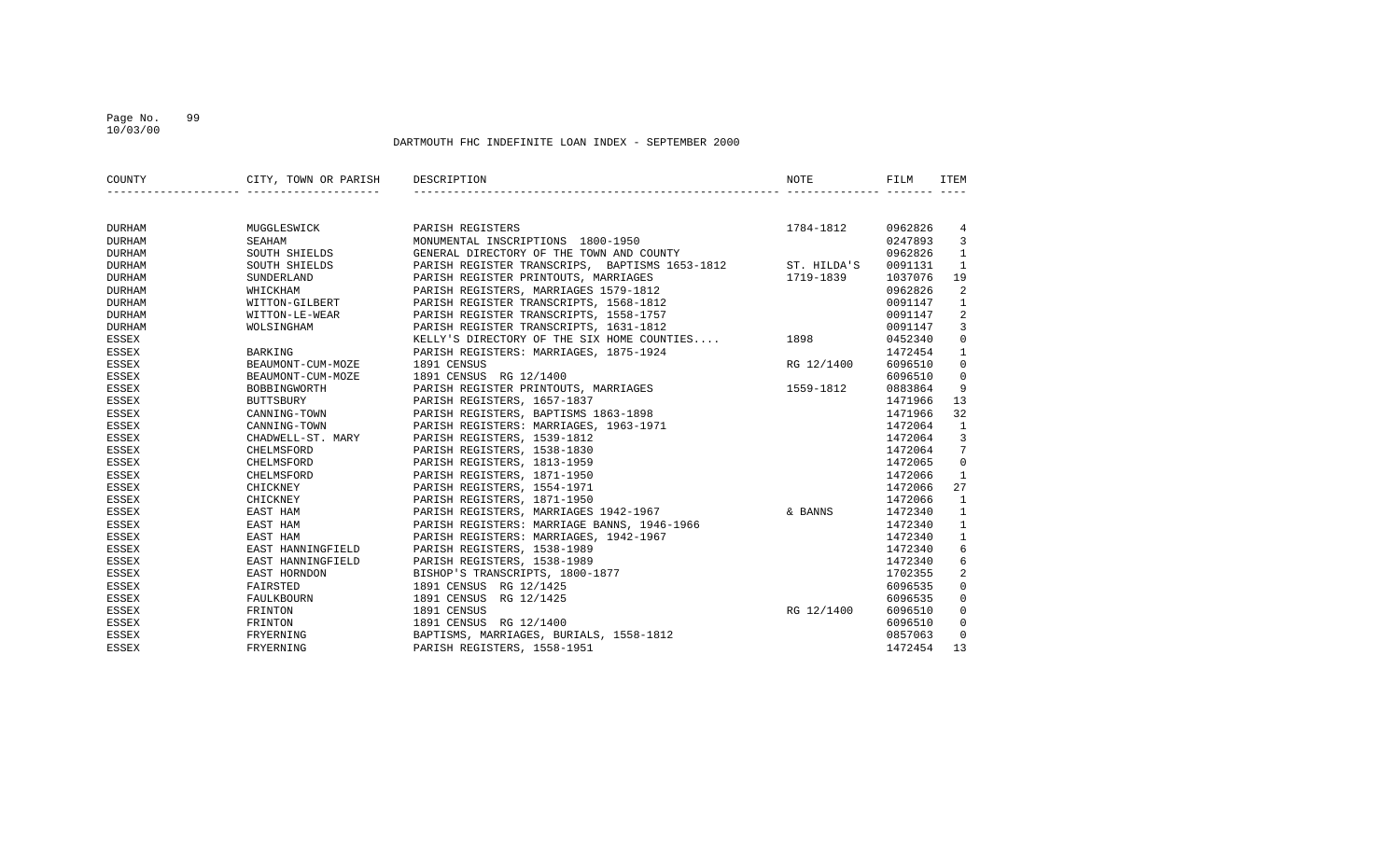### Page No. 99 10/03/00

| COUNTY        | CITY, TOWN OR PARISH DESCRIPTION |                                                            | NOTE       | FILM    | ITEM                |
|---------------|----------------------------------|------------------------------------------------------------|------------|---------|---------------------|
|               |                                  |                                                            |            |         |                     |
| DURHAM        | MUGGLESWICK                      | PARISH REGISTERS                                           | 1784-1812  | 0962826 | $\overline{4}$      |
| <b>DURHAM</b> | SEAHAM                           | MONUMENTAL INSCRIPTIONS 1800-1950                          |            | 0247893 | $\overline{3}$      |
| <b>DURHAM</b> | SOUTH SHIELDS                    | GENERAL DIRECTORY OF THE TOWN AND COUNTY                   |            | 0962826 | $\mathbf{1}$        |
| <b>DURHAM</b> | SOUTH SHIELDS                    | PARISH REGISTER TRANSCRIPS, BAPTISMS 1653-1812 ST. HILDA'S |            | 0091131 | $\mathbf{1}$        |
| <b>DURHAM</b> | SUNDERLAND                       | PARISH REGISTER PRINTOUTS, MARRIAGES                       | 1719-1839  | 1037076 | 19                  |
| <b>DURHAM</b> | WHICKHAM                         | PARISH REGISTERS, MARRIAGES 1579-1812                      |            | 0962826 | 2                   |
| <b>DURHAM</b> | WITTON-GILBERT                   | PARISH REGISTER TRANSCRIPTS, 1568-1812                     |            | 0091147 | $\mathbf{1}$        |
| <b>DURHAM</b> | WITTON-LE-WEAR                   | PARISH REGISTER TRANSCRIPTS, 1558-1757                     |            | 0091147 | 2                   |
| <b>DURHAM</b> | WOLSINGHAM                       | PARISH REGISTER TRANSCRIPTS, 1631-1812                     |            | 0091147 | $\mathbf{3}$        |
| ESSEX         |                                  | KELLY'S DIRECTORY OF THE SIX HOME COUNTIES 1898            |            | 0452340 | $\mathsf{O}\xspace$ |
| <b>ESSEX</b>  | BARKING                          | PARISH REGISTERS: MARRIAGES, 1875-1924                     |            | 1472454 | $\mathbf{1}$        |
| <b>ESSEX</b>  | BEAUMONT-CUM-MOZE                | 1891 CENSUS                                                | RG 12/1400 | 6096510 | $\mathbf 0$         |
| <b>ESSEX</b>  | BEAUMONT-CUM-MOZE                | 1891 CENSUS RG 12/1400                                     |            | 6096510 | $\mathbf 0$         |
| <b>ESSEX</b>  | BOBBINGWORTH                     | PARISH REGISTER PRINTOUTS, MARRIAGES                       | 1559-1812  | 0883864 | 9                   |
| <b>ESSEX</b>  | <b>BUTTSBURY</b>                 | PARISH REGISTERS, 1657-1837                                |            | 1471966 | 13                  |
| <b>ESSEX</b>  | CANNING-TOWN                     | PARISH REGISTERS, BAPTISMS 1863-1898                       |            | 1471966 | 32                  |
| <b>ESSEX</b>  | CANNING-TOWN                     | PARISH REGISTERS: MARRIAGES, 1963-1971                     |            | 1472064 | $\mathbf{1}$        |
| <b>ESSEX</b>  | CHADWELL-ST. MARY                | PARISH REGISTERS, 1539-1812                                |            | 1472064 | $\overline{3}$      |
| ESSEX         | CHELMSFORD                       | PARISH REGISTERS, 1538-1830                                |            | 1472064 | $7^{\circ}$         |
| <b>ESSEX</b>  | CHELMSFORD                       | PARISH REGISTERS, 1813-1959                                |            | 1472065 | $\mathbf 0$         |
| <b>ESSEX</b>  | CHELMSFORD                       | PARISH REGISTERS, 1871-1950                                |            | 1472066 | $\mathbf{1}$        |
| <b>ESSEX</b>  | CHICKNEY                         | PARISH REGISTERS, 1554-1971                                |            | 1472066 | 27                  |
| ESSEX         | CHICKNEY                         | PARISH REGISTERS, 1871-1950                                |            | 1472066 | $\mathbf{1}$        |
| <b>ESSEX</b>  | EAST HAM                         | PARISH REGISTERS, MARRIAGES 1942-1967                      | & BANNS    | 1472340 | $\mathbf{1}$        |
| <b>ESSEX</b>  | EAST HAM                         | PARISH REGISTERS: MARRIAGE BANNS, 1946-1966                |            | 1472340 | $\mathbf{1}$        |
| <b>ESSEX</b>  | EAST HAM                         | PARISH REGISTERS: MARRIAGES, 1942-1967                     |            | 1472340 | $\mathbf{1}$        |
| <b>ESSEX</b>  | EAST HANNINGFIELD                | PARISH REGISTERS, 1538-1989                                |            | 1472340 | 6                   |
| ESSEX         | EAST HANNINGFIELD                | PARISH REGISTERS, 1538-1989                                |            | 1472340 | 6                   |
| <b>ESSEX</b>  | EAST HORNDON                     | BISHOP'S TRANSCRIPTS, 1800-1877                            |            | 1702355 | 2                   |
| <b>ESSEX</b>  | FAIRSTED                         | 1891 CENSUS RG 12/1425                                     |            | 6096535 | $\mathbf 0$         |
| ESSEX         | FAULKBOURN                       | 1891 CENSUS RG 12/1425                                     |            | 6096535 | $\mathbf 0$         |
| <b>ESSEX</b>  | FRINTON                          | 1891 CENSUS                                                | RG 12/1400 | 6096510 | $\mathbf 0$         |
| ESSEX         | FRINTON                          | 1891 CENSUS RG 12/1400                                     |            | 6096510 | $\mathbf 0$         |
| <b>ESSEX</b>  | FRYERNING                        | BAPTISMS, MARRIAGES, BURIALS, 1558-1812                    |            | 0857063 | $\mathbf{0}$        |
| <b>ESSEX</b>  | FRYERNING                        | PARISH REGISTERS, 1558-1951                                |            | 1472454 | 13                  |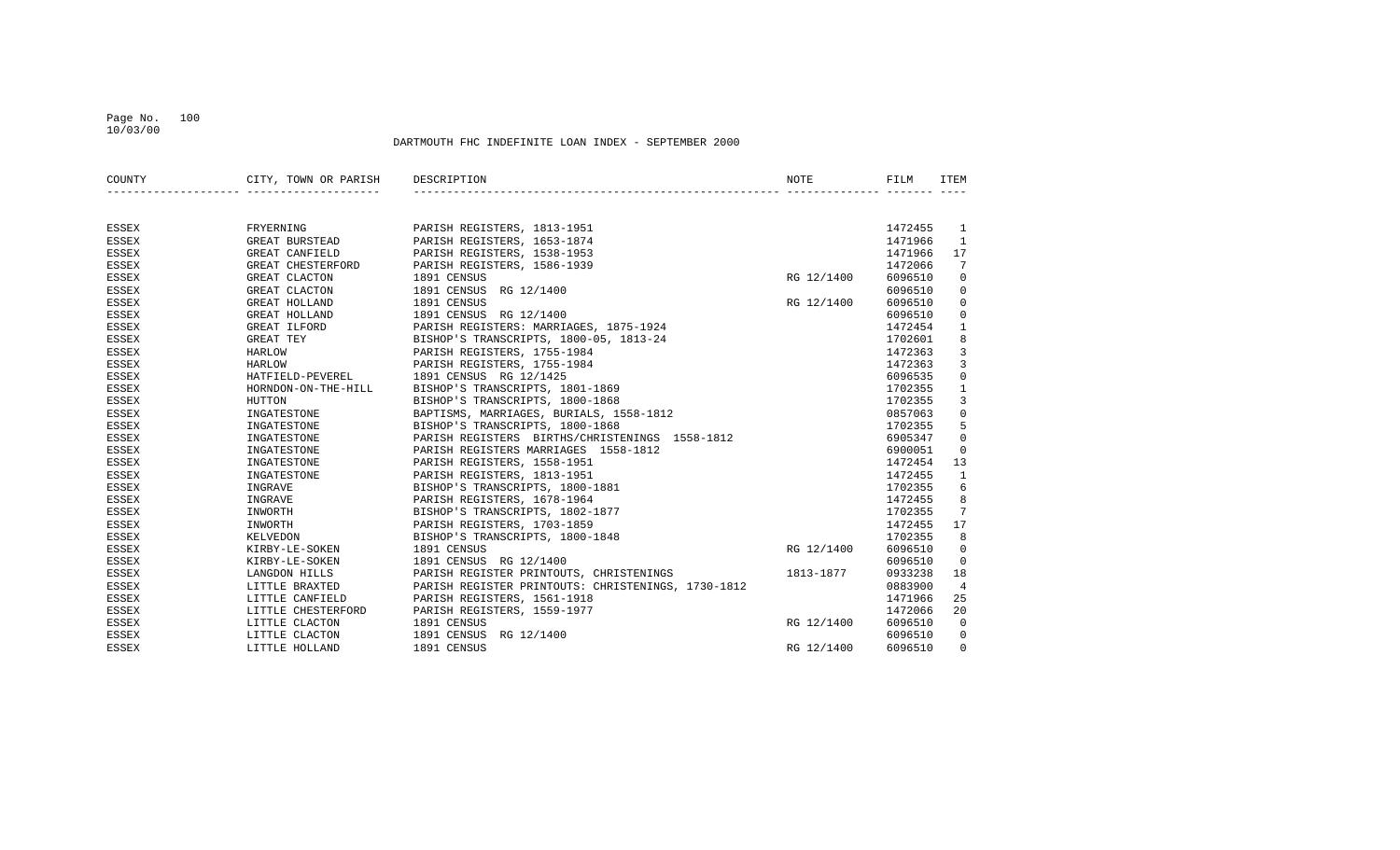### Page No. 100 10/03/00

| COUNTY       | CITY, TOWN OR PARISH DESCRIPTION |                                                                                                                 | NOTE       | FILM    | ITEM           |
|--------------|----------------------------------|-----------------------------------------------------------------------------------------------------------------|------------|---------|----------------|
|              |                                  |                                                                                                                 |            |         |                |
| ESSEX        | FRYERNING                        | PARISH REGISTERS, 1813-1951                                                                                     |            | 1472455 | 1              |
| ESSEX        | GREAT BURSTEAD                   | PARISH REGISTERS, 1653-1874                                                                                     |            | 1471966 | 1              |
| ESSEX        | GREAT CANFIELD                   | PARISH REGISTERS, 1538-1953                                                                                     |            | 1471966 | 17             |
| ESSEX        | GREAT CHESTERFORD                | PARISH REGISTERS, 1586-1939                                                                                     |            | 1472066 | 7              |
| <b>ESSEX</b> | GREAT CLACTON                    | 1891 CENSUS                                                                                                     | RG 12/1400 | 6096510 | $\mathbf 0$    |
| ESSEX        | GREAT CLACTON                    | 1891 CENSUS RG 12/1400                                                                                          |            | 6096510 | $\mathbf 0$    |
| ESSEX        | GREAT HOLLAND                    | 1891 CENSUS                                                                                                     | RG 12/1400 | 6096510 | $\mathbf 0$    |
| <b>ESSEX</b> | GREAT HOLLAND                    | 1891 CENSUS RG 12/1400                                                                                          |            | 6096510 | $\mathbf 0$    |
| ESSEX        | GREAT ILFORD                     |                                                                                                                 |            | 1472454 | $\mathbf{1}$   |
| ESSEX        | GREAT TEY                        | PARISH REGISTERS: MARRIAGES, 1875-1924<br>BISHOP'S TRANSCRIPTS, 1800-05, 1813-24<br>PARISH PEGISTERS, 1755-1994 |            | 1702601 | $\,8\,$        |
| <b>ESSEX</b> | HARLOW                           | PARISH REGISTERS, 1755-1984                                                                                     |            | 1472363 | $\mathbf{3}$   |
| <b>ESSEX</b> | HARLOW                           | PARISH REGISTERS, 1755-1984                                                                                     |            | 1472363 | $\overline{3}$ |
| ESSEX        | HATFIELD-PEVEREL                 | 1891 CENSUS RG 12/1425                                                                                          |            | 6096535 | $\mathbf 0$    |
| <b>ESSEX</b> | HORNDON-ON-THE-HILL              | BISHOP'S TRANSCRIPTS, 1801-1869                                                                                 |            | 1702355 | $\mathbf{1}$   |
| <b>ESSEX</b> | HUTTON                           | BISHOP'S TRANSCRIPTS, 1800-1868                                                                                 |            | 1702355 | 3              |
| ESSEX        | INGATESTONE                      | BAPTISMS, MARRIAGES, BURIALS, 1558-1812                                                                         |            | 0857063 | $\mathbf 0$    |
| ESSEX        | INGATESTONE                      | BISHOP'S TRANSCRIPTS, 1800-1868                                                                                 |            | 1702355 | 5              |
| ESSEX        | INGATESTONE                      | PARISH REGISTERS BIRTHS/CHRISTENINGS 1558-1812                                                                  |            | 6905347 | $\mathbf 0$    |
| ESSEX        | INGATESTONE                      | PARISH REGISTERS MARRIAGES 1558-1812                                                                            |            | 6900051 | 0              |
| <b>ESSEX</b> | INGATESTONE                      | PARISH REGISTERS, 1558-1951                                                                                     |            | 1472454 | 13             |
| <b>ESSEX</b> | INGATESTONE                      | PARISH REGISTERS, 1813-1951                                                                                     |            | 1472455 | $\mathbf{1}$   |
| <b>ESSEX</b> | INGRAVE                          | BISHOP'S TRANSCRIPTS, 1800-1881                                                                                 |            | 1702355 | 6              |
| <b>ESSEX</b> | INGRAVE                          | PARISH REGISTERS, 1678-1964                                                                                     |            | 1472455 | 8              |
| <b>ESSEX</b> | INWORTH                          | BISHOP'S TRANSCRIPTS, 1802-1877                                                                                 |            | 1702355 | 7              |
| ESSEX        | INWORTH                          | PARISH REGISTERS, 1703-1859                                                                                     |            | 1472455 | 17             |
| <b>ESSEX</b> | KELVEDON                         | BISHOP'S TRANSCRIPTS, 1800-1848                                                                                 |            | 1702355 | 8              |
| ESSEX        | KIRBY-LE-SOKEN                   | 1891 CENSUS                                                                                                     | RG 12/1400 | 6096510 | $\mathbf 0$    |
| ESSEX        | KIRBY-LE-SOKEN                   | 1891 CENSUS RG 12/1400                                                                                          |            | 6096510 | $\mathbf 0$    |
| ESSEX        | LANGDON HILLS                    | PARISH REGISTER PRINTOUTS, CHRISTENINGS 1813-1877                                                               |            | 0933238 | 18             |
| ESSEX        | LITTLE BRAXTED                   | PARISH REGISTER PRINTOUTS: CHRISTENINGS, 1730-1812                                                              |            | 0883900 | $\overline{4}$ |
| ESSEX        | LITTLE CANFIELD                  | PARISH REGISTERS, 1561-1918                                                                                     |            | 1471966 | 25             |
| ESSEX        | LITTLE CHESTERFORD               | PARISH REGISTERS, 1559-1977                                                                                     |            | 1472066 | 20             |
| ESSEX        | LITTLE CLACTON                   | 1891 CENSUS                                                                                                     | RG 12/1400 | 6096510 | $\mathbf 0$    |
| ESSEX        | LITTLE CLACTON                   | 1891 CENSUS<br>RG 12/1400                                                                                       |            | 6096510 | 0              |
| <b>ESSEX</b> | LITTLE HOLLAND                   | 1891 CENSUS                                                                                                     | RG 12/1400 | 6096510 | 0              |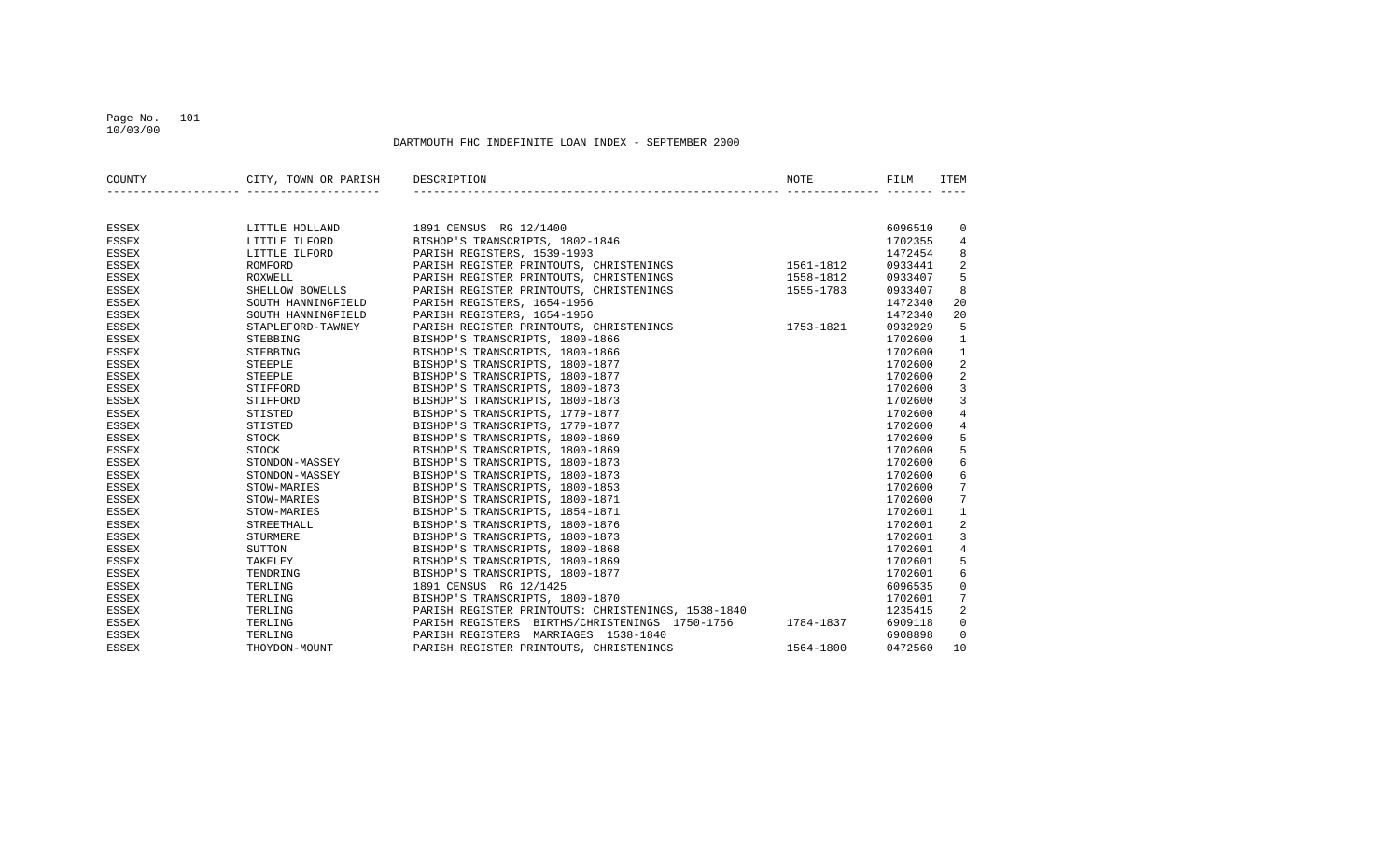### Page No. 101 10/03/00

| COUNTY       | CITY, TOWN OR PARISH | DESCRIPTION                                          | NOTE      | FILM    | ITEM           |
|--------------|----------------------|------------------------------------------------------|-----------|---------|----------------|
|              |                      |                                                      |           |         |                |
| <b>ESSEX</b> | LITTLE HOLLAND       | 1891 CENSUS RG 12/1400                               |           | 6096510 | 0              |
| <b>ESSEX</b> | LITTLE ILFORD        | BISHOP'S TRANSCRIPTS, 1802-1846                      |           | 1702355 | 4              |
| <b>ESSEX</b> | LITTLE ILFORD        | PARISH REGISTERS, 1539-1903                          |           | 1472454 | 8              |
| <b>ESSEX</b> | ROMFORD              | PARISH REGISTER PRINTOUTS, CHRISTENINGS              | 1561-1812 | 0933441 | 2              |
| <b>ESSEX</b> | ROXWELL              | PARISH REGISTER PRINTOUTS, CHRISTENINGS              | 1558-1812 | 0933407 | 5              |
| <b>ESSEX</b> | SHELLOW BOWELLS      | PARISH REGISTER PRINTOUTS, CHRISTENINGS              | 1555-1783 | 0933407 | 8              |
| ESSEX        | SOUTH HANNINGFIELD   | PARISH REGISTERS, 1654-1956                          |           | 1472340 | 20             |
| <b>ESSEX</b> | SOUTH HANNINGFIELD   | PARISH REGISTERS, 1654-1956                          |           | 1472340 | 20             |
| <b>ESSEX</b> | STAPLEFORD-TAWNEY    | 1753-1821<br>PARISH REGISTER PRINTOUTS, CHRISTENINGS |           | 0932929 | 5              |
| <b>ESSEX</b> | STEBBING             | BISHOP'S TRANSCRIPTS, 1800-1866                      |           | 1702600 | 1              |
| <b>ESSEX</b> | STEBBING             | BISHOP'S TRANSCRIPTS, 1800-1866                      |           | 1702600 | $\mathbf{1}$   |
| <b>ESSEX</b> | STEEPLE              | BISHOP'S TRANSCRIPTS, 1800-1877                      |           | 1702600 | 2              |
| ESSEX        | STEEPLE              | BISHOP'S TRANSCRIPTS, 1800-1877                      |           | 1702600 | 2              |
| <b>ESSEX</b> | STIFFORD             | BISHOP'S TRANSCRIPTS, 1800-1873                      |           | 1702600 | $\mathbf{3}$   |
| <b>ESSEX</b> | STIFFORD             | BISHOP'S TRANSCRIPTS, 1800-1873                      |           | 1702600 | $\mathbf{3}$   |
| <b>ESSEX</b> | STISTED              | BISHOP'S TRANSCRIPTS, 1779-1877                      |           | 1702600 | $\overline{4}$ |
| <b>ESSEX</b> | STISTED              | BISHOP'S TRANSCRIPTS, 1779-1877                      |           | 1702600 | 4              |
| <b>ESSEX</b> | STOCK                | BISHOP'S TRANSCRIPTS, 1800-1869                      |           | 1702600 | 5              |
| <b>ESSEX</b> | STOCK                | BISHOP'S TRANSCRIPTS, 1800-1869                      |           | 1702600 | 5              |
| <b>ESSEX</b> | STONDON-MASSEY       | BISHOP'S TRANSCRIPTS, 1800-1873                      |           | 1702600 | 6              |
| <b>ESSEX</b> | STONDON-MASSEY       | BISHOP'S TRANSCRIPTS, 1800-1873                      |           | 1702600 | 6              |
| <b>ESSEX</b> | STOW-MARIES          | BISHOP'S TRANSCRIPTS, 1800-1853                      |           | 1702600 | 7              |
| <b>ESSEX</b> | STOW-MARIES          | BISHOP'S TRANSCRIPTS, 1800-1871                      |           | 1702600 | 7              |
| <b>ESSEX</b> | STOW-MARIES          | BISHOP'S TRANSCRIPTS, 1854-1871                      |           | 1702601 | $\mathbf{1}$   |
| <b>ESSEX</b> | STREETHALL           | BISHOP'S TRANSCRIPTS, 1800-1876                      |           | 1702601 | 2              |
| <b>ESSEX</b> | STURMERE             | BISHOP'S TRANSCRIPTS, 1800-1873                      |           | 1702601 | 3              |
| <b>ESSEX</b> | SUTTON               | BISHOP'S TRANSCRIPTS, 1800-1868                      |           | 1702601 | $\sqrt{4}$     |
| <b>ESSEX</b> | TAKELEY              | BISHOP'S TRANSCRIPTS, 1800-1869                      |           | 1702601 | 5              |
| <b>ESSEX</b> | TENDRING             | BISHOP'S TRANSCRIPTS, 1800-1877                      |           | 1702601 | 6              |
| <b>ESSEX</b> | TERLING              | 1891 CENSUS RG 12/1425                               |           | 6096535 | $\mathbf 0$    |
| ESSEX        | TERLING              | BISHOP'S TRANSCRIPTS, 1800-1870                      |           | 1702601 | 7              |
| ESSEX        | TERLING              | PARISH REGISTER PRINTOUTS: CHRISTENINGS, 1538-1840   |           | 1235415 | 2              |
| ESSEX        | TERLING              | PARISH REGISTERS BIRTHS/CHRISTENINGS 1750-1756       | 1784-1837 | 6909118 | $\mathbf 0$    |
| <b>ESSEX</b> | TERLING              | PARISH REGISTERS MARRIAGES 1538-1840                 |           | 6908898 | $\mathbf 0$    |
| <b>ESSEX</b> | THOYDON-MOUNT        | PARISH REGISTER PRINTOUTS, CHRISTENINGS              | 1564-1800 | 0472560 | 10             |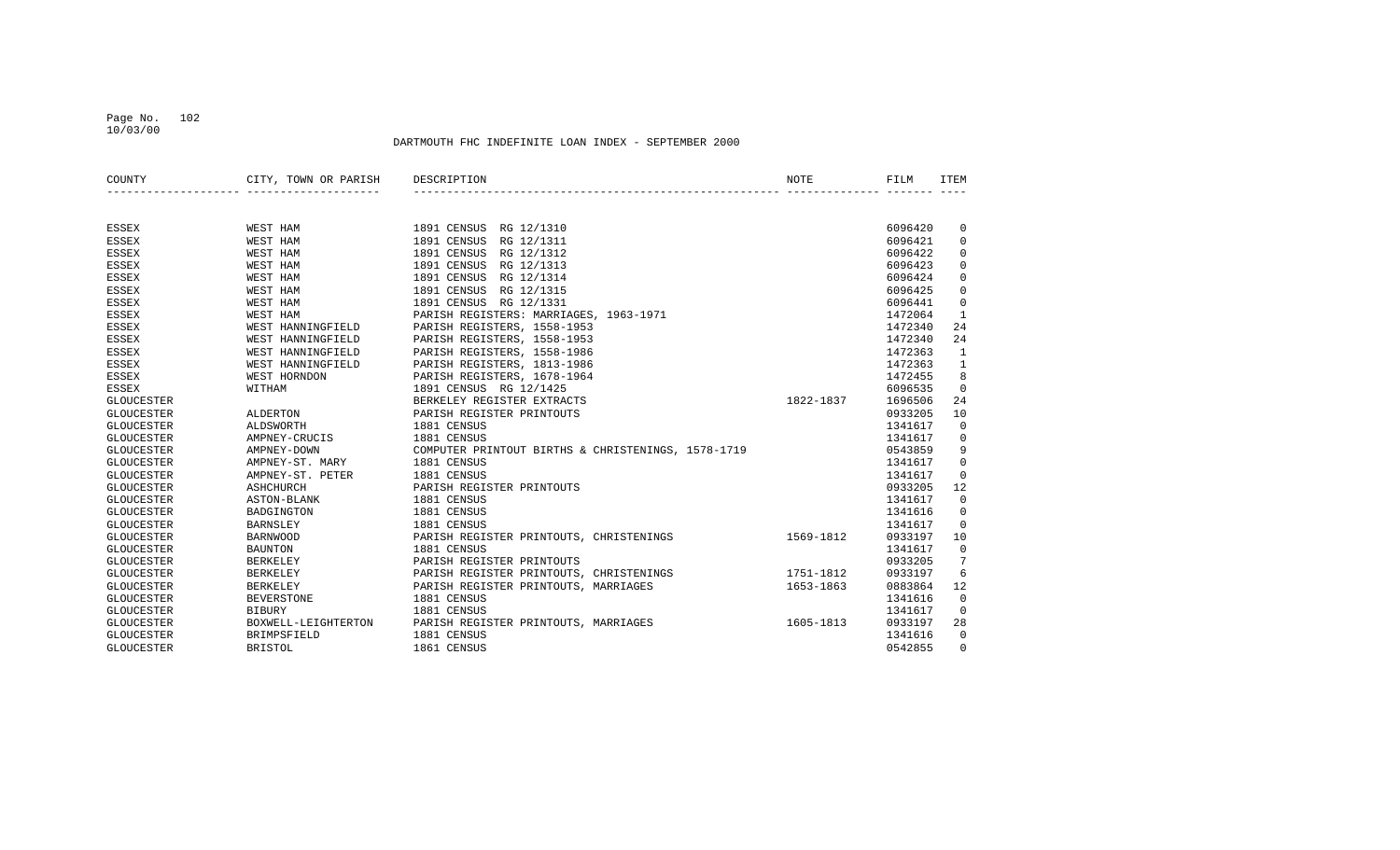### Page No. 102 10/03/00

| COUNTY            | CITY, TOWN OR PARISH | DESCRIPTION                                        | NOTE      | FILM    | <b>ITEM</b> |
|-------------------|----------------------|----------------------------------------------------|-----------|---------|-------------|
|                   |                      |                                                    |           |         |             |
| <b>ESSEX</b>      | WEST HAM             | 1891 CENSUS RG 12/1310                             |           | 6096420 | 0           |
| ESSEX             | WEST HAM             | 1891 CENSUS<br>RG 12/1311                          |           | 6096421 | $\mathbf 0$ |
| <b>ESSEX</b>      | <b>WEST HAM</b>      | 1891 CENSUS<br>RG 12/1312                          |           | 6096422 | $\mathbf 0$ |
| <b>ESSEX</b>      | <b>WEST HAM</b>      | 1891 CENSUS<br>RG 12/1313                          |           | 6096423 | 0           |
| <b>ESSEX</b>      | <b>WEST HAM</b>      | RG 12/1314<br>1891 CENSUS                          |           | 6096424 | $\Omega$    |
| <b>ESSEX</b>      | <b>WEST HAM</b>      | 1891 CENSUS<br>RG 12/1315                          |           | 6096425 | 0           |
| <b>ESSEX</b>      | WEST HAM             | RG 12/1331<br>1891 CENSUS                          |           | 6096441 | 0           |
| <b>ESSEX</b>      | WEST HAM             | PARISH REGISTERS: MARRIAGES, 1963-1971             |           | 1472064 | 1           |
| <b>ESSEX</b>      | WEST HANNINGFIELD    | PARISH REGISTERS, 1558-1953                        |           | 1472340 | 24          |
| <b>ESSEX</b>      | WEST HANNINGFIELD    | PARISH REGISTERS, 1558-1953                        |           | 1472340 | 24          |
| <b>ESSEX</b>      | WEST HANNINGFIELD    | PARISH REGISTERS, 1558-1986                        |           | 1472363 | 1           |
| <b>ESSEX</b>      | WEST HANNINGFIELD    | PARISH REGISTERS, 1813-1986                        |           | 1472363 | 1           |
| <b>ESSEX</b>      | WEST HORNDON         | PARISH REGISTERS, 1678-1964                        |           | 1472455 | 8           |
| ESSEX             | WITHAM               | 1891 CENSUS RG 12/1425                             |           | 6096535 | $\mathbf 0$ |
| <b>GLOUCESTER</b> |                      | BERKELEY REGISTER EXTRACTS                         | 1822-1837 | 1696506 | 24          |
| <b>GLOUCESTER</b> | <b>ALDERTON</b>      | PARISH REGISTER PRINTOUTS                          |           | 0933205 | 10          |
| <b>GLOUCESTER</b> | ALDSWORTH            | 1881 CENSUS                                        |           | 1341617 | $\mathbf 0$ |
| <b>GLOUCESTER</b> | AMPNEY-CRUCIS        | 1881 CENSUS                                        |           | 1341617 | 0           |
| <b>GLOUCESTER</b> | AMPNEY-DOWN          | COMPUTER PRINTOUT BIRTHS & CHRISTENINGS, 1578-1719 |           | 0543859 | 9           |
| <b>GLOUCESTER</b> | AMPNEY-ST. MARY      | 1881 CENSUS                                        |           | 1341617 | 0           |
| <b>GLOUCESTER</b> | AMPNEY-ST. PETER     | 1881 CENSUS                                        |           | 1341617 | $\mathbf 0$ |
| <b>GLOUCESTER</b> | <b>ASHCHURCH</b>     | PARISH REGISTER PRINTOUTS                          |           | 0933205 | 12          |
| <b>GLOUCESTER</b> | ASTON-BLANK          | 1881 CENSUS                                        |           | 1341617 | $\mathbf 0$ |
| <b>GLOUCESTER</b> | <b>BADGINGTON</b>    | 1881 CENSUS                                        |           | 1341616 | $\mathbf 0$ |
| <b>GLOUCESTER</b> | <b>BARNSLEY</b>      | 1881 CENSUS                                        |           | 1341617 | $\Omega$    |
| <b>GLOUCESTER</b> | <b>BARNWOOD</b>      | PARISH REGISTER PRINTOUTS, CHRISTENINGS            | 1569-1812 | 0933197 | 10          |
| <b>GLOUCESTER</b> | <b>BAUNTON</b>       | 1881 CENSUS                                        |           | 1341617 | 0           |
| <b>GLOUCESTER</b> | <b>BERKELEY</b>      | PARISH REGISTER PRINTOUTS                          |           | 0933205 | 7           |
| <b>GLOUCESTER</b> | <b>BERKELEY</b>      | PARISH REGISTER PRINTOUTS, CHRISTENINGS            | 1751-1812 | 0933197 | 6           |
| <b>GLOUCESTER</b> | <b>BERKELEY</b>      | PARISH REGISTER PRINTOUTS, MARRIAGES               | 1653-1863 | 0883864 | 12          |
| <b>GLOUCESTER</b> | <b>BEVERSTONE</b>    | 1881 CENSUS                                        |           | 1341616 | 0           |
| <b>GLOUCESTER</b> | <b>BIBURY</b>        | 1881 CENSUS                                        |           | 1341617 | $\mathbf 0$ |
| <b>GLOUCESTER</b> | BOXWELL-LEIGHTERTON  | PARISH REGISTER PRINTOUTS, MARRIAGES               | 1605-1813 | 0933197 | 28          |
| <b>GLOUCESTER</b> | <b>BRIMPSFIELD</b>   | 1881 CENSUS                                        |           | 1341616 | $\mathbf 0$ |
| <b>GLOUCESTER</b> | <b>BRISTOL</b>       | 1861 CENSUS                                        |           | 0542855 | $\Omega$    |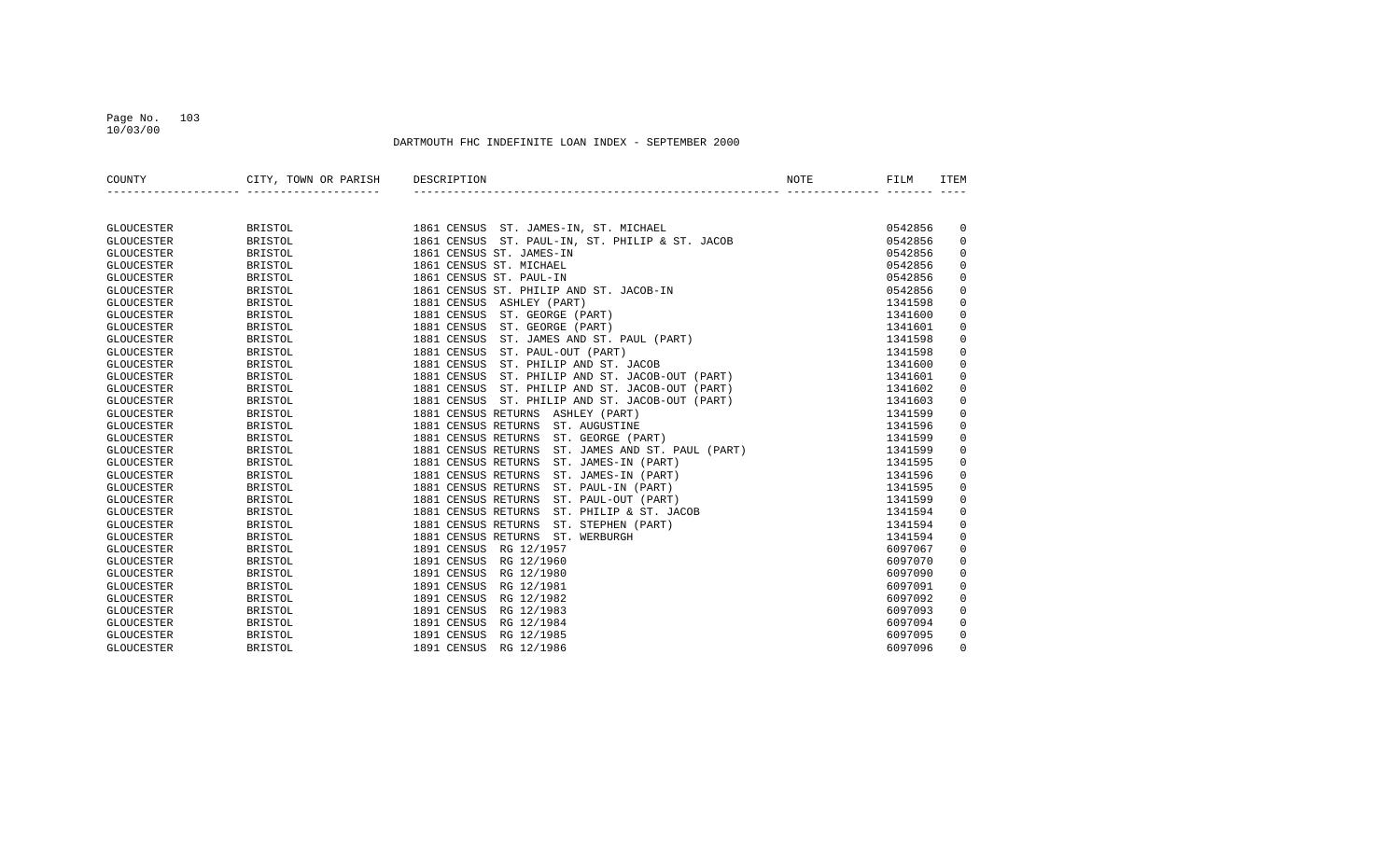### Page No. 103 10/03/00

| COUNTY            | CITY, TOWN OR PARISH | DESCRIPTION                                          | NOTE | FILM    | ITEM        |
|-------------------|----------------------|------------------------------------------------------|------|---------|-------------|
|                   |                      |                                                      |      |         |             |
| <b>GLOUCESTER</b> | <b>BRISTOL</b>       | 1861 CENSUS ST. JAMES-IN, ST. MICHAEL                |      | 0542856 | 0           |
| <b>GLOUCESTER</b> | <b>BRISTOL</b>       | 1861 CENSUS ST. PAUL-IN, ST. PHILIP & ST. JACOB      |      | 0542856 | $\mathbf 0$ |
| <b>GLOUCESTER</b> | <b>BRISTOL</b>       | 1861 CENSUS ST. JAMES-IN                             |      | 0542856 | $\mathbf 0$ |
| <b>GLOUCESTER</b> | <b>BRISTOL</b>       | 1861 CENSUS ST. MICHAEL                              |      | 0542856 | $\Omega$    |
| <b>GLOUCESTER</b> | <b>BRISTOL</b>       | 1861 CENSUS ST. PAUL-IN                              |      | 0542856 | $\Omega$    |
| <b>GLOUCESTER</b> | <b>BRISTOL</b>       | 1861 CENSUS ST. PHILIP AND ST. JACOB-IN              |      | 0542856 | 0           |
| <b>GLOUCESTER</b> | <b>BRISTOL</b>       | 1881 CENSUS ASHLEY (PART)                            |      | 1341598 | $\mathbf 0$ |
| <b>GLOUCESTER</b> | <b>BRISTOL</b>       | 1881 CENSUS<br>ST. GEORGE (PART)                     |      | 1341600 | $\mathbf 0$ |
| <b>GLOUCESTER</b> | <b>BRISTOL</b>       | 1881 CENSUS<br>ST. GEORGE (PART)                     |      | 1341601 | $\mathbf 0$ |
| <b>GLOUCESTER</b> | <b>BRISTOL</b>       | ST. JAMES AND ST. PAUL (PART)<br>1881 CENSUS         |      | 1341598 | $\mathbf 0$ |
| <b>GLOUCESTER</b> | <b>BRISTOL</b>       | 1881 CENSUS<br>ST. PAUL-OUT (PART)                   |      | 1341598 | $\mathbf 0$ |
| <b>GLOUCESTER</b> | <b>BRISTOL</b>       | 1881 CENSUS<br>ST. PHILIP AND ST. JACOB              |      | 1341600 | $\mathbf 0$ |
| <b>GLOUCESTER</b> | <b>BRISTOL</b>       | 1881 CENSUS<br>ST. PHILIP AND ST. JACOB-OUT (PART)   |      | 1341601 | $\mathbf 0$ |
| <b>GLOUCESTER</b> | <b>BRISTOL</b>       | 1881 CENSUS<br>ST. PHILIP AND ST. JACOB-OUT (PART)   |      | 1341602 | $\mathbf 0$ |
| <b>GLOUCESTER</b> | <b>BRISTOL</b>       | 1881 CENSUS<br>ST. PHILIP AND ST. JACOB-OUT (PART)   |      | 1341603 | $\mathbf 0$ |
| <b>GLOUCESTER</b> | <b>BRISTOL</b>       | 1881 CENSUS RETURNS ASHLEY (PART)                    |      | 1341599 | $\mathbf 0$ |
| <b>GLOUCESTER</b> | <b>BRISTOL</b>       | 1881 CENSUS RETURNS<br>ST. AUGUSTINE                 |      | 1341596 | $\mathbf 0$ |
| <b>GLOUCESTER</b> | <b>BRISTOL</b>       | 1881 CENSUS RETURNS<br>ST. GEORGE (PART)             |      | 1341599 | $\mathbf 0$ |
| <b>GLOUCESTER</b> | <b>BRISTOL</b>       | 1881 CENSUS RETURNS<br>ST. JAMES AND ST. PAUL (PART) |      | 1341599 | $\mathbf 0$ |
| <b>GLOUCESTER</b> | <b>BRISTOL</b>       | 1881 CENSUS RETURNS<br>ST. JAMES-IN (PART)           |      | 1341595 | $\mathbf 0$ |
| <b>GLOUCESTER</b> | <b>BRISTOL</b>       | 1881 CENSUS RETURNS<br>ST. JAMES-IN (PART)           |      | 1341596 | $\mathbf 0$ |
| <b>GLOUCESTER</b> | <b>BRISTOL</b>       | 1881 CENSUS RETURNS<br>ST. PAUL-IN (PART)            |      | 1341595 | $\mathbf 0$ |
| <b>GLOUCESTER</b> | <b>BRISTOL</b>       | 1881 CENSUS RETURNS<br>ST. PAUL-OUT (PART)           |      | 1341599 | $\mathbf 0$ |
| <b>GLOUCESTER</b> | <b>BRISTOL</b>       | 1881 CENSUS RETURNS<br>ST. PHILIP & ST. JACOB        |      | 1341594 | 0           |
| <b>GLOUCESTER</b> | <b>BRISTOL</b>       | 1881 CENSUS RETURNS<br>ST. STEPHEN (PART)            |      | 1341594 | $\mathbf 0$ |
| <b>GLOUCESTER</b> | <b>BRISTOL</b>       | 1881 CENSUS RETURNS<br>ST. WERBURGH                  |      | 1341594 | $\mathbf 0$ |
| <b>GLOUCESTER</b> | <b>BRISTOL</b>       | 1891 CENSUS<br>RG 12/1957                            |      | 6097067 | 0           |
| <b>GLOUCESTER</b> | <b>BRISTOL</b>       | 1891 CENSUS<br>RG 12/1960                            |      | 6097070 | $\mathbf 0$ |
| <b>GLOUCESTER</b> | <b>BRISTOL</b>       | 1891 CENSUS<br>RG 12/1980                            |      | 6097090 | $\mathbf 0$ |
| <b>GLOUCESTER</b> | <b>BRISTOL</b>       | 1891 CENSUS<br>RG 12/1981                            |      | 6097091 | $\mathbf 0$ |
| <b>GLOUCESTER</b> | <b>BRISTOL</b>       | 1891 CENSUS<br>RG 12/1982                            |      | 6097092 | $\mathbf 0$ |
| <b>GLOUCESTER</b> | <b>BRISTOL</b>       | 1891 CENSUS<br>RG 12/1983                            |      | 6097093 | $\mathbf 0$ |
| GLOUCESTER        | <b>BRISTOL</b>       | 1891 CENSUS<br>RG 12/1984                            |      | 6097094 | 0           |
| <b>GLOUCESTER</b> | <b>BRISTOL</b>       | 1891 CENSUS<br>RG 12/1985                            |      | 6097095 | 0           |
| <b>GLOUCESTER</b> | <b>BRISTOL</b>       | 1891 CENSUS<br>RG 12/1986                            |      | 6097096 | $\Omega$    |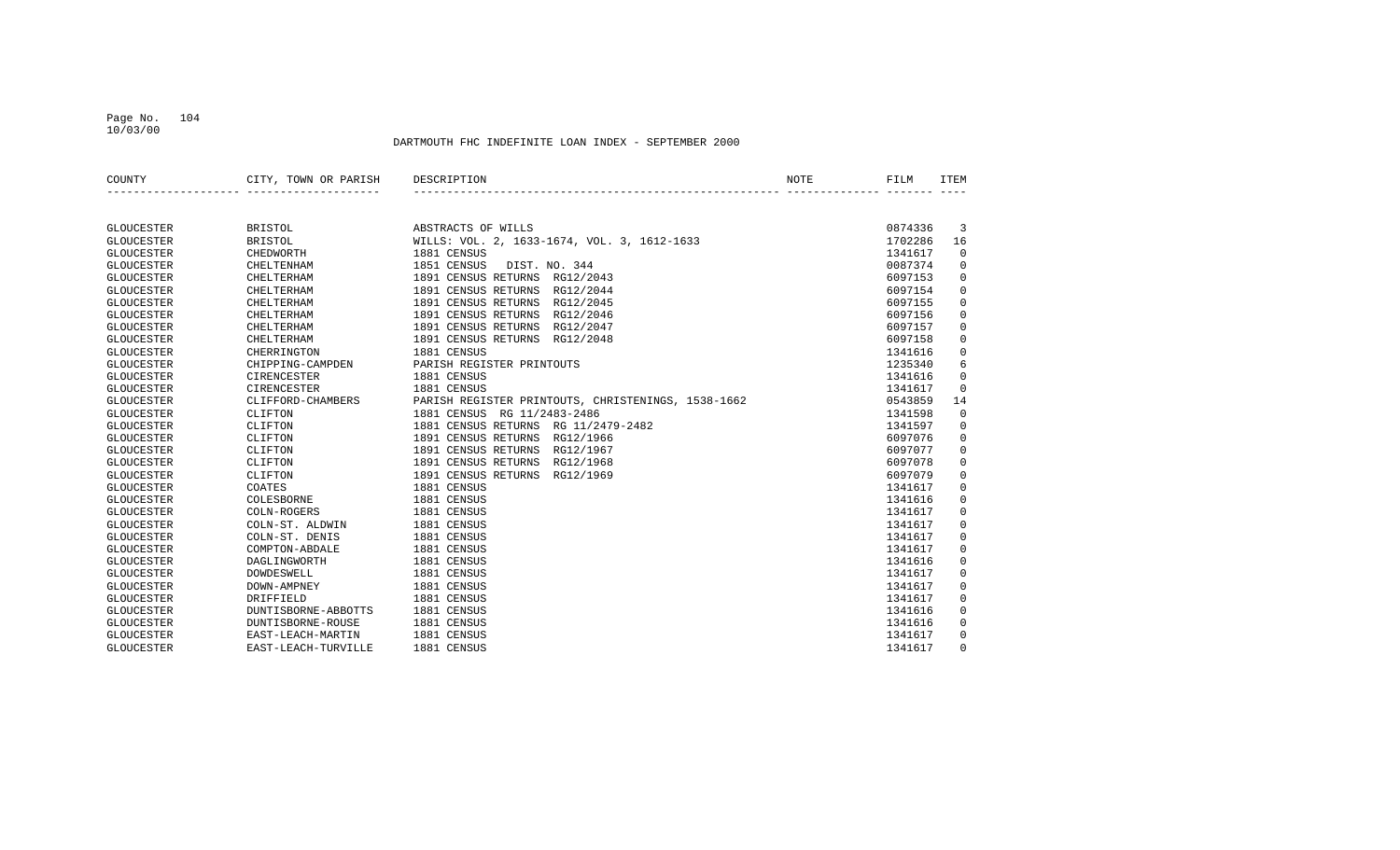### Page No. 104 10/03/00

| COUNTY            | CITY, TOWN OR PARISH | DESCRIPTION                                        | NOTE | FILM    | <b>ITEM</b>         |
|-------------------|----------------------|----------------------------------------------------|------|---------|---------------------|
|                   |                      |                                                    |      |         |                     |
| <b>GLOUCESTER</b> | <b>BRISTOL</b>       | ABSTRACTS OF WILLS                                 |      | 0874336 | 3                   |
| <b>GLOUCESTER</b> | <b>BRISTOL</b>       | WILLS: VOL. 2, 1633-1674, VOL. 3, 1612-1633        |      | 1702286 | 16                  |
| <b>GLOUCESTER</b> | CHEDWORTH            | 1881 CENSUS                                        |      | 1341617 | $\mathbf 0$         |
| <b>GLOUCESTER</b> | <b>CHELTENHAM</b>    | 1851 CENSUS<br>DIST. NO. 344                       |      | 0087374 | 0                   |
| <b>GLOUCESTER</b> | <b>CHELTERHAM</b>    | 1891 CENSUS RETURNS RG12/2043                      |      | 6097153 | $\mathbf 0$         |
| <b>GLOUCESTER</b> | <b>CHELTERHAM</b>    | 1891 CENSUS RETURNS RG12/2044                      |      | 6097154 | $\mathbf 0$         |
| <b>GLOUCESTER</b> | CHELTERHAM           | 1891 CENSUS RETURNS RG12/2045                      |      | 6097155 | $\mathsf 0$         |
| <b>GLOUCESTER</b> | CHELTERHAM           | 1891 CENSUS RETURNS RG12/2046                      |      | 6097156 | $\mathbf 0$         |
| <b>GLOUCESTER</b> | CHELTERHAM           | 1891 CENSUS RETURNS RG12/2047                      |      | 6097157 | $\mathbf 0$         |
| <b>GLOUCESTER</b> | CHELTERHAM           | 1891 CENSUS RETURNS RG12/2048                      |      | 6097158 | $\mathbf 0$         |
| <b>GLOUCESTER</b> | CHERRINGTON          | 1881 CENSUS                                        |      | 1341616 | 0                   |
| <b>GLOUCESTER</b> | CHIPPING-CAMPDEN     | PARISH REGISTER PRINTOUTS                          |      | 1235340 | 6                   |
| <b>GLOUCESTER</b> | CIRENCESTER          | 1881 CENSUS                                        |      | 1341616 | $\mathsf 0$         |
| <b>GLOUCESTER</b> | CIRENCESTER          | 1881 CENSUS                                        |      | 1341617 | $\mathbf 0$         |
| <b>GLOUCESTER</b> | CLIFFORD-CHAMBERS    | PARISH REGISTER PRINTOUTS, CHRISTENINGS, 1538-1662 |      | 0543859 | 14                  |
| <b>GLOUCESTER</b> | CLIFTON              | 1881 CENSUS RG 11/2483-2486                        |      | 1341598 | 0                   |
| <b>GLOUCESTER</b> | CLIFTON              | 1881 CENSUS RETURNS RG 11/2479-2482                |      | 1341597 | 0                   |
| <b>GLOUCESTER</b> | CLIFTON              | 1891 CENSUS RETURNS RG12/1966                      |      | 6097076 | 0                   |
| <b>GLOUCESTER</b> | CLIFTON              | 1891 CENSUS RETURNS RG12/1967                      |      | 6097077 | $\mathsf{O}\xspace$ |
| <b>GLOUCESTER</b> | CLIFTON              | 1891 CENSUS RETURNS RG12/1968                      |      | 6097078 | $\mathbf 0$         |
| <b>GLOUCESTER</b> | CLIFTON              | 1891 CENSUS RETURNS RG12/1969                      |      | 6097079 | $\mathbf 0$         |
| <b>GLOUCESTER</b> | COATES               | 1881 CENSUS                                        |      | 1341617 | $\mathbf 0$         |
| <b>GLOUCESTER</b> | COLESBORNE           | 1881 CENSUS                                        |      | 1341616 | $\mathbf 0$         |
| <b>GLOUCESTER</b> | COLN-ROGERS          | 1881 CENSUS                                        |      | 1341617 | $\mathsf 0$         |
| <b>GLOUCESTER</b> | COLN-ST. ALDWIN      | 1881 CENSUS                                        |      | 1341617 | $\mathbf 0$         |
| <b>GLOUCESTER</b> | COLN-ST. DENIS       | 1881 CENSUS                                        |      | 1341617 | $\mathbf 0$         |
| <b>GLOUCESTER</b> | COMPTON-ABDALE       | 1881 CENSUS                                        |      | 1341617 | $\mathbf 0$         |
| <b>GLOUCESTER</b> | DAGLINGWORTH         | 1881 CENSUS                                        |      | 1341616 | $\mathsf 0$         |
| <b>GLOUCESTER</b> | <b>DOWDESWELL</b>    | 1881 CENSUS                                        |      | 1341617 | $\mathsf 0$         |
| <b>GLOUCESTER</b> | DOWN-AMPNEY          | 1881 CENSUS                                        |      | 1341617 | $\mathsf 0$         |
| <b>GLOUCESTER</b> | DRIFFIELD            | 1881 CENSUS                                        |      | 1341617 | $\mathbf 0$         |
| <b>GLOUCESTER</b> | DUNTISBORNE-ABBOTTS  | 1881 CENSUS                                        |      | 1341616 | 0                   |
| <b>GLOUCESTER</b> | DUNTISBORNE-ROUSE    | 1881 CENSUS                                        |      | 1341616 | 0                   |
| <b>GLOUCESTER</b> | EAST-LEACH-MARTIN    | 1881 CENSUS                                        |      | 1341617 | 0                   |
| GLOUCESTER        | EAST-LEACH-TURVILLE  | 1881 CENSUS                                        |      | 1341617 | $\Omega$            |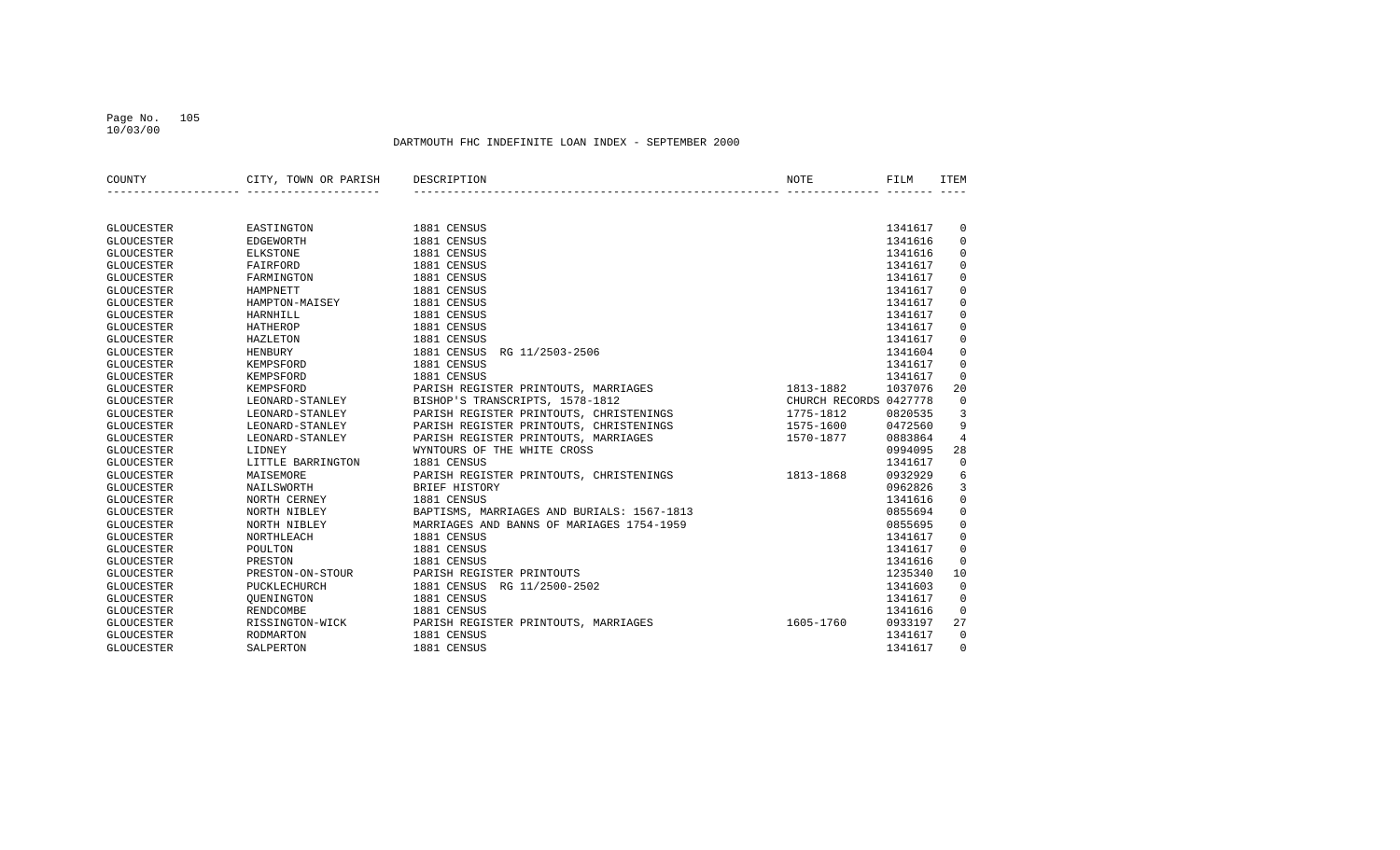### Page No. 105 10/03/00

| COUNTY            | CITY, TOWN OR PARISH | DESCRIPTION                                | NOTE                   | FILM    | <b>ITEM</b>    |
|-------------------|----------------------|--------------------------------------------|------------------------|---------|----------------|
|                   |                      |                                            |                        |         |                |
| <b>GLOUCESTER</b> | EASTINGTON           | 1881 CENSUS                                |                        | 1341617 | 0              |
| <b>GLOUCESTER</b> | EDGEWORTH            | 1881 CENSUS                                |                        | 1341616 | $\mathbf 0$    |
| <b>GLOUCESTER</b> | ELKSTONE             | 1881 CENSUS                                |                        | 1341616 | $\mathbf 0$    |
| <b>GLOUCESTER</b> | FAIRFORD             | 1881 CENSUS                                |                        | 1341617 | $\Omega$       |
| <b>GLOUCESTER</b> | FARMINGTON           | 1881 CENSUS                                |                        | 1341617 | $\mathbf 0$    |
| <b>GLOUCESTER</b> | HAMPNETT             | 1881 CENSUS                                |                        | 1341617 | $\mathbf 0$    |
| <b>GLOUCESTER</b> | HAMPTON-MAISEY       | 1881 CENSUS                                |                        | 1341617 | $\mathbf 0$    |
| <b>GLOUCESTER</b> | HARNHILL             | 1881 CENSUS                                |                        | 1341617 | $\mathbf 0$    |
| <b>GLOUCESTER</b> | HATHEROP             | 1881 CENSUS                                |                        | 1341617 | $\Omega$       |
| <b>GLOUCESTER</b> | HAZLETON             | 1881 CENSUS                                |                        | 1341617 | $\mathbf 0$    |
| <b>GLOUCESTER</b> | <b>HENBURY</b>       | 1881 CENSUS<br>RG 11/2503-2506             |                        | 1341604 | $\mathbf 0$    |
| <b>GLOUCESTER</b> | KEMPSFORD            | 1881 CENSUS                                |                        | 1341617 | $\mathbf 0$    |
| <b>GLOUCESTER</b> | KEMPSFORD            | 1881 CENSUS                                |                        | 1341617 | $\mathbf 0$    |
| <b>GLOUCESTER</b> | KEMPSFORD            | PARISH REGISTER PRINTOUTS, MARRIAGES       | 1813-1882              | 1037076 | 20             |
| <b>GLOUCESTER</b> | LEONARD-STANLEY      | BISHOP'S TRANSCRIPTS, 1578-1812            | CHURCH RECORDS 0427778 |         | $\mathbf 0$    |
| <b>GLOUCESTER</b> | LEONARD-STANLEY      | PARISH REGISTER PRINTOUTS, CHRISTENINGS    | 1775-1812              | 0820535 | 3              |
| <b>GLOUCESTER</b> | LEONARD-STANLEY      | PARISH REGISTER PRINTOUTS, CHRISTENINGS    | 1575-1600              | 0472560 | 9              |
| <b>GLOUCESTER</b> | LEONARD-STANLEY      | PARISH REGISTER PRINTOUTS, MARRIAGES       | 1570-1877              | 0883864 | $\overline{4}$ |
| <b>GLOUCESTER</b> | LIDNEY               | WYNTOURS OF THE WHITE CROSS                |                        | 0994095 | 28             |
| <b>GLOUCESTER</b> | LITTLE BARRINGTON    | 1881 CENSUS                                |                        | 1341617 | $\mathbf 0$    |
| <b>GLOUCESTER</b> | MAISEMORE            | PARISH REGISTER PRINTOUTS, CHRISTENINGS    | 1813-1868              | 0932929 | 6              |
| <b>GLOUCESTER</b> | NAILSWORTH           | BRIEF HISTORY                              |                        | 0962826 | 3              |
| <b>GLOUCESTER</b> | NORTH CERNEY         | 1881 CENSUS                                |                        | 1341616 | $\mathbf 0$    |
| <b>GLOUCESTER</b> | NORTH NIBLEY         | BAPTISMS, MARRIAGES AND BURIALS: 1567-1813 |                        | 0855694 | $\mathbf 0$    |
| <b>GLOUCESTER</b> | NORTH NIBLEY         | MARRIAGES AND BANNS OF MARIAGES 1754-1959  |                        | 0855695 | $\mathbf 0$    |
| <b>GLOUCESTER</b> | NORTHLEACH           | 1881 CENSUS                                |                        | 1341617 | $\mathbf 0$    |
| <b>GLOUCESTER</b> | POULTON              | 1881 CENSUS                                |                        | 1341617 | $\mathbf 0$    |
| <b>GLOUCESTER</b> | PRESTON              | 1881 CENSUS                                |                        | 1341616 | $\mathbf 0$    |
| <b>GLOUCESTER</b> | PRESTON-ON-STOUR     | PARISH REGISTER PRINTOUTS                  |                        | 1235340 | 10             |
| <b>GLOUCESTER</b> | PUCKLECHURCH         | 1881 CENSUS<br>RG 11/2500-2502             |                        | 1341603 | $\mathbf 0$    |
| <b>GLOUCESTER</b> | OUENINGTON           | 1881 CENSUS                                |                        | 1341617 | $\Omega$       |
| <b>GLOUCESTER</b> | <b>RENDCOMBE</b>     | 1881 CENSUS                                |                        | 1341616 | $\mathbf 0$    |
| <b>GLOUCESTER</b> | RISSINGTON-WICK      | PARISH REGISTER PRINTOUTS, MARRIAGES       | 1605-1760              | 0933197 | 27             |
| <b>GLOUCESTER</b> | <b>RODMARTON</b>     | 1881 CENSUS                                |                        | 1341617 | $\Omega$       |
| <b>GLOUCESTER</b> | SALPERTON            | 1881 CENSUS                                |                        | 1341617 | $\Omega$       |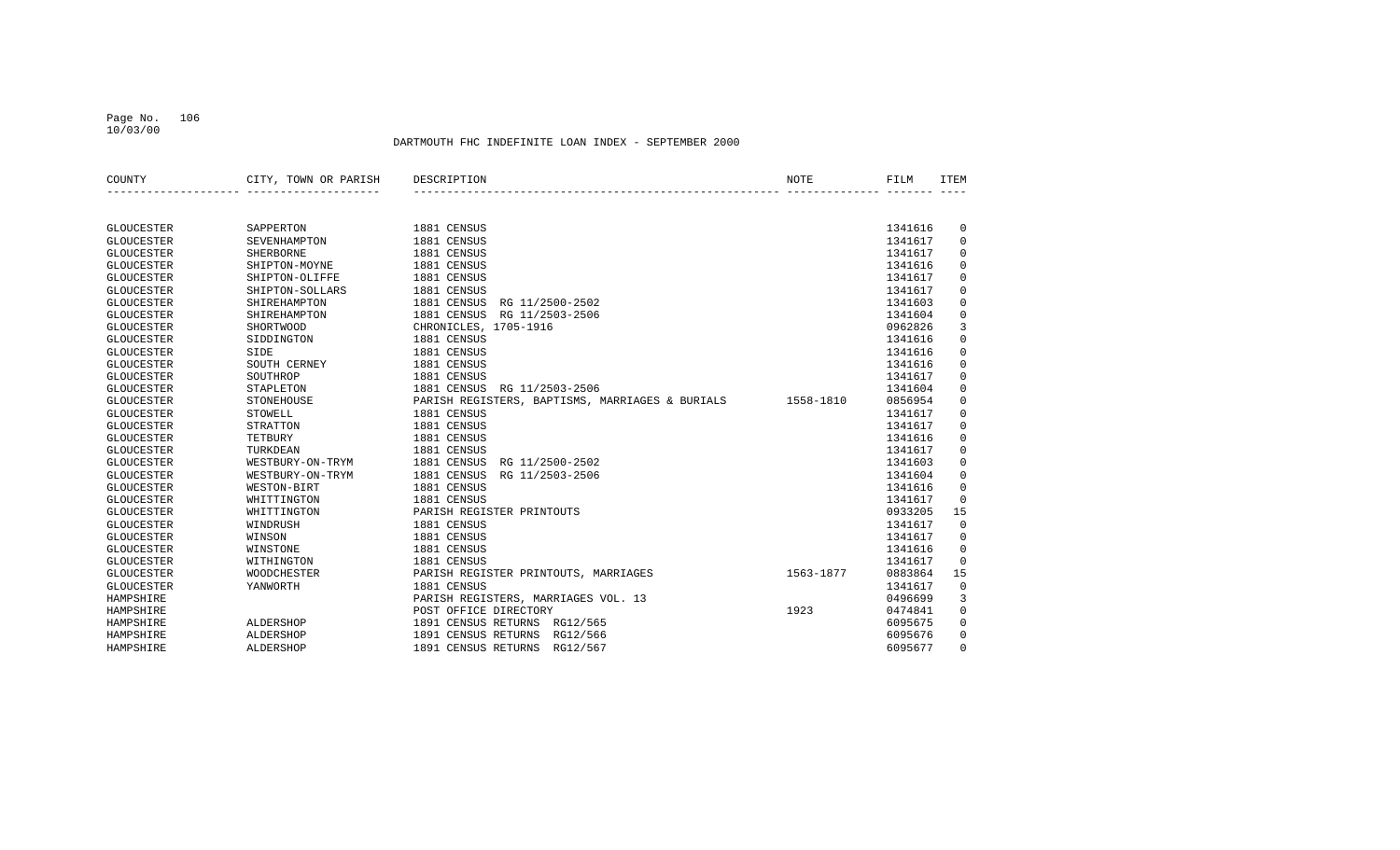### Page No. 106 10/03/00

| SAPPERTON<br>1881 CENSUS<br>1341616<br>0<br><b>GLOUCESTER</b><br>$\mathbf 0$<br><b>GLOUCESTER</b><br>1881 CENSUS<br>1341617<br>SEVENHAMPTON<br>1881 CENSUS<br>1341617<br>$\mathbf 0$<br><b>GLOUCESTER</b><br><b>SHERBORNE</b><br>$\mathbf 0$<br><b>GLOUCESTER</b><br>SHIPTON-MOYNE<br>1881 CENSUS<br>1341616<br>$\mathbf 0$<br>1881 CENSUS<br><b>GLOUCESTER</b><br>SHIPTON-OLIFFE<br>1341617<br>1881 CENSUS<br>1341617<br>$\mathbf 0$<br><b>GLOUCESTER</b><br>SHIPTON-SOLLARS<br>$\mathbf 0$<br>1881 CENSUS<br>RG 11/2500-2502<br>1341603<br><b>GLOUCESTER</b><br>SHIREHAMPTON<br>$\mathsf 0$<br>1881 CENSUS RG 11/2503-2506<br>1341604<br><b>GLOUCESTER</b><br>SHIREHAMPTON<br>3<br>CHRONICLES, 1705-1916<br><b>GLOUCESTER</b><br>SHORTWOOD<br>0962826<br>$\mathbf 0$<br>1881 CENSUS<br><b>GLOUCESTER</b><br>SIDDINGTON<br>1341616<br>1881 CENSUS<br>$\mathbf 0$<br>SIDE<br>1341616<br><b>GLOUCESTER</b><br>1881 CENSUS<br>$\mathbf 0$<br><b>GLOUCESTER</b><br>SOUTH CERNEY<br>1341616<br>SOUTHROP<br>1881 CENSUS<br>$\mathbf 0$<br><b>GLOUCESTER</b><br>1341617<br>1881 CENSUS<br>$\mathbf 0$<br><b>GLOUCESTER</b><br>STAPLETON<br>RG 11/2503-2506<br>1341604<br>PARISH REGISTERS, BAPTISMS, MARRIAGES & BURIALS<br>$\mathbf 0$<br><b>GLOUCESTER</b><br>STONEHOUSE<br>1558-1810<br>0856954<br>$\mathbf 0$<br>1881 CENSUS<br><b>GLOUCESTER</b><br>STOWELL<br>1341617<br><b>STRATTON</b><br>1881 CENSUS<br>1341617<br>$\mathbf 0$<br><b>GLOUCESTER</b><br>1881 CENSUS<br>TETBURY<br>1341616<br>$\mathbf 0$<br><b>GLOUCESTER</b><br>1881 CENSUS<br>$\mathbf 0$<br>1341617<br><b>GLOUCESTER</b><br>TURKDEAN<br>1881 CENSUS<br>$\mathbf 0$<br><b>GLOUCESTER</b><br>RG 11/2500-2502<br>1341603<br>WESTBURY-ON-TRYM<br>1881 CENSUS<br>$\mathbf 0$<br><b>GLOUCESTER</b><br>WESTBURY-ON-TRYM<br>RG 11/2503-2506<br>1341604<br>1881 CENSUS<br>$\Omega$<br><b>GLOUCESTER</b><br>WESTON-BIRT<br>1341616<br>1881 CENSUS<br>$\Omega$<br><b>GLOUCESTER</b><br>WHITTINGTON<br>1341617<br>PARISH REGISTER PRINTOUTS<br>15<br><b>GLOUCESTER</b><br>WHITTINGTON<br>0933205<br>$\mathbf 0$<br>1881 CENSUS<br>1341617<br><b>GLOUCESTER</b><br>WINDRUSH<br>WINSON<br>1881 CENSUS<br>1341617<br>$\mathbf 0$<br><b>GLOUCESTER</b><br>$\mathbf 0$<br>1881 CENSUS<br><b>GLOUCESTER</b><br>WINSTONE<br>1341616<br>1881 CENSUS<br>$\Omega$<br><b>GLOUCESTER</b><br>WITHINGTON<br>1341617<br>15<br>0883864<br><b>GLOUCESTER</b><br><b>WOODCHESTER</b><br>PARISH REGISTER PRINTOUTS, MARRIAGES<br>1563-1877<br>$\mathbf 0$<br>1881 CENSUS<br>1341617<br><b>GLOUCESTER</b><br>YANWORTH<br>3<br>HAMPSHIRE<br>PARISH REGISTERS, MARRIAGES VOL. 13<br>0496699<br>$\mathbf 0$<br>POST OFFICE DIRECTORY<br>1923<br>HAMPSHIRE<br>0474841<br>$\mathbf 0$<br>ALDERSHOP<br>1891 CENSUS RETURNS RG12/565<br>HAMPSHIRE<br>6095675<br>1891 CENSUS RETURNS<br>RG12/566<br>$\Omega$<br>HAMPSHIRE<br><b>ALDERSHOP</b><br>6095676<br>1891 CENSUS RETURNS<br>$\Omega$<br>ALDERSHOP<br>RG12/567<br>6095677<br>HAMPSHIRE | COUNTY | CITY, TOWN OR PARISH | DESCRIPTION | NOTE | FILM | <b>ITEM</b> |
|--------------------------------------------------------------------------------------------------------------------------------------------------------------------------------------------------------------------------------------------------------------------------------------------------------------------------------------------------------------------------------------------------------------------------------------------------------------------------------------------------------------------------------------------------------------------------------------------------------------------------------------------------------------------------------------------------------------------------------------------------------------------------------------------------------------------------------------------------------------------------------------------------------------------------------------------------------------------------------------------------------------------------------------------------------------------------------------------------------------------------------------------------------------------------------------------------------------------------------------------------------------------------------------------------------------------------------------------------------------------------------------------------------------------------------------------------------------------------------------------------------------------------------------------------------------------------------------------------------------------------------------------------------------------------------------------------------------------------------------------------------------------------------------------------------------------------------------------------------------------------------------------------------------------------------------------------------------------------------------------------------------------------------------------------------------------------------------------------------------------------------------------------------------------------------------------------------------------------------------------------------------------------------------------------------------------------------------------------------------------------------------------------------------------------------------------------------------------------------------------------------------------------------------------------------------------------------------------------------------------------------------------------------------------------------------------------------------------------------------------------------------------------------------------------------------------------------------------------------------------------------------------------------------------------------------------------------------------------|--------|----------------------|-------------|------|------|-------------|
|                                                                                                                                                                                                                                                                                                                                                                                                                                                                                                                                                                                                                                                                                                                                                                                                                                                                                                                                                                                                                                                                                                                                                                                                                                                                                                                                                                                                                                                                                                                                                                                                                                                                                                                                                                                                                                                                                                                                                                                                                                                                                                                                                                                                                                                                                                                                                                                                                                                                                                                                                                                                                                                                                                                                                                                                                                                                                                                                                                          |        |                      |             |      |      |             |
|                                                                                                                                                                                                                                                                                                                                                                                                                                                                                                                                                                                                                                                                                                                                                                                                                                                                                                                                                                                                                                                                                                                                                                                                                                                                                                                                                                                                                                                                                                                                                                                                                                                                                                                                                                                                                                                                                                                                                                                                                                                                                                                                                                                                                                                                                                                                                                                                                                                                                                                                                                                                                                                                                                                                                                                                                                                                                                                                                                          |        |                      |             |      |      |             |
|                                                                                                                                                                                                                                                                                                                                                                                                                                                                                                                                                                                                                                                                                                                                                                                                                                                                                                                                                                                                                                                                                                                                                                                                                                                                                                                                                                                                                                                                                                                                                                                                                                                                                                                                                                                                                                                                                                                                                                                                                                                                                                                                                                                                                                                                                                                                                                                                                                                                                                                                                                                                                                                                                                                                                                                                                                                                                                                                                                          |        |                      |             |      |      |             |
|                                                                                                                                                                                                                                                                                                                                                                                                                                                                                                                                                                                                                                                                                                                                                                                                                                                                                                                                                                                                                                                                                                                                                                                                                                                                                                                                                                                                                                                                                                                                                                                                                                                                                                                                                                                                                                                                                                                                                                                                                                                                                                                                                                                                                                                                                                                                                                                                                                                                                                                                                                                                                                                                                                                                                                                                                                                                                                                                                                          |        |                      |             |      |      |             |
|                                                                                                                                                                                                                                                                                                                                                                                                                                                                                                                                                                                                                                                                                                                                                                                                                                                                                                                                                                                                                                                                                                                                                                                                                                                                                                                                                                                                                                                                                                                                                                                                                                                                                                                                                                                                                                                                                                                                                                                                                                                                                                                                                                                                                                                                                                                                                                                                                                                                                                                                                                                                                                                                                                                                                                                                                                                                                                                                                                          |        |                      |             |      |      |             |
|                                                                                                                                                                                                                                                                                                                                                                                                                                                                                                                                                                                                                                                                                                                                                                                                                                                                                                                                                                                                                                                                                                                                                                                                                                                                                                                                                                                                                                                                                                                                                                                                                                                                                                                                                                                                                                                                                                                                                                                                                                                                                                                                                                                                                                                                                                                                                                                                                                                                                                                                                                                                                                                                                                                                                                                                                                                                                                                                                                          |        |                      |             |      |      |             |
|                                                                                                                                                                                                                                                                                                                                                                                                                                                                                                                                                                                                                                                                                                                                                                                                                                                                                                                                                                                                                                                                                                                                                                                                                                                                                                                                                                                                                                                                                                                                                                                                                                                                                                                                                                                                                                                                                                                                                                                                                                                                                                                                                                                                                                                                                                                                                                                                                                                                                                                                                                                                                                                                                                                                                                                                                                                                                                                                                                          |        |                      |             |      |      |             |
|                                                                                                                                                                                                                                                                                                                                                                                                                                                                                                                                                                                                                                                                                                                                                                                                                                                                                                                                                                                                                                                                                                                                                                                                                                                                                                                                                                                                                                                                                                                                                                                                                                                                                                                                                                                                                                                                                                                                                                                                                                                                                                                                                                                                                                                                                                                                                                                                                                                                                                                                                                                                                                                                                                                                                                                                                                                                                                                                                                          |        |                      |             |      |      |             |
|                                                                                                                                                                                                                                                                                                                                                                                                                                                                                                                                                                                                                                                                                                                                                                                                                                                                                                                                                                                                                                                                                                                                                                                                                                                                                                                                                                                                                                                                                                                                                                                                                                                                                                                                                                                                                                                                                                                                                                                                                                                                                                                                                                                                                                                                                                                                                                                                                                                                                                                                                                                                                                                                                                                                                                                                                                                                                                                                                                          |        |                      |             |      |      |             |
|                                                                                                                                                                                                                                                                                                                                                                                                                                                                                                                                                                                                                                                                                                                                                                                                                                                                                                                                                                                                                                                                                                                                                                                                                                                                                                                                                                                                                                                                                                                                                                                                                                                                                                                                                                                                                                                                                                                                                                                                                                                                                                                                                                                                                                                                                                                                                                                                                                                                                                                                                                                                                                                                                                                                                                                                                                                                                                                                                                          |        |                      |             |      |      |             |
|                                                                                                                                                                                                                                                                                                                                                                                                                                                                                                                                                                                                                                                                                                                                                                                                                                                                                                                                                                                                                                                                                                                                                                                                                                                                                                                                                                                                                                                                                                                                                                                                                                                                                                                                                                                                                                                                                                                                                                                                                                                                                                                                                                                                                                                                                                                                                                                                                                                                                                                                                                                                                                                                                                                                                                                                                                                                                                                                                                          |        |                      |             |      |      |             |
|                                                                                                                                                                                                                                                                                                                                                                                                                                                                                                                                                                                                                                                                                                                                                                                                                                                                                                                                                                                                                                                                                                                                                                                                                                                                                                                                                                                                                                                                                                                                                                                                                                                                                                                                                                                                                                                                                                                                                                                                                                                                                                                                                                                                                                                                                                                                                                                                                                                                                                                                                                                                                                                                                                                                                                                                                                                                                                                                                                          |        |                      |             |      |      |             |
|                                                                                                                                                                                                                                                                                                                                                                                                                                                                                                                                                                                                                                                                                                                                                                                                                                                                                                                                                                                                                                                                                                                                                                                                                                                                                                                                                                                                                                                                                                                                                                                                                                                                                                                                                                                                                                                                                                                                                                                                                                                                                                                                                                                                                                                                                                                                                                                                                                                                                                                                                                                                                                                                                                                                                                                                                                                                                                                                                                          |        |                      |             |      |      |             |
|                                                                                                                                                                                                                                                                                                                                                                                                                                                                                                                                                                                                                                                                                                                                                                                                                                                                                                                                                                                                                                                                                                                                                                                                                                                                                                                                                                                                                                                                                                                                                                                                                                                                                                                                                                                                                                                                                                                                                                                                                                                                                                                                                                                                                                                                                                                                                                                                                                                                                                                                                                                                                                                                                                                                                                                                                                                                                                                                                                          |        |                      |             |      |      |             |
|                                                                                                                                                                                                                                                                                                                                                                                                                                                                                                                                                                                                                                                                                                                                                                                                                                                                                                                                                                                                                                                                                                                                                                                                                                                                                                                                                                                                                                                                                                                                                                                                                                                                                                                                                                                                                                                                                                                                                                                                                                                                                                                                                                                                                                                                                                                                                                                                                                                                                                                                                                                                                                                                                                                                                                                                                                                                                                                                                                          |        |                      |             |      |      |             |
|                                                                                                                                                                                                                                                                                                                                                                                                                                                                                                                                                                                                                                                                                                                                                                                                                                                                                                                                                                                                                                                                                                                                                                                                                                                                                                                                                                                                                                                                                                                                                                                                                                                                                                                                                                                                                                                                                                                                                                                                                                                                                                                                                                                                                                                                                                                                                                                                                                                                                                                                                                                                                                                                                                                                                                                                                                                                                                                                                                          |        |                      |             |      |      |             |
|                                                                                                                                                                                                                                                                                                                                                                                                                                                                                                                                                                                                                                                                                                                                                                                                                                                                                                                                                                                                                                                                                                                                                                                                                                                                                                                                                                                                                                                                                                                                                                                                                                                                                                                                                                                                                                                                                                                                                                                                                                                                                                                                                                                                                                                                                                                                                                                                                                                                                                                                                                                                                                                                                                                                                                                                                                                                                                                                                                          |        |                      |             |      |      |             |
|                                                                                                                                                                                                                                                                                                                                                                                                                                                                                                                                                                                                                                                                                                                                                                                                                                                                                                                                                                                                                                                                                                                                                                                                                                                                                                                                                                                                                                                                                                                                                                                                                                                                                                                                                                                                                                                                                                                                                                                                                                                                                                                                                                                                                                                                                                                                                                                                                                                                                                                                                                                                                                                                                                                                                                                                                                                                                                                                                                          |        |                      |             |      |      |             |
|                                                                                                                                                                                                                                                                                                                                                                                                                                                                                                                                                                                                                                                                                                                                                                                                                                                                                                                                                                                                                                                                                                                                                                                                                                                                                                                                                                                                                                                                                                                                                                                                                                                                                                                                                                                                                                                                                                                                                                                                                                                                                                                                                                                                                                                                                                                                                                                                                                                                                                                                                                                                                                                                                                                                                                                                                                                                                                                                                                          |        |                      |             |      |      |             |
|                                                                                                                                                                                                                                                                                                                                                                                                                                                                                                                                                                                                                                                                                                                                                                                                                                                                                                                                                                                                                                                                                                                                                                                                                                                                                                                                                                                                                                                                                                                                                                                                                                                                                                                                                                                                                                                                                                                                                                                                                                                                                                                                                                                                                                                                                                                                                                                                                                                                                                                                                                                                                                                                                                                                                                                                                                                                                                                                                                          |        |                      |             |      |      |             |
|                                                                                                                                                                                                                                                                                                                                                                                                                                                                                                                                                                                                                                                                                                                                                                                                                                                                                                                                                                                                                                                                                                                                                                                                                                                                                                                                                                                                                                                                                                                                                                                                                                                                                                                                                                                                                                                                                                                                                                                                                                                                                                                                                                                                                                                                                                                                                                                                                                                                                                                                                                                                                                                                                                                                                                                                                                                                                                                                                                          |        |                      |             |      |      |             |
|                                                                                                                                                                                                                                                                                                                                                                                                                                                                                                                                                                                                                                                                                                                                                                                                                                                                                                                                                                                                                                                                                                                                                                                                                                                                                                                                                                                                                                                                                                                                                                                                                                                                                                                                                                                                                                                                                                                                                                                                                                                                                                                                                                                                                                                                                                                                                                                                                                                                                                                                                                                                                                                                                                                                                                                                                                                                                                                                                                          |        |                      |             |      |      |             |
|                                                                                                                                                                                                                                                                                                                                                                                                                                                                                                                                                                                                                                                                                                                                                                                                                                                                                                                                                                                                                                                                                                                                                                                                                                                                                                                                                                                                                                                                                                                                                                                                                                                                                                                                                                                                                                                                                                                                                                                                                                                                                                                                                                                                                                                                                                                                                                                                                                                                                                                                                                                                                                                                                                                                                                                                                                                                                                                                                                          |        |                      |             |      |      |             |
|                                                                                                                                                                                                                                                                                                                                                                                                                                                                                                                                                                                                                                                                                                                                                                                                                                                                                                                                                                                                                                                                                                                                                                                                                                                                                                                                                                                                                                                                                                                                                                                                                                                                                                                                                                                                                                                                                                                                                                                                                                                                                                                                                                                                                                                                                                                                                                                                                                                                                                                                                                                                                                                                                                                                                                                                                                                                                                                                                                          |        |                      |             |      |      |             |
|                                                                                                                                                                                                                                                                                                                                                                                                                                                                                                                                                                                                                                                                                                                                                                                                                                                                                                                                                                                                                                                                                                                                                                                                                                                                                                                                                                                                                                                                                                                                                                                                                                                                                                                                                                                                                                                                                                                                                                                                                                                                                                                                                                                                                                                                                                                                                                                                                                                                                                                                                                                                                                                                                                                                                                                                                                                                                                                                                                          |        |                      |             |      |      |             |
|                                                                                                                                                                                                                                                                                                                                                                                                                                                                                                                                                                                                                                                                                                                                                                                                                                                                                                                                                                                                                                                                                                                                                                                                                                                                                                                                                                                                                                                                                                                                                                                                                                                                                                                                                                                                                                                                                                                                                                                                                                                                                                                                                                                                                                                                                                                                                                                                                                                                                                                                                                                                                                                                                                                                                                                                                                                                                                                                                                          |        |                      |             |      |      |             |
|                                                                                                                                                                                                                                                                                                                                                                                                                                                                                                                                                                                                                                                                                                                                                                                                                                                                                                                                                                                                                                                                                                                                                                                                                                                                                                                                                                                                                                                                                                                                                                                                                                                                                                                                                                                                                                                                                                                                                                                                                                                                                                                                                                                                                                                                                                                                                                                                                                                                                                                                                                                                                                                                                                                                                                                                                                                                                                                                                                          |        |                      |             |      |      |             |
|                                                                                                                                                                                                                                                                                                                                                                                                                                                                                                                                                                                                                                                                                                                                                                                                                                                                                                                                                                                                                                                                                                                                                                                                                                                                                                                                                                                                                                                                                                                                                                                                                                                                                                                                                                                                                                                                                                                                                                                                                                                                                                                                                                                                                                                                                                                                                                                                                                                                                                                                                                                                                                                                                                                                                                                                                                                                                                                                                                          |        |                      |             |      |      |             |
|                                                                                                                                                                                                                                                                                                                                                                                                                                                                                                                                                                                                                                                                                                                                                                                                                                                                                                                                                                                                                                                                                                                                                                                                                                                                                                                                                                                                                                                                                                                                                                                                                                                                                                                                                                                                                                                                                                                                                                                                                                                                                                                                                                                                                                                                                                                                                                                                                                                                                                                                                                                                                                                                                                                                                                                                                                                                                                                                                                          |        |                      |             |      |      |             |
|                                                                                                                                                                                                                                                                                                                                                                                                                                                                                                                                                                                                                                                                                                                                                                                                                                                                                                                                                                                                                                                                                                                                                                                                                                                                                                                                                                                                                                                                                                                                                                                                                                                                                                                                                                                                                                                                                                                                                                                                                                                                                                                                                                                                                                                                                                                                                                                                                                                                                                                                                                                                                                                                                                                                                                                                                                                                                                                                                                          |        |                      |             |      |      |             |
|                                                                                                                                                                                                                                                                                                                                                                                                                                                                                                                                                                                                                                                                                                                                                                                                                                                                                                                                                                                                                                                                                                                                                                                                                                                                                                                                                                                                                                                                                                                                                                                                                                                                                                                                                                                                                                                                                                                                                                                                                                                                                                                                                                                                                                                                                                                                                                                                                                                                                                                                                                                                                                                                                                                                                                                                                                                                                                                                                                          |        |                      |             |      |      |             |
|                                                                                                                                                                                                                                                                                                                                                                                                                                                                                                                                                                                                                                                                                                                                                                                                                                                                                                                                                                                                                                                                                                                                                                                                                                                                                                                                                                                                                                                                                                                                                                                                                                                                                                                                                                                                                                                                                                                                                                                                                                                                                                                                                                                                                                                                                                                                                                                                                                                                                                                                                                                                                                                                                                                                                                                                                                                                                                                                                                          |        |                      |             |      |      |             |
|                                                                                                                                                                                                                                                                                                                                                                                                                                                                                                                                                                                                                                                                                                                                                                                                                                                                                                                                                                                                                                                                                                                                                                                                                                                                                                                                                                                                                                                                                                                                                                                                                                                                                                                                                                                                                                                                                                                                                                                                                                                                                                                                                                                                                                                                                                                                                                                                                                                                                                                                                                                                                                                                                                                                                                                                                                                                                                                                                                          |        |                      |             |      |      |             |
|                                                                                                                                                                                                                                                                                                                                                                                                                                                                                                                                                                                                                                                                                                                                                                                                                                                                                                                                                                                                                                                                                                                                                                                                                                                                                                                                                                                                                                                                                                                                                                                                                                                                                                                                                                                                                                                                                                                                                                                                                                                                                                                                                                                                                                                                                                                                                                                                                                                                                                                                                                                                                                                                                                                                                                                                                                                                                                                                                                          |        |                      |             |      |      |             |
|                                                                                                                                                                                                                                                                                                                                                                                                                                                                                                                                                                                                                                                                                                                                                                                                                                                                                                                                                                                                                                                                                                                                                                                                                                                                                                                                                                                                                                                                                                                                                                                                                                                                                                                                                                                                                                                                                                                                                                                                                                                                                                                                                                                                                                                                                                                                                                                                                                                                                                                                                                                                                                                                                                                                                                                                                                                                                                                                                                          |        |                      |             |      |      |             |
|                                                                                                                                                                                                                                                                                                                                                                                                                                                                                                                                                                                                                                                                                                                                                                                                                                                                                                                                                                                                                                                                                                                                                                                                                                                                                                                                                                                                                                                                                                                                                                                                                                                                                                                                                                                                                                                                                                                                                                                                                                                                                                                                                                                                                                                                                                                                                                                                                                                                                                                                                                                                                                                                                                                                                                                                                                                                                                                                                                          |        |                      |             |      |      |             |
|                                                                                                                                                                                                                                                                                                                                                                                                                                                                                                                                                                                                                                                                                                                                                                                                                                                                                                                                                                                                                                                                                                                                                                                                                                                                                                                                                                                                                                                                                                                                                                                                                                                                                                                                                                                                                                                                                                                                                                                                                                                                                                                                                                                                                                                                                                                                                                                                                                                                                                                                                                                                                                                                                                                                                                                                                                                                                                                                                                          |        |                      |             |      |      |             |
|                                                                                                                                                                                                                                                                                                                                                                                                                                                                                                                                                                                                                                                                                                                                                                                                                                                                                                                                                                                                                                                                                                                                                                                                                                                                                                                                                                                                                                                                                                                                                                                                                                                                                                                                                                                                                                                                                                                                                                                                                                                                                                                                                                                                                                                                                                                                                                                                                                                                                                                                                                                                                                                                                                                                                                                                                                                                                                                                                                          |        |                      |             |      |      |             |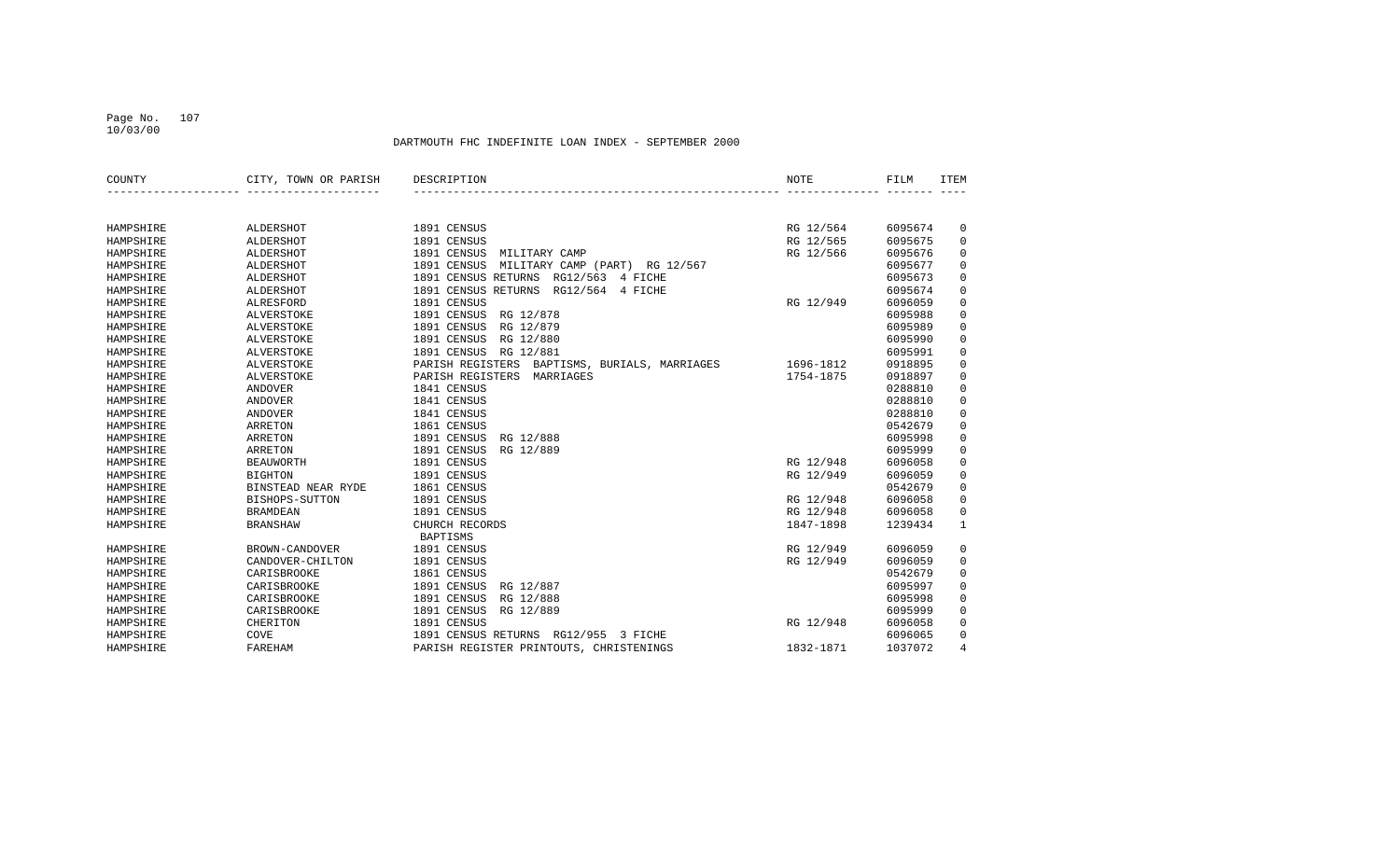### Page No. 107 10/03/00

| COUNTY    | CITY, TOWN OR PARISH | DESCRIPTION                                      | NOTE      | FILM    | <b>ITEM</b>    |
|-----------|----------------------|--------------------------------------------------|-----------|---------|----------------|
|           |                      |                                                  |           |         |                |
| HAMPSHIRE | ALDERSHOT            | 1891 CENSUS                                      | RG 12/564 | 6095674 | $\mathbf 0$    |
| HAMPSHIRE | ALDERSHOT            | 1891 CENSUS                                      | RG 12/565 | 6095675 | 0              |
| HAMPSHIRE | ALDERSHOT            | 1891 CENSUS<br>MILITARY CAMP                     | RG 12/566 | 6095676 | 0              |
| HAMPSHIRE | ALDERSHOT            | 1891 CENSUS<br>MILITARY CAMP (PART)<br>RG 12/567 |           | 6095677 | $\mathbf 0$    |
| HAMPSHIRE | ALDERSHOT            | 1891 CENSUS RETURNS<br>RG12/563 4 FICHE          |           | 6095673 | $\mathbf 0$    |
| HAMPSHIRE | ALDERSHOT            | 1891 CENSUS RETURNS<br>RG12/564<br>4 FICHE       |           | 6095674 | $\mathbf 0$    |
| HAMPSHIRE | ALRESFORD            | 1891 CENSUS                                      | RG 12/949 | 6096059 | 0              |
| HAMPSHIRE | <b>ALVERSTOKE</b>    | 1891 CENSUS<br>RG 12/878                         |           | 6095988 | $\mathbf 0$    |
| HAMPSHIRE | <b>ALVERSTOKE</b>    | 1891 CENSUS<br>RG 12/879                         |           | 6095989 | $\mathbf 0$    |
| HAMPSHIRE | ALVERSTOKE           | RG 12/880<br>1891 CENSUS                         |           | 6095990 | $\mathsf 0$    |
| HAMPSHIRE | <b>ALVERSTOKE</b>    | 1891 CENSUS<br>RG 12/881                         |           | 6095991 | $\mathbf 0$    |
| HAMPSHIRE | <b>ALVERSTOKE</b>    | PARISH REGISTERS BAPTISMS, BURIALS, MARRIAGES    | 1696-1812 | 0918895 | $\mathbf 0$    |
| HAMPSHIRE | <b>ALVERSTOKE</b>    | PARISH REGISTERS<br>MARRIAGES                    | 1754-1875 | 0918897 | 0              |
| HAMPSHIRE | <b>ANDOVER</b>       | 1841 CENSUS                                      |           | 0288810 | $\mathbf 0$    |
| HAMPSHIRE | <b>ANDOVER</b>       | 1841 CENSUS                                      |           | 0288810 | $\mathsf 0$    |
| HAMPSHIRE | <b>ANDOVER</b>       | 1841 CENSUS                                      |           | 0288810 | $\mathsf 0$    |
| HAMPSHIRE | <b>ARRETON</b>       | 1861 CENSUS                                      |           | 0542679 | $\mathbf 0$    |
| HAMPSHIRE | <b>ARRETON</b>       | 1891 CENSUS<br>RG 12/888                         |           | 6095998 | $\mathbf 0$    |
| HAMPSHIRE | <b>ARRETON</b>       | 1891 CENSUS<br>RG 12/889                         |           | 6095999 | 0              |
| HAMPSHIRE | <b>BEAUWORTH</b>     | 1891 CENSUS                                      | RG 12/948 | 6096058 | $\mathbf 0$    |
| HAMPSHIRE | <b>BIGHTON</b>       | 1891 CENSUS                                      | RG 12/949 | 6096059 | $\mathbf 0$    |
| HAMPSHIRE | BINSTEAD NEAR RYDE   | 1861 CENSUS                                      |           | 0542679 | $\mathbf 0$    |
| HAMPSHIRE | BISHOPS-SUTTON       | 1891 CENSUS                                      | RG 12/948 | 6096058 | $\mathbf 0$    |
| HAMPSHIRE | <b>BRAMDEAN</b>      | 1891 CENSUS                                      | RG 12/948 | 6096058 | $\mathbf 0$    |
| HAMPSHIRE | <b>BRANSHAW</b>      | CHURCH RECORDS<br><b>BAPTISMS</b>                | 1847-1898 | 1239434 | $\mathbf{1}$   |
| HAMPSHIRE | BROWN-CANDOVER       | 1891 CENSUS                                      | RG 12/949 | 6096059 | 0              |
| HAMPSHIRE | CANDOVER-CHILTON     | 1891 CENSUS                                      | RG 12/949 | 6096059 | 0              |
| HAMPSHIRE | CARISBROOKE          | 1861 CENSUS                                      |           | 0542679 | $\mathbf 0$    |
| HAMPSHIRE | CARISBROOKE          | 1891 CENSUS<br>RG 12/887                         |           | 6095997 | $\mathbf 0$    |
| HAMPSHIRE | CARISBROOKE          | 1891 CENSUS<br>RG 12/888                         |           | 6095998 | 0              |
| HAMPSHIRE | CARISBROOKE          | 1891 CENSUS<br>RG 12/889                         |           | 6095999 | $\mathbf 0$    |
| HAMPSHIRE | CHERITON             | 1891 CENSUS                                      | RG 12/948 | 6096058 | $\mathbf 0$    |
| HAMPSHIRE | <b>COVE</b>          | 1891 CENSUS RETURNS RG12/955 3 FICHE             |           | 6096065 | $\mathbf 0$    |
| HAMPSHIRE | FAREHAM              | PARISH REGISTER PRINTOUTS, CHRISTENINGS          | 1832-1871 | 1037072 | $\overline{4}$ |
|           |                      |                                                  |           |         |                |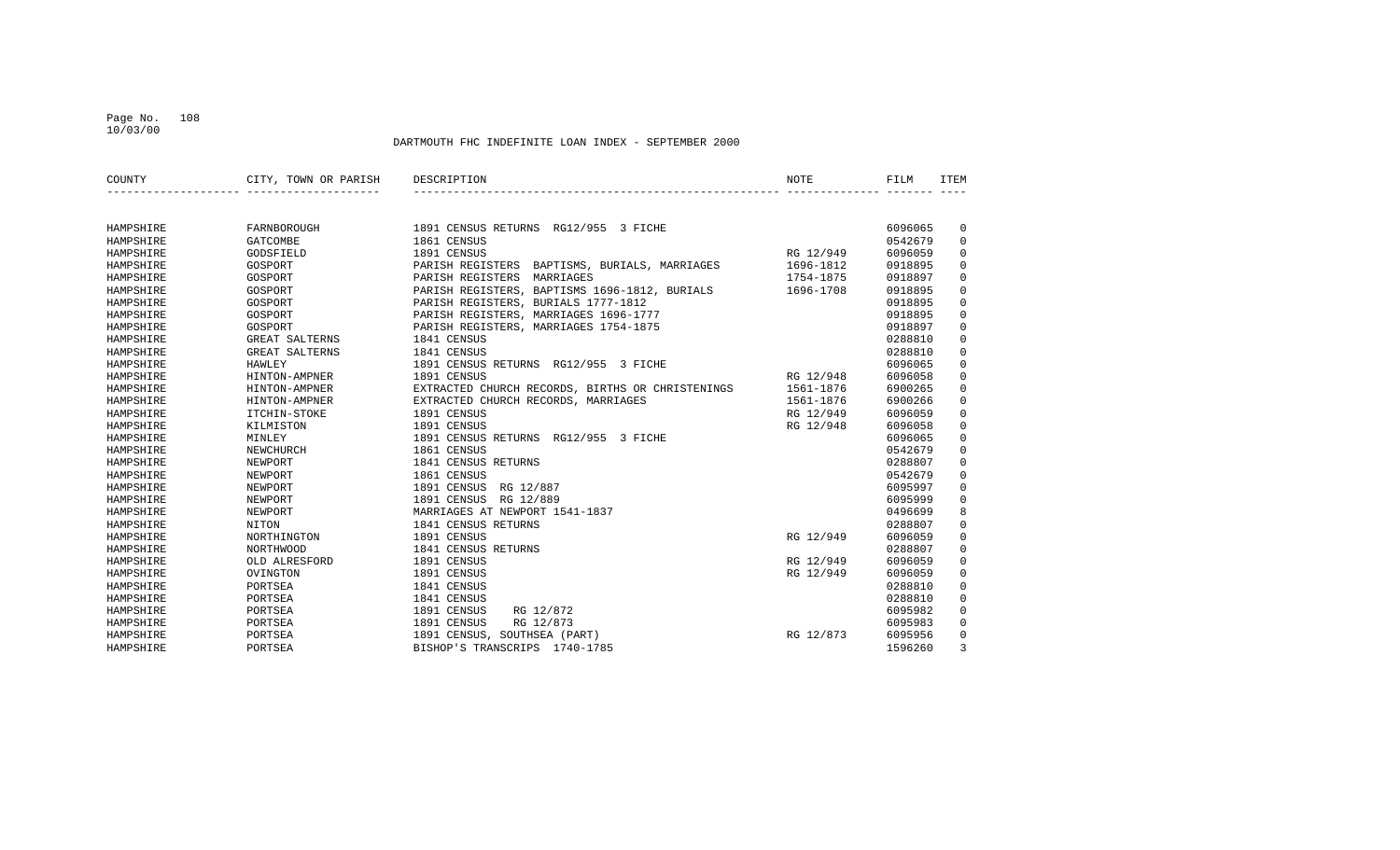### Page No. 108 10/03/00

| COUNTY    | CITY, TOWN OR PARISH | DESCRIPTION                                      | <b>NOTE</b> | FILM    | ITEM                |
|-----------|----------------------|--------------------------------------------------|-------------|---------|---------------------|
|           |                      |                                                  |             |         |                     |
| HAMPSHIRE | FARNBOROUGH          | 1891 CENSUS RETURNS RG12/955 3 FICHE             |             | 6096065 | 0                   |
| HAMPSHIRE | <b>GATCOMBE</b>      | 1861 CENSUS                                      |             | 0542679 | $\mathbf 0$         |
| HAMPSHIRE | GODSFIELD            | 1891 CENSUS                                      | RG 12/949   | 6096059 | $\mathbf 0$         |
| HAMPSHIRE | GOSPORT              | PARISH REGISTERS BAPTISMS, BURIALS, MARRIAGES    | 1696-1812   | 0918895 | $\mathbf 0$         |
| HAMPSHIRE | GOSPORT              | PARISH REGISTERS MARRIAGES                       | 1754-1875   | 0918897 | $\mathbf 0$         |
| HAMPSHIRE | GOSPORT              | PARISH REGISTERS, BAPTISMS 1696-1812, BURIALS    | 1696-1708   | 0918895 | $\mathbf 0$         |
| HAMPSHIRE | GOSPORT              | PARISH REGISTERS, BURIALS 1777-1812              |             | 0918895 | 0                   |
| HAMPSHIRE | GOSPORT              | PARISH REGISTERS, MARRIAGES 1696-1777            |             | 0918895 | $\mathbf 0$         |
| HAMPSHIRE | GOSPORT              | PARISH REGISTERS, MARRIAGES 1754-1875            |             | 0918897 | $\mathbf 0$         |
| HAMPSHIRE | GREAT SALTERNS       | 1841 CENSUS                                      |             | 0288810 | $\mathsf 0$         |
| HAMPSHIRE | GREAT SALTERNS       | 1841 CENSUS                                      |             | 0288810 | $\mathsf 0$         |
| HAMPSHIRE | HAWLEY               | 1891 CENSUS RETURNS RG12/955 3 FICHE             |             | 6096065 | $\mathsf 0$         |
| HAMPSHIRE | HINTON-AMPNER        | 1891 CENSUS                                      | RG 12/948   | 6096058 | $\mathbf 0$         |
| HAMPSHIRE | HINTON-AMPNER        | EXTRACTED CHURCH RECORDS, BIRTHS OR CHRISTENINGS | 1561-1876   | 6900265 | $\mathbf 0$         |
| HAMPSHIRE | HINTON-AMPNER        | EXTRACTED CHURCH RECORDS, MARRIAGES              | 1561-1876   | 6900266 | $\mathbf 0$         |
| HAMPSHIRE | ITCHIN-STOKE         | 1891 CENSUS                                      | RG 12/949   | 6096059 | $\mathbf 0$         |
| HAMPSHIRE | KILMISTON            | 1891 CENSUS                                      | RG 12/948   | 6096058 | $\mathbf 0$         |
| HAMPSHIRE | MINLEY               | 1891 CENSUS RETURNS RG12/955 3 FICHE             |             | 6096065 | 0                   |
| HAMPSHIRE | NEWCHURCH            | 1861 CENSUS                                      |             | 0542679 | $\mathbf 0$         |
| HAMPSHIRE | NEWPORT              | 1841 CENSUS RETURNS                              |             | 0288807 | $\mathbf 0$         |
| HAMPSHIRE | NEWPORT              | 1861 CENSUS                                      |             | 0542679 | $\mathbf 0$         |
| HAMPSHIRE | NEWPORT              | 1891 CENSUS<br>RG 12/887                         |             | 6095997 | $\mathsf 0$         |
| HAMPSHIRE | NEWPORT              | 1891 CENSUS RG 12/889                            |             | 6095999 | $\mathbf 0$         |
| HAMPSHIRE | NEWPORT              | MARRIAGES AT NEWPORT 1541-1837                   |             | 0496699 | 8                   |
| HAMPSHIRE | NITON                | 1841 CENSUS RETURNS                              |             | 0288807 | $\mathbf 0$         |
| HAMPSHIRE | NORTHINGTON          | 1891 CENSUS                                      | RG 12/949   | 6096059 | $\mathsf 0$         |
| HAMPSHIRE | <b>NORTHWOOD</b>     | 1841 CENSUS RETURNS                              |             | 0288807 | $\mathsf{O}\xspace$ |
| HAMPSHIRE | OLD ALRESFORD        | 1891 CENSUS                                      | RG 12/949   | 6096059 | 0                   |
| HAMPSHIRE | OVINGTON             | 1891 CENSUS                                      | RG 12/949   | 6096059 | $\mathbf 0$         |
| HAMPSHIRE | PORTSEA              | 1841 CENSUS                                      |             | 0288810 | $\mathbf 0$         |
| HAMPSHIRE | PORTSEA              | 1841 CENSUS                                      |             | 0288810 | 0                   |
| HAMPSHIRE | PORTSEA              | 1891 CENSUS<br>RG 12/872                         |             | 6095982 | $\mathbf 0$         |
| HAMPSHIRE | PORTSEA              | 1891 CENSUS<br>RG 12/873                         |             | 6095983 | $\mathbf 0$         |
| HAMPSHIRE | PORTSEA              | 1891 CENSUS, SOUTHSEA (PART)                     | RG 12/873   | 6095956 | $\mathbf 0$         |
| HAMPSHIRE | PORTSEA              | BISHOP'S TRANSCRIPS 1740-1785                    |             | 1596260 | 3                   |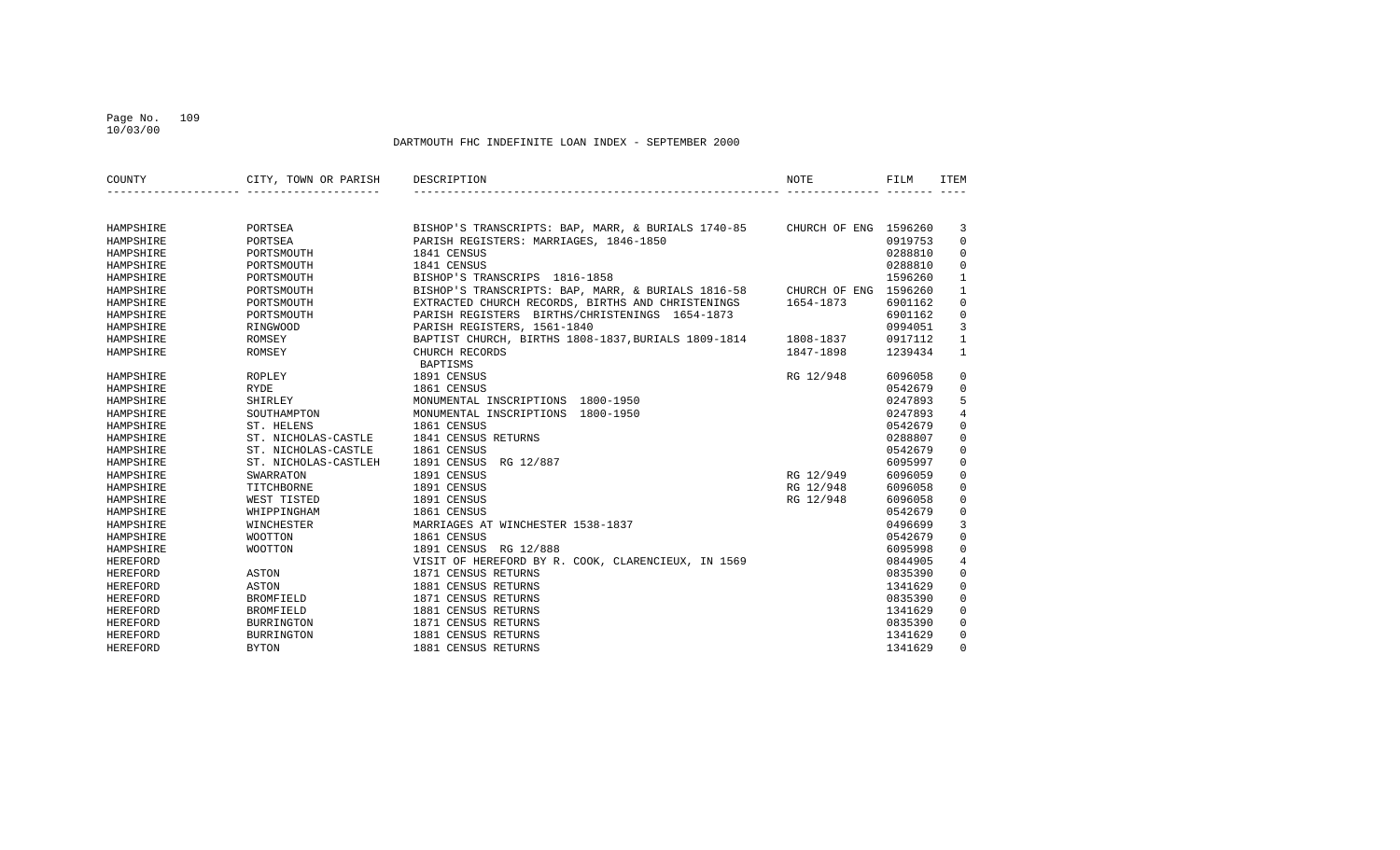## Page No. 109 10/03/00

| COUNTY          | CITY, TOWN OR PARISH | DESCRIPTION                                                              | NOTE      | FILM    | <b>ITEM</b>    |
|-----------------|----------------------|--------------------------------------------------------------------------|-----------|---------|----------------|
|                 |                      |                                                                          |           |         |                |
| HAMPSHIRE       | PORTSEA              | BISHOP'S TRANSCRIPTS: BAP, MARR, & BURIALS 1740-85 CHURCH OF ENG 1596260 |           |         | 3              |
| HAMPSHIRE       | PORTSEA              | PARISH REGISTERS: MARRIAGES, 1846-1850                                   |           | 0919753 | $\mathbf 0$    |
| HAMPSHIRE       | PORTSMOUTH           | 1841 CENSUS                                                              |           | 0288810 | $\mathbf 0$    |
| HAMPSHIRE       | PORTSMOUTH           | 1841 CENSUS                                                              |           | 0288810 | $\mathbf 0$    |
| HAMPSHIRE       | PORTSMOUTH           | BISHOP'S TRANSCRIPS 1816-1858                                            |           | 1596260 | $\mathbf{1}$   |
| HAMPSHIRE       | PORTSMOUTH           | BISHOP'S TRANSCRIPTS: BAP, MARR, & BURIALS 1816-58 CHURCH OF ENG 1596260 |           |         | 1              |
| HAMPSHIRE       | PORTSMOUTH           | EXTRACTED CHURCH RECORDS, BIRTHS AND CHRISTENINGS                        | 1654-1873 | 6901162 | 0              |
| HAMPSHIRE       | PORTSMOUTH           | PARISH REGISTERS BIRTHS/CHRISTENINGS 1654-1873                           |           | 6901162 | 0              |
| HAMPSHIRE       | RINGWOOD             | PARISH REGISTERS, 1561-1840                                              |           | 0994051 | 3              |
| HAMPSHIRE       | ROMSEY               | BAPTIST CHURCH, BIRTHS 1808-1837, BURIALS 1809-1814                      | 1808-1837 | 0917112 | $\mathbf{1}$   |
| HAMPSHIRE       | ROMSEY               | CHURCH RECORDS                                                           | 1847-1898 | 1239434 | $\mathbf{1}$   |
|                 |                      | <b>BAPTISMS</b>                                                          |           |         |                |
| HAMPSHIRE       | ROPLEY               | 1891 CENSUS                                                              | RG 12/948 | 6096058 | 0              |
| HAMPSHIRE       | RYDE                 | 1861 CENSUS                                                              |           | 0542679 | 0              |
| HAMPSHIRE       | SHIRLEY              | MONUMENTAL INSCRIPTIONS 1800-1950                                        |           | 0247893 | 5              |
| HAMPSHIRE       | SOUTHAMPTON          | MONUMENTAL INSCRIPTIONS 1800-1950                                        |           | 0247893 | 4              |
| HAMPSHIRE       | ST. HELENS           | 1861 CENSUS                                                              |           | 0542679 | $\mathbf 0$    |
| HAMPSHIRE       | ST. NICHOLAS-CASTLE  | 1841 CENSUS RETURNS                                                      |           | 0288807 | 0              |
| HAMPSHIRE       | ST. NICHOLAS-CASTLE  | 1861 CENSUS                                                              |           | 0542679 | $\mathbf 0$    |
| HAMPSHIRE       | ST. NICHOLAS-CASTLEH | 1891 CENSUS<br>RG 12/887                                                 |           | 6095997 | 0              |
| HAMPSHIRE       | SWARRATON            | 1891 CENSUS                                                              | RG 12/949 | 6096059 | 0              |
| HAMPSHIRE       | TITCHBORNE           | 1891 CENSUS                                                              | RG 12/948 | 6096058 | 0              |
| HAMPSHIRE       | WEST TISTED          | 1891 CENSUS                                                              | RG 12/948 | 6096058 | 0              |
| HAMPSHIRE       | WHIPPINGHAM          | 1861 CENSUS                                                              |           | 0542679 | 0              |
| HAMPSHIRE       | WINCHESTER           | MARRIAGES AT WINCHESTER 1538-1837                                        |           | 0496699 | 3              |
| HAMPSHIRE       | WOOTTON              | 1861 CENSUS                                                              |           | 0542679 | 0              |
| HAMPSHIRE       | <b>WOOTTON</b>       | 1891 CENSUS RG 12/888                                                    |           | 6095998 | 0              |
| <b>HEREFORD</b> |                      | VISIT OF HEREFORD BY R. COOK, CLARENCIEUX, IN 1569                       |           | 0844905 | $\overline{4}$ |
| <b>HEREFORD</b> | ASTON                | 1871 CENSUS RETURNS                                                      |           | 0835390 | 0              |
| <b>HEREFORD</b> | ASTON                | 1881 CENSUS RETURNS                                                      |           | 1341629 | 0              |
| <b>HEREFORD</b> | <b>BROMFIELD</b>     | 1871 CENSUS RETURNS                                                      |           | 0835390 | $\Omega$       |
| <b>HEREFORD</b> | BROMFIELD            | 1881 CENSUS RETURNS                                                      |           | 1341629 | $\Omega$       |
| <b>HEREFORD</b> | <b>BURRINGTON</b>    | 1871 CENSUS RETURNS                                                      |           | 0835390 | 0              |
| HEREFORD        | <b>BURRINGTON</b>    | 1881 CENSUS RETURNS                                                      |           | 1341629 | 0              |
| HEREFORD        | <b>BYTON</b>         | 1881 CENSUS RETURNS                                                      |           | 1341629 | $\Omega$       |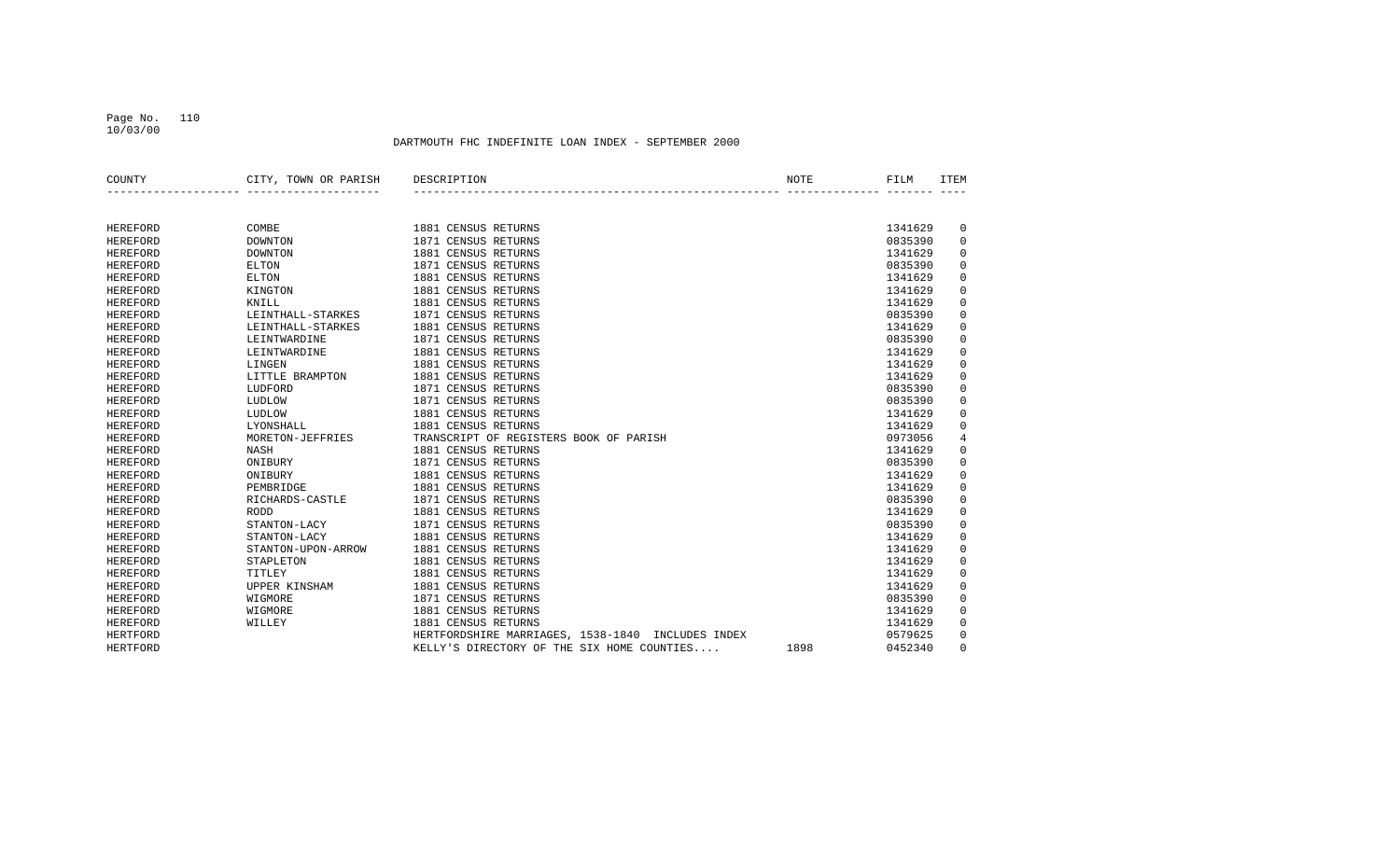## Page No. 110 10/03/00

| COUNTY          | CITY, TOWN OR PARISH | DESCRIPTION<br>NOTE                                | FILM    | <b>ITEM</b> |
|-----------------|----------------------|----------------------------------------------------|---------|-------------|
|                 |                      |                                                    |         |             |
| <b>HEREFORD</b> | COMBE                | 1881 CENSUS RETURNS                                | 1341629 | 0           |
| HEREFORD        | <b>DOWNTON</b>       | 1871 CENSUS RETURNS                                | 0835390 | $\mathbf 0$ |
| <b>HEREFORD</b> | <b>DOWNTON</b>       | 1881 CENSUS RETURNS                                | 1341629 | 0           |
| <b>HEREFORD</b> | <b>ELTON</b>         | 1871 CENSUS RETURNS                                | 0835390 | 0           |
| <b>HEREFORD</b> | <b>ELTON</b>         | 1881 CENSUS RETURNS                                | 1341629 | $\mathbf 0$ |
| <b>HEREFORD</b> | KINGTON              | 1881 CENSUS RETURNS                                | 1341629 | $\mathsf 0$ |
| HEREFORD        | KNILL                | 1881 CENSUS RETURNS                                | 1341629 | $\mathsf 0$ |
| <b>HEREFORD</b> | LEINTHALL-STARKES    | 1871 CENSUS RETURNS                                | 0835390 | 0           |
| <b>HEREFORD</b> | LEINTHALL-STARKES    | 1881 CENSUS RETURNS                                | 1341629 | 0           |
| <b>HEREFORD</b> | LEINTWARDINE         | 1871 CENSUS RETURNS                                | 0835390 | $\mathbf 0$ |
| <b>HEREFORD</b> | LEINTWARDINE         | 1881 CENSUS RETURNS                                | 1341629 | $\mathbf 0$ |
| <b>HEREFORD</b> | LINGEN               | 1881 CENSUS RETURNS                                | 1341629 | $\mathbf 0$ |
| <b>HEREFORD</b> | LITTLE BRAMPTON      | 1881 CENSUS RETURNS                                | 1341629 | 0           |
| <b>HEREFORD</b> | LUDFORD              | 1871 CENSUS RETURNS                                | 0835390 | 0           |
| <b>HEREFORD</b> | LUDLOW               | 1871 CENSUS RETURNS                                | 0835390 | 0           |
| <b>HEREFORD</b> | LUDLOW               | 1881 CENSUS RETURNS                                | 1341629 | 0           |
| <b>HEREFORD</b> | LYONSHALL            | 1881 CENSUS RETURNS                                | 1341629 | 0           |
| <b>HEREFORD</b> | MORETON-JEFFRIES     | TRANSCRIPT OF REGISTERS BOOK OF PARISH             | 0973056 | 4           |
| <b>HEREFORD</b> | <b>NASH</b>          | 1881 CENSUS RETURNS                                | 1341629 | $\mathsf 0$ |
| <b>HEREFORD</b> | ONIBURY              | 1871 CENSUS RETURNS                                | 0835390 | $\mathsf 0$ |
| <b>HEREFORD</b> | ONIBURY              | 1881 CENSUS RETURNS                                | 1341629 | $\mathsf 0$ |
| <b>HEREFORD</b> | PEMBRIDGE            | 1881 CENSUS RETURNS                                | 1341629 | $\mathbf 0$ |
| <b>HEREFORD</b> | RICHARDS-CASTLE      | 1871 CENSUS RETURNS                                | 0835390 | $\mathsf 0$ |
| <b>HEREFORD</b> | <b>RODD</b>          | 1881 CENSUS RETURNS                                | 1341629 | $\mathbf 0$ |
| <b>HEREFORD</b> | STANTON-LACY         | 1871 CENSUS RETURNS                                | 0835390 | 0           |
| <b>HEREFORD</b> | STANTON-LACY         | 1881 CENSUS RETURNS                                | 1341629 | $\mathsf 0$ |
| <b>HEREFORD</b> | STANTON-UPON-ARROW   | 1881 CENSUS RETURNS                                | 1341629 | $\mathsf 0$ |
| <b>HEREFORD</b> | STAPLETON            | 1881 CENSUS RETURNS                                | 1341629 | 0           |
| <b>HEREFORD</b> | TITLEY               | 1881 CENSUS RETURNS                                | 1341629 | 0           |
| HEREFORD        | UPPER KINSHAM        | 1881 CENSUS RETURNS                                | 1341629 | $\mathbf 0$ |
| HEREFORD        | WIGMORE              | 1871 CENSUS RETURNS                                | 0835390 | $\mathsf 0$ |
| <b>HEREFORD</b> | WIGMORE              | 1881 CENSUS RETURNS                                | 1341629 | $\mathsf 0$ |
| <b>HEREFORD</b> | WILLEY               | 1881 CENSUS RETURNS                                | 1341629 | $\mathsf 0$ |
| HERTFORD        |                      | HERTFORDSHIRE MARRIAGES, 1538-1840 INCLUDES INDEX  | 0579625 | $\mathbf 0$ |
| HERTFORD        |                      | KELLY'S DIRECTORY OF THE SIX HOME COUNTIES<br>1898 | 0452340 | $\mathbf 0$ |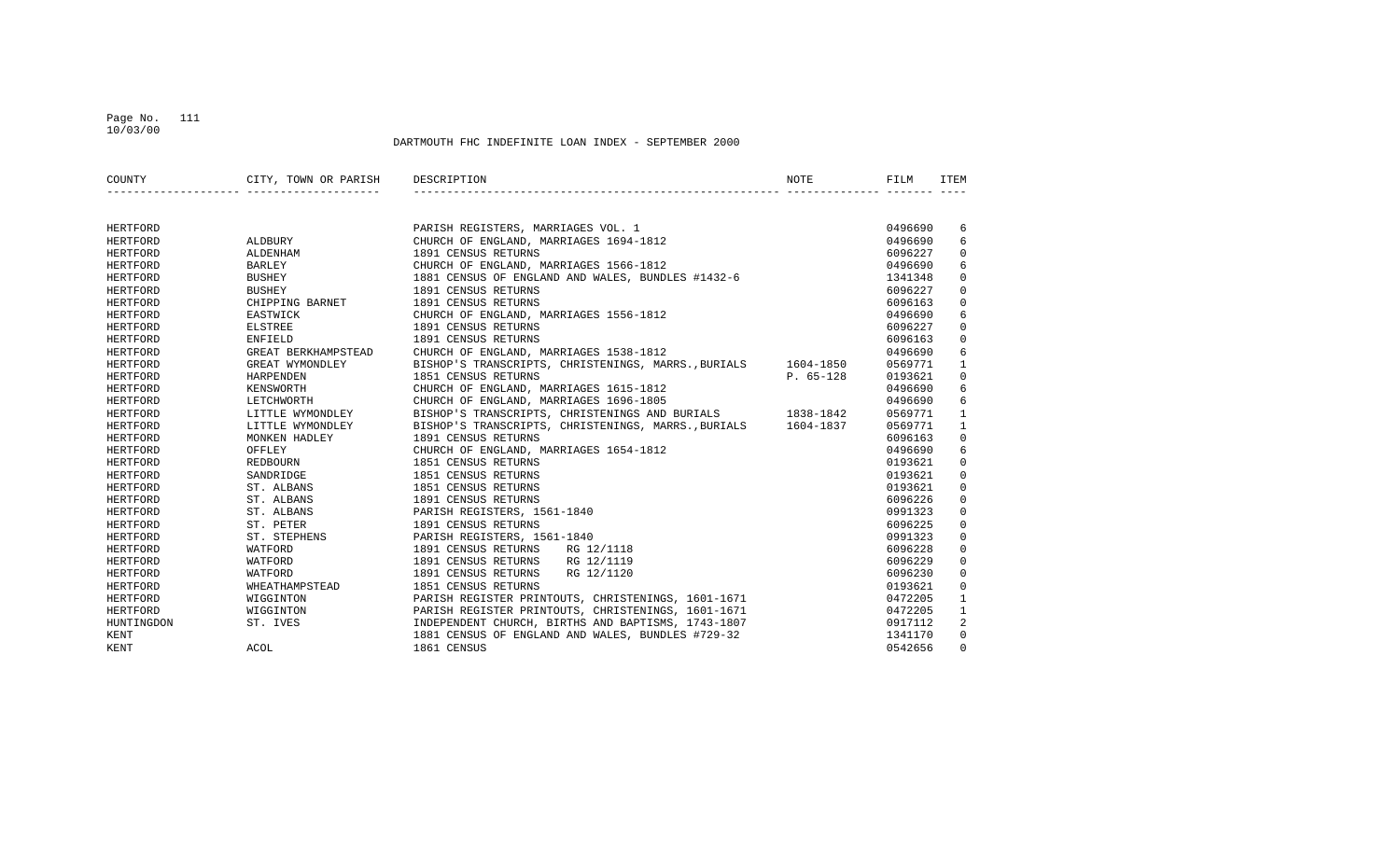## Page No. 111 10/03/00

| COUNTY          | CITY, TOWN OR PARISH DESCRIPTION |                                                               | <b>NOTE</b> | FILM    | ITEM         |
|-----------------|----------------------------------|---------------------------------------------------------------|-------------|---------|--------------|
|                 |                                  |                                                               |             |         |              |
| HERTFORD        |                                  | PARISH REGISTERS, MARRIAGES VOL. 1                            |             | 0496690 | 6            |
| <b>HERTFORD</b> | ALDBURY                          | CHURCH OF ENGLAND, MARRIAGES 1694-1812                        |             | 0496690 | 6            |
| HERTFORD        | ALDENHAM                         | 1891 CENSUS RETURNS                                           |             | 6096227 | 0            |
| HERTFORD        | <b>BARLEY</b>                    | CHURCH OF ENGLAND, MARRIAGES 1566-1812                        |             | 0496690 | 6            |
| HERTFORD        | <b>BUSHEY</b>                    | 1881 CENSUS OF ENGLAND AND WALES, BUNDLES #1432-6             |             | 1341348 | $\mathbf 0$  |
| HERTFORD        | <b>BUSHEY</b>                    | 1891 CENSUS RETURNS                                           |             | 6096227 | $\mathbf 0$  |
| HERTFORD        | CHIPPING BARNET                  | 1891 CENSUS RETURNS                                           |             | 6096163 | $\mathbf 0$  |
| HERTFORD        | EASTWICK                         | CHURCH OF ENGLAND, MARRIAGES 1556-1812                        |             | 0496690 | 6            |
| HERTFORD        | <b>ELSTREE</b>                   | 1891 CENSUS RETURNS                                           |             | 6096227 | $\Omega$     |
| HERTFORD        | ENFIELD                          | 1891 CENSUS RETURNS                                           |             | 6096163 | 0            |
| HERTFORD        | GREAT BERKHAMPSTEAD              | CHURCH OF ENGLAND, MARRIAGES 1538-1812                        |             | 0496690 | 6            |
| HERTFORD        | GREAT WYMONDLEY                  | BISHOP'S TRANSCRIPTS, CHRISTENINGS, MARRS., BURIALS 1604-1850 |             | 0569771 | $\mathbf{1}$ |
| HERTFORD        | HARPENDEN                        | 1851 CENSUS RETURNS                                           | $P. 65-128$ | 0193621 | $\Omega$     |
| HERTFORD        | KENSWORTH                        | CHURCH OF ENGLAND, MARRIAGES 1615-1812                        |             | 0496690 | 6            |
| HERTFORD        | LETCHWORTH                       | CHURCH OF ENGLAND, MARRIAGES 1696-1805                        |             | 0496690 | 6            |
| HERTFORD        | LITTLE WYMONDLEY                 | BISHOP'S TRANSCRIPTS, CHRISTENINGS AND BURIALS 1838-1842      |             | 0569771 | $\mathbf{1}$ |
| <b>HERTFORD</b> | LITTLE WYMONDLEY                 | BISHOP'S TRANSCRIPTS, CHRISTENINGS, MARRS., BURIALS 1604-1837 |             | 0569771 | $\mathbf{1}$ |
| HERTFORD        | MONKEN HADLEY                    | 1891 CENSUS RETURNS                                           |             | 6096163 | 0            |
| HERTFORD        | OFFLEY                           | CHURCH OF ENGLAND, MARRIAGES 1654-1812                        |             | 0496690 | 6            |
| HERTFORD        | REDBOURN                         | 1851 CENSUS RETURNS                                           |             | 0193621 | $\Omega$     |
| HERTFORD        | SANDRIDGE                        | 1851 CENSUS RETURNS                                           |             | 0193621 | $\mathbf 0$  |
| HERTFORD        | ST. ALBANS                       | 1851 CENSUS RETURNS                                           |             | 0193621 | $\mathbf 0$  |
| HERTFORD        | ST. ALBANS                       | 1891 CENSUS RETURNS                                           |             | 6096226 | $\mathbf 0$  |
| HERTFORD        | ST. ALBANS                       | PARISH REGISTERS, 1561-1840                                   |             | 0991323 | $\mathbf 0$  |
| HERTFORD        | ST. PETER                        | 1891 CENSUS RETURNS                                           |             | 6096225 | 0            |
| HERTFORD        | ST. STEPHENS                     | PARISH REGISTERS, 1561-1840                                   |             | 0991323 | 0            |
| HERTFORD        | WATFORD                          | 1891 CENSUS RETURNS<br>RG 12/1118                             |             | 6096228 | $\mathbf 0$  |
| HERTFORD        | WATFORD                          | 1891 CENSUS RETURNS RG 12/1119                                |             | 6096229 | $\Omega$     |
| HERTFORD        | WATFORD                          | 1891 CENSUS RETURNS<br>RG 12/1120                             |             | 6096230 | $\mathbf 0$  |
| HERTFORD        | WHEATHAMPSTEAD                   | 1851 CENSUS RETURNS                                           |             | 0193621 | $\mathbf 0$  |
| HERTFORD        | WIGGINTON                        | PARISH REGISTER PRINTOUTS, CHRISTENINGS, 1601-1671            |             | 0472205 | $\mathbf{1}$ |
| HERTFORD        | WIGGINTON                        | PARISH REGISTER PRINTOUTS, CHRISTENINGS, 1601-1671            |             | 0472205 | $\mathbf{1}$ |
| HUNTINGDON      | ST. IVES                         | INDEPENDENT CHURCH, BIRTHS AND BAPTISMS, 1743-1807            |             | 0917112 | 2            |
| KENT            |                                  | 1881 CENSUS OF ENGLAND AND WALES, BUNDLES #729-32             |             | 1341170 | 0            |
| KENT            | ACOL                             | 1861 CENSUS                                                   |             | 0542656 | $\Omega$     |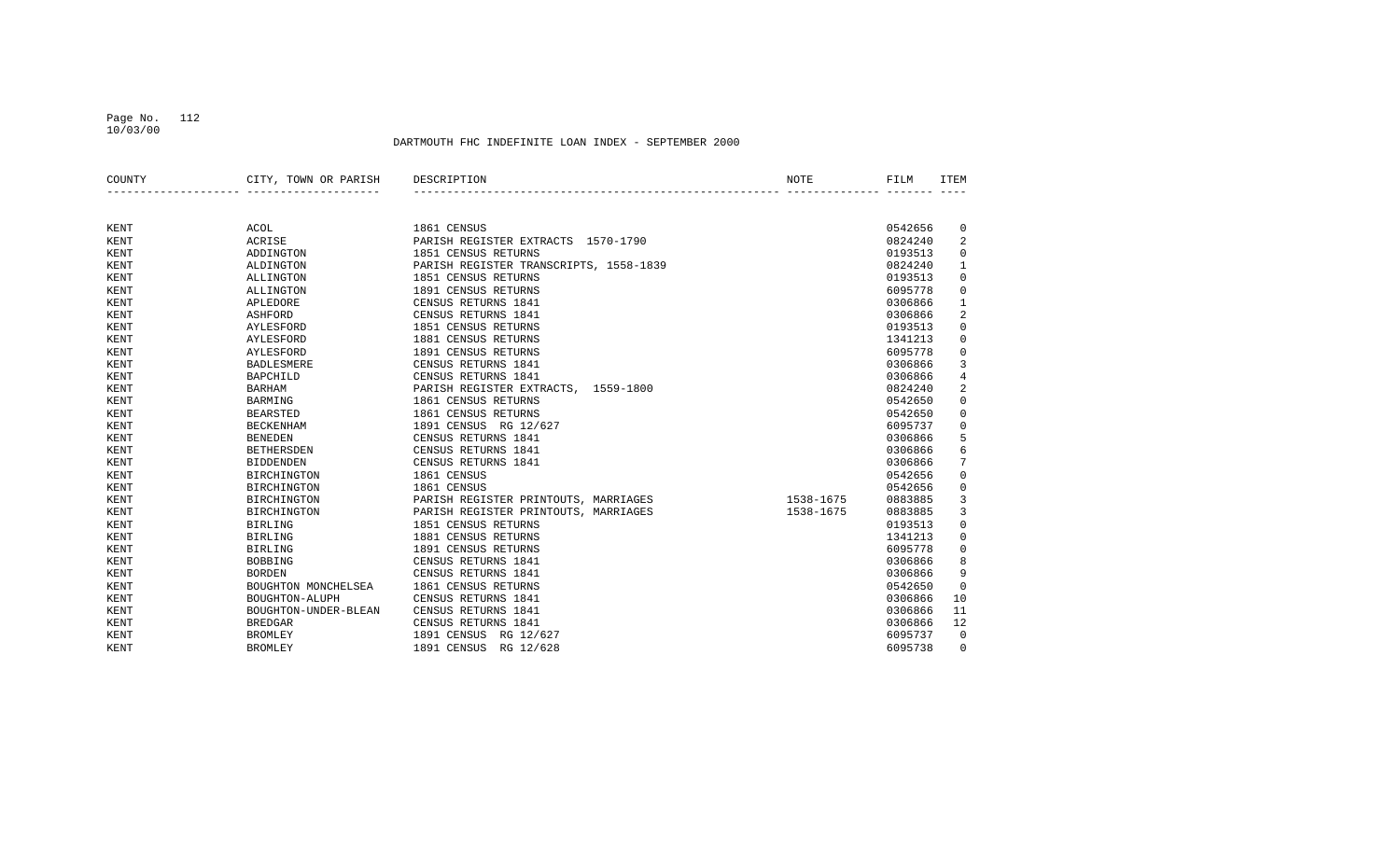# Page No. 112

10/03/00

| COUNTY      | CITY, TOWN OR PARISH | DESCRIPTION                            | NOTE      | FILM    | <b>ITEM</b>    |
|-------------|----------------------|----------------------------------------|-----------|---------|----------------|
|             |                      |                                        |           |         |                |
| <b>KENT</b> | <b>ACOL</b>          | 1861 CENSUS                            |           | 0542656 | 0              |
| KENT        | ACRISE               | PARISH REGISTER EXTRACTS 1570-1790     |           | 0824240 | 2              |
| KENT        | ADDINGTON            | 1851 CENSUS RETURNS                    |           | 0193513 | 0              |
| KENT        | ALDINGTON            | PARISH REGISTER TRANSCRIPTS, 1558-1839 |           | 0824240 | $\mathbf{1}$   |
| KENT        | ALLINGTON            | 1851 CENSUS RETURNS                    |           | 0193513 | $\mathsf 0$    |
| KENT        | ALLINGTON            | 1891 CENSUS RETURNS                    |           | 6095778 | $\mathbf 0$    |
| KENT        | APLEDORE             | CENSUS RETURNS 1841                    |           | 0306866 | 1              |
| KENT        | <b>ASHFORD</b>       | CENSUS RETURNS 1841                    |           | 0306866 | 2              |
| KENT        | AYLESFORD            | 1851 CENSUS RETURNS                    |           | 0193513 | $\mathsf 0$    |
| KENT        | AYLESFORD            | 1881 CENSUS RETURNS                    |           | 1341213 | $\mathbf 0$    |
| KENT        | AYLESFORD            | 1891 CENSUS RETURNS                    |           | 6095778 | $\mathbf 0$    |
| KENT        | <b>BADLESMERE</b>    | CENSUS RETURNS 1841                    |           | 0306866 | 3              |
| KENT        | <b>BAPCHILD</b>      | CENSUS RETURNS 1841                    |           | 0306866 | $\overline{4}$ |
| KENT        | <b>BARHAM</b>        | PARISH REGISTER EXTRACTS, 1559-1800    |           | 0824240 | $\sqrt{2}$     |
| KENT        | <b>BARMING</b>       | 1861 CENSUS RETURNS                    |           | 0542650 | 0              |
| KENT        | <b>BEARSTED</b>      | 1861 CENSUS RETURNS                    |           | 0542650 | $\mathsf 0$    |
| KENT        | <b>BECKENHAM</b>     | 1891 CENSUS RG 12/627                  |           | 6095737 | $\mathsf 0$    |
| KENT        | <b>BENEDEN</b>       | CENSUS RETURNS 1841                    |           | 0306866 | 5              |
| KENT        | <b>BETHERSDEN</b>    | CENSUS RETURNS 1841                    |           | 0306866 | 6              |
| KENT        | <b>BIDDENDEN</b>     | CENSUS RETURNS 1841                    |           | 0306866 | 7              |
| KENT        | <b>BIRCHINGTON</b>   | 1861 CENSUS                            |           | 0542656 | $\mathsf 0$    |
| KENT        | <b>BIRCHINGTON</b>   | 1861 CENSUS                            |           | 0542656 | $\mathsf 0$    |
| KENT        | <b>BIRCHINGTON</b>   | PARISH REGISTER PRINTOUTS, MARRIAGES   | 1538-1675 | 0883885 | 3              |
| KENT        | <b>BIRCHINGTON</b>   | PARISH REGISTER PRINTOUTS, MARRIAGES   | 1538-1675 | 0883885 | 3              |
| KENT        | <b>BIRLING</b>       | 1851 CENSUS RETURNS                    |           | 0193513 | $\mathsf 0$    |
| KENT        | <b>BIRLING</b>       | 1881 CENSUS RETURNS                    |           | 1341213 | $\mathsf 0$    |
| KENT        | <b>BIRLING</b>       | 1891 CENSUS RETURNS                    |           | 6095778 | 0              |
| KENT        | <b>BOBBING</b>       | CENSUS RETURNS 1841                    |           | 0306866 | 8              |
| KENT        | <b>BORDEN</b>        | CENSUS RETURNS 1841                    |           | 0306866 | 9              |
| KENT        | BOUGHTON MONCHELSEA  | 1861 CENSUS RETURNS                    |           | 0542650 | $\mathbf 0$    |
| KENT        | BOUGHTON-ALUPH       | CENSUS RETURNS 1841                    |           | 0306866 | 10             |
| KENT        | BOUGHTON-UNDER-BLEAN | CENSUS RETURNS 1841                    |           | 0306866 | 11             |
| KENT        | <b>BREDGAR</b>       | CENSUS RETURNS 1841                    |           | 0306866 | 12             |
| KENT        | <b>BROMLEY</b>       | 1891 CENSUS RG 12/627                  |           | 6095737 | $\mathbf 0$    |
| KENT        | <b>BROMLEY</b>       | 1891 CENSUS<br>RG 12/628               |           | 6095738 | $\Omega$       |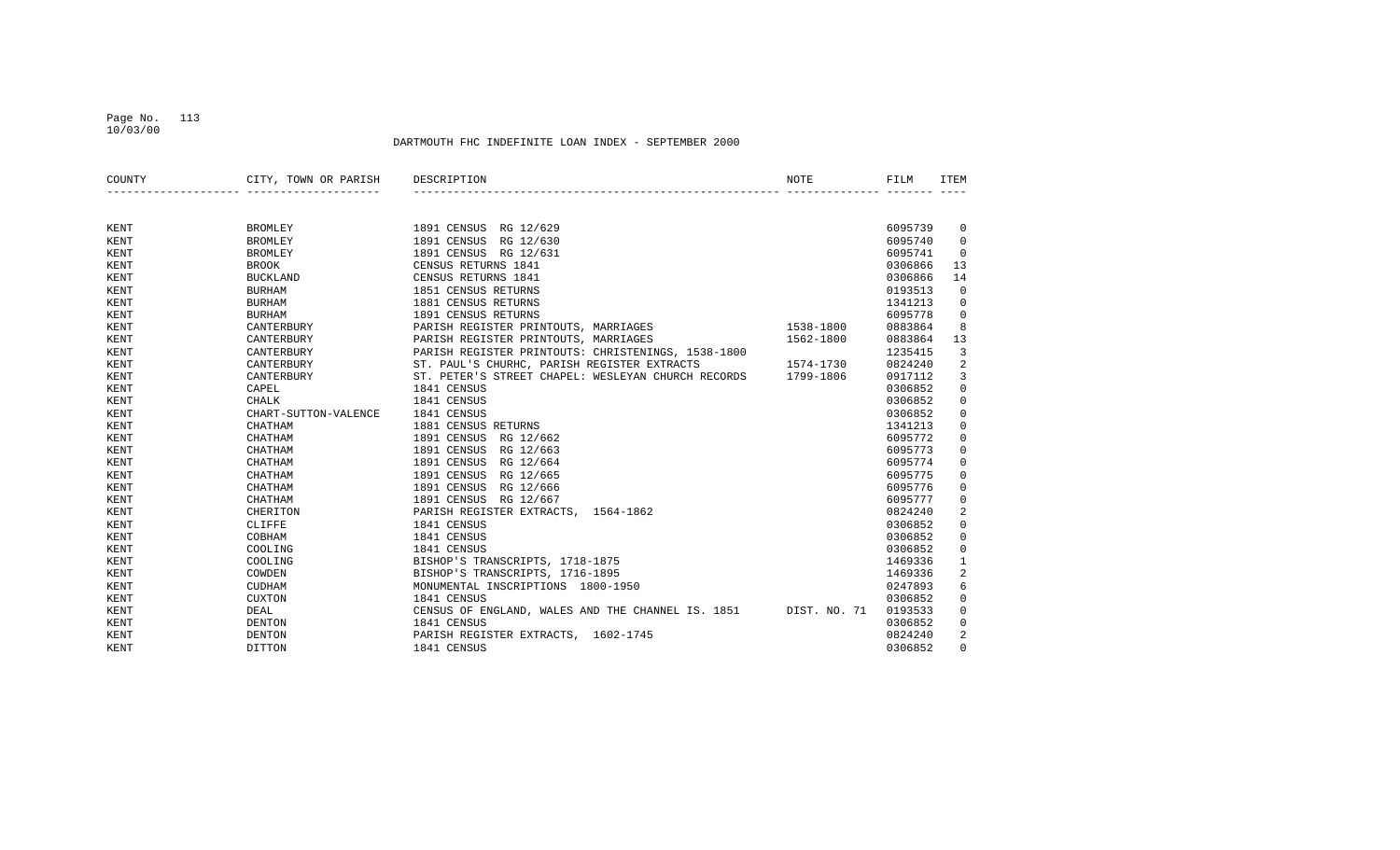## Page No. 113 10/03/00

| COUNTY | CITY, TOWN OR PARISH | DESCRIPTION                                        | NOTE         | FILM    | <b>ITEM</b>  |
|--------|----------------------|----------------------------------------------------|--------------|---------|--------------|
|        |                      |                                                    |              |         |              |
| KENT   | <b>BROMLEY</b>       | 1891 CENSUS RG 12/629                              |              | 6095739 | 0            |
| KENT   | <b>BROMLEY</b>       | 1891 CENSUS<br>RG 12/630                           |              | 6095740 | 0            |
| KENT   | <b>BROMLEY</b>       | 1891 CENSUS<br>RG 12/631                           |              | 6095741 | 0            |
| KENT   | <b>BROOK</b>         | CENSUS RETURNS 1841                                |              | 0306866 | 13           |
| KENT   | <b>BUCKLAND</b>      | CENSUS RETURNS 1841                                |              | 0306866 | 14           |
| KENT   | <b>BURHAM</b>        | 1851 CENSUS RETURNS                                |              | 0193513 | $\mathbf 0$  |
| KENT   | <b>BURHAM</b>        | 1881 CENSUS RETURNS                                |              | 1341213 | 0            |
| KENT   | <b>BURHAM</b>        | 1891 CENSUS RETURNS                                |              | 6095778 | 0            |
| KENT   | CANTERBURY           | PARISH REGISTER PRINTOUTS, MARRIAGES               | 1538-1800    | 0883864 | 8            |
| KENT   | CANTERBURY           | PARISH REGISTER PRINTOUTS, MARRIAGES               | 1562-1800    | 0883864 | 13           |
| KENT   | CANTERBURY           | PARISH REGISTER PRINTOUTS: CHRISTENINGS, 1538-1800 |              | 1235415 | 3            |
| KENT   | CANTERBURY           | ST. PAUL'S CHURHC, PARISH REGISTER EXTRACTS        | 1574-1730    | 0824240 | 2            |
| KENT   | CANTERBURY           | ST. PETER'S STREET CHAPEL: WESLEYAN CHURCH RECORDS | 1799-1806    | 0917112 | 3            |
| KENT   | CAPEL                | 1841 CENSUS                                        |              | 0306852 | 0            |
| KENT   | CHALK                | 1841 CENSUS                                        |              | 0306852 | 0            |
| KENT   | CHART-SUTTON-VALENCE | 1841 CENSUS                                        |              | 0306852 | 0            |
| KENT   | CHATHAM              | 1881 CENSUS RETURNS                                |              | 1341213 | 0            |
| KENT   | CHATHAM              | 1891 CENSUS<br>RG 12/662                           |              | 6095772 | 0            |
| KENT   | CHATHAM              | 1891 CENSUS<br>RG 12/663                           |              | 6095773 | $\mathbf 0$  |
| KENT   | CHATHAM              | 1891 CENSUS<br>RG 12/664                           |              | 6095774 | $\mathbf 0$  |
| KENT   | CHATHAM              | 1891 CENSUS<br>RG 12/665                           |              | 6095775 | 0            |
| KENT   | CHATHAM              | 1891 CENSUS<br>RG 12/666                           |              | 6095776 | 0            |
| KENT   | CHATHAM              | 1891 CENSUS<br>RG 12/667                           |              | 6095777 | 0            |
| KENT   | CHERITON             | PARISH REGISTER EXTRACTS,<br>1564-1862             |              | 0824240 | 2            |
| KENT   | CLIFFE               | 1841 CENSUS                                        |              | 0306852 | 0            |
| KENT   | COBHAM               | 1841 CENSUS                                        |              | 0306852 | 0            |
| KENT   | COOLING              | 1841 CENSUS                                        |              | 0306852 | 0            |
| KENT   | COOLING              | BISHOP'S TRANSCRIPTS, 1718-1875                    |              | 1469336 | $\mathbf{1}$ |
| KENT   | COWDEN               | BISHOP'S TRANSCRIPTS, 1716-1895                    |              | 1469336 | 2            |
| KENT   | <b>CUDHAM</b>        | MONUMENTAL INSCRIPTIONS 1800-1950                  |              | 0247893 | 6            |
| KENT   | <b>CUXTON</b>        | 1841 CENSUS                                        |              | 0306852 | 0            |
| KENT   | DEAL                 | CENSUS OF ENGLAND, WALES AND THE CHANNEL IS. 1851  | DIST. NO. 71 | 0193533 | $\mathbf 0$  |
| KENT   | <b>DENTON</b>        | 1841 CENSUS                                        |              | 0306852 | $\mathbf 0$  |
| KENT   | <b>DENTON</b>        | PARISH REGISTER EXTRACTS, 1602-1745                |              | 0824240 | 2            |
| KENT   | DITTON               | 1841 CENSUS                                        |              | 0306852 | $\Omega$     |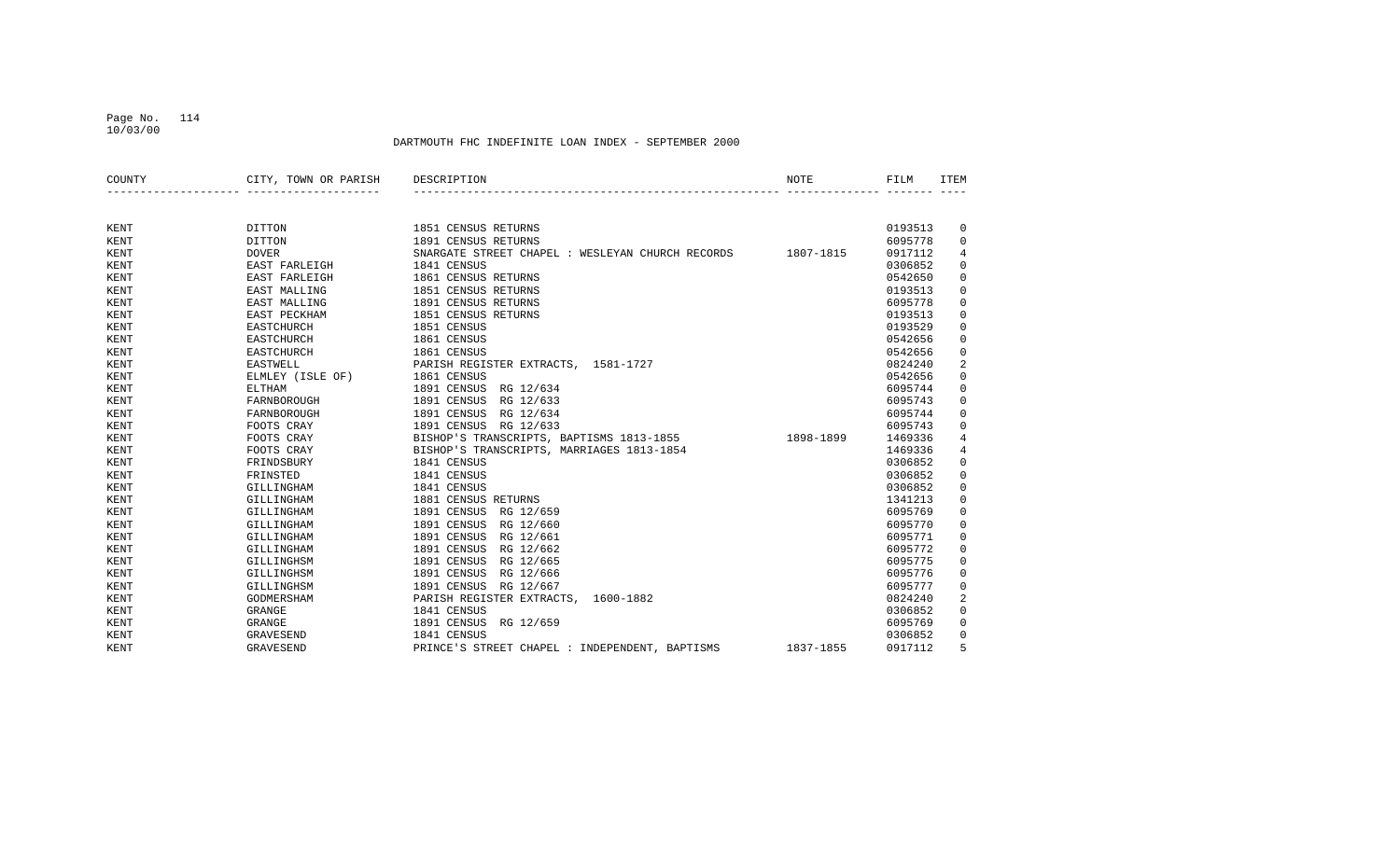## Page No. 114 10/03/00

| COUNTY | CITY, TOWN OR PARISH | DESCRIPTION                                      | <b>NOTE</b> | FILM    | <b>ITEM</b> |
|--------|----------------------|--------------------------------------------------|-------------|---------|-------------|
|        |                      |                                                  |             |         |             |
| KENT   | DITTON               | 1851 CENSUS RETURNS                              |             | 0193513 | 0           |
| KENT   | DITTON               | 1891 CENSUS RETURNS                              |             | 6095778 | 0           |
| KENT   | <b>DOVER</b>         | SNARGATE STREET CHAPEL : WESLEYAN CHURCH RECORDS | 1807-1815   | 0917112 | 4           |
| KENT   | EAST FARLEIGH        | 1841 CENSUS                                      |             | 0306852 | 0           |
| KENT   | EAST FARLEIGH        | 1861 CENSUS RETURNS                              |             | 0542650 | 0           |
| KENT   | EAST MALLING         | 1851 CENSUS RETURNS                              |             | 0193513 | 0           |
| KENT   | EAST MALLING         | 1891 CENSUS RETURNS                              |             | 6095778 | 0           |
| KENT   | EAST PECKHAM         | 1851 CENSUS RETURNS                              |             | 0193513 | 0           |
| KENT   | <b>EASTCHURCH</b>    | 1851 CENSUS                                      |             | 0193529 | 0           |
| KENT   | <b>EASTCHURCH</b>    | 1861 CENSUS                                      |             | 0542656 | 0           |
| KENT   | <b>EASTCHURCH</b>    | 1861 CENSUS                                      |             | 0542656 | 0           |
| KENT   | <b>EASTWELL</b>      | PARISH REGISTER EXTRACTS, 1581-1727              |             | 0824240 | 2           |
| KENT   | ELMLEY (ISLE OF)     | 1861 CENSUS                                      |             | 0542656 | 0           |
| KENT   | <b>ELTHAM</b>        | 1891 CENSUS<br>RG 12/634                         |             | 6095744 | 0           |
| KENT   | FARNBOROUGH          | 1891 CENSUS<br>RG 12/633                         |             | 6095743 | 0           |
| KENT   | FARNBOROUGH          | 1891 CENSUS<br>RG 12/634                         |             | 6095744 | 0           |
| KENT   | FOOTS CRAY           | 1891 CENSUS<br>RG 12/633                         |             | 6095743 | 0           |
| KENT   | FOOTS CRAY           | BISHOP'S TRANSCRIPTS, BAPTISMS 1813-1855         | 1898-1899   | 1469336 | 4           |
| KENT   | FOOTS CRAY           | BISHOP'S TRANSCRIPTS, MARRIAGES 1813-1854        |             | 1469336 | 4           |
| KENT   | FRINDSBURY           | 1841 CENSUS                                      |             | 0306852 | 0           |
| KENT   | FRINSTED             | 1841 CENSUS                                      |             | 0306852 | 0           |
| KENT   | GILLINGHAM           | 1841 CENSUS                                      |             | 0306852 | 0           |
| KENT   | GILLINGHAM           | 1881 CENSUS RETURNS                              |             | 1341213 | 0           |
| KENT   | GILLINGHAM           | 1891 CENSUS<br>RG 12/659                         |             | 6095769 | 0           |
| KENT   | GILLINGHAM           | 1891 CENSUS<br>RG 12/660                         |             | 6095770 | 0           |
| KENT   | GILLINGHAM           | 1891 CENSUS<br>RG 12/661                         |             | 6095771 | 0           |
| KENT   | GILLINGHAM           | 1891 CENSUS<br>RG 12/662                         |             | 6095772 | 0           |
| KENT   | GILLINGHSM           | 1891 CENSUS<br>RG 12/665                         |             | 6095775 | 0           |
| KENT   | GILLINGHSM           | 1891 CENSUS<br>RG 12/666                         |             | 6095776 | 0           |
| KENT   | GILLINGHSM           | 1891 CENSUS<br>RG 12/667                         |             | 6095777 | 0           |
| KENT   | GODMERSHAM           | PARISH REGISTER EXTRACTS,<br>1600-1882           |             | 0824240 | 2           |
| KENT   | <b>GRANGE</b>        | 1841 CENSUS                                      |             | 0306852 | 0           |
| KENT   | GRANGE               | 1891 CENSUS<br>RG 12/659                         |             | 6095769 | 0           |
| KENT   | GRAVESEND            | 1841 CENSUS                                      |             | 0306852 | 0           |
| KENT   | <b>GRAVESEND</b>     | PRINCE'S STREET CHAPEL : INDEPENDENT, BAPTISMS   | 1837-1855   | 0917112 | 5           |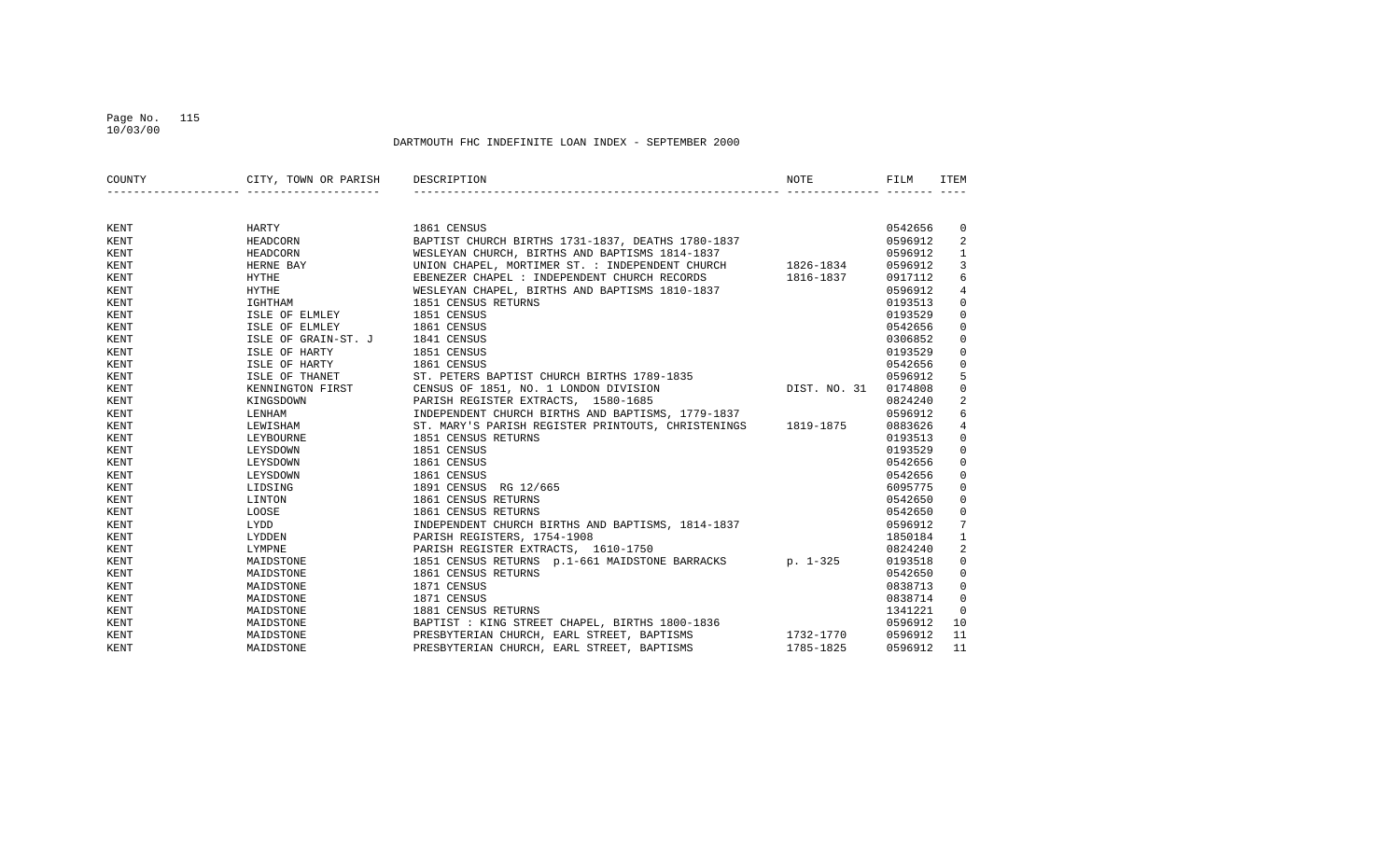## Page No. 115 10/03/00

| COUNTY | CITY, TOWN OR PARISH                           | DESCRIPTION                                                  | NOTE         | FILM    | <b>ITEM</b>    |
|--------|------------------------------------------------|--------------------------------------------------------------|--------------|---------|----------------|
|        |                                                |                                                              |              |         |                |
| KENT   | HARTY                                          | 1861 CENSUS                                                  |              | 0542656 | 0              |
| KENT   | HEADCORN                                       | BAPTIST CHURCH BIRTHS 1731-1837, DEATHS 1780-1837            |              | 0596912 | 2              |
| KENT   | HEADCORN                                       | WESLEYAN CHURCH, BIRTHS AND BAPTISMS 1814-1837               |              | 0596912 | $\mathbf{1}$   |
| KENT   | HERNE BAY                                      | UNION CHAPEL, MORTIMER ST. : INDEPENDENT CHURCH 1826-1834    |              | 0596912 | $\overline{3}$ |
| KENT   | <b>HYTHE</b>                                   | EBENEZER CHAPEL : INDEPENDENT CHURCH RECORDS                 | 1816-1837    | 0917112 | 6              |
| KENT   | <b>HYTHE</b>                                   | WESLEYAN CHAPEL, BIRTHS AND BAPTISMS 1810-1837               |              | 0596912 | 4              |
| KENT   | IGHTHAM                                        | 1851 CENSUS RETURNS                                          |              | 0193513 | $\mathbf 0$    |
| KENT   | ISLE OF ELMLEY                                 | 1851 CENSUS                                                  |              | 0193529 | $\mathbf 0$    |
| KENT   | ISLE OF ELMLEY                                 | 1861 CENSUS                                                  |              | 0542656 | $\mathbf 0$    |
| KENT   | ISLE OF GRAIN-ST. J                            | 1841 CENSUS                                                  |              | 0306852 | 0              |
| KENT   | ISLE OF HARTY                                  | 1851 CENSUS                                                  |              | 0193529 | 0              |
| KENT   | ISLE OF HARTY                                  | 1861 CENSUS                                                  |              | 0542656 | $\mathbf 0$    |
| KENT   | ISLE OF THANET<br>KENNINGTON FIRST<br>TIMBOONE | ST. PETERS BAPTIST CHURCH BIRTHS 1789-1835                   |              | 0596912 | 5              |
| KENT   |                                                | CENSUS OF 1851, NO. 1 LONDON DIVISION                        | DIST. NO. 31 | 0174808 | $\mathbf{0}$   |
| KENT   |                                                | PARISH REGISTER EXTRACTS, 1580-1685                          |              | 0824240 | 2              |
| KENT   | LENHAM                                         | INDEPENDENT CHURCH BIRTHS AND BAPTISMS, 1779-1837            |              | 0596912 | 6              |
| KENT   | LEWISHAM                                       | ST. MARY'S PARISH REGISTER PRINTOUTS, CHRISTENINGS 1819-1875 |              | 0883626 | 4              |
| KENT   | LEYBOURNE                                      | 1851 CENSUS RETURNS                                          |              | 0193513 | 0              |
| KENT   | LEYSDOWN                                       | 1851 CENSUS                                                  |              | 0193529 | $\mathbf 0$    |
| KENT   | LEYSDOWN                                       | 1861 CENSUS                                                  |              | 0542656 | $\mathbf{0}$   |
| KENT   | LEYSDOWN                                       | 1861 CENSUS                                                  |              | 0542656 | $\mathbf{0}$   |
| KENT   | LIDSING                                        | 1891 CENSUS RG 12/665                                        |              | 6095775 | $\mathbf{0}$   |
| KENT   | LINTON                                         | 1861 CENSUS RETURNS                                          |              | 0542650 | $\mathbf 0$    |
| KENT   | LOOSE                                          | 1861 CENSUS RETURNS                                          |              | 0542650 | $\mathbf 0$    |
| KENT   | LYDD                                           | INDEPENDENT CHURCH BIRTHS AND BAPTISMS, 1814-1837            |              | 0596912 | 7              |
| KENT   | LYDDEN                                         | PARISH REGISTERS, 1754-1908                                  |              | 1850184 | $\mathbf{1}$   |
| KENT   | LYMPNE                                         | PARISH REGISTER EXTRACTS, 1610-1750                          |              | 0824240 | $\overline{a}$ |
| KENT   | MAIDSTONE                                      | 1851 CENSUS RETURNS p.1-661 MAIDSTONE BARRACKS p. 1-325      |              | 0193518 | 0              |
| KENT   | MAIDSTONE                                      | 1861 CENSUS RETURNS                                          |              | 0542650 | 0              |
| KENT   | MAIDSTONE                                      | 1871 CENSUS                                                  |              | 0838713 | $\mathbf{0}$   |
| KENT   | MAIDSTONE                                      | 1871 CENSUS                                                  |              | 0838714 | $\mathbf{0}$   |
| KENT   | MAIDSTONE                                      | 1881 CENSUS RETURNS                                          |              | 1341221 | $\mathbf 0$    |
| KENT   | MAIDSTONE                                      | BAPTIST : KING STREET CHAPEL, BIRTHS 1800-1836               |              | 0596912 | 10             |
| KENT   | MAIDSTONE                                      | PRESBYTERIAN CHURCH, EARL STREET, BAPTISMS                   | 1732-1770    | 0596912 | 11             |
| KENT   | MAIDSTONE                                      | PRESBYTERIAN CHURCH, EARL STREET, BAPTISMS                   | 1785-1825    | 0596912 | 11             |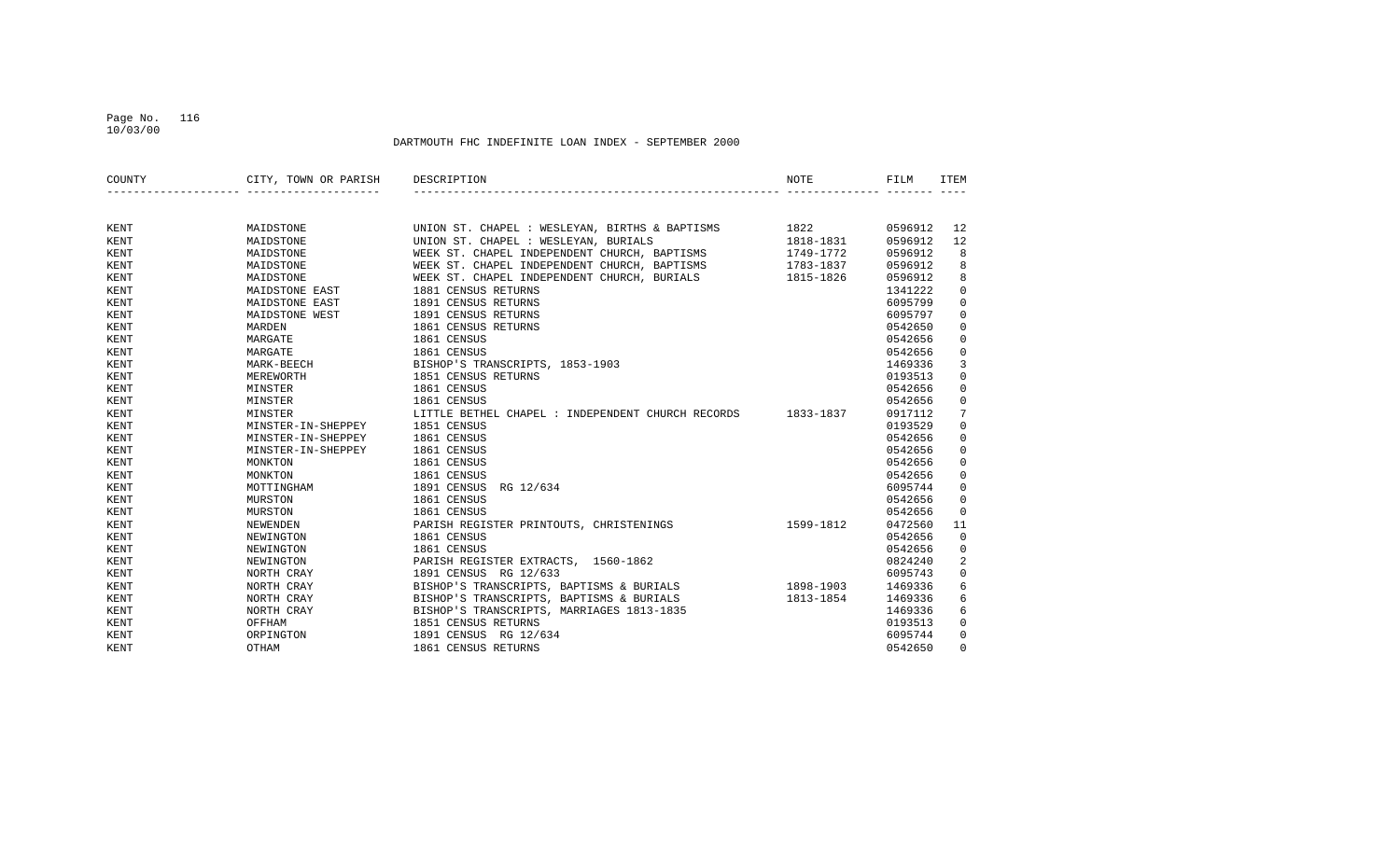## Page No. 116 10/03/00

| COUNTY      | CITY, TOWN OR PARISH | DESCRIPTION                                                 | NOTE      | FILM    | ITEM         |
|-------------|----------------------|-------------------------------------------------------------|-----------|---------|--------------|
|             |                      |                                                             |           |         |              |
| KENT        | MAIDSTONE            | UNION ST. CHAPEL : WESLEYAN, BIRTHS & BAPTISMS 1822         |           | 0596912 | 12           |
| KENT        | MAIDSTONE            | UNION ST. CHAPEL : WESLEYAN, BURIALS                        | 1818-1831 | 0596912 | 12           |
| KENT        | MAIDSTONE            | WEEK ST. CHAPEL INDEPENDENT CHURCH, BAPTISMS                | 1749-1772 | 0596912 | 8            |
| <b>KENT</b> | MAIDSTONE            | WEEK ST. CHAPEL INDEPENDENT CHURCH, BAPTISMS                | 1783-1837 | 0596912 | 8            |
| <b>KENT</b> | MAIDSTONE            | WEEK ST. CHAPEL INDEPENDENT CHURCH, BURIALS 1815-1826       |           | 0596912 | 8            |
| KENT        | MAIDSTONE EAST       | 1881 CENSUS RETURNS                                         |           | 1341222 | $\mathbf 0$  |
| KENT        | MAIDSTONE EAST       | 1891 CENSUS RETURNS                                         |           | 6095799 | $\mathbf 0$  |
| <b>KENT</b> | MAIDSTONE WEST       | 1891 CENSUS RETURNS                                         |           | 6095797 | $\mathbf 0$  |
| KENT        | MARDEN               | 1861 CENSUS RETURNS                                         |           | 0542650 | 0            |
| KENT        | MARGATE              | 1861 CENSUS                                                 |           | 0542656 | $\mathbf 0$  |
| KENT        | MARGATE              | 1861 CENSUS                                                 |           | 0542656 | $\mathbf 0$  |
| KENT        | MARK-BEECH           | BISHOP'S TRANSCRIPTS, 1853-1903                             |           | 1469336 | 3            |
| KENT        | MEREWORTH            | 1851 CENSUS RETURNS                                         |           | 0193513 | $\mathbf{0}$ |
| KENT        | MINSTER              | 1861 CENSUS                                                 |           | 0542656 | 0            |
| KENT        | MINSTER              | 1861 CENSUS                                                 |           | 0542656 | 0            |
| KENT        | MINSTER              | LITTLE BETHEL CHAPEL : INDEPENDENT CHURCH RECORDS 1833-1837 |           | 0917112 | 7            |
| <b>KENT</b> | MINSTER-IN-SHEPPEY   | 1851 CENSUS                                                 |           | 0193529 | $\mathbf 0$  |
| KENT        | MINSTER-IN-SHEPPEY   | 1861 CENSUS                                                 |           | 0542656 | $\mathbf 0$  |
| KENT        | MINSTER-IN-SHEPPEY   | 1861 CENSUS                                                 |           | 0542656 | $\mathbf 0$  |
| KENT        | MONKTON              | 1861 CENSUS                                                 |           | 0542656 | $\mathbf 0$  |
| <b>KENT</b> | MONKTON              | 1861 CENSUS                                                 |           | 0542656 | $\mathbf 0$  |
| KENT        | MOTTINGHAM           | 1891 CENSUS<br>RG 12/634                                    |           | 6095744 | $\mathbf 0$  |
| KENT        | MURSTON              | 1861 CENSUS                                                 |           | 0542656 | $\mathbf 0$  |
| KENT        | MURSTON              | 1861 CENSUS                                                 |           | 0542656 | $\mathbf 0$  |
| <b>KENT</b> | NEWENDEN             | PARISH REGISTER PRINTOUTS, CHRISTENINGS                     | 1599-1812 | 0472560 | 11           |
| KENT        | NEWINGTON            | 1861 CENSUS                                                 |           | 0542656 | $\mathbf 0$  |
| <b>KENT</b> | NEWINGTON            | 1861 CENSUS                                                 |           | 0542656 | 0            |
| KENT        | NEWINGTON            | PARISH REGISTER EXTRACTS, 1560-1862                         |           | 0824240 | 2            |
| <b>KENT</b> | NORTH CRAY           | 1891 CENSUS RG 12/633                                       |           | 6095743 | $\mathbf 0$  |
| <b>KENT</b> | NORTH CRAY           | BISHOP'S TRANSCRIPTS, BAPTISMS & BURIALS                    | 1898-1903 | 1469336 | 6            |
| KENT        | NORTH CRAY           | BISHOP'S TRANSCRIPTS, BAPTISMS & BURIALS                    | 1813-1854 | 1469336 | 6            |
| KENT        | NORTH CRAY           | BISHOP'S TRANSCRIPTS, MARRIAGES 1813-1835                   |           | 1469336 | 6            |
| KENT        | OFFHAM               | 1851 CENSUS RETURNS                                         |           | 0193513 | $\mathbf 0$  |
| KENT        | ORPINGTON            | 1891 CENSUS RG 12/634                                       |           | 6095744 | $\mathbf{0}$ |
| KENT        | OTHAM                | 1861 CENSUS RETURNS                                         |           | 0542650 | $\Omega$     |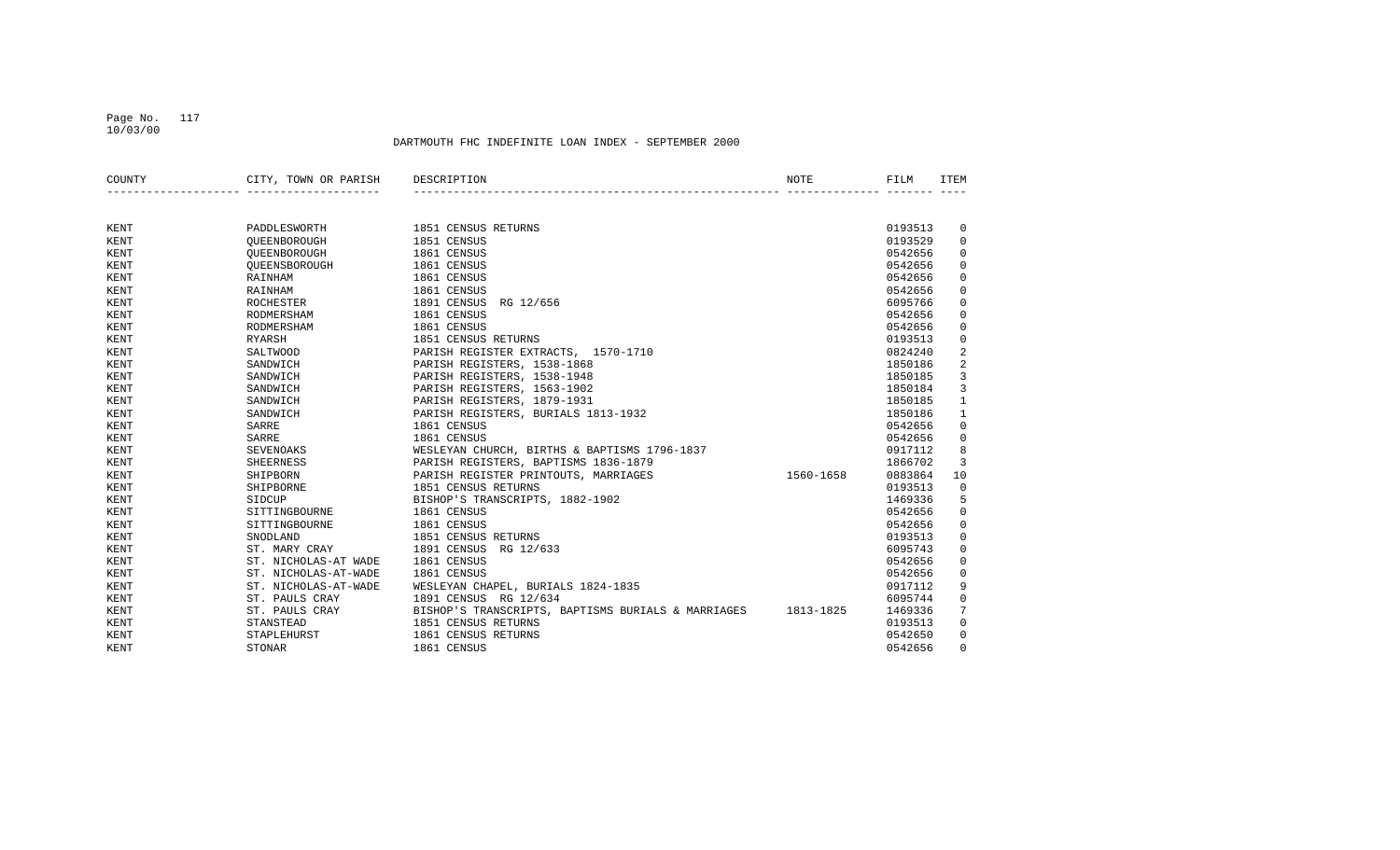## Page No. 117 10/03/00

| COUNTY      | CITY, TOWN OR PARISH | DESCRIPTION                                        | <b>NOTE</b> | FILM    | <b>ITEM</b>  |
|-------------|----------------------|----------------------------------------------------|-------------|---------|--------------|
|             |                      |                                                    |             |         |              |
| KENT        | PADDLESWORTH         | 1851 CENSUS RETURNS                                |             | 0193513 | $\mathbf 0$  |
| <b>KENT</b> | OUEENBOROUGH         | 1851 CENSUS                                        |             | 0193529 | $\mathbf 0$  |
| KENT        | OUEENBOROUGH         | 1861 CENSUS                                        |             | 0542656 | $\mathbf{0}$ |
| KENT        | OUEENSBOROUGH        | 1861 CENSUS                                        |             | 0542656 | $\mathbf 0$  |
| KENT        | RAINHAM              | 1861 CENSUS                                        |             | 0542656 | $\mathbf 0$  |
| <b>KENT</b> | RAINHAM              | 1861 CENSUS                                        |             | 0542656 | $\mathbf 0$  |
| <b>KENT</b> | ROCHESTER            | 1891 CENSUS<br>RG 12/656                           |             | 6095766 | 0            |
| KENT        | RODMERSHAM           | 1861 CENSUS                                        |             | 0542656 | $\mathbf 0$  |
| KENT        | RODMERSHAM           | 1861 CENSUS                                        |             | 0542656 | 0            |
| KENT        | RYARSH               | 1851 CENSUS RETURNS                                |             | 0193513 | $\mathbf 0$  |
| KENT        | SALTWOOD             | PARISH REGISTER EXTRACTS, 1570-1710                |             | 0824240 | 2            |
| KENT        | SANDWICH             | PARISH REGISTERS, 1538-1868                        |             | 1850186 | 2            |
| KENT        | SANDWICH             | PARISH REGISTERS, 1538-1948                        |             | 1850185 | 3            |
| KENT        | SANDWICH             | PARISH REGISTERS, 1563-1902                        |             | 1850184 | 3            |
| KENT        | SANDWICH             | PARISH REGISTERS, 1879-1931                        |             | 1850185 | 1            |
| <b>KENT</b> | SANDWICH             | PARISH REGISTERS, BURIALS 1813-1932                |             | 1850186 | $\mathbf{1}$ |
| <b>KENT</b> | SARRE                | 1861 CENSUS                                        |             | 0542656 | 0            |
| KENT        | SARRE                | 1861 CENSUS                                        |             | 0542656 | 0            |
| KENT        | SEVENOAKS            | WESLEYAN CHURCH, BIRTHS & BAPTISMS 1796-1837       |             | 0917112 | 8            |
| KENT        | SHEERNESS            | PARISH REGISTERS, BAPTISMS 1836-1879               |             | 1866702 | 3            |
| <b>KENT</b> | SHIPBORN             | PARISH REGISTER PRINTOUTS, MARRIAGES               | 1560-1658   | 0883864 | 10           |
| KENT        | SHIPBORNE            | 1851 CENSUS RETURNS                                |             | 0193513 | $\mathbf 0$  |
| KENT        | SIDCUP               | BISHOP'S TRANSCRIPTS, 1882-1902                    |             | 1469336 | 5            |
| KENT        | SITTINGBOURNE        | 1861 CENSUS                                        |             | 0542656 | $\mathbf 0$  |
| <b>KENT</b> | SITTINGBOURNE        | 1861 CENSUS                                        |             | 0542656 | 0            |
| <b>KENT</b> | SNODLAND             | 1851 CENSUS RETURNS                                |             | 0193513 | 0            |
| <b>KENT</b> | ST. MARY CRAY        | 1891 CENSUS<br>RG 12/633                           |             | 6095743 | 0            |
| KENT        | ST. NICHOLAS-AT WADE | 1861 CENSUS                                        |             | 0542656 | $\mathbf 0$  |
| KENT        | ST. NICHOLAS-AT-WADE | 1861 CENSUS                                        |             | 0542656 | $\mathbf 0$  |
| <b>KENT</b> | ST. NICHOLAS-AT-WADE | WESLEYAN CHAPEL, BURIALS 1824-1835                 |             | 0917112 | 9            |
| KENT        | ST. PAULS CRAY       | 1891 CENSUS RG 12/634                              |             | 6095744 | $\mathbf 0$  |
| KENT        | ST. PAULS CRAY       | BISHOP'S TRANSCRIPTS, BAPTISMS BURIALS & MARRIAGES | 1813-1825   | 1469336 | 7            |
| KENT        | STANSTEAD            | 1851 CENSUS RETURNS                                |             | 0193513 | $\mathbf 0$  |
| KENT        | STAPLEHURST          | 1861 CENSUS RETURNS                                |             | 0542650 | $\mathbf 0$  |
| KENT        | <b>STONAR</b>        | 1861 CENSUS                                        |             | 0542656 | $\Omega$     |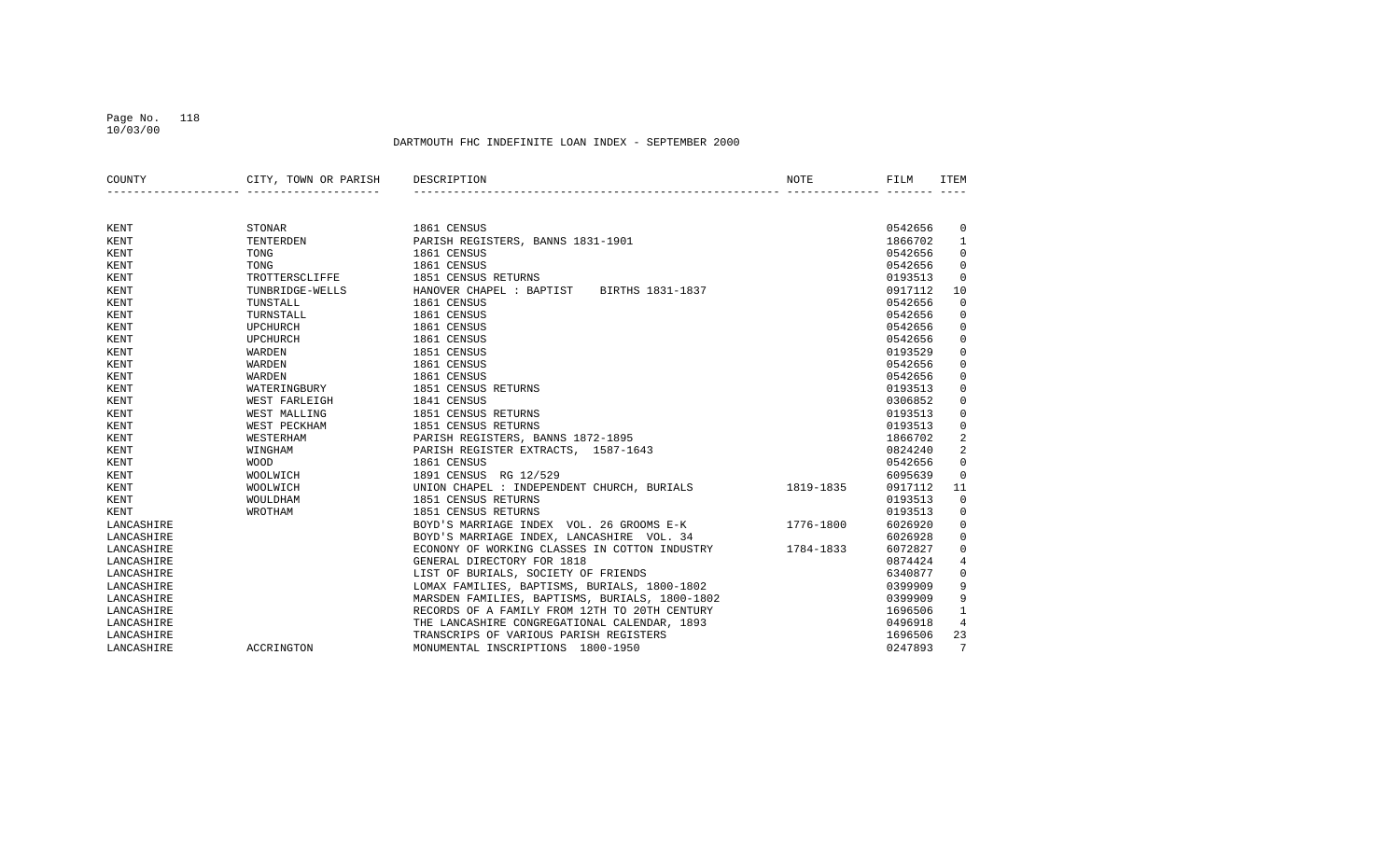## Page No. 118 10/03/00

| COUNTY      | CITY, TOWN OR PARISH | DESCRIPTION                                    | NOTE      | FILM    | <b>ITEM</b> |
|-------------|----------------------|------------------------------------------------|-----------|---------|-------------|
|             |                      |                                                |           |         |             |
| KENT        | <b>STONAR</b>        | 1861 CENSUS                                    |           | 0542656 | 0           |
| KENT        | TENTERDEN            | PARISH REGISTERS, BANNS 1831-1901              |           | 1866702 | 1           |
| KENT        | TONG                 | 1861 CENSUS                                    |           | 0542656 | $\mathbf 0$ |
| KENT        | TONG                 | 1861 CENSUS                                    |           | 0542656 | $\mathbf 0$ |
| <b>KENT</b> | TROTTERSCLIFFE       | 1851 CENSUS RETURNS                            |           | 0193513 | $\Omega$    |
| KENT        | TUNBRIDGE-WELLS      | HANOVER CHAPEL : BAPTIST<br>BIRTHS 1831-1837   |           | 0917112 | 10          |
| KENT        | TUNSTALL             | 1861 CENSUS                                    |           | 0542656 | $\mathbf 0$ |
| KENT        | TURNSTALL            | 1861 CENSUS                                    |           | 0542656 | 0           |
| KENT        | <b>UPCHURCH</b>      | 1861 CENSUS                                    |           | 0542656 | 0           |
| KENT        | <b>UPCHURCH</b>      | 1861 CENSUS                                    |           | 0542656 | 0           |
| KENT        | WARDEN               | 1851 CENSUS                                    |           | 0193529 | 0           |
| KENT        | WARDEN               | 1861 CENSUS                                    |           | 0542656 | 0           |
| KENT        | WARDEN               | 1861 CENSUS                                    |           | 0542656 | $\mathbf 0$ |
| KENT        | WATERINGBURY         | 1851 CENSUS RETURNS                            |           | 0193513 | 0           |
| KENT        | WEST FARLEIGH        | 1841 CENSUS                                    |           | 0306852 | 0           |
| KENT        | WEST MALLING         | 1851 CENSUS RETURNS                            |           | 0193513 | 0           |
| KENT        | WEST PECKHAM         | 1851 CENSUS RETURNS                            |           | 0193513 | 0           |
| KENT        | WESTERHAM            | PARISH REGISTERS, BANNS 1872-1895              |           | 1866702 | 2           |
| <b>KENT</b> | WINGHAM              | PARISH REGISTER EXTRACTS, 1587-1643            |           | 0824240 | 2           |
| KENT        | <b>WOOD</b>          | 1861 CENSUS                                    |           | 0542656 | $\Omega$    |
| KENT        | WOOLWICH             | 1891 CENSUS<br>RG 12/529                       |           | 6095639 | $\Omega$    |
| KENT        | WOOLWICH             | UNION CHAPEL : INDEPENDENT CHURCH, BURIALS     | 1819-1835 | 0917112 | 11          |
| KENT        | WOULDHAM             | 1851 CENSUS RETURNS                            |           | 0193513 | $\mathbf 0$ |
| KENT        | WROTHAM              | 1851 CENSUS RETURNS                            |           | 0193513 | 0           |
| LANCASHIRE  |                      | BOYD'S MARRIAGE INDEX VOL. 26 GROOMS E-K       | 1776-1800 | 6026920 | 0           |
| LANCASHIRE  |                      | BOYD'S MARRIAGE INDEX, LANCASHIRE VOL. 34      |           | 6026928 | 0           |
| LANCASHIRE  |                      | ECONONY OF WORKING CLASSES IN COTTON INDUSTRY  | 1784-1833 | 6072827 | 0           |
| LANCASHIRE  |                      | GENERAL DIRECTORY FOR 1818                     |           | 0874424 | 4           |
| LANCASHIRE  |                      | LIST OF BURIALS, SOCIETY OF FRIENDS            |           | 6340877 | 0           |
| LANCASHIRE  |                      | LOMAX FAMILIES, BAPTISMS, BURIALS, 1800-1802   |           | 0399909 | 9           |
| LANCASHIRE  |                      | MARSDEN FAMILIES, BAPTISMS, BURIALS, 1800-1802 |           | 0399909 | 9           |
| LANCASHIRE  |                      | RECORDS OF A FAMILY FROM 12TH TO 20TH CENTURY  |           | 1696506 | 1           |
| LANCASHIRE  |                      | THE LANCASHIRE CONGREGATIONAL CALENDAR, 1893   |           | 0496918 | 4           |
| LANCASHIRE  |                      | TRANSCRIPS OF VARIOUS PARISH REGISTERS         |           | 1696506 | 23          |
| LANCASHIRE  | ACCRINGTON           | MONUMENTAL INSCRIPTIONS 1800-1950              |           | 0247893 | 7           |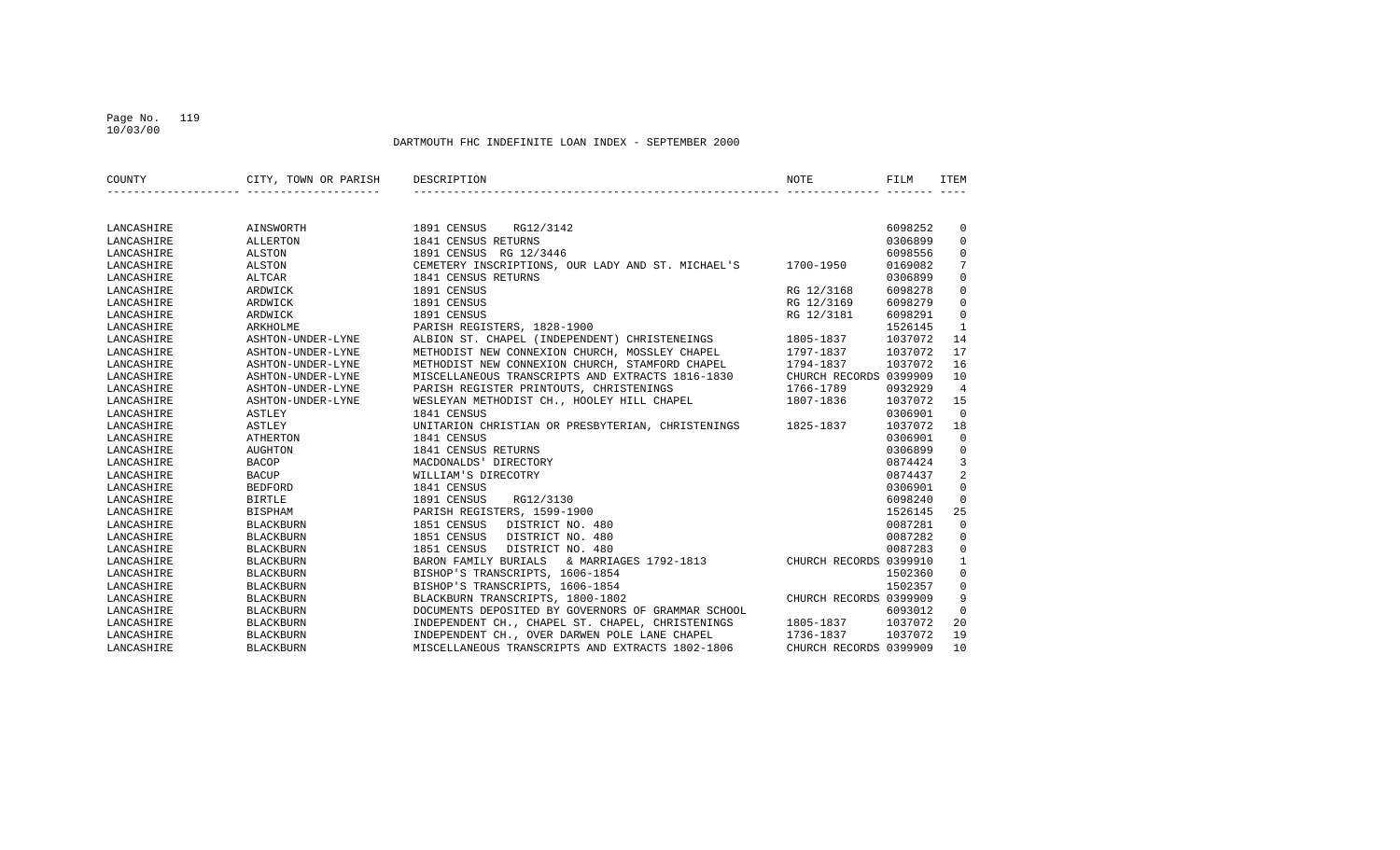## Page No. 119 10/03/00

| COUNTY                   | CITY, TOWN OR PARISH         | DESCRIPTION<br>NOTE                                            |                        | FILM    | <b>ITEM</b>    |
|--------------------------|------------------------------|----------------------------------------------------------------|------------------------|---------|----------------|
|                          |                              |                                                                |                        |         |                |
|                          |                              | 1891 CENSUS RG12/3142                                          |                        | 6098252 | $\mathbf 0$    |
| LANCASHIRE<br>LANCASHIRE | AINSWORTH<br><b>ALLERTON</b> | 1841 CENSUS RETURNS                                            |                        | 0306899 | $\mathbf 0$    |
| LANCASHIRE               | ALSTON                       | 1891 CENSUS RG 12/3446                                         |                        | 6098556 | $\mathbf{0}$   |
|                          | <b>ALSTON</b>                | CEMETERY INSCRIPTIONS, OUR LADY AND ST. MICHAEL'S<br>1700-1950 |                        | 0169082 | 7              |
| LANCASHIRE               |                              |                                                                |                        | 0306899 |                |
| LANCASHIRE               | ALTCAR                       | 1841 CENSUS RETURNS<br>1891 CENSUS                             |                        | 6098278 | $\mathbf 0$    |
| LANCASHIRE               | ARDWICK                      | RG 12/3168                                                     |                        |         | $\mathbf 0$    |
| LANCASHIRE               | ARDWICK                      | 1891 CENSUS<br>RG 12/3169                                      |                        | 6098279 | $\mathbf 0$    |
| LANCASHIRE               | ARDWICK                      | 1891 CENSUS<br>RG 12/3181                                      |                        | 6098291 | $\mathbf 0$    |
| LANCASHIRE               | ARKHOLME                     | PARISH REGISTERS, 1828-1900                                    |                        | 1526145 | $\mathbf{1}$   |
| LANCASHIRE               | ASHTON-UNDER-LYNE            | ALBION ST. CHAPEL (INDEPENDENT) CHRISTENEINGS<br>1805-1837     |                        | 1037072 | 14             |
| LANCASHIRE               | ASHTON-UNDER-LYNE            | METHODIST NEW CONNEXION CHURCH, MOSSLEY CHAPEL<br>1797-1837    |                        | 1037072 | 17             |
| LANCASHIRE               | ASHTON-UNDER-LYNE            | METHODIST NEW CONNEXION CHURCH, STAMFORD CHAPEL<br>1794-1837   |                        | 1037072 | 16             |
| LANCASHIRE               | ASHTON-UNDER-LYNE            | MISCELLANEOUS TRANSCRIPTS AND EXTRACTS 1816-1830               | CHURCH RECORDS 0399909 |         | 10             |
| LANCASHIRE               | ASHTON-UNDER-LYNE            | PARISH REGISTER PRINTOUTS, CHRISTENINGS<br>1766-1789           |                        | 0932929 | $\overline{4}$ |
| LANCASHIRE               | ASHTON-UNDER-LYNE            | WESLEYAN METHODIST CH., HOOLEY HILL CHAPEL<br>1807-1836        |                        | 1037072 | 15             |
| LANCASHIRE               | ASTLEY                       | 1841 CENSUS                                                    |                        | 0306901 | $\overline{0}$ |
| LANCASHIRE               | ASTLEY                       | UNITARION CHRISTIAN OR PRESBYTERIAN, CHRISTENINGS 1825-1837    |                        | 1037072 | 18             |
| LANCASHIRE               | <b>ATHERTON</b>              | 1841 CENSUS                                                    |                        | 0306901 | $\Omega$       |
| LANCASHIRE               | AUGHTON                      | 1841 CENSUS RETURNS                                            |                        | 0306899 | $\mathbf 0$    |
| LANCASHIRE               | <b>BACOP</b>                 | MACDONALDS' DIRECTORY                                          |                        | 0874424 | 3              |
| LANCASHIRE               | <b>BACUP</b>                 | WILLIAM'S DIRECOTRY                                            |                        | 0874437 | 2              |
| LANCASHIRE               | <b>BEDFORD</b>               | 1841 CENSUS                                                    |                        | 0306901 | $\mathbf 0$    |
| LANCASHIRE               | <b>BIRTLE</b>                | 1891 CENSUS<br>RG12/3130                                       |                        | 6098240 | $\mathbf 0$    |
| LANCASHIRE               | <b>BISPHAM</b>               | PARISH REGISTERS, 1599-1900                                    |                        | 1526145 | 25             |
| LANCASHIRE               | <b>BLACKBURN</b>             | 1851 CENSUS<br>DISTRICT NO. 480                                |                        | 0087281 | $\mathbf 0$    |
| LANCASHIRE               | <b>BLACKBURN</b>             | 1851 CENSUS<br>DISTRICT NO. 480                                |                        | 0087282 | $\mathbf 0$    |
| LANCASHIRE               | <b>BLACKBURN</b>             | 1851 CENSUS<br>DISTRICT NO. 480                                |                        | 0087283 | $\mathbf 0$    |
| LANCASHIRE               | <b>BLACKBURN</b>             | BARON FAMILY BURIALS & MARRIAGES 1792-1813                     | CHURCH RECORDS 0399910 |         | $\mathbf{1}$   |
| LANCASHIRE               | <b>BLACKBURN</b>             | BISHOP'S TRANSCRIPTS, 1606-1854                                |                        | 1502360 | $\mathbf 0$    |
| LANCASHIRE               | <b>BLACKBURN</b>             | BISHOP'S TRANSCRIPTS, 1606-1854                                |                        | 1502357 | $\mathbf 0$    |
| LANCASHIRE               | <b>BLACKBURN</b>             | BLACKBURN TRANSCRIPTS, 1800-1802                               | CHURCH RECORDS 0399909 |         | 9              |
| LANCASHIRE               | <b>BLACKBURN</b>             | DOCUMENTS DEPOSITED BY GOVERNORS OF GRAMMAR SCHOOL             |                        | 6093012 | $\mathbf 0$    |
| LANCASHIRE               | <b>BLACKBURN</b>             | INDEPENDENT CH., CHAPEL ST. CHAPEL, CHRISTENINGS<br>1805-1837  |                        | 1037072 | 20             |
| LANCASHIRE               | <b>BLACKBURN</b>             | INDEPENDENT CH., OVER DARWEN POLE LANE CHAPEL<br>1736-1837     |                        | 1037072 | 19             |
| LANCASHIRE               | <b>BLACKBURN</b>             | MISCELLANEOUS TRANSCRIPTS AND EXTRACTS 1802-1806               | CHURCH RECORDS 0399909 |         | 10             |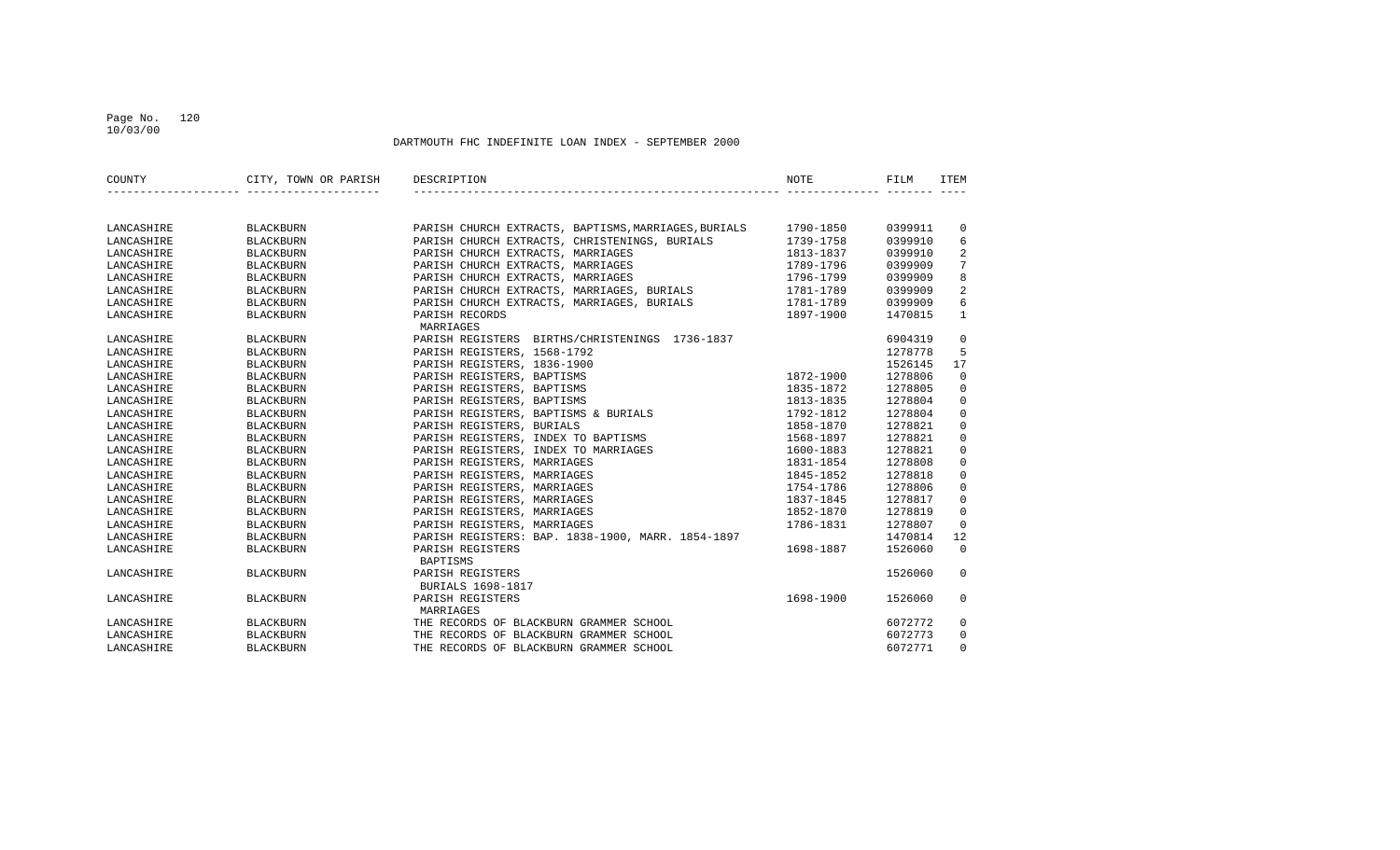## Page No. 120 10/03/00

| COUNTY     | CITY, TOWN OR PARISH | DESCRIPTION                                          | <b>NOTE</b> | FILM    | ITEM           |
|------------|----------------------|------------------------------------------------------|-------------|---------|----------------|
|            |                      |                                                      |             |         |                |
|            |                      |                                                      |             |         |                |
| LANCASHIRE | <b>BLACKBURN</b>     | PARISH CHURCH EXTRACTS, BAPTISMS, MARRIAGES, BURIALS | 1790-1850   | 0399911 | $\mathbf 0$    |
| LANCASHIRE | <b>BLACKBURN</b>     | PARISH CHURCH EXTRACTS, CHRISTENINGS, BURIALS        | 1739-1758   | 0399910 | 6              |
| LANCASHIRE | <b>BLACKBURN</b>     | PARISH CHURCH EXTRACTS, MARRIAGES                    | 1813-1837   | 0399910 | 2              |
| LANCASHIRE | <b>BLACKBURN</b>     | PARISH CHURCH EXTRACTS, MARRIAGES                    | 1789-1796   | 0399909 | 7              |
| LANCASHIRE | <b>BLACKBURN</b>     | PARISH CHURCH EXTRACTS, MARRIAGES                    | 1796-1799   | 0399909 | 8              |
| LANCASHIRE | <b>BLACKBURN</b>     | PARISH CHURCH EXTRACTS, MARRIAGES, BURIALS           | 1781-1789   | 0399909 | 2              |
| LANCASHIRE | <b>BLACKBURN</b>     | PARISH CHURCH EXTRACTS, MARRIAGES, BURIALS           | 1781-1789   | 0399909 | 6              |
| LANCASHIRE | <b>BLACKBURN</b>     | PARISH RECORDS                                       | 1897-1900   | 1470815 | $\mathbf{1}$   |
|            |                      | MARRIAGES                                            |             |         |                |
| LANCASHIRE | <b>BLACKBURN</b>     | PARISH REGISTERS BIRTHS/CHRISTENINGS 1736-1837       |             | 6904319 | 0              |
| LANCASHIRE | <b>BLACKBURN</b>     | PARISH REGISTERS, 1568-1792                          |             | 1278778 | 5              |
| LANCASHIRE | <b>BLACKBURN</b>     | PARISH REGISTERS, 1836-1900                          |             | 1526145 | 17             |
| LANCASHIRE | <b>BLACKBURN</b>     | PARISH REGISTERS, BAPTISMS                           | 1872-1900   | 1278806 | $\mathbf 0$    |
| LANCASHIRE | <b>BLACKBURN</b>     | PARISH REGISTERS, BAPTISMS                           | 1835-1872   | 1278805 | $\mathbf 0$    |
| LANCASHIRE | <b>BLACKBURN</b>     | PARISH REGISTERS, BAPTISMS                           | 1813-1835   | 1278804 | 0              |
| LANCASHIRE | <b>BLACKBURN</b>     | PARISH REGISTERS, BAPTISMS & BURIALS                 | 1792-1812   | 1278804 | $\mathbf 0$    |
| LANCASHIRE | <b>BLACKBURN</b>     | PARISH REGISTERS, BURIALS                            | 1858-1870   | 1278821 | $\mathbf 0$    |
| LANCASHIRE | <b>BLACKBURN</b>     | PARISH REGISTERS, INDEX TO BAPTISMS                  | 1568-1897   | 1278821 | $\mathbf 0$    |
| LANCASHIRE | <b>BLACKBURN</b>     | PARISH REGISTERS, INDEX TO MARRIAGES                 | 1600-1883   | 1278821 | $\mathbf 0$    |
| LANCASHIRE | <b>BLACKBURN</b>     | PARISH REGISTERS, MARRIAGES                          | 1831-1854   | 1278808 | $\mathbf 0$    |
| LANCASHIRE | <b>BLACKBURN</b>     | PARISH REGISTERS, MARRIAGES                          | 1845-1852   | 1278818 | $\mathbf 0$    |
| LANCASHIRE | <b>BLACKBURN</b>     | PARISH REGISTERS, MARRIAGES                          | 1754-1786   | 1278806 | $\mathbf 0$    |
| LANCASHIRE | <b>BLACKBURN</b>     | PARISH REGISTERS, MARRIAGES                          | 1837-1845   | 1278817 | $\mathbf 0$    |
| LANCASHIRE | <b>BLACKBURN</b>     | PARISH REGISTERS, MARRIAGES                          | 1852-1870   | 1278819 | $\Omega$       |
| LANCASHIRE | <b>BLACKBURN</b>     | PARISH REGISTERS, MARRIAGES                          | 1786-1831   | 1278807 | $\overline{0}$ |
| LANCASHIRE | <b>BLACKBURN</b>     | PARISH REGISTERS: BAP. 1838-1900, MARR. 1854-1897    |             | 1470814 | 12             |
| LANCASHIRE | <b>BLACKBURN</b>     | PARISH REGISTERS                                     | 1698-1887   | 1526060 | $\Omega$       |
|            |                      | BAPTISMS                                             |             |         |                |
| LANCASHIRE | <b>BLACKBURN</b>     | PARISH REGISTERS                                     |             | 1526060 | $\Omega$       |
|            |                      | <b>BURIALS 1698-1817</b>                             |             |         |                |
| LANCASHIRE | <b>BLACKBURN</b>     | PARISH REGISTERS                                     | 1698-1900   | 1526060 | $\Omega$       |
|            |                      | MARRIAGES                                            |             |         |                |
| LANCASHIRE | <b>BLACKBURN</b>     | THE RECORDS OF BLACKBURN GRAMMER SCHOOL              |             | 6072772 | $\mathbf 0$    |
| LANCASHIRE | <b>BLACKBURN</b>     | THE RECORDS OF BLACKBURN GRAMMER SCHOOL              |             | 6072773 | $\Omega$       |
| LANCASHIRE | <b>BLACKBURN</b>     | THE RECORDS OF BLACKBURN GRAMMER SCHOOL              |             | 6072771 | $\Omega$       |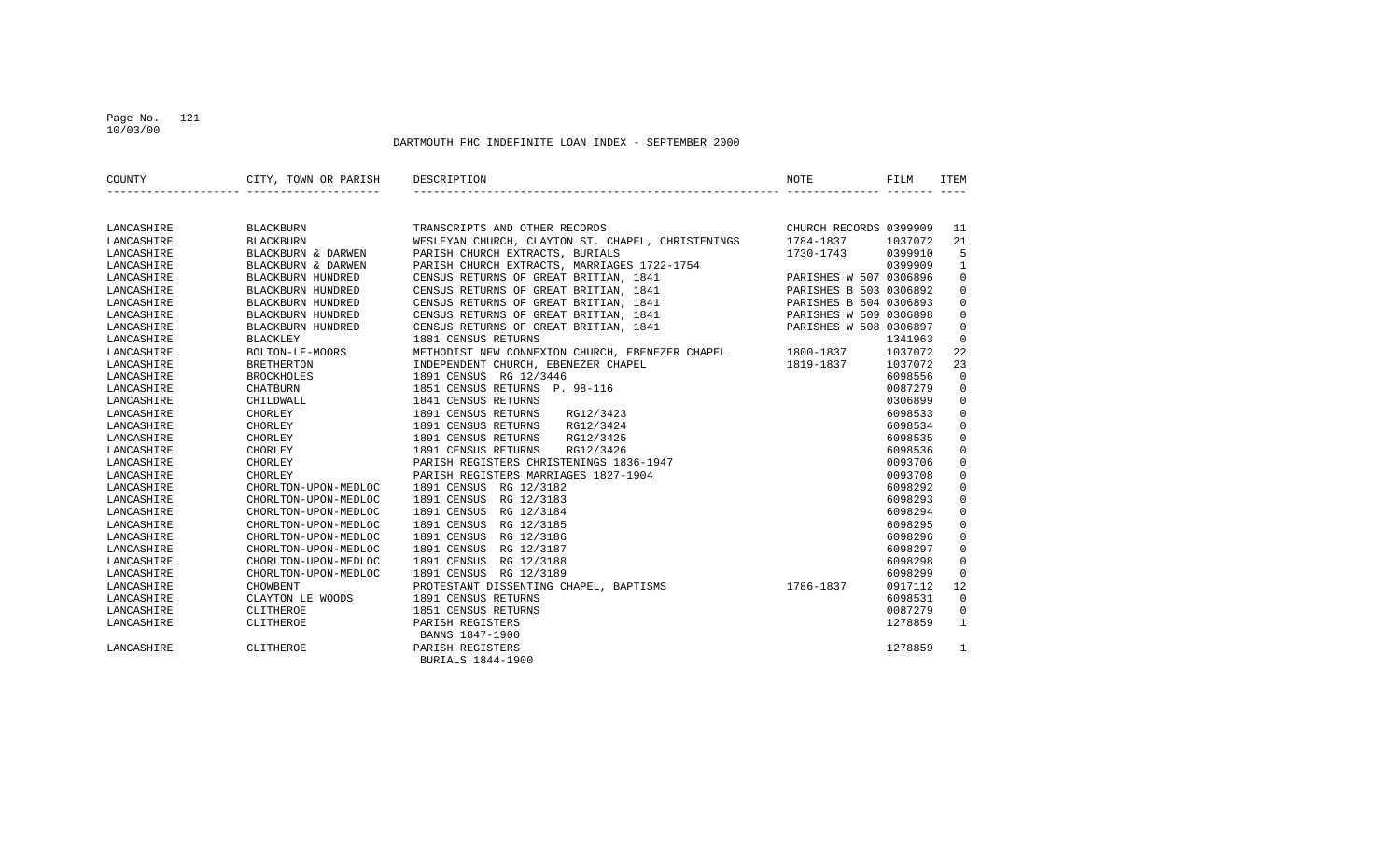## Page No. 121 10/03/00

| COUNTY     | CITY, TOWN OR PARISH DESCRIPTION |                                                                                                                                                                                                  | NOTE      | FILM    | ITEM           |
|------------|----------------------------------|--------------------------------------------------------------------------------------------------------------------------------------------------------------------------------------------------|-----------|---------|----------------|
|            |                                  |                                                                                                                                                                                                  |           |         |                |
| LANCASHIRE | BLACKBURN                        | TRANSCRIPTS AND OTHER RECORDS<br>WESLEYAN CHURCH, CLAYTON ST. CHAPEL, CHRISTENINGS 1784-1837 1037072                                                                                             |           |         | 11             |
| LANCASHIRE | BLACKBURN                        |                                                                                                                                                                                                  |           |         | 21             |
| LANCASHIRE | BLACKBURN & DARWEN               | PARISH CHURCH EXTRACTS, BURIALS                                                                                                                                                                  | 1730-1743 | 0399910 | 5              |
| LANCASHIRE | BLACKBURN & DARWEN               | PARISH CHURCH EXTRACTS, BURIALS<br>PARISH CHURCH EXTRACTS, MARRIAGES 1722-1754<br>-1754<br>0399909 0399909<br>PARISHES W 507 0306896                                                             |           |         | 1              |
| LANCASHIRE | BLACKBURN HUNDRED                | CENSUS RETURNS OF GREAT BRITIAN, 1841                                                                                                                                                            |           |         | $\mathbf 0$    |
| LANCASHIRE | BLACKBURN HUNDRED                | CENSUS RETURNS OF GREAT BRITIAN, 1841 PARISHES B 503 0306892                                                                                                                                     |           |         | $\mathbf 0$    |
| LANCASHIRE | BLACKBURN HUNDRED                |                                                                                                                                                                                                  |           |         | 0              |
| LANCASHIRE | BLACKBURN HUNDRED                | CENSUS RETURNS OF GREAT BRITIAN, 1841 (PARISHES B 504 0306893)<br>CENSUS RETURNS OF GREAT BRITIAN, 1841 (PARISHES W 509 0306898<br>CENSUS RETURNS OF GREAT BRITIAN, 1841 (PARISHES W 508 0306897 |           |         | $\mathbf 0$    |
| LANCASHIRE | BLACKBURN HUNDRED                |                                                                                                                                                                                                  |           |         | $\mathbf 0$    |
| LANCASHIRE | <b>BLACKLEY</b>                  | 1881 CENSUS RETURNS                                                                                                                                                                              |           | 1341963 | 0              |
| LANCASHIRE | BOLTON-LE-MOORS                  | METHODIST NEW CONNEXION CHURCH, EBENEZER CHAPEL 1800-1837                                                                                                                                        |           | 1037072 | 22             |
| LANCASHIRE | <b>BRETHERTON</b>                | INDEPENDENT CHURCH, EBENEZER CHAPEL<br>1819-1837                                                                                                                                                 |           | 1037072 | 23             |
| LANCASHIRE | BROCKHOLES                       | 1891 CENSUS RG 12/3446                                                                                                                                                                           |           | 6098556 | $\overline{0}$ |
| LANCASHIRE | CHATBURN                         | 1851 CENSUS RETURNS P. 98-116                                                                                                                                                                    |           | 0087279 | $\mathbf 0$    |
| LANCASHIRE | CHILDWALL                        | 1841 CENSUS RETURNS                                                                                                                                                                              |           | 0306899 | $\mathbf 0$    |
| LANCASHIRE | CHORLEY                          | 1891 CENSUS RETURNS<br>RG12/3423                                                                                                                                                                 |           | 6098533 | $\mathbf 0$    |
| LANCASHIRE | CHORLEY                          | 1891 CENSUS RETURNS<br>RG12/3424                                                                                                                                                                 |           | 6098534 | $\mathbf 0$    |
| LANCASHIRE | CHORLEY                          | 1891 CENSUS RETURNS<br>RG12/3425                                                                                                                                                                 |           | 6098535 | 0              |
| LANCASHIRE | CHORLEY                          | 1891 CENSUS RETURNS<br>RG12/3426                                                                                                                                                                 |           | 6098536 | 0              |
| LANCASHIRE | CHORLEY                          | PARISH REGISTERS CHRISTENINGS 1836-1947                                                                                                                                                          |           | 0093706 | $\mathbf 0$    |
| LANCASHIRE | CHORLEY                          | PARISH REGISTERS MARRIAGES 1827-1904                                                                                                                                                             |           | 0093708 | $\mathbf 0$    |
| LANCASHIRE | CHORLTON-UPON-MEDLOC             | 1891 CENSUS RG 12/3182                                                                                                                                                                           |           | 6098292 | $\mathbf 0$    |
| LANCASHIRE | CHORLTON-UPON-MEDLOC             | 1891 CENSUS RG 12/3183                                                                                                                                                                           |           | 6098293 | $\mathbf 0$    |
| LANCASHIRE | CHORLTON-UPON-MEDLOC             | 1891 CENSUS RG 12/3184                                                                                                                                                                           |           | 6098294 | $\mathbf 0$    |
| LANCASHIRE | CHORLTON-UPON-MEDLOC             | 1891 CENSUS RG 12/3185                                                                                                                                                                           |           | 6098295 | 0              |
| LANCASHIRE | CHORLTON-UPON-MEDLOC             | 1891 CENSUS RG 12/3186                                                                                                                                                                           |           | 6098296 | $\mathbf 0$    |
| LANCASHIRE | CHORLTON-UPON-MEDLOC             | 1891 CENSUS<br>RG 12/3187                                                                                                                                                                        |           | 6098297 | $\Omega$       |
| LANCASHIRE | CHORLTON-UPON-MEDLOC             | 1891 CENSUS<br>RG 12/3188                                                                                                                                                                        |           | 6098298 | $\mathbf 0$    |
| LANCASHIRE | CHORLTON-UPON-MEDLOC             | 1891 CENSUS RG 12/3189                                                                                                                                                                           |           | 6098299 | $\mathbf 0$    |
| LANCASHIRE | <b>CHOWBENT</b>                  | PROTESTANT DISSENTING CHAPEL, BAPTISMS 1786-1837                                                                                                                                                 |           | 0917112 | 12             |
| LANCASHIRE | CLAYTON LE WOODS                 | 1891 CENSUS RETURNS                                                                                                                                                                              |           | 6098531 | $\overline{0}$ |
| LANCASHIRE | CLITHEROE                        | 1851 CENSUS RETURNS                                                                                                                                                                              |           | 0087279 | $\mathbf 0$    |
| LANCASHIRE | CLITHEROE                        | PARISH REGISTERS                                                                                                                                                                                 |           | 1278859 | $\mathbf{1}$   |
|            |                                  | BANNS 1847-1900                                                                                                                                                                                  |           |         |                |
| LANCASHIRE | CLITHEROE                        | PARISH REGISTERS<br>BURIALS 1844-1900                                                                                                                                                            |           | 1278859 | 1              |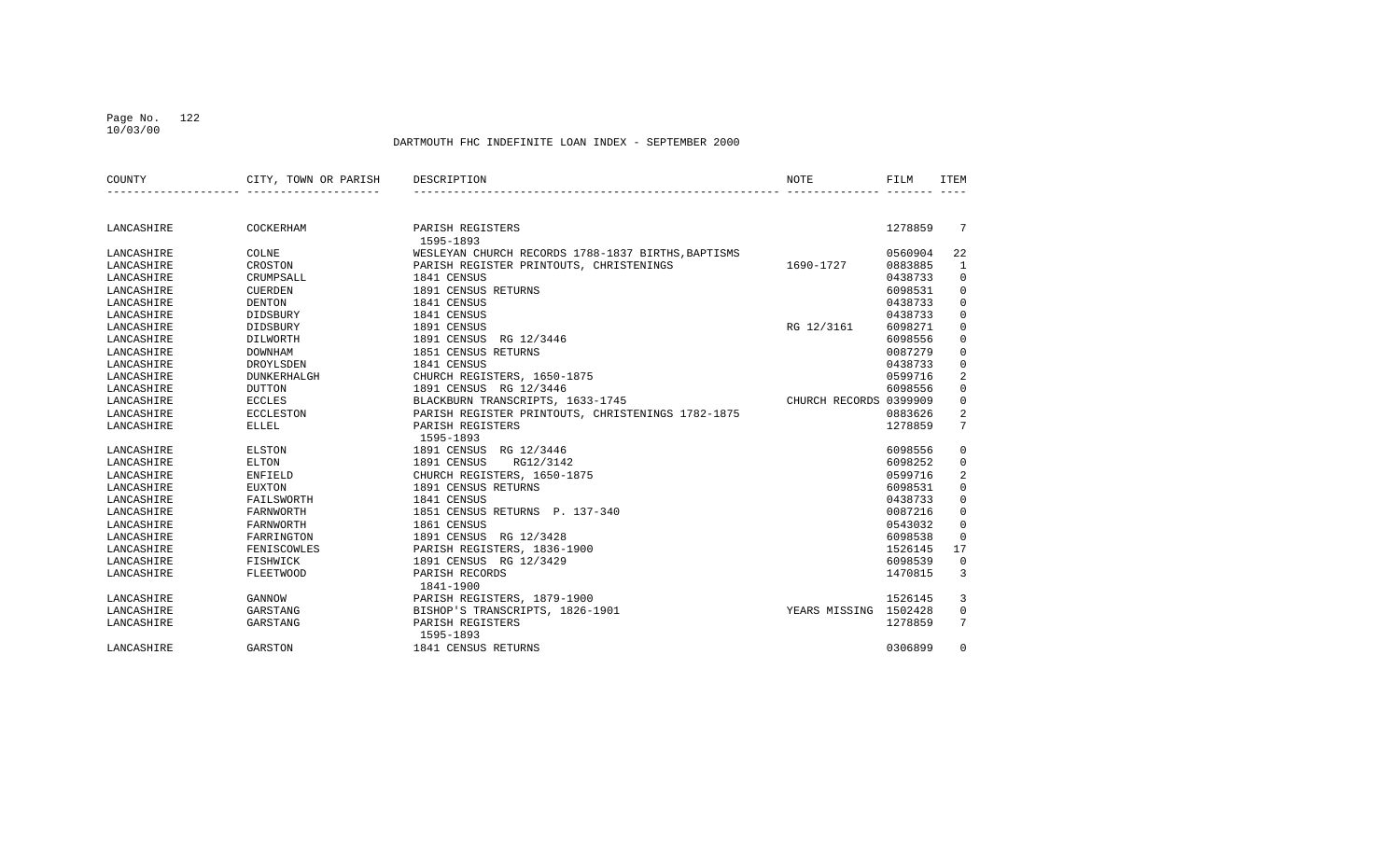## Page No. 122 10/03/00

| COUNTY     | CITY, TOWN OR PARISH | DESCRIPTION                                        | NOTE                   | FILM    | <b>TTEM</b>    |
|------------|----------------------|----------------------------------------------------|------------------------|---------|----------------|
|            |                      |                                                    |                        |         |                |
| LANCASHIRE | COCKERHAM            | PARISH REGISTERS<br>1595-1893                      |                        | 1278859 | 7              |
| LANCASHIRE | COLNE                | WESLEYAN CHURCH RECORDS 1788-1837 BIRTHS, BAPTISMS |                        | 0560904 | 22             |
| LANCASHIRE | CROSTON              | PARISH REGISTER PRINTOUTS, CHRISTENINGS            | 1690-1727              | 0883885 | 1              |
| LANCASHIRE | CRUMPSALL            | 1841 CENSUS                                        |                        | 0438733 | $\mathbf 0$    |
| LANCASHIRE | <b>CUERDEN</b>       | 1891 CENSUS RETURNS                                |                        | 6098531 | $\mathbf 0$    |
| LANCASHIRE | <b>DENTON</b>        | 1841 CENSUS                                        |                        | 0438733 | 0              |
| LANCASHIRE | DIDSBURY             | 1841 CENSUS                                        |                        | 0438733 | $\mathbf 0$    |
| LANCASHIRE | DIDSBURY             | 1891 CENSUS                                        | RG 12/3161             | 6098271 | $\mathbf 0$    |
| LANCASHIRE | DILWORTH             | 1891 CENSUS RG 12/3446                             |                        | 6098556 | $\mathbf 0$    |
| LANCASHIRE | <b>DOWNHAM</b>       | 1851 CENSUS RETURNS                                |                        | 0087279 | $\mathbf 0$    |
| LANCASHIRE | DROYLSDEN            | 1841 CENSUS                                        |                        | 0438733 | $\mathbf 0$    |
| LANCASHIRE | <b>DUNKERHALGH</b>   | CHURCH REGISTERS, 1650-1875                        |                        | 0599716 | 2              |
| LANCASHIRE | <b>DUTTON</b>        | 1891 CENSUS RG 12/3446                             |                        | 6098556 | $\mathbf 0$    |
| LANCASHIRE | <b>ECCLES</b>        | BLACKBURN TRANSCRIPTS, 1633-1745                   | CHURCH RECORDS 0399909 |         | $\mathbf 0$    |
| LANCASHIRE | <b>ECCLESTON</b>     | PARISH REGISTER PRINTOUTS, CHRISTENINGS 1782-1875  |                        | 0883626 | 2              |
| LANCASHIRE | ELLEL                | PARISH REGISTERS                                   |                        | 1278859 | 7              |
|            |                      | 1595-1893                                          |                        |         |                |
| LANCASHIRE | <b>ELSTON</b>        | 1891 CENSUS<br>RG 12/3446                          |                        | 6098556 | 0              |
| LANCASHIRE | ELTON                | 1891 CENSUS<br>RG12/3142                           |                        | 6098252 | $\mathbf 0$    |
| LANCASHIRE | ENFIELD              | CHURCH REGISTERS, 1650-1875                        |                        | 0599716 | 2              |
| LANCASHIRE | EUXTON               | 1891 CENSUS RETURNS                                |                        | 6098531 | $\mathbf 0$    |
| LANCASHIRE | FAILSWORTH           | 1841 CENSUS                                        |                        | 0438733 | $\mathbf 0$    |
| LANCASHIRE | FARNWORTH            | 1851 CENSUS RETURNS P. 137-340                     |                        | 0087216 | $\mathbf 0$    |
| LANCASHIRE | FARNWORTH            | 1861 CENSUS                                        |                        | 0543032 | $\mathbf 0$    |
| LANCASHIRE | FARRINGTON           | 1891 CENSUS RG 12/3428                             |                        | 6098538 | $\Omega$       |
| LANCASHIRE | FENISCOWLES          | PARISH REGISTERS, 1836-1900                        |                        | 1526145 | 17             |
| LANCASHIRE | FISHWICK             | 1891 CENSUS RG 12/3429                             |                        | 6098539 | 0              |
| LANCASHIRE | <b>FLEETWOOD</b>     | PARISH RECORDS                                     |                        | 1470815 | $\overline{3}$ |
|            |                      | 1841-1900                                          |                        |         |                |
| LANCASHIRE | GANNOW               | PARISH REGISTERS, 1879-1900                        |                        | 1526145 | 3              |
| LANCASHIRE | GARSTANG             | BISHOP'S TRANSCRIPTS, 1826-1901                    | YEARS MISSING          | 1502428 | $\Omega$       |
| LANCASHIRE | GARSTANG             | PARISH REGISTERS                                   |                        | 1278859 | 7              |
|            |                      | 1595-1893                                          |                        |         |                |
| LANCASHIRE | GARSTON              | 1841 CENSUS RETURNS                                |                        | 0306899 | $\Omega$       |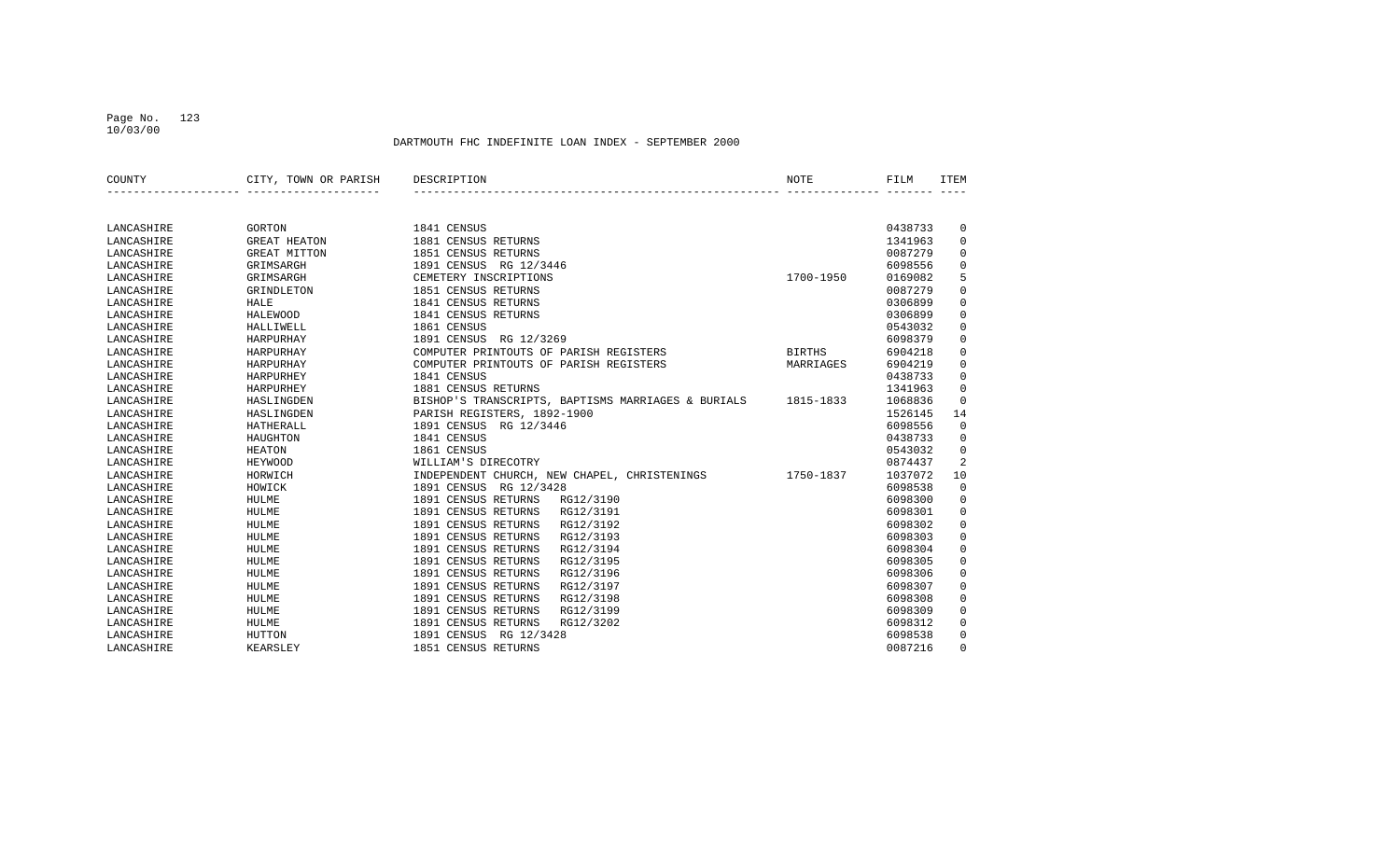## Page No. 123 10/03/00

| COUNTY     | CITY, TOWN OR PARISH | DESCRIPTION                                        | NOTE          | FILM    | <b>ITEM</b>    |
|------------|----------------------|----------------------------------------------------|---------------|---------|----------------|
|            |                      |                                                    |               |         |                |
|            |                      |                                                    |               |         |                |
| LANCASHIRE | GORTON               | 1841 CENSUS                                        |               | 0438733 | $\overline{0}$ |
| LANCASHIRE | <b>GREAT HEATON</b>  | 1881 CENSUS RETURNS                                |               | 1341963 | $\mathbf 0$    |
| LANCASHIRE | GREAT MITTON         | 1851 CENSUS RETURNS                                |               | 0087279 | 0              |
| LANCASHIRE | GRIMSARGH            | 1891 CENSUS RG 12/3446                             |               | 6098556 | $\mathbf 0$    |
| LANCASHIRE | GRIMSARGH            | CEMETERY INSCRIPTIONS                              | 1700-1950     | 0169082 | 5              |
| LANCASHIRE | GRINDLETON           | 1851 CENSUS RETURNS                                |               | 0087279 | $\mathbf 0$    |
| LANCASHIRE | <b>HALE</b>          | 1841 CENSUS RETURNS                                |               | 0306899 | $\mathbf 0$    |
| LANCASHIRE | HALEWOOD             | 1841 CENSUS RETURNS                                |               | 0306899 | $\mathbf 0$    |
| LANCASHIRE | HALLIWELL            | 1861 CENSUS                                        |               | 0543032 | $\mathbf 0$    |
| LANCASHIRE | HARPURHAY            | 1891 CENSUS RG 12/3269                             |               | 6098379 | $\mathbf 0$    |
| LANCASHIRE | HARPURHAY            | COMPUTER PRINTOUTS OF PARISH REGISTERS             | <b>BIRTHS</b> | 6904218 | $\mathbf 0$    |
| LANCASHIRE | HARPURHAY            | COMPUTER PRINTOUTS OF PARISH REGISTERS             | MARRIAGES     | 6904219 | $\mathbf 0$    |
| LANCASHIRE | HARPURHEY            | 1841 CENSUS                                        |               | 0438733 | $\mathbf 0$    |
| LANCASHIRE | HARPURHEY            | 1881 CENSUS RETURNS                                |               | 1341963 | 0              |
| LANCASHIRE | HASLINGDEN           | BISHOP'S TRANSCRIPTS, BAPTISMS MARRIAGES & BURIALS | 1815-1833     | 1068836 | $\mathbf 0$    |
| LANCASHIRE | HASLINGDEN           | PARISH REGISTERS, 1892-1900                        |               | 1526145 | 14             |
| LANCASHIRE | <b>HATHERALL</b>     | 1891 CENSUS RG 12/3446                             |               | 6098556 | $\mathbf 0$    |
| LANCASHIRE | HAUGHTON             | 1841 CENSUS                                        |               | 0438733 | $\mathbf 0$    |
| LANCASHIRE | <b>HEATON</b>        | 1861 CENSUS                                        |               | 0543032 | $\mathbf 0$    |
| LANCASHIRE | <b>HEYWOOD</b>       | WILLIAM'S DIRECOTRY                                |               | 0874437 | 2              |
| LANCASHIRE | HORWICH              | INDEPENDENT CHURCH, NEW CHAPEL, CHRISTENINGS       | 1750-1837     | 1037072 | 10             |
| LANCASHIRE | HOWICK               | 1891 CENSUS RG 12/3428                             |               | 6098538 | $\mathbb O$    |
| LANCASHIRE | HULME                | 1891 CENSUS RETURNS<br>RG12/3190                   |               | 6098300 | $\mathbf 0$    |
| LANCASHIRE | HULME                | 1891 CENSUS RETURNS<br>RG12/3191                   |               | 6098301 | $\mathbf 0$    |
| LANCASHIRE | HULME                | 1891 CENSUS RETURNS<br>RG12/3192                   |               | 6098302 | $\mathbf 0$    |
| LANCASHIRE | HULME                | 1891 CENSUS RETURNS<br>RG12/3193                   |               | 6098303 | $\mathbf 0$    |
| LANCASHIRE | HULME                | 1891 CENSUS RETURNS<br>RG12/3194                   |               | 6098304 | 0              |
| LANCASHIRE | HULME                | 1891 CENSUS RETURNS<br>RG12/3195                   |               | 6098305 | $\mathbf 0$    |
| LANCASHIRE | HULME                | 1891 CENSUS RETURNS<br>RG12/3196                   |               | 6098306 | $\mathbf 0$    |
| LANCASHIRE | HULME                | 1891 CENSUS RETURNS<br>RG12/3197                   |               | 6098307 | $\mathbf 0$    |
| LANCASHIRE | HULME                | 1891 CENSUS RETURNS<br>RG12/3198                   |               | 6098308 | $\mathbf 0$    |
| LANCASHIRE | HULME                | 1891 CENSUS RETURNS<br>RG12/3199                   |               | 6098309 | $\mathbf 0$    |
| LANCASHIRE | HULME                | 1891 CENSUS RETURNS<br>RG12/3202                   |               | 6098312 | $\mathbf 0$    |
| LANCASHIRE | HUTTON               | 1891 CENSUS RG 12/3428                             |               | 6098538 | 0              |
| LANCASHIRE | KEARSLEY             | 1851 CENSUS RETURNS                                |               | 0087216 | $\Omega$       |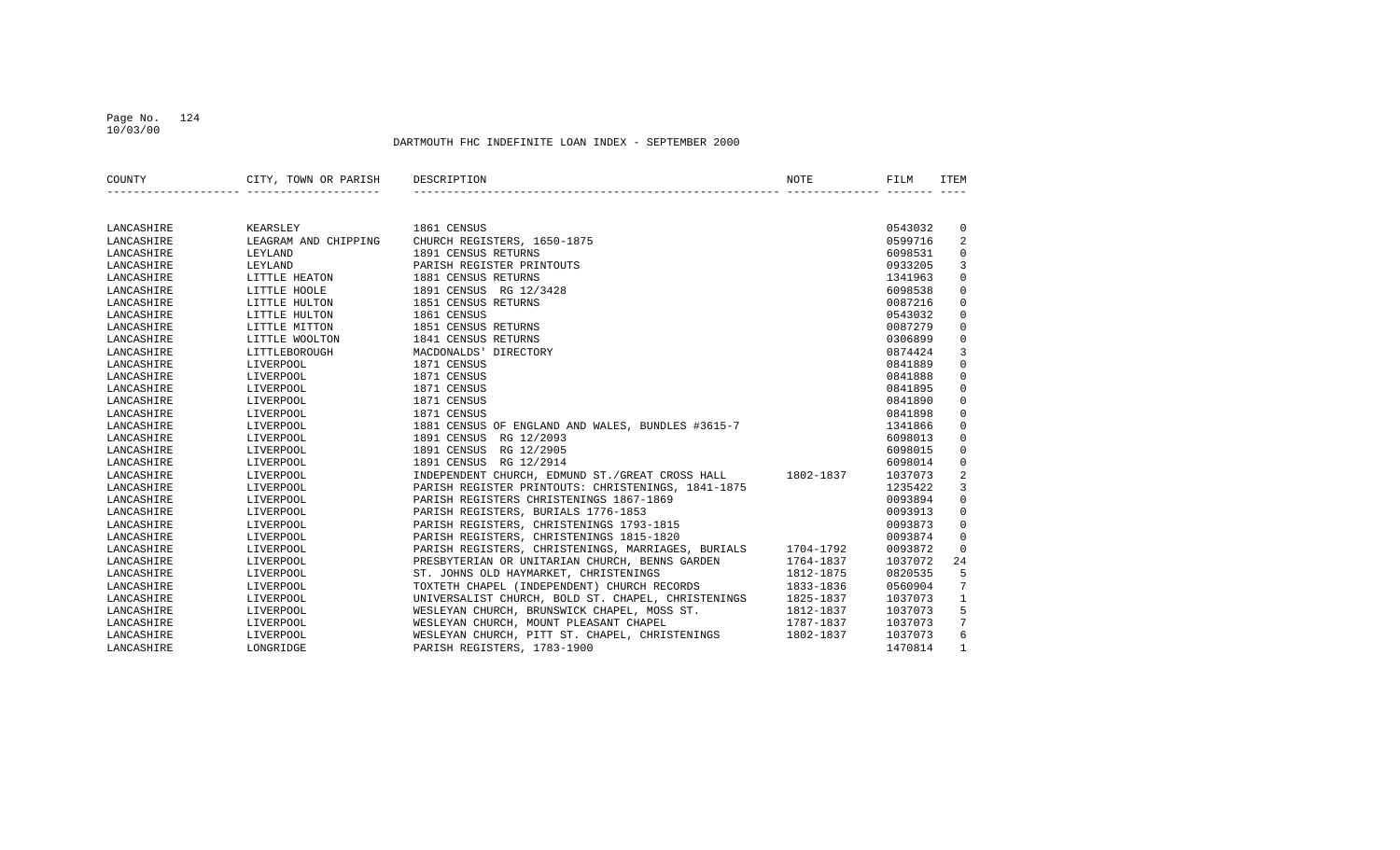## Page No. 124 10/03/00

| COUNTY     | CITY, TOWN OR PARISH | DESCRIPTION                                        | NOTE      | FILM    | ITEM            |
|------------|----------------------|----------------------------------------------------|-----------|---------|-----------------|
|            |                      |                                                    |           |         |                 |
| LANCASHIRE | KEARSLEY             | 1861 CENSUS                                        |           | 0543032 | $\mathbf 0$     |
| LANCASHIRE | LEAGRAM AND CHIPPING | CHURCH REGISTERS, 1650-1875                        |           | 0599716 | 2               |
| LANCASHIRE | LEYLAND              | 1891 CENSUS RETURNS                                |           | 6098531 | $\mathbf 0$     |
| LANCASHIRE | LEYLAND              | PARISH REGISTER PRINTOUTS                          |           | 0933205 | 3               |
| LANCASHIRE | LITTLE HEATON        | 1881 CENSUS RETURNS                                |           | 1341963 | $\Omega$        |
| LANCASHIRE | LITTLE HOOLE         | 1891 CENSUS RG 12/3428                             |           | 6098538 | $\mathbf 0$     |
| LANCASHIRE | LITTLE HULTON        | 1851 CENSUS RETURNS                                |           | 0087216 | $\mathbf 0$     |
| LANCASHIRE | LITTLE HULTON        | 1861 CENSUS                                        |           | 0543032 | $\mathbf 0$     |
| LANCASHIRE | LITTLE MITTON        | 1851 CENSUS RETURNS                                |           | 0087279 | $\mathbf 0$     |
| LANCASHIRE | LITTLE WOOLTON       | 1841 CENSUS RETURNS                                |           | 0306899 | $\mathbf 0$     |
| LANCASHIRE | LITTLEBOROUGH        | MACDONALDS' DIRECTORY                              |           | 0874424 | $\overline{3}$  |
| LANCASHIRE | LIVERPOOL            | 1871 CENSUS                                        |           | 0841889 | $\Omega$        |
| LANCASHIRE | LIVERPOOL            | 1871 CENSUS                                        |           | 0841888 | $\mathbf 0$     |
| LANCASHIRE | LIVERPOOL            | 1871 CENSUS                                        |           | 0841895 | $\mathbf 0$     |
| LANCASHIRE | LIVERPOOL            | 1871 CENSUS                                        |           | 0841890 | $\mathbf 0$     |
| LANCASHIRE | LIVERPOOL            | 1871 CENSUS                                        |           | 0841898 | $\mathbf 0$     |
| LANCASHIRE | LIVERPOOL            | 1881 CENSUS OF ENGLAND AND WALES, BUNDLES #3615-7  |           | 1341866 | $\mathbf 0$     |
| LANCASHIRE | LIVERPOOL            | 1891 CENSUS RG 12/2093                             |           | 6098013 | $\mathbf 0$     |
| LANCASHIRE | LIVERPOOL            | 1891 CENSUS RG 12/2905                             |           | 6098015 | $\mathbf 0$     |
| LANCASHIRE | LIVERPOOL            | 1891 CENSUS RG 12/2914                             |           | 6098014 | $\mathbf 0$     |
| LANCASHIRE | LIVERPOOL            | INDEPENDENT CHURCH, EDMUND ST./GREAT CROSS HALL    | 1802-1837 | 1037073 | $\sqrt{2}$      |
| LANCASHIRE | LIVERPOOL            | PARISH REGISTER PRINTOUTS: CHRISTENINGS, 1841-1875 |           | 1235422 | 3               |
| LANCASHIRE | LIVERPOOL            | PARISH REGISTERS CHRISTENINGS 1867-1869            |           | 0093894 | $\mathbf 0$     |
| LANCASHIRE | LIVERPOOL            | PARISH REGISTERS, BURIALS 1776-1853                |           | 0093913 | $\mathbf 0$     |
| LANCASHIRE | LIVERPOOL            | PARISH REGISTERS, CHRISTENINGS 1793-1815           |           | 0093873 | $\mathbf 0$     |
| LANCASHIRE | LIVERPOOL            | PARISH REGISTERS, CHRISTENINGS 1815-1820           |           | 0093874 | $\mathbf 0$     |
| LANCASHIRE | LIVERPOOL            | PARISH REGISTERS, CHRISTENINGS, MARRIAGES, BURIALS | 1704-1792 | 0093872 | $\mathbf 0$     |
| LANCASHIRE | LIVERPOOL            | PRESBYTERIAN OR UNITARIAN CHURCH, BENNS GARDEN     | 1764-1837 | 1037072 | 24              |
| LANCASHIRE | LIVERPOOL            | ST. JOHNS OLD HAYMARKET, CHRISTENINGS              | 1812-1875 | 0820535 | 5               |
| LANCASHIRE | LIVERPOOL            | TOXTETH CHAPEL (INDEPENDENT) CHURCH RECORDS        | 1833-1836 | 0560904 | 7               |
| LANCASHIRE | LIVERPOOL            | UNIVERSALIST CHURCH, BOLD ST. CHAPEL, CHRISTENINGS | 1825-1837 | 1037073 | $\mathbf{1}$    |
| LANCASHIRE | LIVERPOOL            | WESLEYAN CHURCH, BRUNSWICK CHAPEL, MOSS ST.        | 1812-1837 | 1037073 | 5               |
| LANCASHIRE | LIVERPOOL            | WESLEYAN CHURCH, MOUNT PLEASANT CHAPEL             | 1787-1837 | 1037073 | $7\phantom{.0}$ |
| LANCASHIRE | LIVERPOOL            | WESLEYAN CHURCH, PITT ST. CHAPEL, CHRISTENINGS     | 1802-1837 | 1037073 | 6               |
| LANCASHIRE | LONGRIDGE            | PARISH REGISTERS, 1783-1900                        |           | 1470814 | $\mathbf{1}$    |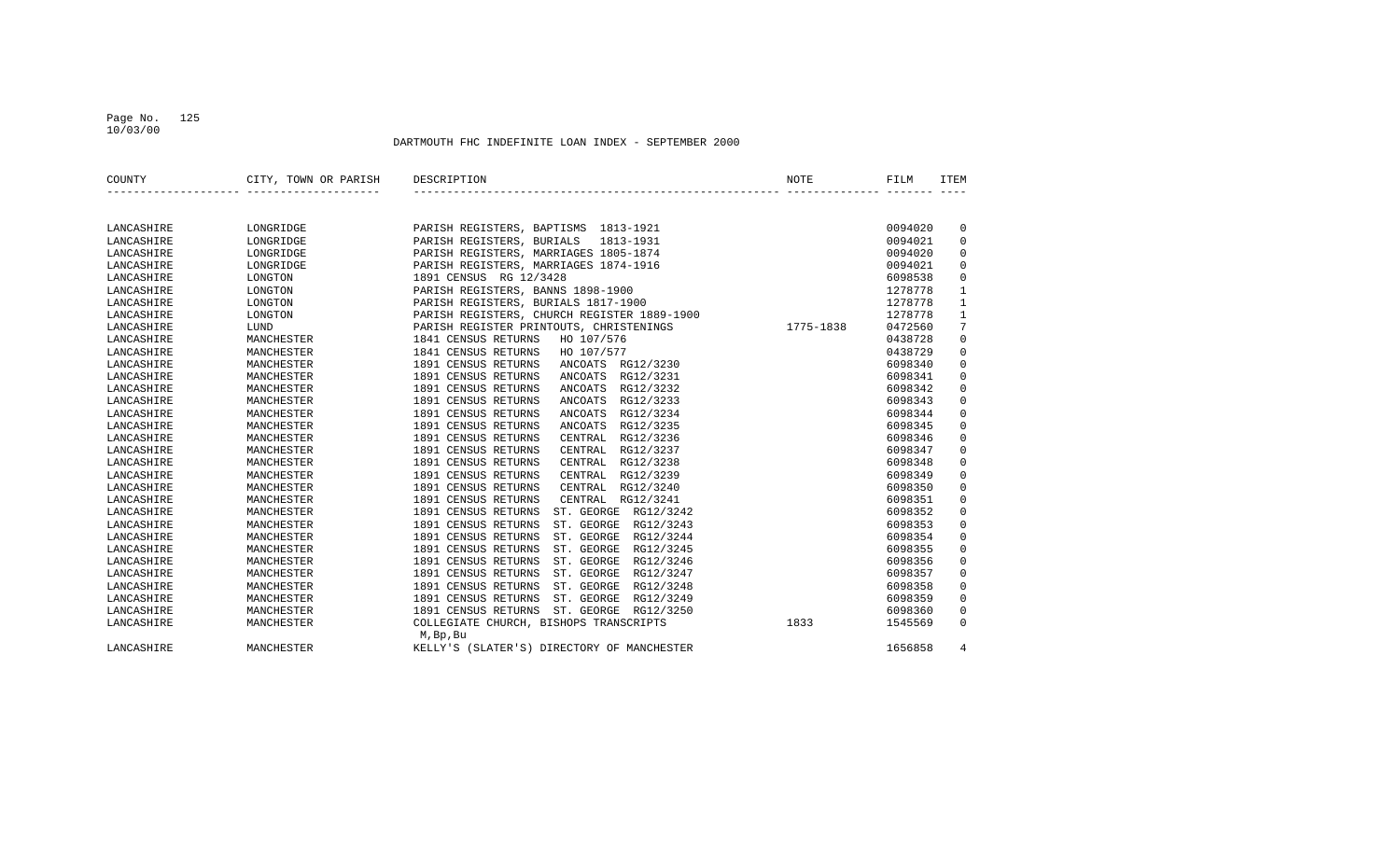## Page No. 125 10/03/00

| COUNTY     | CITY, TOWN OR PARISH | DESCRIPTION                                        | <b>NOTE</b> | FILM    | <b>ITEM</b>  |
|------------|----------------------|----------------------------------------------------|-------------|---------|--------------|
|            |                      |                                                    |             |         |              |
|            |                      |                                                    |             |         |              |
| LANCASHIRE | LONGRIDGE            | PARISH REGISTERS, BAPTISMS 1813-1921               |             | 0094020 | 0            |
| LANCASHIRE | LONGRIDGE            | PARISH REGISTERS, BURIALS 1813-1931                |             | 0094021 | $\mathbf 0$  |
| LANCASHIRE | LONGRIDGE            | PARISH REGISTERS, MARRIAGES 1805-1874              |             | 0094020 | $\mathbf 0$  |
| LANCASHIRE | LONGRIDGE            | PARISH REGISTERS, MARRIAGES 1874-1916              |             | 0094021 | $\mathbf 0$  |
| LANCASHIRE | LONGTON              | 1891 CENSUS RG 12/3428                             |             | 6098538 | $\mathbf 0$  |
| LANCASHIRE | LONGTON              | PARISH REGISTERS, BANNS 1898-1900                  |             | 1278778 | $1\,$        |
| LANCASHIRE | LONGTON              | PARISH REGISTERS, BURIALS 1817-1900                |             | 1278778 | $\mathbf{1}$ |
| LANCASHIRE | LONGTON              | PARISH REGISTERS, CHURCH REGISTER 1889-1900        |             | 1278778 | $\mathbf{1}$ |
| LANCASHIRE | LUND                 | PARISH REGISTER PRINTOUTS, CHRISTENINGS            | 1775-1838   | 0472560 | 7            |
| LANCASHIRE | MANCHESTER           | 1841 CENSUS RETURNS<br>HO 107/576                  |             | 0438728 | $\mathsf 0$  |
| LANCASHIRE | MANCHESTER           | 1841 CENSUS RETURNS<br>HO 107/577                  |             | 0438729 | $\mathsf 0$  |
| LANCASHIRE | MANCHESTER           | 1891 CENSUS RETURNS<br>ANCOATS RG12/3230           |             | 6098340 | $\mathbf 0$  |
| LANCASHIRE | MANCHESTER           | 1891 CENSUS RETURNS<br>RG12/3231<br>ANCOATS        |             | 6098341 | 0            |
| LANCASHIRE | MANCHESTER           | 1891 CENSUS RETURNS<br>RG12/3232<br><b>ANCOATS</b> |             | 6098342 | $\mathbf 0$  |
| LANCASHIRE | MANCHESTER           | 1891 CENSUS RETURNS<br>RG12/3233<br><b>ANCOATS</b> |             | 6098343 | $\mathbf 0$  |
| LANCASHIRE | MANCHESTER           | 1891 CENSUS RETURNS<br>RG12/3234<br><b>ANCOATS</b> |             | 6098344 | $\mathbf 0$  |
| LANCASHIRE | MANCHESTER           | 1891 CENSUS RETURNS<br>RG12/3235<br><b>ANCOATS</b> |             | 6098345 | $\mathbf 0$  |
| LANCASHIRE | MANCHESTER           | 1891 CENSUS RETURNS<br>CENTRAL<br>RG12/3236        |             | 6098346 | $\mathbf 0$  |
| LANCASHIRE | MANCHESTER           | 1891 CENSUS RETURNS<br>RG12/3237<br>CENTRAL        |             | 6098347 | $\mathbf 0$  |
| LANCASHIRE | MANCHESTER           | 1891 CENSUS RETURNS<br>RG12/3238<br>CENTRAL        |             | 6098348 | $\mathbf 0$  |
| LANCASHIRE | MANCHESTER           | 1891 CENSUS RETURNS<br>CENTRAL<br>RG12/3239        |             | 6098349 | $\mathbf 0$  |
| LANCASHIRE | MANCHESTER           | 1891 CENSUS RETURNS<br>RG12/3240<br>CENTRAL        |             | 6098350 | $\mathbf 0$  |
| LANCASHIRE | MANCHESTER           | 1891 CENSUS RETURNS<br>CENTRAL RG12/3241           |             | 6098351 | $\mathbf 0$  |
| LANCASHIRE | MANCHESTER           | 1891 CENSUS RETURNS<br>ST. GEORGE RG12/3242        |             | 6098352 | $\mathbf 0$  |
| LANCASHIRE | MANCHESTER           | 1891 CENSUS RETURNS<br>ST. GEORGE RG12/3243        |             | 6098353 | $\mathbf 0$  |
| LANCASHIRE | MANCHESTER           | 1891 CENSUS RETURNS<br>ST. GEORGE RG12/3244        |             | 6098354 | $\mathbf 0$  |
| LANCASHIRE | MANCHESTER           | 1891 CENSUS RETURNS<br>ST. GEORGE RG12/3245        |             | 6098355 | $\mathbf 0$  |
| LANCASHIRE | MANCHESTER           | 1891 CENSUS RETURNS<br>ST. GEORGE<br>RG12/3246     |             | 6098356 | $\mathbf 0$  |
| LANCASHIRE | MANCHESTER           | 1891 CENSUS RETURNS<br>ST. GEORGE<br>RG12/3247     |             | 6098357 | $\mathbf 0$  |
| LANCASHIRE | MANCHESTER           | 1891 CENSUS RETURNS<br>ST. GEORGE<br>RG12/3248     |             | 6098358 | $\mathbf 0$  |
| LANCASHIRE | MANCHESTER           | 1891 CENSUS RETURNS<br>ST. GEORGE<br>RG12/3249     |             | 6098359 | $\mathbf 0$  |
| LANCASHIRE | MANCHESTER           | 1891 CENSUS RETURNS ST. GEORGE RG12/3250           |             | 6098360 | $\mathbf 0$  |
| LANCASHIRE | MANCHESTER           | COLLEGIATE CHURCH, BISHOPS TRANSCRIPTS             | 1833        | 1545569 | $\Omega$     |
|            |                      | M, Bp, Bu                                          |             |         |              |
| LANCASHIRE | MANCHESTER           | KELLY'S (SLATER'S) DIRECTORY OF MANCHESTER         |             | 1656858 | 4            |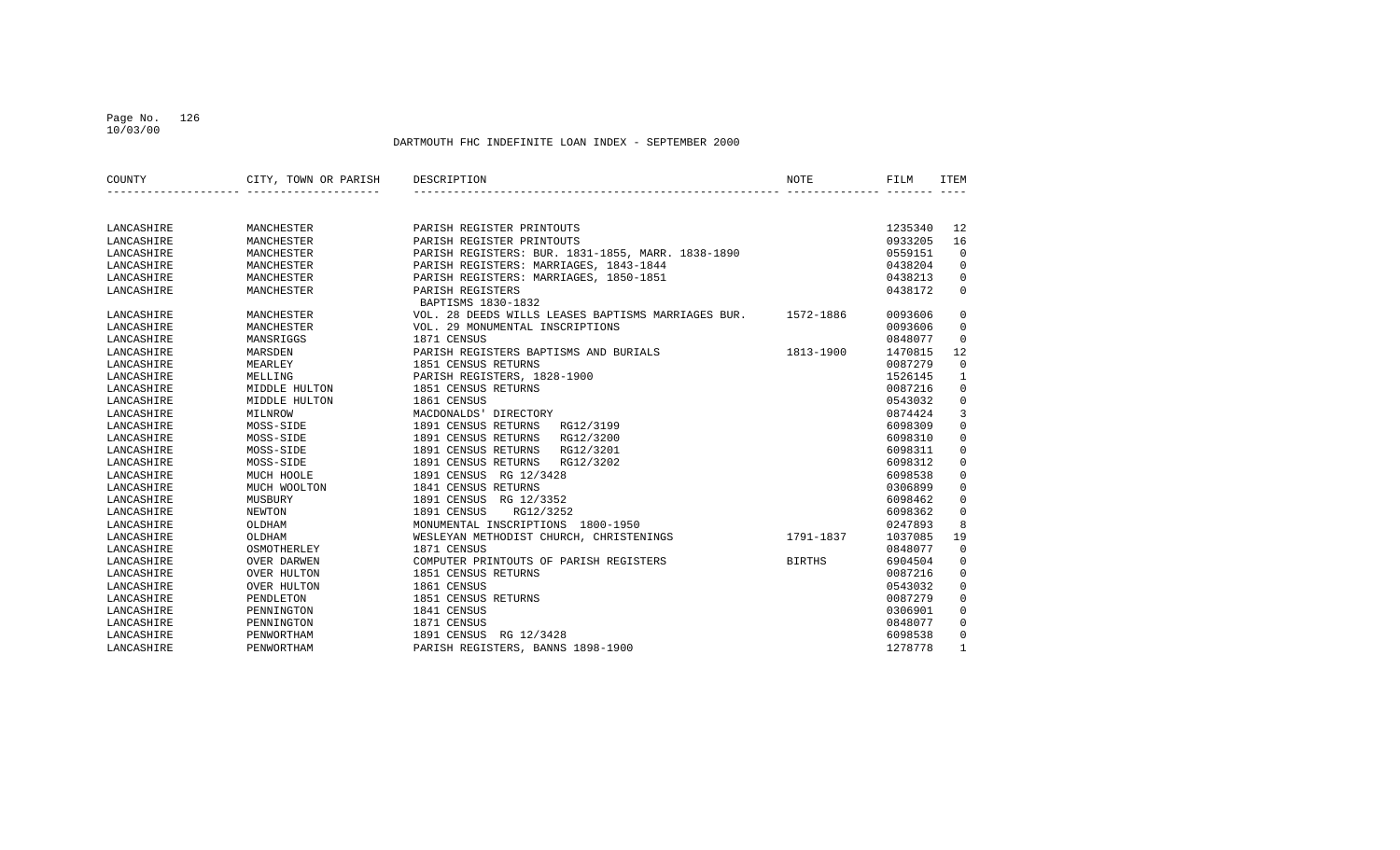## Page No. 126 10/03/00

| COUNTY     | CITY, TOWN OR PARISH | DESCRIPTION                                        | <b>NOTE</b>   | FILM    | <b>ITEM</b>  |
|------------|----------------------|----------------------------------------------------|---------------|---------|--------------|
|            |                      |                                                    |               |         |              |
| LANCASHIRE | MANCHESTER           | PARISH REGISTER PRINTOUTS                          |               | 1235340 | 12           |
| LANCASHIRE | MANCHESTER           | PARISH REGISTER PRINTOUTS                          |               | 0933205 | 16           |
| LANCASHIRE | MANCHESTER           | PARISH REGISTERS: BUR. 1831-1855, MARR. 1838-1890  |               | 0559151 | $\mathbf 0$  |
| LANCASHIRE | MANCHESTER           | PARISH REGISTERS: MARRIAGES, 1843-1844             |               | 0438204 | $\Omega$     |
| LANCASHIRE | MANCHESTER           | PARISH REGISTERS: MARRIAGES, 1850-1851             |               | 0438213 | $\Omega$     |
| LANCASHIRE | MANCHESTER           | PARISH REGISTERS                                   |               | 0438172 | $\Omega$     |
|            |                      | BAPTISMS 1830-1832                                 |               |         |              |
| LANCASHIRE | MANCHESTER           | VOL. 28 DEEDS WILLS LEASES BAPTISMS MARRIAGES BUR. | 1572-1886     | 0093606 | 0            |
| LANCASHIRE | MANCHESTER           | VOL. 29 MONUMENTAL INSCRIPTIONS                    |               | 0093606 | 0            |
| LANCASHIRE | MANSRIGGS            | 1871 CENSUS                                        |               | 0848077 | 0            |
| LANCASHIRE | MARSDEN              | PARISH REGISTERS BAPTISMS AND BURIALS              | 1813-1900     | 1470815 | 12           |
| LANCASHIRE | MEARLEY              | 1851 CENSUS RETURNS                                |               | 0087279 | $\mathbf 0$  |
| LANCASHIRE | MELLING              | PARISH REGISTERS, 1828-1900                        |               | 1526145 | $\mathbf{1}$ |
| LANCASHIRE | MIDDLE HULTON        | 1851 CENSUS RETURNS                                |               | 0087216 | $\Omega$     |
| LANCASHIRE | MIDDLE HULTON        | 1861 CENSUS                                        |               | 0543032 | $\mathbf 0$  |
| LANCASHIRE | MILNROW              | MACDONALDS' DIRECTORY                              |               | 0874424 | 3            |
| LANCASHIRE | MOSS-SIDE            | 1891 CENSUS RETURNS<br>RG12/3199                   |               | 6098309 | 0            |
| LANCASHIRE | MOSS-SIDE            | 1891 CENSUS RETURNS<br>RG12/3200                   |               | 6098310 | $\Omega$     |
| LANCASHIRE | MOSS-SIDE            | 1891 CENSUS RETURNS<br>RG12/3201                   |               | 6098311 | 0            |
| LANCASHIRE | MOSS-SIDE            | 1891 CENSUS RETURNS<br>RG12/3202                   |               | 6098312 | 0            |
| LANCASHIRE | MUCH HOOLE           | 1891 CENSUS RG 12/3428                             |               | 6098538 | 0            |
| LANCASHIRE | MUCH WOOLTON         | 1841 CENSUS RETURNS                                |               | 0306899 | 0            |
| LANCASHIRE | MUSBURY              | 1891 CENSUS RG 12/3352                             |               | 6098462 | 0            |
| LANCASHIRE | NEWTON               | 1891 CENSUS<br>RG12/3252                           |               | 6098362 | $\Omega$     |
| LANCASHIRE | OLDHAM               | MONUMENTAL INSCRIPTIONS 1800-1950                  |               | 0247893 | 8            |
| LANCASHIRE | OLDHAM               | WESLEYAN METHODIST CHURCH, CHRISTENINGS            | 1791-1837     | 1037085 | 19           |
| LANCASHIRE | OSMOTHERLEY          | 1871 CENSUS                                        |               | 0848077 | 0            |
| LANCASHIRE | OVER DARWEN          | COMPUTER PRINTOUTS OF PARISH REGISTERS             | <b>BIRTHS</b> | 6904504 | $\Omega$     |
| LANCASHIRE | OVER HULTON          | 1851 CENSUS RETURNS                                |               | 0087216 | 0            |
| LANCASHIRE | <b>OVER HULTON</b>   | 1861 CENSUS                                        |               | 0543032 | 0            |
| LANCASHIRE | PENDLETON            | 1851 CENSUS RETURNS                                |               | 0087279 | 0            |
| LANCASHIRE | PENNINGTON           | 1841 CENSUS                                        |               | 0306901 | 0            |
| LANCASHIRE | PENNINGTON           | 1871 CENSUS                                        |               | 0848077 | 0            |
| LANCASHIRE | PENWORTHAM           | 1891 CENSUS<br>RG 12/3428                          |               | 6098538 | $\Omega$     |
| LANCASHIRE | PENWORTHAM           | PARISH REGISTERS, BANNS 1898-1900                  |               | 1278778 | $\mathbf{1}$ |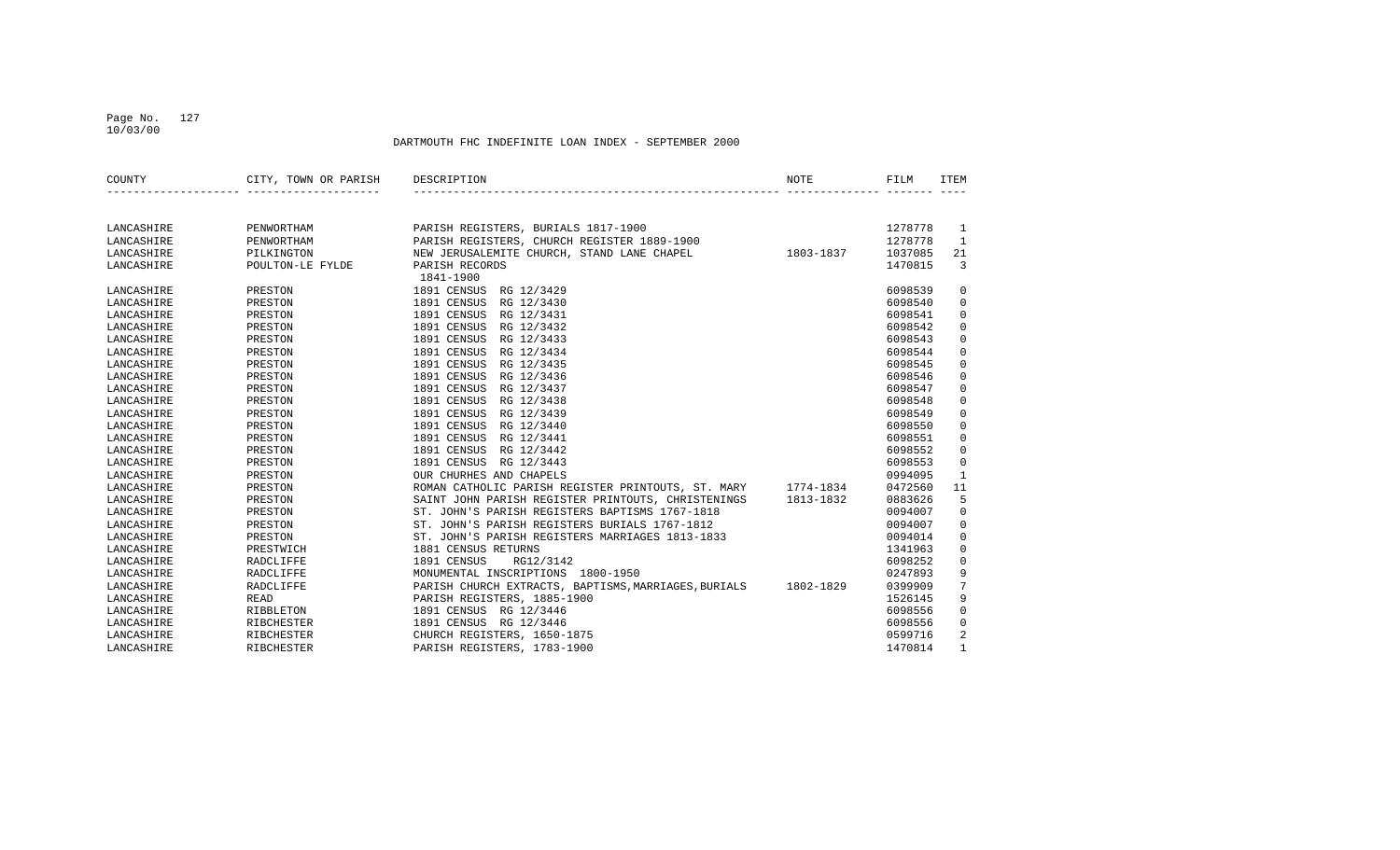## Page No. 127 10/03/00

| COUNTY     | CITY, TOWN OR PARISH | DESCRIPTION                                          | NOTE      | FILM    | ITEM         |
|------------|----------------------|------------------------------------------------------|-----------|---------|--------------|
|            |                      |                                                      |           |         |              |
| LANCASHIRE | PENWORTHAM           | PARISH REGISTERS, BURIALS 1817-1900                  |           | 1278778 | 1            |
| LANCASHIRE | PENWORTHAM           | PARISH REGISTERS, CHURCH REGISTER 1889-1900          |           | 1278778 | $\mathbf{1}$ |
| LANCASHIRE | PILKINGTON           | NEW JERUSALEMITE CHURCH, STAND LANE CHAPEL           | 1803-1837 | 1037085 | 21           |
| LANCASHIRE | POULTON-LE FYLDE     | PARISH RECORDS                                       |           | 1470815 | 3            |
|            |                      | 1841-1900                                            |           |         |              |
| LANCASHIRE | PRESTON              | 1891 CENSUS<br>RG 12/3429                            |           | 6098539 | 0            |
| LANCASHIRE | PRESTON              | 1891 CENSUS<br>RG 12/3430                            |           | 6098540 | $\mathbf 0$  |
| LANCASHIRE | PRESTON              | 1891 CENSUS<br>RG 12/3431                            |           | 6098541 | $\mathbf 0$  |
| LANCASHIRE | PRESTON              | 1891 CENSUS<br>RG 12/3432                            |           | 6098542 | $\mathbf 0$  |
| LANCASHIRE | PRESTON              | 1891 CENSUS<br>RG 12/3433                            |           | 6098543 | $\mathbf 0$  |
| LANCASHIRE | PRESTON              | 1891 CENSUS<br>RG 12/3434                            |           | 6098544 | $\mathbf 0$  |
| LANCASHIRE | PRESTON              | 1891 CENSUS<br>RG 12/3435                            |           | 6098545 | $\mathbf 0$  |
| LANCASHIRE | PRESTON              | 1891 CENSUS<br>RG 12/3436                            |           | 6098546 | $\mathbf 0$  |
| LANCASHIRE | PRESTON              | 1891 CENSUS<br>RG 12/3437                            |           | 6098547 | $\mathbf 0$  |
| LANCASHIRE | PRESTON              | 1891 CENSUS<br>RG 12/3438                            |           | 6098548 | $\mathsf 0$  |
| LANCASHIRE | PRESTON              | 1891 CENSUS<br>RG 12/3439                            |           | 6098549 | $\mathbf 0$  |
| LANCASHIRE | PRESTON              | 1891 CENSUS<br>RG 12/3440                            |           | 6098550 | $\mathbf 0$  |
| LANCASHIRE | PRESTON              | 1891 CENSUS<br>RG 12/3441                            |           | 6098551 | $\mathbf 0$  |
| LANCASHIRE | PRESTON              | 1891 CENSUS<br>RG 12/3442                            |           | 6098552 | $\mathbf 0$  |
| LANCASHIRE | PRESTON              | 1891 CENSUS<br>RG 12/3443                            |           | 6098553 | $\mathbf 0$  |
| LANCASHIRE | PRESTON              | OUR CHURHES AND CHAPELS                              |           | 0994095 | $\mathbf{1}$ |
| LANCASHIRE | PRESTON              | ROMAN CATHOLIC PARISH REGISTER PRINTOUTS, ST. MARY   | 1774-1834 | 0472560 | 11           |
| LANCASHIRE | PRESTON              | SAINT JOHN PARISH REGISTER PRINTOUTS, CHRISTENINGS   | 1813-1832 | 0883626 | 5            |
| LANCASHIRE | PRESTON              | ST. JOHN'S PARISH REGISTERS BAPTISMS 1767-1818       |           | 0094007 | $\mathsf 0$  |
| LANCASHIRE | PRESTON              | ST. JOHN'S PARISH REGISTERS BURIALS 1767-1812        |           | 0094007 | $\mathbf 0$  |
| LANCASHIRE | PRESTON              | ST. JOHN'S PARISH REGISTERS MARRIAGES 1813-1833      |           | 0094014 | $\mathsf 0$  |
| LANCASHIRE | PRESTWICH            | 1881 CENSUS RETURNS                                  |           | 1341963 | $\mathbf 0$  |
| LANCASHIRE | RADCLIFFE            | 1891 CENSUS<br>RG12/3142                             |           | 6098252 | $\mathbf 0$  |
| LANCASHIRE | RADCLIFFE            | MONUMENTAL INSCRIPTIONS 1800-1950                    |           | 0247893 | 9            |
| LANCASHIRE | <b>RADCLIFFE</b>     | PARISH CHURCH EXTRACTS, BAPTISMS, MARRIAGES, BURIALS | 1802-1829 | 0399909 | 7            |
| LANCASHIRE | <b>READ</b>          | PARISH REGISTERS, 1885-1900                          |           | 1526145 | 9            |
| LANCASHIRE | RIBBLETON            | 1891 CENSUS RG 12/3446                               |           | 6098556 | $\mathbf 0$  |
| LANCASHIRE | RIBCHESTER           | 1891 CENSUS RG 12/3446                               |           | 6098556 | $\Omega$     |
| LANCASHIRE | RIBCHESTER           | CHURCH REGISTERS, 1650-1875                          |           | 0599716 | 2            |
| LANCASHIRE | RIBCHESTER           | PARISH REGISTERS, 1783-1900                          |           | 1470814 | $\mathbf{1}$ |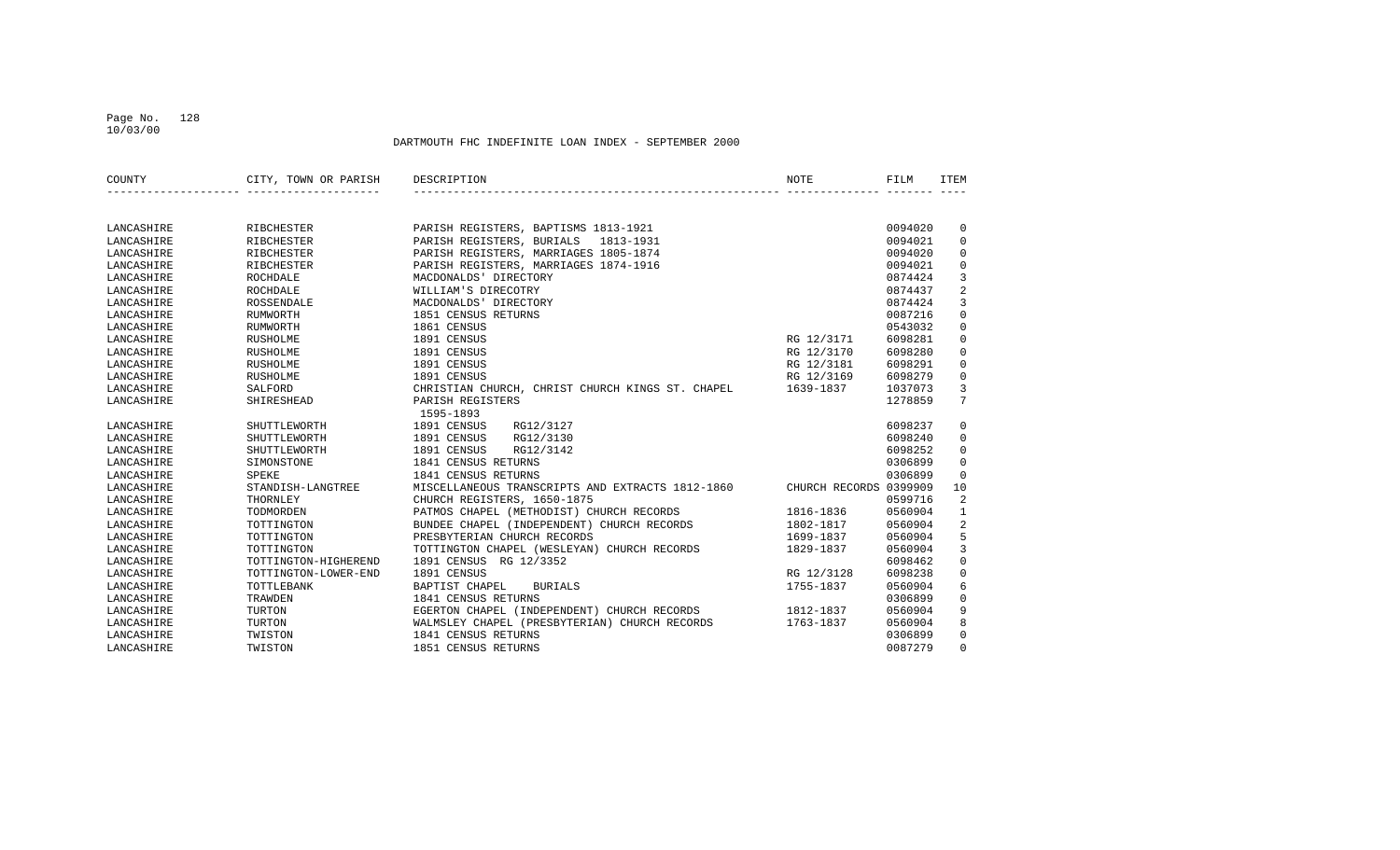## Page No. 128 10/03/00

| COUNTY     | CITY, TOWN OR PARISH | DESCRIPTION<br>NOTE                                                        | FILM    | ITEM           |
|------------|----------------------|----------------------------------------------------------------------------|---------|----------------|
|            |                      |                                                                            |         |                |
| LANCASHIRE | RIBCHESTER           | PARISH REGISTERS, BAPTISMS 1813-1921                                       | 0094020 | $\mathbf 0$    |
| LANCASHIRE | <b>RIBCHESTER</b>    | PARISH REGISTERS, BURIALS<br>1813-1931                                     | 0094021 | $\mathbf 0$    |
| LANCASHIRE | <b>RIBCHESTER</b>    | PARISH REGISTERS, MARRIAGES 1805-1874                                      | 0094020 | $\mathbf 0$    |
| LANCASHIRE | RIBCHESTER           | PARISH REGISTERS, MARRIAGES 1874-1916                                      | 0094021 | $\mathbf 0$    |
| LANCASHIRE | ROCHDALE             | MACDONALDS' DIRECTORY                                                      | 0874424 | 3              |
| LANCASHIRE | ROCHDALE             | WILLIAM'S DIRECOTRY                                                        | 0874437 | $\overline{2}$ |
| LANCASHIRE | ROSSENDALE           | MACDONALDS' DIRECTORY                                                      | 0874424 | $\overline{3}$ |
| LANCASHIRE | RUMWORTH             | 1851 CENSUS RETURNS                                                        | 0087216 | $\mathsf 0$    |
| LANCASHIRE | RUMWORTH             | 1861 CENSUS                                                                | 0543032 | $\mathsf 0$    |
| LANCASHIRE | <b>RUSHOLME</b>      | 1891 CENSUS<br>RG 12/3171                                                  | 6098281 | $\mathbf 0$    |
| LANCASHIRE | RUSHOLME             | 1891 CENSUS<br>RG 12/3170                                                  | 6098280 | $\mathbf 0$    |
| LANCASHIRE | RUSHOLME             | 1891 CENSUS<br>RG 12/3181                                                  | 6098291 | $\mathbf 0$    |
| LANCASHIRE | <b>RUSHOLME</b>      | 1891 CENSUS<br>RG 12/3169                                                  | 6098279 | $\mathbf 0$    |
| LANCASHIRE | SALFORD              | CHRISTIAN CHURCH, CHRIST CHURCH KINGS ST. CHAPEL<br>1639-1837              | 1037073 | 3              |
| LANCASHIRE | SHIRESHEAD           | PARISH REGISTERS                                                           | 1278859 | 7              |
|            |                      | 1595-1893                                                                  |         |                |
| LANCASHIRE | SHUTTLEWORTH         | 1891 CENSUS<br>RG12/3127                                                   | 6098237 | 0              |
| LANCASHIRE | SHUTTLEWORTH         | 1891 CENSUS<br>RG12/3130                                                   | 6098240 | $\mathbf 0$    |
| LANCASHIRE | SHUTTLEWORTH         | 1891 CENSUS<br>RG12/3142                                                   | 6098252 | $\mathbf 0$    |
| LANCASHIRE | SIMONSTONE           | 1841 CENSUS RETURNS                                                        | 0306899 | $\mathsf 0$    |
| LANCASHIRE | SPEKE                | 1841 CENSUS RETURNS                                                        | 0306899 | $\mathbf 0$    |
| LANCASHIRE | STANDISH-LANGTREE    | MISCELLANEOUS TRANSCRIPTS AND EXTRACTS 1812-1860<br>CHURCH RECORDS 0399909 |         | 10             |
| LANCASHIRE | THORNLEY             | CHURCH REGISTERS, 1650-1875                                                | 0599716 | $\overline{a}$ |
| LANCASHIRE | TODMORDEN            | PATMOS CHAPEL (METHODIST) CHURCH RECORDS<br>1816-1836                      | 0560904 | $\mathbf{1}$   |
| LANCASHIRE | TOTTINGTON           | BUNDEE CHAPEL (INDEPENDENT) CHURCH RECORDS<br>1802-1817                    | 0560904 | 2              |
| LANCASHIRE | TOTTINGTON           | PRESBYTERIAN CHURCH RECORDS<br>1699-1837                                   | 0560904 | 5              |
| LANCASHIRE | TOTTINGTON           | TOTTINGTON CHAPEL (WESLEYAN) CHURCH RECORDS<br>1829-1837                   | 0560904 | 3              |
| LANCASHIRE | TOTTINGTON-HIGHEREND | 1891 CENSUS RG 12/3352                                                     | 6098462 | $\mathsf 0$    |
| LANCASHIRE | TOTTINGTON-LOWER-END | 1891 CENSUS<br>RG 12/3128                                                  | 6098238 | $\mathbf 0$    |
| LANCASHIRE | TOTTLEBANK           | BAPTIST CHAPEL<br><b>BURIALS</b><br>1755-1837                              | 0560904 | 6              |
| LANCASHIRE | TRAWDEN              | 1841 CENSUS RETURNS                                                        | 0306899 | $\mathbf 0$    |
| LANCASHIRE | TURTON               | EGERTON CHAPEL (INDEPENDENT) CHURCH RECORDS<br>1812-1837                   | 0560904 | 9              |
| LANCASHIRE | TURTON               | WALMSLEY CHAPEL (PRESBYTERIAN) CHURCH RECORDS<br>1763-1837                 | 0560904 | 8              |
| LANCASHIRE | TWISTON              | 1841 CENSUS RETURNS                                                        | 0306899 | 0              |
| LANCASHIRE | TWISTON              | 1851 CENSUS RETURNS                                                        | 0087279 | $\Omega$       |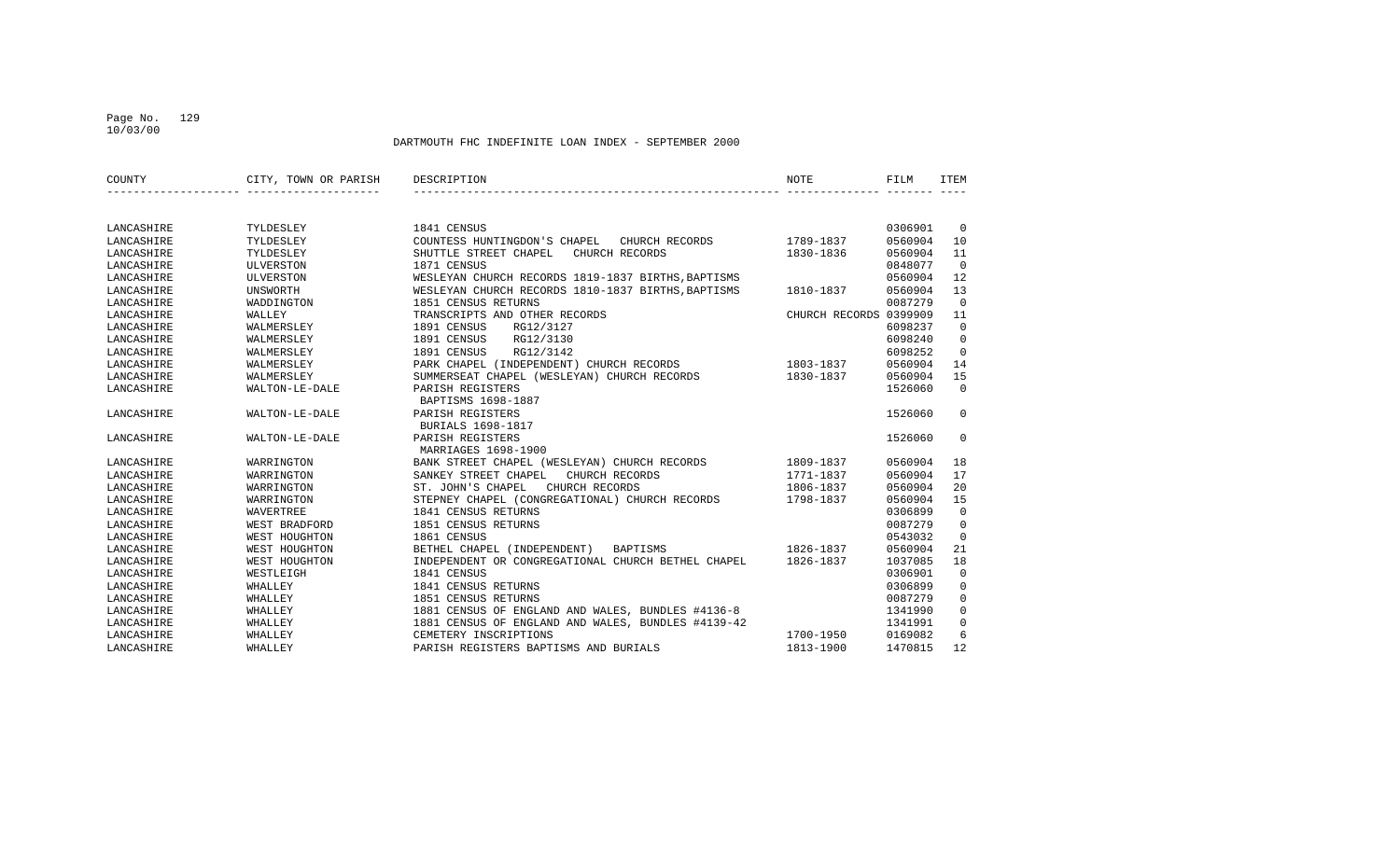## Page No. 129 10/03/00

| COUNTY     | CITY, TOWN OR PARISH | DESCRIPTION                                        | NOTE                   | FILM    | <b>ITEM</b>    |
|------------|----------------------|----------------------------------------------------|------------------------|---------|----------------|
|            |                      |                                                    |                        |         |                |
| LANCASHIRE | TYLDESLEY            | 1841 CENSUS                                        |                        | 0306901 | $\overline{0}$ |
| LANCASHIRE | TYLDESLEY            | COUNTESS HUNTINGDON'S CHAPEL CHURCH RECORDS        | 1789-1837              | 0560904 | 10             |
| LANCASHIRE | TYLDESLEY            | SHUTTLE STREET CHAPEL<br>CHURCH RECORDS            | 1830-1836              | 0560904 | 11             |
| LANCASHIRE | ULVERSTON            | 1871 CENSUS                                        |                        | 0848077 | $\Omega$       |
| LANCASHIRE | ULVERSTON            | WESLEYAN CHURCH RECORDS 1819-1837 BIRTHS, BAPTISMS |                        | 0560904 | 12             |
| LANCASHIRE | <b>UNSWORTH</b>      | WESLEYAN CHURCH RECORDS 1810-1837 BIRTHS, BAPTISMS | 1810-1837              | 0560904 | 13             |
| LANCASHIRE | WADDINGTON           | 1851 CENSUS RETURNS                                |                        | 0087279 | $\Omega$       |
| LANCASHIRE | WALLEY               | TRANSCRIPTS AND OTHER RECORDS                      | CHURCH RECORDS 0399909 |         | 11             |
| LANCASHIRE | WALMERSLEY           | 1891 CENSUS<br>RG12/3127                           |                        | 6098237 | $\Omega$       |
| LANCASHIRE | WALMERSLEY           | RG12/3130<br>1891 CENSUS                           |                        | 6098240 | $\mathbf 0$    |
| LANCASHIRE | WALMERSLEY           | 1891 CENSUS<br>RG12/3142                           |                        | 6098252 | $\mathbf 0$    |
| LANCASHIRE | WALMERSLEY           | PARK CHAPEL (INDEPENDENT) CHURCH RECORDS           | 1803-1837              | 0560904 | 14             |
| LANCASHIRE | WALMERSLEY           | SUMMERSEAT CHAPEL (WESLEYAN) CHURCH RECORDS        | 1830-1837              | 0560904 | 15             |
| LANCASHIRE | WALTON-LE-DALE       | PARISH REGISTERS                                   |                        | 1526060 | $\Omega$       |
|            |                      | BAPTISMS 1698-1887                                 |                        |         |                |
| LANCASHIRE | WALTON-LE-DALE       | PARISH REGISTERS                                   |                        | 1526060 | $\Omega$       |
|            |                      | BURIALS 1698-1817                                  |                        |         |                |
| LANCASHIRE | WALTON-LE-DALE       | PARISH REGISTERS                                   |                        | 1526060 | $\mathbf 0$    |
|            |                      | MARRIAGES 1698-1900                                |                        |         |                |
| LANCASHIRE | WARRINGTON           | BANK STREET CHAPEL (WESLEYAN) CHURCH RECORDS       | 1809-1837              | 0560904 | 18             |
| LANCASHIRE | WARRINGTON           | SANKEY STREET CHAPEL<br>CHURCH RECORDS             | 1771-1837              | 0560904 | 17             |
| LANCASHIRE | WARRINGTON           | ST. JOHN'S CHAPEL<br>CHURCH RECORDS                | 1806-1837              | 0560904 | 20             |
| LANCASHIRE | WARRINGTON           | STEPNEY CHAPEL (CONGREGATIONAL) CHURCH RECORDS     | 1798-1837              | 0560904 | 15             |
| LANCASHIRE | WAVERTREE            | 1841 CENSUS RETURNS                                |                        | 0306899 | $\mathbf 0$    |
| LANCASHIRE | WEST BRADFORD        | 1851 CENSUS RETURNS                                |                        | 0087279 | $\mathbf 0$    |
| LANCASHIRE | WEST HOUGHTON        | 1861 CENSUS                                        |                        | 0543032 | $\overline{0}$ |
| LANCASHIRE | WEST HOUGHTON        | BETHEL CHAPEL (INDEPENDENT)<br><b>BAPTISMS</b>     | 1826-1837              | 0560904 | 21             |
| LANCASHIRE | WEST HOUGHTON        | INDEPENDENT OR CONGREGATIONAL CHURCH BETHEL CHAPEL | 1826-1837              | 1037085 | 18             |
| LANCASHIRE | WESTLEIGH            | 1841 CENSUS                                        |                        | 0306901 | $\overline{0}$ |
| LANCASHIRE | WHALLEY              | 1841 CENSUS RETURNS                                |                        | 0306899 | $\mathbf 0$    |
| LANCASHIRE | WHALLEY              | 1851 CENSUS RETURNS                                |                        | 0087279 | $\mathbf 0$    |
| LANCASHIRE | WHALLEY              | 1881 CENSUS OF ENGLAND AND WALES, BUNDLES #4136-8  |                        | 1341990 | $\mathbf 0$    |
| LANCASHIRE | WHALLEY              | 1881 CENSUS OF ENGLAND AND WALES, BUNDLES #4139-42 |                        | 1341991 | $\mathbf 0$    |
| LANCASHIRE | WHALLEY              | CEMETERY INSCRIPTIONS                              | 1700-1950              | 0169082 | 6              |
| LANCASHIRE | WHALLEY              | PARISH REGISTERS BAPTISMS AND BURIALS              | 1813-1900              | 1470815 | 12             |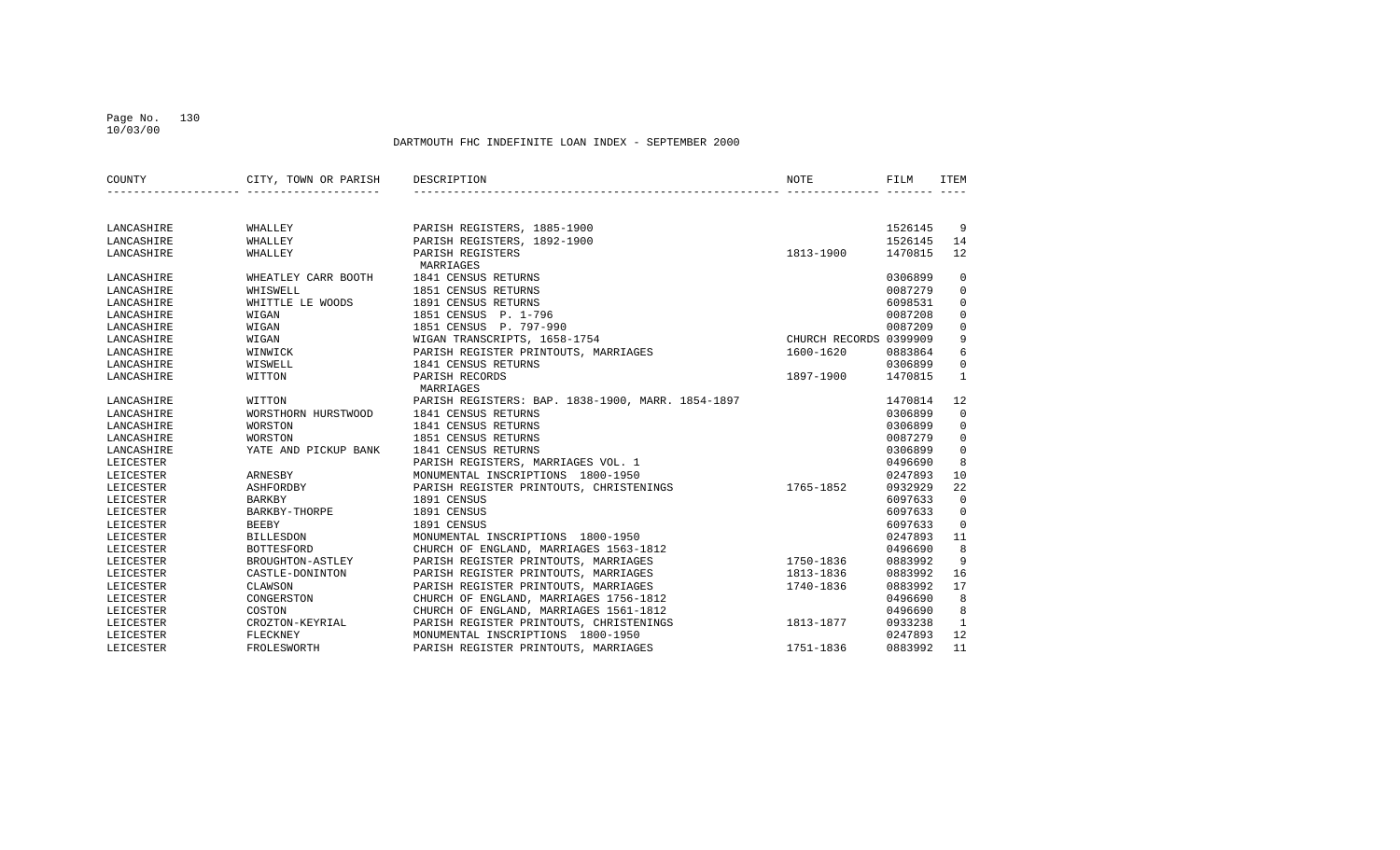## Page No. 130 10/03/00

| COUNTY     | CITY, TOWN OR PARISH | DESCRIPTION                                       | NOTE                   | FILM    | <b>ITEM</b>    |
|------------|----------------------|---------------------------------------------------|------------------------|---------|----------------|
|            |                      |                                                   |                        |         |                |
| LANCASHIRE | WHALLEY              | PARISH REGISTERS, 1885-1900                       |                        | 1526145 | -9             |
| LANCASHIRE | WHALLEY              | PARISH REGISTERS, 1892-1900                       |                        | 1526145 | 14             |
| LANCASHIRE | WHALLEY              | PARISH REGISTERS<br>MARRIAGES                     | 1813-1900              | 1470815 | 12             |
| LANCASHIRE | WHEATLEY CARR BOOTH  | 1841 CENSUS RETURNS                               |                        | 0306899 | $\mathbf 0$    |
| LANCASHIRE | WHISWELL             | 1851 CENSUS RETURNS                               |                        | 0087279 | $\mathbf 0$    |
| LANCASHIRE | WHITTLE LE WOODS     | 1891 CENSUS RETURNS                               |                        | 6098531 | $\mathbf 0$    |
| LANCASHIRE | WIGAN                | 1851 CENSUS P. 1-796                              |                        | 0087208 | $\mathbf 0$    |
| LANCASHIRE | WIGAN                | 1851 CENSUS P. 797-990                            |                        | 0087209 | $\mathbf 0$    |
| LANCASHIRE | WIGAN                | WIGAN TRANSCRIPTS, 1658-1754                      | CHURCH RECORDS 0399909 |         | 9              |
| LANCASHIRE | WINWICK              | PARISH REGISTER PRINTOUTS, MARRIAGES              | 1600-1620              | 0883864 | 6              |
| LANCASHIRE | WISWELL              | 1841 CENSUS RETURNS                               |                        | 0306899 | $\mathbf 0$    |
| LANCASHIRE | WITTON               | PARISH RECORDS                                    | 1897-1900              | 1470815 | <sup>1</sup>   |
|            |                      | MARRIAGES                                         |                        |         |                |
| LANCASHIRE | WITTON               | PARISH REGISTERS: BAP. 1838-1900, MARR. 1854-1897 |                        | 1470814 | 12             |
| LANCASHIRE | WORSTHORN HURSTWOOD  | 1841 CENSUS RETURNS                               |                        | 0306899 | $\overline{0}$ |
| LANCASHIRE | <b>WORSTON</b>       | 1841 CENSUS RETURNS                               |                        | 0306899 | $\mathbf 0$    |
| LANCASHIRE | WORSTON              | 1851 CENSUS RETURNS                               |                        | 0087279 | $\mathbf 0$    |
| LANCASHIRE | YATE AND PICKUP BANK | 1841 CENSUS RETURNS                               |                        | 0306899 | $\mathbf{0}$   |
| LEICESTER  |                      | PARISH REGISTERS, MARRIAGES VOL. 1                |                        | 0496690 | 8              |
| LEICESTER  | ARNESBY              | MONUMENTAL INSCRIPTIONS 1800-1950                 |                        | 0247893 | 10             |
| LEICESTER  | ASHFORDBY            | PARISH REGISTER PRINTOUTS, CHRISTENINGS           | 1765-1852              | 0932929 | 22             |
| LEICESTER  | <b>BARKBY</b>        | 1891 CENSUS                                       |                        | 6097633 | $\overline{0}$ |
| LEICESTER  | BARKBY-THORPE        | 1891 CENSUS                                       |                        | 6097633 | $\mathbf 0$    |
| LEICESTER  | BEEBY                | 1891 CENSUS                                       |                        | 6097633 | $\overline{0}$ |
| LEICESTER  | <b>BILLESDON</b>     | MONUMENTAL INSCRIPTIONS 1800-1950                 |                        | 0247893 | 11             |
| LEICESTER  | <b>BOTTESFORD</b>    | CHURCH OF ENGLAND, MARRIAGES 1563-1812            |                        | 0496690 | 8              |
| LEICESTER  | BROUGHTON-ASTLEY     | PARISH REGISTER PRINTOUTS, MARRIAGES              | 1750-1836              | 0883992 | 9              |
| LEICESTER  | CASTLE-DONINTON      | PARISH REGISTER PRINTOUTS, MARRIAGES              | 1813-1836              | 0883992 | 16             |
| LEICESTER  | CLAWSON              | PARISH REGISTER PRINTOUTS, MARRIAGES              | 1740-1836              | 0883992 | 17             |
| LEICESTER  | CONGERSTON           | CHURCH OF ENGLAND, MARRIAGES 1756-1812            |                        | 0496690 | 8              |
| LEICESTER  | COSTON               | CHURCH OF ENGLAND, MARRIAGES 1561-1812            |                        | 0496690 | 8              |
| LEICESTER  | CROZTON-KEYRIAL      | PARISH REGISTER PRINTOUTS, CHRISTENINGS           | 1813-1877              | 0933238 | $\mathbf{1}$   |
| LEICESTER  | FLECKNEY             | MONUMENTAL INSCRIPTIONS 1800-1950                 |                        | 0247893 | 12             |
| LEICESTER  | FROLESWORTH          | PARISH REGISTER PRINTOUTS, MARRIAGES              | 1751-1836              | 0883992 | 11             |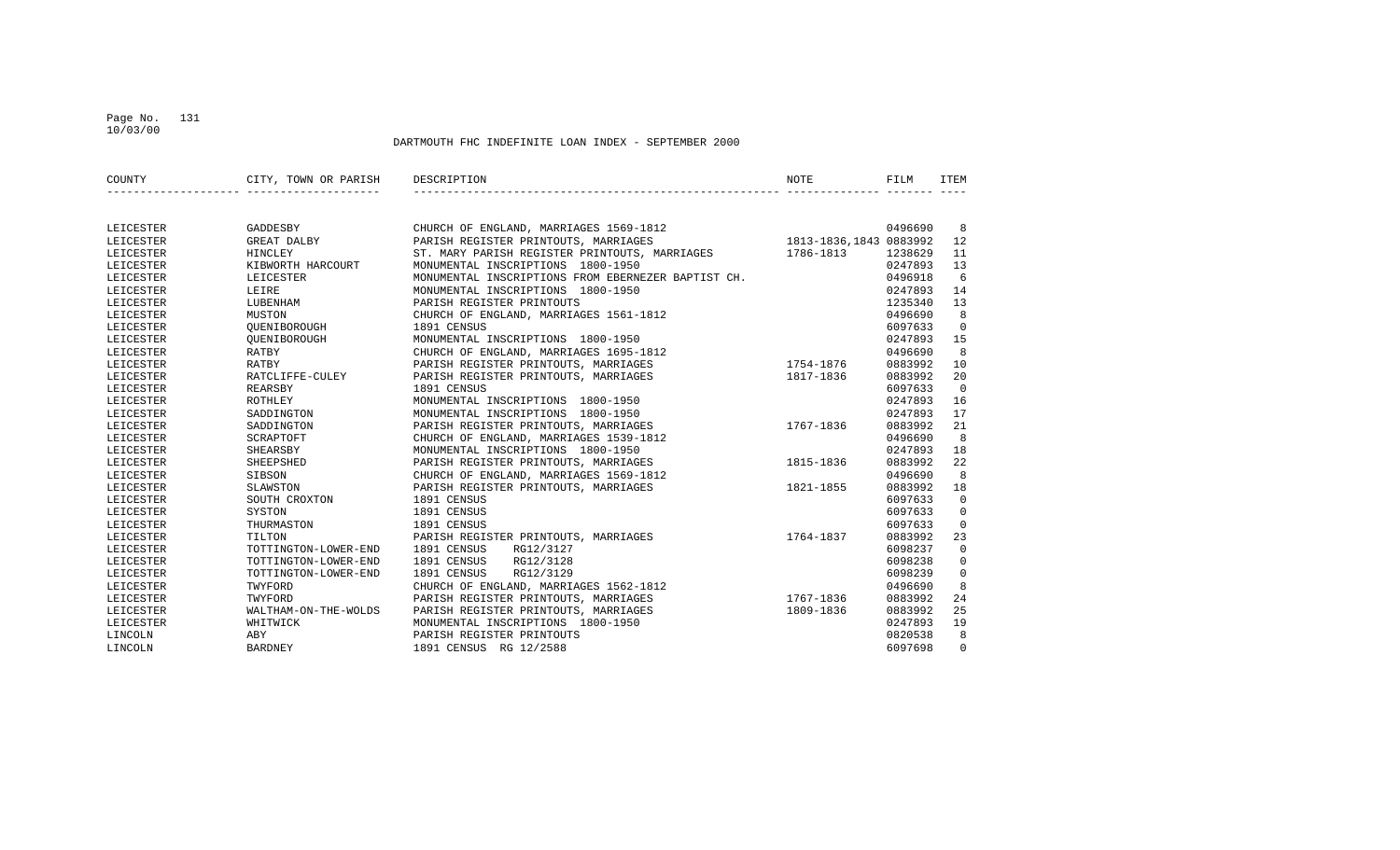## Page No. 131 10/03/00

| COUNTY    | CITY, TOWN OR PARISH DESCRIPTION | NOTE                                                                        | FILM    | <b>ITEM</b>    |
|-----------|----------------------------------|-----------------------------------------------------------------------------|---------|----------------|
|           |                                  |                                                                             |         |                |
| LEICESTER | GADDESBY                         | 0496690<br>1813-1836,1843 0883992<br>CHURCH OF ENGLAND, MARRIAGES 1569-1812 |         | -8             |
| LEICESTER | GREAT DALBY                      | PARISH REGISTER PRINTOUTS, MARRIAGES                                        |         | 12             |
| LEICESTER | HINCLEY                          | 1786-1813<br>ST. MARY PARISH REGISTER PRINTOUTS, MARRIAGES                  | 1238629 | 11             |
| LEICESTER | KIBWORTH HARCOURT                | MONUMENTAL INSCRIPTIONS 1800-1950                                           | 0247893 | 13             |
| LEICESTER | LEICESTER                        | MONUMENTAL INSCRIPTIONS FROM EBERNEZER BAPTIST CH.                          | 0496918 | 6              |
| LEICESTER | LEIRE                            | MONUMENTAL INSCRIPTIONS 1800-1950                                           | 0247893 | 14             |
| LEICESTER | LUBENHAM                         | PARISH REGISTER PRINTOUTS                                                   | 1235340 | 13             |
| LEICESTER | MUSTON                           | CHURCH OF ENGLAND, MARRIAGES 1561-1812                                      | 0496690 | 8              |
| LEICESTER | OUENIBOROUGH                     | 1891 CENSUS                                                                 | 6097633 | $\Omega$       |
| LEICESTER | OUENIBOROUGH                     | MONUMENTAL INSCRIPTIONS 1800-1950                                           | 0247893 | 15             |
| LEICESTER | RATBY                            | CHURCH OF ENGLAND, MARRIAGES 1695-1812                                      | 0496690 | 8              |
| LEICESTER | RATBY                            | PARISH REGISTER PRINTOUTS, MARRIAGES<br>1754-1876                           | 0883992 | 10             |
| LEICESTER | RATCLIFFE-CULEY                  | PARISH REGISTER PRINTOUTS, MARRIAGES<br>1817-1836                           | 0883992 | 20             |
| LEICESTER | REARSBY                          | 1891 CENSUS                                                                 | 6097633 | $\Omega$       |
| LEICESTER | ROTHLEY                          | MONUMENTAL INSCRIPTIONS 1800-1950                                           | 0247893 | 16             |
| LEICESTER | SADDINGTON                       | MONUMENTAL INSCRIPTIONS 1800-1950                                           | 0247893 | 17             |
| LEICESTER | SADDINGTON                       | 1767-1836<br>PARISH REGISTER PRINTOUTS, MARRIAGES                           | 0883992 | 21             |
| LEICESTER | SCRAPTOFT                        | CHURCH OF ENGLAND, MARRIAGES 1539-1812                                      | 0496690 | 8              |
| LEICESTER | SHEARSBY                         | MONUMENTAL INSCRIPTIONS 1800-1950                                           | 0247893 | 18             |
| LEICESTER | SHEEPSHED                        | PARISH REGISTER PRINTOUTS, MARRIAGES<br>1815-1836                           | 0883992 | 22             |
| LEICESTER | SIBSON                           | CHURCH OF ENGLAND, MARRIAGES 1569-1812                                      | 0496690 | 8              |
| LEICESTER | SLAWSTON                         | PARISH REGISTER PRINTOUTS, MARRIAGES<br>1821-1855                           | 0883992 | 18             |
| LEICESTER | SOUTH CROXTON                    | 1891 CENSUS                                                                 | 6097633 | $\overline{0}$ |
| LEICESTER | SYSTON                           | 1891 CENSUS                                                                 | 6097633 | $\mathbf 0$    |
| LEICESTER | THURMASTON                       | 1891 CENSUS                                                                 | 6097633 | $\Omega$       |
| LEICESTER | TILTON                           | PARISH REGISTER PRINTOUTS, MARRIAGES<br>1764-1837                           | 0883992 | 23             |
| LEICESTER | TOTTINGTON-LOWER-END             | 1891 CENSUS<br>RG12/3127                                                    | 6098237 | $\overline{0}$ |
| LEICESTER | TOTTINGTON-LOWER-END             | RG12/3128<br>1891 CENSUS                                                    | 6098238 | $\mathbf 0$    |
| LEICESTER | TOTTINGTON-LOWER-END             | RG12/3129<br>1891 CENSUS                                                    | 6098239 | $\Omega$       |
| LEICESTER | TWYFORD                          | CHURCH OF ENGLAND, MARRIAGES 1562-1812                                      | 0496690 | 8              |
| LEICESTER | TWYFORD                          | PARISH REGISTER PRINTOUTS, MARRIAGES<br>1767-1836                           | 0883992 | 24             |
| LEICESTER | WALTHAM-ON-THE-WOLDS             | PARISH REGISTER PRINTOUTS, MARRIAGES<br>1809-1836                           | 0883992 | 25             |
| LEICESTER | WHITWICK                         | MONUMENTAL INSCRIPTIONS 1800-1950                                           | 0247893 | 19             |
| LINCOLN   | ABY                              | PARISH REGISTER PRINTOUTS                                                   | 0820538 | 8              |
| LINCOLN   | <b>BARDNEY</b>                   | 1891 CENSUS RG 12/2588                                                      | 6097698 | $\Omega$       |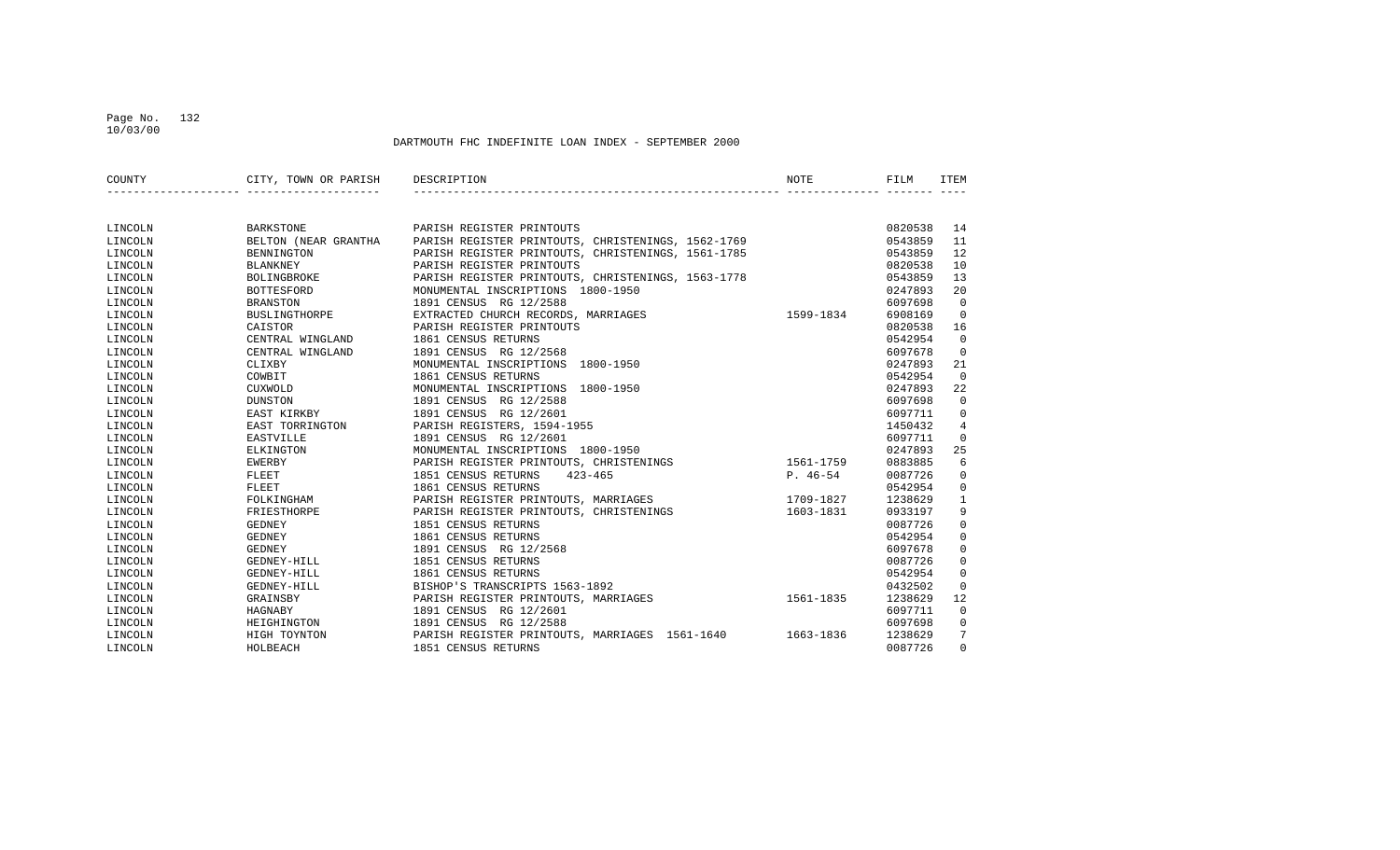## Page No. 132 10/03/00

| COUNTY  | CITY, TOWN OR PARISH | DESCRIPTION                                              | NOTE       | FILM    | ITEM           |
|---------|----------------------|----------------------------------------------------------|------------|---------|----------------|
|         |                      |                                                          |            |         |                |
| LINCOLN | <b>BARKSTONE</b>     | PARISH REGISTER PRINTOUTS                                |            | 0820538 | 14             |
| LINCOLN | BELTON (NEAR GRANTHA | PARISH REGISTER PRINTOUTS, CHRISTENINGS, 1562-1769       |            | 0543859 | 11             |
| LINCOLN | BENNINGTON           | PARISH REGISTER PRINTOUTS, CHRISTENINGS, 1561-1785       |            | 0543859 | 12             |
| LINCOLN | <b>BLANKNEY</b>      | PARISH REGISTER PRINTOUTS                                |            | 0820538 | 10             |
| LINCOLN | <b>BOLINGBROKE</b>   | PARISH REGISTER PRINTOUTS, CHRISTENINGS, 1563-1778       |            | 0543859 | 13             |
| LINCOLN | BOTTESFORD           | MONUMENTAL INSCRIPTIONS 1800-1950                        |            | 0247893 | 20             |
| LINCOLN | <b>BRANSTON</b>      | 1891 CENSUS RG 12/2588                                   |            | 6097698 | $\Omega$       |
| LINCOLN | BUSLINGTHORPE        | EXTRACTED CHURCH RECORDS, MARRIAGES                      | 1599-1834  | 6908169 | $\Omega$       |
| LINCOLN | CAISTOR              | PARISH REGISTER PRINTOUTS                                |            | 0820538 | 16             |
| LINCOLN | CENTRAL WINGLAND     | 1861 CENSUS RETURNS                                      |            | 0542954 | $\mathbf 0$    |
| LINCOLN | CENTRAL WINGLAND     | 1891 CENSUS RG 12/2568                                   |            | 6097678 | $\mathbf 0$    |
| LINCOLN | CLIXBY               | MONUMENTAL INSCRIPTIONS 1800-1950                        |            | 0247893 | 21             |
| LINCOLN | COWBIT               | 1861 CENSUS RETURNS                                      |            | 0542954 | $\Omega$       |
| LINCOLN | CUXWOLD              | MONUMENTAL INSCRIPTIONS 1800-1950                        |            | 0247893 | 22             |
| LINCOLN | <b>DUNSTON</b>       | 1891 CENSUS RG 12/2588                                   |            | 6097698 | $\overline{0}$ |
| LINCOLN | EAST KIRKBY          | 1891 CENSUS RG 12/2601                                   |            | 6097711 | 0              |
| LINCOLN | EAST TORRINGTON      | PARISH REGISTERS, 1594-1955                              |            | 1450432 | 4              |
| LINCOLN | <b>EASTVILLE</b>     | 1891 CENSUS RG 12/2601                                   |            | 6097711 | $\Omega$       |
| LINCOLN | ELKINGTON            | MONUMENTAL INSCRIPTIONS 1800-1950                        |            | 0247893 | 25             |
| LINCOLN | EWERBY               | PARISH REGISTER PRINTOUTS, CHRISTENINGS                  | 1561-1759  | 0883885 | 6              |
| LINCOLN | FLEET                | 1851 CENSUS RETURNS<br>$423 - 465$                       | $P. 46-54$ | 0087726 | $\mathbf 0$    |
| LINCOLN | FLEET                | 1861 CENSUS RETURNS                                      |            | 0542954 | 0              |
| LINCOLN | FOLKINGHAM           | PARISH REGISTER PRINTOUTS, MARRIAGES                     | 1709-1827  | 1238629 | $\mathbf{1}$   |
| LINCOLN | FRIESTHORPE          | PARISH REGISTER PRINTOUTS, CHRISTENINGS                  | 1603-1831  | 0933197 | 9              |
| LINCOLN | GEDNEY               | 1851 CENSUS RETURNS                                      |            | 0087726 | 0              |
| LINCOLN | GEDNEY               | 1861 CENSUS RETURNS                                      |            | 0542954 | $\mathbf 0$    |
| LINCOLN | <b>GEDNEY</b>        | 1891 CENSUS RG 12/2568                                   |            | 6097678 | $\mathbf 0$    |
| LINCOLN | GEDNEY-HILL          | 1851 CENSUS RETURNS                                      |            | 0087726 | $\mathbf{0}$   |
| LINCOLN | GEDNEY-HILL          | 1861 CENSUS RETURNS                                      |            | 0542954 | $\mathbf 0$    |
| LINCOLN | GEDNEY-HILL          | BISHOP'S TRANSCRIPTS 1563-1892                           |            | 0432502 | $\mathbf 0$    |
| LINCOLN | GRAINSBY             | PARISH REGISTER PRINTOUTS, MARRIAGES                     | 1561-1835  | 1238629 | 12             |
| LINCOLN | HAGNABY              | 1891 CENSUS RG 12/2601                                   |            | 6097711 | $\mathbf 0$    |
| LINCOLN | HEIGHINGTON          | 1891 CENSUS RG 12/2588                                   |            | 6097698 | 0              |
| LINCOLN | HIGH TOYNTON         | PARISH REGISTER PRINTOUTS, MARRIAGES 1561-1640 1663-1836 |            | 1238629 | 7              |
| LINCOLN | HOLBEACH             | 1851 CENSUS RETURNS                                      |            | 0087726 | $\Omega$       |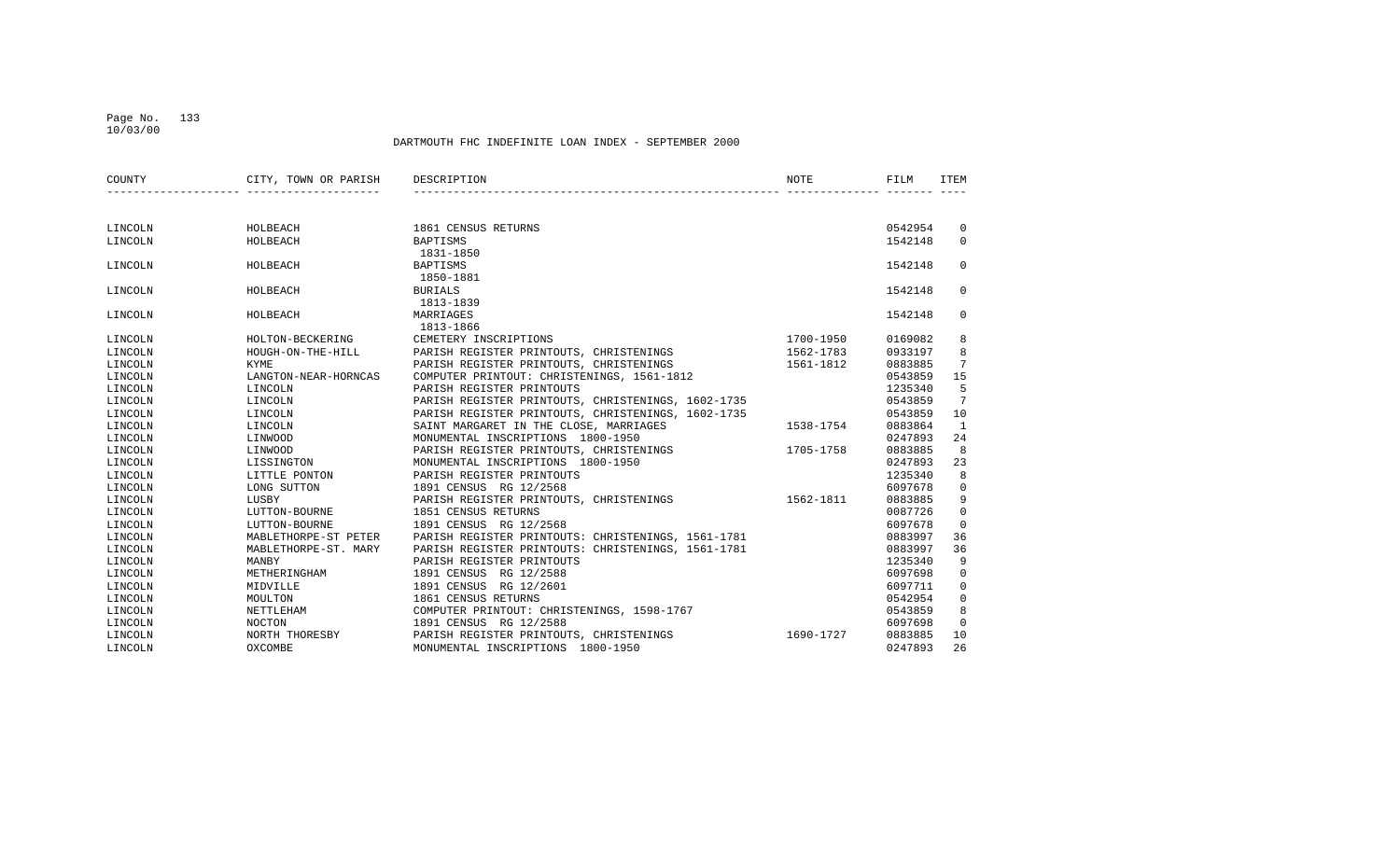## Page No. 133 10/03/00

| COUNTY  | CITY, TOWN OR PARISH | DESCRIPTION                                        | NOTE      | FILM    | ITEM           |
|---------|----------------------|----------------------------------------------------|-----------|---------|----------------|
|         |                      |                                                    |           |         |                |
|         |                      |                                                    |           |         |                |
| LINCOLN | HOLBEACH             | 1861 CENSUS RETURNS                                |           | 0542954 | 0              |
| LINCOLN | HOLBEACH             | BAPTISMS                                           |           | 1542148 | $\mathbf{0}$   |
|         |                      | 1831-1850                                          |           |         |                |
| LINCOLN | HOLBEACH             | <b>BAPTISMS</b>                                    |           | 1542148 | $\Omega$       |
|         |                      | 1850-1881                                          |           |         |                |
| LINCOLN | HOLBEACH             | <b>BURIALS</b>                                     |           | 1542148 | 0              |
|         |                      | 1813-1839                                          |           |         |                |
| LINCOLN | HOLBEACH             | MARRIAGES                                          |           | 1542148 | 0              |
|         |                      | 1813-1866                                          |           |         |                |
| LINCOLN | HOLTON-BECKERING     | CEMETERY INSCRIPTIONS                              | 1700-1950 | 0169082 | 8              |
| LINCOLN | HOUGH-ON-THE-HILL    | PARISH REGISTER PRINTOUTS, CHRISTENINGS            | 1562-1783 | 0933197 | 8              |
| LINCOLN | <b>KYME</b>          | PARISH REGISTER PRINTOUTS, CHRISTENINGS            | 1561-1812 | 0883885 | 7              |
| LINCOLN | LANGTON-NEAR-HORNCAS | COMPUTER PRINTOUT: CHRISTENINGS, 1561-1812         |           | 0543859 | 15             |
| LINCOLN | LINCOLN              | PARISH REGISTER PRINTOUTS                          |           | 1235340 | 5              |
| LINCOLN | LINCOLN              | PARISH REGISTER PRINTOUTS, CHRISTENINGS, 1602-1735 |           | 0543859 | 7              |
| LINCOLN | LINCOLN              | PARISH REGISTER PRINTOUTS, CHRISTENINGS, 1602-1735 |           | 0543859 | 10             |
| LINCOLN | LINCOLN              | SAINT MARGARET IN THE CLOSE, MARRIAGES             | 1538-1754 | 0883864 | 1              |
| LINCOLN | LINWOOD              | MONUMENTAL INSCRIPTIONS 1800-1950                  |           | 0247893 | 24             |
| LINCOLN | LINWOOD              | PARISH REGISTER PRINTOUTS, CHRISTENINGS            | 1705-1758 | 0883885 | 8              |
| LINCOLN | LISSINGTON           | MONUMENTAL INSCRIPTIONS 1800-1950                  |           | 0247893 | 23             |
| LINCOLN | LITTLE PONTON        | PARISH REGISTER PRINTOUTS                          |           | 1235340 | 8              |
| LINCOLN | LONG SUTTON          | 1891 CENSUS RG 12/2568                             |           | 6097678 | $\mathbf 0$    |
| LINCOLN | LUSBY                | PARISH REGISTER PRINTOUTS, CHRISTENINGS            | 1562-1811 | 0883885 | 9              |
| LINCOLN | LUTTON-BOURNE        | 1851 CENSUS RETURNS                                |           | 0087726 | $\mathbf 0$    |
| LINCOLN | LUTTON-BOURNE        | 1891 CENSUS RG 12/2568                             |           | 6097678 | $\mathbf 0$    |
| LINCOLN | MABLETHORPE-ST PETER | PARISH REGISTER PRINTOUTS: CHRISTENINGS, 1561-1781 |           | 0883997 | 36             |
| LINCOLN | MABLETHORPE-ST. MARY | PARISH REGISTER PRINTOUTS: CHRISTENINGS, 1561-1781 |           | 0883997 | 36             |
| LINCOLN | MANBY                | PARISH REGISTER PRINTOUTS                          |           | 1235340 | 9              |
| LINCOLN | METHERINGHAM         | 1891 CENSUS RG 12/2588                             |           | 6097698 | $\mathbf 0$    |
| LINCOLN | MIDVILLE             | 1891 CENSUS<br>RG 12/2601                          |           | 6097711 | $\mathbf 0$    |
| LINCOLN | MOULTON              | 1861 CENSUS RETURNS                                |           | 0542954 | $\mathsf 0$    |
| LINCOLN | NETTLEHAM            | COMPUTER PRINTOUT: CHRISTENINGS, 1598-1767         |           | 0543859 | 8              |
| LINCOLN | <b>NOCTON</b>        | 1891 CENSUS RG 12/2588                             |           | 6097698 | $\overline{0}$ |
| LINCOLN | NORTH THORESBY       | PARISH REGISTER PRINTOUTS, CHRISTENINGS            | 1690-1727 | 0883885 | 10             |
| LINCOLN | OXCOMBE              | MONUMENTAL INSCRIPTIONS 1800-1950                  |           | 0247893 | 26             |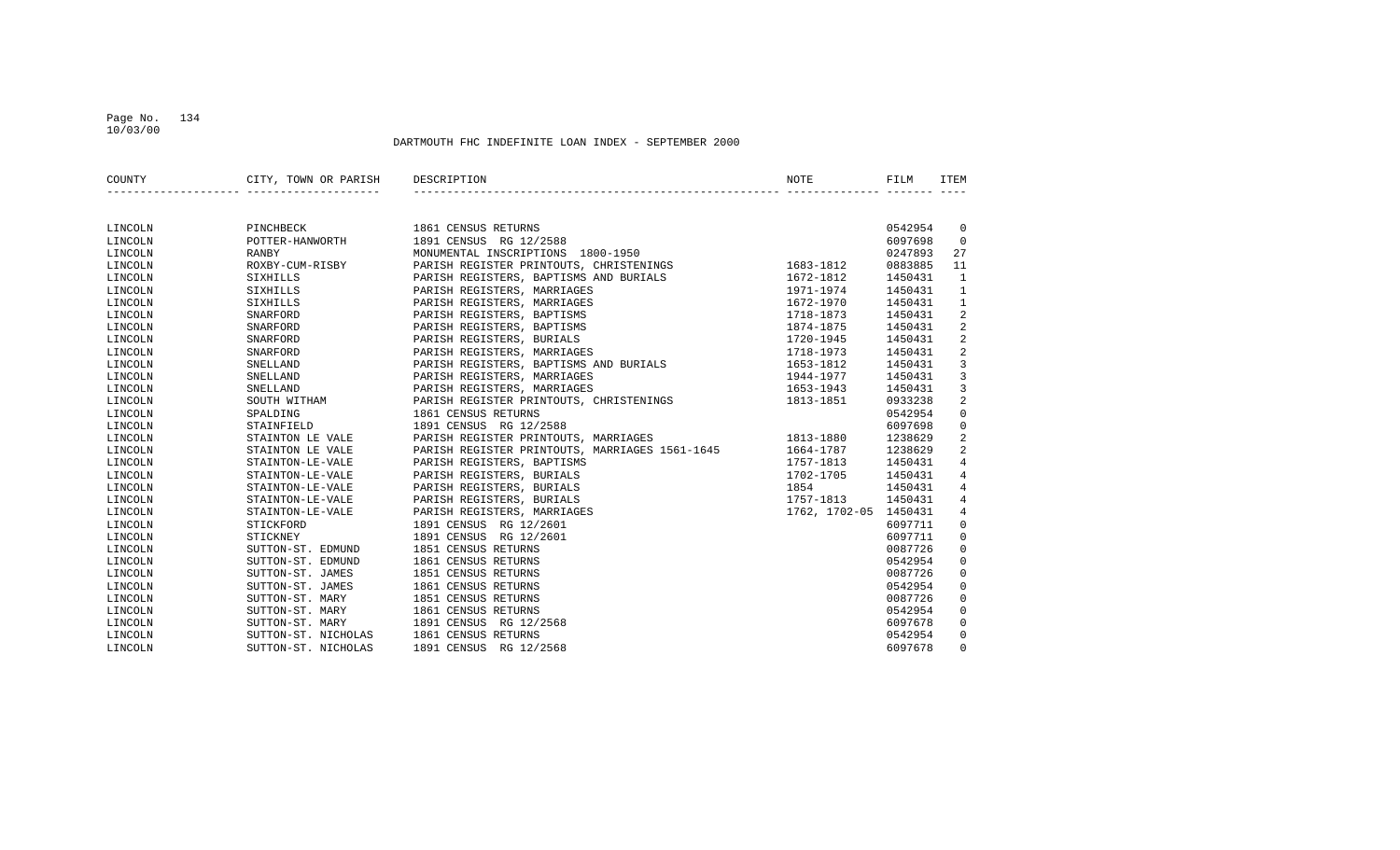## Page No. 134 10/03/00

| COUNTY  | CITY, TOWN OR PARISH | DESCRIPTION                                    | <b>NOTE</b>           | FILM    | ITEM           |
|---------|----------------------|------------------------------------------------|-----------------------|---------|----------------|
|         |                      |                                                |                       |         |                |
| LINCOLN | PINCHBECK            | 1861 CENSUS RETURNS                            |                       | 0542954 | $\mathbf 0$    |
| LINCOLN | POTTER-HANWORTH      | 1891 CENSUS RG 12/2588                         |                       | 6097698 | $\mathbf 0$    |
| LINCOLN | RANBY                | MONUMENTAL INSCRIPTIONS 1800-1950              |                       | 0247893 | 27             |
| LINCOLN | ROXBY-CUM-RISBY      | PARISH REGISTER PRINTOUTS, CHRISTENINGS        | 1683-1812             | 0883885 | 11             |
| LINCOLN | SIXHILLS             | PARISH REGISTERS, BAPTISMS AND BURIALS         | 1672-1812             | 1450431 | $\mathbf{1}$   |
| LINCOLN | SIXHILLS             | PARISH REGISTERS, MARRIAGES                    | 1971-1974             | 1450431 | 1              |
| LINCOLN | SIXHILLS             | PARISH REGISTERS, MARRIAGES                    | 1672-1970             | 1450431 | $\mathbf{1}$   |
| LINCOLN | SNARFORD             | PARISH REGISTERS, BAPTISMS                     | 1718-1873             | 1450431 | 2              |
| LINCOLN | SNARFORD             | PARISH REGISTERS, BAPTISMS                     | 1874-1875             | 1450431 | 2              |
| LINCOLN | SNARFORD             | PARISH REGISTERS, BURIALS                      | 1720-1945             | 1450431 | 2              |
| LINCOLN | SNARFORD             | PARISH REGISTERS, MARRIAGES                    | 1718-1973             | 1450431 | 2              |
| LINCOLN | SNELLAND             | PARISH REGISTERS, BAPTISMS AND BURIALS         | 1653-1812             | 1450431 | $\overline{3}$ |
| LINCOLN | SNELLAND             | PARISH REGISTERS, MARRIAGES                    | 1944-1977             | 1450431 | 3              |
| LINCOLN | SNELLAND             | PARISH REGISTERS, MARRIAGES                    | 1653-1943             | 1450431 | 3              |
| LINCOLN | SOUTH WITHAM         | PARISH REGISTER PRINTOUTS, CHRISTENINGS        | 1813-1851             | 0933238 | $\overline{2}$ |
| LINCOLN | SPALDING             | 1861 CENSUS RETURNS                            |                       | 0542954 | $\mathbf 0$    |
| LINCOLN | STAINFIELD           | 1891 CENSUS RG 12/2588                         |                       | 6097698 | 0              |
| LINCOLN | STAINTON LE VALE     | PARISH REGISTER PRINTOUTS, MARRIAGES           | 1813-1880             | 1238629 | 2              |
| LINCOLN | STAINTON LE VALE     | PARISH REGISTER PRINTOUTS, MARRIAGES 1561-1645 | 1664-1787             | 1238629 | $\overline{a}$ |
| LINCOLN | STAINTON-LE-VALE     | PARISH REGISTERS, BAPTISMS                     | 1757-1813             | 1450431 | 4              |
| LINCOLN | STAINTON-LE-VALE     | PARISH REGISTERS, BURIALS                      | 1702-1705             | 1450431 | 4              |
| LINCOLN | STAINTON-LE-VALE     | PARISH REGISTERS, BURIALS                      | 1854                  | 1450431 | $\overline{4}$ |
| LINCOLN | STAINTON-LE-VALE     | PARISH REGISTERS, BURIALS                      | 1757-1813             | 1450431 | $\overline{4}$ |
| LINCOLN | STAINTON-LE-VALE     | PARISH REGISTERS, MARRIAGES                    | 1762, 1702-05 1450431 |         | $\overline{4}$ |
| LINCOLN | STICKFORD            | 1891 CENSUS RG 12/2601                         |                       | 6097711 | $\mathbf 0$    |
| LINCOLN | STICKNEY             | 1891 CENSUS RG 12/2601                         |                       | 6097711 | $\mathbf 0$    |
| LINCOLN | SUTTON-ST. EDMUND    | 1851 CENSUS RETURNS                            |                       | 0087726 | $\mathbf 0$    |
| LINCOLN | SUTTON-ST. EDMUND    | 1861 CENSUS RETURNS                            |                       | 0542954 | $\mathbf 0$    |
| LINCOLN | SUTTON-ST. JAMES     | 1851 CENSUS RETURNS                            |                       | 0087726 | $\mathbf 0$    |
| LINCOLN | SUTTON-ST. JAMES     | 1861 CENSUS RETURNS                            |                       | 0542954 | $\mathbf 0$    |
| LINCOLN | SUTTON-ST. MARY      | 1851 CENSUS RETURNS                            |                       | 0087726 | $\mathbf 0$    |
| LINCOLN | SUTTON-ST. MARY      | 1861 CENSUS RETURNS                            |                       | 0542954 | $\mathbf 0$    |
| LINCOLN | SUTTON-ST. MARY      | 1891 CENSUS RG 12/2568                         |                       | 6097678 | $\mathbf 0$    |
| LINCOLN | SUTTON-ST. NICHOLAS  | 1861 CENSUS RETURNS                            |                       | 0542954 | $\mathbf 0$    |
| LINCOLN | SUTTON-ST. NICHOLAS  | 1891 CENSUS RG 12/2568                         |                       | 6097678 | $\Omega$       |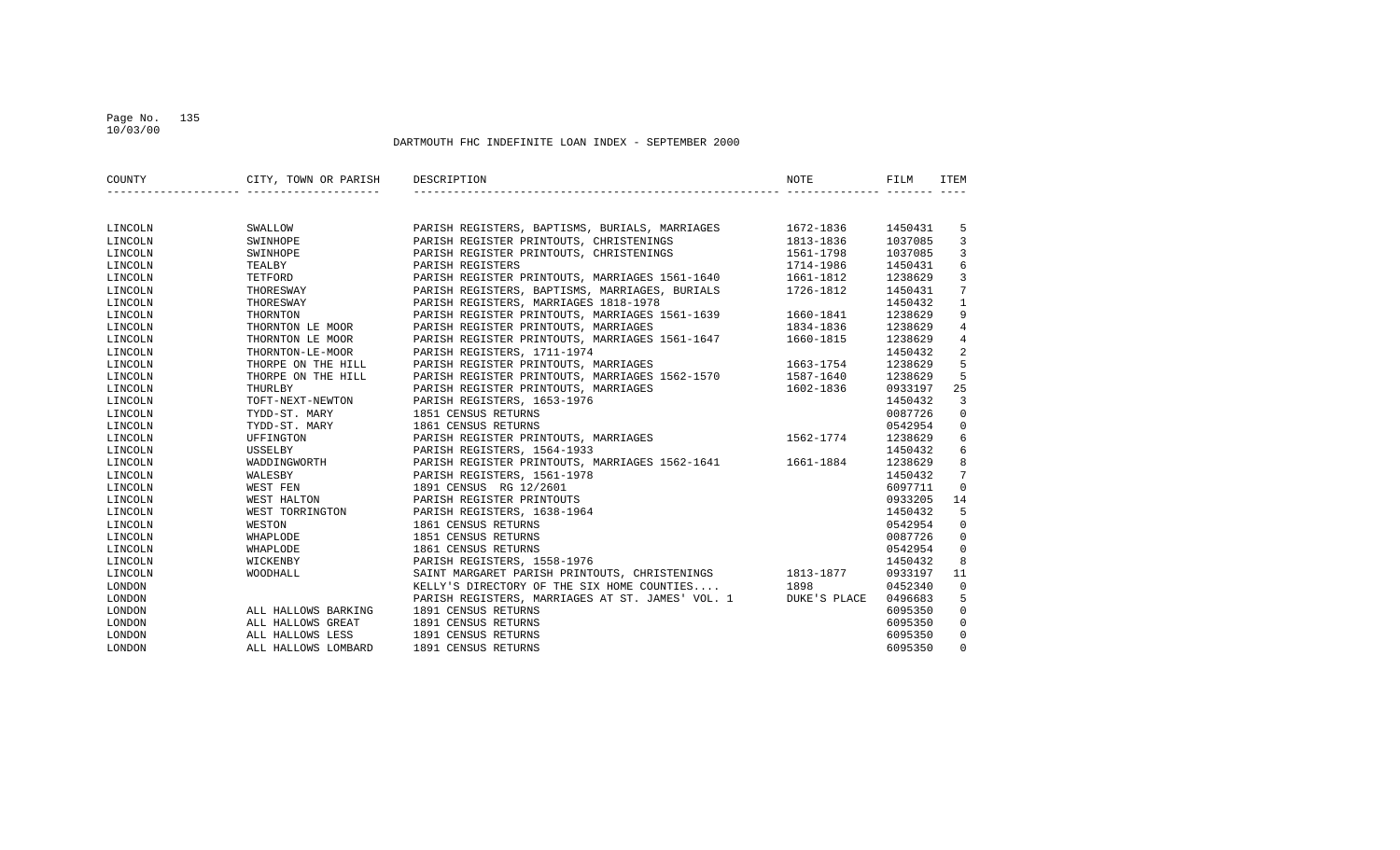## Page No. 135 10/03/00

| COUNTY  | CITY, TOWN OR PARISH DESCRIPTION |                                                               | NOTE          | FILM    | ITEM            |
|---------|----------------------------------|---------------------------------------------------------------|---------------|---------|-----------------|
|         |                                  |                                                               |               |         |                 |
| LINCOLN | SWALLOW                          | PARISH REGISTERS, BAPTISMS, BURIALS, MARRIAGES 1672-1836      |               | 1450431 | 5               |
| LINCOLN | SWINHOPE                         | PARISH REGISTER PRINTOUTS, CHRISTENINGS                       | 1813-1836     | 1037085 | 3               |
| LINCOLN | SWINHOPE                         | PARISH REGISTER PRINTOUTS, CHRISTENINGS                       | 1561-1798     | 1037085 | $\mathbf{3}$    |
| LINCOLN | TEALBY                           | PARISH REGISTERS                                              | 1714-1986     | 1450431 | 6               |
| LINCOLN | TETFORD                          | PARISH REGISTER PRINTOUTS, MARRIAGES 1561-1640 1661-1812      |               | 1238629 | $\mathbf{3}$    |
| LINCOLN | THORESWAY                        | PARISH REGISTERS, BAPTISMS, MARRIAGES, BURIALS 1726-1812      |               | 1450431 | $7\overline{ }$ |
| LINCOLN | THORESWAY                        | PARISH REGISTERS, MARRIAGES 1818-1978                         |               | 1450432 | $\mathbf{1}$    |
| LINCOLN | THORNTON                         | PARISH REGISTER PRINTOUTS, MARRIAGES 1561-1639 1660-1841      |               | 1238629 | 9               |
| LINCOLN | THORNTON LE MOOR                 | PARISH REGISTER PRINTOUTS, MARRIAGES                          | 1834-1836     | 1238629 | 4               |
| LINCOLN | THORNTON LE MOOR                 | PARISH REGISTER PRINTOUTS, MARRIAGES 1561-1647 1660-1815      |               | 1238629 | $\overline{4}$  |
| LINCOLN | THORNTON-LE-MOOR                 | PARISH REGISTERS, 1711-1974                                   |               | 1450432 | 2               |
| LINCOLN | THORPE ON THE HILL               | PARISH REGISTER PRINTOUTS, MARRIAGES                          | 1663-1754     | 1238629 | 5               |
| LINCOLN | THORPE ON THE HILL               | PARISH REGISTER PRINTOUTS, MARRIAGES 1562-1570                | 1587-1640     | 1238629 | 5               |
| LINCOLN | THURLBY                          | PARISH REGISTER PRINTOUTS, MARRIAGES                          | 1602-1836     | 0933197 | 25              |
| LINCOLN | TOFT-NEXT-NEWTON                 | PARISH REGISTERS, 1653-1976                                   |               | 1450432 | $\overline{3}$  |
| LINCOLN | TYDD-ST. MARY                    | 1851 CENSUS RETURNS                                           |               | 0087726 | $\mathbf 0$     |
| LINCOLN | TYDD-ST. MARY                    | 1861 CENSUS RETURNS                                           |               | 0542954 | $\mathbf 0$     |
| LINCOLN | UFFINGTON                        | PARISH REGISTER PRINTOUTS, MARRIAGES                          | $1562 - 1774$ | 1238629 | 6               |
| LINCOLN | USSELBY                          | PARISH REGISTERS, 1564-1933                                   |               | 1450432 | 6               |
| LINCOLN | WADDINGWORTH                     | PARISH REGISTER PRINTOUTS, MARRIAGES 1562-1641 1661-1884      |               | 1238629 | 8               |
| LINCOLN | WALESBY                          | PARISH REGISTERS, 1561-1978                                   |               | 1450432 | $\overline{7}$  |
| LINCOLN | WEST FEN                         | 1891 CENSUS RG 12/2601                                        |               | 6097711 | $\mathbf 0$     |
| LINCOLN | WEST HALTON                      | PARISH REGISTER PRINTOUTS                                     |               | 0933205 | 14              |
| LINCOLN | WEST TORRINGTON                  | PARISH REGISTERS, 1638-1964                                   |               | 1450432 | 5               |
| LINCOLN | WESTON                           | 1861 CENSUS RETURNS                                           |               | 0542954 | $\mathbf 0$     |
| LINCOLN | WHAPLODE                         | 1851 CENSUS RETURNS                                           |               | 0087726 | $\mathbf{0}$    |
| LINCOLN | WHAPLODE                         | 1861 CENSUS RETURNS                                           |               | 0542954 | $\mathbf 0$     |
| LINCOLN | WICKENBY                         | PARISH REGISTERS, 1558-1976                                   |               | 1450432 | 8               |
| LINCOLN | WOODHALL                         | SAINT MARGARET PARISH PRINTOUTS, CHRISTENINGS 1813-1877       |               | 0933197 | 11              |
| LONDON  |                                  | KELLY'S DIRECTORY OF THE SIX HOME COUNTIES 1898               |               | 0452340 | $\mathbf 0$     |
| LONDON  |                                  | PARISH REGISTERS, MARRIAGES AT ST. JAMES' VOL. 1 DUKE'S PLACE |               | 0496683 | 5               |
| LONDON  | ALL HALLOWS BARKING              | 1891 CENSUS RETURNS                                           |               | 6095350 | $\mathbf 0$     |
| LONDON  | ALL HALLOWS GREAT                | 1891 CENSUS RETURNS                                           |               | 6095350 | $\mathbf 0$     |
| LONDON  | ALL HALLOWS LESS                 | 1891 CENSUS RETURNS                                           |               | 6095350 | $\mathbf 0$     |
| LONDON  | ALL HALLOWS LOMBARD              | 1891 CENSUS RETURNS                                           |               | 6095350 | $\mathbf 0$     |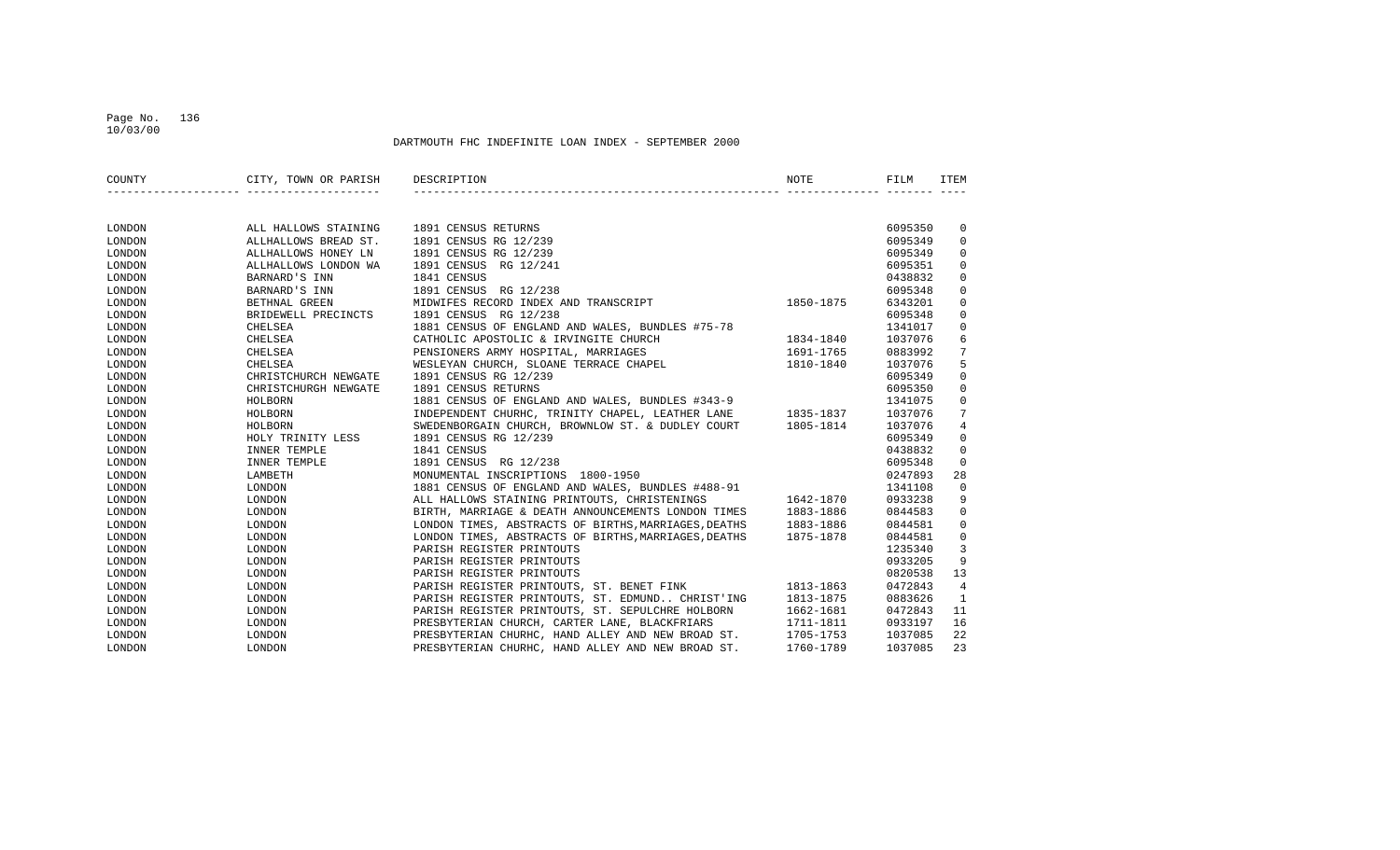## Page No. 136 10/03/00

| COUNTY | CITY, TOWN OR PARISH | DESCRIPTION                                                 | NOTE      | FILM    | <b>ITEM</b>    |
|--------|----------------------|-------------------------------------------------------------|-----------|---------|----------------|
|        |                      |                                                             |           |         |                |
| LONDON | ALL HALLOWS STAINING | 1891 CENSUS RETURNS                                         |           | 6095350 | 0              |
| LONDON | ALLHALLOWS BREAD ST. | 1891 CENSUS RG 12/239                                       |           | 6095349 | 0              |
| LONDON | ALLHALLOWS HONEY LN  | 1891 CENSUS RG 12/239                                       |           | 6095349 | $\Omega$       |
| LONDON | ALLHALLOWS LONDON WA | 1891 CENSUS<br>RG 12/241                                    |           | 6095351 | $\Omega$       |
| LONDON | BARNARD'S INN        | 1841 CENSUS                                                 |           | 0438832 | $\mathbf 0$    |
| LONDON | BARNARD'S INN        | 1891 CENSUS<br>RG 12/238                                    |           | 6095348 | $\mathbf 0$    |
| LONDON | BETHNAL GREEN        | MIDWIFES RECORD INDEX AND TRANSCRIPT                        | 1850-1875 | 6343201 | 0              |
| LONDON | BRIDEWELL PRECINCTS  | 1891 CENSUS RG 12/238                                       |           | 6095348 | 0              |
| LONDON | CHELSEA              | 1881 CENSUS OF ENGLAND AND WALES, BUNDLES #75-78            |           | 1341017 | 0              |
| LONDON | CHELSEA              | CATHOLIC APOSTOLIC & IRVINGITE CHURCH                       | 1834-1840 | 1037076 | 6              |
| LONDON | CHELSEA              | PENSIONERS ARMY HOSPITAL, MARRIAGES                         | 1691-1765 | 0883992 | 7              |
| LONDON | CHELSEA              | WESLEYAN CHURCH, SLOANE TERRACE CHAPEL                      | 1810-1840 | 1037076 | 5              |
| LONDON | CHRISTCHURCH NEWGATE | 1891 CENSUS RG 12/239                                       |           | 6095349 | $\mathbf 0$    |
| LONDON | CHRISTCHURGH NEWGATE | 1891 CENSUS RETURNS                                         |           | 6095350 | $\mathbf 0$    |
| LONDON | HOLBORN              | 1881 CENSUS OF ENGLAND AND WALES, BUNDLES #343-9            |           | 1341075 | $\mathbf 0$    |
| LONDON | HOLBORN              | INDEPENDENT CHURHC, TRINITY CHAPEL, LEATHER LANE 1835-1837  |           | 1037076 | 7              |
| LONDON | HOLBORN              | SWEDENBORGAIN CHURCH, BROWNLOW ST. & DUDLEY COURT 1805-1814 |           | 1037076 | 4              |
| LONDON | HOLY TRINITY LESS    | 1891 CENSUS RG 12/239                                       |           | 6095349 | $\mathbf 0$    |
| LONDON | INNER TEMPLE         | 1841 CENSUS                                                 |           | 0438832 | $\mathbf 0$    |
| LONDON | INNER TEMPLE         | 1891 CENSUS RG 12/238                                       |           | 6095348 | $\Omega$       |
| LONDON | LAMBETH              | MONUMENTAL INSCRIPTIONS 1800-1950                           |           | 0247893 | 28             |
| LONDON | LONDON               | 1881 CENSUS OF ENGLAND AND WALES, BUNDLES #488-91           |           | 1341108 | $\mathbf 0$    |
| LONDON | LONDON               | ALL HALLOWS STAINING PRINTOUTS, CHRISTENINGS                | 1642-1870 | 0933238 | 9              |
| LONDON | LONDON               | BIRTH, MARRIAGE & DEATH ANNOUNCEMENTS LONDON TIMES          | 1883-1886 | 0844583 | $\mathsf 0$    |
| LONDON | LONDON               | LONDON TIMES, ABSTRACTS OF BIRTHS, MARRIAGES, DEATHS        | 1883-1886 | 0844581 | $\mathbf 0$    |
| LONDON | LONDON               | LONDON TIMES, ABSTRACTS OF BIRTHS, MARRIAGES, DEATHS        | 1875-1878 | 0844581 | $\mathbf 0$    |
| LONDON | LONDON               | PARISH REGISTER PRINTOUTS                                   |           | 1235340 | 3              |
| LONDON | LONDON               | PARISH REGISTER PRINTOUTS                                   |           | 0933205 | 9              |
| LONDON | LONDON               | PARISH REGISTER PRINTOUTS                                   |           | 0820538 | 13             |
| LONDON | LONDON               | PARISH REGISTER PRINTOUTS, ST. BENET FINK                   | 1813-1863 | 0472843 | $\overline{4}$ |
| LONDON | LONDON               | PARISH REGISTER PRINTOUTS, ST. EDMUND CHRIST'ING            | 1813-1875 | 0883626 | 1              |
| LONDON | LONDON               | PARISH REGISTER PRINTOUTS, ST. SEPULCHRE HOLBORN            | 1662-1681 | 0472843 | 11             |
| LONDON | LONDON               | PRESBYTERIAN CHURCH, CARTER LANE, BLACKFRIARS               | 1711-1811 | 0933197 | 16             |
| LONDON | LONDON               | PRESBYTERIAN CHURHC, HAND ALLEY AND NEW BROAD ST.           | 1705-1753 | 1037085 | 22             |
| LONDON | LONDON               | PRESBYTERIAN CHURHC, HAND ALLEY AND NEW BROAD ST.           | 1760-1789 | 1037085 | 23             |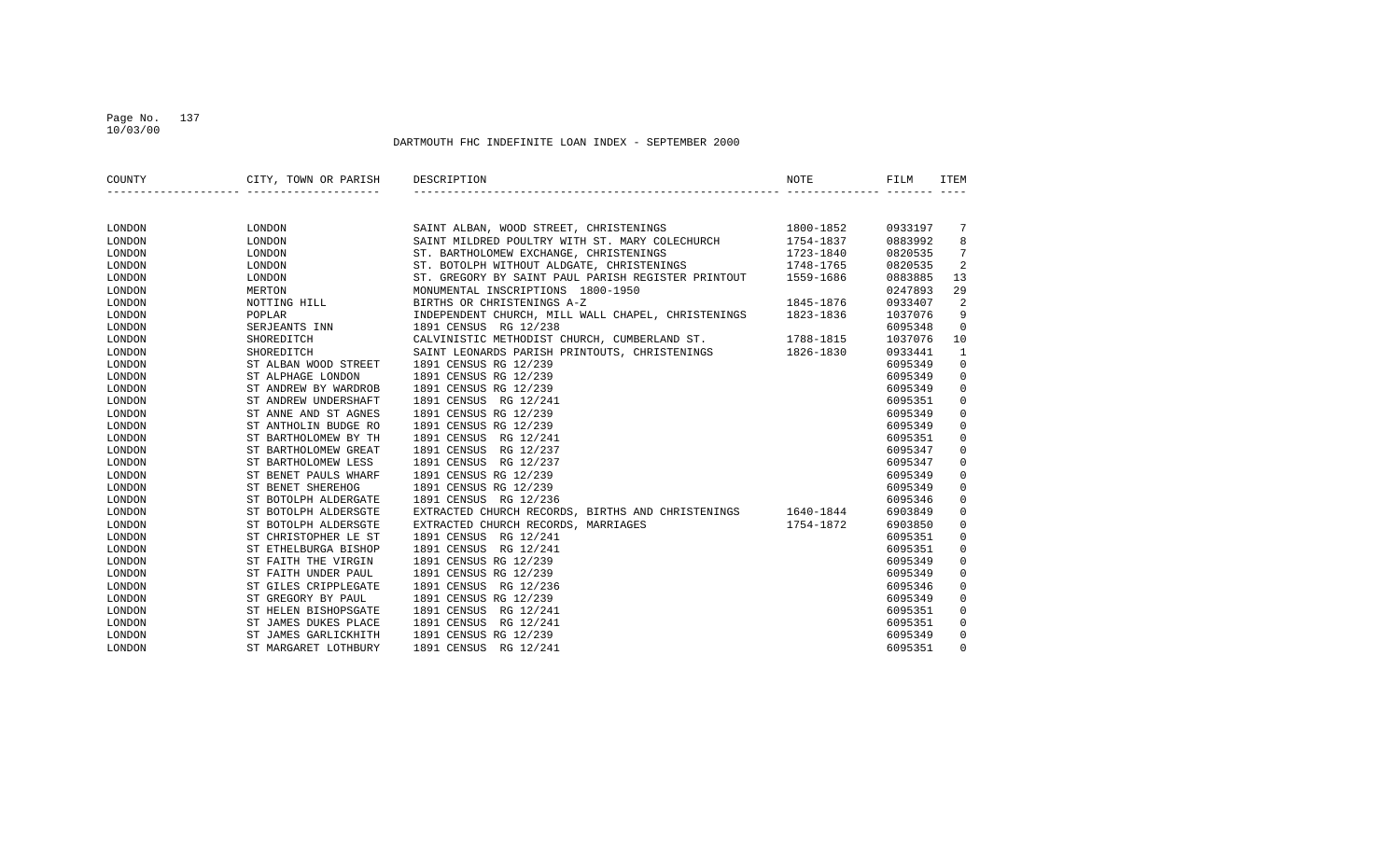## Page No. 137 10/03/00

| COUNTY | CITY, TOWN OR PARISH | DESCRIPTION                                                 | <b>NOTE</b> | FILM    | <b>ITEM</b>    |
|--------|----------------------|-------------------------------------------------------------|-------------|---------|----------------|
|        |                      |                                                             |             |         |                |
| LONDON | LONDON               | 1800-1852<br>SAINT ALBAN, WOOD STREET, CHRISTENINGS         |             | 0933197 | -7             |
| LONDON | LONDON               | SAINT MILDRED POULTRY WITH ST. MARY COLECHURCH              | 1754-1837   | 0883992 | 8              |
| LONDON | LONDON               | ST. BARTHOLOMEW EXCHANGE, CHRISTENINGS                      | 1723-1840   | 0820535 | 7              |
| LONDON | LONDON               | ST. BOTOLPH WITHOUT ALDGATE, CHRISTENINGS                   | 1748-1765   | 0820535 | 2              |
| LONDON | LONDON               | ST. GREGORY BY SAINT PAUL PARISH REGISTER PRINTOUT          | 1559-1686   | 0883885 | 13             |
| LONDON | MERTON               | MONUMENTAL INSCRIPTIONS 1800-1950                           |             | 0247893 | 29             |
| LONDON | NOTTING HILL         | BIRTHS OR CHRISTENINGS A-Z                                  | 1845-1876   | 0933407 | $\overline{2}$ |
| LONDON | POPLAR               | INDEPENDENT CHURCH, MILL WALL CHAPEL, CHRISTENINGS          | 1823-1836   | 1037076 | 9              |
| LONDON | SERJEANTS INN        | 1891 CENSUS RG 12/238                                       |             | 6095348 | $\mathbf 0$    |
| LONDON | SHOREDITCH           | CALVINISTIC METHODIST CHURCH, CUMBERLAND ST. 1788-1815      |             | 1037076 | 10             |
| LONDON | SHOREDITCH           | SAINT LEONARDS PARISH PRINTOUTS, CHRISTENINGS 1826-1830     |             | 0933441 | 1              |
| LONDON | ST ALBAN WOOD STREET | 1891 CENSUS RG 12/239                                       |             | 6095349 | $\mathbf 0$    |
| LONDON | ST ALPHAGE LONDON    | 1891 CENSUS RG 12/239                                       |             | 6095349 | $\mathsf 0$    |
| LONDON | ST ANDREW BY WARDROB | 1891 CENSUS RG 12/239                                       |             | 6095349 | $\mathsf 0$    |
| LONDON | ST ANDREW UNDERSHAFT | 1891 CENSUS RG 12/241                                       |             | 6095351 | $\mathsf 0$    |
| LONDON | ST ANNE AND ST AGNES | 1891 CENSUS RG 12/239                                       |             | 6095349 | $\mathsf 0$    |
| LONDON | ST ANTHOLIN BUDGE RO | 1891 CENSUS RG 12/239                                       |             | 6095349 | $\mathsf 0$    |
| LONDON | ST BARTHOLOMEW BY TH | 1891 CENSUS<br>RG 12/241                                    |             | 6095351 | $\mathsf 0$    |
| LONDON | ST BARTHOLOMEW GREAT | 1891 CENSUS<br>RG 12/237                                    |             | 6095347 | $\mathbf 0$    |
| LONDON | ST BARTHOLOMEW LESS  | 1891 CENSUS<br>RG 12/237                                    |             | 6095347 | $\mathbf 0$    |
| LONDON | ST BENET PAULS WHARF | 1891 CENSUS RG 12/239                                       |             | 6095349 | $\mathbf 0$    |
| LONDON | ST BENET SHEREHOG    | 1891 CENSUS RG 12/239                                       |             | 6095349 | $\mathsf 0$    |
| LONDON | ST BOTOLPH ALDERGATE | 1891 CENSUS RG 12/236                                       |             | 6095346 | $\mathsf 0$    |
| LONDON | ST BOTOLPH ALDERSGTE | EXTRACTED CHURCH RECORDS, BIRTHS AND CHRISTENINGS 1640-1844 |             | 6903849 | $\mathbf 0$    |
| LONDON | ST BOTOLPH ALDERSGTE | EXTRACTED CHURCH RECORDS, MARRIAGES                         | 1754-1872   | 6903850 | $\mathbf 0$    |
| LONDON | ST CHRISTOPHER LE ST | 1891 CENSUS RG 12/241                                       |             | 6095351 | $\mathbf 0$    |
| LONDON | ST ETHELBURGA BISHOP | 1891 CENSUS<br>RG 12/241                                    |             | 6095351 | $\mathsf 0$    |
| LONDON | ST FAITH THE VIRGIN  | 1891 CENSUS RG 12/239                                       |             | 6095349 | $\mathsf 0$    |
| LONDON | ST FAITH UNDER PAUL  | 1891 CENSUS RG 12/239                                       |             | 6095349 | $\mathbf 0$    |
| LONDON | ST GILES CRIPPLEGATE | 1891 CENSUS RG 12/236                                       |             | 6095346 | $\mathbf 0$    |
| LONDON | ST GREGORY BY PAUL   | 1891 CENSUS RG 12/239                                       |             | 6095349 | $\mathbf 0$    |
| LONDON | ST HELEN BISHOPSGATE | 1891 CENSUS<br>RG 12/241                                    |             | 6095351 | $\mathbf 0$    |
| LONDON | ST JAMES DUKES PLACE | 1891 CENSUS<br>RG 12/241                                    |             | 6095351 | $\mathsf 0$    |
| LONDON | ST JAMES GARLICKHITH | 1891 CENSUS RG 12/239                                       |             | 6095349 | $\mathsf 0$    |
| LONDON | ST MARGARET LOTHBURY | 1891 CENSUS<br>RG 12/241                                    |             | 6095351 | $\Omega$       |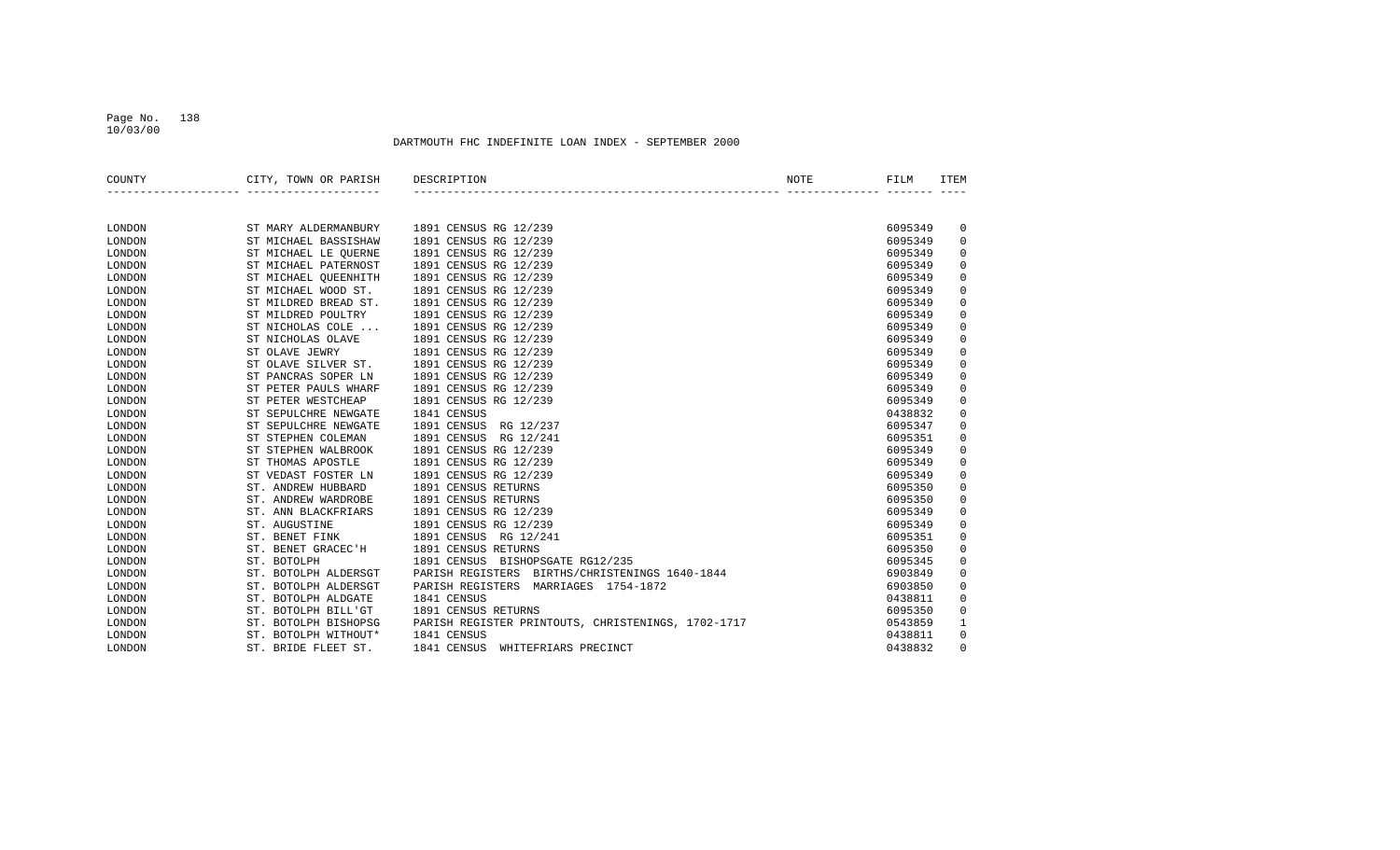## Page No. 138 10/03/00

| COUNTY | CITY, TOWN OR PARISH    | DESCRIPTION                                        | <b>NOTE</b> | FILM    | <b>ITEM</b> |
|--------|-------------------------|----------------------------------------------------|-------------|---------|-------------|
|        |                         |                                                    |             |         |             |
| LONDON | ST MARY ALDERMANBURY    | 1891 CENSUS RG 12/239                              |             | 6095349 | 0           |
| LONDON | ST MICHAEL BASSISHAW    | 1891 CENSUS RG 12/239                              |             | 6095349 | 0           |
| LONDON | ST MICHAEL LE QUERNE    | 1891 CENSUS RG 12/239                              |             | 6095349 | 0           |
| LONDON | ST MICHAEL PATERNOST    | 1891 CENSUS RG 12/239                              |             | 6095349 | 0           |
| LONDON | ST MICHAEL OUEENHITH    | 1891 CENSUS RG 12/239                              |             | 6095349 | 0           |
| LONDON | ST MICHAEL WOOD ST.     | 1891 CENSUS RG 12/239                              |             | 6095349 | 0           |
| LONDON | ST MILDRED BREAD ST.    | 1891 CENSUS RG 12/239                              |             | 6095349 | 0           |
| LONDON | ST MILDRED POULTRY      | 1891 CENSUS RG 12/239                              |             | 6095349 | 0           |
| LONDON | ST NICHOLAS COLE        | 1891 CENSUS RG 12/239                              |             | 6095349 | 0           |
| LONDON | ST NICHOLAS OLAVE       | 1891 CENSUS RG 12/239                              |             | 6095349 | 0           |
| LONDON | ST OLAVE JEWRY          | 1891 CENSUS RG 12/239                              |             | 6095349 | 0           |
| LONDON | ST OLAVE SILVER ST.     | 1891 CENSUS RG 12/239                              |             | 6095349 | 0           |
| LONDON | ST PANCRAS SOPER LN     | 1891 CENSUS RG 12/239                              |             | 6095349 | 0           |
| LONDON | ST PETER PAULS WHARF    | 1891 CENSUS RG 12/239                              |             | 6095349 | 0           |
| LONDON | ST PETER WESTCHEAP      | 1891 CENSUS RG 12/239                              |             | 6095349 | 0           |
| LONDON | ST SEPULCHRE NEWGATE    | 1841 CENSUS                                        |             | 0438832 | 0           |
| LONDON | ST SEPULCHRE NEWGATE    | 1891 CENSUS<br>RG 12/237                           |             | 6095347 | 0           |
| LONDON | ST STEPHEN COLEMAN      | 1891 CENSUS<br>RG 12/241                           |             | 6095351 | 0           |
| LONDON | ST STEPHEN WALBROOK     | 1891 CENSUS RG 12/239                              |             | 6095349 | 0           |
| LONDON | ST THOMAS APOSTLE       | 1891 CENSUS RG 12/239                              |             | 6095349 | 0           |
| LONDON | ST VEDAST FOSTER LN     | 1891 CENSUS RG 12/239                              |             | 6095349 | 0           |
| LONDON | ST. ANDREW HUBBARD      | 1891 CENSUS RETURNS                                |             | 6095350 | 0           |
| LONDON | ST. ANDREW WARDROBE     | 1891 CENSUS RETURNS                                |             | 6095350 | 0           |
| LONDON | ST. ANN BLACKFRIARS     | 1891 CENSUS RG 12/239                              |             | 6095349 | 0           |
| LONDON | ST. AUGUSTINE           | 1891 CENSUS RG 12/239                              |             | 6095349 | 0           |
| LONDON | ST. BENET FINK          | 1891 CENSUS RG 12/241                              |             | 6095351 | 0           |
| LONDON | ST. BENET GRACEC'H      | 1891 CENSUS RETURNS                                |             | 6095350 | 0           |
| LONDON | ST. BOTOLPH             | 1891 CENSUS BISHOPSGATE RG12/235                   |             | 6095345 | 0           |
| LONDON | ST. BOTOLPH ALDERSGT    | PARISH REGISTERS<br>BIRTHS/CHRISTENINGS 1640-1844  |             | 6903849 | 0           |
| LONDON | ST.<br>BOTOLPH ALDERSGT | PARISH REGISTERS<br>MARRIAGES 1754-1872            |             | 6903850 | 0           |
| LONDON | ST. BOTOLPH ALDGATE     | 1841 CENSUS                                        |             | 0438811 | 0           |
| LONDON | BOTOLPH BILL'GT<br>ST.  | 1891 CENSUS RETURNS                                |             | 6095350 | 0           |
| LONDON | ST. BOTOLPH BISHOPSG    | PARISH REGISTER PRINTOUTS, CHRISTENINGS, 1702-1717 |             | 0543859 | 1           |
| LONDON | ST. BOTOLPH WITHOUT*    | 1841 CENSUS                                        |             | 0438811 | 0           |
| LONDON | ST. BRIDE FLEET ST.     | 1841 CENSUS<br>WHITEFRIARS PRECINCT                |             | 0438832 | $\Omega$    |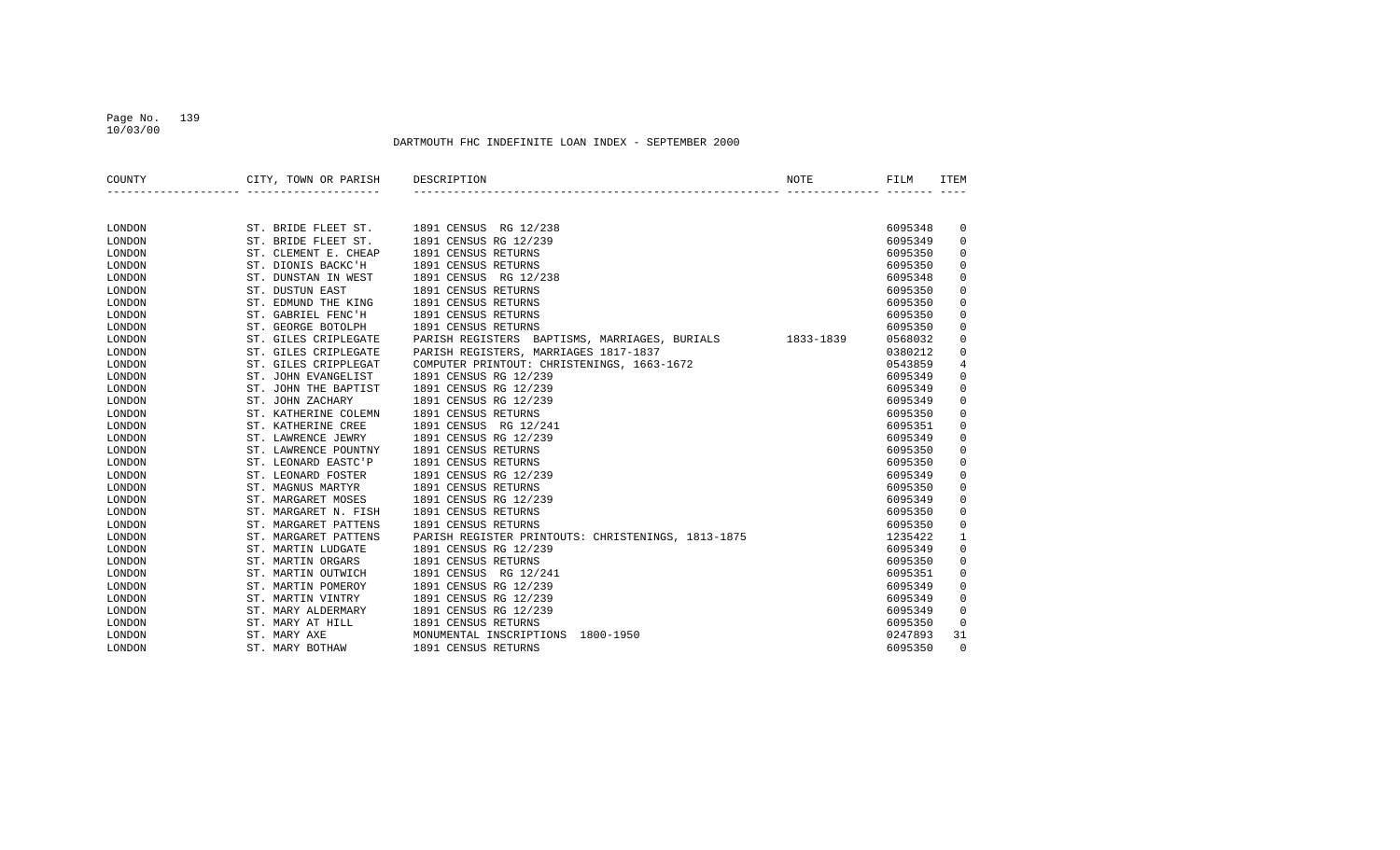## Page No. 139 10/03/00

| COUNTY | CITY, TOWN OR PARISH | DESCRIPTION                                        | <b>NOTE</b> | FILM    | <b>ITEM</b>  |
|--------|----------------------|----------------------------------------------------|-------------|---------|--------------|
|        |                      |                                                    |             |         |              |
| LONDON | ST. BRIDE FLEET ST.  | 1891 CENSUS RG 12/238                              |             | 6095348 | 0            |
| LONDON | ST. BRIDE FLEET ST.  | 1891 CENSUS RG 12/239                              |             | 6095349 | 0            |
| LONDON | ST. CLEMENT E. CHEAP | 1891 CENSUS RETURNS                                |             | 6095350 | 0            |
| LONDON | ST. DIONIS BACKC'H   | 1891 CENSUS RETURNS                                |             | 6095350 | 0            |
| LONDON | ST. DUNSTAN IN WEST  | 1891 CENSUS RG 12/238                              |             | 6095348 | 0            |
| LONDON | ST. DUSTUN EAST      | 1891 CENSUS RETURNS                                |             | 6095350 | 0            |
| LONDON | ST. EDMUND THE KING  | 1891 CENSUS RETURNS                                |             | 6095350 | 0            |
| LONDON | ST. GABRIEL FENC'H   | 1891 CENSUS RETURNS                                |             | 6095350 | 0            |
| LONDON | ST. GEORGE BOTOLPH   | 1891 CENSUS RETURNS                                |             | 6095350 | 0            |
| LONDON | ST. GILES CRIPLEGATE | PARISH REGISTERS BAPTISMS, MARRIAGES, BURIALS      | 1833-1839   | 0568032 | 0            |
| LONDON | ST. GILES CRIPLEGATE | PARISH REGISTERS, MARRIAGES 1817-1837              |             | 0380212 | 0            |
| LONDON | ST. GILES CRIPPLEGAT | COMPUTER PRINTOUT: CHRISTENINGS, 1663-1672         |             | 0543859 | 4            |
| LONDON | ST. JOHN EVANGELIST  | 1891 CENSUS RG 12/239                              |             | 6095349 | 0            |
| LONDON | ST. JOHN THE BAPTIST | 1891 CENSUS RG 12/239                              |             | 6095349 | 0            |
| LONDON | ST. JOHN ZACHARY     | 1891 CENSUS RG 12/239                              |             | 6095349 | 0            |
| LONDON | ST. KATHERINE COLEMN | 1891 CENSUS RETURNS                                |             | 6095350 | 0            |
| LONDON | ST. KATHERINE CREE   | 1891 CENSUS<br>RG 12/241                           |             | 6095351 | 0            |
| LONDON | ST. LAWRENCE JEWRY   | 1891 CENSUS RG 12/239                              |             | 6095349 | 0            |
| LONDON | ST. LAWRENCE POUNTNY | 1891 CENSUS RETURNS                                |             | 6095350 | 0            |
| LONDON | ST. LEONARD EASTC'P  | 1891 CENSUS RETURNS                                |             | 6095350 | 0            |
| LONDON | ST. LEONARD FOSTER   | 1891 CENSUS RG 12/239                              |             | 6095349 | 0            |
| LONDON | ST. MAGNUS MARTYR    | 1891 CENSUS RETURNS                                |             | 6095350 | 0            |
| LONDON | ST. MARGARET MOSES   | 1891 CENSUS RG 12/239                              |             | 6095349 | 0            |
| LONDON | ST. MARGARET N. FISH | 1891 CENSUS RETURNS                                |             | 6095350 | 0            |
| LONDON | ST. MARGARET PATTENS | 1891 CENSUS RETURNS                                |             | 6095350 | 0            |
| LONDON | ST. MARGARET PATTENS | PARISH REGISTER PRINTOUTS: CHRISTENINGS, 1813-1875 |             | 1235422 | $\mathbf{1}$ |
| LONDON | ST. MARTIN LUDGATE   | 1891 CENSUS RG 12/239                              |             | 6095349 | 0            |
| LONDON | ST. MARTIN ORGARS    | 1891 CENSUS RETURNS                                |             | 6095350 | 0            |
| LONDON | ST. MARTIN OUTWICH   | 1891 CENSUS RG 12/241                              |             | 6095351 | 0            |
| LONDON | ST. MARTIN POMEROY   | 1891 CENSUS RG 12/239                              |             | 6095349 | 0            |
| LONDON | ST. MARTIN VINTRY    | 1891 CENSUS RG 12/239                              |             | 6095349 | 0            |
| LONDON | ST. MARY ALDERMARY   | 1891 CENSUS RG 12/239                              |             | 6095349 | 0            |
| LONDON | ST. MARY AT HILL     | 1891 CENSUS RETURNS                                |             | 6095350 | 0            |
| LONDON | ST. MARY AXE         | MONUMENTAL INSCRIPTIONS<br>1800-1950               |             | 0247893 | 31           |
| LONDON | ST. MARY BOTHAW      | 1891 CENSUS RETURNS                                |             | 6095350 | $\Omega$     |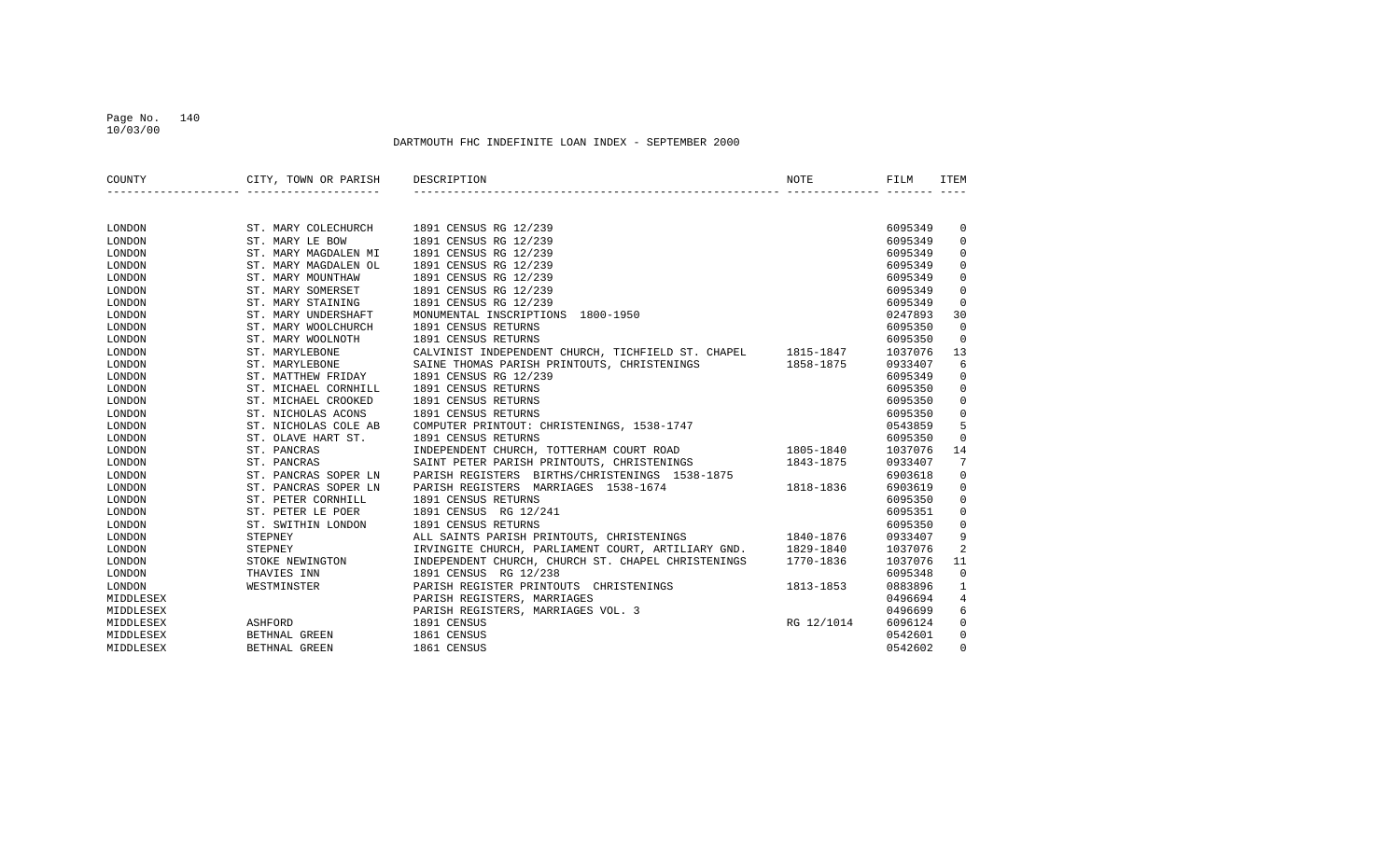## Page No. 140 10/03/00

| COUNTY    | CITY, TOWN OR PARISH | DESCRIPTION                                        | NOTE       | FILM    | ITEM        |
|-----------|----------------------|----------------------------------------------------|------------|---------|-------------|
|           |                      |                                                    |            |         |             |
|           |                      |                                                    |            |         |             |
| LONDON    | ST. MARY COLECHURCH  | 1891 CENSUS RG 12/239                              |            | 6095349 | 0           |
| LONDON    | ST. MARY LE BOW      | 1891 CENSUS RG 12/239                              |            | 6095349 | $\mathbf 0$ |
| LONDON    | ST. MARY MAGDALEN MI | 1891 CENSUS RG 12/239                              |            | 6095349 | 0           |
| LONDON    | ST. MARY MAGDALEN OL | 1891 CENSUS RG 12/239                              |            | 6095349 | $\mathbf 0$ |
| LONDON    | ST. MARY MOUNTHAW    | 1891 CENSUS RG 12/239                              |            | 6095349 | $\Omega$    |
| LONDON    | ST. MARY SOMERSET    | 1891 CENSUS RG 12/239                              |            | 6095349 | $\mathbf 0$ |
| LONDON    | ST. MARY STAINING    | 1891 CENSUS RG 12/239                              |            | 6095349 | $\Omega$    |
| LONDON    | ST. MARY UNDERSHAFT  | MONUMENTAL INSCRIPTIONS<br>1800-1950               |            | 0247893 | 30          |
| LONDON    | ST. MARY WOOLCHURCH  | 1891 CENSUS RETURNS                                |            | 6095350 | $\mathbf 0$ |
| LONDON    | ST. MARY WOOLNOTH    | 1891 CENSUS RETURNS                                |            | 6095350 | $\mathbf 0$ |
| LONDON    | ST. MARYLEBONE       | CALVINIST INDEPENDENT CHURCH, TICHFIELD ST. CHAPEL | 1815-1847  | 1037076 | 13          |
| LONDON    | ST. MARYLEBONE       | SAINE THOMAS PARISH PRINTOUTS, CHRISTENINGS        | 1858-1875  | 0933407 | 6           |
| LONDON    | ST. MATTHEW FRIDAY   | 1891 CENSUS RG 12/239                              |            | 6095349 | $\mathbf 0$ |
| LONDON    | ST. MICHAEL CORNHILL | 1891 CENSUS RETURNS                                |            | 6095350 | 0           |
| LONDON    | ST. MICHAEL CROOKED  | 1891 CENSUS RETURNS                                |            | 6095350 | 0           |
| LONDON    | ST. NICHOLAS ACONS   | 1891 CENSUS RETURNS                                |            | 6095350 | 0           |
| LONDON    | ST. NICHOLAS COLE AB | COMPUTER PRINTOUT: CHRISTENINGS, 1538-1747         |            | 0543859 | 5           |
| LONDON    | ST. OLAVE HART ST.   | 1891 CENSUS RETURNS                                |            | 6095350 | $\Omega$    |
| LONDON    | ST. PANCRAS          | INDEPENDENT CHURCH, TOTTERHAM COURT ROAD           | 1805-1840  | 1037076 | 14          |
| LONDON    | ST. PANCRAS          | SAINT PETER PARISH PRINTOUTS, CHRISTENINGS         | 1843-1875  | 0933407 | 7           |
| LONDON    | ST. PANCRAS SOPER LN | PARISH REGISTERS BIRTHS/CHRISTENINGS 1538-1875     |            | 6903618 | 0           |
| LONDON    | ST. PANCRAS SOPER LN | PARISH REGISTERS MARRIAGES 1538-1674               | 1818-1836  | 6903619 | $\mathbf 0$ |
| LONDON    | ST. PETER CORNHILL   | 1891 CENSUS RETURNS                                |            | 6095350 | $\mathbf 0$ |
| LONDON    | ST. PETER LE POER    | 1891 CENSUS RG 12/241                              |            | 6095351 | $\mathbf 0$ |
| LONDON    | ST. SWITHIN LONDON   | 1891 CENSUS RETURNS                                |            | 6095350 | $\mathbf 0$ |
| LONDON    | STEPNEY              | ALL SAINTS PARISH PRINTOUTS, CHRISTENINGS          | 1840-1876  | 0933407 | 9           |
| LONDON    | STEPNEY              | IRVINGITE CHURCH, PARLIAMENT COURT, ARTILIARY GND. | 1829-1840  | 1037076 | 2           |
| LONDON    | STOKE NEWINGTON      | INDEPENDENT CHURCH, CHURCH ST. CHAPEL CHRISTENINGS | 1770-1836  | 1037076 | 11          |
| LONDON    | THAVIES INN          | 1891 CENSUS RG 12/238                              |            | 6095348 | $\mathbf 0$ |
| LONDON    | WESTMINSTER          | PARISH REGISTER PRINTOUTS CHRISTENINGS             | 1813-1853  | 0883896 | 1           |
| MIDDLESEX |                      | PARISH REGISTERS, MARRIAGES                        |            | 0496694 | 4           |
| MIDDLESEX |                      | PARISH REGISTERS, MARRIAGES VOL. 3                 |            | 0496699 | 6           |
| MIDDLESEX | ASHFORD              | 1891 CENSUS                                        | RG 12/1014 | 6096124 | $\mathbf 0$ |
| MIDDLESEX | BETHNAL GREEN        | 1861 CENSUS                                        |            | 0542601 | $\mathbf 0$ |
| MIDDLESEX | BETHNAL GREEN        | 1861 CENSUS                                        |            | 0542602 | $\Omega$    |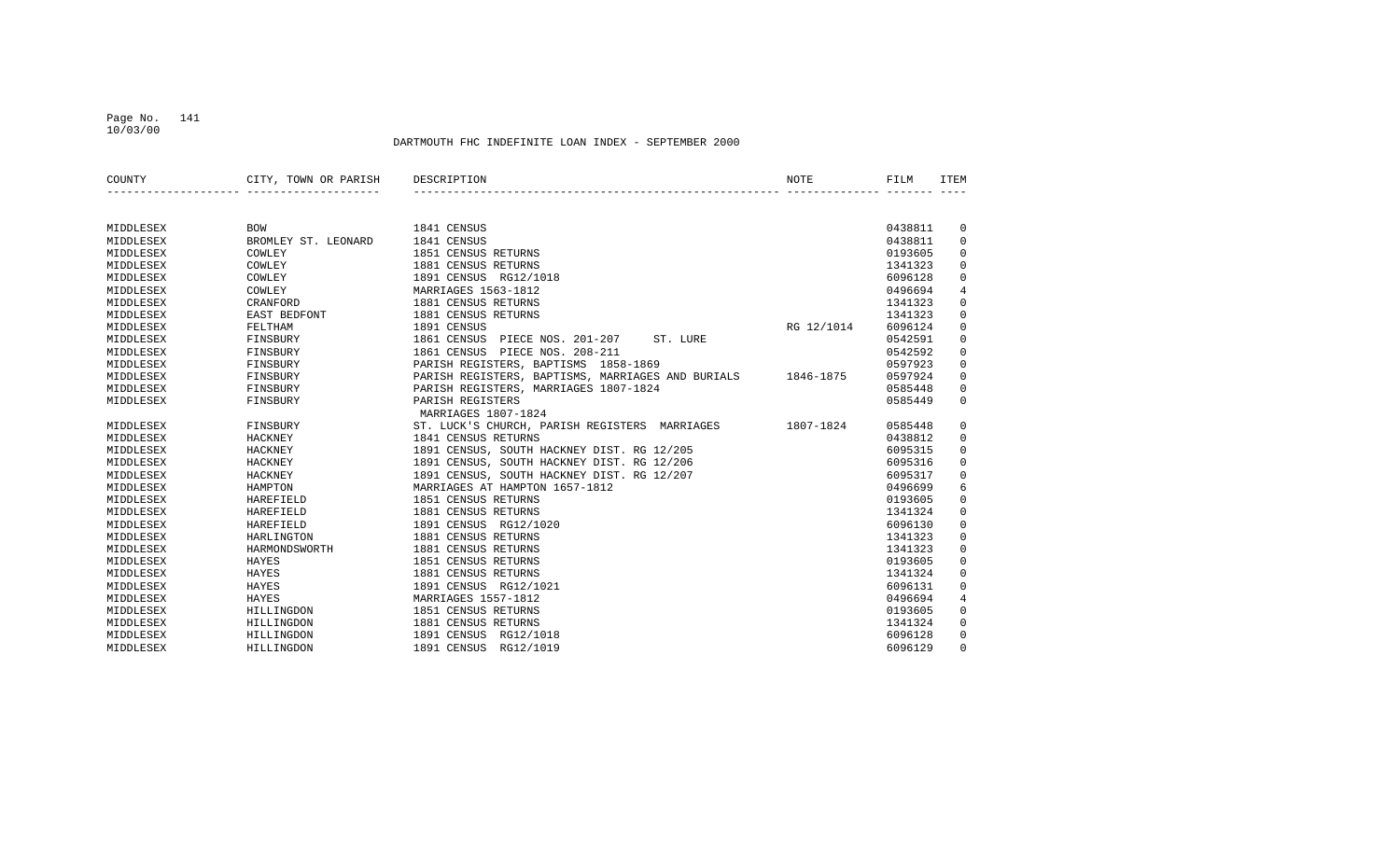## Page No. 141 10/03/00

| COUNTY    | CITY, TOWN OR PARISH | DESCRIPTION                                                 | NOTE       | FILM    | <b>TTEM</b>    |
|-----------|----------------------|-------------------------------------------------------------|------------|---------|----------------|
|           |                      |                                                             |            |         |                |
| MIDDLESEX | <b>BOW</b>           | 1841 CENSUS                                                 |            | 0438811 | 0              |
| MIDDLESEX | BROMLEY ST. LEONARD  | 1841 CENSUS                                                 |            | 0438811 | $\mathbf 0$    |
| MIDDLESEX | COWLEY               | 1851 CENSUS RETURNS                                         |            | 0193605 | $\mathsf 0$    |
| MIDDLESEX | COWLEY               | 1881 CENSUS RETURNS                                         |            | 1341323 | $\mathbf 0$    |
| MIDDLESEX | COWLEY               | 1891 CENSUS RG12/1018                                       |            | 6096128 | $\mathsf 0$    |
| MIDDLESEX | COWLEY               | MARRIAGES 1563-1812                                         |            | 0496694 | $\overline{4}$ |
| MIDDLESEX | CRANFORD             | 1881 CENSUS RETURNS                                         |            | 1341323 | $\mathsf 0$    |
| MIDDLESEX | EAST BEDFONT         | 1881 CENSUS RETURNS                                         |            | 1341323 | $\mathbf 0$    |
| MIDDLESEX | FELTHAM              | 1891 CENSUS                                                 | RG 12/1014 | 6096124 | $\mathbf 0$    |
| MIDDLESEX | FINSBURY             | 1861 CENSUS<br>PIECE NOS. 201-207<br>ST. LURE               |            | 0542591 | 0              |
| MIDDLESEX | FINSBURY             | 1861 CENSUS PIECE NOS. 208-211                              |            | 0542592 | 0              |
| MIDDLESEX | FINSBURY             | PARISH REGISTERS, BAPTISMS 1858-1869                        |            | 0597923 | $\mathbf 0$    |
| MIDDLESEX | FINSBURY             | PARISH REGISTERS, BAPTISMS, MARRIAGES AND BURIALS 1846-1875 |            | 0597924 | $\mathbf 0$    |
| MIDDLESEX | FINSBURY             | PARISH REGISTERS, MARRIAGES 1807-1824                       |            | 0585448 | 0              |
| MIDDLESEX | FINSBURY             | PARISH REGISTERS                                            |            | 0585449 | $\mathbf 0$    |
|           |                      | MARRIAGES 1807-1824                                         |            |         |                |
| MIDDLESEX | FINSBURY             | ST. LUCK'S CHURCH, PARISH REGISTERS MARRIAGES               | 1807-1824  | 0585448 | 0              |
| MIDDLESEX | HACKNEY              | 1841 CENSUS RETURNS                                         |            | 0438812 | $\mathbf 0$    |
| MIDDLESEX | <b>HACKNEY</b>       | 1891 CENSUS, SOUTH HACKNEY DIST. RG 12/205                  |            | 6095315 | 0              |
| MIDDLESEX | HACKNEY              | 1891 CENSUS, SOUTH HACKNEY DIST. RG 12/206                  |            | 6095316 | 0              |
| MIDDLESEX | HACKNEY              | 1891 CENSUS, SOUTH HACKNEY DIST. RG 12/207                  |            | 6095317 | 0              |
| MIDDLESEX | HAMPTON              | MARRIAGES AT HAMPTON 1657-1812                              |            | 0496699 | 6              |
| MIDDLESEX | HAREFIELD            | 1851 CENSUS RETURNS                                         |            | 0193605 | $\mathbf 0$    |
| MIDDLESEX | <b>HAREFIELD</b>     | 1881 CENSUS RETURNS                                         |            | 1341324 | $\mathbf 0$    |
| MIDDLESEX | HAREFIELD            | 1891 CENSUS RG12/1020                                       |            | 6096130 | $\mathsf 0$    |
| MIDDLESEX | HARLINGTON           | 1881 CENSUS RETURNS                                         |            | 1341323 | $\mathbf 0$    |
| MIDDLESEX | HARMONDSWORTH        | 1881 CENSUS RETURNS                                         |            | 1341323 | $\mathbf 0$    |
| MIDDLESEX | HAYES                | 1851 CENSUS RETURNS                                         |            | 0193605 | $\mathbf 0$    |
| MIDDLESEX | HAYES                | 1881 CENSUS RETURNS                                         |            | 1341324 | $\mathbf 0$    |
| MIDDLESEX | HAYES                | 1891 CENSUS RG12/1021                                       |            | 6096131 | $\mathbf 0$    |
| MIDDLESEX | HAYES                | MARRIAGES 1557-1812                                         |            | 0496694 | $\overline{4}$ |
| MIDDLESEX | HILLINGDON           | 1851 CENSUS RETURNS                                         |            | 0193605 | 0              |
| MIDDLESEX | HILLINGDON           | 1881 CENSUS RETURNS                                         |            | 1341324 | 0              |
| MIDDLESEX | HILLINGDON           | 1891 CENSUS<br>RG12/1018                                    |            | 6096128 | 0              |
| MIDDLESEX | HILLINGDON           | 1891 CENSUS<br>RG12/1019                                    |            | 6096129 | $\Omega$       |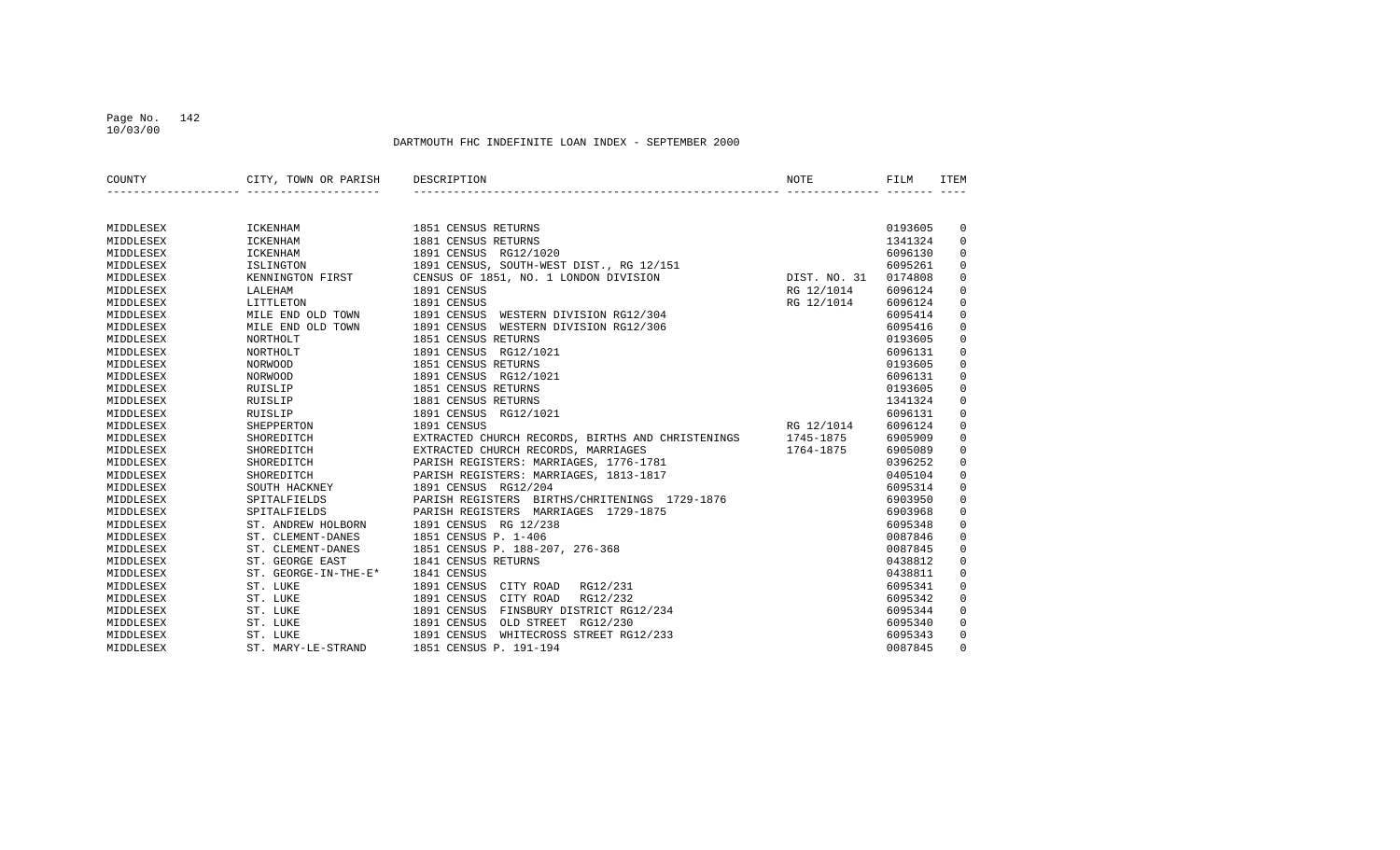## Page No. 142 10/03/00

| COUNTY    | CITY, TOWN OR PARISH | DESCRIPTION                                       | NOTE         | FILM    | <b>ITEM</b> |
|-----------|----------------------|---------------------------------------------------|--------------|---------|-------------|
|           |                      |                                                   |              |         |             |
| MIDDLESEX | <b>ICKENHAM</b>      | 1851 CENSUS RETURNS                               |              | 0193605 | 0           |
| MIDDLESEX | <b>ICKENHAM</b>      | 1881 CENSUS RETURNS                               |              | 1341324 | $\mathbf 0$ |
| MIDDLESEX | <b>ICKENHAM</b>      | 1891 CENSUS RG12/1020                             |              | 6096130 | $\mathbf 0$ |
| MIDDLESEX | <b>ISLINGTON</b>     | 1891 CENSUS, SOUTH-WEST DIST., RG 12/151          |              | 6095261 | $\mathbf 0$ |
| MIDDLESEX | KENNINGTON FIRST     | CENSUS OF 1851, NO. 1 LONDON DIVISION             | DIST. NO. 31 | 0174808 | $\Omega$    |
| MIDDLESEX | LALEHAM              | 1891 CENSUS                                       | RG 12/1014   | 6096124 | $\mathbf 0$ |
| MIDDLESEX | LITTLETON            | 1891 CENSUS                                       | RG 12/1014   | 6096124 | $\Omega$    |
| MIDDLESEX | MILE END OLD TOWN    | 1891 CENSUS<br>WESTERN DIVISION RG12/304          |              | 6095414 | $\mathbf 0$ |
| MIDDLESEX | MILE END OLD TOWN    | 1891 CENSUS<br>WESTERN DIVISION RG12/306          |              | 6095416 | $\mathbf 0$ |
| MIDDLESEX | NORTHOLT             | 1851 CENSUS RETURNS                               |              | 0193605 | $\mathbf 0$ |
| MIDDLESEX | NORTHOLT             | 1891 CENSUS RG12/1021                             |              | 6096131 | $\mathbf 0$ |
| MIDDLESEX | <b>NORWOOD</b>       | 1851 CENSUS RETURNS                               |              | 0193605 | $\mathbf 0$ |
| MIDDLESEX | <b>NORWOOD</b>       | 1891 CENSUS RG12/1021                             |              | 6096131 | $\mathbf 0$ |
| MIDDLESEX | RUISLIP              | 1851 CENSUS RETURNS                               |              | 0193605 | $\mathbf 0$ |
| MIDDLESEX | RUISLIP              | 1881 CENSUS RETURNS                               |              | 1341324 | $\mathbf 0$ |
| MIDDLESEX | RUISLIP              | 1891 CENSUS RG12/1021                             |              | 6096131 | $\mathbf 0$ |
| MIDDLESEX | SHEPPERTON           | 1891 CENSUS                                       | RG 12/1014   | 6096124 | $\mathbf 0$ |
| MIDDLESEX | SHOREDITCH           | EXTRACTED CHURCH RECORDS, BIRTHS AND CHRISTENINGS | 1745-1875    | 6905909 | $\Omega$    |
| MIDDLESEX | SHOREDITCH           | EXTRACTED CHURCH RECORDS, MARRIAGES               | 1764-1875    | 6905089 | $\Omega$    |
| MIDDLESEX | SHOREDITCH           | PARISH REGISTERS: MARRIAGES, 1776-1781            |              | 0396252 | $\mathbf 0$ |
| MIDDLESEX | SHOREDITCH           | PARISH REGISTERS: MARRIAGES, 1813-1817            |              | 0405104 | $\mathbf 0$ |
| MIDDLESEX | SOUTH HACKNEY        | 1891 CENSUS RG12/204                              |              | 6095314 | $\mathbf 0$ |
| MIDDLESEX | SPITALFIELDS         | PARISH REGISTERS BIRTHS/CHRITENINGS 1729-1876     |              | 6903950 | $\mathbf 0$ |
| MIDDLESEX | SPITALFIELDS         | PARISH REGISTERS MARRIAGES 1729-1875              |              | 6903968 | $\mathbf 0$ |
| MIDDLESEX | ST. ANDREW HOLBORN   | 1891 CENSUS RG 12/238                             |              | 6095348 | $\mathbf 0$ |
| MIDDLESEX | ST. CLEMENT-DANES    | 1851 CENSUS P. 1-406                              |              | 0087846 | $\mathbf 0$ |
| MIDDLESEX | ST. CLEMENT-DANES    | 1851 CENSUS P. 188-207, 276-368                   |              | 0087845 | $\mathbf 0$ |
| MIDDLESEX | ST. GEORGE EAST      | 1841 CENSUS RETURNS                               |              | 0438812 | $\mathbf 0$ |
| MIDDLESEX | ST. GEORGE-IN-THE-E* | 1841 CENSUS                                       |              | 0438811 | $\mathbf 0$ |
| MIDDLESEX | ST. LUKE             | 1891 CENSUS<br>CITY ROAD<br>RG12/231              |              | 6095341 | $\mathbf 0$ |
| MIDDLESEX | ST. LUKE             | 1891 CENSUS<br>CITY ROAD<br>RG12/232              |              | 6095342 | $\Omega$    |
| MIDDLESEX | ST. LUKE             | 1891 CENSUS<br>FINSBURY DISTRICT RG12/234         |              | 6095344 | $\mathbf 0$ |
| MIDDLESEX | ST. LUKE             | 1891 CENSUS<br>OLD STREET RG12/230                |              | 6095340 | $\mathbf 0$ |
| MIDDLESEX | ST. LUKE             | 1891 CENSUS<br>WHITECROSS STREET RG12/233         |              | 6095343 | 0           |
| MIDDLESEX | ST. MARY-LE-STRAND   | 1851 CENSUS P. 191-194                            |              | 0087845 | $\Omega$    |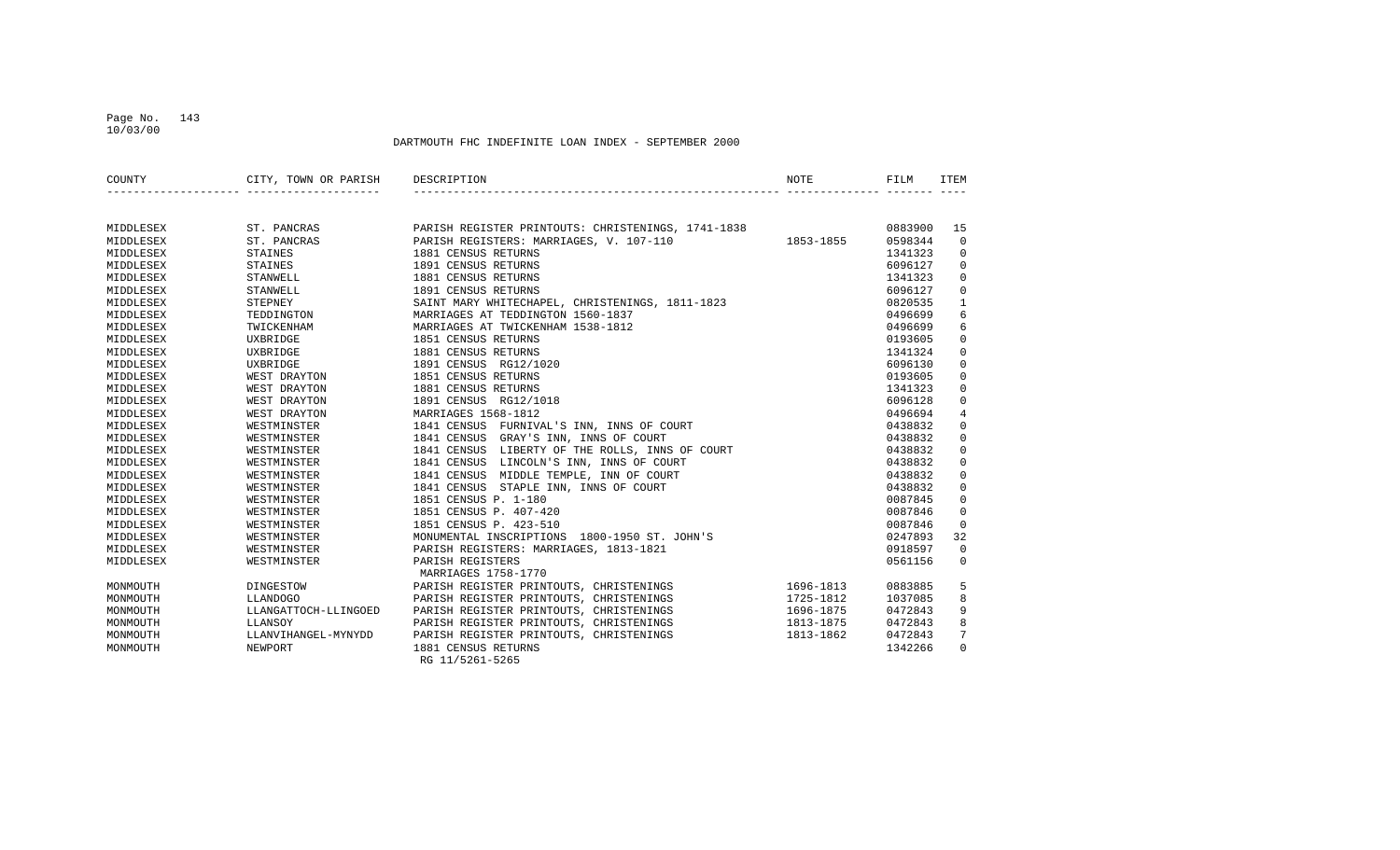## Page No. 143 10/03/00

| COUNTY    | CITY, TOWN OR PARISH | DESCRIPTION                                              | <b>NOTE</b> | FILM    | <b>ITEM</b>     |
|-----------|----------------------|----------------------------------------------------------|-------------|---------|-----------------|
|           |                      |                                                          |             |         |                 |
| MIDDLESEX | ST. PANCRAS          | PARISH REGISTER PRINTOUTS: CHRISTENINGS, 1741-1838       |             | 0883900 | 15              |
| MIDDLESEX | ST. PANCRAS          | $1853 - 1855$<br>PARISH REGISTERS: MARRIAGES, V. 107-110 |             | 0598344 | $\overline{0}$  |
| MIDDLESEX | STAINES              | 1881 CENSUS RETURNS                                      |             | 1341323 | $\mathbf 0$     |
| MIDDLESEX | STAINES              | 1891 CENSUS RETURNS                                      |             | 6096127 | $\Omega$        |
| MIDDLESEX | STANWELL             | 1881 CENSUS RETURNS                                      |             | 1341323 | 0               |
| MIDDLESEX | STANWELL             | 1891 CENSUS RETURNS                                      |             | 6096127 | $\mathbf 0$     |
| MIDDLESEX | STEPNEY              | SAINT MARY WHITECHAPEL, CHRISTENINGS, 1811-1823          |             | 0820535 | $\mathbf{1}$    |
| MIDDLESEX | TEDDINGTON           | MARRIAGES AT TEDDINGTON 1560-1837                        |             | 0496699 | 6               |
| MIDDLESEX | TWICKENHAM           | MARRIAGES AT TWICKENHAM 1538-1812                        |             | 0496699 | 6               |
| MIDDLESEX | UXBRIDGE             | 1851 CENSUS RETURNS                                      |             | 0193605 | $\mathbf 0$     |
| MIDDLESEX | UXBRIDGE             | 1881 CENSUS RETURNS                                      |             | 1341324 | $\Omega$        |
| MIDDLESEX | UXBRIDGE             | 1891 CENSUS RG12/1020                                    |             | 6096130 | $\mathbf 0$     |
| MIDDLESEX | WEST DRAYTON         | 1851 CENSUS RETURNS                                      |             | 0193605 | $\mathbf 0$     |
| MIDDLESEX | WEST DRAYTON         | 1881 CENSUS RETURNS                                      |             | 1341323 | $\mathbf 0$     |
| MIDDLESEX | WEST DRAYTON         | 1891 CENSUS RG12/1018                                    |             | 6096128 | $\mathbf 0$     |
| MIDDLESEX | WEST DRAYTON         | MARRIAGES 1568-1812                                      |             | 0496694 | 4               |
| MIDDLESEX | WESTMINSTER          | 1841 CENSUS FURNIVAL'S INN, INNS OF COURT                |             | 0438832 | $\mathbf 0$     |
| MIDDLESEX | WESTMINSTER          | 1841 CENSUS GRAY'S INN, INNS OF COURT                    |             | 0438832 | $\mathbf 0$     |
| MIDDLESEX | WESTMINSTER          | 1841 CENSUS LIBERTY OF THE ROLLS, INNS OF COURT          |             | 0438832 | $\Omega$        |
| MIDDLESEX | WESTMINSTER          | 1841 CENSUS LINCOLN'S INN, INNS OF COURT                 |             | 0438832 | 0               |
| MIDDLESEX | WESTMINSTER          | 1841 CENSUS MIDDLE TEMPLE, INN OF COURT                  |             | 0438832 | $\mathbf 0$     |
| MIDDLESEX | WESTMINSTER          | 1841 CENSUS STAPLE INN, INNS OF COURT                    |             | 0438832 | $\mathbf 0$     |
| MIDDLESEX | WESTMINSTER          | 1851 CENSUS P. 1-180                                     |             | 0087845 | $\mathbf 0$     |
| MIDDLESEX | WESTMINSTER          | 1851 CENSUS P. 407-420                                   |             | 0087846 | $\overline{0}$  |
| MIDDLESEX | WESTMINSTER          | 1851 CENSUS P. 423-510                                   |             | 0087846 | $\Omega$        |
| MIDDLESEX | WESTMINSTER          | MONUMENTAL INSCRIPTIONS 1800-1950 ST. JOHN'S             |             | 0247893 | 32              |
| MIDDLESEX | WESTMINSTER          | PARISH REGISTERS: MARRIAGES, 1813-1821                   |             | 0918597 | $\Omega$        |
| MIDDLESEX | WESTMINSTER          | PARISH REGISTERS                                         |             | 0561156 | $\mathbf 0$     |
|           |                      | MARRIAGES 1758-1770                                      |             |         |                 |
| MONMOUTH  | DINGESTOW            | PARISH REGISTER PRINTOUTS, CHRISTENINGS                  | 1696-1813   | 0883885 | 5               |
| MONMOUTH  | LLANDOGO             | PARISH REGISTER PRINTOUTS, CHRISTENINGS                  | 1725-1812   | 1037085 | 8               |
| MONMOUTH  | LLANGATTOCH-LLINGOED | PARISH REGISTER PRINTOUTS, CHRISTENINGS                  | 1696-1875   | 0472843 | 9               |
| MONMOUTH  | LLANSOY              | PARISH REGISTER PRINTOUTS, CHRISTENINGS                  | 1813-1875   | 0472843 | 8               |
| MONMOUTH  | LLANVIHANGEL-MYNYDD  | PARISH REGISTER PRINTOUTS, CHRISTENINGS                  | 1813-1862   | 0472843 | $7\overline{ }$ |
| MONMOUTH  | NEWPORT              | 1881 CENSUS RETURNS                                      |             | 1342266 | $\Omega$        |
|           |                      | RG 11/5261-5265                                          |             |         |                 |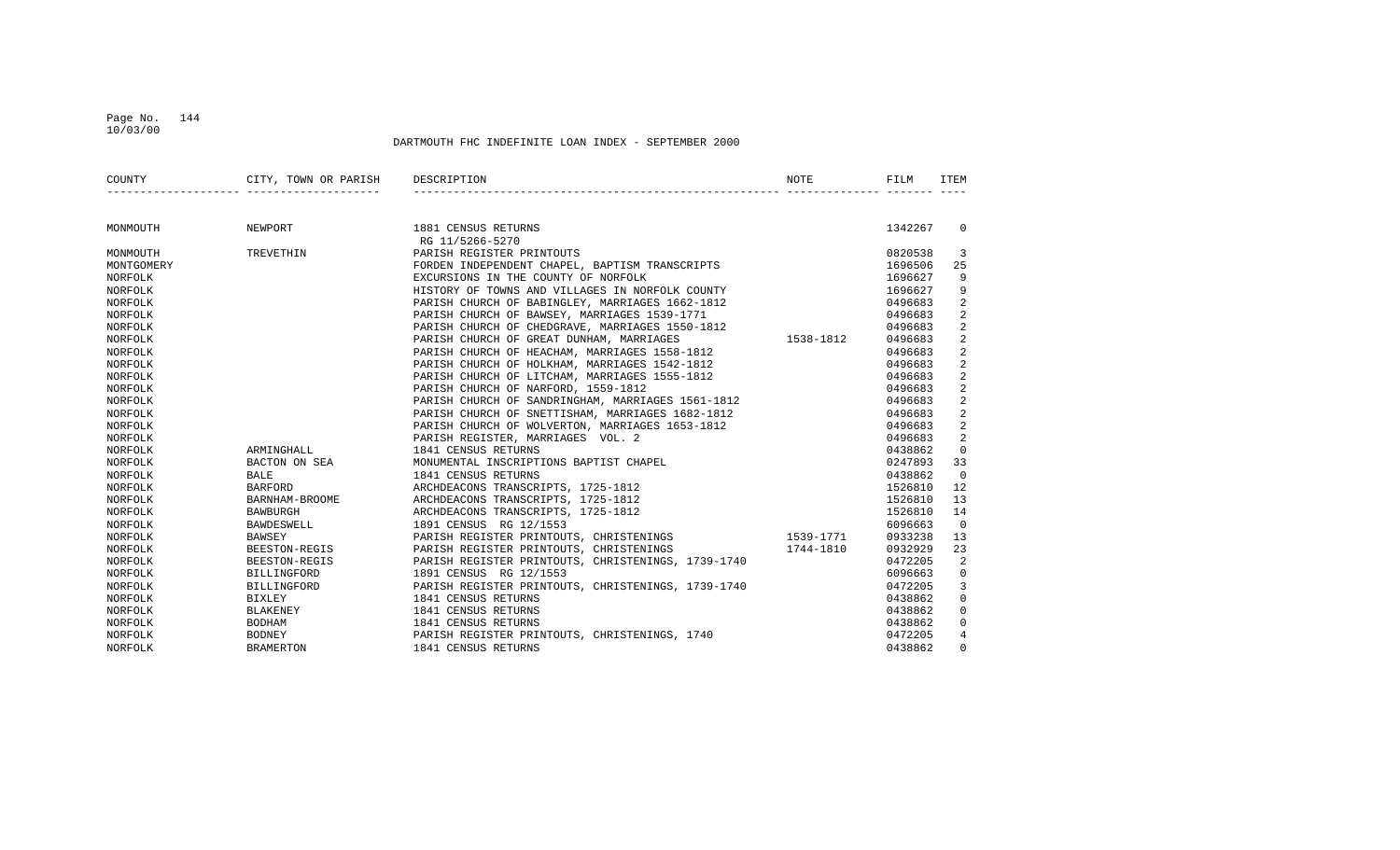## Page No. 144 10/03/00

| COUNTY         | CITY, TOWN OR PARISH DESCRIPTION   |                                                                                                                                                                                                 | NOTE | FILM    | <b>ITEM</b>    |
|----------------|------------------------------------|-------------------------------------------------------------------------------------------------------------------------------------------------------------------------------------------------|------|---------|----------------|
|                |                                    |                                                                                                                                                                                                 |      |         |                |
| MONMOUTH       | NEWPORT                            | 1881 CENSUS RETURNS                                                                                                                                                                             |      | 1342267 | $\Omega$       |
|                |                                    | RG 11/5266-5270                                                                                                                                                                                 |      |         |                |
| MONMOUTH       | TREVETHIN                          | PARISH REGISTER PRINTOUTS                                                                                                                                                                       |      | 0820538 | 3              |
| MONTGOMERY     |                                    | FORDEN INDEPENDENT CHAPEL, BAPTISM TRANSCRIPTS                                                                                                                                                  |      | 1696506 | 25             |
| <b>NORFOLK</b> |                                    | EXCURSIONS IN THE COUNTY OF NORFOLK                                                                                                                                                             |      | 1696627 | 9              |
| NORFOLK        |                                    | HISTORY OF TOWNS AND VILLAGES IN NORFOLK COUNTY                                                                                                                                                 |      | 1696627 | 9              |
| NORFOLK        |                                    | PARISH CHURCH OF BABINGLEY, MARRIAGES 1662-1812                                                                                                                                                 |      | 0496683 | 2              |
| NORFOLK        |                                    | PARISH CHURCH OF BAWSEY, MARRIAGES 1539-1771                                                                                                                                                    |      | 0496683 | $\overline{2}$ |
| NORFOLK        |                                    | PARISH CHURCH OF CHEDGRAVE, MARRIAGES 1550-1812<br>PARISH CHURCH OF GREAT DUNHAM, MARRIAGES 1538-1812                                                                                           |      | 0496683 | 2              |
| NORFOLK        |                                    |                                                                                                                                                                                                 |      | 0496683 | 2              |
| NORFOLK        |                                    | PARISH CHURCH OF HEACHAM, MARRIAGES 1558-1812                                                                                                                                                   |      | 0496683 | $\overline{a}$ |
| NORFOLK        |                                    | PARISH CHURCH OF HOLKHAM, MARRIAGES 1542-1812                                                                                                                                                   |      | 0496683 | 2              |
| NORFOLK        |                                    | PARISH CHURCH OF LITCHAM, MARRIAGES 1555-1812                                                                                                                                                   |      | 0496683 | 2              |
| NORFOLK        |                                    | PARISH CHURCH OF NARFORD, 1559-1812                                                                                                                                                             |      | 0496683 | 2              |
| NORFOLK        |                                    |                                                                                                                                                                                                 |      | 0496683 | 2              |
| NORFOLK        |                                    |                                                                                                                                                                                                 |      | 0496683 | $\overline{2}$ |
| NORFOLK        |                                    | PARISH CHORCH OF NARFORD, 1559-1612<br>PARISH CHURCH OF SANDRINGHAM, MARRIAGES 1561-1812<br>PARISH CHURCH OF SNETTISHAM, MARRIAGES 1682-1812<br>PARISH CHURCH OF WOLVERTON, MARRIAGES 1653-1812 |      | 0496683 | $\overline{a}$ |
| NORFOLK        |                                    | PARISH REGISTER, MARRIAGES VOL. 2                                                                                                                                                               |      | 0496683 | $\overline{a}$ |
| NORFOLK        | ARMINGHALL                         | 1841 CENSUS RETURNS                                                                                                                                                                             |      | 0438862 | $\mathbf 0$    |
| NORFOLK        |                                    | BACTON ON SEA MONUMENTAL INSCRIPTIONS BAPTIST CHAPEL                                                                                                                                            |      | 0247893 | 33             |
| NORFOLK        | BALLE<br>BARFORD<br>BARNHAM-BROOME | 1841 CENSUS RETURNS                                                                                                                                                                             |      | 0438862 | $\Omega$       |
| NORFOLK        |                                    | ARCHDEACONS TRANSCRIPTS, 1725-1812                                                                                                                                                              |      | 1526810 | 12             |
| NORFOLK        |                                    | ARCHDEACONS TRANSCRIPTS, 1725-1812                                                                                                                                                              |      | 1526810 | 13             |
| NORFOLK        | <b>BAWBURGH</b>                    | ARCHDEACONS TRANSCRIPTS, 1725-1812                                                                                                                                                              |      | 1526810 | 14             |
| NORFOLK        | BAWDESWELL                         | 1891 CENSUS RG 12/1553                                                                                                                                                                          |      | 6096663 | $\overline{0}$ |
| NORFOLK        | BAWSEY                             | PARISH REGISTER PRINTOUTS, CHRISTENINGS 1539-1771                                                                                                                                               |      | 0933238 | 13             |
| NORFOLK        | BEESTON-REGIS                      | PARISH REGISTER PRINTOUTS, CHRISTENINGS 1744-1810                                                                                                                                               |      | 0932929 | 23             |
| NORFOLK        | BEESTON-REGIS                      | PARISH REGISTER PRINTOUTS, CHRISTENINGS, 1739-1740                                                                                                                                              |      | 0472205 | 2              |
| NORFOLK        | BILLINGFORD                        | 1891 CENSUS RG 12/1553                                                                                                                                                                          |      | 6096663 | $\overline{0}$ |
| NORFOLK        |                                    | BILLINGFORD PARISH REGISTER PRINTOUTS, CHRISTENINGS, 1739-1740                                                                                                                                  |      | 0472205 | $\mathsf{3}$   |
| NORFOLK        | BIXLEY                             | 1841 CENSUS RETURNS                                                                                                                                                                             |      | 0438862 | $\mathsf{O}$   |
| NORFOLK        | BLAKENEY                           | 1841 CENSUS RETURNS                                                                                                                                                                             |      | 0438862 | $\mathbf 0$    |
| NORFOLK        | BODHAM                             | 1841 CENSUS RETURNS                                                                                                                                                                             |      | 0438862 | $\mathsf{O}$   |
| NORFOLK        | BODNEY                             | PARISH REGISTER PRINTOUTS, CHRISTENINGS, 1740                                                                                                                                                   |      | 0472205 | $\overline{4}$ |
| NORFOLK        | BRAMERTON                          | 1841 CENSUS RETURNS                                                                                                                                                                             |      | 0438862 | $\mathbf 0$    |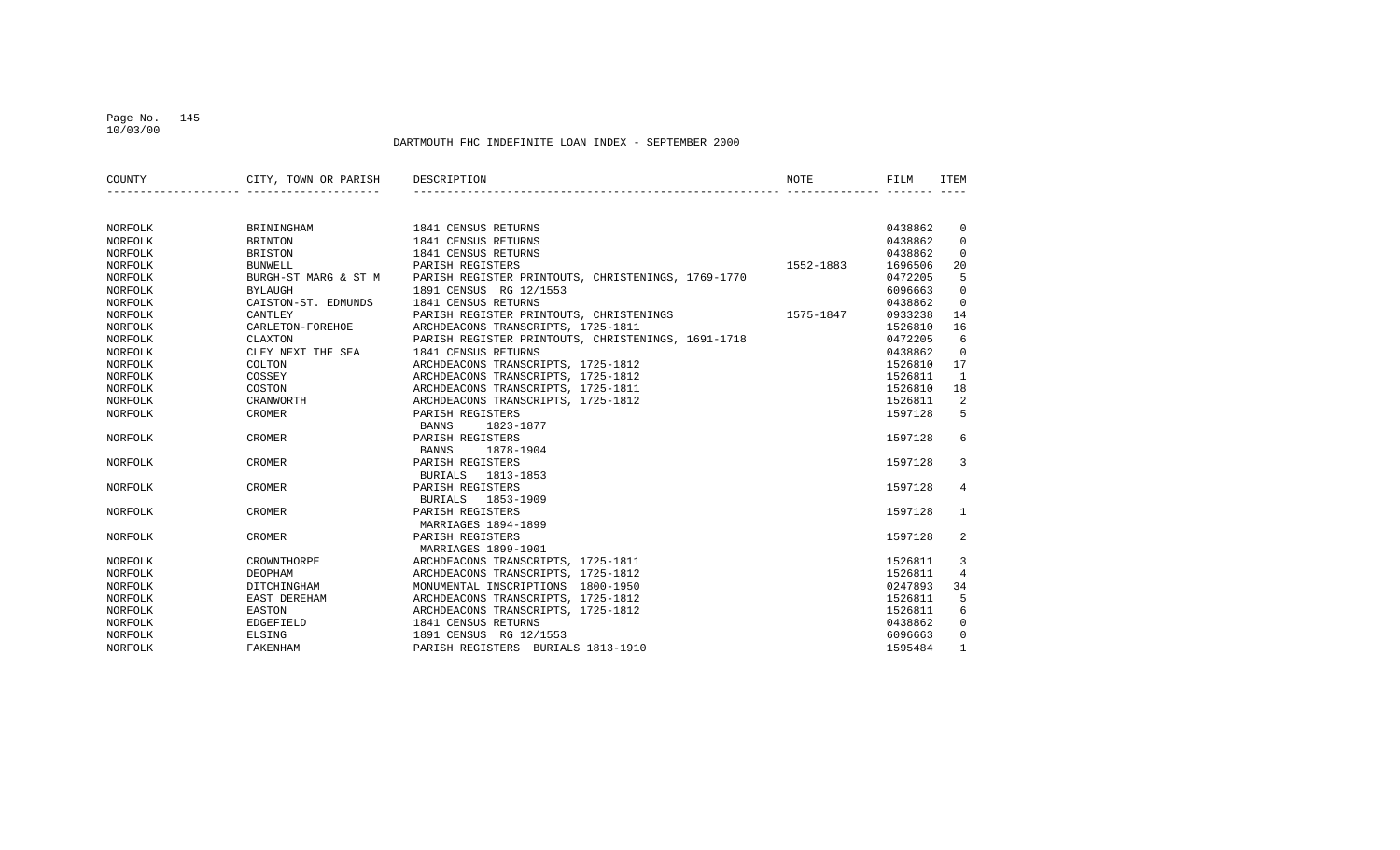#### Page No. 145 10/03/00

| COUNTY  | CITY, TOWN OR PARISH | DESCRIPTION                                        | NOTE      | FILM    | ITEM         |
|---------|----------------------|----------------------------------------------------|-----------|---------|--------------|
|         |                      |                                                    |           |         |              |
| NORFOLK | BRININGHAM           | 1841 CENSUS RETURNS                                |           | 0438862 | 0            |
| NORFOLK | <b>BRINTON</b>       | 1841 CENSUS RETURNS                                |           | 0438862 | $\Omega$     |
| NORFOLK | <b>BRISTON</b>       | 1841 CENSUS RETURNS                                |           | 0438862 | $\Omega$     |
| NORFOLK | <b>BUNWELL</b>       | PARISH REGISTERS                                   | 1552-1883 | 1696506 | 20           |
| NORFOLK | BURGH-ST MARG & ST M | PARISH REGISTER PRINTOUTS, CHRISTENINGS, 1769-1770 |           | 0472205 | 5            |
| NORFOLK | <b>BYLAUGH</b>       | 1891 CENSUS RG 12/1553                             |           | 6096663 | $\Omega$     |
| NORFOLK | CAISTON-ST. EDMUNDS  | 1841 CENSUS RETURNS                                |           | 0438862 | $\mathbf 0$  |
| NORFOLK | CANTLEY              | PARISH REGISTER PRINTOUTS, CHRISTENINGS            | 1575-1847 | 0933238 | 14           |
| NORFOLK | CARLETON-FOREHOE     | ARCHDEACONS TRANSCRIPTS, 1725-1811                 |           | 1526810 | 16           |
| NORFOLK | CLAXTON              | PARISH REGISTER PRINTOUTS, CHRISTENINGS, 1691-1718 |           | 0472205 | 6            |
| NORFOLK | CLEY NEXT THE SEA    | 1841 CENSUS RETURNS                                |           | 0438862 | $\Omega$     |
| NORFOLK | COLTON               | ARCHDEACONS TRANSCRIPTS, 1725-1812                 |           | 1526810 | 17           |
| NORFOLK | COSSEY               | ARCHDEACONS TRANSCRIPTS, 1725-1812                 |           | 1526811 | <sup>1</sup> |
| NORFOLK | COSTON               | ARCHDEACONS TRANSCRIPTS, 1725-1811                 |           | 1526810 | 18           |
| NORFOLK | CRANWORTH            | ARCHDEACONS TRANSCRIPTS, 1725-1812                 |           | 1526811 | 2            |
| NORFOLK | <b>CROMER</b>        | PARISH REGISTERS                                   |           | 1597128 | 5            |
|         |                      | <b>BANNS</b><br>1823-1877                          |           |         |              |
| NORFOLK | CROMER               | PARISH REGISTERS                                   |           | 1597128 | 6            |
|         |                      | 1878-1904<br>BANNS                                 |           |         |              |
| NORFOLK | CROMER               | PARISH REGISTERS                                   |           | 1597128 | 3            |
|         |                      | <b>BURIALS</b><br>1813-1853                        |           |         |              |
| NORFOLK | CROMER               | PARISH REGISTERS                                   |           | 1597128 | 4            |
|         |                      | <b>BURIALS</b><br>1853-1909                        |           |         |              |
| NORFOLK | CROMER               | PARISH REGISTERS                                   |           | 1597128 | $\mathbf{1}$ |
|         |                      | MARRIAGES 1894-1899                                |           |         |              |
| NORFOLK | CROMER               | PARISH REGISTERS                                   |           | 1597128 | 2            |
|         |                      | MARRIAGES 1899-1901                                |           |         |              |
| NORFOLK | CROWNTHORPE          | ARCHDEACONS TRANSCRIPTS, 1725-1811                 |           | 1526811 | 3            |
| NORFOLK | DEOPHAM              | ARCHDEACONS TRANSCRIPTS, 1725-1812                 |           | 1526811 | 4            |
| NORFOLK | DITCHINGHAM          | MONUMENTAL INSCRIPTIONS 1800-1950                  |           | 0247893 | 34           |
| NORFOLK | EAST DEREHAM         | ARCHDEACONS TRANSCRIPTS, 1725-1812                 |           | 1526811 | 5            |
| NORFOLK | EASTON               | ARCHDEACONS TRANSCRIPTS, 1725-1812                 |           | 1526811 | 6            |
| NORFOLK | EDGEFIELD            | 1841 CENSUS RETURNS                                |           | 0438862 | $\Omega$     |
| NORFOLK | ELSING               | 1891 CENSUS RG 12/1553                             |           | 6096663 | $\Omega$     |
| NORFOLK | FAKENHAM             | PARISH REGISTERS BURIALS 1813-1910                 |           | 1595484 | $\mathbf{1}$ |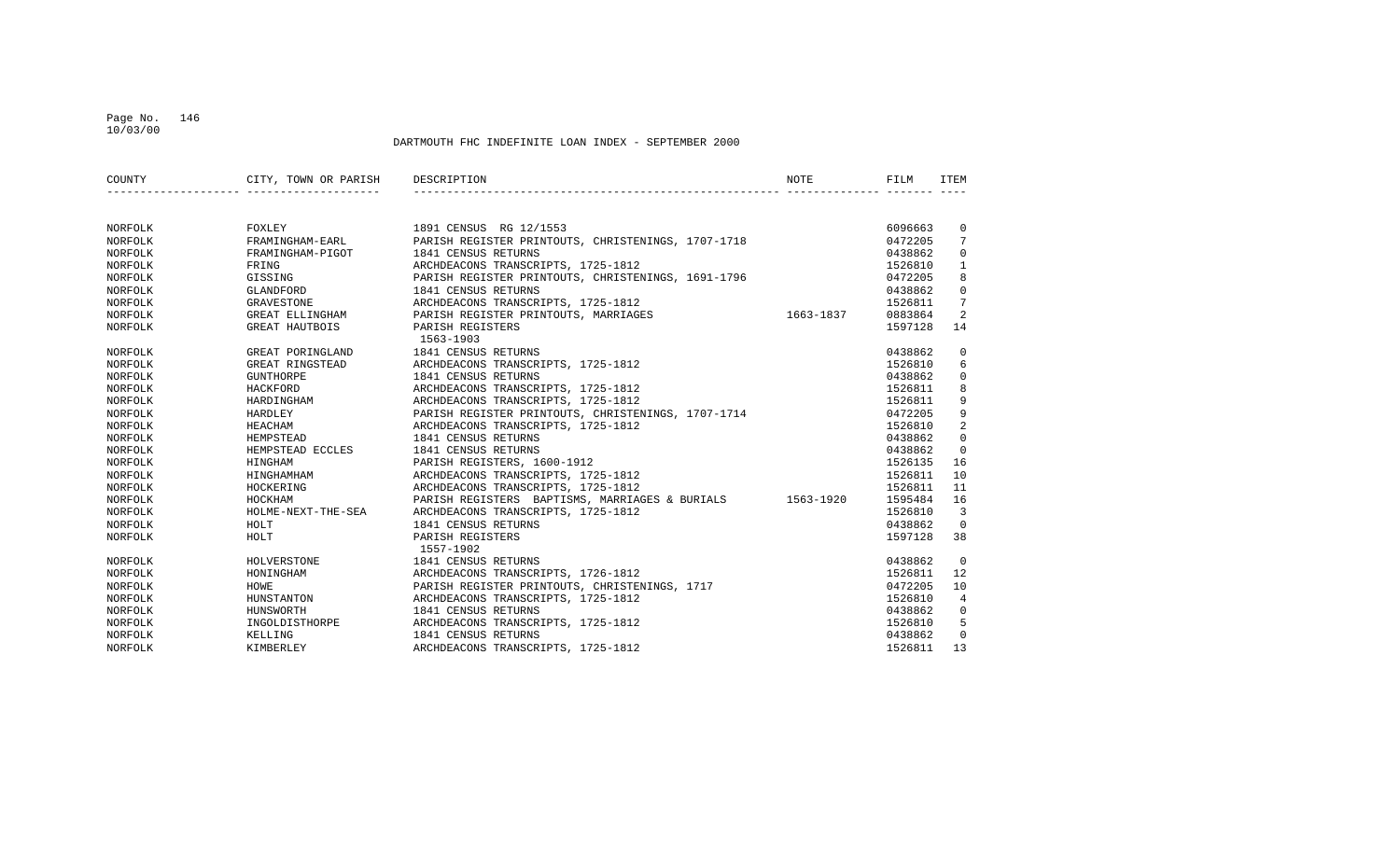#### Page No. 146 10/03/00

| COUNTY         | CITY, TOWN OR PARISH | DESCRIPTION                                              | NOTE      | FILM    | ITEM           |
|----------------|----------------------|----------------------------------------------------------|-----------|---------|----------------|
|                |                      |                                                          |           |         |                |
| NORFOLK        | FOXLEY               | 1891 CENSUS RG 12/1553                                   |           | 6096663 | 0              |
| NORFOLK        | FRAMINGHAM-EARL      | PARISH REGISTER PRINTOUTS, CHRISTENINGS, 1707-1718       |           | 0472205 | 7              |
| NORFOLK        | FRAMINGHAM-PIGOT     | 1841 CENSUS RETURNS                                      |           | 0438862 | $\Omega$       |
| NORFOLK        | FRING                | ARCHDEACONS TRANSCRIPTS, 1725-1812                       |           | 1526810 | $\mathbf{1}$   |
| <b>NORFOLK</b> | GISSING              | PARISH REGISTER PRINTOUTS, CHRISTENINGS, 1691-1796       |           | 0472205 | 8              |
| NORFOLK        | GLANDFORD            | 1841 CENSUS RETURNS                                      |           | 0438862 | $\mathbf 0$    |
| NORFOLK        | GRAVESTONE           | ARCHDEACONS TRANSCRIPTS, 1725-1812                       |           | 1526811 | 7              |
| NORFOLK        | GREAT ELLINGHAM      | PARISH REGISTER PRINTOUTS, MARRIAGES                     | 1663-1837 | 0883864 | 2              |
| NORFOLK        | GREAT HAUTBOIS       | PARISH REGISTERS<br>1563-1903                            |           | 1597128 | 14             |
| NORFOLK        | GREAT PORINGLAND     | 1841 CENSUS RETURNS                                      |           | 0438862 | 0              |
| NORFOLK        | GREAT RINGSTEAD      | ARCHDEACONS TRANSCRIPTS, 1725-1812                       |           | 1526810 | 6              |
| NORFOLK        | GUNTHORPE            | 1841 CENSUS RETURNS                                      |           | 0438862 | $\mathbf 0$    |
| NORFOLK        | HACKFORD             | ARCHDEACONS TRANSCRIPTS, 1725-1812                       |           | 1526811 | 8              |
| NORFOLK        | HARDINGHAM           | ARCHDEACONS TRANSCRIPTS, 1725-1812                       |           | 1526811 | 9              |
| NORFOLK        | HARDLEY              | PARISH REGISTER PRINTOUTS, CHRISTENINGS, 1707-1714       |           | 0472205 | 9              |
| NORFOLK        | HEACHAM              | ARCHDEACONS TRANSCRIPTS, 1725-1812                       |           | 1526810 | $\overline{2}$ |
| NORFOLK        | HEMPSTEAD            | 1841 CENSUS RETURNS                                      |           | 0438862 | $\mathbf 0$    |
| NORFOLK        | HEMPSTEAD ECCLES     | 1841 CENSUS RETURNS                                      |           | 0438862 | $\Omega$       |
| NORFOLK        | HINGHAM              | PARISH REGISTERS, 1600-1912                              |           | 1526135 | 16             |
| NORFOLK        | HINGHAMHAM           | ARCHDEACONS TRANSCRIPTS, 1725-1812                       |           | 1526811 | 10             |
| NORFOLK        | HOCKERING            | ARCHDEACONS TRANSCRIPTS, 1725-1812                       |           | 1526811 | 11             |
| NORFOLK        | HOCKHAM              | PARISH REGISTERS BAPTISMS, MARRIAGES & BURIALS 1563-1920 |           | 1595484 | 16             |
| NORFOLK        | HOLME-NEXT-THE-SEA   | ARCHDEACONS TRANSCRIPTS, 1725-1812                       |           | 1526810 | 3              |
| NORFOLK        | HOLT                 | 1841 CENSUS RETURNS                                      |           | 0438862 | $\Omega$       |
| <b>NORFOLK</b> | HOLT                 | PARISH REGISTERS                                         |           | 1597128 | 38             |
|                |                      | 1557-1902                                                |           |         |                |
| NORFOLK        | HOLVERSTONE          | 1841 CENSUS RETURNS                                      |           | 0438862 | $\overline{0}$ |
| NORFOLK        | HONINGHAM            | ARCHDEACONS TRANSCRIPTS, 1726-1812                       |           | 1526811 | 12             |
| NORFOLK        | HOWE                 | PARISH REGISTER PRINTOUTS, CHRISTENINGS, 1717            |           | 0472205 | 10             |
| NORFOLK        | HUNSTANTON           | ARCHDEACONS TRANSCRIPTS, 1725-1812                       |           | 1526810 | 4              |
| NORFOLK        | HUNSWORTH            | 1841 CENSUS RETURNS                                      |           | 0438862 | $\mathbf 0$    |
| NORFOLK        | INGOLDISTHORPE       | ARCHDEACONS TRANSCRIPTS, 1725-1812                       |           | 1526810 | 5              |
| NORFOLK        | KELLING              | 1841 CENSUS RETURNS                                      |           | 0438862 | $\mathbf 0$    |
| NORFOLK        | KIMBERLEY            | ARCHDEACONS TRANSCRIPTS, 1725-1812                       |           | 1526811 | 13             |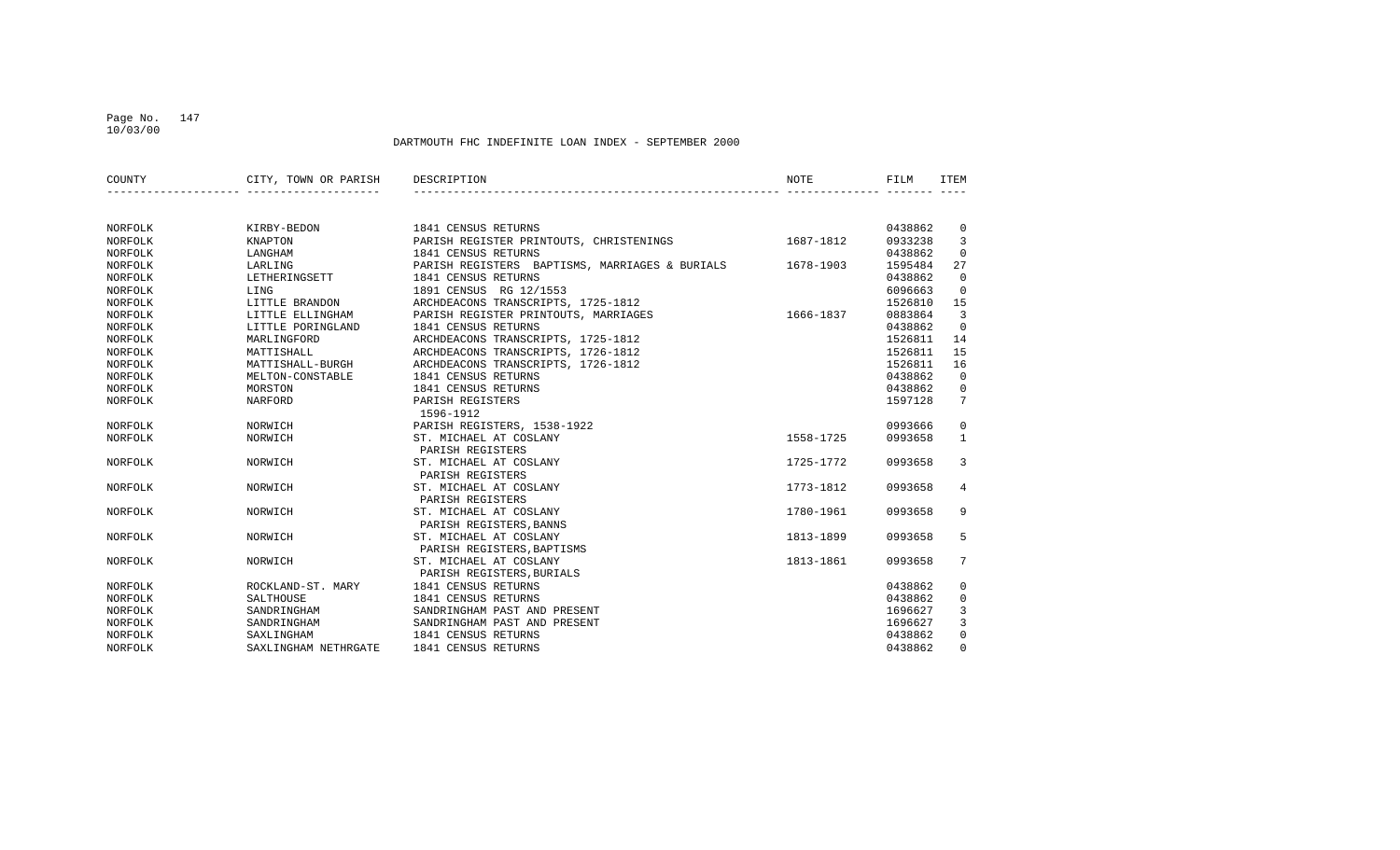# Page No. 147

DARTMOUTH FHC INDEFINITE LOAN INDEX - SEPTEMBER 2000

| COUNTY  | CITY, TOWN OR PARISH | DESCRIPTION                                    | NOTE      | FILM    | ITEM           |
|---------|----------------------|------------------------------------------------|-----------|---------|----------------|
|         |                      |                                                |           |         |                |
| NORFOLK | KIRBY-BEDON          | 1841 CENSUS RETURNS                            |           | 0438862 | 0              |
| NORFOLK | KNAPTON              | PARISH REGISTER PRINTOUTS, CHRISTENINGS        | 1687-1812 | 0933238 | 3              |
| NORFOLK | LANGHAM              | 1841 CENSUS RETURNS                            |           | 0438862 | $\mathbf 0$    |
| NORFOLK | LARLING              | PARISH REGISTERS BAPTISMS, MARRIAGES & BURIALS | 1678-1903 | 1595484 | 27             |
| NORFOLK | LETHERINGSETT        | 1841 CENSUS RETURNS                            |           | 0438862 | $\mathbf 0$    |
| NORFOLK | LING                 | 1891 CENSUS RG 12/1553                         |           | 6096663 | $\mathbf 0$    |
| NORFOLK | LITTLE BRANDON       | ARCHDEACONS TRANSCRIPTS, 1725-1812             |           | 1526810 | 15             |
| NORFOLK | LITTLE ELLINGHAM     | PARISH REGISTER PRINTOUTS, MARRIAGES           | 1666-1837 | 0883864 | $\overline{3}$ |
| NORFOLK | LITTLE PORINGLAND    | 1841 CENSUS RETURNS                            |           | 0438862 | $\mathbf 0$    |
| NORFOLK | MARLINGFORD          | ARCHDEACONS TRANSCRIPTS, 1725-1812             |           | 1526811 | 14             |
| NORFOLK | MATTISHALL           | ARCHDEACONS TRANSCRIPTS, 1726-1812             |           | 1526811 | 15             |
| NORFOLK | MATTISHALL-BURGH     | ARCHDEACONS TRANSCRIPTS, 1726-1812             |           | 1526811 | 16             |
| NORFOLK | MELTON-CONSTABLE     | 1841 CENSUS RETURNS                            |           | 0438862 | $\mathbf 0$    |
| NORFOLK | MORSTON              | 1841 CENSUS RETURNS                            |           | 0438862 | $\mathbf{0}$   |
| NORFOLK | NARFORD              | PARISH REGISTERS                               |           | 1597128 | 7              |
|         |                      | 1596-1912                                      |           |         |                |
| NORFOLK | NORWICH              | PARISH REGISTERS, 1538-1922                    |           | 0993666 | 0              |
| NORFOLK | NORWICH              | ST. MICHAEL AT COSLANY                         | 1558-1725 | 0993658 | $\mathbf{1}$   |
|         |                      | PARISH REGISTERS                               |           |         |                |
| NORFOLK | NORWICH              | ST. MICHAEL AT COSLANY                         | 1725-1772 | 0993658 | $\overline{3}$ |
|         |                      | PARISH REGISTERS                               |           |         |                |
| NORFOLK | NORWICH              | ST. MICHAEL AT COSLANY                         | 1773-1812 | 0993658 | 4              |
|         |                      | PARISH REGISTERS                               |           |         |                |
| NORFOLK | NORWICH              | ST. MICHAEL AT COSLANY                         | 1780-1961 | 0993658 | 9              |
|         |                      | PARISH REGISTERS, BANNS                        |           |         |                |
| NORFOLK | NORWICH              | ST. MICHAEL AT COSLANY                         | 1813-1899 | 0993658 | 5              |
|         |                      | PARISH REGISTERS, BAPTISMS                     |           |         |                |
| NORFOLK | NORWICH              | ST. MICHAEL AT COSLANY                         | 1813-1861 | 0993658 | 7              |
|         |                      | PARISH REGISTERS, BURIALS                      |           |         |                |
| NORFOLK | ROCKLAND-ST. MARY    | 1841 CENSUS RETURNS                            |           | 0438862 | 0              |
| NORFOLK | SALTHOUSE            | 1841 CENSUS RETURNS                            |           | 0438862 | $\mathbf 0$    |
| NORFOLK | SANDRINGHAM          | SANDRINGHAM PAST AND PRESENT                   |           | 1696627 | 3              |
| NORFOLK | SANDRINGHAM          | SANDRINGHAM PAST AND PRESENT                   |           | 1696627 | 3              |
| NORFOLK | SAXLINGHAM           | 1841 CENSUS RETURNS                            |           | 0438862 | $\mathbf 0$    |
| NORFOLK | SAXLINGHAM NETHRGATE | 1841 CENSUS RETURNS                            |           | 0438862 | $\Omega$       |

10/03/00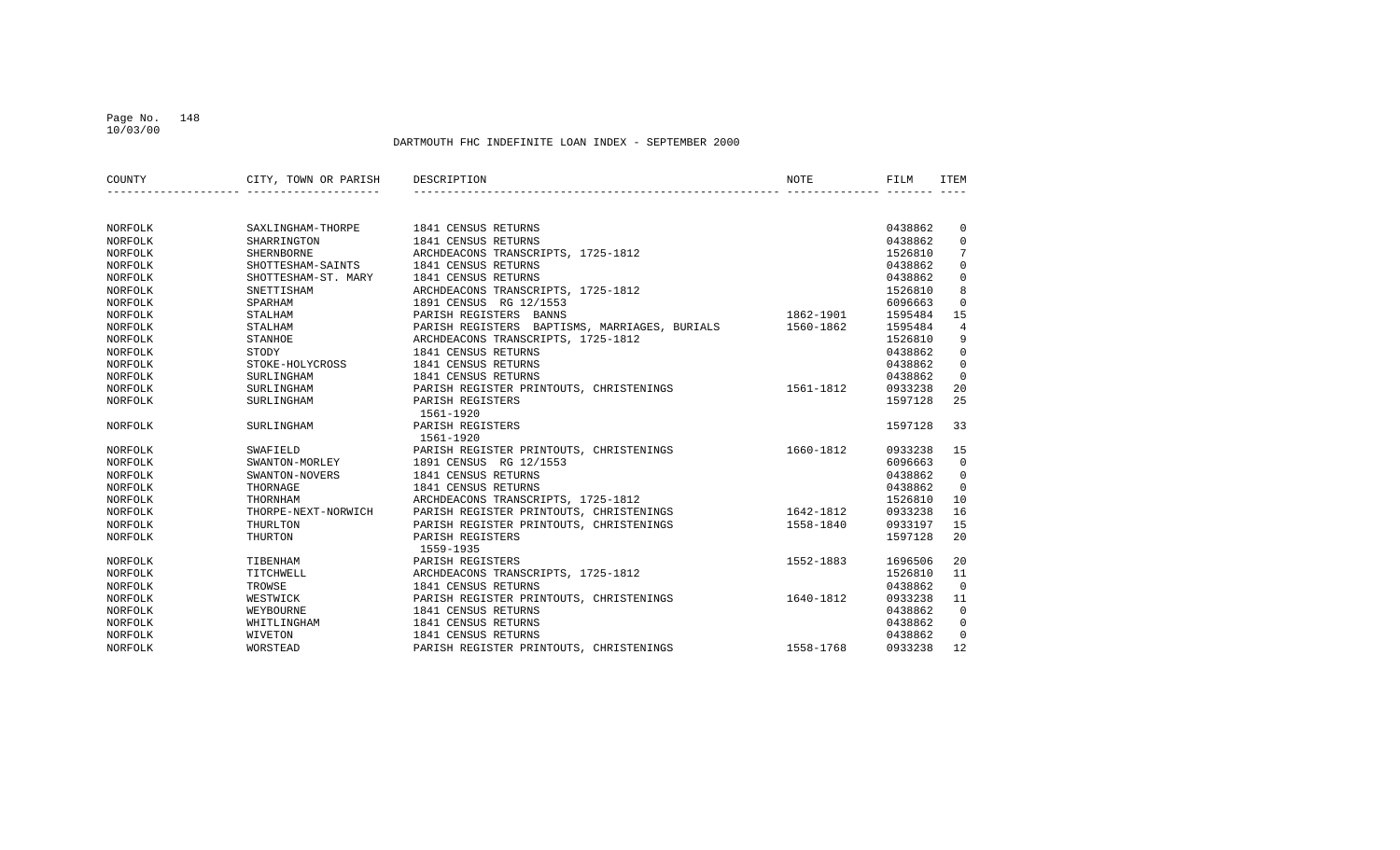#### Page No. 148 10/03/00

| COUNTY  | CITY, TOWN OR PARISH | DESCRIPTION                                   | NOTE      | FILM    | ITEM            |
|---------|----------------------|-----------------------------------------------|-----------|---------|-----------------|
|         |                      |                                               |           |         |                 |
| NORFOLK | SAXLINGHAM-THORPE    | 1841 CENSUS RETURNS                           |           | 0438862 | $\overline{0}$  |
| NORFOLK | SHARRINGTON          | 1841 CENSUS RETURNS                           |           | 0438862 | 0               |
| NORFOLK | <b>SHERNBORNE</b>    | ARCHDEACONS TRANSCRIPTS, 1725-1812            |           | 1526810 | $7\phantom{.0}$ |
| NORFOLK | SHOTTESHAM-SAINTS    | 1841 CENSUS RETURNS                           |           | 0438862 | $\mathbf 0$     |
| NORFOLK | SHOTTESHAM-ST. MARY  | 1841 CENSUS RETURNS                           |           | 0438862 | 0               |
| NORFOLK | SNETTISHAM           | ARCHDEACONS TRANSCRIPTS, 1725-1812            |           | 1526810 | 8               |
| NORFOLK | SPARHAM              | 1891 CENSUS RG 12/1553                        |           | 6096663 | $\mathbf 0$     |
| NORFOLK | STALHAM              | PARISH REGISTERS BANNS                        | 1862-1901 | 1595484 | 15              |
| NORFOLK | STALHAM              | PARISH REGISTERS BAPTISMS, MARRIAGES, BURIALS | 1560-1862 | 1595484 | 4               |
| NORFOLK | STANHOE              | ARCHDEACONS TRANSCRIPTS, 1725-1812            |           | 1526810 | 9               |
| NORFOLK | STODY                | 1841 CENSUS RETURNS                           |           | 0438862 | 0               |
| NORFOLK | STOKE-HOLYCROSS      | 1841 CENSUS RETURNS                           |           | 0438862 | 0               |
| NORFOLK | SURLINGHAM           | 1841 CENSUS RETURNS                           |           | 0438862 | $\mathbf 0$     |
| NORFOLK | SURLINGHAM           | PARISH REGISTER PRINTOUTS, CHRISTENINGS       | 1561-1812 | 0933238 | 20              |
| NORFOLK | SURLINGHAM           | PARISH REGISTERS                              |           | 1597128 | 25              |
|         |                      | 1561-1920                                     |           |         |                 |
| NORFOLK | SURLINGHAM           | PARISH REGISTERS                              |           | 1597128 | 33              |
|         |                      | 1561-1920                                     |           |         |                 |
| NORFOLK | SWAFIELD             | PARISH REGISTER PRINTOUTS, CHRISTENINGS       | 1660-1812 | 0933238 | 15              |
| NORFOLK | SWANTON-MORLEY       | 1891 CENSUS RG 12/1553                        |           | 6096663 | $\overline{0}$  |
| NORFOLK | SWANTON-NOVERS       | 1841 CENSUS RETURNS                           |           | 0438862 | $\mathbf{0}$    |
| NORFOLK | THORNAGE             | 1841 CENSUS RETURNS                           |           | 0438862 | $\overline{0}$  |
| NORFOLK | THORNHAM             | ARCHDEACONS TRANSCRIPTS, 1725-1812            |           | 1526810 | 10              |
| NORFOLK | THORPE-NEXT-NORWICH  | PARISH REGISTER PRINTOUTS, CHRISTENINGS       | 1642-1812 | 0933238 | 16              |
| NORFOLK | THURLTON             | PARISH REGISTER PRINTOUTS, CHRISTENINGS       | 1558-1840 | 0933197 | 15              |
| NORFOLK | THURTON              | PARISH REGISTERS                              |           | 1597128 | 20              |
|         |                      | 1559-1935                                     |           |         |                 |
| NORFOLK | TIBENHAM             | PARISH REGISTERS                              | 1552-1883 | 1696506 | 20              |
| NORFOLK | TITCHWELL            | ARCHDEACONS TRANSCRIPTS, 1725-1812            |           | 1526810 | 11              |
| NORFOLK | TROWSE               | 1841 CENSUS RETURNS                           |           | 0438862 | $\mathbf 0$     |
| NORFOLK | WESTWICK             | PARISH REGISTER PRINTOUTS, CHRISTENINGS       | 1640-1812 | 0933238 | 11              |
| NORFOLK | WEYBOURNE            | 1841 CENSUS RETURNS                           |           | 0438862 | $\mathbf 0$     |
| NORFOLK | WHITLINGHAM          | 1841 CENSUS RETURNS                           |           | 0438862 | 0               |
| NORFOLK | WIVETON              | 1841 CENSUS RETURNS                           |           | 0438862 | $\mathbf 0$     |
| NORFOLK | WORSTEAD             | PARISH REGISTER PRINTOUTS, CHRISTENINGS       | 1558-1768 | 0933238 | 12              |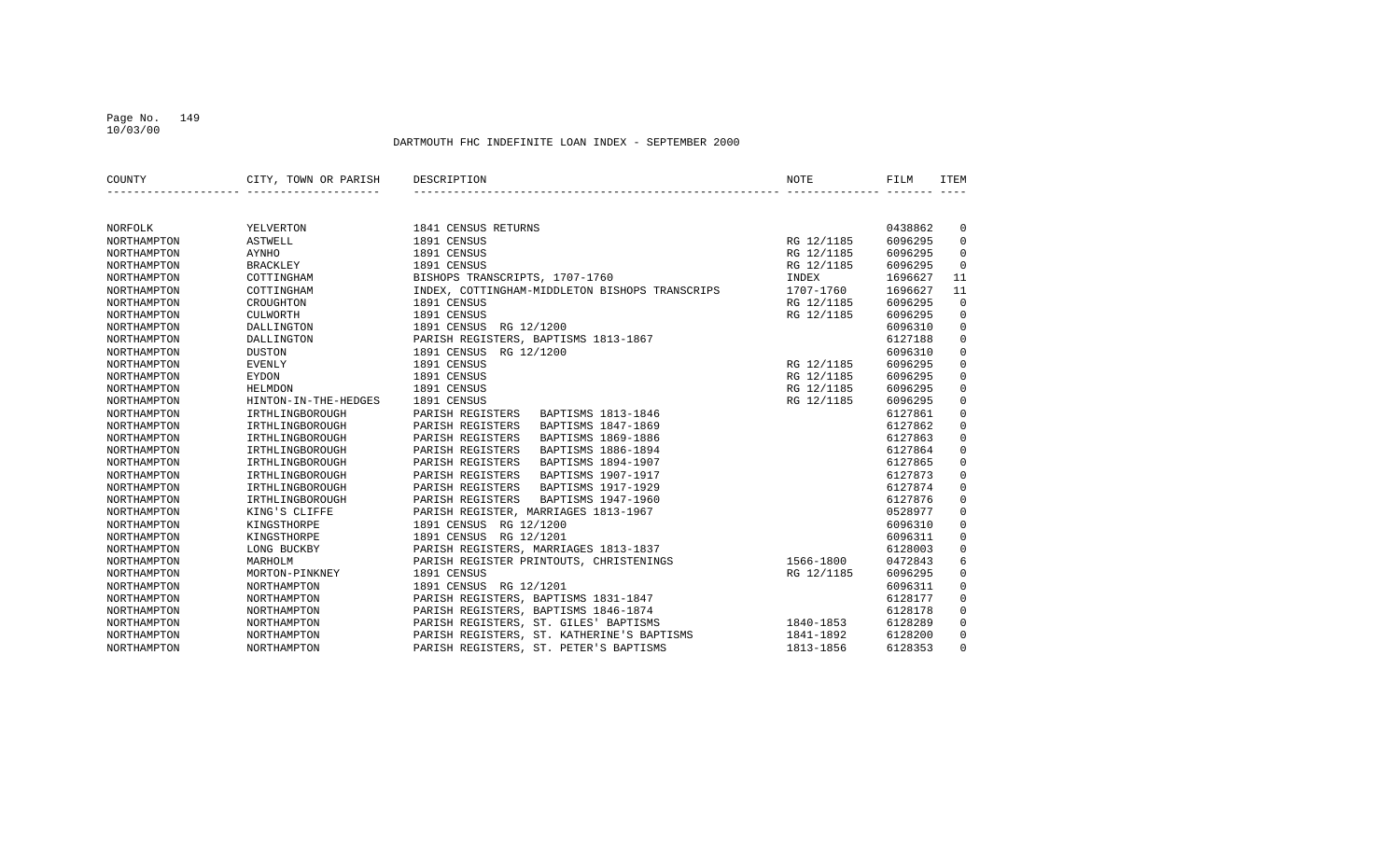#### Page No. 149 10/03/00

| COUNTY             | CITY, TOWN OR PARISH | DESCRIPTION                                    | NOTE       | FILM    | ITEM        |
|--------------------|----------------------|------------------------------------------------|------------|---------|-------------|
|                    |                      |                                                |            |         |             |
| NORFOLK            | YELVERTON            | 1841 CENSUS RETURNS                            |            | 0438862 | $\mathbf 0$ |
| NORTHAMPTON        | <b>ASTWELL</b>       | 1891 CENSUS                                    | RG 12/1185 | 6096295 | 0           |
| NORTHAMPTON        | <b>AYNHO</b>         | 1891 CENSUS                                    | RG 12/1185 | 6096295 | $\mathbf 0$ |
| NORTHAMPTON        | <b>BRACKLEY</b>      | 1891 CENSUS                                    | RG 12/1185 | 6096295 | $\mathbf 0$ |
| NORTHAMPTON        | COTTINGHAM           | BISHOPS TRANSCRIPTS, 1707-1760                 | INDEX      | 1696627 | 11          |
| NORTHAMPTON        | COTTINGHAM           | INDEX, COTTINGHAM-MIDDLETON BISHOPS TRANSCRIPS | 1707-1760  | 1696627 | 11          |
| NORTHAMPTON        | CROUGHTON            | 1891 CENSUS                                    | RG 12/1185 | 6096295 | $\Omega$    |
| NORTHAMPTON        | <b>CULWORTH</b>      | 1891 CENSUS                                    | RG 12/1185 | 6096295 | $\Omega$    |
| NORTHAMPTON        | DALLINGTON           | 1891 CENSUS RG 12/1200                         |            | 6096310 | $\mathbf 0$ |
| NORTHAMPTON        | DALLINGTON           | PARISH REGISTERS, BAPTISMS 1813-1867           |            | 6127188 | $\mathbf 0$ |
| NORTHAMPTON        | <b>DUSTON</b>        | 1891 CENSUS RG 12/1200                         |            | 6096310 | $\mathbf 0$ |
| NORTHAMPTON        | <b>EVENLY</b>        | 1891 CENSUS                                    | RG 12/1185 | 6096295 | $\mathbf 0$ |
| NORTHAMPTON        | EYDON                | 1891 CENSUS                                    | RG 12/1185 | 6096295 | $\mathbf 0$ |
| NORTHAMPTON        | <b>HELMDON</b>       | 1891 CENSUS                                    | RG 12/1185 | 6096295 | $\mathbf 0$ |
| <b>NORTHAMPTON</b> | HINTON-IN-THE-HEDGES | 1891 CENSUS                                    | RG 12/1185 | 6096295 | $\mathbf 0$ |
| NORTHAMPTON        | IRTHLINGBOROUGH      | PARISH REGISTERS<br>BAPTISMS 1813-1846         |            | 6127861 | $\mathbf 0$ |
| NORTHAMPTON        | IRTHLINGBOROUGH      | BAPTISMS 1847-1869<br>PARISH REGISTERS         |            | 6127862 | $\mathbf 0$ |
| NORTHAMPTON        | IRTHLINGBOROUGH      | PARISH REGISTERS<br>BAPTISMS 1869-1886         |            | 6127863 | $\Omega$    |
| NORTHAMPTON        | IRTHLINGBOROUGH      | PARISH REGISTERS<br>BAPTISMS 1886-1894         |            | 6127864 | $\mathbf 0$ |
| NORTHAMPTON        | IRTHLINGBOROUGH      | PARISH REGISTERS<br>BAPTISMS 1894-1907         |            | 6127865 | $\mathbf 0$ |
| NORTHAMPTON        | IRTHLINGBOROUGH      | PARISH REGISTERS<br>BAPTISMS 1907-1917         |            | 6127873 | $\mathsf 0$ |
| NORTHAMPTON        | IRTHLINGBOROUGH      | PARISH REGISTERS<br>BAPTISMS 1917-1929         |            | 6127874 | $\mathbf 0$ |
| NORTHAMPTON        | IRTHLINGBOROUGH      | PARISH REGISTERS<br>BAPTISMS 1947-1960         |            | 6127876 | $\mathbf 0$ |
| NORTHAMPTON        | KING'S CLIFFE        | PARISH REGISTER, MARRIAGES 1813-1967           |            | 0528977 | $\Omega$    |
| NORTHAMPTON        | KINGSTHORPE          | 1891 CENSUS RG 12/1200                         |            | 6096310 | $\mathbf 0$ |
| NORTHAMPTON        | KINGSTHORPE          | 1891 CENSUS RG 12/1201                         |            | 6096311 | $\mathbf 0$ |
| NORTHAMPTON        | LONG BUCKBY          | PARISH REGISTERS, MARRIAGES 1813-1837          |            | 6128003 | $\mathbf 0$ |
| NORTHAMPTON        | MARHOLM              | PARISH REGISTER PRINTOUTS, CHRISTENINGS        | 1566-1800  | 0472843 | 6           |
| NORTHAMPTON        | MORTON-PINKNEY       | 1891 CENSUS                                    | RG 12/1185 | 6096295 | $\Omega$    |
| NORTHAMPTON        | NORTHAMPTON          | 1891 CENSUS RG 12/1201                         |            | 6096311 | $\mathbf 0$ |
| NORTHAMPTON        | NORTHAMPTON          | PARISH REGISTERS, BAPTISMS 1831-1847           |            | 6128177 | $\mathbf 0$ |
| NORTHAMPTON        | NORTHAMPTON          | PARISH REGISTERS, BAPTISMS 1846-1874           |            | 6128178 | $\mathbf 0$ |
| NORTHAMPTON        | NORTHAMPTON          | PARISH REGISTERS, ST. GILES' BAPTISMS          | 1840-1853  | 6128289 | $\mathbf 0$ |
| NORTHAMPTON        | NORTHAMPTON          | PARISH REGISTERS, ST. KATHERINE'S BAPTISMS     | 1841-1892  | 6128200 | $\mathbf 0$ |
| NORTHAMPTON        | NORTHAMPTON          | PARISH REGISTERS, ST. PETER'S BAPTISMS         | 1813-1856  | 6128353 | $\Omega$    |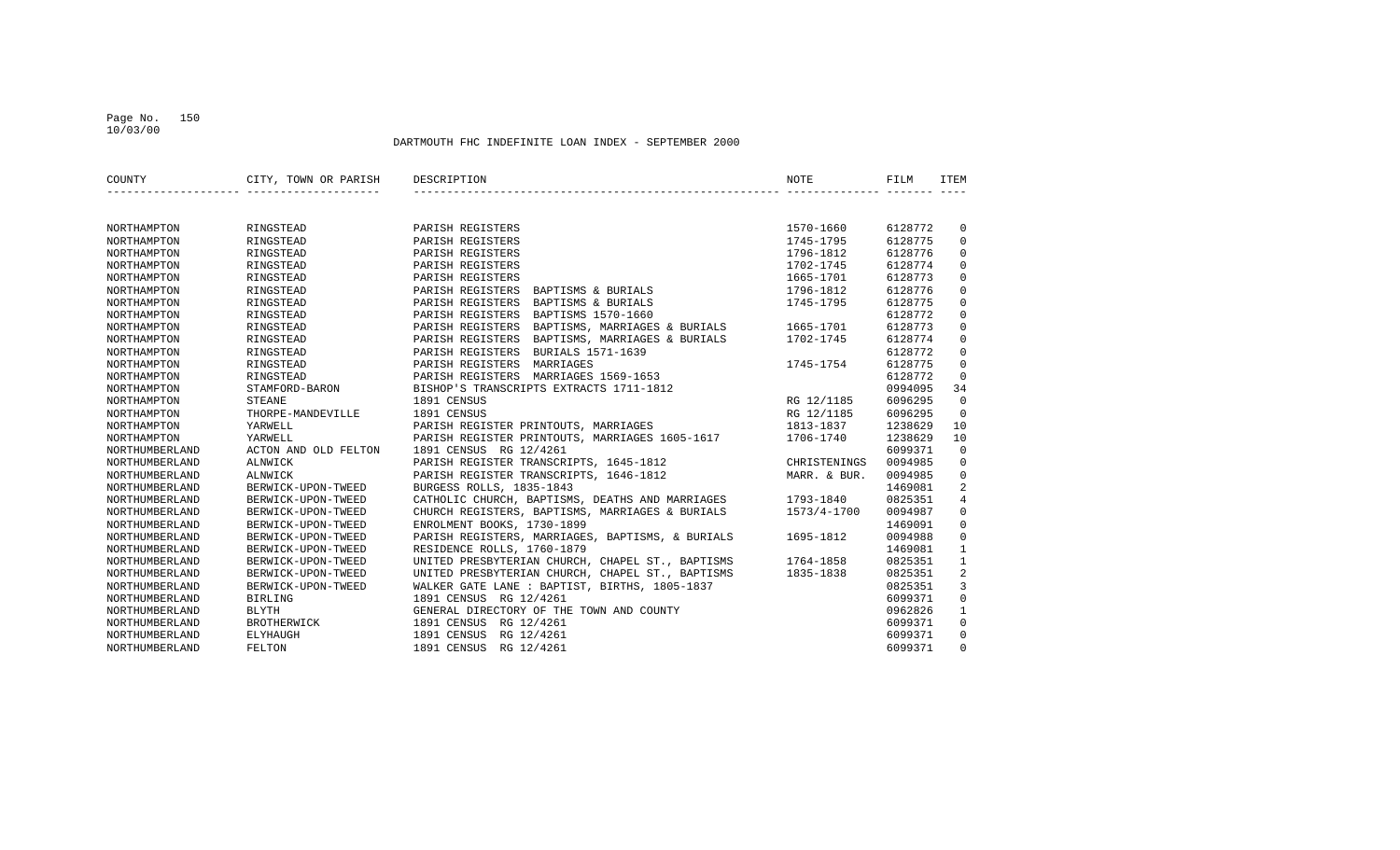#### Page No. 150 10/03/00

| COUNTY             | CITY, TOWN OR PARISH | DESCRIPTION                                       | <b>NOTE</b>  | FILM    | <b>ITEM</b>    |
|--------------------|----------------------|---------------------------------------------------|--------------|---------|----------------|
|                    |                      |                                                   |              |         |                |
| NORTHAMPTON        | RINGSTEAD            | PARISH REGISTERS                                  | 1570-1660    | 6128772 | 0              |
| <b>NORTHAMPTON</b> | RINGSTEAD            | PARISH REGISTERS                                  | 1745-1795    | 6128775 | $\mathbf 0$    |
| NORTHAMPTON        | RINGSTEAD            | PARISH REGISTERS                                  | 1796-1812    | 6128776 | $\mathbf 0$    |
| NORTHAMPTON        | RINGSTEAD            | PARISH REGISTERS                                  | 1702-1745    | 6128774 | $\mathbf 0$    |
| <b>NORTHAMPTON</b> | RINGSTEAD            | PARISH REGISTERS                                  | 1665-1701    | 6128773 | $\mathbf 0$    |
| NORTHAMPTON        | RINGSTEAD            | PARISH REGISTERS<br>BAPTISMS & BURIALS            | 1796-1812    | 6128776 | $\mathbf 0$    |
| NORTHAMPTON        | RINGSTEAD            | PARISH REGISTERS<br>BAPTISMS & BURIALS            | 1745-1795    | 6128775 | $\mathbf 0$    |
| NORTHAMPTON        | RINGSTEAD            | PARISH REGISTERS<br>BAPTISMS 1570-1660            |              | 6128772 | $\mathbf 0$    |
| NORTHAMPTON        | RINGSTEAD            | BAPTISMS, MARRIAGES & BURIALS<br>PARISH REGISTERS | 1665-1701    | 6128773 | $\mathbf 0$    |
| NORTHAMPTON        | RINGSTEAD            | PARISH REGISTERS<br>BAPTISMS, MARRIAGES & BURIALS | 1702-1745    | 6128774 | $\mathsf 0$    |
| NORTHAMPTON        | RINGSTEAD            | PARISH REGISTERS<br>BURIALS 1571-1639             |              | 6128772 | $\mathbf 0$    |
| NORTHAMPTON        | RINGSTEAD            | PARISH REGISTERS<br>MARRIAGES                     | 1745-1754    | 6128775 | $\Omega$       |
| NORTHAMPTON        | RINGSTEAD            | PARISH REGISTERS MARRIAGES 1569-1653              |              | 6128772 | $\Omega$       |
| NORTHAMPTON        | STAMFORD-BARON       | BISHOP'S TRANSCRIPTS EXTRACTS 1711-1812           |              | 0994095 | 34             |
| <b>NORTHAMPTON</b> | <b>STEANE</b>        | 1891 CENSUS                                       | RG 12/1185   | 6096295 | $\Omega$       |
| NORTHAMPTON        | THORPE-MANDEVILLE    | 1891 CENSUS                                       | RG 12/1185   | 6096295 | $\Omega$       |
| NORTHAMPTON        | YARWELL              | PARISH REGISTER PRINTOUTS, MARRIAGES              | 1813-1837    | 1238629 | 10             |
| NORTHAMPTON        | YARWELL              | PARISH REGISTER PRINTOUTS, MARRIAGES 1605-1617    | 1706-1740    | 1238629 | 10             |
| NORTHUMBERLAND     | ACTON AND OLD FELTON | 1891 CENSUS RG 12/4261                            |              | 6099371 | $\mathbf 0$    |
| NORTHUMBERLAND     | ALNWICK              | PARISH REGISTER TRANSCRIPTS, 1645-1812            | CHRISTENINGS | 0094985 | $\mathbf 0$    |
| NORTHUMBERLAND     | <b>ALNWICK</b>       | PARISH REGISTER TRANSCRIPTS, 1646-1812            | MARR. & BUR. | 0094985 | $\mathbf 0$    |
| NORTHUMBERLAND     | BERWICK-UPON-TWEED   | BURGESS ROLLS, 1835-1843                          |              | 1469081 | 2              |
| NORTHUMBERLAND     | BERWICK-UPON-TWEED   | CATHOLIC CHURCH, BAPTISMS, DEATHS AND MARRIAGES   | 1793-1840    | 0825351 | $\overline{4}$ |
| NORTHUMBERLAND     | BERWICK-UPON-TWEED   | CHURCH REGISTERS, BAPTISMS, MARRIAGES & BURIALS   | 1573/4-1700  | 0094987 | $\mathbf 0$    |
| NORTHUMBERLAND     | BERWICK-UPON-TWEED   | ENROLMENT BOOKS, 1730-1899                        |              | 1469091 | $\mathbf 0$    |
| NORTHUMBERLAND     | BERWICK-UPON-TWEED   | PARISH REGISTERS, MARRIAGES, BAPTISMS, & BURIALS  | 1695-1812    | 0094988 | $\mathbf 0$    |
| NORTHUMBERLAND     | BERWICK-UPON-TWEED   | RESIDENCE ROLLS, 1760-1879                        |              | 1469081 | $\mathbf{1}$   |
| NORTHUMBERLAND     | BERWICK-UPON-TWEED   | UNITED PRESBYTERIAN CHURCH, CHAPEL ST., BAPTISMS  | 1764-1858    | 0825351 | $\mathbf{1}$   |
| NORTHUMBERLAND     | BERWICK-UPON-TWEED   | UNITED PRESBYTERIAN CHURCH, CHAPEL ST., BAPTISMS  | 1835-1838    | 0825351 | 2              |
| NORTHUMBERLAND     | BERWICK-UPON-TWEED   | WALKER GATE LANE : BAPTIST, BIRTHS, 1805-1837     |              | 0825351 | $\overline{3}$ |
| NORTHUMBERLAND     | <b>BIRLING</b>       | 1891 CENSUS RG 12/4261                            |              | 6099371 | $\mathbf 0$    |
| NORTHUMBERLAND     | <b>BLYTH</b>         | GENERAL DIRECTORY OF THE TOWN AND COUNTY          |              | 0962826 | $\mathbf{1}$   |
| NORTHUMBERLAND     | BROTHERWICK          | 1891 CENSUS RG 12/4261                            |              | 6099371 | $\mathbf 0$    |
| NORTHUMBERLAND     | ELYHAUGH             | 1891 CENSUS RG 12/4261                            |              | 6099371 | $\Omega$       |
| NORTHUMBERLAND     | FELTON               | 1891 CENSUS RG 12/4261                            |              | 6099371 | $\Omega$       |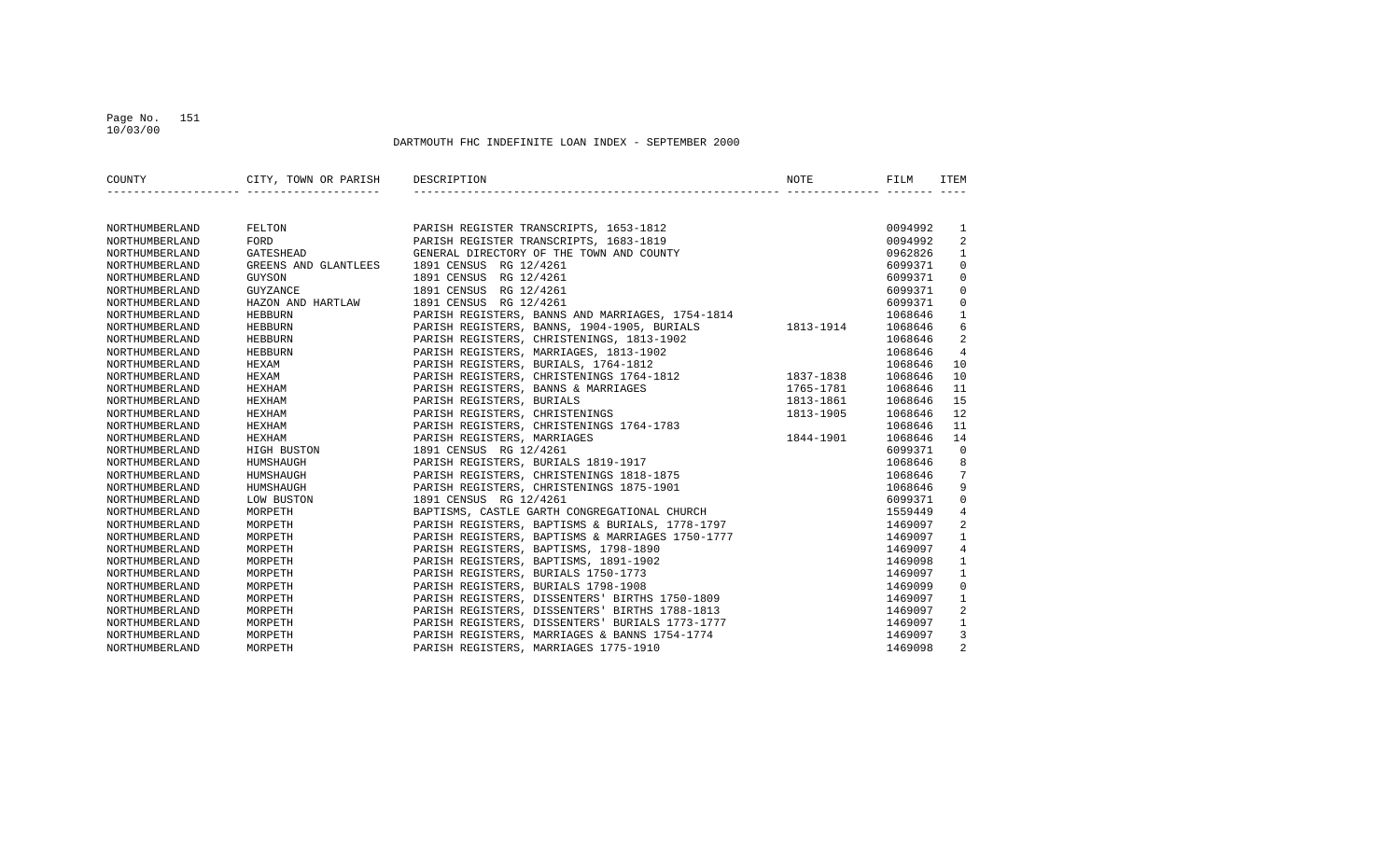#### Page No. 151 10/03/00

| COUNTY         | CITY, TOWN OR PARISH DESCRIPTION |                                                                                                | NOTE      | FILM    | ITEM           |
|----------------|----------------------------------|------------------------------------------------------------------------------------------------|-----------|---------|----------------|
|                |                                  |                                                                                                |           |         |                |
| NORTHUMBERLAND | FELTON                           | PARISH REGISTER TRANSCRIPTS, 1653-1812                                                         |           | 0094992 | 1              |
| NORTHUMBERLAND | FORD                             | PARISH REGISTER TRANSCRIPTS, 1683-1819                                                         |           | 0094992 | 2              |
| NORTHUMBERLAND | <b>GATESHEAD</b>                 | GENERAL DIRECTORY OF THE TOWN AND COUNTY                                                       |           | 0962826 | $\mathbf{1}$   |
| NORTHUMBERLAND | GREENS AND GLANTLEES             | 1891 CENSUS RG 12/4261                                                                         |           | 6099371 | $\Omega$       |
| NORTHUMBERLAND | GUYSON                           | 1891 CENSUS RG 12/4261                                                                         |           | 6099371 | $\Omega$       |
| NORTHUMBERLAND | GUYZANCE                         | 1891 CENSUS RG 12/4261                                                                         |           | 6099371 | $\Omega$       |
| NORTHUMBERLAND | HAZON AND HARTLAW                | 1891 CENSUS RG 12/4261                                                                         |           | 6099371 | $\Omega$       |
| NORTHUMBERLAND | <b>HEBBURN</b>                   | PARISH REGISTERS, BANNS AND MARRIAGES, 1754-1814                                               |           | 1068646 | $\mathbf{1}$   |
| NORTHUMBERLAND | HEBBURN                          | PARISH REGISTERS, BANNS, 1904-1905, BURIALS                                                    | 1813-1914 | 1068646 | 6              |
| NORTHUMBERLAND | HEBBURN                          | PARISH REGISTERS, CHRISTENINGS, 1813-1902                                                      |           | 1068646 | 2              |
| NORTHUMBERLAND | HEBBURN                          | PARISH REGISTERS, MARRIAGES, 1813-1902                                                         |           | 1068646 | 4              |
| NORTHUMBERLAND | HEXAM                            |                                                                                                |           | 1068646 | 10             |
| NORTHUMBERLAND | HEXAM                            | PARISH REGISTERS, CHRISTENINGS 1764-1812<br>PARISH REGISTERS, CHRISTENINGS 1764-1812 1837-1838 |           | 1068646 | 10             |
| NORTHUMBERLAND | HEXHAM                           | PARISH REGISTERS, BANNS & MARRIAGES                                                            | 1765-1781 | 1068646 | 11             |
| NORTHUMBERLAND | HEXHAM                           | PARISH REGISTERS, BURIALS                                                                      | 1813-1861 | 1068646 | 15             |
| NORTHUMBERLAND | HEXHAM                           | PARISH REGISTERS, CHRISTENINGS                                                                 | 1813-1905 | 1068646 | 12             |
| NORTHUMBERLAND | HEXHAM                           | PARISH REGISTERS, CHRISTENINGS 1764-1783                                                       |           | 1068646 | 11             |
| NORTHUMBERLAND | HEXHAM                           | PARISH REGISTERS, MARRIAGES                                                                    | 1844-1901 | 1068646 | 14             |
| NORTHUMBERLAND | HIGH BUSTON                      | 1891 CENSUS RG 12/4261                                                                         |           | 6099371 | $\Omega$       |
| NORTHUMBERLAND | HUMSHAUGH                        | PARISH REGISTERS, BURIALS 1819-1917                                                            |           | 1068646 | 8              |
| NORTHUMBERLAND | HUMSHAUGH                        | PARISH REGISTERS, CHRISTENINGS 1818-1875                                                       |           | 1068646 | 7              |
| NORTHUMBERLAND | HUMSHAUGH                        | PARISH REGISTERS, CHRISTENINGS 1875-1901                                                       |           | 1068646 | 9              |
| NORTHUMBERLAND | LOW BUSTON                       | 1891 CENSUS RG 12/4261                                                                         |           | 6099371 | $\Omega$       |
| NORTHUMBERLAND | MORPETH                          | BAPTISMS, CASTLE GARTH CONGREGATIONAL CHURCH                                                   |           | 1559449 | $\overline{4}$ |
| NORTHUMBERLAND | MORPETH                          | PARISH REGISTERS, BAPTISMS & BURIALS, 1778-1797                                                |           | 1469097 | $\overline{2}$ |
| NORTHUMBERLAND | MORPETH                          | PARISH REGISTERS, BAPTISMS & MARRIAGES 1750-1777                                               |           | 1469097 | $\mathbf{1}$   |
| NORTHUMBERLAND | MORPETH                          | PARISH REGISTERS, BAPTISMS, 1798-1890                                                          |           | 1469097 | $\overline{4}$ |
| NORTHUMBERLAND | MORPETH                          | PARISH REGISTERS, BAPTISMS, 1891-1902                                                          |           | 1469098 | $\mathbf{1}$   |
| NORTHUMBERLAND | MORPETH                          | PARISH REGISTERS, BURIALS 1750-1773                                                            |           | 1469097 | $\mathbf{1}$   |
| NORTHUMBERLAND | MORPETH                          | PARISH REGISTERS, BURIALS 1798-1908                                                            |           | 1469099 | $\Omega$       |
| NORTHUMBERLAND | MORPETH                          | PARISH REGISTERS, DISSENTERS' BIRTHS 1750-1809                                                 |           | 1469097 | $\mathbf{1}$   |
| NORTHUMBERLAND | MORPETH                          | PARISH REGISTERS, DISSENTERS' BIRTHS 1788-1813                                                 |           | 1469097 | 2              |
| NORTHUMBERLAND | MORPETH                          | PARISH REGISTERS, DISSENTERS' BURIALS 1773-1777                                                |           | 1469097 | $\mathbf{1}$   |
| NORTHUMBERLAND | MORPETH                          | PARISH REGISTERS, MARRIAGES & BANNS 1754-1774                                                  |           | 1469097 | 3              |
| NORTHUMBERLAND | MORPETH                          | PARISH REGISTERS, MARRIAGES 1775-1910                                                          |           | 1469098 | $\overline{2}$ |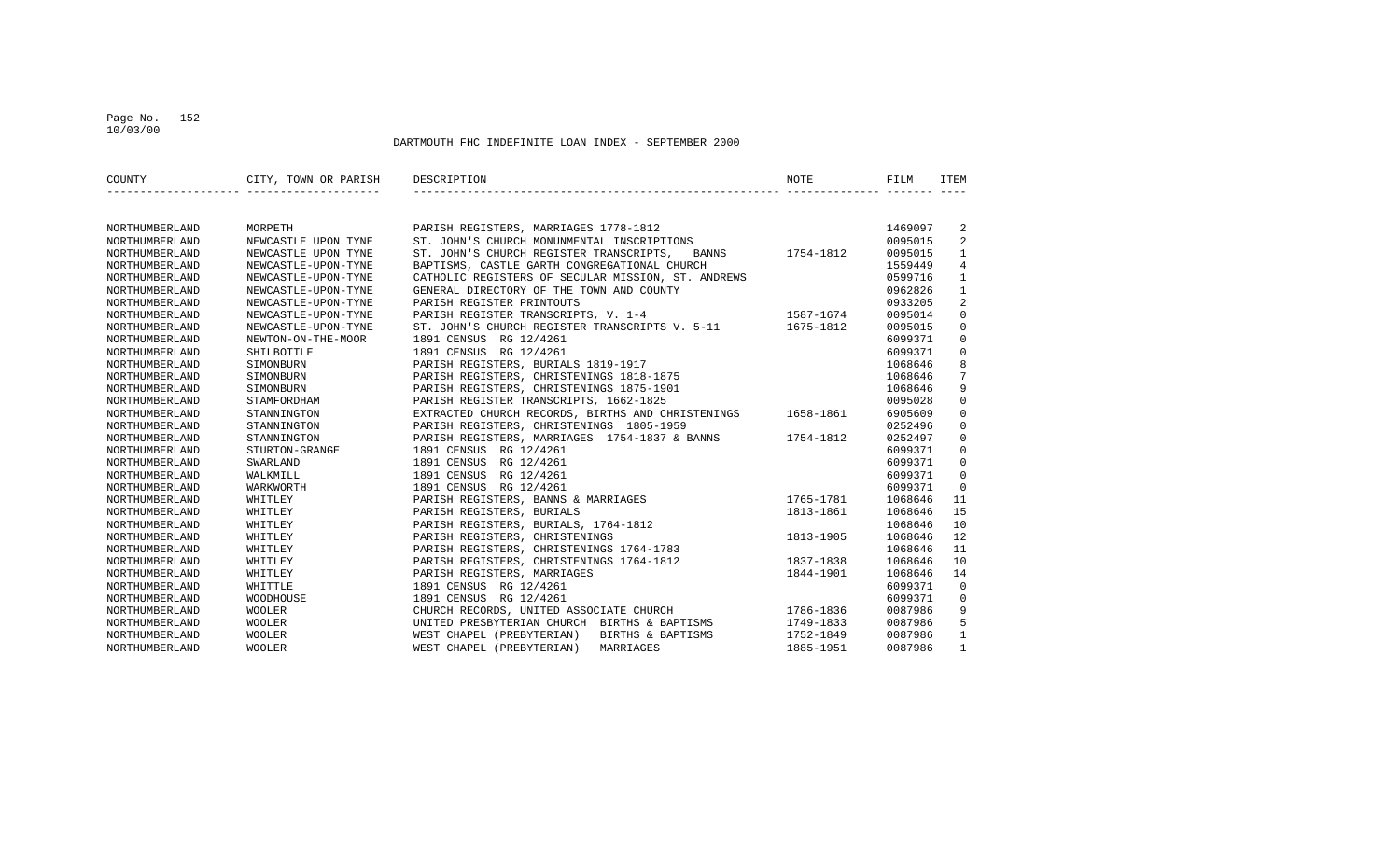#### Page No. 152 10/03/00

| COUNTY                | CITY, TOWN OR PARISH | DESCRIPTION                                              | <b>NOTE</b> | FILM    | ITEM           |
|-----------------------|----------------------|----------------------------------------------------------|-------------|---------|----------------|
|                       |                      |                                                          |             |         |                |
| NORTHUMBERLAND        | MORPETH              | PARISH REGISTERS, MARRIAGES 1778-1812                    |             | 1469097 | 2              |
| NORTHUMBERLAND        | NEWCASTLE UPON TYNE  | ST. JOHN'S CHURCH MONUNMENTAL INSCRIPTIONS               |             | 0095015 | 2              |
| NORTHUMBERLAND        | NEWCASTLE UPON TYNE  | ST. JOHN'S CHURCH REGISTER TRANSCRIPTS, BANNS 1754-1812  |             | 0095015 | $\mathbf{1}$   |
| NORTHUMBERLAND        | NEWCASTLE-UPON-TYNE  | BAPTISMS, CASTLE GARTH CONGREGATIONAL CHURCH             |             | 1559449 | $\overline{4}$ |
| NORTHUMBERLAND        | NEWCASTLE-UPON-TYNE  | CATHOLIC REGISTERS OF SECULAR MISSION, ST. ANDREWS       |             | 0599716 | $\mathbf{1}$   |
| <b>NORTHUMBERLAND</b> | NEWCASTLE-UPON-TYNE  | GENERAL DIRECTORY OF THE TOWN AND COUNTY                 |             | 0962826 | $\mathbf{1}$   |
| NORTHUMBERLAND        | NEWCASTLE-UPON-TYNE  | PARISH REGISTER PRINTOUTS                                |             | 0933205 | $\overline{2}$ |
| NORTHUMBERLAND        | NEWCASTLE-UPON-TYNE  | PARISH REGISTER TRANSCRIPTS, V. 1-4 1587-1674            |             | 0095014 | $\Omega$       |
| NORTHUMBERLAND        | NEWCASTLE-UPON-TYNE  | ST. JOHN'S CHURCH REGISTER TRANSCRIPTS V. 5-11 1675-1812 |             | 0095015 | $\Omega$       |
| NORTHUMBERLAND        | NEWTON-ON-THE-MOOR   | 1891 CENSUS RG 12/4261                                   |             | 6099371 | $\Omega$       |
| NORTHUMBERLAND        | SHILBOTTLE           | 1891 CENSUS RG 12/4261                                   |             | 6099371 | $\mathbf 0$    |
| NORTHUMBERLAND        | SIMONBURN            | PARISH REGISTERS, BURIALS 1819-1917                      |             | 1068646 | 8              |
| NORTHUMBERLAND        | SIMONBURN            | PARISH REGISTERS, CHRISTENINGS 1818-1875                 |             | 1068646 | 7              |
| NORTHUMBERLAND        | SIMONBURN            | PARISH REGISTERS, CHRISTENINGS 1875-1901                 |             | 1068646 | 9              |
| NORTHUMBERLAND        | STAMFORDHAM          | PARISH REGISTER TRANSCRIPTS, 1662-1825                   |             | 0095028 | $\mathbf 0$    |
| NORTHUMBERLAND        | STANNINGTON          | EXTRACTED CHURCH RECORDS, BIRTHS AND CHRISTENINGS        | 1658-1861   | 6905609 | $\mathbf 0$    |
| NORTHUMBERLAND        | STANNINGTON          | PARISH REGISTERS, CHRISTENINGS 1805-1959                 |             | 0252496 | $\mathbf 0$    |
| NORTHUMBERLAND        | STANNINGTON          | PARISH REGISTERS, MARRIAGES 1754-1837 & BANNS 1754-1812  |             | 0252497 | $\Omega$       |
| NORTHUMBERLAND        | STURTON-GRANGE       | 1891 CENSUS RG 12/4261                                   |             | 6099371 | $\Omega$       |
| NORTHUMBERLAND        | SWARLAND             | 1891 CENSUS RG 12/4261                                   |             | 6099371 | $\mathbf 0$    |
| NORTHUMBERLAND        | WALKMILL             | 1891 CENSUS RG 12/4261                                   |             | 6099371 | $\mathbf 0$    |
| NORTHUMBERLAND        | WARKWORTH            | 1891 CENSUS RG 12/4261                                   |             | 6099371 | $\Omega$       |
| NORTHUMBERLAND        | WHITLEY              | PARISH REGISTERS, BANNS & MARRIAGES                      | 1765-1781   | 1068646 | 11             |
| NORTHUMBERLAND        | WHITLEY              | PARISH REGISTERS, BURIALS                                | 1813-1861   | 1068646 | 15             |
| NORTHUMBERLAND        | WHITLEY              | PARISH REGISTERS, BURIALS, 1764-1812                     |             | 1068646 | 10             |
| NORTHUMBERLAND        | WHITLEY              | PARISH REGISTERS, CHRISTENINGS                           | 1813-1905   | 1068646 | 12             |
| NORTHUMBERLAND        | WHITLEY              | PARISH REGISTERS, CHRISTENINGS 1764-1783                 |             | 1068646 | 11             |
| NORTHUMBERLAND        | WHITLEY              | PARISH REGISTERS, CHRISTENINGS 1764-1812                 | 1837-1838   | 1068646 | 10             |
| NORTHUMBERLAND        | WHITLEY              | PARISH REGISTERS, MARRIAGES                              | 1844-1901   | 1068646 | 14             |
| NORTHUMBERLAND        | WHITTLE              | 1891 CENSUS RG 12/4261                                   |             | 6099371 | $\Omega$       |
| NORTHUMBERLAND        | WOODHOUSE            | 1891 CENSUS RG 12/4261                                   |             | 6099371 | $\mathbf 0$    |
| NORTHUMBERLAND        | WOOLER               | CHURCH RECORDS, UNITED ASSOCIATE CHURCH                  | 1786-1836   | 0087986 | 9              |
| NORTHUMBERLAND        | WOOLER               | UNITED PRESBYTERIAN CHURCH BIRTHS & BAPTISMS             | 1749-1833   | 0087986 | 5              |
| NORTHUMBERLAND        | <b>WOOLER</b>        | WEST CHAPEL (PREBYTERIAN) BIRTHS & BAPTISMS              | 1752-1849   | 0087986 | $\mathbf{1}$   |
| NORTHUMBERLAND        | WOOLER               | WEST CHAPEL (PREBYTERIAN)<br>MARRIAGES                   | 1885-1951   | 0087986 | $\mathbf{1}$   |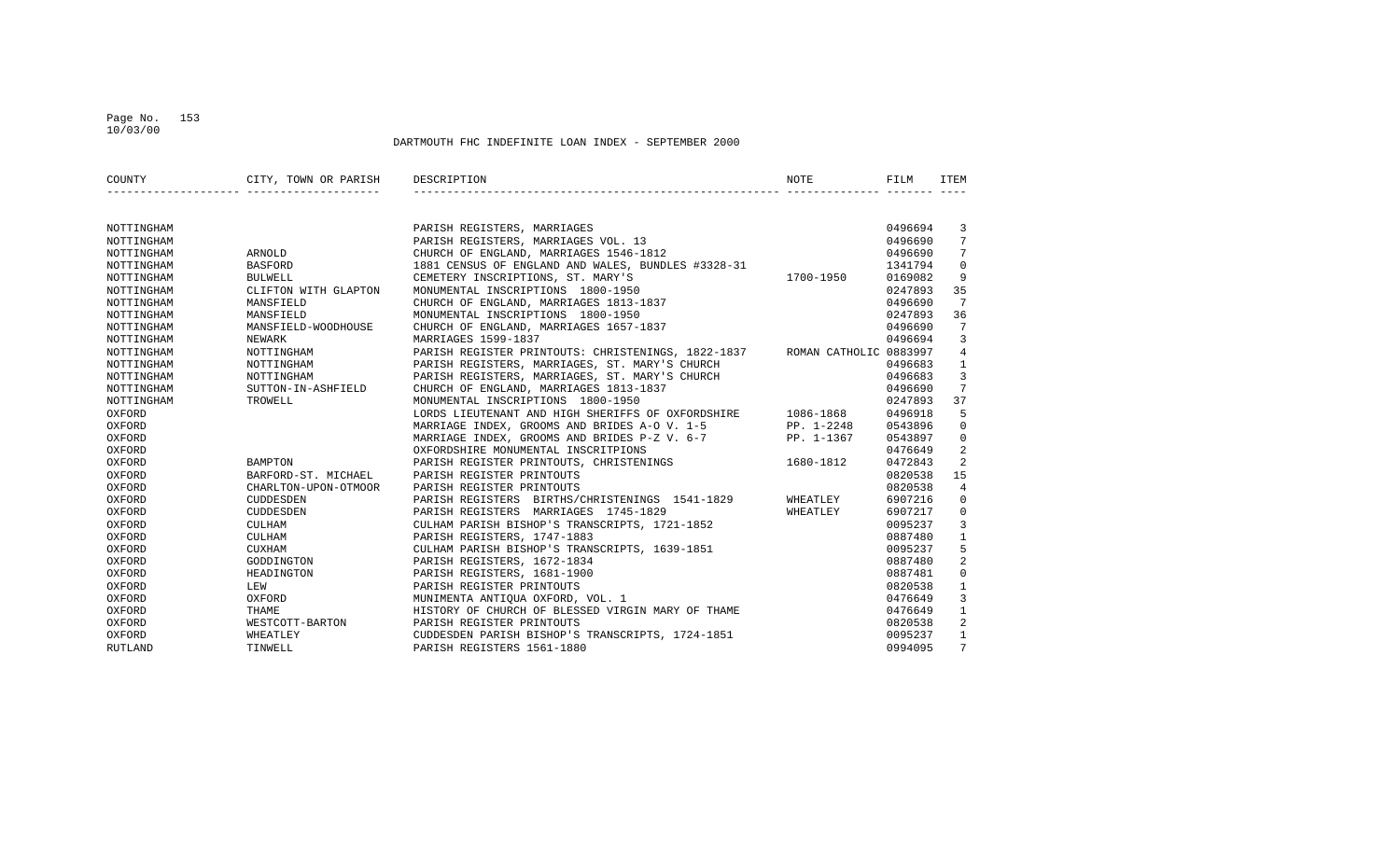#### Page No. 153 10/03/00

| COUNTY         | CITY, TOWN OR PARISH DESCRIPTION |                                                                           | NOTE       | FILM    | ITEM            |
|----------------|----------------------------------|---------------------------------------------------------------------------|------------|---------|-----------------|
|                |                                  |                                                                           |            |         |                 |
| NOTTINGHAM     |                                  | PARISH REGISTERS, MARRIAGES                                               |            | 0496694 | 3               |
| NOTTINGHAM     |                                  | PARISH REGISTERS, MARRIAGES VOL. 13                                       |            | 0496690 | $7^{\circ}$     |
| NOTTINGHAM     | ARNOLD                           | CHURCH OF ENGLAND, MARRIAGES 1546-1812                                    |            | 0496690 | $7\phantom{.0}$ |
| NOTTINGHAM     | <b>BASFORD</b>                   | 1881 CENSUS OF ENGLAND AND WALES, BUNDLES #3328-31                        |            | 1341794 | $\mathbf 0$     |
| NOTTINGHAM     | <b>BULWELL</b>                   | CEMETERY INSCRIPTIONS, ST. MARY'S                                         | 1700-1950  | 0169082 | 9               |
| NOTTINGHAM     | CLIFTON WITH GLAPTON             | MONUMENTAL INSCRIPTIONS 1800-1950                                         |            | 0247893 | 35              |
| NOTTINGHAM     | MANSFIELD                        | CHURCH OF ENGLAND, MARRIAGES 1813-1837                                    |            | 0496690 | 7               |
| NOTTINGHAM     | MANSFIELD                        | MONUMENTAL INSCRIPTIONS 1800-1950                                         |            | 0247893 | 36              |
| NOTTINGHAM     | MANSFIELD-WOODHOUSE              | CHURCH OF ENGLAND, MARRIAGES 1657-1837                                    |            | 0496690 | 7               |
| NOTTINGHAM     | NEWARK                           | MARRIAGES 1599-1837                                                       |            | 0496694 | 3               |
| NOTTINGHAM     | NOTTINGHAM                       | PARISH REGISTER PRINTOUTS: CHRISTENINGS, 1822-1837 ROMAN CATHOLIC 0883997 |            |         | $\overline{4}$  |
| NOTTINGHAM     | NOTTINGHAM                       | PARISH REGISTERS, MARRIAGES, ST. MARY'S CHURCH                            |            | 0496683 | $\mathbf{1}$    |
| NOTTINGHAM     | NOTTINGHAM                       | PARISH REGISTERS, MARRIAGES, ST. MARY'S CHURCH                            |            | 0496683 | 3               |
| NOTTINGHAM     | SUTTON-IN-ASHFIELD               | CHURCH OF ENGLAND, MARRIAGES 1813-1837                                    |            | 0496690 | 7               |
| NOTTINGHAM     | TROWELL                          | MONUMENTAL INSCRIPTIONS 1800-1950                                         |            | 0247893 | 37              |
| OXFORD         |                                  | LORDS LIEUTENANT AND HIGH SHERIFFS OF OXFORDSHIRE 1086-1868               |            | 0496918 | 5               |
| OXFORD         |                                  | MARRIAGE INDEX, GROOMS AND BRIDES A-O V. 1-5                              | PP. 1-2248 | 0543896 | $\mathbf 0$     |
| OXFORD         |                                  | MARRIAGE INDEX, GROOMS AND BRIDES P-Z V. 6-7 PP. 1-1367                   |            | 0543897 | $\mathbf 0$     |
| OXFORD         |                                  | OXFORDSHIRE MONUMENTAL INSCRITPIONS                                       |            | 0476649 | 2               |
| OXFORD         | <b>BAMPTON</b>                   | PARISH REGISTER PRINTOUTS, CHRISTENINGS 1680-1812                         |            | 0472843 | $\overline{2}$  |
| OXFORD         | BARFORD-ST. MICHAEL              | PARISH REGISTER PRINTOUTS                                                 |            | 0820538 | 15              |
| OXFORD         | CHARLTON-UPON-OTMOOR             | PARISH REGISTER PRINTOUTS                                                 |            | 0820538 | $\overline{4}$  |
| OXFORD         | CUDDESDEN                        | PARISH REGISTERS BIRTHS/CHRISTENINGS 1541-1829                            | WHEATLEY   | 6907216 | $\Omega$        |
| OXFORD         | CUDDESDEN                        | PARISH REGISTERS MARRIAGES 1745-1829                                      | WHEATLEY   | 6907217 | $\mathbf 0$     |
| OXFORD         | <b>CULHAM</b>                    | CULHAM PARISH BISHOP'S TRANSCRIPTS, 1721-1852                             |            | 0095237 | 3               |
| OXFORD         | CULHAM                           | PARISH REGISTERS, 1747-1883                                               |            | 0887480 | $\mathbf{1}$    |
| OXFORD         | CUXHAM                           | CULHAM PARISH BISHOP'S TRANSCRIPTS, 1639-1851                             |            | 0095237 | 5               |
| OXFORD         | GODDINGTON                       | PARISH REGISTERS, 1672-1834                                               |            | 0887480 | 2               |
| OXFORD         | HEADINGTON                       | PARISH REGISTERS, 1681-1900                                               |            | 0887481 | $\mathbf 0$     |
| OXFORD         | LEW                              | PARISH REGISTER PRINTOUTS                                                 |            | 0820538 | $\mathbf{1}$    |
| OXFORD         | OXFORD                           | MUNIMENTA ANTIQUA OXFORD, VOL. 1                                          |            | 0476649 | 3               |
| OXFORD         | THAME                            | HISTORY OF CHURCH OF BLESSED VIRGIN MARY OF THAME                         |            | 0476649 | $\mathbf{1}$    |
| OXFORD         |                                  | WESTCOTT-BARTON PARISH REGISTER PRINTOUTS                                 |            | 0820538 | 2               |
| OXFORD         | WHEATLEY                         | CUDDESDEN PARISH BISHOP'S TRANSCRIPTS, 1724-1851                          |            | 0095237 | $\mathbf{1}$    |
| <b>RUTLAND</b> | TINWELL                          | PARISH REGISTERS 1561-1880                                                |            | 0994095 | $7\overline{ }$ |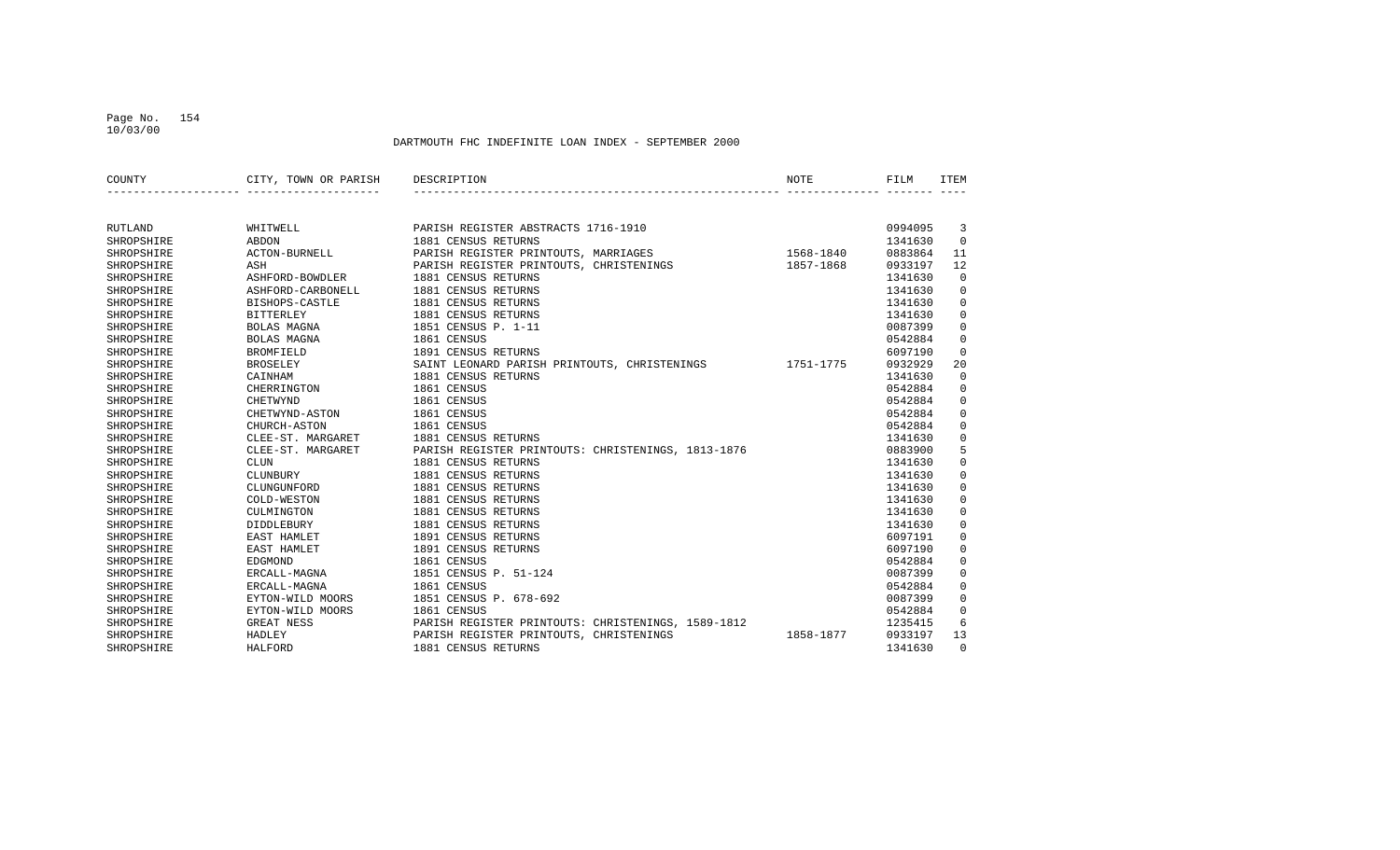#### Page No. 154 10/03/00

| COUNTY         | CITY, TOWN OR PARISH | DESCRIPTION                                        | NOTE      | FILM    | ITEM        |
|----------------|----------------------|----------------------------------------------------|-----------|---------|-------------|
|                |                      |                                                    |           |         |             |
|                |                      |                                                    |           |         |             |
| <b>RUTLAND</b> | WHITWELL             | PARISH REGISTER ABSTRACTS 1716-1910                |           | 0994095 | 3           |
| SHROPSHIRE     | ABDON                | 1881 CENSUS RETURNS                                |           | 1341630 | $\Omega$    |
| SHROPSHIRE     | ACTON-BURNELL        | PARISH REGISTER PRINTOUTS, MARRIAGES               | 1568-1840 | 0883864 | 11          |
| SHROPSHIRE     | ASH                  | PARISH REGISTER PRINTOUTS, CHRISTENINGS            | 1857-1868 | 0933197 | 12          |
| SHROPSHIRE     | ASHFORD-BOWDLER      | 1881 CENSUS RETURNS                                |           | 1341630 | $\Omega$    |
| SHROPSHIRE     | ASHFORD-CARBONELL    | 1881 CENSUS RETURNS                                |           | 1341630 | $\mathbf 0$ |
| SHROPSHIRE     | BISHOPS-CASTLE       | 1881 CENSUS RETURNS                                |           | 1341630 | $\Omega$    |
| SHROPSHIRE     | <b>BITTERLEY</b>     | 1881 CENSUS RETURNS                                |           | 1341630 | $\mathbf 0$ |
| SHROPSHIRE     | BOLAS MAGNA          | 1851 CENSUS P. 1-11                                |           | 0087399 | $\mathbf 0$ |
| SHROPSHIRE     | BOLAS MAGNA          | 1861 CENSUS                                        |           | 0542884 | $\mathbf 0$ |
| SHROPSHIRE     | <b>BROMFIELD</b>     | 1891 CENSUS RETURNS                                |           | 6097190 | $\mathbf 0$ |
| SHROPSHIRE     | <b>BROSELEY</b>      | SAINT LEONARD PARISH PRINTOUTS, CHRISTENINGS       | 1751-1775 | 0932929 | 20          |
| SHROPSHIRE     | CAINHAM              | 1881 CENSUS RETURNS                                |           | 1341630 | $\mathbf 0$ |
| SHROPSHIRE     | CHERRINGTON          | 1861 CENSUS                                        |           | 0542884 | $\mathbf 0$ |
| SHROPSHIRE     | <b>CHETWYND</b>      | 1861 CENSUS                                        |           | 0542884 | 0           |
| SHROPSHIRE     | CHETWYND-ASTON       | 1861 CENSUS                                        |           | 0542884 | $\mathbf 0$ |
| SHROPSHIRE     | CHURCH-ASTON         | 1861 CENSUS                                        |           | 0542884 | $\mathbf 0$ |
| SHROPSHIRE     | CLEE-ST. MARGARET    | 1881 CENSUS RETURNS                                |           | 1341630 | $\mathbf 0$ |
| SHROPSHIRE     | CLEE-ST. MARGARET    | PARISH REGISTER PRINTOUTS: CHRISTENINGS, 1813-1876 |           | 0883900 | 5           |
| SHROPSHIRE     | <b>CLUN</b>          | 1881 CENSUS RETURNS                                |           | 1341630 | $\mathbf 0$ |
| SHROPSHIRE     | CLUNBURY             | 1881 CENSUS RETURNS                                |           | 1341630 | $\mathbf 0$ |
| SHROPSHIRE     | CLUNGUNFORD          | 1881 CENSUS RETURNS                                |           | 1341630 | $\mathbf 0$ |
| SHROPSHIRE     | COLD-WESTON          | 1881 CENSUS RETURNS                                |           | 1341630 | $\mathbf 0$ |
| SHROPSHIRE     | CULMINGTON           | 1881 CENSUS RETURNS                                |           | 1341630 | $\mathbf 0$ |
| SHROPSHIRE     | DIDDLEBURY           | 1881 CENSUS RETURNS                                |           | 1341630 | $\mathbf 0$ |
| SHROPSHIRE     | EAST HAMLET          | 1891 CENSUS RETURNS                                |           | 6097191 | $\mathbf 0$ |
| SHROPSHIRE     | EAST HAMLET          | 1891 CENSUS RETURNS                                |           | 6097190 | $\mathbf 0$ |
| SHROPSHIRE     | EDGMOND              | 1861 CENSUS                                        |           | 0542884 | $\mathbf 0$ |
| SHROPSHIRE     | ERCALL-MAGNA         | 1851 CENSUS P. 51-124                              |           | 0087399 | $\mathbf 0$ |
| SHROPSHIRE     | ERCALL-MAGNA         | 1861 CENSUS                                        |           | 0542884 | $\Omega$    |
| SHROPSHIRE     | EYTON-WILD MOORS     | 1851 CENSUS P. 678-692                             |           | 0087399 | $\mathbf 0$ |
| SHROPSHIRE     | EYTON-WILD MOORS     | 1861 CENSUS                                        |           | 0542884 | $\Omega$    |
| SHROPSHIRE     | <b>GREAT NESS</b>    | PARISH REGISTER PRINTOUTS: CHRISTENINGS, 1589-1812 |           | 1235415 | 6           |
| SHROPSHIRE     | HADLEY               | PARISH REGISTER PRINTOUTS, CHRISTENINGS            | 1858-1877 | 0933197 | 13          |
| SHROPSHIRE     | <b>HALFORD</b>       | 1881 CENSUS RETURNS                                |           | 1341630 | $\Omega$    |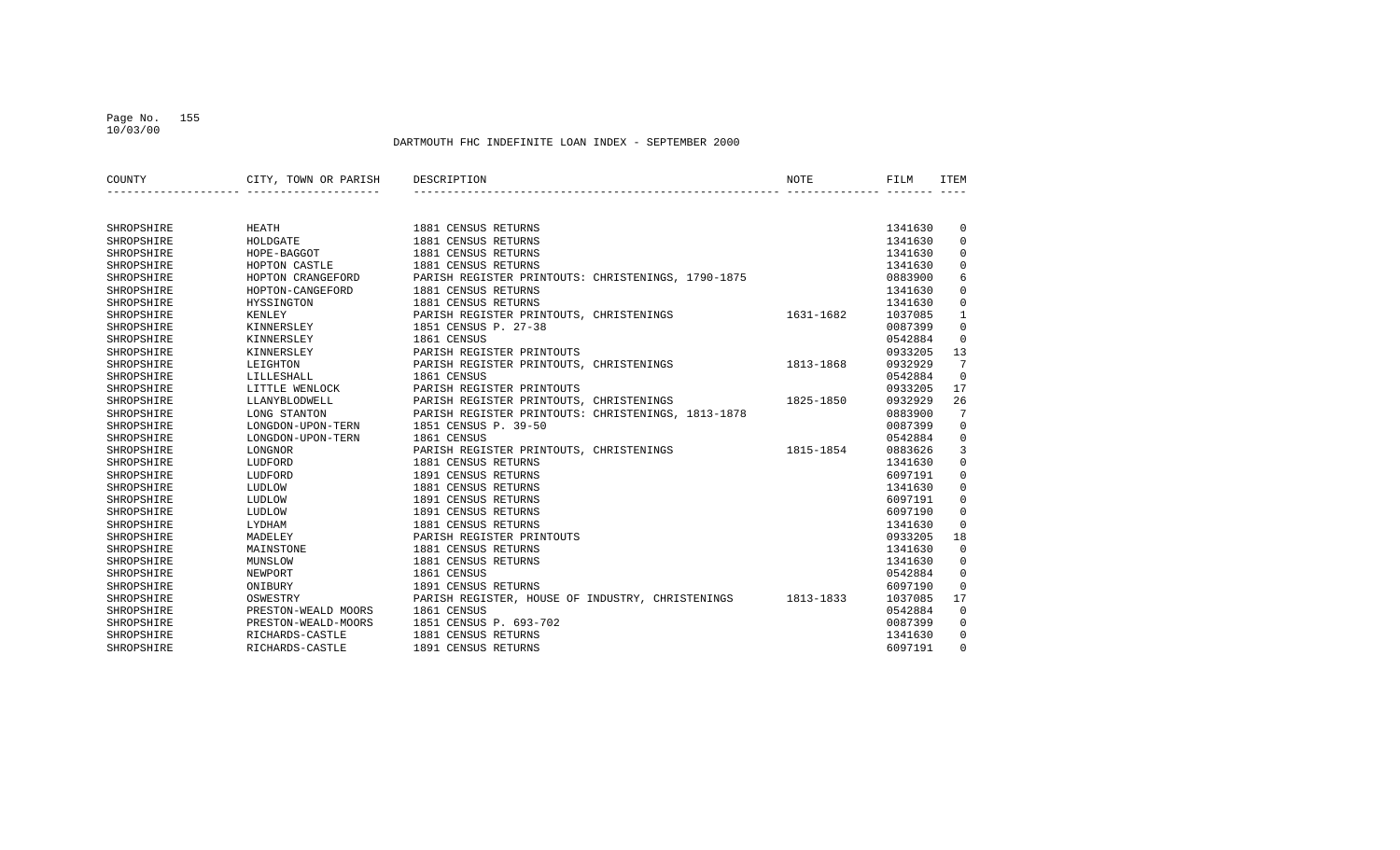#### Page No. 155 10/03/00

| COUNTY     | CITY, TOWN OR PARISH | DESCRIPTION                                                | NOTE      | FILM    | <b>ITEM</b> |
|------------|----------------------|------------------------------------------------------------|-----------|---------|-------------|
|            |                      |                                                            |           |         |             |
| SHROPSHIRE | HEATH                | 1881 CENSUS RETURNS                                        |           | 1341630 | 0           |
| SHROPSHIRE | HOLDGATE             | 1881 CENSUS RETURNS                                        |           | 1341630 | $\mathbf 0$ |
| SHROPSHIRE | HOPE-BAGGOT          | 1881 CENSUS RETURNS                                        |           | 1341630 | 0           |
| SHROPSHIRE | HOPTON CASTLE        | 1881 CENSUS RETURNS                                        |           | 1341630 | 0           |
| SHROPSHIRE | HOPTON CRANGEFORD    | PARISH REGISTER PRINTOUTS: CHRISTENINGS, 1790-1875         |           | 0883900 | 6           |
| SHROPSHIRE | HOPTON-CANGEFORD     | 1881 CENSUS RETURNS                                        |           | 1341630 | 0           |
| SHROPSHIRE | HYSSINGTON           | 1881 CENSUS RETURNS                                        |           | 1341630 | 0           |
| SHROPSHIRE | KENLEY               | PARISH REGISTER PRINTOUTS, CHRISTENINGS                    | 1631-1682 | 1037085 | 1           |
| SHROPSHIRE | KINNERSLEY           | 1851 CENSUS P. 27-38                                       |           | 0087399 | 0           |
| SHROPSHIRE | KINNERSLEY           | 1861 CENSUS                                                |           | 0542884 | 0           |
| SHROPSHIRE | KINNERSLEY           | PARISH REGISTER PRINTOUTS                                  |           | 0933205 | 13          |
| SHROPSHIRE | LEIGHTON             | PARISH REGISTER PRINTOUTS, CHRISTENINGS                    | 1813-1868 | 0932929 | 7           |
| SHROPSHIRE | LILLESHALL           | 1861 CENSUS                                                |           | 0542884 | $\Omega$    |
| SHROPSHIRE | LITTLE WENLOCK       | PARISH REGISTER PRINTOUTS                                  |           | 0933205 | 17          |
| SHROPSHIRE | LLANYBLODWELL        | PARISH REGISTER PRINTOUTS, CHRISTENINGS                    | 1825-1850 | 0932929 | 26          |
| SHROPSHIRE | LONG STANTON         | PARISH REGISTER PRINTOUTS: CHRISTENINGS, 1813-1878         |           | 0883900 | 7           |
| SHROPSHIRE | LONGDON-UPON-TERN    | 1851 CENSUS P. 39-50                                       |           | 0087399 | 0           |
| SHROPSHIRE | LONGDON-UPON-TERN    | 1861 CENSUS                                                |           | 0542884 | 0           |
| SHROPSHIRE | LONGNOR              | PARISH REGISTER PRINTOUTS, CHRISTENINGS                    | 1815-1854 | 0883626 | 3           |
| SHROPSHIRE | LUDFORD              | 1881 CENSUS RETURNS                                        |           | 1341630 | $\mathbf 0$ |
| SHROPSHIRE | LUDFORD              | 1891 CENSUS RETURNS                                        |           | 6097191 | 0           |
| SHROPSHIRE | LUDLOW               | 1881 CENSUS RETURNS                                        |           | 1341630 | $\mathbf 0$ |
| SHROPSHIRE | LUDLOW               | 1891 CENSUS RETURNS                                        |           | 6097191 | $\mathbf 0$ |
| SHROPSHIRE | LUDLOW               | 1891 CENSUS RETURNS                                        |           | 6097190 | $\Omega$    |
| SHROPSHIRE | LYDHAM               | 1881 CENSUS RETURNS                                        |           | 1341630 | 0           |
| SHROPSHIRE | MADELEY              | PARISH REGISTER PRINTOUTS                                  |           | 0933205 | 18          |
| SHROPSHIRE | MAINSTONE            | 1881 CENSUS RETURNS                                        |           | 1341630 | $\mathbf 0$ |
| SHROPSHIRE | MUNSLOW              | 1881 CENSUS RETURNS                                        |           | 1341630 | 0           |
| SHROPSHIRE | NEWPORT              | 1861 CENSUS                                                |           | 0542884 | $\Omega$    |
| SHROPSHIRE | ONIBURY              | 1891 CENSUS RETURNS                                        |           | 6097190 | $\Omega$    |
| SHROPSHIRE | OSWESTRY             | PARISH REGISTER, HOUSE OF INDUSTRY, CHRISTENINGS 1813-1833 |           | 1037085 | 17          |
| SHROPSHIRE | PRESTON-WEALD MOORS  | 1861 CENSUS                                                |           | 0542884 | $\mathbf 0$ |
| SHROPSHIRE | PRESTON-WEALD-MOORS  | 1851 CENSUS P. 693-702                                     |           | 0087399 | 0           |
| SHROPSHIRE | RICHARDS-CASTLE      | 1881 CENSUS RETURNS                                        |           | 1341630 | 0           |
| SHROPSHIRE | RICHARDS-CASTLE      | 1891 CENSUS RETURNS                                        |           | 6097191 | $\Omega$    |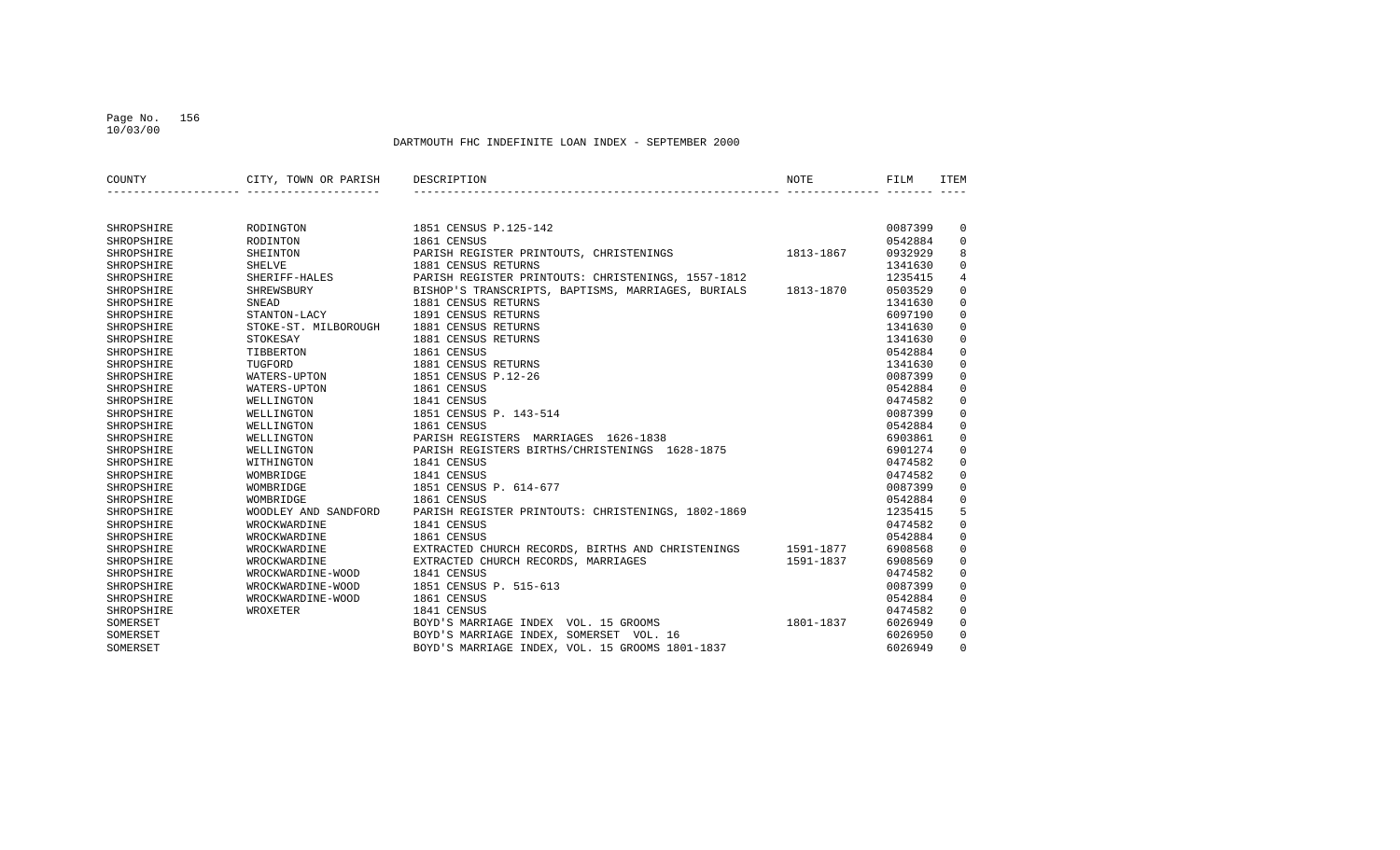#### Page No. 156 10/03/00

| COUNTY     | CITY, TOWN OR PARISH | DESCRIPTION                                        | <b>NOTE</b> | FILM    | ITEM           |
|------------|----------------------|----------------------------------------------------|-------------|---------|----------------|
|            |                      |                                                    |             |         |                |
| SHROPSHIRE | RODINGTON            | 1851 CENSUS P.125-142                              |             | 0087399 | 0              |
| SHROPSHIRE | <b>RODINTON</b>      | 1861 CENSUS                                        |             | 0542884 | 0              |
| SHROPSHIRE | SHEINTON             | PARISH REGISTER PRINTOUTS, CHRISTENINGS            | 1813-1867   | 0932929 | 8              |
| SHROPSHIRE | SHELVE               | 1881 CENSUS RETURNS                                |             | 1341630 | $\Omega$       |
| SHROPSHIRE | SHERIFF-HALES        | PARISH REGISTER PRINTOUTS: CHRISTENINGS, 1557-1812 |             | 1235415 | $\overline{4}$ |
| SHROPSHIRE | SHREWSBURY           | BISHOP'S TRANSCRIPTS, BAPTISMS, MARRIAGES, BURIALS | 1813-1870   | 0503529 | $\mathbf 0$    |
| SHROPSHIRE | <b>SNEAD</b>         | 1881 CENSUS RETURNS                                |             | 1341630 | $\mathbf 0$    |
| SHROPSHIRE | STANTON-LACY         | 1891 CENSUS RETURNS                                |             | 6097190 | $\mathbf 0$    |
| SHROPSHIRE | STOKE-ST. MILBOROUGH | 1881 CENSUS RETURNS                                |             | 1341630 | $\mathbf 0$    |
| SHROPSHIRE | STOKESAY             | 1881 CENSUS RETURNS                                |             | 1341630 | $\Omega$       |
| SHROPSHIRE | TIBBERTON            | 1861 CENSUS                                        |             | 0542884 | $\Omega$       |
| SHROPSHIRE | TUGFORD              | 1881 CENSUS RETURNS                                |             | 1341630 | $\Omega$       |
| SHROPSHIRE | WATERS-UPTON         | 1851 CENSUS P.12-26                                |             | 0087399 | $\Omega$       |
| SHROPSHIRE | WATERS-UPTON         | 1861 CENSUS                                        |             | 0542884 | $\mathbf 0$    |
| SHROPSHIRE | WELLINGTON           | 1841 CENSUS                                        |             | 0474582 | $\mathbf 0$    |
| SHROPSHIRE | WELLINGTON           | 1851 CENSUS P. 143-514                             |             | 0087399 | $\Omega$       |
| SHROPSHIRE | WELLINGTON           | 1861 CENSUS                                        |             | 0542884 | $\Omega$       |
| SHROPSHIRE | WELLINGTON           | PARISH REGISTERS MARRIAGES 1626-1838               |             | 6903861 | $\mathbf 0$    |
| SHROPSHIRE | WELLINGTON           | PARISH REGISTERS BIRTHS/CHRISTENINGS 1628-1875     |             | 6901274 | $\mathbf 0$    |
| SHROPSHIRE | WITHINGTON           | 1841 CENSUS                                        |             | 0474582 | $\mathbf 0$    |
| SHROPSHIRE | WOMBRIDGE            | 1841 CENSUS                                        |             | 0474582 | $\mathbf 0$    |
| SHROPSHIRE | WOMBRIDGE            | 1851 CENSUS P. 614-677                             |             | 0087399 | $\Omega$       |
| SHROPSHIRE | WOMBRIDGE            | 1861 CENSUS                                        |             | 0542884 | $\Omega$       |
| SHROPSHIRE | WOODLEY AND SANDFORD | PARISH REGISTER PRINTOUTS: CHRISTENINGS, 1802-1869 |             | 1235415 | 5              |
| SHROPSHIRE | WROCKWARDINE         | 1841 CENSUS                                        |             | 0474582 | $\mathbf 0$    |
| SHROPSHIRE | WROCKWARDINE         | 1861 CENSUS                                        |             | 0542884 | $\mathbf 0$    |
| SHROPSHIRE | WROCKWARDINE         | EXTRACTED CHURCH RECORDS, BIRTHS AND CHRISTENINGS  | 1591-1877   | 6908568 | $\mathbf 0$    |
| SHROPSHIRE | WROCKWARDINE         | EXTRACTED CHURCH RECORDS, MARRIAGES                | 1591-1837   | 6908569 | $\Omega$       |
| SHROPSHIRE | WROCKWARDINE-WOOD    | 1841 CENSUS                                        |             | 0474582 | $\mathbf 0$    |
| SHROPSHIRE | WROCKWARDINE-WOOD    | 1851 CENSUS P. 515-613                             |             | 0087399 | $\mathbf 0$    |
| SHROPSHIRE | WROCKWARDINE-WOOD    | 1861 CENSUS                                        |             | 0542884 | $\mathbf 0$    |
| SHROPSHIRE | WROXETER             | 1841 CENSUS                                        |             | 0474582 | $\Omega$       |
| SOMERSET   |                      | BOYD'S MARRIAGE INDEX VOL. 15 GROOMS               | 1801-1837   | 6026949 | $\Omega$       |
| SOMERSET   |                      | BOYD'S MARRIAGE INDEX, SOMERSET VOL. 16            |             | 6026950 | $\Omega$       |
| SOMERSET   |                      | BOYD'S MARRIAGE INDEX, VOL. 15 GROOMS 1801-1837    |             | 6026949 | $\Omega$       |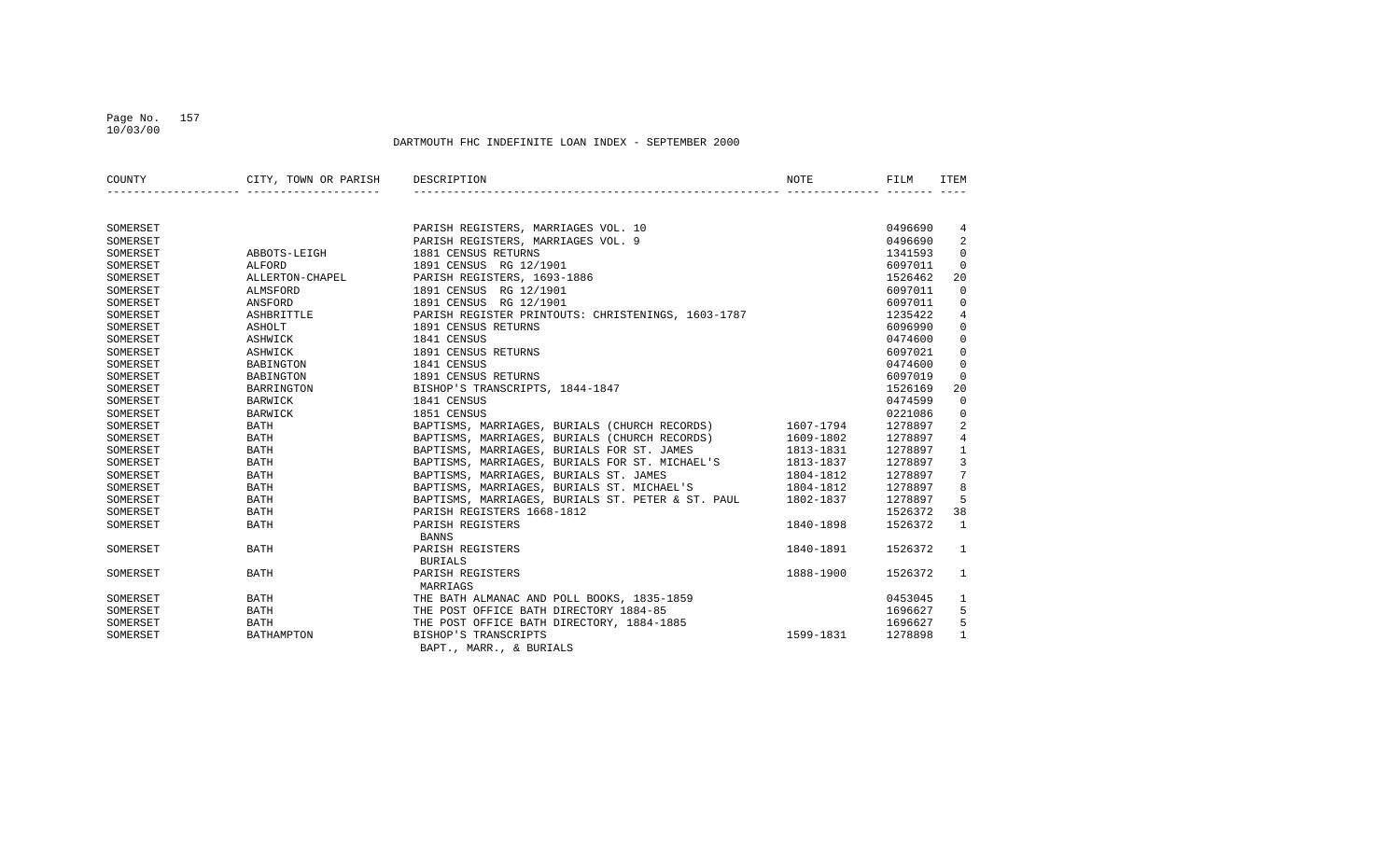#### Page No. 157 10/03/00

| COUNTY   | CITY, TOWN OR PARISH | DESCRIPTION                                             | <b>NOTE</b> | FILM    | <b>ITEM</b>    |
|----------|----------------------|---------------------------------------------------------|-------------|---------|----------------|
|          |                      |                                                         |             |         |                |
| SOMERSET |                      | PARISH REGISTERS, MARRIAGES VOL. 10                     |             | 0496690 | 4              |
| SOMERSET |                      | PARISH REGISTERS, MARRIAGES VOL. 9                      |             | 0496690 | 2              |
| SOMERSET | ABBOTS-LEIGH         | 1881 CENSUS RETURNS                                     |             | 1341593 | $\Omega$       |
| SOMERSET | ALFORD               | 1891 CENSUS RG 12/1901                                  |             | 6097011 | $\Omega$       |
| SOMERSET | ALLERTON-CHAPEL      | PARISH REGISTERS, 1693-1886                             |             | 1526462 | 20             |
| SOMERSET | ALMSFORD             | 1891 CENSUS RG 12/1901                                  |             | 6097011 | $\mathbf 0$    |
| SOMERSET | ANSFORD              | 1891 CENSUS RG 12/1901                                  |             | 6097011 | $\mathbf 0$    |
| SOMERSET | ASHBRITTLE           | PARISH REGISTER PRINTOUTS: CHRISTENINGS, 1603-1787      |             | 1235422 | 4              |
| SOMERSET | ASHOLT               | 1891 CENSUS RETURNS                                     |             | 6096990 | $\Omega$       |
| SOMERSET | ASHWICK              | 1841 CENSUS                                             |             | 0474600 | $\mathbf 0$    |
| SOMERSET | ASHWICK              | 1891 CENSUS RETURNS                                     |             | 6097021 | $\mathbf 0$    |
| SOMERSET | <b>BABINGTON</b>     | 1841 CENSUS                                             |             | 0474600 | $\mathbf 0$    |
| SOMERSET | BABINGTON            | 1891 CENSUS RETURNS                                     |             | 6097019 | $\mathbf 0$    |
| SOMERSET | BARRINGTON           | BISHOP'S TRANSCRIPTS, 1844-1847                         |             | 1526169 | 20             |
| SOMERSET | <b>BARWICK</b>       | 1841 CENSUS                                             |             | 0474599 | $\mathbf 0$    |
| SOMERSET | BARWICK              | 1851 CENSUS                                             |             | 0221086 | 0              |
| SOMERSET | <b>BATH</b>          | BAPTISMS, MARRIAGES, BURIALS (CHURCH RECORDS) 1607-1794 |             | 1278897 | 2              |
| SOMERSET | <b>BATH</b>          | BAPTISMS, MARRIAGES, BURIALS (CHURCH RECORDS)           | 1609-1802   | 1278897 | $\overline{4}$ |
| SOMERSET | <b>BATH</b>          | BAPTISMS, MARRIAGES, BURIALS FOR ST. JAMES              | 1813-1831   | 1278897 | $\mathbf{1}$   |
| SOMERSET | <b>BATH</b>          | BAPTISMS, MARRIAGES, BURIALS FOR ST. MICHAEL'S          | 1813-1837   | 1278897 | 3              |
| SOMERSET | <b>BATH</b>          | BAPTISMS, MARRIAGES, BURIALS ST. JAMES                  | 1804-1812   | 1278897 | 7              |
| SOMERSET | <b>BATH</b>          | BAPTISMS, MARRIAGES, BURIALS ST. MICHAEL'S              | 1804-1812   | 1278897 | 8              |
| SOMERSET | <b>BATH</b>          | BAPTISMS, MARRIAGES, BURIALS ST. PETER & ST. PAUL       | 1802-1837   | 1278897 | 5              |
| SOMERSET | <b>BATH</b>          | PARISH REGISTERS 1668-1812                              |             | 1526372 | 38             |
| SOMERSET | <b>BATH</b>          | PARISH REGISTERS<br><b>BANNS</b>                        | 1840-1898   | 1526372 | $\overline{1}$ |
| SOMERSET | <b>BATH</b>          | PARISH REGISTERS<br><b>BURIALS</b>                      | 1840-1891   | 1526372 | $\mathbf{1}$   |
| SOMERSET | <b>BATH</b>          | PARISH REGISTERS<br>MARRIAGS                            | 1888-1900   | 1526372 | $\mathbf{1}$   |
| SOMERSET | <b>BATH</b>          | THE BATH ALMANAC AND POLL BOOKS, 1835-1859              |             | 0453045 | 1              |
| SOMERSET | <b>BATH</b>          | THE POST OFFICE BATH DIRECTORY 1884-85                  |             | 1696627 | 5              |
| SOMERSET | <b>BATH</b>          | THE POST OFFICE BATH DIRECTORY, 1884-1885               |             | 1696627 | 5              |
| SOMERSET | BATHAMPTON           | BISHOP'S TRANSCRIPTS<br>BAPT., MARR., & BURIALS         | 1599-1831   | 1278898 | $\mathbf{1}$   |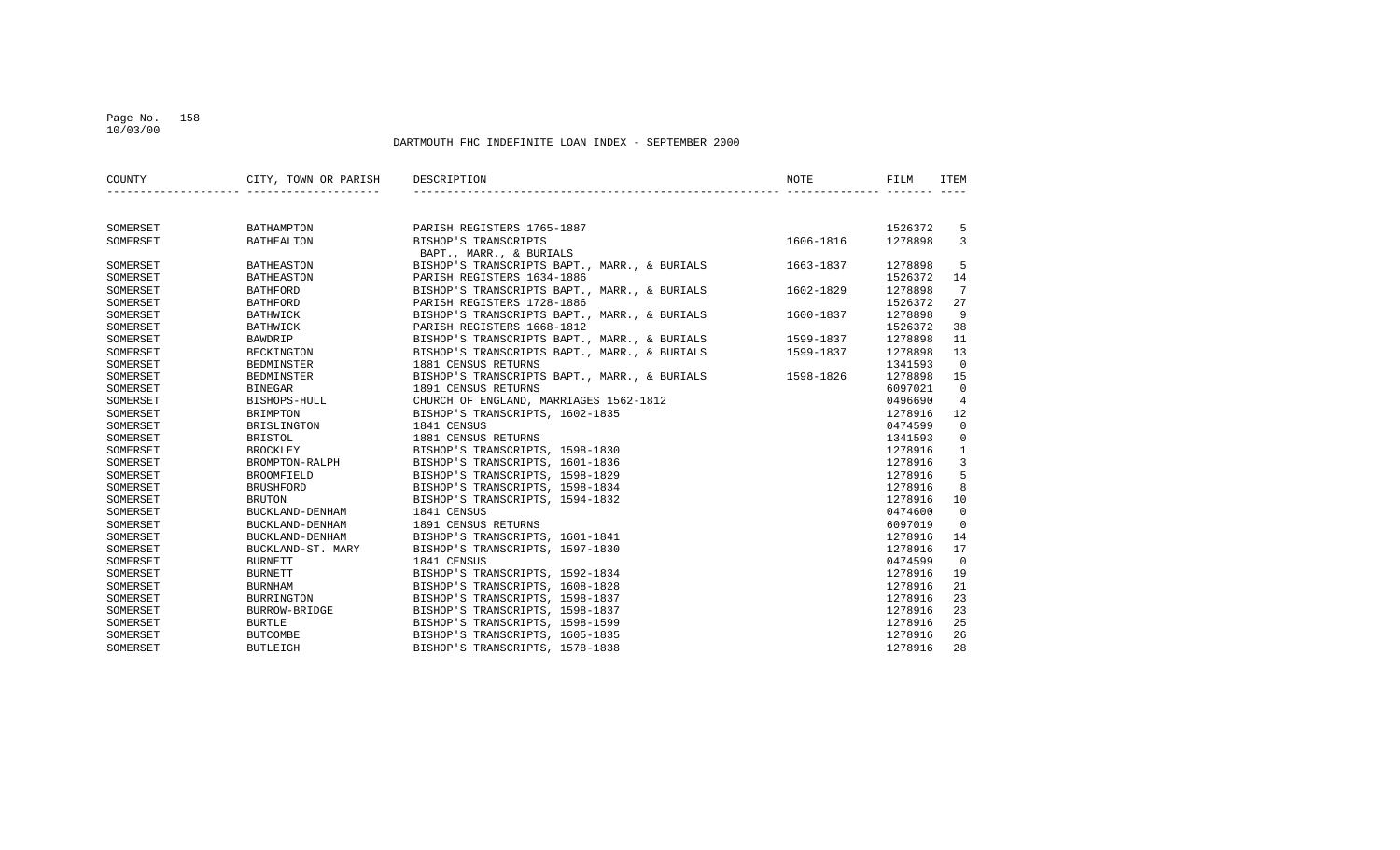#### Page No. 158 10/03/00

| COUNTY   | CITY, TOWN OR PARISH DESCRIPTION |                                                        | <b>NOTE</b> | FILM    | <b>ITEM</b>    |
|----------|----------------------------------|--------------------------------------------------------|-------------|---------|----------------|
|          |                                  |                                                        |             |         |                |
| SOMERSET | BATHAMPTON                       | PARISH REGISTERS 1765-1887                             |             | 1526372 | 5              |
| SOMERSET | BATHEALTON                       | BISHOP'S TRANSCRIPTS                                   | 1606-1816   | 1278898 | 3              |
|          |                                  | BAPT., MARR., & BURIALS                                |             |         |                |
| SOMERSET | <b>BATHEASTON</b>                | BISHOP'S TRANSCRIPTS BAPT., MARR., & BURIALS           | 1663-1837   | 1278898 | 5              |
| SOMERSET | <b>BATHEASTON</b>                | PARISH REGISTERS 1634-1886                             |             | 1526372 | 14             |
| SOMERSET | <b>BATHFORD</b>                  | BISHOP'S TRANSCRIPTS BAPT., MARR., & BURIALS 1602-1829 |             | 1278898 | 7              |
| SOMERSET | <b>BATHFORD</b>                  | PARISH REGISTERS 1728-1886                             |             | 1526372 | 27             |
| SOMERSET | BATHWICK                         | BISHOP'S TRANSCRIPTS BAPT., MARR., & BURIALS 1600-1837 |             | 1278898 | 9              |
| SOMERSET | BATHWICK                         | PARISH REGISTERS 1668-1812                             |             | 1526372 | 38             |
| SOMERSET | BAWDRIP                          | BISHOP'S TRANSCRIPTS BAPT., MARR., & BURIALS 1599-1837 |             | 1278898 | 11             |
| SOMERSET | BECKINGTON                       | BISHOP'S TRANSCRIPTS BAPT., MARR., & BURIALS           | 1599-1837   | 1278898 | 13             |
| SOMERSET | <b>BEDMINSTER</b>                | 1881 CENSUS RETURNS                                    |             | 1341593 | $\Omega$       |
| SOMERSET | BEDMINSTER                       | BISHOP'S TRANSCRIPTS BAPT., MARR., & BURIALS 1598-1826 |             | 1278898 | 15             |
| SOMERSET | <b>BINEGAR</b>                   | 1891 CENSUS RETURNS                                    |             | 6097021 | $\mathbf 0$    |
| SOMERSET | BISHOPS-HULL                     | CHURCH OF ENGLAND, MARRIAGES 1562-1812                 |             | 0496690 | 4              |
| SOMERSET | <b>BRIMPTON</b>                  | BISHOP'S TRANSCRIPTS, 1602-1835                        |             | 1278916 | 12             |
| SOMERSET | BRISLINGTON                      | 1841 CENSUS                                            |             | 0474599 | $\mathbf 0$    |
| SOMERSET | <b>BRISTOL</b>                   | 1881 CENSUS RETURNS                                    |             | 1341593 | $\mathbf 0$    |
| SOMERSET | <b>BROCKLEY</b>                  | BISHOP'S TRANSCRIPTS, 1598-1830                        |             | 1278916 | $\mathbf{1}$   |
| SOMERSET |                                  | BROMPTON-RALPH BISHOP'S TRANSCRIPTS, 1601-1836         |             | 1278916 | 3              |
| SOMERSET | <b>BROOMFIELD</b>                | BISHOP'S TRANSCRIPTS, 1598-1829                        |             | 1278916 | 5              |
| SOMERSET | <b>BRUSHFORD</b>                 | BISHOP'S TRANSCRIPTS, 1598-1834                        |             | 1278916 | 8              |
| SOMERSET | <b>BRUTON</b>                    | BISHOP'S TRANSCRIPTS, 1594-1832                        |             | 1278916 | 10             |
| SOMERSET | BUCKLAND-DENHAM                  | 1841 CENSUS                                            |             | 0474600 | $\overline{0}$ |
| SOMERSET | BUCKLAND-DENHAM                  | 1891 CENSUS RETURNS                                    |             | 6097019 | $\Omega$       |
| SOMERSET | BUCKLAND-DENHAM                  | BISHOP'S TRANSCRIPTS, 1601-1841                        |             | 1278916 | 14             |
| SOMERSET | BUCKLAND-ST. MARY                | BISHOP'S TRANSCRIPTS, 1597-1830                        |             | 1278916 | 17             |
| SOMERSET | <b>BURNETT</b>                   | 1841 CENSUS                                            |             | 0474599 | $\Omega$       |
| SOMERSET | <b>BURNETT</b>                   | BISHOP'S TRANSCRIPTS, 1592-1834                        |             | 1278916 | 19             |
| SOMERSET | <b>BURNHAM</b>                   | BISHOP'S TRANSCRIPTS, 1608-1828                        |             | 1278916 | 21             |
| SOMERSET | BURRINGTON                       | BISHOP'S TRANSCRIPTS, 1598-1837                        |             | 1278916 | 23             |
| SOMERSET | BURROW-BRIDGE                    | BISHOP'S TRANSCRIPTS, 1598-1837                        |             | 1278916 | 23             |
| SOMERSET | <b>BURTLE</b>                    | BISHOP'S TRANSCRIPTS, 1598-1599                        |             | 1278916 | 25             |
| SOMERSET | <b>BUTCOMBE</b>                  | BISHOP'S TRANSCRIPTS, 1605-1835                        |             | 1278916 | 26             |
| SOMERSET | <b>BUTLEIGH</b>                  | BISHOP'S TRANSCRIPTS, 1578-1838                        |             | 1278916 | 28             |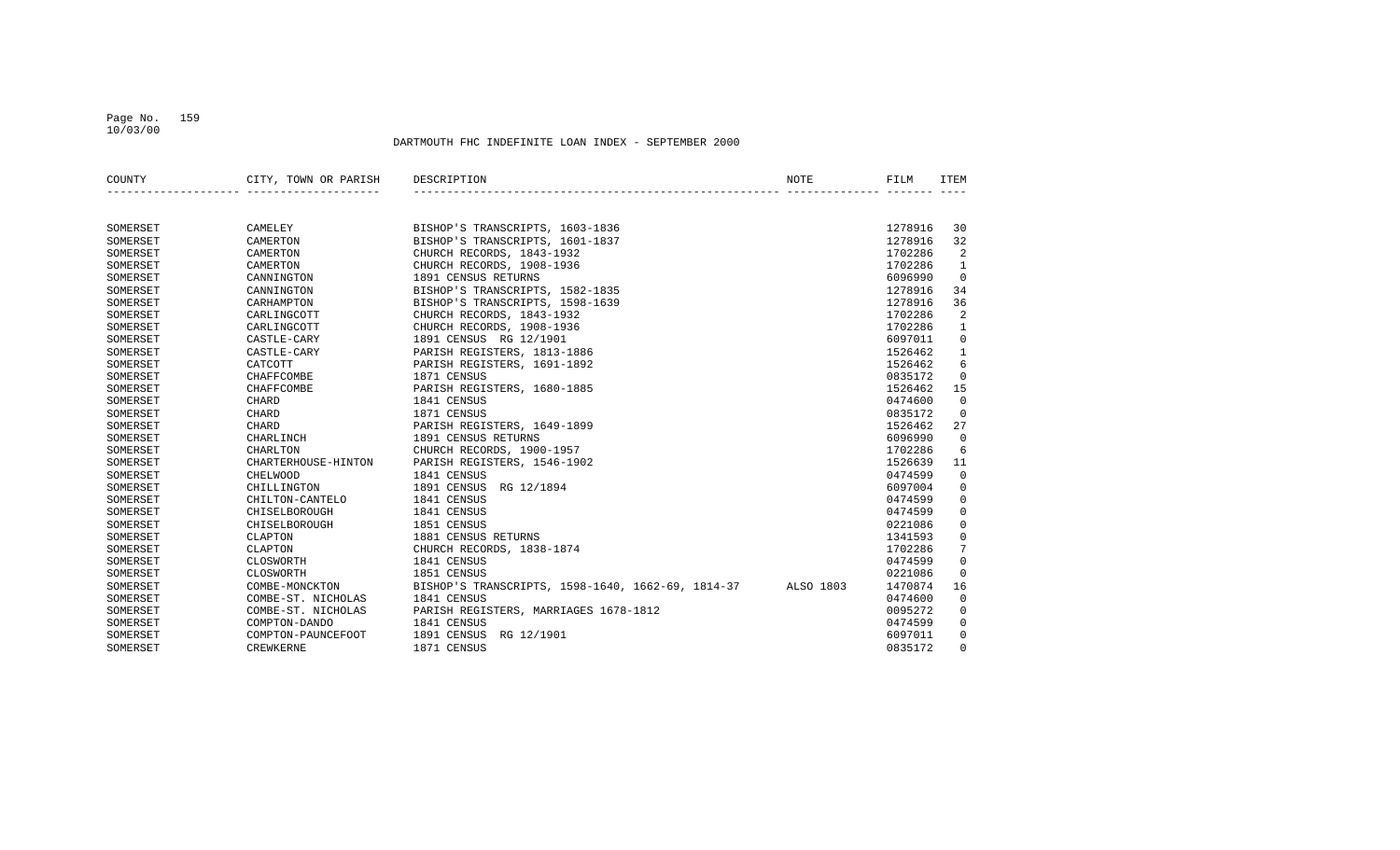#### Page No. 159 10/03/00

| COUNTY   | CITY, TOWN OR PARISH | DESCRIPTION                                       | NOTE      | FILM    | <b>TTEM</b>    |
|----------|----------------------|---------------------------------------------------|-----------|---------|----------------|
|          |                      |                                                   |           |         |                |
| SOMERSET | CAMELEY              | BISHOP'S TRANSCRIPTS, 1603-1836                   |           | 1278916 | 30             |
| SOMERSET | CAMERTON             | BISHOP'S TRANSCRIPTS, 1601-1837                   |           | 1278916 | 32             |
| SOMERSET | CAMERTON             | CHURCH RECORDS, 1843-1932                         |           | 1702286 | 2              |
| SOMERSET | CAMERTON             | CHURCH RECORDS, 1908-1936                         |           | 1702286 | 1              |
| SOMERSET | CANNINGTON           | 1891 CENSUS RETURNS                               |           | 6096990 | $\Omega$       |
| SOMERSET | CANNINGTON           | BISHOP'S TRANSCRIPTS, 1582-1835                   |           | 1278916 | 34             |
| SOMERSET | CARHAMPTON           | BISHOP'S TRANSCRIPTS, 1598-1639                   |           | 1278916 | 36             |
| SOMERSET | CARLINGCOTT          | CHURCH RECORDS, 1843-1932                         |           | 1702286 | 2              |
| SOMERSET | CARLINGCOTT          | CHURCH RECORDS, 1908-1936                         |           | 1702286 | $\mathbf{1}$   |
| SOMERSET | CASTLE-CARY          | 1891 CENSUS RG 12/1901                            |           | 6097011 | $\mathbf 0$    |
| SOMERSET | CASTLE-CARY          | PARISH REGISTERS, 1813-1886                       |           | 1526462 | $\mathbf{1}$   |
| SOMERSET | CATCOTT              | PARISH REGISTERS, 1691-1892                       |           | 1526462 | 6              |
| SOMERSET | CHAFFCOMBE           | 1871 CENSUS                                       |           | 0835172 | $\mathbf 0$    |
| SOMERSET | <b>CHAFFCOMBE</b>    | PARISH REGISTERS, 1680-1885                       |           | 1526462 | 15             |
| SOMERSET | CHARD                | 1841 CENSUS                                       |           | 0474600 | $\overline{0}$ |
| SOMERSET | CHARD                | 1871 CENSUS                                       |           | 0835172 | $\mathbf 0$    |
| SOMERSET | CHARD                | PARISH REGISTERS, 1649-1899                       |           | 1526462 | 27             |
| SOMERSET | CHARLINCH            | 1891 CENSUS RETURNS                               |           | 6096990 | $\Omega$       |
| SOMERSET | CHARLTON             | CHURCH RECORDS, 1900-1957                         |           | 1702286 | 6              |
| SOMERSET | CHARTERHOUSE-HINTON  | PARISH REGISTERS, 1546-1902                       |           | 1526639 | 11             |
| SOMERSET | CHELWOOD             | 1841 CENSUS                                       |           | 0474599 | $\mathbf 0$    |
| SOMERSET | CHILLINGTON          | 1891 CENSUS RG 12/1894                            |           | 6097004 | $\mathbf 0$    |
| SOMERSET | CHILTON-CANTELO      | 1841 CENSUS                                       |           | 0474599 | $\mathbf 0$    |
| SOMERSET | CHISELBOROUGH        | 1841 CENSUS                                       |           | 0474599 | $\mathbf 0$    |
| SOMERSET | CHISELBOROUGH        | 1851 CENSUS                                       |           | 0221086 | $\mathbf 0$    |
| SOMERSET | CLAPTON              | 1881 CENSUS RETURNS                               |           | 1341593 | $\mathbf 0$    |
| SOMERSET | CLAPTON              | CHURCH RECORDS, 1838-1874                         |           | 1702286 | 7              |
| SOMERSET | CLOSWORTH            | 1841 CENSUS                                       |           | 0474599 | $\mathbf 0$    |
| SOMERSET | CLOSWORTH            | 1851 CENSUS                                       |           | 0221086 | $\mathbf 0$    |
| SOMERSET | COMBE-MONCKTON       | BISHOP'S TRANSCRIPTS, 1598-1640, 1662-69, 1814-37 | ALSO 1803 | 1470874 | 16             |
| SOMERSET | COMBE-ST. NICHOLAS   | 1841 CENSUS                                       |           | 0474600 | $\overline{0}$ |
| SOMERSET | COMBE-ST. NICHOLAS   | PARISH REGISTERS, MARRIAGES 1678-1812             |           | 0095272 | $\mathbf 0$    |
| SOMERSET | COMPTON-DANDO        | 1841 CENSUS                                       |           | 0474599 | $\mathbf 0$    |
| SOMERSET | COMPTON-PAUNCEFOOT   | 1891 CENSUS<br>RG 12/1901                         |           | 6097011 | $\mathbf 0$    |
| SOMERSET | <b>CREWKERNE</b>     | 1871 CENSUS                                       |           | 0835172 | $\Omega$       |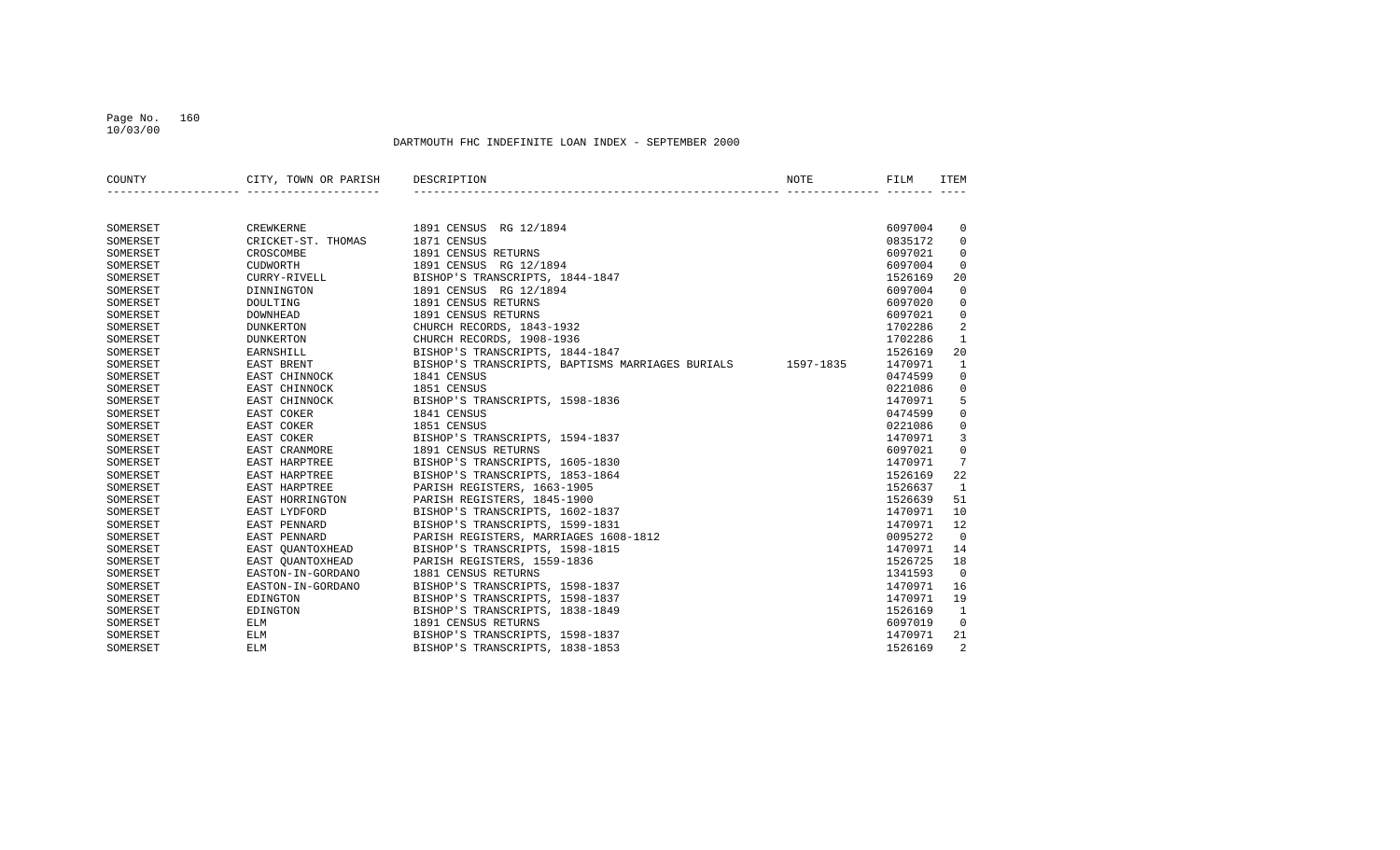#### Page No. 160 10/03/00

| COUNTY   | CITY, TOWN OR PARISH | DESCRIPTION                                                | NOTE | FILM    | ITEM         |
|----------|----------------------|------------------------------------------------------------|------|---------|--------------|
|          |                      |                                                            |      |         |              |
| SOMERSET | CREWKERNE            | 1891 CENSUS RG 12/1894                                     |      | 6097004 | 0            |
| SOMERSET | CRICKET-ST. THOMAS   | 1871 CENSUS                                                |      | 0835172 | $\mathbf 0$  |
| SOMERSET | CROSCOMBE            | 1891 CENSUS RETURNS                                        |      | 6097021 | $\mathbf 0$  |
| SOMERSET | <b>CUDWORTH</b>      | 1891 CENSUS RG 12/1894                                     |      | 6097004 | $\Omega$     |
| SOMERSET | CURRY-RIVELL         | BISHOP'S TRANSCRIPTS, 1844-1847                            |      | 1526169 | 20           |
| SOMERSET | DINNINGTON           | 1891 CENSUS RG 12/1894                                     |      | 6097004 | $\mathbf 0$  |
| SOMERSET | DOULTING             | 1891 CENSUS RETURNS                                        |      | 6097020 | $\mathbf 0$  |
| SOMERSET | <b>DOWNHEAD</b>      | 1891 CENSUS RETURNS                                        |      | 6097021 | $\mathbf 0$  |
| SOMERSET | <b>DUNKERTON</b>     | CHURCH RECORDS, 1843-1932                                  |      | 1702286 | 2            |
| SOMERSET | <b>DUNKERTON</b>     | CHURCH RECORDS, 1908-1936                                  |      | 1702286 | $\mathbf{1}$ |
| SOMERSET | EARNSHILL            | BISHOP'S TRANSCRIPTS, 1844-1847                            |      | 1526169 | 20           |
| SOMERSET | EAST BRENT           | BISHOP'S TRANSCRIPTS, BAPTISMS MARRIAGES BURIALS 1597-1835 |      | 1470971 | 1            |
| SOMERSET | EAST CHINNOCK        | 1841 CENSUS                                                |      | 0474599 | 0            |
| SOMERSET | EAST CHINNOCK        | 1851 CENSUS                                                |      | 0221086 | 0            |
| SOMERSET | EAST CHINNOCK        | BISHOP'S TRANSCRIPTS, 1598-1836                            |      | 1470971 | 5            |
| SOMERSET | EAST COKER           | 1841 CENSUS                                                |      | 0474599 | 0            |
| SOMERSET | EAST COKER           | 1851 CENSUS                                                |      | 0221086 | 0            |
| SOMERSET | EAST COKER           | BISHOP'S TRANSCRIPTS, 1594-1837                            |      | 1470971 | 3            |
| SOMERSET | <b>EAST CRANMORE</b> | 1891 CENSUS RETURNS                                        |      | 6097021 | $\Omega$     |
| SOMERSET | <b>EAST HARPTREE</b> | BISHOP'S TRANSCRIPTS, 1605-1830                            |      | 1470971 | 7            |
| SOMERSET | <b>EAST HARPTREE</b> | BISHOP'S TRANSCRIPTS, 1853-1864                            |      | 1526169 | 22           |
| SOMERSET | EAST HARPTREE        | PARISH REGISTERS, 1663-1905                                |      | 1526637 | 1            |
| SOMERSET | EAST HORRINGTON      | PARISH REGISTERS, 1845-1900                                |      | 1526639 | 51           |
| SOMERSET | EAST LYDFORD         | BISHOP'S TRANSCRIPTS, 1602-1837                            |      | 1470971 | 10           |
| SOMERSET | EAST PENNARD         | BISHOP'S TRANSCRIPTS, 1599-1831                            |      | 1470971 | 12           |
| SOMERSET | EAST PENNARD         | PARISH REGISTERS, MARRIAGES 1608-1812                      |      | 0095272 | $\mathbf 0$  |
| SOMERSET | EAST OUANTOXHEAD     | BISHOP'S TRANSCRIPTS, 1598-1815                            |      | 1470971 | 14           |
| SOMERSET | EAST OUANTOXHEAD     | PARISH REGISTERS, 1559-1836                                |      | 1526725 | 18           |
| SOMERSET | EASTON-IN-GORDANO    | 1881 CENSUS RETURNS                                        |      | 1341593 | $\Omega$     |
| SOMERSET | EASTON-IN-GORDANO    | BISHOP'S TRANSCRIPTS, 1598-1837                            |      | 1470971 | 16           |
| SOMERSET | EDINGTON             | BISHOP'S TRANSCRIPTS, 1598-1837                            |      | 1470971 | 19           |
| SOMERSET | EDINGTON             | BISHOP'S TRANSCRIPTS, 1838-1849                            |      | 1526169 | 1            |
| SOMERSET | ELM                  | 1891 CENSUS RETURNS                                        |      | 6097019 | $\mathbf 0$  |
| SOMERSET | <b>ELM</b>           | BISHOP'S TRANSCRIPTS, 1598-1837                            |      | 1470971 | 21           |
| SOMERSET | ELM                  | BISHOP'S TRANSCRIPTS, 1838-1853                            |      | 1526169 | 2            |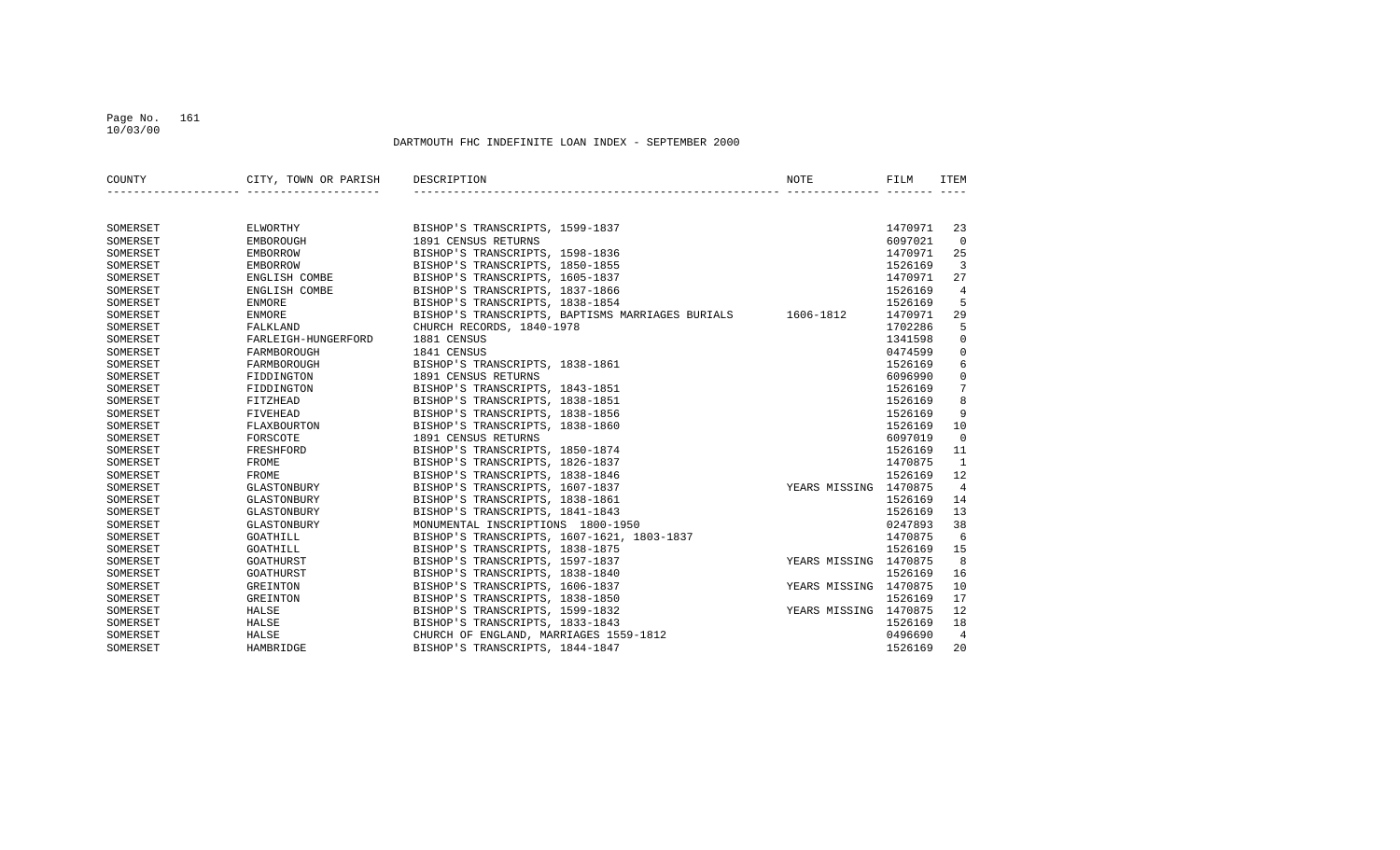#### Page No. 161 10/03/00

| COUNTY   | CITY, TOWN OR PARISH | DESCRIPTION                                                | <b>NOTE</b>           | FILM    | <b>ITEM</b>    |
|----------|----------------------|------------------------------------------------------------|-----------------------|---------|----------------|
|          |                      |                                                            |                       |         |                |
|          |                      |                                                            |                       |         |                |
| SOMERSET | ELWORTHY             | BISHOP'S TRANSCRIPTS, 1599-1837                            |                       | 1470971 | 23             |
| SOMERSET | EMBOROUGH            | 1891 CENSUS RETURNS                                        |                       | 6097021 | $\Omega$       |
| SOMERSET | <b>EMBORROW</b>      | BISHOP'S TRANSCRIPTS, 1598-1836                            |                       | 1470971 | 25             |
| SOMERSET | <b>EMBORROW</b>      | BISHOP'S TRANSCRIPTS, 1850-1855                            |                       | 1526169 | 3              |
| SOMERSET | ENGLISH COMBE        | BISHOP'S TRANSCRIPTS, 1605-1837                            |                       | 1470971 | 27             |
| SOMERSET | ENGLISH COMBE        | BISHOP'S TRANSCRIPTS, 1837-1866                            |                       | 1526169 | $\overline{4}$ |
| SOMERSET | <b>ENMORE</b>        | BISHOP'S TRANSCRIPTS, 1838-1854                            |                       | 1526169 | 5              |
| SOMERSET | <b>ENMORE</b>        | BISHOP'S TRANSCRIPTS, BAPTISMS MARRIAGES BURIALS 1606-1812 |                       | 1470971 | 29             |
| SOMERSET | FALKLAND             | CHURCH RECORDS, 1840-1978                                  |                       | 1702286 | 5              |
| SOMERSET | FARLEIGH-HUNGERFORD  | 1881 CENSUS                                                |                       | 1341598 | $\mathbf 0$    |
| SOMERSET | FARMBOROUGH          | 1841 CENSUS                                                |                       | 0474599 | $\mathbf 0$    |
| SOMERSET | FARMBOROUGH          | BISHOP'S TRANSCRIPTS, 1838-1861                            |                       | 1526169 | 6              |
| SOMERSET | FIDDINGTON           | 1891 CENSUS RETURNS                                        |                       | 6096990 | $\mathbf 0$    |
| SOMERSET | FIDDINGTON           | BISHOP'S TRANSCRIPTS, 1843-1851                            |                       | 1526169 | 7              |
| SOMERSET | FITZHEAD             | BISHOP'S TRANSCRIPTS, 1838-1851                            |                       | 1526169 | 8              |
| SOMERSET | <b>FIVEHEAD</b>      | BISHOP'S TRANSCRIPTS, 1838-1856                            |                       | 1526169 | 9              |
| SOMERSET | FLAXBOURTON          | BISHOP'S TRANSCRIPTS, 1838-1860                            |                       | 1526169 | 10             |
| SOMERSET | FORSCOTE             | 1891 CENSUS RETURNS                                        |                       | 6097019 | $\Omega$       |
| SOMERSET | FRESHFORD            | BISHOP'S TRANSCRIPTS, 1850-1874                            |                       | 1526169 | 11             |
| SOMERSET | <b>FROME</b>         | BISHOP'S TRANSCRIPTS, 1826-1837                            |                       | 1470875 | <sup>1</sup>   |
| SOMERSET | FROME                | BISHOP'S TRANSCRIPTS, 1838-1846                            |                       | 1526169 | 12             |
| SOMERSET | GLASTONBURY          | BISHOP'S TRANSCRIPTS, 1607-1837                            | YEARS MISSING 1470875 |         | $\overline{4}$ |
| SOMERSET | GLASTONBURY          | BISHOP'S TRANSCRIPTS, 1838-1861                            |                       | 1526169 | 14             |
| SOMERSET | GLASTONBURY          | BISHOP'S TRANSCRIPTS, 1841-1843                            |                       | 1526169 | 13             |
| SOMERSET | GLASTONBURY          | MONUMENTAL INSCRIPTIONS 1800-1950                          |                       | 0247893 | 38             |
| SOMERSET | GOATHILL             | BISHOP'S TRANSCRIPTS, 1607-1621, 1803-1837                 |                       | 1470875 | 6              |
| SOMERSET | GOATHILL             | BISHOP'S TRANSCRIPTS, 1838-1875                            |                       | 1526169 | 15             |
| SOMERSET | GOATHURST            | BISHOP'S TRANSCRIPTS, 1597-1837                            | YEARS MISSING 1470875 |         | 8              |
| SOMERSET | GOATHURST            | BISHOP'S TRANSCRIPTS, 1838-1840                            |                       | 1526169 | 16             |
| SOMERSET | GREINTON             | BISHOP'S TRANSCRIPTS, 1606-1837                            | YEARS MISSING 1470875 |         | 10             |
| SOMERSET | GREINTON             | BISHOP'S TRANSCRIPTS, 1838-1850                            |                       | 1526169 | 17             |
| SOMERSET | HALSE                | BISHOP'S TRANSCRIPTS, 1599-1832                            | YEARS MISSING 1470875 |         | 12             |
| SOMERSET | HALSE                | BISHOP'S TRANSCRIPTS, 1833-1843                            |                       | 1526169 | 18             |
| SOMERSET | HALSE                | CHURCH OF ENGLAND, MARRIAGES 1559-1812                     |                       | 0496690 | 4              |
| SOMERSET | HAMBRIDGE            | BISHOP'S TRANSCRIPTS, 1844-1847                            |                       | 1526169 | 20             |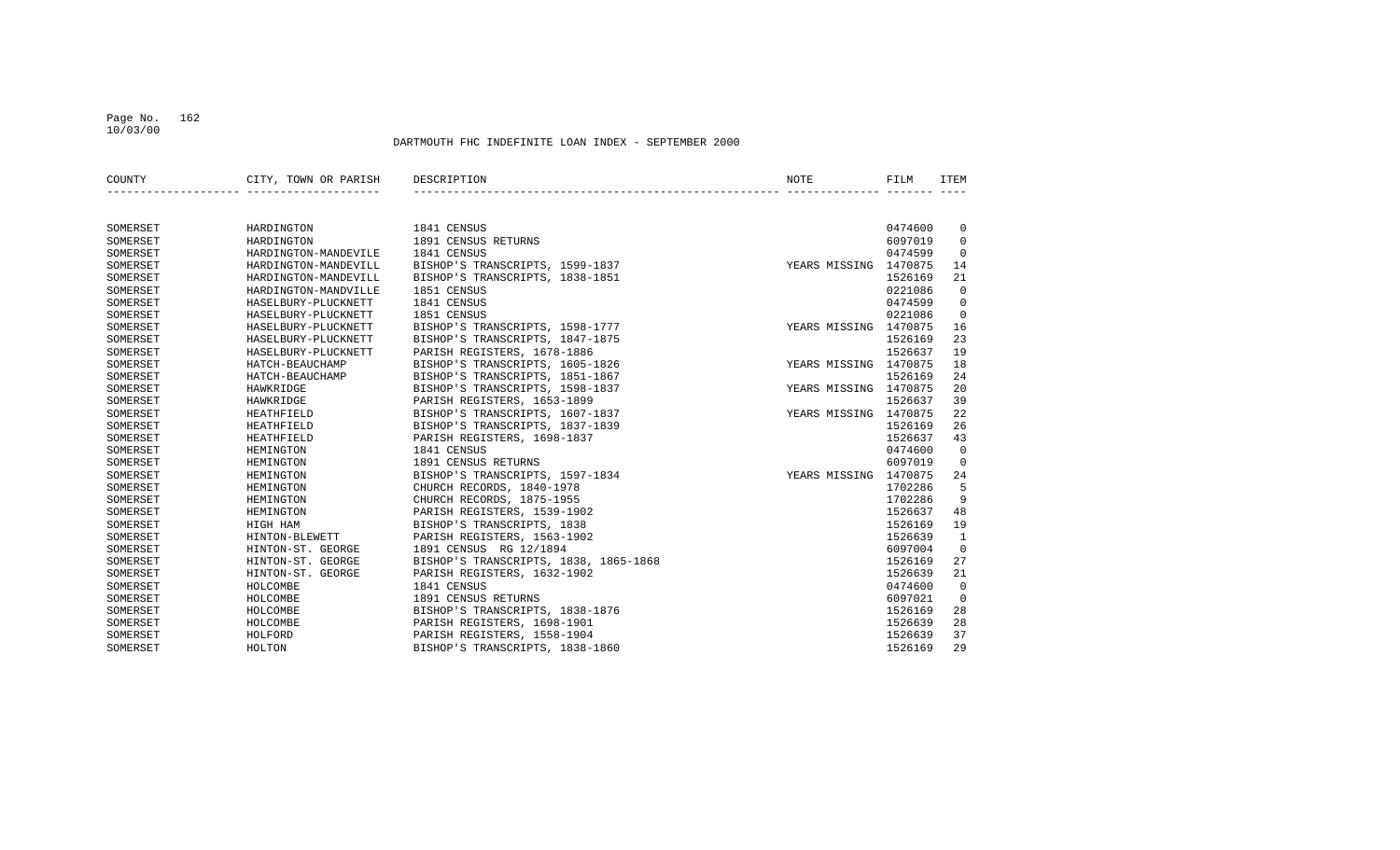#### Page No. 162 10/03/00

| COUNTY   | CITY, TOWN OR PARISH | DESCRIPTION                           | NOTE                  | FILM    | <b>ITEM</b>    |
|----------|----------------------|---------------------------------------|-----------------------|---------|----------------|
|          |                      |                                       |                       |         |                |
| SOMERSET | HARDINGTON           | 1841 CENSUS                           |                       | 0474600 | 0              |
| SOMERSET | HARDINGTON           | 1891 CENSUS RETURNS                   |                       | 6097019 | $\mathbf 0$    |
| SOMERSET | HARDINGTON-MANDEVILE | 1841 CENSUS                           |                       | 0474599 | $\mathbf 0$    |
| SOMERSET | HARDINGTON-MANDEVILL | BISHOP'S TRANSCRIPTS, 1599-1837       | YEARS MISSING 1470875 |         | 14             |
| SOMERSET | HARDINGTON-MANDEVILL | BISHOP'S TRANSCRIPTS, 1838-1851       |                       | 1526169 | 21             |
| SOMERSET | HARDINGTON-MANDVILLE | 1851 CENSUS                           |                       | 0221086 | $\overline{0}$ |
| SOMERSET | HASELBURY-PLUCKNETT  | 1841 CENSUS                           |                       | 0474599 | $\mathbf 0$    |
| SOMERSET | HASELBURY-PLUCKNETT  | 1851 CENSUS                           |                       | 0221086 | $\overline{0}$ |
| SOMERSET | HASELBURY-PLUCKNETT  | BISHOP'S TRANSCRIPTS, 1598-1777       | YEARS MISSING 1470875 |         | 16             |
| SOMERSET | HASELBURY-PLUCKNETT  | BISHOP'S TRANSCRIPTS, 1847-1875       |                       | 1526169 | 23             |
| SOMERSET | HASELBURY-PLUCKNETT  | PARISH REGISTERS, 1678-1886           |                       | 1526637 | 19             |
| SOMERSET | HATCH-BEAUCHAMP      | BISHOP'S TRANSCRIPTS, 1605-1826       | YEARS MISSING 1470875 |         | 18             |
| SOMERSET | HATCH-BEAUCHAMP      | BISHOP'S TRANSCRIPTS, 1851-1867       |                       | 1526169 | 24             |
| SOMERSET | HAWKRIDGE            | BISHOP'S TRANSCRIPTS, 1598-1837       | YEARS MISSING 1470875 |         | 20             |
| SOMERSET | HAWKRIDGE            | PARISH REGISTERS, 1653-1899           |                       | 1526637 | 39             |
| SOMERSET | <b>HEATHFIELD</b>    | BISHOP'S TRANSCRIPTS, 1607-1837       | YEARS MISSING 1470875 |         | 22             |
| SOMERSET | <b>HEATHFIELD</b>    | BISHOP'S TRANSCRIPTS, 1837-1839       |                       | 1526169 | 26             |
| SOMERSET | <b>HEATHFIELD</b>    | PARISH REGISTERS, 1698-1837           |                       | 1526637 | 43             |
| SOMERSET | HEMINGTON            | 1841 CENSUS                           |                       | 0474600 | $\overline{0}$ |
| SOMERSET | HEMINGTON            | 1891 CENSUS RETURNS                   |                       | 6097019 | $\mathbf 0$    |
| SOMERSET | HEMINGTON            | BISHOP'S TRANSCRIPTS, 1597-1834       | YEARS MISSING 1470875 |         | 24             |
| SOMERSET | HEMINGTON            | CHURCH RECORDS, 1840-1978             |                       | 1702286 | 5              |
| SOMERSET | HEMINGTON            | CHURCH RECORDS, 1875-1955             |                       | 1702286 | 9              |
| SOMERSET | HEMINGTON            | PARISH REGISTERS, 1539-1902           |                       | 1526637 | 48             |
| SOMERSET | HIGH HAM             | BISHOP'S TRANSCRIPTS, 1838            |                       | 1526169 | 19             |
| SOMERSET | HINTON-BLEWETT       | PARISH REGISTERS, 1563-1902           |                       | 1526639 | 1              |
| SOMERSET | HINTON-ST. GEORGE    | 1891 CENSUS RG 12/1894                |                       | 6097004 | $\mathbf 0$    |
| SOMERSET | HINTON-ST. GEORGE    | BISHOP'S TRANSCRIPTS, 1838, 1865-1868 |                       | 1526169 | 27             |
| SOMERSET | HINTON-ST. GEORGE    | PARISH REGISTERS, 1632-1902           |                       | 1526639 | 21             |
| SOMERSET | HOLCOMBE             | 1841 CENSUS                           |                       | 0474600 | $\overline{0}$ |
| SOMERSET | HOLCOMBE             | 1891 CENSUS RETURNS                   |                       | 6097021 | $\mathbf 0$    |
| SOMERSET | HOLCOMBE             | BISHOP'S TRANSCRIPTS, 1838-1876       |                       | 1526169 | 28             |
| SOMERSET | HOLCOMBE             | PARISH REGISTERS, 1698-1901           |                       | 1526639 | 28             |
| SOMERSET | HOLFORD              | PARISH REGISTERS, 1558-1904           |                       | 1526639 | 37             |
| SOMERSET | HOLTON               | BISHOP'S TRANSCRIPTS, 1838-1860       |                       | 1526169 | 29             |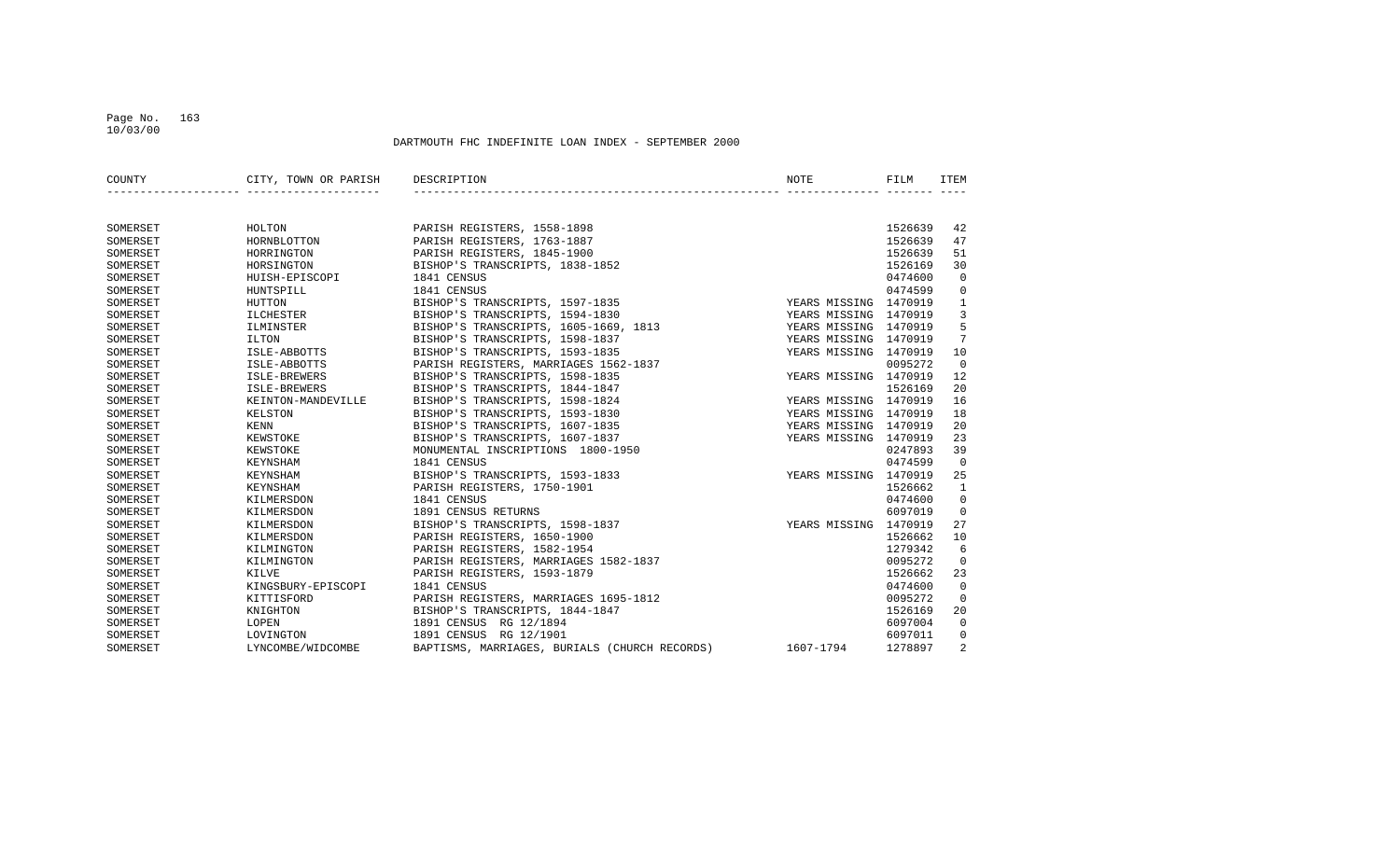#### Page No. 163 10/03/00

| COUNTY   | CITY, TOWN OR PARISH | DESCRIPTION                                   | NOTE                  | FILM    | <b>ITEM</b>    |
|----------|----------------------|-----------------------------------------------|-----------------------|---------|----------------|
|          |                      |                                               |                       |         |                |
| SOMERSET | HOLTON               | PARISH REGISTERS, 1558-1898                   |                       | 1526639 | 42             |
| SOMERSET | HORNBLOTTON          | PARISH REGISTERS, 1763-1887                   |                       | 1526639 | 47             |
| SOMERSET | HORRINGTON           | PARISH REGISTERS, 1845-1900                   |                       | 1526639 | 51             |
| SOMERSET | HORSINGTON           | BISHOP'S TRANSCRIPTS, 1838-1852               |                       | 1526169 | 30             |
| SOMERSET | HUISH-EPISCOPI       | 1841 CENSUS                                   |                       | 0474600 | $\overline{0}$ |
| SOMERSET | HUNTSPILL            | 1841 CENSUS                                   |                       | 0474599 | $\overline{0}$ |
| SOMERSET | HUTTON               | BISHOP'S TRANSCRIPTS, 1597-1835               | YEARS MISSING 1470919 |         | $\mathbf{1}$   |
| SOMERSET | ILCHESTER            | BISHOP'S TRANSCRIPTS, 1594-1830               | YEARS MISSING 1470919 |         | $\overline{3}$ |
| SOMERSET | ILMINSTER            | BISHOP'S TRANSCRIPTS, 1605-1669, 1813         | YEARS MISSING 1470919 |         | 5              |
| SOMERSET | ILTON                | BISHOP'S TRANSCRIPTS, 1598-1837               | YEARS MISSING 1470919 |         | 7              |
| SOMERSET | ISLE-ABBOTTS         | BISHOP'S TRANSCRIPTS, 1593-1835               | YEARS MISSING 1470919 |         | 10             |
| SOMERSET | ISLE-ABBOTTS         | PARISH REGISTERS, MARRIAGES 1562-1837         |                       | 0095272 | $\overline{0}$ |
| SOMERSET | ISLE-BREWERS         | BISHOP'S TRANSCRIPTS, 1598-1835               | YEARS MISSING 1470919 |         | 12             |
| SOMERSET | ISLE-BREWERS         | BISHOP'S TRANSCRIPTS, 1844-1847               |                       | 1526169 | 20             |
| SOMERSET | KEINTON-MANDEVILLE   | BISHOP'S TRANSCRIPTS, 1598-1824               | YEARS MISSING 1470919 |         | 16             |
| SOMERSET | KELSTON              | BISHOP'S TRANSCRIPTS, 1593-1830               | YEARS MISSING 1470919 |         | 18             |
| SOMERSET | KENN                 | BISHOP'S TRANSCRIPTS, 1607-1835               | YEARS MISSING 1470919 |         | 20             |
| SOMERSET | KEWSTOKE             | BISHOP'S TRANSCRIPTS, 1607-1837               | YEARS MISSING 1470919 |         | 23             |
| SOMERSET | KEWSTOKE             | MONUMENTAL INSCRIPTIONS 1800-1950             |                       | 0247893 | 39             |
| SOMERSET | KEYNSHAM             | 1841 CENSUS                                   |                       | 0474599 | $\Omega$       |
| SOMERSET | KEYNSHAM             | BISHOP'S TRANSCRIPTS, 1593-1833               | YEARS MISSING 1470919 |         | 25             |
| SOMERSET | KEYNSHAM             | PARISH REGISTERS, 1750-1901                   |                       | 1526662 | $\mathbf{1}$   |
| SOMERSET | KILMERSDON           | 1841 CENSUS                                   |                       | 0474600 | $\overline{0}$ |
| SOMERSET | KILMERSDON           | 1891 CENSUS RETURNS                           |                       | 6097019 | $\overline{0}$ |
| SOMERSET | KILMERSDON           | BISHOP'S TRANSCRIPTS, 1598-1837               | YEARS MISSING 1470919 |         | 27             |
| SOMERSET | KILMERSDON           | PARISH REGISTERS, 1650-1900                   |                       | 1526662 | 10             |
| SOMERSET | KILMINGTON           | PARISH REGISTERS, 1582-1954                   |                       | 1279342 | 6              |
| SOMERSET | KILMINGTON           | PARISH REGISTERS, MARRIAGES 1582-1837         |                       | 0095272 | $\mathbf 0$    |
| SOMERSET | KILVE                | PARISH REGISTERS, 1593-1879                   |                       | 1526662 | 23             |
| SOMERSET | KINGSBURY-EPISCOPI   | 1841 CENSUS                                   |                       | 0474600 | $\overline{0}$ |
| SOMERSET | KITTISFORD           | PARISH REGISTERS, MARRIAGES 1695-1812         |                       | 0095272 | $\Omega$       |
| SOMERSET | KNIGHTON             | BISHOP'S TRANSCRIPTS, 1844-1847               |                       | 1526169 | 20             |
| SOMERSET | LOPEN                | 1891 CENSUS RG 12/1894                        |                       | 6097004 | $\overline{0}$ |
| SOMERSET | LOVINGTON            | 1891 CENSUS RG 12/1901                        |                       | 6097011 | 0              |
| SOMERSET | LYNCOMBE/WIDCOMBE    | BAPTISMS, MARRIAGES, BURIALS (CHURCH RECORDS) | 1607-1794             | 1278897 | 2              |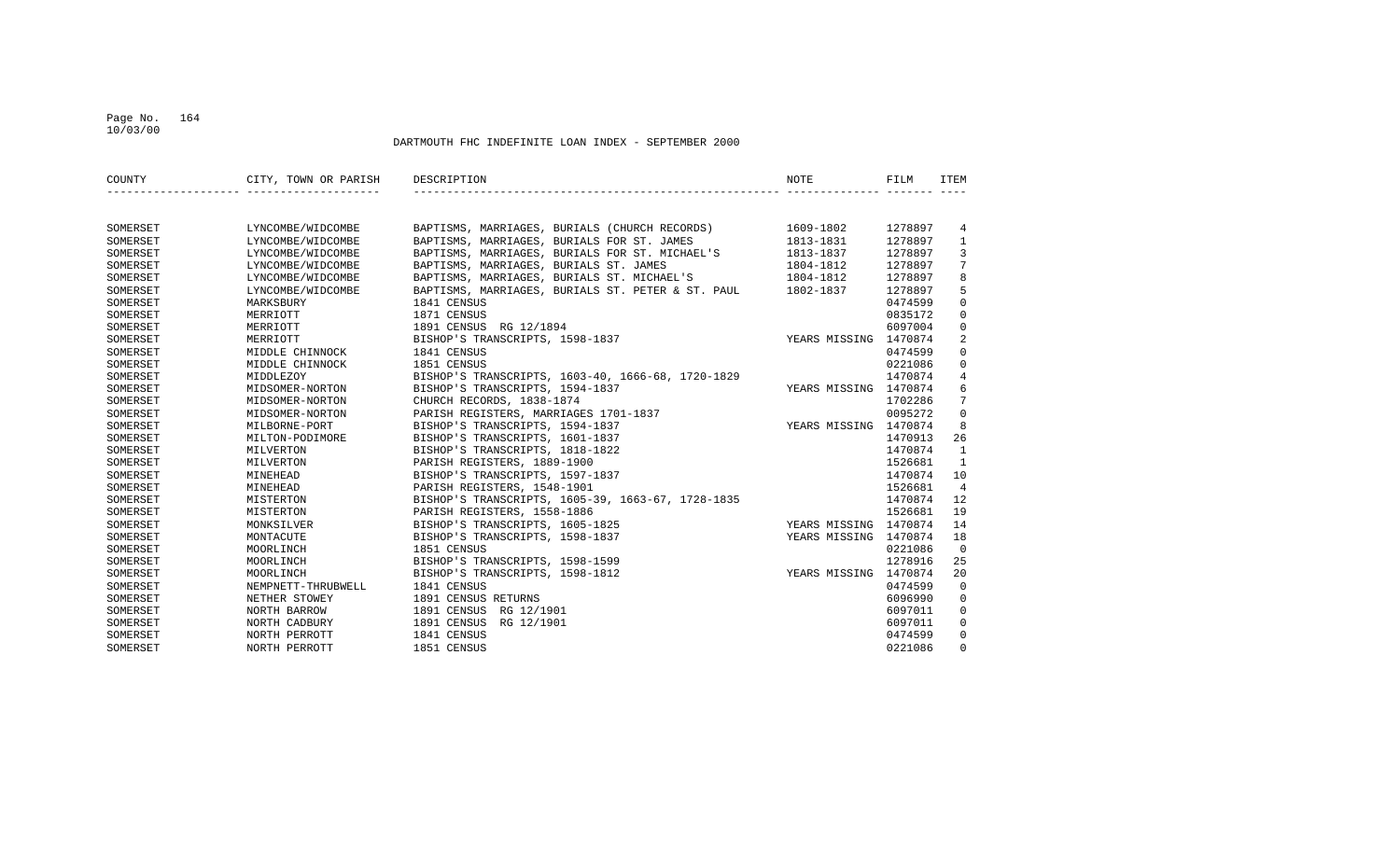### Page No. 164 10/03/00

| COUNTY   | CITY, TOWN OR PARISH | DESCRIPTION                                                 | NOTE                  | FILM    | ITEM            |
|----------|----------------------|-------------------------------------------------------------|-----------------------|---------|-----------------|
|          |                      |                                                             |                       |         |                 |
| SOMERSET | LYNCOMBE/WIDCOMBE    | BAPTISMS, MARRIAGES, BURIALS (CHURCH RECORDS) 1609-1802     |                       | 1278897 | 4               |
| SOMERSET | LYNCOMBE/WIDCOMBE    | BAPTISMS, MARRIAGES, BURIALS FOR ST. JAMES                  | 1813-1831             | 1278897 | $\mathbf{1}$    |
| SOMERSET | LYNCOMBE/WIDCOMBE    | BAPTISMS, MARRIAGES, BURIALS FOR ST. MICHAEL'S              | 1813-1837             | 1278897 | $\overline{3}$  |
| SOMERSET | LYNCOMBE/WIDCOMBE    | BAPTISMS, MARRIAGES, BURIALS ST. JAMES                      | 1804-1812             | 1278897 | 7               |
| SOMERSET | LYNCOMBE/WIDCOMBE    | BAPTISMS, MARRIAGES, BURIALS ST. MICHAEL'S                  | 1804-1812             | 1278897 | 8               |
| SOMERSET | LYNCOMBE/WIDCOMBE    | BAPTISMS, MARRIAGES, BURIALS ST. PETER & ST. PAUL 1802-1837 |                       | 1278897 | 5               |
| SOMERSET | MARKSBURY            | 1841 CENSUS                                                 |                       | 0474599 | $\mathbf 0$     |
| SOMERSET | MERRIOTT             | 1871 CENSUS                                                 |                       | 0835172 | $\mathbf 0$     |
| SOMERSET | MERRIOTT             | 1891 CENSUS RG 12/1894                                      |                       | 6097004 | $\mathbf 0$     |
| SOMERSET | MERRIOTT             | BISHOP'S TRANSCRIPTS, 1598-1837                             | YEARS MISSING 1470874 |         | 2               |
| SOMERSET | MIDDLE CHINNOCK      | 1841 CENSUS                                                 |                       | 0474599 | $\mathbf 0$     |
| SOMERSET | MIDDLE CHINNOCK      | 1851 CENSUS                                                 |                       | 0221086 | $\mathbf 0$     |
| SOMERSET | MIDDLEZOY            | BISHOP'S TRANSCRIPTS, 1603-40, 1666-68, 1720-1829           |                       | 1470874 | $\overline{4}$  |
| SOMERSET | MIDSOMER-NORTON      | BISHOP'S TRANSCRIPTS, 1594-1837                             | YEARS MISSING 1470874 |         | 6               |
| SOMERSET | MIDSOMER-NORTON      | CHURCH RECORDS, 1838-1874                                   |                       | 1702286 | $7\overline{ }$ |
| SOMERSET | MIDSOMER-NORTON      | PARISH REGISTERS, MARRIAGES 1701-1837                       |                       | 0095272 | $\Omega$        |
| SOMERSET | MILBORNE-PORT        | BISHOP'S TRANSCRIPTS, 1594-1837                             | YEARS MISSING 1470874 |         | 8               |
| SOMERSET | MILTON-PODIMORE      | BISHOP'S TRANSCRIPTS, 1601-1837                             |                       | 1470913 | 26              |
| SOMERSET | MILVERTON            | BISHOP'S TRANSCRIPTS, 1818-1822                             |                       | 1470874 | 1               |
| SOMERSET | MILVERTON            | PARISH REGISTERS, 1889-1900                                 |                       | 1526681 | 1               |
| SOMERSET | MINEHEAD             | BISHOP'S TRANSCRIPTS, 1597-1837                             |                       | 1470874 | 10              |
| SOMERSET | MINEHEAD             | PARISH REGISTERS, 1548-1901                                 |                       | 1526681 | $\overline{4}$  |
| SOMERSET | MISTERTON            | BISHOP'S TRANSCRIPTS, 1605-39, 1663-67, 1728-1835           |                       | 1470874 | 12              |
| SOMERSET | MISTERTON            | PARISH REGISTERS, 1558-1886                                 |                       | 1526681 | 19              |
| SOMERSET | MONKSILVER           | BISHOP'S TRANSCRIPTS, 1605-1825                             | YEARS MISSING 1470874 |         | 14              |
| SOMERSET | MONTACUTE            | BISHOP'S TRANSCRIPTS, 1598-1837                             | YEARS MISSING 1470874 |         | 18              |
| SOMERSET | MOORLINCH            | 1851 CENSUS                                                 |                       | 0221086 | $\Omega$        |
| SOMERSET | MOORLINCH            | BISHOP'S TRANSCRIPTS, 1598-1599                             |                       | 1278916 | 25              |
| SOMERSET | MOORLINCH            | BISHOP'S TRANSCRIPTS, 1598-1812                             | YEARS MISSING 1470874 |         | 20              |
| SOMERSET | NEMPNETT-THRUBWELL   | 1841 CENSUS                                                 |                       | 0474599 | $\overline{0}$  |
| SOMERSET | NETHER STOWEY        | 1891 CENSUS RETURNS                                         |                       | 6096990 | $\overline{0}$  |
| SOMERSET | NORTH BARROW         | 1891 CENSUS RG 12/1901                                      |                       | 6097011 | $\mathbf 0$     |
| SOMERSET | NORTH CADBURY        | 1891 CENSUS RG 12/1901                                      |                       | 6097011 | $\mathbf 0$     |
| SOMERSET | NORTH PERROTT        | 1841 CENSUS                                                 |                       | 0474599 | 0               |
| SOMERSET | NORTH PERROTT        | 1851 CENSUS                                                 |                       | 0221086 | $\Omega$        |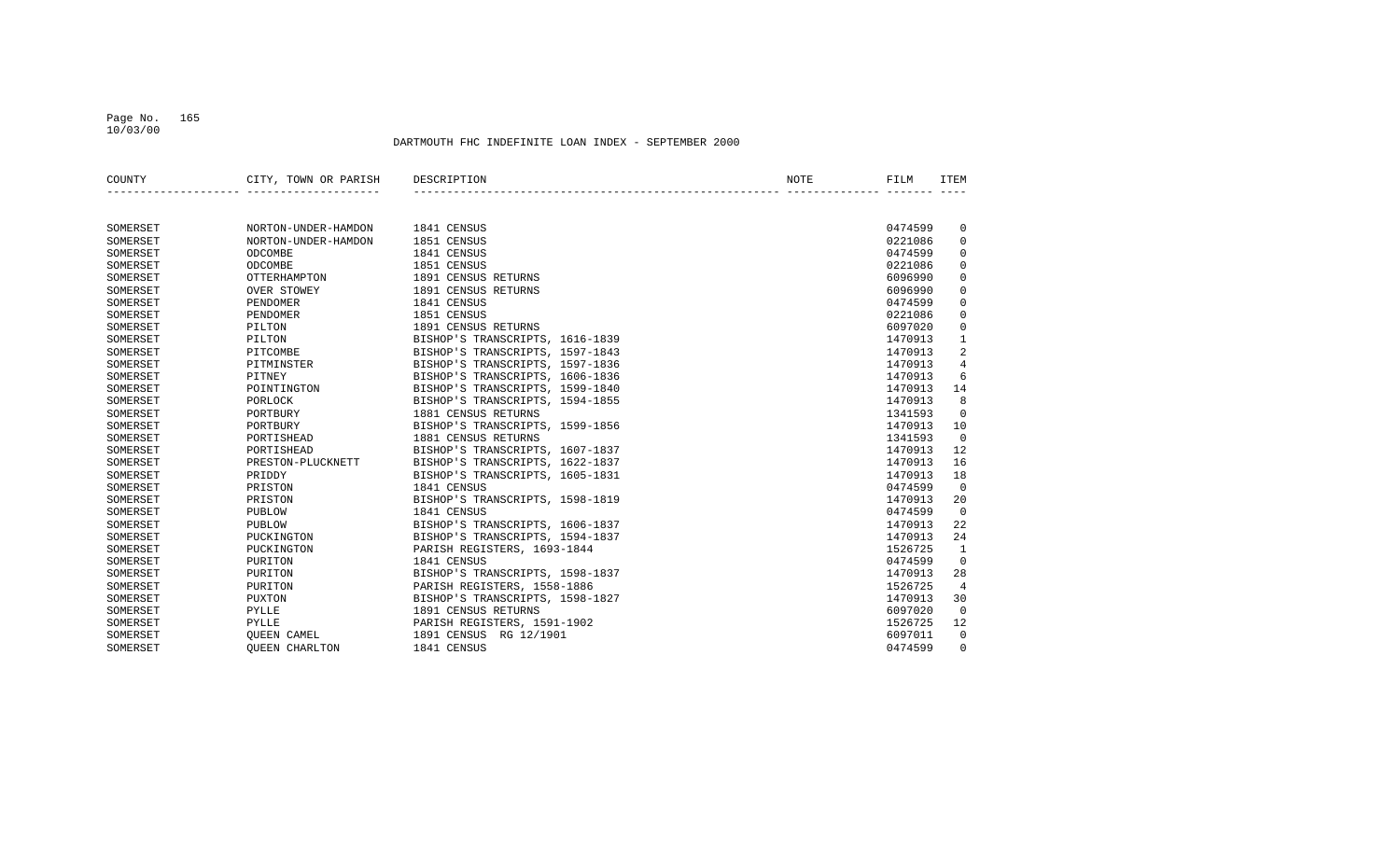#### Page No. 165 10/03/00

| COUNTY   | CITY, TOWN OR PARISH  | DESCRIPTION                     | NOTE | FILM    | <b>ITEM</b>    |
|----------|-----------------------|---------------------------------|------|---------|----------------|
|          |                       |                                 |      |         |                |
| SOMERSET | NORTON-UNDER-HAMDON   | 1841 CENSUS                     |      | 0474599 | 0              |
| SOMERSET | NORTON-UNDER-HAMDON   | 1851 CENSUS                     |      | 0221086 | $\mathbf 0$    |
| SOMERSET | ODCOMBE               | 1841 CENSUS                     |      | 0474599 | $\mathbf 0$    |
| SOMERSET | ODCOMBE               | 1851 CENSUS                     |      | 0221086 | $\mathbf 0$    |
| SOMERSET | <b>OTTERHAMPTON</b>   | 1891 CENSUS RETURNS             |      | 6096990 | $\mathbf 0$    |
| SOMERSET | <b>OVER STOWEY</b>    | 1891 CENSUS RETURNS             |      | 6096990 | $\mathbf 0$    |
| SOMERSET | PENDOMER              | 1841 CENSUS                     |      | 0474599 | $\mathbf 0$    |
| SOMERSET | PENDOMER              | 1851 CENSUS                     |      | 0221086 | $\mathbf 0$    |
| SOMERSET | PILTON                | 1891 CENSUS RETURNS             |      | 6097020 | $\Omega$       |
| SOMERSET | PILTON                | BISHOP'S TRANSCRIPTS, 1616-1839 |      | 1470913 | $1\,$          |
| SOMERSET | PITCOMBE              | BISHOP'S TRANSCRIPTS, 1597-1843 |      | 1470913 | 2              |
| SOMERSET | PITMINSTER            | BISHOP'S TRANSCRIPTS, 1597-1836 |      | 1470913 | $\overline{4}$ |
| SOMERSET | PITNEY                | BISHOP'S TRANSCRIPTS, 1606-1836 |      | 1470913 | 6              |
| SOMERSET | POINTINGTON           | BISHOP'S TRANSCRIPTS, 1599-1840 |      | 1470913 | 14             |
| SOMERSET | PORLOCK               | BISHOP'S TRANSCRIPTS, 1594-1855 |      | 1470913 | 8              |
| SOMERSET | PORTBURY              | 1881 CENSUS RETURNS             |      | 1341593 | $\mathbf 0$    |
| SOMERSET | PORTBURY              | BISHOP'S TRANSCRIPTS, 1599-1856 |      | 1470913 | 10             |
| SOMERSET | PORTISHEAD            | 1881 CENSUS RETURNS             |      | 1341593 | $\mathbf 0$    |
| SOMERSET | PORTISHEAD            | BISHOP'S TRANSCRIPTS, 1607-1837 |      | 1470913 | 12             |
| SOMERSET | PRESTON-PLUCKNETT     | BISHOP'S TRANSCRIPTS, 1622-1837 |      | 1470913 | 16             |
| SOMERSET | PRIDDY                | BISHOP'S TRANSCRIPTS, 1605-1831 |      | 1470913 | 18             |
| SOMERSET | PRISTON               | 1841 CENSUS                     |      | 0474599 | $\mathbf 0$    |
| SOMERSET | PRISTON               | BISHOP'S TRANSCRIPTS, 1598-1819 |      | 1470913 | 20             |
| SOMERSET | PUBLOW                | 1841 CENSUS                     |      | 0474599 | $\Omega$       |
| SOMERSET | PUBLOW                | BISHOP'S TRANSCRIPTS, 1606-1837 |      | 1470913 | 2.2.           |
| SOMERSET | PUCKINGTON            | BISHOP'S TRANSCRIPTS, 1594-1837 |      | 1470913 | 24             |
| SOMERSET | PUCKINGTON            | PARISH REGISTERS, 1693-1844     |      | 1526725 | $\mathbf{1}$   |
| SOMERSET | PURITON               | 1841 CENSUS                     |      | 0474599 | $\mathbf 0$    |
| SOMERSET | PURITON               | BISHOP'S TRANSCRIPTS, 1598-1837 |      | 1470913 | 28             |
| SOMERSET | PURITON               | PARISH REGISTERS, 1558-1886     |      | 1526725 | 4              |
| SOMERSET | PUXTON                | BISHOP'S TRANSCRIPTS, 1598-1827 |      | 1470913 | 30             |
| SOMERSET | PYLLE                 | 1891 CENSUS RETURNS             |      | 6097020 | $\mathbf 0$    |
| SOMERSET | PYLLE                 | PARISH REGISTERS, 1591-1902     |      | 1526725 | 12             |
| SOMERSET | <b>OUEEN CAMEL</b>    | 1891 CENSUS RG 12/1901          |      | 6097011 | $\mathbf 0$    |
| SOMERSET | <b>OUEEN CHARLTON</b> | 1841 CENSUS                     |      | 0474599 | $\Omega$       |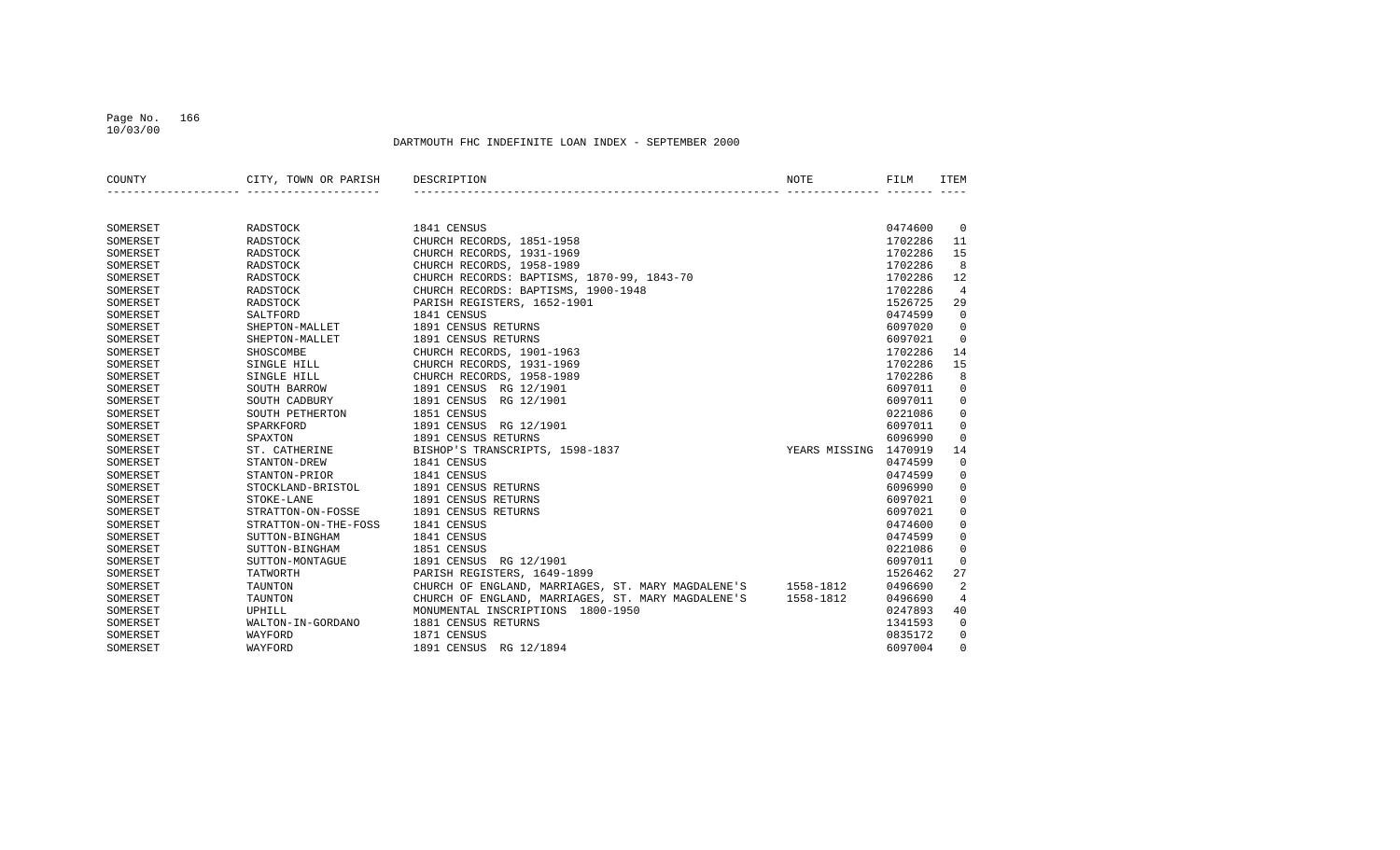#### Page No. 166 10/03/00

| COUNTY   | CITY, TOWN OR PARISH | DESCRIPTION                                        | NOTE          | FILM    | ITEM           |
|----------|----------------------|----------------------------------------------------|---------------|---------|----------------|
|          |                      |                                                    |               |         |                |
| SOMERSET | RADSTOCK             | 1841 CENSUS                                        |               | 0474600 | $\overline{0}$ |
| SOMERSET | RADSTOCK             | CHURCH RECORDS, 1851-1958                          |               | 1702286 | 11             |
| SOMERSET | RADSTOCK             | CHURCH RECORDS, 1931-1969                          |               | 1702286 | 15             |
| SOMERSET | RADSTOCK             | CHURCH RECORDS, 1958-1989                          |               | 1702286 | 8              |
| SOMERSET | RADSTOCK             | CHURCH RECORDS: BAPTISMS, 1870-99, 1843-70         |               | 1702286 | 12             |
| SOMERSET | RADSTOCK             | CHURCH RECORDS: BAPTISMS, 1900-1948                |               | 1702286 | 4              |
| SOMERSET | RADSTOCK             | PARISH REGISTERS, 1652-1901                        |               | 1526725 | 29             |
| SOMERSET | SALTFORD             | 1841 CENSUS                                        |               | 0474599 | $\Omega$       |
| SOMERSET | SHEPTON-MALLET       | 1891 CENSUS RETURNS                                |               | 6097020 | $\mathbf 0$    |
| SOMERSET | SHEPTON-MALLET       | 1891 CENSUS RETURNS                                |               | 6097021 | $\mathbf 0$    |
| SOMERSET | SHOSCOMBE            | CHURCH RECORDS, 1901-1963                          |               | 1702286 | 14             |
| SOMERSET | SINGLE HILL          | CHURCH RECORDS, 1931-1969                          |               | 1702286 | 15             |
| SOMERSET | SINGLE HILL          | CHURCH RECORDS, 1958-1989                          |               | 1702286 | 8              |
| SOMERSET | SOUTH BARROW         | 1891 CENSUS RG 12/1901                             |               | 6097011 | $\mathbf 0$    |
| SOMERSET | SOUTH CADBURY        | 1891 CENSUS<br>RG 12/1901                          |               | 6097011 | $\mathbf 0$    |
| SOMERSET | SOUTH PETHERTON      | 1851 CENSUS                                        |               | 0221086 | $\mathbf 0$    |
| SOMERSET | SPARKFORD            | 1891 CENSUS RG 12/1901                             |               | 6097011 | $\mathbf 0$    |
| SOMERSET | SPAXTON              | 1891 CENSUS RETURNS                                |               | 6096990 | $\mathbf 0$    |
| SOMERSET | ST. CATHERINE        | BISHOP'S TRANSCRIPTS, 1598-1837                    | YEARS MISSING | 1470919 | 14             |
| SOMERSET | STANTON-DREW         | 1841 CENSUS                                        |               | 0474599 | $\mathbf 0$    |
| SOMERSET | STANTON-PRIOR        | 1841 CENSUS                                        |               | 0474599 | $\mathbf 0$    |
| SOMERSET | STOCKLAND-BRISTOL    | 1891 CENSUS RETURNS                                |               | 6096990 | $\mathsf 0$    |
| SOMERSET | STOKE-LANE           | 1891 CENSUS RETURNS                                |               | 6097021 | $\mathbf 0$    |
| SOMERSET | STRATTON-ON-FOSSE    | 1891 CENSUS RETURNS                                |               | 6097021 | $\mathbf 0$    |
| SOMERSET | STRATTON-ON-THE-FOSS | 1841 CENSUS                                        |               | 0474600 | $\mathbf 0$    |
| SOMERSET | SUTTON-BINGHAM       | 1841 CENSUS                                        |               | 0474599 | $\mathbf 0$    |
| SOMERSET | SUTTON-BINGHAM       | 1851 CENSUS                                        |               | 0221086 | $\mathsf 0$    |
| SOMERSET | SUTTON-MONTAGUE      | 1891 CENSUS RG 12/1901                             |               | 6097011 | $\mathbf 0$    |
| SOMERSET | TATWORTH             | PARISH REGISTERS, 1649-1899                        |               | 1526462 | 27             |
| SOMERSET | <b>TAUNTON</b>       | CHURCH OF ENGLAND, MARRIAGES, ST. MARY MAGDALENE'S | 1558-1812     | 0496690 | $\overline{2}$ |
| SOMERSET | TAUNTON              | CHURCH OF ENGLAND, MARRIAGES, ST. MARY MAGDALENE'S | 1558-1812     | 0496690 | $\overline{4}$ |
| SOMERSET | UPHILL               | MONUMENTAL INSCRIPTIONS 1800-1950                  |               | 0247893 | 40             |
| SOMERSET | WALTON-IN-GORDANO    | 1881 CENSUS RETURNS                                |               | 1341593 | $\mathbf 0$    |
| SOMERSET | WAYFORD              | 1871 CENSUS                                        |               | 0835172 | $\mathbf 0$    |
| SOMERSET | WAYFORD              | 1891 CENSUS RG 12/1894                             |               | 6097004 | $\Omega$       |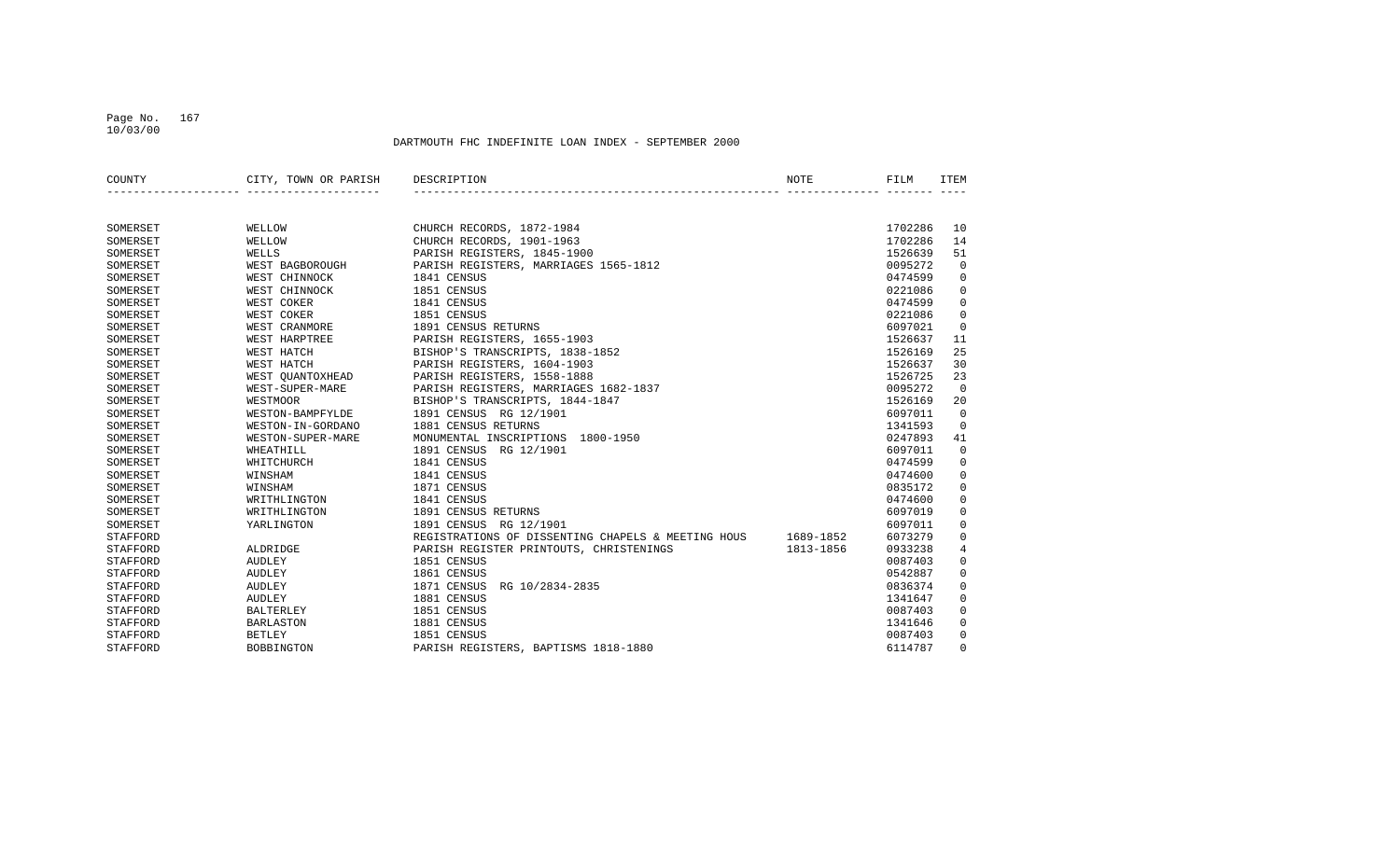#### Page No. 167 10/03/00

| COUNTY   | CITY, TOWN OR PARISH | DESCRIPTION                                        | <b>NOTE</b> | FILM    | <b>TTEM</b> |
|----------|----------------------|----------------------------------------------------|-------------|---------|-------------|
|          |                      |                                                    |             |         |             |
| SOMERSET | WELLOW               | CHURCH RECORDS, 1872-1984                          |             | 1702286 | 10          |
| SOMERSET | WELLOW               | CHURCH RECORDS, 1901-1963                          |             | 1702286 | 14          |
| SOMERSET | WELLS                | PARISH REGISTERS, 1845-1900                        |             | 1526639 | 51          |
| SOMERSET | WEST BAGBOROUGH      | PARISH REGISTERS, MARRIAGES 1565-1812              |             | 0095272 | $\mathbf 0$ |
| SOMERSET | WEST CHINNOCK        | 1841 CENSUS                                        |             | 0474599 | $\mathbf 0$ |
| SOMERSET | WEST CHINNOCK        | 1851 CENSUS                                        |             | 0221086 | $\mathbf 0$ |
| SOMERSET | WEST COKER           | 1841 CENSUS                                        |             | 0474599 | $\mathbf 0$ |
| SOMERSET | WEST COKER           | 1851 CENSUS                                        |             | 0221086 | $\mathbf 0$ |
| SOMERSET | WEST CRANMORE        | 1891 CENSUS RETURNS                                |             | 6097021 | $\mathbf 0$ |
| SOMERSET | WEST HARPTREE        | PARISH REGISTERS, 1655-1903                        |             | 1526637 | 11          |
| SOMERSET | WEST HATCH           | BISHOP'S TRANSCRIPTS, 1838-1852                    |             | 1526169 | 25          |
| SOMERSET | WEST HATCH           | PARISH REGISTERS, 1604-1903                        |             | 1526637 | 30          |
| SOMERSET | WEST OUANTOXHEAD     | PARISH REGISTERS, 1558-1888                        |             | 1526725 | 23          |
| SOMERSET | WEST-SUPER-MARE      | PARISH REGISTERS, MARRIAGES 1682-1837              |             | 0095272 | $\mathbf 0$ |
| SOMERSET | <b>WESTMOOR</b>      | BISHOP'S TRANSCRIPTS, 1844-1847                    |             | 1526169 | 20          |
| SOMERSET | WESTON-BAMPFYLDE     | 1891 CENSUS RG 12/1901                             |             | 6097011 | $\Omega$    |
| SOMERSET | WESTON-IN-GORDANO    | 1881 CENSUS RETURNS                                |             | 1341593 | $\Omega$    |
| SOMERSET | WESTON-SUPER-MARE    | MONUMENTAL INSCRIPTIONS<br>1800-1950               |             | 0247893 | 41          |
| SOMERSET | WHEATHILL            | 1891 CENSUS RG 12/1901                             |             | 6097011 | $\mathbf 0$ |
| SOMERSET | WHITCHURCH           | 1841 CENSUS                                        |             | 0474599 | $\mathbf 0$ |
| SOMERSET | WINSHAM              | 1841 CENSUS                                        |             | 0474600 | $\mathbf 0$ |
| SOMERSET | WINSHAM              | 1871 CENSUS                                        |             | 0835172 | $\mathbf 0$ |
| SOMERSET | WRITHLINGTON         | 1841 CENSUS                                        |             | 0474600 | $\mathbf 0$ |
| SOMERSET | WRITHLINGTON         | 1891 CENSUS RETURNS                                |             | 6097019 | $\mathbf 0$ |
| SOMERSET | YARLINGTON           | 1891 CENSUS RG 12/1901                             |             | 6097011 | 0           |
| STAFFORD |                      | REGISTRATIONS OF DISSENTING CHAPELS & MEETING HOUS | 1689-1852   | 6073279 | $\mathbf 0$ |
| STAFFORD | ALDRIDGE             | PARISH REGISTER PRINTOUTS, CHRISTENINGS            | 1813-1856   | 0933238 | 4           |
| STAFFORD | AUDLEY               | 1851 CENSUS                                        |             | 0087403 | $\Omega$    |
| STAFFORD | AUDLEY               | 1861 CENSUS                                        |             | 0542887 | $\mathbf 0$ |
| STAFFORD | <b>AUDLEY</b>        | 1871 CENSUS<br>RG 10/2834-2835                     |             | 0836374 | $\mathbf 0$ |
| STAFFORD | <b>AUDLEY</b>        | 1881 CENSUS                                        |             | 1341647 | $\mathbf 0$ |
| STAFFORD | <b>BALTERLEY</b>     | 1851 CENSUS                                        |             | 0087403 | $\mathbf 0$ |
| STAFFORD | <b>BARLASTON</b>     | 1881 CENSUS                                        |             | 1341646 | $\mathbf 0$ |
| STAFFORD | <b>BETLEY</b>        | 1851 CENSUS                                        |             | 0087403 | $\Omega$    |
| STAFFORD | <b>BOBBINGTON</b>    | PARISH REGISTERS, BAPTISMS 1818-1880               |             | 6114787 | $\Omega$    |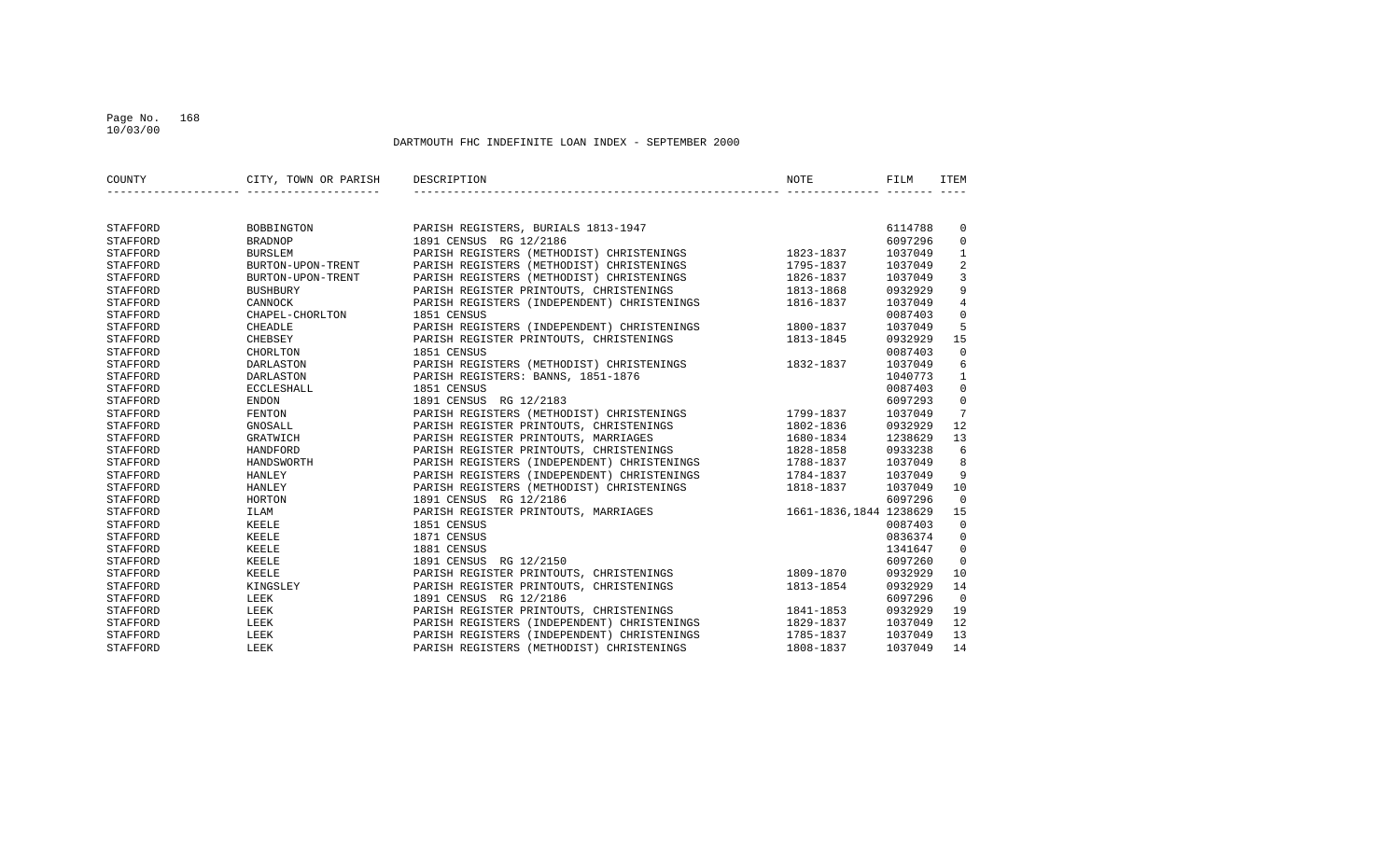#### Page No. 168 10/03/00

| COUNTY          | CITY, TOWN OR PARISH | DESCRIPTION<br><b>NOTE</b>                                      | FILM    | <b>ITEM</b>    |
|-----------------|----------------------|-----------------------------------------------------------------|---------|----------------|
|                 |                      |                                                                 |         |                |
| STAFFORD        | BOBBINGTON           | PARISH REGISTERS, BURIALS 1813-1947                             | 6114788 | 0              |
| STAFFORD        | <b>BRADNOP</b>       | 1891 CENSUS RG 12/2186                                          | 6097296 | 0              |
| STAFFORD        | <b>BURSLEM</b>       | PARISH REGISTERS (METHODIST) CHRISTENINGS<br>1823-1837          | 1037049 | $\mathbf{1}$   |
| STAFFORD        | BURTON-UPON-TRENT    | PARISH REGISTERS (METHODIST) CHRISTENINGS<br>1795-1837          | 1037049 | 2              |
| STAFFORD        | BURTON-UPON-TRENT    | PARISH REGISTERS (METHODIST) CHRISTENINGS<br>1826-1837          | 1037049 | 3              |
| STAFFORD        | <b>BUSHBURY</b>      | PARISH REGISTER PRINTOUTS, CHRISTENINGS<br>1813-1868            | 0932929 | 9              |
| STAFFORD        | CANNOCK              | PARISH REGISTERS (INDEPENDENT) CHRISTENINGS<br>1816-1837        | 1037049 | $\overline{4}$ |
| STAFFORD        | CHAPEL-CHORLTON      | 1851 CENSUS                                                     | 0087403 | $\mathbf 0$    |
| STAFFORD        | CHEADLE              | 1800-1837<br>PARISH REGISTERS (INDEPENDENT) CHRISTENINGS        | 1037049 | 5              |
| STAFFORD        | CHEBSEY              | PARISH REGISTER PRINTOUTS, CHRISTENINGS<br>1813-1845            | 0932929 | 15             |
| STAFFORD        | CHORLTON             | 1851 CENSUS                                                     | 0087403 | $\overline{0}$ |
| STAFFORD        | <b>DARLASTON</b>     | PARISH REGISTERS (METHODIST) CHRISTENINGS<br>1832-1837          | 1037049 | 6              |
| STAFFORD        | DARLASTON            | PARISH REGISTERS: BANNS, 1851-1876                              | 1040773 | 1              |
| STAFFORD        | <b>ECCLESHALL</b>    | 1851 CENSUS                                                     | 0087403 | $\mathsf 0$    |
| <b>STAFFORD</b> | <b>ENDON</b>         | 1891 CENSUS RG 12/2183                                          | 6097293 | $\mathbf 0$    |
| STAFFORD        | <b>FENTON</b>        | PARISH REGISTERS (METHODIST) CHRISTENINGS<br>1799-1837          | 1037049 | 7              |
| STAFFORD        | GNOSALL              | PARISH REGISTER PRINTOUTS, CHRISTENINGS<br>1802-1836            | 0932929 | 12             |
| STAFFORD        | GRATWICH             | PARISH REGISTER PRINTOUTS, MARRIAGES<br>1680-1834               | 1238629 | 13             |
| STAFFORD        | HANDFORD             | PARISH REGISTER PRINTOUTS, CHRISTENINGS<br>1828-1858            | 0933238 | 6              |
| STAFFORD        | HANDSWORTH           | PARISH REGISTERS (INDEPENDENT) CHRISTENINGS<br>1788-1837        | 1037049 | 8              |
| STAFFORD        | <b>HANLEY</b>        | PARISH REGISTERS (INDEPENDENT) CHRISTENINGS<br>1784-1837        | 1037049 | 9              |
| STAFFORD        | <b>HANLEY</b>        | PARISH REGISTERS (METHODIST) CHRISTENINGS<br>1818-1837          | 1037049 | 10             |
| <b>STAFFORD</b> | HORTON               | 1891 CENSUS RG 12/2186                                          | 6097296 | $\Omega$       |
| STAFFORD        | ILAM                 | PARISH REGISTER PRINTOUTS, MARRIAGES<br>1661-1836, 1844 1238629 |         | 15             |
| STAFFORD        | KEELE                | 1851 CENSUS                                                     | 0087403 | $\overline{0}$ |
| STAFFORD        | <b>KEELE</b>         | 1871 CENSUS                                                     | 0836374 | $\mathbf 0$    |
| STAFFORD        | <b>KEELE</b>         | 1881 CENSUS                                                     | 1341647 | $\Omega$       |
| STAFFORD        | <b>KEELE</b>         | 1891 CENSUS<br>RG 12/2150                                       | 6097260 | $\Omega$       |
| STAFFORD        | <b>KEELE</b>         | PARISH REGISTER PRINTOUTS, CHRISTENINGS<br>1809-1870            | 0932929 | 10             |
| STAFFORD        | KINGSLEY             | 1813-1854<br>PARISH REGISTER PRINTOUTS, CHRISTENINGS            | 0932929 | 14             |
| STAFFORD        | LEEK                 | 1891 CENSUS RG 12/2186                                          | 6097296 | $\mathbf 0$    |
| STAFFORD        | LEEK                 | PARISH REGISTER PRINTOUTS, CHRISTENINGS<br>1841-1853            | 0932929 | 19             |
| STAFFORD        | LEEK                 | PARISH REGISTERS (INDEPENDENT) CHRISTENINGS<br>1829-1837        | 1037049 | 12             |
| STAFFORD        | LEEK                 | PARISH REGISTERS (INDEPENDENT) CHRISTENINGS<br>1785-1837        | 1037049 | 13             |
| <b>STAFFORD</b> | LEEK                 | PARISH REGISTERS (METHODIST) CHRISTENINGS<br>1808-1837          | 1037049 | 14             |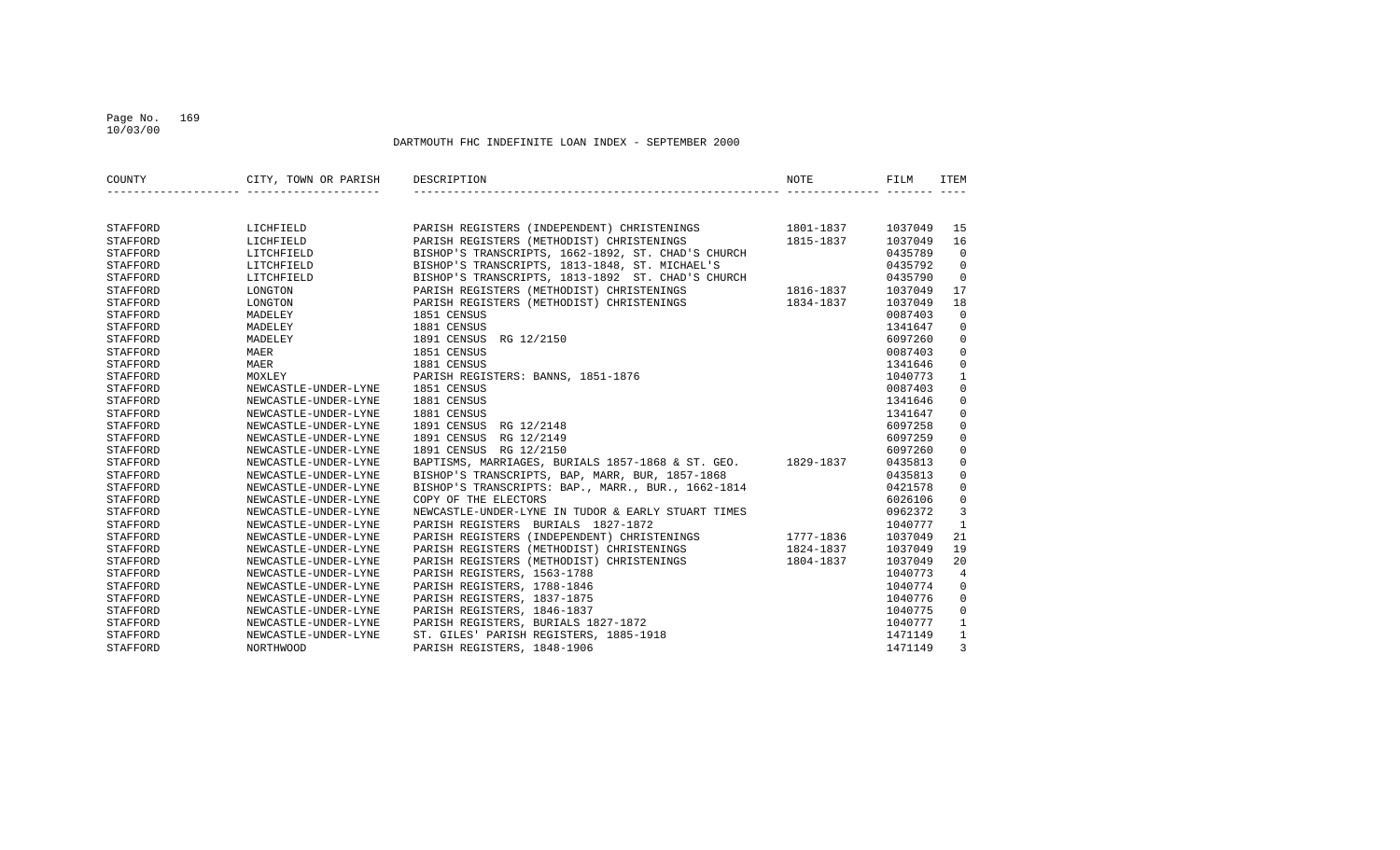#### Page No. 169 10/03/00

| COUNTY          | CITY, TOWN OR PARISH | DESCRIPTION                                                 | <b>NOTE</b> | FILM    | <b>ITEM</b>    |
|-----------------|----------------------|-------------------------------------------------------------|-------------|---------|----------------|
|                 |                      |                                                             |             |         |                |
| STAFFORD        | LICHFIELD            | PARISH REGISTERS (INDEPENDENT) CHRISTENINGS 1801-1837       |             | 1037049 | 15             |
| <b>STAFFORD</b> | LICHFIELD            | PARISH REGISTERS (METHODIST) CHRISTENINGS                   | 1815-1837   | 1037049 | 16             |
| STAFFORD        | LITCHFIELD           | BISHOP'S TRANSCRIPTS, 1662-1892, ST. CHAD'S CHURCH          |             | 0435789 | $\mathbf 0$    |
| STAFFORD        | LITCHFIELD           | BISHOP'S TRANSCRIPTS, 1813-1848, ST. MICHAEL'S              |             | 0435792 | $\overline{0}$ |
| STAFFORD        | LITCHFIELD           | BISHOP'S TRANSCRIPTS, 1813-1892 ST. CHAD'S CHURCH           |             | 0435790 | $\mathbf 0$    |
| STAFFORD        | LONGTON              | PARISH REGISTERS (METHODIST) CHRISTENINGS                   | 1816-1837   | 1037049 | 17             |
| STAFFORD        | LONGTON              | PARISH REGISTERS (METHODIST) CHRISTENINGS                   | 1834-1837   | 1037049 | 18             |
| STAFFORD        | MADELEY              | 1851 CENSUS                                                 |             | 0087403 | $\Omega$       |
| STAFFORD        | MADELEY              | 1881 CENSUS                                                 |             | 1341647 | $\Omega$       |
| STAFFORD        | MADELEY              | 1891 CENSUS RG 12/2150                                      |             | 6097260 | $\mathbf 0$    |
| STAFFORD        | MAER                 | 1851 CENSUS                                                 |             | 0087403 | $\mathbf 0$    |
| STAFFORD        | MAER                 | 1881 CENSUS                                                 |             | 1341646 | $\mathbf 0$    |
| STAFFORD        | MOXLEY               | PARISH REGISTERS: BANNS, 1851-1876                          |             | 1040773 | $\mathbf{1}$   |
| STAFFORD        | NEWCASTLE-UNDER-LYNE | 1851 CENSUS                                                 |             | 0087403 | $\Omega$       |
| STAFFORD        | NEWCASTLE-UNDER-LYNE | 1881 CENSUS                                                 |             | 1341646 | $\mathbf 0$    |
| STAFFORD        | NEWCASTLE-UNDER-LYNE | 1881 CENSUS                                                 |             | 1341647 | $\mathbf 0$    |
| STAFFORD        | NEWCASTLE-UNDER-LYNE | 1891 CENSUS RG 12/2148                                      |             | 6097258 | $\mathbf 0$    |
| STAFFORD        | NEWCASTLE-UNDER-LYNE | 1891 CENSUS RG 12/2149                                      |             | 6097259 | $\mathbf 0$    |
| STAFFORD        | NEWCASTLE-UNDER-LYNE | 1891 CENSUS RG 12/2150                                      |             | 6097260 | $\mathbf 0$    |
| STAFFORD        | NEWCASTLE-UNDER-LYNE | BAPTISMS, MARRIAGES, BURIALS 1857-1868 & ST. GEO. 1829-1837 |             | 0435813 | $\mathbf 0$    |
| STAFFORD        | NEWCASTLE-UNDER-LYNE | BISHOP'S TRANSCRIPTS, BAP, MARR, BUR, 1857-1868             |             | 0435813 | $\mathbf 0$    |
| STAFFORD        | NEWCASTLE-UNDER-LYNE | BISHOP'S TRANSCRIPTS: BAP., MARR., BUR., 1662-1814          |             | 0421578 | $\mathbf 0$    |
| STAFFORD        | NEWCASTLE-UNDER-LYNE | COPY OF THE ELECTORS                                        |             | 6026106 | $\mathbf 0$    |
| STAFFORD        | NEWCASTLE-UNDER-LYNE | NEWCASTLE-UNDER-LYNE IN TUDOR & EARLY STUART TIMES          |             | 0962372 | 3              |
| STAFFORD        | NEWCASTLE-UNDER-LYNE | PARISH REGISTERS BURIALS 1827-1872                          |             | 1040777 | $\mathbf{1}$   |
| STAFFORD        | NEWCASTLE-UNDER-LYNE | PARISH REGISTERS (INDEPENDENT) CHRISTENINGS                 | 1777-1836   | 1037049 | 21             |
| STAFFORD        | NEWCASTLE-UNDER-LYNE | PARISH REGISTERS (METHODIST) CHRISTENINGS                   | 1824-1837   | 1037049 | 19             |
| STAFFORD        | NEWCASTLE-UNDER-LYNE | PARISH REGISTERS (METHODIST) CHRISTENINGS                   | 1804-1837   | 1037049 | 20             |
| STAFFORD        | NEWCASTLE-UNDER-LYNE | PARISH REGISTERS, 1563-1788                                 |             | 1040773 | 4              |
| STAFFORD        | NEWCASTLE-UNDER-LYNE | PARISH REGISTERS, 1788-1846                                 |             | 1040774 | $\mathbf 0$    |
| STAFFORD        | NEWCASTLE-UNDER-LYNE | PARISH REGISTERS, 1837-1875                                 |             | 1040776 | $\mathbf 0$    |
| STAFFORD        | NEWCASTLE-UNDER-LYNE | PARISH REGISTERS, 1846-1837                                 |             | 1040775 | $\mathbf 0$    |
| STAFFORD        | NEWCASTLE-UNDER-LYNE | PARISH REGISTERS, BURIALS 1827-1872                         |             | 1040777 | $\mathbf{1}$   |
| STAFFORD        | NEWCASTLE-UNDER-LYNE | ST. GILES' PARISH REGISTERS, 1885-1918                      |             | 1471149 | $\mathbf{1}$   |
| STAFFORD        | NORTHWOOD            | PARISH REGISTERS, 1848-1906                                 |             | 1471149 | $\overline{3}$ |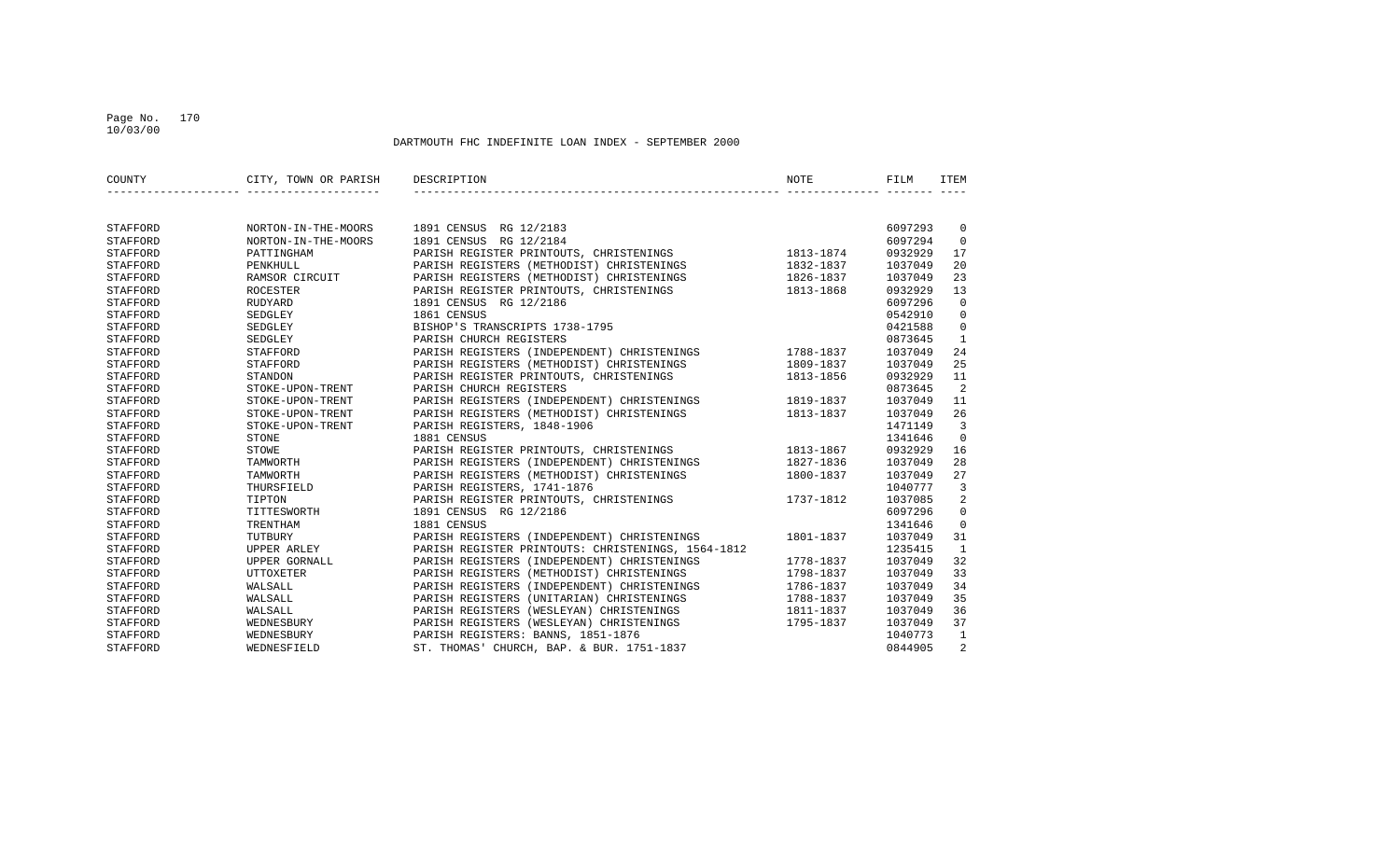#### Page No. 170 10/03/00

| COUNTY   | CITY, TOWN OR PARISH | DESCRIPTION                                        | NOTE      | FILM    | <b>ITEM</b>    |
|----------|----------------------|----------------------------------------------------|-----------|---------|----------------|
|          |                      |                                                    |           |         |                |
| STAFFORD | NORTON-IN-THE-MOORS  | 1891 CENSUS RG 12/2183                             |           | 6097293 | $\mathbf 0$    |
| STAFFORD | NORTON-IN-THE-MOORS  | 1891 CENSUS RG 12/2184                             |           | 6097294 | $\Omega$       |
| STAFFORD | PATTINGHAM           | PARISH REGISTER PRINTOUTS, CHRISTENINGS            | 1813-1874 | 0932929 | 17             |
| STAFFORD | PENKHULL             | PARISH REGISTERS (METHODIST) CHRISTENINGS          | 1832-1837 | 1037049 | 20             |
| STAFFORD | RAMSOR CIRCUIT       | PARISH REGISTERS (METHODIST) CHRISTENINGS          | 1826-1837 | 1037049 | 23             |
| STAFFORD | <b>ROCESTER</b>      | PARISH REGISTER PRINTOUTS, CHRISTENINGS            | 1813-1868 | 0932929 | 13             |
| STAFFORD | RUDYARD              | 1891 CENSUS RG 12/2186                             |           | 6097296 | $\Omega$       |
| STAFFORD | SEDGLEY              | 1861 CENSUS                                        |           | 0542910 | $\Omega$       |
| STAFFORD | SEDGLEY              | BISHOP'S TRANSCRIPTS 1738-1795                     |           | 0421588 | $\overline{0}$ |
| STAFFORD | SEDGLEY              | PARISH CHURCH REGISTERS                            |           | 0873645 | $\mathbf{1}$   |
| STAFFORD | <b>STAFFORD</b>      | PARISH REGISTERS (INDEPENDENT) CHRISTENINGS        | 1788-1837 | 1037049 | 24             |
| STAFFORD | STAFFORD             | PARISH REGISTERS (METHODIST) CHRISTENINGS          | 1809-1837 | 1037049 | 25             |
| STAFFORD | STANDON              | PARISH REGISTER PRINTOUTS, CHRISTENINGS            | 1813-1856 | 0932929 | 11             |
| STAFFORD | STOKE-UPON-TRENT     | PARISH CHURCH REGISTERS                            |           | 0873645 | -2             |
| STAFFORD | STOKE-UPON-TRENT     | PARISH REGISTERS (INDEPENDENT) CHRISTENINGS        | 1819-1837 | 1037049 | 11             |
| STAFFORD | STOKE-UPON-TRENT     | PARISH REGISTERS (METHODIST) CHRISTENINGS          | 1813-1837 | 1037049 | 26             |
| STAFFORD | STOKE-UPON-TRENT     | PARISH REGISTERS, 1848-1906                        |           | 1471149 | 3              |
| STAFFORD | <b>STONE</b>         | 1881 CENSUS                                        |           | 1341646 | $\Omega$       |
| STAFFORD | STOWE                | PARISH REGISTER PRINTOUTS, CHRISTENINGS            | 1813-1867 | 0932929 | 16             |
| STAFFORD | TAMWORTH             | PARISH REGISTERS (INDEPENDENT) CHRISTENINGS        | 1827-1836 | 1037049 | 28             |
| STAFFORD | TAMWORTH             | PARISH REGISTERS (METHODIST) CHRISTENINGS          | 1800-1837 | 1037049 | 27             |
| STAFFORD | THURSFIELD           | PARISH REGISTERS, 1741-1876                        |           | 1040777 | $\overline{3}$ |
| STAFFORD | TIPTON               | PARISH REGISTER PRINTOUTS, CHRISTENINGS            | 1737-1812 | 1037085 | 2              |
| STAFFORD | TITTESWORTH          | 1891 CENSUS RG 12/2186                             |           | 6097296 | $\mathbf 0$    |
| STAFFORD | TRENTHAM             | 1881 CENSUS                                        |           | 1341646 | $\Omega$       |
| STAFFORD | TUTBURY              | PARISH REGISTERS (INDEPENDENT) CHRISTENINGS        | 1801-1837 | 1037049 | 31             |
| STAFFORD | UPPER ARLEY          | PARISH REGISTER PRINTOUTS: CHRISTENINGS, 1564-1812 |           | 1235415 | $\mathbf{1}$   |
| STAFFORD | UPPER GORNALL        | PARISH REGISTERS (INDEPENDENT) CHRISTENINGS        | 1778-1837 | 1037049 | 32             |
| STAFFORD | <b>UTTOXETER</b>     | PARISH REGISTERS (METHODIST) CHRISTENINGS          | 1798-1837 | 1037049 | 33             |
| STAFFORD | WALSALL              | PARISH REGISTERS (INDEPENDENT) CHRISTENINGS        | 1786-1837 | 1037049 | 34             |
| STAFFORD | WALSALL              | PARISH REGISTERS (UNITARIAN) CHRISTENINGS          | 1788-1837 | 1037049 | 35             |
| STAFFORD | WALSALL              | PARISH REGISTERS (WESLEYAN) CHRISTENINGS           | 1811-1837 | 1037049 | 36             |
| STAFFORD | WEDNESBURY           | PARISH REGISTERS (WESLEYAN) CHRISTENINGS           | 1795-1837 | 1037049 | 37             |
| STAFFORD | WEDNESBURY           | PARISH REGISTERS: BANNS, 1851-1876                 |           | 1040773 | $\mathbf{1}$   |
| STAFFORD | WEDNESFIELD          | ST. THOMAS' CHURCH, BAP. & BUR. 1751-1837          |           | 0844905 | $\overline{2}$ |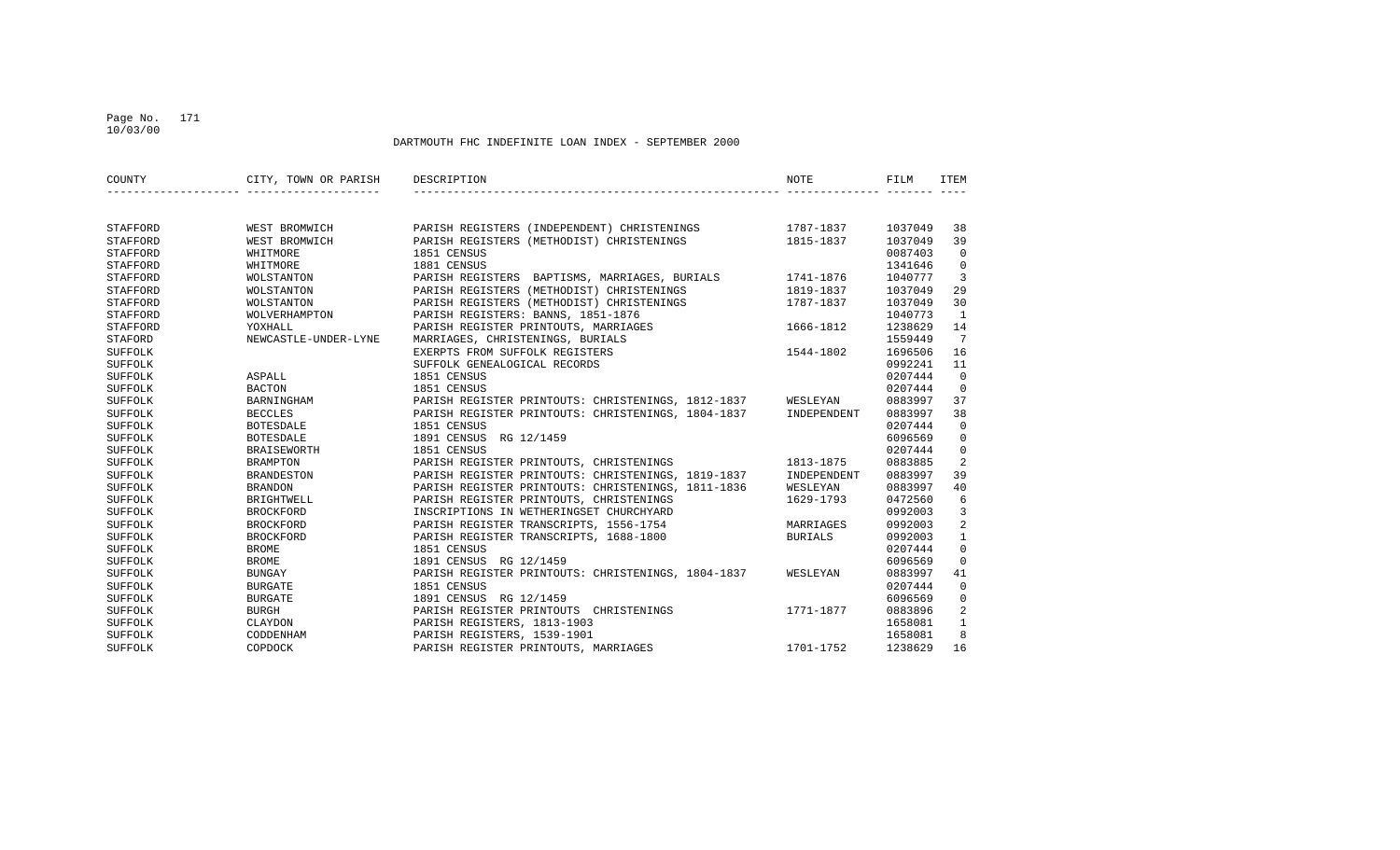## Page No. 171 10/03/00

| COUNTY   | CITY, TOWN OR PARISH | DESCRIPTION                                        | NOTE           | FILM    | ITEM           |
|----------|----------------------|----------------------------------------------------|----------------|---------|----------------|
|          |                      |                                                    |                |         |                |
| STAFFORD | WEST BROMWICH        | PARISH REGISTERS (INDEPENDENT) CHRISTENINGS        | 1787-1837      | 1037049 | 38             |
| STAFFORD | WEST BROMWICH        | PARISH REGISTERS (METHODIST) CHRISTENINGS          | 1815-1837      | 1037049 | 39             |
| STAFFORD | WHITMORE             | 1851 CENSUS                                        |                | 0087403 | $\Omega$       |
| STAFFORD | WHITMORE             | 1881 CENSUS                                        |                | 1341646 | $\mathbf 0$    |
| STAFFORD | WOLSTANTON           | PARISH REGISTERS BAPTISMS, MARRIAGES, BURIALS      | 1741-1876      | 1040777 | $\overline{3}$ |
| STAFFORD | WOLSTANTON           | PARISH REGISTERS (METHODIST) CHRISTENINGS          | 1819-1837      | 1037049 | 29             |
| STAFFORD | WOLSTANTON           | PARISH REGISTERS (METHODIST) CHRISTENINGS          | 1787-1837      | 1037049 | 30             |
| STAFFORD | WOLVERHAMPTON        | PARISH REGISTERS: BANNS, 1851-1876                 |                | 1040773 | 1              |
| STAFFORD | YOXHALL              | PARISH REGISTER PRINTOUTS, MARRIAGES               | 1666-1812      | 1238629 | 14             |
| STAFORD  | NEWCASTLE-UNDER-LYNE | MARRIAGES, CHRISTENINGS, BURIALS                   |                | 1559449 | 7              |
| SUFFOLK  |                      | EXERPTS FROM SUFFOLK REGISTERS                     | 1544-1802      | 1696506 | 16             |
| SUFFOLK  |                      | SUFFOLK GENEALOGICAL RECORDS                       |                | 0992241 | 11             |
| SUFFOLK  | ASPALL               | 1851 CENSUS                                        |                | 0207444 | $\Omega$       |
| SUFFOLK  | <b>BACTON</b>        | 1851 CENSUS                                        |                | 0207444 | $\Omega$       |
| SUFFOLK  | BARNINGHAM           | PARISH REGISTER PRINTOUTS: CHRISTENINGS, 1812-1837 | WESLEYAN       | 0883997 | 37             |
| SUFFOLK  | <b>BECCLES</b>       | PARISH REGISTER PRINTOUTS: CHRISTENINGS, 1804-1837 | INDEPENDENT    | 0883997 | 38             |
| SUFFOLK  | BOTESDALE            | 1851 CENSUS                                        |                | 0207444 | $\mathbf{0}$   |
| SUFFOLK  | <b>BOTESDALE</b>     | 1891 CENSUS RG 12/1459                             |                | 6096569 | $\mathbf{0}$   |
| SUFFOLK  | <b>BRAISEWORTH</b>   | 1851 CENSUS                                        |                | 0207444 | $\mathbf 0$    |
| SUFFOLK  | <b>BRAMPTON</b>      | PARISH REGISTER PRINTOUTS, CHRISTENINGS            | 1813-1875      | 0883885 | 2              |
| SUFFOLK  | <b>BRANDESTON</b>    | PARISH REGISTER PRINTOUTS: CHRISTENINGS, 1819-1837 | INDEPENDENT    | 0883997 | 39             |
| SUFFOLK  | <b>BRANDON</b>       | PARISH REGISTER PRINTOUTS: CHRISTENINGS, 1811-1836 | WESLEYAN       | 0883997 | 40             |
| SUFFOLK  | BRIGHTWELL           | PARISH REGISTER PRINTOUTS, CHRISTENINGS            | 1629-1793      | 0472560 | 6              |
| SUFFOLK  | <b>BROCKFORD</b>     | INSCRIPTIONS IN WETHERINGSET CHURCHYARD            |                | 0992003 | 3              |
| SUFFOLK  | <b>BROCKFORD</b>     | PARISH REGISTER TRANSCRIPTS, 1556-1754             | MARRIAGES      | 0992003 | 2              |
| SUFFOLK  | <b>BROCKFORD</b>     | PARISH REGISTER TRANSCRIPTS, 1688-1800             | <b>BURIALS</b> | 0992003 | $\mathbf{1}$   |
| SUFFOLK  | <b>BROME</b>         | 1851 CENSUS                                        |                | 0207444 | $\mathbf 0$    |
| SUFFOLK  | <b>BROME</b>         | 1891 CENSUS RG 12/1459                             |                | 6096569 | $\mathbf 0$    |
| SUFFOLK  | BUNGAY               | PARISH REGISTER PRINTOUTS: CHRISTENINGS, 1804-1837 | WESLEYAN       | 0883997 | 41             |
| SUFFOLK  | <b>BURGATE</b>       | 1851 CENSUS                                        |                | 0207444 | $\mathbf 0$    |
| SUFFOLK  | <b>BURGATE</b>       | 1891 CENSUS RG 12/1459                             |                | 6096569 | $\mathbf{0}$   |
| SUFFOLK  | <b>BURGH</b>         | PARISH REGISTER PRINTOUTS CHRISTENINGS             | 1771-1877      | 0883896 | $\overline{2}$ |
| SUFFOLK  | CLAYDON              | PARISH REGISTERS, 1813-1903                        |                | 1658081 | $\mathbf{1}$   |
| SUFFOLK  | CODDENHAM            | PARISH REGISTERS, 1539-1901                        |                | 1658081 | 8              |
| SUFFOLK  | COPDOCK              | PARISH REGISTER PRINTOUTS, MARRIAGES               | 1701-1752      | 1238629 | 16             |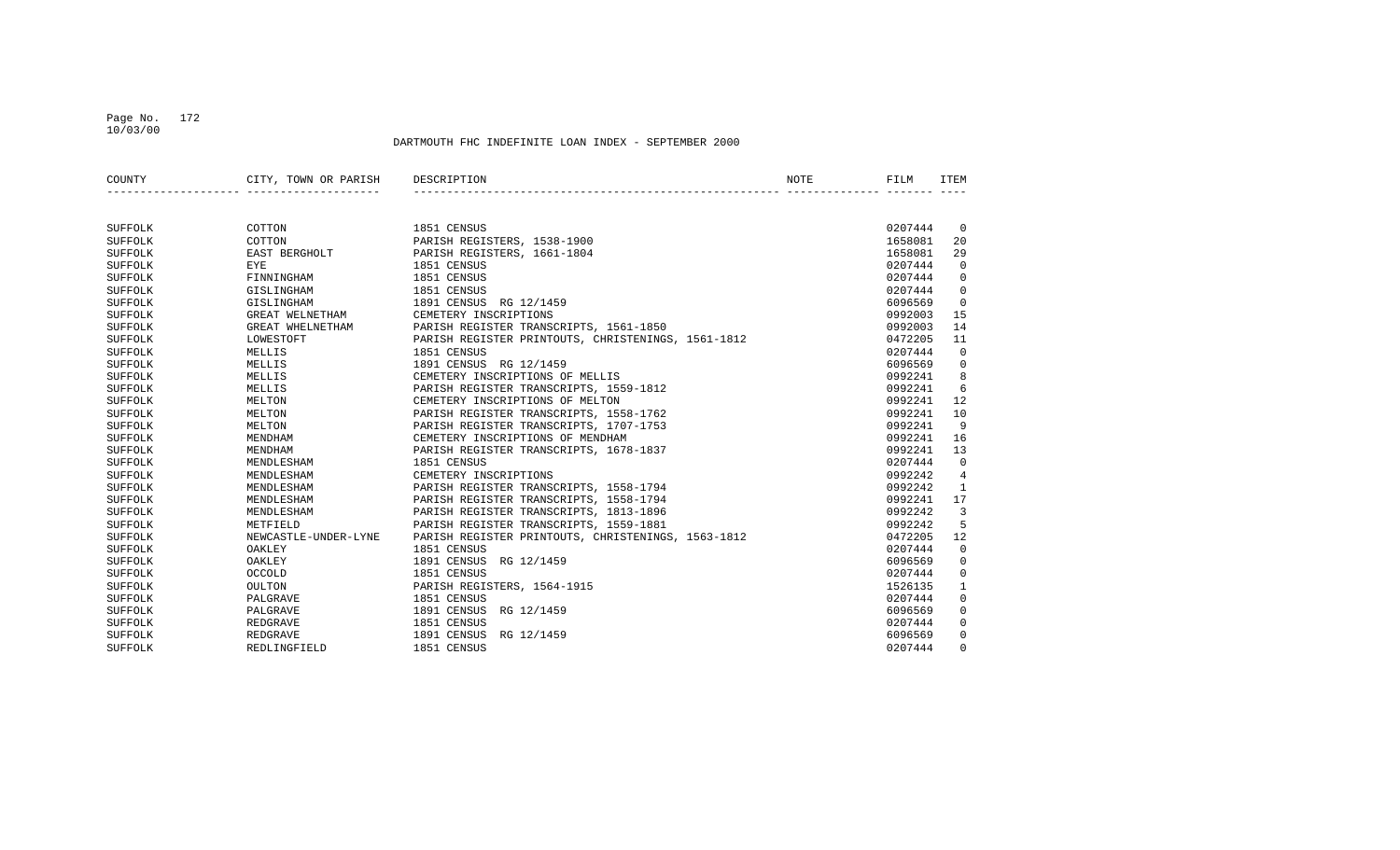#### Page No. 172 10/03/00

| COUNTY         | CITY, TOWN OR PARISH | DESCRIPTION                                        | NOTE | FILM    | ITEM           |
|----------------|----------------------|----------------------------------------------------|------|---------|----------------|
|                |                      |                                                    |      |         |                |
| SUFFOLK        | COTTON               | 1851 CENSUS                                        |      | 0207444 | $\overline{0}$ |
| <b>SUFFOLK</b> | COTTON               | PARISH REGISTERS, 1538-1900                        |      | 1658081 | 20             |
| SUFFOLK        | EAST BERGHOLT        | PARISH REGISTERS, 1661-1804                        |      | 1658081 | 29             |
| SUFFOLK        | <b>EYE</b>           | 1851 CENSUS                                        |      | 0207444 | $\mathbf 0$    |
| SUFFOLK        | FINNINGHAM           | 1851 CENSUS                                        |      | 0207444 | $\mathbf 0$    |
| SUFFOLK        | GISLINGHAM           | 1851 CENSUS                                        |      | 0207444 | $\mathbf 0$    |
| SUFFOLK        | GISLINGHAM           | 1891 CENSUS RG 12/1459                             |      | 6096569 | $\Omega$       |
| SUFFOLK        | GREAT WELNETHAM      | CEMETERY INSCRIPTIONS                              |      | 0992003 | 15             |
| SUFFOLK        | GREAT WHELNETHAM     | PARISH REGISTER TRANSCRIPTS, 1561-1850             |      | 0992003 | 14             |
| SUFFOLK        | LOWESTOFT            | PARISH REGISTER PRINTOUTS, CHRISTENINGS, 1561-1812 |      | 0472205 | 11             |
| SUFFOLK        | MELLIS               | 1851 CENSUS                                        |      | 0207444 | $\mathbf 0$    |
| SUFFOLK        | MELLIS               | 1891 CENSUS RG 12/1459                             |      | 6096569 | $\mathbf 0$    |
| SUFFOLK        | MELLIS               | CEMETERY INSCRIPTIONS OF MELLIS                    |      | 0992241 | 8              |
| SUFFOLK        | MELLIS               | PARISH REGISTER TRANSCRIPTS, 1559-1812             |      | 0992241 | 6              |
| SUFFOLK        | MELTON               | CEMETERY INSCRIPTIONS OF MELTON                    |      | 0992241 | 12             |
| SUFFOLK        | MELTON               | PARISH REGISTER TRANSCRIPTS, 1558-1762             |      | 0992241 | 10             |
| SUFFOLK        | MELTON               | PARISH REGISTER TRANSCRIPTS, 1707-1753             |      | 0992241 | 9              |
| SUFFOLK        | MENDHAM              | CEMETERY INSCRIPTIONS OF MENDHAM                   |      | 0992241 | 16             |
| SUFFOLK        | MENDHAM              | PARISH REGISTER TRANSCRIPTS, 1678-1837             |      | 0992241 | 13             |
| SUFFOLK        | MENDLESHAM           | 1851 CENSUS                                        |      | 0207444 | $\Omega$       |
| SUFFOLK        | MENDLESHAM           | CEMETERY INSCRIPTIONS                              |      | 0992242 | 4              |
| SUFFOLK        | MENDLESHAM           | PARISH REGISTER TRANSCRIPTS, 1558-1794             |      | 0992242 | 1              |
| SUFFOLK        | MENDLESHAM           | PARISH REGISTER TRANSCRIPTS, 1558-1794             |      | 0992241 | 17             |
| SUFFOLK        | MENDLESHAM           | PARISH REGISTER TRANSCRIPTS, 1813-1896             |      | 0992242 | 3              |
| SUFFOLK        | METFIELD             | PARISH REGISTER TRANSCRIPTS, 1559-1881             |      | 0992242 | 5              |
| SUFFOLK        | NEWCASTLE-UNDER-LYNE | PARISH REGISTER PRINTOUTS, CHRISTENINGS, 1563-1812 |      | 0472205 | 12             |
| SUFFOLK        | OAKLEY               | 1851 CENSUS                                        |      | 0207444 | 0              |
| SUFFOLK        | OAKLEY               | 1891 CENSUS RG 12/1459                             |      | 6096569 | $\mathbf 0$    |
| SUFFOLK        | OCCOLD               | 1851 CENSUS                                        |      | 0207444 | $\mathbf 0$    |
| SUFFOLK        | OULTON               | PARISH REGISTERS, 1564-1915                        |      | 1526135 | 1              |
| SUFFOLK        | PALGRAVE             | 1851 CENSUS                                        |      | 0207444 | $\mathbf 0$    |
| SUFFOLK        | PALGRAVE             | 1891 CENSUS<br>RG 12/1459                          |      | 6096569 | 0              |
| SUFFOLK        | REDGRAVE             | 1851 CENSUS                                        |      | 0207444 | 0              |
| SUFFOLK        | <b>REDGRAVE</b>      | 1891 CENSUS<br>RG 12/1459                          |      | 6096569 | $\mathbf 0$    |
| SUFFOLK        | REDLINGFIELD         | 1851 CENSUS                                        |      | 0207444 | $\Omega$       |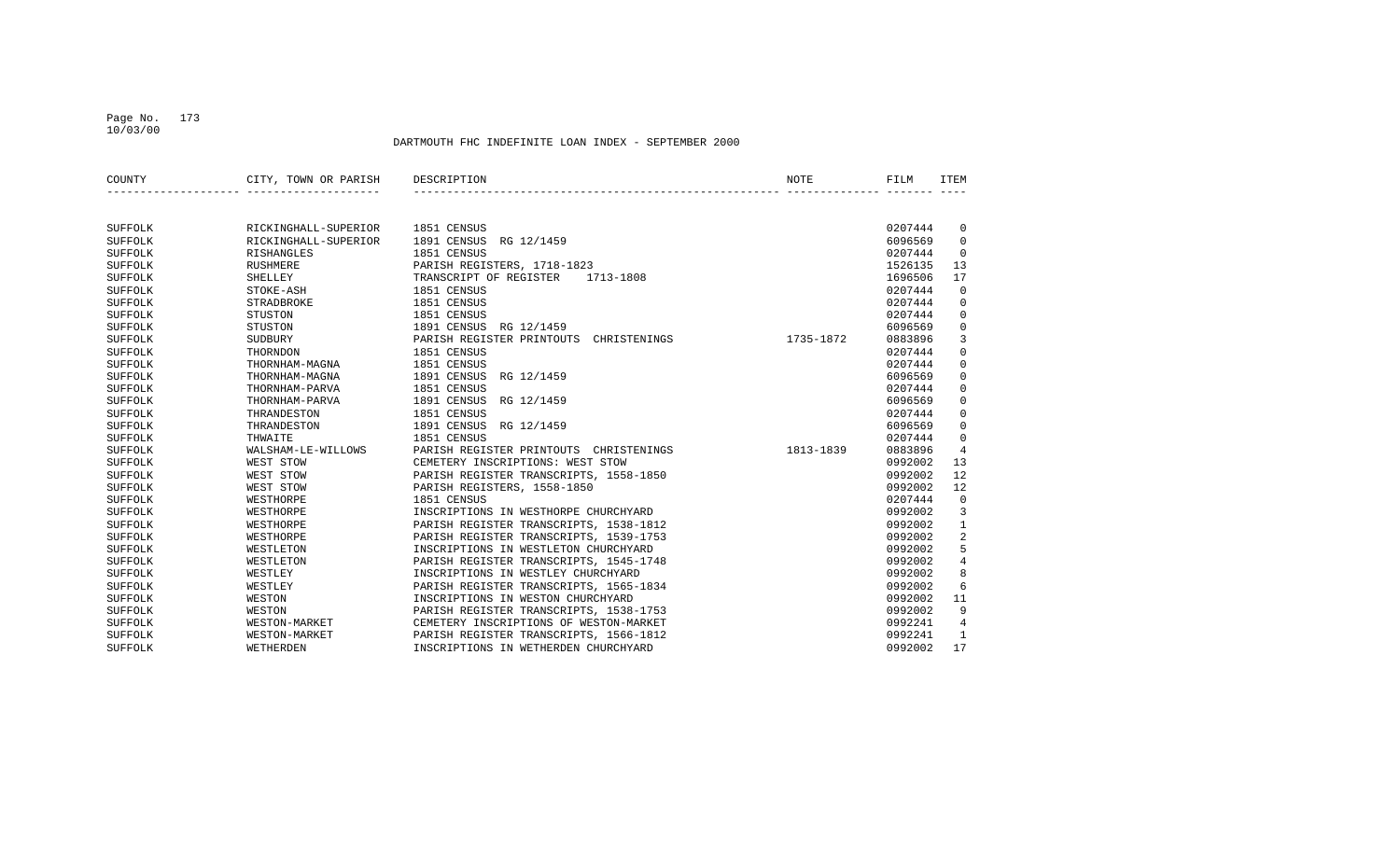## Page No. 173 10/03/00

| COUNTY         | CITY, TOWN OR PARISH | DESCRIPTION                               | NOTE      | FILM    | <b>ITEM</b>    |
|----------------|----------------------|-------------------------------------------|-----------|---------|----------------|
|                |                      |                                           |           |         |                |
| SUFFOLK        | RICKINGHALL-SUPERIOR | 1851 CENSUS                               |           | 0207444 | 0              |
| SUFFOLK        | RICKINGHALL-SUPERIOR | 1891 CENSUS<br>RG 12/1459                 |           | 6096569 | 0              |
| SUFFOLK        | RISHANGLES           | 1851 CENSUS                               |           | 0207444 | $\Omega$       |
| SUFFOLK        | <b>RUSHMERE</b>      | PARISH REGISTERS, 1718-1823               |           | 1526135 | 13             |
| SUFFOLK        | <b>SHELLEY</b>       | TRANSCRIPT OF REGISTER<br>1713-1808       |           | 1696506 | 17             |
| SUFFOLK        | STOKE-ASH            | 1851 CENSUS                               |           | 0207444 | $\mathbf 0$    |
| SUFFOLK        | STRADBROKE           | 1851 CENSUS                               |           | 0207444 | 0              |
| SUFFOLK        | STUSTON              | 1851 CENSUS                               |           | 0207444 | $\mathbf 0$    |
| SUFFOLK        | STUSTON              | 1891 CENSUS RG 12/1459                    |           | 6096569 | $\mathbf 0$    |
| SUFFOLK        | SUDBURY              | PARISH REGISTER PRINTOUTS<br>CHRISTENINGS | 1735-1872 | 0883896 | 3              |
| SUFFOLK        | THORNDON             | 1851 CENSUS                               |           | 0207444 | $\mathbf 0$    |
| SUFFOLK        | THORNHAM-MAGNA       | 1851 CENSUS                               |           | 0207444 | $\mathbf 0$    |
| SUFFOLK        | THORNHAM-MAGNA       | 1891 CENSUS<br>RG 12/1459                 |           | 6096569 | $\mathsf 0$    |
| SUFFOLK        | THORNHAM-PARVA       | 1851 CENSUS                               |           | 0207444 | $\mathbf 0$    |
| SUFFOLK        | THORNHAM-PARVA       | 1891 CENSUS<br>RG 12/1459                 |           | 6096569 | $\mathbf 0$    |
| SUFFOLK        | THRANDESTON          | 1851 CENSUS                               |           | 0207444 | $\mathsf 0$    |
| SUFFOLK        | THRANDESTON          | 1891 CENSUS<br>RG 12/1459                 |           | 6096569 | $\mathbf 0$    |
| SUFFOLK        | THWAITE              | 1851 CENSUS                               |           | 0207444 | $\mathbf 0$    |
| SUFFOLK        | WALSHAM-LE-WILLOWS   | PARISH REGISTER PRINTOUTS CHRISTENINGS    | 1813-1839 | 0883896 | $\overline{4}$ |
| SUFFOLK        | WEST STOW            | CEMETERY INSCRIPTIONS: WEST STOW          |           | 0992002 | 13             |
| SUFFOLK        | WEST STOW            | PARISH REGISTER TRANSCRIPTS, 1558-1850    |           | 0992002 | 12             |
| SUFFOLK        | WEST STOW            | PARISH REGISTERS, 1558-1850               |           | 0992002 | 12             |
| SUFFOLK        | WESTHORPE            | 1851 CENSUS                               |           | 0207444 | $\mathbf 0$    |
| SUFFOLK        | WESTHORPE            | INSCRIPTIONS IN WESTHORPE CHURCHYARD      |           | 0992002 | 3              |
| SUFFOLK        | WESTHORPE            | PARISH REGISTER TRANSCRIPTS, 1538-1812    |           | 0992002 | $\mathbf{1}$   |
| SUFFOLK        | WESTHORPE            | PARISH REGISTER TRANSCRIPTS, 1539-1753    |           | 0992002 | $\overline{2}$ |
| SUFFOLK        | WESTLETON            | INSCRIPTIONS IN WESTLETON CHURCHYARD      |           | 0992002 | 5              |
| SUFFOLK        | WESTLETON            | PARISH REGISTER TRANSCRIPTS, 1545-1748    |           | 0992002 | $\,4$          |
| SUFFOLK        | WESTLEY              | INSCRIPTIONS IN WESTLEY CHURCHYARD        |           | 0992002 | 8              |
| <b>SUFFOLK</b> | WESTLEY              | PARISH REGISTER TRANSCRIPTS, 1565-1834    |           | 0992002 | 6              |
| SUFFOLK        | WESTON               | INSCRIPTIONS IN WESTON CHURCHYARD         |           | 0992002 | 11             |
| SUFFOLK        | WESTON               | PARISH REGISTER TRANSCRIPTS, 1538-1753    |           | 0992002 | 9              |
| SUFFOLK        | WESTON-MARKET        | CEMETERY INSCRIPTIONS OF WESTON-MARKET    |           | 0992241 | 4              |
| SUFFOLK        | WESTON-MARKET        | PARISH REGISTER TRANSCRIPTS, 1566-1812    |           | 0992241 | 1              |
| SUFFOLK        | WETHERDEN            | INSCRIPTIONS IN WETHERDEN CHURCHYARD      |           | 0992002 | 17             |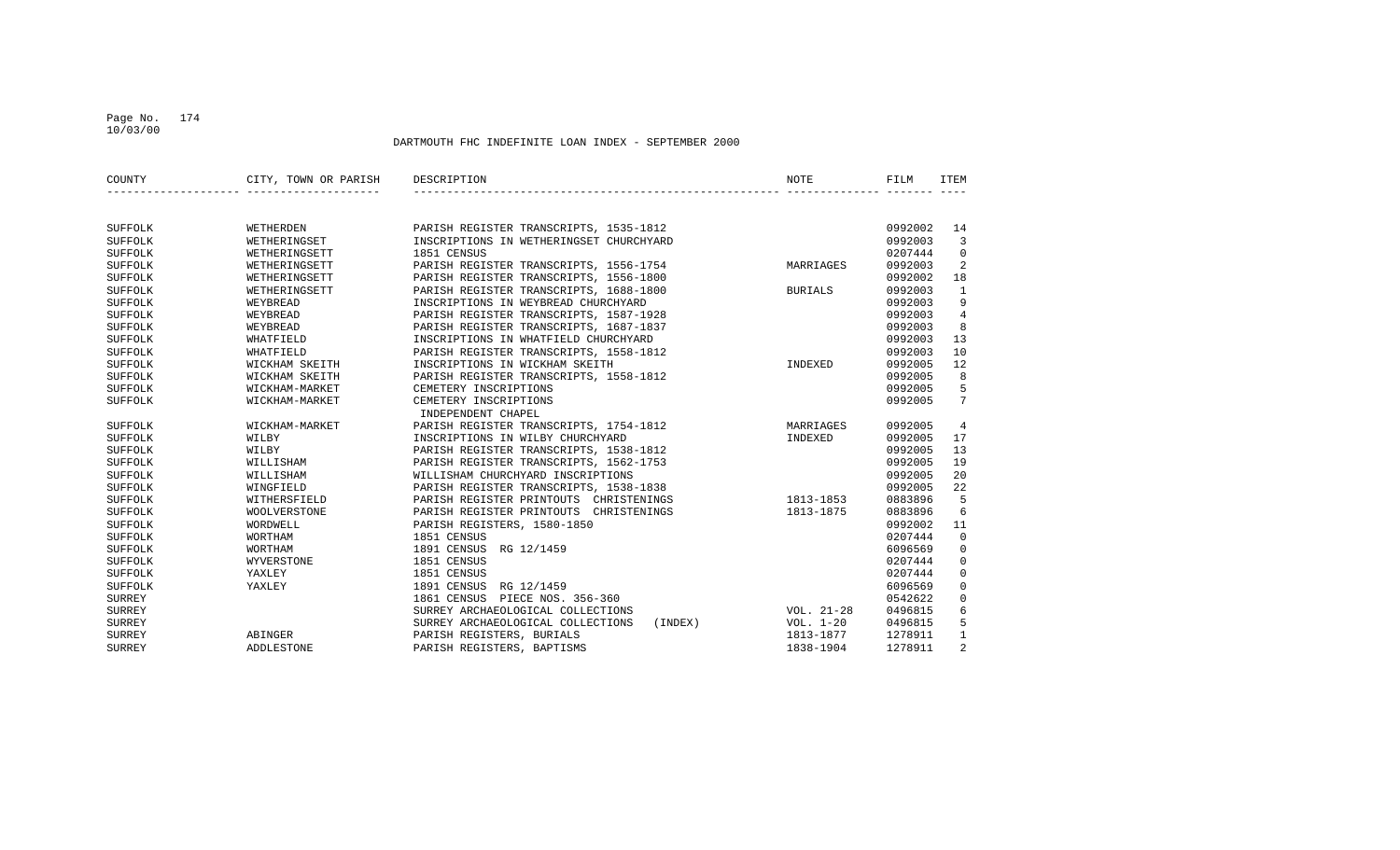## Page No. 174 10/03/00

| COUNTY         | CITY, TOWN OR PARISH | DESCRIPTION                                  | NOTE           | FILM    | <b>ITEM</b>     |
|----------------|----------------------|----------------------------------------------|----------------|---------|-----------------|
|                |                      |                                              |                |         |                 |
| SUFFOLK        | WETHERDEN            | PARISH REGISTER TRANSCRIPTS, 1535-1812       |                | 0992002 | 14              |
| SUFFOLK        | WETHERINGSET         | INSCRIPTIONS IN WETHERINGSET CHURCHYARD      |                | 0992003 | $\overline{3}$  |
| <b>SUFFOLK</b> | WETHERINGSETT        | 1851 CENSUS                                  |                | 0207444 | $\mathbf 0$     |
| SUFFOLK        | WETHERINGSETT        | PARISH REGISTER TRANSCRIPTS, 1556-1754       | MARRIAGES      | 0992003 | 2               |
| <b>SUFFOLK</b> | WETHERINGSETT        | PARISH REGISTER TRANSCRIPTS, 1556-1800       |                | 0992002 | 18              |
| SUFFOLK        | WETHERINGSETT        | PARISH REGISTER TRANSCRIPTS, 1688-1800       | <b>BURIALS</b> | 0992003 | 1               |
| SUFFOLK        | WEYBREAD             | INSCRIPTIONS IN WEYBREAD CHURCHYARD          |                | 0992003 | 9               |
| SUFFOLK        | WEYBREAD             | PARISH REGISTER TRANSCRIPTS, 1587-1928       |                | 0992003 | $\overline{4}$  |
| SUFFOLK        | WEYBREAD             | PARISH REGISTER TRANSCRIPTS, 1687-1837       |                | 0992003 | 8               |
| SUFFOLK        | WHATFIELD            | INSCRIPTIONS IN WHATFIELD CHURCHYARD         |                | 0992003 | 13              |
| <b>SUFFOLK</b> | WHATFIELD            | PARISH REGISTER TRANSCRIPTS, 1558-1812       |                | 0992003 | 10              |
| SUFFOLK        | WICKHAM SKEITH       | INSCRIPTIONS IN WICKHAM SKEITH               | INDEXED        | 0992005 | 12              |
| SUFFOLK        | WICKHAM SKEITH       | PARISH REGISTER TRANSCRIPTS, 1558-1812       |                | 0992005 | 8               |
| SUFFOLK        | WICKHAM-MARKET       | CEMETERY INSCRIPTIONS                        |                | 0992005 | 5               |
| SUFFOLK        | WICKHAM-MARKET       | CEMETERY INSCRIPTIONS                        |                | 0992005 | $7\overline{ }$ |
|                |                      | INDEPENDENT CHAPEL                           |                |         |                 |
| SUFFOLK        | WICKHAM-MARKET       | PARISH REGISTER TRANSCRIPTS, 1754-1812       | MARRIAGES      | 0992005 | 4               |
| SUFFOLK        | WILBY                | INSCRIPTIONS IN WILBY CHURCHYARD             | INDEXED        | 0992005 | 17              |
| SUFFOLK        | WILBY                | PARISH REGISTER TRANSCRIPTS, 1538-1812       |                | 0992005 | 13              |
| SUFFOLK        | WILLISHAM            | PARISH REGISTER TRANSCRIPTS, 1562-1753       |                | 0992005 | 19              |
| SUFFOLK        | WILLISHAM            | WILLISHAM CHURCHYARD INSCRIPTIONS            |                | 0992005 | 20              |
| SUFFOLK        | WINGFIELD            | PARISH REGISTER TRANSCRIPTS, 1538-1838       |                | 0992005 | 22              |
| SUFFOLK        | WITHERSFIELD         | PARISH REGISTER PRINTOUTS CHRISTENINGS       | 1813-1853      | 0883896 | 5               |
| SUFFOLK        | <b>WOOLVERSTONE</b>  | PARISH REGISTER PRINTOUTS CHRISTENINGS       | 1813-1875      | 0883896 | 6               |
| SUFFOLK        | WORDWELL             | PARISH REGISTERS, 1580-1850                  |                | 0992002 | 11              |
| SUFFOLK        | WORTHAM              | 1851 CENSUS                                  |                | 0207444 | $\mathbf 0$     |
| SUFFOLK        | WORTHAM              | 1891 CENSUS RG 12/1459                       |                | 6096569 | 0               |
| SUFFOLK        | WYVERSTONE           | 1851 CENSUS                                  |                | 0207444 | $\mathbf 0$     |
| <b>SUFFOLK</b> | YAXLEY               | 1851 CENSUS                                  |                | 0207444 | $\mathbf 0$     |
| <b>SUFFOLK</b> | YAXLEY               | 1891 CENSUS<br>RG 12/1459                    |                | 6096569 | $\mathbf 0$     |
| <b>SURREY</b>  |                      | 1861 CENSUS PIECE NOS. 356-360               |                | 0542622 | $\mathbf 0$     |
| <b>SURREY</b>  |                      | SURREY ARCHAEOLOGICAL COLLECTIONS            | VOL. 21-28     | 0496815 | 6               |
| <b>SURREY</b>  |                      | SURREY ARCHAEOLOGICAL COLLECTIONS<br>(INDEX) | VOL. 1-20      | 0496815 | 5               |
| <b>SURREY</b>  | ABINGER              | PARISH REGISTERS, BURIALS                    | 1813-1877      | 1278911 | $\mathbf{1}$    |
| <b>SURREY</b>  | <b>ADDLESTONE</b>    | PARISH REGISTERS, BAPTISMS                   | 1838-1904      | 1278911 | 2               |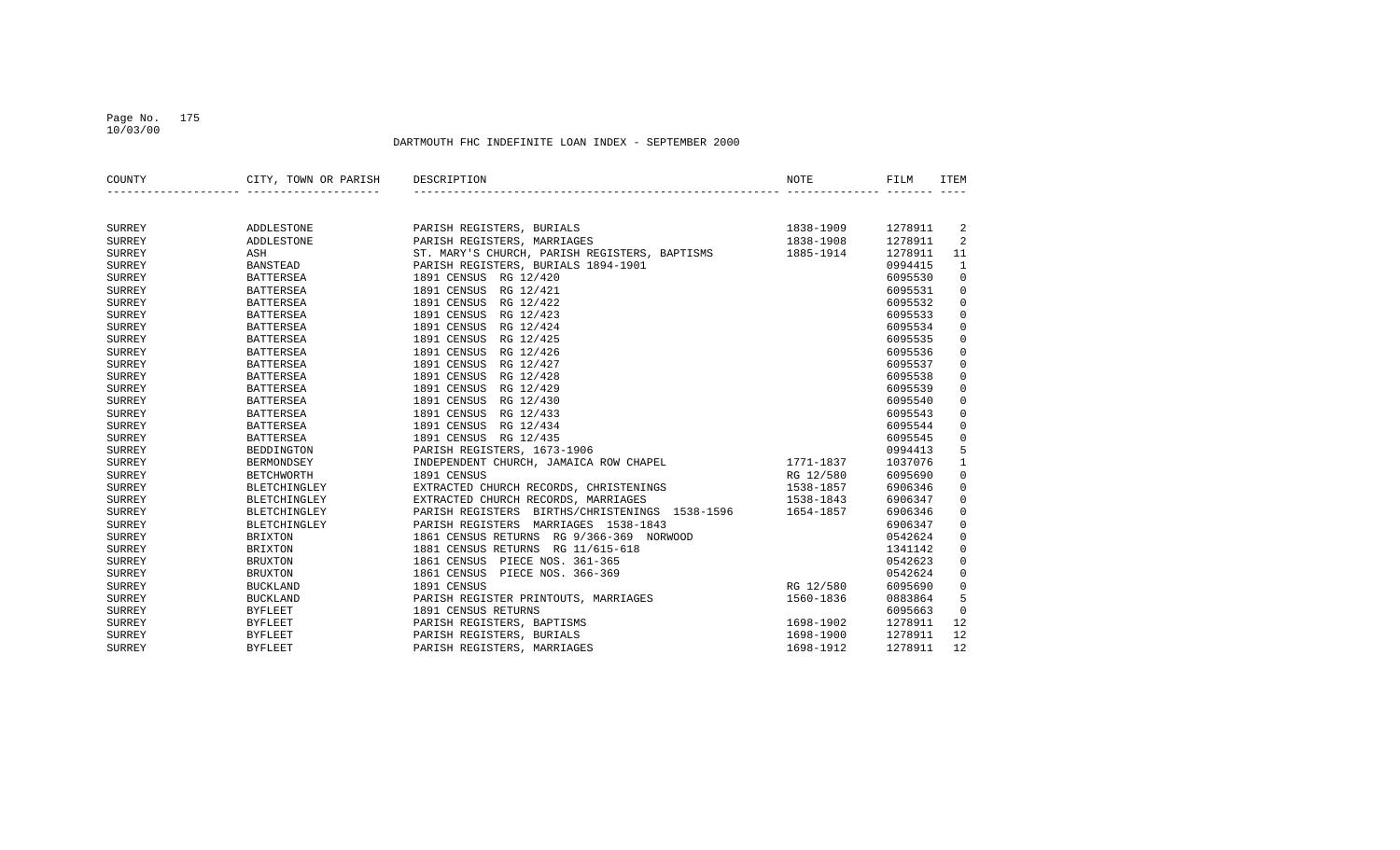## Page No. 175 10/03/00

| COUNTY        | CITY, TOWN OR PARISH | DESCRIPTION                                    | NOTE      | FILM    | <b>ITEM</b>         |
|---------------|----------------------|------------------------------------------------|-----------|---------|---------------------|
|               |                      |                                                |           |         |                     |
| SURREY        | <b>ADDLESTONE</b>    | PARISH REGISTERS, BURIALS                      | 1838-1909 | 1278911 | 2                   |
| <b>SURREY</b> | <b>ADDLESTONE</b>    | PARISH REGISTERS, MARRIAGES                    | 1838-1908 | 1278911 | $\overline{a}$      |
| <b>SURREY</b> | ASH                  | ST. MARY'S CHURCH, PARISH REGISTERS, BAPTISMS  | 1885-1914 | 1278911 | 11                  |
| <b>SURREY</b> | <b>BANSTEAD</b>      | PARISH REGISTERS, BURIALS 1894-1901            |           | 0994415 | $\mathbf{1}$        |
| SURREY        | <b>BATTERSEA</b>     | 1891 CENSUS RG 12/420                          |           | 6095530 | $\mathbf 0$         |
| <b>SURREY</b> | <b>BATTERSEA</b>     | 1891 CENSUS<br>RG 12/421                       |           | 6095531 | $\mathbf 0$         |
| <b>SURREY</b> | <b>BATTERSEA</b>     | 1891 CENSUS<br>RG 12/422                       |           | 6095532 | $\mathbf 0$         |
| <b>SURREY</b> | <b>BATTERSEA</b>     | RG 12/423<br>1891 CENSUS                       |           | 6095533 | $\mathbf 0$         |
| <b>SURREY</b> | <b>BATTERSEA</b>     | 1891 CENSUS<br>RG 12/424                       |           | 6095534 | $\mathbf 0$         |
| <b>SURREY</b> | <b>BATTERSEA</b>     | 1891 CENSUS<br>RG 12/425                       |           | 6095535 | $\mathbf 0$         |
| <b>SURREY</b> | <b>BATTERSEA</b>     | RG 12/426<br>1891 CENSUS                       |           | 6095536 | $\mathbf 0$         |
| <b>SURREY</b> | <b>BATTERSEA</b>     | 1891 CENSUS<br>RG 12/427                       |           | 6095537 | $\mathbf 0$         |
| <b>SURREY</b> | <b>BATTERSEA</b>     | 1891 CENSUS<br>RG 12/428                       |           | 6095538 | $\mathsf 0$         |
| <b>SURREY</b> | <b>BATTERSEA</b>     | 1891 CENSUS<br>RG 12/429                       |           | 6095539 | $\mathsf 0$         |
| <b>SURREY</b> | <b>BATTERSEA</b>     | 1891 CENSUS<br>RG 12/430                       |           | 6095540 | $\mathsf 0$         |
| <b>SURREY</b> | <b>BATTERSEA</b>     | 1891 CENSUS<br>RG 12/433                       |           | 6095543 | $\mathsf{O}\xspace$ |
| <b>SURREY</b> | <b>BATTERSEA</b>     | 1891 CENSUS<br>RG 12/434                       |           | 6095544 | $\mathbf 0$         |
| <b>SURREY</b> | <b>BATTERSEA</b>     | 1891 CENSUS<br>RG 12/435                       |           | 6095545 | $\mathbf 0$         |
| <b>SURREY</b> | <b>BEDDINGTON</b>    | PARISH REGISTERS, 1673-1906                    |           | 0994413 | 5                   |
| <b>SURREY</b> | BERMONDSEY           | INDEPENDENT CHURCH, JAMAICA ROW CHAPEL         | 1771-1837 | 1037076 | $\mathbf{1}$        |
| <b>SURREY</b> | <b>BETCHWORTH</b>    | 1891 CENSUS                                    | RG 12/580 | 6095690 | $\mathsf{O}\xspace$ |
| <b>SURREY</b> | <b>BLETCHINGLEY</b>  | EXTRACTED CHURCH RECORDS, CHRISTENINGS         | 1538-1857 | 6906346 | $\mathsf 0$         |
| <b>SURREY</b> | <b>BLETCHINGLEY</b>  | EXTRACTED CHURCH RECORDS, MARRIAGES            | 1538-1843 | 6906347 | $\mathbf 0$         |
| <b>SURREY</b> | <b>BLETCHINGLEY</b>  | PARISH REGISTERS BIRTHS/CHRISTENINGS 1538-1596 | 1654-1857 | 6906346 | $\mathbf 0$         |
| <b>SURREY</b> | <b>BLETCHINGLEY</b>  | PARISH REGISTERS MARRIAGES 1538-1843           |           | 6906347 | $\mathsf{O}\xspace$ |
| <b>SURREY</b> | <b>BRIXTON</b>       | 1861 CENSUS RETURNS RG 9/366-369 NORWOOD       |           | 0542624 | $\mathsf 0$         |
| <b>SURREY</b> | <b>BRIXTON</b>       | 1881 CENSUS RETURNS RG 11/615-618              |           | 1341142 | $\mathbf 0$         |
| <b>SURREY</b> | <b>BRUXTON</b>       | 1861 CENSUS<br>PIECE NOS. 361-365              |           | 0542623 | $\mathbf 0$         |
| <b>SURREY</b> | <b>BRUXTON</b>       | 1861 CENSUS<br>PIECE NOS. 366-369              |           | 0542624 | $\mathbf 0$         |
| <b>SURREY</b> | <b>BUCKLAND</b>      | 1891 CENSUS                                    | RG 12/580 | 6095690 | $\mathsf 0$         |
| <b>SURREY</b> | <b>BUCKLAND</b>      | PARISH REGISTER PRINTOUTS, MARRIAGES           | 1560-1836 | 0883864 | 5                   |
| <b>SURREY</b> | <b>BYFLEET</b>       | 1891 CENSUS RETURNS                            |           | 6095663 | $\mathbf 0$         |
| <b>SURREY</b> | <b>BYFLEET</b>       | PARISH REGISTERS, BAPTISMS                     | 1698-1902 | 1278911 | 12                  |
| <b>SURREY</b> | <b>BYFLEET</b>       | PARISH REGISTERS, BURIALS                      | 1698-1900 | 1278911 | 12                  |
| <b>SURREY</b> | <b>BYFLEET</b>       | PARISH REGISTERS, MARRIAGES                    | 1698-1912 | 1278911 | 12                  |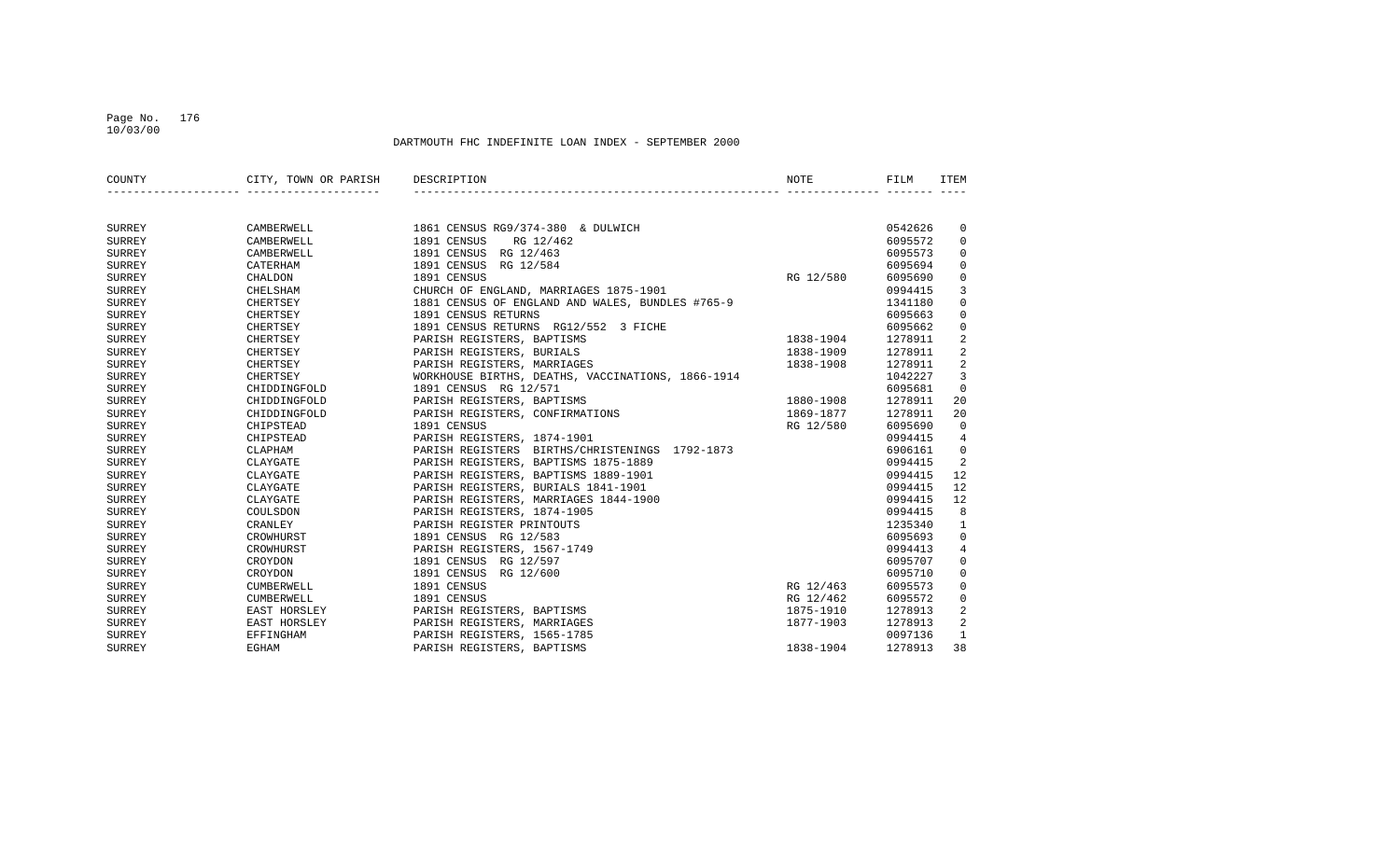## Page No. 176 10/03/00

| COUNTY        | CITY, TOWN OR PARISH | DESCRIPTION                                       | NOTE          | FILM    | ITEM                    |
|---------------|----------------------|---------------------------------------------------|---------------|---------|-------------------------|
|               |                      |                                                   |               |         |                         |
| SURREY        | CAMBERWELL           | 1861 CENSUS RG9/374-380 & DULWICH                 |               | 0542626 | 0                       |
| <b>SURREY</b> | CAMBERWELL           | 1891 CENSUS<br>RG 12/462                          |               | 6095572 | $\mathbf 0$             |
| SURREY        | CAMBERWELL           | 1891 CENSUS RG 12/463                             |               | 6095573 | $\mathbf 0$             |
| <b>SURREY</b> | CATERHAM             | 1891 CENSUS RG 12/584                             |               | 6095694 | $\mathbf 0$             |
| <b>SURREY</b> | CHALDON              | 1891 CENSUS                                       | RG 12/580     | 6095690 | $\mathbf 0$             |
| <b>SURREY</b> | CHELSHAM             | CHURCH OF ENGLAND, MARRIAGES 1875-1901            |               | 0994415 | 3                       |
| SURREY        | CHERTSEY             | 1881 CENSUS OF ENGLAND AND WALES, BUNDLES #765-9  |               | 1341180 | 0                       |
| <b>SURREY</b> | CHERTSEY             | 1891 CENSUS RETURNS                               |               | 6095663 | 0                       |
| <b>SURREY</b> | CHERTSEY             | 1891 CENSUS RETURNS RG12/552 3 FICHE              |               | 6095662 | 0                       |
| SURREY        | CHERTSEY             | PARISH REGISTERS, BAPTISMS                        | $1838 - 1904$ | 1278911 | 2                       |
| SURREY        | CHERTSEY             | PARISH REGISTERS, BURIALS                         | 1838-1909     | 1278911 | 2                       |
| <b>SURREY</b> | CHERTSEY             | PARISH REGISTERS, MARRIAGES                       | 1838-1908     | 1278911 | $\overline{\mathbf{c}}$ |
| <b>SURREY</b> | CHERTSEY             | WORKHOUSE BIRTHS, DEATHS, VACCINATIONS, 1866-1914 |               | 1042227 | 3                       |
| SURREY        | CHIDDINGFOLD         | 1891 CENSUS RG 12/571                             |               | 6095681 | $\mathbf 0$             |
| <b>SURREY</b> | CHIDDINGFOLD         | PARISH REGISTERS, BAPTISMS                        | 1880-1908     | 1278911 | 20                      |
| SURREY        | CHIDDINGFOLD         | PARISH REGISTERS, CONFIRMATIONS                   | 1869-1877     | 1278911 | 20                      |
| SURREY        | CHIPSTEAD            | 1891 CENSUS                                       | RG 12/580     | 6095690 | $\mathbf 0$             |
| <b>SURREY</b> | CHIPSTEAD            | PARISH REGISTERS, 1874-1901                       |               | 0994415 | 4                       |
| <b>SURREY</b> | CLAPHAM              | PARISH REGISTERS BIRTHS/CHRISTENINGS 1792-1873    |               | 6906161 | $\Omega$                |
| <b>SURREY</b> | CLAYGATE             | PARISH REGISTERS, BAPTISMS 1875-1889              |               | 0994415 | 2                       |
| SURREY        | CLAYGATE             | PARISH REGISTERS, BAPTISMS 1889-1901              |               | 0994415 | 12                      |
| <b>SURREY</b> | CLAYGATE             | PARISH REGISTERS, BURIALS 1841-1901               |               | 0994415 | 12                      |
| <b>SURREY</b> | CLAYGATE             | PARISH REGISTERS, MARRIAGES 1844-1900             |               | 0994415 | 12                      |
| <b>SURREY</b> | COULSDON             | PARISH REGISTERS, 1874-1905                       |               | 0994415 | 8                       |
| <b>SURREY</b> | CRANLEY              | PARISH REGISTER PRINTOUTS                         |               | 1235340 | 1                       |
| SURREY        | CROWHURST            | 1891 CENSUS RG 12/583                             |               | 6095693 | $\mathbf 0$             |
| <b>SURREY</b> | CROWHURST            | PARISH REGISTERS, 1567-1749                       |               | 0994413 | 4                       |
| <b>SURREY</b> | CROYDON              | 1891 CENSUS RG 12/597                             |               | 6095707 | $\mathbf 0$             |
| <b>SURREY</b> | CROYDON              | 1891 CENSUS RG 12/600                             |               | 6095710 | $\mathbf 0$             |
| SURREY        | CUMBERWELL           | 1891 CENSUS                                       | RG 12/463     | 6095573 | $\mathbf 0$             |
| SURREY        | CUMBERWELL           | 1891 CENSUS                                       | RG 12/462     | 6095572 | 0                       |
| SURREY        | EAST HORSLEY         | PARISH REGISTERS, BAPTISMS                        | 1875-1910     | 1278913 | 2                       |
| SURREY        | EAST HORSLEY         | PARISH REGISTERS, MARRIAGES                       | 1877-1903     | 1278913 | 2                       |
| <b>SURREY</b> | EFFINGHAM            | PARISH REGISTERS, 1565-1785                       |               | 0097136 | $\mathbf{1}$            |
| <b>SURREY</b> | EGHAM                | PARISH REGISTERS, BAPTISMS                        | 1838-1904     | 1278913 | 38                      |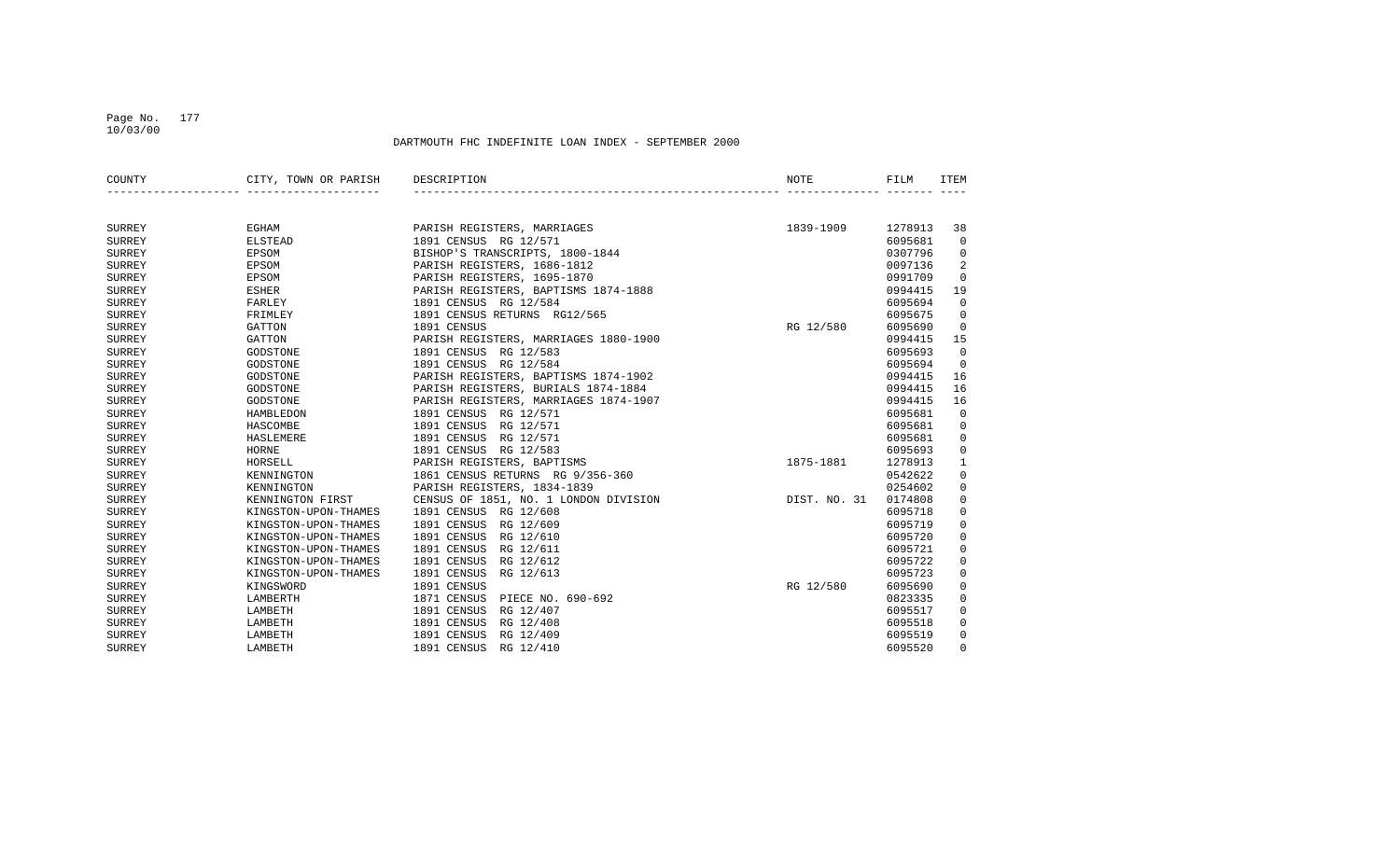## Page No. 177 10/03/00

| COUNTY        | CITY, TOWN OR PARISH | DESCRIPTION                           | NOTE         | FILM    | <b>ITEM</b> |
|---------------|----------------------|---------------------------------------|--------------|---------|-------------|
|               |                      |                                       |              |         |             |
|               |                      |                                       |              |         |             |
| SURREY        | EGHAM                | PARISH REGISTERS, MARRIAGES           | 1839-1909    | 1278913 | 38          |
| SURREY        | <b>ELSTEAD</b>       | 1891 CENSUS RG 12/571                 |              | 6095681 | $\mathbf 0$ |
| <b>SURREY</b> | EPSOM                | BISHOP'S TRANSCRIPTS, 1800-1844       |              | 0307796 | 0           |
| <b>SURREY</b> | EPSOM                | PARISH REGISTERS, 1686-1812           |              | 0097136 | 2           |
| <b>SURREY</b> | EPSOM                | PARISH REGISTERS, 1695-1870           |              | 0991709 | $\mathbf 0$ |
| <b>SURREY</b> | <b>ESHER</b>         | PARISH REGISTERS, BAPTISMS 1874-1888  |              | 0994415 | 19          |
| <b>SURREY</b> | FARLEY               | 1891 CENSUS RG 12/584                 |              | 6095694 | $\mathbf 0$ |
| <b>SURREY</b> | FRIMLEY              | 1891 CENSUS RETURNS RG12/565          |              | 6095675 | $\mathbf 0$ |
| <b>SURREY</b> | <b>GATTON</b>        | 1891 CENSUS                           | RG 12/580    | 6095690 | 0           |
| <b>SURREY</b> | <b>GATTON</b>        | PARISH REGISTERS, MARRIAGES 1880-1900 |              | 0994415 | 15          |
| <b>SURREY</b> | GODSTONE             | 1891 CENSUS RG 12/583                 |              | 6095693 | $\mathbf 0$ |
| <b>SURREY</b> | GODSTONE             | 1891 CENSUS RG 12/584                 |              | 6095694 | $\mathbf 0$ |
| <b>SURREY</b> | GODSTONE             | PARISH REGISTERS, BAPTISMS 1874-1902  |              | 0994415 | 16          |
| <b>SURREY</b> | GODSTONE             | PARISH REGISTERS, BURIALS 1874-1884   |              | 0994415 | 16          |
| <b>SURREY</b> | GODSTONE             | PARISH REGISTERS, MARRIAGES 1874-1907 |              | 0994415 | 16          |
| <b>SURREY</b> | HAMBLEDON            | 1891 CENSUS RG 12/571                 |              | 6095681 | 0           |
| <b>SURREY</b> | HASCOMBE             | 1891 CENSUS RG 12/571                 |              | 6095681 | 0           |
| <b>SURREY</b> | HASLEMERE            | 1891 CENSUS<br>RG 12/571              |              | 6095681 | $\mathbf 0$ |
| <b>SURREY</b> | HORNE                | 1891 CENSUS<br>RG 12/583              |              | 6095693 | $\mathbf 0$ |
| <b>SURREY</b> | HORSELL              | PARISH REGISTERS, BAPTISMS            | 1875-1881    | 1278913 | 1           |
| <b>SURREY</b> | KENNINGTON           | 1861 CENSUS RETURNS RG 9/356-360      |              | 0542622 | 0           |
| <b>SURREY</b> | KENNINGTON           | PARISH REGISTERS, 1834-1839           |              | 0254602 | $\mathbf 0$ |
| <b>SURREY</b> | KENNINGTON FIRST     | CENSUS OF 1851, NO. 1 LONDON DIVISION | DIST. NO. 31 | 0174808 | $\mathbf 0$ |
| <b>SURREY</b> | KINGSTON-UPON-THAMES | 1891 CENSUS RG 12/608                 |              | 6095718 | $\mathbf 0$ |
| <b>SURREY</b> | KINGSTON-UPON-THAMES | 1891 CENSUS RG 12/609                 |              | 6095719 | 0           |
| <b>SURREY</b> | KINGSTON-UPON-THAMES | 1891 CENSUS<br>RG 12/610              |              | 6095720 | 0           |
| <b>SURREY</b> | KINGSTON-UPON-THAMES | 1891 CENSUS<br>RG 12/611              |              | 6095721 | $\mathbf 0$ |
| <b>SURREY</b> | KINGSTON-UPON-THAMES | 1891 CENSUS<br>RG 12/612              |              | 6095722 | $\mathbf 0$ |
| <b>SURREY</b> | KINGSTON-UPON-THAMES | 1891 CENSUS<br>RG 12/613              |              | 6095723 | $\mathbf 0$ |
| <b>SURREY</b> | KINGSWORD            | 1891 CENSUS                           | RG 12/580    | 6095690 | 0           |
| <b>SURREY</b> | LAMBERTH             | 1871 CENSUS<br>PIECE NO. 690-692      |              | 0823335 | 0           |
| <b>SURREY</b> | LAMBETH              | 1891 CENSUS<br>RG 12/407              |              | 6095517 | $\mathbf 0$ |
| <b>SURREY</b> | LAMBETH              | 1891 CENSUS<br>RG 12/408              |              | 6095518 | 0           |
| <b>SURREY</b> | LAMBETH              | 1891 CENSUS<br>RG 12/409              |              | 6095519 | $\mathbf 0$ |
| <b>SURREY</b> | LAMBETH              | 1891 CENSUS<br>RG 12/410              |              | 6095520 | $\Omega$    |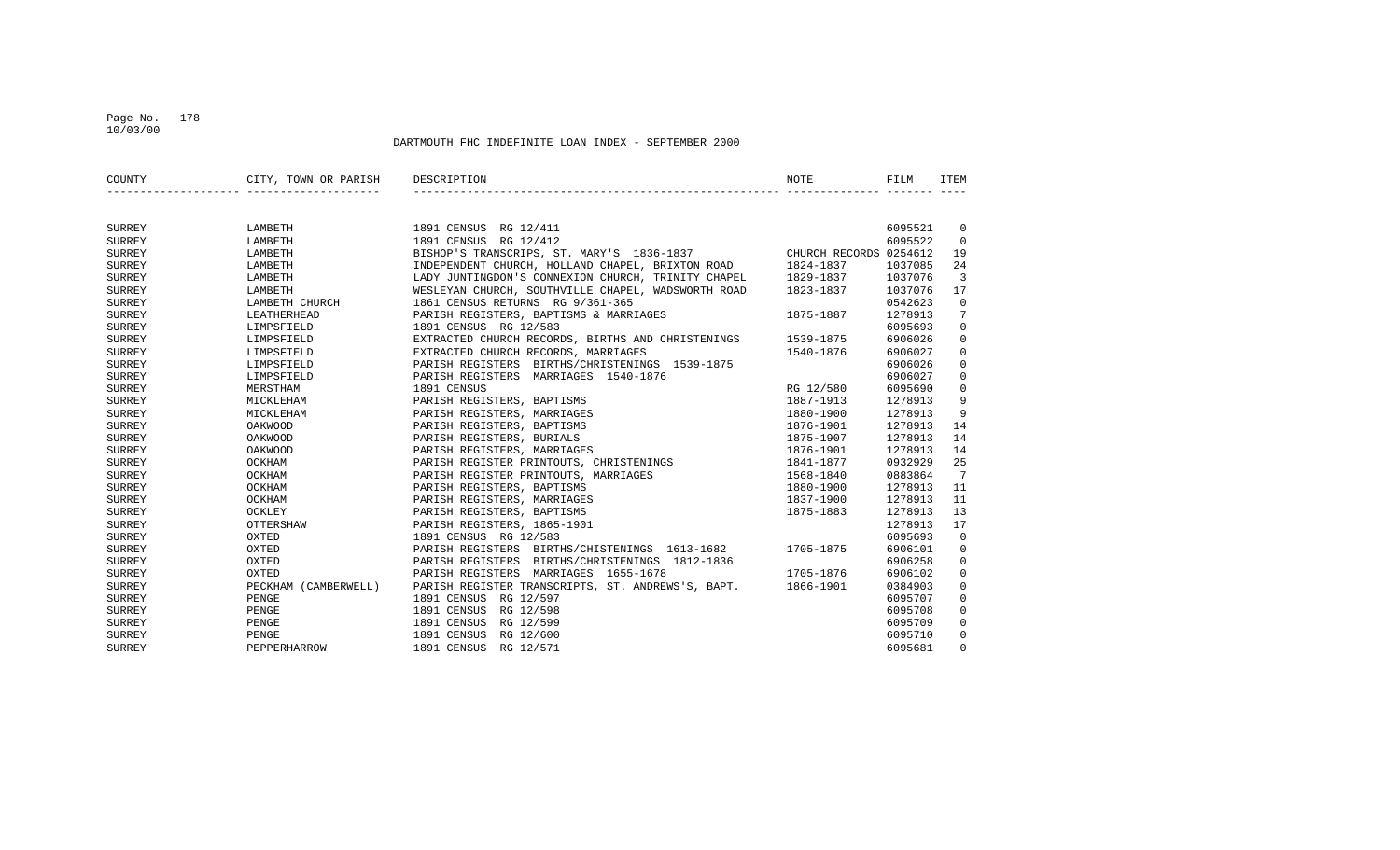### Page No. 178 10/03/00

| COUNTY        | CITY, TOWN OR PARISH | DESCRIPTION                                                      | <b>NOTE</b> | FILM    | <b>ITEM</b>    |
|---------------|----------------------|------------------------------------------------------------------|-------------|---------|----------------|
|               |                      |                                                                  |             |         |                |
| SURREY        | LAMBETH              | 1891 CENSUS RG 12/411                                            |             | 6095521 | 0              |
| <b>SURREY</b> | LAMBETH              | 1891 CENSUS RG 12/412                                            |             | 6095522 | $\mathbf 0$    |
| <b>SURREY</b> | LAMBETH              | BISHOP'S TRANSCRIPS, ST. MARY'S 1836-1837 CHURCH RECORDS 0254612 |             |         | 19             |
| <b>SURREY</b> | LAMBETH              | INDEPENDENT CHURCH, HOLLAND CHAPEL, BRIXTON ROAD                 | 1824-1837   | 1037085 | 24             |
| <b>SURREY</b> | LAMBETH              | LADY JUNTINGDON'S CONNEXION CHURCH, TRINITY CHAPEL               | 1829-1837   | 1037076 | $\overline{3}$ |
| SURREY        | LAMBETH              | WESLEYAN CHURCH, SOUTHVILLE CHAPEL, WADSWORTH ROAD               | 1823-1837   | 1037076 | 17             |
| <b>SURREY</b> | LAMBETH CHURCH       | 1861 CENSUS RETURNS RG 9/361-365                                 |             | 0542623 | $\Omega$       |
| <b>SURREY</b> | LEATHERHEAD          | PARISH REGISTERS, BAPTISMS & MARRIAGES                           | 1875-1887   | 1278913 | 7              |
| <b>SURREY</b> | LIMPSFIELD           | 1891 CENSUS RG 12/583                                            |             | 6095693 | $\mathbf 0$    |
| SURREY        | LIMPSFIELD           | EXTRACTED CHURCH RECORDS, BIRTHS AND CHRISTENINGS                | 1539-1875   | 6906026 | $\mathbf 0$    |
| SURREY        | LIMPSFIELD           | EXTRACTED CHURCH RECORDS, MARRIAGES                              | 1540-1876   | 6906027 | $\mathbf 0$    |
| SURREY        | LIMPSFIELD           | PARISH REGISTERS BIRTHS/CHRISTENINGS 1539-1875                   |             | 6906026 | $\mathbf 0$    |
| <b>SURREY</b> | LIMPSFIELD           | PARISH REGISTERS MARRIAGES 1540-1876                             |             | 6906027 | $\mathbf 0$    |
| <b>SURREY</b> | MERSTHAM             | 1891 CENSUS                                                      | RG 12/580   | 6095690 | $\mathbf 0$    |
| <b>SURREY</b> | MICKLEHAM            | PARISH REGISTERS, BAPTISMS                                       | 1887-1913   | 1278913 | 9              |
| SURREY        | MICKLEHAM            | PARISH REGISTERS, MARRIAGES                                      | 1880-1900   | 1278913 | 9              |
| <b>SURREY</b> | OAKWOOD              | PARISH REGISTERS, BAPTISMS                                       | 1876-1901   | 1278913 | 14             |
| <b>SURREY</b> | <b>OAKWOOD</b>       | PARISH REGISTERS, BURIALS                                        | 1875-1907   | 1278913 | 14             |
| <b>SURREY</b> | <b>OAKWOOD</b>       | PARISH REGISTERS, MARRIAGES                                      | 1876-1901   | 1278913 | 14             |
| SURREY        | OCKHAM               | PARISH REGISTER PRINTOUTS, CHRISTENINGS                          | 1841-1877   | 0932929 | 25             |
| SURREY        | OCKHAM               | PARISH REGISTER PRINTOUTS, MARRIAGES                             | 1568-1840   | 0883864 | 7              |
| <b>SURREY</b> | OCKHAM               | PARISH REGISTERS, BAPTISMS                                       | 1880-1900   | 1278913 | 11             |
| <b>SURREY</b> | OCKHAM               | PARISH REGISTERS, MARRIAGES                                      | 1837-1900   | 1278913 | 11             |
| <b>SURREY</b> | OCKLEY               | PARISH REGISTERS, BAPTISMS                                       | 1875-1883   | 1278913 | 13             |
| SURREY        | OTTERSHAW            | PARISH REGISTERS, 1865-1901                                      |             | 1278913 | 17             |
| <b>SURREY</b> | OXTED                | 1891 CENSUS RG 12/583                                            |             | 6095693 | $\overline{0}$ |
| <b>SURREY</b> | OXTED                | PARISH REGISTERS BIRTHS/CHISTENINGS 1613-1682                    | 1705-1875   | 6906101 | $\mathbf 0$    |
| <b>SURREY</b> | OXTED                | PARISH REGISTERS BIRTHS/CHRISTENINGS 1812-1836                   |             | 6906258 | $\mathbf 0$    |
| <b>SURREY</b> | OXTED                | PARISH REGISTERS MARRIAGES 1655-1678                             | 1705-1876   | 6906102 | $\mathbf 0$    |
| <b>SURREY</b> | PECKHAM (CAMBERWELL) | PARISH REGISTER TRANSCRIPTS, ST. ANDREWS'S, BAPT.                | 1866-1901   | 0384903 | $\mathbf 0$    |
| <b>SURREY</b> | PENGE                | 1891 CENSUS RG 12/597                                            |             | 6095707 | $\mathbf 0$    |
| <b>SURREY</b> | PENGE                | 1891 CENSUS RG 12/598                                            |             | 6095708 | $\mathbf 0$    |
| <b>SURREY</b> | PENGE                | 1891 CENSUS<br>RG 12/599                                         |             | 6095709 | $\mathbf 0$    |
| <b>SURREY</b> | PENGE                | 1891 CENSUS<br>RG 12/600                                         |             | 6095710 | $\Omega$       |
| <b>SURREY</b> | PEPPERHARROW         | 1891 CENSUS RG 12/571                                            |             | 6095681 | $\Omega$       |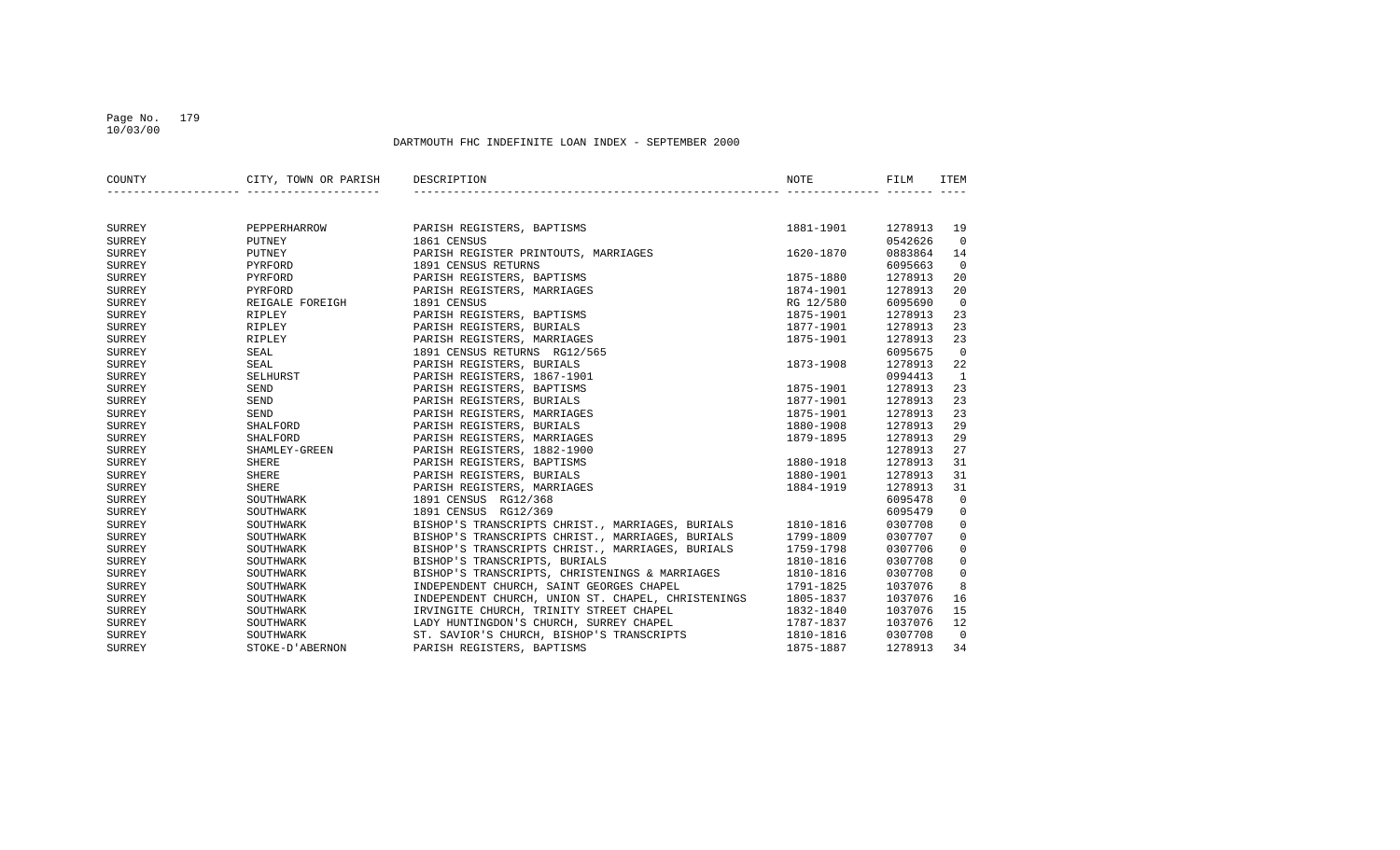## Page No. 179 10/03/00

| COUNTY        | CITY, TOWN OR PARISH DESCRIPTION |                                                                                                                    | NOTE      | FILM    | ITEM           |
|---------------|----------------------------------|--------------------------------------------------------------------------------------------------------------------|-----------|---------|----------------|
|               |                                  |                                                                                                                    |           |         |                |
| SURREY        |                                  | PEPPERHARROW PARISH REGISTERS, BAPTISMS                                                                            | 1881-1901 | 1278913 | 19             |
| SURREY        | PUTNEY                           | 1861 CENSUS                                                                                                        |           | 0542626 | $\overline{0}$ |
| <b>SURREY</b> | PUTNEY                           | PARISH REGISTER PRINTOUTS, MARRIAGES                                                                               | 1620-1870 | 0883864 | 14             |
| SURREY        | PYRFORD                          | 1891 CENSUS RETURNS                                                                                                |           | 6095663 | $\overline{0}$ |
| SURREY        | PYRFORD                          | PARISH REGISTERS, BAPTISMS                                                                                         | 1875-1880 | 1278913 | 20             |
| SURREY        | PYRFORD                          | PARISH REGISTERS, MARRIAGES                                                                                        | 1874-1901 | 1278913 | 20             |
| SURREY        | REIGALE FOREIGH                  | 1891 CENSUS                                                                                                        | RG 12/580 | 6095690 | $\overline{0}$ |
| SURREY        | RIPLEY                           | PARISH REGISTERS, BAPTISMS                                                                                         | 1875-1901 | 1278913 | 23             |
| SURREY        | RIPLEY                           | PARISH REGISTERS, BURIALS                                                                                          | 1877-1901 | 1278913 | 23             |
| SURREY        | RIPLEY                           | PARISH REGISTERS, MARRIAGES                                                                                        | 1875-1901 | 1278913 | 23             |
| <b>SURREY</b> | SEAL                             | 1891 CENSUS RETURNS RG12/565                                                                                       |           | 6095675 | $\overline{0}$ |
| SURREY        | SEAL                             | PARISH REGISTERS, BURIALS                                                                                          | 1873-1908 | 1278913 | 22             |
| SURREY        | SELHURST                         | PARISH REGISTERS, 1867-1901                                                                                        |           | 0994413 | $\mathbf{1}$   |
| <b>SURREY</b> | SEND                             | PARISH REGISTERS, BAPTISMS                                                                                         | 1875-1901 | 1278913 | 23             |
| SURREY        | <b>SEND</b>                      | PARISH REGISTERS, BURIALS                                                                                          | 1877-1901 | 1278913 | 23             |
| SURREY        | SEND                             | PARISH REGISTERS, MARRIAGES                                                                                        | 1875-1901 | 1278913 | 23             |
| SURREY        | SHALFORD                         | PARISH REGISTERS, BURIALS                                                                                          | 1880-1908 | 1278913 | 29             |
| SURREY        | SHALFORD                         | PARISH REGISTERS, MARRIAGES                                                                                        | 1879-1895 | 1278913 | 29             |
| SURREY        | SHAMLEY-GREEN                    | PARISH REGISTERS, 1882-1900                                                                                        |           | 1278913 | 27             |
| SURREY        | SHERE                            | PARISH REGISTERS, BAPTISMS                                                                                         | 1880-1918 | 1278913 | 31             |
| SURREY        | SHERE                            | PARISH REGISTERS, BURIALS                                                                                          | 1880-1901 | 1278913 | 31             |
| SURREY        | SHERE                            | PARISH REGISTERS, MARRIAGES                                                                                        | 1884-1919 | 1278913 | 31             |
| SURREY        | SOUTHWARK                        | 1891 CENSUS RG12/368                                                                                               |           | 6095478 | $\overline{0}$ |
| SURREY        | SOUTHWARK                        | 1891 CENSUS RG12/369                                                                                               |           | 6095479 | $\mathbf 0$    |
| SURREY        | SOUTHWARK                        | BISHOP'S TRANSCRIPTS CHRIST., MARRIAGES, BURIALS 1810-1816                                                         |           | 0307708 | $\mathbf 0$    |
| SURREY        | SOUTHWARK                        | BISHOP'S TRANSCRIPTS CHRIST., MARRIAGES, BURIALS                                                                   | 1799-1809 | 0307707 | $\mathsf 0$    |
| SURREY        | SOUTHWARK                        | BISHOP'S TRANSCRIPTS CHRIST., MARRIAGES, BURIALS                                                                   | 1759-1798 | 0307706 | $\mathbf 0$    |
| SURREY        | SOUTHWARK                        | BISHOP'S TRANSCRIPTS, BURIALS                                                                                      | 1810-1816 | 0307708 | $\mathsf 0$    |
| SURREY        | SOUTHWARK                        | BISHOP'S TRANSCRIPTS, CHRISTENINGS & MARRIAGES                                                                     | 1810-1816 | 0307708 | $\mathbf 0$    |
| SURREY        | SOUTHWARK                        | INDEPENDENT CHURCH, SAINT GEORGES CHAPEL                                                                           | 1791-1825 | 1037076 | 8              |
| SURREY        | SOUTHWARK                        | INDEPENDENT CHURCH, UNION ST. CHAPEL, CHRISTENINGS 1805-1837                                                       |           | 1037076 | 16             |
| SURREY        | SOUTHWARK                        |                                                                                                                    |           | 1037076 | 15             |
| SURREY        | SOUTHWARK                        | RVINGITE CHURCH, TRINITY STREET CHAPEL 1832-1840<br>LADY HUNTINGDON'S CHURCH, SURREY CHAPEL 1787-1837<br>1910-1916 |           | 1037076 | 12             |
| SURREY        | SOUTHWARK                        | 2.1. SAVIOR'S CHURCH, BISHOP'S TRANSCRIPTS<br>PRISH REGISTERS, BAPTISMS                                            | 1810-1816 | 0307708 | $\overline{0}$ |
| SURREY        | STOKE-D'ABERNON                  | PARISH REGISTERS, BAPTISMS                                                                                         | 1875-1887 | 1278913 | 34             |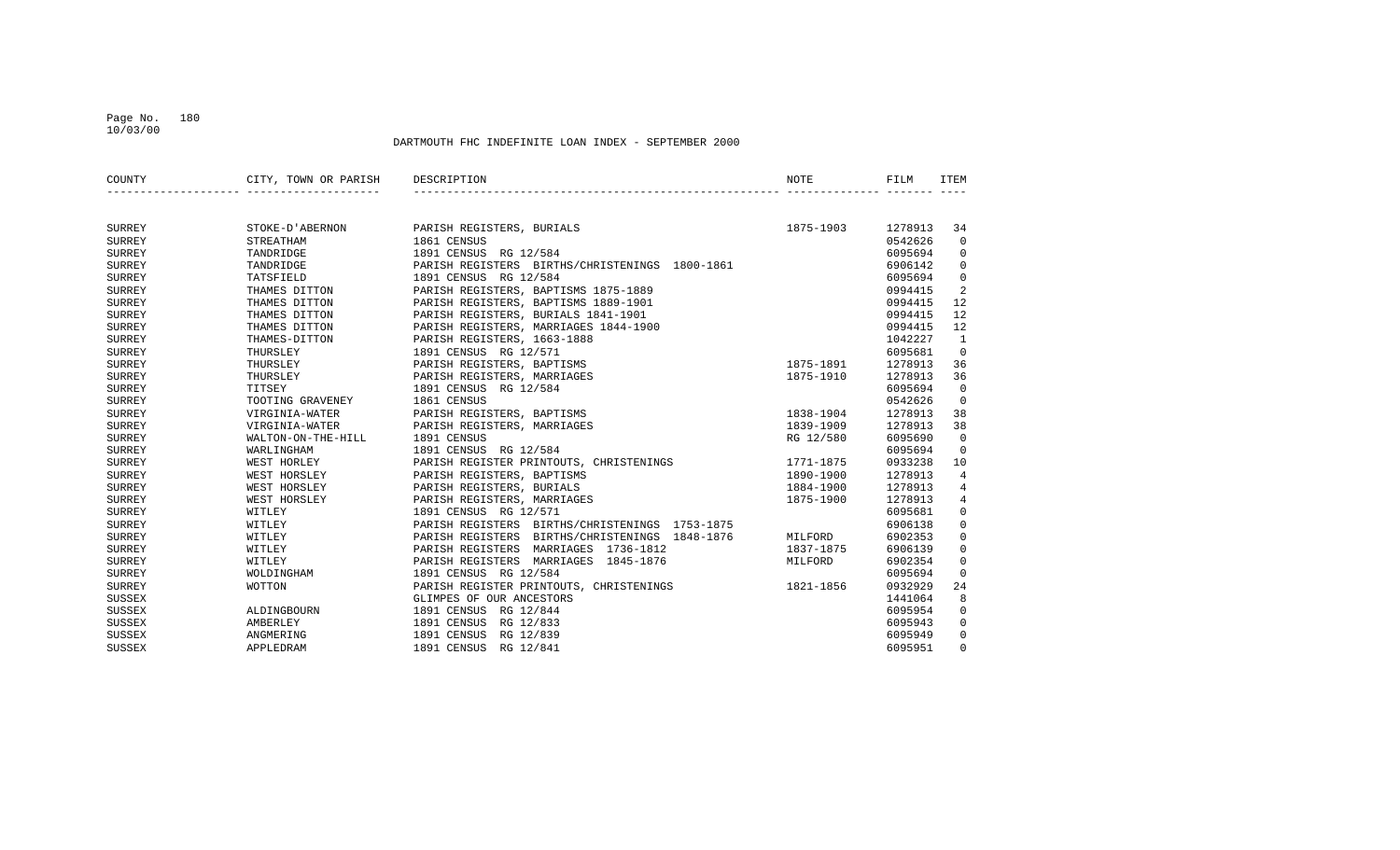#### Page No. 180 10/03/00

| COUNTY        | CITY, TOWN OR PARISH | DESCRIPTION                                       | NOTE      | FILM    | <b>ITEM</b>    |
|---------------|----------------------|---------------------------------------------------|-----------|---------|----------------|
|               |                      |                                                   |           |         |                |
|               |                      |                                                   |           |         |                |
| SURREY        | STOKE-D'ABERNON      | PARISH REGISTERS, BURIALS                         | 1875-1903 | 1278913 | 34             |
| <b>SURREY</b> | <b>STREATHAM</b>     | 1861 CENSUS                                       |           | 0542626 | $\Omega$       |
| <b>SURREY</b> | TANDRIDGE            | 1891 CENSUS RG 12/584                             |           | 6095694 | $\overline{0}$ |
| SURREY        | TANDRIDGE            | PARISH REGISTERS BIRTHS/CHRISTENINGS 1800-1861    |           | 6906142 | $\overline{0}$ |
| SURREY        | TATSFIELD            | 1891 CENSUS RG 12/584                             |           | 6095694 | $\mathbf 0$    |
| <b>SURREY</b> | THAMES DITTON        | PARISH REGISTERS, BAPTISMS 1875-1889              |           | 0994415 | 2              |
| <b>SURREY</b> | THAMES DITTON        | PARISH REGISTERS, BAPTISMS 1889-1901              |           | 0994415 | 12             |
| SURREY        | THAMES DITTON        | PARISH REGISTERS, BURIALS 1841-1901               |           | 0994415 | 12             |
| SURREY        | THAMES DITTON        | PARISH REGISTERS, MARRIAGES 1844-1900             |           | 0994415 | 12             |
| <b>SURREY</b> | THAMES-DITTON        | PARISH REGISTERS, 1663-1888                       |           | 1042227 | $\mathbf{1}$   |
| SURREY        | THURSLEY             | 1891 CENSUS RG 12/571                             |           | 6095681 | $\overline{0}$ |
| <b>SURREY</b> | THURSLEY             | PARISH REGISTERS, BAPTISMS                        | 1875-1891 | 1278913 | 36             |
| <b>SURREY</b> | THURSLEY             | PARISH REGISTERS, MARRIAGES                       | 1875-1910 | 1278913 | 36             |
| <b>SURREY</b> | TITSEY               | 1891 CENSUS RG 12/584                             |           | 6095694 | $\overline{0}$ |
| SURREY        | TOOTING GRAVENEY     | 1861 CENSUS                                       |           | 0542626 | $\overline{0}$ |
| <b>SURREY</b> | VIRGINIA-WATER       | PARISH REGISTERS, BAPTISMS                        | 1838-1904 | 1278913 | 38             |
| <b>SURREY</b> | VIRGINIA-WATER       | PARISH REGISTERS, MARRIAGES                       | 1839-1909 | 1278913 | 38             |
| SURREY        | WALTON-ON-THE-HILL   | 1891 CENSUS                                       | RG 12/580 | 6095690 | $\Omega$       |
| SURREY        | WARLINGHAM           | 1891 CENSUS RG 12/584                             |           | 6095694 | $\Omega$       |
| <b>SURREY</b> | WEST HORLEY          | PARISH REGISTER PRINTOUTS, CHRISTENINGS           | 1771-1875 | 0933238 | 10             |
| <b>SURREY</b> | WEST HORSLEY         | PARISH REGISTERS, BAPTISMS                        | 1890-1900 | 1278913 | $\overline{4}$ |
| SURREY        | WEST HORSLEY         | PARISH REGISTERS, BURIALS                         | 1884-1900 | 1278913 | 4              |
| <b>SURREY</b> | WEST HORSLEY         | PARISH REGISTERS, MARRIAGES                       | 1875-1900 | 1278913 | $\overline{4}$ |
| <b>SURREY</b> | WITLEY               | 1891 CENSUS RG 12/571                             |           | 6095681 | $\mathbf 0$    |
| <b>SURREY</b> | WITLEY               | PARISH REGISTERS BIRTHS/CHRISTENINGS 1753-1875    |           | 6906138 | $\mathbf 0$    |
| <b>SURREY</b> | WITLEY               | PARISH REGISTERS BIRTHS/CHRISTENINGS 1848-1876    | MILFORD   | 6902353 | $\mathbf 0$    |
| <b>SURREY</b> | WITLEY               | PARISH REGISTERS MARRIAGES 1736-1812              | 1837-1875 | 6906139 | $\mathbf 0$    |
| SURREY        | WITLEY               | PARISH REGISTERS MARRIAGES 1845-1876              | MILFORD   | 6902354 | $\mathbf 0$    |
| SURREY        | WOLDINGHAM           | 1891 CENSUS RG 12/584                             |           | 6095694 | $\mathbf 0$    |
| <b>SURREY</b> | WOTTON               | PARISH REGISTER PRINTOUTS, CHRISTENINGS 1821-1856 |           | 0932929 | 24             |
| SUSSEX        |                      | GLIMPES OF OUR ANCESTORS                          |           | 1441064 | 8              |
| SUSSEX        | ALDINGBOURN          | 1891 CENSUS RG 12/844                             |           | 6095954 | $\overline{0}$ |
| <b>SUSSEX</b> | AMBERLEY             | 1891 CENSUS RG 12/833                             |           | 6095943 | $\overline{0}$ |
| <b>SUSSEX</b> | ANGMERING            | 1891 CENSUS RG 12/839                             |           | 6095949 | $\Omega$       |
| SUSSEX        | APPLEDRAM            | 1891 CENSUS RG 12/841                             |           | 6095951 | $\mathbf 0$    |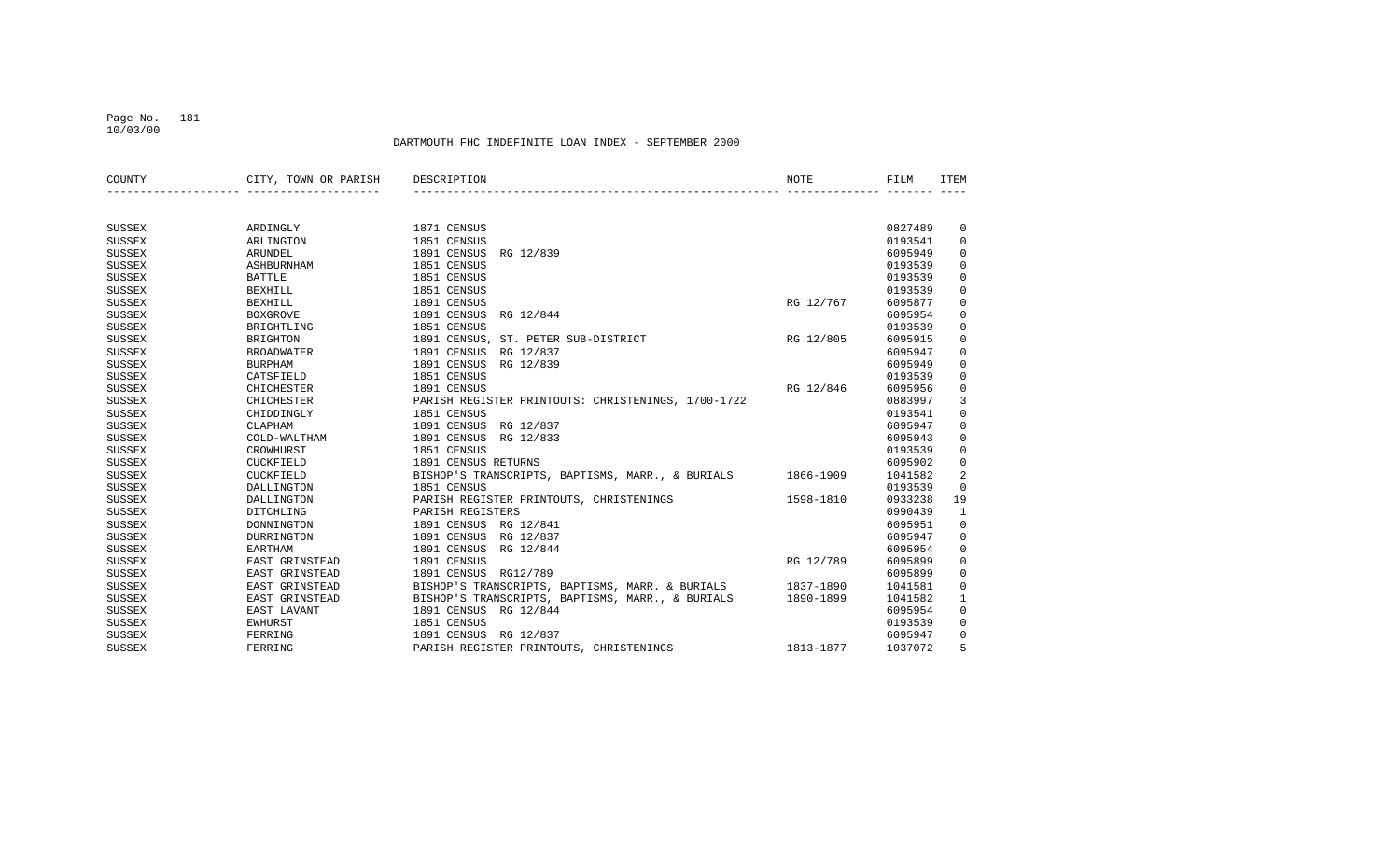### Page No. 181 10/03/00

| COUNTY        | CITY, TOWN OR PARISH | DESCRIPTION                                        | NOTE      | FILM    | <b>ITEM</b>  |
|---------------|----------------------|----------------------------------------------------|-----------|---------|--------------|
|               |                      |                                                    |           |         |              |
| <b>SUSSEX</b> | ARDINGLY             | 1871 CENSUS                                        |           | 0827489 | 0            |
| <b>SUSSEX</b> | ARLINGTON            | 1851 CENSUS                                        |           | 0193541 | $\mathbf{0}$ |
| SUSSEX        | ARUNDEL              | 1891 CENSUS<br>RG 12/839                           |           | 6095949 | 0            |
| SUSSEX        | <b>ASHBURNHAM</b>    | 1851 CENSUS                                        |           | 0193539 | $\mathbf 0$  |
| <b>SUSSEX</b> | <b>BATTLE</b>        | 1851 CENSUS                                        |           | 0193539 | $\mathbf{0}$ |
| SUSSEX        | <b>BEXHILL</b>       | 1851 CENSUS                                        |           | 0193539 | $\mathbf 0$  |
| SUSSEX        | <b>BEXHILL</b>       | 1891 CENSUS                                        | RG 12/767 | 6095877 | 0            |
| SUSSEX        | <b>BOXGROVE</b>      | 1891 CENSUS<br>RG 12/844                           |           | 6095954 | 0            |
| <b>SUSSEX</b> | BRIGHTLING           | 1851 CENSUS                                        |           | 0193539 | 0            |
| <b>SUSSEX</b> | <b>BRIGHTON</b>      | 1891 CENSUS, ST. PETER SUB-DISTRICT                | RG 12/805 | 6095915 | $\mathbf 0$  |
| <b>SUSSEX</b> | <b>BROADWATER</b>    | 1891 CENSUS RG 12/837                              |           | 6095947 | $\mathbf{0}$ |
| <b>SUSSEX</b> | <b>BURPHAM</b>       | 1891 CENSUS<br>RG 12/839                           |           | 6095949 | $\mathbf 0$  |
| SUSSEX        | CATSFIELD            | 1851 CENSUS                                        |           | 0193539 | 0            |
| <b>SUSSEX</b> | <b>CHICHESTER</b>    | 1891 CENSUS                                        | RG 12/846 | 6095956 | 0            |
| SUSSEX        | <b>CHICHESTER</b>    | PARISH REGISTER PRINTOUTS: CHRISTENINGS, 1700-1722 |           | 0883997 | 3            |
| SUSSEX        | CHIDDINGLY           | 1851 CENSUS                                        |           | 0193541 | $\mathbf 0$  |
| <b>SUSSEX</b> | CLAPHAM              | 1891 CENSUS<br>RG 12/837                           |           | 6095947 | $\mathbf 0$  |
| <b>SUSSEX</b> | COLD-WALTHAM         | 1891 CENSUS<br>RG 12/833                           |           | 6095943 | $\mathbf 0$  |
| SUSSEX        | CROWHURST            | 1851 CENSUS                                        |           | 0193539 | $\mathbf 0$  |
| <b>SUSSEX</b> | CUCKFIELD            | 1891 CENSUS RETURNS                                |           | 6095902 | $\mathbf 0$  |
| <b>SUSSEX</b> | CUCKFIELD            | BISHOP'S TRANSCRIPTS, BAPTISMS, MARR., & BURIALS   | 1866-1909 | 1041582 | 2            |
| <b>SUSSEX</b> | DALLINGTON           | 1851 CENSUS                                        |           | 0193539 | $\mathbf{0}$ |
| <b>SUSSEX</b> | DALLINGTON           | PARISH REGISTER PRINTOUTS, CHRISTENINGS            | 1598-1810 | 0933238 | 19           |
| <b>SUSSEX</b> | DITCHLING            | PARISH REGISTERS                                   |           | 0990439 | $\mathbf{1}$ |
| <b>SUSSEX</b> | DONNINGTON           | 1891 CENSUS RG 12/841                              |           | 6095951 | $\mathbf 0$  |
| <b>SUSSEX</b> | <b>DURRINGTON</b>    | 1891 CENSUS<br>RG 12/837                           |           | 6095947 | $\mathbf 0$  |
| <b>SUSSEX</b> | <b>EARTHAM</b>       | 1891 CENSUS<br>RG 12/844                           |           | 6095954 | $\mathbf 0$  |
| <b>SUSSEX</b> | EAST GRINSTEAD       | 1891 CENSUS                                        | RG 12/789 | 6095899 | $\mathbf 0$  |
| <b>SUSSEX</b> | EAST GRINSTEAD       | 1891 CENSUS RG12/789                               |           | 6095899 | $\mathbf 0$  |
| <b>SUSSEX</b> | EAST GRINSTEAD       | BISHOP'S TRANSCRIPTS, BAPTISMS, MARR. & BURIALS    | 1837-1890 | 1041581 | $\mathbf 0$  |
| <b>SUSSEX</b> | EAST GRINSTEAD       | BISHOP'S TRANSCRIPTS, BAPTISMS, MARR., & BURIALS   | 1890-1899 | 1041582 | 1            |
| <b>SUSSEX</b> | EAST LAVANT          | 1891 CENSUS RG 12/844                              |           | 6095954 | $\mathbf 0$  |
| <b>SUSSEX</b> | EWHURST              | 1851 CENSUS                                        |           | 0193539 | $\mathbf 0$  |
| <b>SUSSEX</b> | FERRING              | 1891 CENSUS<br>RG 12/837                           |           | 6095947 | 0            |
| <b>SUSSEX</b> | FERRING              | PARISH REGISTER PRINTOUTS, CHRISTENINGS            | 1813-1877 | 1037072 | 5            |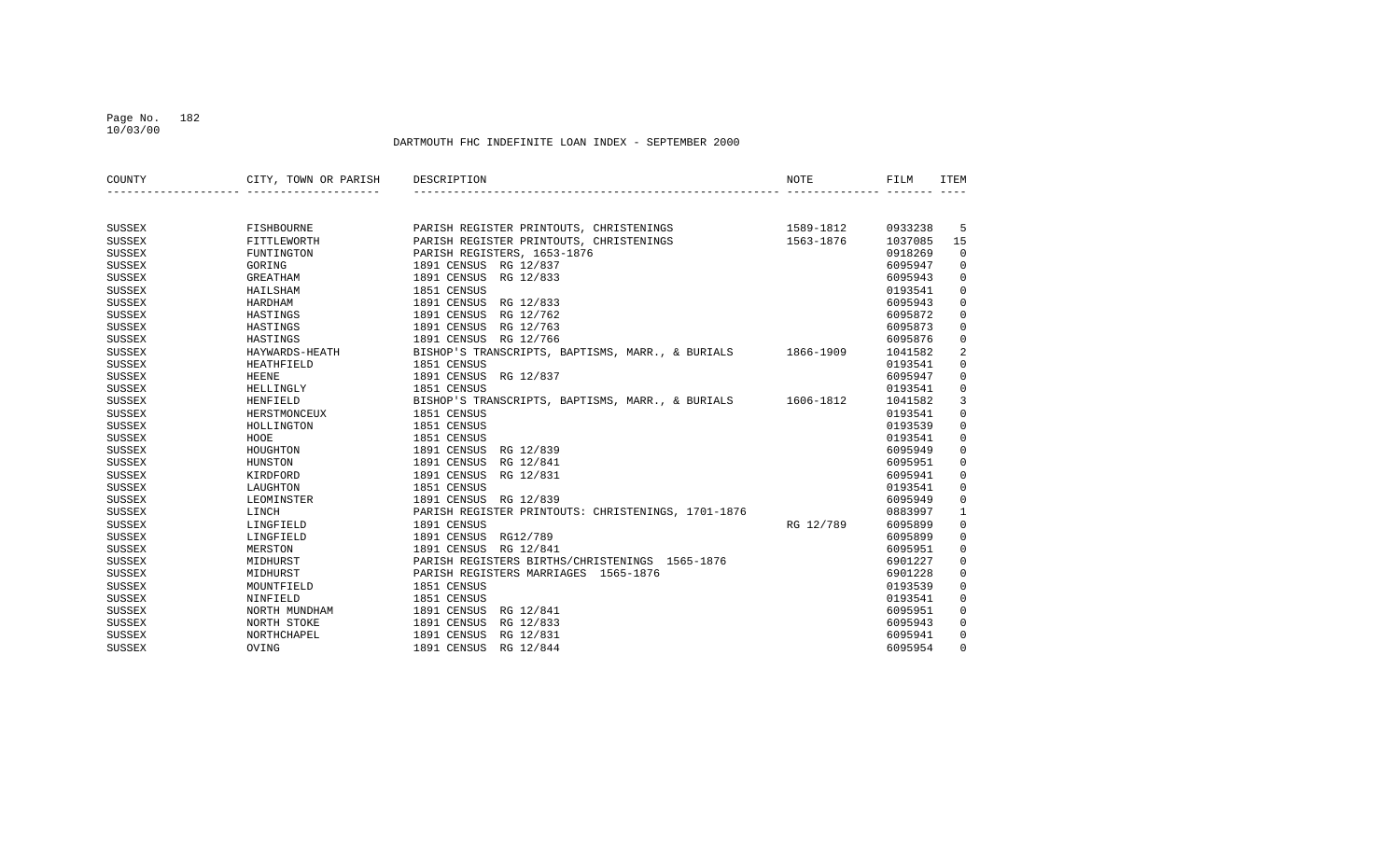### Page No. 182 10/03/00

| COUNTY        | CITY, TOWN OR PARISH | DESCRIPTION                                                | <b>NOTE</b> | FILM    | <b>ITEM</b>  |
|---------------|----------------------|------------------------------------------------------------|-------------|---------|--------------|
|               |                      |                                                            |             |         |              |
|               |                      |                                                            |             |         |              |
| SUSSEX        | FISHBOURNE           | PARISH REGISTER PRINTOUTS, CHRISTENINGS                    | 1589-1812   | 0933238 | -5           |
| <b>SUSSEX</b> | FITTLEWORTH          | PARISH REGISTER PRINTOUTS, CHRISTENINGS                    | 1563-1876   | 1037085 | 15           |
| <b>SUSSEX</b> | FUNTINGTON           | PARISH REGISTERS, 1653-1876                                |             | 0918269 | $\mathbf 0$  |
| <b>SUSSEX</b> | GORING               | 1891 CENSUS RG 12/837                                      |             | 6095947 | 0            |
| <b>SUSSEX</b> | <b>GREATHAM</b>      | 1891 CENSUS<br>RG 12/833                                   |             | 6095943 | $\mathbf 0$  |
| <b>SUSSEX</b> | HAILSHAM             | 1851 CENSUS                                                |             | 0193541 | $\mathbf 0$  |
| <b>SUSSEX</b> | HARDHAM              | 1891 CENSUS RG 12/833                                      |             | 6095943 | $\mathbf 0$  |
| SUSSEX        | HASTINGS             | 1891 CENSUS<br>RG 12/762                                   |             | 6095872 | $\mathbf 0$  |
| SUSSEX        | HASTINGS             | 1891 CENSUS<br>RG 12/763                                   |             | 6095873 | $\mathbf 0$  |
| <b>SUSSEX</b> | HASTINGS             | 1891 CENSUS RG 12/766                                      |             | 6095876 | 0            |
| <b>SUSSEX</b> | HAYWARDS-HEATH       | BISHOP'S TRANSCRIPTS, BAPTISMS, MARR., & BURIALS 1866-1909 |             | 1041582 | 2            |
| <b>SUSSEX</b> | <b>HEATHFIELD</b>    | 1851 CENSUS                                                |             | 0193541 | $\mathbf 0$  |
| SUSSEX        | HEENE                | 1891 CENSUS<br>RG 12/837                                   |             | 6095947 | $\mathbf 0$  |
| SUSSEX        | HELLINGLY            | 1851 CENSUS                                                |             | 0193541 | $\mathbf 0$  |
| <b>SUSSEX</b> | HENFIELD             | BISHOP'S TRANSCRIPTS, BAPTISMS, MARR., & BURIALS 1606-1812 |             | 1041582 | 3            |
| <b>SUSSEX</b> | HERSTMONCEUX         | 1851 CENSUS                                                |             | 0193541 | 0            |
| <b>SUSSEX</b> | HOLLINGTON           | 1851 CENSUS                                                |             | 0193539 | 0            |
| <b>SUSSEX</b> | HOOE                 | 1851 CENSUS                                                |             | 0193541 | $\mathbf 0$  |
| SUSSEX        | HOUGHTON             | 1891 CENSUS<br>RG 12/839                                   |             | 6095949 | $\mathbf 0$  |
| <b>SUSSEX</b> | HUNSTON              | 1891 CENSUS<br>RG 12/841                                   |             | 6095951 | $\mathbf 0$  |
| <b>SUSSEX</b> | KIRDFORD             | 1891 CENSUS<br>RG 12/831                                   |             | 6095941 | $\mathbf 0$  |
| <b>SUSSEX</b> | LAUGHTON             | 1851 CENSUS                                                |             | 0193541 | $\mathbf 0$  |
| <b>SUSSEX</b> | LEOMINSTER           | 1891 CENSUS RG 12/839                                      |             | 6095949 | $\mathbf 0$  |
| <b>SUSSEX</b> | LINCH                | PARISH REGISTER PRINTOUTS: CHRISTENINGS, 1701-1876         |             | 0883997 | $\mathbf{1}$ |
| <b>SUSSEX</b> | LINGFIELD            | 1891 CENSUS                                                | RG 12/789   | 6095899 | 0            |
| <b>SUSSEX</b> | LINGFIELD            | 1891 CENSUS<br>RG12/789                                    |             | 6095899 | 0            |
| <b>SUSSEX</b> | MERSTON              | 1891 CENSUS<br>RG 12/841                                   |             | 6095951 | 0            |
| SUSSEX        | MIDHURST             | PARISH REGISTERS BIRTHS/CHRISTENINGS 1565-1876             |             | 6901227 | $\mathbf 0$  |
| SUSSEX        | MIDHURST             | PARISH REGISTERS MARRIAGES 1565-1876                       |             | 6901228 | $\mathbf 0$  |
| SUSSEX        | MOUNTFIELD           | 1851 CENSUS                                                |             | 0193539 | $\mathbf 0$  |
| SUSSEX        | NINFIELD             | 1851 CENSUS                                                |             | 0193541 | $\mathbf 0$  |
| SUSSEX        | NORTH MUNDHAM        | 1891 CENSUS<br>RG 12/841                                   |             | 6095951 | $\mathbf 0$  |
| SUSSEX        | NORTH STOKE          | RG 12/833<br>1891 CENSUS                                   |             | 6095943 | $\mathbf 0$  |
| <b>SUSSEX</b> | NORTHCHAPEL          | 1891 CENSUS<br>RG 12/831                                   |             | 6095941 | $\Omega$     |
| <b>SUSSEX</b> | OVING                | 1891 CENSUS<br>RG 12/844                                   |             | 6095954 | $\Omega$     |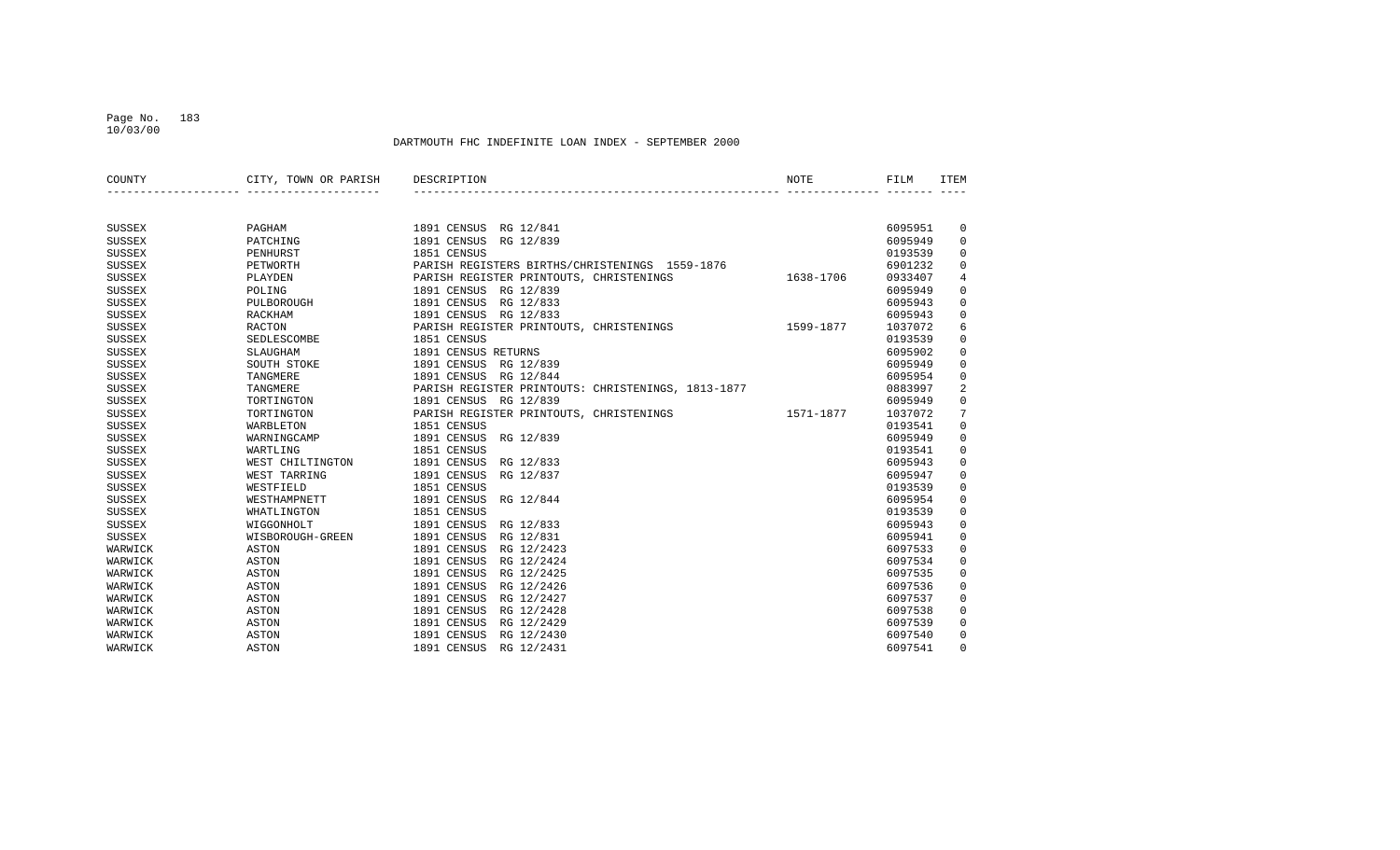### Page No. 183 10/03/00

| COUNTY        | CITY, TOWN OR PARISH | DESCRIPTION                                        | NOTE      | FILM    | <b>ITEM</b>    |
|---------------|----------------------|----------------------------------------------------|-----------|---------|----------------|
|               |                      |                                                    |           |         |                |
|               |                      |                                                    |           |         |                |
| <b>SUSSEX</b> | PAGHAM               | 1891 CENSUS RG 12/841                              |           | 6095951 | 0              |
| <b>SUSSEX</b> | PATCHING             | 1891 CENSUS<br>RG 12/839                           |           | 6095949 | $\mathsf 0$    |
| <b>SUSSEX</b> | PENHURST             | 1851 CENSUS                                        |           | 0193539 | $\mathsf 0$    |
| <b>SUSSEX</b> | PETWORTH             | PARISH REGISTERS BIRTHS/CHRISTENINGS 1559-1876     |           | 6901232 | $\mathsf 0$    |
| <b>SUSSEX</b> | PLAYDEN              | PARISH REGISTER PRINTOUTS, CHRISTENINGS            | 1638-1706 | 0933407 | $\overline{4}$ |
| <b>SUSSEX</b> | POLING               | 1891 CENSUS RG 12/839                              |           | 6095949 | $\mathsf 0$    |
| <b>SUSSEX</b> | PULBOROUGH           | 1891 CENSUS<br>RG 12/833                           |           | 6095943 | $\mathbf 0$    |
| <b>SUSSEX</b> | RACKHAM              | 1891 CENSUS<br>RG 12/833                           |           | 6095943 | $\mathbf 0$    |
| <b>SUSSEX</b> | <b>RACTON</b>        | PARISH REGISTER PRINTOUTS, CHRISTENINGS            | 1599-1877 | 1037072 | 6              |
| <b>SUSSEX</b> | SEDLESCOMBE          | 1851 CENSUS                                        |           | 0193539 | $\mathsf 0$    |
| <b>SUSSEX</b> | SLAUGHAM             | 1891 CENSUS RETURNS                                |           | 6095902 | $\mathsf 0$    |
| <b>SUSSEX</b> | SOUTH STOKE          | 1891 CENSUS<br>RG 12/839                           |           | 6095949 | $\mathbf 0$    |
| <b>SUSSEX</b> | TANGMERE             | 1891 CENSUS RG 12/844                              |           | 6095954 | $\mathsf 0$    |
| <b>SUSSEX</b> | TANGMERE             | PARISH REGISTER PRINTOUTS: CHRISTENINGS, 1813-1877 |           | 0883997 | $\overline{2}$ |
| <b>SUSSEX</b> | TORTINGTON           | 1891 CENSUS RG 12/839                              |           | 6095949 | $\mathsf 0$    |
| <b>SUSSEX</b> | TORTINGTON           | PARISH REGISTER PRINTOUTS, CHRISTENINGS            | 1571-1877 | 1037072 | 7              |
| <b>SUSSEX</b> | WARBLETON            | 1851 CENSUS                                        |           | 0193541 | $\mathsf 0$    |
| <b>SUSSEX</b> | WARNINGCAMP          | 1891 CENSUS<br>RG 12/839                           |           | 6095949 | $\mathsf 0$    |
| <b>SUSSEX</b> | WARTLING             | 1851 CENSUS                                        |           | 0193541 | $\mathsf 0$    |
| <b>SUSSEX</b> | WEST CHILTINGTON     | 1891 CENSUS<br>RG 12/833                           |           | 6095943 | $\mathbf 0$    |
| <b>SUSSEX</b> | WEST TARRING         | 1891 CENSUS<br>RG 12/837                           |           | 6095947 | $\mathsf 0$    |
| <b>SUSSEX</b> | WESTFIELD            | 1851 CENSUS                                        |           | 0193539 | $\mathsf 0$    |
| <b>SUSSEX</b> | WESTHAMPNETT         | 1891 CENSUS<br>RG 12/844                           |           | 6095954 | $\mathsf 0$    |
| <b>SUSSEX</b> | WHATLINGTON          | 1851 CENSUS                                        |           | 0193539 | $\mathsf 0$    |
| <b>SUSSEX</b> | WIGGONHOLT           | 1891 CENSUS<br>RG 12/833                           |           | 6095943 | $\mathsf 0$    |
| <b>SUSSEX</b> | WISBOROUGH-GREEN     | 1891 CENSUS<br>RG 12/831                           |           | 6095941 | $\mathsf 0$    |
| WARWICK       | <b>ASTON</b>         | 1891 CENSUS<br>RG 12/2423                          |           | 6097533 | $\mathsf 0$    |
| WARWICK       | ASTON                | 1891 CENSUS<br>RG 12/2424                          |           | 6097534 | $\mathsf 0$    |
| WARWICK       | <b>ASTON</b>         | 1891 CENSUS<br>RG 12/2425                          |           | 6097535 | $\mathsf 0$    |
| WARWICK       | <b>ASTON</b>         | 1891 CENSUS<br>RG 12/2426                          |           | 6097536 | $\mathsf 0$    |
| WARWICK       | ASTON                | 1891 CENSUS<br>RG 12/2427                          |           | 6097537 | $\mathbf 0$    |
| WARWICK       | ASTON                | 1891 CENSUS<br>RG 12/2428                          |           | 6097538 | $\mathbf 0$    |
| WARWICK       | ASTON                | 1891 CENSUS<br>RG 12/2429                          |           | 6097539 | 0              |
| WARWICK       | ASTON                | 1891 CENSUS<br>RG 12/2430                          |           | 6097540 | 0              |
| WARWICK       | ASTON                | 1891 CENSUS<br>RG 12/2431                          |           | 6097541 | $\Omega$       |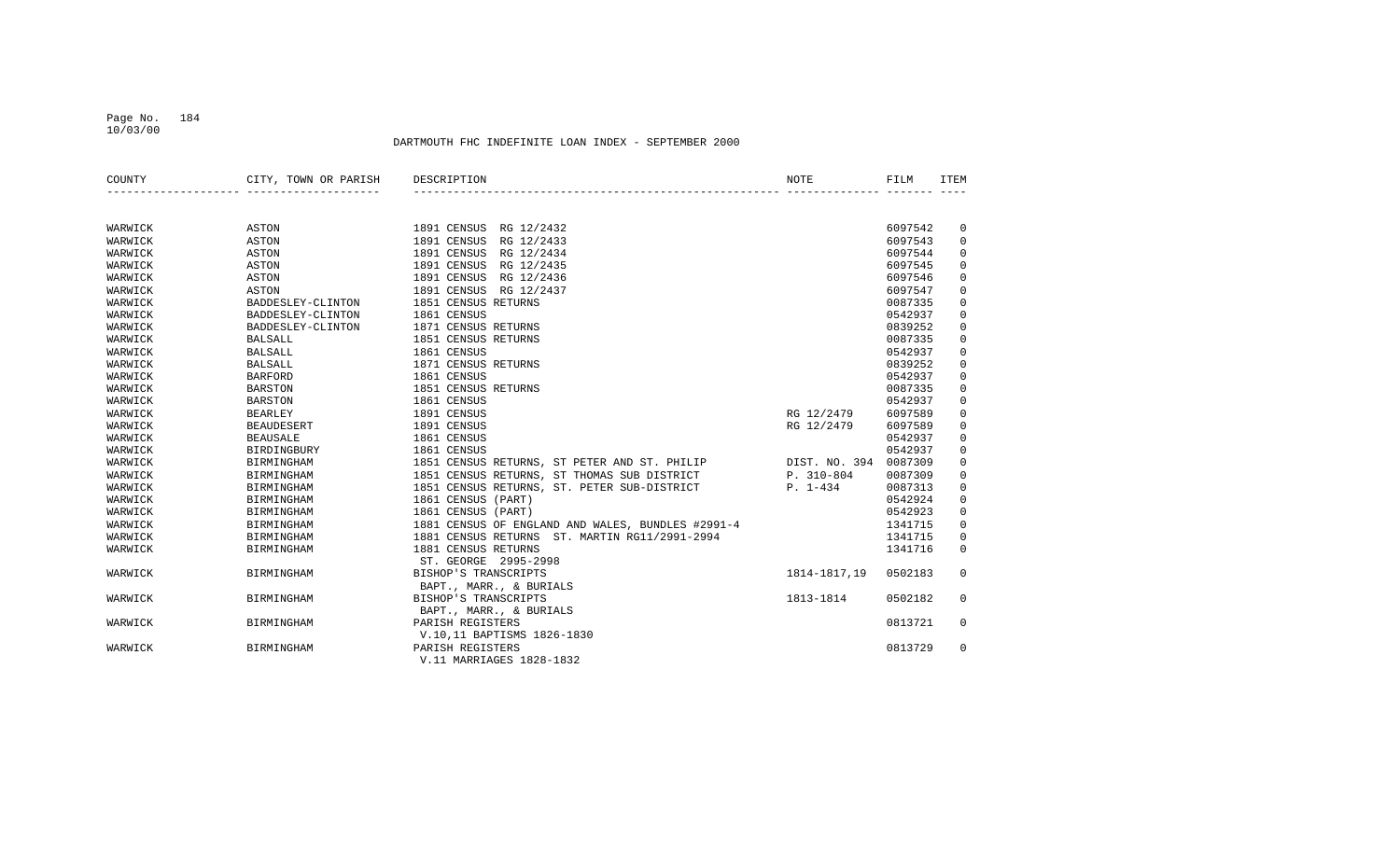#### Page No. 184 10/03/00

| COUNTY  | CITY, TOWN OR PARISH | DESCRIPTION                                       | NOTE          | FILM    | <b>ITEM</b> |
|---------|----------------------|---------------------------------------------------|---------------|---------|-------------|
|         |                      |                                                   |               |         |             |
| WARWICK | ASTON                | 1891 CENSUS<br>RG 12/2432                         |               | 6097542 | 0           |
| WARWICK | ASTON                | RG 12/2433<br>1891 CENSUS                         |               | 6097543 | $\mathbf 0$ |
| WARWICK | <b>ASTON</b>         | 1891 CENSUS<br>RG 12/2434                         |               | 6097544 | $\mathbf 0$ |
| WARWICK | ASTON                | 1891 CENSUS<br>RG 12/2435                         |               | 6097545 | $\mathsf 0$ |
| WARWICK | ASTON                | 1891 CENSUS<br>RG 12/2436                         |               | 6097546 | $\mathsf 0$ |
| WARWICK | ASTON                | 1891 CENSUS<br>RG 12/2437                         |               | 6097547 | 0           |
| WARWICK | BADDESLEY-CLINTON    | 1851 CENSUS RETURNS                               |               | 0087335 | $\mathsf 0$ |
| WARWICK | BADDESLEY-CLINTON    | 1861 CENSUS                                       |               | 0542937 | $\mathsf 0$ |
| WARWICK | BADDESLEY-CLINTON    | 1871 CENSUS RETURNS                               |               | 0839252 | $\mathsf 0$ |
| WARWICK | <b>BALSALL</b>       | 1851 CENSUS RETURNS                               |               | 0087335 | $\mathbf 0$ |
| WARWICK | <b>BALSALL</b>       | 1861 CENSUS                                       |               | 0542937 | 0           |
| WARWICK | <b>BALSALL</b>       | 1871 CENSUS RETURNS                               |               | 0839252 | $\mathsf 0$ |
| WARWICK | <b>BARFORD</b>       | 1861 CENSUS                                       |               | 0542937 | $\mathsf 0$ |
| WARWICK | <b>BARSTON</b>       | 1851 CENSUS RETURNS                               |               | 0087335 | $\mathsf 0$ |
| WARWICK | <b>BARSTON</b>       | 1861 CENSUS                                       |               | 0542937 | $\mathbf 0$ |
| WARWICK | <b>BEARLEY</b>       | 1891 CENSUS                                       | RG 12/2479    | 6097589 | $\mathsf 0$ |
| WARWICK | <b>BEAUDESERT</b>    | 1891 CENSUS                                       | RG 12/2479    | 6097589 | $\mathbf 0$ |
| WARWICK | <b>BEAUSALE</b>      | 1861 CENSUS                                       |               | 0542937 | $\mathbf 0$ |
| WARWICK | BIRDINGBURY          | 1861 CENSUS                                       |               | 0542937 | $\mathbf 0$ |
| WARWICK | BIRMINGHAM           | 1851 CENSUS RETURNS, ST PETER AND ST. PHILIP      | DIST. NO. 394 | 0087309 | $\mathbf 0$ |
| WARWICK | <b>BIRMINGHAM</b>    | 1851 CENSUS RETURNS, ST THOMAS SUB DISTRICT       | P. 310-804    | 0087309 | $\mathbf 0$ |
| WARWICK | <b>BIRMINGHAM</b>    | 1851 CENSUS RETURNS, ST. PETER SUB-DISTRICT       | $P. 1-434$    | 0087313 | $\mathbf 0$ |
| WARWICK | <b>BIRMINGHAM</b>    | 1861 CENSUS (PART)                                |               | 0542924 | 0           |
| WARWICK | <b>BIRMINGHAM</b>    | 1861 CENSUS (PART)                                |               | 0542923 | $\mathbf 0$ |
| WARWICK | BIRMINGHAM           | 1881 CENSUS OF ENGLAND AND WALES, BUNDLES #2991-4 |               | 1341715 | $\mathbf 0$ |
| WARWICK | BIRMINGHAM           | 1881 CENSUS RETURNS ST. MARTIN RG11/2991-2994     |               | 1341715 | 0           |
| WARWICK | <b>BIRMINGHAM</b>    | 1881 CENSUS RETURNS                               |               | 1341716 | $\mathbf 0$ |
|         |                      | ST. GEORGE 2995-2998                              |               |         |             |
| WARWICK | BIRMINGHAM           | BISHOP'S TRANSCRIPTS                              | 1814-1817,19  | 0502183 | $\Omega$    |
|         |                      | BAPT., MARR., & BURIALS                           |               |         |             |
| WARWICK | <b>BIRMINGHAM</b>    | BISHOP'S TRANSCRIPTS                              | 1813-1814     | 0502182 | 0           |
|         |                      | BAPT., MARR., & BURIALS                           |               |         |             |
| WARWICK | <b>BIRMINGHAM</b>    | PARISH REGISTERS                                  |               | 0813721 | 0           |
|         |                      | V.10,11 BAPTISMS 1826-1830                        |               |         |             |
| WARWICK | <b>BIRMINGHAM</b>    | PARISH REGISTERS                                  |               | 0813729 | $\Omega$    |
|         |                      | V.11 MARRIAGES 1828-1832                          |               |         |             |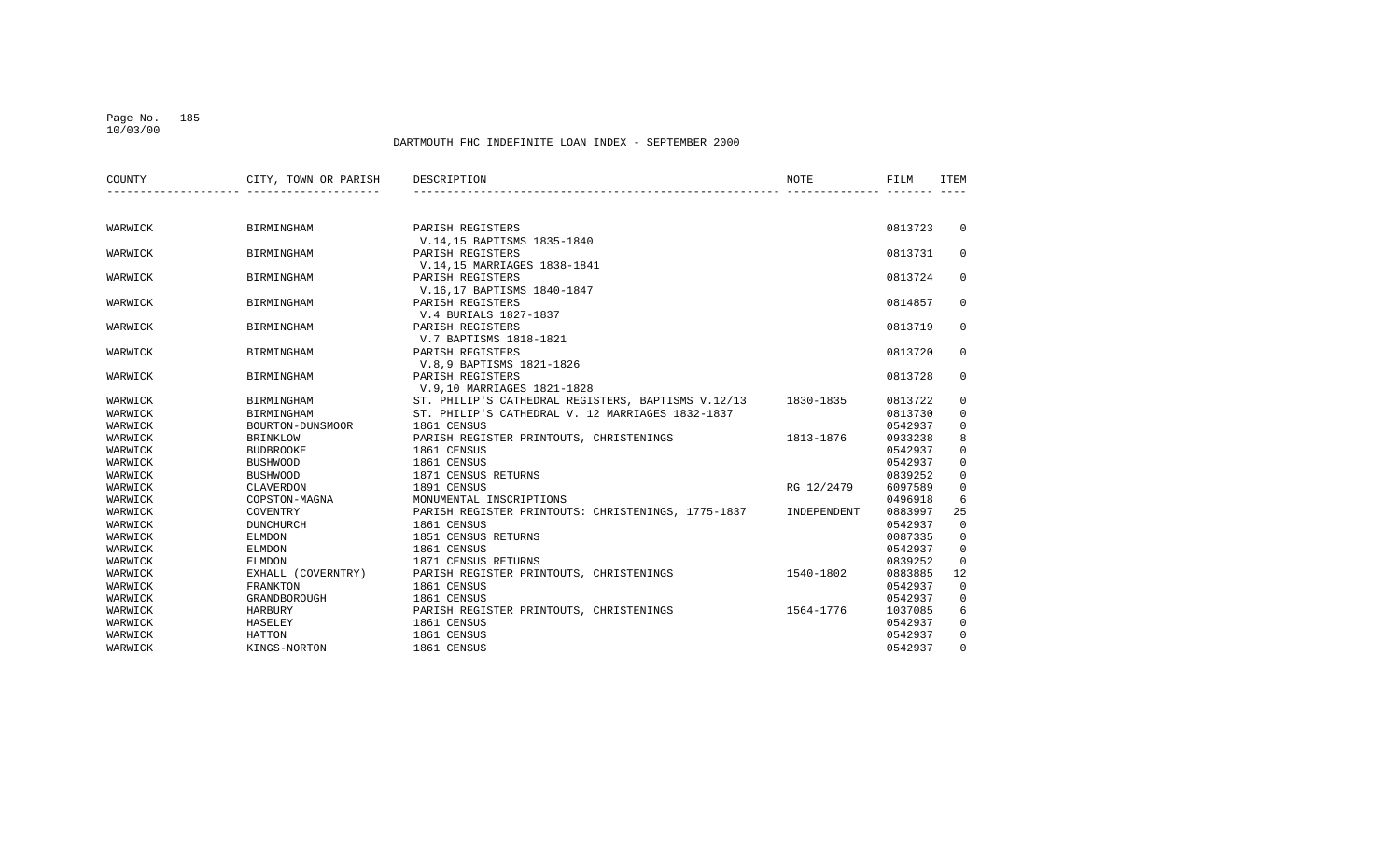#### Page No. 185 10/03/00

| COUNTY  | CITY, TOWN OR PARISH | DESCRIPTION                                        | NOTE        | FILM    | ITEM         |
|---------|----------------------|----------------------------------------------------|-------------|---------|--------------|
|         |                      |                                                    |             |         |              |
| WARWICK | BIRMINGHAM           | PARISH REGISTERS                                   |             | 0813723 | $\mathbf{0}$ |
|         |                      | V.14,15 BAPTISMS 1835-1840                         |             |         |              |
| WARWICK | <b>BIRMINGHAM</b>    | PARISH REGISTERS                                   |             | 0813731 | $\mathbf{0}$ |
|         |                      | V.14,15 MARRIAGES 1838-1841                        |             |         |              |
| WARWICK | <b>BIRMINGHAM</b>    | PARISH REGISTERS                                   |             | 0813724 | 0            |
|         |                      | V.16,17 BAPTISMS 1840-1847                         |             |         |              |
| WARWICK | BIRMINGHAM           | PARISH REGISTERS                                   |             | 0814857 | 0            |
|         |                      | V.4 BURIALS 1827-1837                              |             |         |              |
| WARWICK | BIRMINGHAM           | PARISH REGISTERS                                   |             | 0813719 | 0            |
|         |                      | V.7 BAPTISMS 1818-1821                             |             |         |              |
| WARWICK | BIRMINGHAM           | PARISH REGISTERS                                   |             | 0813720 | $\mathbf 0$  |
|         |                      | V.8,9 BAPTISMS 1821-1826                           |             |         |              |
| WARWICK | BIRMINGHAM           | PARISH REGISTERS                                   |             | 0813728 | 0            |
|         |                      | V.9,10 MARRIAGES 1821-1828                         |             |         |              |
| WARWICK | BIRMINGHAM           | ST. PHILIP'S CATHEDRAL REGISTERS, BAPTISMS V.12/13 | 1830-1835   | 0813722 | $\mathbf 0$  |
| WARWICK | BIRMINGHAM           | ST. PHILIP'S CATHEDRAL V. 12 MARRIAGES 1832-1837   |             | 0813730 | 0            |
| WARWICK | BOURTON-DUNSMOOR     | 1861 CENSUS                                        |             | 0542937 | $\mathbf 0$  |
| WARWICK | <b>BRINKLOW</b>      | PARISH REGISTER PRINTOUTS, CHRISTENINGS            | 1813-1876   | 0933238 | 8            |
| WARWICK | BUDBROOKE            | 1861 CENSUS                                        |             | 0542937 | $\mathbf 0$  |
| WARWICK | <b>BUSHWOOD</b>      | 1861 CENSUS                                        |             | 0542937 | $\mathbf 0$  |
| WARWICK | <b>BUSHWOOD</b>      | 1871 CENSUS RETURNS                                |             | 0839252 | $\mathbf 0$  |
| WARWICK | CLAVERDON            | 1891 CENSUS                                        | RG 12/2479  | 6097589 | $\mathsf 0$  |
| WARWICK | COPSTON-MAGNA        | MONUMENTAL INSCRIPTIONS                            |             | 0496918 | 6            |
| WARWICK | COVENTRY             | PARISH REGISTER PRINTOUTS: CHRISTENINGS, 1775-1837 | INDEPENDENT | 0883997 | 25           |
| WARWICK | DUNCHURCH            | 1861 CENSUS                                        |             | 0542937 | $\mathbf 0$  |
| WARWICK | ELMDON               | 1851 CENSUS RETURNS                                |             | 0087335 | $\mathbf 0$  |
| WARWICK | ELMDON               | 1861 CENSUS                                        |             | 0542937 | $\mathbf 0$  |
| WARWICK | ELMDON               | 1871 CENSUS RETURNS                                |             | 0839252 | $\mathbf 0$  |
| WARWICK | EXHALL (COVERNTRY)   | PARISH REGISTER PRINTOUTS, CHRISTENINGS            | 1540-1802   | 0883885 | 12           |
| WARWICK | <b>FRANKTON</b>      | 1861 CENSUS                                        |             | 0542937 | $\mathbf 0$  |
| WARWICK | GRANDBOROUGH         | 1861 CENSUS                                        |             | 0542937 | $\mathbf 0$  |
| WARWICK | HARBURY              | PARISH REGISTER PRINTOUTS, CHRISTENINGS            | 1564-1776   | 1037085 | 6            |
| WARWICK | HASELEY              | 1861 CENSUS                                        |             | 0542937 | $\mathbf 0$  |
| WARWICK | HATTON               | 1861 CENSUS                                        |             | 0542937 | $\mathbf 0$  |
| WARWICK | KINGS-NORTON         | 1861 CENSUS                                        |             | 0542937 | $\mathbf 0$  |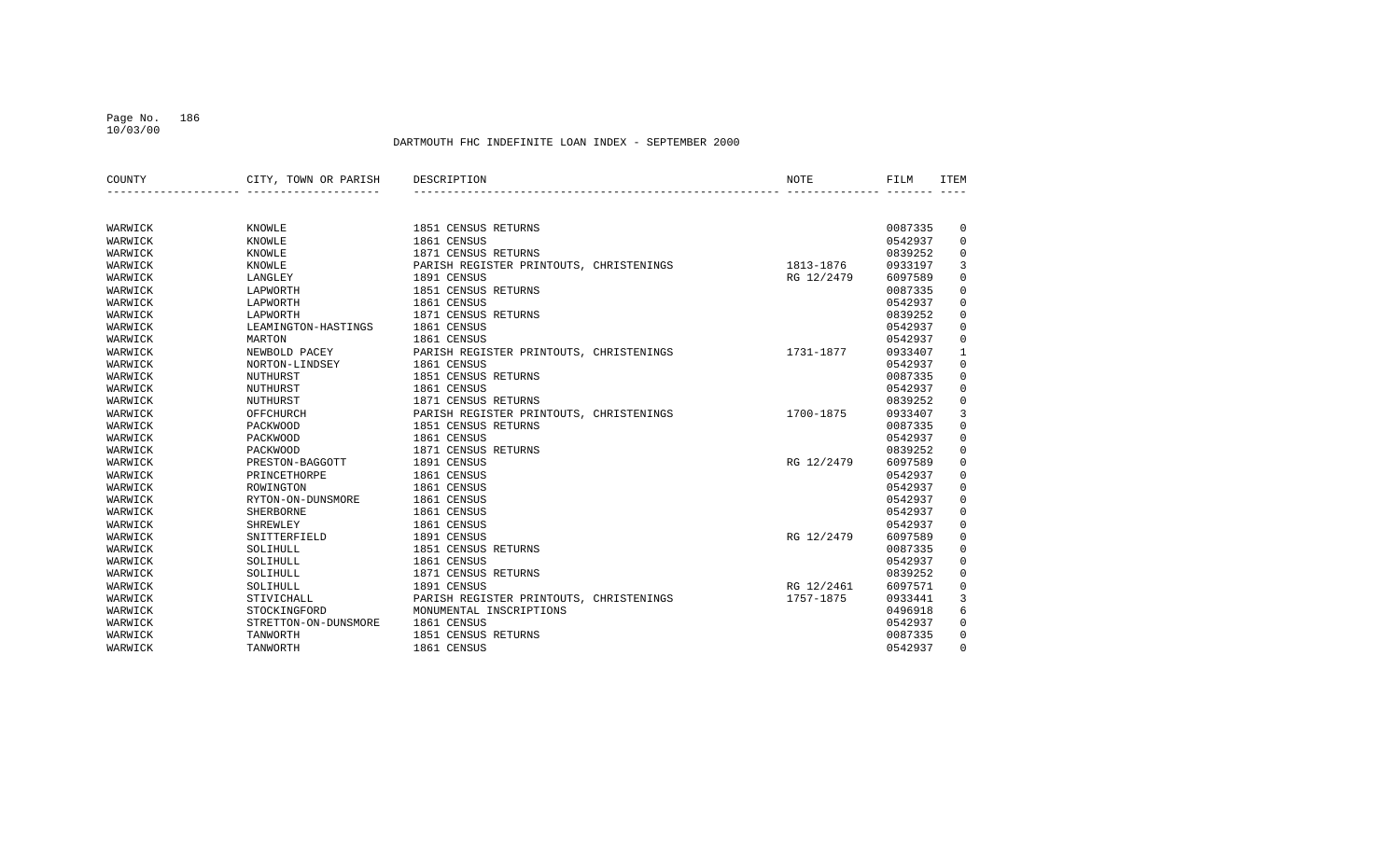#### Page No. 186 10/03/00

| COUNTY  | CITY, TOWN OR PARISH | DESCRIPTION                             | NOTE       | FILM    | <b>ITEM</b>  |
|---------|----------------------|-----------------------------------------|------------|---------|--------------|
|         |                      |                                         |            |         |              |
| WARWICK | KNOWLE               | 1851 CENSUS RETURNS                     |            | 0087335 | 0            |
| WARWICK | <b>KNOWLE</b>        | 1861 CENSUS                             |            | 0542937 | 0            |
| WARWICK | KNOWLE               | 1871 CENSUS RETURNS                     |            | 0839252 | $\mathbf 0$  |
| WARWICK | KNOWLE               | PARISH REGISTER PRINTOUTS, CHRISTENINGS | 1813-1876  | 0933197 | 3            |
| WARWICK | LANGLEY              | 1891 CENSUS                             | RG 12/2479 | 6097589 | $\mathbf 0$  |
| WARWICK | LAPWORTH             | 1851 CENSUS RETURNS                     |            | 0087335 | 0            |
| WARWICK | LAPWORTH             | 1861 CENSUS                             |            | 0542937 | 0            |
| WARWICK | LAPWORTH             | 1871 CENSUS RETURNS                     |            | 0839252 | $\mathbf 0$  |
| WARWICK | LEAMINGTON-HASTINGS  | 1861 CENSUS                             |            | 0542937 | $\mathbf 0$  |
| WARWICK | MARTON               | 1861 CENSUS                             |            | 0542937 | $\mathbf 0$  |
| WARWICK | NEWBOLD PACEY        | PARISH REGISTER PRINTOUTS, CHRISTENINGS | 1731-1877  | 0933407 | $\mathbf{1}$ |
| WARWICK | NORTON-LINDSEY       | 1861 CENSUS                             |            | 0542937 | $\mathbf 0$  |
| WARWICK | NUTHURST             | 1851 CENSUS RETURNS                     |            | 0087335 | $\mathbf 0$  |
| WARWICK | NUTHURST             | 1861 CENSUS                             |            | 0542937 | $\mathbf 0$  |
| WARWICK | NUTHURST             | 1871 CENSUS RETURNS                     |            | 0839252 | $\mathbf 0$  |
| WARWICK | OFFCHURCH            | PARISH REGISTER PRINTOUTS, CHRISTENINGS | 1700-1875  | 0933407 | 3            |
| WARWICK | PACKWOOD             | 1851 CENSUS RETURNS                     |            | 0087335 | $\mathbf 0$  |
| WARWICK | PACKWOOD             | 1861 CENSUS                             |            | 0542937 | $\mathbf 0$  |
| WARWICK | PACKWOOD             | 1871 CENSUS RETURNS                     |            | 0839252 | $\mathbf 0$  |
| WARWICK | PRESTON-BAGGOTT      | 1891 CENSUS                             | RG 12/2479 | 6097589 | $\mathbf 0$  |
| WARWICK | PRINCETHORPE         | 1861 CENSUS                             |            | 0542937 | 0            |
| WARWICK | ROWINGTON            | 1861 CENSUS                             |            | 0542937 | $\mathbf 0$  |
| WARWICK | RYTON-ON-DUNSMORE    | 1861 CENSUS                             |            | 0542937 | $\mathbf 0$  |
| WARWICK | <b>SHERBORNE</b>     | 1861 CENSUS                             |            | 0542937 | 0            |
| WARWICK | SHREWLEY             | 1861 CENSUS                             |            | 0542937 | 0            |
| WARWICK | SNITTERFIELD         | 1891 CENSUS                             | RG 12/2479 | 6097589 | $\mathbf 0$  |
| WARWICK | SOLIHULL             | 1851 CENSUS RETURNS                     |            | 0087335 | 0            |
| WARWICK | SOLIHULL             | 1861 CENSUS                             |            | 0542937 | $\mathbf 0$  |
| WARWICK | SOLIHULL             | 1871 CENSUS RETURNS                     |            | 0839252 | $\mathsf 0$  |
| WARWICK | SOLIHULL             | 1891 CENSUS                             | RG 12/2461 | 6097571 | 0            |
| WARWICK | STIVICHALL           | PARISH REGISTER PRINTOUTS, CHRISTENINGS | 1757-1875  | 0933441 | 3            |
| WARWICK | STOCKINGFORD         | MONUMENTAL INSCRIPTIONS                 |            | 0496918 | 6            |
| WARWICK | STRETTON-ON-DUNSMORE | 1861 CENSUS                             |            | 0542937 | $\mathbf 0$  |
| WARWICK | TANWORTH             | 1851 CENSUS RETURNS                     |            | 0087335 | 0            |
| WARWICK | TANWORTH             | 1861 CENSUS                             |            | 0542937 | $\Omega$     |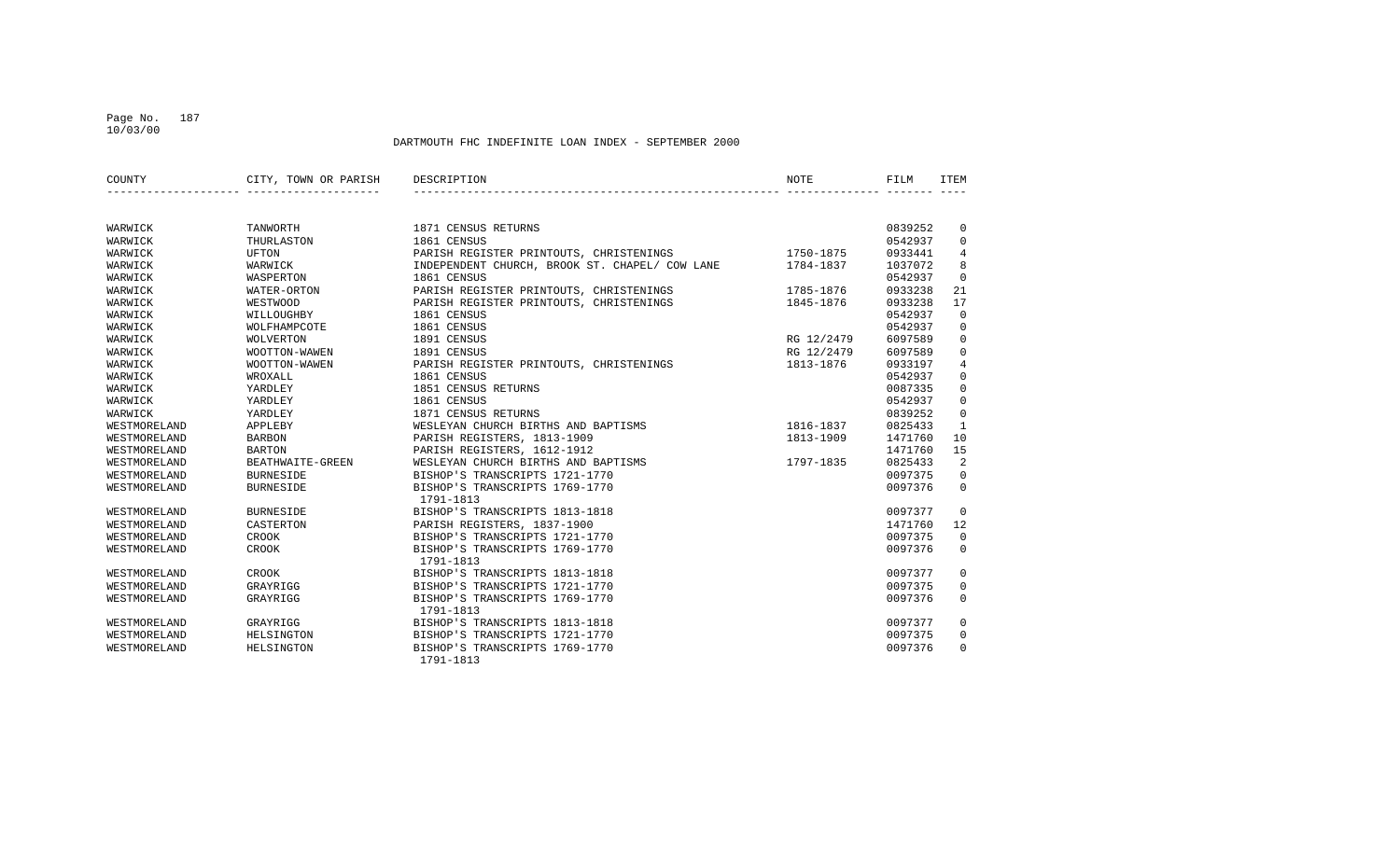### Page No. 187 10/03/00

| COUNTY       | CITY, TOWN OR PARISH | DESCRIPTION                                    | NOTE       | FILM    | <b>ITEM</b>  |
|--------------|----------------------|------------------------------------------------|------------|---------|--------------|
|              |                      |                                                |            |         |              |
| WARWICK      | TANWORTH             | 1871 CENSUS RETURNS                            |            | 0839252 | $\mathbf 0$  |
| WARWICK      | THURLASTON           | 1861 CENSUS                                    |            | 0542937 | $\mathbf 0$  |
| WARWICK      | <b>UFTON</b>         | PARISH REGISTER PRINTOUTS, CHRISTENINGS        | 1750-1875  | 0933441 | 4            |
| WARWICK      | WARWICK              | INDEPENDENT CHURCH, BROOK ST. CHAPEL/ COW LANE | 1784-1837  | 1037072 | 8            |
| WARWICK      | WASPERTON            | 1861 CENSUS                                    |            | 0542937 | $\mathbf 0$  |
| WARWICK      | WATER-ORTON          | PARISH REGISTER PRINTOUTS, CHRISTENINGS        | 1785-1876  | 0933238 | 21           |
| WARWICK      | WESTWOOD             | PARISH REGISTER PRINTOUTS, CHRISTENINGS        | 1845-1876  | 0933238 | 17           |
| WARWICK      | WILLOUGHBY           | 1861 CENSUS                                    |            | 0542937 | $\mathbf 0$  |
| WARWICK      | WOLFHAMPCOTE         | 1861 CENSUS                                    |            | 0542937 | $\mathbf 0$  |
| WARWICK      | <b>WOLVERTON</b>     | 1891 CENSUS                                    | RG 12/2479 | 6097589 | $\mathbf 0$  |
| WARWICK      | WOOTTON-WAWEN        | 1891 CENSUS                                    | RG 12/2479 | 6097589 | $\mathbf 0$  |
| WARWICK      | WOOTTON-WAWEN        | PARISH REGISTER PRINTOUTS, CHRISTENINGS        | 1813-1876  | 0933197 | 4            |
| WARWICK      | WROXALL              | 1861 CENSUS                                    |            | 0542937 | 0            |
| WARWICK      | YARDLEY              | 1851 CENSUS RETURNS                            |            | 0087335 | $\mathbf 0$  |
| WARWICK      | YARDLEY              | 1861 CENSUS                                    |            | 0542937 | $\mathbf 0$  |
| WARWICK      | YARDLEY              | 1871 CENSUS RETURNS                            |            | 0839252 | $\mathbf 0$  |
| WESTMORELAND | APPLEBY              | WESLEYAN CHURCH BIRTHS AND BAPTISMS            | 1816-1837  | 0825433 | $\mathbf{1}$ |
| WESTMORELAND | <b>BARBON</b>        | PARISH REGISTERS, 1813-1909                    | 1813-1909  | 1471760 | 10           |
| WESTMORELAND | <b>BARTON</b>        | PARISH REGISTERS, 1612-1912                    |            | 1471760 | 15           |
| WESTMORELAND | BEATHWAITE-GREEN     | WESLEYAN CHURCH BIRTHS AND BAPTISMS            | 1797-1835  | 0825433 | 2            |
| WESTMORELAND | <b>BURNESIDE</b>     | BISHOP'S TRANSCRIPTS 1721-1770                 |            | 0097375 | 0            |
| WESTMORELAND | <b>BURNESIDE</b>     | BISHOP'S TRANSCRIPTS 1769-1770                 |            | 0097376 | $\mathbf 0$  |
|              |                      | 1791-1813                                      |            |         |              |
| WESTMORELAND | <b>BURNESIDE</b>     | BISHOP'S TRANSCRIPTS 1813-1818                 |            | 0097377 | $\Omega$     |
| WESTMORELAND | CASTERTON            | PARISH REGISTERS, 1837-1900                    |            | 1471760 | 12           |
| WESTMORELAND | <b>CROOK</b>         | BISHOP'S TRANSCRIPTS 1721-1770                 |            | 0097375 | $\mathbf 0$  |
| WESTMORELAND | CROOK                | BISHOP'S TRANSCRIPTS 1769-1770                 |            | 0097376 | $\Omega$     |
|              |                      | 1791-1813                                      |            |         |              |
| WESTMORELAND | CROOK                | BISHOP'S TRANSCRIPTS 1813-1818                 |            | 0097377 | $\mathbf 0$  |
| WESTMORELAND | GRAYRIGG             | BISHOP'S TRANSCRIPTS 1721-1770                 |            | 0097375 | $\mathbf 0$  |
| WESTMORELAND | GRAYRIGG             | BISHOP'S TRANSCRIPTS 1769-1770                 |            | 0097376 | $\Omega$     |
|              |                      | 1791-1813                                      |            |         |              |
| WESTMORELAND | GRAYRIGG             | BISHOP'S TRANSCRIPTS 1813-1818                 |            | 0097377 | 0            |
| WESTMORELAND | HELSINGTON           | BISHOP'S TRANSCRIPTS 1721-1770                 |            | 0097375 | $\mathbf 0$  |
| WESTMORELAND | HELSINGTON           | BISHOP'S TRANSCRIPTS 1769-1770                 |            | 0097376 | $\mathbf 0$  |
|              |                      | 1791-1813                                      |            |         |              |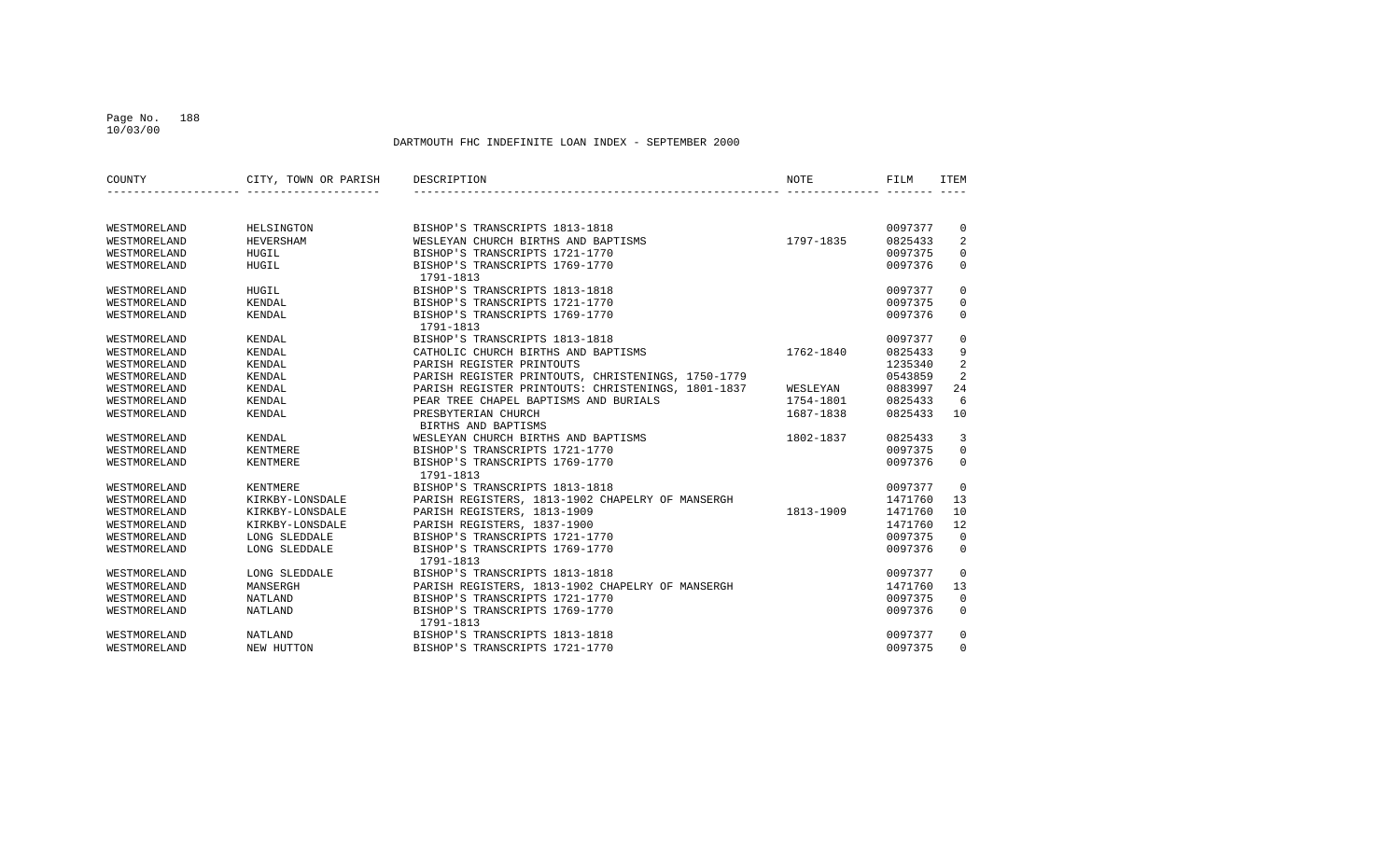### Page No. 188 10/03/00

| COUNTY       | CITY, TOWN OR PARISH | DESCRIPTION                                        | <b>NOTE</b> | FILM    | <b>TTEM</b>    |
|--------------|----------------------|----------------------------------------------------|-------------|---------|----------------|
|              |                      |                                                    |             |         |                |
| WESTMORELAND | HELSINGTON           | BISHOP'S TRANSCRIPTS 1813-1818                     |             | 0097377 | 0              |
| WESTMORELAND | HEVERSHAM            | WESLEYAN CHURCH BIRTHS AND BAPTISMS                | 1797-1835   | 0825433 | 2              |
| WESTMORELAND | HUGIL                | BISHOP'S TRANSCRIPTS 1721-1770                     |             | 0097375 | $\mathbf 0$    |
| WESTMORELAND | HUGIL                | BISHOP'S TRANSCRIPTS 1769-1770<br>1791-1813        |             | 0097376 | $\mathbf 0$    |
| WESTMORELAND | HUGIL                | BISHOP'S TRANSCRIPTS 1813-1818                     |             | 0097377 | $\mathbf 0$    |
| WESTMORELAND | KENDAL               | BISHOP'S TRANSCRIPTS 1721-1770                     |             | 0097375 | $\Omega$       |
| WESTMORELAND | KENDAL               | BISHOP'S TRANSCRIPTS 1769-1770<br>1791-1813        |             | 0097376 | $\mathbf{0}$   |
| WESTMORELAND | KENDAL               | BISHOP'S TRANSCRIPTS 1813-1818                     |             | 0097377 | $\mathbf 0$    |
| WESTMORELAND | KENDAL               | CATHOLIC CHURCH BIRTHS AND BAPTISMS                | 1762-1840   | 0825433 | 9              |
| WESTMORELAND | KENDAL               | PARISH REGISTER PRINTOUTS                          |             | 1235340 | $\overline{a}$ |
| WESTMORELAND | KENDAL               | PARISH REGISTER PRINTOUTS, CHRISTENINGS, 1750-1779 |             | 0543859 | 2              |
| WESTMORELAND | KENDAL               | PARISH REGISTER PRINTOUTS: CHRISTENINGS, 1801-1837 | WESLEYAN    | 0883997 | 24             |
| WESTMORELAND | KENDAL               | PEAR TREE CHAPEL BAPTISMS AND BURIALS              | 1754-1801   | 0825433 | 6              |
| WESTMORELAND | KENDAL               | PRESBYTERIAN CHURCH                                | 1687-1838   | 0825433 | 10             |
|              |                      | BIRTHS AND BAPTISMS                                |             |         |                |
| WESTMORELAND | KENDAL               | WESLEYAN CHURCH BIRTHS AND BAPTISMS                | 1802-1837   | 0825433 | 3              |
| WESTMORELAND | KENTMERE             | BISHOP'S TRANSCRIPTS 1721-1770                     |             | 0097375 | $\Omega$       |
| WESTMORELAND | <b>KENTMERE</b>      | BISHOP'S TRANSCRIPTS 1769-1770<br>1791-1813        |             | 0097376 | $\Omega$       |
| WESTMORELAND | KENTMERE             | BISHOP'S TRANSCRIPTS 1813-1818                     |             | 0097377 | $\mathbf 0$    |
| WESTMORELAND | KIRKBY-LONSDALE      | PARISH REGISTERS, 1813-1902 CHAPELRY OF MANSERGH   |             | 1471760 | 13             |
| WESTMORELAND | KIRKBY-LONSDALE      | PARISH REGISTERS, 1813-1909                        | 1813-1909   | 1471760 | 10             |
| WESTMORELAND | KIRKBY-LONSDALE      | PARISH REGISTERS, 1837-1900                        |             | 1471760 | 12             |
| WESTMORELAND | LONG SLEDDALE        | BISHOP'S TRANSCRIPTS 1721-1770                     |             | 0097375 | $\mathbf 0$    |
| WESTMORELAND | LONG SLEDDALE        | BISHOP'S TRANSCRIPTS 1769-1770<br>1791-1813        |             | 0097376 | $\mathbf{0}$   |
| WESTMORELAND | LONG SLEDDALE        | BISHOP'S TRANSCRIPTS 1813-1818                     |             | 0097377 | $\mathbf 0$    |
| WESTMORELAND | MANSERGH             | PARISH REGISTERS, 1813-1902 CHAPELRY OF MANSERGH   |             | 1471760 | 13             |
| WESTMORELAND | NATLAND              | BISHOP'S TRANSCRIPTS 1721-1770                     |             | 0097375 | $\mathbf 0$    |
| WESTMORELAND | NATLAND              | BISHOP'S TRANSCRIPTS 1769-1770<br>1791-1813        |             | 0097376 | $\mathbf 0$    |
| WESTMORELAND | <b>NATLAND</b>       | BISHOP'S TRANSCRIPTS 1813-1818                     |             | 0097377 | $\mathbf 0$    |
| WESTMORELAND | NEW HUTTON           | BISHOP'S TRANSCRIPTS 1721-1770                     |             | 0097375 | $\Omega$       |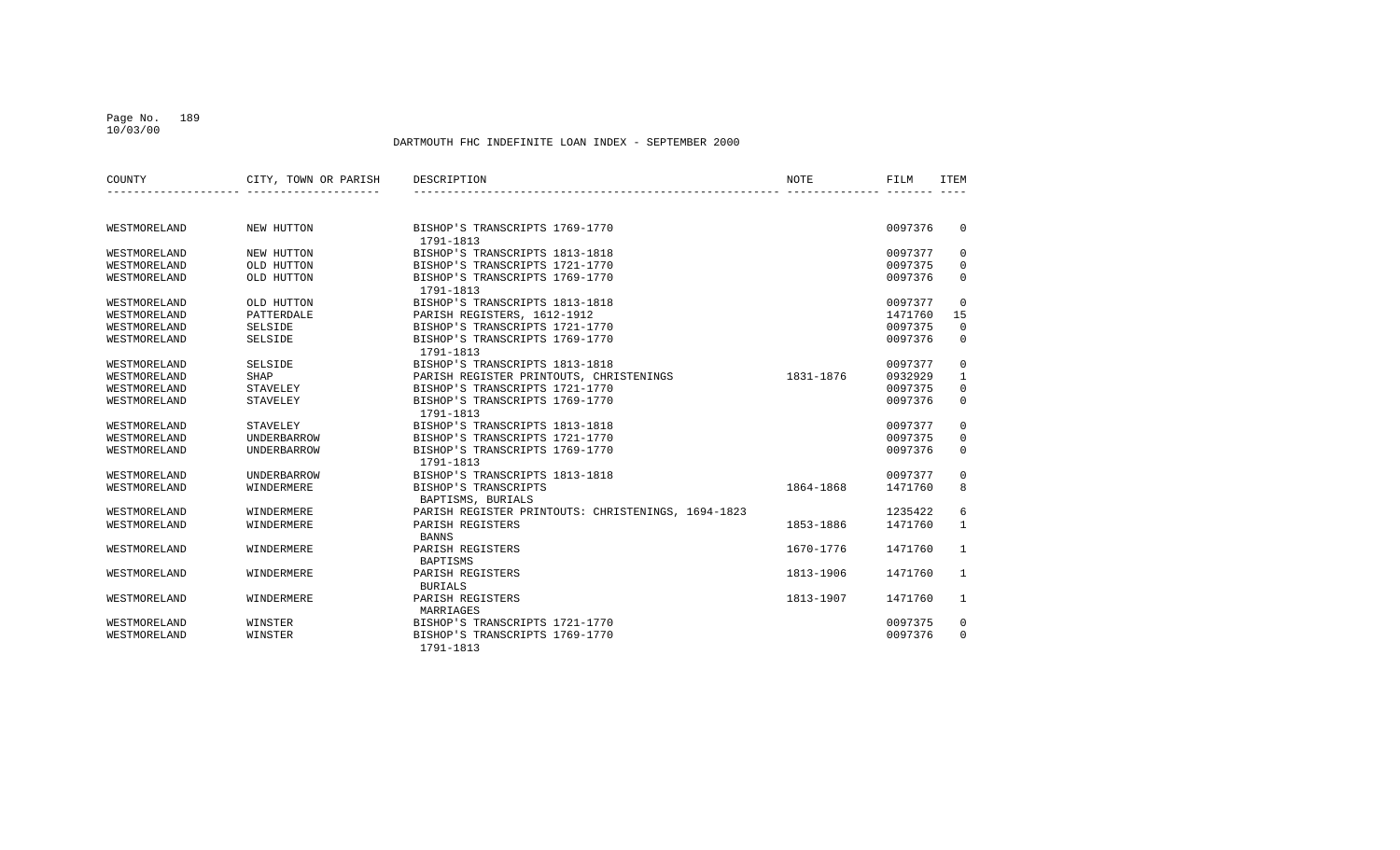#### Page No. 189 10/03/00

| COUNTY       | CITY, TOWN OR PARISH | DESCRIPTION                                        | <b>NOTE</b> | FILM    | <b>ITEM</b>  |
|--------------|----------------------|----------------------------------------------------|-------------|---------|--------------|
|              |                      |                                                    |             |         |              |
| WESTMORELAND | NEW HUTTON           | BISHOP'S TRANSCRIPTS 1769-1770<br>1791-1813        |             | 0097376 | $\Omega$     |
| WESTMORELAND | NEW HUTTON           | BISHOP'S TRANSCRIPTS 1813-1818                     |             | 0097377 | $\mathbf 0$  |
| WESTMORELAND | OLD HUTTON           | BISHOP'S TRANSCRIPTS 1721-1770                     |             | 0097375 | 0            |
| WESTMORELAND | OLD HUTTON           | BISHOP'S TRANSCRIPTS 1769-1770<br>1791-1813        |             | 0097376 | $\mathbf 0$  |
| WESTMORELAND | OLD HUTTON           | BISHOP'S TRANSCRIPTS 1813-1818                     |             | 0097377 | $\Omega$     |
| WESTMORELAND | PATTERDALE           | PARISH REGISTERS, 1612-1912                        |             | 1471760 | 15           |
| WESTMORELAND | SELSIDE              | BISHOP'S TRANSCRIPTS 1721-1770                     |             | 0097375 | $\mathbf 0$  |
| WESTMORELAND | <b>SELSIDE</b>       | BISHOP'S TRANSCRIPTS 1769-1770<br>1791-1813        |             | 0097376 | $\mathbf 0$  |
| WESTMORELAND | <b>SELSIDE</b>       | BISHOP'S TRANSCRIPTS 1813-1818                     |             | 0097377 | 0            |
| WESTMORELAND | SHAP                 | PARISH REGISTER PRINTOUTS, CHRISTENINGS            | 1831-1876   | 0932929 | $\mathbf{1}$ |
| WESTMORELAND | STAVELEY             | BISHOP'S TRANSCRIPTS 1721-1770                     |             | 0097375 | 0            |
| WESTMORELAND | STAVELEY             | BISHOP'S TRANSCRIPTS 1769-1770<br>1791-1813        |             | 0097376 | $\mathbf 0$  |
| WESTMORELAND | <b>STAVELEY</b>      | BISHOP'S TRANSCRIPTS 1813-1818                     |             | 0097377 | $\mathbf{0}$ |
| WESTMORELAND | UNDERBARROW          | BISHOP'S TRANSCRIPTS 1721-1770                     |             | 0097375 | 0            |
| WESTMORELAND | UNDERBARROW          | BISHOP'S TRANSCRIPTS 1769-1770<br>1791-1813        |             | 0097376 | $\Omega$     |
| WESTMORELAND | <b>UNDERBARROW</b>   | BISHOP'S TRANSCRIPTS 1813-1818                     |             | 0097377 | 0            |
| WESTMORELAND | WINDERMERE           | BISHOP'S TRANSCRIPTS<br>BAPTISMS, BURIALS          | 1864-1868   | 1471760 | 8            |
| WESTMORELAND | WINDERMERE           | PARISH REGISTER PRINTOUTS: CHRISTENINGS, 1694-1823 |             | 1235422 | 6            |
| WESTMORELAND | WINDERMERE           | PARISH REGISTERS<br><b>BANNS</b>                   | 1853-1886   | 1471760 | $\mathbf{1}$ |
| WESTMORELAND | WINDERMERE           | PARISH REGISTERS<br>BAPTISMS                       | 1670-1776   | 1471760 | 1            |
| WESTMORELAND | WINDERMERE           | PARISH REGISTERS<br><b>BURIALS</b>                 | 1813-1906   | 1471760 | 1            |
| WESTMORELAND | WINDERMERE           | PARISH REGISTERS                                   | 1813-1907   | 1471760 | 1            |
|              |                      | MARRIAGES                                          |             |         |              |
| WESTMORELAND | WINSTER              | BISHOP'S TRANSCRIPTS 1721-1770                     |             | 0097375 | 0            |
| WESTMORELAND | WINSTER              | BISHOP'S TRANSCRIPTS 1769-1770<br>1791-1813        |             | 0097376 | $\Omega$     |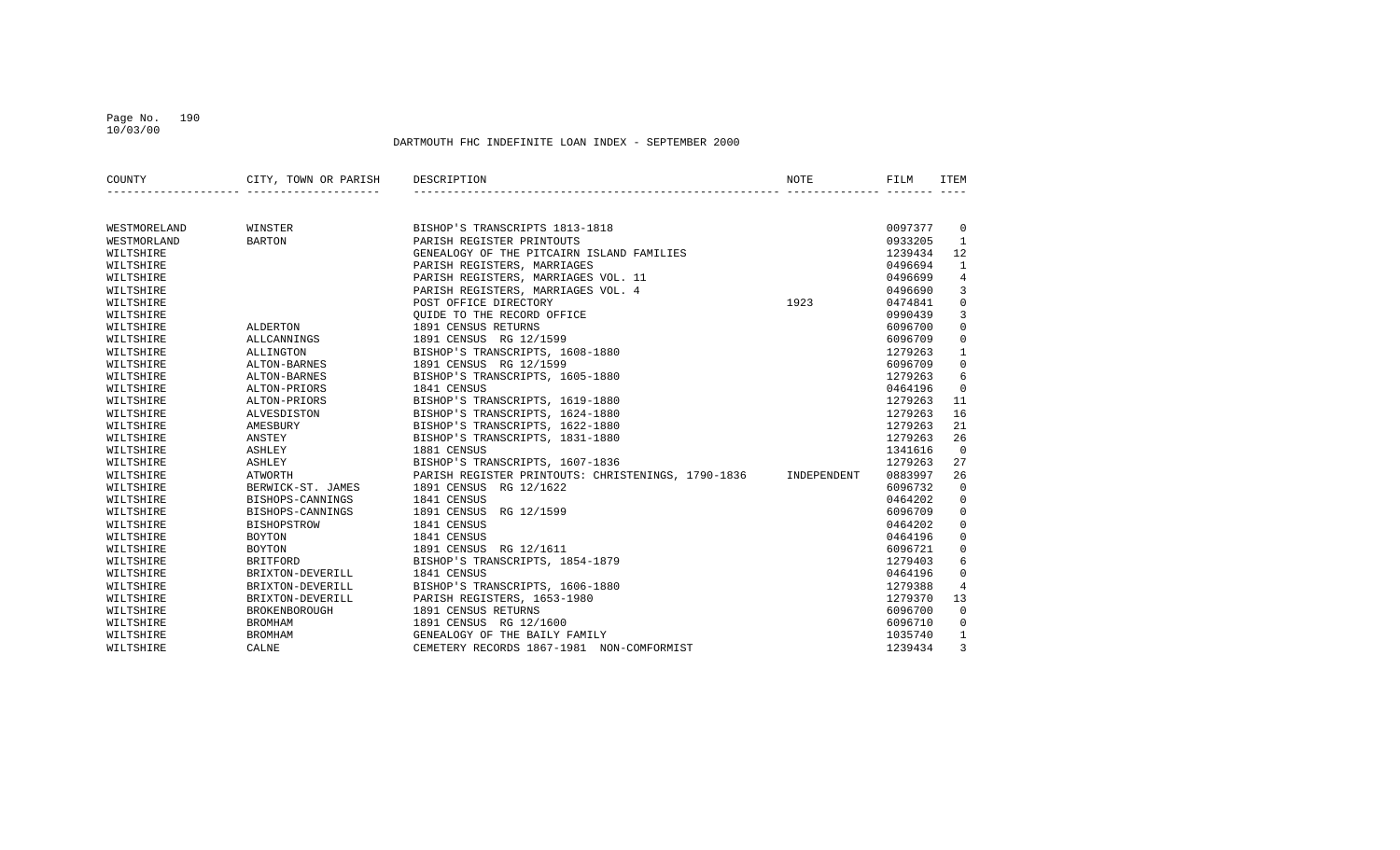#### Page No. 190 10/03/00

| COUNTY       | CITY, TOWN OR PARISH | DESCRIPTION                                                    | NOTE | FILM    | ITEM           |
|--------------|----------------------|----------------------------------------------------------------|------|---------|----------------|
|              |                      |                                                                |      |         |                |
| WESTMORELAND | WINSTER              | BISHOP'S TRANSCRIPTS 1813-1818                                 |      | 0097377 | $\overline{0}$ |
| WESTMORLAND  | <b>BARTON</b>        | PARISH REGISTER PRINTOUTS                                      |      | 0933205 | $\mathbf{1}$   |
| WILTSHIRE    |                      | GENEALOGY OF THE PITCAIRN ISLAND FAMILIES                      |      | 1239434 | 12             |
| WILTSHIRE    |                      | PARISH REGISTERS, MARRIAGES                                    |      | 0496694 | 1              |
| WILTSHIRE    |                      | PARISH REGISTERS, MARRIAGES VOL. 11                            |      | 0496699 | $\overline{4}$ |
| WILTSHIRE    |                      | PARISH REGISTERS, MARRIAGES VOL. 4                             |      | 0496690 | 3              |
| WILTSHIRE    |                      | POST OFFICE DIRECTORY                                          | 1923 | 0474841 | $\mathbf 0$    |
| WILTSHIRE    |                      | OUIDE TO THE RECORD OFFICE                                     |      | 0990439 | 3              |
| WILTSHIRE    | ALDERTON             | 1891 CENSUS RETURNS                                            |      | 6096700 | $\mathbf 0$    |
| WILTSHIRE    | ALLCANNINGS          | 1891 CENSUS RG 12/1599                                         |      | 6096709 | $\mathbf 0$    |
| WILTSHIRE    | ALLINGTON            | BISHOP'S TRANSCRIPTS, 1608-1880                                |      | 1279263 | $\mathbf{1}$   |
| WILTSHIRE    | ALTON-BARNES         | 1891 CENSUS RG 12/1599                                         |      | 6096709 | $\mathbf 0$    |
| WILTSHIRE    | ALTON-BARNES         | BISHOP'S TRANSCRIPTS, 1605-1880                                |      | 1279263 | 6              |
| WILTSHIRE    | ALTON-PRIORS         | 1841 CENSUS                                                    |      | 0464196 | $\mathbf 0$    |
| WILTSHIRE    | ALTON-PRIORS         | BISHOP'S TRANSCRIPTS, 1619-1880                                |      | 1279263 | 11             |
| WILTSHIRE    | ALVESDISTON          | BISHOP'S TRANSCRIPTS, 1624-1880                                |      | 1279263 | 16             |
| WILTSHIRE    | AMESBURY             | BISHOP'S TRANSCRIPTS, 1622-1880                                |      | 1279263 | 21             |
| WILTSHIRE    | ANSTEY               | BISHOP'S TRANSCRIPTS, 1831-1880                                |      | 1279263 | 26             |
| WILTSHIRE    | ASHLEY               | 1881 CENSUS                                                    |      | 1341616 | $\Omega$       |
| WILTSHIRE    | ASHLEY               | BISHOP'S TRANSCRIPTS, 1607-1836                                |      | 1279263 | 27             |
| WILTSHIRE    | ATWORTH              | PARISH REGISTER PRINTOUTS: CHRISTENINGS, 1790-1836 INDEPENDENT |      | 0883997 | 26             |
| WILTSHIRE    | BERWICK-ST. JAMES    | 1891 CENSUS RG 12/1622                                         |      | 6096732 | $\mathbf 0$    |
| WILTSHIRE    | BISHOPS-CANNINGS     | 1841 CENSUS                                                    |      | 0464202 | $\mathbf 0$    |
| WILTSHIRE    | BISHOPS-CANNINGS     | 1891 CENSUS RG 12/1599                                         |      | 6096709 | $\mathbf 0$    |
| WILTSHIRE    | <b>BISHOPSTROW</b>   | 1841 CENSUS                                                    |      | 0464202 | $\mathbf 0$    |
| WILTSHIRE    | BOYTON               | 1841 CENSUS                                                    |      | 0464196 | $\mathbf 0$    |
| WILTSHIRE    | <b>BOYTON</b>        | 1891 CENSUS RG 12/1611                                         |      | 6096721 | $\mathbf 0$    |
| WILTSHIRE    | BRITFORD             | BISHOP'S TRANSCRIPTS, 1854-1879                                |      | 1279403 | 6              |
| WILTSHIRE    | BRIXTON-DEVERILL     | 1841 CENSUS                                                    |      | 0464196 | $\mathbf 0$    |
| WILTSHIRE    | BRIXTON-DEVERILL     | BISHOP'S TRANSCRIPTS, 1606-1880                                |      | 1279388 | $\overline{4}$ |
| WILTSHIRE    | BRIXTON-DEVERILL     | PARISH REGISTERS, 1653-1980                                    |      | 1279370 | 13             |
| WILTSHIRE    | BROKENBOROUGH        | 1891 CENSUS RETURNS                                            |      | 6096700 | $\mathbf 0$    |
| WILTSHIRE    | <b>BROMHAM</b>       | 1891 CENSUS RG 12/1600                                         |      | 6096710 | $\mathbf{0}$   |
| WILTSHIRE    | <b>BROMHAM</b>       | GENEALOGY OF THE BAILY FAMILY                                  |      | 1035740 | $\mathbf{1}$   |
| WILTSHIRE    | CALNE                | CEMETERY RECORDS 1867-1981 NON-COMFORMIST                      |      | 1239434 | 3              |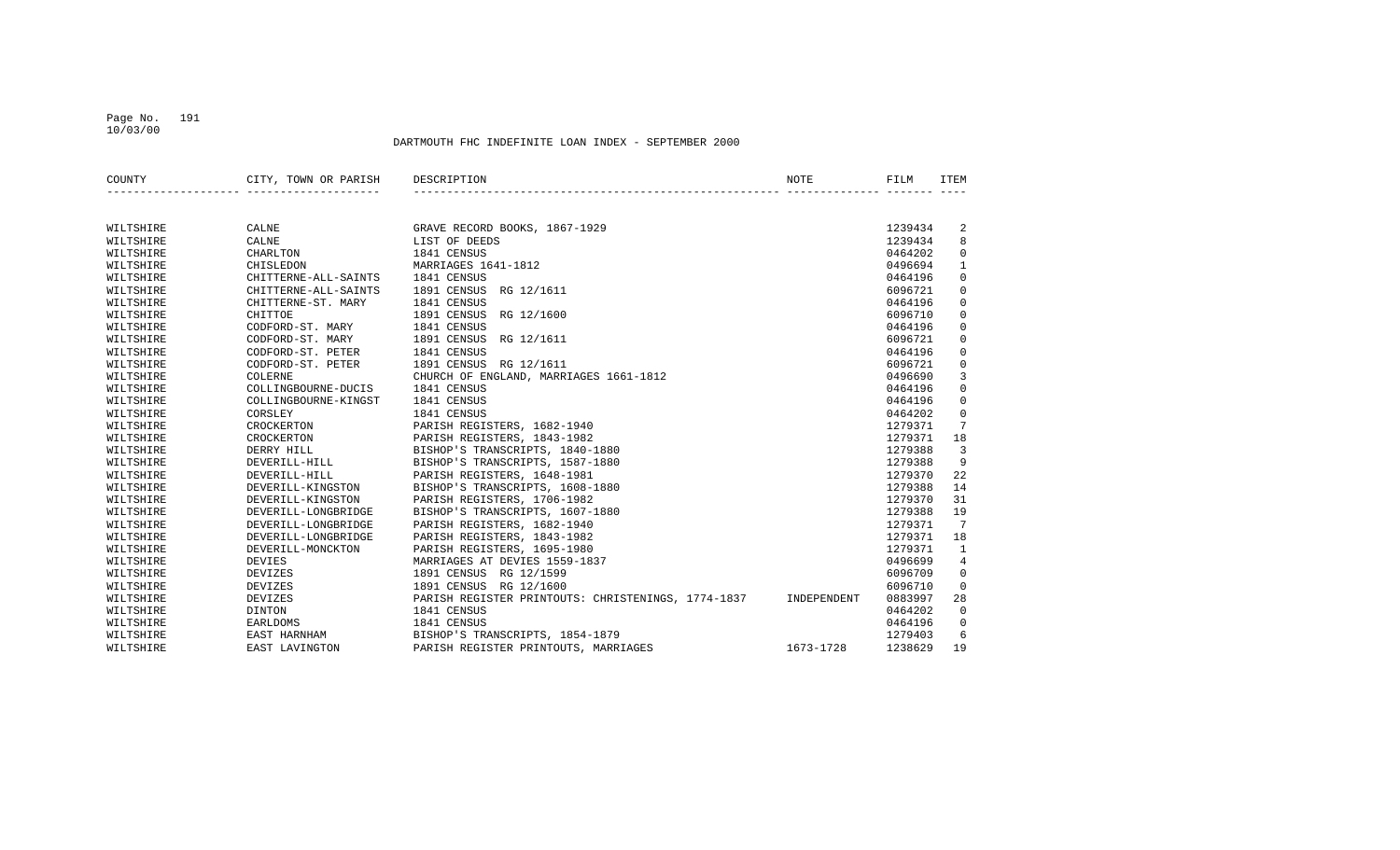# DARTMOUTH FHC INDEFINITE LOAN INDEX - SEPTEMBER 2000

| COUNTY    | CITY, TOWN OR PARISH | DESCRIPTION                                        | NOTE        | FILM    | ITEM           |
|-----------|----------------------|----------------------------------------------------|-------------|---------|----------------|
|           |                      |                                                    |             |         |                |
| WILTSHIRE | CALNE                | GRAVE RECORD BOOKS, 1867-1929                      |             | 1239434 | 2              |
| WILTSHIRE | CALNE                | LIST OF DEEDS                                      |             | 1239434 | 8              |
| WILTSHIRE | CHARLTON             | 1841 CENSUS                                        |             | 0464202 | $\mathbf 0$    |
| WILTSHIRE | CHISLEDON            | MARRIAGES 1641-1812                                |             | 0496694 | $\mathbf{1}$   |
| WILTSHIRE | CHITTERNE-ALL-SAINTS | 1841 CENSUS                                        |             | 0464196 | $\mathbf 0$    |
| WILTSHIRE | CHITTERNE-ALL-SAINTS | 1891 CENSUS RG 12/1611                             |             | 6096721 | $\mathbf 0$    |
| WILTSHIRE | CHITTERNE-ST. MARY   | 1841 CENSUS                                        |             | 0464196 | $\mathbf 0$    |
| WILTSHIRE | CHITTOE              | 1891 CENSUS RG 12/1600                             |             | 6096710 | $\mathbf 0$    |
| WILTSHIRE | CODFORD-ST. MARY     | 1841 CENSUS                                        |             | 0464196 | $\mathbf 0$    |
| WILTSHIRE | CODFORD-ST. MARY     | 1891 CENSUS RG 12/1611                             |             | 6096721 | $\mathbf 0$    |
| WILTSHIRE | CODFORD-ST. PETER    | 1841 CENSUS                                        |             | 0464196 | $\mathbf 0$    |
| WILTSHIRE | CODFORD-ST. PETER    | 1891 CENSUS RG 12/1611                             |             | 6096721 | $\mathbf 0$    |
| WILTSHIRE | <b>COLERNE</b>       | CHURCH OF ENGLAND, MARRIAGES 1661-1812             |             | 0496690 | 3              |
| WILTSHIRE | COLLINGBOURNE-DUCIS  | 1841 CENSUS                                        |             | 0464196 | $\mathbf 0$    |
| WILTSHIRE | COLLINGBOURNE-KINGST | 1841 CENSUS                                        |             | 0464196 | $\mathbf 0$    |
| WILTSHIRE | CORSLEY              | 1841 CENSUS                                        |             | 0464202 | $\mathsf{O}$   |
| WILTSHIRE | CROCKERTON           | PARISH REGISTERS, 1682-1940                        |             | 1279371 | 7              |
| WILTSHIRE | CROCKERTON           | PARISH REGISTERS, 1843-1982                        |             | 1279371 | 18             |
| WILTSHIRE | DERRY HILL           | BISHOP'S TRANSCRIPTS, 1840-1880                    |             | 1279388 | $\overline{3}$ |
| WILTSHIRE | DEVERILL-HILL        | BISHOP'S TRANSCRIPTS, 1587-1880                    |             | 1279388 | 9              |
| WILTSHIRE | DEVERILL-HILL        | PARISH REGISTERS, 1648-1981                        |             | 1279370 | 22             |
| WILTSHIRE | DEVERILL-KINGSTON    | BISHOP'S TRANSCRIPTS, 1608-1880                    |             | 1279388 | 14             |
| WILTSHIRE | DEVERILL-KINGSTON    | PARISH REGISTERS, 1706-1982                        |             | 1279370 | 31             |
| WILTSHIRE | DEVERILL-LONGBRIDGE  | BISHOP'S TRANSCRIPTS, 1607-1880                    |             | 1279388 | 19             |
| WILTSHIRE | DEVERILL-LONGBRIDGE  | PARISH REGISTERS, 1682-1940                        |             | 1279371 | 7              |
| WILTSHIRE | DEVERILL-LONGBRIDGE  | PARISH REGISTERS, 1843-1982                        |             | 1279371 | 18             |
| WILTSHIRE | DEVERILL-MONCKTON    | PARISH REGISTERS, 1695-1980                        |             | 1279371 | $\mathbf{1}$   |
| WILTSHIRE | DEVIES               | MARRIAGES AT DEVIES 1559-1837                      |             | 0496699 | $\overline{4}$ |
| WILTSHIRE | <b>DEVIZES</b>       | 1891 CENSUS RG 12/1599                             |             | 6096709 | $\mathbf 0$    |
| WILTSHIRE | <b>DEVIZES</b>       | 1891 CENSUS RG 12/1600                             |             | 6096710 | $\mathbf 0$    |
| WILTSHIRE | <b>DEVIZES</b>       | PARISH REGISTER PRINTOUTS: CHRISTENINGS, 1774-1837 | INDEPENDENT | 0883997 | 28             |
| WILTSHIRE | DINTON               | 1841 CENSUS                                        |             | 0464202 | $\overline{0}$ |
| WILTSHIRE | EARLDOMS             | 1841 CENSUS                                        |             | 0464196 | $\mathbf 0$    |
| WILTSHIRE | EAST HARNHAM         | BISHOP'S TRANSCRIPTS, 1854-1879                    |             | 1279403 | 6              |
| WILTSHIRE | EAST LAVINGTON       | PARISH REGISTER PRINTOUTS, MARRIAGES               | 1673-1728   | 1238629 | 19             |
|           |                      |                                                    |             |         |                |

 Page No. 191 10/03/00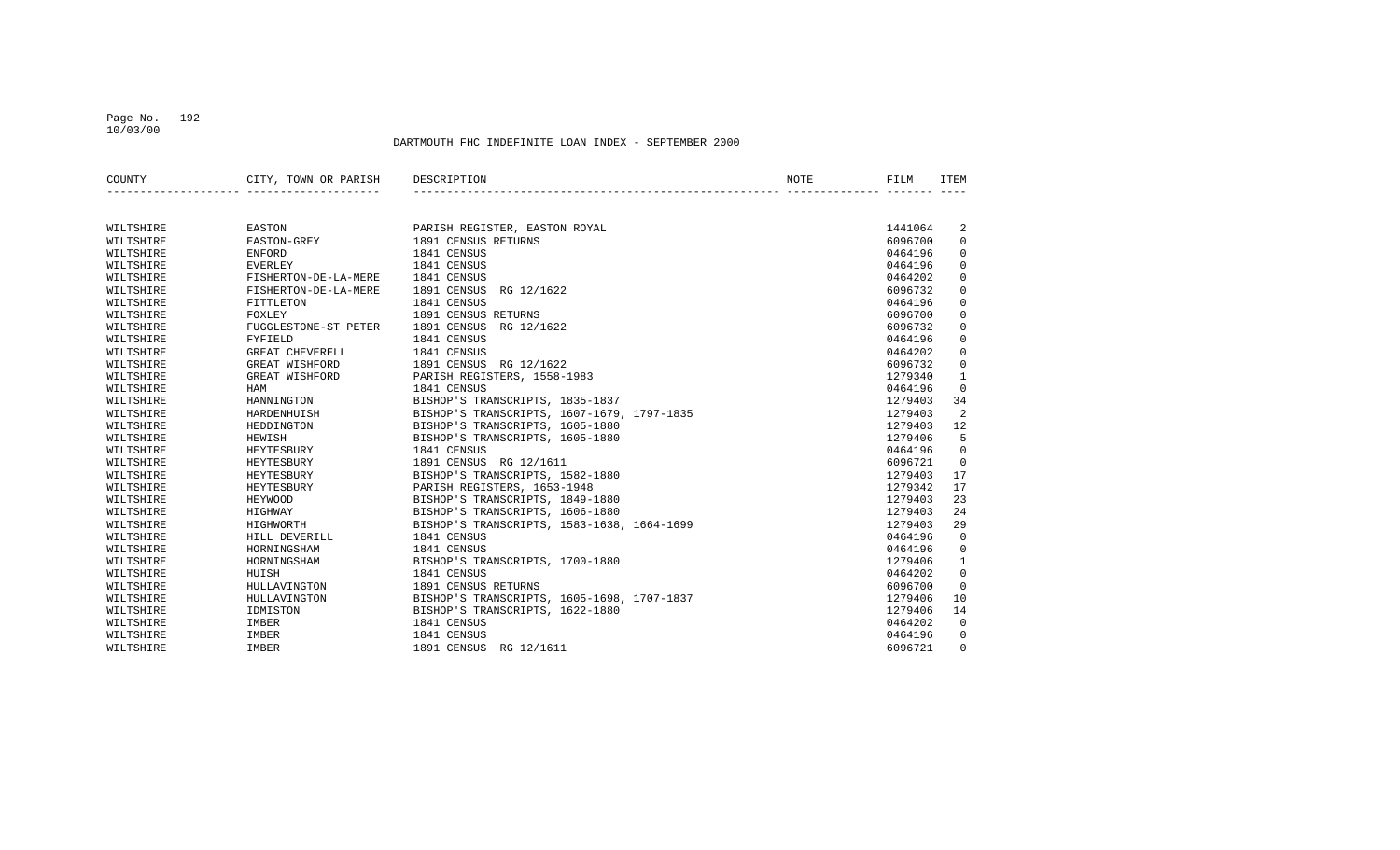#### Page No. 192 10/03/00

| COUNTY    | CITY, TOWN OR PARISH | DESCRIPTION                                | NOTE | FILM    | <b>ITEM</b>  |
|-----------|----------------------|--------------------------------------------|------|---------|--------------|
|           |                      |                                            |      |         |              |
| WILTSHIRE | EASTON               | PARISH REGISTER, EASTON ROYAL              |      | 1441064 | 2            |
| WILTSHIRE | EASTON-GREY          | 1891 CENSUS RETURNS                        |      | 6096700 | $\mathbf 0$  |
| WILTSHIRE | ENFORD               | 1841 CENSUS                                |      | 0464196 | 0            |
| WILTSHIRE | EVERLEY              | 1841 CENSUS                                |      | 0464196 | $\mathbf 0$  |
| WILTSHIRE | FISHERTON-DE-LA-MERE | 1841 CENSUS                                |      | 0464202 | $\mathbf 0$  |
| WILTSHIRE | FISHERTON-DE-LA-MERE | 1891 CENSUS<br>RG 12/1622                  |      | 6096732 | $\mathbf 0$  |
| WILTSHIRE | FITTLETON            | 1841 CENSUS                                |      | 0464196 | $\mathbf 0$  |
| WILTSHIRE | FOXLEY               | 1891 CENSUS RETURNS                        |      | 6096700 | $\mathbf 0$  |
| WILTSHIRE | FUGGLESTONE-ST PETER | 1891 CENSUS<br>RG 12/1622                  |      | 6096732 | $\mathbf 0$  |
| WILTSHIRE | FYFIELD              | 1841 CENSUS                                |      | 0464196 | 0            |
| WILTSHIRE | GREAT CHEVERELL      | 1841 CENSUS                                |      | 0464202 | $\mathbf 0$  |
| WILTSHIRE | GREAT WISHFORD       | 1891 CENSUS RG 12/1622                     |      | 6096732 | $\mathbf 0$  |
| WILTSHIRE | GREAT WISHFORD       | PARISH REGISTERS, 1558-1983                |      | 1279340 | $\mathbf{1}$ |
| WILTSHIRE | HAM                  | 1841 CENSUS                                |      | 0464196 | $\Omega$     |
| WILTSHIRE | HANNINGTON           | BISHOP'S TRANSCRIPTS, 1835-1837            |      | 1279403 | 34           |
| WILTSHIRE | HARDENHUISH          | BISHOP'S TRANSCRIPTS, 1607-1679, 1797-1835 |      | 1279403 | 2            |
| WILTSHIRE | HEDDINGTON           | BISHOP'S TRANSCRIPTS, 1605-1880            |      | 1279403 | 12           |
| WILTSHIRE | HEWISH               | BISHOP'S TRANSCRIPTS, 1605-1880            |      | 1279406 | 5            |
| WILTSHIRE | HEYTESBURY           | 1841 CENSUS                                |      | 0464196 | $\Omega$     |
| WILTSHIRE | HEYTESBURY           | 1891 CENSUS RG 12/1611                     |      | 6096721 | $\Omega$     |
| WILTSHIRE | HEYTESBURY           | BISHOP'S TRANSCRIPTS, 1582-1880            |      | 1279403 | 17           |
| WILTSHIRE | HEYTESBURY           | PARISH REGISTERS, 1653-1948                |      | 1279342 | 17           |
| WILTSHIRE | HEYWOOD              | BISHOP'S TRANSCRIPTS, 1849-1880            |      | 1279403 | 23           |
| WILTSHIRE | HIGHWAY              | BISHOP'S TRANSCRIPTS, 1606-1880            |      | 1279403 | 24           |
| WILTSHIRE | HIGHWORTH            | BISHOP'S TRANSCRIPTS, 1583-1638, 1664-1699 |      | 1279403 | 29           |
| WILTSHIRE | HILL DEVERILL        | 1841 CENSUS                                |      | 0464196 | $\mathbf 0$  |
| WILTSHIRE | HORNINGSHAM          | 1841 CENSUS                                |      | 0464196 | $\mathbf 0$  |
| WILTSHIRE | HORNINGSHAM          | BISHOP'S TRANSCRIPTS, 1700-1880            |      | 1279406 | $\mathbf{1}$ |
| WILTSHIRE | HUISH                | 1841 CENSUS                                |      | 0464202 | $\mathbf 0$  |
| WILTSHIRE | HULLAVINGTON         | 1891 CENSUS RETURNS                        |      | 6096700 | $\Omega$     |
| WILTSHIRE | HULLAVINGTON         | BISHOP'S TRANSCRIPTS, 1605-1698, 1707-1837 |      | 1279406 | 10           |
| WILTSHIRE | IDMISTON             | BISHOP'S TRANSCRIPTS, 1622-1880            |      | 1279406 | 14           |
| WILTSHIRE | IMBER                | 1841 CENSUS                                |      | 0464202 | $\mathbf 0$  |
| WILTSHIRE | IMBER                | 1841 CENSUS                                |      | 0464196 | 0            |
| WILTSHIRE | IMBER                | 1891 CENSUS RG 12/1611                     |      | 6096721 | $\Omega$     |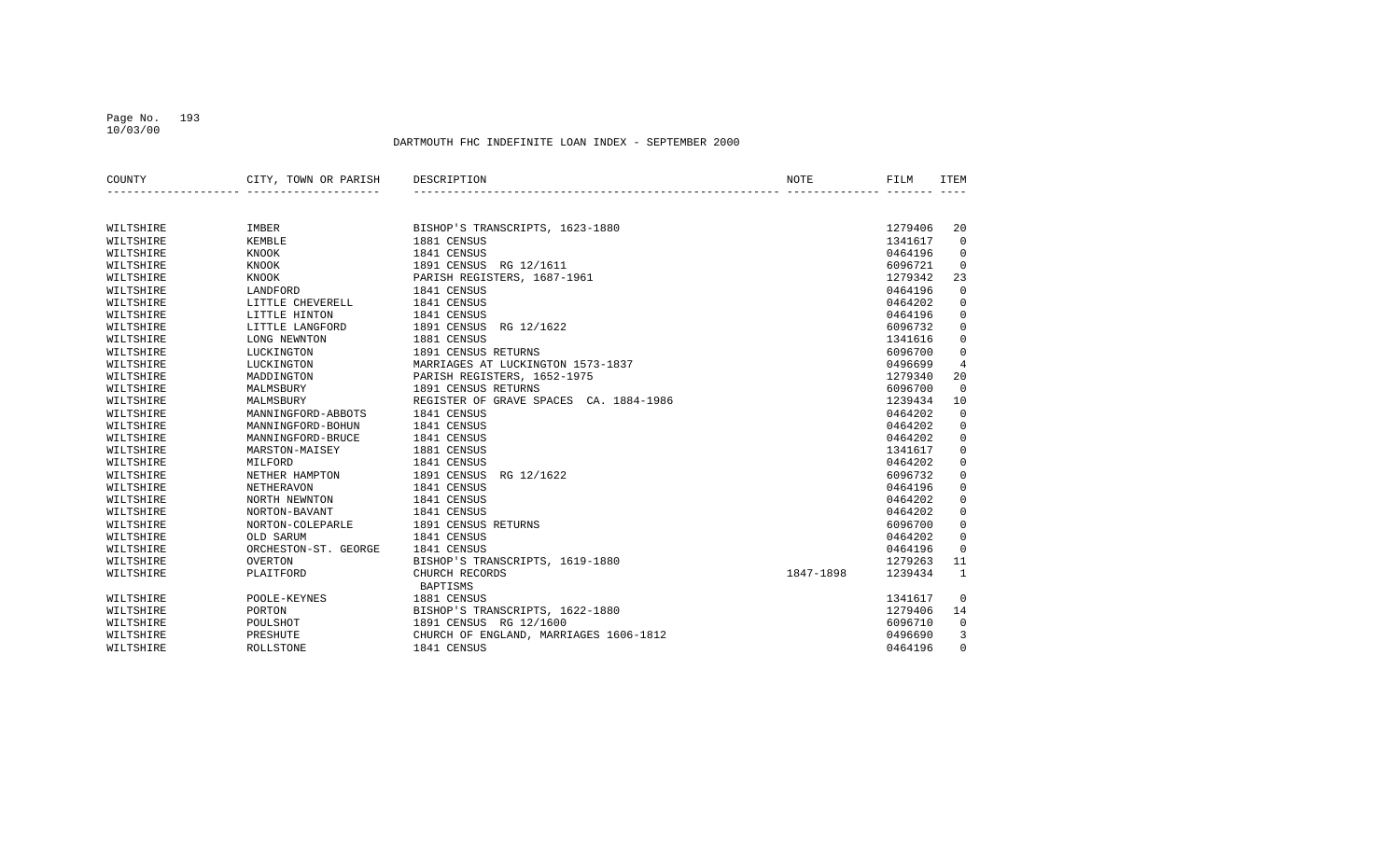#### Page No. 193 10/03/00

| COUNTY    | CITY, TOWN OR PARISH | DESCRIPTION                            | NOTE      | FILM    | ITEM           |
|-----------|----------------------|----------------------------------------|-----------|---------|----------------|
|           |                      |                                        |           |         |                |
| WILTSHIRE | IMBER                | BISHOP'S TRANSCRIPTS, 1623-1880        |           | 1279406 | 20             |
| WILTSHIRE | KEMBLE               | 1881 CENSUS                            |           | 1341617 | $\Omega$       |
| WILTSHIRE | KNOOK                | 1841 CENSUS                            |           | 0464196 | $\Omega$       |
| WILTSHIRE | KNOOK                | 1891 CENSUS RG 12/1611                 |           | 6096721 | $\overline{0}$ |
| WILTSHIRE | KNOOK                | PARISH REGISTERS, 1687-1961            |           | 1279342 | 23             |
| WILTSHIRE | LANDFORD             | 1841 CENSUS                            |           | 0464196 | $\mathbf 0$    |
| WILTSHIRE | LITTLE CHEVERELL     | 1841 CENSUS                            |           | 0464202 | $\mathbf 0$    |
| WILTSHIRE | LITTLE HINTON        | 1841 CENSUS                            |           | 0464196 | $\mathbf 0$    |
| WILTSHIRE | LITTLE LANGFORD      | 1891 CENSUS<br>RG 12/1622              |           | 6096732 | $\mathbf 0$    |
| WILTSHIRE | LONG NEWNTON         | 1881 CENSUS                            |           | 1341616 | $\mathbf 0$    |
| WILTSHIRE | LUCKINGTON           | 1891 CENSUS RETURNS                    |           | 6096700 | $\mathbf 0$    |
| WILTSHIRE | LUCKINGTON           | MARRIAGES AT LUCKINGTON 1573-1837      |           | 0496699 | $\overline{4}$ |
| WILTSHIRE | MADDINGTON           | PARISH REGISTERS, 1652-1975            |           | 1279340 | 20             |
| WILTSHIRE | MALMSBURY            | 1891 CENSUS RETURNS                    |           | 6096700 | $\overline{0}$ |
| WILTSHIRE | MALMSBURY            | REGISTER OF GRAVE SPACES CA. 1884-1986 |           | 1239434 | 10             |
| WILTSHIRE | MANNINGFORD-ABBOTS   | 1841 CENSUS                            |           | 0464202 | $\overline{0}$ |
| WILTSHIRE | MANNINGFORD-BOHUN    | 1841 CENSUS                            |           | 0464202 | $\mathbf 0$    |
| WILTSHIRE | MANNINGFORD-BRUCE    | 1841 CENSUS                            |           | 0464202 | $\mathbf 0$    |
| WILTSHIRE | MARSTON-MAISEY       | 1881 CENSUS                            |           | 1341617 | $\mathbf 0$    |
| WILTSHIRE | MILFORD              | 1841 CENSUS                            |           | 0464202 | $\mathbf 0$    |
| WILTSHIRE | NETHER HAMPTON       | 1891 CENSUS<br>RG 12/1622              |           | 6096732 | $\mathbf 0$    |
| WILTSHIRE | <b>NETHERAVON</b>    | 1841 CENSUS                            |           | 0464196 | $\mathsf{O}$   |
| WILTSHIRE | NORTH NEWNTON        | 1841 CENSUS                            |           | 0464202 | $\mathbf 0$    |
| WILTSHIRE | NORTON-BAVANT        | 1841 CENSUS                            |           | 0464202 | $\mathbf 0$    |
| WILTSHIRE | NORTON-COLEPARLE     | 1891 CENSUS RETURNS                    |           | 6096700 | $\mathbf 0$    |
| WILTSHIRE | OLD SARUM            | 1841 CENSUS                            |           | 0464202 | $\mathbf 0$    |
| WILTSHIRE | ORCHESTON-ST. GEORGE | 1841 CENSUS                            |           | 0464196 | $\overline{0}$ |
| WILTSHIRE | <b>OVERTON</b>       | BISHOP'S TRANSCRIPTS, 1619-1880        |           | 1279263 | 11             |
| WILTSHIRE | PLAITFORD            | CHURCH RECORDS                         | 1847-1898 | 1239434 | $\mathbf{1}$   |
|           |                      | <b>BAPTISMS</b>                        |           |         |                |
| WILTSHIRE | POOLE-KEYNES         | 1881 CENSUS                            |           | 1341617 | $\Omega$       |
| WILTSHIRE | PORTON               | BISHOP'S TRANSCRIPTS, 1622-1880        |           | 1279406 | 14             |
| WILTSHIRE | POULSHOT             | 1891 CENSUS RG 12/1600                 |           | 6096710 | $\mathbf 0$    |
| WILTSHIRE | PRESHUTE             | CHURCH OF ENGLAND, MARRIAGES 1606-1812 |           | 0496690 | 3              |
| WILTSHIRE | ROLLSTONE            | 1841 CENSUS                            |           | 0464196 | $\Omega$       |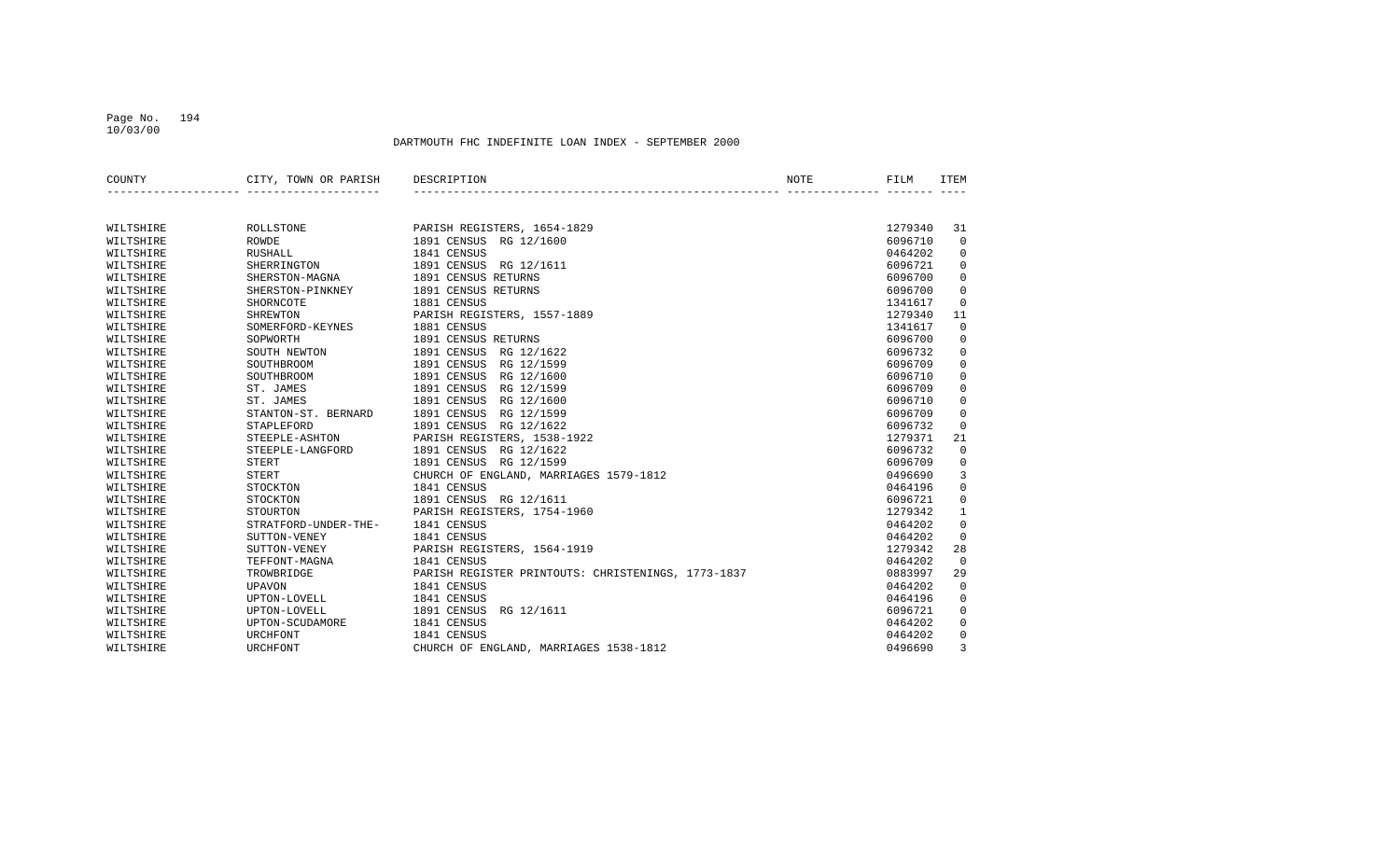#### Page No. 194 10/03/00

| COUNTY    | CITY, TOWN OR PARISH | DESCRIPTION                                        | NOTE | FILM    | <b>TTEM</b>    |
|-----------|----------------------|----------------------------------------------------|------|---------|----------------|
|           |                      |                                                    |      |         |                |
| WILTSHIRE | ROLLSTONE            | PARISH REGISTERS, 1654-1829                        |      | 1279340 | 31             |
| WILTSHIRE | <b>ROWDE</b>         | 1891 CENSUS RG 12/1600                             |      | 6096710 | $\mathbf 0$    |
| WILTSHIRE | <b>RUSHALL</b>       | 1841 CENSUS                                        |      | 0464202 | $\mathbf 0$    |
| WILTSHIRE | SHERRINGTON          | 1891 CENSUS<br>RG 12/1611                          |      | 6096721 | $\mathbf 0$    |
| WILTSHIRE | SHERSTON-MAGNA       | 1891 CENSUS RETURNS                                |      | 6096700 | $\Omega$       |
| WILTSHIRE | SHERSTON-PINKNEY     | 1891 CENSUS RETURNS                                |      | 6096700 | $\mathbf 0$    |
| WILTSHIRE | SHORNCOTE            | 1881 CENSUS                                        |      | 1341617 | $\mathbf 0$    |
| WILTSHIRE | SHREWTON             | PARISH REGISTERS, 1557-1889                        |      | 1279340 | 11             |
| WILTSHIRE | SOMERFORD-KEYNES     | 1881 CENSUS                                        |      | 1341617 | $\mathbf 0$    |
| WILTSHIRE | SOPWORTH             | 1891 CENSUS RETURNS                                |      | 6096700 | $\mathbf 0$    |
| WILTSHIRE | SOUTH NEWTON         | 1891 CENSUS<br>RG 12/1622                          |      | 6096732 | $\mathbf 0$    |
| WILTSHIRE | SOUTHBROOM           | 1891 CENSUS<br>RG 12/1599                          |      | 6096709 | $\mathbf 0$    |
| WILTSHIRE | SOUTHBROOM           | 1891 CENSUS<br>RG 12/1600                          |      | 6096710 | $\mathbf 0$    |
| WILTSHIRE | ST. JAMES            | 1891 CENSUS<br>RG 12/1599                          |      | 6096709 | $\mathbf 0$    |
| WILTSHIRE | ST. JAMES            | RG 12/1600<br>1891 CENSUS                          |      | 6096710 | $\mathbf 0$    |
| WILTSHIRE | STANTON-ST. BERNARD  | 1891 CENSUS<br>RG 12/1599                          |      | 6096709 | $\mathbf 0$    |
| WILTSHIRE | STAPLEFORD           | 1891 CENSUS<br>RG 12/1622                          |      | 6096732 | $\mathbf 0$    |
| WILTSHIRE | STEEPLE-ASHTON       | PARISH REGISTERS, 1538-1922                        |      | 1279371 | 21             |
| WILTSHIRE | STEEPLE-LANGFORD     | 1891 CENSUS<br>RG 12/1622                          |      | 6096732 | $\mathbf 0$    |
| WILTSHIRE | STERT                | 1891 CENSUS RG 12/1599                             |      | 6096709 | 0              |
| WILTSHIRE | <b>STERT</b>         | CHURCH OF ENGLAND, MARRIAGES 1579-1812             |      | 0496690 | 3              |
| WILTSHIRE | STOCKTON             | 1841 CENSUS                                        |      | 0464196 | $\mathbf 0$    |
| WILTSHIRE | STOCKTON             | 1891 CENSUS RG 12/1611                             |      | 6096721 | $\mathbf 0$    |
| WILTSHIRE | STOURTON             | PARISH REGISTERS, 1754-1960                        |      | 1279342 | $\mathbf{1}$   |
| WILTSHIRE | STRATFORD-UNDER-THE- | 1841 CENSUS                                        |      | 0464202 | $\mathbf 0$    |
| WILTSHIRE | SUTTON-VENEY         | 1841 CENSUS                                        |      | 0464202 | $\overline{0}$ |
| WILTSHIRE | SUTTON-VENEY         | PARISH REGISTERS, 1564-1919                        |      | 1279342 | 28             |
| WILTSHIRE | TEFFONT-MAGNA        | 1841 CENSUS                                        |      | 0464202 | $\overline{0}$ |
| WILTSHIRE | TROWBRIDGE           | PARISH REGISTER PRINTOUTS: CHRISTENINGS, 1773-1837 |      | 0883997 | 29             |
| WILTSHIRE | <b>UPAVON</b>        | 1841 CENSUS                                        |      | 0464202 | $\mathbf 0$    |
| WILTSHIRE | UPTON-LOVELL         | 1841 CENSUS                                        |      | 0464196 | $\mathbf 0$    |
| WILTSHIRE | UPTON-LOVELL         | 1891 CENSUS<br>RG 12/1611                          |      | 6096721 | $\mathbf 0$    |
| WILTSHIRE | UPTON-SCUDAMORE      | 1841 CENSUS                                        |      | 0464202 | $\mathbf 0$    |
| WILTSHIRE | URCHFONT             | 1841 CENSUS                                        |      | 0464202 | $\mathbf 0$    |
| WILTSHIRE | <b>URCHFONT</b>      | CHURCH OF ENGLAND, MARRIAGES 1538-1812             |      | 0496690 | 3              |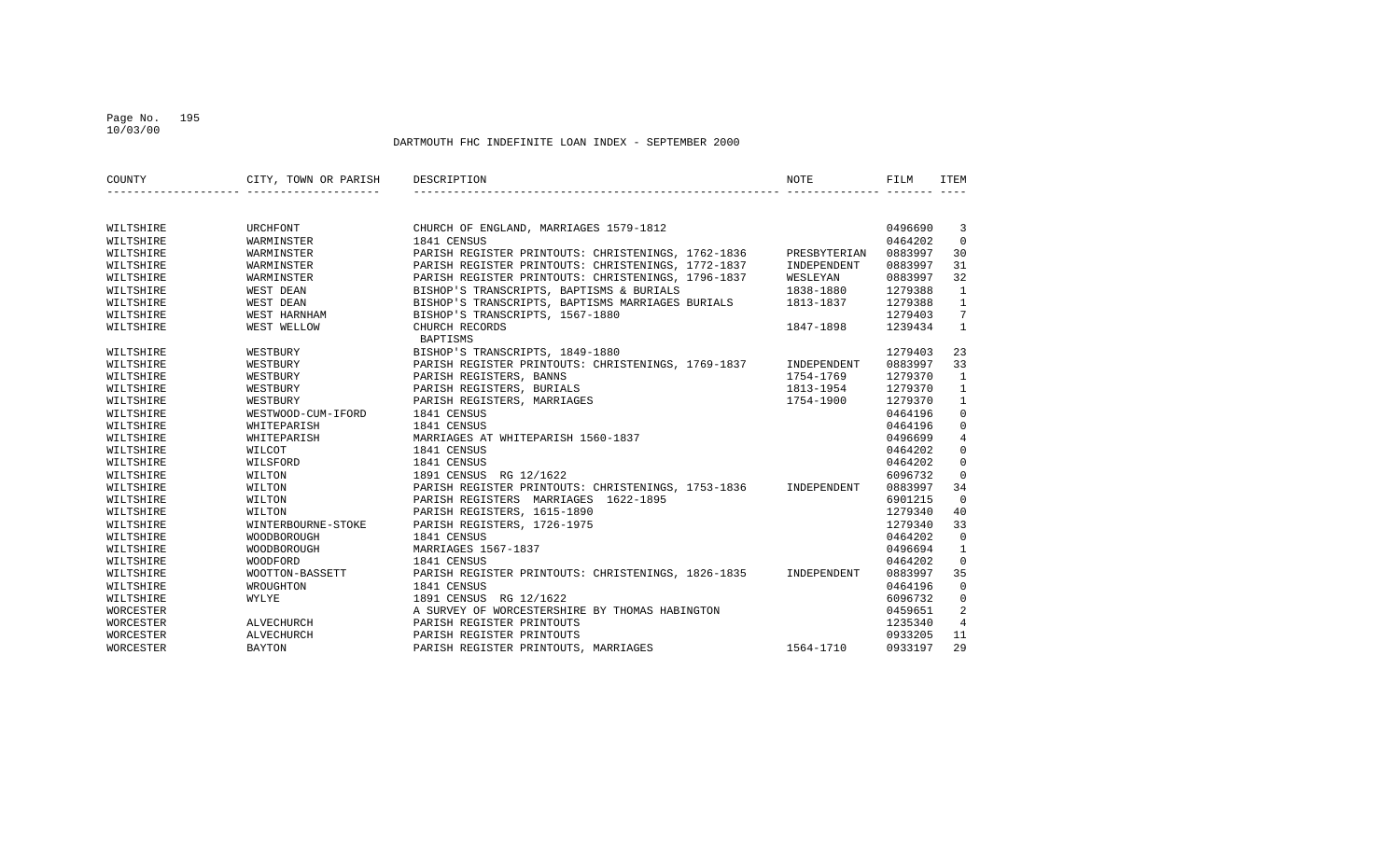### Page No. 195 10/03/00

| COUNTY    | CITY, TOWN OR PARISH | DESCRIPTION                                        | NOTE         | FILM    | ITEM            |
|-----------|----------------------|----------------------------------------------------|--------------|---------|-----------------|
|           |                      |                                                    |              |         |                 |
| WILTSHIRE | URCHFONT             | CHURCH OF ENGLAND, MARRIAGES 1579-1812             |              | 0496690 | 3               |
| WILTSHIRE | WARMINSTER           | 1841 CENSUS                                        |              | 0464202 | $\Omega$        |
| WILTSHIRE | WARMINSTER           | PARISH REGISTER PRINTOUTS: CHRISTENINGS, 1762-1836 | PRESBYTERIAN | 0883997 | 30              |
| WILTSHIRE | WARMINSTER           | PARISH REGISTER PRINTOUTS: CHRISTENINGS, 1772-1837 | INDEPENDENT  | 0883997 | 31              |
| WILTSHIRE | WARMINSTER           | PARISH REGISTER PRINTOUTS: CHRISTENINGS, 1796-1837 | WESLEYAN     | 0883997 | 32              |
| WILTSHIRE | WEST DEAN            | BISHOP'S TRANSCRIPTS, BAPTISMS & BURIALS           | 1838-1880    | 1279388 | $\mathbf{1}$    |
| WILTSHIRE | WEST DEAN            | BISHOP'S TRANSCRIPTS, BAPTISMS MARRIAGES BURIALS   | 1813-1837    | 1279388 | $\mathbf{1}$    |
| WILTSHIRE | WEST HARNHAM         | BISHOP'S TRANSCRIPTS, 1567-1880                    |              | 1279403 | $7\overline{ }$ |
| WILTSHIRE | WEST WELLOW          | CHURCH RECORDS<br>BAPTISMS                         | 1847-1898    | 1239434 | $\mathbf{1}$    |
| WILTSHIRE | WESTBURY             | BISHOP'S TRANSCRIPTS, 1849-1880                    |              | 1279403 | 23              |
| WILTSHIRE | WESTBURY             | PARISH REGISTER PRINTOUTS: CHRISTENINGS, 1769-1837 | INDEPENDENT  | 0883997 | 33              |
| WILTSHIRE | WESTBURY             | PARISH REGISTERS, BANNS                            | 1754-1769    | 1279370 | 1               |
| WILTSHIRE | WESTBURY             | PARISH REGISTERS, BURIALS                          | 1813-1954    | 1279370 | $\mathbf{1}$    |
| WILTSHIRE | WESTBURY             | PARISH REGISTERS, MARRIAGES                        | 1754-1900    | 1279370 | $\mathbf{1}$    |
| WILTSHIRE | WESTWOOD-CUM-IFORD   | 1841 CENSUS                                        |              | 0464196 | $\mathbf 0$     |
| WILTSHIRE | WHITEPARISH          | 1841 CENSUS                                        |              | 0464196 | $\mathbf 0$     |
| WILTSHIRE | WHITEPARISH          | MARRIAGES AT WHITEPARISH 1560-1837                 |              | 0496699 | $\overline{4}$  |
| WILTSHIRE | WILCOT               | 1841 CENSUS                                        |              | 0464202 | $\mathbf 0$     |
| WILTSHIRE | WILSFORD             | 1841 CENSUS                                        |              | 0464202 | $\mathbf 0$     |
| WILTSHIRE | WILTON               | 1891 CENSUS RG 12/1622                             |              | 6096732 | $\mathbf{0}$    |
| WILTSHIRE | WILTON               | PARISH REGISTER PRINTOUTS: CHRISTENINGS, 1753-1836 | INDEPENDENT  | 0883997 | 34              |
| WILTSHIRE | WILTON               | PARISH REGISTERS MARRIAGES 1622-1895               |              | 6901215 | $\Omega$        |
| WILTSHIRE | WILTON               | PARISH REGISTERS, 1615-1890                        |              | 1279340 | 40              |
| WILTSHIRE | WINTERBOURNE-STOKE   | PARISH REGISTERS, 1726-1975                        |              | 1279340 | 33              |
| WILTSHIRE | WOODBOROUGH          | 1841 CENSUS                                        |              | 0464202 | $\Omega$        |
| WILTSHIRE | <b>WOODBOROUGH</b>   | MARRIAGES 1567-1837                                |              | 0496694 | $\mathbf{1}$    |
| WILTSHIRE | WOODFORD             | 1841 CENSUS                                        |              | 0464202 | $\mathbf 0$     |
| WILTSHIRE | WOOTTON-BASSETT      | PARISH REGISTER PRINTOUTS: CHRISTENINGS, 1826-1835 | INDEPENDENT  | 0883997 | 35              |
| WILTSHIRE | WROUGHTON            | 1841 CENSUS                                        |              | 0464196 | $\Omega$        |
| WILTSHIRE | WYLYE                | 1891 CENSUS RG 12/1622                             |              | 6096732 | $\mathbf 0$     |
| WORCESTER |                      | A SURVEY OF WORCESTERSHIRE BY THOMAS HABINGTON     |              | 0459651 | 2               |
| WORCESTER | ALVECHURCH           | PARISH REGISTER PRINTOUTS                          |              | 1235340 | $\overline{4}$  |
| WORCESTER | <b>ALVECHURCH</b>    | PARISH REGISTER PRINTOUTS                          |              | 0933205 | 11              |
| WORCESTER | <b>BAYTON</b>        | PARISH REGISTER PRINTOUTS, MARRIAGES               | 1564-1710    | 0933197 | 29              |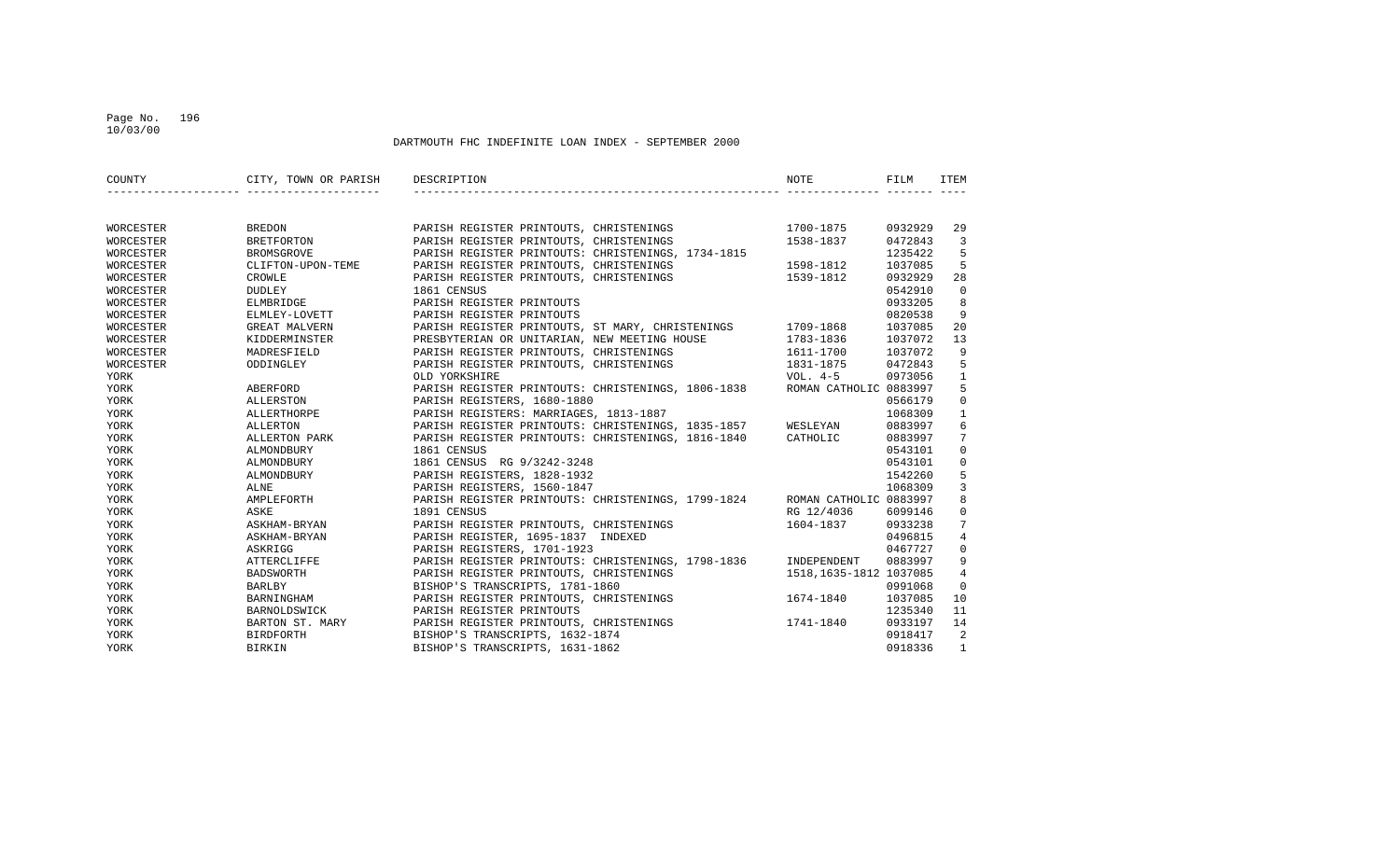#### Page No. 196 10/03/00

| COUNTY    | CITY, TOWN OR PARISH | DESCRIPTION                                        | NOTE                    | FILM    | ITEM           |
|-----------|----------------------|----------------------------------------------------|-------------------------|---------|----------------|
|           |                      |                                                    |                         |         |                |
| WORCESTER | <b>BREDON</b>        | PARISH REGISTER PRINTOUTS, CHRISTENINGS            | 1700-1875               | 0932929 | 29             |
| WORCESTER | <b>BRETFORTON</b>    | PARISH REGISTER PRINTOUTS, CHRISTENINGS            | 1538-1837               | 0472843 | $\overline{3}$ |
| WORCESTER | BROMSGROVE           | PARISH REGISTER PRINTOUTS: CHRISTENINGS, 1734-1815 |                         | 1235422 | 5              |
| WORCESTER | CLIFTON-UPON-TEME    | PARISH REGISTER PRINTOUTS, CHRISTENINGS            | 1598-1812               | 1037085 | 5              |
| WORCESTER | CROWLE               | PARISH REGISTER PRINTOUTS, CHRISTENINGS            | 1539-1812               | 0932929 | 28             |
| WORCESTER | DUDLEY               | 1861 CENSUS                                        |                         | 0542910 | $\mathbf 0$    |
| WORCESTER | ELMBRIDGE            | PARISH REGISTER PRINTOUTS                          |                         | 0933205 | 8              |
| WORCESTER | ELMLEY-LOVETT        | PARISH REGISTER PRINTOUTS                          |                         | 0820538 | 9              |
| WORCESTER | GREAT MALVERN        | PARISH REGISTER PRINTOUTS, ST MARY, CHRISTENINGS   | 1709-1868               | 1037085 | 20             |
| WORCESTER | KIDDERMINSTER        | PRESBYTERIAN OR UNITARIAN, NEW MEETING HOUSE       | 1783-1836               | 1037072 | 13             |
| WORCESTER | MADRESFIELD          | PARISH REGISTER PRINTOUTS, CHRISTENINGS            | 1611-1700               | 1037072 | 9              |
| WORCESTER | ODDINGLEY            | PARISH REGISTER PRINTOUTS, CHRISTENINGS            | 1831-1875               | 0472843 | 5              |
| YORK      |                      | OLD YORKSHIRE                                      | VOL. 4-5                | 0973056 | $\mathbf{1}$   |
| YORK      | ABERFORD             | PARISH REGISTER PRINTOUTS: CHRISTENINGS, 1806-1838 | ROMAN CATHOLIC 0883997  |         | 5              |
| YORK      | ALLERSTON            | PARISH REGISTERS, 1680-1880                        |                         | 0566179 | $\mathbf 0$    |
| YORK      | ALLERTHORPE          | PARISH REGISTERS: MARRIAGES, 1813-1887             |                         | 1068309 | $\mathbf{1}$   |
| YORK      | <b>ALLERTON</b>      | PARISH REGISTER PRINTOUTS: CHRISTENINGS, 1835-1857 | WESLEYAN                | 0883997 | 6              |
| YORK      | ALLERTON PARK        | PARISH REGISTER PRINTOUTS: CHRISTENINGS, 1816-1840 | CATHOLIC                | 0883997 | 7              |
| YORK      | ALMONDBURY           | 1861 CENSUS                                        |                         | 0543101 | $\mathbf 0$    |
| YORK      | ALMONDBURY           | 1861 CENSUS RG 9/3242-3248                         |                         | 0543101 | $\mathbf 0$    |
| YORK      | ALMONDBURY           | PARISH REGISTERS, 1828-1932                        |                         | 1542260 | 5              |
| YORK      | ALNE                 | PARISH REGISTERS, 1560-1847                        |                         | 1068309 | $\overline{3}$ |
| YORK      | AMPLEFORTH           | PARISH REGISTER PRINTOUTS: CHRISTENINGS, 1799-1824 | ROMAN CATHOLIC 0883997  |         | 8              |
| YORK      | ASKE                 | 1891 CENSUS                                        | RG 12/4036              | 6099146 | $\mathbf 0$    |
| YORK      | ASKHAM-BRYAN         | PARISH REGISTER PRINTOUTS, CHRISTENINGS            | 1604-1837               | 0933238 | 7              |
| YORK      | ASKHAM-BRYAN         | PARISH REGISTER, 1695-1837 INDEXED                 |                         | 0496815 | $\overline{4}$ |
| YORK      | ASKRIGG              | PARISH REGISTERS, 1701-1923                        |                         | 0467727 | $\mathbf 0$    |
| YORK      | <b>ATTERCLIFFE</b>   | PARISH REGISTER PRINTOUTS: CHRISTENINGS, 1798-1836 | INDEPENDENT             | 0883997 | 9              |
| YORK      | <b>BADSWORTH</b>     | PARISH REGISTER PRINTOUTS, CHRISTENINGS            | 1518, 1635-1812 1037085 |         | $\overline{4}$ |
| YORK      | BARLBY               | BISHOP'S TRANSCRIPTS, 1781-1860                    |                         | 0991068 | $\Omega$       |
| YORK      | BARNINGHAM           | PARISH REGISTER PRINTOUTS, CHRISTENINGS            | 1674-1840               | 1037085 | 10             |
| YORK      | BARNOLDSWICK         | PARISH REGISTER PRINTOUTS                          |                         | 1235340 | 11             |
| YORK      | BARTON ST. MARY      | PARISH REGISTER PRINTOUTS, CHRISTENINGS            | 1741-1840               | 0933197 | 14             |
| YORK      | BIRDFORTH            | BISHOP'S TRANSCRIPTS, 1632-1874                    |                         | 0918417 | 2              |
| YORK      | <b>BIRKIN</b>        | BISHOP'S TRANSCRIPTS, 1631-1862                    |                         | 0918336 | $\mathbf{1}$   |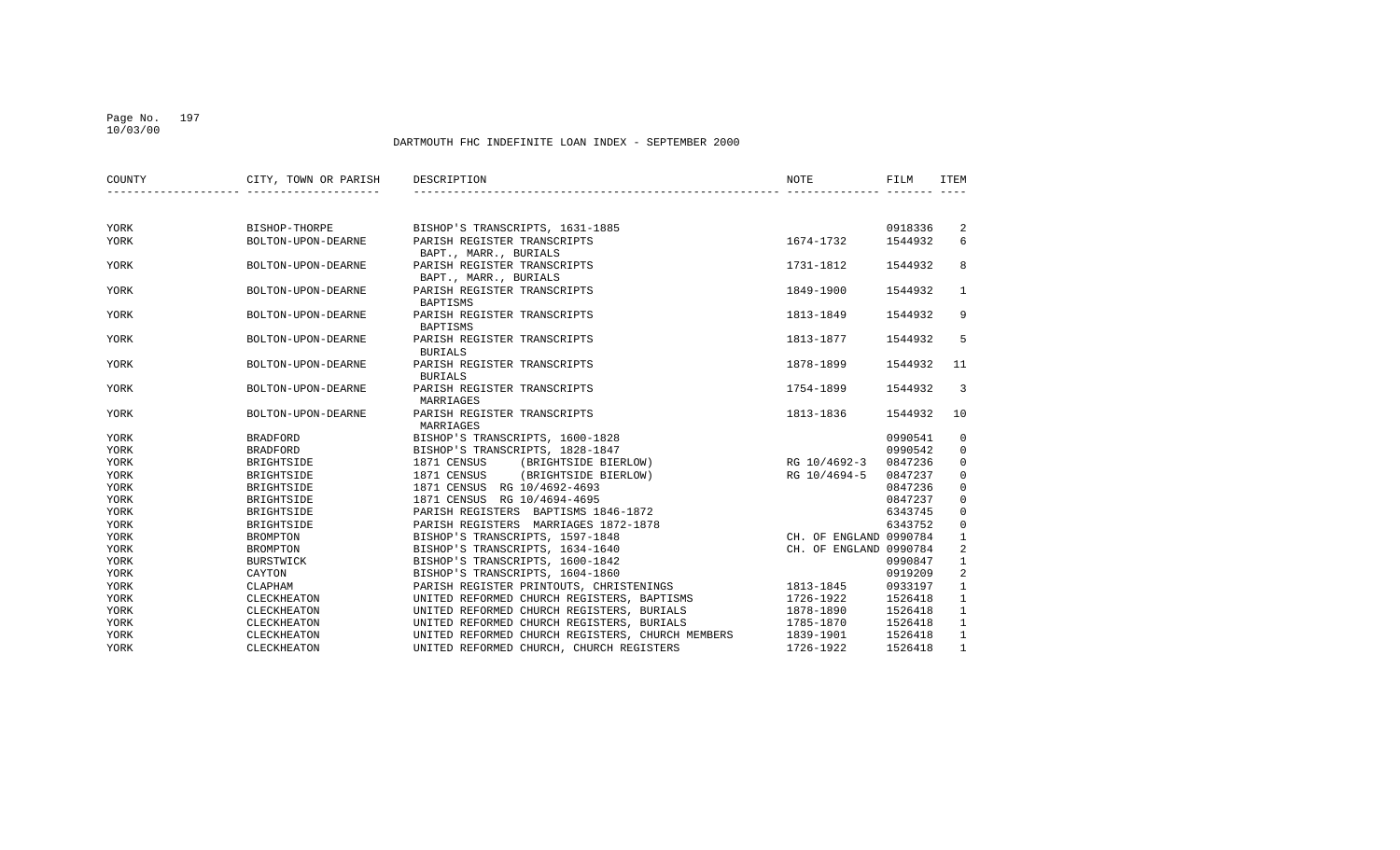### Page No. 197 10/03/00

| COUNTY | CITY, TOWN OR PARISH | DESCRIPTION                                      | NOTE                   | FILM    | ITEM                    |
|--------|----------------------|--------------------------------------------------|------------------------|---------|-------------------------|
|        |                      |                                                  |                        |         |                         |
| YORK   | BISHOP-THORPE        | BISHOP'S TRANSCRIPTS, 1631-1885                  |                        | 0918336 | 2                       |
| YORK   | BOLTON-UPON-DEARNE   | PARISH REGISTER TRANSCRIPTS                      | 1674-1732              | 1544932 | 6                       |
|        |                      | BAPT., MARR., BURIALS                            |                        |         |                         |
| YORK   | BOLTON-UPON-DEARNE   | PARISH REGISTER TRANSCRIPTS                      | 1731-1812              | 1544932 | 8                       |
|        |                      | BAPT., MARR., BURIALS                            |                        |         |                         |
| YORK   | BOLTON-UPON-DEARNE   | PARISH REGISTER TRANSCRIPTS                      | 1849-1900              | 1544932 | $\mathbf{1}$            |
|        |                      | <b>BAPTISMS</b>                                  |                        |         |                         |
| YORK   | BOLTON-UPON-DEARNE   | PARISH REGISTER TRANSCRIPTS                      | 1813-1849              | 1544932 | 9                       |
|        |                      | <b>BAPTISMS</b>                                  |                        |         |                         |
| YORK   | BOLTON-UPON-DEARNE   | PARISH REGISTER TRANSCRIPTS                      | 1813-1877              | 1544932 | 5                       |
|        |                      | <b>BURIALS</b>                                   |                        |         |                         |
| YORK   | BOLTON-UPON-DEARNE   | PARISH REGISTER TRANSCRIPTS                      | 1878-1899              | 1544932 | 11                      |
|        |                      | <b>BURIALS</b>                                   |                        |         |                         |
| YORK   | BOLTON-UPON-DEARNE   | PARISH REGISTER TRANSCRIPTS                      | 1754-1899              | 1544932 | $\overline{3}$          |
|        |                      | MARRIAGES                                        |                        |         |                         |
| YORK   | BOLTON-UPON-DEARNE   | PARISH REGISTER TRANSCRIPTS                      | 1813-1836              | 1544932 | 10                      |
|        |                      | MARRIAGES                                        |                        |         |                         |
| YORK   | <b>BRADFORD</b>      | BISHOP'S TRANSCRIPTS, 1600-1828                  |                        | 0990541 | 0                       |
| YORK   | <b>BRADFORD</b>      | BISHOP'S TRANSCRIPTS, 1828-1847                  |                        | 0990542 | 0                       |
| YORK   | BRIGHTSIDE           | 1871 CENSUS<br>(BRIGHTSIDE BIERLOW)              | RG 10/4692-3           | 0847236 | $\mathbf 0$             |
| YORK   | BRIGHTSIDE           | 1871 CENSUS<br>(BRIGHTSIDE BIERLOW)              | RG 10/4694-5           | 0847237 | $\mathbf 0$             |
| YORK   | BRIGHTSIDE           | 1871 CENSUS RG 10/4692-4693                      |                        | 0847236 | $\mathsf 0$             |
| YORK   | BRIGHTSIDE           | 1871 CENSUS RG 10/4694-4695                      |                        | 0847237 | $\mathbf 0$             |
| YORK   | BRIGHTSIDE           | PARISH REGISTERS BAPTISMS 1846-1872              |                        | 6343745 | $\mathbf 0$             |
| YORK   | BRIGHTSIDE           | PARISH REGISTERS MARRIAGES 1872-1878             |                        | 6343752 | $\mathbf 0$             |
| YORK   | <b>BROMPTON</b>      | BISHOP'S TRANSCRIPTS, 1597-1848                  | CH. OF ENGLAND 0990784 |         | $\mathbf{1}$            |
| YORK   | <b>BROMPTON</b>      | BISHOP'S TRANSCRIPTS, 1634-1640                  | CH. OF ENGLAND 0990784 |         | $\overline{\mathbf{c}}$ |
| YORK   | BURSTWICK            | BISHOP'S TRANSCRIPTS, 1600-1842                  |                        | 0990847 | $\mathbf{1}$            |
| YORK   | CAYTON               | BISHOP'S TRANSCRIPTS, 1604-1860                  |                        | 0919209 | 2                       |
| YORK   | CLAPHAM              | PARISH REGISTER PRINTOUTS, CHRISTENINGS          | 1813-1845              | 0933197 | $\mathbf{1}$            |
| YORK   | CLECKHEATON          | UNITED REFORMED CHURCH REGISTERS, BAPTISMS       | 1726-1922              | 1526418 | $\mathbf{1}$            |
| YORK   | CLECKHEATON          | UNITED REFORMED CHURCH REGISTERS, BURIALS        | 1878-1890              | 1526418 | $\mathbf{1}$            |
| YORK   | CLECKHEATON          | UNITED REFORMED CHURCH REGISTERS, BURIALS        | 1785-1870              | 1526418 | $\mathbf{1}$            |
| YORK   | CLECKHEATON          | UNITED REFORMED CHURCH REGISTERS, CHURCH MEMBERS | 1839-1901              | 1526418 | $\mathbf{1}$            |
| YORK   | CLECKHEATON          | UNITED REFORMED CHURCH, CHURCH REGISTERS         | 1726-1922              | 1526418 | $\mathbf{1}$            |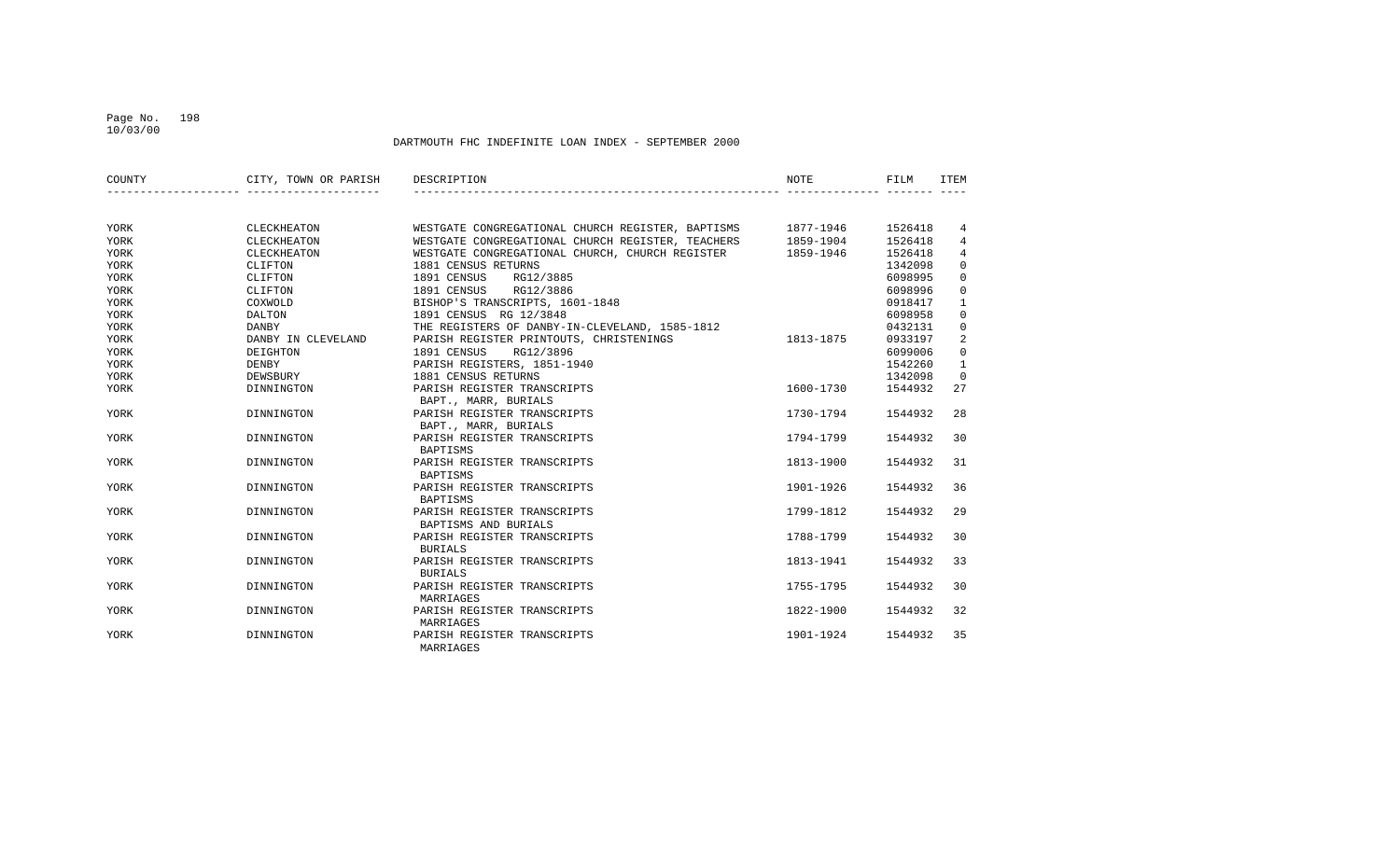### Page No. 198 10/03/00

| COUNTY      | CITY, TOWN OR PARISH | DESCRIPTION                                                 | NOTE      | FILM    | ITEM           |
|-------------|----------------------|-------------------------------------------------------------|-----------|---------|----------------|
|             |                      |                                                             |           |         |                |
| YORK        | CLECKHEATON          | WESTGATE CONGREGATIONAL CHURCH REGISTER, BAPTISMS 1877-1946 |           | 1526418 | 4              |
| YORK        | CLECKHEATON          | WESTGATE CONGREGATIONAL CHURCH REGISTER, TEACHERS 1859-1904 |           | 1526418 | 4              |
| YORK        | CLECKHEATON          | WESTGATE CONGREGATIONAL CHURCH, CHURCH REGISTER 1859-1946   |           | 1526418 | $\overline{4}$ |
| YORK        | CLIFTON              | 1881 CENSUS RETURNS                                         |           | 1342098 | $\mathbf 0$    |
| YORK        | CLIFTON              | 1891 CENSUS<br>RG12/3885                                    |           | 6098995 | $\mathbf 0$    |
| YORK        | CLIFTON              | 1891 CENSUS RG12/3886                                       |           | 6098996 | $\mathbf 0$    |
| YORK        | COXWOLD              | BISHOP'S TRANSCRIPTS, 1601-1848                             |           | 0918417 | $\mathbf{1}$   |
| YORK        | DALTON               | 1891 CENSUS RG 12/3848                                      |           | 6098958 | $\mathbf 0$    |
| YORK        | DANBY                | THE REGISTERS OF DANBY-IN-CLEVELAND, 1585-1812              |           | 0432131 | $\mathbf 0$    |
| YORK        | DANBY IN CLEVELAND   | PARISH REGISTER PRINTOUTS, CHRISTENINGS                     | 1813-1875 | 0933197 | 2              |
| YORK        | DEIGHTON             | 1891 CENSUS<br>RG12/3896                                    |           | 6099006 | $\mathbf 0$    |
| YORK        | <b>DENBY</b>         | PARISH REGISTERS, 1851-1940                                 |           | 1542260 | 1              |
| YORK        | DEWSBURY             | 1881 CENSUS RETURNS                                         |           | 1342098 | $\mathbf 0$    |
| YORK        | DINNINGTON           | PARISH REGISTER TRANSCRIPTS                                 | 1600-1730 | 1544932 | 27             |
|             |                      | BAPT., MARR, BURIALS                                        |           |         |                |
| YORK        | DINNINGTON           | PARISH REGISTER TRANSCRIPTS                                 | 1730-1794 | 1544932 | 28             |
|             |                      | BAPT., MARR, BURIALS                                        |           |         |                |
| YORK        | DINNINGTON           | PARISH REGISTER TRANSCRIPTS                                 | 1794-1799 | 1544932 | 30             |
|             |                      | BAPTISMS                                                    |           |         |                |
| YORK        | DINNINGTON           | PARISH REGISTER TRANSCRIPTS                                 | 1813-1900 | 1544932 | 31             |
|             |                      | BAPTISMS                                                    |           |         |                |
| YORK        | DINNINGTON           | PARISH REGISTER TRANSCRIPTS                                 | 1901-1926 | 1544932 | 36             |
|             |                      | BAPTISMS                                                    |           |         |                |
| YORK        | DINNINGTON           | PARISH REGISTER TRANSCRIPTS                                 | 1799-1812 | 1544932 | 29             |
|             |                      | BAPTISMS AND BURIALS                                        |           |         |                |
| YORK        | DINNINGTON           | PARISH REGISTER TRANSCRIPTS                                 | 1788-1799 | 1544932 | 30             |
|             |                      | <b>BURIALS</b>                                              |           |         |                |
| YORK        | DINNINGTON           | PARISH REGISTER TRANSCRIPTS                                 | 1813-1941 | 1544932 | 33             |
|             |                      | <b>BURIALS</b>                                              |           |         |                |
| YORK        | DINNINGTON           | PARISH REGISTER TRANSCRIPTS                                 | 1755-1795 | 1544932 | 30             |
|             |                      | MARRIAGES                                                   |           |         |                |
| <b>YORK</b> | DINNINGTON           | PARISH REGISTER TRANSCRIPTS                                 | 1822-1900 | 1544932 | 32             |
|             |                      | MARRIAGES                                                   |           |         |                |
| YORK        | DINNINGTON           | PARISH REGISTER TRANSCRIPTS                                 | 1901-1924 | 1544932 | 35             |
|             |                      | MARRIAGES                                                   |           |         |                |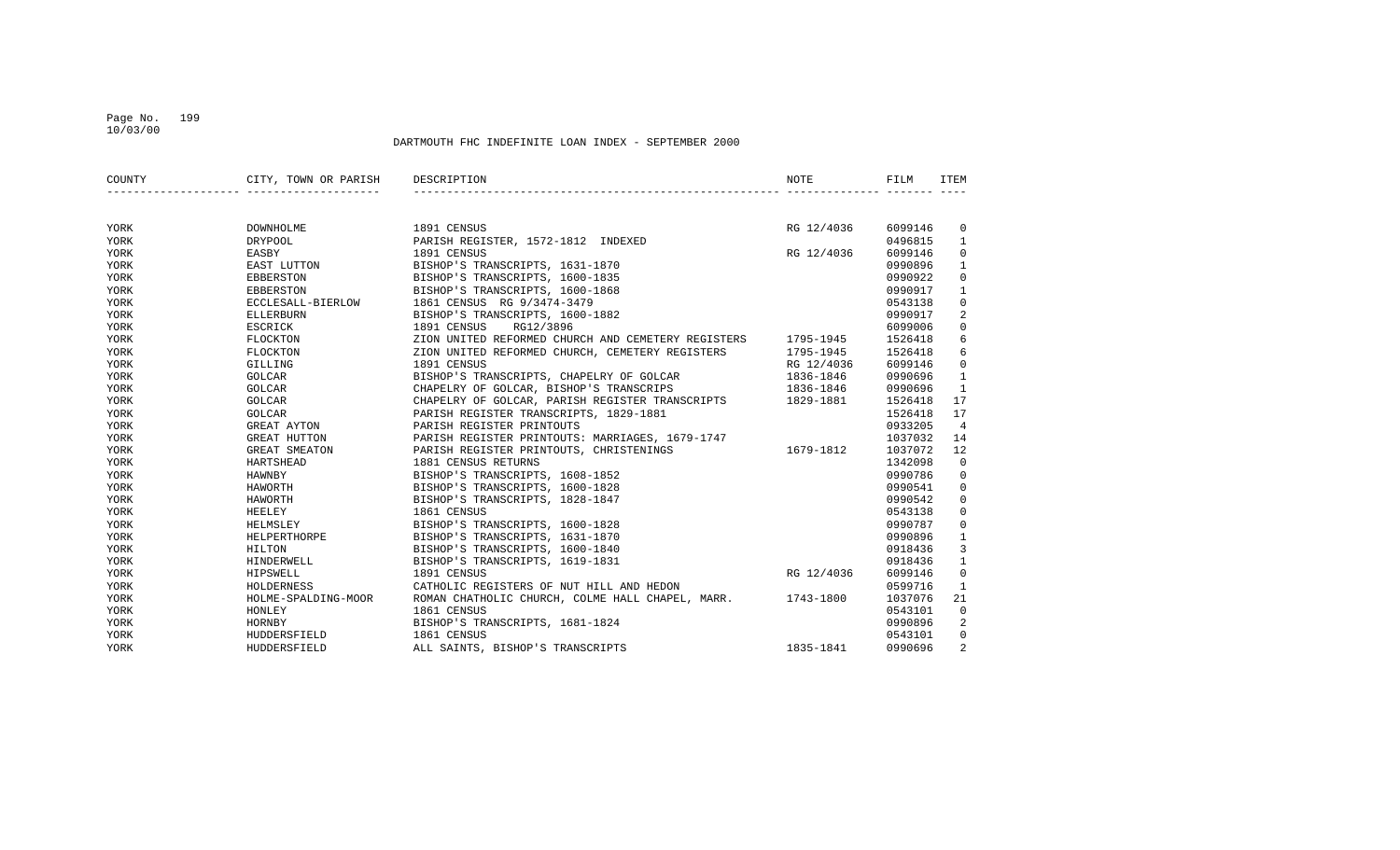#### Page No. 199 10/03/00

| COUNTY | CITY, TOWN OR PARISH DESCRIPTION |                                                              | <b>NOTE</b>   | FILM    | ITEM           |
|--------|----------------------------------|--------------------------------------------------------------|---------------|---------|----------------|
|        |                                  |                                                              |               |         |                |
| YORK   | DOWNHOLME                        | 1891 CENSUS                                                  | RG 12/4036    | 6099146 | 0              |
| YORK   | <b>DRYPOOL</b>                   | PARISH REGISTER, 1572-1812 INDEXED                           |               | 0496815 | $\mathbf{1}$   |
| YORK   | EASBY                            | 1891 CENSUS                                                  | RG 12/4036    | 6099146 | $\mathbf 0$    |
| YORK   | EAST LUTTON                      | BISHOP'S TRANSCRIPTS, 1631-1870                              |               | 0990896 | $\mathbf{1}$   |
| YORK   | EBBERSTON                        | BISHOP'S TRANSCRIPTS, 1600-1835                              |               | 0990922 | $\mathbf 0$    |
| YORK   | EBBERSTON                        | BISHOP'S TRANSCRIPTS, 1600-1868                              |               | 0990917 | $\mathbf{1}$   |
| YORK   | ECCLESALL-BIERLOW                | 1861 CENSUS RG 9/3474-3479                                   |               | 0543138 | $\mathbf 0$    |
| YORK   | ELLERBURN                        | BISHOP'S TRANSCRIPTS, 1600-1882                              |               | 0990917 | 2              |
| YORK   | ESCRICK                          | RG12/3896<br>1891 CENSUS                                     |               | 6099006 | $\mathbf 0$    |
| YORK   | FLOCKTON                         | ZION UNITED REFORMED CHURCH AND CEMETERY REGISTERS 1795-1945 |               | 1526418 | 6              |
| YORK   | FLOCKTON                         | ZION UNITED REFORMED CHURCH, CEMETERY REGISTERS 1795-1945    |               | 1526418 | 6              |
| YORK   | GILLING                          | 1891 CENSUS                                                  | RG 12/4036    | 6099146 | $\mathbf 0$    |
| YORK   | GOLCAR                           | BISHOP'S TRANSCRIPTS, CHAPELRY OF GOLCAR                     | $1836 - 1846$ | 0990696 | $\mathbf{1}$   |
| YORK   | GOLCAR                           | CHAPELRY OF GOLCAR, BISHOP'S TRANSCRIPS                      | 1836-1846     | 0990696 | $\mathbf{1}$   |
| YORK   | GOLCAR                           | CHAPELRY OF GOLCAR, PARISH REGISTER TRANSCRIPTS 1829-1881    |               | 1526418 | 17             |
| YORK   | <b>GOLCAR</b>                    | PARISH REGISTER TRANSCRIPTS, 1829-1881                       |               | 1526418 | 17             |
| YORK   | GREAT AYTON                      | PARISH REGISTER PRINTOUTS                                    |               | 0933205 | $\overline{4}$ |
| YORK   | GREAT HUTTON                     | PARISH REGISTER PRINTOUTS: MARRIAGES, 1679-1747              |               | 1037032 | 14             |
| YORK   | GREAT SMEATON                    | 1679-1812<br>PARISH REGISTER PRINTOUTS, CHRISTENINGS         |               | 1037072 | 12             |
| YORK   | HARTSHEAD                        | 1881 CENSUS RETURNS                                          |               | 1342098 | $\Omega$       |
| YORK   | HAWNBY                           | BISHOP'S TRANSCRIPTS, 1608-1852                              |               | 0990786 | $\mathbf 0$    |
| YORK   | HAWORTH                          | BISHOP'S TRANSCRIPTS, 1600-1828                              |               | 0990541 | $\mathbf 0$    |
| YORK   | HAWORTH                          | BISHOP'S TRANSCRIPTS, 1828-1847                              |               | 0990542 | $\mathbf 0$    |
| YORK   | HEELEY                           | 1861 CENSUS                                                  |               | 0543138 | $\mathbf 0$    |
| YORK   | HELMSLEY                         | BISHOP'S TRANSCRIPTS, 1600-1828                              |               | 0990787 | $\mathbf 0$    |
| YORK   | HELPERTHORPE                     | BISHOP'S TRANSCRIPTS, 1631-1870                              |               | 0990896 | $\mathbf{1}$   |
| YORK   | HILTON                           | BISHOP'S TRANSCRIPTS, 1600-1840                              |               | 0918436 | 3              |
| YORK   | HINDERWELL                       | BISHOP'S TRANSCRIPTS, 1619-1831                              |               | 0918436 | $\mathbf{1}$   |
| YORK   | HIPSWELL                         | 1891 CENSUS                                                  | RG 12/4036    | 6099146 | $\mathbf 0$    |
| YORK   | HOLDERNESS                       | CATHOLIC REGISTERS OF NUT HILL AND HEDON                     |               | 0599716 | $\mathbf{1}$   |
| YORK   | HOLME-SPALDING-MOOR              | ROMAN CHATHOLIC CHURCH, COLME HALL CHAPEL, MARR. 1743-1800   |               | 1037076 | 21             |
| YORK   | HONLEY                           | 1861 CENSUS                                                  |               | 0543101 | $\mathbf 0$    |
| YORK   | HORNBY                           | BISHOP'S TRANSCRIPTS, 1681-1824                              |               | 0990896 | 2              |
| YORK   | HUDDERSFIELD                     | 1861 CENSUS                                                  |               | 0543101 | $\mathbf 0$    |
| YORK   | HUDDERSFIELD                     | ALL SAINTS, BISHOP'S TRANSCRIPTS                             | 1835-1841     | 0990696 | 2              |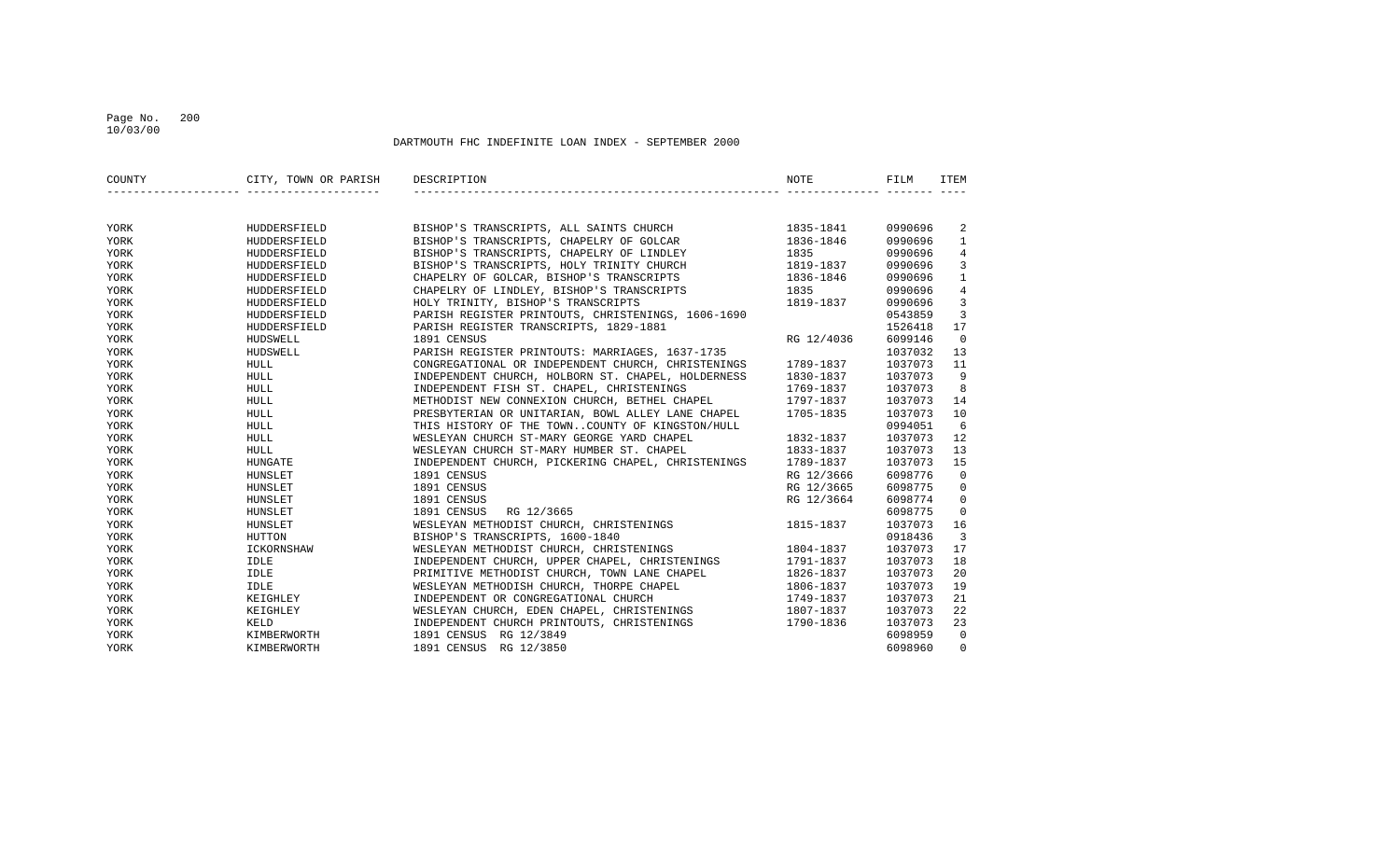### Page No. 200 10/03/00

| COUNTY | CITY, TOWN OR PARISH | DESCRIPTION                                                                                                                                                                                                       | <b>NOTE</b> | FILM    | <b>ITEM</b>    |
|--------|----------------------|-------------------------------------------------------------------------------------------------------------------------------------------------------------------------------------------------------------------|-------------|---------|----------------|
|        |                      |                                                                                                                                                                                                                   |             |         |                |
| YORK   | HUDDERSFIELD         | BISHOP'S TRANSCRIPTS, ALL SAINTS CHURCH 1835-1841                                                                                                                                                                 |             | 0990696 | 2              |
| YORK   | HUDDERSFIELD         | BISHOP'S TRANSCRIPTS, CHAPELRY OF GOLCAR 1836-1846<br>BISHOP'S TRANSCRIPTS, CHAPELRY OF LINDLEY 1835<br>BISHOP'S TRANSCRIPTS, HOLY TRINITY CHURCH 1819-1837<br>CHAPELRY OF GOLCAR, BISHOP'S TRANSCRIPTS 1836-1846 |             | 0990696 | $\mathbf{1}$   |
| YORK   | HUDDERSFIELD         |                                                                                                                                                                                                                   |             | 0990696 | 4              |
| YORK   | HUDDERSFIELD         |                                                                                                                                                                                                                   | 1819-1837   | 0990696 | 3              |
| YORK   | HUDDERSFIELD         |                                                                                                                                                                                                                   |             | 0990696 | $\mathbf{1}$   |
| YORK   | HUDDERSFIELD         | CHAPELRY OF LINDLEY, BISHOP'S TRANSCRIPTS 1835                                                                                                                                                                    |             | 0990696 | $\,4$          |
| YORK   | HUDDERSFIELD         | HOLY TRINITY, BISHOP'S TRANSCRIPTS                                                                                                                                                                                | 1819-1837   | 0990696 | 3              |
| YORK   | HUDDERSFIELD         | PARISH REGISTER PRINTOUTS, CHRISTENINGS, 1606-1690                                                                                                                                                                |             | 0543859 | 3              |
| YORK   | HUDDERSFIELD         | PARISH REGISTER TRANSCRIPTS, 1829-1881                                                                                                                                                                            |             | 1526418 | 17             |
| YORK   | HUDSWELL             | 1891 CENSUS                                                                                                                                                                                                       | RG 12/4036  | 6099146 | $\overline{0}$ |
| YORK   | HUDSWELL             | PARISH REGISTER PRINTOUTS: MARRIAGES, 1637-1735<br>CONGREGATIONAL OR INDEPENDENT CHURCH, CHRISTENINGS 1789-1837                                                                                                   |             | 1037032 | 13             |
| YORK   | <b>HULL</b>          |                                                                                                                                                                                                                   |             | 1037073 | 11             |
| YORK   | HULL                 | INDEPENDENT CHURCH, HOLBORN ST. CHAPEL, HOLDERNESS                                                                                                                                                                | 1830-1837   | 1037073 | 9              |
| YORK   | HULL                 | INDEPENDENT FISH ST. CHAPEL, CHRISTENINGS                                                                                                                                                                         | 1769-1837   | 1037073 | 8              |
| YORK   | HULL                 | METHODIST NEW CONNEXION CHURCH, BETHEL CHAPEL 1797-1837                                                                                                                                                           |             | 1037073 | 14             |
| YORK   | HULL                 | PRESBYTERIAN OR UNITARIAN, BOWL ALLEY LANE CHAPEL 1705-1835                                                                                                                                                       |             | 1037073 | 10             |
| YORK   | <b>HULL</b>          | THIS HISTORY OF THE TOWNCOUNTY OF KINGSTON/HULL                                                                                                                                                                   |             | 0994051 | 6              |
| YORK   | <b>HULL</b>          | WESLEYAN CHURCH ST-MARY GEORGE YARD CHAPEL                                                                                                                                                                        | 1832-1837   | 1037073 | 12             |
| YORK   | HULL                 | WESLEYAN CHURCH ST-MARY HUMBER ST. CHAPEL                                                                                                                                                                         | 1833-1837   | 1037073 | 13             |
| YORK   | HUNGATE              | INDEPENDENT CHURCH, PICKERING CHAPEL, CHRISTENINGS                                                                                                                                                                | 1789-1837   | 1037073 | 15             |
| YORK   | HUNSLET              | 1891 CENSUS                                                                                                                                                                                                       | RG 12/3666  | 6098776 | $\mathbf 0$    |
| YORK   | HUNSLET              | 1891 CENSUS                                                                                                                                                                                                       | RG 12/3665  | 6098775 | 0              |
| YORK   | HUNSLET              | 1891 CENSUS                                                                                                                                                                                                       | RG 12/3664  | 6098774 | $\mathbf 0$    |
| YORK   | HUNSLET              | 1891 CENSUS<br>RG 12/3665                                                                                                                                                                                         |             | 6098775 | $\Omega$       |
| YORK   | HUNSLET              | WESLEYAN METHODIST CHURCH, CHRISTENINGS                                                                                                                                                                           | 1815-1837   | 1037073 | 16             |
| YORK   | HUTTON               | BISHOP'S TRANSCRIPTS, 1600-1840                                                                                                                                                                                   |             | 0918436 | $\overline{3}$ |
| YORK   | ICKORNSHAW           | WESLEYAN METHODIST CHURCH, CHRISTENINGS                                                                                                                                                                           | 1804-1837   | 1037073 | 17             |
| YORK   | IDLE                 | INDEPENDENT CHURCH, UPPER CHAPEL, CHRISTENINGS                                                                                                                                                                    | 1791-1837   | 1037073 | 18             |
| YORK   | IDLE                 | PRIMITIVE METHODIST CHURCH, TOWN LANE CHAPEL                                                                                                                                                                      | 1826-1837   | 1037073 | 20             |
| YORK   | IDLE                 | WESLEYAN METHODISH CHURCH, THORPE CHAPEL                                                                                                                                                                          | 1806-1837   | 1037073 | 19             |
| YORK   | KEIGHLEY             | INDEPENDENT OR CONGREGATIONAL CHURCH                                                                                                                                                                              | 1749-1837   | 1037073 | 21             |
| YORK   | KEIGHLEY             | WESLEYAN CHURCH, EDEN CHAPEL, CHRISTENINGS                                                                                                                                                                        | 1807-1837   | 1037073 | 22             |
| YORK   | KELD                 | INDEPENDENT CHURCH PRINTOUTS, CHRISTENINGS                                                                                                                                                                        | 1790-1836   | 1037073 | 23             |
| YORK   | KIMBERWORTH          | 1891 CENSUS RG 12/3849                                                                                                                                                                                            |             | 6098959 | $\Omega$       |
| YORK   | KIMBERWORTH          | 1891 CENSUS RG 12/3850                                                                                                                                                                                            |             | 6098960 | $\Omega$       |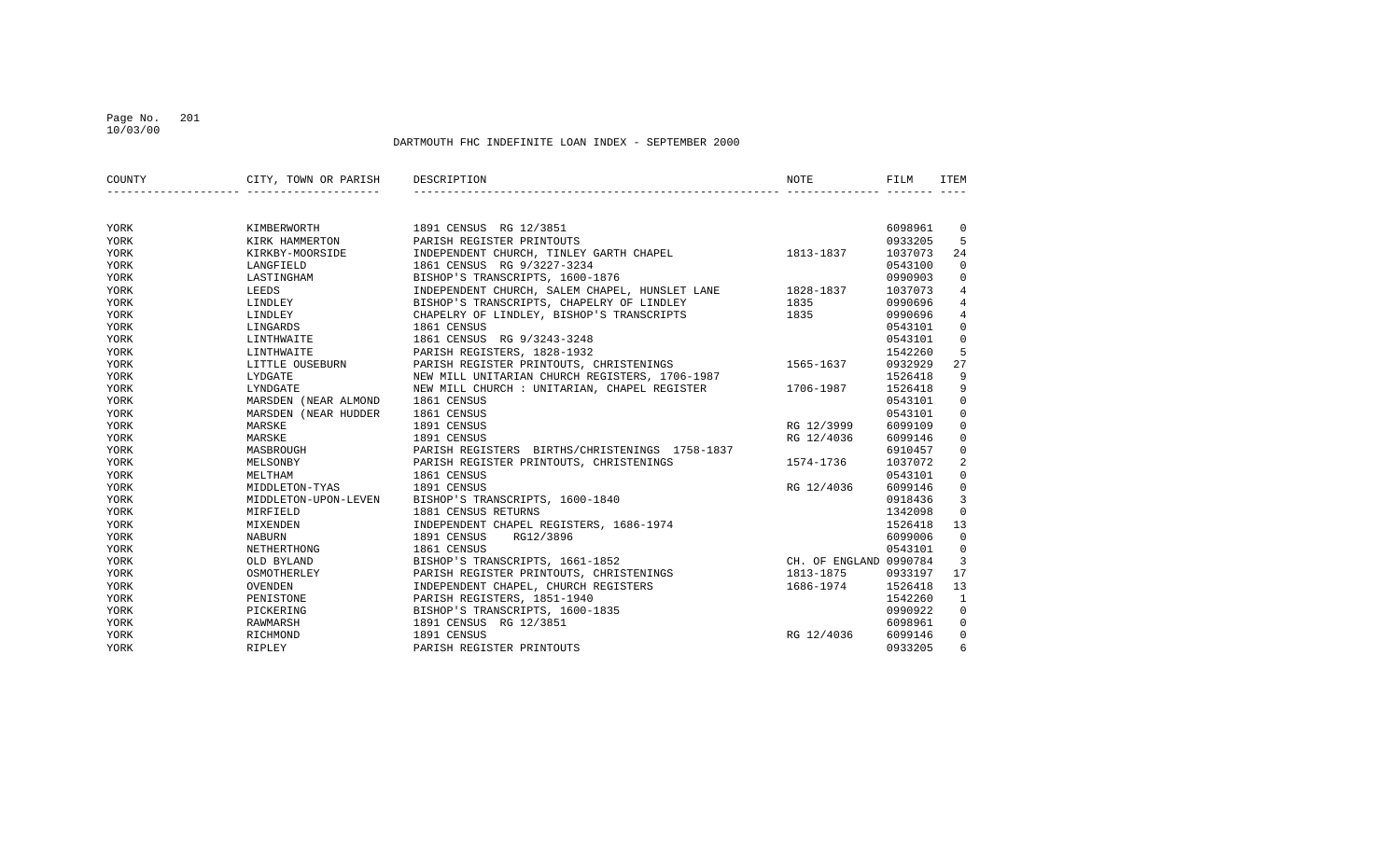### Page No. 201 10/03/00

| COUNTY | CITY, TOWN OR PARISH DESCRIPTION |                                                                                                                                                                                             | <b>NOTE</b> | FILM    | <b>ITEM</b>    |
|--------|----------------------------------|---------------------------------------------------------------------------------------------------------------------------------------------------------------------------------------------|-------------|---------|----------------|
|        |                                  |                                                                                                                                                                                             |             |         |                |
| YORK   | KIMBERWORTH                      | 1891 CENSUS RG 12/3851                                                                                                                                                                      |             | 6098961 | $\overline{0}$ |
| YORK   | KIRK HAMMERTON                   | 1891 CENSUS RG 12/3851<br>PARISH REGISTER PRINTOUTS<br>INDEPENDENT CHURCH, TINLEY GARTH CHAPEL 1813-1837                                                                                    |             | 0933205 | 5              |
| YORK   | KIRKBY-MOORSIDE<br>LANGFIELD     |                                                                                                                                                                                             |             | 1037073 | 24             |
| YORK   | LANGFIELD                        | 1861 CENSUS RG 9/3227-3234                                                                                                                                                                  |             | 0543100 | $\mathbf 0$    |
| YORK   | LASTINGHAM                       | BISHOP'S TRANSCRIPTS, 1600-1876                                                                                                                                                             |             | 0990903 | $\mathbf 0$    |
| YORK   | LEEDS                            | ${\tt INDEPENDENT\hspace{0.1cm}CHURCH\hspace{0.1cm},\hspace{0.1cm}SALEM\hspace{0.1cm}CHAPEL\hspace{0.1cm},\hspace{0.1cm}HUNSLET\hspace{0.1cm}LANE\hspace{0.1cm}} \hspace{1.5cm} 1828-1837}$ |             | 1037073 | $\overline{4}$ |
| YORK   | LINDLEY                          | BISHOP'S TRANSCRIPTS, CHAPELRY OF LINDLEY                                                                                                                                                   | 1835        | 0990696 | 4              |
| YORK   | LINDLEY                          | CHAPELRY OF LINDLEY, BISHOP'S TRANSCRIPTS 1835                                                                                                                                              |             | 0990696 | 4              |
| YORK   | LINGARDS                         | 1861 CENSUS                                                                                                                                                                                 |             | 0543101 | $\mathbf 0$    |
| YORK   | LINTHWAITE                       | 1861 CENSUS RG 9/3243-3248                                                                                                                                                                  |             | 0543101 | $\mathbf 0$    |
| YORK   |                                  | EARLSH REGISTERS, 1828-1932<br>EXPOSE EN PARISH REGISTER PRINTOUTS, CHRISTENINGS<br>EXPOSATE MEW MILL UNITARIAN CHURCH REGISTERS 1706-1997                                                  |             | 1542260 | 5              |
| YORK   |                                  |                                                                                                                                                                                             |             | 0932929 | 27             |
| YORK   |                                  |                                                                                                                                                                                             |             | 1526418 | 9              |
| YORK   | LYNDGATE                         | NEW MILL UNITARIAN CHURCH REGISTERS, 1706-1987<br>NEW MILL CHURCH : UNITARIAN, CHAPEL REGISTER 1706-1987                                                                                    |             | 1526418 | 9              |
| YORK   | MARSDEN (NEAR ALMOND             | 1861 CENSUS                                                                                                                                                                                 |             | 0543101 | $\mathbf 0$    |
| YORK   | MARSDEN (NEAR HUDDER             | 1861 CENSUS                                                                                                                                                                                 |             | 0543101 | $\mathbf 0$    |
| YORK   | MARSKE                           | 1891 CENSUS                                                                                                                                                                                 | RG 12/3999  | 6099109 | 0              |
| YORK   | MARSKE                           | 1891 CENSUS                                                                                                                                                                                 | RG 12/4036  | 6099146 | 0              |
| YORK   | <b>MASBROUGH</b>                 | PARISH REGISTERS BIRTHS/CHRISTENINGS 1758-1837                                                                                                                                              |             | 6910457 | 0              |
| YORK   | MELSONBY                         | PARISH REGISTER PRINTOUTS, CHRISTENINGS                                                                                                                                                     | 1574-1736   | 1037072 | 2              |
| YORK   | MELTHAM                          | 1861 CENSUS                                                                                                                                                                                 |             | 0543101 | $\mathbf{0}$   |
| YORK   | MIDDLETON-TYAS                   | 1891 CENSUS                                                                                                                                                                                 | RG 12/4036  | 6099146 | $\mathbf 0$    |
| YORK   | MIDDLETON-UPON-LEVEN             | BISHOP'S TRANSCRIPTS, 1600-1840                                                                                                                                                             |             | 0918436 | 3              |
| YORK   | MIRFIELD                         | 1881 CENSUS RETURNS                                                                                                                                                                         |             | 1342098 | $\mathbf 0$    |
| YORK   | MIXENDEN                         | INDEPENDENT CHAPEL REGISTERS, 1686-1974                                                                                                                                                     |             | 1526418 | 13             |
| YORK   | NABURN                           | 1891 CENSUS<br>RG12/3896                                                                                                                                                                    |             | 6099006 | $\mathbf 0$    |
| YORK   | NETHERTHONG                      | 1861 CENSUS                                                                                                                                                                                 |             | 0543101 | 0              |
| YORK   | OLD BYLAND                       | BISHOP'S TRANSCRIPTS, 1661-1852 CH. OF ENGLAND 0990784                                                                                                                                      |             |         | $\overline{3}$ |
| YORK   | OSMOTHERLEY                      | PARISH REGISTER PRINTOUTS, CHRISTENINGS                                                                                                                                                     | 1813-1875   | 0933197 | 17             |
| YORK   | OVENDEN                          | INDEPENDENT CHAPEL, CHURCH REGISTERS                                                                                                                                                        | 1686-1974   | 1526418 | 13             |
| YORK   | PENISTONE                        | PARISH REGISTERS, 1851-1940                                                                                                                                                                 |             | 1542260 | 1              |
| YORK   | PICKERING                        | BISHOP'S TRANSCRIPTS, 1600-1835                                                                                                                                                             |             | 0990922 | $\mathbf 0$    |
| YORK   | RAWMARSH                         | 1891 CENSUS RG 12/3851                                                                                                                                                                      |             | 6098961 | 0              |
| YORK   | RICHMOND                         | 1891 CENSUS                                                                                                                                                                                 | RG 12/4036  | 6099146 | 0              |
| YORK   | RIPLEY                           | PARISH REGISTER PRINTOUTS                                                                                                                                                                   |             | 0933205 | 6              |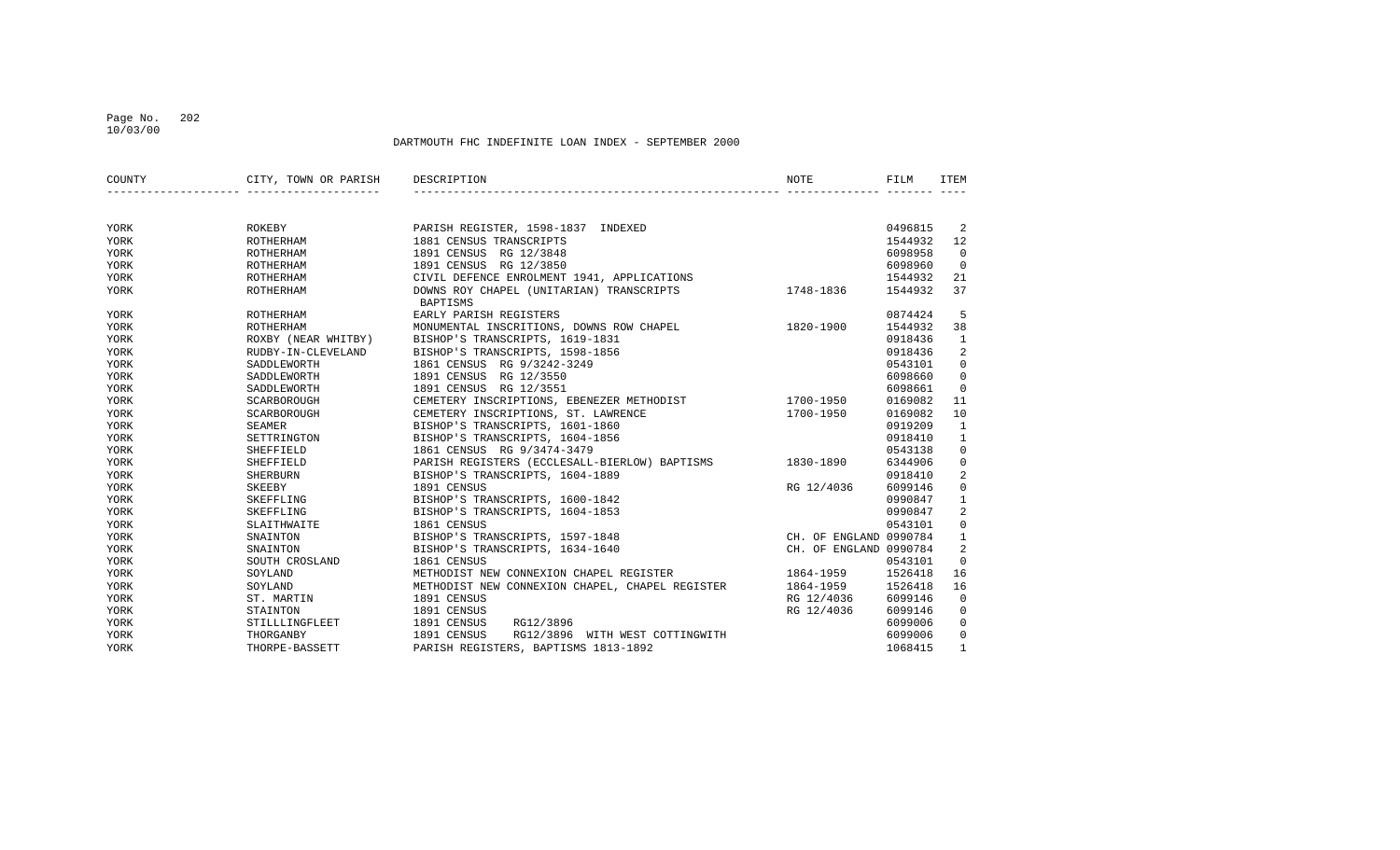### Page No. 202 10/03/00

| COUNTY | CITY, TOWN OR PARISH                                   | DESCRIPTION                                          | <b>NOTE</b>            | FILM    | ITEM         |
|--------|--------------------------------------------------------|------------------------------------------------------|------------------------|---------|--------------|
|        |                                                        |                                                      |                        |         |              |
| YORK   | ROKEBY                                                 | PARISH REGISTER, 1598-1837 INDEXED                   |                        | 0496815 | 2            |
| YORK   | ROTHERHAM                                              | 1881 CENSUS TRANSCRIPTS                              |                        | 1544932 | 12           |
| YORK   | ROTHERHAM                                              | 1891 CENSUS RG 12/3848                               |                        | 6098958 | $\Omega$     |
| YORK   | ROTHERHAM                                              | 1891 CENSUS RG 12/3850                               |                        | 6098960 | $\Omega$     |
| YORK   | ROTHERHAM                                              | CIVIL DEFENCE ENROLMENT 1941, APPLICATIONS           |                        | 1544932 | 21           |
| YORK   | ROTHERHAM                                              | DOWNS ROY CHAPEL (UNITARIAN) TRANSCRIPTS<br>BAPTISMS | 1748-1836              | 1544932 | 37           |
| YORK   | ROTHERHAM                                              | EARLY PARISH REGISTERS                               |                        | 0874424 | 5            |
| YORK   |                                                        | MONUMENTAL INSCRITIONS, DOWNS ROW CHAPEL             | 1820-1900              | 1544932 | 38           |
| YORK   |                                                        | BISHOP'S TRANSCRIPTS, 1619-1831                      |                        | 0918436 | 1            |
| YORK   | ROTHERHAM<br>ROXBY (NEAR WHITBY)<br>RUDBY-IN-CLEVELAND | BISHOP'S TRANSCRIPTS, 1598-1856                      |                        | 0918436 | 2            |
| YORK   | SADDLEWORTH                                            | 1861 CENSUS RG 9/3242-3249                           |                        | 0543101 | $\mathbf 0$  |
| YORK   | SADDLEWORTH                                            | 1891 CENSUS RG 12/3550                               |                        | 6098660 | $\mathbf 0$  |
| YORK   | SADDLEWORTH                                            | 1891 CENSUS RG 12/3551                               |                        | 6098661 | $\Omega$     |
| YORK   | SCARBOROUGH                                            | CEMETERY INSCRIPTIONS, EBENEZER METHODIST            | 1700-1950              | 0169082 | 11           |
| YORK   | SCARBOROUGH                                            | CEMETERY INSCRIPTIONS, ST. LAWRENCE                  | 1700-1950              | 0169082 | 10           |
| YORK   | SEAMER                                                 | BISHOP'S TRANSCRIPTS, 1601-1860                      |                        | 0919209 | $\mathbf{1}$ |
| YORK   | SETTRINGTON                                            | BISHOP'S TRANSCRIPTS, 1604-1856                      |                        | 0918410 | $\mathbf{1}$ |
| YORK   | SHEFFIELD                                              | 1861 CENSUS RG 9/3474-3479                           |                        | 0543138 | $\mathbf 0$  |
| YORK   | SHEFFIELD                                              | PARISH REGISTERS (ECCLESALL-BIERLOW) BAPTISMS        | 1830-1890              | 6344906 | $\mathsf 0$  |
| YORK   | <b>SHERBURN</b>                                        | BISHOP'S TRANSCRIPTS, 1604-1889                      |                        | 0918410 | 2            |
| YORK   | SKEEBY                                                 | 1891 CENSUS                                          | RG 12/4036             | 6099146 | $\mathbf 0$  |
| YORK   | SKEFFLING                                              | BISHOP'S TRANSCRIPTS, 1600-1842                      |                        | 0990847 | $\mathbf{1}$ |
| YORK   | SKEFFLING                                              | BISHOP'S TRANSCRIPTS, 1604-1853                      |                        | 0990847 | 2            |
| YORK   | SLAITHWAITE                                            | 1861 CENSUS                                          |                        | 0543101 | $\mathsf 0$  |
| YORK   | SNAINTON                                               | BISHOP'S TRANSCRIPTS, 1597-1848                      | CH. OF ENGLAND 0990784 |         | $\mathbf{1}$ |
| YORK   | SNAINTON                                               | BISHOP'S TRANSCRIPTS, 1634-1640                      | CH. OF ENGLAND 0990784 |         | 2            |
| YORK   | SOUTH CROSLAND                                         | 1861 CENSUS                                          |                        | 0543101 | $\Omega$     |
| YORK   | SOYLAND                                                | METHODIST NEW CONNEXION CHAPEL REGISTER              | 1864-1959              | 1526418 | 16           |
| YORK   | SOYLAND                                                | METHODIST NEW CONNEXION CHAPEL, CHAPEL REGISTER      | 1864-1959              | 1526418 | 16           |
| YORK   | ST. MARTIN                                             | 1891 CENSUS                                          | RG 12/4036             | 6099146 | $\mathbf 0$  |
| YORK   | STAINTON                                               | 1891 CENSUS                                          | RG 12/4036             | 6099146 | 0            |
| YORK   | STILLLINGFLEET                                         | 1891 CENSUS<br>RG12/3896                             |                        | 6099006 | 0            |
| YORK   | THORGANBY                                              | 1891 CENSUS<br>RG12/3896 WITH WEST COTTINGWITH       |                        | 6099006 | 0            |
| YORK   | THORPE-BASSETT                                         | PARISH REGISTERS, BAPTISMS 1813-1892                 |                        | 1068415 | $\mathbf{1}$ |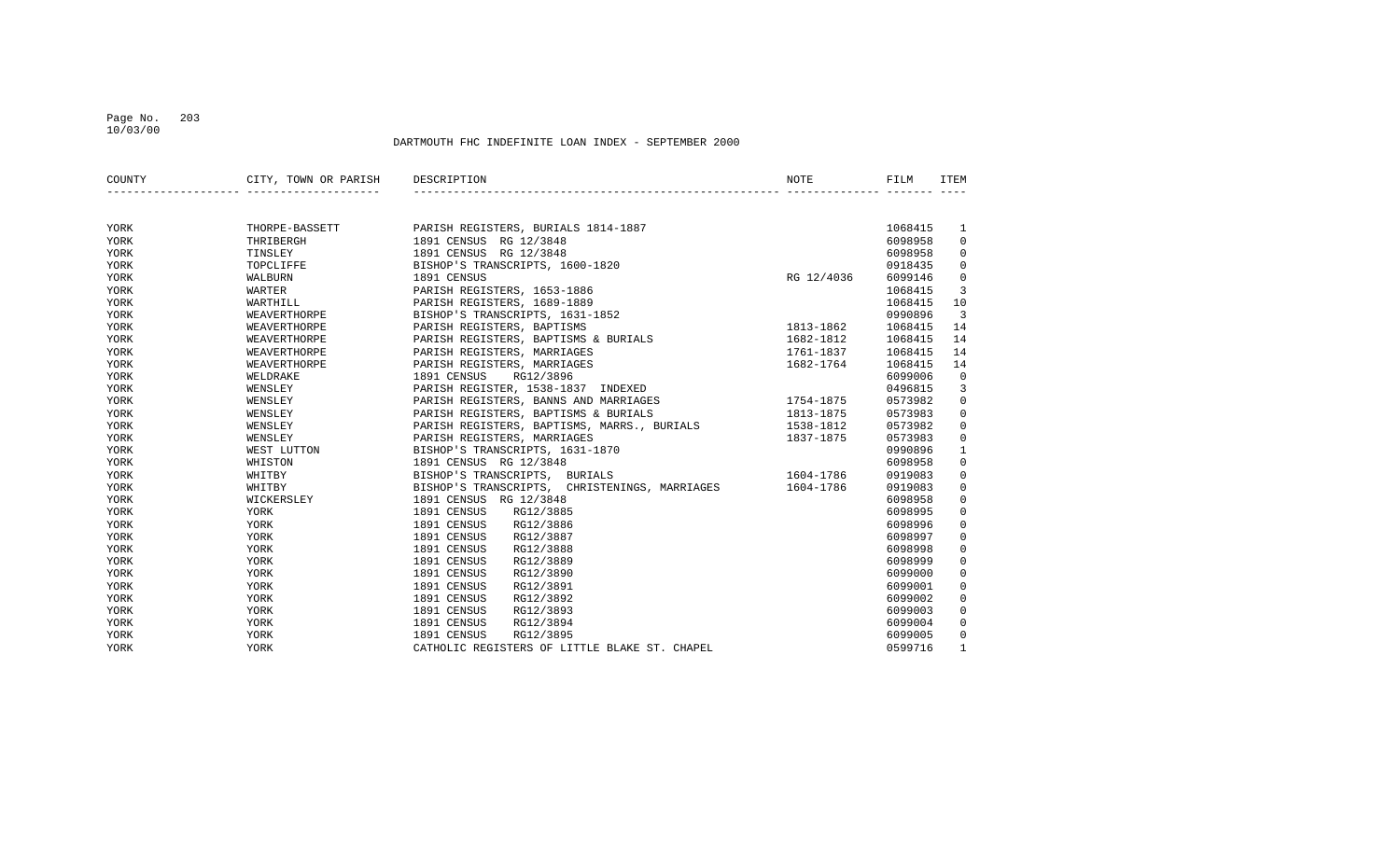### Page No. 203 10/03/00

| COUNTY | CITY, TOWN OR PARISH DESCRIPTION |                                                         | NOTE       | FILM    | <b>ITEM</b>    |
|--------|----------------------------------|---------------------------------------------------------|------------|---------|----------------|
|        |                                  |                                                         |            |         |                |
| YORK   | THORPE-BASSETT                   | PARISH REGISTERS, BURIALS 1814-1887                     |            | 1068415 | 1              |
| YORK   | THRIBERGH                        | 1891 CENSUS RG 12/3848                                  |            | 6098958 | $\mathbf 0$    |
| YORK   | TINSLEY                          | 1891 CENSUS RG 12/3848                                  |            | 6098958 | 0              |
| YORK   | TOPCLIFFE                        | BISHOP'S TRANSCRIPTS, 1600-1820                         |            | 0918435 | $\mathbf 0$    |
| YORK   | WALBURN                          | 1891 CENSUS                                             | RG 12/4036 | 6099146 | 0              |
| YORK   | WARTER                           | PARISH REGISTERS, 1653-1886                             |            | 1068415 | 3              |
| YORK   | WARTHILL                         | PARISH REGISTERS, 1689-1889                             |            | 1068415 | 10             |
| YORK   | WEAVERTHORPE                     | BISHOP'S TRANSCRIPTS, 1631-1852                         |            | 0990896 | $\overline{3}$ |
| YORK   | WEAVERTHORPE                     | PARISH REGISTERS, BAPTISMS                              | 1813-1862  | 1068415 | 14             |
| YORK   | WEAVERTHORPE                     | PARISH REGISTERS, BAPTISMS & BURIALS                    | 1682-1812  | 1068415 | 14             |
| YORK   | WEAVERTHORPE                     | PARISH REGISTERS, MARRIAGES                             | 1761-1837  | 1068415 | 14             |
| YORK   | WEAVERTHORPE                     | PARISH REGISTERS, MARRIAGES                             | 1682-1764  | 1068415 | 14             |
| YORK   | WELDRAKE                         | 1891 CENSUS<br>RG12/3896                                |            | 6099006 | $\mathbf 0$    |
| YORK   | WENSLEY                          | PARISH REGISTER, 1538-1837 INDEXED                      |            | 0496815 | 3              |
| YORK   | WENSLEY                          | PARISH REGISTERS, BANNS AND MARRIAGES                   | 1754-1875  | 0573982 | $\mathbf 0$    |
| YORK   | WENSLEY                          | PARISH REGISTERS, BAPTISMS & BURIALS                    | 1813-1875  | 0573983 | 0              |
| YORK   | WENSLEY                          | PARISH REGISTERS, BAPTISMS, MARRS., BURIALS 1538-1812   |            | 0573982 | $\mathbf 0$    |
| YORK   | WENSLEY                          | PARISH REGISTERS, MARRIAGES                             | 1837-1875  | 0573983 | $\mathbf 0$    |
| YORK   | WEST LUTTON                      | BISHOP'S TRANSCRIPTS, 1631-1870                         |            | 0990896 | $\mathbf{1}$   |
| YORK   | WHISTON                          | 1891 CENSUS RG 12/3848                                  |            | 6098958 | $\mathbf 0$    |
| YORK   | WHITBY                           | BISHOP'S TRANSCRIPTS, BURIALS                           | 1604-1786  | 0919083 | $\mathbf 0$    |
| YORK   | WHITBY                           | BISHOP'S TRANSCRIPTS, CHRISTENINGS, MARRIAGES 1604-1786 |            | 0919083 | $\mathsf 0$    |
| YORK   | WICKERSLEY                       | 1891 CENSUS RG 12/3848                                  |            | 6098958 | $\mathbb O$    |
| YORK   | YORK                             | 1891 CENSUS<br>RG12/3885                                |            | 6098995 | $\mathbf 0$    |
| YORK   | YORK                             | 1891 CENSUS<br>RG12/3886                                |            | 6098996 | $\mathbf 0$    |
| YORK   | YORK                             | 1891 CENSUS<br>RG12/3887                                |            | 6098997 | $\mathbf 0$    |
| YORK   | YORK                             | 1891 CENSUS<br>RG12/3888                                |            | 6098998 | $\mathbf 0$    |
| YORK   | YORK                             | 1891 CENSUS<br>RG12/3889                                |            | 6098999 | $\mathbf 0$    |
| YORK   | YORK                             | 1891 CENSUS<br>RG12/3890                                |            | 6099000 | $\mathbf 0$    |
| YORK   | YORK                             | 1891 CENSUS<br>RG12/3891                                |            | 6099001 | $\mathbf 0$    |
| YORK   | YORK                             | 1891 CENSUS<br>RG12/3892                                |            | 6099002 | 0              |
| YORK   | YORK                             | 1891 CENSUS<br>RG12/3893                                |            | 6099003 | $\mathbf 0$    |
| YORK   | YORK                             | 1891 CENSUS<br>RG12/3894                                |            | 6099004 | $\mathbf 0$    |
| YORK   | YORK                             | 1891 CENSUS<br>RG12/3895                                |            | 6099005 | $\mathsf 0$    |
| YORK   | YORK                             | CATHOLIC REGISTERS OF LITTLE BLAKE ST. CHAPEL           |            | 0599716 | $\mathbf{1}$   |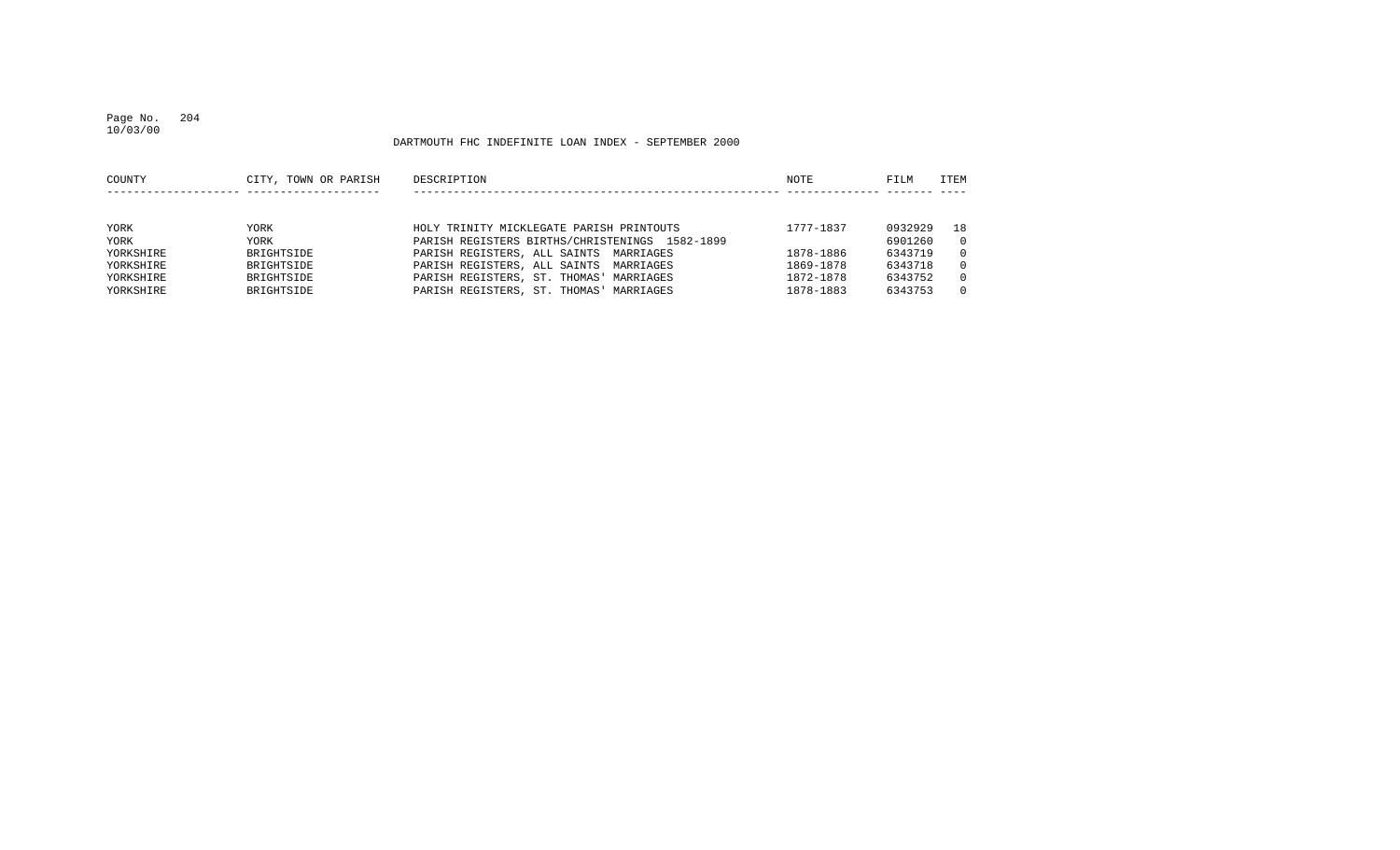### Page No. 204 10/03/00

| ITEM     |
|----------|
|          |
|          |
| 18       |
| $\Omega$ |
| $\Omega$ |
| $\Omega$ |
| $\Omega$ |
| $\Omega$ |
|          |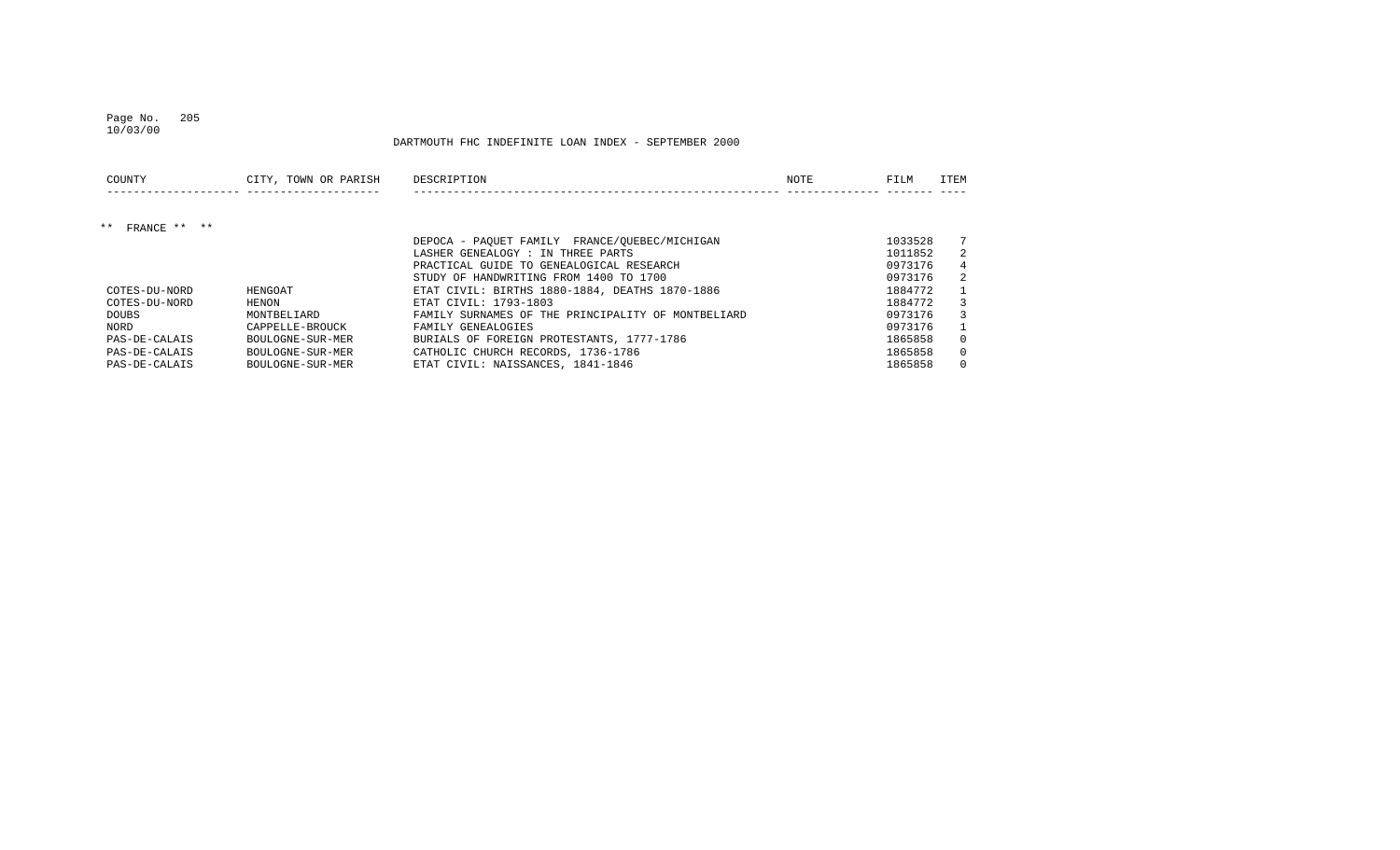### Page No. 205 10/03/00

| COUNTY                      | CITY, TOWN OR PARISH | DESCRIPTION                                        | NOTE | FILM    | ITEM     |
|-----------------------------|----------------------|----------------------------------------------------|------|---------|----------|
|                             |                      |                                                    |      |         |          |
| FRANCE $***$ $***$<br>$***$ |                      |                                                    |      |         |          |
|                             |                      | DEPOCA - PAOUET FAMILY FRANCE/OUEBEC/MICHIGAN      |      | 1033528 |          |
|                             |                      | LASHER GENEALOGY : IN THREE PARTS                  |      | 1011852 | 2        |
|                             |                      | PRACTICAL GUIDE TO GENEALOGICAL RESEARCH           |      | 0973176 | 4        |
|                             |                      | STUDY OF HANDWRITING FROM 1400 TO 1700             |      | 0973176 | 2        |
| COTES-DU-NORD               | HENGOAT              | ETAT CIVIL: BIRTHS 1880-1884, DEATHS 1870-1886     |      | 1884772 |          |
| COTES-DU-NORD               | HENON                | ETAT CIVIL: 1793-1803                              |      | 1884772 | 3        |
| DOUBS                       | MONTBELIARD          | FAMILY SURNAMES OF THE PRINCIPALITY OF MONTBELIARD |      | 0973176 | 3        |
| NORD                        | CAPPELLE-BROUCK      | FAMILY GENEALOGIES                                 |      | 0973176 |          |
| PAS-DE-CALAIS               | BOULOGNE-SUR-MER     | BURIALS OF FOREIGN PROTESTANTS, 1777-1786          |      | 1865858 | $\Omega$ |
| PAS-DE-CALAIS               | BOULOGNE-SUR-MER     | CATHOLIC CHURCH RECORDS, 1736-1786                 |      | 1865858 | $\Omega$ |
| PAS-DE-CALAIS               | BOULOGNE-SUR-MER     | ETAT CIVIL: NAISSANCES, 1841-1846                  |      | 1865858 | $\Omega$ |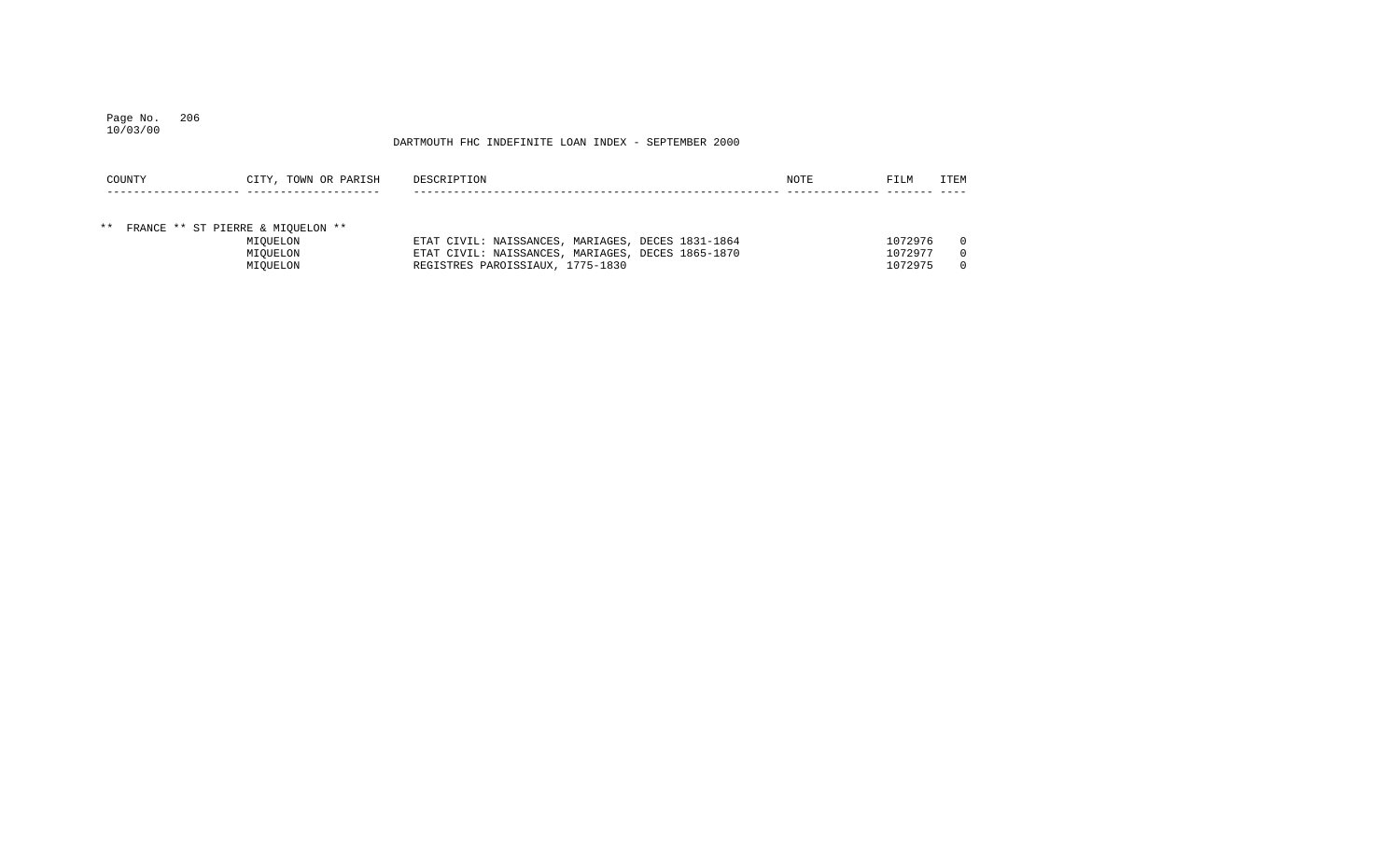### Page No. 206 10/03/00

| COUNTY | CITY, TOWN OR PARISH                 | DESCRIPTION                                       | NOTE | <b>FILM</b> | ITEM     |
|--------|--------------------------------------|---------------------------------------------------|------|-------------|----------|
|        |                                      |                                                   |      |             |          |
|        |                                      |                                                   |      |             |          |
|        | ** FRANCE ** ST PIERRE & MIOUELON ** |                                                   |      |             |          |
|        | MIOUELON                             | ETAT CIVIL: NAISSANCES, MARIAGES, DECES 1831-1864 |      | 1072976     | $\Omega$ |
|        | MIOUELON                             | ETAT CIVIL: NAISSANCES, MARIAGES, DECES 1865-1870 |      | 1072977     | $\Omega$ |
|        | MIOUELON                             | REGISTRES PAROISSIAUX, 1775-1830                  |      | 1072975     | $\Omega$ |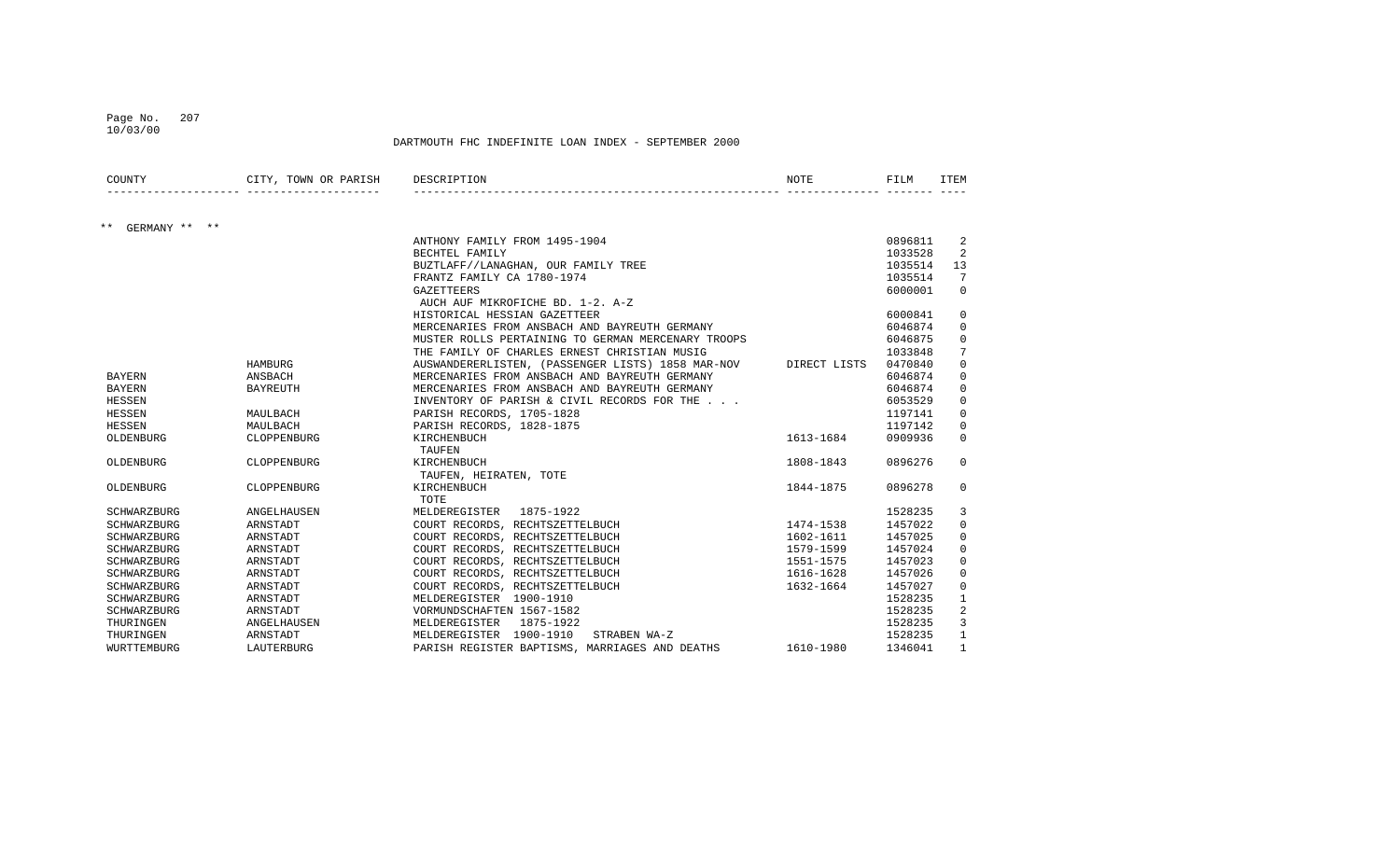### Page No. 207 10/03/00

| COUNTY                 | CITY, TOWN OR PARISH | DESCRIPTION                                        | NOTE         | FILM    | <b>ITEM</b>  |
|------------------------|----------------------|----------------------------------------------------|--------------|---------|--------------|
| $***$<br>GERMANY ** ** |                      |                                                    |              |         |              |
|                        |                      | ANTHONY FAMILY FROM 1495-1904                      |              | 0896811 | 2            |
|                        |                      | BECHTEL FAMILY                                     |              | 1033528 | 2            |
|                        |                      | BUZTLAFF//LANAGHAN, OUR FAMILY TREE                |              | 1035514 | 13           |
|                        |                      | FRANTZ FAMILY CA 1780-1974                         |              | 1035514 | 7            |
|                        |                      | <b>GAZETTEERS</b>                                  |              | 6000001 | $\Omega$     |
|                        |                      | AUCH AUF MIKROFICHE BD. 1-2. A-Z                   |              |         |              |
|                        |                      | HISTORICAL HESSIAN GAZETTEER                       |              | 6000841 | 0            |
|                        |                      | MERCENARIES FROM ANSBACH AND BAYREUTH GERMANY      |              | 6046874 | $\mathbf 0$  |
|                        |                      | MUSTER ROLLS PERTAINING TO GERMAN MERCENARY TROOPS |              | 6046875 | $\mathbf 0$  |
|                        |                      | THE FAMILY OF CHARLES ERNEST CHRISTIAN MUSIG       |              | 1033848 | 7            |
|                        | HAMBURG              | AUSWANDERERLISTEN, (PASSENGER LISTS) 1858 MAR-NOV  | DIRECT LISTS | 0470840 | 0            |
| <b>BAYERN</b>          | ANSBACH              | MERCENARIES FROM ANSBACH AND BAYREUTH GERMANY      |              | 6046874 | 0            |
| BAYERN                 | <b>BAYREUTH</b>      | MERCENARIES FROM ANSBACH AND BAYREUTH GERMANY      |              | 6046874 | 0            |
| HESSEN                 |                      | INVENTORY OF PARISH & CIVIL RECORDS FOR THE        |              | 6053529 | 0            |
| <b>HESSEN</b>          | MAULBACH             | PARISH RECORDS, 1705-1828                          |              | 1197141 | $\mathsf 0$  |
| HESSEN                 | MAULBACH             | PARISH RECORDS, 1828-1875                          |              | 1197142 | $\mathbf 0$  |
| OLDENBURG              | CLOPPENBURG          | KIRCHENBUCH                                        | 1613-1684    | 0909936 | $\Omega$     |
|                        |                      | TAUFEN                                             |              |         |              |
| OLDENBURG              | CLOPPENBURG          | KIRCHENBUCH                                        | 1808-1843    | 0896276 | $\Omega$     |
|                        |                      | TAUFEN, HEIRATEN, TOTE                             |              |         |              |
| OLDENBURG              | CLOPPENBURG          | KIRCHENBUCH                                        | 1844-1875    | 0896278 | $\Omega$     |
|                        |                      | TOTE                                               |              |         |              |
| SCHWARZBURG            | ANGELHAUSEN          | MELDEREGISTER<br>1875-1922                         |              | 1528235 | 3            |
| SCHWARZBURG            | ARNSTADT             | COURT RECORDS, RECHTSZETTELBUCH                    | 1474-1538    | 1457022 | $\mathbf 0$  |
| SCHWARZBURG            | ARNSTADT             | COURT RECORDS, RECHTSZETTELBUCH                    | 1602-1611    | 1457025 | $\mathbf 0$  |
| SCHWARZBURG            | ARNSTADT             | COURT RECORDS, RECHTSZETTELBUCH                    | 1579-1599    | 1457024 | $\mathbf 0$  |
| SCHWARZBURG            | ARNSTADT             | COURT RECORDS, RECHTSZETTELBUCH                    | 1551-1575    | 1457023 | $\mathbf 0$  |
| SCHWARZBURG            | ARNSTADT             | COURT RECORDS, RECHTSZETTELBUCH                    | 1616-1628    | 1457026 | 0            |
| SCHWARZBURG            | ARNSTADT             | COURT RECORDS, RECHTSZETTELBUCH                    | 1632-1664    | 1457027 | $\mathbf 0$  |
| SCHWARZBURG            | ARNSTADT             | MELDEREGISTER 1900-1910                            |              | 1528235 | 1            |
| SCHWARZBURG            | ARNSTADT             | VORMUNDSCHAFTEN 1567-1582                          |              | 1528235 | 2            |
| THURINGEN              | ANGELHAUSEN          | MELDEREGISTER<br>1875-1922                         |              | 1528235 | 3            |
| THURINGEN              | ARNSTADT             | STRABEN WA-Z<br>MELDEREGISTER 1900-1910            |              | 1528235 | 1            |
| WURTTEMBURG            | LAUTERBURG           | PARISH REGISTER BAPTISMS, MARRIAGES AND DEATHS     | 1610-1980    | 1346041 | $\mathbf{1}$ |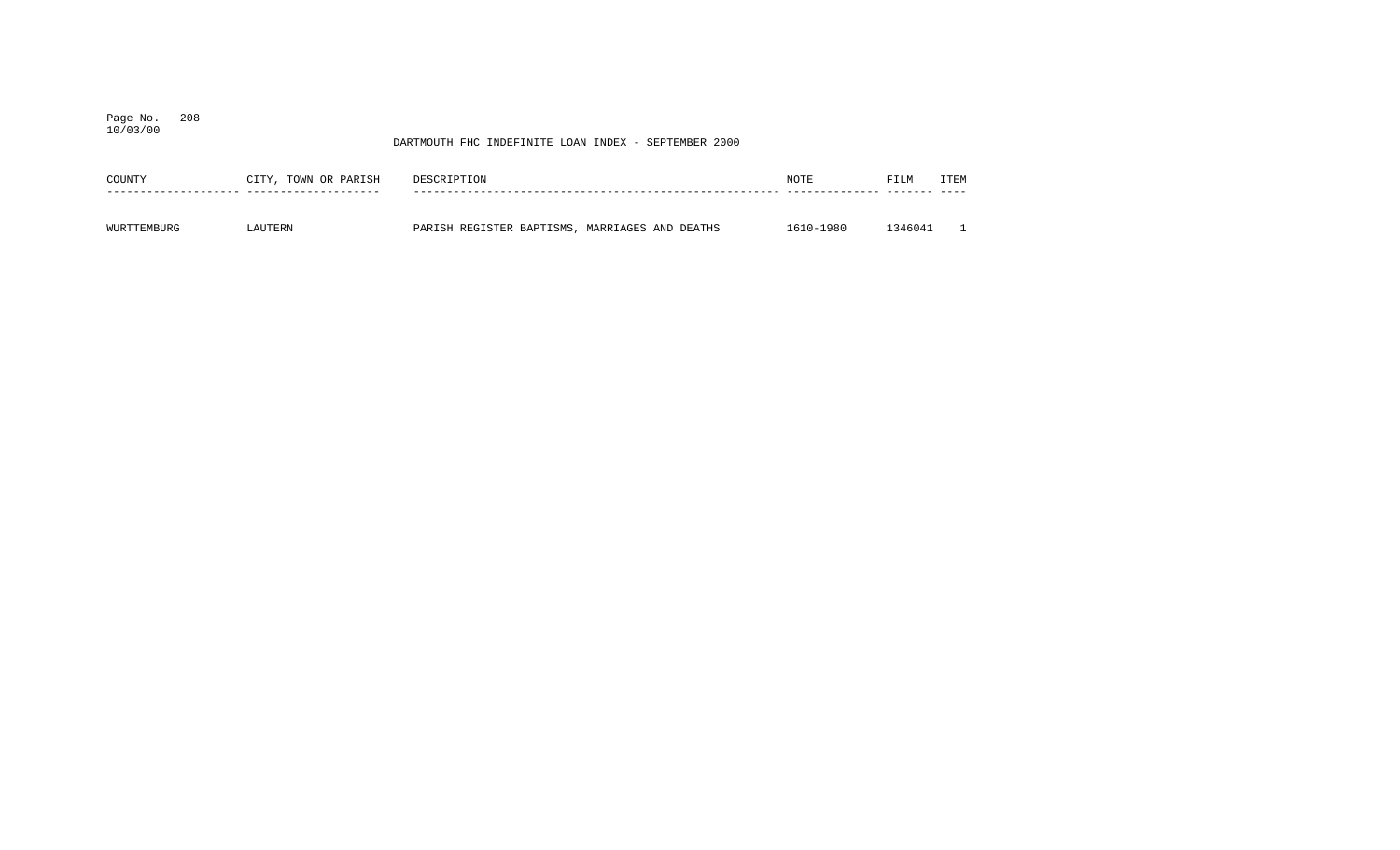Page No. 208 10/03/00

| COUNTY      | CITY, TOWN OR PARISH | DESCRIPTION                                    | NOTE      | FILM   | ITEM |
|-------------|----------------------|------------------------------------------------|-----------|--------|------|
|             |                      |                                                |           |        |      |
| WURTTEMBURG | AUTERN               | PARISH REGISTER BAPTISMS, MARRIAGES AND DEATHS | 1610-1980 | 346041 |      |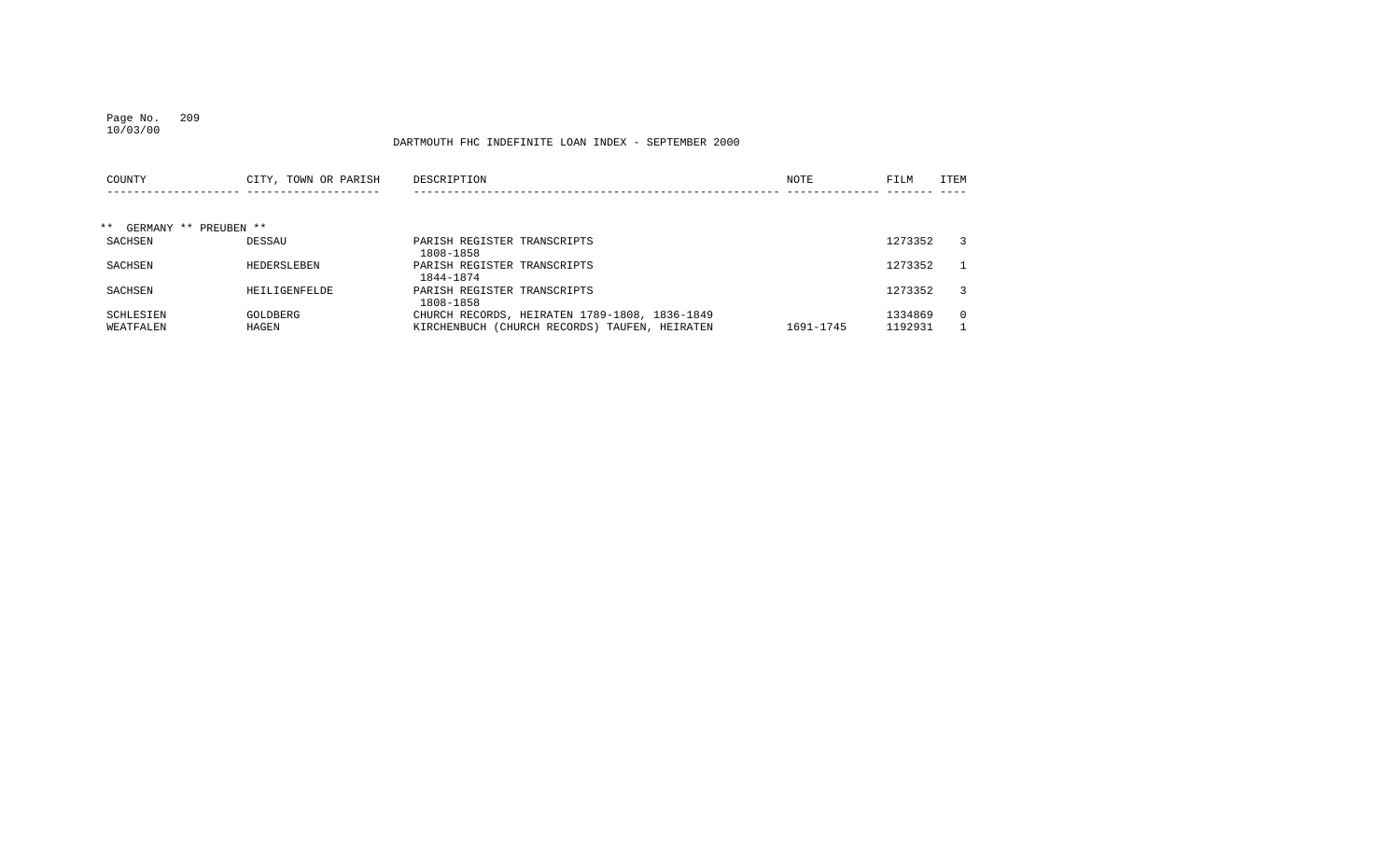### Page No. 209 10/03/00

| COUNTY                         | CITY, TOWN OR PARISH | DESCRIPTION                                   | NOTE      | FILM    | ITEM         |
|--------------------------------|----------------------|-----------------------------------------------|-----------|---------|--------------|
|                                |                      |                                               |           |         |              |
| $***$<br>GERMANY ** PREUBEN ** |                      |                                               |           |         |              |
| SACHSEN                        | DESSAU               | PARISH REGISTER TRANSCRIPTS<br>1808-1858      |           | 1273352 | 3            |
| SACHSEN                        | HEDERSLEBEN          | PARISH REGISTER TRANSCRIPTS<br>1844-1874      |           | 1273352 | $\mathbf{1}$ |
| SACHSEN                        | HEILIGENFELDE        | PARISH REGISTER TRANSCRIPTS<br>1808-1858      |           | 1273352 | 3            |
| SCHLESIEN                      | GOLDBERG             | CHURCH RECORDS, HEIRATEN 1789-1808, 1836-1849 |           | 1334869 | $\Omega$     |
| WEATFALEN                      | HAGEN                | KIRCHENBUCH (CHURCH RECORDS) TAUFEN, HEIRATEN | 1691-1745 | 1192931 |              |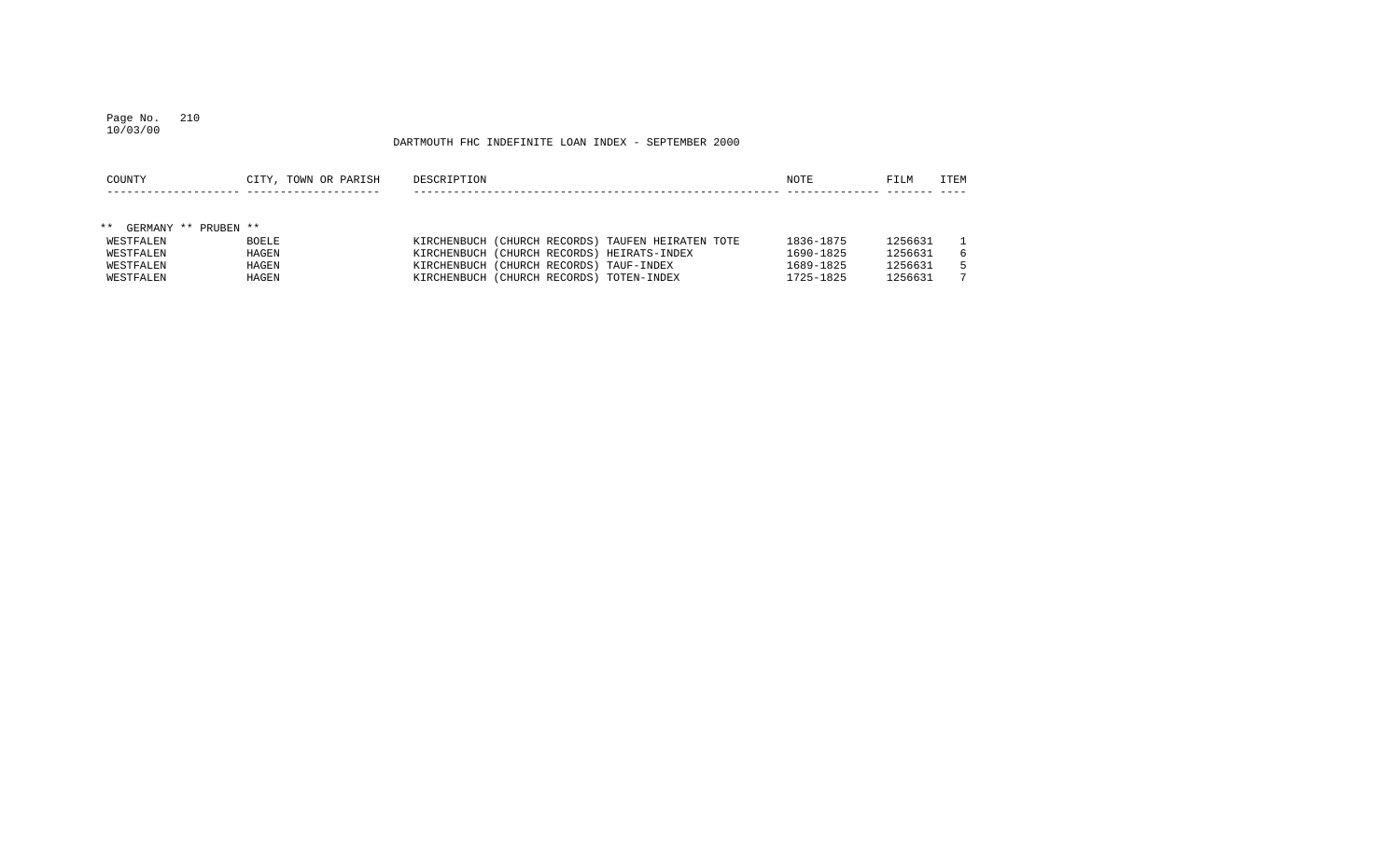#### Page No. 210 10/03/00

| COUNTY                           | CITY, TOWN OR PARISH | DESCRIPTION                                       | NOTE      | FILM    | ITEM |
|----------------------------------|----------------------|---------------------------------------------------|-----------|---------|------|
|                                  |                      |                                                   |           |         |      |
|                                  |                      |                                                   |           |         |      |
| $***$<br>PRUBEN **<br>GERMANY ** |                      |                                                   |           |         |      |
| WESTFALEN                        | <b>BOELE</b>         | KIRCHENBUCH (CHURCH RECORDS) TAUFEN HEIRATEN TOTE | 1836-1875 | 1256631 |      |
| WESTFALEN                        | HAGEN                | KIRCHENBUCH (CHURCH RECORDS) HEIRATS-INDEX        | 1690-1825 | 1256631 | 6    |
| WESTFALEN                        | HAGEN                | KIRCHENBUCH (CHURCH RECORDS) TAUF-INDEX           | 1689-1825 | 1256631 | 5.   |
| WESTFALEN                        | HAGEN                | KIRCHENBUCH (CHURCH RECORDS) TOTEN-INDEX          | 1725-1825 | 1256631 |      |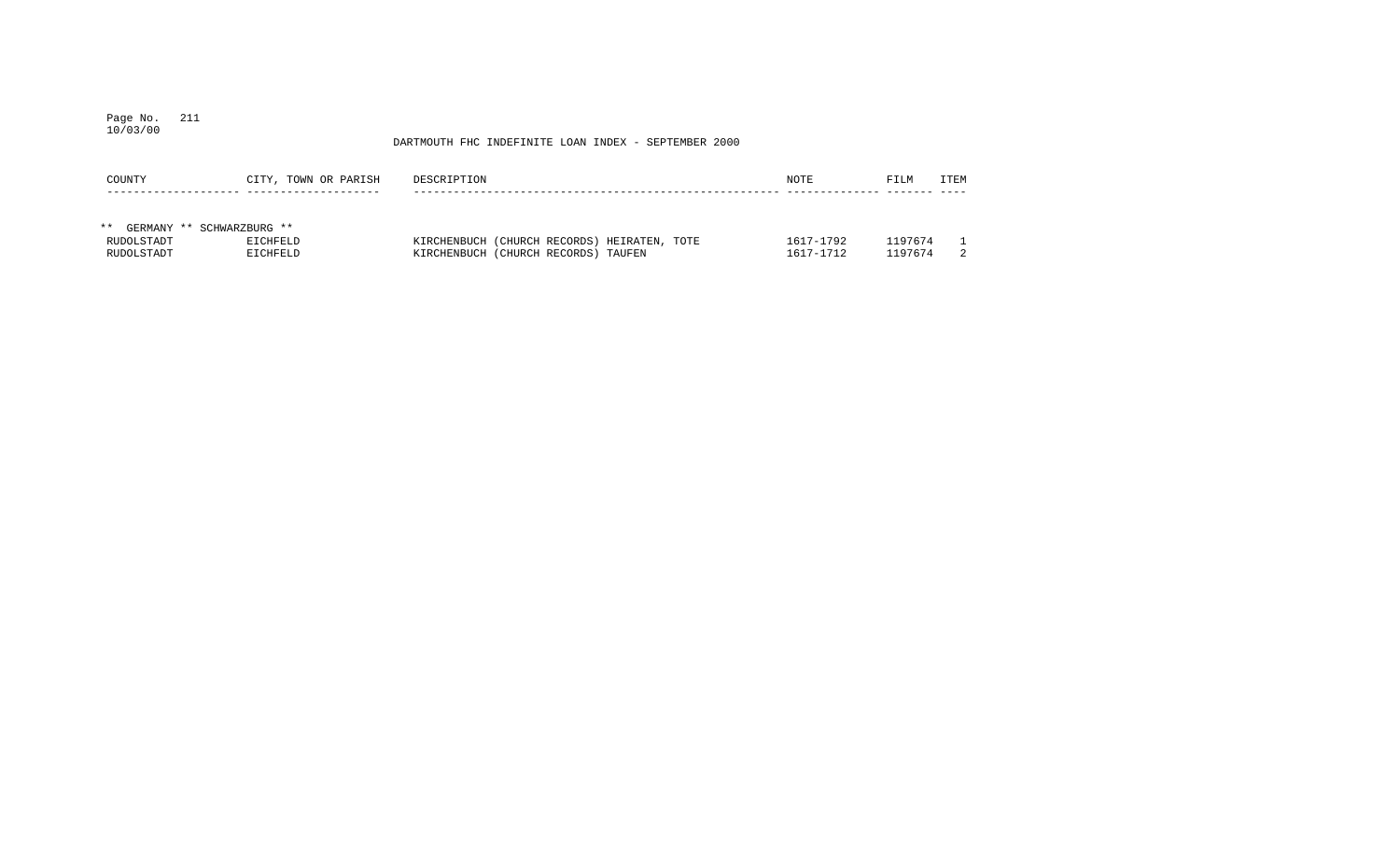#### Page No. 211 10/03/00

| COUNTY                   | CITY, TOWN OR PARISH | DESCRIPTION                                                                        | NOTE                   | FILM               | ITEM |
|--------------------------|----------------------|------------------------------------------------------------------------------------|------------------------|--------------------|------|
|                          |                      |                                                                                    |                        |                    |      |
| $***$<br>GERMANY **      | SCHWARZBURG **       |                                                                                    |                        |                    |      |
| RUDOLSTADT<br>RUDOLSTADT | EICHFELD<br>EICHFELD | KIRCHENBUCH (CHURCH RECORDS) HEIRATEN, TOTE<br>KIRCHENBUCH (CHURCH RECORDS) TAUFEN | 1617-1792<br>1617-1712 | 1197674<br>1197674 |      |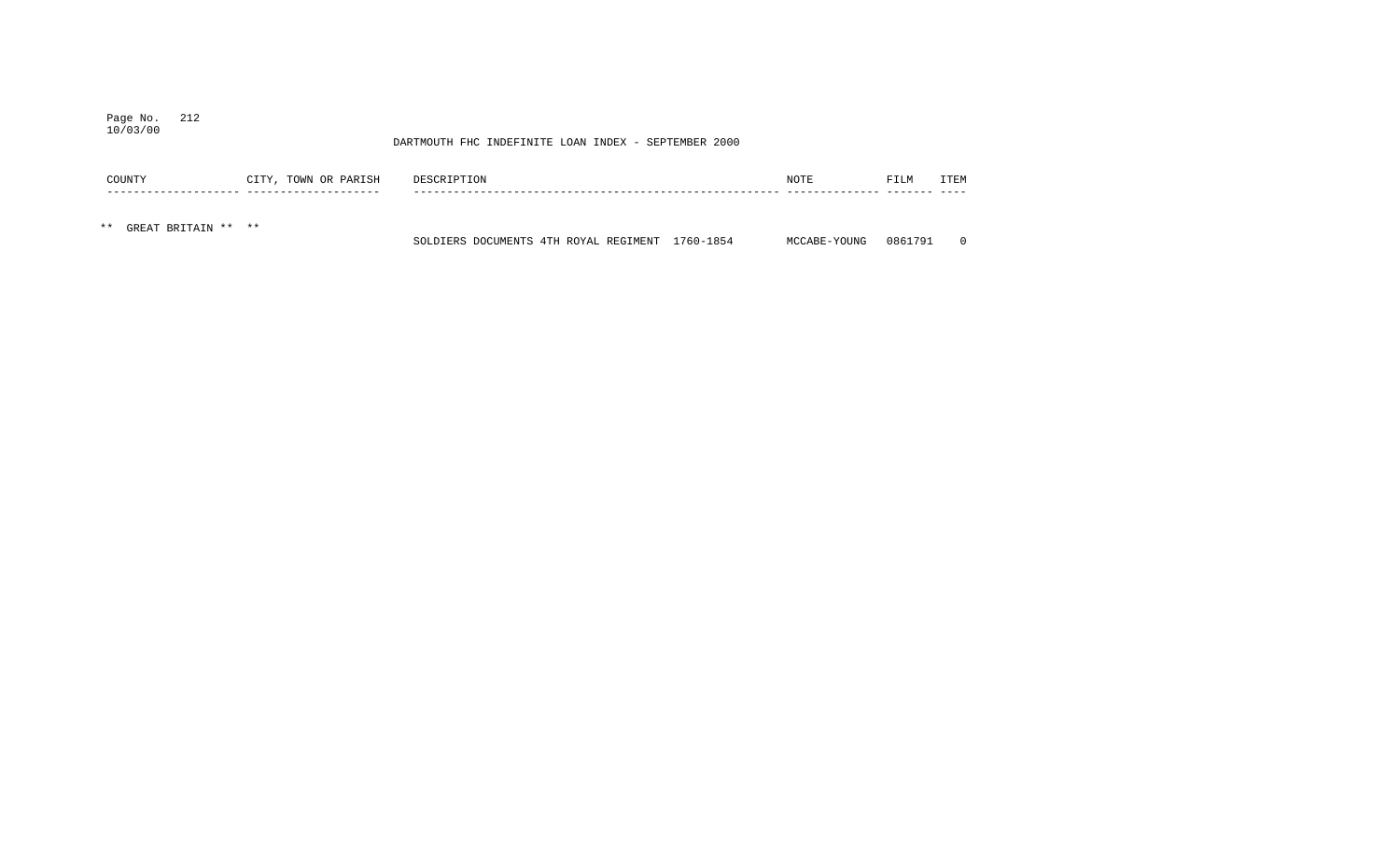### Page No. 212 10/03/00

|     | COUNTY              | CITY, TOWN OR PARISH | DESCRIPTION |                                                 | NOTE         | FILM    | TTEM     |
|-----|---------------------|----------------------|-------------|-------------------------------------------------|--------------|---------|----------|
|     |                     |                      |             |                                                 |              |         |          |
| * * | GREAT BRITAIN ** ** |                      |             | SOLDIERS DOCUMENTS 4TH ROYAL REGIMENT 1760-1854 | MCCABE-YOUNG | 0861791 | $\Omega$ |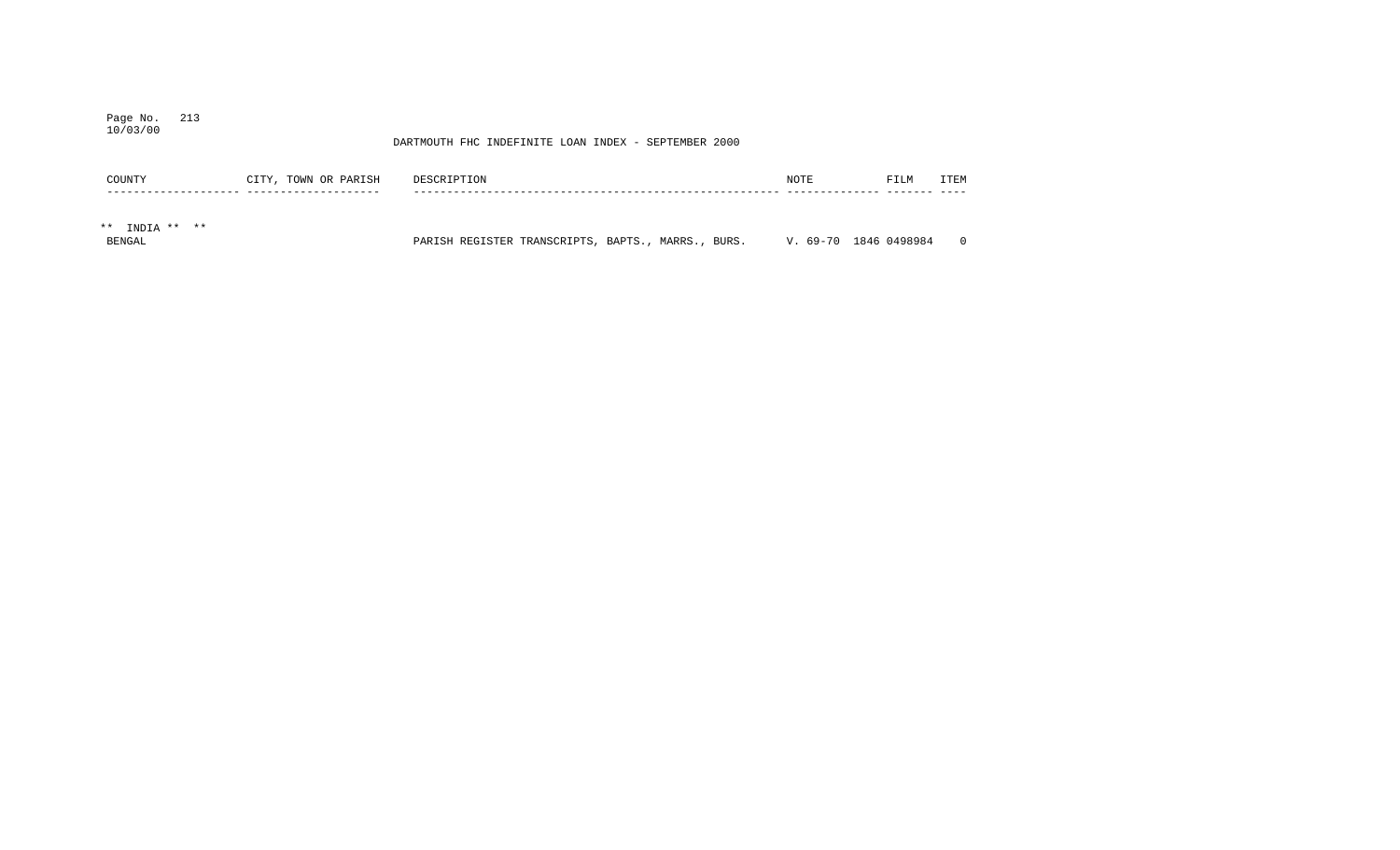### Page No. 213 10/03/00

| COUNTY               | CITY, TOWN OR PARISH | DESCRIPTION                                        | NOTE | FILM                  | ITEM     |
|----------------------|----------------------|----------------------------------------------------|------|-----------------------|----------|
|                      |                      |                                                    |      |                       |          |
| $***$<br>INDIA ** ** |                      |                                                    |      |                       |          |
| <b>BENGAL</b>        |                      | PARISH REGISTER TRANSCRIPTS, BAPTS., MARRS., BURS. |      | V. 69-70 1846 0498984 | $\Omega$ |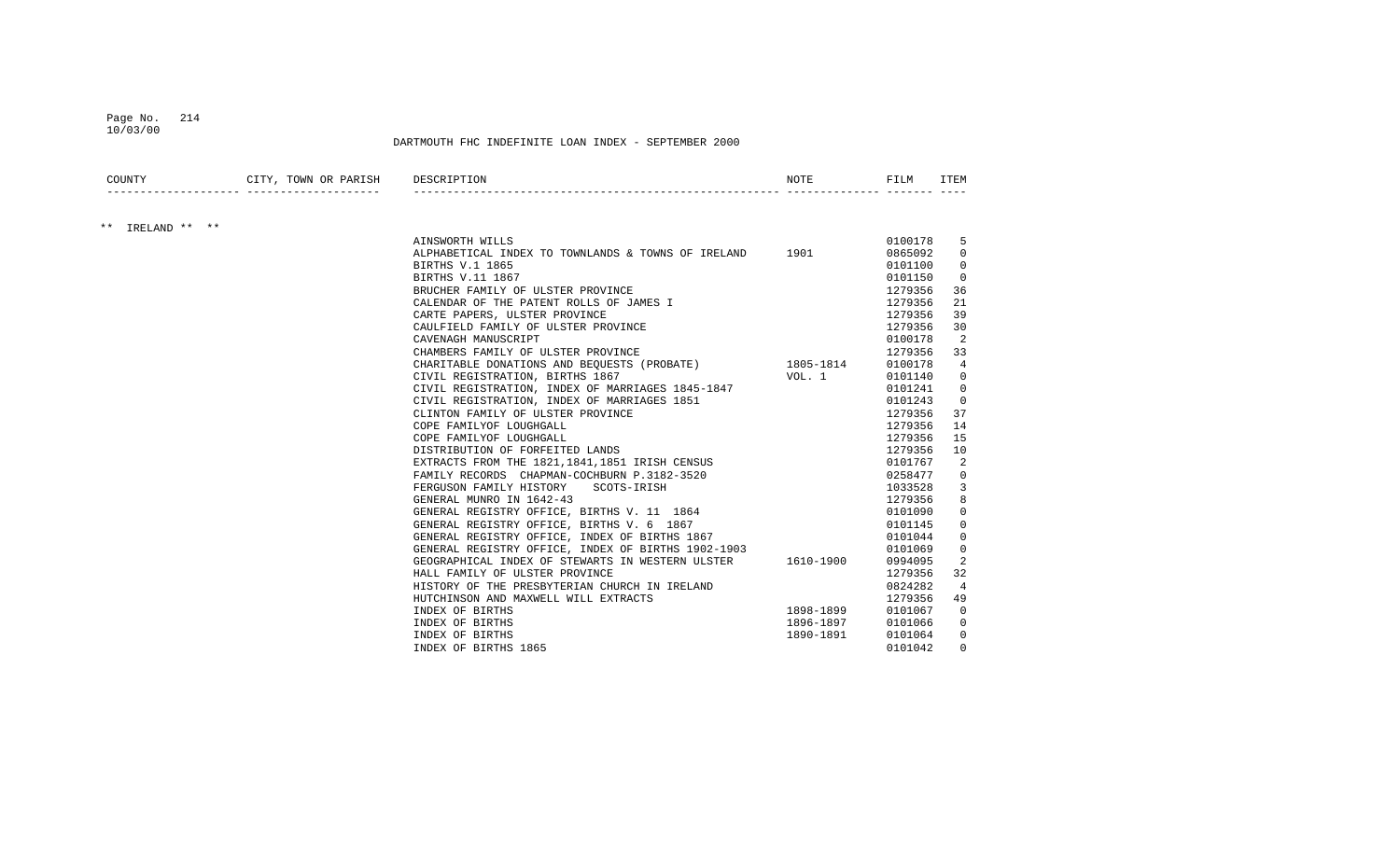### Page No. 214 10/03/00

| COUNTY           | CITY, TOWN OR PARISH DESCRIPTION |                                                                                    | NOTE      | FILM    | ITEM         |
|------------------|----------------------------------|------------------------------------------------------------------------------------|-----------|---------|--------------|
|                  |                                  |                                                                                    |           |         |              |
| ** IRELAND ** ** |                                  | AINSWORTH WILLS                                                                    |           | 0100178 | 5            |
|                  |                                  | ALPHABETICAL INDEX TO TOWNLANDS & TOWNS OF IRELAND 1901                            |           | 0865092 | $\Omega$     |
|                  |                                  | BIRTHS V.1 1865                                                                    |           | 0101100 | $\Omega$     |
|                  |                                  | BIRTHS V.11 1867                                                                   |           | 0101150 | $\mathbf 0$  |
|                  |                                  |                                                                                    |           | 1279356 | 36           |
|                  |                                  | CALENDAR OF THE PATENT ROLLS OF JAMES I<br>CALENDAR OF THE PATENT ROLLS OF JAMES I |           | 1279356 | 21           |
|                  |                                  | CARTE PAPERS, ULSTER PROVINCE                                                      |           | 1279356 | 39           |
|                  |                                  | CAULFIELD FAMILY OF ULSTER PROVINCE                                                |           | 1279356 | 30           |
|                  |                                  | CAVENAGH MANUSCRIPT                                                                |           | 0100178 | 2            |
|                  |                                  | CHAMBERS FAMILY OF ULSTER PROVINCE                                                 |           | 1279356 | 33           |
|                  |                                  | CHARITABLE DONATIONS AND BEQUESTS (PROBATE) 1805-1814                              |           | 0100178 | 4            |
|                  |                                  | CIVIL REGISTRATION, BIRTHS 1867                                                    | VOL. 1    | 0101140 | $\mathbf{0}$ |
|                  |                                  | CIVIL REGISTRATION, INDEX OF MARRIAGES 1845-1847                                   |           | 0101241 | $\mathbf{0}$ |
|                  |                                  | CIVIL REGISTRATION, INDEX OF MARRIAGES 1851                                        |           | 0101243 | $\mathbf{0}$ |
|                  |                                  | CLINTON FAMILY OF ULSTER PROVINCE                                                  |           | 1279356 | 37           |
|                  |                                  | COPE FAMILYOF LOUGHGALL                                                            |           | 1279356 | 14           |
|                  |                                  | COPE FAMILYOF LOUGHGALL                                                            |           | 1279356 | 15           |
|                  |                                  | DISTRIBUTION OF FORFEITED LANDS                                                    |           | 1279356 | 10           |
|                  |                                  | EXTRACTS FROM THE 1821, 1841, 1851 IRISH CENSUS                                    |           | 0101767 | 2            |
|                  |                                  | FAMILY RECORDS CHAPMAN-COCHBURN P.3182-3520                                        |           | 0258477 | $\mathbf{0}$ |
|                  |                                  | FERGUSON FAMILY HISTORY SCOTS-IRISH                                                |           | 1033528 | 3            |
|                  |                                  | GENERAL MUNRO IN 1642-43                                                           |           | 1279356 | 8            |
|                  |                                  | GENERAL REGISTRY OFFICE, BIRTHS V. 11 1864                                         |           | 0101090 | 0            |
|                  |                                  | GENERAL REGISTRY OFFICE, BIRTHS V. 6 1867                                          |           | 0101145 | $\Omega$     |
|                  |                                  | GENERAL REGISTRY OFFICE, INDEX OF BIRTHS 1867                                      |           | 0101044 | $\Omega$     |
|                  |                                  | GENERAL REGISTRY OFFICE, INDEX OF BIRTHS 1902-1903                                 |           | 0101069 | $\mathbf{0}$ |
|                  |                                  | GEOGRAPHICAL INDEX OF STEWARTS IN WESTERN ULSTER 1610-1900                         |           | 0994095 | 2            |
|                  |                                  | HALL FAMILY OF ULSTER PROVINCE                                                     |           | 1279356 | 32           |
|                  |                                  | HISTORY OF THE PRESBYTERIAN CHURCH IN IRELAND                                      |           | 0824282 | 4            |
|                  |                                  | HUTCHINSON AND MAXWELL WILL EXTRACTS                                               |           | 1279356 | 49           |
|                  |                                  | INDEX OF BIRTHS                                                                    | 1898-1899 | 0101067 | $\Omega$     |
|                  |                                  | INDEX OF BIRTHS                                                                    | 1896-1897 | 0101066 | 0            |
|                  |                                  | INDEX OF BIRTHS                                                                    | 1890-1891 | 0101064 | $\mathbf{0}$ |
|                  |                                  | INDEX OF BIRTHS 1865                                                               |           | 0101042 | $\Omega$     |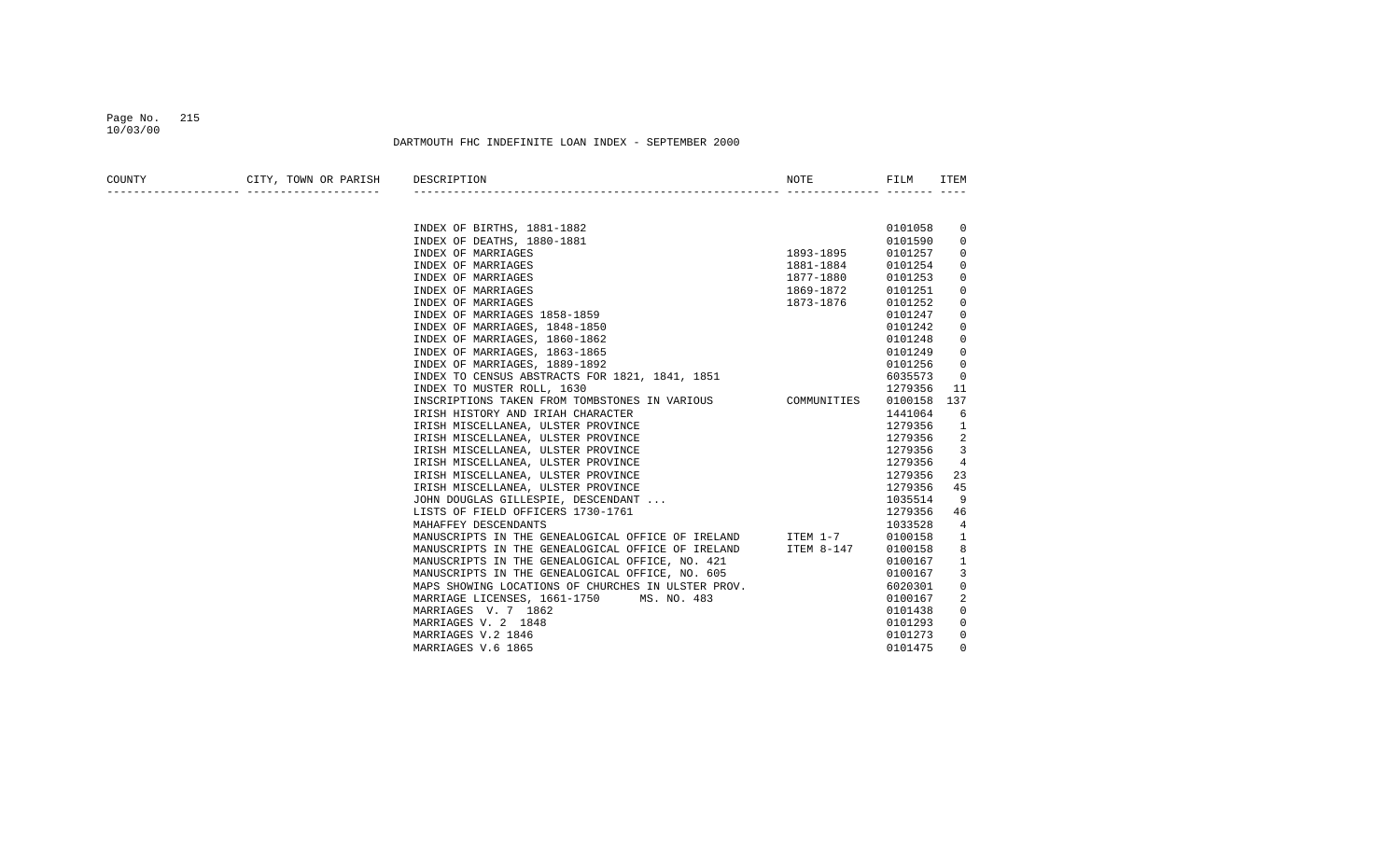#### Page No. 215 10/03/00

| COUNTY | CITY, TOWN OR PARISH DESCRIPTION |                                                                                                                                   | NOTE      | FILM    | ITEM        |
|--------|----------------------------------|-----------------------------------------------------------------------------------------------------------------------------------|-----------|---------|-------------|
|        |                                  |                                                                                                                                   |           |         |             |
|        |                                  | INDEX OF BIRTHS, 1881-1882                                                                                                        |           | 0101058 | 0           |
|        |                                  | INDEX OF DEATHS, 1880-1881                                                                                                        |           | 0101590 | $\mathbf 0$ |
|        |                                  | INDEX OF MARRIAGES                                                                                                                | 1893-1895 | 0101257 | 0           |
|        |                                  | INDEX OF MARRIAGES                                                                                                                | 1881-1884 | 0101254 | $\mathbf 0$ |
|        |                                  | INDEX OF MARRIAGES                                                                                                                | 1877-1880 | 0101253 | $\mathbf 0$ |
|        |                                  | INDEX OF MARRIAGES                                                                                                                | 1869-1872 | 0101251 | 0           |
|        |                                  | INDEX OF MARRIAGES                                                                                                                | 1873-1876 | 0101252 | $\mathbf 0$ |
|        |                                  | INDEX OF MARRIAGES 1858-1859                                                                                                      |           | 0101247 | 0           |
|        |                                  | INDEX OF MARRIAGES, 1848-1850                                                                                                     |           | 0101242 | $\mathbf 0$ |
|        |                                  | INDEX OF MARRIAGES, 1860-1862                                                                                                     |           | 0101248 | 0           |
|        |                                  | INDEX OF MARRIAGES, 1863-1865                                                                                                     |           | 0101249 | 0           |
|        |                                  | INDEX OF MARRIAGES, 1889-1892                                                                                                     |           | 0101256 | $\mathbf 0$ |
|        |                                  | INDEX OF MARRIAGES, 1889-1892<br>INDEX TO CENSUS ABSTRACTS FOR 1821, 1841, 1851                                                   |           | 6035573 | 0           |
|        |                                  | INDEX TO MUSTER ROLL, 1630                                                                                                        |           | 1279356 | 11          |
|        |                                  | INSCRIPTIONS TAKEN FROM TOMBSTONES IN VARIOUS COMMUNITIES                                                                         |           | 0100158 | 137         |
|        |                                  | IRISH HISTORY AND IRIAH CHARACTER                                                                                                 |           | 1441064 | 6           |
|        |                                  | IRISH MISCELLANEA, ULSTER PROVINCE                                                                                                |           | 1279356 | 1           |
|        |                                  | IRISH MISCELLANEA, ULSTER PROVINCE                                                                                                |           | 1279356 | 2           |
|        |                                  | IRISH MISCELLANEA, ULSTER PROVINCE                                                                                                |           | 1279356 | 3           |
|        |                                  | IRISH MISCELLANEA, ULSTER PROVINCE                                                                                                |           | 1279356 | 4           |
|        |                                  | IRISH MISCELLANEA, ULSTER PROVINCE                                                                                                |           | 1279356 | 23          |
|        |                                  | IRISH MISCELLANEA, ULSTER PROVINCE                                                                                                |           | 1279356 | 45          |
|        |                                  | JOHN DOUGLAS GILLESPIE, DESCENDANT                                                                                                |           | 1035514 | 9           |
|        |                                  | LISTS OF FIELD OFFICERS 1730-1761                                                                                                 |           | 1279356 | 46          |
|        |                                  | MAHAFFEY DESCENDANTS                                                                                                              |           | 1033528 | 4           |
|        |                                  | MANUSCRIPTS IN THE GENEALOGICAL OFFICE OF IRELAND ITEM $1-7$<br>MANUSCRIPTS IN THE GENEALOGICAL OFFICE OF IRELAND ITEM $8-147$    |           | 0100158 | 1           |
|        |                                  |                                                                                                                                   |           | 0100158 | 8           |
|        |                                  |                                                                                                                                   |           | 0100167 | 1           |
|        |                                  | MANUSCRIPTS IN THE GENEALOGICAL OFFICE, NO. 605<br>MAPS SHOWING LOCATIONS OF CULTURALITY IS A SHOWING LOCATIONS OF CULTURALITY IS |           | 0100167 | 3           |
|        |                                  | MAPS SHOWING LOCATIONS OF CHURCHES IN ULSTER PROV.                                                                                |           | 6020301 | 0           |
|        |                                  | MARRIAGE LICENSES, 1661-1750<br>MS. NO. 483                                                                                       |           | 0100167 | 2           |
|        |                                  | MARRIAGES V. 7 1862                                                                                                               |           | 0101438 | 0           |
|        |                                  | MARRIAGES V. 2 1848                                                                                                               |           | 0101293 | $\mathbf 0$ |
|        |                                  | MARRIAGES V.2 1846                                                                                                                |           | 0101273 | 0           |
|        |                                  | MARRIAGES V.6 1865                                                                                                                |           | 0101475 | $\mathbf 0$ |
|        |                                  |                                                                                                                                   |           |         |             |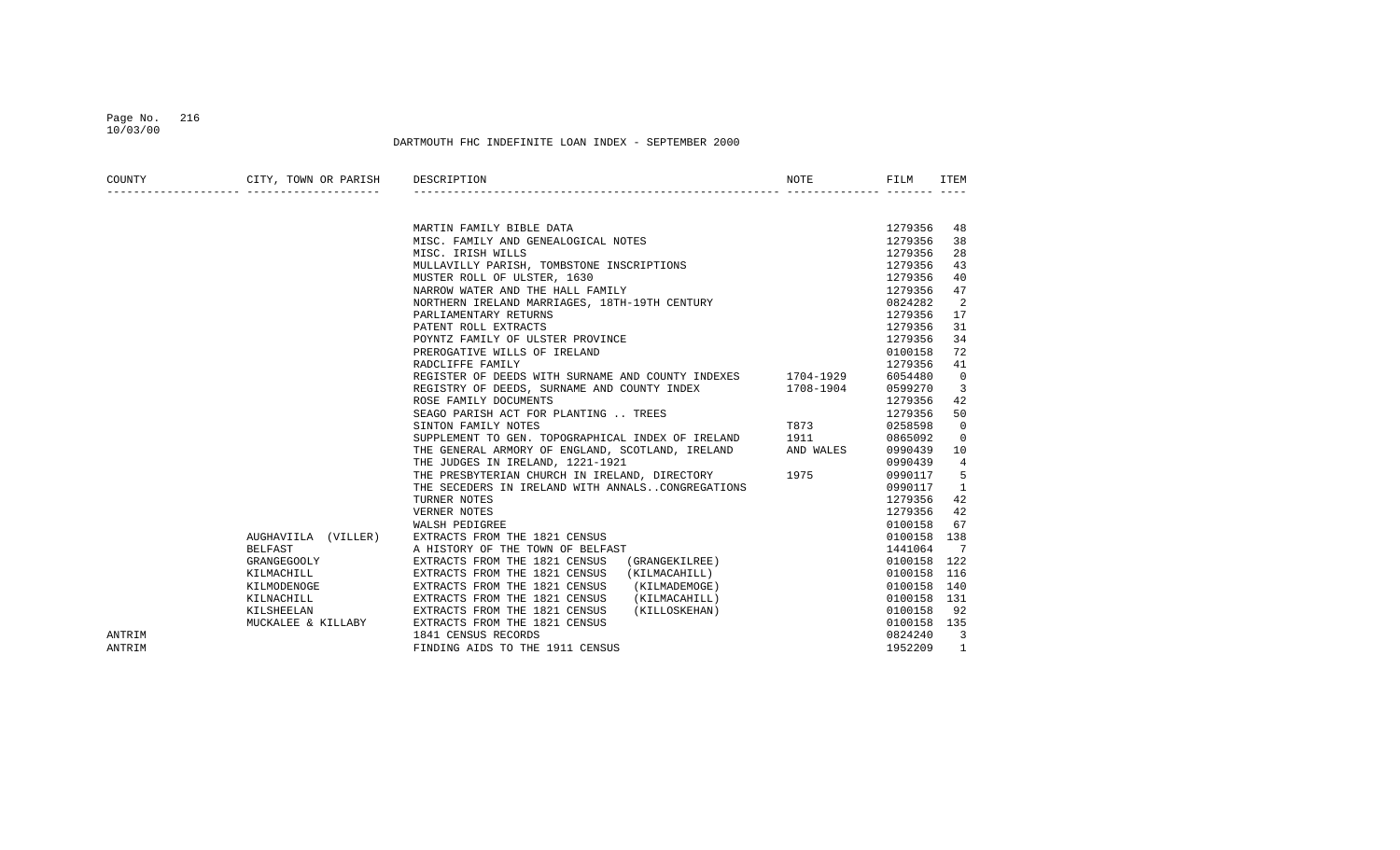### Page No. 216 10/03/00

| COUNTY | CITY, TOWN OR PARISH DESCRIPTION |                                                                                                                                                                                             | NOTE                                                                                                            | FILM        | ITEM           |
|--------|----------------------------------|---------------------------------------------------------------------------------------------------------------------------------------------------------------------------------------------|-----------------------------------------------------------------------------------------------------------------|-------------|----------------|
|        |                                  |                                                                                                                                                                                             |                                                                                                                 |             |                |
|        |                                  | MARTIN FAMILY BIBLE DATA<br>MISC. FAMILY AND GENEALOGICAL NOTES                                                                                                                             |                                                                                                                 | 1279356     | 48             |
|        |                                  |                                                                                                                                                                                             |                                                                                                                 | 1279356     | 38             |
|        |                                  | MISC. IRISH WILLS                                                                                                                                                                           |                                                                                                                 | 1279356     | 28             |
|        |                                  | MULLAVILLY PARISH, TOMBSTONE INSCRIPTIONS<br>MUSTER ROLL OF ULSTER, 1630<br>NARROW WATER AND THE HALL FAMILY<br>NORTHERN TRELAND MAPPIAGES, 1977, 1977, 2007                                |                                                                                                                 | 1279356     | 43             |
|        |                                  |                                                                                                                                                                                             |                                                                                                                 | 1279356     | 40             |
|        |                                  |                                                                                                                                                                                             |                                                                                                                 | 1279356     | 47             |
|        |                                  | NORTHERN IRELAND MARRIAGES, 18TH-19TH CENTURY                                                                                                                                               |                                                                                                                 | 0824282     | 2              |
|        |                                  | PARLIAMENTARY RETURNS                                                                                                                                                                       |                                                                                                                 | 1279356     | 17             |
|        |                                  | PATENT ROLL EXTRACTS                                                                                                                                                                        |                                                                                                                 | 1279356     | 31             |
|        |                                  | POYNTZ FAMILY OF ULSTER PROVINCE                                                                                                                                                            |                                                                                                                 | 1279356     | 34             |
|        |                                  | PREROGATIVE WILLS OF IRELAND                                                                                                                                                                |                                                                                                                 | 0100158     | 72             |
|        |                                  | RADCLIFFE FAMILY                                                                                                                                                                            |                                                                                                                 | 1279356     | 41             |
|        |                                  | REGISTER OF DEEDS WITH SURNAME AND COUNTY INDEXES 1704-1929                                                                                                                                 |                                                                                                                 | 6054480     | $\mathbf 0$    |
|        |                                  | REGISTRY OF DEEDS, SURNAME AND COUNTY INDEX 1708-1904                                                                                                                                       |                                                                                                                 | 0599270     | 3              |
|        |                                  | ROSE FAMILY DOCUMENTS                                                                                                                                                                       |                                                                                                                 | 1279356     | 42             |
|        |                                  | SEAGO PARISH ACT FOR PLANTING  TREES                                                                                                                                                        |                                                                                                                 | 1279356     | 50             |
|        |                                  | SINTON FAMILY NOTES                                                                                                                                                                         | T873 and the state of the state of the state of the state of the state of the state of the state of the state o | 0258598     | $\mathbf{0}$   |
|        |                                  | SUPPLEMENT TO GEN. TOPOGRAPHICAL INDEX OF IRELAND 1911                                                                                                                                      |                                                                                                                 | 0865092     | 0              |
|        |                                  | THE GENERAL ARMORY OF ENGLAND, SCOTLAND, IRELAND AND WALES                                                                                                                                  |                                                                                                                 | 0990439     | 10             |
|        |                                  | THE JUDGES IN IRELAND, 1221-1921                                                                                                                                                            |                                                                                                                 | 0990439     | 4              |
|        |                                  | THE PRESBYTERIAN CHURCH IN IRELAND, DIRECTORY 1975                                                                                                                                          |                                                                                                                 | 0990117     | 5              |
|        |                                  | THE SECEDERS IN IRELAND WITH ANNALSCONGREGATIONS                                                                                                                                            |                                                                                                                 | 0990117     | $\mathbf{1}$   |
|        |                                  | TURNER NOTES                                                                                                                                                                                |                                                                                                                 | 1279356     | 42             |
|        |                                  | VERNER NOTES                                                                                                                                                                                |                                                                                                                 | 1279356     | 42             |
|        |                                  | WALSH PEDIGREE                                                                                                                                                                              |                                                                                                                 | 0100158     | 67             |
|        |                                  | AUGHAVIILA (VILLER) EXTRACTS FROM THE 1821 CENSUS                                                                                                                                           |                                                                                                                 | 0100158 138 |                |
|        | BELFAST                          | A HISTORY OF THE TOWN OF BELFAST                                                                                                                                                            |                                                                                                                 | 1441064     | 7              |
|        | GRANGEGOOLY                      | (GRANGEKILREE)<br>EXTRACTS FROM THE 1821 CENSUS                                                                                                                                             |                                                                                                                 | 0100158 122 |                |
|        |                                  | KILMACHILL EXTRACTS FROM THE 1821 CENSUS                                                                                                                                                    |                                                                                                                 | 0100158     | 116            |
|        |                                  | KILMODENOGE EXTRACTS FROM THE 1821 CENSUS                                                                                                                                                   |                                                                                                                 | 0100158     | 140            |
|        |                                  | (GRANGEKILREE)<br>(KILMACAHILL)<br>(KILMADEMOGE)<br>(KILMACAHILL)<br>(KILLOSKEHAN)<br>KILNACHILL EXTRACTS FROM THE 1821 CENSUS<br>KILSHEELAN EXTRACTS FROM THE 1821 CENSUS<br>(KILMACAHILL) |                                                                                                                 | 0100158 131 |                |
|        |                                  | (KILLOSKEHAN)                                                                                                                                                                               |                                                                                                                 | 0100158     | 92             |
|        | MUCKALEE & KILLABY               | EXTRACTS FROM THE 1821 CENSUS                                                                                                                                                               |                                                                                                                 | 0100158 135 |                |
| ANTRIM |                                  | 1841 CENSUS RECORDS                                                                                                                                                                         |                                                                                                                 | 0824240     | $\overline{3}$ |
| ANTRIM |                                  | FINDING AIDS TO THE 1911 CENSUS                                                                                                                                                             |                                                                                                                 | 1952209     |                |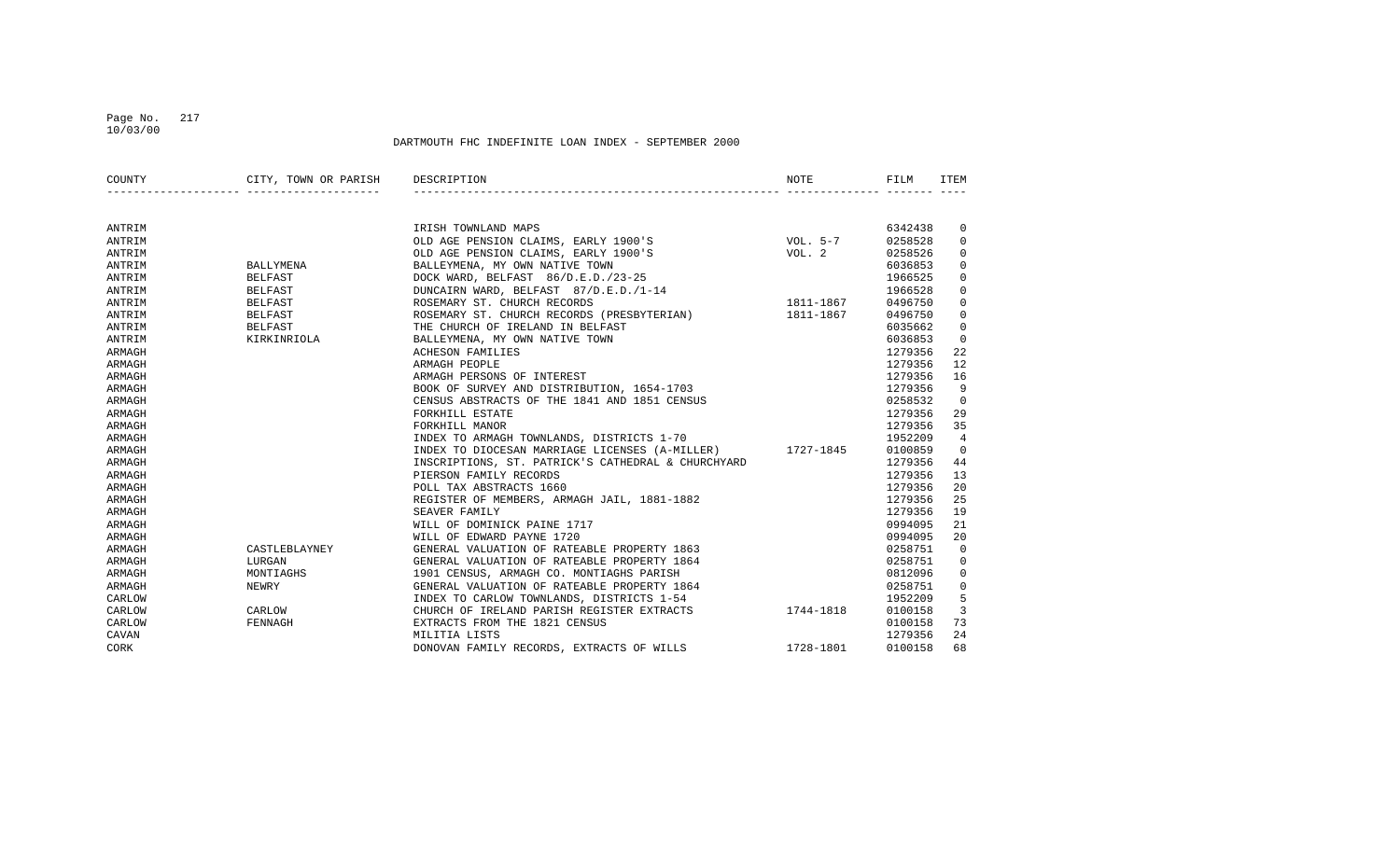#### Page No. 217 10/03/00

| COUNTY | CITY, TOWN OR PARISH DESCRIPTION |                                                                                                                                      | NOTE | FILM    | ITEM           |
|--------|----------------------------------|--------------------------------------------------------------------------------------------------------------------------------------|------|---------|----------------|
|        |                                  |                                                                                                                                      |      |         |                |
| ANTRIM |                                  |                                                                                                                                      |      | 6342438 | 0              |
| ANTRIM |                                  | IRISH TOWNLAND MAPS<br>OLD AGE PENSION CLAIMS, EARLY 1900'S<br>OLD AGE PENSION CLAIMS, EARLY 1900'S<br>DALLEVMENA MY ONN NATURE TOWN |      | 0258528 | $\mathbf 0$    |
| ANTRIM |                                  |                                                                                                                                      |      | 0258526 | $\mathbf 0$    |
| ANTRIM | <b>BALLYMENA</b>                 | BALLEYMENA, MY OWN NATIVE TOWN                                                                                                       |      | 6036853 | $\mathbf{0}$   |
| ANTRIM | <b>BELFAST</b>                   | $\frac{125}{1-14}$<br>1811-1867<br>DOCK WARD, BELFAST 86/D.E.D./23-25                                                                |      | 1966525 | $\mathbf 0$    |
| ANTRIM | <b>BELFAST</b>                   | DUNCAIRN WARD, BELFAST 87/D.E.D./1-14                                                                                                |      | 1966528 | $\mathbf 0$    |
| ANTRIM | <b>BELFAST</b>                   | ROSEMARY ST. CHURCH RECORDS                                                                                                          |      | 0496750 | $\mathbf 0$    |
| ANTRIM | BELFAST                          | ROSEMARY ST. CHURCH RECORDS (PRESBYTERIAN) 1811-1867                                                                                 |      | 0496750 | $\mathbf 0$    |
| ANTRIM | BELFAST                          | THE CHURCH OF IRELAND IN BELFAST                                                                                                     |      | 6035662 | $\mathbf{0}$   |
| ANTRIM | KIRKINRIOLA                      | BALLEYMENA, MY OWN NATIVE TOWN                                                                                                       |      | 6036853 | $\mathbf{0}$   |
| ARMAGH |                                  | <b>ACHESON FAMILIES</b>                                                                                                              |      | 1279356 | 22             |
| ARMAGH |                                  | ARMAGH PEOPLE                                                                                                                        |      | 1279356 | 12             |
| ARMAGH |                                  | ARMAGH PERSONS OF INTEREST                                                                                                           |      | 1279356 | 16             |
| ARMAGH |                                  | BOOK OF SURVEY AND DISTRIBUTION, 1654-1703                                                                                           |      | 1279356 | 9              |
| ARMAGH |                                  | CENSUS ABSTRACTS OF THE 1841 AND 1851 CENSUS                                                                                         |      | 0258532 | $\overline{0}$ |
| ARMAGH |                                  | FORKHILL ESTATE                                                                                                                      |      | 1279356 | 29             |
| ARMAGH |                                  | FORKHILL MANOR                                                                                                                       |      | 1279356 | 35             |
| ARMAGH |                                  | INDEX TO ARMAGH TOWNLANDS, DISTRICTS 1-70                                                                                            |      | 1952209 | 4              |
| ARMAGH |                                  | INDEX TO DIOCESAN MARRIAGE LICENSES (A-MILLER) 1727-1845                                                                             |      | 0100859 | $\Omega$       |
| ARMAGH |                                  | INSCRIPTIONS, ST. PATRICK'S CATHEDRAL & CHURCHYARD                                                                                   |      | 1279356 | 44             |
| ARMAGH |                                  | PIERSON FAMILY RECORDS                                                                                                               |      | 1279356 | 13             |
| ARMAGH |                                  | POLL TAX ABSTRACTS 1660                                                                                                              |      | 1279356 | 20             |
| ARMAGH |                                  | REGISTER OF MEMBERS, ARMAGH JAIL, 1881-1882                                                                                          |      | 1279356 | 25             |
| ARMAGH |                                  | SEAVER FAMILY                                                                                                                        |      | 1279356 | 19             |
| ARMAGH |                                  | WILL OF DOMINICK PAINE 1717                                                                                                          |      | 0994095 | 21             |
| ARMAGH |                                  | WILL OF EDWARD PAYNE 1720                                                                                                            |      | 0994095 | 20             |
| ARMAGH | CASTLEBLAYNEY                    | GENERAL VALUATION OF RATEABLE PROPERTY 1863                                                                                          |      | 0258751 | $\mathbf 0$    |
| ARMAGH | LURGAN                           | GENERAL VALUATION OF RATEABLE PROPERTY 1864                                                                                          |      | 0258751 | 0              |
| ARMAGH | MONTIAGHS                        | 1901 CENSUS, ARMAGH CO. MONTIAGHS PARISH                                                                                             |      | 0812096 | 0              |
| ARMAGH | NEWRY                            | GENERAL VALUATION OF RATEABLE PROPERTY 1864                                                                                          |      | 0258751 | 0              |
| CARLOW |                                  | INDEX TO CARLOW TOWNLANDS, DISTRICTS 1-54                                                                                            |      | 1952209 | 5              |
| CARLOW | CARLOW                           | CHURCH OF IRELAND PARISH REGISTER EXTRACTS 1744-1818                                                                                 |      | 0100158 | 3              |
| CARLOW | FENNAGH                          | EXTRACTS FROM THE 1821 CENSUS                                                                                                        |      | 0100158 | 73             |
| CAVAN  |                                  | MILITIA LISTS                                                                                                                        |      | 1279356 | 24             |
| CORK   |                                  | DONOVAN FAMILY RECORDS, EXTRACTS OF WILLS 1728-1801                                                                                  |      | 0100158 | 68             |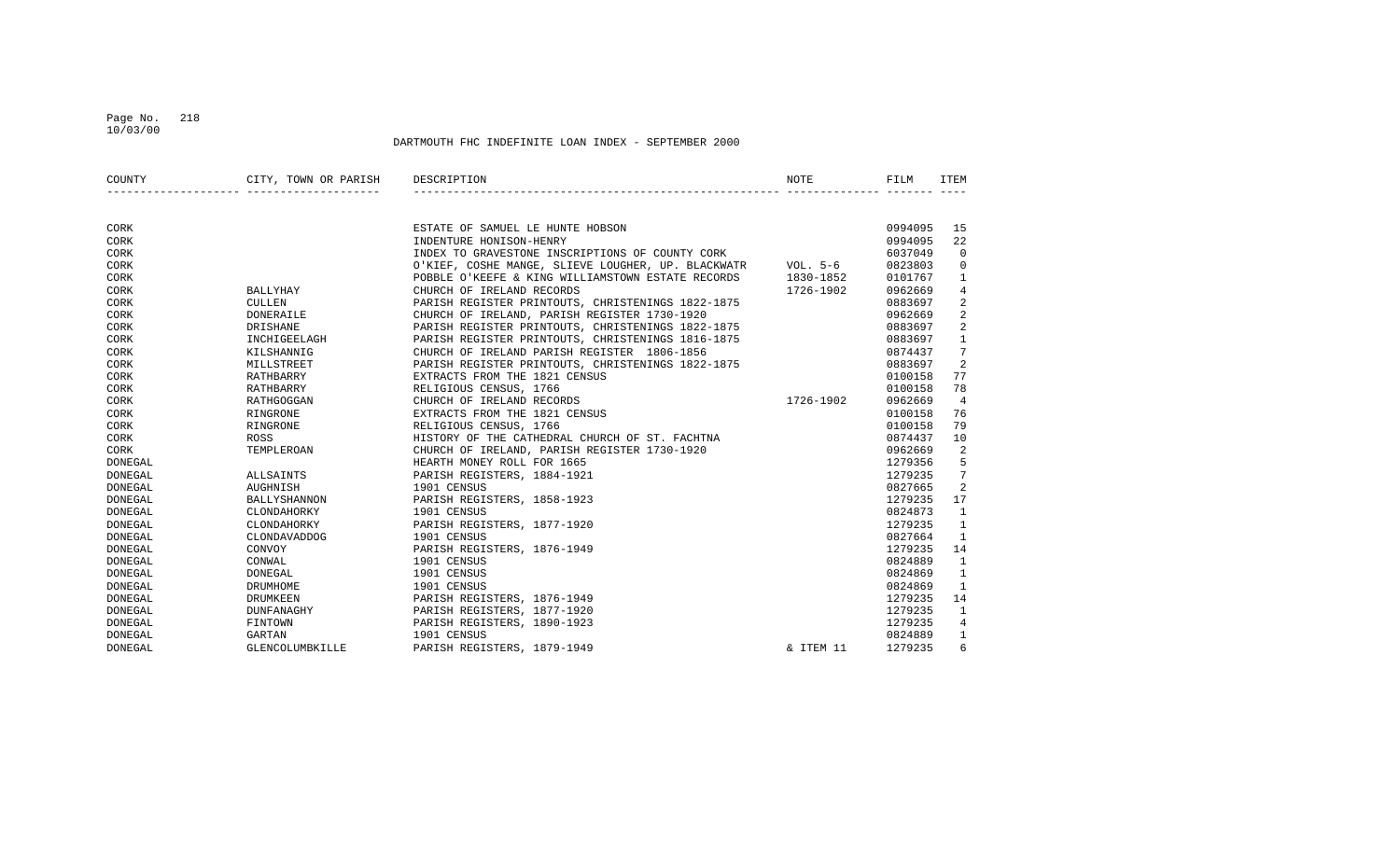#### Page No. 218 10/03/00

| COUNTY         | CITY, TOWN OR PARISH DESCRIPTION |                                                             | NOTE      | FILM    | ITEM           |
|----------------|----------------------------------|-------------------------------------------------------------|-----------|---------|----------------|
|                |                                  |                                                             |           |         |                |
| CORK           |                                  | ESTATE OF SAMUEL LE HUNTE HOBSON                            |           | 0994095 | 15             |
| CORK           |                                  | INDENTURE HONISON-HENRY                                     |           | 0994095 | 22             |
| CORK           |                                  | INDEX TO GRAVESTONE INSCRIPTIONS OF COUNTY CORK             |           | 6037049 | $\Omega$       |
| CORK           |                                  | O'KIEF, COSHE MANGE, SLIEVE LOUGHER, UP. BLACKWATR VOL. 5-6 |           | 0823803 | $\mathbf 0$    |
| CORK           |                                  | POBBLE O'KEEFE & KING WILLIAMSTOWN ESTATE RECORDS 1830-1852 |           | 0101767 | 1              |
| CORK           | BALLYHAY                         | CHURCH OF IRELAND RECORDS                                   | 1726-1902 | 0962669 | $\overline{4}$ |
| CORK           | <b>CULLEN</b>                    | PARISH REGISTER PRINTOUTS, CHRISTENINGS 1822-1875           |           | 0883697 | 2              |
| CORK           | DONERAILE                        | CHURCH OF IRELAND, PARISH REGISTER 1730-1920                |           | 0962669 | 2              |
| CORK           | DRISHANE                         | PARISH REGISTER PRINTOUTS, CHRISTENINGS 1822-1875           |           | 0883697 | 2              |
| CORK           | INCHIGEELAGH                     | PARISH REGISTER PRINTOUTS, CHRISTENINGS 1816-1875           |           | 0883697 | $\mathbf{1}$   |
| CORK           | KILSHANNIG                       | CHURCH OF IRELAND PARISH REGISTER 1806-1856                 |           | 0874437 | 7              |
| CORK           | MILLSTREET                       | PARISH REGISTER PRINTOUTS, CHRISTENINGS 1822-1875           |           | 0883697 | 2              |
| CORK           | RATHBARRY                        | EXTRACTS FROM THE 1821 CENSUS                               |           | 0100158 | 77             |
| CORK           | RATHBARRY                        | RELIGIOUS CENSUS, 1766                                      |           | 0100158 | 78             |
| CORK           | RATHGOGGAN                       | CHURCH OF IRELAND RECORDS                                   | 1726-1902 | 0962669 | $\overline{4}$ |
| CORK           | RINGRONE                         | EXTRACTS FROM THE 1821 CENSUS                               |           | 0100158 | 76             |
| CORK           | RINGRONE                         | RELIGIOUS CENSUS, 1766                                      |           | 0100158 | 79             |
| CORK           | ROSS                             | HISTORY OF THE CATHEDRAL CHURCH OF ST. FACHTNA              |           | 0874437 | 10             |
| CORK           | TEMPLEROAN                       | CHURCH OF IRELAND, PARISH REGISTER 1730-1920                |           | 0962669 | 2              |
| DONEGAL        |                                  | HEARTH MONEY ROLL FOR 1665                                  |           | 1279356 | 5              |
| DONEGAL        | ALLSAINTS                        | PARISH REGISTERS, 1884-1921                                 |           | 1279235 | 7              |
| DONEGAL        | AUGHNISH                         | 1901 CENSUS                                                 |           | 0827665 | 2              |
| DONEGAL        | BALLYSHANNON                     | PARISH REGISTERS, 1858-1923                                 |           | 1279235 | 17             |
| <b>DONEGAL</b> | CLONDAHORKY                      | 1901 CENSUS                                                 |           | 0824873 | $\mathbf{1}$   |
| DONEGAL        | CLONDAHORKY                      | PARISH REGISTERS, 1877-1920                                 |           | 1279235 | $\mathbf{1}$   |
| DONEGAL        | CLONDAVADDOG                     | 1901 CENSUS                                                 |           | 0827664 | $\mathbf{1}$   |
| DONEGAL        | CONVOY                           | PARISH REGISTERS, 1876-1949                                 |           | 1279235 | 14             |
| DONEGAL        | CONWAL                           | 1901 CENSUS                                                 |           | 0824889 | $\mathbf{1}$   |
| DONEGAL        | DONEGAL                          | 1901 CENSUS                                                 |           | 0824869 | $\mathbf{1}$   |
| <b>DONEGAL</b> | DRUMHOME                         | 1901 CENSUS                                                 |           | 0824869 | $\mathbf{1}$   |
| DONEGAL        | DRUMKEEN                         | PARISH REGISTERS, 1876-1949                                 |           | 1279235 | 14             |
| DONEGAL        | DUNFANAGHY                       | PARISH REGISTERS, 1877-1920                                 |           | 1279235 | 1              |
| DONEGAL        | FINTOWN                          | PARISH REGISTERS, 1890-1923                                 |           | 1279235 | 4              |
| DONEGAL        | GARTAN                           | 1901 CENSUS                                                 |           | 0824889 | 1              |
| DONEGAL        | GLENCOLUMBKILLE                  | PARISH REGISTERS, 1879-1949                                 | & ITEM 11 | 1279235 | 6              |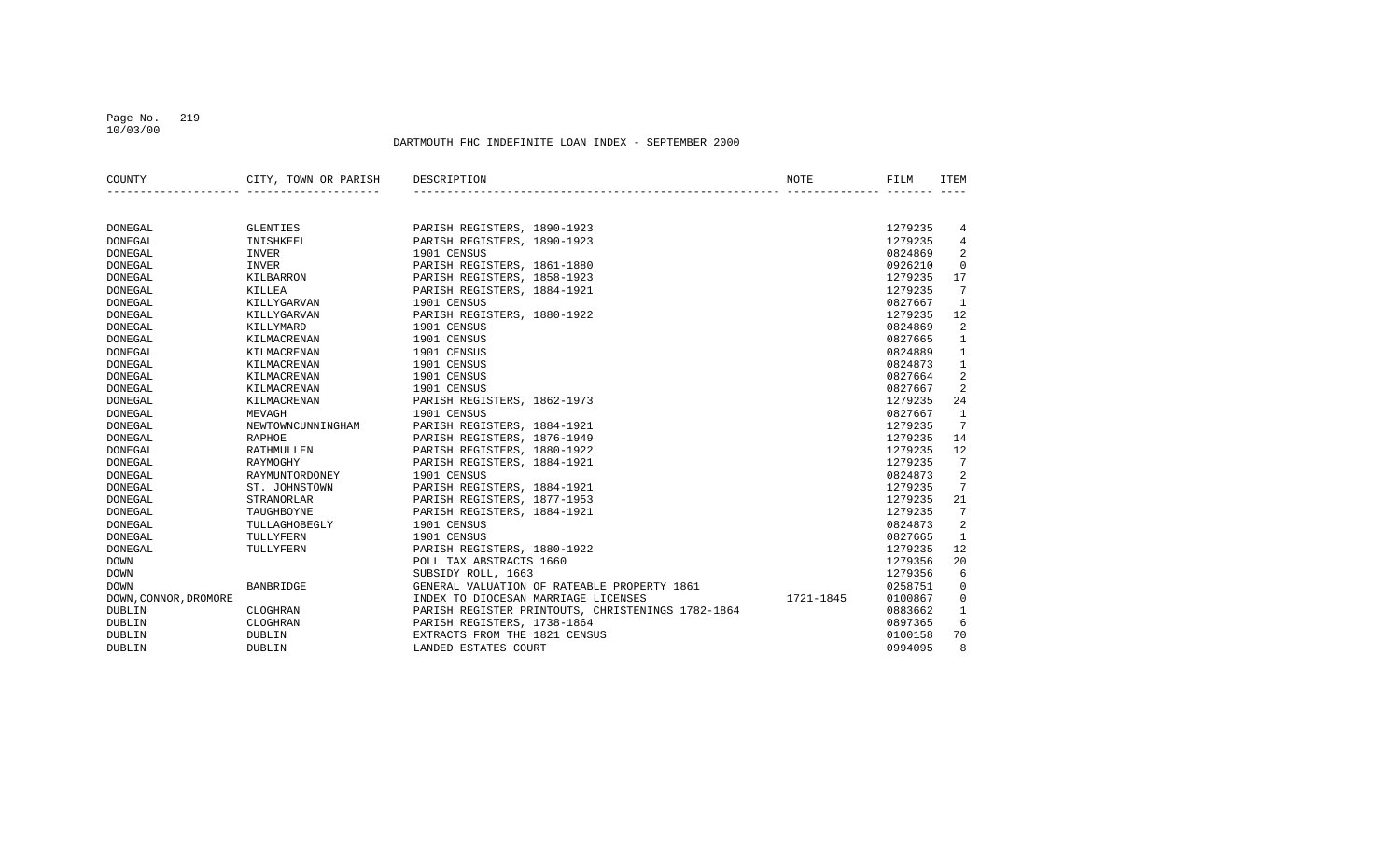#### Page No. 219 10/03/00

| COUNTY                | CITY, TOWN OR PARISH | DESCRIPTION                                       | NOTE      | FILM    | <b>ITEM</b>     |
|-----------------------|----------------------|---------------------------------------------------|-----------|---------|-----------------|
|                       |                      |                                                   |           |         |                 |
| <b>DONEGAL</b>        | <b>GLENTIES</b>      | PARISH REGISTERS, 1890-1923                       |           | 1279235 | 4               |
| <b>DONEGAL</b>        | INISHKEEL            | PARISH REGISTERS, 1890-1923                       |           | 1279235 | 4               |
| DONEGAL               | INVER                | 1901 CENSUS                                       |           | 0824869 | 2               |
| DONEGAL               | <b>INVER</b>         | PARISH REGISTERS, 1861-1880                       |           | 0926210 | $\mathbf 0$     |
| <b>DONEGAL</b>        | KILBARRON            | PARISH REGISTERS, 1858-1923                       |           | 1279235 | 17              |
| DONEGAL               | KILLEA               | PARISH REGISTERS, 1884-1921                       |           | 1279235 | $7\phantom{.0}$ |
| DONEGAL               | KILLYGARVAN          | 1901 CENSUS                                       |           | 0827667 | 1               |
| DONEGAL               | KILLYGARVAN          | PARISH REGISTERS, 1880-1922                       |           | 1279235 | 12              |
| DONEGAL               | KILLYMARD            | 1901 CENSUS                                       |           | 0824869 | 2               |
| DONEGAL               | KILMACRENAN          | 1901 CENSUS                                       |           | 0827665 | $\mathbf{1}$    |
| DONEGAL               | KILMACRENAN          | 1901 CENSUS                                       |           | 0824889 | $\mathbf{1}$    |
| DONEGAL               | KILMACRENAN          | 1901 CENSUS                                       |           | 0824873 | $\mathbf{1}$    |
| DONEGAL               | KILMACRENAN          | 1901 CENSUS                                       |           | 0827664 | 2               |
| DONEGAL               | KILMACRENAN          | 1901 CENSUS                                       |           | 0827667 | 2               |
| DONEGAL               | KILMACRENAN          | PARISH REGISTERS, 1862-1973                       |           | 1279235 | 24              |
| DONEGAL               | MEVAGH               | 1901 CENSUS                                       |           | 0827667 | $\mathbf{1}$    |
| DONEGAL               | NEWTOWNCUNNINGHAM    | PARISH REGISTERS, 1884-1921                       |           | 1279235 | $7\phantom{.0}$ |
| DONEGAL               | RAPHOE               | PARISH REGISTERS, 1876-1949                       |           | 1279235 | 14              |
| <b>DONEGAL</b>        | RATHMULLEN           | PARISH REGISTERS, 1880-1922                       |           | 1279235 | 12              |
| DONEGAL               | RAYMOGHY             | PARISH REGISTERS, 1884-1921                       |           | 1279235 | 7               |
| DONEGAL               | RAYMUNTORDONEY       | 1901 CENSUS                                       |           | 0824873 | 2               |
| <b>DONEGAL</b>        | ST. JOHNSTOWN        | PARISH REGISTERS, 1884-1921                       |           | 1279235 | 7               |
| <b>DONEGAL</b>        | STRANORLAR           | PARISH REGISTERS, 1877-1953                       |           | 1279235 | 21              |
| DONEGAL               | TAUGHBOYNE           | PARISH REGISTERS, 1884-1921                       |           | 1279235 | 7               |
| <b>DONEGAL</b>        | TULLAGHOBEGLY        | 1901 CENSUS                                       |           | 0824873 | 2               |
| <b>DONEGAL</b>        | TULLYFERN            | 1901 CENSUS                                       |           | 0827665 | $\mathbf{1}$    |
| <b>DONEGAL</b>        | TULLYFERN            | PARISH REGISTERS, 1880-1922                       |           | 1279235 | 12              |
| <b>DOWN</b>           |                      | POLL TAX ABSTRACTS 1660                           |           | 1279356 | 20              |
| <b>DOWN</b>           |                      | SUBSIDY ROLL, 1663                                |           | 1279356 | 6               |
| <b>DOWN</b>           | BANBRIDGE            | GENERAL VALUATION OF RATEABLE PROPERTY 1861       |           | 0258751 | $\Omega$        |
| DOWN, CONNOR, DROMORE |                      | INDEX TO DIOCESAN MARRIAGE LICENSES               | 1721-1845 | 0100867 | $\mathbf 0$     |
| DUBLIN                | CLOGHRAN             | PARISH REGISTER PRINTOUTS, CHRISTENINGS 1782-1864 |           | 0883662 | 1               |
| <b>DUBLIN</b>         | CLOGHRAN             | PARISH REGISTERS, 1738-1864                       |           | 0897365 | 6               |
| DUBLIN                | <b>DUBLIN</b>        | EXTRACTS FROM THE 1821 CENSUS                     |           | 0100158 | 70              |
| <b>DUBLIN</b>         | <b>DUBLIN</b>        | LANDED ESTATES COURT                              |           | 0994095 | 8               |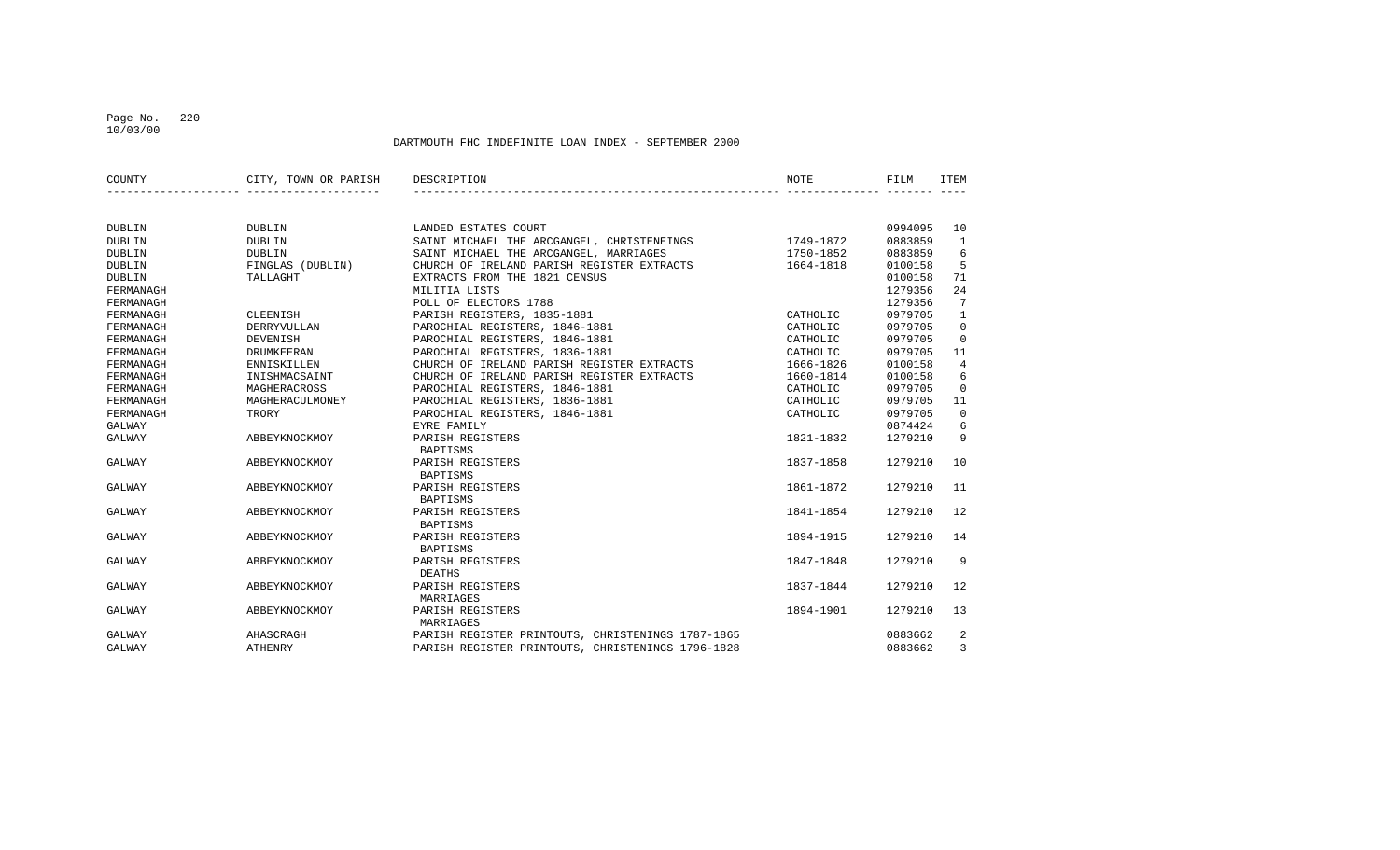#### Page No. 220 10/03/00

| COUNTY        | CITY, TOWN OR PARISH | DESCRIPTION                                       | NOTE      | FILM    | ITEM           |
|---------------|----------------------|---------------------------------------------------|-----------|---------|----------------|
|               |                      |                                                   |           |         |                |
| DUBLIN        | DUBLIN               | LANDED ESTATES COURT                              |           | 0994095 | 10             |
| <b>DUBLIN</b> | DUBLIN               | SAINT MICHAEL THE ARCGANGEL, CHRISTENEINGS        | 1749-1872 | 0883859 | 1              |
| <b>DUBLIN</b> | <b>DUBLIN</b>        | SAINT MICHAEL THE ARCGANGEL, MARRIAGES            | 1750-1852 | 0883859 | 6              |
| <b>DUBLIN</b> | FINGLAS (DUBLIN)     | CHURCH OF IRELAND PARISH REGISTER EXTRACTS        | 1664-1818 | 0100158 | 5              |
| <b>DUBLIN</b> | TALLAGHT             | EXTRACTS FROM THE 1821 CENSUS                     |           | 0100158 | 71             |
| FERMANAGH     |                      | MILITIA LISTS                                     |           | 1279356 | 24             |
| FERMANAGH     |                      | POLL OF ELECTORS 1788                             |           | 1279356 | 7              |
| FERMANAGH     | CLEENISH             | PARISH REGISTERS, 1835-1881                       | CATHOLIC  | 0979705 | $\mathbf{1}$   |
| FERMANAGH     | <b>DERRYVULLAN</b>   | PAROCHIAL REGISTERS, 1846-1881                    | CATHOLIC  | 0979705 | $\mathbf 0$    |
| FERMANAGH     | DEVENISH             | PAROCHIAL REGISTERS, 1846-1881                    | CATHOLIC  | 0979705 | $\mathbf 0$    |
| FERMANAGH     | <b>DRUMKEERAN</b>    | PAROCHIAL REGISTERS, 1836-1881                    | CATHOLIC  | 0979705 | 11             |
| FERMANAGH     | <b>ENNISKILLEN</b>   | CHURCH OF IRELAND PARISH REGISTER EXTRACTS        | 1666-1826 | 0100158 | $\overline{4}$ |
| FERMANAGH     | INISHMACSAINT        | CHURCH OF IRELAND PARISH REGISTER EXTRACTS        | 1660-1814 | 0100158 | 6              |
| FERMANAGH     | MAGHERACROSS         | PAROCHIAL REGISTERS, 1846-1881                    | CATHOLIC  | 0979705 | $\mathbf 0$    |
| FERMANAGH     | MAGHERACULMONEY      | PAROCHIAL REGISTERS, 1836-1881                    | CATHOLIC  | 0979705 | 11             |
| FERMANAGH     | TRORY                | PAROCHIAL REGISTERS, 1846-1881                    | CATHOLIC  | 0979705 | $\mathbf 0$    |
| GALWAY        |                      | EYRE FAMILY                                       |           | 0874424 | 6              |
| GALWAY        | ABBEYKNOCKMOY        | PARISH REGISTERS                                  | 1821-1832 | 1279210 | 9              |
|               |                      | <b>BAPTISMS</b>                                   |           |         |                |
| GALWAY        | ABBEYKNOCKMOY        | PARISH REGISTERS                                  | 1837-1858 | 1279210 | 10             |
|               |                      | BAPTISMS                                          |           |         |                |
| GALWAY        | ABBEYKNOCKMOY        | PARISH REGISTERS                                  | 1861-1872 | 1279210 | 11             |
|               |                      | BAPTISMS                                          |           |         |                |
| GALWAY        | ABBEYKNOCKMOY        | PARISH REGISTERS                                  | 1841-1854 | 1279210 | 12             |
|               |                      | <b>BAPTISMS</b>                                   |           |         |                |
| GALWAY        | ABBEYKNOCKMOY        | PARISH REGISTERS                                  | 1894-1915 | 1279210 | 14             |
|               |                      | <b>BAPTISMS</b>                                   |           |         |                |
| GALWAY        | ABBEYKNOCKMOY        | PARISH REGISTERS                                  | 1847-1848 | 1279210 | 9              |
|               |                      | DEATHS                                            |           |         |                |
| GALWAY        | ABBEYKNOCKMOY        | PARISH REGISTERS                                  | 1837-1844 | 1279210 | 12             |
|               |                      | MARRIAGES                                         |           |         |                |
| GALWAY        | ABBEYKNOCKMOY        | PARISH REGISTERS                                  | 1894-1901 | 1279210 | 13             |
|               |                      | MARRIAGES                                         |           |         |                |
| GALWAY        | AHASCRAGH            | PARISH REGISTER PRINTOUTS, CHRISTENINGS 1787-1865 |           | 0883662 | 2              |
| GALWAY        | <b>ATHENRY</b>       | PARISH REGISTER PRINTOUTS, CHRISTENINGS 1796-1828 |           | 0883662 | 3              |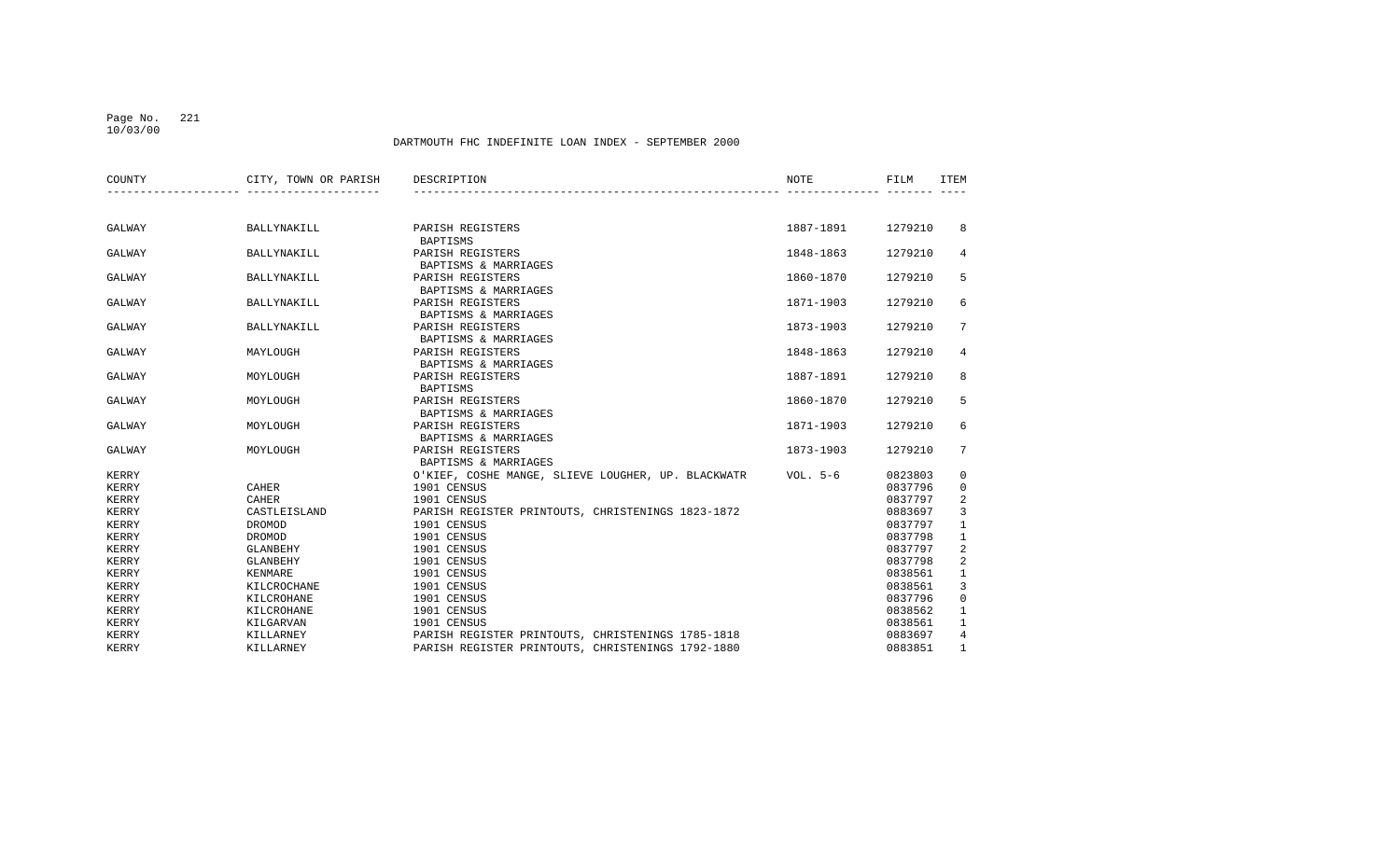#### Page No. 221 10/03/00

| COUNTY | CITY, TOWN OR PARISH | DESCRIPTION                                        | <b>NOTE</b> | FILM    | <b>ITEM</b>     |
|--------|----------------------|----------------------------------------------------|-------------|---------|-----------------|
|        |                      |                                                    |             |         |                 |
| GALWAY | BALLYNAKILL          | PARISH REGISTERS<br><b>BAPTISMS</b>                | 1887-1891   | 1279210 | 8               |
| GALWAY | <b>BALLYNAKILL</b>   | PARISH REGISTERS<br>BAPTISMS & MARRIAGES           | 1848-1863   | 1279210 | 4               |
| GALWAY | BALLYNAKILL          | PARISH REGISTERS<br>BAPTISMS & MARRIAGES           | 1860-1870   | 1279210 | 5               |
| GALWAY | BALLYNAKILL          | PARISH REGISTERS<br>BAPTISMS & MARRIAGES           | 1871-1903   | 1279210 | 6               |
| GALWAY | BALLYNAKILL          | PARISH REGISTERS<br>BAPTISMS & MARRIAGES           | 1873-1903   | 1279210 | $7^{\circ}$     |
| GALWAY | MAYLOUGH             | PARISH REGISTERS<br>BAPTISMS & MARRIAGES           | 1848-1863   | 1279210 | 4               |
| GALWAY | MOYLOUGH             | PARISH REGISTERS<br><b>BAPTISMS</b>                | 1887-1891   | 1279210 | 8               |
| GALWAY | MOYLOUGH             | PARISH REGISTERS<br>BAPTISMS & MARRIAGES           | 1860-1870   | 1279210 | 5               |
| GALWAY | MOYLOUGH             | PARISH REGISTERS<br>BAPTISMS & MARRIAGES           | 1871-1903   | 1279210 | 6               |
| GALWAY | MOYLOUGH             | PARISH REGISTERS<br>BAPTISMS & MARRIAGES           | 1873-1903   | 1279210 | $7\overline{ }$ |
| KERRY  |                      | O'KIEF, COSHE MANGE, SLIEVE LOUGHER, UP. BLACKWATR | VOL. $5-6$  | 0823803 | 0               |
| KERRY  | CAHER                | 1901 CENSUS                                        |             | 0837796 | $\mathbf 0$     |
| KERRY  | <b>CAHER</b>         | 1901 CENSUS                                        |             | 0837797 | 2               |
| KERRY  | CASTLEISLAND         | PARISH REGISTER PRINTOUTS, CHRISTENINGS 1823-1872  |             | 0883697 | 3               |
| KERRY  | DROMOD               | 1901 CENSUS                                        |             | 0837797 | $\mathbf{1}$    |
| KERRY  | DROMOD               | 1901 CENSUS                                        |             | 0837798 | $\mathbf{1}$    |
| KERRY  | <b>GLANBEHY</b>      | 1901 CENSUS                                        |             | 0837797 | $\overline{2}$  |
| KERRY  | GLANBEHY             | 1901 CENSUS                                        |             | 0837798 | $\overline{c}$  |
| KERRY  | KENMARE              | 1901 CENSUS                                        |             | 0838561 | $\mathbf{1}$    |
| KERRY  | KILCROCHANE          | 1901 CENSUS                                        |             | 0838561 | 3               |
| KERRY  | KILCROHANE           | 1901 CENSUS                                        |             | 0837796 | $\mathbf 0$     |
| KERRY  | KILCROHANE           | 1901 CENSUS                                        |             | 0838562 | $\mathbf{1}$    |
| KERRY  | KILGARVAN            | 1901 CENSUS                                        |             | 0838561 | $\mathbf{1}$    |
| KERRY  | KILLARNEY            | PARISH REGISTER PRINTOUTS, CHRISTENINGS 1785-1818  |             | 0883697 | $\overline{4}$  |
| KERRY  | KILLARNEY            | PARISH REGISTER PRINTOUTS, CHRISTENINGS 1792-1880  |             | 0883851 | $\mathbf{1}$    |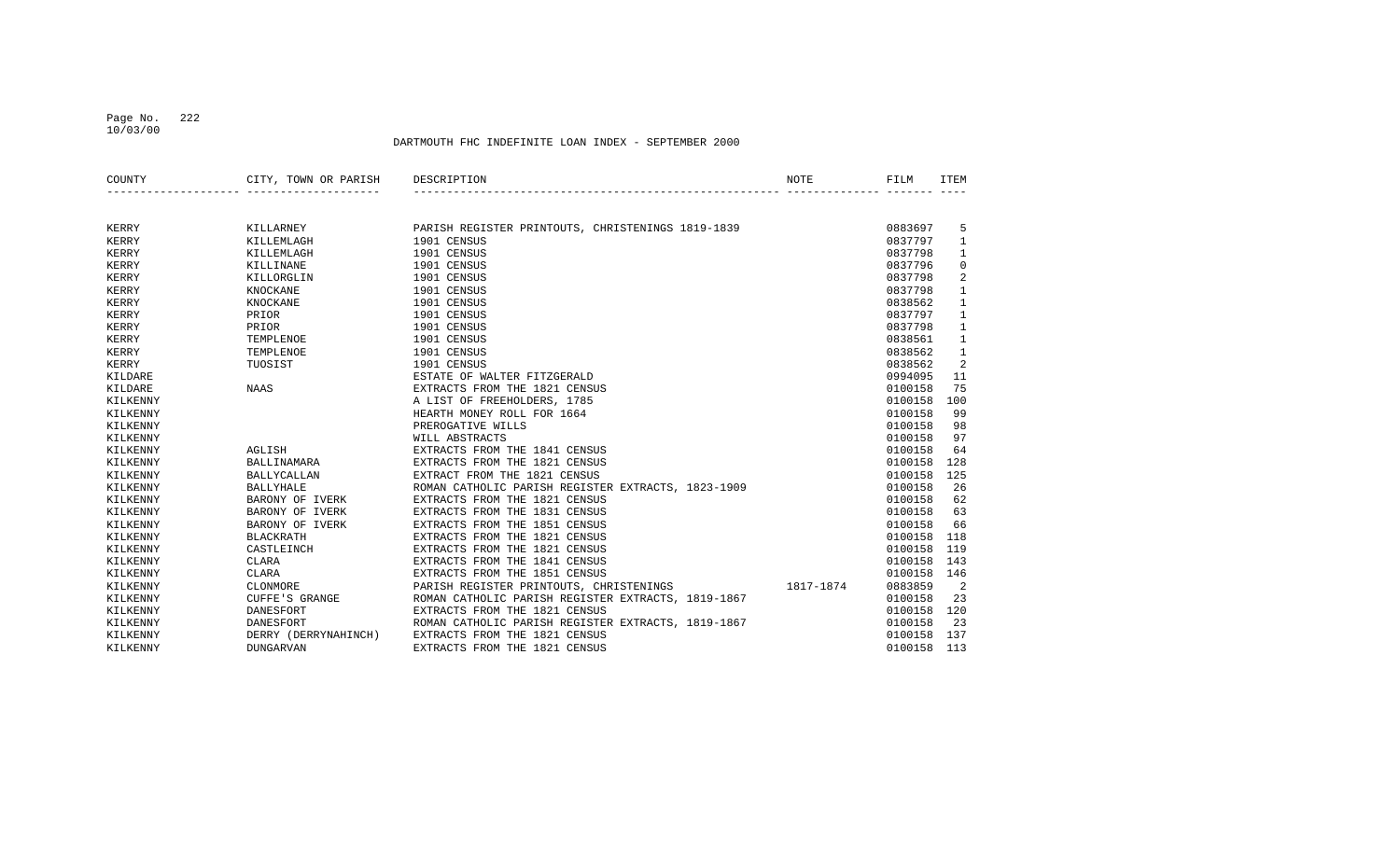#### Page No. 222 10/03/00

| COUNTY   | CITY, TOWN OR PARISH | DESCRIPTION<br>NOTE                                  | FILM    | <b>ITEM</b>  |
|----------|----------------------|------------------------------------------------------|---------|--------------|
|          |                      |                                                      |         |              |
| KERRY    | KILLARNEY            | PARISH REGISTER PRINTOUTS, CHRISTENINGS 1819-1839    | 0883697 | 5            |
| KERRY    | KILLEMLAGH           | 1901 CENSUS                                          | 0837797 | $\mathbf{1}$ |
| KERRY    | KILLEMLAGH           | 1901 CENSUS                                          | 0837798 | 1            |
| KERRY    | KILLINANE            | 1901 CENSUS                                          | 0837796 | $\mathbf 0$  |
| KERRY    | KILLORGLIN           | 1901 CENSUS                                          | 0837798 | 2            |
| KERRY    | KNOCKANE             | 1901 CENSUS                                          | 0837798 | $\mathbf{1}$ |
| KERRY    | KNOCKANE             | 1901 CENSUS                                          | 0838562 | $\mathbf{1}$ |
| KERRY    | PRIOR                | 1901 CENSUS                                          | 0837797 | $\mathbf{1}$ |
| KERRY    | PRIOR                | 1901 CENSUS                                          | 0837798 | 1            |
| KERRY    | TEMPLENOE            | 1901 CENSUS                                          | 0838561 | $\mathbf{1}$ |
| KERRY    | TEMPLENOE            | 1901 CENSUS                                          | 0838562 | $\mathbf{1}$ |
| KERRY    | TUOSIST              | 1901 CENSUS                                          | 0838562 | 2            |
| KILDARE  |                      | ESTATE OF WALTER FITZGERALD                          | 0994095 | 11           |
| KILDARE  | <b>NAAS</b>          | EXTRACTS FROM THE 1821 CENSUS                        | 0100158 | 75           |
| KILKENNY |                      | A LIST OF FREEHOLDERS, 1785                          | 0100158 | 100          |
| KILKENNY |                      | HEARTH MONEY ROLL FOR 1664                           | 0100158 | 99           |
| KILKENNY |                      | PREROGATIVE WILLS                                    | 0100158 | 98           |
| KILKENNY |                      | WILL ABSTRACTS                                       | 0100158 | 97           |
| KILKENNY | AGLISH               | EXTRACTS FROM THE 1841 CENSUS                        | 0100158 | 64           |
| KILKENNY | BALLINAMARA          | EXTRACTS FROM THE 1821 CENSUS                        | 0100158 | 128          |
| KILKENNY | <b>BALLYCALLAN</b>   | EXTRACT FROM THE 1821 CENSUS                         | 0100158 | 125          |
| KILKENNY | <b>BALLYHALE</b>     | ROMAN CATHOLIC PARISH REGISTER EXTRACTS, 1823-1909   | 0100158 | 26           |
| KILKENNY | BARONY OF IVERK      | EXTRACTS FROM THE 1821 CENSUS                        | 0100158 | 62           |
| KILKENNY | BARONY OF IVERK      | EXTRACTS FROM THE 1831 CENSUS                        | 0100158 | 63           |
| KILKENNY | BARONY OF IVERK      | EXTRACTS FROM THE 1851 CENSUS                        | 0100158 | 66           |
| KILKENNY | <b>BLACKRATH</b>     | EXTRACTS FROM THE 1821 CENSUS                        | 0100158 | 118          |
| KILKENNY | CASTLEINCH           | EXTRACTS FROM THE 1821 CENSUS                        | 0100158 | 119          |
| KILKENNY | CLARA                | EXTRACTS FROM THE 1841 CENSUS                        | 0100158 | 143          |
| KILKENNY | <b>CLARA</b>         | EXTRACTS FROM THE 1851 CENSUS                        | 0100158 | 146          |
| KILKENNY | CLONMORE             | PARISH REGISTER PRINTOUTS, CHRISTENINGS<br>1817-1874 | 0883859 | 2            |
| KILKENNY | CUFFE'S GRANGE       | ROMAN CATHOLIC PARISH REGISTER EXTRACTS, 1819-1867   | 0100158 | 23           |
| KILKENNY | DANESFORT            | EXTRACTS FROM THE 1821 CENSUS                        | 0100158 | 120          |
| KILKENNY | DANESFORT            | ROMAN CATHOLIC PARISH REGISTER EXTRACTS, 1819-1867   | 0100158 | 23           |
| KILKENNY | DERRY (DERRYNAHINCH) | EXTRACTS FROM THE 1821 CENSUS                        | 0100158 | 137          |
| KILKENNY | <b>DUNGARVAN</b>     | EXTRACTS FROM THE 1821 CENSUS                        | 0100158 | 113          |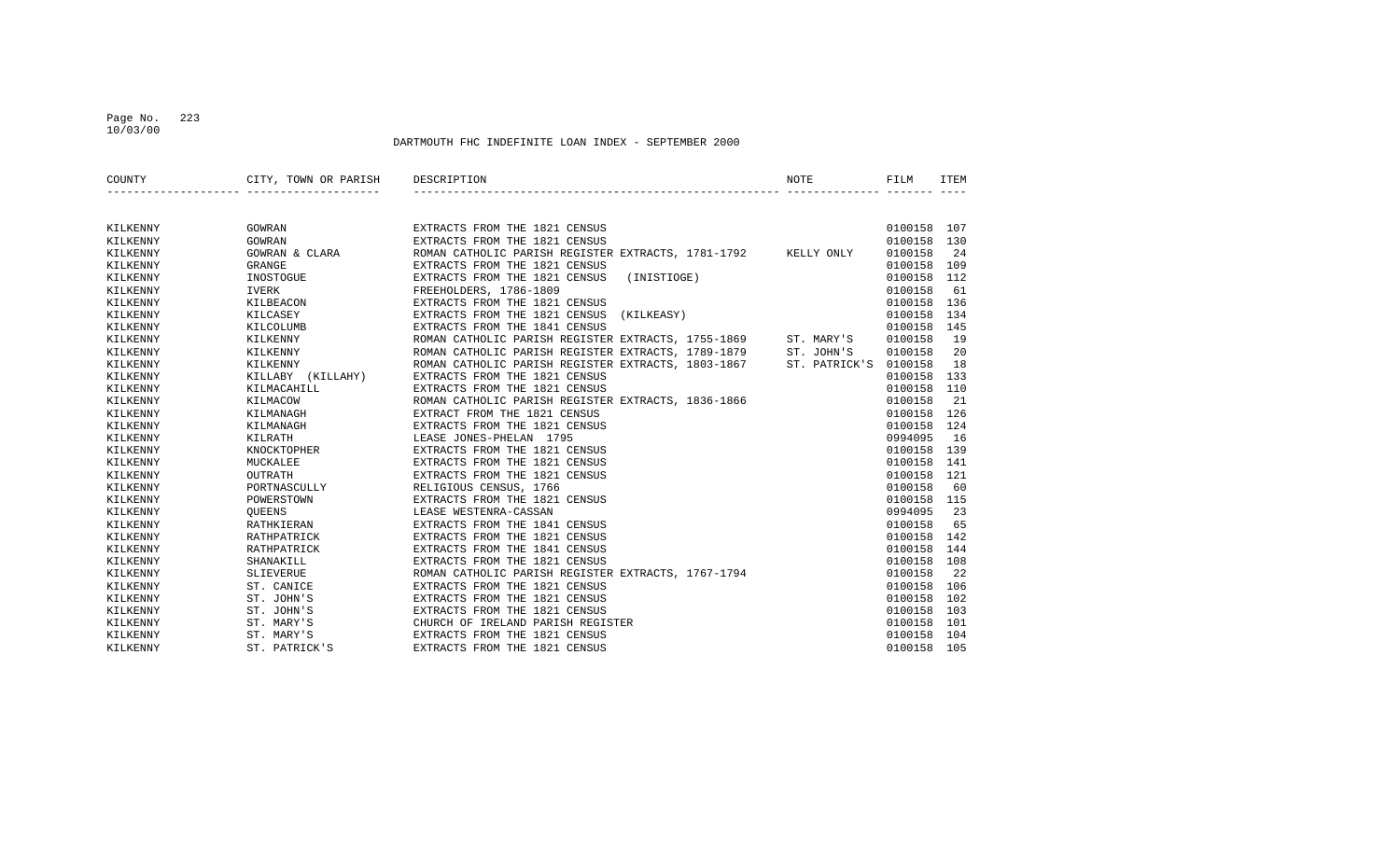#### Page No. 223 10/03/00

| COUNTY   | CITY, TOWN OR PARISH | DESCRIPTION<br>NOTE                                              |               | FILM    | <b>ITEM</b> |
|----------|----------------------|------------------------------------------------------------------|---------------|---------|-------------|
|          |                      |                                                                  |               |         |             |
| KILKENNY | GOWRAN               | EXTRACTS FROM THE 1821 CENSUS                                    |               | 0100158 | 107         |
| KILKENNY | GOWRAN               | EXTRACTS FROM THE 1821 CENSUS                                    |               | 0100158 | 130         |
| KILKENNY | GOWRAN & CLARA       | ROMAN CATHOLIC PARISH REGISTER EXTRACTS, 1781-1792 KELLY ONLY    |               | 0100158 | 24          |
| KILKENNY | GRANGE               | EXTRACTS FROM THE 1821 CENSUS                                    |               | 0100158 | 109         |
| KILKENNY | INOSTOGUE            | EXTRACTS FROM THE 1821 CENSUS<br>(INISTIOGE)                     |               | 0100158 | 112         |
| KILKENNY | <b>IVERK</b>         | FREEHOLDERS, 1786-1809                                           |               | 0100158 | 61          |
| KILKENNY | KILBEACON            | EXTRACTS FROM THE 1821 CENSUS                                    |               | 0100158 | 136         |
| KILKENNY | KILCASEY             | EXTRACTS FROM THE 1821 CENSUS<br>(KILKEASY)                      |               | 0100158 | 134         |
| KILKENNY | KILCOLUMB            | EXTRACTS FROM THE 1841 CENSUS                                    |               | 0100158 | 145         |
| KILKENNY | KILKENNY             | ROMAN CATHOLIC PARISH REGISTER EXTRACTS, 1755-1869<br>ST. MARY'S |               | 0100158 | 19          |
| KILKENNY | KILKENNY             | ROMAN CATHOLIC PARISH REGISTER EXTRACTS, 1789-1879<br>ST. JOHN'S |               | 0100158 | 20          |
| KILKENNY | KILKENNY             | ROMAN CATHOLIC PARISH REGISTER EXTRACTS, 1803-1867               | ST. PATRICK'S | 0100158 | 18          |
| KILKENNY | KILLABY (KILLAHY)    | EXTRACTS FROM THE 1821 CENSUS                                    |               | 0100158 | 133         |
| KILKENNY | KILMACAHILL          | EXTRACTS FROM THE 1821 CENSUS                                    |               | 0100158 | 110         |
| KILKENNY | KILMACOW             | ROMAN CATHOLIC PARISH REGISTER EXTRACTS, 1836-1866               |               | 0100158 | 21          |
| KILKENNY | KILMANAGH            | EXTRACT FROM THE 1821 CENSUS                                     |               | 0100158 | 126         |
| KILKENNY | KILMANAGH            | EXTRACTS FROM THE 1821 CENSUS                                    |               | 0100158 | 124         |
| KILKENNY | KILRATH              | LEASE JONES-PHELAN 1795                                          |               | 0994095 | 16          |
| KILKENNY | KNOCKTOPHER          | EXTRACTS FROM THE 1821 CENSUS                                    |               | 0100158 | 139         |
| KILKENNY | MUCKALEE             | EXTRACTS FROM THE 1821 CENSUS                                    |               | 0100158 | 141         |
| KILKENNY | OUTRATH              | EXTRACTS FROM THE 1821 CENSUS                                    |               | 0100158 | 121         |
| KILKENNY | PORTNASCULLY         | RELIGIOUS CENSUS, 1766                                           |               | 0100158 | 60          |
| KILKENNY | POWERSTOWN           | EXTRACTS FROM THE 1821 CENSUS                                    |               | 0100158 | 115         |
| KILKENNY | OUEENS               | LEASE WESTENRA-CASSAN                                            |               | 0994095 | 23          |
| KILKENNY | RATHKIERAN           | EXTRACTS FROM THE 1841 CENSUS                                    |               | 0100158 | 65          |
| KILKENNY | RATHPATRICK          | EXTRACTS FROM THE 1821 CENSUS                                    |               | 0100158 | 142         |
| KILKENNY | RATHPATRICK          | EXTRACTS FROM THE 1841 CENSUS                                    |               | 0100158 | 144         |
| KILKENNY | SHANAKILL            | EXTRACTS FROM THE 1821 CENSUS                                    |               | 0100158 | 108         |
| KILKENNY | SLIEVERUE            | ROMAN CATHOLIC PARISH REGISTER EXTRACTS, 1767-1794               |               | 0100158 | 22          |
| KILKENNY | ST. CANICE           | EXTRACTS FROM THE 1821 CENSUS                                    |               | 0100158 | 106         |
| KILKENNY | ST. JOHN'S           | EXTRACTS FROM THE 1821 CENSUS                                    |               | 0100158 | 102         |
| KILKENNY | ST. JOHN'S           | EXTRACTS FROM THE 1821 CENSUS                                    |               | 0100158 | 103         |
| KILKENNY | ST. MARY'S           | CHURCH OF IRELAND PARISH REGISTER                                |               | 0100158 | 101         |
| KILKENNY | ST. MARY'S           | EXTRACTS FROM THE 1821 CENSUS                                    |               | 0100158 | 104         |
| KILKENNY | ST. PATRICK'S        | EXTRACTS FROM THE 1821 CENSUS                                    |               | 0100158 | 105         |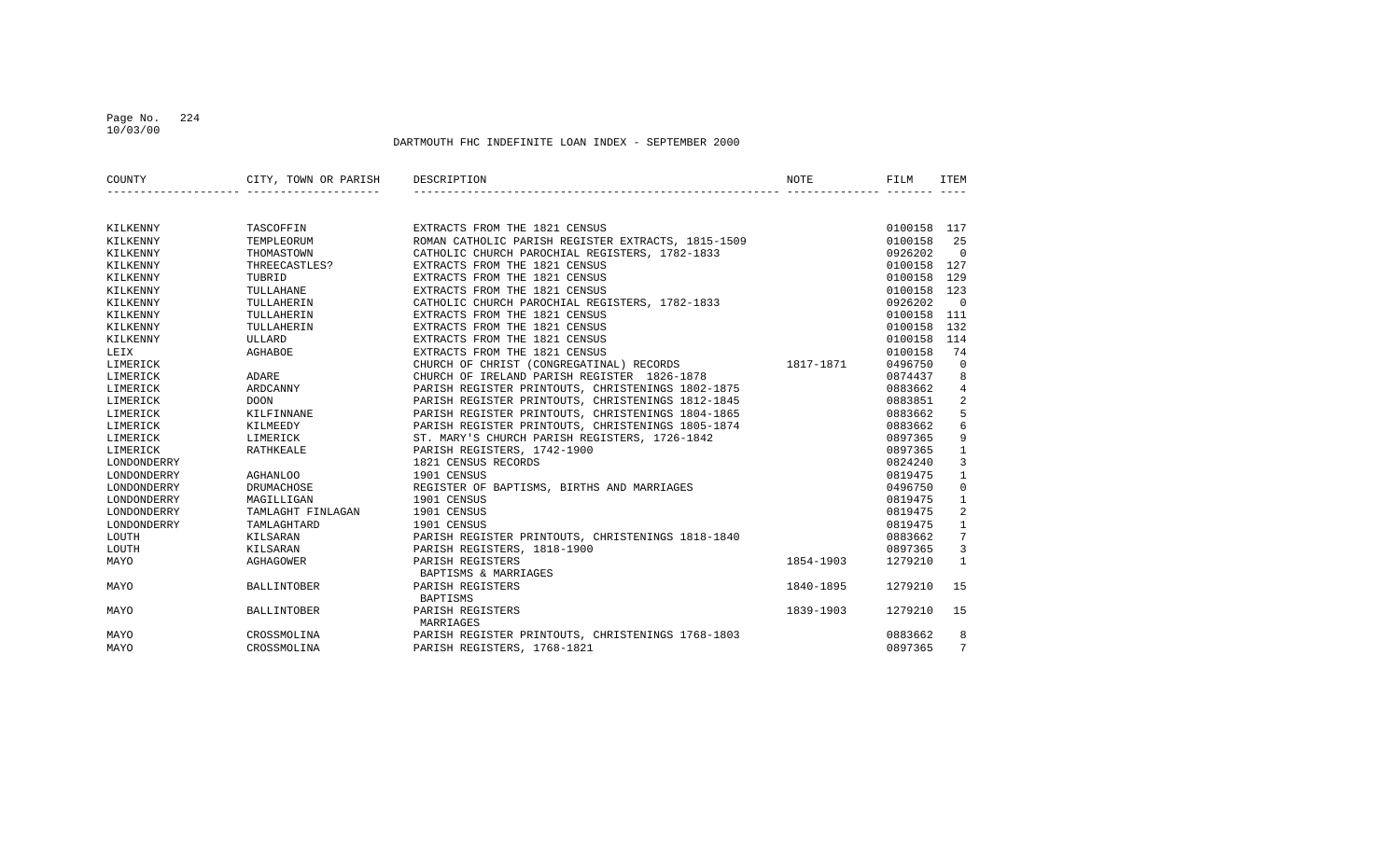#### Page No. 224 10/03/00

| COUNTY      | CITY, TOWN OR PARISH | DESCRIPTION                                        | <b>NOTE</b> | FILM        | <b>ITEM</b>    |
|-------------|----------------------|----------------------------------------------------|-------------|-------------|----------------|
|             |                      |                                                    |             |             |                |
| KILKENNY    | TASCOFFIN            | EXTRACTS FROM THE 1821 CENSUS                      |             | 0100158 117 |                |
| KILKENNY    | TEMPLEORUM           | ROMAN CATHOLIC PARISH REGISTER EXTRACTS, 1815-1509 |             | 0100158     | 25             |
| KILKENNY    | THOMASTOWN           | CATHOLIC CHURCH PAROCHIAL REGISTERS, 1782-1833     |             | 0926202     | $\Omega$       |
| KILKENNY    | THREECASTLES?        | EXTRACTS FROM THE 1821 CENSUS                      |             | 0100158     | 127            |
| KILKENNY    | TUBRID               | EXTRACTS FROM THE 1821 CENSUS                      |             | 0100158     | 129            |
| KILKENNY    | TULLAHANE            | EXTRACTS FROM THE 1821 CENSUS                      |             | 0100158     | 123            |
| KILKENNY    | TULLAHERIN           | CATHOLIC CHURCH PAROCHIAL REGISTERS, 1782-1833     |             | 0926202     | $\Omega$       |
| KILKENNY    | TULLAHERIN           | EXTRACTS FROM THE 1821 CENSUS                      |             | 0100158     | 111            |
| KILKENNY    | TULLAHERIN           | EXTRACTS FROM THE 1821 CENSUS                      |             | 0100158     | 132            |
| KILKENNY    | ULLARD               | EXTRACTS FROM THE 1821 CENSUS                      |             | 0100158     | 114            |
| LEIX        | AGHABOE              | EXTRACTS FROM THE 1821 CENSUS                      |             | 0100158     | 74             |
| LIMERICK    |                      | CHURCH OF CHRIST (CONGREGATINAL) RECORDS           | 1817-1871   | 0496750     | $\overline{0}$ |
| LIMERICK    | ADARE                | CHURCH OF IRELAND PARISH REGISTER 1826-1878        |             | 0874437     | 8              |
| LIMERICK    | ARDCANNY             | PARISH REGISTER PRINTOUTS, CHRISTENINGS 1802-1875  |             | 0883662     | 4              |
| LIMERICK    | <b>DOON</b>          | PARISH REGISTER PRINTOUTS, CHRISTENINGS 1812-1845  |             | 0883851     | 2              |
| LIMERICK    | KILFINNANE           | PARISH REGISTER PRINTOUTS, CHRISTENINGS 1804-1865  |             | 0883662     | 5              |
| LIMERICK    | KILMEEDY             | PARISH REGISTER PRINTOUTS, CHRISTENINGS 1805-1874  |             | 0883662     | $\sqrt{6}$     |
| LIMERICK    | LIMERICK             | ST. MARY'S CHURCH PARISH REGISTERS, 1726-1842      |             | 0897365     | 9              |
| LIMERICK    | RATHKEALE            | PARISH REGISTERS, 1742-1900                        |             | 0897365     | $\mathbf{1}$   |
| LONDONDERRY |                      | 1821 CENSUS RECORDS                                |             | 0824240     | 3              |
| LONDONDERRY | <b>AGHANLOO</b>      | 1901 CENSUS                                        |             | 0819475     | $\mathbf{1}$   |
| LONDONDERRY | DRUMACHOSE           | REGISTER OF BAPTISMS, BIRTHS AND MARRIAGES         |             | 0496750     | 0              |
| LONDONDERRY | MAGILLIGAN           | 1901 CENSUS                                        |             | 0819475     | $\mathbf{1}$   |
| LONDONDERRY | TAMLAGHT FINLAGAN    | 1901 CENSUS                                        |             | 0819475     | 2              |
| LONDONDERRY | TAMLAGHTARD          | 1901 CENSUS                                        |             | 0819475     | $\mathbf{1}$   |
| LOUTH       | KILSARAN             | PARISH REGISTER PRINTOUTS, CHRISTENINGS 1818-1840  |             | 0883662     | 7              |
| LOUTH       | KILSARAN             | PARISH REGISTERS, 1818-1900                        |             | 0897365     | 3              |
| MAYO        | AGHAGOWER            | PARISH REGISTERS                                   | 1854-1903   | 1279210     | $\mathbf{1}$   |
|             |                      | BAPTISMS & MARRIAGES                               |             |             |                |
| MAYO        | <b>BALLINTOBER</b>   | PARISH REGISTERS                                   | 1840-1895   | 1279210     | 15             |
|             |                      | BAPTISMS                                           |             |             |                |
| MAYO        | <b>BALLINTOBER</b>   | PARISH REGISTERS<br>MARRIAGES                      | 1839-1903   | 1279210     | 15             |
| MAYO        | CROSSMOLINA          | PARISH REGISTER PRINTOUTS, CHRISTENINGS 1768-1803  |             | 0883662     | 8              |
| MAYO        | CROSSMOLINA          | PARISH REGISTERS, 1768-1821                        |             | 0897365     | 7              |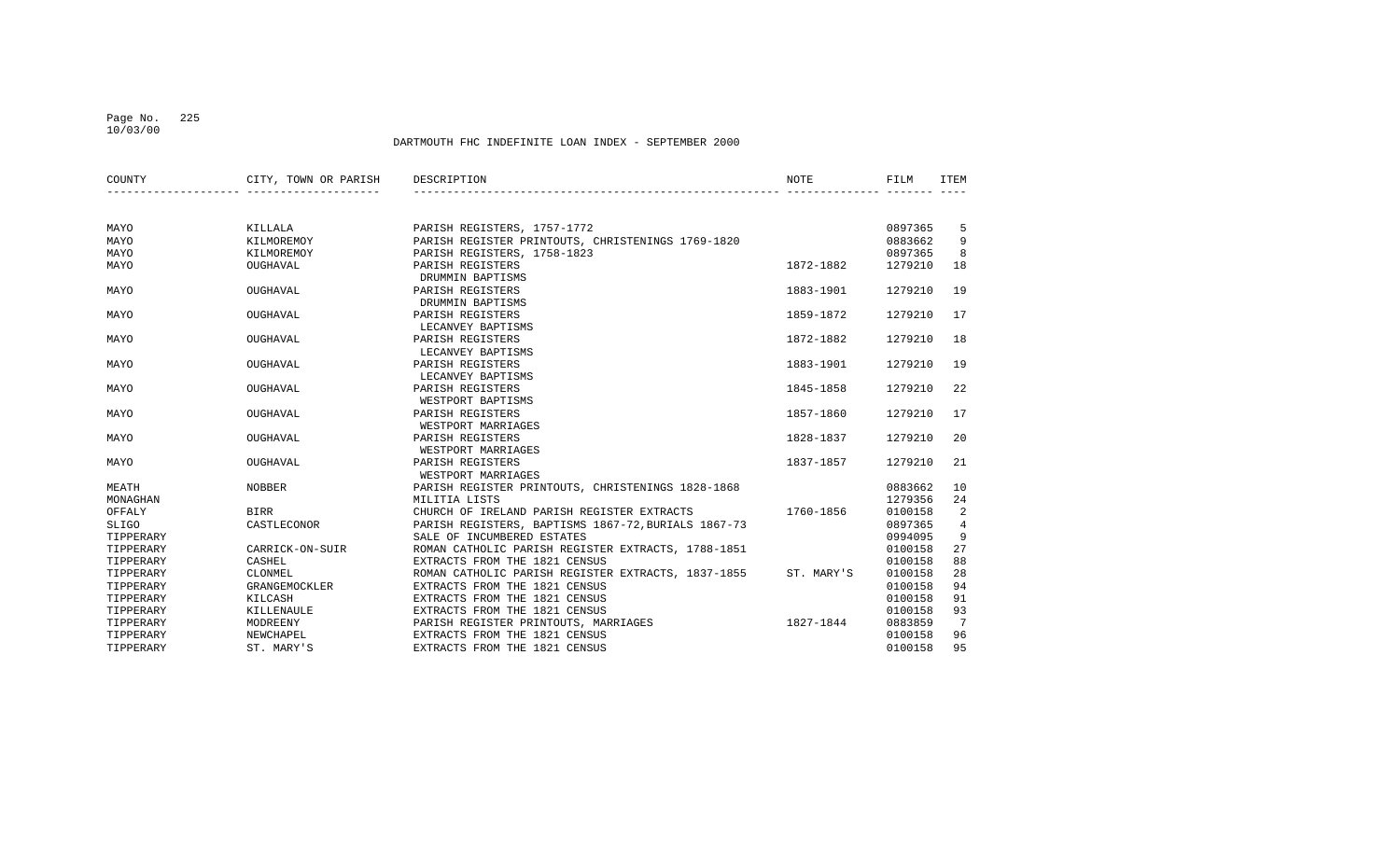#### Page No. 225 10/03/00

| COUNTY    | CITY, TOWN OR PARISH | DESCRIPTION                                         | <b>NOTE</b> | FILM    | <b>ITEM</b>     |
|-----------|----------------------|-----------------------------------------------------|-------------|---------|-----------------|
|           |                      |                                                     |             |         |                 |
| MAYO      | KILLALA              | PARISH REGISTERS, 1757-1772                         |             | 0897365 | 5               |
| MAYO      | KILMOREMOY           | PARISH REGISTER PRINTOUTS, CHRISTENINGS 1769-1820   |             | 0883662 | 9               |
| MAYO      | KILMOREMOY           | PARISH REGISTERS, 1758-1823                         |             | 0897365 | 8               |
| MAYO      | OUGHAVAL             | PARISH REGISTERS<br>DRUMMIN BAPTISMS                | 1872-1882   | 1279210 | 18              |
| MAYO      | OUGHAVAL             | PARISH REGISTERS<br>DRUMMIN BAPTISMS                | 1883-1901   | 1279210 | 19              |
| MAYO      | OUGHAVAL             | PARISH REGISTERS<br>LECANVEY BAPTISMS               | 1859-1872   | 1279210 | 17              |
| MAYO      | OUGHAVAL             | PARISH REGISTERS<br>LECANVEY BAPTISMS               | 1872-1882   | 1279210 | 18              |
| MAYO      | OUGHAVAL             | PARISH REGISTERS<br>LECANVEY BAPTISMS               | 1883-1901   | 1279210 | 19              |
| MAYO      | OUGHAVAL             | PARISH REGISTERS<br>WESTPORT BAPTISMS               | 1845-1858   | 1279210 | 22              |
| MAYO      | OUGHAVAL             | PARISH REGISTERS<br>WESTPORT MARRIAGES              | 1857-1860   | 1279210 | 17              |
| MAYO      | OUGHAVAL             | PARISH REGISTERS<br>WESTPORT MARRIAGES              | 1828-1837   | 1279210 | 20              |
| MAYO      | OUGHAVAL             | PARISH REGISTERS<br>WESTPORT MARRIAGES              | 1837-1857   | 1279210 | 21              |
| MEATH     | <b>NOBBER</b>        | PARISH REGISTER PRINTOUTS, CHRISTENINGS 1828-1868   |             | 0883662 | 10              |
| MONAGHAN  |                      | MILITIA LISTS                                       |             | 1279356 | 24              |
| OFFALY    | <b>BIRR</b>          | CHURCH OF IRELAND PARISH REGISTER EXTRACTS          | 1760-1856   | 0100158 | 2               |
| SLIGO     | CASTLECONOR          | PARISH REGISTERS, BAPTISMS 1867-72, BURIALS 1867-73 |             | 0897365 | 4               |
| TIPPERARY |                      | SALE OF INCUMBERED ESTATES                          |             | 0994095 | 9               |
| TIPPERARY | CARRICK-ON-SUIR      | ROMAN CATHOLIC PARISH REGISTER EXTRACTS, 1788-1851  |             | 0100158 | 27              |
| TIPPERARY | CASHEL               | EXTRACTS FROM THE 1821 CENSUS                       |             | 0100158 | 88              |
| TIPPERARY | CLONMEL              | ROMAN CATHOLIC PARISH REGISTER EXTRACTS, 1837-1855  | ST. MARY'S  | 0100158 | 28              |
| TIPPERARY | GRANGEMOCKLER        | EXTRACTS FROM THE 1821 CENSUS                       |             | 0100158 | 94              |
| TIPPERARY | KILCASH              | EXTRACTS FROM THE 1821 CENSUS                       |             | 0100158 | 91              |
| TIPPERARY | KILLENAULE           | EXTRACTS FROM THE 1821 CENSUS                       |             | 0100158 | 93              |
| TIPPERARY | MODREENY             | PARISH REGISTER PRINTOUTS, MARRIAGES                | 1827-1844   | 0883859 | $7\phantom{.0}$ |
| TIPPERARY | NEWCHAPEL            | EXTRACTS FROM THE 1821 CENSUS                       |             | 0100158 | 96              |
| TIPPERARY | ST. MARY'S           | EXTRACTS FROM THE 1821 CENSUS                       |             | 0100158 | 95              |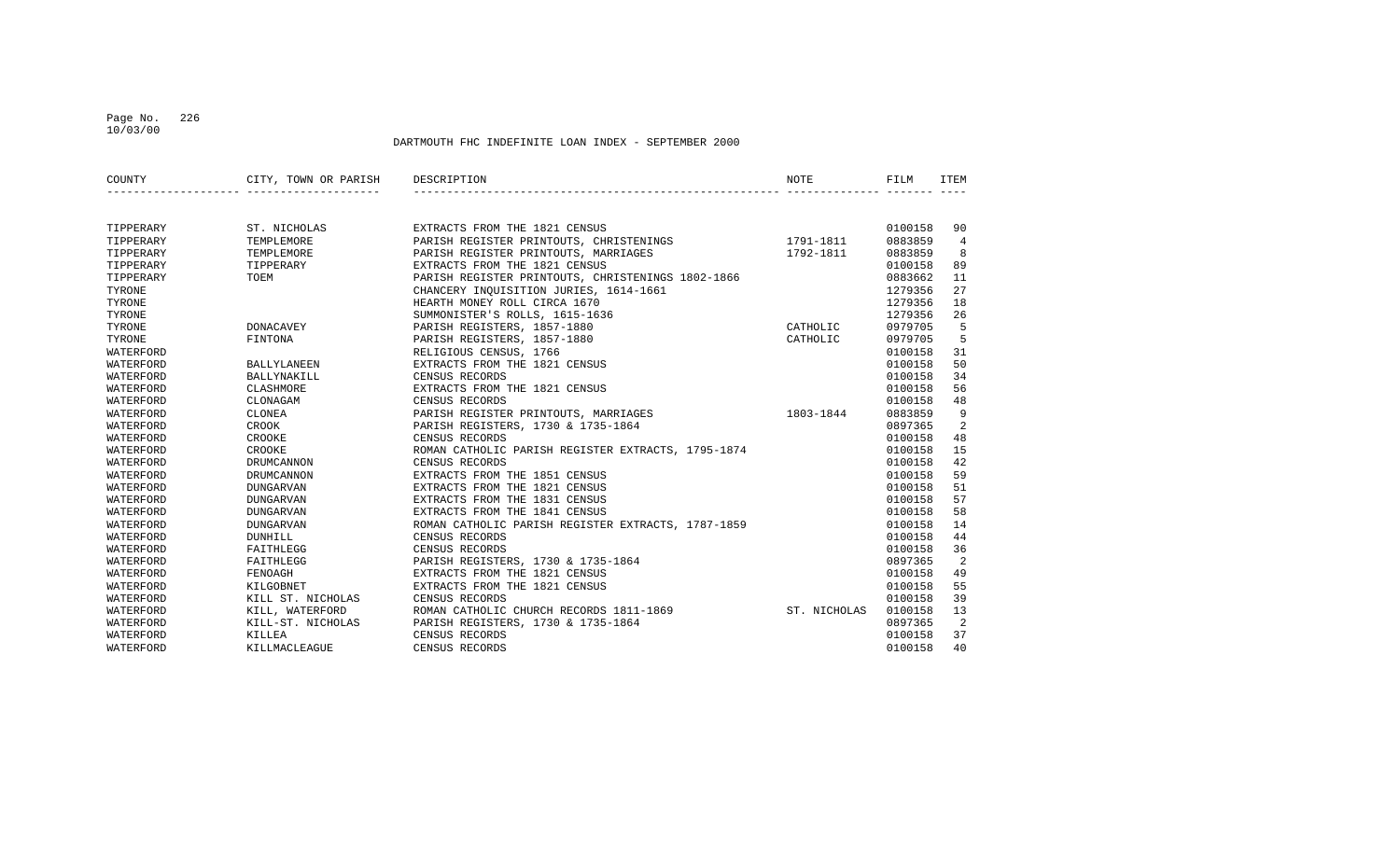#### Page No. 226 10/03/00

| COUNTY    | CITY, TOWN OR PARISH | DESCRIPTION                                        | NOTE         | FILM    | ITEM           |
|-----------|----------------------|----------------------------------------------------|--------------|---------|----------------|
|           |                      |                                                    |              |         |                |
| TIPPERARY | ST. NICHOLAS         | EXTRACTS FROM THE 1821 CENSUS                      |              | 0100158 | 90             |
| TIPPERARY | TEMPLEMORE           | PARISH REGISTER PRINTOUTS, CHRISTENINGS            | 1791-1811    | 0883859 | $\overline{4}$ |
| TIPPERARY | TEMPLEMORE           | PARISH REGISTER PRINTOUTS, MARRIAGES               | 1792-1811    | 0883859 | 8              |
| TIPPERARY | TIPPERARY            | EXTRACTS FROM THE 1821 CENSUS                      |              | 0100158 | 89             |
| TIPPERARY | TOEM                 | PARISH REGISTER PRINTOUTS, CHRISTENINGS 1802-1866  |              | 0883662 | 11             |
| TYRONE    |                      | CHANCERY INQUISITION JURIES, 1614-1661             |              | 1279356 | 27             |
| TYRONE    |                      | HEARTH MONEY ROLL CIRCA 1670                       |              | 1279356 | 18             |
| TYRONE    |                      | SUMMONISTER'S ROLLS, 1615-1636                     |              | 1279356 | 26             |
| TYRONE    | DONACAVEY            | PARISH REGISTERS, 1857-1880                        | CATHOLIC     | 0979705 | 5              |
| TYRONE    | FINTONA              | PARISH REGISTERS, 1857-1880                        | CATHOLIC     | 0979705 | 5              |
| WATERFORD |                      | RELIGIOUS CENSUS, 1766                             |              | 0100158 | 31             |
| WATERFORD | BALLYLANEEN          | EXTRACTS FROM THE 1821 CENSUS                      |              | 0100158 | 50             |
| WATERFORD | BALLYNAKILL          | CENSUS RECORDS                                     |              | 0100158 | 34             |
| WATERFORD | CLASHMORE            | EXTRACTS FROM THE 1821 CENSUS                      |              | 0100158 | 56             |
| WATERFORD | CLONAGAM             | CENSUS RECORDS                                     |              | 0100158 | 48             |
| WATERFORD | CLONEA               | PARISH REGISTER PRINTOUTS, MARRIAGES               | 1803-1844    | 0883859 | 9              |
| WATERFORD | CROOK                | PARISH REGISTERS, 1730 & 1735-1864                 |              | 0897365 | 2              |
| WATERFORD | CROOKE               | CENSUS RECORDS                                     |              | 0100158 | 48             |
| WATERFORD | CROOKE               | ROMAN CATHOLIC PARISH REGISTER EXTRACTS, 1795-1874 |              | 0100158 | 15             |
| WATERFORD | DRUMCANNON           | CENSUS RECORDS                                     |              | 0100158 | 42             |
| WATERFORD | <b>DRUMCANNON</b>    | EXTRACTS FROM THE 1851 CENSUS                      |              | 0100158 | 59             |
| WATERFORD | <b>DUNGARVAN</b>     | EXTRACTS FROM THE 1821 CENSUS                      |              | 0100158 | 51             |
| WATERFORD | <b>DUNGARVAN</b>     | EXTRACTS FROM THE 1831 CENSUS                      |              | 0100158 | 57             |
| WATERFORD | <b>DUNGARVAN</b>     | EXTRACTS FROM THE 1841 CENSUS                      |              | 0100158 | 58             |
| WATERFORD | <b>DUNGARVAN</b>     | ROMAN CATHOLIC PARISH REGISTER EXTRACTS, 1787-1859 |              | 0100158 | 14             |
| WATERFORD | DUNHILL              | CENSUS RECORDS                                     |              | 0100158 | 44             |
| WATERFORD | FAITHLEGG            | CENSUS RECORDS                                     |              | 0100158 | 36             |
| WATERFORD | FAITHLEGG            | PARISH REGISTERS, 1730 & 1735-1864                 |              | 0897365 | - 2            |
| WATERFORD | FENOAGH              | EXTRACTS FROM THE 1821 CENSUS                      |              | 0100158 | 49             |
| WATERFORD | KILGOBNET            | EXTRACTS FROM THE 1821 CENSUS                      |              | 0100158 | 55             |
| WATERFORD | KILL ST. NICHOLAS    | CENSUS RECORDS                                     |              | 0100158 | 39             |
| WATERFORD | KILL, WATERFORD      | ROMAN CATHOLIC CHURCH RECORDS 1811-1869            | ST. NICHOLAS | 0100158 | 13             |
| WATERFORD | KILL-ST. NICHOLAS    | PARISH REGISTERS, 1730 & 1735-1864                 |              | 0897365 | 2              |
| WATERFORD | KILLEA               | CENSUS RECORDS                                     |              | 0100158 | 37             |
| WATERFORD | KILLMACLEAGUE        | CENSUS RECORDS                                     |              | 0100158 | 40             |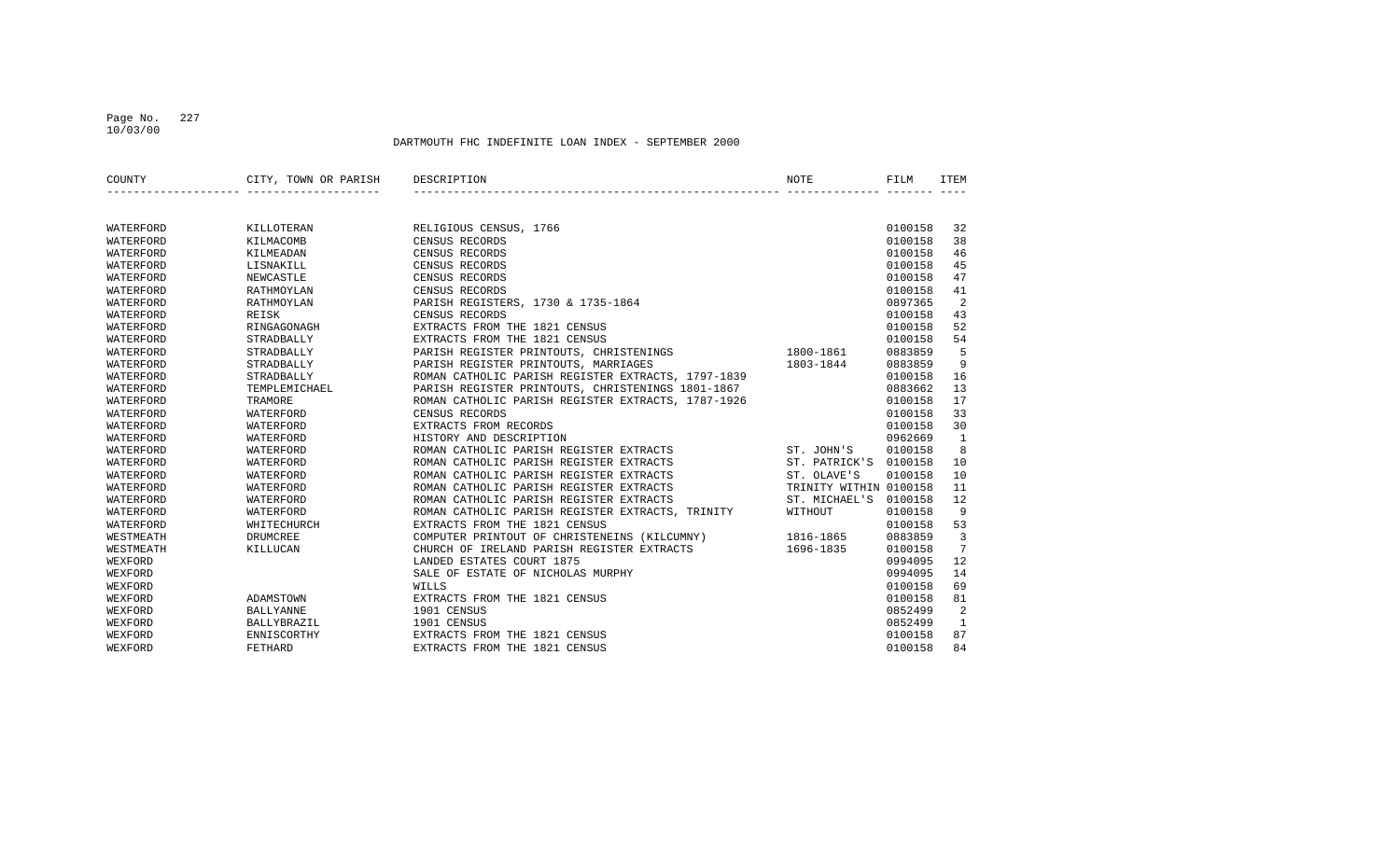#### Page No. 227 10/03/00

| COUNTY    | CITY, TOWN OR PARISH | <b>NOTE</b><br>DESCRIPTION                                        | FILM    | <b>ITEM</b>  |
|-----------|----------------------|-------------------------------------------------------------------|---------|--------------|
|           |                      |                                                                   |         |              |
|           |                      |                                                                   |         |              |
| WATERFORD | KILLOTERAN           | RELIGIOUS CENSUS, 1766                                            | 0100158 | 32           |
| WATERFORD | KILMACOMB            | CENSUS RECORDS                                                    | 0100158 | 38           |
| WATERFORD | KILMEADAN            | CENSUS RECORDS                                                    | 0100158 | 46           |
| WATERFORD | LISNAKILL            | CENSUS RECORDS                                                    | 0100158 | 45           |
| WATERFORD | NEWCASTLE            | CENSUS RECORDS                                                    | 0100158 | 47           |
| WATERFORD | RATHMOYLAN           | CENSUS RECORDS                                                    | 0100158 | 41           |
| WATERFORD | RATHMOYLAN           | PARISH REGISTERS, 1730 & 1735-1864                                | 0897365 | 2            |
| WATERFORD | REISK                | CENSUS RECORDS                                                    | 0100158 | 43           |
| WATERFORD | RINGAGONAGH          | EXTRACTS FROM THE 1821 CENSUS                                     | 0100158 | 52           |
| WATERFORD | STRADBALLY           | EXTRACTS FROM THE 1821 CENSUS                                     | 0100158 | 54           |
| WATERFORD | STRADBALLY           | PARISH REGISTER PRINTOUTS, CHRISTENINGS<br>1800-1861              | 0883859 | 5            |
| WATERFORD | STRADBALLY           | PARISH REGISTER PRINTOUTS, MARRIAGES<br>1803-1844                 | 0883859 | 9            |
| WATERFORD | STRADBALLY           | ROMAN CATHOLIC PARISH REGISTER EXTRACTS, 1797-1839                | 0100158 | 16           |
| WATERFORD | TEMPLEMICHAEL        | PARISH REGISTER PRINTOUTS, CHRISTENINGS 1801-1867                 | 0883662 | 13           |
| WATERFORD | TRAMORE              | ROMAN CATHOLIC PARISH REGISTER EXTRACTS, 1787-1926                | 0100158 | 17           |
| WATERFORD | WATERFORD            | CENSUS RECORDS                                                    | 0100158 | 33           |
| WATERFORD | WATERFORD            | EXTRACTS FROM RECORDS                                             | 0100158 | 30           |
| WATERFORD | WATERFORD            | HISTORY AND DESCRIPTION                                           | 0962669 | $\mathbf{1}$ |
| WATERFORD | WATERFORD            | ROMAN CATHOLIC PARISH REGISTER EXTRACTS<br>ST. JOHN'S             | 0100158 | 8            |
| WATERFORD | WATERFORD            | ROMAN CATHOLIC PARISH REGISTER EXTRACTS<br>ST. PATRICK'S          | 0100158 | 10           |
| WATERFORD | WATERFORD            | ROMAN CATHOLIC PARISH REGISTER EXTRACTS<br>ST. OLAVE'S            | 0100158 | 10           |
| WATERFORD | WATERFORD            | ROMAN CATHOLIC PARISH REGISTER EXTRACTS<br>TRINITY WITHIN 0100158 |         | 11           |
| WATERFORD | WATERFORD            | ROMAN CATHOLIC PARISH REGISTER EXTRACTS<br>ST. MICHAEL'S          | 0100158 | 12           |
| WATERFORD | WATERFORD            | ROMAN CATHOLIC PARISH REGISTER EXTRACTS, TRINITY<br>WITHOUT       | 0100158 | 9            |
| WATERFORD | WHITECHURCH          | EXTRACTS FROM THE 1821 CENSUS                                     | 0100158 | 53           |
| WESTMEATH | DRUMCREE             | COMPUTER PRINTOUT OF CHRISTENEINS (KILCUMNY)<br>1816-1865         | 0883859 | 3            |
| WESTMEATH | KILLUCAN             | CHURCH OF IRELAND PARISH REGISTER EXTRACTS<br>1696-1835           | 0100158 | 7            |
| WEXFORD   |                      | LANDED ESTATES COURT 1875                                         | 0994095 | 12           |
| WEXFORD   |                      | SALE OF ESTATE OF NICHOLAS MURPHY                                 | 0994095 | 14           |
| WEXFORD   |                      | WILLS                                                             | 0100158 | 69           |
| WEXFORD   | ADAMSTOWN            | EXTRACTS FROM THE 1821 CENSUS                                     | 0100158 | 81           |
| WEXFORD   | <b>BALLYANNE</b>     | 1901 CENSUS                                                       | 0852499 | 2            |
| WEXFORD   | BALLYBRAZIL          | 1901 CENSUS                                                       | 0852499 | 1            |
| WEXFORD   | ENNISCORTHY          | EXTRACTS FROM THE 1821 CENSUS                                     | 0100158 | 87           |
| WEXFORD   | FETHARD              | EXTRACTS FROM THE 1821 CENSUS                                     | 0100158 | 84           |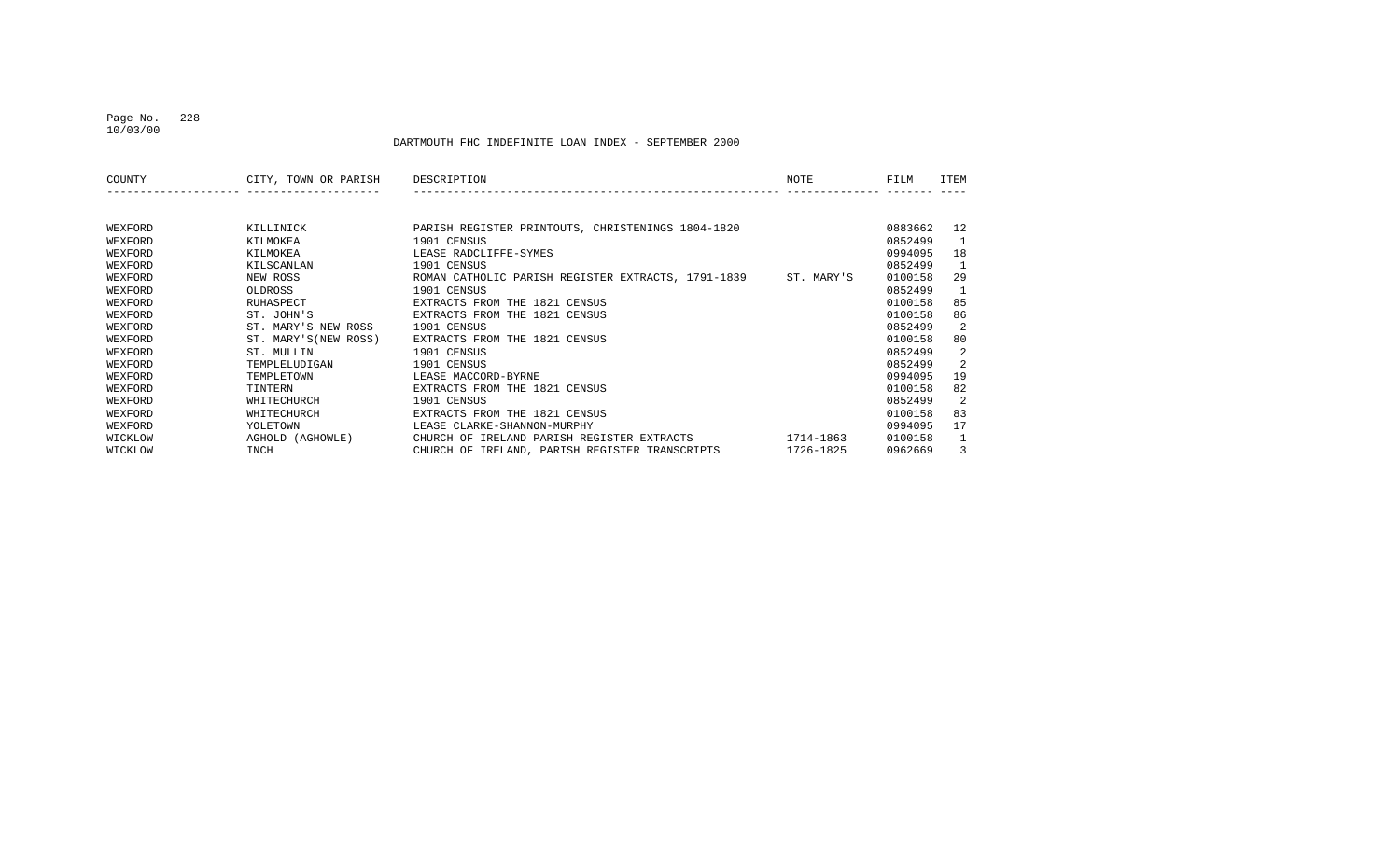#### Page No. 228 10/03/00

| COUNTY  | CITY, TOWN OR PARISH  | DESCRIPTION                                        | NOTE       | FILM    | ITEM |
|---------|-----------------------|----------------------------------------------------|------------|---------|------|
|         |                       |                                                    |            |         |      |
| WEXFORD | KILLINICK             | PARISH REGISTER PRINTOUTS, CHRISTENINGS 1804-1820  |            | 0883662 | 12   |
| WEXFORD | KILMOKEA              | 1901 CENSUS                                        |            | 0852499 |      |
| WEXFORD | KILMOKEA              | LEASE RADCLIFFE-SYMES                              |            | 0994095 | 18   |
| WEXFORD | KILSCANLAN            | 1901 CENSUS                                        |            | 0852499 | -1   |
| WEXFORD | NEW ROSS              | ROMAN CATHOLIC PARISH REGISTER EXTRACTS, 1791-1839 | ST. MARY'S | 0100158 | 29   |
| WEXFORD | OLDROSS               | 1901 CENSUS                                        |            | 0852499 | 1    |
| WEXFORD | RUHASPECT             | EXTRACTS FROM THE 1821 CENSUS                      |            | 0100158 | 85   |
| WEXFORD | ST. JOHN'S            | EXTRACTS FROM THE 1821 CENSUS                      |            | 0100158 | 86   |
| WEXFORD | ST. MARY'S NEW ROSS   | 1901 CENSUS                                        |            | 0852499 | 2    |
| WEXFORD | ST. MARY'S (NEW ROSS) | EXTRACTS FROM THE 1821 CENSUS                      |            | 0100158 | 80   |
| WEXFORD | ST. MULLIN            | 1901 CENSUS                                        |            | 0852499 | 2    |
| WEXFORD | TEMPLELUDIGAN         | 1901 CENSUS                                        |            | 0852499 | 2    |
| WEXFORD | TEMPLETOWN            | LEASE MACCORD-BYRNE                                |            | 0994095 | 19   |
| WEXFORD | TINTERN               | EXTRACTS FROM THE 1821 CENSUS                      |            | 0100158 | 82   |
| WEXFORD | WHITECHURCH           | 1901 CENSUS                                        |            | 0852499 | 2    |
| WEXFORD | WHITECHURCH           | EXTRACTS FROM THE 1821 CENSUS                      |            | 0100158 | 83   |
| WEXFORD | YOLETOWN              | LEASE CLARKE-SHANNON-MURPHY                        |            | 0994095 | 17   |
| WICKLOW | AGHOLD (AGHOWLE)      | CHURCH OF IRELAND PARISH REGISTER EXTRACTS         | 1714-1863  | 0100158 | 1    |
| WICKLOW | INCH                  | CHURCH OF IRELAND, PARISH REGISTER TRANSCRIPTS     | 1726-1825  | 0962669 | 3    |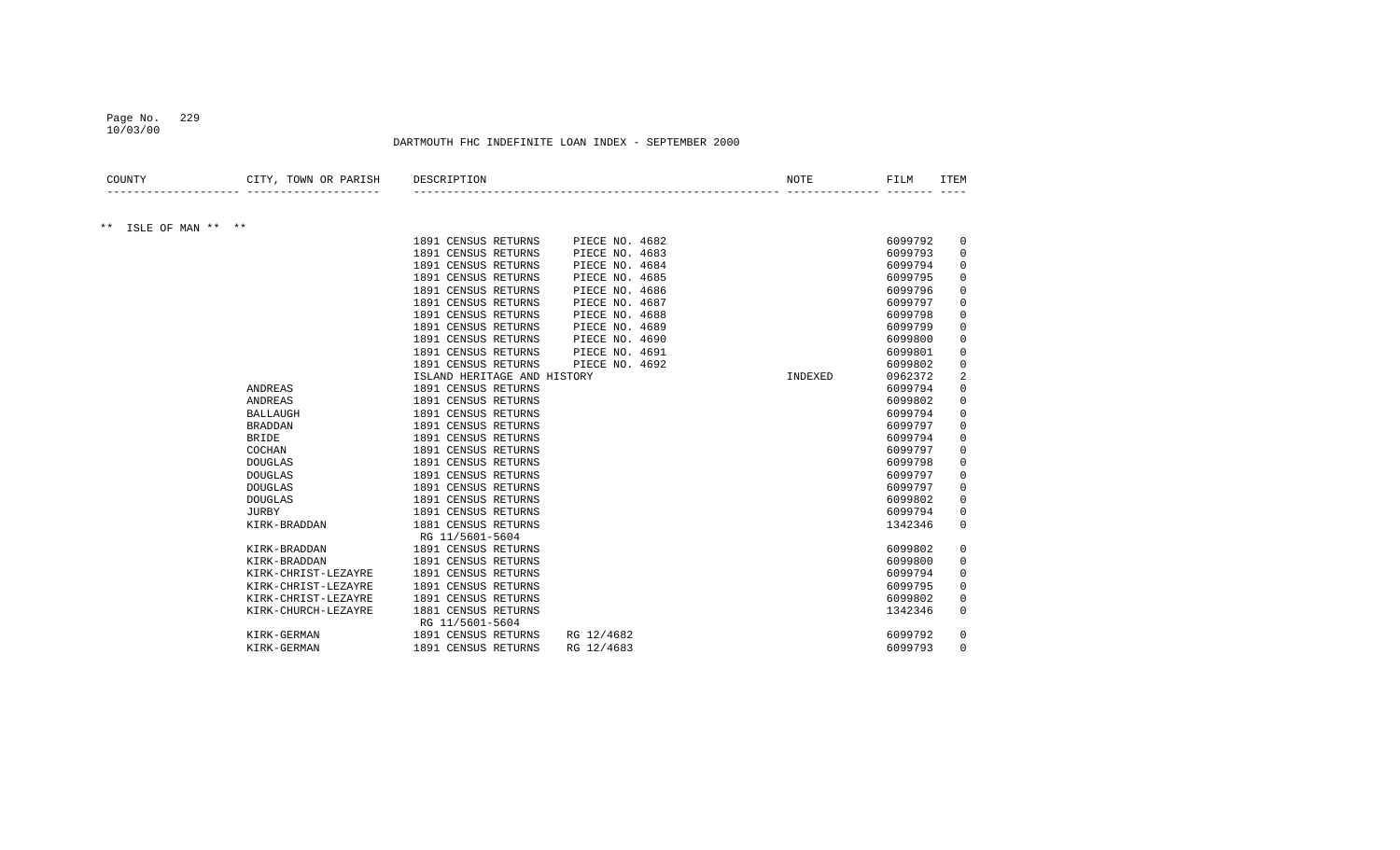#### Page No. 229 10/03/00

| COUNTY                     | CITY, TOWN OR PARISH | DESCRIPTION                           | <b>NOTE</b> | FILM    | <b>ITEM</b>    |
|----------------------------|----------------------|---------------------------------------|-------------|---------|----------------|
|                            |                      |                                       |             |         |                |
| $***$<br>ISLE OF MAN ** ** |                      |                                       |             |         |                |
|                            |                      | 1891 CENSUS RETURNS<br>PIECE NO. 4682 |             | 6099792 | 0              |
|                            |                      | 1891 CENSUS RETURNS<br>PIECE NO. 4683 |             | 6099793 | $\mathbf 0$    |
|                            |                      | 1891 CENSUS RETURNS<br>PIECE NO. 4684 |             | 6099794 | 0              |
|                            |                      | 1891 CENSUS RETURNS<br>PIECE NO. 4685 |             | 6099795 | 0              |
|                            |                      | 1891 CENSUS RETURNS<br>PIECE NO. 4686 |             | 6099796 | 0              |
|                            |                      | 1891 CENSUS RETURNS<br>PIECE NO. 4687 |             | 6099797 | $\Omega$       |
|                            |                      | 1891 CENSUS RETURNS<br>PIECE NO. 4688 |             | 6099798 | $\Omega$       |
|                            |                      | 1891 CENSUS RETURNS<br>PIECE NO. 4689 |             | 6099799 | $\Omega$       |
|                            |                      | 1891 CENSUS RETURNS<br>PIECE NO. 4690 |             | 6099800 | $\Omega$       |
|                            |                      | 1891 CENSUS RETURNS<br>PIECE NO. 4691 |             | 6099801 | 0              |
|                            |                      | 1891 CENSUS RETURNS<br>PIECE NO. 4692 |             | 6099802 | 0              |
|                            |                      | ISLAND HERITAGE AND HISTORY           | INDEXED     | 0962372 | $\overline{2}$ |
|                            | ANDREAS              | 1891 CENSUS RETURNS                   |             | 6099794 | 0              |
|                            | ANDREAS              | 1891 CENSUS RETURNS                   |             | 6099802 | 0              |
|                            | <b>BALLAUGH</b>      | 1891 CENSUS RETURNS                   |             | 6099794 | 0              |
|                            | <b>BRADDAN</b>       | 1891 CENSUS RETURNS                   |             | 6099797 | 0              |
|                            | <b>BRIDE</b>         | 1891 CENSUS RETURNS                   |             | 6099794 | 0              |
|                            | COCHAN               | 1891 CENSUS RETURNS                   |             | 6099797 | 0              |
|                            | <b>DOUGLAS</b>       | 1891 CENSUS RETURNS                   |             | 6099798 | 0              |
|                            | <b>DOUGLAS</b>       | 1891 CENSUS RETURNS                   |             | 6099797 | 0              |
|                            | <b>DOUGLAS</b>       | 1891 CENSUS RETURNS                   |             | 6099797 | 0              |
|                            | <b>DOUGLAS</b>       | 1891 CENSUS RETURNS                   |             | 6099802 | 0              |
|                            | <b>JURBY</b>         | 1891 CENSUS RETURNS                   |             | 6099794 | 0              |
|                            | KIRK-BRADDAN         | 1881 CENSUS RETURNS                   |             | 1342346 | $\mathbf 0$    |
|                            |                      | RG 11/5601-5604                       |             |         |                |
|                            | KIRK-BRADDAN         | 1891 CENSUS RETURNS                   |             | 6099802 | $\mathbf 0$    |
|                            | KIRK-BRADDAN         | 1891 CENSUS RETURNS                   |             | 6099800 | 0              |
|                            | KIRK-CHRIST-LEZAYRE  | 1891 CENSUS RETURNS                   |             | 6099794 | 0              |
|                            | KIRK-CHRIST-LEZAYRE  | 1891 CENSUS RETURNS                   |             | 6099795 | 0              |
|                            | KIRK-CHRIST-LEZAYRE  | 1891 CENSUS RETURNS                   |             | 6099802 | 0              |
|                            | KIRK-CHURCH-LEZAYRE  | 1881 CENSUS RETURNS                   |             | 1342346 | 0              |
|                            |                      | RG 11/5601-5604                       |             |         |                |
|                            | KIRK-GERMAN          | 1891 CENSUS RETURNS<br>RG 12/4682     |             | 6099792 | 0              |
|                            | KIRK-GERMAN          | 1891 CENSUS RETURNS<br>RG 12/4683     |             | 6099793 | $\Omega$       |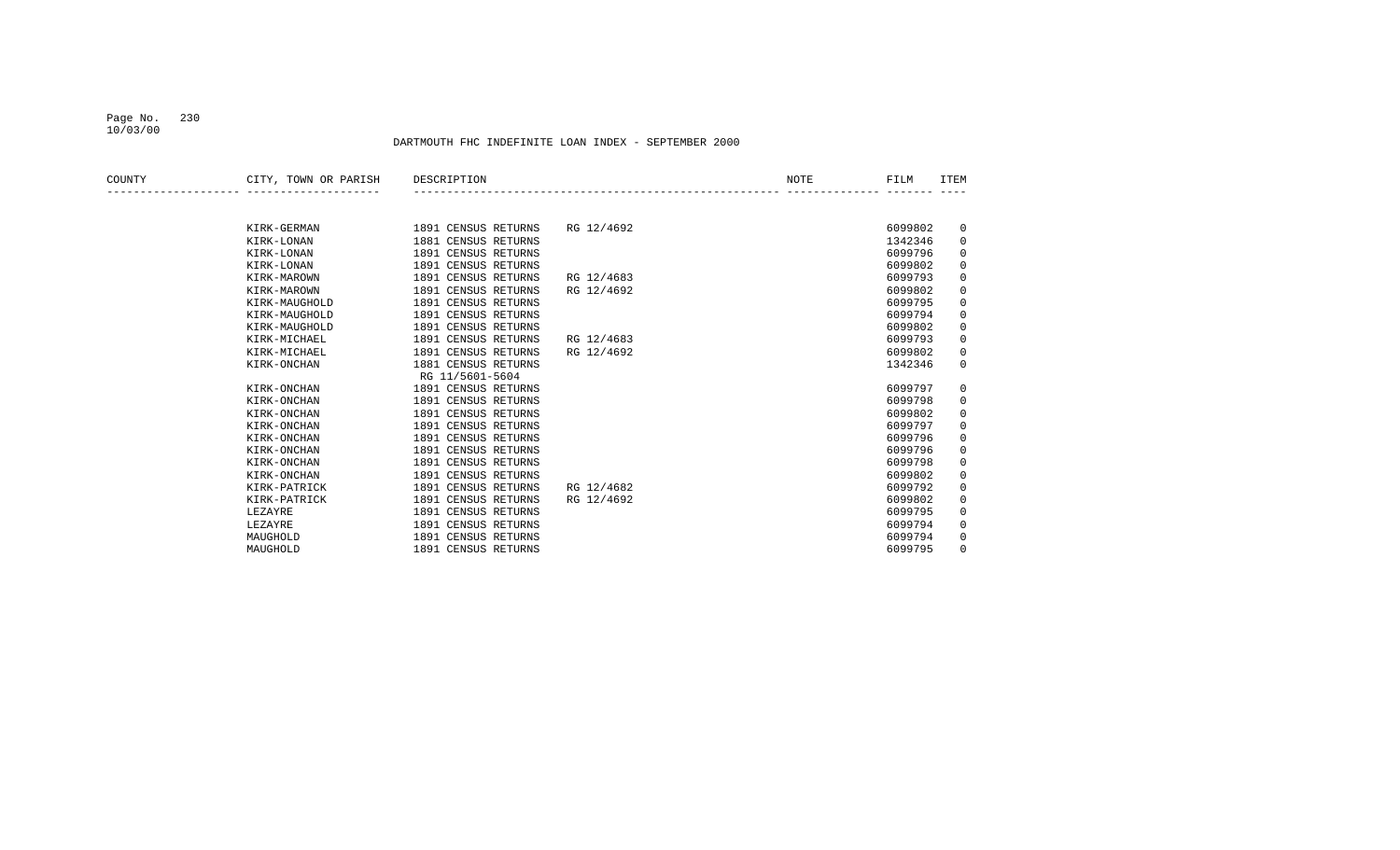#### Page No. 230 10/03/00

| COUNTY | CITY, TOWN OR PARISH | DESCRIPTION         |            | NOTE | FILM    | ITEM        |
|--------|----------------------|---------------------|------------|------|---------|-------------|
|        |                      |                     |            |      |         |             |
|        | KIRK-GERMAN          | 1891 CENSUS RETURNS | RG 12/4692 |      | 6099802 | 0           |
|        | KIRK-LONAN           | 1881 CENSUS RETURNS |            |      | 1342346 | $\mathbf 0$ |
|        | KIRK-LONAN           | 1891 CENSUS RETURNS |            |      | 6099796 | 0           |
|        | KIRK-LONAN           | 1891 CENSUS RETURNS |            |      | 6099802 | 0           |
|        | KIRK-MAROWN          | 1891 CENSUS RETURNS | RG 12/4683 |      | 6099793 | $\mathbf 0$ |
|        | KIRK-MAROWN          | 1891 CENSUS RETURNS | RG 12/4692 |      | 6099802 | $\mathbf 0$ |
|        | KIRK-MAUGHOLD        | 1891 CENSUS RETURNS |            |      | 6099795 | 0           |
|        | KIRK-MAUGHOLD        | 1891 CENSUS RETURNS |            |      | 6099794 | 0           |
|        | KIRK-MAUGHOLD        | 1891 CENSUS RETURNS |            |      | 6099802 | 0           |
|        | KIRK-MICHAEL         | 1891 CENSUS RETURNS | RG 12/4683 |      | 6099793 | $\mathbf 0$ |
|        | KIRK-MICHAEL         | 1891 CENSUS RETURNS | RG 12/4692 |      | 6099802 | 0           |
|        | KIRK-ONCHAN          | 1881 CENSUS RETURNS |            |      | 1342346 | $\mathbf 0$ |
|        |                      | RG 11/5601-5604     |            |      |         |             |
|        | KIRK-ONCHAN          | 1891 CENSUS RETURNS |            |      | 6099797 | 0           |
|        | KIRK-ONCHAN          | 1891 CENSUS RETURNS |            |      | 6099798 | 0           |
|        | KIRK-ONCHAN          | 1891 CENSUS RETURNS |            |      | 6099802 | $\mathbf 0$ |
|        | KIRK-ONCHAN          | 1891 CENSUS RETURNS |            |      | 6099797 | 0           |
|        | KIRK-ONCHAN          | 1891 CENSUS RETURNS |            |      | 6099796 | 0           |
|        | KIRK-ONCHAN          | 1891 CENSUS RETURNS |            |      | 6099796 | 0           |
|        | KIRK-ONCHAN          | 1891 CENSUS RETURNS |            |      | 6099798 | $\mathbf 0$ |
|        | KIRK-ONCHAN          | 1891 CENSUS RETURNS |            |      | 6099802 | $\mathbf 0$ |
|        | KIRK-PATRICK         | 1891 CENSUS RETURNS | RG 12/4682 |      | 6099792 | $\mathbf 0$ |
|        | KIRK-PATRICK         | 1891 CENSUS RETURNS | RG 12/4692 |      | 6099802 | 0           |
|        | LEZAYRE              | 1891 CENSUS RETURNS |            |      | 6099795 | $\mathbf 0$ |
|        | LEZAYRE              | 1891 CENSUS RETURNS |            |      | 6099794 | $\mathbf 0$ |
|        | MAUGHOLD             | 1891 CENSUS RETURNS |            |      | 6099794 | 0           |
|        | MAUGHOLD             | 1891 CENSUS RETURNS |            |      | 6099795 | 0           |
|        |                      |                     |            |      |         |             |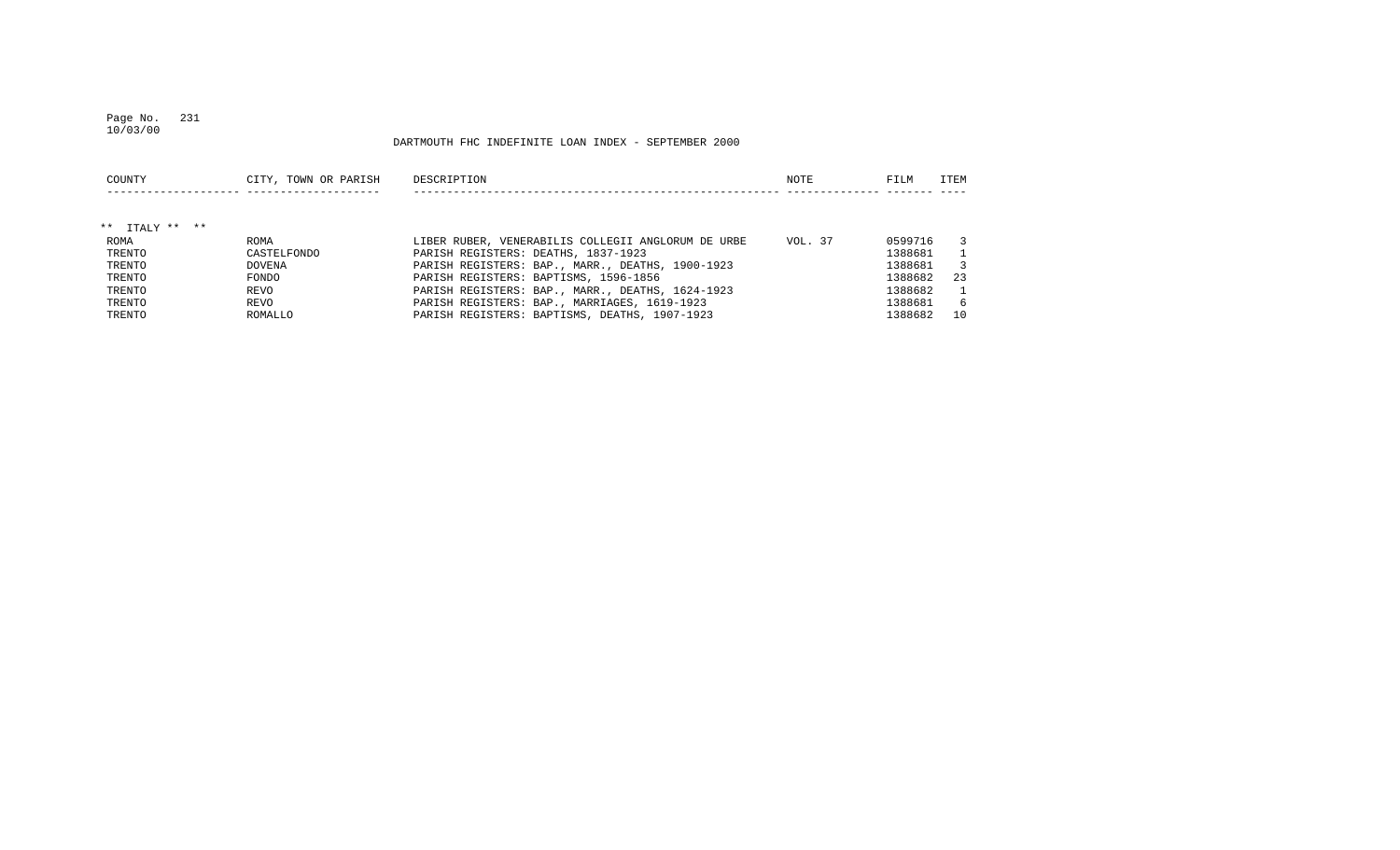#### Page No. 231 10/03/00

| COUNTY         | CITY, TOWN OR PARISH | DESCRIPTION                                        | NOTE    | FILM    | ITEM           |
|----------------|----------------------|----------------------------------------------------|---------|---------|----------------|
| ** ITALY ** ** |                      |                                                    |         |         |                |
| ROMA           | ROMA                 | LIBER RUBER, VENERABILIS COLLEGII ANGLORUM DE URBE | VOL. 37 | 0599716 | 3              |
| TRENTO         | CASTELFONDO          | PARISH REGISTERS: DEATHS, 1837-1923                |         | 1388681 |                |
| TRENTO         | <b>DOVENA</b>        | PARISH REGISTERS: BAP., MARR., DEATHS, 1900-1923   |         | 1388681 | 3              |
| TRENTO         | FONDO                | PARISH REGISTERS: BAPTISMS, 1596-1856              |         | 1388682 | 23             |
| TRENTO         | REVO                 | PARISH REGISTERS: BAP., MARR., DEATHS, 1624-1923   |         | 1388682 | $\overline{1}$ |
| TRENTO         | REVO                 | PARISH REGISTERS: BAP., MARRIAGES, 1619-1923       |         | 1388681 | -6             |
| TRENTO         | ROMALLO              | PARISH REGISTERS: BAPTISMS, DEATHS, 1907-1923      |         | 1388682 | 10             |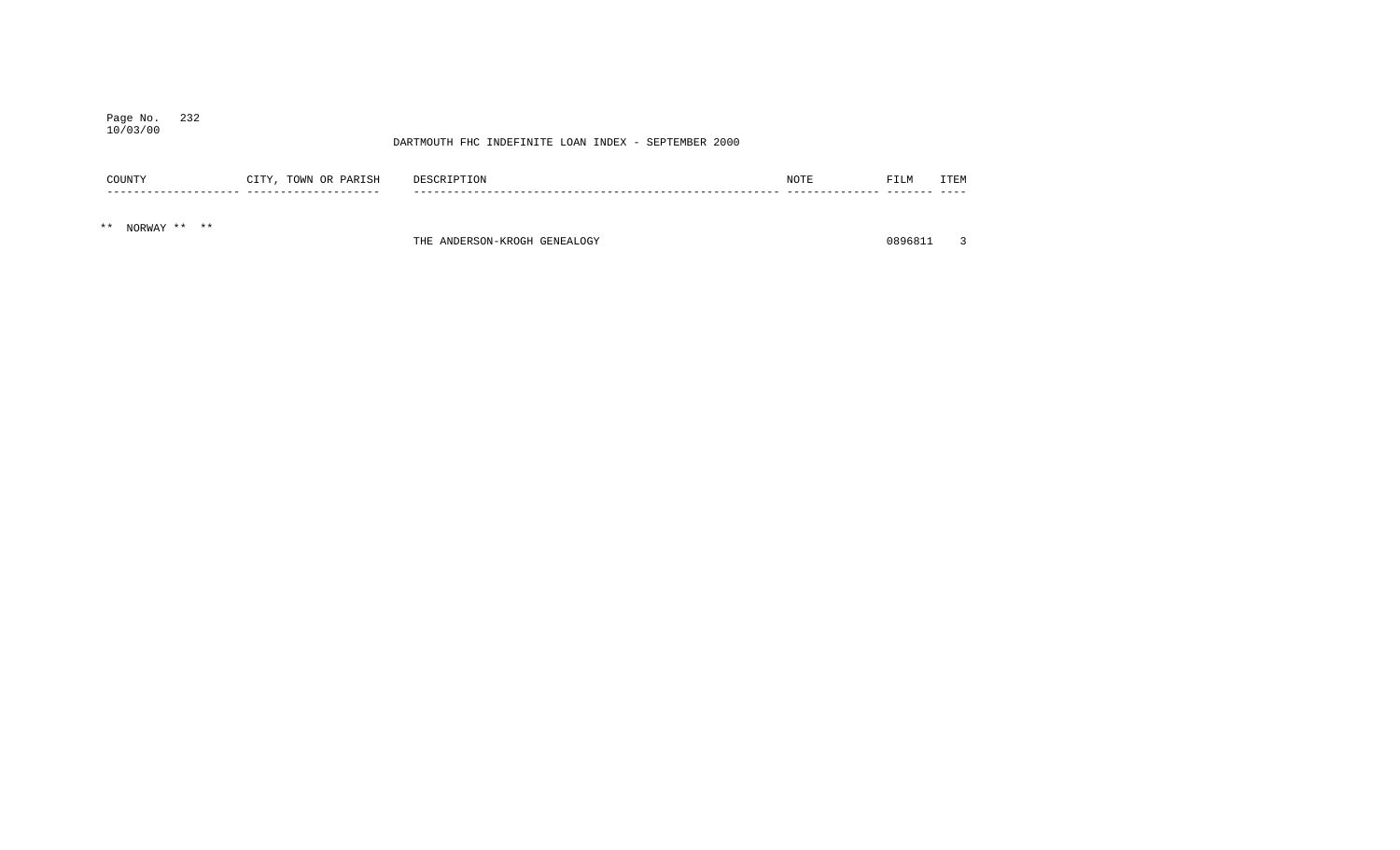#### Page No. 232 10/03/00

#### DARTMOUTH FHC INDEFINITE LOAN INDEX - SEPTEMBER 2000

| COUNTY | <b>ATTV</b><br>TOWN<br>PARISH<br>OR.<br>____ | DES.  | NOTF | FILM | TERM<br>--- |
|--------|----------------------------------------------|-------|------|------|-------------|
|        | ----                                         | $- -$ |      |      |             |

\*\* NORWAY \*\* \*\*

THE ANDERSON-KROGH GENEALOGY **1996** CONSULTED A 2008 2019 10896811 3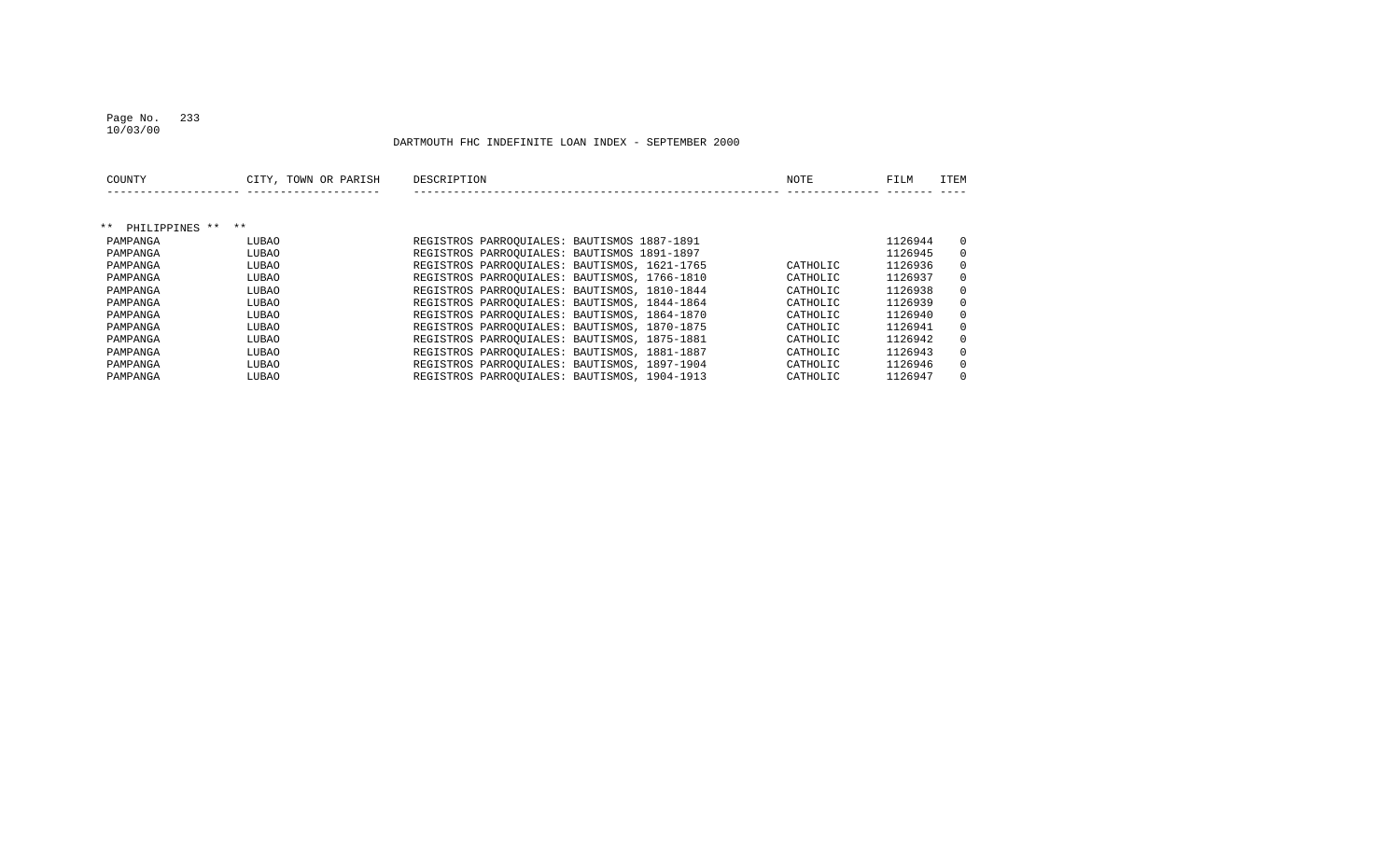#### Page No. 233 10/03/00

| COUNTY                  | CITY, TOWN OR PARISH | DESCRIPTION                                  | NOTE     | FILM    | ITEM         |
|-------------------------|----------------------|----------------------------------------------|----------|---------|--------------|
|                         |                      |                                              |          |         |              |
| $***$<br>PHILIPPINES ** | $***$                |                                              |          |         |              |
| PAMPANGA                | LUBAO                | REGISTROS PARROQUIALES: BAUTISMOS 1887-1891  |          | 1126944 | $\mathbf{0}$ |
| PAMPANGA                | LUBAO                | REGISTROS PARROOUIALES: BAUTISMOS 1891-1897  |          | 1126945 | $\Omega$     |
| PAMPANGA                | LUBAO                | REGISTROS PARROQUIALES: BAUTISMOS, 1621-1765 | CATHOLIC | 1126936 | $\Omega$     |
| PAMPANGA                | LUBAO                | REGISTROS PARROOUIALES: BAUTISMOS, 1766-1810 | CATHOLIC | 1126937 | $\Omega$     |
| PAMPANGA                | LUBAO                | REGISTROS PARROOUIALES: BAUTISMOS, 1810-1844 | CATHOLIC | 1126938 | $\Omega$     |
| PAMPANGA                | LUBAO                | REGISTROS PARROQUIALES: BAUTISMOS, 1844-1864 | CATHOLIC | 1126939 | $\Omega$     |
| PAMPANGA                | LUBAO                | REGISTROS PARROOUIALES: BAUTISMOS, 1864-1870 | CATHOLIC | 1126940 | $\Omega$     |
| PAMPANGA                | LUBAO                | REGISTROS PARROQUIALES: BAUTISMOS, 1870-1875 | CATHOLIC | 1126941 | $\Omega$     |
| PAMPANGA                | LUBAO                | REGISTROS PARROQUIALES: BAUTISMOS, 1875-1881 | CATHOLIC | 1126942 | $\mathbf{0}$ |
| PAMPANGA                | LUBAO                | REGISTROS PARROOUIALES: BAUTISMOS, 1881-1887 | CATHOLIC | 1126943 | $\Omega$     |
| PAMPANGA                | LUBAO                | REGISTROS PARROOUIALES: BAUTISMOS, 1897-1904 | CATHOLIC | 1126946 | $\Omega$     |
| PAMPANGA                | LUBAO                | REGISTROS PARROOUIALES: BAUTISMOS, 1904-1913 | CATHOLIC | 1126947 | $\Omega$     |
|                         |                      |                                              |          |         |              |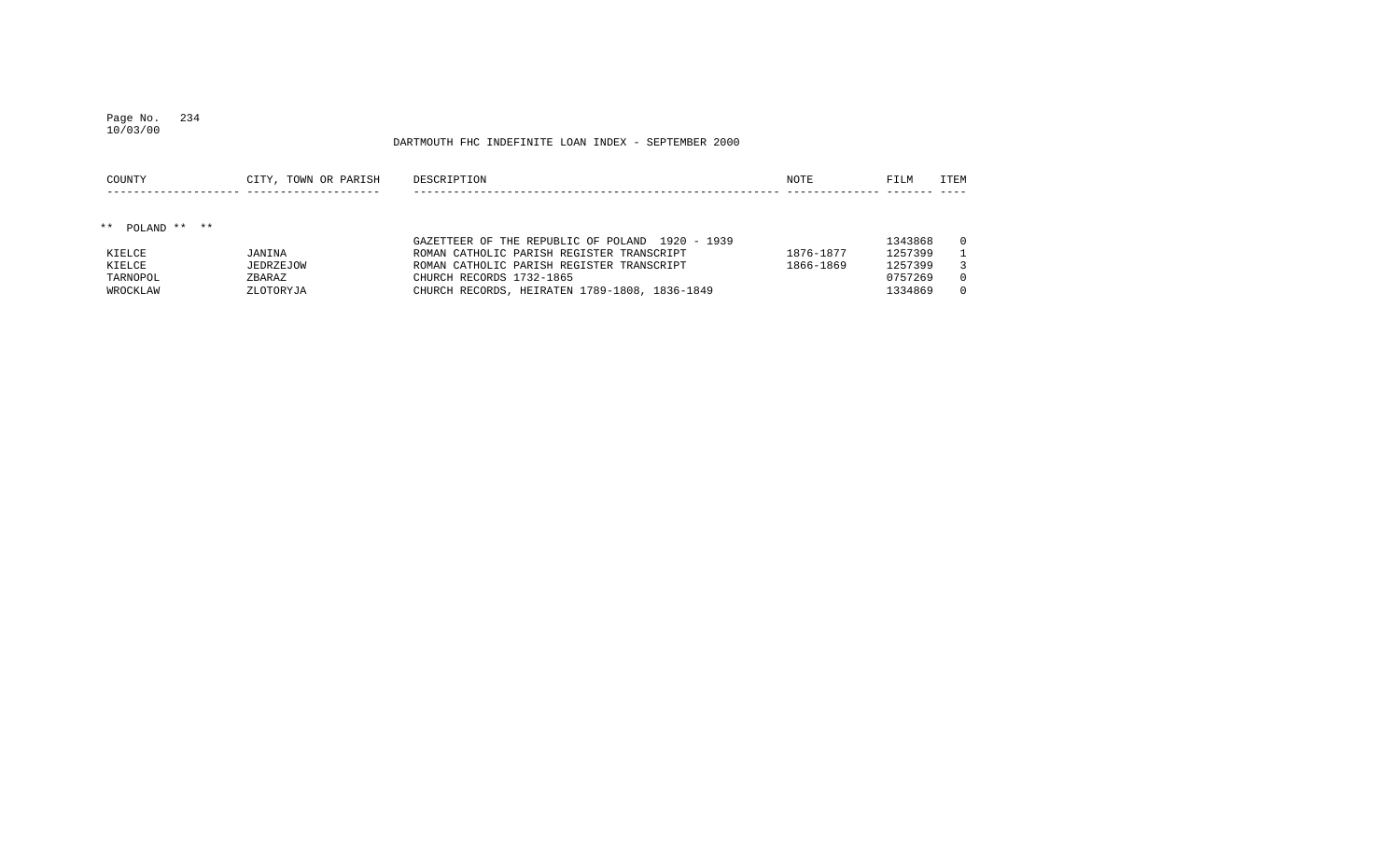# Page No. 234

#### DARTMOUTH FHC INDEFINITE LOAN INDEX - SEPTEMBER 2000

| COUNTY          | CITY, TOWN OR PARISH | DESCRIPTION                                     | NOTE      | FILM    | ITEM     |
|-----------------|----------------------|-------------------------------------------------|-----------|---------|----------|
|                 |                      |                                                 |           |         |          |
| ** POLAND ** ** |                      | GAZETTEER OF THE REPUBLIC OF POLAND 1920 - 1939 |           | 1343868 | $\Omega$ |
| KIELCE          | JANINA               | ROMAN CATHOLIC PARISH REGISTER TRANSCRIPT       | 1876-1877 | 1257399 |          |
| KIELCE          | JEDRZEJOW            | ROMAN CATHOLIC PARISH REGISTER TRANSCRIPT       | 1866-1869 | 1257399 |          |
| TARNOPOL        | ZBARAZ               | CHURCH RECORDS 1732-1865                        |           | 0757269 | $\Omega$ |
| WROCKLAW        | ZLOTORYJA            | CHURCH RECORDS, HEIRATEN 1789-1808, 1836-1849   |           | 1334869 | $\Omega$ |

10/03/00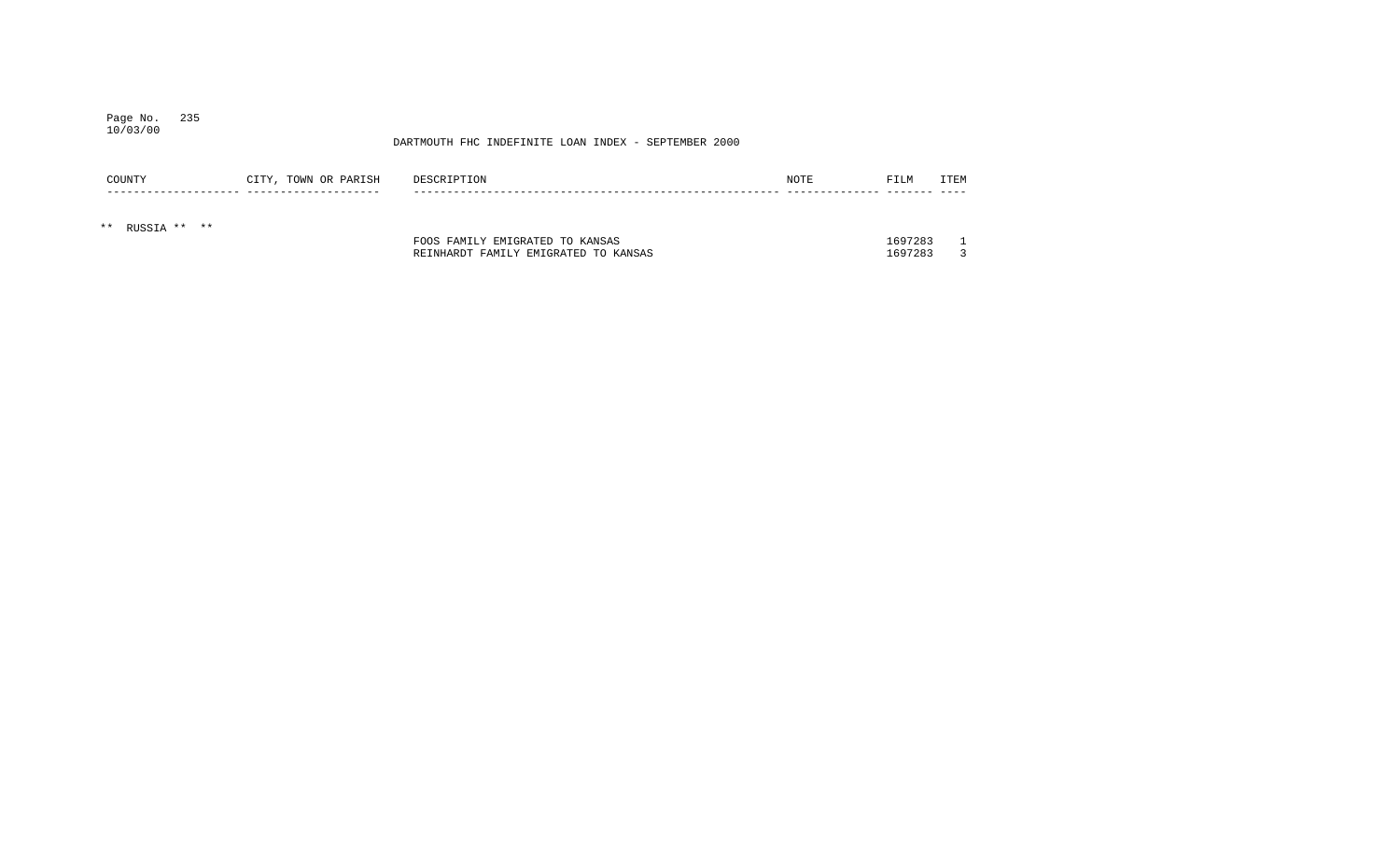#### Page No. 235 10/03/00

| COUNTY          | CITY, TOWN OR PARISH | DESCRIPTION                          | NOTE | FILM    | <b>ITEM</b> |
|-----------------|----------------------|--------------------------------------|------|---------|-------------|
| ** RUSSIA ** ** |                      |                                      |      |         |             |
|                 |                      | FOOS FAMILY EMIGRATED TO KANSAS      |      | 1697283 |             |
|                 |                      | REINHARDT FAMILY EMIGRATED TO KANSAS |      | 1697283 |             |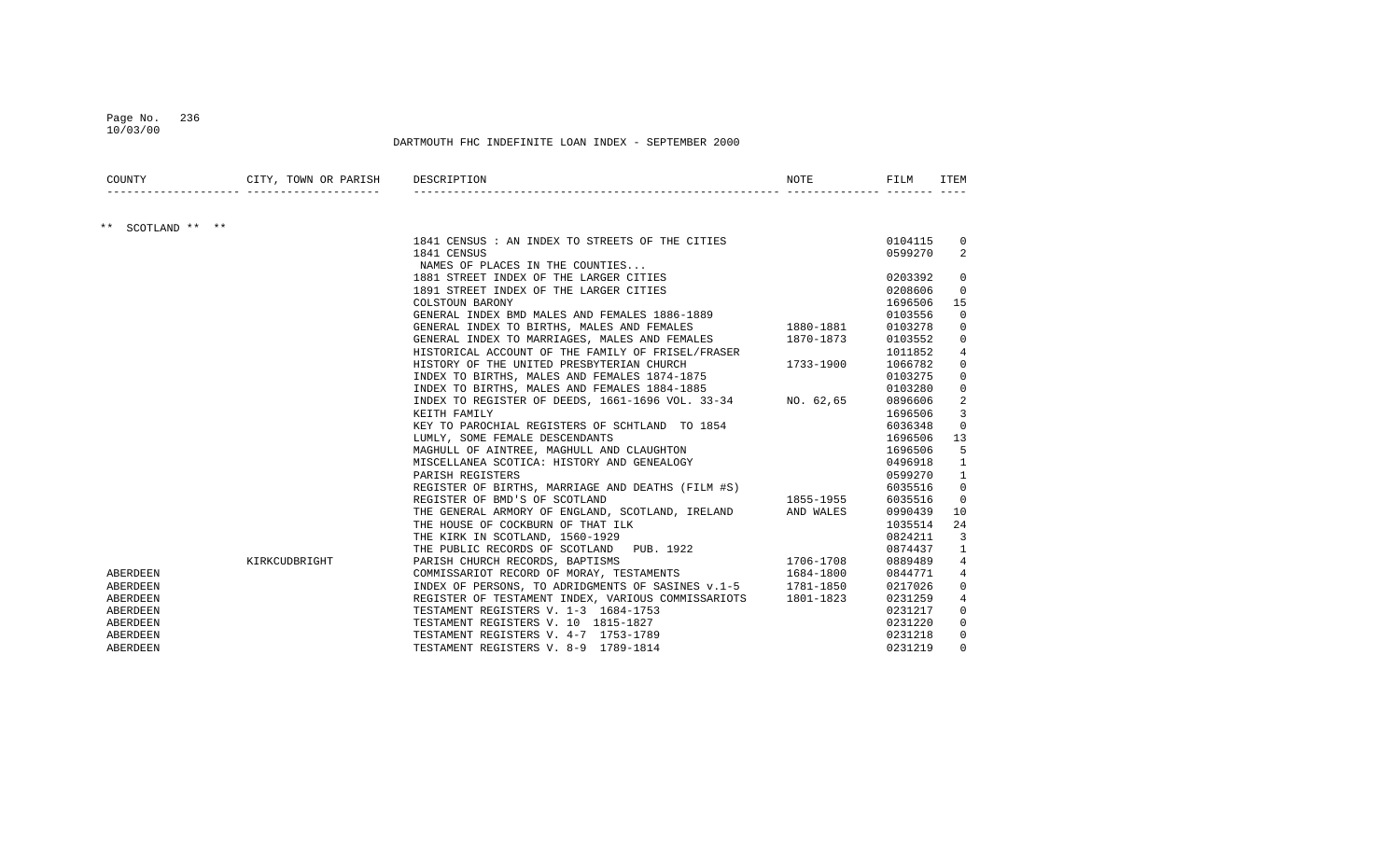#### Page No. 236 10/03/00

| COUNTY            | CITY, TOWN OR PARISH DESCRIPTION |                                                                                                                                                                    | NOTE | FILM               | ITEM                 |
|-------------------|----------------------------------|--------------------------------------------------------------------------------------------------------------------------------------------------------------------|------|--------------------|----------------------|
|                   |                                  |                                                                                                                                                                    |      |                    |                      |
| ** SCOTLAND ** ** |                                  |                                                                                                                                                                    |      |                    |                      |
|                   |                                  | 1841 CENSUS : AN INDEX TO STREETS OF THE CITIES                                                                                                                    |      | 0104115            | $\overline{0}$       |
|                   |                                  | 1841 CENSUS                                                                                                                                                        |      | 0599270            | 2                    |
|                   |                                  | NAMES OF PLACES IN THE COUNTIES                                                                                                                                    |      |                    |                      |
|                   |                                  | 1881 STREET INDEX OF THE LARGER CITIES                                                                                                                             |      | 0203392            | $\overline{0}$       |
|                   |                                  | 1891 STREET INDEX OF THE LARGER CITIES<br>COLSTOUN BARONY<br>GENERAL INDEX BMD MALES AND FEMALES 1886-1889                                                         |      | 0208606            | $\overline{0}$<br>15 |
|                   |                                  |                                                                                                                                                                    |      | 1696506<br>0103556 | $\overline{0}$       |
|                   |                                  | GENERAL INDEX TO BIRTHS, MALES AND FEMALES 1880-1881                                                                                                               |      | 0103278            |                      |
|                   |                                  | GENERAL INDEX TO MARRIAGES, MALES AND FEMALES 1870-1873                                                                                                            |      | 0103552            | 0<br>$\mathbf{0}$    |
|                   |                                  |                                                                                                                                                                    |      | 1011852            | $\overline{4}$       |
|                   |                                  | HISTORICAL ACCOUNT OF THE FAMILY OF FRISEL/FRASER<br>HISTORY OF THE UNITED PRESBYTERIAN CHURCH 1733-1900                                                           |      | 1066782            | $\mathbf{0}$         |
|                   |                                  | INDEX TO BIRTHS, MALES AND FEMALES 1874-1875                                                                                                                       |      | 0103275            | 0                    |
|                   |                                  | INDEX TO BIRTHS, MALES AND FEMALES 1884-1885<br>INDEX TO BIRTHS, MALES AND FEMALES 1884-1885<br>INDEX TO REGISTER OF DEEDS, 1661-1696 VOL. 33-34 NO. 62,65 0896606 |      |                    | $\mathbf 0$          |
|                   |                                  |                                                                                                                                                                    |      |                    | $\overline{a}$       |
|                   |                                  | KEITH FAMILY                                                                                                                                                       |      | 1696506            | 3                    |
|                   |                                  | KEY TO PAROCHIAL REGISTERS OF SCHTLAND TO 1854                                                                                                                     |      | 6036348            | $\overline{0}$       |
|                   |                                  | LUMLY, SOME FEMALE DESCENDANTS                                                                                                                                     |      | 1696506            | 13                   |
|                   |                                  | MAGHULL OF AINTREE, MAGHULL AND CLAUGHTON                                                                                                                          |      | 1696506            | 5                    |
|                   |                                  | MISCELLANEA SCOTICA: HISTORY AND GENEALOGY                                                                                                                         |      | 0496918            | $\mathbf{1}$         |
|                   |                                  | PARISH REGISTERS                                                                                                                                                   |      | 0599270            | $\mathbf{1}$         |
|                   |                                  | PARISH REGISIERS<br>REGISTER OF BIRTHS, MARRIAGE AND DEATHS (FILM #S)<br>REGISTER OF BMD'S OF SCOTLAND                                                             |      | 6035516            | $\mathbf{0}$         |
|                   |                                  |                                                                                                                                                                    |      | 6035516            | $\overline{0}$       |
|                   |                                  | THE GENERAL ARMORY OF ENGLAND, SCOTLAND, IRELAND AND WALES                                                                                                         |      | 0990439            | 10                   |
|                   |                                  | THE HOUSE OF COCKBURN OF THAT ILK                                                                                                                                  |      | 1035514            | 24                   |
|                   |                                  | THE KIRK IN SCOTLAND, 1560-1929                                                                                                                                    |      | 0824211            | $\overline{3}$       |
|                   |                                  | THE NURLIC RECORDS OF SCOTLAND<br>THE PUBLIC RECORDS OF SCOTLAND<br>PARISH CHURCH RECORDS, BAPTISMS<br>21706-1708                                                  |      | 0874437            | $\mathbf{1}$         |
|                   | KIRKCUDBRIGHT                    |                                                                                                                                                                    |      | 0889489            | $4\overline{ }$      |
| ABERDEEN          |                                  | COMMISSARIOT RECORD OF MORAY, TESTAMENTS 1684-1800                                                                                                                 |      | 0844771            | 4                    |
| ABERDEEN          |                                  | INDEX OF PERSONS, TO ADRIDGMENTS OF SASINES v.1-5 1781-1850                                                                                                        |      | 0217026            | 0                    |
| ABERDEEN          |                                  | REGISTER OF TESTAMENT INDEX, VARIOUS COMMISSARIOTS 1801-1823                                                                                                       |      | 0231259            | 4                    |
| ABERDEEN          |                                  | TESTAMENT REGISTERS V. 1-3 1684-1753                                                                                                                               |      | 0231217            | $\mathbf{0}$         |
| ABERDEEN          |                                  | TESTAMENT REGISTERS V. 10 1815-1827                                                                                                                                |      | 0231220            | $\mathbf 0$          |
| ABERDEEN          |                                  | TESTAMENT REGISTERS V. 4-7 1753-1789                                                                                                                               |      | 0231218            | $\overline{0}$       |
| ABERDEEN          |                                  | TESTAMENT REGISTERS V. 8-9 1789-1814                                                                                                                               |      | 0231219            | $\Omega$             |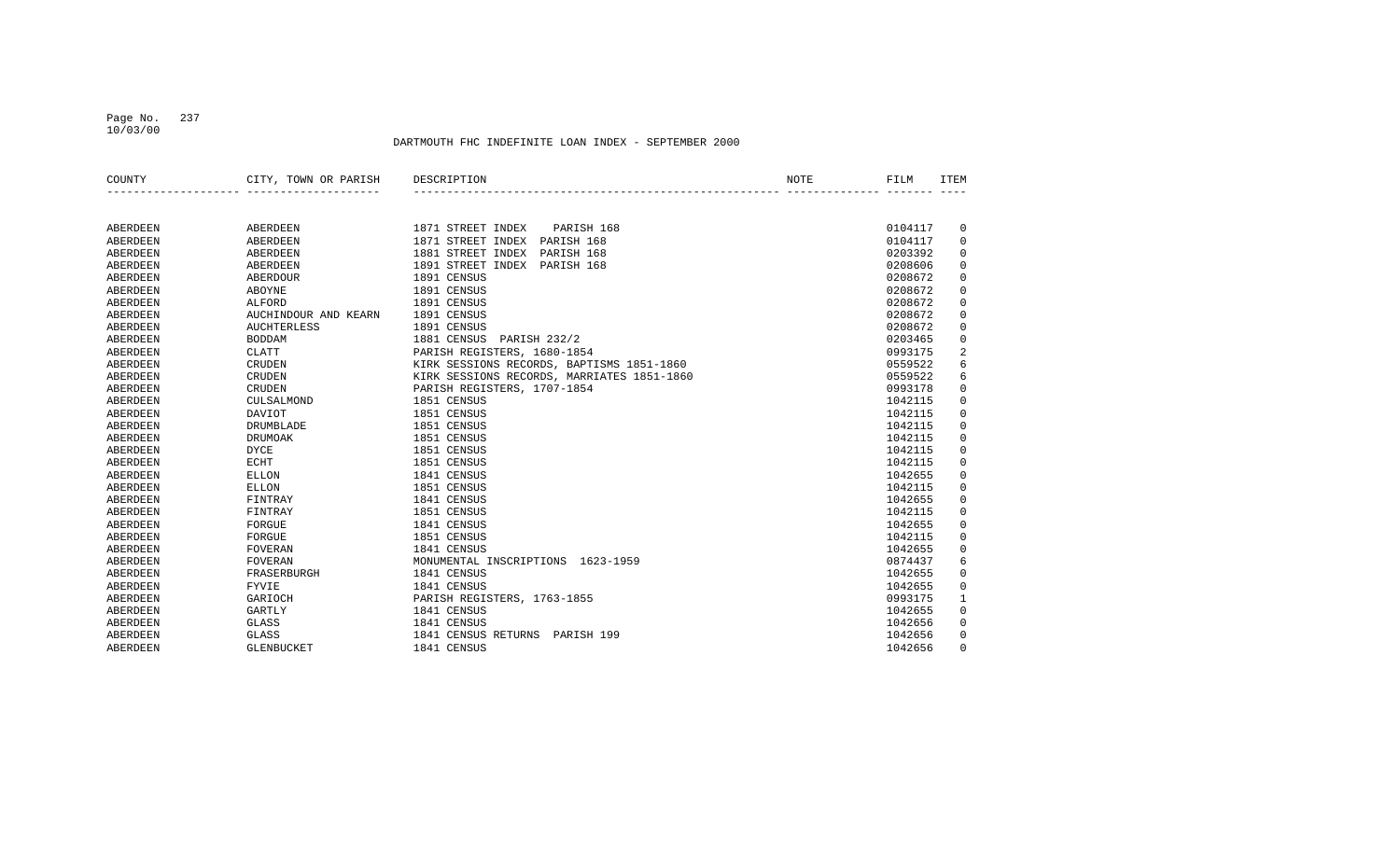#### Page No. 237 10/03/00

| COUNTY          | CITY, TOWN OR PARISH | DESCRIPTION                                | NOTE | FILM    | <b>ITEM</b>         |
|-----------------|----------------------|--------------------------------------------|------|---------|---------------------|
|                 |                      |                                            |      |         |                     |
| ABERDEEN        | ABERDEEN             | 1871 STREET INDEX<br>PARISH 168            |      | 0104117 | 0                   |
| ABERDEEN        | <b>ABERDEEN</b>      | 1871 STREET INDEX<br>PARISH 168            |      | 0104117 | $\mathbf 0$         |
| <b>ABERDEEN</b> | <b>ABERDEEN</b>      | 1881 STREET INDEX<br>PARISH 168            |      | 0203392 | $\mathsf 0$         |
| <b>ABERDEEN</b> | <b>ABERDEEN</b>      | 1891 STREET INDEX<br>PARISH 168            |      | 0208606 | $\mathsf 0$         |
| <b>ABERDEEN</b> | <b>ABERDOUR</b>      | 1891 CENSUS                                |      | 0208672 | $\mathbf 0$         |
| ABERDEEN        | <b>ABOYNE</b>        | 1891 CENSUS                                |      | 0208672 | $\mathbf 0$         |
| ABERDEEN        | ALFORD               | 1891 CENSUS                                |      | 0208672 | $\mathbf 0$         |
| ABERDEEN        | AUCHINDOUR AND KEARN | 1891 CENSUS                                |      | 0208672 | $\mathbf 0$         |
| ABERDEEN        | <b>AUCHTERLESS</b>   | 1891 CENSUS                                |      | 0208672 | $\mathbf 0$         |
| ABERDEEN        | <b>BODDAM</b>        | 1881 CENSUS<br>PARISH 232/2                |      | 0203465 | $\mathsf 0$         |
| ABERDEEN        | <b>CLATT</b>         | PARISH REGISTERS, 1680-1854                |      | 0993175 | $\overline{2}$      |
| ABERDEEN        | <b>CRUDEN</b>        | KIRK SESSIONS RECORDS, BAPTISMS 1851-1860  |      | 0559522 | 6                   |
| ABERDEEN        | <b>CRUDEN</b>        | KIRK SESSIONS RECORDS, MARRIATES 1851-1860 |      | 0559522 | 6                   |
| ABERDEEN        | <b>CRUDEN</b>        | PARISH REGISTERS, 1707-1854                |      | 0993178 | 0                   |
| ABERDEEN        | CULSALMOND           | 1851 CENSUS                                |      | 1042115 | $\mathsf 0$         |
| ABERDEEN        | <b>DAVIOT</b>        | 1851 CENSUS                                |      | 1042115 | $\mathsf 0$         |
| ABERDEEN        | DRUMBLADE            | 1851 CENSUS                                |      | 1042115 | $\mathsf 0$         |
| ABERDEEN        | <b>DRUMOAK</b>       | 1851 CENSUS                                |      | 1042115 | $\mathsf 0$         |
| ABERDEEN        | <b>DYCE</b>          | 1851 CENSUS                                |      | 1042115 | $\mathsf 0$         |
| ABERDEEN        | <b>ECHT</b>          | 1851 CENSUS                                |      | 1042115 | $\mathbf 0$         |
| ABERDEEN        | <b>ELLON</b>         | 1841 CENSUS                                |      | 1042655 | $\mathsf 0$         |
| ABERDEEN        | <b>ELLON</b>         | 1851 CENSUS                                |      | 1042115 | $\mathsf 0$         |
| ABERDEEN        | FINTRAY              | 1841 CENSUS                                |      | 1042655 | $\mathsf 0$         |
| ABERDEEN        | FINTRAY              | 1851 CENSUS                                |      | 1042115 | $\mathsf{O}\xspace$ |
| ABERDEEN        | FORGUE               | 1841 CENSUS                                |      | 1042655 | $\mathsf 0$         |
| ABERDEEN        | FORGUE               | 1851 CENSUS                                |      | 1042115 | $\mathbf 0$         |
| ABERDEEN        | <b>FOVERAN</b>       | 1841 CENSUS                                |      | 1042655 | 0                   |
| ABERDEEN        | <b>FOVERAN</b>       | MONUMENTAL INSCRIPTIONS 1623-1959          |      | 0874437 | 6                   |
| ABERDEEN        | FRASERBURGH          | 1841 CENSUS                                |      | 1042655 | 0                   |
| ABERDEEN        | FYVIE                | 1841 CENSUS                                |      | 1042655 | $\mathsf 0$         |
| ABERDEEN        | GARIOCH              | PARISH REGISTERS, 1763-1855                |      | 0993175 | $\mathbf{1}$        |
| ABERDEEN        | <b>GARTLY</b>        | 1841 CENSUS                                |      | 1042655 | $\mathbf 0$         |
| ABERDEEN        | <b>GLASS</b>         | 1841 CENSUS                                |      | 1042656 | $\mathsf 0$         |
| <b>ABERDEEN</b> | GLASS                | 1841 CENSUS RETURNS PARISH 199             |      | 1042656 | 0                   |
| ABERDEEN        | GLENBUCKET           | 1841 CENSUS                                |      | 1042656 | $\Omega$            |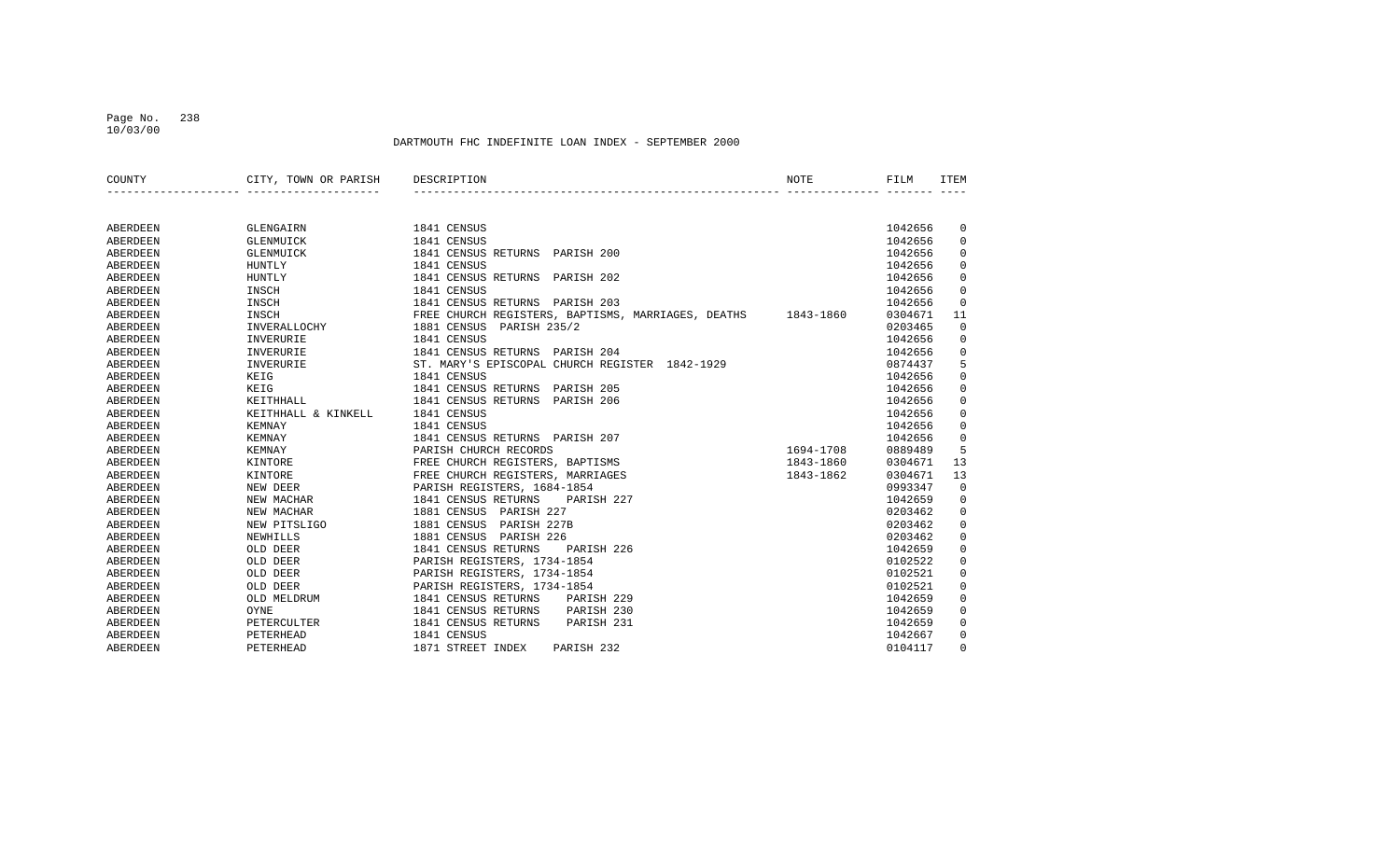#### Page No. 238 10/03/00

| COUNTY          | CITY, TOWN OR PARISH | DESCRIPTION                                                  | <b>NOTE</b> | FILM    | <b>ITEM</b> |
|-----------------|----------------------|--------------------------------------------------------------|-------------|---------|-------------|
|                 |                      |                                                              |             |         |             |
| ABERDEEN        | GLENGAIRN            | 1841 CENSUS                                                  |             | 1042656 | 0           |
| ABERDEEN        | GLENMUICK            | 1841 CENSUS                                                  |             | 1042656 | 0           |
| ABERDEEN        | GLENMUICK            | 1841 CENSUS RETURNS PARISH 200                               |             | 1042656 | $\mathbf 0$ |
| ABERDEEN        | <b>HUNTLY</b>        | 1841 CENSUS                                                  |             | 1042656 | $\Omega$    |
| ABERDEEN        | HUNTLY               | 1841 CENSUS RETURNS PARISH 202                               |             | 1042656 | 0           |
| ABERDEEN        | INSCH                | 1841 CENSUS                                                  |             | 1042656 | $\mathbf 0$ |
| ABERDEEN        | INSCH                | 1841 CENSUS RETURNS PARISH 203                               |             | 1042656 | $\Omega$    |
| ABERDEEN        | INSCH                | FREE CHURCH REGISTERS, BAPTISMS, MARRIAGES, DEATHS 1843-1860 |             | 0304671 | 11          |
| ABERDEEN        | INVERALLOCHY         | 1881 CENSUS<br>PARISH 235/2                                  |             | 0203465 | $\Omega$    |
| ABERDEEN        | INVERURIE            | 1841 CENSUS                                                  |             | 1042656 | 0           |
| ABERDEEN        | INVERURIE            | 1841 CENSUS RETURNS PARISH 204                               |             | 1042656 | 0           |
| ABERDEEN        | INVERURIE            | ST. MARY'S EPISCOPAL CHURCH REGISTER 1842-1929               |             | 0874437 | 5           |
| ABERDEEN        | KEIG                 | 1841 CENSUS                                                  |             | 1042656 | 0           |
| ABERDEEN        | KEIG                 | 1841 CENSUS RETURNS PARISH 205                               |             | 1042656 | 0           |
| ABERDEEN        | KEITHHALL            | 1841 CENSUS RETURNS PARISH 206                               |             | 1042656 | 0           |
| ABERDEEN        | KEITHHALL & KINKELL  | 1841 CENSUS                                                  |             | 1042656 | 0           |
| ABERDEEN        | <b>KEMNAY</b>        | 1841 CENSUS                                                  |             | 1042656 | 0           |
| <b>ABERDEEN</b> | KEMNAY               | 1841 CENSUS RETURNS PARISH 207                               |             | 1042656 | 0           |
| ABERDEEN        | KEMNAY               | PARISH CHURCH RECORDS                                        | 1694-1708   | 0889489 | 5           |
| ABERDEEN        | KINTORE              | FREE CHURCH REGISTERS, BAPTISMS                              | 1843-1860   | 0304671 | 13          |
| ABERDEEN        | KINTORE              | FREE CHURCH REGISTERS, MARRIAGES                             | 1843-1862   | 0304671 | 13          |
| ABERDEEN        | NEW DEER             | PARISH REGISTERS, 1684-1854                                  |             | 0993347 | $\mathbf 0$ |
| ABERDEEN        | NEW MACHAR           | 1841 CENSUS RETURNS<br>PARISH 227                            |             | 1042659 | 0           |
| ABERDEEN        | NEW MACHAR           | 1881 CENSUS<br>PARISH 227                                    |             | 0203462 | 0           |
| ABERDEEN        | NEW PITSLIGO         | 1881 CENSUS<br>PARISH 227B                                   |             | 0203462 | $\mathbf 0$ |
| ABERDEEN        | NEWHILLS             | 1881 CENSUS<br>PARISH 226                                    |             | 0203462 | $\mathbf 0$ |
| ABERDEEN        | OLD DEER             | 1841 CENSUS RETURNS<br>PARISH 226                            |             | 1042659 | $\mathbf 0$ |
| ABERDEEN        | OLD DEER             | PARISH REGISTERS, 1734-1854                                  |             | 0102522 | $\mathbf 0$ |
| ABERDEEN        | OLD DEER             | PARISH REGISTERS, 1734-1854                                  |             | 0102521 | $\mathbf 0$ |
| <b>ABERDEEN</b> | OLD DEER             | PARISH REGISTERS, 1734-1854                                  |             | 0102521 | $\mathbf 0$ |
| ABERDEEN        | OLD MELDRUM          | 1841 CENSUS RETURNS<br>PARISH 229                            |             | 1042659 | 0           |
| ABERDEEN        | OYNE                 | 1841 CENSUS RETURNS<br>PARISH 230                            |             | 1042659 | 0           |
| ABERDEEN        | PETERCULTER          | 1841 CENSUS RETURNS<br>PARISH 231                            |             | 1042659 | 0           |
| <b>ABERDEEN</b> | PETERHEAD            | 1841 CENSUS                                                  |             | 1042667 | 0           |
| ABERDEEN        | PETERHEAD            | 1871 STREET INDEX<br>PARISH 232                              |             | 0104117 | $\Omega$    |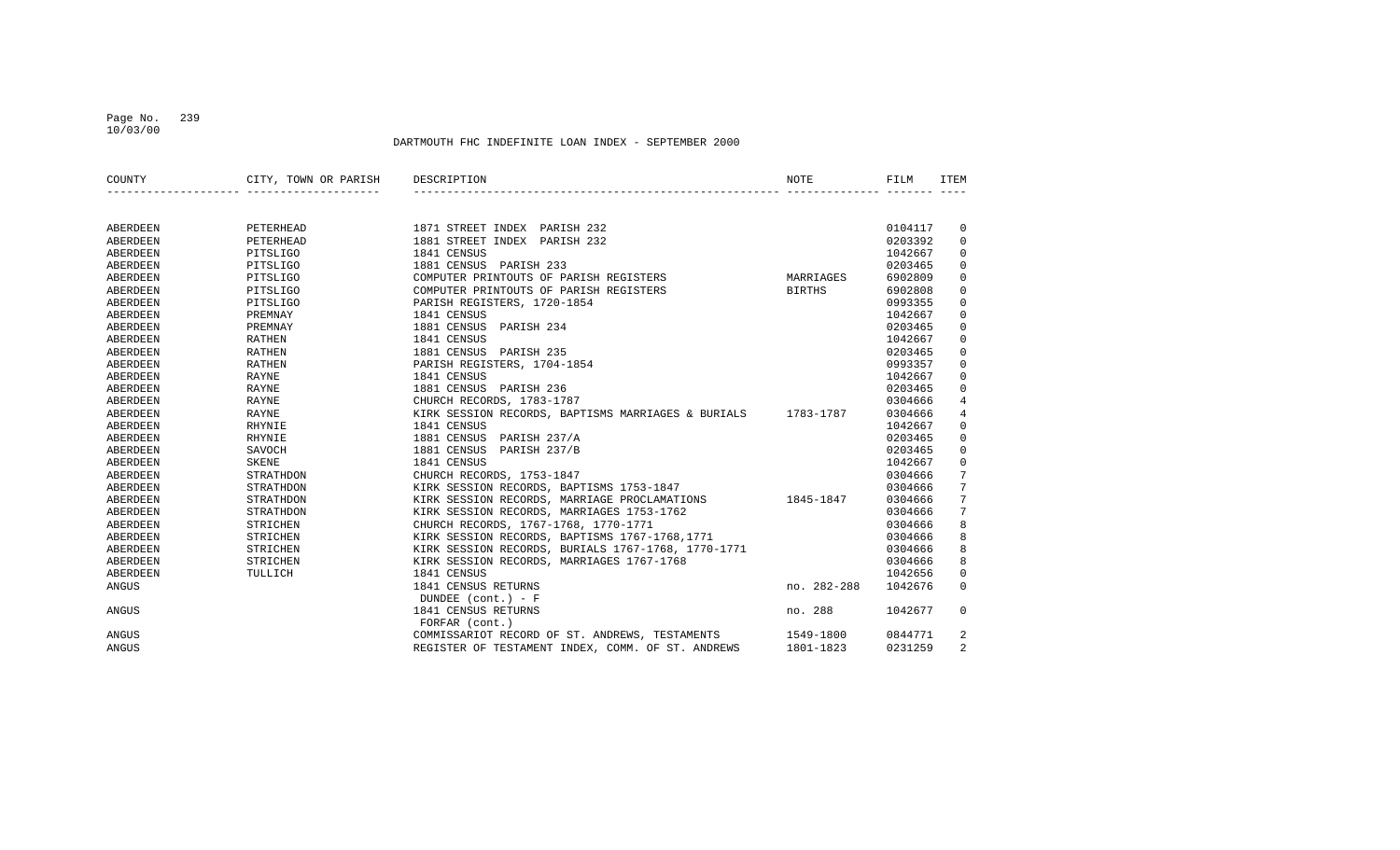#### Page No. 239 10/03/00

| COUNTY   | CITY, TOWN OR PARISH | DESCRIPTION                                                  | NOTE          | FILM    | ITEM           |
|----------|----------------------|--------------------------------------------------------------|---------------|---------|----------------|
|          |                      |                                                              |               |         |                |
| ABERDEEN | PETERHEAD            | 1871 STREET INDEX PARISH 232                                 |               | 0104117 | 0              |
| ABERDEEN | PETERHEAD            | 1881 STREET INDEX PARISH 232                                 |               | 0203392 | $\mathbf 0$    |
| ABERDEEN | PITSLIGO             | 1841 CENSUS                                                  |               | 1042667 | $\mathbf 0$    |
| ABERDEEN | PITSLIGO             | 1881 CENSUS PARISH 233                                       |               | 0203465 | $\mathbf 0$    |
| ABERDEEN | PITSLIGO             | COMPUTER PRINTOUTS OF PARISH REGISTERS                       | MARRIAGES     | 6902809 | $\mathbf 0$    |
| ABERDEEN | PITSLIGO             | COMPUTER PRINTOUTS OF PARISH REGISTERS                       | <b>BIRTHS</b> | 6902808 | $\mathbf 0$    |
| ABERDEEN | PITSLIGO             | PARISH REGISTERS, 1720-1854                                  |               | 0993355 | $\Omega$       |
| ABERDEEN | PREMNAY              | 1841 CENSUS                                                  |               | 1042667 | 0              |
| ABERDEEN | PREMNAY              | 1881 CENSUS<br>PARISH 234                                    |               | 0203465 | 0              |
| ABERDEEN | RATHEN               | 1841 CENSUS                                                  |               | 1042667 | $\mathbf 0$    |
| ABERDEEN | RATHEN               | 1881 CENSUS PARISH 235                                       |               | 0203465 | $\mathbf 0$    |
| ABERDEEN | <b>RATHEN</b>        | PARISH REGISTERS, 1704-1854                                  |               | 0993357 | $\mathbf 0$    |
| ABERDEEN | RAYNE                | 1841 CENSUS                                                  |               | 1042667 | 0              |
| ABERDEEN | RAYNE                | 1881 CENSUS PARISH 236                                       |               | 0203465 | 0              |
| ABERDEEN | RAYNE                | CHURCH RECORDS, 1783-1787                                    |               | 0304666 | $\overline{4}$ |
| ABERDEEN | RAYNE                | KIRK SESSION RECORDS, BAPTISMS MARRIAGES & BURIALS 1783-1787 |               | 0304666 | 4              |
| ABERDEEN | RHYNIE               | 1841 CENSUS                                                  |               | 1042667 | $\mathbf 0$    |
| ABERDEEN | <b>RHYNIE</b>        | 1881 CENSUS<br>PARISH 237/A                                  |               | 0203465 | $\mathbf 0$    |
| ABERDEEN | SAVOCH               | PARISH 237/B<br>1881 CENSUS                                  |               | 0203465 | $\mathbf 0$    |
| ABERDEEN | SKENE                | 1841 CENSUS                                                  |               | 1042667 | $\mathbf 0$    |
| ABERDEEN | STRATHDON            | CHURCH RECORDS, 1753-1847                                    |               | 0304666 | 7              |
| ABERDEEN | STRATHDON            | KIRK SESSION RECORDS, BAPTISMS 1753-1847                     |               | 0304666 | 7              |
| ABERDEEN | STRATHDON            | KIRK SESSION RECORDS, MARRIAGE PROCLAMATIONS                 | 1845-1847     | 0304666 | 7              |
| ABERDEEN | STRATHDON            | KIRK SESSION RECORDS, MARRIAGES 1753-1762                    |               | 0304666 | 7              |
| ABERDEEN | STRICHEN             | CHURCH RECORDS, 1767-1768, 1770-1771                         |               | 0304666 | 8              |
| ABERDEEN | STRICHEN             | KIRK SESSION RECORDS, BAPTISMS 1767-1768,1771                |               | 0304666 | 8              |
| ABERDEEN | STRICHEN             | KIRK SESSION RECORDS, BURIALS 1767-1768, 1770-1771           |               | 0304666 | 8              |
| ABERDEEN | STRICHEN             | KIRK SESSION RECORDS, MARRIAGES 1767-1768                    |               | 0304666 | 8              |
| ABERDEEN | TULLICH              | 1841 CENSUS                                                  |               | 1042656 | 0              |
| ANGUS    |                      | 1841 CENSUS RETURNS                                          | no. 282-288   | 1042676 | 0              |
|          |                      | DUNDEE $(cont.) - F$                                         |               |         |                |
| ANGUS    |                      | 1841 CENSUS RETURNS<br>FORFAR (cont.)                        | no. 288       | 1042677 | 0              |
| ANGUS    |                      | COMMISSARIOT RECORD OF ST. ANDREWS, TESTAMENTS               | 1549-1800     | 0844771 | 2              |
| ANGUS    |                      | REGISTER OF TESTAMENT INDEX, COMM. OF ST. ANDREWS            | 1801-1823     | 0231259 | $\overline{2}$ |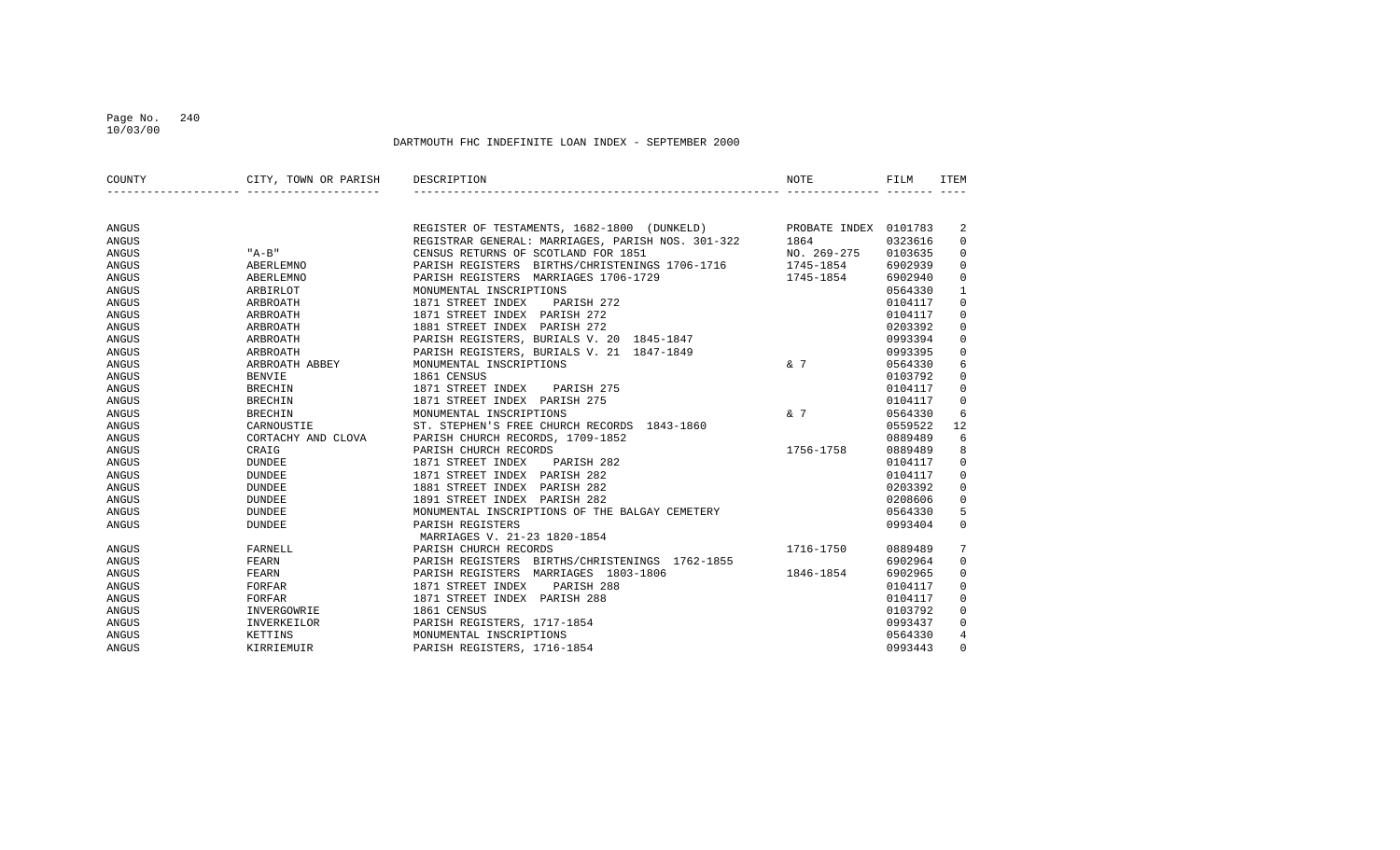#### Page No. 240 10/03/00

| COUNTY | CITY, TOWN OR PARISH DESCRIPTION |                                                                                                                                                                             | NOTE        | FILM    | ITEM           |
|--------|----------------------------------|-----------------------------------------------------------------------------------------------------------------------------------------------------------------------------|-------------|---------|----------------|
|        |                                  |                                                                                                                                                                             |             |         |                |
| ANGUS  |                                  | REGISTER OF TESTAMENTS, 1682-1800 (DUNKELD) PROBATE INDEX 0101783<br>REGISTRAR GENERAL: MARRIAGES, PARISH NOS. 301-322 1864 0323616<br>GENETIC DETUNIS OF COOTLAND FOR 1951 |             |         | 2              |
| ANGUS  |                                  |                                                                                                                                                                             |             |         | $\mathbf 0$    |
| ANGUS  | "A-B"                            | CENSUS RETURNS OF SCOTLAND FOR 1851                                                                                                                                         | NO. 269-275 | 0103635 | $\mathbf{0}$   |
| ANGUS  | ABERLEMNO                        | PARISH REGISTERS BIRTHS/CHRISTENINGS 1706-1716 1745-1854                                                                                                                    |             | 6902939 | $\mathbf 0$    |
| ANGUS  | ABERLEMNO                        | PARISH REGISTERS MARRIAGES 1706-1729                                                                                                                                        | 1745-1854   | 6902940 | 0              |
| ANGUS  | ARBIRLOT                         | MONUMENTAL INSCRIPTIONS                                                                                                                                                     |             | 0564330 | $\mathbf{1}$   |
| ANGUS  | ARBROATH                         | 1871 STREET INDEX<br>PARISH 272                                                                                                                                             |             | 0104117 | $\mathbf 0$    |
| ANGUS  | ARBROATH                         | 1871 STREET INDEX PARISH 272                                                                                                                                                |             | 0104117 | $\mathbf 0$    |
| ANGUS  | ARBROATH                         | 1881 STREET INDEX PARISH 272                                                                                                                                                |             | 0203392 | $\mathbf 0$    |
| ANGUS  | ARBROATH                         | PARISH REGISTERS, BURIALS V. 20 1845-1847                                                                                                                                   |             | 0993394 | 0              |
| ANGUS  | ARBROATH                         | PARISH REGISTERS, BURIALS V. 21 1847-1849                                                                                                                                   |             | 0993395 | 0              |
| ANGUS  | ARBROATH ABBEY                   | MONUMENTAL INSCRIPTIONS                                                                                                                                                     | $\kappa$ 7  | 0564330 | 6              |
| ANGUS  | BENVIE                           | 1861 CENSUS                                                                                                                                                                 |             | 0103792 | $\mathbf 0$    |
| ANGUS  | BRECHIN                          | 1871 STREET INDEX PARISH 275                                                                                                                                                |             | 0104117 | $\mathbf 0$    |
| ANGUS  | <b>BRECHIN</b>                   | 1871 STREET INDEX PARISH 275                                                                                                                                                |             | 0104117 | $\mathbf 0$    |
| ANGUS  | <b>BRECHIN</b>                   | MONUMENTAL INSCRIPTIONS                                                                                                                                                     | & 7         | 0564330 | 6              |
| ANGUS  | CARNOUSTIE                       | ST. STEPHEN'S FREE CHURCH RECORDS 1843-1860                                                                                                                                 |             | 0559522 | 12             |
| ANGUS  | CORTACHY AND CLOVA               | PARISH CHURCH RECORDS, 1709-1852                                                                                                                                            |             | 0889489 | 6              |
| ANGUS  | CRAIG                            | PARISH CHURCH RECORDS                                                                                                                                                       | 1756-1758   | 0889489 | 8              |
| ANGUS  | DUNDEE                           | 1871 STREET INDEX<br>PARISH 282                                                                                                                                             |             | 0104117 | $\overline{0}$ |
| ANGUS  | <b>DUNDEE</b>                    | 1871 STREET INDEX PARISH 282                                                                                                                                                |             | 0104117 | $\mathbf{0}$   |
| ANGUS  | <b>DUNDEE</b>                    | 1881 STREET INDEX<br>PARISH 282                                                                                                                                             |             | 0203392 | 0              |
| ANGUS  | <b>DUNDEE</b>                    | 1891 STREET INDEX PARISH 282                                                                                                                                                |             | 0208606 | $\mathbf 0$    |
| ANGUS  | <b>DUNDEE</b>                    | MONUMENTAL INSCRIPTIONS OF THE BALGAY CEMETERY                                                                                                                              |             | 0564330 | 5              |
| ANGUS  | <b>DUNDEE</b>                    | PARISH REGISTERS<br>MARRIAGES V. 21-23 1820-1854                                                                                                                            |             | 0993404 | $\Omega$       |
| ANGUS  | FARNELL                          | PARISH CHURCH RECORDS                                                                                                                                                       | 1716-1750   | 0889489 | 7              |
| ANGUS  | FEARN                            | PARISH REGISTERS BIRTHS/CHRISTENINGS 1762-1855                                                                                                                              |             | 6902964 | $\mathbf{0}$   |
| ANGUS  | FEARN                            | PARISH REGISTERS MARRIAGES 1803-1806                                                                                                                                        | 1846-1854   | 6902965 | $\overline{0}$ |
| ANGUS  | FORFAR                           | 1871 STREET INDEX<br>PARISH 288                                                                                                                                             |             | 0104117 | $\overline{0}$ |
| ANGUS  | FORFAR                           | 1871 STREET INDEX PARISH 288                                                                                                                                                |             | 0104117 | 0              |
| ANGUS  | INVERGOWRIE                      | 1861 CENSUS                                                                                                                                                                 |             | 0103792 | $\circ$        |
| ANGUS  | INVERKEILOR                      | PARISH REGISTERS, 1717-1854                                                                                                                                                 |             | 0993437 | $\overline{0}$ |
| ANGUS  | KETTINS                          | MONUMENTAL INSCRIPTIONS                                                                                                                                                     |             | 0564330 | $\overline{4}$ |
| ANGUS  | KIRRIEMUIR                       | PARISH REGISTERS, 1716-1854                                                                                                                                                 |             | 0993443 | $\mathbf 0$    |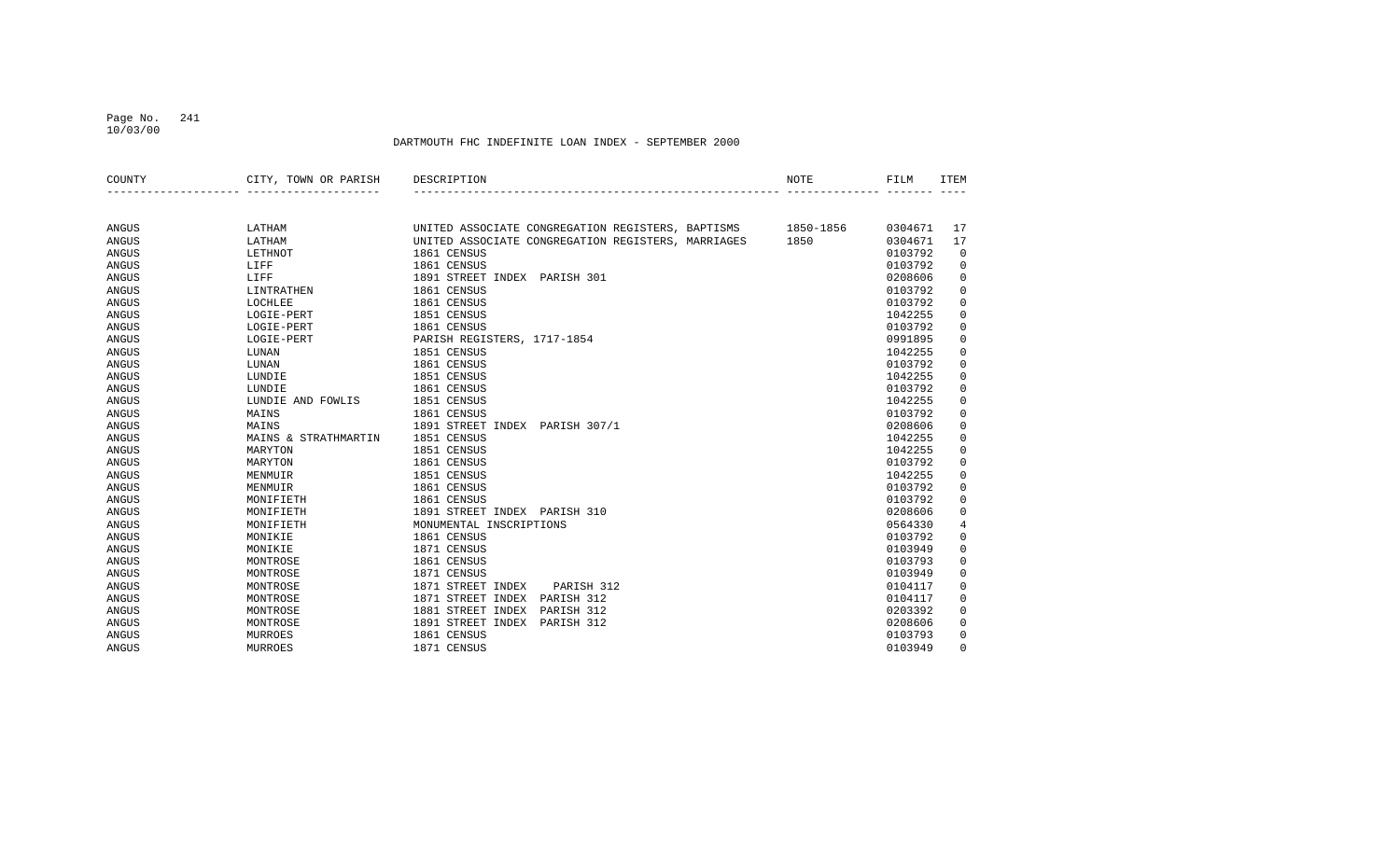#### Page No. 241 10/03/00

| COUNTY       | CITY, TOWN OR PARISH | DESCRIPTION                                        | NOTE      | FILM    | <b>ITEM</b> |
|--------------|----------------------|----------------------------------------------------|-----------|---------|-------------|
|              |                      |                                                    |           |         |             |
| ANGUS        | LATHAM               | UNITED ASSOCIATE CONGREGATION REGISTERS, BAPTISMS  | 1850-1856 | 0304671 | 17          |
| <b>ANGUS</b> | LATHAM               | UNITED ASSOCIATE CONGREGATION REGISTERS, MARRIAGES | 1850      | 0304671 | 17          |
| ANGUS        | LETHNOT              | 1861 CENSUS                                        |           | 0103792 | 0           |
| ANGUS        | LIFF                 | 1861 CENSUS                                        |           | 0103792 | $\mathbf 0$ |
| <b>ANGUS</b> | LIFF                 | 1891 STREET INDEX PARISH 301                       |           | 0208606 | 0           |
| <b>ANGUS</b> | LINTRATHEN           | 1861 CENSUS                                        |           | 0103792 | $\mathbf 0$ |
| ANGUS        | LOCHLEE              | 1861 CENSUS                                        |           | 0103792 | 0           |
| ANGUS        | LOGIE-PERT           | 1851 CENSUS                                        |           | 1042255 | 0           |
| ANGUS        | LOGIE-PERT           | 1861 CENSUS                                        |           | 0103792 | 0           |
| ANGUS        | LOGIE-PERT           | PARISH REGISTERS, 1717-1854                        |           | 0991895 | 0           |
| ANGUS        | LUNAN                | 1851 CENSUS                                        |           | 1042255 | $\mathbf 0$ |
| <b>ANGUS</b> | LUNAN                | 1861 CENSUS                                        |           | 0103792 | 0           |
| <b>ANGUS</b> | LUNDIE               | 1851 CENSUS                                        |           | 1042255 | 0           |
| <b>ANGUS</b> | LUNDIE               | 1861 CENSUS                                        |           | 0103792 | 0           |
| <b>ANGUS</b> | LUNDIE AND FOWLIS    | 1851 CENSUS                                        |           | 1042255 | 0           |
| ANGUS        | MAINS                | 1861 CENSUS                                        |           | 0103792 | 0           |
| <b>ANGUS</b> | MAINS                | 1891 STREET INDEX PARISH 307/1                     |           | 0208606 | 0           |
| <b>ANGUS</b> | MAINS & STRATHMARTIN | 1851 CENSUS                                        |           | 1042255 | 0           |
| <b>ANGUS</b> | MARYTON              | 1851 CENSUS                                        |           | 1042255 | $\mathbf 0$ |
| <b>ANGUS</b> | MARYTON              | 1861 CENSUS                                        |           | 0103792 | $\mathbf 0$ |
| <b>ANGUS</b> | MENMUIR              | 1851 CENSUS                                        |           | 1042255 | $\mathsf 0$ |
| ANGUS        | MENMUIR              | 1861 CENSUS                                        |           | 0103792 | 0           |
| ANGUS        | MONIFIETH            | 1861 CENSUS                                        |           | 0103792 | 0           |
| <b>ANGUS</b> | MONIFIETH            | 1891 STREET INDEX PARISH 310                       |           | 0208606 | 0           |
| <b>ANGUS</b> | MONIFIETH            | MONUMENTAL INSCRIPTIONS                            |           | 0564330 | 4           |
| <b>ANGUS</b> | MONIKIE              | 1861 CENSUS                                        |           | 0103792 | 0           |
| ANGUS        | MONIKIE              | 1871 CENSUS                                        |           | 0103949 | 0           |
| ANGUS        | MONTROSE             | 1861 CENSUS                                        |           | 0103793 | 0           |
| ANGUS        | MONTROSE             | 1871 CENSUS                                        |           | 0103949 | 0           |
| ANGUS        | MONTROSE             | 1871 STREET INDEX<br>PARISH 312                    |           | 0104117 | 0           |
| <b>ANGUS</b> | MONTROSE             | 1871 STREET INDEX<br>PARISH 312                    |           | 0104117 | 0           |
| <b>ANGUS</b> | MONTROSE             | 1881 STREET INDEX<br>PARISH 312                    |           | 0203392 | 0           |
| ANGUS        | MONTROSE             | 1891 STREET INDEX<br>PARISH 312                    |           | 0208606 | 0           |
| ANGUS        | MURROES              | 1861 CENSUS                                        |           | 0103793 | 0           |
| <b>ANGUS</b> | <b>MURROES</b>       | 1871 CENSUS                                        |           | 0103949 | $\Omega$    |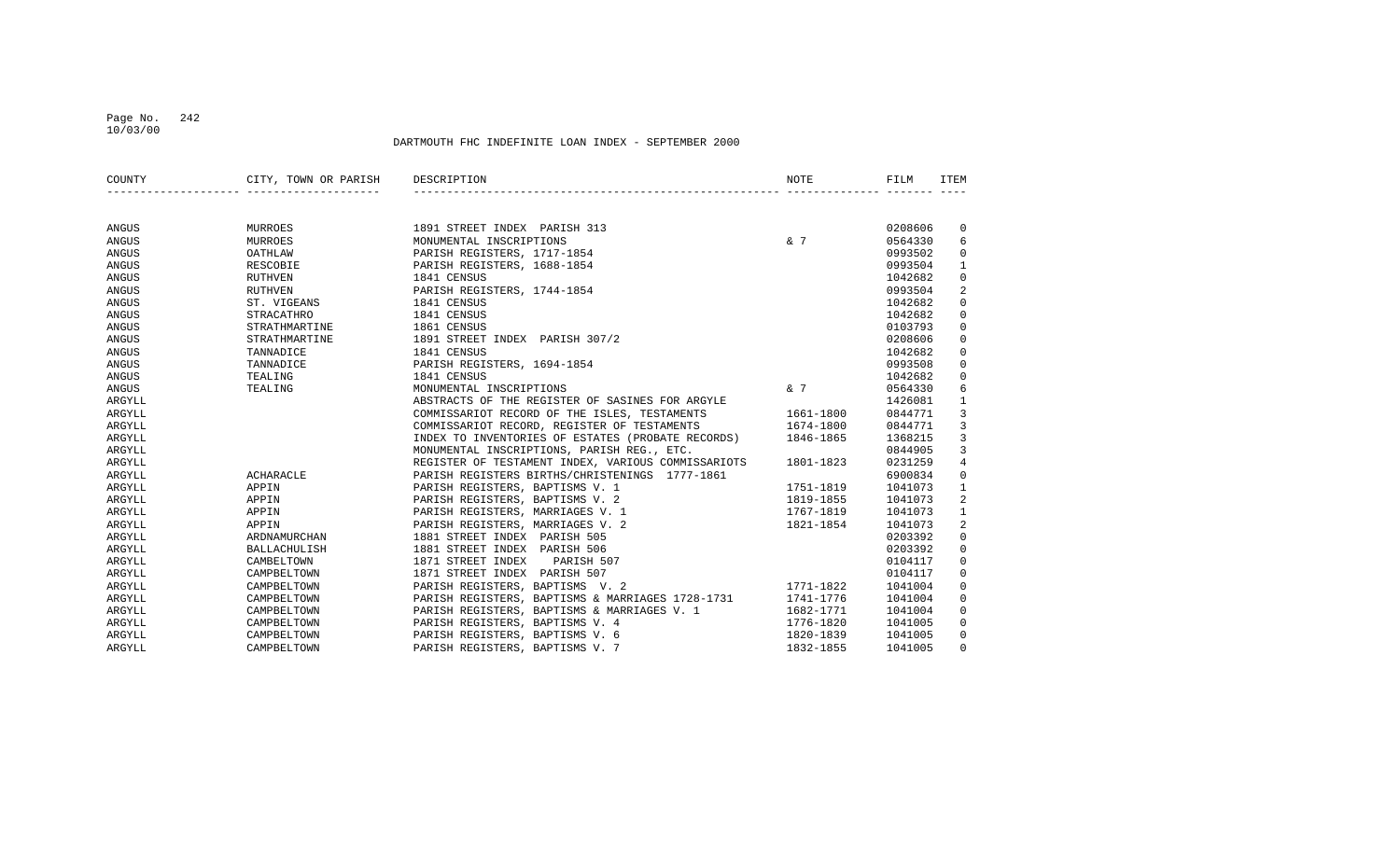#### Page No. 242 10/03/00

| COUNTY       | CITY, TOWN OR PARISH DESCRIPTION |                                                             | NOTE      | FILM    | <b>ITEM</b>    |
|--------------|----------------------------------|-------------------------------------------------------------|-----------|---------|----------------|
|              |                                  |                                                             |           |         |                |
| ANGUS        | MURROES                          | 1891 STREET INDEX PARISH 313                                |           | 0208606 | $\mathbf 0$    |
| ANGUS        | MURROES                          | MONUMENTAL INSCRIPTIONS                                     | & 7       | 0564330 | 6              |
| <b>ANGUS</b> | OATHLAW                          | PARISH REGISTERS, 1717-1854                                 |           | 0993502 | $\mathbf 0$    |
| ANGUS        | RESCOBIE                         | PARISH REGISTERS, 1688-1854                                 |           | 0993504 | $\mathbf{1}$   |
| ANGUS        | <b>RUTHVEN</b>                   | 1841 CENSUS                                                 |           | 1042682 | $\mathbf 0$    |
| <b>ANGUS</b> | <b>RUTHVEN</b>                   | PARISH REGISTERS, 1744-1854                                 |           | 0993504 | 2              |
| ANGUS        | ST. VIGEANS                      | 1841 CENSUS                                                 |           | 1042682 | $\mathbf 0$    |
| ANGUS        | <b>STRACATHRO</b>                | 1841 CENSUS                                                 |           | 1042682 | $\mathbf 0$    |
| ANGUS        | STRATHMARTINE                    | 1861 CENSUS                                                 |           | 0103793 | $\mathbf 0$    |
| ANGUS        | STRATHMARTINE                    | 1891 STREET INDEX PARISH 307/2                              |           | 0208606 | $\mathbf 0$    |
| ANGUS        | TANNADICE                        | 1841 CENSUS                                                 |           | 1042682 | $\mathbf 0$    |
| ANGUS        | TANNADICE                        | PARISH REGISTERS, 1694-1854                                 |           | 0993508 | $\mathsf 0$    |
| ANGUS        | TEALING                          | 1841 CENSUS                                                 |           | 1042682 | $\mathbf 0$    |
| ANGUS        | TEALING                          | MONUMENTAL INSCRIPTIONS                                     | & 7       | 0564330 | 6              |
| ARGYLL       |                                  | ABSTRACTS OF THE REGISTER OF SASINES FOR ARGYLE             |           | 1426081 | $\mathbf{1}$   |
| ARGYLL       |                                  | COMMISSARIOT RECORD OF THE ISLES, TESTAMENTS                | 1661-1800 | 0844771 | 3              |
| ARGYLL       |                                  | COMMISSARIOT RECORD, REGISTER OF TESTAMENTS                 | 1674-1800 | 0844771 | $\mathbf{3}$   |
| ARGYLL       |                                  | INDEX TO INVENTORIES OF ESTATES (PROBATE RECORDS) 1846-1865 |           | 1368215 | $\mathbf{3}$   |
| ARGYLL       |                                  | MONUMENTAL INSCRIPTIONS, PARISH REG., ETC.                  |           | 0844905 | 3              |
| ARGYLL       |                                  | REGISTER OF TESTAMENT INDEX, VARIOUS COMMISSARIOTS          | 1801-1823 | 0231259 | $\overline{4}$ |
| ARGYLL       | ACHARACLE                        | PARISH REGISTERS BIRTHS/CHRISTENINGS 1777-1861              |           | 6900834 | $\mathbf 0$    |
| ARGYLL       | APPIN                            | PARISH REGISTERS, BAPTISMS V. 1                             | 1751-1819 | 1041073 | $\mathbf{1}$   |
| ARGYLL       | APPIN                            | PARISH REGISTERS, BAPTISMS V. 2                             | 1819-1855 | 1041073 | 2              |
| ARGYLL       | APPIN                            | PARISH REGISTERS, MARRIAGES V. 1                            | 1767-1819 | 1041073 | $\mathbf{1}$   |
| ARGYLL       | APPIN                            | PARISH REGISTERS, MARRIAGES V. 2                            | 1821-1854 | 1041073 | 2              |
| ARGYLL       | ARDNAMURCHAN                     | 1881 STREET INDEX PARISH 505                                |           | 0203392 | $\mathbf 0$    |
| ARGYLL       | <b>BALLACHULISH</b>              | 1881 STREET INDEX PARISH 506                                |           | 0203392 | $\mathbf 0$    |
| ARGYLL       | CAMBELTOWN                       | 1871 STREET INDEX<br>PARISH 507                             |           | 0104117 | $\mathbf 0$    |
| ARGYLL       | CAMPBELTOWN                      | 1871 STREET INDEX PARISH 507                                |           | 0104117 | $\mathbf 0$    |
| ARGYLL       | CAMPBELTOWN                      | PARISH REGISTERS, BAPTISMS V. 2                             | 1771-1822 | 1041004 | $\mathbf 0$    |
| ARGYLL       | CAMPBELTOWN                      | PARISH REGISTERS, BAPTISMS & MARRIAGES 1728-1731 1741-1776  |           | 1041004 | $\mathbf 0$    |
| ARGYLL       | CAMPBELTOWN                      | PARISH REGISTERS, BAPTISMS & MARRIAGES V. 1                 | 1682-1771 | 1041004 | $\mathbf 0$    |
| ARGYLL       | CAMPBELTOWN                      | PARISH REGISTERS, BAPTISMS V. 4                             | 1776-1820 | 1041005 | $\mathbf 0$    |
| ARGYLL       | CAMPBELTOWN                      | PARISH REGISTERS, BAPTISMS V. 6                             | 1820-1839 | 1041005 | $\mathbf 0$    |
| ARGYLL       | CAMPBELTOWN                      | PARISH REGISTERS, BAPTISMS V. 7                             | 1832-1855 | 1041005 | $\Omega$       |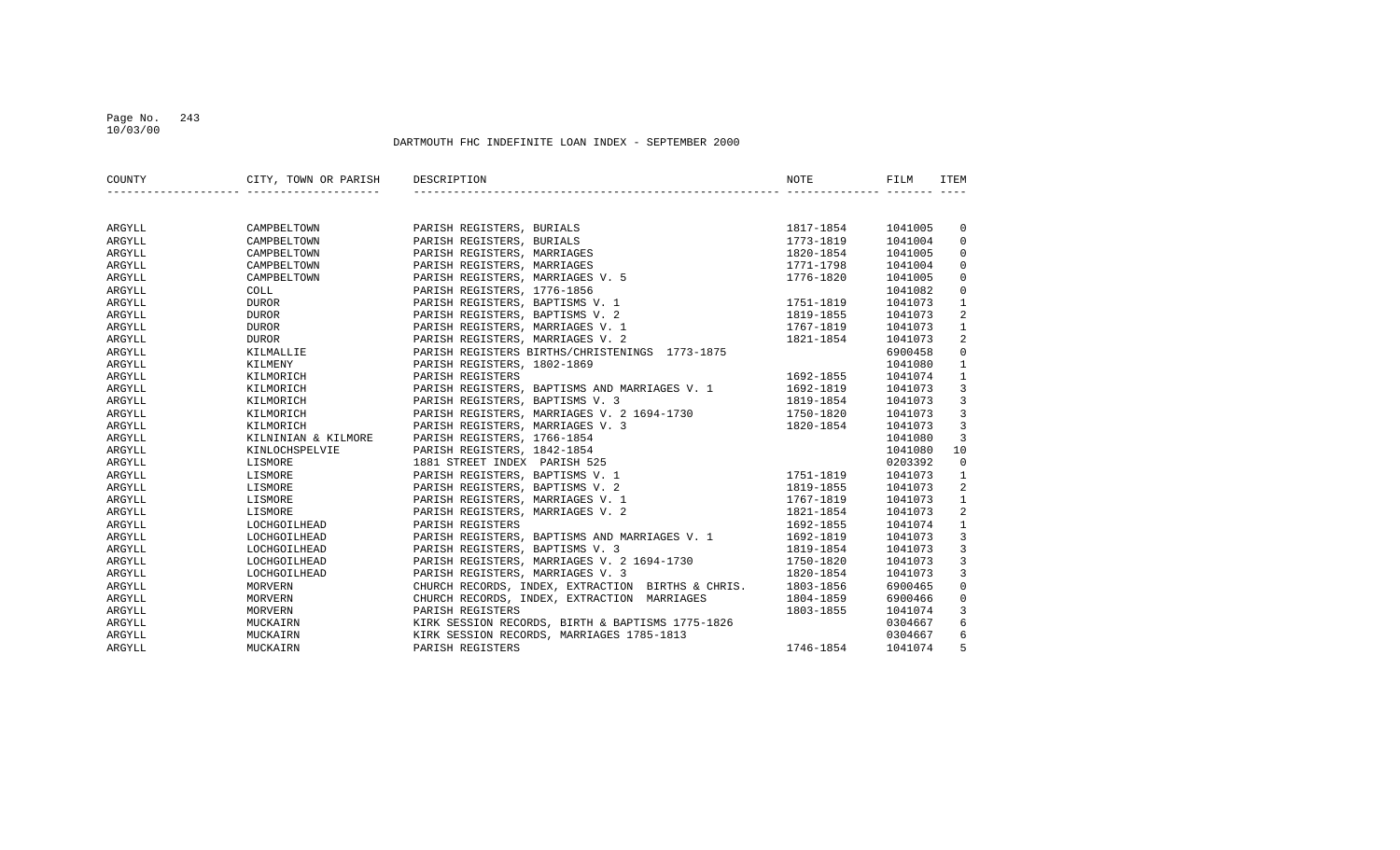#### Page No. 243 10/03/00

| COUNTY | CITY, TOWN OR PARISH DESCRIPTION |                                                             | NOTE      | FILM    | <b>ITEM</b>    |
|--------|----------------------------------|-------------------------------------------------------------|-----------|---------|----------------|
|        |                                  |                                                             |           |         |                |
| ARGYLL | CAMPBELTOWN                      | PARISH REGISTERS, BURIALS                                   | 1817-1854 | 1041005 | $\mathbf 0$    |
| ARGYLL | CAMPBELTOWN                      | PARISH REGISTERS, BURIALS                                   | 1773-1819 | 1041004 | $\overline{0}$ |
| ARGYLL | CAMPBELTOWN                      | PARISH REGISTERS, MARRIAGES                                 | 1820-1854 | 1041005 | 0              |
| ARGYLL | CAMPBELTOWN                      | PARISH REGISTERS, MARRIAGES                                 | 1771-1798 | 1041004 | $\mathbf 0$    |
| ARGYLL | CAMPBELTOWN                      | PARISH REGISTERS, MARRIAGES V. 5                            | 1776-1820 | 1041005 | $\mathsf 0$    |
| ARGYLL | COLL                             | PARISH REGISTERS, 1776-1856                                 |           | 1041082 | $\mathbf 0$    |
| ARGYLL | <b>DUROR</b>                     | PARISH REGISTERS, BAPTISMS V. 1                             | 1751-1819 | 1041073 | $\mathbf{1}$   |
| ARGYLL | <b>DUROR</b>                     | PARISH REGISTERS, BAPTISMS V. 2                             | 1819-1855 | 1041073 | 2              |
| ARGYLL | <b>DUROR</b>                     | PARISH REGISTERS, MARRIAGES V. 1                            | 1767-1819 | 1041073 | $\mathbf{1}$   |
| ARGYLL | DUROR                            | PARISH REGISTERS, MARRIAGES V. 2                            | 1821-1854 | 1041073 | 2              |
| ARGYLL | KILMALLIE                        | PARISH REGISTERS BIRTHS/CHRISTENINGS 1773-1875              |           | 6900458 | $\mathbf 0$    |
| ARGYLL | KILMENY                          | PARISH REGISTERS, 1802-1869                                 |           | 1041080 | $\mathbf{1}$   |
| ARGYLL | KILMORICH                        | PARISH REGISTERS                                            | 1692-1855 | 1041074 | $\mathbf{1}$   |
| ARGYLL | KILMORICH                        | PARISH REGISTERS, BAPTISMS AND MARRIAGES V. 1               | 1692-1819 | 1041073 | $\overline{3}$ |
| ARGYLL | KILMORICH                        | PARISH REGISTERS, BAPTISMS V. 3                             | 1819-1854 | 1041073 | $\overline{3}$ |
| ARGYLL | KILMORICH                        | PARISH REGISTERS, MARRIAGES V. 2 1694-1730 1750-1820        |           | 1041073 | $\overline{3}$ |
| ARGYLL | KILMORICH                        | PARISH REGISTERS, MARRIAGES V. 3                            | 1820-1854 | 1041073 | $\overline{3}$ |
| ARGYLL | KILNINIAN & KILMORE              | PARISH REGISTERS, 1766-1854                                 |           | 1041080 | $\overline{3}$ |
| ARGYLL | KINLOCHSPELVIE                   | PARISH REGISTERS, 1842-1854                                 |           | 1041080 | 10             |
| ARGYLL | LISMORE                          | 1881 STREET INDEX PARISH 525                                |           | 0203392 | $\mathbf 0$    |
| ARGYLL | LISMORE                          | PARISH REGISTERS, BAPTISMS V. 1                             | 1751-1819 | 1041073 | $\mathbf{1}$   |
| ARGYLL | LISMORE                          | PARISH REGISTERS, BAPTISMS V. 2                             | 1819-1855 | 1041073 | 2              |
| ARGYLL | LISMORE                          | PARISH REGISTERS, MARRIAGES V. 1                            | 1767-1819 | 1041073 | $\mathbf{1}$   |
| ARGYLL | LISMORE                          | PARISH REGISTERS, MARRIAGES V. 2                            | 1821-1854 | 1041073 | 2              |
| ARGYLL | LOCHGOILHEAD                     | PARISH REGISTERS                                            | 1692-1855 | 1041074 | $\mathbf{1}$   |
| ARGYLL | LOCHGOILHEAD                     | PARISH REGISTERS, BAPTISMS AND MARRIAGES V. 1               | 1692-1819 | 1041073 | $\overline{3}$ |
| ARGYLL | LOCHGOILHEAD                     | PARISH REGISTERS, BAPTISMS V. 3                             | 1819-1854 | 1041073 | $\overline{3}$ |
| ARGYLL | LOCHGOILHEAD                     | PARISH REGISTERS, MARRIAGES V. 2 1694-1730                  | 1750-1820 | 1041073 | 3              |
| ARGYLL | LOCHGOILHEAD                     | PARISH REGISTERS, MARRIAGES V. 3                            | 1820-1854 | 1041073 | 3              |
| ARGYLL | MORVERN                          | CHURCH RECORDS, INDEX, EXTRACTION BIRTHS & CHRIS. 1803-1856 |           | 6900465 | $\mathbf 0$    |
| ARGYLL | MORVERN                          | CHURCH RECORDS, INDEX, EXTRACTION MARRIAGES                 | 1804-1859 | 6900466 | $\mathbf 0$    |
| ARGYLL | MORVERN                          | PARISH REGISTERS                                            | 1803-1855 | 1041074 | $\overline{3}$ |
| ARGYLL | MUCKAIRN                         | KIRK SESSION RECORDS, BIRTH & BAPTISMS 1775-1826            |           | 0304667 | 6              |
| ARGYLL | MUCKAIRN                         | KIRK SESSION RECORDS, MARRIAGES 1785-1813                   |           | 0304667 | 6              |
| ARGYLL | MUCKAIRN                         | PARISH REGISTERS                                            | 1746-1854 | 1041074 | 5              |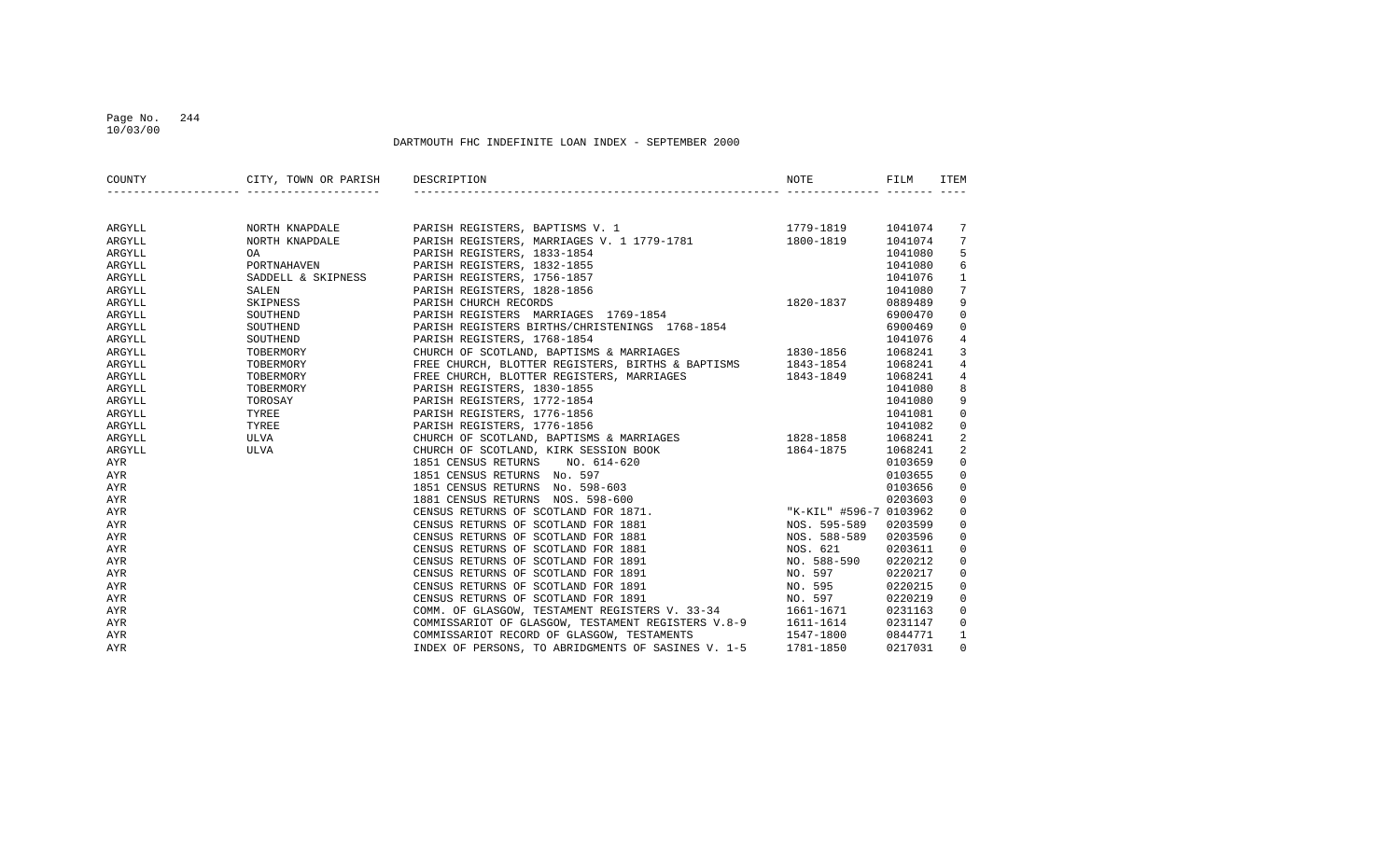#### Page No. 244 10/03/00

|            | COUNTY CITY, TOWN OR PARISH DESCRIPTION | <b>NOTE</b> | FILM | ITEM           |
|------------|-----------------------------------------|-------------|------|----------------|
|            |                                         |             |      |                |
| ARGYLL     |                                         |             |      | 7              |
| ARGYLL     |                                         |             |      | 7              |
| ARGYLL     |                                         |             |      | 5              |
| ARGYLL     |                                         |             |      | 6              |
| ARGYLL     |                                         |             |      | $\mathbf{1}$   |
| ARGYLL     |                                         |             |      | 7              |
| ARGYLL     |                                         |             |      | 9              |
| ARGYLL     |                                         |             |      | 0              |
| ARGYLL     |                                         |             |      | $\mathbf 0$    |
| ARGYLL     |                                         |             |      | 4              |
| ARGYLL     |                                         |             |      | 3              |
| ARGYLL     |                                         |             |      | $\,4$          |
| ARGYLL     |                                         |             |      | $\,4$          |
| ARGYLL     |                                         |             |      | 8              |
| ARGYLL     |                                         |             |      | 9              |
| ARGYLL     |                                         |             |      | 0              |
| ARGYLL     |                                         |             |      | $\mathbf 0$    |
| ARGYLL     |                                         |             |      | 2              |
| ARGYLL     |                                         |             |      | $\overline{a}$ |
| AYR        |                                         |             |      | 0              |
| AYR        |                                         |             |      | 0              |
| AYR        |                                         |             |      | 0              |
| AYR        |                                         |             |      | 0              |
| AYR        |                                         |             |      | $\mathbf 0$    |
| AYR        |                                         |             |      | 0              |
| AYR        |                                         |             |      | 0              |
| <b>AYR</b> |                                         |             |      | $\mathbf 0$    |
| AYR        |                                         |             |      | 0              |
| <b>AYR</b> |                                         |             |      | 0              |
| <b>AYR</b> |                                         |             |      | 0              |
| <b>AYR</b> |                                         |             |      | $\mathsf 0$    |
| AYR        |                                         |             |      | 0              |
| AYR        |                                         |             |      | 0              |
| AYR        |                                         |             |      | $\mathbf{1}$   |
| AYR        |                                         |             |      | $\mathbf 0$    |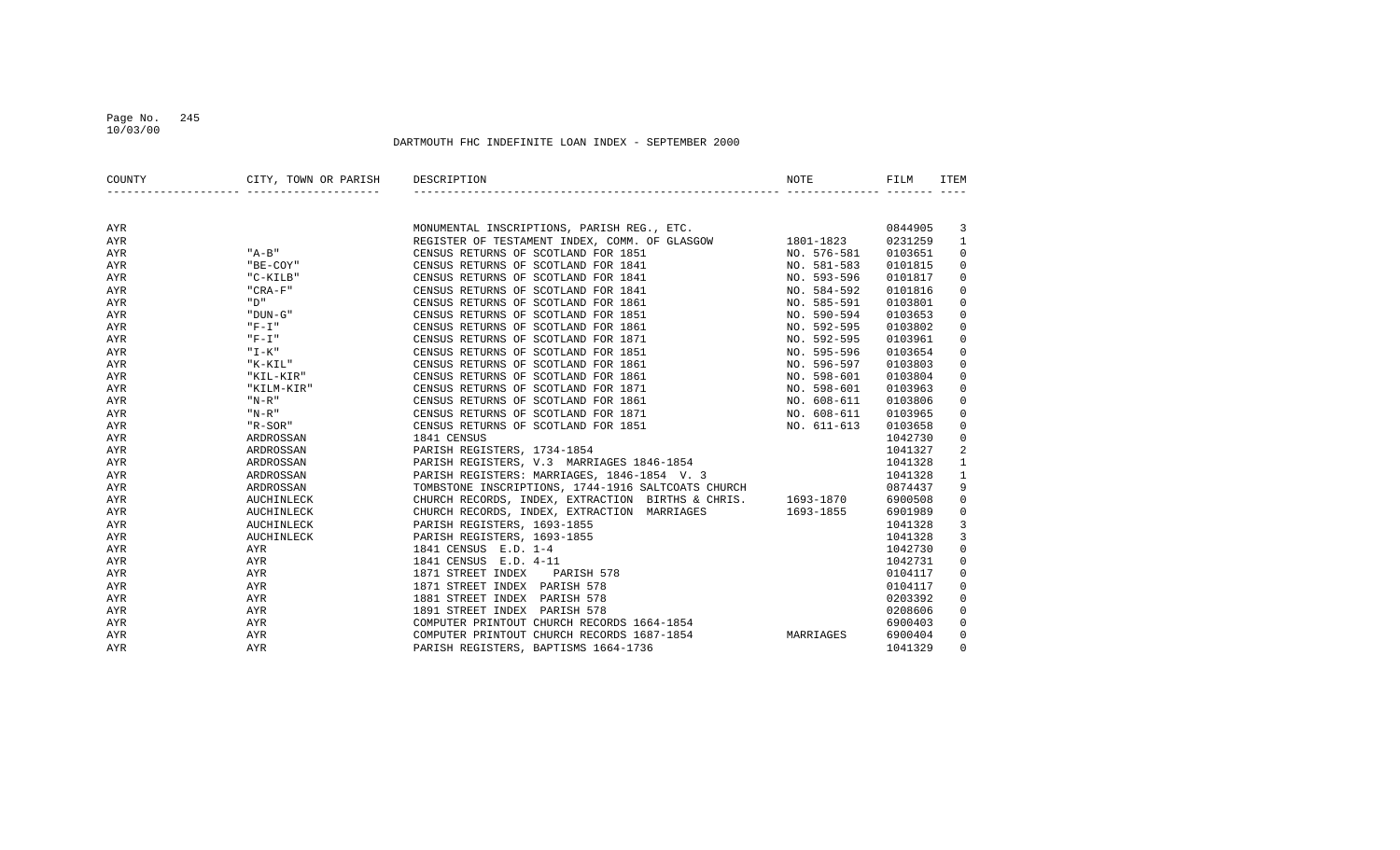#### Page No. 245 10/03/00

| COUNTY | CITY, TOWN OR PARISH DESCRIPTION |                                                                                                                                                          | NOTE        | FILM    | ITEM                |
|--------|----------------------------------|----------------------------------------------------------------------------------------------------------------------------------------------------------|-------------|---------|---------------------|
|        |                                  |                                                                                                                                                          |             |         |                     |
| AYR    |                                  |                                                                                                                                                          |             | 0844905 | 3                   |
| AYR    |                                  | MONUMENTAL INSCRIPTIONS, PARISH REG., ETC.<br>REGISTER OF TESTAMENT INDEX, COMM. OF GLASGOW 1801-1823<br>CENSUS RETURNS OF SCOTLAND FOR 1851 NO. 576-581 |             | 0231259 | $\mathbf{1}$        |
| AYR    | $"A-B"$                          |                                                                                                                                                          |             | 0103651 | 0                   |
| AYR    | "BE-COY"                         | CENSUS RETURNS OF SCOTLAND FOR 1841                                                                                                                      | NO. 581-583 | 0101815 | 0                   |
| AYR    | "C-KILB"                         | CENSUS RETURNS OF SCOTLAND FOR 1841                                                                                                                      | NO. 593-596 | 0101817 | $\mathbf 0$         |
| AYR    | $"$ CRA-F $"$                    | CENSUS RETURNS OF SCOTLAND FOR 1841                                                                                                                      | NO. 584-592 | 0101816 | $\mathbf 0$         |
| AYR    | " D"                             | CENSUS RETURNS OF SCOTLAND FOR 1861                                                                                                                      | NO. 585-591 | 0103801 | 0                   |
| AYR    | "DUN-G"                          | CENSUS RETURNS OF SCOTLAND FOR 1851                                                                                                                      | NO. 590-594 | 0103653 | 0                   |
| AYR    | $"F-I"$                          | CENSUS RETURNS OF SCOTLAND FOR 1861                                                                                                                      | NO. 592-595 | 0103802 | 0                   |
| AYR    | " F-I "                          | CENSUS RETURNS OF SCOTLAND FOR 1871                                                                                                                      | NO. 592-595 | 0103961 | 0                   |
| AYR    | " I-K"                           | CENSUS RETURNS OF SCOTLAND FOR 1851                                                                                                                      | NO. 595-596 | 0103654 | $\mathbf 0$         |
| AYR    | "K-KIL"                          | CENSUS RETURNS OF SCOTLAND FOR 1861                                                                                                                      | NO. 596-597 | 0103803 | $\mathsf 0$         |
| AYR    | "KIL-KIR"                        | CENSUS RETURNS OF SCOTLAND FOR 1861                                                                                                                      | NO. 598-601 | 0103804 | $\mathbf 0$         |
| AYR    | "KILM-KIR"                       | CENSUS RETURNS OF SCOTLAND FOR 1871                                                                                                                      | NO. 598-601 | 0103963 | $\mathbf 0$         |
| AYR    | $"N-R"$                          | CENSUS RETURNS OF SCOTLAND FOR 1861                                                                                                                      | NO. 608-611 | 0103806 | $\mathbf 0$         |
| AYR    | $"N-R"$                          | NO. 608-611<br>CENSUS RETURNS OF SCOTLAND FOR 1871                                                                                                       |             | 0103965 | 0                   |
| AYR    | "R-SOR"                          | NO. 611-613<br>CENSUS RETURNS OF SCOTLAND FOR 1851                                                                                                       |             | 0103658 | 0                   |
| AYR    | ARDROSSAN                        | 1841 CENSUS                                                                                                                                              |             | 1042730 | 0                   |
| AYR    | ARDROSSAN                        | PARISH REGISTERS, 1734-1854                                                                                                                              |             | 1041327 | 2                   |
| AYR    | ARDROSSAN                        | PARISH REGISTERS, V.3 MARRIAGES 1846-1854                                                                                                                |             | 1041328 | $\mathbf{1}$        |
| AYR    | ARDROSSAN                        | PARISH REGISTERS: MARRIAGES, 1846-1854 V. 3                                                                                                              |             | 1041328 | $\mathbf{1}$        |
| AYR    | ARDROSSAN                        | TOMBSTONE INSCRIPTIONS, 1744-1916 SALTCOATS CHURCH                                                                                                       |             | 0874437 | 9                   |
| AYR    | AUCHINLECK                       | CHURCH RECORDS, INDEX, EXTRACTION BIRTHS & CHRIS. 1693-1870                                                                                              |             | 6900508 | $\mathbf 0$         |
| AYR    | AUCHINLECK                       | CHURCH RECORDS, INDEX, EXTRACTION MARRIAGES 1693-1855                                                                                                    |             | 6901989 | $\mathsf{O}\xspace$ |
| AYR    | AUCHINLECK                       | PARISH REGISTERS, 1693-1855                                                                                                                              |             | 1041328 | 3                   |
| AYR    | AUCHINLECK                       | PARISH REGISTERS, 1693-1855                                                                                                                              |             | 1041328 | 3                   |
| AYR    | AYR                              | 1841 CENSUS E.D. 1-4                                                                                                                                     |             | 1042730 | $\mathbf 0$         |
| AYR    | AYR                              | 1841 CENSUS E.D. 4-11                                                                                                                                    |             | 1042731 | 0                   |
| AYR    | AYR                              | 1871 STREET INDEX<br>PARISH 578                                                                                                                          |             | 0104117 | 0                   |
| AYR    | AYR                              | 1871 STREET INDEX PARISH 578                                                                                                                             |             | 0104117 | 0                   |
| AYR    | AYR                              | 1881 STREET INDEX PARISH 578                                                                                                                             |             | 0203392 | 0                   |
| AYR    | AYR                              | 1891 STREET INDEX PARISH 578                                                                                                                             |             | 0208606 | 0                   |
| AYR    | AYR                              | COMPUTER PRINTOUT CHURCH RECORDS 1664-1854                                                                                                               |             | 6900403 | $\mathbf 0$         |
| AYR    | AYR                              | COMPUTER PRINTOUT CHURCH RECORDS 1687-1854                                                                                                               | MARRIAGES   | 6900404 | $\mathbf 0$         |
| AYR    | AYR                              | PARISH REGISTERS, BAPTISMS 1664-1736                                                                                                                     |             | 1041329 | $\mathbf 0$         |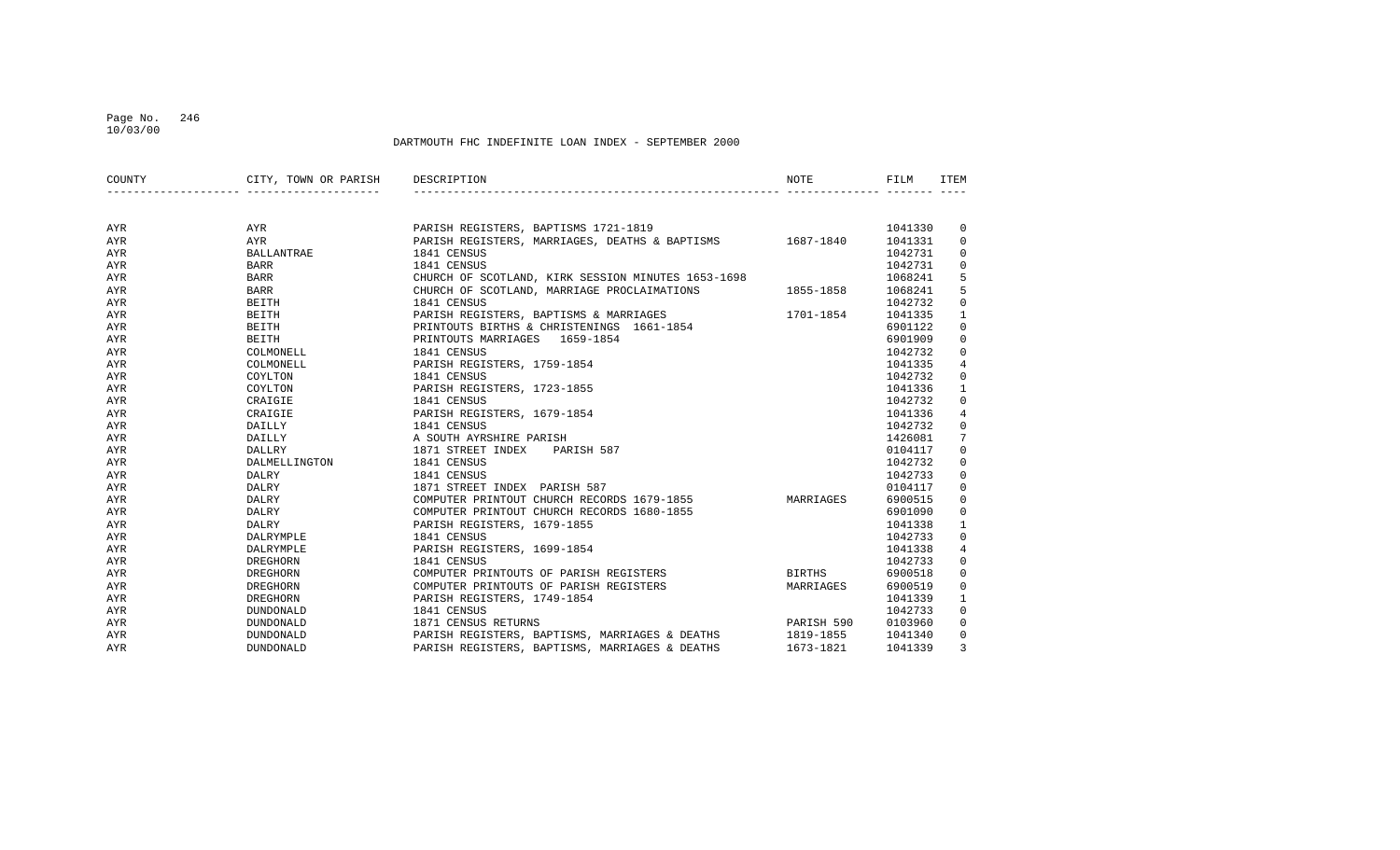#### Page No. 246 10/03/00

| COUNTY | CITY, TOWN OR PARISH | DESCRIPTION                                              | <b>NOTE</b>   | FILM    | ITEM           |
|--------|----------------------|----------------------------------------------------------|---------------|---------|----------------|
|        |                      |                                                          |               |         |                |
| AYR    | AYR                  | PARISH REGISTERS, BAPTISMS 1721-1819                     |               | 1041330 | $\mathbf 0$    |
| AYR    | AYR                  | PARISH REGISTERS, MARRIAGES, DEATHS & BAPTISMS 1687-1840 |               | 1041331 | $\mathbf 0$    |
| AYR    | <b>BALLANTRAE</b>    | 1841 CENSUS                                              |               | 1042731 | 0              |
| AYR    | <b>BARR</b>          | 1841 CENSUS                                              |               | 1042731 | $\mathbf 0$    |
| AYR    | <b>BARR</b>          | CHURCH OF SCOTLAND, KIRK SESSION MINUTES 1653-1698       |               | 1068241 | 5              |
| AYR    | BARR                 | CHURCH OF SCOTLAND, MARRIAGE PROCLAIMATIONS              | 1855-1858     | 1068241 | 5              |
| AYR    | BEITH                | 1841 CENSUS                                              |               | 1042732 | $\mathbf 0$    |
| AYR    | BEITH                | PARISH REGISTERS, BAPTISMS & MARRIAGES                   | 1701-1854     | 1041335 | $\mathbf{1}$   |
| AYR    | BEITH                | PRINTOUTS BIRTHS & CHRISTENINGS 1661-1854                |               | 6901122 | $\mathbf 0$    |
| AYR    | BEITH                | PRINTOUTS MARRIAGES 1659-1854                            |               | 6901909 | $\mathsf 0$    |
| AYR    | COLMONELL            | 1841 CENSUS                                              |               | 1042732 | $\mathbf 0$    |
| AYR    | COLMONELL            | PARISH REGISTERS, 1759-1854                              |               | 1041335 | $\overline{4}$ |
| AYR    | COYLTON              | 1841 CENSUS                                              |               | 1042732 | 0              |
| AYR    | COYLTON              | PARISH REGISTERS, 1723-1855                              |               | 1041336 | $\mathbf{1}$   |
| AYR    | CRAIGIE              | 1841 CENSUS                                              |               | 1042732 | 0              |
| AYR    | CRAIGIE              | PARISH REGISTERS, 1679-1854                              |               | 1041336 | $\overline{4}$ |
| AYR    | DAILLY               | 1841 CENSUS                                              |               | 1042732 | $\mathbf 0$    |
| AYR    | DAILLY               | A SOUTH AYRSHIRE PARISH                                  |               | 1426081 | 7              |
| AYR    | DALLRY               | 1871 STREET INDEX<br>PARISH 587                          |               | 0104117 | $\mathbf 0$    |
| AYR    | DALMELLINGTON        | 1841 CENSUS                                              |               | 1042732 | $\mathbf 0$    |
| AYR    | DALRY                | 1841 CENSUS                                              |               | 1042733 | $\mathbf 0$    |
| AYR    | DALRY                | 1871 STREET INDEX PARISH 587                             |               | 0104117 | $\mathbf 0$    |
| AYR    | DALRY                | COMPUTER PRINTOUT CHURCH RECORDS 1679-1855               | MARRIAGES     | 6900515 | $\mathbf 0$    |
| AYR    | DALRY                | COMPUTER PRINTOUT CHURCH RECORDS 1680-1855               |               | 6901090 | $\mathbf 0$    |
| AYR    | DALRY                | PARISH REGISTERS, 1679-1855                              |               | 1041338 | $\mathbf{1}$   |
| AYR    | DALRYMPLE            | 1841 CENSUS                                              |               | 1042733 | $\mathbf 0$    |
| AYR    | DALRYMPLE            | PARISH REGISTERS, 1699-1854                              |               | 1041338 | $\overline{4}$ |
| AYR    | DREGHORN             | 1841 CENSUS                                              |               | 1042733 | $\mathbf 0$    |
| AYR    | DREGHORN             | COMPUTER PRINTOUTS OF PARISH REGISTERS                   | <b>BIRTHS</b> | 6900518 | $\mathbf 0$    |
| AYR    | DREGHORN             | COMPUTER PRINTOUTS OF PARISH REGISTERS                   | MARRIAGES     | 6900519 | $\mathbf 0$    |
| AYR    | DREGHORN             | PARISH REGISTERS, 1749-1854                              |               | 1041339 | $\mathbf{1}$   |
| AYR    | DUNDONALD            | 1841 CENSUS                                              |               | 1042733 | $\mathbf 0$    |
| AYR    | DUNDONALD            | 1871 CENSUS RETURNS                                      | PARISH 590    | 0103960 | $\mathbf 0$    |
| AYR    | DUNDONALD            | PARISH REGISTERS, BAPTISMS, MARRIAGES & DEATHS           | 1819-1855     | 1041340 | $\mathbf 0$    |
| AYR    | DUNDONALD            | PARISH REGISTERS, BAPTISMS, MARRIAGES & DEATHS           | 1673-1821     | 1041339 | 3              |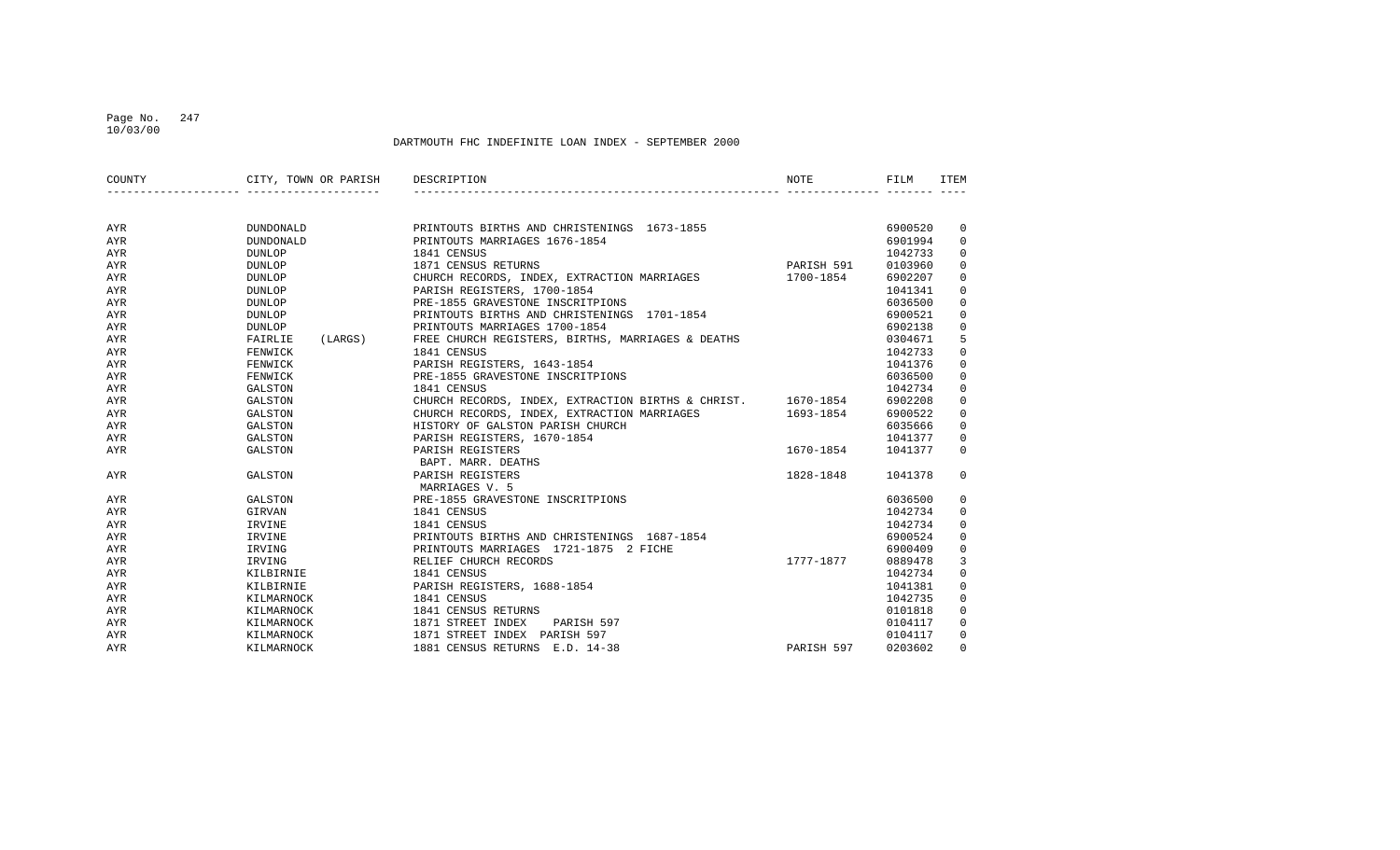#### Page No. 247 10/03/00

| COUNTY     | CITY, TOWN OR PARISH DESCRIPTION |                                                              | NOTE       | FILM    | <b>ITEM</b> |
|------------|----------------------------------|--------------------------------------------------------------|------------|---------|-------------|
|            |                                  |                                                              |            |         |             |
| AYR        | DUNDONALD                        | PRINTOUTS BIRTHS AND CHRISTENINGS 1673-1855                  |            | 6900520 | 0           |
| AYR        | DUNDONALD                        | PRINTOUTS MARRIAGES 1676-1854                                |            | 6901994 | $\mathbf 0$ |
| AYR        | <b>DUNLOP</b>                    | 1841 CENSUS                                                  |            | 1042733 | 0           |
| AYR        | DUNLOP                           | 1871 CENSUS RETURNS                                          | PARISH 591 | 0103960 | $\mathbf 0$ |
| AYR        | <b>DUNLOP</b>                    | CHURCH RECORDS, INDEX, EXTRACTION MARRIAGES                  | 1700-1854  | 6902207 | $\mathsf 0$ |
| AYR        | DUNLOP                           | PARISH REGISTERS, 1700-1854                                  |            | 1041341 | 0           |
| AYR        | DUNLOP                           | PRE-1855 GRAVESTONE INSCRITPIONS                             |            | 6036500 | 0           |
| AYR        | DUNLOP                           | PRINTOUTS BIRTHS AND CHRISTENINGS 1701-1854                  |            | 6900521 | 0           |
| AYR        | DUNLOP                           | PRINTOUTS MARRIAGES 1700-1854                                |            | 6902138 | $\mathbf 0$ |
| AYR        | FAIRLIE<br>(LARGS)               | FREE CHURCH REGISTERS, BIRTHS, MARRIAGES & DEATHS            |            | 0304671 | 5           |
| AYR        | FENWICK                          | 1841 CENSUS                                                  |            | 1042733 | 0           |
| AYR        | FENWICK                          | PARISH REGISTERS, 1643-1854                                  |            | 1041376 | 0           |
| AYR        | FENWICK                          | PRE-1855 GRAVESTONE INSCRITPIONS                             |            | 6036500 | 0           |
| AYR        | GALSTON                          | 1841 CENSUS                                                  |            | 1042734 | 0           |
| AYR        | GALSTON                          | CHURCH RECORDS, INDEX, EXTRACTION BIRTHS & CHRIST. 1670-1854 |            | 6902208 | $\mathbf 0$ |
| AYR        | GALSTON                          | CHURCH RECORDS, INDEX, EXTRACTION MARRIAGES                  | 1693-1854  | 6900522 | $\mathsf 0$ |
| AYR        | GALSTON                          | HISTORY OF GALSTON PARISH CHURCH                             |            | 6035666 | 0           |
| AYR        | GALSTON                          | PARISH REGISTERS, 1670-1854                                  |            | 1041377 | 0           |
| AYR        | GALSTON                          | PARISH REGISTERS                                             | 1670-1854  | 1041377 | $\mathbf 0$ |
|            |                                  | BAPT. MARR. DEATHS                                           |            |         |             |
| <b>AYR</b> | GALSTON                          | PARISH REGISTERS                                             | 1828-1848  | 1041378 | $\Omega$    |
|            |                                  | MARRIAGES V. 5                                               |            |         |             |
| AYR        | GALSTON                          | PRE-1855 GRAVESTONE INSCRITPIONS                             |            | 6036500 | 0           |
| AYR        | GIRVAN                           | 1841 CENSUS                                                  |            | 1042734 | 0           |
| AYR        | IRVINE                           | 1841 CENSUS                                                  |            | 1042734 | 0           |
| AYR        | IRVINE                           | PRINTOUTS BIRTHS AND CHRISTENINGS 1687-1854                  |            | 6900524 | 0           |
| AYR        | IRVING                           | PRINTOUTS MARRIAGES 1721-1875 2 FICHE                        |            | 6900409 | 0           |
| AYR        | IRVING                           | RELIEF CHURCH RECORDS                                        | 1777-1877  | 0889478 | 3           |
| AYR        | KILBIRNIE                        | 1841 CENSUS                                                  |            | 1042734 | 0           |
| AYR        | KILBIRNIE                        | PARISH REGISTERS, 1688-1854                                  |            | 1041381 | 0           |
| AYR        | KILMARNOCK                       | 1841 CENSUS                                                  |            | 1042735 | $\mathbf 0$ |
| AYR        | KILMARNOCK                       | 1841 CENSUS RETURNS                                          |            | 0101818 | 0           |
| AYR        | KILMARNOCK                       | 1871 STREET INDEX<br>PARISH 597                              |            | 0104117 | $\mathbf 0$ |
| AYR        | KILMARNOCK                       | 1871 STREET INDEX PARISH 597                                 |            | 0104117 | $\mathbf 0$ |
| AYR        | KILMARNOCK                       | 1881 CENSUS RETURNS E.D. 14-38                               | PARISH 597 | 0203602 | $\Omega$    |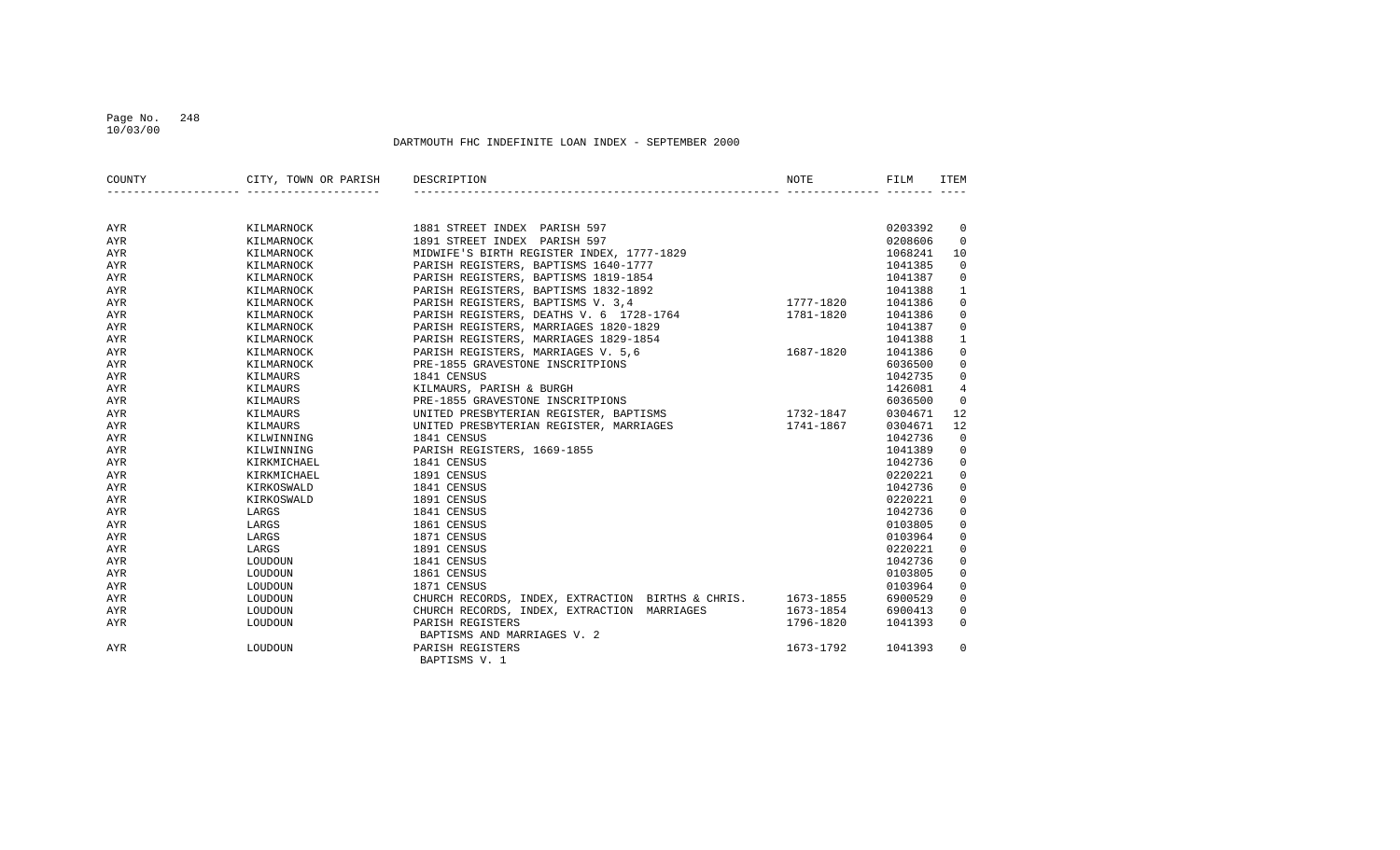#### Page No. 248 10/03/00

| COUNTY     | CITY, TOWN OR PARISH | DESCRIPTION                                       | NOTE      | FILM    | ITEM                |
|------------|----------------------|---------------------------------------------------|-----------|---------|---------------------|
|            |                      |                                                   |           |         |                     |
| AYR        | KILMARNOCK           | 1881 STREET INDEX PARISH 597                      |           | 0203392 | 0                   |
| AYR        | KILMARNOCK           | 1891 STREET INDEX PARISH 597                      |           | 0208606 | $\mathbf 0$         |
| AYR        | KILMARNOCK           | MIDWIFE'S BIRTH REGISTER INDEX, 1777-1829         |           | 1068241 | 10                  |
| AYR        | KILMARNOCK           | PARISH REGISTERS, BAPTISMS 1640-1777              |           | 1041385 | $\mathbf 0$         |
| AYR        | KILMARNOCK           | PARISH REGISTERS, BAPTISMS 1819-1854              |           | 1041387 | $\mathbf 0$         |
| AYR        | KILMARNOCK           | PARISH REGISTERS, BAPTISMS 1832-1892              |           | 1041388 | $\mathbf{1}$        |
| AYR        | KILMARNOCK           | PARISH REGISTERS, BAPTISMS V. 3,4                 | 1777-1820 | 1041386 | $\mathbf 0$         |
| AYR        | KILMARNOCK           | PARISH REGISTERS, DEATHS V. 6 1728-1764           | 1781-1820 | 1041386 | $\mathbf 0$         |
| AYR        | KILMARNOCK           | PARISH REGISTERS, MARRIAGES 1820-1829             |           | 1041387 | $\mathbf 0$         |
| AYR        | KILMARNOCK           | PARISH REGISTERS, MARRIAGES 1829-1854             |           | 1041388 | $\mathbf{1}$        |
| <b>AYR</b> | KILMARNOCK           | PARISH REGISTERS, MARRIAGES V. 5,6                | 1687-1820 | 1041386 | 0                   |
| AYR        | KILMARNOCK           | PRE-1855 GRAVESTONE INSCRITPIONS                  |           | 6036500 | $\mathbf 0$         |
| AYR        | KILMAURS             | 1841 CENSUS                                       |           | 1042735 | $\mathbf 0$         |
| AYR        | KILMAURS             | KILMAURS, PARISH & BURGH                          |           | 1426081 | $\overline{4}$      |
| AYR        | KILMAURS             | PRE-1855 GRAVESTONE INSCRITPIONS                  |           | 6036500 | $\overline{0}$      |
| AYR        | KILMAURS             | UNITED PRESBYTERIAN REGISTER, BAPTISMS            | 1732-1847 | 0304671 | 12                  |
| AYR        | KILMAURS             | UNITED PRESBYTERIAN REGISTER, MARRIAGES           | 1741-1867 | 0304671 | 12                  |
| AYR        | KILWINNING           | 1841 CENSUS                                       |           | 1042736 | $\mathsf 0$         |
| AYR        | KILWINNING           | PARISH REGISTERS, 1669-1855                       |           | 1041389 | $\mathbf 0$         |
| AYR        | KIRKMICHAEL          | 1841 CENSUS                                       |           | 1042736 | $\mathbf 0$         |
| AYR        | KIRKMICHAEL          | 1891 CENSUS                                       |           | 0220221 | $\mathsf 0$         |
| AYR        | KIRKOSWALD           | 1841 CENSUS                                       |           | 1042736 | $\mathbf 0$         |
| AYR        | KIRKOSWALD           | 1891 CENSUS                                       |           | 0220221 | $\mathbf 0$         |
| AYR        | LARGS                | 1841 CENSUS                                       |           | 1042736 | $\mathbf 0$         |
| AYR        | LARGS                | 1861 CENSUS                                       |           | 0103805 | $\mathbb O$         |
| AYR        | LARGS                | 1871 CENSUS                                       |           | 0103964 | $\mathbf 0$         |
| AYR        | LARGS                | 1891 CENSUS                                       |           | 0220221 | $\mathbf 0$         |
| AYR        | LOUDOUN              | 1841 CENSUS                                       |           | 1042736 | $\mathsf 0$         |
| AYR        | LOUDOUN              | 1861 CENSUS                                       |           | 0103805 | $\mathsf{O}\xspace$ |
| AYR        | LOUDOUN              | 1871 CENSUS                                       |           | 0103964 | $\mathbf 0$         |
| AYR        | LOUDOUN              | CHURCH RECORDS, INDEX, EXTRACTION BIRTHS & CHRIS. | 1673-1855 | 6900529 | 0                   |
| AYR        | LOUDOUN              | CHURCH RECORDS, INDEX, EXTRACTION MARRIAGES       | 1673-1854 | 6900413 | 0                   |
| AYR        | LOUDOUN              | PARISH REGISTERS                                  | 1796-1820 | 1041393 | $\mathbf 0$         |
|            |                      | BAPTISMS AND MARRIAGES V. 2                       |           |         |                     |
| AYR        | LOUDOUN              | PARISH REGISTERS<br>BAPTISMS V. 1                 | 1673-1792 | 1041393 | 0                   |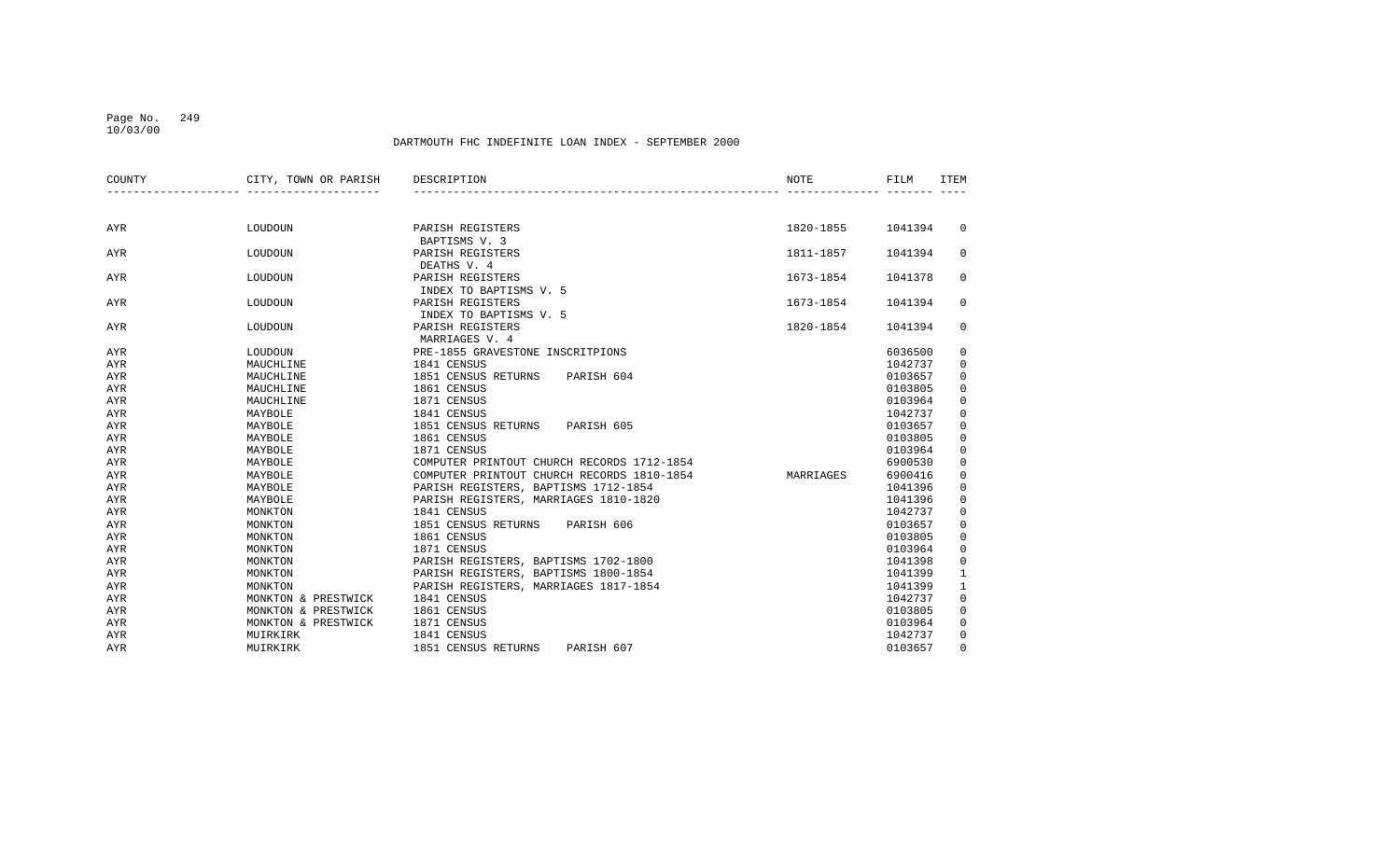## Page No. 249

10/03/00

| COUNTY     | CITY, TOWN OR PARISH | DESCRIPTION                                | NOTE      | FILM    | ITEM         |
|------------|----------------------|--------------------------------------------|-----------|---------|--------------|
|            |                      |                                            |           |         |              |
| AYR        | LOUDOUN              | PARISH REGISTERS<br>BAPTISMS V. 3          | 1820-1855 | 1041394 | $\mathbf 0$  |
| AYR        | LOUDOUN              | PARISH REGISTERS<br>DEATHS V. 4            | 1811-1857 | 1041394 | 0            |
| AYR        | LOUDOUN              | PARISH REGISTERS<br>INDEX TO BAPTISMS V. 5 | 1673-1854 | 1041378 | 0            |
| <b>AYR</b> | LOUDOUN              | PARISH REGISTERS<br>INDEX TO BAPTISMS V. 5 | 1673-1854 | 1041394 | 0            |
| AYR        | LOUDOUN              | PARISH REGISTERS<br>MARRIAGES V. 4         | 1820-1854 | 1041394 | 0            |
| AYR        | LOUDOUN              | PRE-1855 GRAVESTONE INSCRITPIONS           |           | 6036500 | 0            |
| AYR        | MAUCHLINE            | 1841 CENSUS                                |           | 1042737 | $\mathbf 0$  |
| AYR        | MAUCHLINE            | 1851 CENSUS RETURNS<br>PARISH 604          |           | 0103657 | $\mathbf 0$  |
| AYR        | MAUCHLINE            | 1861 CENSUS                                |           | 0103805 | $\mathbf 0$  |
| AYR        | MAUCHLINE            | 1871 CENSUS                                |           | 0103964 | $\mathbf 0$  |
| AYR        | MAYBOLE              | 1841 CENSUS                                |           | 1042737 | $\mathbf 0$  |
| AYR        | MAYBOLE              | 1851 CENSUS RETURNS<br>PARISH 605          |           | 0103657 | $\mathbf 0$  |
| AYR        | MAYBOLE              | 1861 CENSUS                                |           | 0103805 | $\mathbf 0$  |
| <b>AYR</b> | MAYBOLE              | 1871 CENSUS                                |           | 0103964 | $\mathbf 0$  |
| AYR        | MAYBOLE              | COMPUTER PRINTOUT CHURCH RECORDS 1712-1854 |           | 6900530 | 0            |
| AYR        | MAYBOLE              | COMPUTER PRINTOUT CHURCH RECORDS 1810-1854 | MARRIAGES | 6900416 | $\mathbf 0$  |
| <b>AYR</b> | MAYBOLE              | PARISH REGISTERS, BAPTISMS 1712-1854       |           | 1041396 | $\mathsf 0$  |
| AYR        | MAYBOLE              | PARISH REGISTERS, MARRIAGES 1810-1820      |           | 1041396 | $\mathsf 0$  |
| <b>AYR</b> | MONKTON              | 1841 CENSUS                                |           | 1042737 | $\mathbf 0$  |
| AYR        | MONKTON              | 1851 CENSUS RETURNS<br>PARISH 606          |           | 0103657 | $\mathbf 0$  |
| AYR        | MONKTON              | 1861 CENSUS                                |           | 0103805 | $\mathbf 0$  |
| <b>AYR</b> | MONKTON              | 1871 CENSUS                                |           | 0103964 | $\mathbf 0$  |
| AYR        | MONKTON              | PARISH REGISTERS, BAPTISMS 1702-1800       |           | 1041398 | 0            |
| AYR        | MONKTON              | PARISH REGISTERS, BAPTISMS 1800-1854       |           | 1041399 | $\mathbf{1}$ |
| AYR        | MONKTON              | PARISH REGISTERS, MARRIAGES 1817-1854      |           | 1041399 | $\mathbf{1}$ |
| AYR        | MONKTON & PRESTWICK  | 1841 CENSUS                                |           | 1042737 | $\mathbf 0$  |
| AYR        | MONKTON & PRESTWICK  | 1861 CENSUS                                |           | 0103805 | $\mathbf 0$  |
| AYR        | MONKTON & PRESTWICK  | 1871 CENSUS                                |           | 0103964 | $\mathbf 0$  |
| AYR        | MUIRKIRK             | 1841 CENSUS                                |           | 1042737 | $\mathbf 0$  |
| AYR        | MUIRKIRK             | 1851 CENSUS RETURNS<br>PARISH 607          |           | 0103657 | $\mathbf 0$  |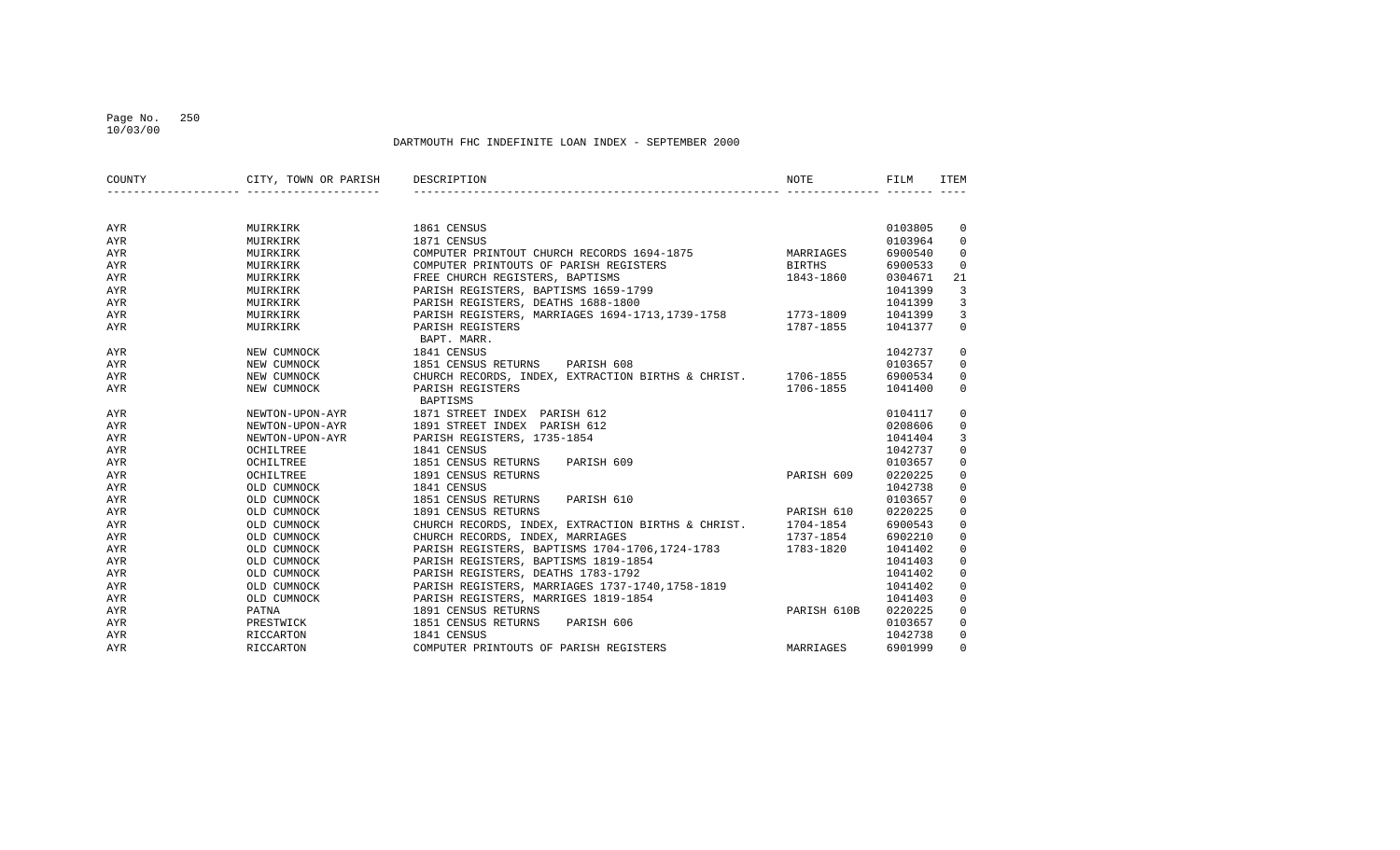#### Page No. 250 10/03/00

| COUNTY     | CITY, TOWN OR PARISH | DESCRIPTION                                                  | <b>NOTE</b>   | FILM    | <b>ITEM</b>    |
|------------|----------------------|--------------------------------------------------------------|---------------|---------|----------------|
|            |                      |                                                              |               |         |                |
| AYR        | MUIRKIRK             | 1861 CENSUS                                                  |               | 0103805 | $\overline{0}$ |
| <b>AYR</b> | MUIRKIRK             | 1871 CENSUS                                                  |               | 0103964 | $\mathbf 0$    |
| AYR        | MUIRKIRK             | COMPUTER PRINTOUT CHURCH RECORDS 1694-1875                   | MARRIAGES     | 6900540 | $\mathbf 0$    |
| AYR        | MUIRKIRK             | COMPUTER PRINTOUTS OF PARISH REGISTERS                       | <b>BIRTHS</b> | 6900533 | $\overline{0}$ |
| <b>AYR</b> | MUIRKIRK             | FREE CHURCH REGISTERS, BAPTISMS                              | 1843-1860     | 0304671 | 21             |
| <b>AYR</b> | MUIRKIRK             | PARISH REGISTERS, BAPTISMS 1659-1799                         |               | 1041399 | 3              |
| <b>AYR</b> | MUIRKIRK             | PARISH REGISTERS, DEATHS 1688-1800                           |               | 1041399 | 3              |
| <b>AYR</b> | MUIRKIRK             | PARISH REGISTERS, MARRIAGES 1694-1713, 1739-1758 1773-1809   |               | 1041399 | 3              |
| AYR        | MUIRKIRK             | PARISH REGISTERS<br>BAPT. MARR.                              | 1787-1855     | 1041377 | $\mathbf 0$    |
| AYR        | NEW CUMNOCK          | 1841 CENSUS                                                  |               | 1042737 | $\mathbf 0$    |
| AYR        | NEW CUMNOCK          | PARISH 608<br>1851 CENSUS RETURNS                            |               | 0103657 | $\mathbf 0$    |
| AYR        | NEW CUMNOCK          | CHURCH RECORDS, INDEX, EXTRACTION BIRTHS & CHRIST. 1706-1855 |               | 6900534 | $\mathbf 0$    |
| AYR        | NEW CUMNOCK          | PARISH REGISTERS<br>BAPTISMS                                 | 1706-1855     | 1041400 | $\mathbf{0}$   |
| AYR        | NEWTON-UPON-AYR      | 1871 STREET INDEX PARISH 612                                 |               | 0104117 | 0              |
| AYR        | NEWTON-UPON-AYR      | 1891 STREET INDEX PARISH 612                                 |               | 0208606 | 0              |
| AYR        | NEWTON-UPON-AYR      | PARISH REGISTERS, 1735-1854                                  |               | 1041404 | 3              |
| <b>AYR</b> | OCHILTREE            | 1841 CENSUS                                                  |               | 1042737 | $\mathbf 0$    |
| <b>AYR</b> | OCHILTREE            | 1851 CENSUS RETURNS<br>PARISH 609                            |               | 0103657 | $\mathbf 0$    |
| <b>AYR</b> | OCHILTREE            | 1891 CENSUS RETURNS                                          | PARISH 609    | 0220225 | $\mathbf 0$    |
| AYR        | OLD CUMNOCK          | 1841 CENSUS                                                  |               | 1042738 | $\mathbf 0$    |
| AYR        | OLD CUMNOCK          | 1851 CENSUS RETURNS<br>PARISH 610                            |               | 0103657 | $\mathbf 0$    |
| AYR        | OLD CUMNOCK          | 1891 CENSUS RETURNS                                          | PARISH 610    | 0220225 | $\mathbf 0$    |
| AYR        | OLD CUMNOCK          | CHURCH RECORDS, INDEX, EXTRACTION BIRTHS & CHRIST. 1704-1854 |               | 6900543 | 0              |
| AYR        | OLD CUMNOCK          | CHURCH RECORDS, INDEX, MARRIAGES                             | 1737-1854     | 6902210 | 0              |
| AYR        | OLD CUMNOCK          | PARISH REGISTERS, BAPTISMS 1704-1706, 1724-1783 1783-1820    |               | 1041402 | 0              |
| <b>AYR</b> | OLD CUMNOCK          | PARISH REGISTERS, BAPTISMS 1819-1854                         |               | 1041403 | $\mathbf 0$    |
| <b>AYR</b> | OLD CUMNOCK          | PARISH REGISTERS, DEATHS 1783-1792                           |               | 1041402 | $\mathbf 0$    |
| <b>AYR</b> | OLD CUMNOCK          | PARISH REGISTERS, MARRIAGES 1737-1740,1758-1819              |               | 1041402 | $\mathbf 0$    |
| AYR        | OLD CUMNOCK          | PARISH REGISTERS, MARRIGES 1819-1854                         |               | 1041403 | $\mathbf 0$    |
| AYR        | PATNA                | 1891 CENSUS RETURNS                                          | PARISH 610B   | 0220225 | $\mathbf 0$    |
| AYR        | PRESTWICK            | 1851 CENSUS RETURNS<br>PARISH 606                            |               | 0103657 | $\mathbf 0$    |
| AYR        | RICCARTON            | 1841 CENSUS                                                  |               | 1042738 | $\mathbf 0$    |
| AYR        | RICCARTON            | COMPUTER PRINTOUTS OF PARISH REGISTERS                       | MARRIAGES     | 6901999 | $\Omega$       |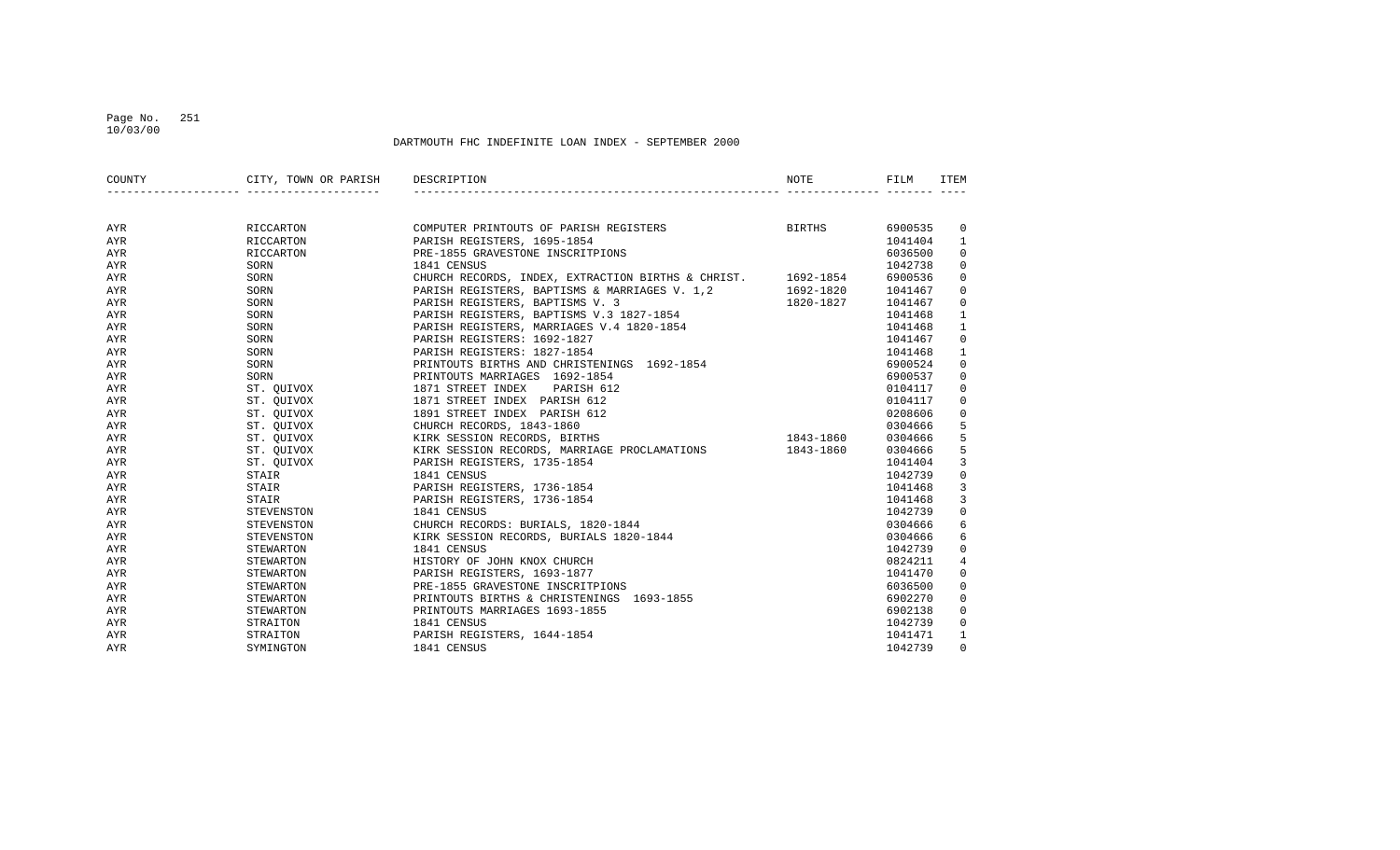#### Page No. 251 10/03/00

| COUNTY     | CITY, TOWN OR PARISH     | DESCRIPTION                                             | <b>NOTE</b> | FILM    | ITEM         |
|------------|--------------------------|---------------------------------------------------------|-------------|---------|--------------|
|            |                          |                                                         |             |         |              |
| AYR        | RICCARTON                | <b>BIRTHS</b><br>COMPUTER PRINTOUTS OF PARISH REGISTERS |             | 6900535 | $\mathbf{0}$ |
| <b>AYR</b> | RICCARTON                | PARISH REGISTERS, 1695-1854                             |             | 1041404 | $\mathbf{1}$ |
| AYR        | RICCARTON                | PRE-1855 GRAVESTONE INSCRITPIONS                        |             | 6036500 | 0            |
| AYR        | SORN                     | 1841 CENSUS                                             |             | 1042738 | 0            |
| AYR        | SORN                     | CHURCH RECORDS, INDEX, EXTRACTION BIRTHS & CHRIST.      | 1692-1854   | 6900536 | 0            |
| AYR        | SORN                     | PARISH REGISTERS, BAPTISMS & MARRIAGES V. 1,2           | 1692-1820   | 1041467 | 0            |
| AYR        | SORN                     | PARISH REGISTERS, BAPTISMS V. 3                         | 1820-1827   | 1041467 | 0            |
| AYR        | SORN                     | PARISH REGISTERS, BAPTISMS V.3 1827-1854                |             | 1041468 | 1            |
| AYR        | SORN                     | PARISH REGISTERS, MARRIAGES V.4 1820-1854               |             | 1041468 | 1            |
| AYR        | SORN                     | PARISH REGISTERS: 1692-1827                             |             | 1041467 | 0            |
| AYR        | SORN                     | PARISH REGISTERS: 1827-1854                             |             | 1041468 | $\mathbf 1$  |
| <b>AYR</b> | SORN                     | PRINTOUTS BIRTHS AND CHRISTENINGS 1692-1854             |             | 6900524 | 0            |
| AYR        | SORN                     | PRINTOUTS MARRIAGES 1692-1854                           |             | 6900537 | 0            |
| AYR        | ST. QUIVOX               | 1871 STREET INDEX<br>PARISH 612                         |             | 0104117 | 0            |
| AYR        |                          | 1871 STREET INDEX PARISH 612                            |             | 0104117 | 0            |
| AYR        | ST. QUIVOX<br>ST. QUIVOX | 1891 STREET INDEX PARISH 612                            |             | 0208606 | 0            |
| AYR        | ST. QUIVOX               | CHURCH RECORDS, 1843-1860                               |             | 0304666 | 5            |
| AYR        |                          | ST. QUIVOX KIRK SESSION RECORDS, BIRTHS                 | 1843-1860   | 0304666 | 5            |
| AYR        |                          | ST. QUIVOX KIRK SESSION RECORDS, MARRIAGE PROCLAMATIONS | 1843-1860   | 0304666 | 5            |
| AYR        | ST. QUIVOX               | PARISH REGISTERS, 1735-1854                             |             | 1041404 | 3            |
| AYR        | STAIR                    | 1841 CENSUS                                             |             | 1042739 | 0            |
| <b>AYR</b> | STAIR                    | PARISH REGISTERS, 1736-1854                             |             | 1041468 | 3            |
| <b>AYR</b> | STAIR                    | PARISH REGISTERS, 1736-1854                             |             | 1041468 | 3            |
| AYR        | STEVENSTON               | 1841 CENSUS                                             |             | 1042739 | 0            |
| AYR        | STEVENSTON               | CHURCH RECORDS: BURIALS, 1820-1844                      |             | 0304666 | 6            |
| AYR        | STEVENSTON               | KIRK SESSION RECORDS, BURIALS 1820-1844                 |             | 0304666 | 6            |
| AYR        | STEWARTON                | 1841 CENSUS                                             |             | 1042739 | 0            |
| AYR        | STEWARTON                | HISTORY OF JOHN KNOX CHURCH                             |             | 0824211 | 4            |
| AYR        | STEWARTON                | PARISH REGISTERS, 1693-1877                             |             | 1041470 | 0            |
| AYR        | STEWARTON                | PRE-1855 GRAVESTONE INSCRITPIONS                        |             | 6036500 | 0            |
| AYR        | STEWARTON                | PRINTOUTS BIRTHS & CHRISTENINGS 1693-1855               |             | 6902270 | $\Omega$     |
| AYR        | STEWARTON                | PRINTOUTS MARRIAGES 1693-1855                           |             | 6902138 | 0            |
| AYR        | STRAITON                 | 1841 CENSUS                                             |             | 1042739 | 0            |
| AYR        | STRAITON                 | PARISH REGISTERS, 1644-1854                             |             | 1041471 | 1            |
| AYR        | SYMINGTON                | 1841 CENSUS                                             |             | 1042739 | $\Omega$     |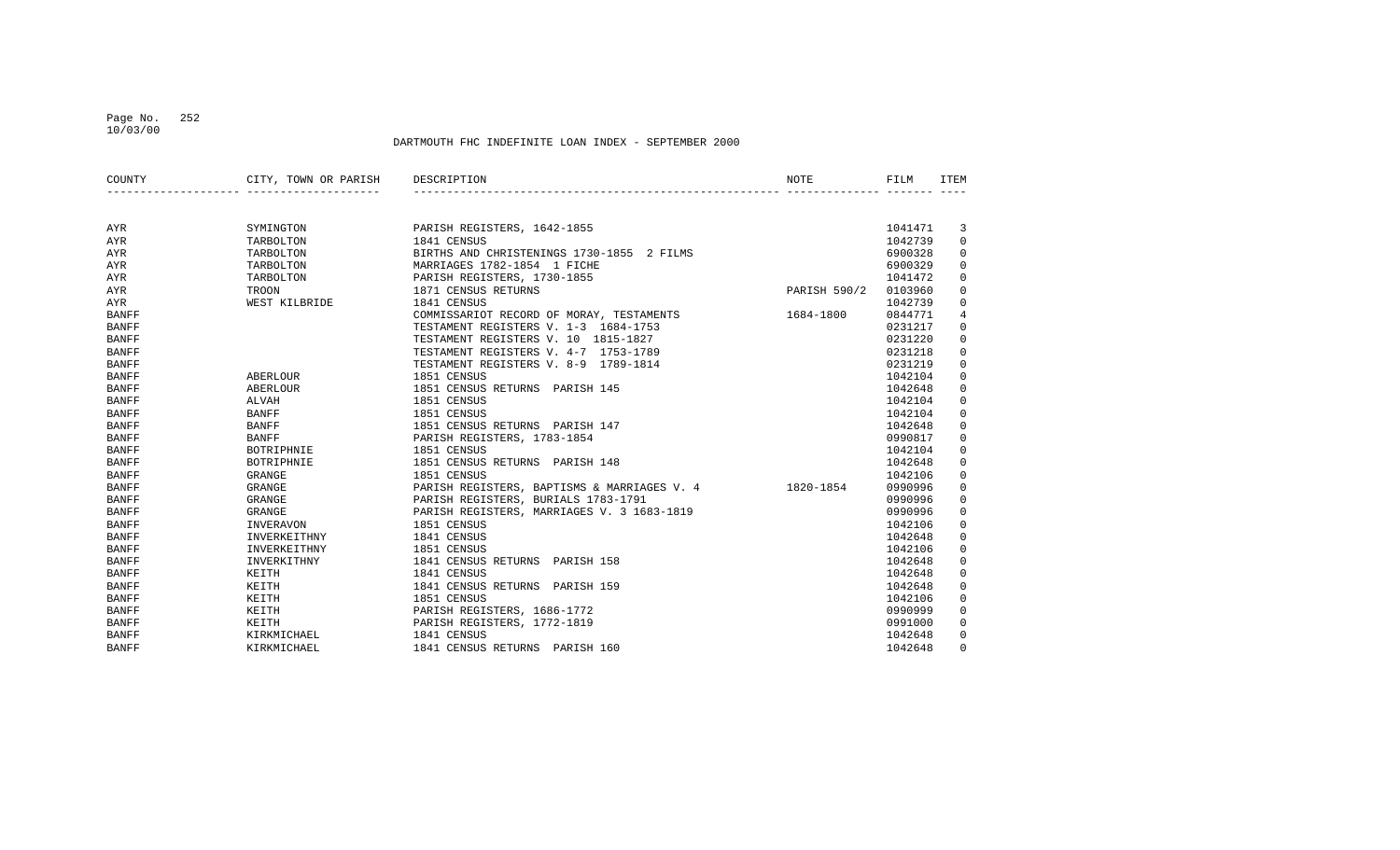#### Page No. 252 10/03/00

| COUNTY       | CITY, TOWN OR PARISH DESCRIPTION |                                             | NOTE         | FILM    | <b>ITEM</b> |
|--------------|----------------------------------|---------------------------------------------|--------------|---------|-------------|
|              |                                  |                                             |              |         |             |
| AYR          | SYMINGTON                        | PARISH REGISTERS, 1642-1855                 |              | 1041471 | 3           |
| AYR          | TARBOLTON                        | 1841 CENSUS                                 |              | 1042739 | 0           |
| AYR          | TARBOLTON                        | BIRTHS AND CHRISTENINGS 1730-1855 2 FILMS   |              | 6900328 | $\mathsf 0$ |
| AYR          | TARBOLTON                        | MARRIAGES 1782-1854 1 FICHE                 |              | 6900329 | 0           |
| AYR          | TARBOLTON                        | PARISH REGISTERS, 1730-1855                 |              | 1041472 | 0           |
| AYR          | TROON                            | 1871 CENSUS RETURNS                         | PARISH 590/2 | 0103960 | $\mathsf 0$ |
| AYR          | WEST KILBRIDE                    | 1841 CENSUS                                 |              | 1042739 | 0           |
| <b>BANFF</b> |                                  | COMMISSARIOT RECORD OF MORAY, TESTAMENTS    | 1684-1800    | 0844771 | 4           |
| <b>BANFF</b> |                                  | TESTAMENT REGISTERS V. 1-3 1684-1753        |              | 0231217 | 0           |
| <b>BANFF</b> |                                  | TESTAMENT REGISTERS V. 10 1815-1827         |              | 0231220 | 0           |
| <b>BANFF</b> |                                  | TESTAMENT REGISTERS V. 4-7 1753-1789        |              | 0231218 | 0           |
| <b>BANFF</b> |                                  | TESTAMENT REGISTERS V. 8-9 1789-1814        |              | 0231219 | 0           |
| <b>BANFF</b> | ABERLOUR                         | 1851 CENSUS                                 |              | 1042104 | $\mathsf 0$ |
| <b>BANFF</b> | ABERLOUR                         | 1851 CENSUS RETURNS PARISH 145              |              | 1042648 | $\mathsf 0$ |
| <b>BANFF</b> | ALVAH                            | 1851 CENSUS                                 |              | 1042104 | $\mathsf 0$ |
| <b>BANFF</b> | <b>BANFF</b>                     | 1851 CENSUS                                 |              | 1042104 | 0           |
| <b>BANFF</b> | <b>BANFF</b>                     | 1851 CENSUS RETURNS PARISH 147              |              | 1042648 | 0           |
| <b>BANFF</b> | <b>BANFF</b>                     | PARISH REGISTERS, 1783-1854                 |              | 0990817 | $\mathbf 0$ |
| <b>BANFF</b> | BOTRIPHNIE                       | 1851 CENSUS                                 |              | 1042104 | 0           |
| <b>BANFF</b> | BOTRIPHNIE                       | 1851 CENSUS RETURNS PARISH 148              |              | 1042648 | 0           |
| <b>BANFF</b> | GRANGE                           | 1851 CENSUS                                 |              | 1042106 | 0           |
| <b>BANFF</b> | <b>GRANGE</b>                    | PARISH REGISTERS, BAPTISMS & MARRIAGES V. 4 | 1820-1854    | 0990996 | 0           |
| <b>BANFF</b> | GRANGE                           | PARISH REGISTERS, BURIALS 1783-1791         |              | 0990996 | 0           |
| <b>BANFF</b> | GRANGE                           | PARISH REGISTERS, MARRIAGES V. 3 1683-1819  |              | 0990996 | 0           |
| <b>BANFF</b> | INVERAVON                        | 1851 CENSUS                                 |              | 1042106 | $\mathbf 0$ |
| <b>BANFF</b> | INVERKEITHNY                     | 1841 CENSUS                                 |              | 1042648 | 0           |
| <b>BANFF</b> | INVERKEITHNY                     | 1851 CENSUS                                 |              | 1042106 | 0           |
| <b>BANFF</b> | INVERKITHNY                      | 1841 CENSUS RETURNS PARISH 158              |              | 1042648 | 0           |
| <b>BANFF</b> | KEITH                            | 1841 CENSUS                                 |              | 1042648 | 0           |
| <b>BANFF</b> | KEITH                            | 1841 CENSUS RETURNS PARISH 159              |              | 1042648 | 0           |
| <b>BANFF</b> | KEITH                            | 1851 CENSUS                                 |              | 1042106 | 0           |
| <b>BANFF</b> | KEITH                            | PARISH REGISTERS, 1686-1772                 |              | 0990999 | 0           |
| <b>BANFF</b> | KEITH                            | PARISH REGISTERS, 1772-1819                 |              | 0991000 | 0           |
| <b>BANFF</b> | KIRKMICHAEL                      | 1841 CENSUS                                 |              | 1042648 | 0           |
| <b>BANFF</b> | KIRKMICHAEL                      | 1841 CENSUS RETURNS PARISH 160              |              | 1042648 | $\Omega$    |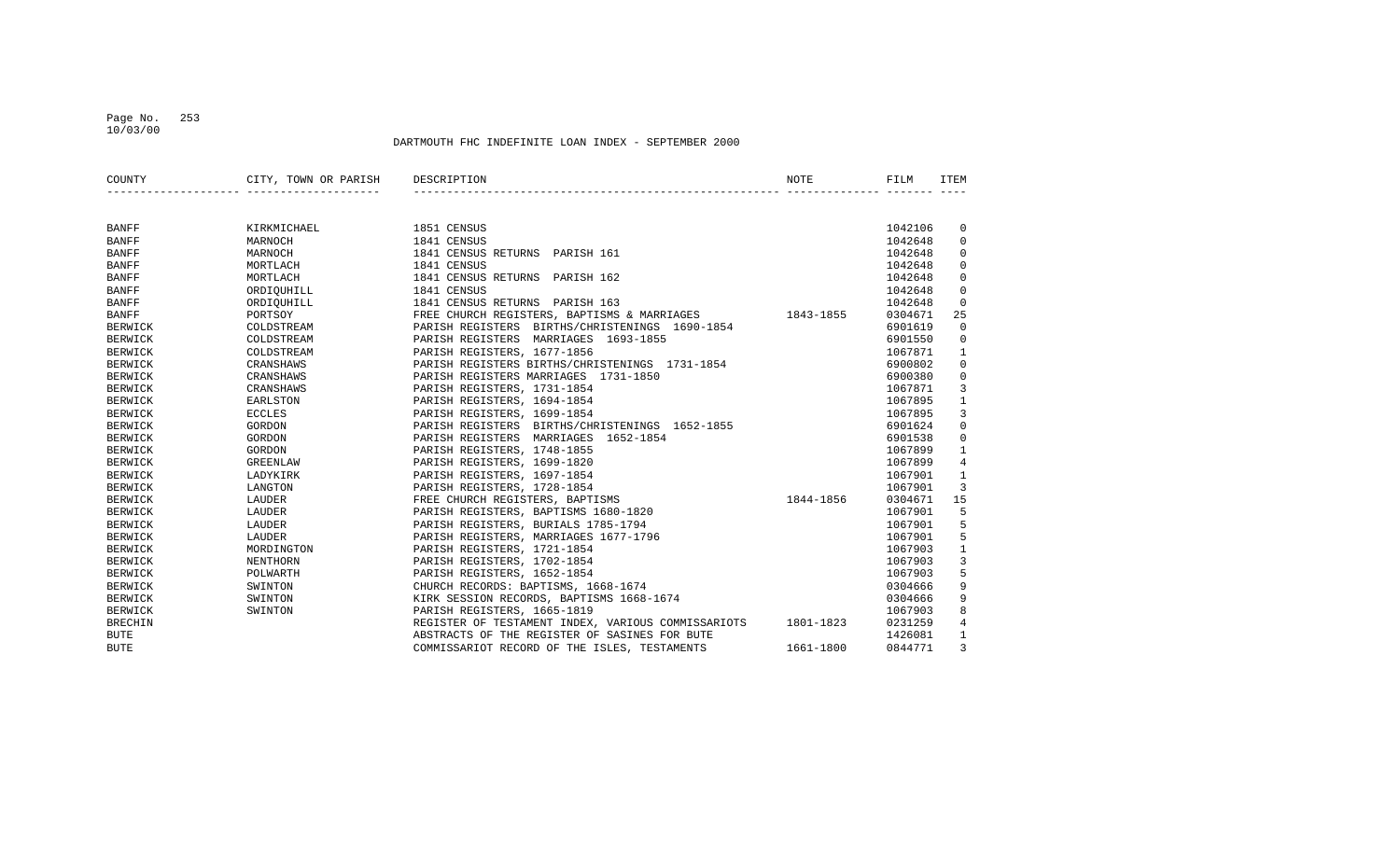## Page No. 253 10/03/00

| COUNTY         | CITY, TOWN OR PARISH | DESCRIPTION                                        | <b>NOTE</b> | FILM    | ITEM         |
|----------------|----------------------|----------------------------------------------------|-------------|---------|--------------|
|                |                      |                                                    |             |         |              |
|                |                      |                                                    |             |         |              |
| <b>BANFF</b>   | KIRKMICHAEL          | 1851 CENSUS                                        |             | 1042106 | $\mathbf 0$  |
| <b>BANFF</b>   | MARNOCH              | 1841 CENSUS                                        |             | 1042648 | 0            |
| <b>BANFF</b>   | MARNOCH              | 1841 CENSUS RETURNS PARISH 161                     |             | 1042648 | $\Omega$     |
| <b>BANFF</b>   | MORTLACH             | 1841 CENSUS                                        |             | 1042648 | $\Omega$     |
| <b>BANFF</b>   | MORTLACH             | 1841 CENSUS RETURNS PARISH 162                     |             | 1042648 | 0            |
| <b>BANFF</b>   | ORDIOUHILL           | 1841 CENSUS                                        |             | 1042648 | 0            |
| <b>BANFF</b>   | ORDIOUHILL           | 1841 CENSUS RETURNS PARISH 163                     |             | 1042648 | $\Omega$     |
| <b>BANFF</b>   | PORTSOY              | FREE CHURCH REGISTERS, BAPTISMS & MARRIAGES        | 1843-1855   | 0304671 | 25           |
| <b>BERWICK</b> | COLDSTREAM           | PARISH REGISTERS BIRTHS/CHRISTENINGS 1690-1854     |             | 6901619 | $\Omega$     |
| <b>BERWICK</b> | COLDSTREAM           | PARISH REGISTERS MARRIAGES 1693-1855               |             | 6901550 | $\mathbf 0$  |
| <b>BERWICK</b> | COLDSTREAM           | PARISH REGISTERS, 1677-1856                        |             | 1067871 | 1            |
| <b>BERWICK</b> | CRANSHAWS            | PARISH REGISTERS BIRTHS/CHRISTENINGS 1731-1854     |             | 6900802 | $\mathbf 0$  |
| <b>BERWICK</b> | CRANSHAWS            | PARISH REGISTERS MARRIAGES 1731-1850               |             | 6900380 | $\mathbf 0$  |
| <b>BERWICK</b> | CRANSHAWS            | PARISH REGISTERS, 1731-1854                        |             | 1067871 | 3            |
| <b>BERWICK</b> | <b>EARLSTON</b>      | PARISH REGISTERS, 1694-1854                        |             | 1067895 | 1            |
| <b>BERWICK</b> | <b>ECCLES</b>        | PARISH REGISTERS, 1699-1854                        |             | 1067895 | 3            |
| <b>BERWICK</b> | GORDON               | PARISH REGISTERS BIRTHS/CHRISTENINGS 1652-1855     |             | 6901624 | $\mathbf 0$  |
| <b>BERWICK</b> | GORDON               | PARISH REGISTERS MARRIAGES 1652-1854               |             | 6901538 | $\mathbf 0$  |
| <b>BERWICK</b> | GORDON               | PARISH REGISTERS, 1748-1855                        |             | 1067899 | $\mathbf{1}$ |
| <b>BERWICK</b> | <b>GREENLAW</b>      | PARISH REGISTERS, 1699-1820                        |             | 1067899 | 4            |
| <b>BERWICK</b> | LADYKIRK             | PARISH REGISTERS, 1697-1854                        |             | 1067901 | 1            |
| <b>BERWICK</b> | LANGTON              | PARISH REGISTERS, 1728-1854                        |             | 1067901 | 3            |
| <b>BERWICK</b> | LAUDER               | FREE CHURCH REGISTERS, BAPTISMS                    | 1844-1856   | 0304671 | 15           |
| <b>BERWICK</b> | LAUDER               | PARISH REGISTERS, BAPTISMS 1680-1820               |             | 1067901 | 5            |
| <b>BERWICK</b> | LAUDER               | PARISH REGISTERS, BURIALS 1785-1794                |             | 1067901 | 5            |
| <b>BERWICK</b> | LAUDER               | PARISH REGISTERS, MARRIAGES 1677-1796              |             | 1067901 | 5            |
| <b>BERWICK</b> | MORDINGTON           | PARISH REGISTERS, 1721-1854                        |             | 1067903 | $\mathbf{1}$ |
| <b>BERWICK</b> | NENTHORN             | PARISH REGISTERS, 1702-1854                        |             | 1067903 | 3            |
| <b>BERWICK</b> | POLWARTH             | PARISH REGISTERS, 1652-1854                        |             | 1067903 | 5            |
| <b>BERWICK</b> | SWINTON              | CHURCH RECORDS: BAPTISMS, 1668-1674                |             | 0304666 | 9            |
| <b>BERWICK</b> | SWINTON              | KIRK SESSION RECORDS, BAPTISMS 1668-1674           |             | 0304666 | 9            |
| <b>BERWICK</b> | SWINTON              | PARISH REGISTERS, 1665-1819                        |             | 1067903 | 8            |
| <b>BRECHIN</b> |                      | REGISTER OF TESTAMENT INDEX, VARIOUS COMMISSARIOTS | 1801-1823   | 0231259 | 4            |
| <b>BUTE</b>    |                      | ABSTRACTS OF THE REGISTER OF SASINES FOR BUTE      |             | 1426081 | $\mathbf{1}$ |
| <b>BUTE</b>    |                      | COMMISSARIOT RECORD OF THE ISLES, TESTAMENTS       | 1661-1800   | 0844771 | 3            |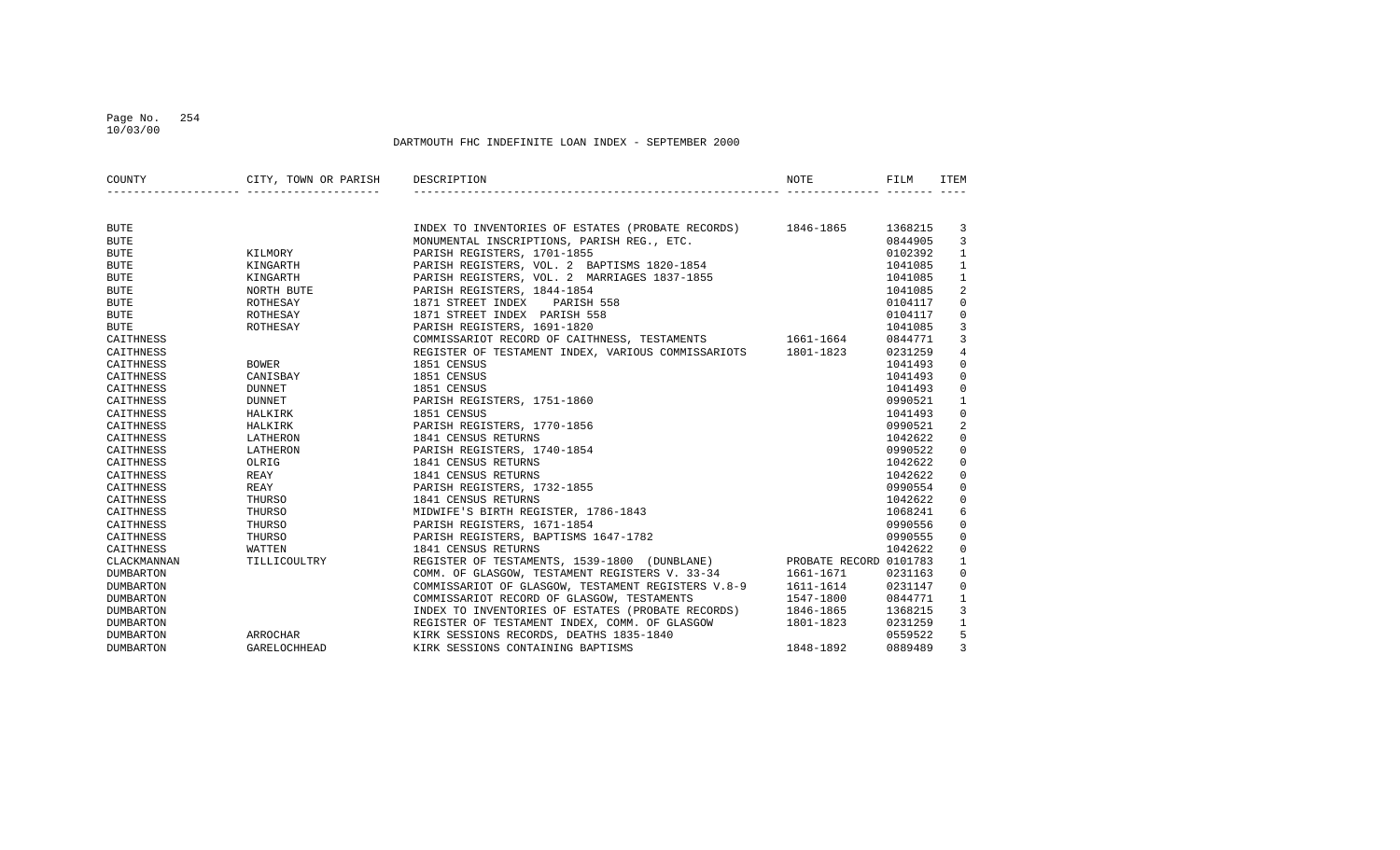## Page No. 254 10/03/00

| COUNTY           | CITY, TOWN OR PARISH DESCRIPTION |                                                                     | <b>NOTE</b> | FILM    | ITEM           |
|------------------|----------------------------------|---------------------------------------------------------------------|-------------|---------|----------------|
|                  |                                  |                                                                     |             |         |                |
| <b>BUTE</b>      |                                  | INDEX TO INVENTORIES OF ESTATES (PROBATE RECORDS) 1846-1865         |             | 1368215 | 3              |
| <b>BUTE</b>      |                                  | MONUMENTAL INSCRIPTIONS, PARISH REG., ETC.                          |             | 0844905 | $\overline{3}$ |
| <b>BUTE</b>      | KILMORY                          | PARISH REGISTERS, 1701-1855                                         |             | 0102392 | $\mathbf{1}$   |
| <b>BUTE</b>      | KINGARTH                         | PARISH REGISTERS, VOL. 2 BAPTISMS 1820-1854                         |             | 1041085 | $\mathbf{1}$   |
| <b>BUTE</b>      | KINGARTH                         | PARISH REGISTERS, VOL. 2 MARRIAGES 1837-1855                        |             | 1041085 | $\mathbf{1}$   |
| <b>BUTE</b>      | NORTH BUTE                       | PARISH REGISTERS, 1844-1854                                         |             | 1041085 | 2              |
| <b>BUTE</b>      | ROTHESAY                         | 1871 STREET INDEX PARISH 558                                        |             | 0104117 | $\mathbf 0$    |
| <b>BUTE</b>      | ROTHESAY                         | 1871 STREET INDEX PARISH 558                                        |             | 0104117 | $\mathbf 0$    |
| BUTE             | ROTHESAY                         | PARISH REGISTERS, 1691-1820                                         |             | 1041085 | $\overline{3}$ |
| CAITHNESS        |                                  | COMMISSARIOT RECORD OF CAITHNESS, TESTAMENTS 1661-1664              |             | 0844771 | $\overline{3}$ |
| CAITHNESS        |                                  | REGISTER OF TESTAMENT INDEX, VARIOUS COMMISSARIOTS 1801-1823        |             | 0231259 | $\overline{4}$ |
| CAITHNESS        | <b>BOWER</b>                     | 1851 CENSUS                                                         |             | 1041493 | $\mathsf 0$    |
| CAITHNESS        | CANISBAY                         | 1851 CENSUS                                                         |             | 1041493 | $\mathbf 0$    |
| CAITHNESS        | <b>DUNNET</b>                    | 1851 CENSUS                                                         |             | 1041493 | $\mathbf{0}$   |
| CAITHNESS        | <b>DUNNET</b>                    | PARISH REGISTERS, 1751-1860                                         |             | 0990521 | $\mathbf{1}$   |
| CAITHNESS        | HALKIRK                          | 1851 CENSUS                                                         |             | 1041493 | $\mathbf 0$    |
| CAITHNESS        | HALKIRK                          | PARISH REGISTERS, 1770-1856                                         |             | 0990521 | 2              |
| CAITHNESS        | LATHERON                         | 1841 CENSUS RETURNS                                                 |             | 1042622 | $\mathbf 0$    |
| CAITHNESS        | LATHERON                         | PARISH REGISTERS, 1740-1854                                         |             | 0990522 | $\Omega$       |
| CAITHNESS        | OLRIG                            | 1841 CENSUS RETURNS                                                 |             | 1042622 | $\mathbf 0$    |
| CAITHNESS        | REAY                             | 1841 CENSUS RETURNS                                                 |             | 1042622 | $\mathbf 0$    |
| CAITHNESS        | REAY                             | PARISH REGISTERS, 1732-1855                                         |             | 0990554 | $\mathbf 0$    |
| CAITHNESS        | THURSO                           | 1841 CENSUS RETURNS                                                 |             | 1042622 | $\mathbf 0$    |
| CAITHNESS        | THURSO                           | MIDWIFE'S BIRTH REGISTER, 1786-1843                                 |             | 1068241 | 6              |
| CAITHNESS        | THURSO                           | PARISH REGISTERS, 1671-1854                                         |             | 0990556 | $\mathbf{0}$   |
| CAITHNESS        | THURSO                           | PARISH REGISTERS, BAPTISMS 1647-1782                                |             | 0990555 | $\mathbf{0}$   |
| CAITHNESS        | WATTEN                           | 1841 CENSUS RETURNS                                                 |             | 1042622 | $\mathbf 0$    |
| CLACKMANNAN      | TILLICOULTRY                     | REGISTER OF TESTAMENTS, 1539-1800 (DUNBLANE) PROBATE RECORD 0101783 |             |         | $\mathbf{1}$   |
| <b>DUMBARTON</b> |                                  | COMM. OF GLASGOW, TESTAMENT REGISTERS V. 33-34 1661-1671            |             | 0231163 | $\mathbf 0$    |
| <b>DUMBARTON</b> |                                  | COMMISSARIOT OF GLASGOW, TESTAMENT REGISTERS V.8-9 1611-1614        |             | 0231147 | $\mathbf 0$    |
| DUMBARTON        |                                  | COMMISSARIOT RECORD OF GLASGOW, TESTAMENTS                          | 1547-1800   | 0844771 | 1              |
| <b>DUMBARTON</b> |                                  | INDEX TO INVENTORIES OF ESTATES (PROBATE RECORDS) 1846-1865         |             | 1368215 | 3              |
| <b>DUMBARTON</b> |                                  | REGISTER OF TESTAMENT INDEX, COMM. OF GLASGOW                       | 1801-1823   | 0231259 | $\mathbf{1}$   |
| <b>DUMBARTON</b> | ARROCHAR                         | KIRK SESSIONS RECORDS, DEATHS 1835-1840                             |             | 0559522 | 5              |
| <b>DUMBARTON</b> | GARELOCHHEAD                     | KIRK SESSIONS CONTAINING BAPTISMS                                   | 1848-1892   | 0889489 | 3              |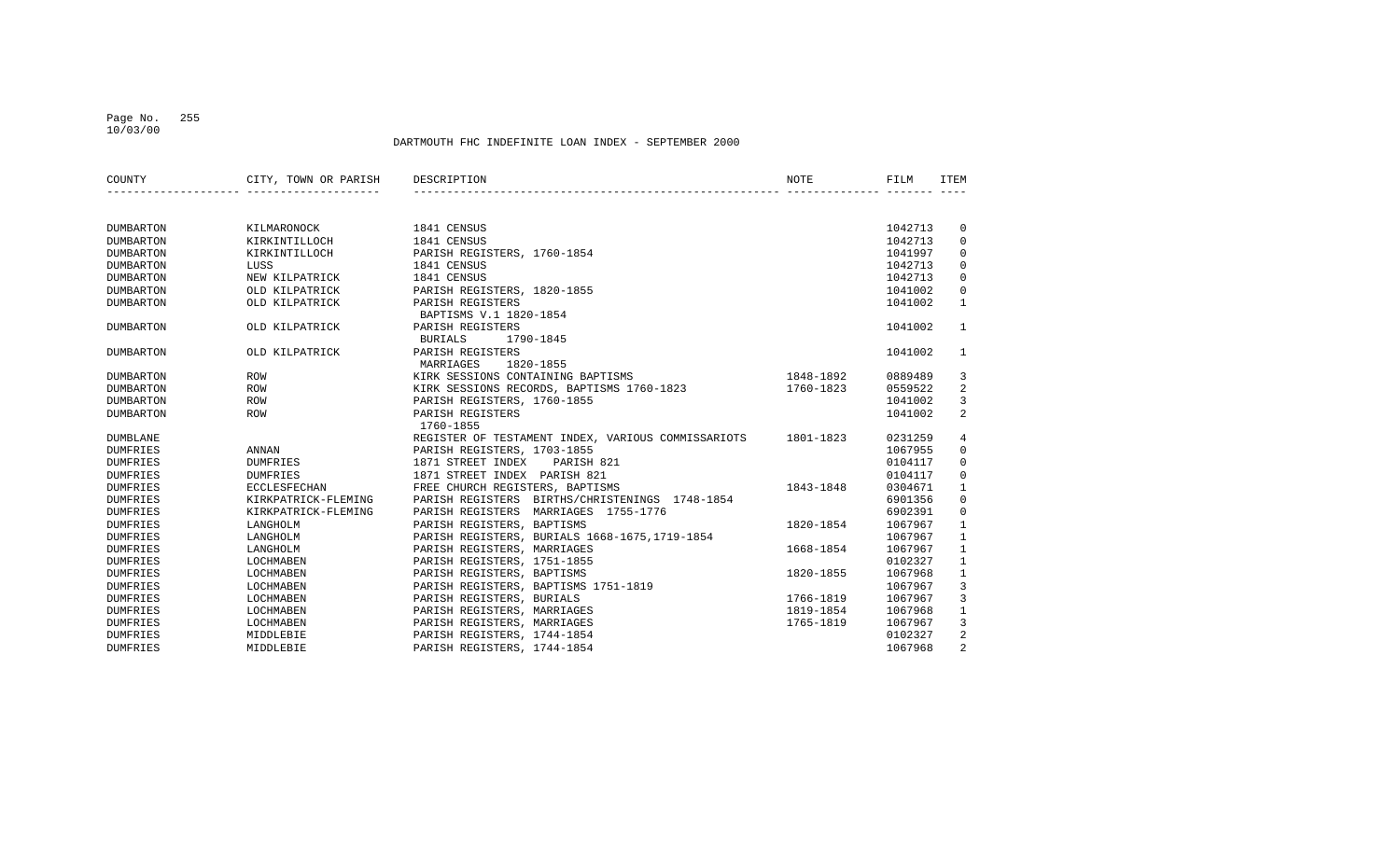## Page No. 255 10/03/00

| COUNTY           | CITY, TOWN OR PARISH | DESCRIPTION                                        | NOTE      | FILM    | <b>ITEM</b>    |
|------------------|----------------------|----------------------------------------------------|-----------|---------|----------------|
|                  |                      |                                                    |           |         |                |
| <b>DUMBARTON</b> | KILMARONOCK          | 1841 CENSUS                                        |           | 1042713 | 0              |
| <b>DUMBARTON</b> | KIRKINTILLOCH        | 1841 CENSUS                                        |           | 1042713 | 0              |
| <b>DUMBARTON</b> | KIRKINTILLOCH        | PARISH REGISTERS, 1760-1854                        |           | 1041997 | 0              |
| <b>DUMBARTON</b> | LUSS                 | 1841 CENSUS                                        |           | 1042713 | $\mathbf 0$    |
| <b>DUMBARTON</b> | NEW KILPATRICK       | 1841 CENSUS                                        |           | 1042713 | $\mathbf 0$    |
| <b>DUMBARTON</b> | OLD KILPATRICK       | PARISH REGISTERS, 1820-1855                        |           | 1041002 | $\mathbf 0$    |
| <b>DUMBARTON</b> | OLD KILPATRICK       | PARISH REGISTERS                                   |           | 1041002 | $\mathbf{1}$   |
|                  |                      | BAPTISMS V.1 1820-1854                             |           |         |                |
| <b>DUMBARTON</b> | OLD KILPATRICK       | PARISH REGISTERS                                   |           | 1041002 | $\mathbf{1}$   |
|                  |                      | 1790-1845<br><b>BURIALS</b>                        |           |         |                |
| <b>DUMBARTON</b> | OLD KILPATRICK       | PARISH REGISTERS                                   |           | 1041002 | 1              |
|                  |                      | MARRIAGES<br>1820-1855                             |           |         |                |
| <b>DUMBARTON</b> | ROW                  | KIRK SESSIONS CONTAINING BAPTISMS                  | 1848-1892 | 0889489 | 3              |
| <b>DUMBARTON</b> | <b>ROW</b>           | KIRK SESSIONS RECORDS, BAPTISMS 1760-1823          | 1760-1823 | 0559522 | $\sqrt{2}$     |
| <b>DUMBARTON</b> | ROW                  | PARISH REGISTERS, 1760-1855                        |           | 1041002 | 3              |
| <b>DUMBARTON</b> | <b>ROW</b>           | PARISH REGISTERS                                   |           | 1041002 | 2              |
|                  |                      | 1760-1855                                          |           |         |                |
| <b>DUMBLANE</b>  |                      | REGISTER OF TESTAMENT INDEX, VARIOUS COMMISSARIOTS | 1801-1823 | 0231259 | 4              |
| <b>DUMFRIES</b>  | ANNAN                | PARISH REGISTERS, 1703-1855                        |           | 1067955 | $\mathbf 0$    |
| <b>DUMFRIES</b>  | <b>DUMFRIES</b>      | 1871 STREET INDEX<br>PARISH 821                    |           | 0104117 | $\mathbf 0$    |
| <b>DUMFRIES</b>  | <b>DUMFRIES</b>      | 1871 STREET INDEX PARISH 821                       |           | 0104117 | $\mathbf 0$    |
| <b>DUMFRIES</b>  | <b>ECCLESFECHAN</b>  | FREE CHURCH REGISTERS, BAPTISMS                    | 1843-1848 | 0304671 | $\mathbf{1}$   |
| <b>DUMFRIES</b>  | KIRKPATRICK-FLEMING  | PARISH REGISTERS BIRTHS/CHRISTENINGS 1748-1854     |           | 6901356 | $\mathbf 0$    |
| <b>DUMFRIES</b>  | KIRKPATRICK-FLEMING  | PARISH REGISTERS MARRIAGES 1755-1776               |           | 6902391 | $\mathbf 0$    |
| <b>DUMFRIES</b>  | LANGHOLM             | PARISH REGISTERS, BAPTISMS                         | 1820-1854 | 1067967 | 1              |
| <b>DUMFRIES</b>  | LANGHOLM             | PARISH REGISTERS, BURIALS 1668-1675, 1719-1854     |           | 1067967 | 1              |
| <b>DUMFRIES</b>  | LANGHOLM             | PARISH REGISTERS, MARRIAGES                        | 1668-1854 | 1067967 | $\mathbf{1}$   |
| <b>DUMFRIES</b>  | LOCHMABEN            | PARISH REGISTERS, 1751-1855                        |           | 0102327 | $\mathbf{1}$   |
| <b>DUMFRIES</b>  | LOCHMABEN            | PARISH REGISTERS, BAPTISMS                         | 1820-1855 | 1067968 | $\mathbf{1}$   |
| <b>DUMFRIES</b>  | LOCHMABEN            | PARISH REGISTERS, BAPTISMS 1751-1819               |           | 1067967 | 3              |
| <b>DUMFRIES</b>  | LOCHMABEN            | PARISH REGISTERS, BURIALS                          | 1766-1819 | 1067967 | 3              |
| <b>DUMFRIES</b>  | LOCHMABEN            | PARISH REGISTERS, MARRIAGES                        | 1819-1854 | 1067968 | 1              |
| <b>DUMFRIES</b>  | LOCHMABEN            | PARISH REGISTERS, MARRIAGES                        | 1765-1819 | 1067967 | 3              |
| <b>DUMFRIES</b>  | MIDDLEBIE            | PARISH REGISTERS, 1744-1854                        |           | 0102327 | 2              |
| <b>DUMFRIES</b>  | MIDDLEBIE            | PARISH REGISTERS, 1744-1854                        |           | 1067968 | $\overline{2}$ |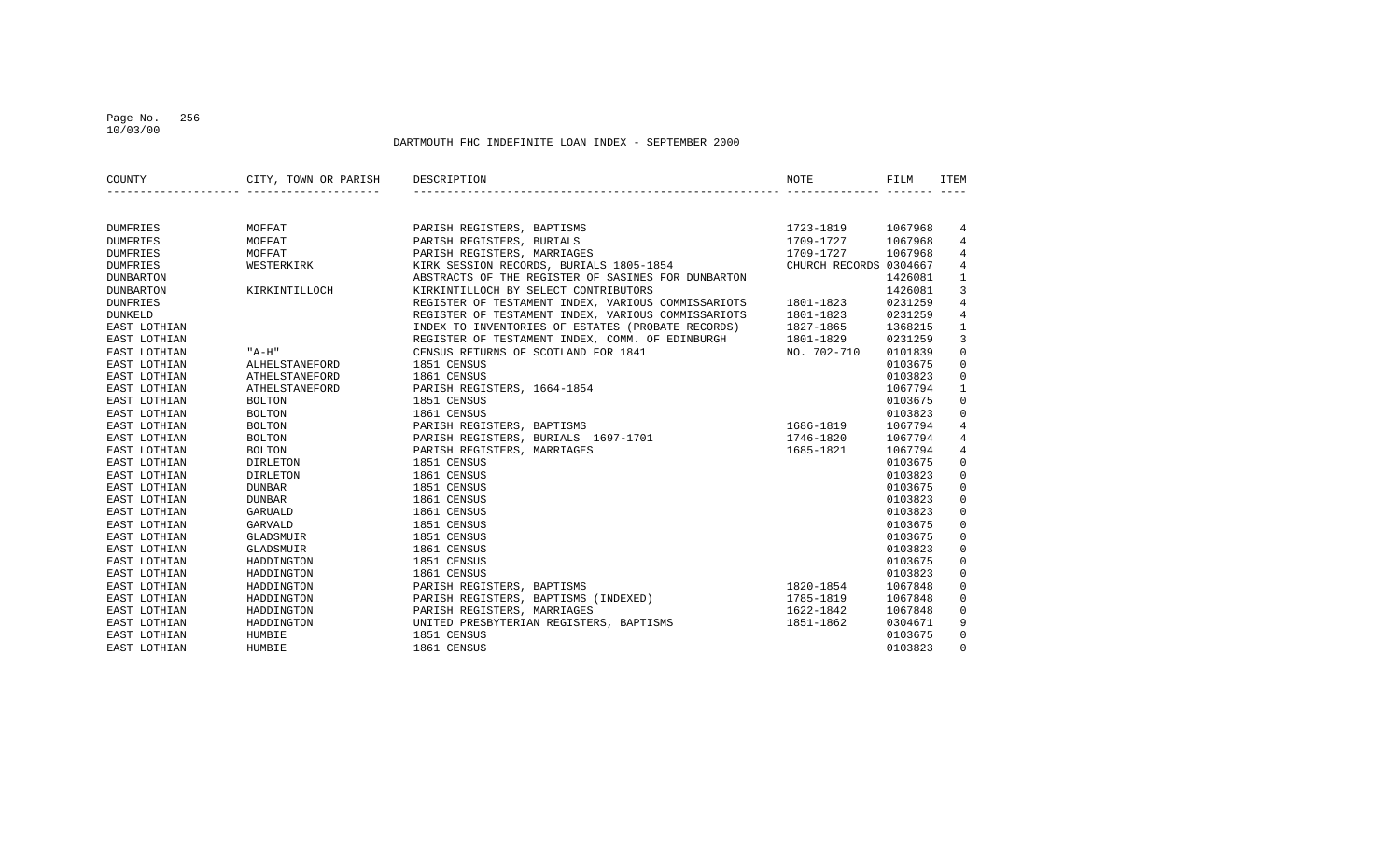## Page No. 256 10/03/00

| COUNTY           | CITY, TOWN OR PARISH | DESCRIPTION                                        | <b>NOTE</b>            | FILM    | ITEM           |
|------------------|----------------------|----------------------------------------------------|------------------------|---------|----------------|
|                  |                      |                                                    |                        |         |                |
| <b>DUMFRIES</b>  | MOFFAT               | PARISH REGISTERS, BAPTISMS                         | 1723-1819              | 1067968 | 4              |
| <b>DUMFRIES</b>  | MOFFAT               | PARISH REGISTERS, BURIALS                          | 1709-1727              | 1067968 | 4              |
| <b>DUMFRIES</b>  | MOFFAT               | PARISH REGISTERS, MARRIAGES                        | 1709-1727              | 1067968 | 4              |
| <b>DUMFRIES</b>  | WESTERKIRK           | KIRK SESSION RECORDS, BURIALS 1805-1854            | CHURCH RECORDS 0304667 |         | 4              |
| <b>DUNBARTON</b> |                      | ABSTRACTS OF THE REGISTER OF SASINES FOR DUNBARTON |                        | 1426081 | $\mathbf{1}$   |
| <b>DUNBARTON</b> | KIRKINTILLOCH        | KIRKINTILLOCH BY SELECT CONTRIBUTORS               |                        | 1426081 | 3              |
| DUNFRIES         |                      | REGISTER OF TESTAMENT INDEX, VARIOUS COMMISSARIOTS | 1801-1823              | 0231259 | $\overline{4}$ |
| <b>DUNKELD</b>   |                      | REGISTER OF TESTAMENT INDEX, VARIOUS COMMISSARIOTS | 1801-1823              | 0231259 | $\overline{4}$ |
| EAST LOTHIAN     |                      | INDEX TO INVENTORIES OF ESTATES (PROBATE RECORDS)  | 1827-1865              | 1368215 | $\mathbf{1}$   |
| EAST LOTHIAN     |                      | REGISTER OF TESTAMENT INDEX, COMM. OF EDINBURGH    | 1801-1829              | 0231259 | 3              |
| EAST LOTHIAN     | " A-H"               | CENSUS RETURNS OF SCOTLAND FOR 1841                | NO. 702-710            | 0101839 | $\mathsf 0$    |
| EAST LOTHIAN     | ALHELSTANEFORD       | 1851 CENSUS                                        |                        | 0103675 | $\mathbf 0$    |
| EAST LOTHIAN     | ATHELSTANEFORD       | 1861 CENSUS                                        |                        | 0103823 | $\mathbf 0$    |
| EAST LOTHIAN     | ATHELSTANEFORD       | PARISH REGISTERS, 1664-1854                        |                        | 1067794 | $\mathbf{1}$   |
| EAST LOTHIAN     | <b>BOLTON</b>        | 1851 CENSUS                                        |                        | 0103675 | $\mathbf 0$    |
| EAST LOTHIAN     | <b>BOLTON</b>        | 1861 CENSUS                                        |                        | 0103823 | $\mathbf 0$    |
| EAST LOTHIAN     | <b>BOLTON</b>        | PARISH REGISTERS, BAPTISMS                         | 1686-1819              | 1067794 | 4              |
| EAST LOTHIAN     | <b>BOLTON</b>        | PARISH REGISTERS, BURIALS 1697-1701                | 1746-1820              | 1067794 | $\overline{4}$ |
| EAST LOTHIAN     | <b>BOLTON</b>        | PARISH REGISTERS, MARRIAGES                        | 1685-1821              | 1067794 | $\overline{4}$ |
| EAST LOTHIAN     | DIRLETON             | 1851 CENSUS                                        |                        | 0103675 | $\mathbf 0$    |
| EAST LOTHIAN     | DIRLETON             | 1861 CENSUS                                        |                        | 0103823 | $\mathsf 0$    |
| EAST LOTHIAN     | <b>DUNBAR</b>        | 1851 CENSUS                                        |                        | 0103675 | $\mathsf 0$    |
| EAST LOTHIAN     | <b>DUNBAR</b>        | 1861 CENSUS                                        |                        | 0103823 | $\mathsf 0$    |
| EAST LOTHIAN     | GARUALD              | 1861 CENSUS                                        |                        | 0103823 | $\mathbf 0$    |
| EAST LOTHIAN     | GARVALD              | 1851 CENSUS                                        |                        | 0103675 | $\mathbf 0$    |
| EAST LOTHIAN     | GLADSMUIR            | 1851 CENSUS                                        |                        | 0103675 | $\mathbf 0$    |
| EAST LOTHIAN     | GLADSMUIR            | 1861 CENSUS                                        |                        | 0103823 | $\mathbf 0$    |
| EAST LOTHIAN     | HADDINGTON           | 1851 CENSUS                                        |                        | 0103675 | $\mathbf 0$    |
| EAST LOTHIAN     | HADDINGTON           | 1861 CENSUS                                        |                        | 0103823 | $\mathbf 0$    |
| EAST LOTHIAN     | HADDINGTON           | PARISH REGISTERS, BAPTISMS                         | 1820-1854              | 1067848 | $\mathbf 0$    |
| EAST LOTHIAN     | HADDINGTON           | PARISH REGISTERS, BAPTISMS (INDEXED)               | 1785-1819              | 1067848 | $\mathbf 0$    |
| EAST LOTHIAN     | HADDINGTON           | PARISH REGISTERS, MARRIAGES                        | 1622-1842              | 1067848 | $\mathbf 0$    |
| EAST LOTHIAN     | HADDINGTON           | UNITED PRESBYTERIAN REGISTERS, BAPTISMS            | 1851-1862              | 0304671 | 9              |
| EAST LOTHIAN     | HUMBIE               | 1851 CENSUS                                        |                        | 0103675 | $\mathbf 0$    |
| EAST LOTHIAN     | HUMBIE               | 1861 CENSUS                                        |                        | 0103823 | $\mathbf 0$    |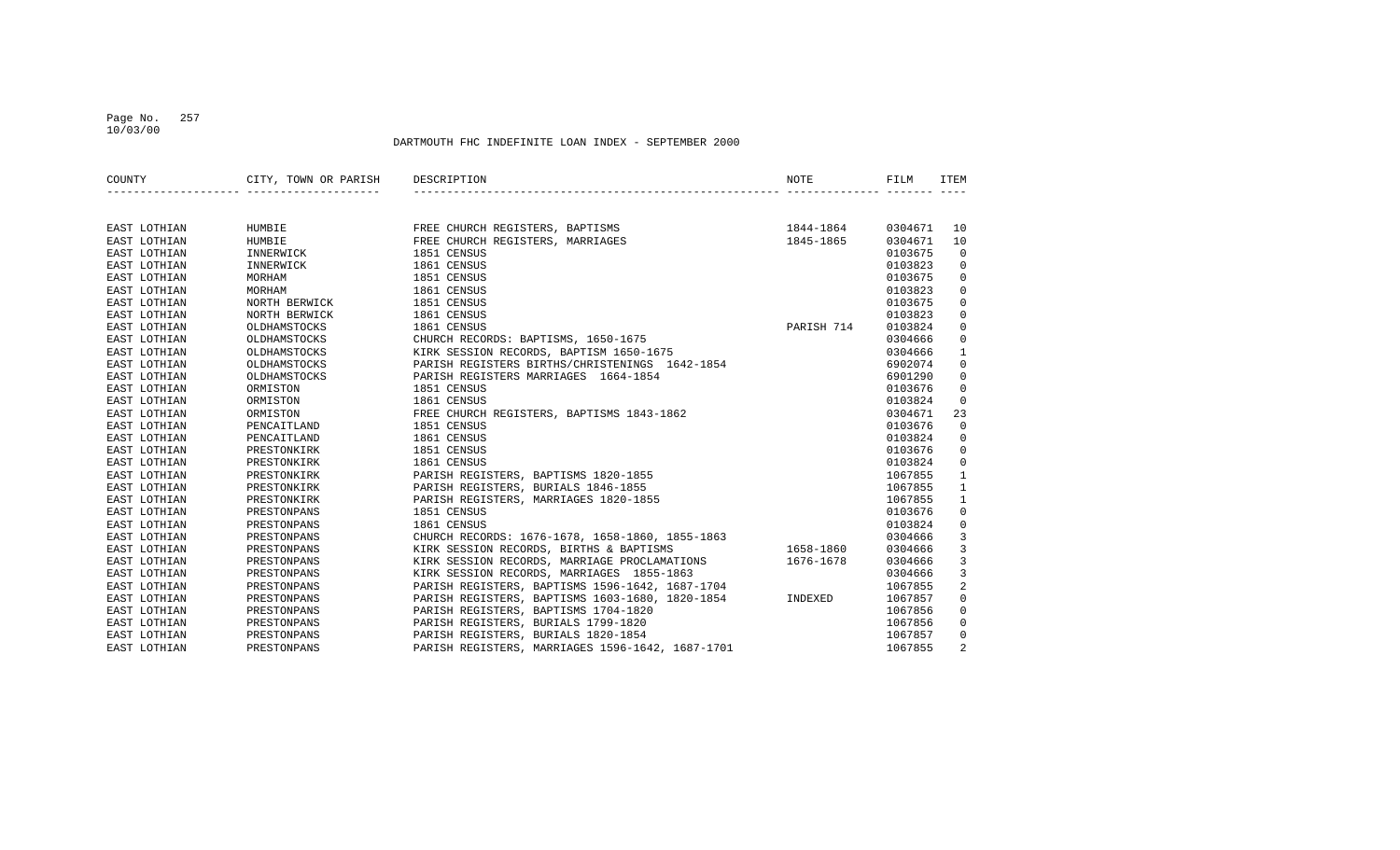### Page No. 257 10/03/00

| COUNTY       | CITY, TOWN OR PARISH             | DESCRIPTION                                             | NOTE       | FILM    | ITEM           |
|--------------|----------------------------------|---------------------------------------------------------|------------|---------|----------------|
|              | ________________________________ |                                                         |            |         |                |
| EAST LOTHIAN | HUMBIE                           | FREE CHURCH REGISTERS, BAPTISMS                         | 1844-1864  | 0304671 | 10             |
| EAST LOTHIAN | HUMBIE                           | FREE CHURCH REGISTERS, MARRIAGES                        | 1845-1865  | 0304671 | 10             |
| EAST LOTHIAN | INNERWICK                        | 1851 CENSUS                                             |            | 0103675 | $\mathbf 0$    |
| EAST LOTHIAN | INNERWICK                        | 1861 CENSUS                                             |            | 0103823 | 0              |
| EAST LOTHIAN | MORHAM                           | 1851 CENSUS                                             |            | 0103675 | $\mathbf 0$    |
| EAST LOTHIAN | MORHAM                           | 1861 CENSUS                                             |            | 0103823 | $\mathbf 0$    |
| EAST LOTHIAN | NORTH BERWICK                    | 1851 CENSUS                                             |            | 0103675 | $\mathbf 0$    |
| EAST LOTHIAN | NORTH BERWICK                    | 1861 CENSUS                                             |            | 0103823 | $\mathbf 0$    |
| EAST LOTHIAN | OLDHAMSTOCKS                     | 1861 CENSUS                                             | PARISH 714 | 0103824 | $\mathbf 0$    |
| EAST LOTHIAN | OLDHAMSTOCKS                     | CHURCH RECORDS: BAPTISMS, 1650-1675                     |            | 0304666 | $\mathbf 0$    |
| EAST LOTHIAN | OLDHAMSTOCKS                     | KIRK SESSION RECORDS, BAPTISM 1650-1675                 |            | 0304666 | $\mathbf{1}$   |
| EAST LOTHIAN | OLDHAMSTOCKS                     | PARISH REGISTERS BIRTHS/CHRISTENINGS 1642-1854          |            | 6902074 | $\mathbf 0$    |
| EAST LOTHIAN | OLDHAMSTOCKS                     | PARISH REGISTERS MARRIAGES 1664-1854                    |            | 6901290 | $\mathbf 0$    |
| EAST LOTHIAN | ORMISTON                         | 1851 CENSUS                                             |            | 0103676 | 0              |
| EAST LOTHIAN | ORMISTON                         | 1861 CENSUS                                             |            | 0103824 | $\overline{0}$ |
| EAST LOTHIAN | ORMISTON                         | FREE CHURCH REGISTERS, BAPTISMS 1843-1862               |            | 0304671 | 23             |
| EAST LOTHIAN | PENCAITLAND                      | 1851 CENSUS                                             |            | 0103676 | $\mathbf 0$    |
| EAST LOTHIAN | PENCAITLAND                      | 1861 CENSUS                                             |            | 0103824 | 0              |
| EAST LOTHIAN | PRESTONKIRK                      | 1851 CENSUS                                             |            | 0103676 | $\mathbf{0}$   |
| EAST LOTHIAN | PRESTONKIRK                      | 1861 CENSUS                                             |            | 0103824 | $\overline{0}$ |
| EAST LOTHIAN | PRESTONKIRK                      | PARISH REGISTERS, BAPTISMS 1820-1855                    |            | 1067855 | $\mathbf{1}$   |
| EAST LOTHIAN | PRESTONKIRK                      | PARISH REGISTERS, BURIALS 1846-1855                     |            | 1067855 | $\mathbf{1}$   |
| EAST LOTHIAN | PRESTONKIRK                      | PARISH REGISTERS, MARRIAGES 1820-1855                   |            | 1067855 | $\mathbf{1}$   |
| EAST LOTHIAN | PRESTONPANS                      | 1851 CENSUS                                             |            | 0103676 | $\mathbf 0$    |
| EAST LOTHIAN | PRESTONPANS                      | 1861 CENSUS                                             |            | 0103824 | $\mathbf 0$    |
| EAST LOTHIAN | PRESTONPANS                      | CHURCH RECORDS: 1676-1678, 1658-1860, 1855-1863         |            | 0304666 | 3              |
| EAST LOTHIAN | PRESTONPANS                      | KIRK SESSION RECORDS, BIRTHS & BAPTISMS                 | 1658-1860  | 0304666 | 3              |
| EAST LOTHIAN | PRESTONPANS                      | KIRK SESSION RECORDS, MARRIAGE PROCLAMATIONS            | 1676-1678  | 0304666 | 3              |
| EAST LOTHIAN | PRESTONPANS                      | KIRK SESSION RECORDS, MARRIAGES 1855-1863               |            | 0304666 | 3              |
| EAST LOTHIAN | PRESTONPANS                      | PARISH REGISTERS, BAPTISMS 1596-1642, 1687-1704         |            | 1067855 | $\overline{2}$ |
| EAST LOTHIAN | PRESTONPANS                      | PARISH REGISTERS, BAPTISMS 1603-1680, 1820-1854 INDEXED |            | 1067857 | $\mathbf 0$    |
| EAST LOTHIAN | PRESTONPANS                      | PARISH REGISTERS, BAPTISMS 1704-1820                    |            | 1067856 | $\mathbf 0$    |
| EAST LOTHIAN | PRESTONPANS                      | PARISH REGISTERS, BURIALS 1799-1820                     |            | 1067856 | 0              |
| EAST LOTHIAN | PRESTONPANS                      | PARISH REGISTERS, BURIALS 1820-1854                     |            | 1067857 | $\overline{0}$ |
| EAST LOTHIAN | PRESTONPANS                      | PARISH REGISTERS, MARRIAGES 1596-1642, 1687-1701        |            | 1067855 | $\overline{a}$ |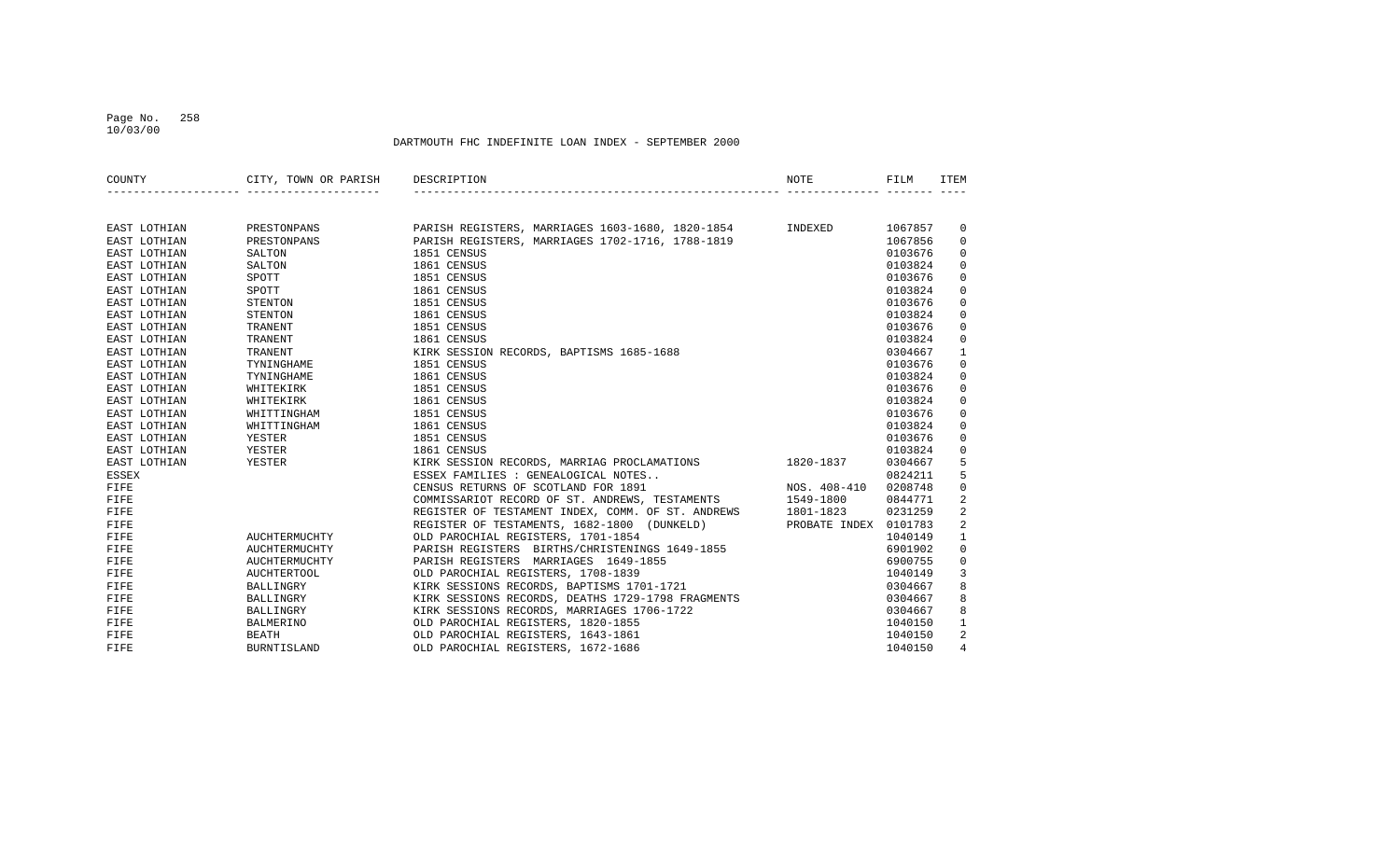### Page No. 258 10/03/00

| COUNTY       | CITY, TOWN OR PARISH DESCRIPTION  |                                                                                                                                                                           | NOTE                  | FILM    | <b>TTEM</b>    |
|--------------|-----------------------------------|---------------------------------------------------------------------------------------------------------------------------------------------------------------------------|-----------------------|---------|----------------|
|              | _________________________________ |                                                                                                                                                                           |                       |         |                |
| EAST LOTHIAN | PRESTONPANS                       | PARISH REGISTERS, MARRIAGES 1603-1680, 1820-1854 INDEXED                                                                                                                  |                       | 1067857 | 0              |
| EAST LOTHIAN | PRESTONPANS                       | PARISH REGISTERS, MARRIAGES 1702-1716, 1788-1819                                                                                                                          |                       | 1067856 | 0              |
| EAST LOTHIAN | SALTON                            | 1851 CENSUS                                                                                                                                                               |                       | 0103676 | 0              |
| EAST LOTHIAN | SALTON                            | 1861 CENSUS                                                                                                                                                               |                       | 0103824 | $\mathbf 0$    |
| EAST LOTHIAN | SPOTT                             | 1851 CENSUS                                                                                                                                                               |                       | 0103676 | $\mathbf 0$    |
| EAST LOTHIAN | SPOTT                             | 1861 CENSUS                                                                                                                                                               |                       | 0103824 | $\mathbf 0$    |
| EAST LOTHIAN | STENTON                           | 1851 CENSUS                                                                                                                                                               |                       | 0103676 | $\mathbf 0$    |
| EAST LOTHIAN | STENTON                           | 1861 CENSUS                                                                                                                                                               |                       | 0103824 | $\mathbf 0$    |
| EAST LOTHIAN | TRANENT                           | 1851 CENSUS                                                                                                                                                               |                       | 0103676 | $\mathbf 0$    |
| EAST LOTHIAN | TRANENT                           | 1861 CENSUS                                                                                                                                                               |                       | 0103824 | $\mathbf 0$    |
| EAST LOTHIAN | TRANENT                           | KIRK SESSION RECORDS, BAPTISMS 1685-1688                                                                                                                                  |                       | 0304667 | $\mathbf{1}$   |
| EAST LOTHIAN | TYNINGHAME                        | 1851 CENSUS                                                                                                                                                               |                       | 0103676 | $\mathsf 0$    |
| EAST LOTHIAN | TYNINGHAME                        | 1861 CENSUS                                                                                                                                                               |                       | 0103824 | $\mathbf 0$    |
| EAST LOTHIAN | WHITEKIRK                         | 1851 CENSUS                                                                                                                                                               |                       | 0103676 | $\mathbf 0$    |
| EAST LOTHIAN | WHITEKIRK                         | 1861 CENSUS                                                                                                                                                               |                       | 0103824 | $\mathbf 0$    |
| EAST LOTHIAN | WHITTINGHAM                       | 1851 CENSUS                                                                                                                                                               |                       | 0103676 | $\mathbf 0$    |
| EAST LOTHIAN | WHITTINGHAM                       | 1861 CENSUS                                                                                                                                                               |                       | 0103824 | $\mathbf 0$    |
| EAST LOTHIAN | YESTER                            | 1851 CENSUS                                                                                                                                                               |                       | 0103676 | $\mathbf 0$    |
| EAST LOTHIAN | YESTER                            | 1861 CENSUS                                                                                                                                                               |                       | 0103824 | $\mathbf 0$    |
| EAST LOTHIAN | YESTER                            | KIRK SESSION RECORDS, MARRIAG PROCLAMATIONS 1820-1837                                                                                                                     |                       | 0304667 | 5              |
| <b>ESSEX</b> |                                   | ESSEX FAMILIES : GENEALOGICAL NOTES                                                                                                                                       |                       | 0824211 | 5              |
| FIFE         |                                   | CENSUS RETURNS OF SCOTLAND FOR 1891                                                                                                                                       | NOS. 408-410          | 0208748 | $\mathsf 0$    |
| FIFE         |                                   |                                                                                                                                                                           |                       | 0844771 | 2              |
| FIFE         |                                   |                                                                                                                                                                           |                       | 0231259 | $\overline{a}$ |
| FIFE         |                                   | REGISTER OF TESTAMENT INDEX, COMM. OF ST. ANDREWS 1549-1800<br>REGISTER OF TESTAMENT INDEX, COMM. OF ST. ANDREWS 1801-1823<br>REGISTER OF TESTAMENTS, 1682-1800 (DINKELD) | PROBATE INDEX 0101783 |         | 2              |
| FIFE         | AUCHTERMUCHTY                     | OLD PAROCHIAL REGISTERS, 1701-1854                                                                                                                                        |                       | 1040149 | $\mathbf{1}$   |
| FIFE         | AUCHTERMUCHTY                     | PARISH REGISTERS BIRTHS/CHRISTENINGS 1649-1855                                                                                                                            |                       | 6901902 | $\mathbf 0$    |
| FIFE         | AUCHTERMUCHTY                     | PARISH REGISTERS MARRIAGES 1649-1855                                                                                                                                      |                       | 6900755 | $\mathbf 0$    |
| FIFE         | <b>AUCHTERTOOL</b>                | OLD PAROCHIAL REGISTERS, 1708-1839                                                                                                                                        |                       | 1040149 | 3              |
| FIFE         | BALLINGRY                         | KIRK SESSIONS RECORDS, BAPTISMS 1701-1721                                                                                                                                 |                       | 0304667 | 8              |
| FIFE         | BALLINGRY                         | KIRK SESSIONS RECORDS, DEATHS 1729-1798 FRAGMENTS                                                                                                                         |                       | 0304667 | 8              |
| FIFE         | BALLINGRY                         | KIRK SESSIONS RECORDS, MARRIAGES 1706-1722                                                                                                                                |                       | 0304667 | 8              |
| FIFE         | BALMERINO                         | OLD PAROCHIAL REGISTERS, 1820-1855                                                                                                                                        |                       | 1040150 | 1              |
| FIFE         | <b>BEATH</b>                      | OLD PAROCHIAL REGISTERS, 1643-1861                                                                                                                                        |                       | 1040150 | 2              |
| FIFE         | <b>BURNTISLAND</b>                | OLD PAROCHIAL REGISTERS, 1672-1686                                                                                                                                        |                       | 1040150 | $\overline{4}$ |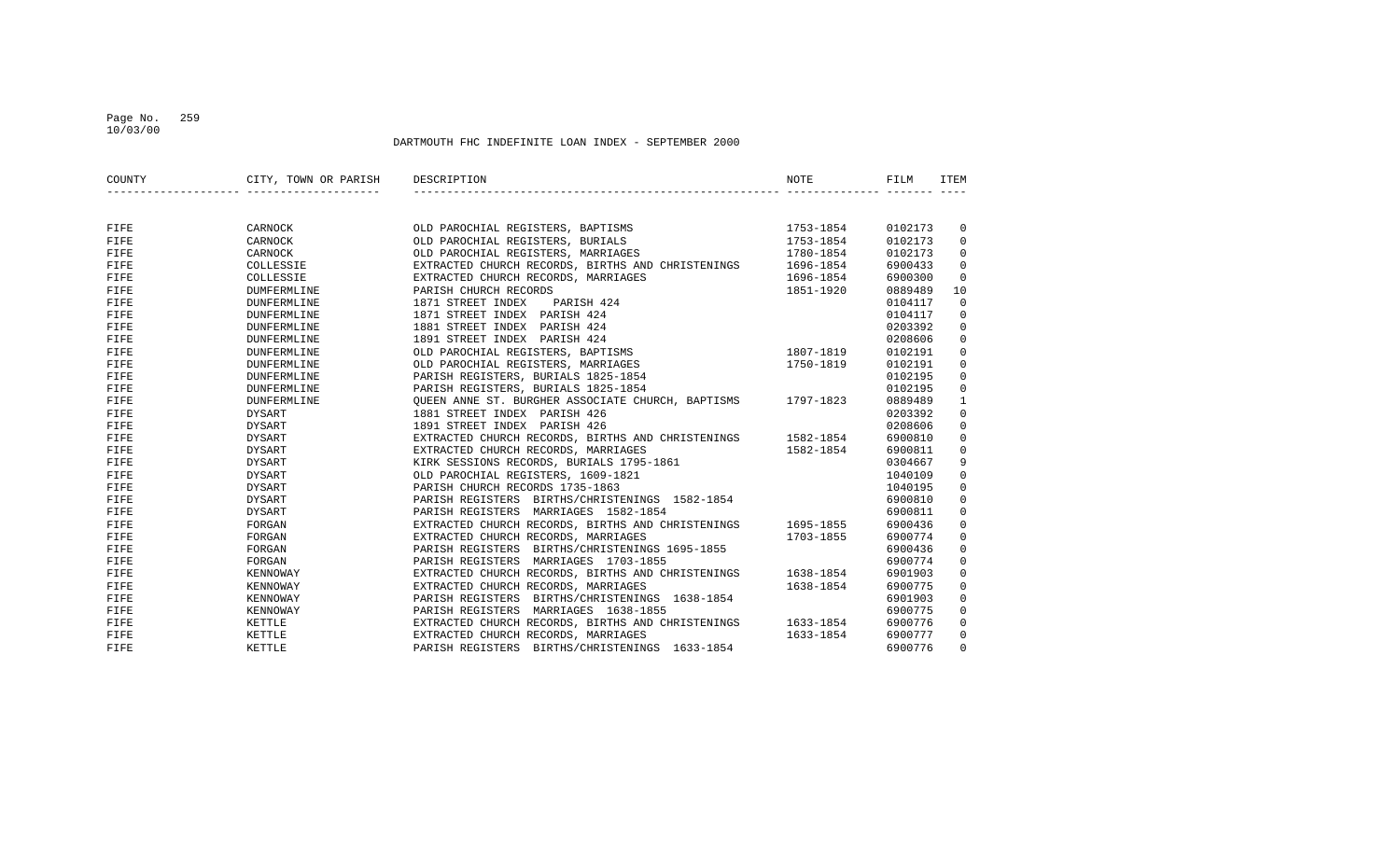## Page No. 259 10/03/00

| COUNTY | CITY, TOWN OR PARISH | DESCRIPTION                                                 | NOTE      | FILM    | <b>ITEM</b>  |
|--------|----------------------|-------------------------------------------------------------|-----------|---------|--------------|
|        |                      |                                                             |           |         |              |
| FIFE   | CARNOCK              | OLD PAROCHIAL REGISTERS, BAPTISMS                           | 1753-1854 | 0102173 | 0            |
| FIFE   | CARNOCK              | OLD PAROCHIAL REGISTERS, BURIALS                            | 1753-1854 | 0102173 | 0            |
| FIFE   | CARNOCK              | OLD PAROCHIAL REGISTERS, MARRIAGES                          | 1780-1854 | 0102173 | $\mathbf 0$  |
| FIFE   | COLLESSIE            | EXTRACTED CHURCH RECORDS, BIRTHS AND CHRISTENINGS 1696-1854 |           | 6900433 | $\mathbf 0$  |
| FIFE   | COLLESSIE            | EXTRACTED CHURCH RECORDS, MARRIAGES                         | 1696-1854 | 6900300 | $\mathbf 0$  |
| FIFE   | <b>DUMFERMLINE</b>   | PARISH CHURCH RECORDS                                       | 1851-1920 | 0889489 | 10           |
| FIFE   | DUNFERMLINE          | 1871 STREET INDEX<br>PARISH 424                             |           | 0104117 | $\mathbf 0$  |
| FIFE   | <b>DUNFERMLINE</b>   | 1871 STREET INDEX PARISH 424                                |           | 0104117 | $\mathbf 0$  |
| FIFE   | <b>DUNFERMLINE</b>   | 1881 STREET INDEX PARISH 424                                |           | 0203392 | $\mathbf 0$  |
| FIFE   | <b>DUNFERMLINE</b>   | 1891 STREET INDEX PARISH 424                                |           | 0208606 | $\mathbf 0$  |
| FIFE   | <b>DUNFERMLINE</b>   | OLD PAROCHIAL REGISTERS, BAPTISMS                           | 1807-1819 | 0102191 | $\mathbf 0$  |
| FIFE   | <b>DUNFERMLINE</b>   | OLD PAROCHIAL REGISTERS, MARRIAGES                          | 1750-1819 | 0102191 | $\mathbf 0$  |
| FIFE   | <b>DUNFERMLINE</b>   | PARISH REGISTERS, BURIALS 1825-1854                         |           | 0102195 | 0            |
| FIFE   | <b>DUNFERMLINE</b>   | PARISH REGISTERS, BURIALS 1825-1854                         |           | 0102195 | $\mathbf 0$  |
| FIFE   | <b>DUNFERMLINE</b>   | OUEEN ANNE ST. BURGHER ASSOCIATE CHURCH, BAPTISMS 1797-1823 |           | 0889489 | $\mathbf{1}$ |
| FIFE   | DYSART               | 1881 STREET INDEX PARISH 426                                |           | 0203392 | $\mathbf 0$  |
| FIFE   | DYSART               | 1891 STREET INDEX PARISH 426                                |           | 0208606 | $\mathbf 0$  |
| FIFE   | DYSART               | EXTRACTED CHURCH RECORDS, BIRTHS AND CHRISTENINGS 1582-1854 |           | 6900810 | $\mathbf 0$  |
| FIFE   | DYSART               | EXTRACTED CHURCH RECORDS, MARRIAGES                         | 1582-1854 | 6900811 | $\mathbf 0$  |
| FIFE   | DYSART               | KIRK SESSIONS RECORDS, BURIALS 1795-1861                    |           | 0304667 | 9            |
| FIFE   | <b>DYSART</b>        | OLD PAROCHIAL REGISTERS, 1609-1821                          |           | 1040109 | $\mathsf 0$  |
| FIFE   | <b>DYSART</b>        | PARISH CHURCH RECORDS 1735-1863                             |           | 1040195 | $\mathbf 0$  |
| FIFE   | DYSART               | PARISH REGISTERS BIRTHS/CHRISTENINGS 1582-1854              |           | 6900810 | $\mathbf 0$  |
| FIFE   | <b>DYSART</b>        | PARISH REGISTERS MARRIAGES 1582-1854                        |           | 6900811 | $\mathbf 0$  |
| FIFE   | FORGAN               | EXTRACTED CHURCH RECORDS, BIRTHS AND CHRISTENINGS 1695-1855 |           | 6900436 | $\mathbf 0$  |
| FIFE   | FORGAN               | EXTRACTED CHURCH RECORDS, MARRIAGES                         | 1703-1855 | 6900774 | $\mathbf 0$  |
| FIFE   | FORGAN               | PARISH REGISTERS BIRTHS/CHRISTENINGS 1695-1855              |           | 6900436 | $\mathbf 0$  |
| FIFE   | FORGAN               | PARISH REGISTERS MARRIAGES 1703-1855                        |           | 6900774 | $\mathbf 0$  |
| FIFE   | KENNOWAY             | EXTRACTED CHURCH RECORDS, BIRTHS AND CHRISTENINGS 1638-1854 |           | 6901903 | $\mathbf 0$  |
| FIFE   | KENNOWAY             | EXTRACTED CHURCH RECORDS, MARRIAGES                         | 1638-1854 | 6900775 | $\mathbf 0$  |
| FIFE   | KENNOWAY             | PARISH REGISTERS BIRTHS/CHRISTENINGS 1638-1854              |           | 6901903 | $\mathbf 0$  |
| FIFE   | KENNOWAY             | PARISH REGISTERS MARRIAGES 1638-1855                        |           | 6900775 | $\mathbf 0$  |
| FIFE   | KETTLE               | EXTRACTED CHURCH RECORDS, BIRTHS AND CHRISTENINGS 1633-1854 |           | 6900776 | $\mathbf 0$  |
| FIFE   | KETTLE               | EXTRACTED CHURCH RECORDS, MARRIAGES                         | 1633-1854 | 6900777 | $\mathbf 0$  |
| FIFE   | KETTLE               | PARISH REGISTERS BIRTHS/CHRISTENINGS 1633-1854              |           | 6900776 | $\Omega$     |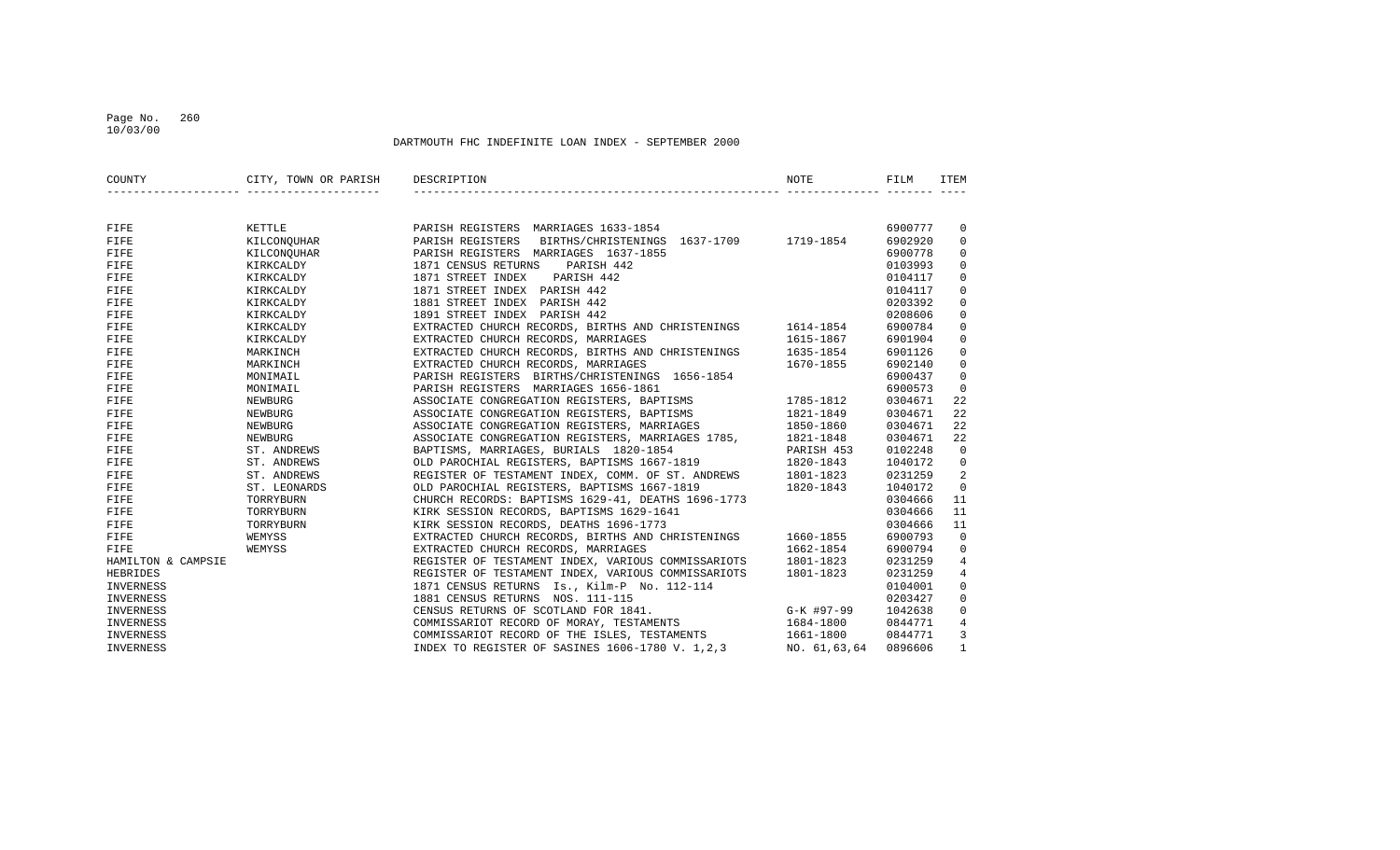## Page No. 260 10/03/00

| COUNTY             | CITY, TOWN OR PARISH DESCRIPTION |                                                                                                                                                                                                                                            | NOTE       | FILM    | ITEM           |
|--------------------|----------------------------------|--------------------------------------------------------------------------------------------------------------------------------------------------------------------------------------------------------------------------------------------|------------|---------|----------------|
|                    |                                  |                                                                                                                                                                                                                                            |            |         |                |
| FIFE               | KETTLE                           | PARISH REGISTERS MARRIAGES 1633-1854                                                                                                                                                                                                       |            | 6900777 | 0              |
| FIFE               | KILCONQUHAR                      | PARISH REGISTERS BIRTHS/CHRISTENINGS 1637-1709 1719-1854                                                                                                                                                                                   |            | 6902920 | $\mathbf 0$    |
| FIFE               | KILCONQUHAR                      | PARISH REGISTERS MARRIAGES 1637-1855                                                                                                                                                                                                       |            | 6900778 | 0              |
| FIFE               | KIRKCALDY                        | 1871 CENSUS RETURNS<br>PARISH 442                                                                                                                                                                                                          |            | 0103993 | $\Omega$       |
| FIFE               | KIRKCALDY                        | 1871 STREET INDEX<br>PARISH 442                                                                                                                                                                                                            |            | 0104117 | $\mathbf 0$    |
| FIFE               | KIRKCALDY                        | 1871 STREET INDEX PARISH 442                                                                                                                                                                                                               |            | 0104117 | $\mathbf 0$    |
| FIFE               | KIRKCALDY                        | 1881 STREET INDEX PARISH 442                                                                                                                                                                                                               |            | 0203392 | $\mathbf 0$    |
| FIFE               | KIRKCALDY                        | 1891 STREET INDEX PARISH 442                                                                                                                                                                                                               |            | 0208606 | $\mathbf 0$    |
| FIFE               | KIRKCALDY                        | EXTRACTED CHURCH RECORDS, BIRTHS AND CHRISTENINGS 1614-1854                                                                                                                                                                                |            | 6900784 | $\mathbf 0$    |
| FIFE               | KIRKCALDY                        | EXTRACTED CHURCH RECORDS, MARRIAGES                                                                                                                                                                                                        | 1615-1867  | 6901904 | $\mathbf 0$    |
| FIFE               | MARKINCH                         | EXTRACTED CHURCH RECORDS, BIRTHS AND CHRISTENINGS                                                                                                                                                                                          | 1635-1854  | 6901126 | 0              |
| FIFE               | MARKINCH                         | EXTRACTED CHURCH RECORDS, MARRIAGES                                                                                                                                                                                                        | 1670-1855  | 6902140 | $\mathbf 0$    |
| FIFE               | MONIMAIL                         | PARISH REGISTERS BIRTHS/CHRISTENINGS 1656-1854                                                                                                                                                                                             |            | 6900437 | $\mathbf 0$    |
| FIFE               | MONIMAIL                         | PARISH REGISTERS MARRIAGES 1656-1861                                                                                                                                                                                                       |            | 6900573 | $\mathbf 0$    |
| FIFE               | NEWBURG                          | PARISH REGISTERS MARRIAGES 1656-1861<br>ASSOCIATE CONGREGATION REGISTERS, BAPTISMS 1785-1812                                                                                                                                               |            | 0304671 | 22             |
| FIFE               | NEWBURG                          | ASSOCIATE CONGREGATION REGISTERS, BAPTISMS                                                                                                                                                                                                 | 1821-1849  | 0304671 | 22             |
| FIFE               | NEWBURG                          | ASSOCIATE CONGREGATION REGISTERS, MARRIAGES                                                                                                                                                                                                | 1850-1860  | 0304671 | 22             |
| FIFE               | NEWBURG                          | ASSOCIATE CONGREGATION REGISTERS, MARRIAGES 1785, 1821-1848                                                                                                                                                                                |            | 0304671 | 22             |
| FIFE               | ST. ANDREWS                      | BAPTISMS, MARRIAGES, BURIALS 1820-1854                                                                                                                                                                                                     | PARISH 453 | 0102248 | 0              |
| FIFE               | ST. ANDREWS                      | BAPTISMS, MARRIAGES, BURIALS 1820-1854<br>OLD PAROCHIAL REGISTERS, BAPTISMS 1667-1819                                                                                                                                                      | 1820-1843  | 1040172 | 0              |
| FIFE               | ST. ANDREWS                      |                                                                                                                                                                                                                                            |            | 0231259 | 2              |
| FIFE               | ST. LEONARDS                     |                                                                                                                                                                                                                                            |            | 1040172 | $\mathbf 0$    |
| FIFE               | TORRYBURN                        |                                                                                                                                                                                                                                            |            | 0304666 | 11             |
| FIFE               | TORRYBURN                        |                                                                                                                                                                                                                                            |            | 0304666 | 11             |
| FIFE               | TORRYBURN                        | REGISTER OF TESTAMENT INDEX, COMM. OF ST. ANDREWS 1801-1823<br>OLD PAROCHIAL REGISTERS, BAPTISMS 1667-1819 1820-1843<br>CHURCH RECORDS: BAPTISMS 1629-41, DEATHS 1696-1773<br>KIRK SESSION RECORDS, BAPTISMS 1629-1641<br>KIRK SESSION REC |            | 0304666 | 11             |
| FIFE               | WEMYSS                           | EXTRACTED CHURCH RECORDS, BIRTHS AND CHRISTENINGS 1660-1855                                                                                                                                                                                |            | 6900793 | 0              |
| FIFE               |                                  | EXTRACTED CHURCH RECORDS, MARRIAGES                                                                                                                                                                                                        | 1662-1854  | 6900794 | $\mathbf 0$    |
| HAMILTON & CAMPSIE |                                  | REGISTER OF TESTAMENT INDEX, VARIOUS COMMISSARIOTS                                                                                                                                                                                         | 1801-1823  | 0231259 | 4              |
| HEBRIDES           |                                  | REGISTER OF TESTAMENT INDEX, VARIOUS COMMISSARIOTS                                                                                                                                                                                         | 1801-1823  | 0231259 | $\overline{4}$ |
| INVERNESS          |                                  | 1871 CENSUS RETURNS Is., Kilm-P No. 112-114                                                                                                                                                                                                |            | 0104001 | $\mathbf 0$    |
| INVERNESS          |                                  | 1881 CENSUS RETURNS NOS. 111-115                                                                                                                                                                                                           |            | 0203427 | 0              |
| INVERNESS          |                                  |                                                                                                                                                                                                                                            |            | 1042638 | $\mathbf 0$    |
| INVERNESS          |                                  | CENSUS RETURNS OF SCOTLAND FOR 1841.<br>COMMISSARIOT RECORD OF MORAY, TESTAMENTS 1684-1800<br>COMMISSARIOT RECORD OF MORAY, TESTAMENTS 1684-1800                                                                                           | 1684-1800  | 0844771 | 4              |
| INVERNESS          |                                  | COMMISSARIOT RECORD OF THE ISLES, TESTAMENTS                                                                                                                                                                                               | 1661-1800  | 0844771 | 3              |
| INVERNESS          | WEMYSS<br>WEMYSS<br>             | INDEX TO REGISTER OF SASINES 1606-1780 V. 1,2,3 NO. 61,63,64                                                                                                                                                                               |            | 0896606 | $\mathbf{1}$   |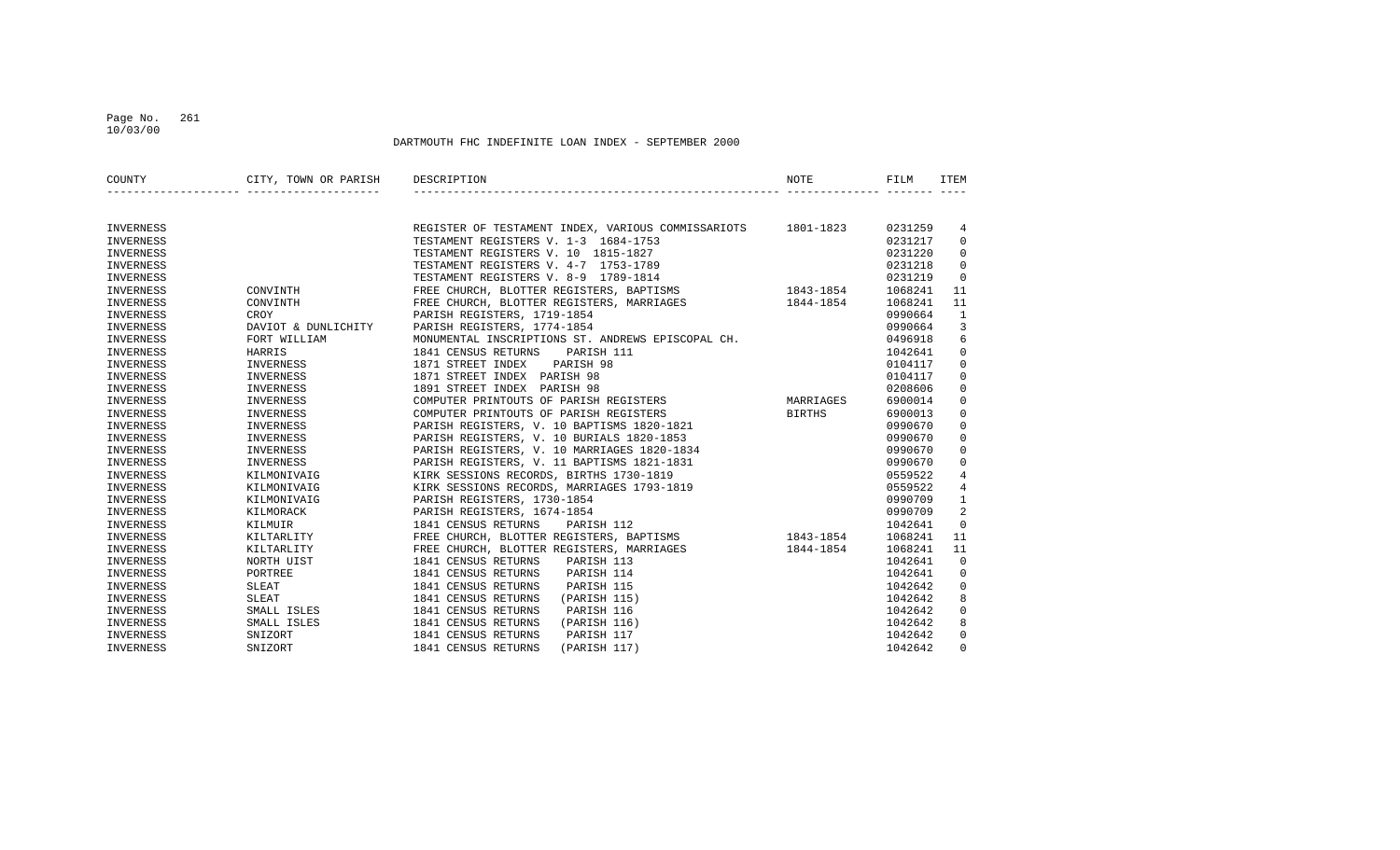### Page No. 261 10/03/00

| COUNTY           | CITY, TOWN OR PARISH DESCRIPTION |                                                              | <b>NOTE</b> | FILM    | ITEM           |
|------------------|----------------------------------|--------------------------------------------------------------|-------------|---------|----------------|
|                  |                                  |                                                              |             |         |                |
| INVERNESS        |                                  | REGISTER OF TESTAMENT INDEX, VARIOUS COMMISSARIOTS 1801-1823 |             | 0231259 | 4              |
| INVERNESS        |                                  | TESTAMENT REGISTERS V. 1-3 1684-1753                         |             | 0231217 | $\mathbf 0$    |
| INVERNESS        |                                  | TESTAMENT REGISTERS V. 10 1815-1827                          |             | 0231220 | $\mathbf 0$    |
| INVERNESS        |                                  | TESTAMENT REGISTERS V. 4-7 1753-1789                         |             | 0231218 | $\mathbf 0$    |
| INVERNESS        |                                  | TESTAMENT REGISTERS V. 8-9 1789-1814                         |             | 0231219 | $\Omega$       |
| INVERNESS        | CONVINTH                         | FREE CHURCH, BLOTTER REGISTERS, BAPTISMS 1843-1854           |             | 1068241 | 11             |
| INVERNESS        | CONVINTH                         | FREE CHURCH, BLOTTER REGISTERS, MARRIAGES 1844-1854          |             | 1068241 | 11             |
| <b>INVERNESS</b> | CROY                             | PARISH REGISTERS, 1719-1854                                  |             | 0990664 | $\mathbf{1}$   |
| <b>INVERNESS</b> | DAVIOT & DUNLICHITY              | PARISH REGISTERS, 1774-1854                                  |             | 0990664 | 3              |
| INVERNESS        | FORT WILLIAM                     | MONUMENTAL INSCRIPTIONS ST. ANDREWS EPISCOPAL CH.            |             | 0496918 | 6              |
| INVERNESS        | HARRIS                           | 1841 CENSUS RETURNS<br>PARISH 111                            |             | 1042641 | $\mathbf 0$    |
| INVERNESS        | INVERNESS                        | 1871 STREET INDEX<br>PARISH 98                               |             | 0104117 | $\mathbf 0$    |
| INVERNESS        | INVERNESS                        | 1871 STREET INDEX PARISH 98                                  |             | 0104117 | $\mathbf 0$    |
| <b>INVERNESS</b> | INVERNESS                        | 1891 STREET INDEX PARISH 98                                  |             | 0208606 | $\mathbf 0$    |
| INVERNESS        | INVERNESS                        | COMPUTER PRINTOUTS OF PARISH REGISTERS                       | MARRIAGES   | 6900014 | $\mathbf 0$    |
| INVERNESS        | INVERNESS                        | COMPUTER PRINTOUTS OF PARISH REGISTERS                       | BIRTHS      | 6900013 | $\mathbf 0$    |
| INVERNESS        | INVERNESS                        | PARISH REGISTERS, V. 10 BAPTISMS 1820-1821                   |             | 0990670 | $\mathbf 0$    |
| <b>INVERNESS</b> | INVERNESS                        | PARISH REGISTERS, V. 10 BURIALS 1820-1853                    |             | 0990670 | $\mathsf 0$    |
| INVERNESS        | INVERNESS                        | PARISH REGISTERS, V. 10 MARRIAGES 1820-1834                  |             | 0990670 | $\Omega$       |
| INVERNESS        | INVERNESS                        | PARISH REGISTERS, V. 11 BAPTISMS 1821-1831                   |             | 0990670 | $\Omega$       |
| INVERNESS        | KILMONIVAIG                      | KIRK SESSIONS RECORDS, BIRTHS 1730-1819                      |             | 0559522 | $\overline{4}$ |
| INVERNESS        | KILMONIVAIG                      | KIRK SESSIONS RECORDS, MARRIAGES 1793-1819                   |             | 0559522 | $\overline{4}$ |
| INVERNESS        | KILMONIVAIG                      | PARISH REGISTERS, 1730-1854                                  |             | 0990709 | $\mathbf{1}$   |
| <b>INVERNESS</b> | KILMORACK                        | PARISH REGISTERS, 1674-1854                                  |             | 0990709 | 2              |
| INVERNESS        | KILMUIR                          | 1841 CENSUS RETURNS<br>PARISH 112                            |             | 1042641 | $\mathbf 0$    |
| INVERNESS        | KILTARLITY                       | FREE CHURCH, BLOTTER REGISTERS, BAPTISMS                     | 1843-1854   | 1068241 | 11             |
| INVERNESS        | KILTARLITY                       | FREE CHURCH, BLOTTER REGISTERS, MARRIAGES                    | 1844-1854   | 1068241 | 11             |
| INVERNESS        | NORTH UIST                       | 1841 CENSUS RETURNS<br>PARISH 113                            |             | 1042641 | $\mathbf 0$    |
| <b>INVERNESS</b> | PORTREE                          | 1841 CENSUS RETURNS<br>PARISH 114                            |             | 1042641 | $\mathbf 0$    |
| <b>INVERNESS</b> | SLEAT                            | 1841 CENSUS RETURNS<br>PARISH 115                            |             | 1042642 | $\Omega$       |
| INVERNESS        | SLEAT                            | 1841 CENSUS RETURNS<br>(PARISH 115)                          |             | 1042642 | 8              |
| INVERNESS        | SMALL ISLES                      | 1841 CENSUS RETURNS<br>PARISH 116                            |             | 1042642 | $\mathbf 0$    |
| INVERNESS        | SMALL ISLES                      | 1841 CENSUS RETURNS<br>(PARISH 116)                          |             | 1042642 | 8              |
| INVERNESS        | SNIZORT                          | 1841 CENSUS RETURNS<br>PARISH 117                            |             | 1042642 | $\mathbf 0$    |
| INVERNESS        | SNIZORT                          | 1841 CENSUS RETURNS<br>(PARISH 117)                          |             | 1042642 | $\Omega$       |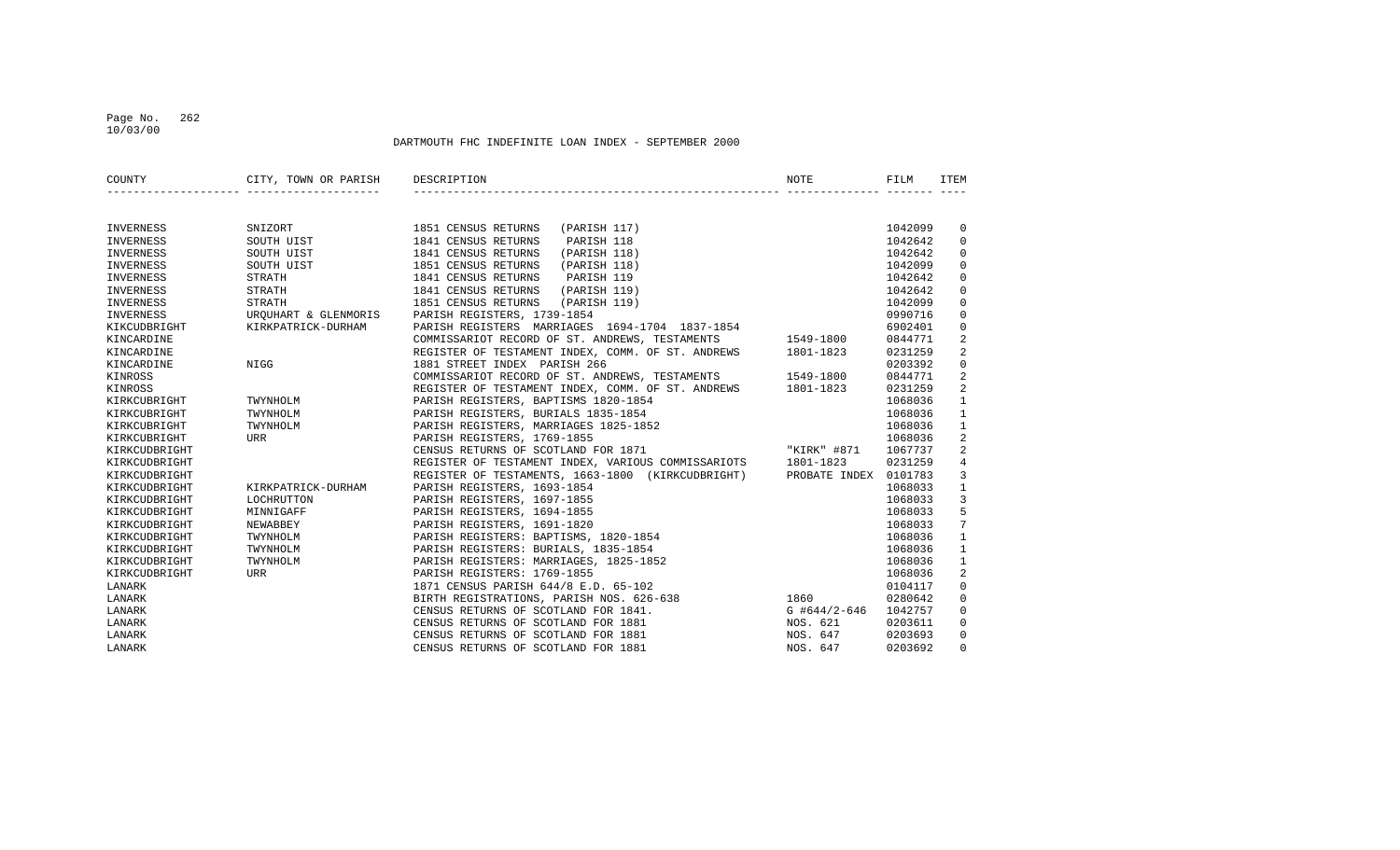### Page No. 262 10/03/00

| COUNTY           | CITY, TOWN OR PARISH | DESCRIPTION                                                 | NOTE                  | FILM    | <b>TTEM</b>    |
|------------------|----------------------|-------------------------------------------------------------|-----------------------|---------|----------------|
|                  |                      |                                                             |                       |         |                |
| INVERNESS        | SNIZORT              | 1851 CENSUS RETURNS<br>(PARISH 117)                         |                       | 1042099 | 0              |
| INVERNESS        | SOUTH UIST           | 1841 CENSUS RETURNS<br>PARISH 118                           |                       | 1042642 | $\mathbf 0$    |
| INVERNESS        | SOUTH UIST           | 1841 CENSUS RETURNS<br>(PARISH 118)                         |                       | 1042642 | $\mathbf 0$    |
| <b>INVERNESS</b> | SOUTH UIST           | 1851 CENSUS RETURNS<br>(PARISH 118)                         |                       | 1042099 | $\mathbf 0$    |
| INVERNESS        | <b>STRATH</b>        | 1841 CENSUS RETURNS<br>PARISH 119                           |                       | 1042642 | $\mathbf 0$    |
| INVERNESS        | <b>STRATH</b>        | 1841 CENSUS RETURNS<br>(PARISH 119)                         |                       | 1042642 | $\mathbf 0$    |
| INVERNESS        | <b>STRATH</b>        | 1851 CENSUS RETURNS<br>(PARISH 119)                         |                       | 1042099 | $\mathsf 0$    |
| INVERNESS        | UROUHART & GLENMORIS | PARISH REGISTERS, 1739-1854                                 |                       | 0990716 | $\mathbf 0$    |
| KIKCUDBRIGHT     | KIRKPATRICK-DURHAM   | PARISH REGISTERS MARRIAGES 1694-1704 1837-1854              |                       | 6902401 | $\mathbf 0$    |
| KINCARDINE       |                      | COMMISSARIOT RECORD OF ST. ANDREWS, TESTAMENTS              | 1549-1800             | 0844771 | 2              |
| KINCARDINE       |                      | REGISTER OF TESTAMENT INDEX, COMM. OF ST. ANDREWS           | 1801-1823             | 0231259 | 2              |
| KINCARDINE       | NIGG                 | 1881 STREET INDEX PARISH 266                                |                       | 0203392 | $\mathbf 0$    |
| KINROSS          |                      | COMMISSARIOT RECORD OF ST. ANDREWS, TESTAMENTS              | 1549-1800             | 0844771 | 2              |
| KINROSS          |                      | REGISTER OF TESTAMENT INDEX, COMM. OF ST. ANDREWS 1801-1823 |                       | 0231259 | $\overline{2}$ |
| KIRKCUBRIGHT     | TWYNHOLM             | PARISH REGISTERS, BAPTISMS 1820-1854                        |                       | 1068036 | $\mathbf{1}$   |
| KIRKCUBRIGHT     | TWYNHOLM             | PARISH REGISTERS, BURIALS 1835-1854                         |                       | 1068036 | $\mathbf{1}$   |
| KIRKCUBRIGHT     | TWYNHOLM             | PARISH REGISTERS, MARRIAGES 1825-1852                       |                       | 1068036 | $\mathbf{1}$   |
| KIRKCUBRIGHT     | URR                  | PARISH REGISTERS, 1769-1855                                 |                       | 1068036 | $\overline{a}$ |
| KIRKCUDBRIGHT    |                      | CENSUS RETURNS OF SCOTLAND FOR 1871                         | "KIRK" #871           | 1067737 | $\overline{2}$ |
| KIRKCUDBRIGHT    |                      | REGISTER OF TESTAMENT INDEX, VARIOUS COMMISSARIOTS          | 1801-1823             | 0231259 | $\overline{4}$ |
| KIRKCUDBRIGHT    |                      | REGISTER OF TESTAMENTS, 1663-1800 (KIRKCUDBRIGHT)           | PROBATE INDEX 0101783 |         | 3              |
| KIRKCUDBRIGHT    | KIRKPATRICK-DURHAM   | PARISH REGISTERS, 1693-1854                                 |                       | 1068033 | $\mathbf{1}$   |
| KIRKCUDBRIGHT    | LOCHRUTTON           | PARISH REGISTERS, 1697-1855                                 |                       | 1068033 | 3              |
| KIRKCUDBRIGHT    | MINNIGAFF            | PARISH REGISTERS, 1694-1855                                 |                       | 1068033 | 5              |
| KIRKCUDBRIGHT    | NEWABBEY             | PARISH REGISTERS, 1691-1820                                 |                       | 1068033 | 7              |
| KIRKCUDBRIGHT    | TWYNHOLM             | PARISH REGISTERS: BAPTISMS, 1820-1854                       |                       | 1068036 | $\mathbf{1}$   |
| KIRKCUDBRIGHT    | TWYNHOLM             | PARISH REGISTERS: BURIALS, 1835-1854                        |                       | 1068036 | $\mathbf{1}$   |
| KIRKCUDBRIGHT    | TWYNHOLM             | PARISH REGISTERS: MARRIAGES, 1825-1852                      |                       | 1068036 | $\mathbf{1}$   |
| KIRKCUDBRIGHT    | <b>URR</b>           | PARISH REGISTERS: 1769-1855                                 |                       | 1068036 | $\overline{a}$ |
| LANARK           |                      | 1871 CENSUS PARISH 644/8 E.D. 65-102                        |                       | 0104117 | $\mathbf 0$    |
| LANARK           |                      | BIRTH REGISTRATIONS, PARISH NOS. 626-638                    | 1860                  | 0280642 | $\mathbf{0}$   |
| LANARK           |                      | CENSUS RETURNS OF SCOTLAND FOR 1841.                        | G #644/2-646          | 1042757 | $\mathbf{0}$   |
| LANARK           |                      | CENSUS RETURNS OF SCOTLAND FOR 1881                         | NOS. 621              | 0203611 | $\mathbf 0$    |
| LANARK           |                      | CENSUS RETURNS OF SCOTLAND FOR 1881                         | NOS. 647              | 0203693 | $\mathbf 0$    |
| LANARK           |                      | CENSUS RETURNS OF SCOTLAND FOR 1881                         | NOS. 647              | 0203692 | $\Omega$       |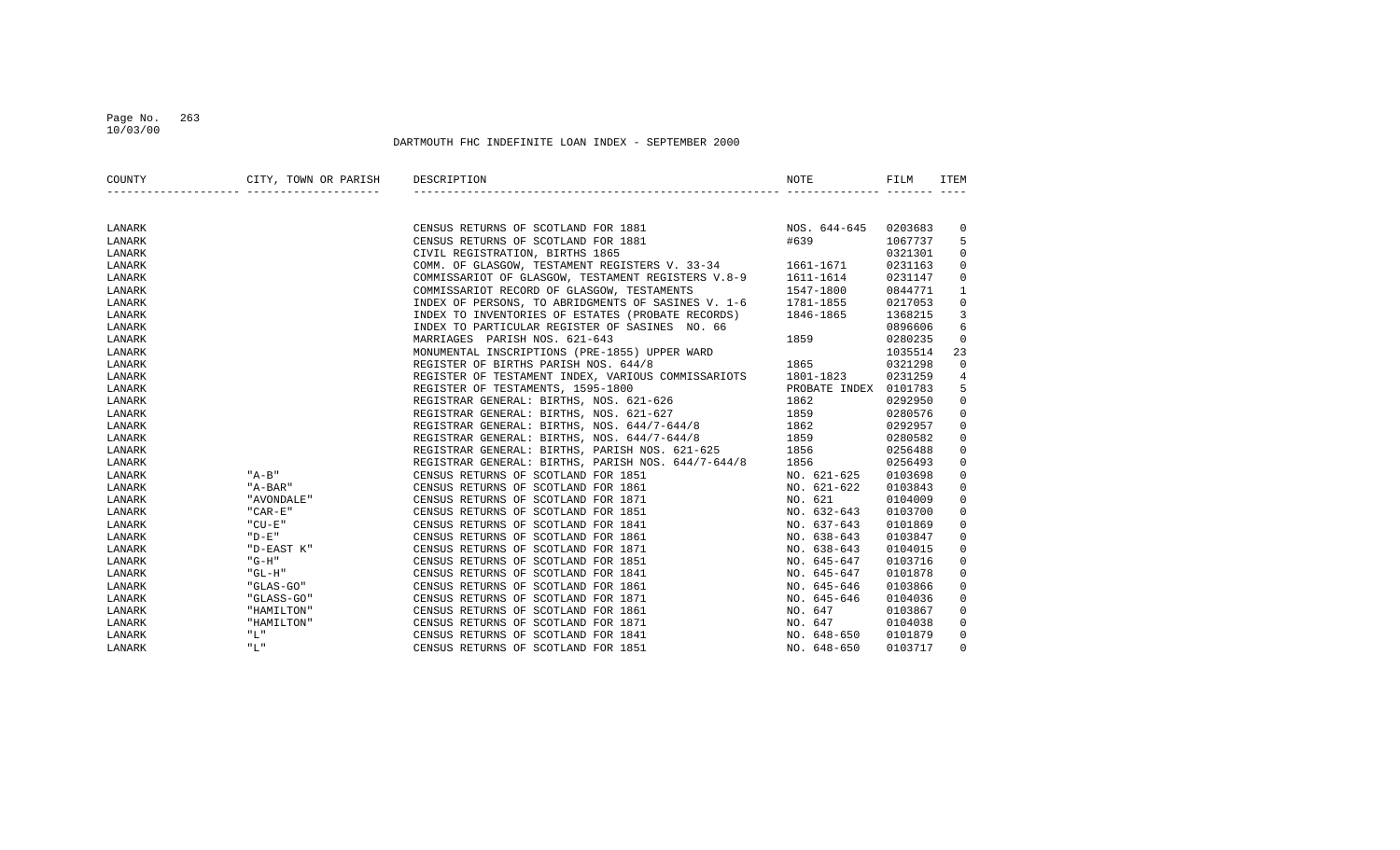## Page No. 263 10/03/00

| COUNTY | CITY, TOWN OR PARISH DESCRIPTION |                                                                                                                                                                                                                                        | NOTE        | FILM    | ITEM           |
|--------|----------------------------------|----------------------------------------------------------------------------------------------------------------------------------------------------------------------------------------------------------------------------------------|-------------|---------|----------------|
|        |                                  |                                                                                                                                                                                                                                        |             |         |                |
| LANARK |                                  | CENSUS RETURNS OF SCOTLAND FOR 1881 MOS. 644-645<br>CENSUS RETURNS OF SCOTLAND FOR 1881 #639<br>CIVIL REGISTRATION, BIRTHS 1865<br>COMM. OF GLASGOW, TESTAMENT REGISTERS V. 33-34 1661-1671                                            |             | 0203683 | 0              |
| LANARK |                                  |                                                                                                                                                                                                                                        |             | 1067737 | 5              |
| LANARK |                                  |                                                                                                                                                                                                                                        |             | 0321301 | $\mathbf{0}$   |
| LANARK |                                  |                                                                                                                                                                                                                                        |             | 0231163 | $\overline{0}$ |
| LANARK |                                  | COMMISSARIOT OF GLASGOW, TESTAMENT REGISTERS V.8-9 1611-1614                                                                                                                                                                           |             | 0231147 | $\overline{0}$ |
| LANARK |                                  | COMMISSARIOT RECORD OF GLASGOW, TESTAMENTS $1547-1800$<br>INDEX OF PERSONS, TO ABRIDGMENTS OF SASINES V. 1-6 $1781-1855$                                                                                                               |             | 0844771 | $\mathbf{1}$   |
| LANARK |                                  |                                                                                                                                                                                                                                        |             | 0217053 | $\mathbf 0$    |
| LANARK |                                  | INDEX TO INVENTORIES OF ESTATES (PROBATE RECORDS) 1846-1865                                                                                                                                                                            |             | 1368215 | 3              |
| LANARK |                                  |                                                                                                                                                                                                                                        |             |         | 6              |
| LANARK |                                  |                                                                                                                                                                                                                                        |             |         | $\mathbf{0}$   |
| LANARK |                                  |                                                                                                                                                                                                                                        |             |         | 23             |
| LANARK |                                  | NDEX TO PARTICULAR REGISTER OF SASINES NO. 66<br>MARRIAGES PARISH NOS. 621-643<br>MONUMENTAL INSCRIPTIONS (PRE-1855) UPPER WARD<br>REGISTER OF BIRTHS PARISH NOS. 644/8<br>REGISTER OF TESTAMENT INDEX, VARIOUS COMMISSARIOTS 1801-182 |             |         | $\mathbf 0$    |
| LANARK |                                  |                                                                                                                                                                                                                                        |             |         | 4              |
| LANARK |                                  |                                                                                                                                                                                                                                        |             |         | 5              |
| LANARK |                                  |                                                                                                                                                                                                                                        |             |         | 0              |
| LANARK |                                  | REGISTRAR GENERAL: BIRTHS, NOS. 621-627 1859                                                                                                                                                                                           |             | 0280576 | $\overline{0}$ |
| LANARK |                                  | REGISTRAR GENERAL: BIRTHS, NOS. 644/7-644/8 1862                                                                                                                                                                                       |             | 0292957 | $\overline{0}$ |
| LANARK |                                  | REGISTRAR GENERAL: BIRTHS, NOS. 644/7-644/8 1859                                                                                                                                                                                       |             | 0280582 | 0              |
| LANARK |                                  | REGISTRAR GENERAL: BIRTHS, PARISH NOS. 621-625 1856                                                                                                                                                                                    |             | 0256488 | $\mathbf 0$    |
| LANARK |                                  | REGISTRAR GENERAL: BIRTHS, PARISH NOS. 644/7-644/8 1856                                                                                                                                                                                |             | 0256493 | $\mathbf{0}$   |
| LANARK | $"A-B"$                          | CENSUS RETURNS OF SCOTLAND FOR 1851                                                                                                                                                                                                    | NO. 621-625 | 0103698 | $\mathbf{0}$   |
| LANARK | "A-BAR"                          | CENSUS RETURNS OF SCOTLAND FOR 1861                                                                                                                                                                                                    | NO. 621-622 | 0103843 | 0              |
| LANARK | " AVONDALE "                     | CENSUS RETURNS OF SCOTLAND FOR 1871                                                                                                                                                                                                    | NO. 621     | 0104009 | $\mathbf 0$    |
| LANARK | $"$ CAR-E $"$                    | CENSUS RETURNS OF SCOTLAND FOR 1851                                                                                                                                                                                                    | NO. 632-643 | 0103700 | $\mathbf 0$    |
| LANARK | " CU-E"                          | CENSUS RETURNS OF SCOTLAND FOR 1841                                                                                                                                                                                                    | NO. 637-643 | 0101869 | 0              |
| LANARK | " D-E "                          | CENSUS RETURNS OF SCOTLAND FOR 1861                                                                                                                                                                                                    | NO. 638-643 | 0103847 | $\overline{0}$ |
| LANARK | "D-EAST K"                       | CENSUS RETURNS OF SCOTLAND FOR 1871                                                                                                                                                                                                    | NO. 638-643 | 0104015 | $\mathsf{O}$   |
| LANARK | "G-H"                            | CENSUS RETURNS OF SCOTLAND FOR 1851                                                                                                                                                                                                    | NO. 645-647 | 0103716 | $\overline{0}$ |
| LANARK | "GL-H"                           | CENSUS RETURNS OF SCOTLAND FOR 1841                                                                                                                                                                                                    | NO. 645-647 | 0101878 | 0              |
| LANARK | "GLAS-GO"                        | CENSUS RETURNS OF SCOTLAND FOR 1861                                                                                                                                                                                                    | NO. 645-646 | 0103866 | 0              |
| LANARK | "GLASS-GO"                       | CENSUS RETURNS OF SCOTLAND FOR 1871                                                                                                                                                                                                    | NO. 645-646 | 0104036 | 0              |
| LANARK | "HAMILTON"                       | CENSUS RETURNS OF SCOTLAND FOR 1861                                                                                                                                                                                                    | NO. 647     | 0103867 | $\mathbf{0}$   |
| LANARK | "HAMILTON"                       | CENSUS RETURNS OF SCOTLAND FOR 1871                                                                                                                                                                                                    | NO. 647     | 0104038 | 0              |
| LANARK | "L"                              | CENSUS RETURNS OF SCOTLAND FOR 1841                                                                                                                                                                                                    | NO. 648-650 | 0101879 | $\mathbf{0}$   |
| LANARK | "L"                              | CENSUS RETURNS OF SCOTLAND FOR 1851                                                                                                                                                                                                    | NO. 648-650 | 0103717 | $\Omega$       |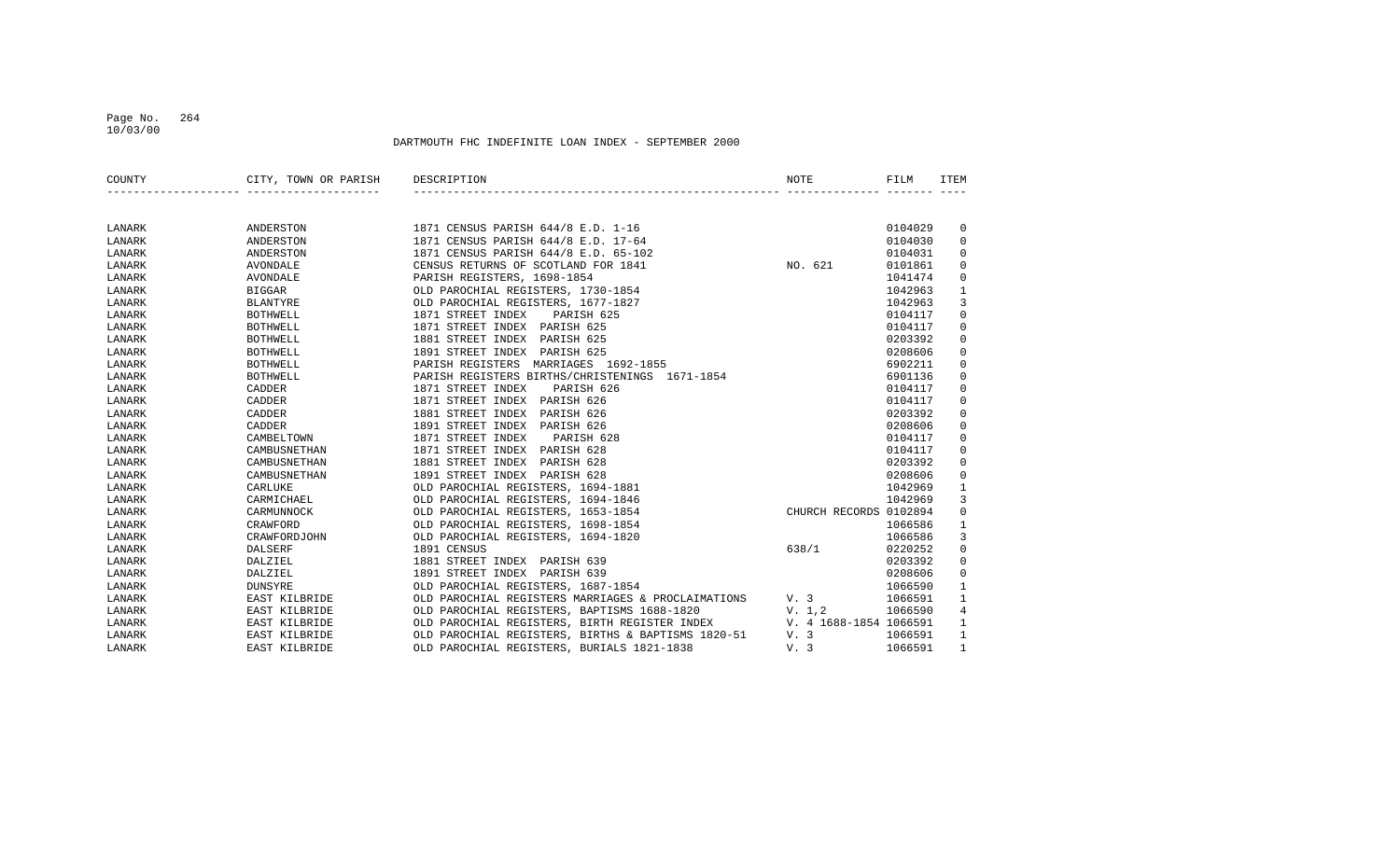## Page No. 264 10/03/00

| COUNTY | CITY, TOWN OR PARISH | DESCRIPTION                                        | NOTE                   | FILM    | <b>ITEM</b>         |
|--------|----------------------|----------------------------------------------------|------------------------|---------|---------------------|
|        |                      |                                                    |                        |         |                     |
| LANARK | ANDERSTON            | 1871 CENSUS PARISH 644/8 E.D. 1-16                 |                        | 0104029 | 0                   |
| LANARK | ANDERSTON            | 1871 CENSUS PARISH 644/8 E.D. 17-64                |                        | 0104030 | $\mathbf 0$         |
| LANARK | ANDERSTON            | 1871 CENSUS PARISH 644/8 E.D. 65-102               |                        | 0104031 | 0                   |
| LANARK | <b>AVONDALE</b>      | CENSUS RETURNS OF SCOTLAND FOR 1841                | NO. 621                | 0101861 | 0                   |
| LANARK | AVONDALE             | PARISH REGISTERS, 1698-1854                        |                        | 1041474 | 0                   |
| LANARK | <b>BIGGAR</b>        | OLD PAROCHIAL REGISTERS, 1730-1854                 |                        | 1042963 | $\mathbf{1}$        |
| LANARK | <b>BLANTYRE</b>      | OLD PAROCHIAL REGISTERS, 1677-1827                 |                        | 1042963 | 3                   |
| LANARK | <b>BOTHWELL</b>      | 1871 STREET INDEX<br>PARISH 625                    |                        | 0104117 | $\mathsf 0$         |
| LANARK | <b>BOTHWELL</b>      | 1871 STREET INDEX PARISH 625                       |                        | 0104117 | $\mathsf 0$         |
| LANARK | <b>BOTHWELL</b>      | 1881 STREET INDEX PARISH 625                       |                        | 0203392 | $\mathbf 0$         |
| LANARK | <b>BOTHWELL</b>      | 1891 STREET INDEX PARISH 625                       |                        | 0208606 | 0                   |
| LANARK | <b>BOTHWELL</b>      | PARISH REGISTERS<br>MARRIAGES 1692-1855            |                        | 6902211 | $\mathsf 0$         |
| LANARK | <b>BOTHWELL</b>      | PARISH REGISTERS BIRTHS/CHRISTENINGS 1671-1854     |                        | 6901136 | 0                   |
| LANARK | CADDER               | 1871 STREET INDEX<br>PARISH 626                    |                        | 0104117 | 0                   |
| LANARK | CADDER               | 1871 STREET INDEX<br>PARISH 626                    |                        | 0104117 | 0                   |
| LANARK | CADDER               | 1881 STREET INDEX<br>PARISH 626                    |                        | 0203392 | 0                   |
| LANARK | CADDER               | 1891 STREET INDEX<br>PARISH 626                    |                        | 0208606 | 0                   |
| LANARK | CAMBELTOWN           | 1871 STREET INDEX<br>PARISH 628                    |                        | 0104117 | 0                   |
| LANARK | CAMBUSNETHAN         | 1871 STREET INDEX<br>PARISH 628                    |                        | 0104117 | 0                   |
| LANARK | CAMBUSNETHAN         | 1881 STREET INDEX<br>PARISH 628                    |                        | 0203392 | 0                   |
| LANARK | CAMBUSNETHAN         | 1891 STREET INDEX PARISH 628                       |                        | 0208606 | 0                   |
| LANARK | CARLUKE              | OLD PAROCHIAL REGISTERS, 1694-1881                 |                        | 1042969 | $\mathbf{1}$        |
| LANARK | CARMICHAEL           | OLD PAROCHIAL REGISTERS, 1694-1846                 |                        | 1042969 | 3                   |
| LANARK | CARMUNNOCK           | OLD PAROCHIAL REGISTERS, 1653-1854                 | CHURCH RECORDS 0102894 |         | $\mathbf 0$         |
| LANARK | CRAWFORD             | OLD PAROCHIAL REGISTERS, 1698-1854                 |                        | 1066586 | $\mathbf{1}$        |
| LANARK | CRAWFORDJOHN         | OLD PAROCHIAL REGISTERS, 1694-1820                 |                        | 1066586 | 3                   |
| LANARK | DALSERF              | 1891 CENSUS                                        | 638/1                  | 0220252 | $\mathsf{O}\xspace$ |
| LANARK | DALZIEL              | 1881 STREET INDEX PARISH 639                       |                        | 0203392 | $\mathsf 0$         |
| LANARK | DALZIEL              | 1891 STREET INDEX PARISH 639                       |                        | 0208606 | $\mathsf 0$         |
| LANARK | DUNSYRE              | OLD PAROCHIAL REGISTERS, 1687-1854                 |                        | 1066590 | $\mathbf{1}$        |
| LANARK | EAST KILBRIDE        | OLD PAROCHIAL REGISTERS MARRIAGES & PROCLAIMATIONS | V.3                    | 1066591 | $\mathbf{1}$        |
| LANARK | EAST KILBRIDE        | OLD PAROCHIAL REGISTERS, BAPTISMS 1688-1820        | V. 1,2                 | 1066590 | $\,4$               |
| LANARK | EAST KILBRIDE        | OLD PAROCHIAL REGISTERS, BIRTH REGISTER INDEX      | V. 4 1688-1854 1066591 |         | $\mathbf{1}$        |
| LANARK | EAST KILBRIDE        | OLD PAROCHIAL REGISTERS, BIRTHS & BAPTISMS 1820-51 | V. 3                   | 1066591 | $\mathbf{1}$        |
| LANARK | EAST KILBRIDE        | OLD PAROCHIAL REGISTERS, BURIALS 1821-1838         | V. 3                   | 1066591 | $\mathbf{1}$        |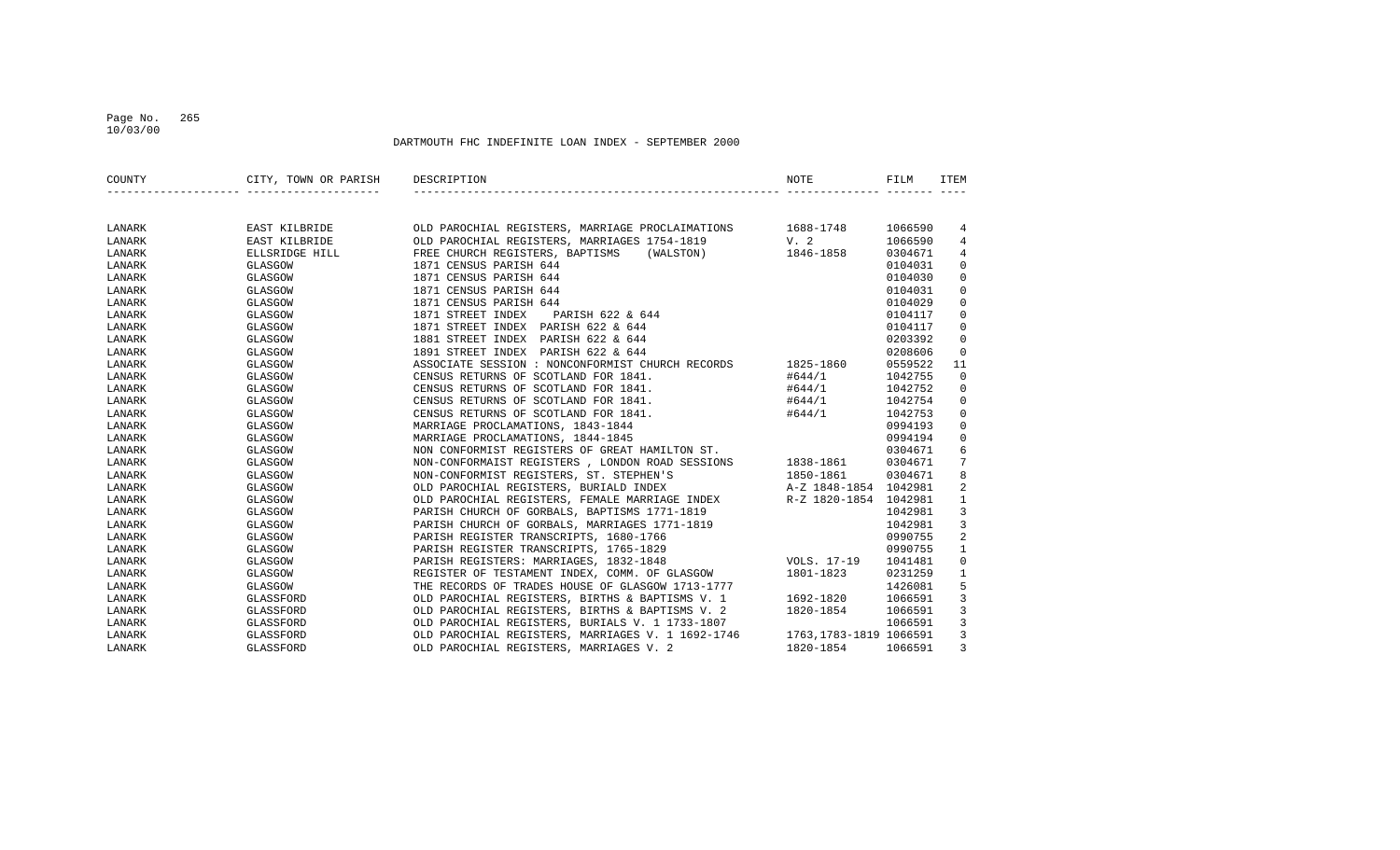## Page No. 265 10/03/00

| COUNTY | CITY, TOWN OR PARISH | DESCRIPTION                                                                                                                                          | NOTE                                       | FILM    | ITEM           |
|--------|----------------------|------------------------------------------------------------------------------------------------------------------------------------------------------|--------------------------------------------|---------|----------------|
|        |                      |                                                                                                                                                      |                                            |         |                |
| LANARK | EAST KILBRIDE        | OLD PAROCHIAL REGISTERS, MARRIAGE PROCLAIMATIONS 1688-1748                                                                                           |                                            | 1066590 | 4              |
| LANARK | EAST KILBRIDE        | OLD PAROCHIAL REGISTERS, MARRIAGES 1754-1819                                                                                                         | $V. 2$<br>1846-1858                        | 1066590 | 4              |
| LANARK | ELLSRIDGE HILL       | FREE CHURCH REGISTERS, BAPTISMS<br>(WALSTON)                                                                                                         |                                            | 0304671 | 4              |
| LANARK | GLASGOW              | 1871 CENSUS PARISH 644                                                                                                                               |                                            | 0104031 | 0              |
| LANARK | GLASGOW              | 1871 CENSUS PARISH 644                                                                                                                               |                                            | 0104030 | $\mathbf 0$    |
| LANARK | GLASGOW              | 1871 CENSUS PARISH 644                                                                                                                               |                                            | 0104031 | $\mathsf 0$    |
| LANARK | GLASGOW              | 1871 CENSUS PARISH 644                                                                                                                               |                                            | 0104029 | $\mathsf 0$    |
| LANARK | GLASGOW              | 1871 STREET INDEX<br>PARISH 622 & 644                                                                                                                |                                            | 0104117 | $\mathsf 0$    |
| LANARK | GLASGOW              | 1871 STREET INDEX PARISH 622 & 644                                                                                                                   |                                            | 0104117 | $\mathbf 0$    |
| LANARK | GLASGOW              | 1881 STREET INDEX PARISH 622 & 644                                                                                                                   |                                            | 0203392 | $\mathbf 0$    |
| LANARK | GLASGOW              | 1891 STREET INDEX PARISH 622 & 644                                                                                                                   |                                            | 0208606 | $\mathbf 0$    |
| LANARK | GLASGOW              | ASSOCIATE SESSION : NONCONFORMIST CHURCH RECORDS                                                                                                     | 1825-1860                                  | 0559522 | 11             |
| LANARK | GLASGOW              | CENSUS RETURNS OF SCOTLAND FOR 1841.                                                                                                                 | #644/1                                     | 1042755 | $\mathbf 0$    |
| LANARK | GLASGOW              | CENSUS RETURNS OF SCOTLAND FOR 1841.                                                                                                                 | #644/1                                     | 1042752 | 0              |
| LANARK | GLASGOW              | CENSUS RETURNS OF SCOTLAND FOR 1841.                                                                                                                 | #644/1                                     | 1042754 | $\mathbf 0$    |
| LANARK | GLASGOW              | CENSUS RETURNS OF SCOTLAND FOR 1841.                                                                                                                 | #644/1                                     | 1042753 | $\mathsf 0$    |
| LANARK | GLASGOW              | MARRIAGE PROCLAMATIONS, 1843-1844                                                                                                                    |                                            | 0994193 | $\mathsf 0$    |
| LANARK | GLASGOW              | MARRIAGE PROCLAMATIONS, 1844-1845                                                                                                                    |                                            | 0994194 | $\mathbf 0$    |
| LANARK | GLASGOW              | NON CONFORMIST REGISTERS OF GREAT HAMILTON ST.                                                                                                       |                                            | 0304671 | 6              |
| LANARK | GLASGOW              | NON-CONFORMAIST REGISTERS , LONDON ROAD SESSIONS 1838-1861                                                                                           |                                            | 0304671 | 7              |
| LANARK | GLASGOW              | NON-CONFORMIST REGISTERS, ST. STEPHEN'S                                                                                                              |                                            |         | 8              |
| LANARK | GLASGOW              |                                                                                                                                                      | 1850-1861 0304671<br>A-Z 1848-1854 1042981 |         | $\overline{2}$ |
| LANARK | GLASGOW              | OLD PAROCHIAL REGISTERS, BURIALD INDEX<br>OLD PAROCHIAL REGISTERS, FEMALE MARRIAGE INDEX<br>PARTSH CHIRCH OF GORRALS. BAPTISMS 1771-1819<br>20142981 |                                            |         | $\mathbf{1}$   |
| LANARK | GLASGOW              | PARISH CHURCH OF GORBALS, BAPTISMS 1771-1819                                                                                                         |                                            |         | $\mathbf{3}$   |
| LANARK | GLASGOW              | PARISH CHURCH OF GORBALS, MARRIAGES 1771-1819                                                                                                        |                                            | 1042981 | $\overline{3}$ |
| LANARK | GLASGOW              | PARISH REGISTER TRANSCRIPTS, 1680-1766                                                                                                               |                                            | 0990755 | $\sqrt{2}$     |
| LANARK | GLASGOW              | PARISH REGISTER TRANSCRIPTS, 1765-1829                                                                                                               |                                            | 0990755 | $\mathbf{1}$   |
| LANARK | GLASGOW              | PARISH REGISTERS: MARRIAGES, 1832-1848                                                                                                               | VOLS. 17-19                                | 1041481 | $\mathbb O$    |
| LANARK | GLASGOW              | REGISTER OF TESTAMENT INDEX, COMM. OF GLASGOW                                                                                                        | 1801-1823                                  | 0231259 | $\mathbf{1}$   |
| LANARK | GLASGOW              | THE RECORDS OF TRADES HOUSE OF GLASGOW 1713-1777                                                                                                     |                                            | 1426081 | 5              |
| LANARK | GLASSFORD            | OLD PAROCHIAL REGISTERS, BIRTHS & BAPTISMS V. 1 1692-1820                                                                                            |                                            | 1066591 | $\overline{3}$ |
| LANARK | GLASSFORD            | OLD PAROCHIAL REGISTERS, BIRTHS & BAPTISMS V. 2                                                                                                      | 1820-1854                                  | 1066591 | $\overline{3}$ |
| LANARK | GLASSFORD            | OLD PAROCHIAL REGISTERS, BURIALS V. 1 1733-1807                                                                                                      |                                            | 1066591 | $\overline{3}$ |
| LANARK | GLASSFORD            | OLD PAROCHIAL REGISTERS, MARRIAGES V. 1 1692-1746 1763,1783-1819 1066591                                                                             |                                            |         | $\overline{3}$ |
| LANARK | GLASSFORD            | OLD PAROCHIAL REGISTERS, MARRIAGES V. 2                                                                                                              | 1820-1854                                  | 1066591 | 3              |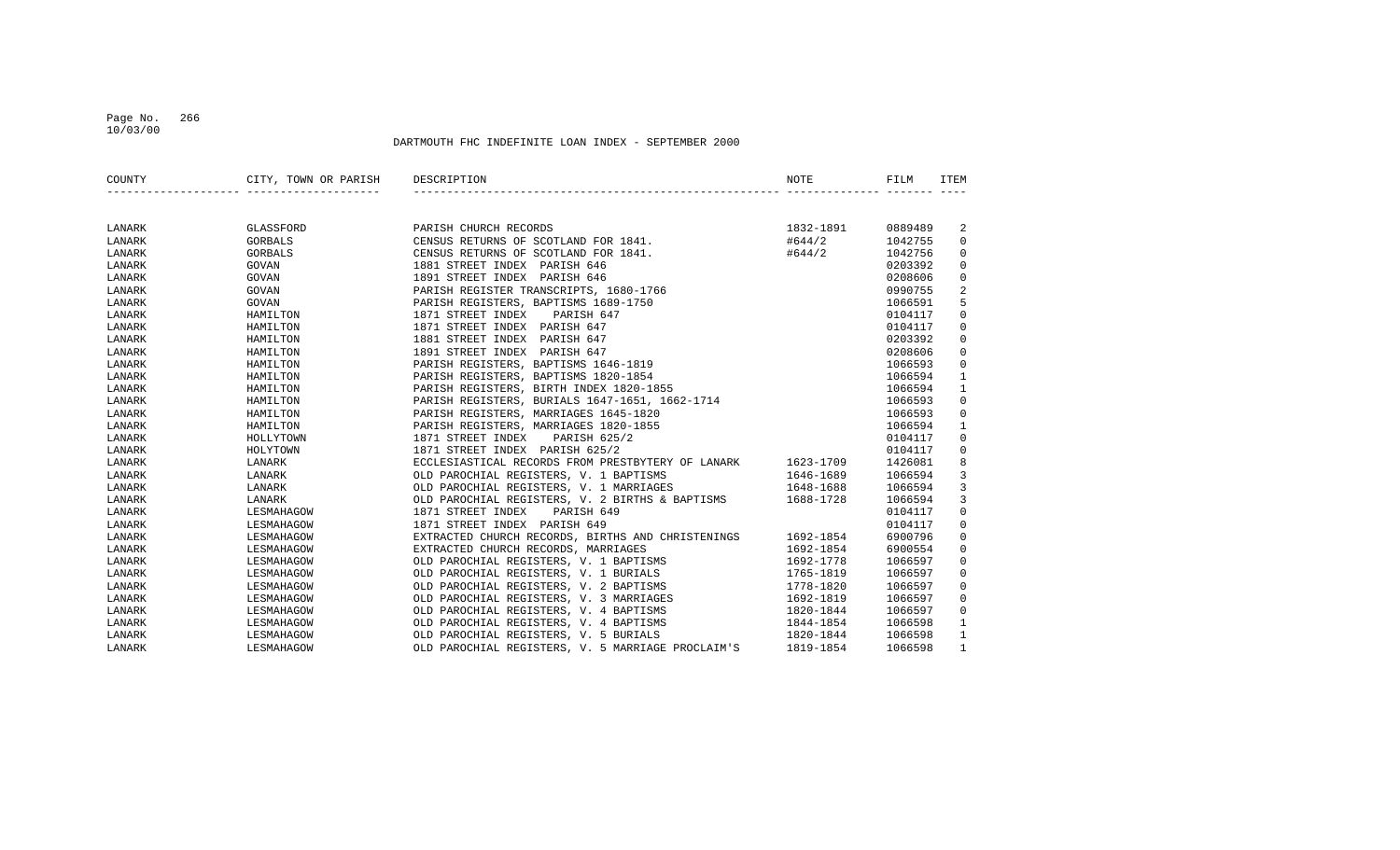## Page No. 266 10/03/00

| COUNTY | CITY, TOWN OR PARISH | DESCRIPTION                                                 | NOTE      | FILM    | ITEM                |
|--------|----------------------|-------------------------------------------------------------|-----------|---------|---------------------|
|        |                      |                                                             |           |         |                     |
| LANARK | GLASSFORD            | PARISH CHURCH RECORDS                                       | 1832-1891 | 0889489 | 2                   |
| LANARK | GORBALS              | CENSUS RETURNS OF SCOTLAND FOR 1841.                        | #644/2    | 1042755 | $\mathbf 0$         |
| LANARK | GORBALS              | CENSUS RETURNS OF SCOTLAND FOR 1841.                        | #644/2    | 1042756 | $\mathbf 0$         |
| LANARK | GOVAN                | 1881 STREET INDEX PARISH 646                                |           | 0203392 | $\mathbf 0$         |
| LANARK | GOVAN                | 1891 STREET INDEX PARISH 646                                |           | 0208606 | $\mathbb O$         |
| LANARK | GOVAN                | PARISH REGISTER TRANSCRIPTS, 1680-1766                      |           | 0990755 | $\overline{a}$      |
| LANARK | GOVAN                | PARISH REGISTERS, BAPTISMS 1689-1750                        |           | 1066591 | 5                   |
| LANARK | HAMILTON             | 1871 STREET INDEX<br>PARISH 647                             |           | 0104117 | $\mathbf 0$         |
| LANARK | HAMILTON             | 1871 STREET INDEX PARISH 647                                |           | 0104117 | $\mathbf 0$         |
| LANARK | HAMILTON             | 1881 STREET INDEX PARISH 647                                |           | 0203392 | $\mathbf 0$         |
| LANARK | HAMILTON             | 1891 STREET INDEX PARISH 647                                |           | 0208606 | $\mathsf 0$         |
| LANARK | HAMILTON             | PARISH REGISTERS, BAPTISMS 1646-1819                        |           | 1066593 | $\mathbb O$         |
| LANARK | HAMILTON             | PARISH REGISTERS, BAPTISMS 1820-1854                        |           | 1066594 | $\mathbf{1}$        |
| LANARK | HAMILTON             | PARISH REGISTERS, BIRTH INDEX 1820-1855                     |           | 1066594 | $\mathbf{1}$        |
| LANARK | HAMILTON             | PARISH REGISTERS, BURIALS 1647-1651, 1662-1714              |           | 1066593 | $\mathbf 0$         |
| LANARK | HAMILTON             | PARISH REGISTERS, MARRIAGES 1645-1820                       |           | 1066593 | $\mathbf 0$         |
| LANARK | HAMILTON             | PARISH REGISTERS, MARRIAGES 1820-1855                       |           | 1066594 | $\mathbf{1}$        |
| LANARK | HOLLYTOWN            | 1871 STREET INDEX<br>PARISH 625/2                           |           | 0104117 | $\mathbf 0$         |
| LANARK | HOLYTOWN             | 1871 STREET INDEX PARISH 625/2                              |           | 0104117 | $\mathbf 0$         |
| LANARK | LANARK               | ECCLESIASTICAL RECORDS FROM PRESTBYTERY OF LANARK           | 1623-1709 | 1426081 | 8                   |
| LANARK | LANARK               | OLD PAROCHIAL REGISTERS, V. 1 BAPTISMS                      | 1646-1689 | 1066594 | $\mathbf{3}$        |
| LANARK | LANARK               | OLD PAROCHIAL REGISTERS, V. 1 MARRIAGES                     | 1648-1688 | 1066594 | $\mathbf{3}$        |
| LANARK | LANARK               | OLD PAROCHIAL REGISTERS, V. 2 BIRTHS & BAPTISMS             | 1688-1728 | 1066594 | $\mathbf{3}$        |
| LANARK | LESMAHAGOW           | 1871 STREET INDEX<br>PARISH 649                             |           | 0104117 | $\mathsf{O}\xspace$ |
| LANARK | LESMAHAGOW           | 1871 STREET INDEX PARISH 649                                |           | 0104117 | $\mathbf 0$         |
| LANARK | LESMAHAGOW           | EXTRACTED CHURCH RECORDS, BIRTHS AND CHRISTENINGS 1692-1854 |           | 6900796 | $\mathbf 0$         |
| LANARK | LESMAHAGOW           | EXTRACTED CHURCH RECORDS, MARRIAGES                         | 1692-1854 | 6900554 | $\mathbf 0$         |
| LANARK | LESMAHAGOW           | OLD PAROCHIAL REGISTERS, V. 1 BAPTISMS                      | 1692-1778 | 1066597 | $\mathbf 0$         |
| LANARK | LESMAHAGOW           | OLD PAROCHIAL REGISTERS, V. 1 BURIALS                       | 1765-1819 | 1066597 | $\mathsf 0$         |
| LANARK | LESMAHAGOW           | OLD PAROCHIAL REGISTERS, V. 2 BAPTISMS                      | 1778-1820 | 1066597 | $\mathbf 0$         |
| LANARK | LESMAHAGOW           | OLD PAROCHIAL REGISTERS, V. 3 MARRIAGES                     | 1692-1819 | 1066597 | $\mathbf 0$         |
| LANARK | LESMAHAGOW           | OLD PAROCHIAL REGISTERS, V. 4 BAPTISMS                      | 1820-1844 | 1066597 | $\mathbf 0$         |
| LANARK | LESMAHAGOW           | OLD PAROCHIAL REGISTERS, V. 4 BAPTISMS                      | 1844-1854 | 1066598 | $\mathbf{1}$        |
| LANARK | LESMAHAGOW           | OLD PAROCHIAL REGISTERS, V. 5 BURIALS                       | 1820-1844 | 1066598 | $\mathbf{1}$        |
| LANARK | LESMAHAGOW           | OLD PAROCHIAL REGISTERS, V. 5 MARRIAGE PROCLAIM'S           | 1819-1854 | 1066598 | $\mathbf{1}$        |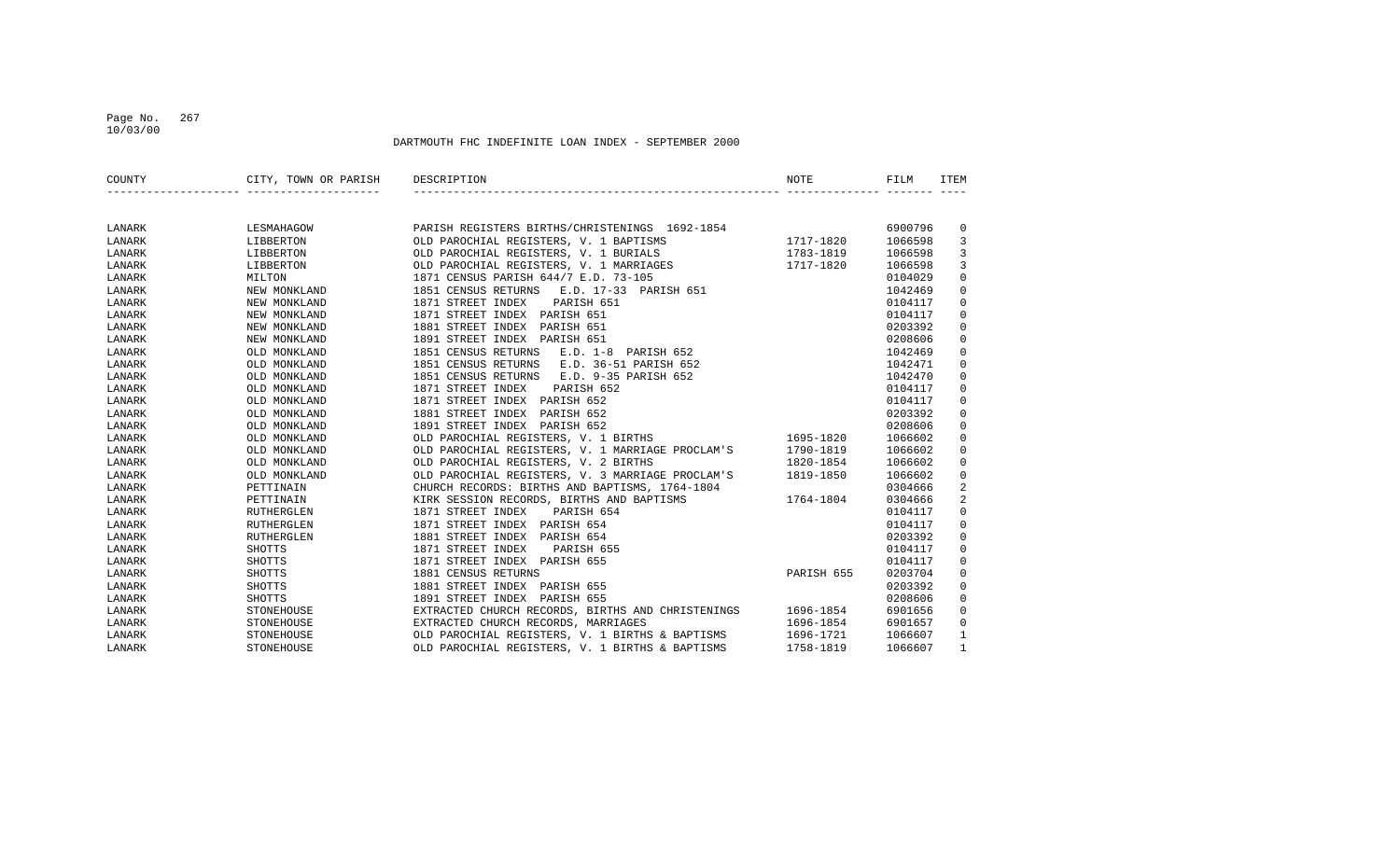## Page No. 267 10/03/00

| COUNTY | CITY, TOWN OR PARISH | DESCRIPTION                                       | NOTE       | FILM    | <b>ITEM</b>  |
|--------|----------------------|---------------------------------------------------|------------|---------|--------------|
|        |                      |                                                   |            |         |              |
| LANARK | LESMAHAGOW           | PARISH REGISTERS BIRTHS/CHRISTENINGS 1692-1854    |            | 6900796 | 0            |
| LANARK | LIBBERTON            | OLD PAROCHIAL REGISTERS, V. 1 BAPTISMS            | 1717-1820  | 1066598 | 3            |
| LANARK | LIBBERTON            | OLD PAROCHIAL REGISTERS, V. 1 BURIALS             | 1783-1819  | 1066598 | 3            |
| LANARK | LIBBERTON            | OLD PAROCHIAL REGISTERS, V. 1 MARRIAGES           | 1717-1820  | 1066598 | 3            |
| LANARK | MILTON               | 1871 CENSUS PARISH 644/7 E.D. 73-105              |            | 0104029 | $\mathsf 0$  |
| LANARK | NEW MONKLAND         | 1851 CENSUS RETURNS<br>E.D. 17-33 PARISH 651      |            | 1042469 | $\mathbf 0$  |
| LANARK | NEW MONKLAND         | 1871 STREET INDEX<br>PARISH 651                   |            | 0104117 | $\mathbf 0$  |
| LANARK | NEW MONKLAND         | 1871 STREET INDEX PARISH 651                      |            | 0104117 | $\mathbf 0$  |
| LANARK | NEW MONKLAND         | 1881 STREET INDEX<br>PARISH 651                   |            | 0203392 | $\mathbf 0$  |
| LANARK | NEW MONKLAND         | 1891 STREET INDEX PARISH 651                      |            | 0208606 | $\mathbf 0$  |
| LANARK | OLD MONKLAND         | 1851 CENSUS RETURNS<br>E.D. 1-8 PARISH 652        |            | 1042469 | $\mathbf 0$  |
| LANARK | OLD MONKLAND         | 1851 CENSUS RETURNS<br>E.D. 36-51 PARISH 652      |            | 1042471 | $\mathbf 0$  |
| LANARK | OLD MONKLAND         | 1851 CENSUS RETURNS<br>E.D. 9-35 PARISH 652       |            | 1042470 | $\mathbf 0$  |
| LANARK | OLD MONKLAND         | 1871 STREET INDEX<br>PARISH 652                   |            | 0104117 | $\mathbf 0$  |
| LANARK | OLD MONKLAND         | 1871 STREET INDEX PARISH 652                      |            | 0104117 | $\mathbf 0$  |
| LANARK | OLD MONKLAND         | 1881 STREET INDEX<br>PARISH 652                   |            | 0203392 | $\mathbf 0$  |
| LANARK | OLD MONKLAND         | 1891 STREET INDEX PARISH 652                      |            | 0208606 | $\mathbf 0$  |
| LANARK | OLD MONKLAND         | OLD PAROCHIAL REGISTERS, V. 1 BIRTHS              | 1695-1820  | 1066602 | $\mathbf 0$  |
| LANARK | OLD MONKLAND         | OLD PAROCHIAL REGISTERS, V. 1 MARRIAGE PROCLAM'S  | 1790-1819  | 1066602 | $\mathbf 0$  |
| LANARK | OLD MONKLAND         | OLD PAROCHIAL REGISTERS, V. 2 BIRTHS              | 1820-1854  | 1066602 | $\mathbf 0$  |
| LANARK | OLD MONKLAND         | OLD PAROCHIAL REGISTERS, V. 3 MARRIAGE PROCLAM'S  | 1819-1850  | 1066602 | $\mathsf 0$  |
| LANARK | PETTINAIN            | CHURCH RECORDS: BIRTHS AND BAPTISMS, 1764-1804    |            | 0304666 | 2            |
| LANARK | PETTINAIN            | KIRK SESSION RECORDS, BIRTHS AND BAPTISMS         | 1764-1804  | 0304666 | 2            |
| LANARK | RUTHERGLEN           | 1871 STREET INDEX<br>PARISH 654                   |            | 0104117 | $\mathbf 0$  |
| LANARK | RUTHERGLEN           | 1871 STREET INDEX PARISH 654                      |            | 0104117 | $\mathbf 0$  |
| LANARK | RUTHERGLEN           | 1881 STREET INDEX<br>PARISH 654                   |            | 0203392 | $\mathbf 0$  |
| LANARK | SHOTTS               | 1871 STREET INDEX<br>PARISH 655                   |            | 0104117 | $\mathbf 0$  |
| LANARK | SHOTTS               | 1871 STREET INDEX PARISH 655                      |            | 0104117 | $\mathbf 0$  |
| LANARK | SHOTTS               | 1881 CENSUS RETURNS                               | PARISH 655 | 0203704 | $\mathbf 0$  |
| LANARK | SHOTTS               | 1881 STREET INDEX PARISH 655                      |            | 0203392 | $\mathbf 0$  |
| LANARK | <b>SHOTTS</b>        | 1891 STREET INDEX PARISH 655                      |            | 0208606 | $\mathbf 0$  |
| LANARK | STONEHOUSE           | EXTRACTED CHURCH RECORDS, BIRTHS AND CHRISTENINGS | 1696-1854  | 6901656 | $\mathbf 0$  |
| LANARK | STONEHOUSE           | EXTRACTED CHURCH RECORDS, MARRIAGES               | 1696-1854  | 6901657 | $\mathbf 0$  |
| LANARK | STONEHOUSE           | OLD PAROCHIAL REGISTERS, V. 1 BIRTHS & BAPTISMS   | 1696-1721  | 1066607 | $\mathbf{1}$ |
| LANARK | STONEHOUSE           | OLD PAROCHIAL REGISTERS, V. 1 BIRTHS & BAPTISMS   | 1758-1819  | 1066607 | 1            |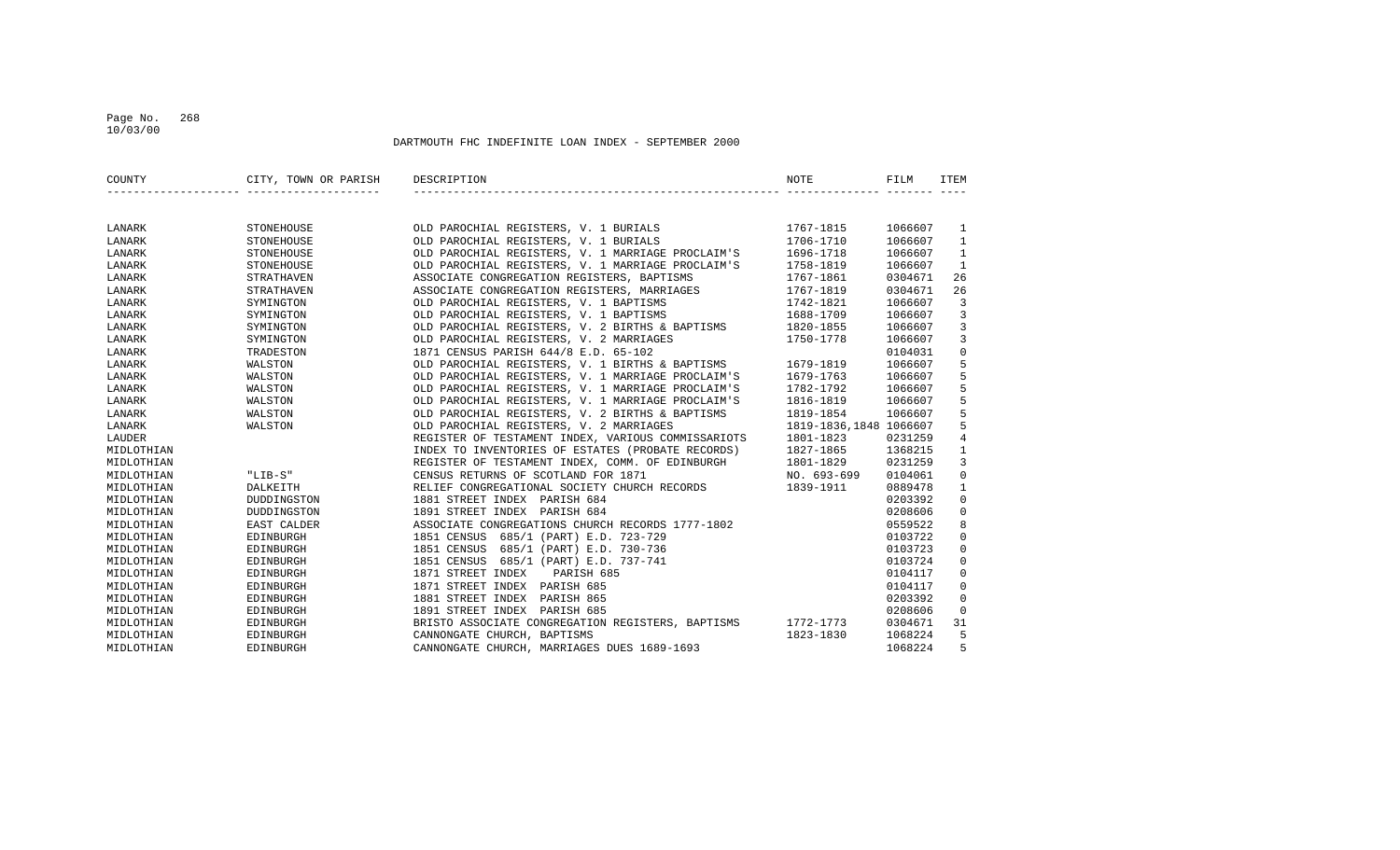## Page No. 268 10/03/00

| COUNTY     | CITY, TOWN OR PARISH | DESCRIPTION                                        | NOTE                   | FILM    | <b>ITEM</b>         |
|------------|----------------------|----------------------------------------------------|------------------------|---------|---------------------|
|            |                      |                                                    |                        |         |                     |
| LANARK     | STONEHOUSE           | OLD PAROCHIAL REGISTERS, V. 1 BURIALS              | 1767-1815              | 1066607 | 1                   |
| LANARK     | STONEHOUSE           | OLD PAROCHIAL REGISTERS, V. 1 BURIALS              | 1706-1710              | 1066607 | $\mathbf{1}$        |
| LANARK     | STONEHOUSE           | OLD PAROCHIAL REGISTERS, V. 1 MARRIAGE PROCLAIM'S  | 1696-1718              | 1066607 | $\mathbf{1}$        |
| LANARK     | STONEHOUSE           | OLD PAROCHIAL REGISTERS, V. 1 MARRIAGE PROCLAIM'S  | 1758-1819              | 1066607 | $\mathbf{1}$        |
| LANARK     | STRATHAVEN           | ASSOCIATE CONGREGATION REGISTERS, BAPTISMS         | 1767-1861              | 0304671 | 26                  |
| LANARK     | STRATHAVEN           | ASSOCIATE CONGREGATION REGISTERS, MARRIAGES        | 1767-1819              | 0304671 | 26                  |
| LANARK     | SYMINGTON            | OLD PAROCHIAL REGISTERS, V. 1 BAPTISMS             | 1742-1821              | 1066607 | 3                   |
| LANARK     | SYMINGTON            | OLD PAROCHIAL REGISTERS, V. 1 BAPTISMS             | 1688-1709              | 1066607 | $\overline{3}$      |
| LANARK     | SYMINGTON            | OLD PAROCHIAL REGISTERS, V. 2 BIRTHS & BAPTISMS    | 1820-1855              | 1066607 | $\overline{3}$      |
| LANARK     | SYMINGTON            | OLD PAROCHIAL REGISTERS, V. 2 MARRIAGES            | 1750-1778              | 1066607 | $\overline{3}$      |
| LANARK     | TRADESTON            | 1871 CENSUS PARISH 644/8 E.D. 65-102               |                        | 0104031 | $\mathsf{O}\xspace$ |
| LANARK     | WALSTON              | OLD PAROCHIAL REGISTERS, V. 1 BIRTHS & BAPTISMS    | 1679-1819              | 1066607 | 5                   |
| LANARK     | WALSTON              | OLD PAROCHIAL REGISTERS, V. 1 MARRIAGE PROCLAIM'S  | 1679-1763              | 1066607 | 5                   |
| LANARK     | WALSTON              | OLD PAROCHIAL REGISTERS, V. 1 MARRIAGE PROCLAIM'S  | 1782-1792              | 1066607 | 5                   |
| LANARK     | WALSTON              | OLD PAROCHIAL REGISTERS, V. 1 MARRIAGE PROCLAIM'S  | 1816-1819              | 1066607 | 5                   |
| LANARK     | WALSTON              | OLD PAROCHIAL REGISTERS, V. 2 BIRTHS & BAPTISMS    | 1819-1854              | 1066607 | 5                   |
| LANARK     | WALSTON              | OLD PAROCHIAL REGISTERS, V. 2 MARRIAGES            | 1819-1836,1848 1066607 |         | 5                   |
| LAUDER     |                      | REGISTER OF TESTAMENT INDEX, VARIOUS COMMISSARIOTS | 1801-1823              | 0231259 | $\bf 4$             |
| MIDLOTHIAN |                      | INDEX TO INVENTORIES OF ESTATES (PROBATE RECORDS)  | 1827-1865              | 1368215 | $\mathbf{1}$        |
| MIDLOTHIAN |                      | REGISTER OF TESTAMENT INDEX, COMM. OF EDINBURGH    | 1801-1829              | 0231259 | 3                   |
| MIDLOTHIAN | $"LIB-S"$            | CENSUS RETURNS OF SCOTLAND FOR 1871                | NO. 693-699            | 0104061 | $\mathbf 0$         |
| MIDLOTHIAN | DALKEITH             | RELIEF CONGREGATIONAL SOCIETY CHURCH RECORDS       | 1839-1911              | 0889478 | $\mathbf{1}$        |
| MIDLOTHIAN | DUDDINGSTON          | 1881 STREET INDEX PARISH 684                       |                        | 0203392 | $\mathsf 0$         |
| MIDLOTHIAN | DUDDINGSTON          | 1891 STREET INDEX PARISH 684                       |                        | 0208606 | $\mathbb O$         |
| MIDLOTHIAN | EAST CALDER          | ASSOCIATE CONGREGATIONS CHURCH RECORDS 1777-1802   |                        | 0559522 | 8                   |
| MIDLOTHIAN | EDINBURGH            | 1851 CENSUS 685/1 (PART) E.D. 723-729              |                        | 0103722 | $\mathbf 0$         |
| MIDLOTHIAN | EDINBURGH            | 1851 CENSUS<br>685/1 (PART) E.D. 730-736           |                        | 0103723 | $\mathbf 0$         |
| MIDLOTHIAN | EDINBURGH            | 1851 CENSUS<br>685/1 (PART) E.D. 737-741           |                        | 0103724 | $\mathsf 0$         |
| MIDLOTHIAN | EDINBURGH            | 1871 STREET INDEX<br>PARISH 685                    |                        | 0104117 | $\mathsf 0$         |
| MIDLOTHIAN | EDINBURGH            | 1871 STREET INDEX PARISH 685                       |                        | 0104117 | $\mathbf 0$         |
| MIDLOTHIAN | EDINBURGH            | 1881 STREET INDEX<br>PARISH 865                    |                        | 0203392 | $\mathbf 0$         |
| MIDLOTHIAN | EDINBURGH            | 1891 STREET INDEX PARISH 685                       |                        | 0208606 | $\mathbf 0$         |
| MIDLOTHIAN | EDINBURGH            | BRISTO ASSOCIATE CONGREGATION REGISTERS, BAPTISMS  | 1772-1773              | 0304671 | 31                  |
| MIDLOTHIAN | EDINBURGH            | CANNONGATE CHURCH, BAPTISMS                        | 1823-1830              | 1068224 | 5                   |
| MIDLOTHIAN | EDINBURGH            | CANNONGATE CHURCH, MARRIAGES DUES 1689-1693        |                        | 1068224 | 5                   |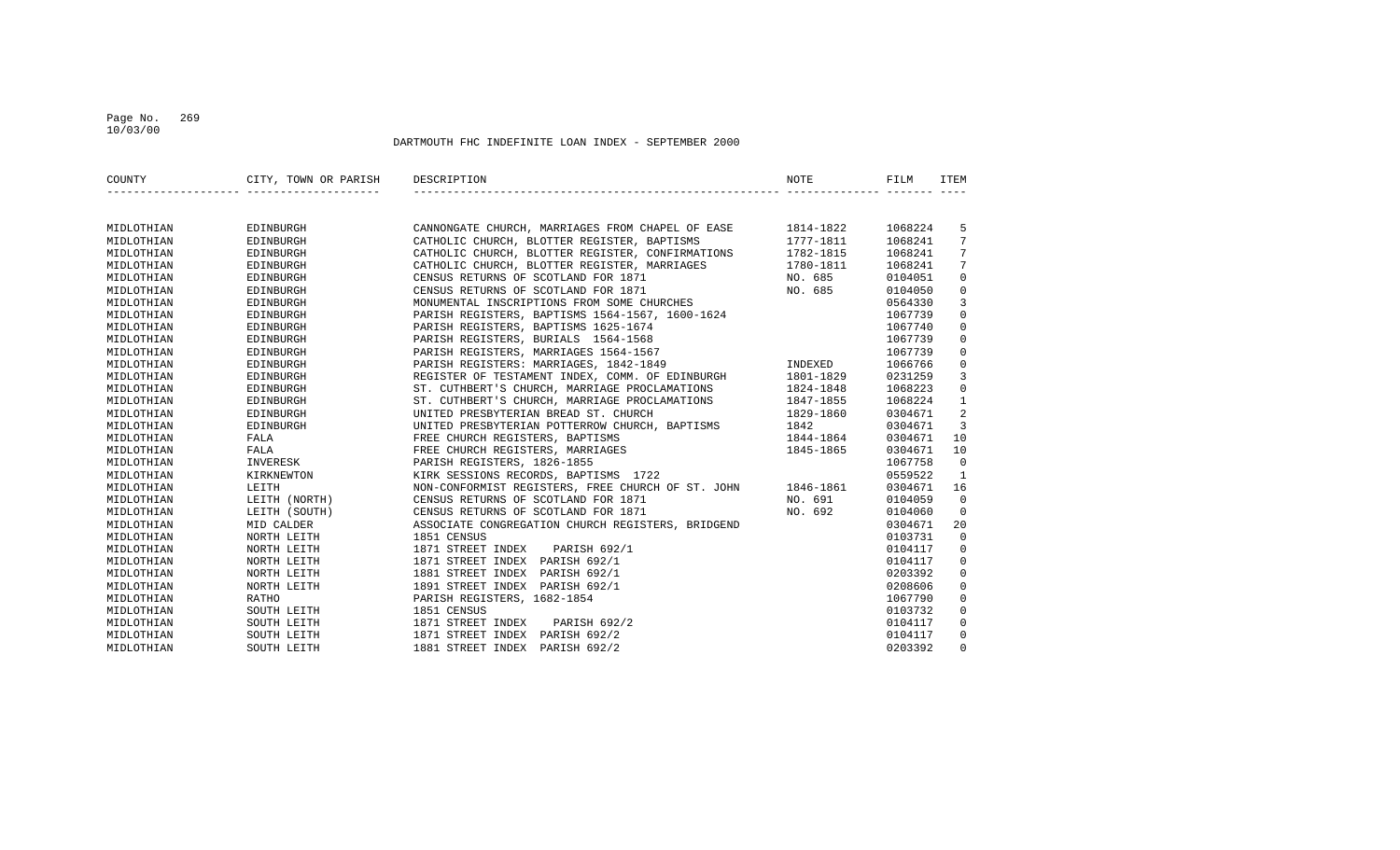## Page No. 269 10/03/00

| COUNTY     | CITY, TOWN OR PARISH DESCRIPTION |                                                             | NOTE      | FILM    | <b>ITEM</b>  |
|------------|----------------------------------|-------------------------------------------------------------|-----------|---------|--------------|
|            |                                  |                                                             |           |         |              |
| MIDLOTHIAN | EDINBURGH                        | CANNONGATE CHURCH, MARRIAGES FROM CHAPEL OF EASE 1814-1822  |           | 1068224 | 5            |
| MIDLOTHIAN | EDINBURGH                        | CATHOLIC CHURCH, BLOTTER REGISTER, BAPTISMS                 | 1777-1811 | 1068241 | 7            |
| MIDLOTHIAN | EDINBURGH                        | CATHOLIC CHURCH, BLOTTER REGISTER, CONFIRMATIONS            | 1782-1815 | 1068241 | 7            |
| MIDLOTHIAN | EDINBURGH                        | CATHOLIC CHURCH, BLOTTER REGISTER, MARRIAGES                | 1780-1811 | 1068241 | 7            |
| MIDLOTHIAN | EDINBURGH                        | CENSUS RETURNS OF SCOTLAND FOR 1871                         | NO. 685   | 0104051 | $\mathbf 0$  |
| MIDLOTHIAN | EDINBURGH                        | CENSUS RETURNS OF SCOTLAND FOR 1871                         | NO. 685   | 0104050 | $\mathbf 0$  |
| MIDLOTHIAN | EDINBURGH                        | MONUMENTAL INSCRIPTIONS FROM SOME CHURCHES                  |           | 0564330 | 3            |
| MIDLOTHIAN | EDINBURGH                        | PARISH REGISTERS, BAPTISMS 1564-1567, 1600-1624             |           | 1067739 | $\mathbf 0$  |
| MIDLOTHIAN | EDINBURGH                        | PARISH REGISTERS, BAPTISMS 1625-1674                        |           | 1067740 | $\mathbf 0$  |
| MIDLOTHIAN | EDINBURGH                        | PARISH REGISTERS, BURIALS 1564-1568                         |           | 1067739 | $\Omega$     |
| MIDLOTHIAN | EDINBURGH                        | PARISH REGISTERS, MARRIAGES 1564-1567                       |           | 1067739 | $\Omega$     |
| MIDLOTHIAN | EDINBURGH                        | PARISH REGISTERS: MARRIAGES, 1842-1849                      | INDEXED   | 1066766 | $\mathbf 0$  |
| MIDLOTHIAN | EDINBURGH                        | REGISTER OF TESTAMENT INDEX, COMM. OF EDINBURGH             | 1801-1829 | 0231259 | 3            |
| MIDLOTHIAN | EDINBURGH                        | ST. CUTHBERT'S CHURCH, MARRIAGE PROCLAMATIONS               | 1824-1848 | 1068223 | $\mathsf 0$  |
| MIDLOTHIAN | EDINBURGH                        | ST. CUTHBERT'S CHURCH, MARRIAGE PROCLAMATIONS               | 1847-1855 | 1068224 | $\mathbf{1}$ |
| MIDLOTHIAN | EDINBURGH                        | UNITED PRESBYTERIAN BREAD ST. CHURCH                        | 1829-1860 | 0304671 | 2            |
| MIDLOTHIAN | EDINBURGH                        | UNITED PRESBYTERIAN POTTERROW CHURCH, BAPTISMS              | 1842      | 0304671 | 3            |
| MIDLOTHIAN | FALA                             | FREE CHURCH REGISTERS, BAPTISMS                             | 1844-1864 | 0304671 | 10           |
| MIDLOTHIAN | FALA                             | FREE CHURCH REGISTERS, MARRIAGES                            | 1845-1865 | 0304671 | 10           |
| MIDLOTHIAN | INVERESK                         | PARISH REGISTERS, 1826-1855                                 |           | 1067758 | $\Omega$     |
| MIDLOTHIAN | KIRKNEWTON                       | KIRK SESSIONS RECORDS, BAPTISMS 1722                        |           | 0559522 | $\mathbf{1}$ |
| MIDLOTHIAN | LEITH                            | NON-CONFORMIST REGISTERS, FREE CHURCH OF ST. JOHN 1846-1861 |           | 0304671 | 16           |
| MIDLOTHIAN | LEITH (NORTH)                    | CENSUS RETURNS OF SCOTLAND FOR 1871                         | NO. 691   | 0104059 | $\Omega$     |
| MIDLOTHIAN | LEITH (SOUTH)                    | CENSUS RETURNS OF SCOTLAND FOR 1871                         | NO. 692   | 0104060 | $\mathbf 0$  |
| MIDLOTHIAN | MID CALDER                       | ASSOCIATE CONGREGATION CHURCH REGISTERS, BRIDGEND           |           | 0304671 | 20           |
| MIDLOTHIAN | NORTH LEITH                      | 1851 CENSUS                                                 |           | 0103731 | $\mathbf 0$  |
| MIDLOTHIAN | NORTH LEITH                      | 1871 STREET INDEX PARISH 692/1                              |           | 0104117 | $\mathbf 0$  |
| MIDLOTHIAN | NORTH LEITH                      | 1871 STREET INDEX PARISH 692/1                              |           | 0104117 | $\mathbf 0$  |
| MIDLOTHIAN | NORTH LEITH                      | 1881 STREET INDEX PARISH 692/1                              |           | 0203392 | $\mathbf 0$  |
| MIDLOTHIAN | NORTH LEITH                      | 1891 STREET INDEX PARISH 692/1                              |           | 0208606 | $\mathbf 0$  |
| MIDLOTHIAN | RATHO                            | PARISH REGISTERS, 1682-1854                                 |           | 1067790 | 0            |
| MIDLOTHIAN | SOUTH LEITH                      | 1851 CENSUS                                                 |           | 0103732 | $\mathbf 0$  |
| MIDLOTHIAN | SOUTH LEITH                      | 1871 STREET INDEX PARISH 692/2                              |           | 0104117 | $\mathbf 0$  |
| MIDLOTHIAN | SOUTH LEITH                      | 1871 STREET INDEX PARISH 692/2                              |           | 0104117 | $\mathbf 0$  |
| MIDLOTHIAN | SOUTH LEITH                      | 1881 STREET INDEX PARISH 692/2                              |           | 0203392 | $\Omega$     |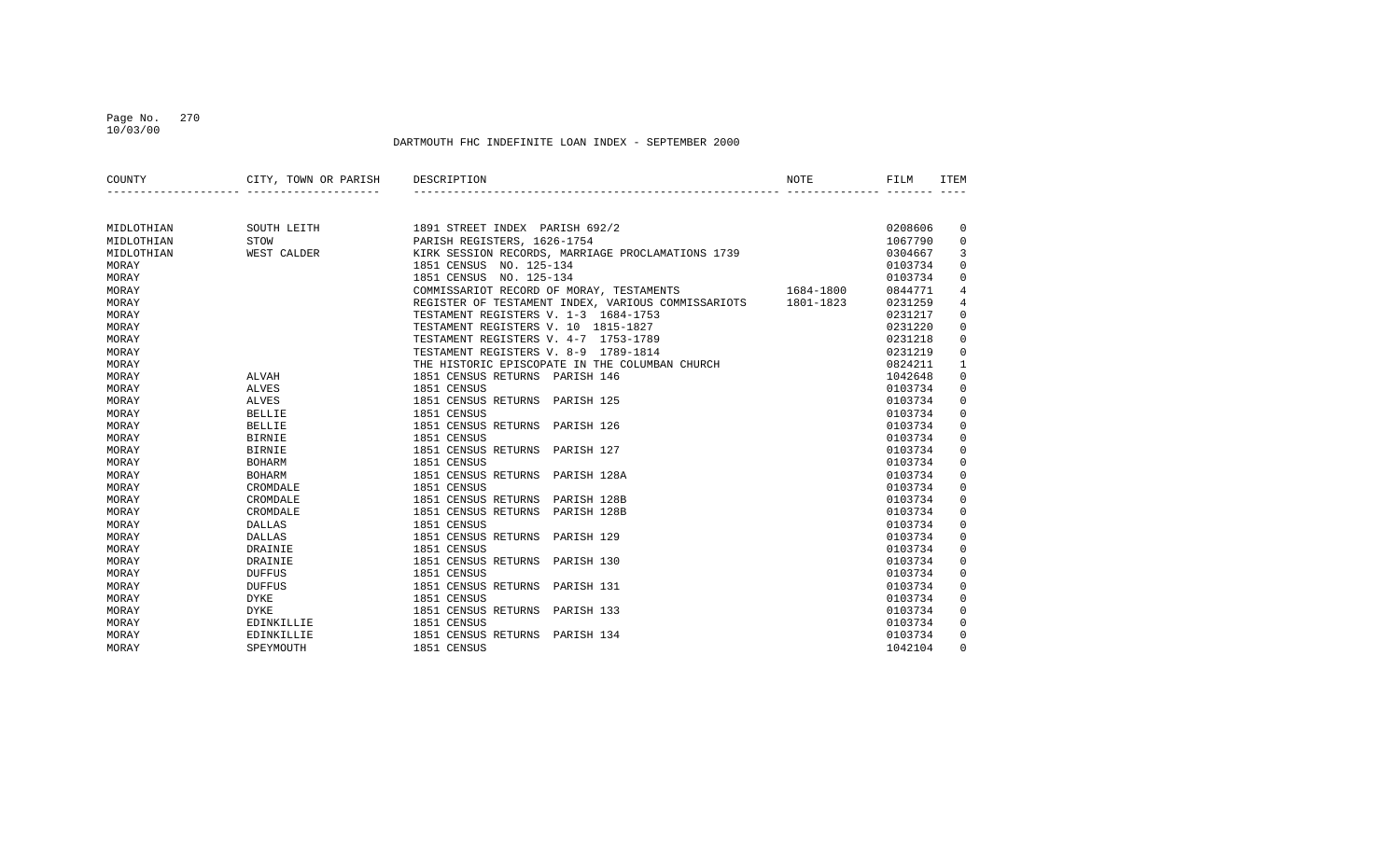## Page No. 270 10/03/00

| COUNTY     | CITY, TOWN OR PARISH DESCRIPTION |                                                    | NOTE      | FILM    | <b>ITEM</b> |
|------------|----------------------------------|----------------------------------------------------|-----------|---------|-------------|
|            |                                  |                                                    |           |         |             |
| MIDLOTHIAN | SOUTH LEITH                      | 1891 STREET INDEX PARISH 692/2                     |           | 0208606 | 0           |
| MIDLOTHIAN | STOW                             | PARISH REGISTERS, 1626-1754                        |           | 1067790 | $\Omega$    |
| MIDLOTHIAN | WEST CALDER                      | KIRK SESSION RECORDS, MARRIAGE PROCLAMATIONS 1739  |           | 0304667 | 3           |
| MORAY      |                                  | 1851 CENSUS NO. 125-134                            |           | 0103734 | 0           |
| MORAY      |                                  | 1851 CENSUS NO. 125-134                            |           | 0103734 | $\Omega$    |
| MORAY      |                                  | COMMISSARIOT RECORD OF MORAY, TESTAMENTS           | 1684-1800 | 0844771 | 4           |
| MORAY      |                                  | REGISTER OF TESTAMENT INDEX, VARIOUS COMMISSARIOTS | 1801-1823 | 0231259 | 4           |
| MORAY      |                                  | TESTAMENT REGISTERS V. 1-3 1684-1753               |           | 0231217 | $\Omega$    |
| MORAY      |                                  | TESTAMENT REGISTERS V. 10 1815-1827                |           | 0231220 | $\Omega$    |
| MORAY      |                                  | TESTAMENT REGISTERS V. 4-7 1753-1789               |           | 0231218 | $\Omega$    |
| MORAY      |                                  | TESTAMENT REGISTERS V. 8-9 1789-1814               |           | 0231219 | $\Omega$    |
| MORAY      |                                  | THE HISTORIC EPISCOPATE IN THE COLUMBAN CHURCH     |           | 0824211 | 1           |
| MORAY      | ALVAH                            | 1851 CENSUS RETURNS PARISH 146                     |           | 1042648 | $\mathbf 0$ |
| MORAY      | ALVES                            | 1851 CENSUS                                        |           | 0103734 | 0           |
| MORAY      | ALVES                            | 1851 CENSUS RETURNS PARISH 125                     |           | 0103734 | $\Omega$    |
| MORAY      | BELLIE                           | 1851 CENSUS                                        |           | 0103734 | $\Omega$    |
| MORAY      | BELLIE                           | 1851 CENSUS RETURNS PARISH 126                     |           | 0103734 | $\Omega$    |
| MORAY      | BIRNIE                           | 1851 CENSUS                                        |           | 0103734 | $\Omega$    |
| MORAY      | BIRNIE                           | 1851 CENSUS RETURNS PARISH 127                     |           | 0103734 | $\Omega$    |
| MORAY      | BOHARM                           | 1851 CENSUS                                        |           | 0103734 | $\Omega$    |
| MORAY      | <b>BOHARM</b>                    | 1851 CENSUS RETURNS PARISH 128A                    |           | 0103734 | $\Omega$    |
| MORAY      | CROMDALE                         | 1851 CENSUS                                        |           | 0103734 | $\mathbf 0$ |
| MORAY      | CROMDALE                         | 1851 CENSUS RETURNS PARISH 128B                    |           | 0103734 | 0           |
| MORAY      | CROMDALE                         | 1851 CENSUS RETURNS PARISH 128B                    |           | 0103734 | $\Omega$    |
| MORAY      | DALLAS                           | 1851 CENSUS                                        |           | 0103734 | $\Omega$    |
| MORAY      | DALLAS                           | 1851 CENSUS RETURNS PARISH 129                     |           | 0103734 | $\Omega$    |
| MORAY      | DRAINIE                          | 1851 CENSUS                                        |           | 0103734 | $\Omega$    |
| MORAY      | DRAINIE                          | 1851 CENSUS RETURNS PARISH 130                     |           | 0103734 | 0           |
| MORAY      | DUFFUS                           | 1851 CENSUS                                        |           | 0103734 | $\Omega$    |
| MORAY      | DUFFUS                           | 1851 CENSUS RETURNS PARISH 131                     |           | 0103734 | $\Omega$    |
| MORAY      | DYKE                             | 1851 CENSUS                                        |           | 0103734 | $\mathbf 0$ |
| MORAY      | DYKE                             | 1851 CENSUS RETURNS PARISH 133                     |           | 0103734 | $\mathbf 0$ |
| MORAY      | EDINKILLIE                       | 1851 CENSUS                                        |           | 0103734 | $\Omega$    |
| MORAY      | EDINKILLIE                       | 1851 CENSUS RETURNS PARISH 134                     |           | 0103734 | $\Omega$    |
| MORAY      | SPEYMOUTH                        | 1851 CENSUS                                        |           | 1042104 | $\Omega$    |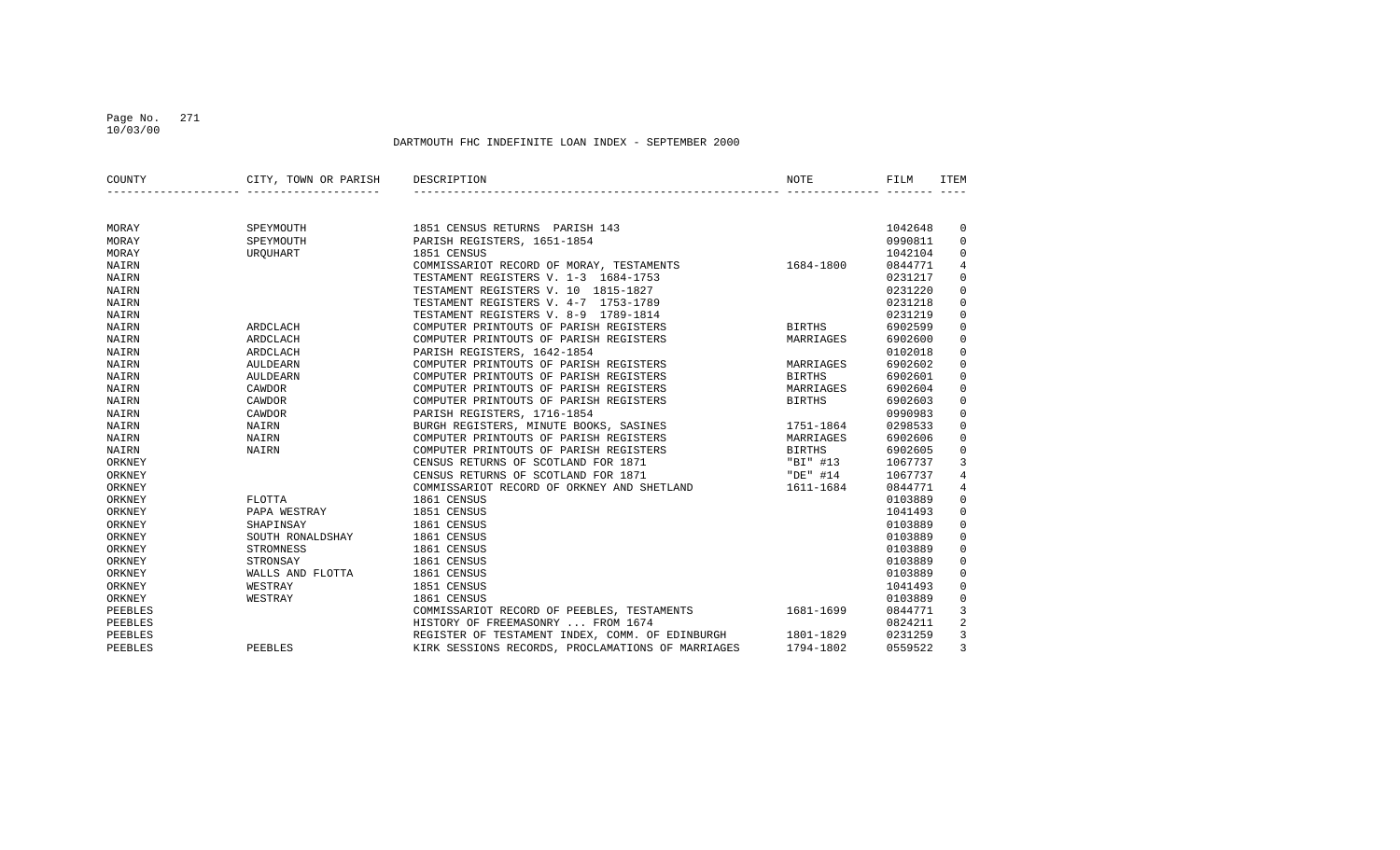## Page No. 271 10/03/00

| COUNTY  | CITY, TOWN OR PARISH | DESCRIPTION                                       | NOTE          | FILM    | ITEM                |
|---------|----------------------|---------------------------------------------------|---------------|---------|---------------------|
|         |                      |                                                   |               |         |                     |
| MORAY   | SPEYMOUTH            | 1851 CENSUS RETURNS PARISH 143                    |               | 1042648 | 0                   |
| MORAY   | SPEYMOUTH            | PARISH REGISTERS, 1651-1854                       |               | 0990811 | $\mathbf 0$         |
| MORAY   | URQUHART             | 1851 CENSUS                                       |               | 1042104 | $\mathbf 0$         |
| NAIRN   |                      | COMMISSARIOT RECORD OF MORAY, TESTAMENTS          | 1684-1800     | 0844771 | 4                   |
| NAIRN   |                      | TESTAMENT REGISTERS V. 1-3 1684-1753              |               | 0231217 | $\mathbf 0$         |
| NAIRN   |                      | TESTAMENT REGISTERS V. 10 1815-1827               |               | 0231220 | $\mathbf 0$         |
| NAIRN   |                      | TESTAMENT REGISTERS V. 4-7 1753-1789              |               | 0231218 | $\mathsf 0$         |
| NAIRN   |                      | TESTAMENT REGISTERS V. 8-9 1789-1814              |               | 0231219 | $\mathsf 0$         |
| NAIRN   | ARDCLACH             | COMPUTER PRINTOUTS OF PARISH REGISTERS            | BIRTHS        | 6902599 | $\mathsf 0$         |
| NAIRN   | ARDCLACH             | COMPUTER PRINTOUTS OF PARISH REGISTERS            | MARRIAGES     | 6902600 | $\mathbf 0$         |
| NAIRN   | ARDCLACH             | PARISH REGISTERS, 1642-1854                       |               | 0102018 | $\mathbf 0$         |
| NAIRN   | AULDEARN             | COMPUTER PRINTOUTS OF PARISH REGISTERS            | MARRIAGES     | 6902602 | $\mathsf 0$         |
| NAIRN   | AULDEARN             | COMPUTER PRINTOUTS OF PARISH REGISTERS            | <b>BIRTHS</b> | 6902601 | $\mathsf{O}\xspace$ |
| NAIRN   | CAWDOR               | COMPUTER PRINTOUTS OF PARISH REGISTERS            | MARRIAGES     | 6902604 | $\mathsf 0$         |
| NAIRN   | CAWDOR               | COMPUTER PRINTOUTS OF PARISH REGISTERS            | <b>BIRTHS</b> | 6902603 | $\mathbf 0$         |
| NAIRN   | CAWDOR               | PARISH REGISTERS, 1716-1854                       |               | 0990983 | $\mathbf 0$         |
| NAIRN   | NAIRN                | BURGH REGISTERS, MINUTE BOOKS, SASINES            | 1751-1864     | 0298533 | $\mathbf 0$         |
| NAIRN   | NAIRN                | COMPUTER PRINTOUTS OF PARISH REGISTERS            | MARRIAGES     | 6902606 | $\mathbf 0$         |
| NAIRN   | NAIRN                | COMPUTER PRINTOUTS OF PARISH REGISTERS            | <b>BIRTHS</b> | 6902605 | $\mathbf 0$         |
| ORKNEY  |                      | CENSUS RETURNS OF SCOTLAND FOR 1871               | "BI" #13      | 1067737 | 3                   |
| ORKNEY  |                      | CENSUS RETURNS OF SCOTLAND FOR 1871               | "DE" #14      | 1067737 | $\overline{4}$      |
| ORKNEY  |                      | COMMISSARIOT RECORD OF ORKNEY AND SHETLAND        | 1611-1684     | 0844771 | $\overline{4}$      |
| ORKNEY  | FLOTTA               | 1861 CENSUS                                       |               | 0103889 | $\mathsf 0$         |
| ORKNEY  | PAPA WESTRAY         | 1851 CENSUS                                       |               | 1041493 | $\mathsf 0$         |
| ORKNEY  | SHAPINSAY            | 1861 CENSUS                                       |               | 0103889 | $\mathbf 0$         |
| ORKNEY  | SOUTH RONALDSHAY     | 1861 CENSUS                                       |               | 0103889 | $\mathbf 0$         |
| ORKNEY  | STROMNESS            | 1861 CENSUS                                       |               | 0103889 | $\mathbf 0$         |
| ORKNEY  | STRONSAY             | 1861 CENSUS                                       |               | 0103889 | $\mathbf 0$         |
| ORKNEY  | WALLS AND FLOTTA     | 1861 CENSUS                                       |               | 0103889 | $\mathbf 0$         |
| ORKNEY  | WESTRAY              | 1851 CENSUS                                       |               | 1041493 | $\mathbf 0$         |
| ORKNEY  | WESTRAY              | 1861 CENSUS                                       |               | 0103889 | $\mathbf 0$         |
| PEEBLES |                      | COMMISSARIOT RECORD OF PEEBLES, TESTAMENTS        | 1681-1699     | 0844771 | 3                   |
| PEEBLES |                      | HISTORY OF FREEMASONRY  FROM 1674                 |               | 0824211 | $\overline{2}$      |
| PEEBLES |                      | REGISTER OF TESTAMENT INDEX, COMM. OF EDINBURGH   | 1801-1829     | 0231259 | 3                   |
| PEEBLES | PEEBLES              | KIRK SESSIONS RECORDS, PROCLAMATIONS OF MARRIAGES | 1794-1802     | 0559522 | $\overline{3}$      |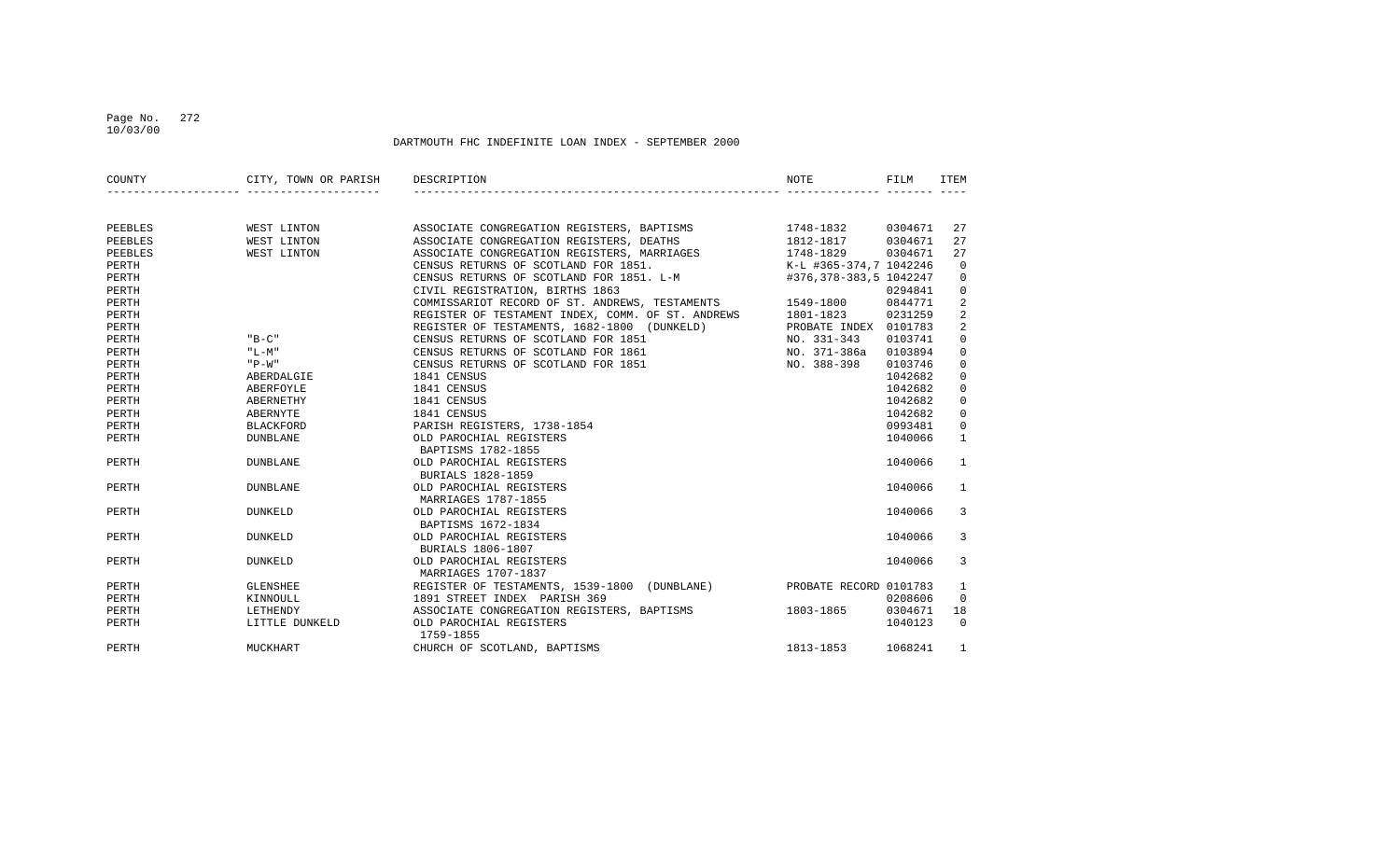## Page No. 272 10/03/00

| COUNTY  | CITY, TOWN OR PARISH | DESCRIPTION                                                                                 | <b>NOTE</b>            | FILM    | ITEM         |
|---------|----------------------|---------------------------------------------------------------------------------------------|------------------------|---------|--------------|
|         |                      |                                                                                             |                        |         |              |
| PEEBLES | WEST LINTON          |                                                                                             |                        | 0304671 | 27           |
| PEEBLES | WEST LINTON          |                                                                                             |                        | 0304671 | 27           |
| PEEBLES | WEST LINTON          | ASSOCIATE CONGREGATION REGISTERS, MARRIAGES                                                 | 1748-1829              | 0304671 | 27           |
| PERTH   |                      | CENSUS RETURNS OF SCOTLAND FOR 1851.                                                        | K-L #365-374,7 1042246 |         | 0            |
| PERTH   |                      | CENSUS RETURNS OF SCOTLAND FOR 1851. L-M                                                    | #376,378-383,5 1042247 |         | 0            |
| PERTH   |                      |                                                                                             |                        | 0294841 | 0            |
| PERTH   |                      | CIVIL REGISTRATION, BIRTHS 1863<br>COMMISSARIOT RECORD OF ST. ANDREWS, TESTAMENTS 1549-1800 |                        | 0844771 | 2            |
| PERTH   |                      | REGISTER OF TESTAMENT INDEX, COMM. OF ST. ANDREWS 1801-1823                                 |                        | 0231259 | 2            |
| PERTH   |                      | REGISTER OF TESTAMENTS, 1682-1800 (DUNKELD)                                                 | PROBATE INDEX 0101783  |         | 2            |
| PERTH   | $"B-C"$              | CENSUS RETURNS OF SCOTLAND FOR 1851                                                         | NO. 331-343            | 0103741 | 0            |
| PERTH   | "L-M"                | CENSUS RETURNS OF SCOTLAND FOR 1861                                                         | NO. 371-386a           | 0103894 | 0            |
| PERTH   | $"P-W"$              | CENSUS RETURNS OF SCOTLAND FOR 1851                                                         | NO. 388-398            | 0103746 | $\mathbf 0$  |
| PERTH   | ABERDALGIE           | 1841 CENSUS                                                                                 |                        | 1042682 | 0            |
| PERTH   | ABERFOYLE            | 1841 CENSUS                                                                                 |                        | 1042682 | $\mathbf 0$  |
| PERTH   | ABERNETHY            | 1841 CENSUS                                                                                 |                        | 1042682 | 0            |
| PERTH   | ABERNYTE             | 1841 CENSUS                                                                                 |                        | 1042682 | 0            |
| PERTH   | <b>BLACKFORD</b>     | PARISH REGISTERS, 1738-1854                                                                 |                        | 0993481 | $\mathbf 0$  |
| PERTH   | <b>DUNBLANE</b>      | OLD PAROCHIAL REGISTERS<br>BAPTISMS 1782-1855                                               |                        | 1040066 | $\mathbf{1}$ |
| PERTH   | <b>DUNBLANE</b>      | OLD PAROCHIAL REGISTERS<br>BURIALS 1828-1859                                                |                        | 1040066 | 1            |
| PERTH   | <b>DUNBLANE</b>      | OLD PAROCHIAL REGISTERS<br>MARRIAGES 1787-1855                                              |                        | 1040066 | 1            |
| PERTH   | <b>DUNKELD</b>       | OLD PAROCHIAL REGISTERS<br>BAPTISMS 1672-1834                                               |                        | 1040066 | 3            |
| PERTH   | <b>DUNKELD</b>       | OLD PAROCHIAL REGISTERS<br><b>BURIALS 1806-1807</b>                                         |                        | 1040066 | 3            |
| PERTH   | <b>DUNKELD</b>       | OLD PAROCHIAL REGISTERS<br>MARRIAGES 1707-1837                                              |                        | 1040066 | 3            |
| PERTH   | <b>GLENSHEE</b>      | REGISTER OF TESTAMENTS, 1539-1800 (DUNBLANE)                                                | PROBATE RECORD 0101783 |         | 1            |
| PERTH   | KINNOULL             | 1891 STREET INDEX PARISH 369                                                                |                        | 0208606 | $\mathbf{0}$ |
| PERTH   | LETHENDY             | ASSOCIATE CONGREGATION REGISTERS, BAPTISMS 1803-1865                                        |                        | 0304671 | 18           |
| PERTH   | LITTLE DUNKELD       | OLD PAROCHIAL REGISTERS<br>1759-1855                                                        |                        | 1040123 | $\Omega$     |
| PERTH   | MUCKHART             | CHURCH OF SCOTLAND, BAPTISMS                                                                | 1813-1853              | 1068241 | 1            |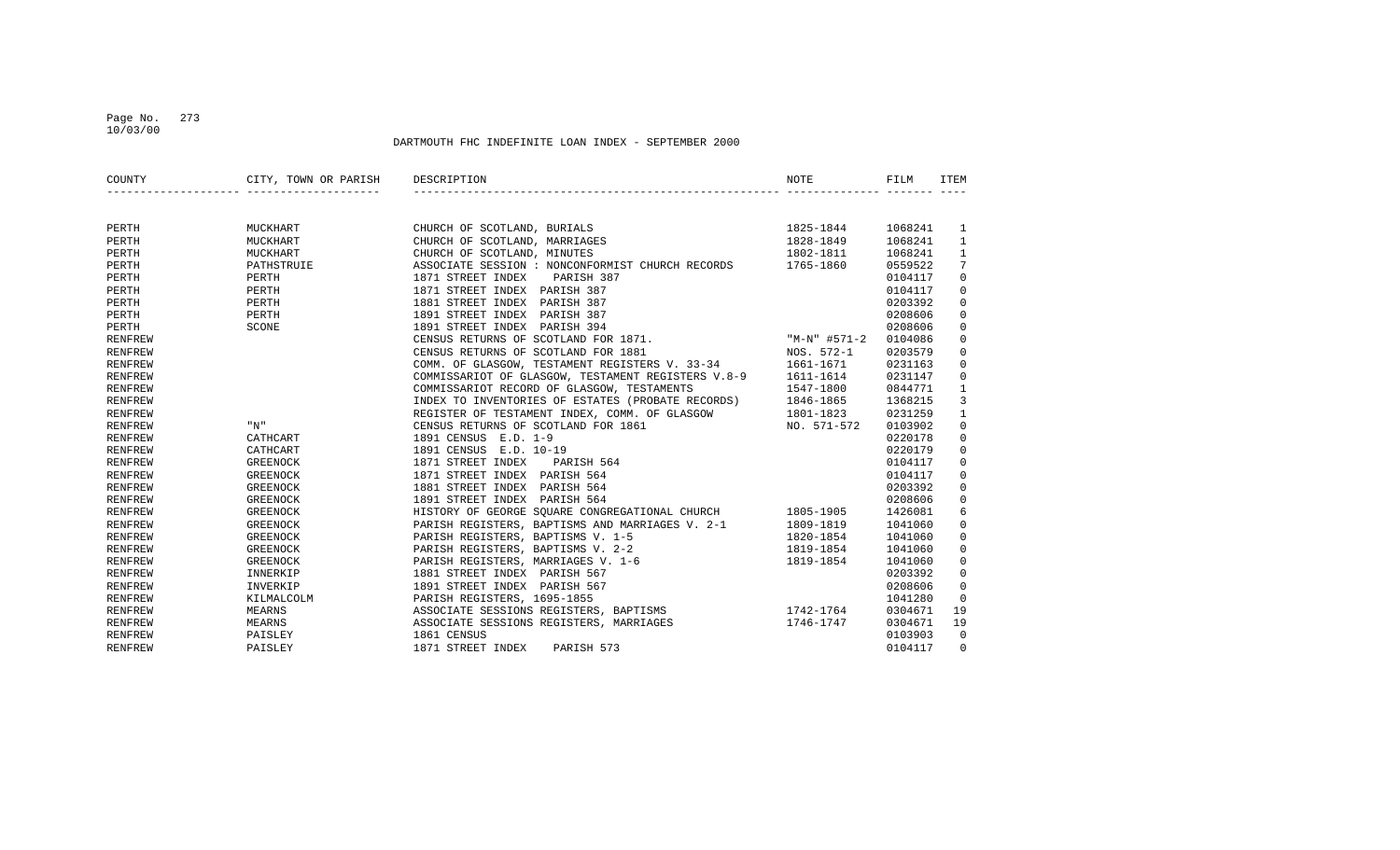## Page No. 273 10/03/00

| COUNTY         | CITY, TOWN OR PARISH<br>________________________________ | DESCRIPTION                                                                                                                                                                                                                              | NOTE      | FILM    | <b>ITEM</b>     |
|----------------|----------------------------------------------------------|------------------------------------------------------------------------------------------------------------------------------------------------------------------------------------------------------------------------------------------|-----------|---------|-----------------|
|                |                                                          |                                                                                                                                                                                                                                          |           |         |                 |
| PERTH          | MUCKHART                                                 | CHURCH OF SCOTLAND, BURIALS                                                                                                                                                                                                              | 1825-1844 | 1068241 | $\mathbf{1}$    |
| PERTH          | MUCKHART                                                 | CHURCH OF SCOTLAND, MARRIAGES                                                                                                                                                                                                            | 1828-1849 | 1068241 | $\mathbf{1}$    |
| PERTH          | MUCKHART                                                 | CHURCH OF SCOTLAND, MINUTES                                                                                                                                                                                                              | 1802-1811 | 1068241 | $\mathbf{1}$    |
| PERTH          | PATHSTRUIE                                               | ASSOCIATE SESSION : NONCONFORMIST CHURCH RECORDS 1765-1860                                                                                                                                                                               |           | 0559522 | $7\phantom{.0}$ |
| PERTH          | PERTH                                                    | 1871 STREET INDEX<br>PARISH 387                                                                                                                                                                                                          |           | 0104117 | $\mathbf 0$     |
| PERTH          | PERTH                                                    | 1871 STREET INDEX PARISH 387                                                                                                                                                                                                             |           | 0104117 | $\mathbf 0$     |
| PERTH          | PERTH                                                    | 1881 STREET INDEX PARISH 387                                                                                                                                                                                                             |           | 0203392 | $\mathbf 0$     |
| PERTH          | PERTH                                                    | 1891 STREET INDEX PARISH 387                                                                                                                                                                                                             |           | 0208606 | $\mathbf 0$     |
| PERTH          | SCONE                                                    | 1991 SIREET INDEX PARISH 394<br>1891 STREET INDEX PARISH 394<br>CENSUS RETURNS OF SCOTLAND FOR 1871. "M-N" #571-2<br>CENSUS RETURNS OF SCOTLAND FOR 1881 NOS. 572-1<br>COMM. OF GLASGOW, TESTAMENT REGISTERS V. 33-34 1661-1671<br>COMMI |           | 0208606 | $\mathbf 0$     |
| <b>RENFREW</b> |                                                          |                                                                                                                                                                                                                                          |           | 0104086 | $\mathbf 0$     |
| <b>RENFREW</b> |                                                          |                                                                                                                                                                                                                                          |           | 0203579 | $\mathbf 0$     |
| <b>RENFREW</b> |                                                          |                                                                                                                                                                                                                                          |           | 0231163 | $\mathbf 0$     |
| <b>RENFREW</b> |                                                          |                                                                                                                                                                                                                                          |           | 0231147 | 0               |
| <b>RENFREW</b> |                                                          | COMMISSARIOT RECORD OF GLASGOW, TESTAMENTS                                                                                                                                                                                               | 1547-1800 | 0844771 | $\mathbf{1}$    |
| <b>RENFREW</b> |                                                          | INDEX TO INVENTORIES OF ESTATES (PROBATE RECORDS) 1846-1865                                                                                                                                                                              |           | 1368215 | 3               |
| <b>RENFREW</b> |                                                          | REGISTER OF TESTAMENT INDEX, COMM. OF GLASGOW 1801-1823                                                                                                                                                                                  |           | 0231259 | $\mathbf{1}$    |
| <b>RENFREW</b> | "N"                                                      | NO. 571-572<br>CENSUS RETURNS OF SCOTLAND FOR 1861                                                                                                                                                                                       |           | 0103902 | $\mathbf 0$     |
| <b>RENFREW</b> | CATHCART                                                 | 1891 CENSUS E.D. 1-9                                                                                                                                                                                                                     |           | 0220178 | $\mathbf 0$     |
| <b>RENFREW</b> | CATHCART                                                 | 1891 CENSUS E.D. 10-19                                                                                                                                                                                                                   |           | 0220179 | $\mathbf 0$     |
| <b>RENFREW</b> | <b>GREENOCK</b>                                          | 1871 STREET INDEX<br>PARISH 564                                                                                                                                                                                                          |           | 0104117 | 0               |
| <b>RENFREW</b> | <b>GREENOCK</b>                                          | 1871 STREET INDEX PARISH 564                                                                                                                                                                                                             |           | 0104117 | $\mathbf 0$     |
| <b>RENFREW</b> | <b>GREENOCK</b>                                          | 1881 STREET INDEX PARISH 564                                                                                                                                                                                                             |           | 0203392 | $\mathbf 0$     |
| <b>RENFREW</b> | <b>GREENOCK</b>                                          | 1891 STREET INDEX PARISH 564                                                                                                                                                                                                             |           | 0208606 | $\mathbf 0$     |
| <b>RENFREW</b> | <b>GREENOCK</b>                                          | HISTORY OF GEORGE SOUARE CONGREGATIONAL CHURCH 1805-1905                                                                                                                                                                                 |           | 1426081 | 6               |
| <b>RENFREW</b> | GREENOCK                                                 | PARISH REGISTERS, BAPTISMS AND MARRIAGES V. 2-1                                                                                                                                                                                          | 1809-1819 | 1041060 | 0               |
| <b>RENFREW</b> | GREENOCK                                                 | PARISH REGISTERS, BAPTISMS V. 1-5                                                                                                                                                                                                        | 1820-1854 | 1041060 | 0               |
| <b>RENFREW</b> | <b>GREENOCK</b>                                          | PARISH REGISTERS, BAPTISMS V. 2-2                                                                                                                                                                                                        | 1819-1854 | 1041060 | 0               |
| <b>RENFREW</b> | GREENOCK                                                 | PARISH REGISTERS, MARRIAGES V. 1-6                                                                                                                                                                                                       | 1819-1854 | 1041060 | $\mathbf 0$     |
| <b>RENFREW</b> | INNERKIP                                                 | 1881 STREET INDEX PARISH 567                                                                                                                                                                                                             |           | 0203392 | $\mathbf 0$     |
| <b>RENFREW</b> | INVERKIP                                                 | 1891 STREET INDEX PARISH 567                                                                                                                                                                                                             |           | 0208606 | $\mathbf 0$     |
| <b>RENFREW</b> | KILMALCOLM                                               | PARISH REGISTERS, 1695–1855<br>ASSOCIATE SESSIONS REGISTERS, BAPTISMS 1742–1764                                                                                                                                                          |           | 1041280 | $\Omega$        |
| <b>RENFREW</b> | MEARNS                                                   |                                                                                                                                                                                                                                          |           | 0304671 | 19              |
| <b>RENFREW</b> | MEARNS                                                   | ASSOCIATE SESSIONS REGISTERS, MARRIAGES                                                                                                                                                                                                  | 1746-1747 | 0304671 | 19              |
| <b>RENFREW</b> | PAISLEY                                                  | 1861 CENSUS                                                                                                                                                                                                                              |           | 0103903 | $\overline{0}$  |
| <b>RENFREW</b> | PAISLEY                                                  | 1871 STREET INDEX<br>PARISH 573                                                                                                                                                                                                          |           | 0104117 | $\Omega$        |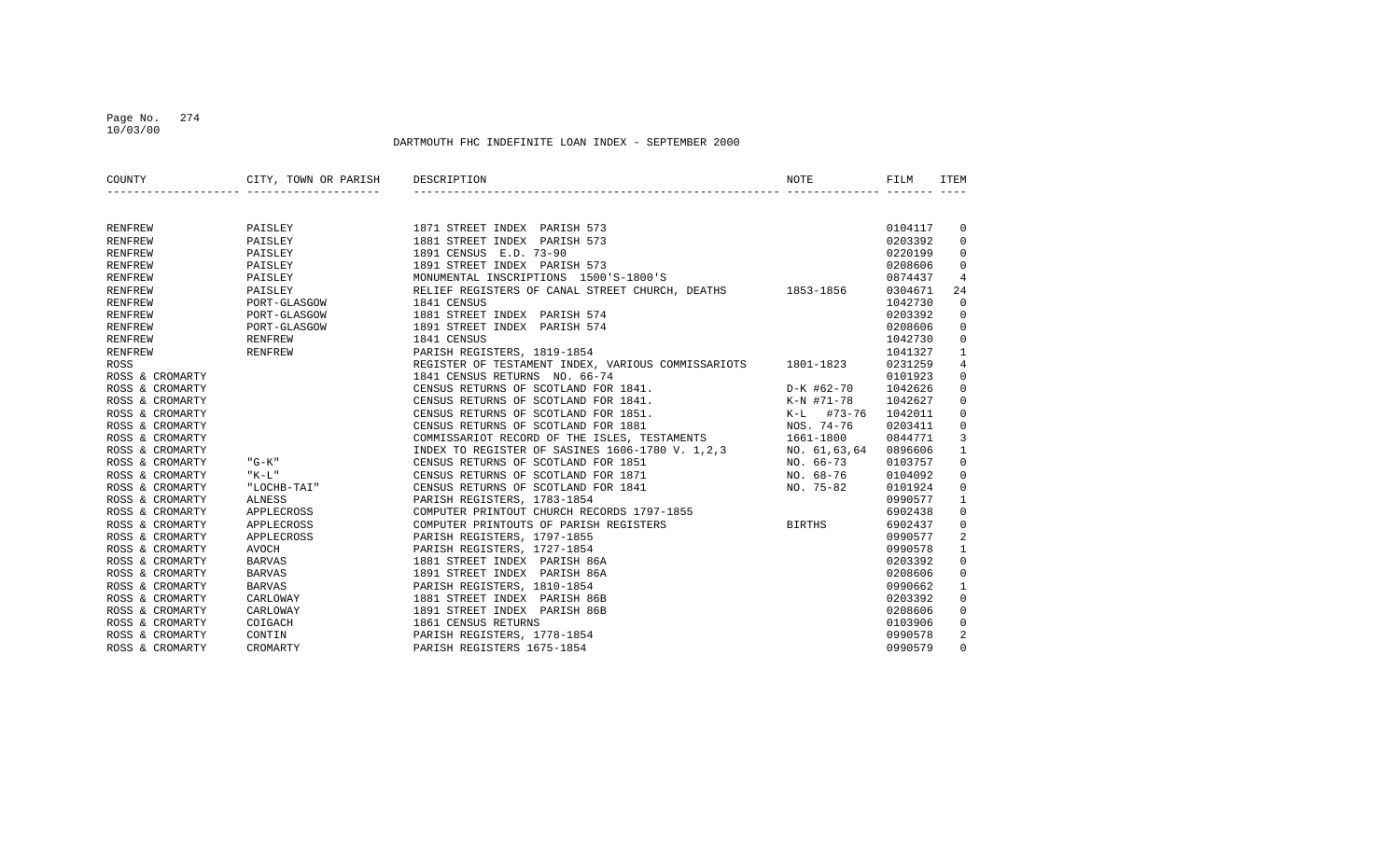## Page No. 274 10/03/00

| COUNTY          | CITY, TOWN OR PARISH             | DESCRIPTION                                                  | <b>NOTE</b>   | FILM    | ITEM         |
|-----------------|----------------------------------|--------------------------------------------------------------|---------------|---------|--------------|
|                 | ________________________________ |                                                              |               |         |              |
| RENFREW         | PAISLEY                          | 1871 STREET INDEX PARISH 573                                 |               | 0104117 | 0            |
| RENFREW         | PAISLEY                          | 1881 STREET INDEX PARISH 573                                 |               | 0203392 | $\mathbf 0$  |
| <b>RENFREW</b>  | PAISLEY                          | 1891 CENSUS E.D. 73-90                                       |               | 0220199 | 0            |
| <b>RENFREW</b>  | PAISLEY                          | 1891 STREET INDEX PARISH 573                                 |               | 0208606 | $\mathbf 0$  |
| <b>RENFREW</b>  | PAISLEY                          | MONUMENTAL INSCRIPTIONS 1500'S-1800'S                        |               | 0874437 | 4            |
| RENFREW         | PAISLEY                          | RELIEF REGISTERS OF CANAL STREET CHURCH, DEATHS 1853-1856    |               | 0304671 | 24           |
| RENFREW         | PORT-GLASGOW                     | 1841 CENSUS                                                  |               | 1042730 | $\mathbf 0$  |
| RENFREW         | PORT-GLASGOW                     | 1881 STREET INDEX PARISH 574                                 |               | 0203392 | $\mathbf 0$  |
| RENFREW         | PORT-GLASGOW                     | 1891 STREET INDEX PARISH 574                                 |               | 0208606 | 0            |
| RENFREW         | RENFREW                          | 1841 CENSUS                                                  |               | 1042730 | 0            |
| <b>RENFREW</b>  | RENFREW                          | PARISH REGISTERS, 1819-1854                                  |               | 1041327 | 1            |
| ROSS            |                                  | REGISTER OF TESTAMENT INDEX, VARIOUS COMMISSARIOTS 1801-1823 |               | 0231259 | 4            |
| ROSS & CROMARTY |                                  | 1841 CENSUS RETURNS NO. 66-74                                |               | 0101923 | 0            |
| ROSS & CROMARTY |                                  | CENSUS RETURNS OF SCOTLAND FOR 1841.                         | D-K #62-70    | 1042626 | 0            |
| ROSS & CROMARTY |                                  | CENSUS RETURNS OF SCOTLAND FOR 1841.                         | K-N #71-78    | 1042627 | 0            |
| ROSS & CROMARTY |                                  | CENSUS RETURNS OF SCOTLAND FOR 1851.                         | K-L #73-76    | 1042011 | 0            |
| ROSS & CROMARTY |                                  | CENSUS RETURNS OF SCOTLAND FOR 1881                          | NOS. 74-76    | 0203411 | 0            |
| ROSS & CROMARTY |                                  | COMMISSARIOT RECORD OF THE ISLES, TESTAMENTS                 | 1661-1800     | 0844771 | 3            |
| ROSS & CROMARTY |                                  | INDEX TO REGISTER OF SASINES 1606-1780 V. 1,2,3              | NO. 61,63,64  | 0896606 | $\mathbf{1}$ |
| ROSS & CROMARTY | $"G-K"$                          | CENSUS RETURNS OF SCOTLAND FOR 1851                          | NO. 66-73     | 0103757 | 0            |
| ROSS & CROMARTY | "K-L"                            | CENSUS RETURNS OF SCOTLAND FOR 1871                          | NO. 68-76     | 0104092 | 0            |
| ROSS & CROMARTY | "LOCHB-TAI"                      | CENSUS RETURNS OF SCOTLAND FOR 1841                          | NO. 75-82     | 0101924 | 0            |
| ROSS & CROMARTY | ALNESS                           | PARISH REGISTERS, 1783-1854                                  |               | 0990577 | 1            |
| ROSS & CROMARTY | APPLECROSS                       | COMPUTER PRINTOUT CHURCH RECORDS 1797-1855                   |               | 6902438 | $\mathbf 0$  |
| ROSS & CROMARTY | APPLECROSS                       | COMPUTER PRINTOUTS OF PARISH REGISTERS                       | <b>BIRTHS</b> | 6902437 | $\mathbf 0$  |
| ROSS & CROMARTY | APPLECROSS                       | PARISH REGISTERS, 1797-1855                                  |               | 0990577 | 2            |
| ROSS & CROMARTY | <b>AVOCH</b>                     | PARISH REGISTERS, 1727-1854                                  |               | 0990578 | 1            |
| ROSS & CROMARTY | <b>BARVAS</b>                    | 1881 STREET INDEX PARISH 86A                                 |               | 0203392 | 0            |
| ROSS & CROMARTY | <b>BARVAS</b>                    | 1891 STREET INDEX PARISH 86A                                 |               | 0208606 | 0            |
| ROSS & CROMARTY | <b>BARVAS</b>                    | PARISH REGISTERS, 1810-1854                                  |               | 0990662 | $\mathbf{1}$ |
| ROSS & CROMARTY | CARLOWAY                         | 1881 STREET INDEX PARISH 86B                                 |               | 0203392 | $\mathbf 0$  |
| ROSS & CROMARTY | CARLOWAY                         | 1891 STREET INDEX PARISH 86B                                 |               | 0208606 | $\mathbf 0$  |
| ROSS & CROMARTY | COIGACH                          | 1861 CENSUS RETURNS                                          |               | 0103906 | 0            |
| ROSS & CROMARTY | CONTIN                           | PARISH REGISTERS, 1778-1854                                  |               | 0990578 | 2            |
| ROSS & CROMARTY | CROMARTY                         | PARISH REGISTERS 1675-1854                                   |               | 0990579 | $\Omega$     |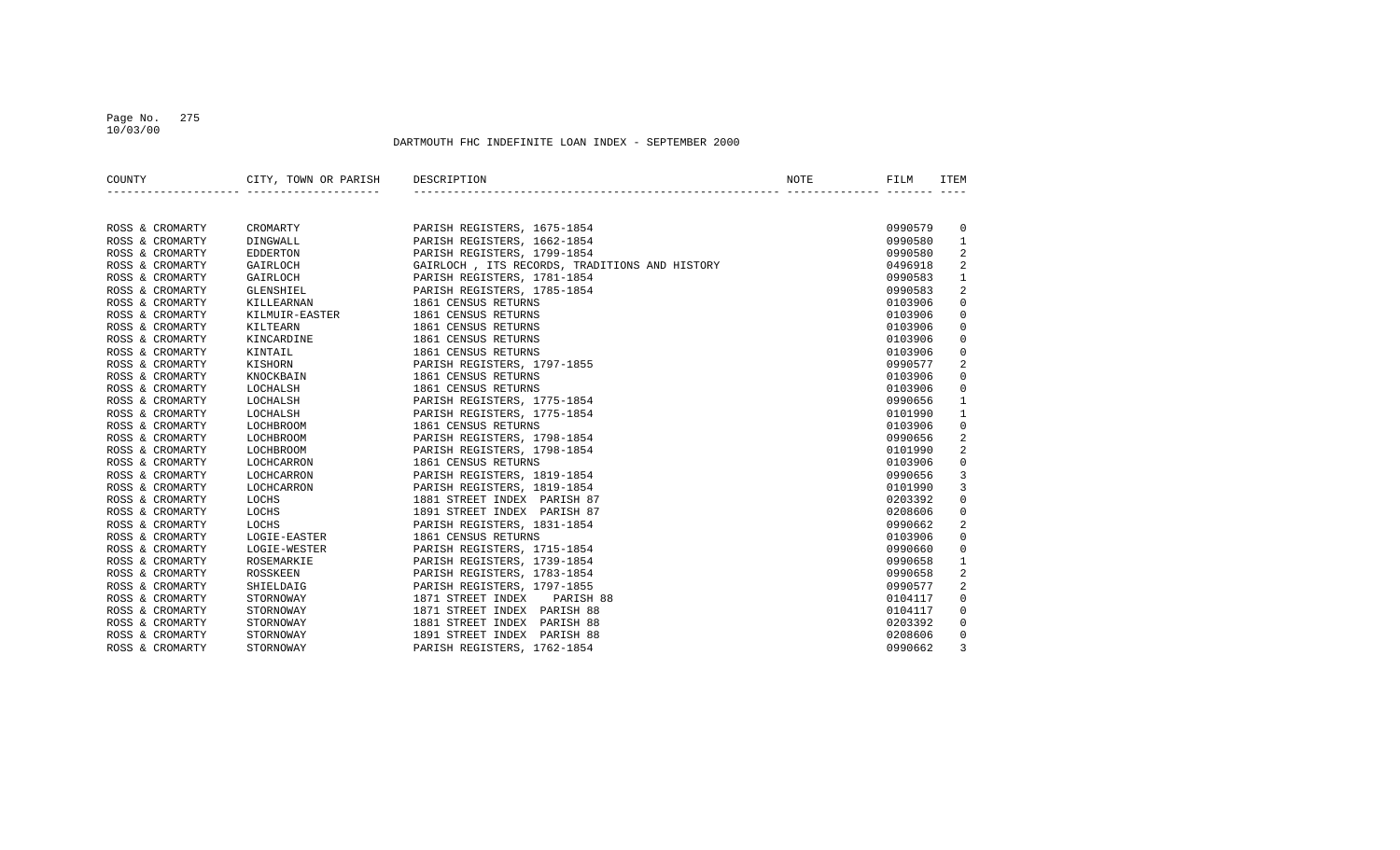## Page No. 275 10/03/00

| COUNTY          | CITY, TOWN OR PARISH<br>________________________________ | DESCRIPTION                                   | NOTE | FILM    | <b>ITEM</b>  |
|-----------------|----------------------------------------------------------|-----------------------------------------------|------|---------|--------------|
|                 |                                                          |                                               |      |         |              |
| ROSS & CROMARTY | CROMARTY                                                 | PARISH REGISTERS, 1675-1854                   |      | 0990579 | $\mathbf{0}$ |
| ROSS & CROMARTY | DINGWALL                                                 | PARISH REGISTERS, 1662-1854                   |      | 0990580 | 1            |
| ROSS & CROMARTY | <b>EDDERTON</b>                                          | PARISH REGISTERS, 1799-1854                   |      | 0990580 | 2            |
| ROSS & CROMARTY | GAIRLOCH                                                 | GAIRLOCH, ITS RECORDS, TRADITIONS AND HISTORY |      | 0496918 | 2            |
| ROSS & CROMARTY | GAIRLOCH                                                 | PARISH REGISTERS, 1781-1854                   |      | 0990583 | 1            |
| ROSS & CROMARTY | GLENSHIEL                                                | PARISH REGISTERS, 1785-1854                   |      | 0990583 | 2            |
| ROSS & CROMARTY | KILLEARNAN                                               | 1861 CENSUS RETURNS                           |      | 0103906 | $\Omega$     |
| ROSS & CROMARTY | KILMUIR-EASTER                                           | 1861 CENSUS RETURNS                           |      | 0103906 | $\Omega$     |
| ROSS & CROMARTY | KILTEARN                                                 | 1861 CENSUS RETURNS                           |      | 0103906 | $\Omega$     |
| ROSS & CROMARTY | KINCARDINE                                               | 1861 CENSUS RETURNS                           |      | 0103906 | $\mathbf 0$  |
| ROSS & CROMARTY | KINTAIL                                                  | 1861 CENSUS RETURNS                           |      | 0103906 | $\mathbf 0$  |
| ROSS & CROMARTY | KISHORN                                                  | PARISH REGISTERS, 1797-1855                   |      | 0990577 | 2            |
| ROSS & CROMARTY | KNOCKBAIN                                                | 1861 CENSUS RETURNS                           |      | 0103906 | $\mathbf 0$  |
| ROSS & CROMARTY | LOCHALSH                                                 | 1861 CENSUS RETURNS                           |      | 0103906 | $\mathbf 0$  |
| ROSS & CROMARTY | LOCHALSH                                                 | PARISH REGISTERS, 1775-1854                   |      | 0990656 | 1            |
| ROSS & CROMARTY | LOCHALSH                                                 | PARISH REGISTERS, 1775-1854                   |      | 0101990 | 1            |
| ROSS & CROMARTY | LOCHBROOM                                                | 1861 CENSUS RETURNS                           |      | 0103906 | 0            |
| ROSS & CROMARTY | LOCHBROOM                                                | PARISH REGISTERS, 1798-1854                   |      | 0990656 | 2            |
| ROSS & CROMARTY | LOCHBROOM                                                | PARISH REGISTERS, 1798-1854                   |      | 0101990 | 2            |
| ROSS & CROMARTY | LOCHCARRON                                               | 1861 CENSUS RETURNS                           |      | 0103906 | $\mathbf 0$  |
| ROSS & CROMARTY | LOCHCARRON                                               | PARISH REGISTERS, 1819-1854                   |      | 0990656 | 3            |
| ROSS & CROMARTY | LOCHCARRON                                               | PARISH REGISTERS, 1819-1854                   |      | 0101990 | 3            |
| ROSS & CROMARTY | LOCHS                                                    | 1881 STREET INDEX PARISH 87                   |      | 0203392 | 0            |
| ROSS & CROMARTY | LOCHS                                                    | 1891 STREET INDEX PARISH 87                   |      | 0208606 | 0            |
| ROSS & CROMARTY | LOCHS                                                    | PARISH REGISTERS, 1831-1854                   |      | 0990662 | 2            |
| ROSS & CROMARTY | LOGIE-EASTER                                             | 1861 CENSUS RETURNS                           |      | 0103906 | $\mathbf 0$  |
| ROSS & CROMARTY | LOGIE-WESTER                                             | PARISH REGISTERS, 1715-1854                   |      | 0990660 | 0            |
| ROSS & CROMARTY | ROSEMARKIE                                               | PARISH REGISTERS, 1739-1854                   |      | 0990658 | $\mathbf{1}$ |
| ROSS & CROMARTY | ROSSKEEN                                                 | PARISH REGISTERS, 1783-1854                   |      | 0990658 | 2            |
| ROSS & CROMARTY | SHIELDAIG                                                | PARISH REGISTERS, 1797-1855                   |      | 0990577 | 2            |
| ROSS & CROMARTY | STORNOWAY                                                | 1871 STREET INDEX PARISH 88                   |      | 0104117 | $\mathbf 0$  |
| ROSS & CROMARTY | STORNOWAY                                                | 1871 STREET INDEX PARISH 88                   |      | 0104117 | $\mathbf 0$  |
| ROSS & CROMARTY | STORNOWAY                                                | 1881 STREET INDEX PARISH 88                   |      | 0203392 | $\mathbf 0$  |
| ROSS & CROMARTY | STORNOWAY                                                | 1891 STREET INDEX PARISH 88                   |      | 0208606 | $\mathbf 0$  |
| ROSS & CROMARTY | STORNOWAY                                                | PARISH REGISTERS, 1762-1854                   |      | 0990662 | 3            |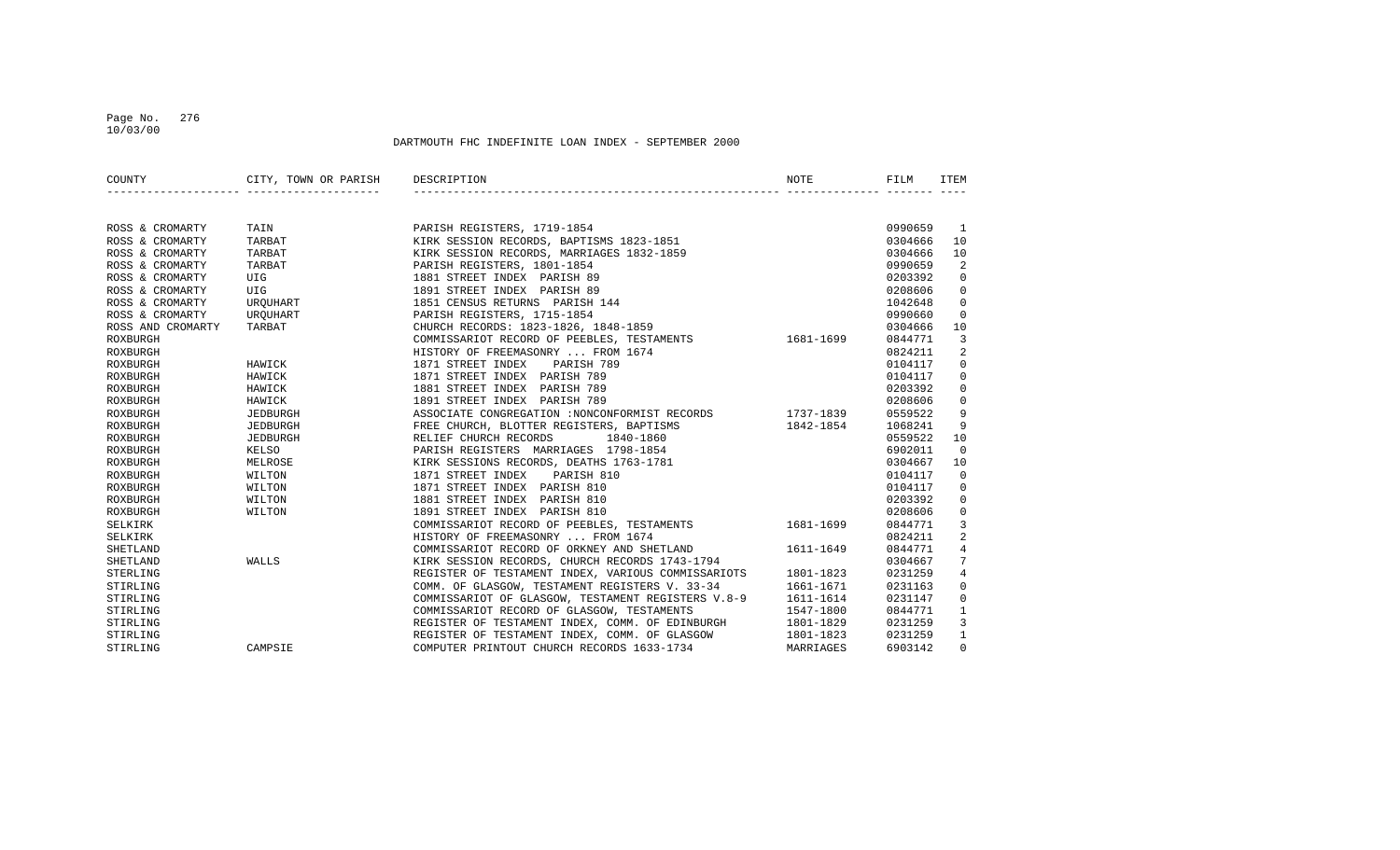## Page No. 276 10/03/00

| COUNTY            | CITY, TOWN OR PARISH DESCRIPTION |                                                              | NOTE      | FILM    | ITEM            |
|-------------------|----------------------------------|--------------------------------------------------------------|-----------|---------|-----------------|
|                   |                                  |                                                              |           |         |                 |
| ROSS & CROMARTY   | TAIN                             | PARISH REGISTERS, 1719-1854                                  |           | 0990659 | -1              |
| ROSS & CROMARTY   | TARBAT                           | KIRK SESSION RECORDS, BAPTISMS 1823-1851                     |           | 0304666 | 10              |
| ROSS & CROMARTY   | TARBAT                           | KIRK SESSION RECORDS, MARRIAGES 1832-1859                    |           | 0304666 | 10              |
| ROSS & CROMARTY   | TARBAT                           | PARISH REGISTERS, 1801-1854                                  |           | 0990659 | 2               |
| ROSS & CROMARTY   | UIG                              | 1881 STREET INDEX PARISH 89                                  |           | 0203392 | $\mathbf 0$     |
| ROSS & CROMARTY   | UIG                              | 1891 STREET INDEX PARISH 89                                  |           | 0208606 | 0               |
| ROSS & CROMARTY   | UROUHART                         | 1851 CENSUS RETURNS PARISH 144                               |           | 1042648 | $\overline{0}$  |
| ROSS & CROMARTY   | UROUHART                         | PARISH REGISTERS, 1715-1854                                  |           | 0990660 | $\overline{0}$  |
| ROSS AND CROMARTY | TARBAT                           | CHURCH RECORDS: 1823-1826, 1848-1859                         |           | 0304666 | 10              |
| ROXBURGH          |                                  | COMMISSARIOT RECORD OF PEEBLES, TESTAMENTS 1681-1699         |           | 0844771 | 3               |
| ROXBURGH          |                                  | HISTORY OF FREEMASONRY  FROM 1674                            |           | 0824211 | 2               |
| ROXBURGH          | HAWICK                           | PARISH 789<br>1871 STREET INDEX                              |           | 0104117 | $\mathbf 0$     |
| ROXBURGH          | HAWICK                           | 1871 STREET INDEX PARISH 789                                 |           | 0104117 | 0               |
| ROXBURGH          | HAWICK                           | 1881 STREET INDEX PARISH 789                                 |           | 0203392 | 0               |
| ROXBURGH          | HAWICK                           | 1891 STREET INDEX PARISH 789                                 |           | 0208606 | 0               |
| ROXBURGH          | JEDBURGH                         | ASSOCIATE CONGREGATION : NONCONFORMIST RECORDS 1737-1839     |           | 0559522 | 9               |
| ROXBURGH          | JEDBURGH                         | FREE CHURCH, BLOTTER REGISTERS, BAPTISMS                     | 1842-1854 | 1068241 | 9               |
| ROXBURGH          | JEDBURGH                         | RELIEF CHURCH RECORDS<br>1840-1860                           |           | 0559522 | 10              |
| ROXBURGH          | KELSO                            | PARISH REGISTERS MARRIAGES 1798-1854                         |           | 6902011 | $\mathbf 0$     |
| ROXBURGH          | MELROSE                          | KIRK SESSIONS RECORDS, DEATHS 1763-1781                      |           | 0304667 | 10              |
| ROXBURGH          | WILTON                           | 1871 STREET INDEX<br>PARISH 810                              |           | 0104117 | $\overline{0}$  |
| ROXBURGH          | WILTON                           | 1871 STREET INDEX PARISH 810                                 |           | 0104117 | $\mathbf{0}$    |
| ROXBURGH          | WILTON                           | 1881 STREET INDEX PARISH 810                                 |           | 0203392 | 0               |
| ROXBURGH          | WILTON                           | 1891 STREET INDEX PARISH 810                                 |           | 0208606 | $\mathbf 0$     |
| SELKIRK           |                                  | COMMISSARIOT RECORD OF PEEBLES, TESTAMENTS 1681-1699         |           | 0844771 | 3               |
| SELKIRK           |                                  | HISTORY OF FREEMASONRY  FROM 1674                            |           | 0824211 | $\overline{a}$  |
| SHETLAND          |                                  | COMMISSARIOT RECORD OF ORKNEY AND SHETLAND                   | 1611-1649 | 0844771 | $\overline{4}$  |
| SHETLAND          | WALLS                            | KIRK SESSION RECORDS, CHURCH RECORDS 1743-1794               |           | 0304667 | $7\phantom{.0}$ |
| STERLING          |                                  | REGISTER OF TESTAMENT INDEX, VARIOUS COMMISSARIOTS 1801-1823 |           | 0231259 | $\overline{4}$  |
| STIRLING          |                                  | COMM. OF GLASGOW, TESTAMENT REGISTERS V. 33-34 1661-1671     |           | 0231163 | 0               |
| STIRLING          |                                  | COMMISSARIOT OF GLASGOW, TESTAMENT REGISTERS V.8-9 1611-1614 |           | 0231147 | $\mathbf 0$     |
| STIRLING          |                                  | COMMISSARIOT RECORD OF GLASGOW, TESTAMENTS                   | 1547-1800 | 0844771 | 1               |
| STIRLING          |                                  | REGISTER OF TESTAMENT INDEX, COMM. OF EDINBURGH 1801-1829    |           | 0231259 | $\overline{3}$  |
| STIRLING          |                                  | REGISTER OF TESTAMENT INDEX, COMM. OF GLASGOW                | 1801-1823 | 0231259 | $\mathbf{1}$    |
| STIRLING          | CAMPSIE                          | COMPUTER PRINTOUT CHURCH RECORDS 1633-1734                   | MARRIAGES | 6903142 | $\Omega$        |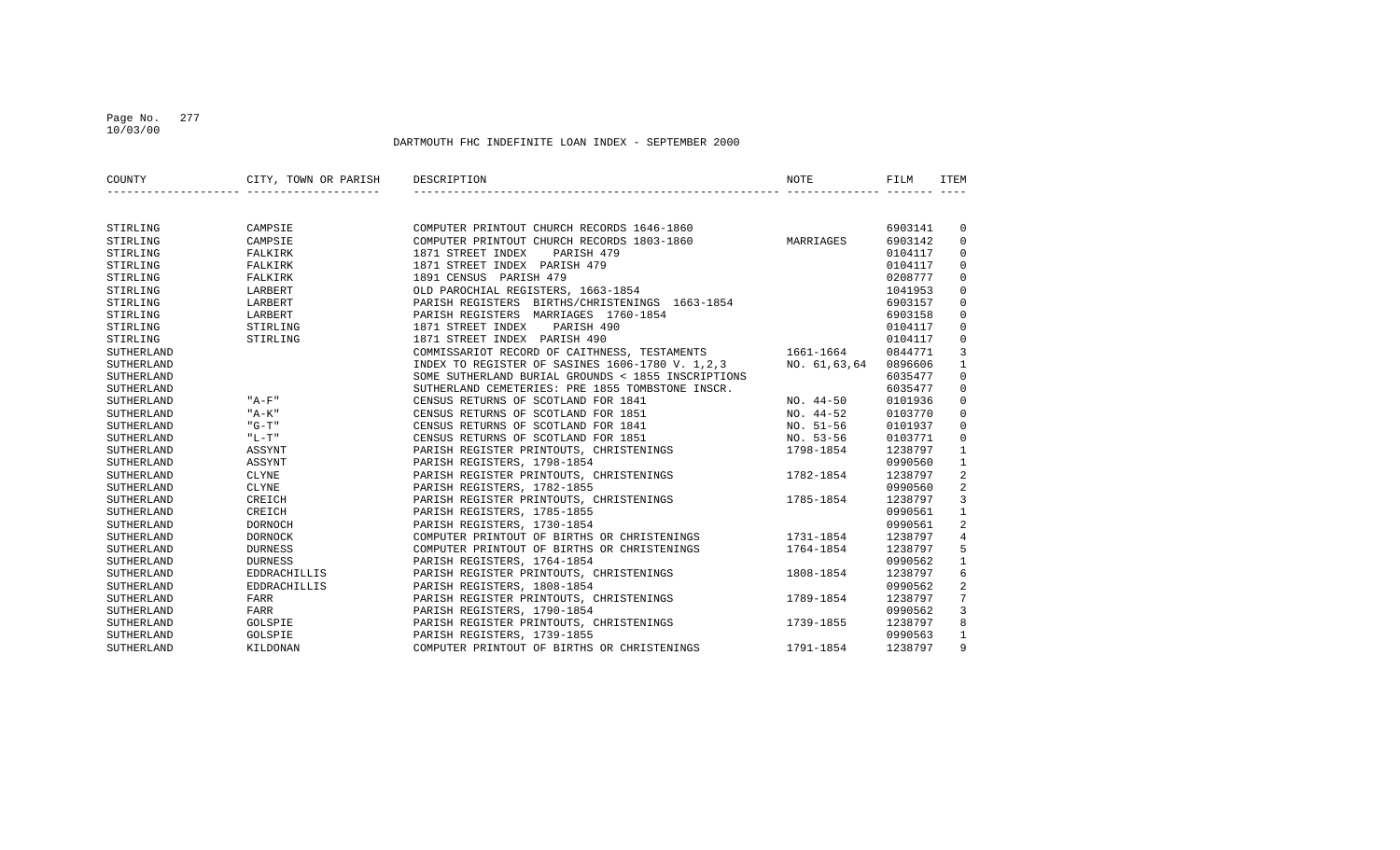## Page No. 277 10/03/00

| COUNTY     | CITY, TOWN OR PARISH | DESCRIPTION                                        | NOTE         | FILM    | ITEM           |
|------------|----------------------|----------------------------------------------------|--------------|---------|----------------|
|            |                      |                                                    |              |         |                |
| STIRLING   | CAMPSIE              | COMPUTER PRINTOUT CHURCH RECORDS 1646-1860         |              | 6903141 | 0              |
| STIRLING   | CAMPSIE              | COMPUTER PRINTOUT CHURCH RECORDS 1803-1860         | MARRIAGES    | 6903142 | $\Omega$       |
| STIRLING   | FALKIRK              | 1871 STREET INDEX<br>PARISH 479                    |              | 0104117 | $\Omega$       |
| STIRLING   | FALKIRK              | 1871 STREET INDEX PARISH 479                       |              | 0104117 | $\Omega$       |
| STIRLING   | FALKIRK              | 1891 CENSUS PARISH 479                             |              | 0208777 | $\Omega$       |
| STIRLING   | LARBERT              | OLD PAROCHIAL REGISTERS, 1663-1854                 |              | 1041953 | $\Omega$       |
| STIRLING   | LARBERT              | PARISH REGISTERS BIRTHS/CHRISTENINGS 1663-1854     |              | 6903157 | $\Omega$       |
| STIRLING   | LARBERT              | PARISH REGISTERS MARRIAGES 1760-1854               |              | 6903158 | $\Omega$       |
| STIRLING   | STIRLING             | 1871 STREET INDEX<br>PARISH 490                    |              | 0104117 | $\Omega$       |
| STIRLING   | STIRLING             | 1871 STREET INDEX PARISH 490                       |              | 0104117 | $\Omega$       |
| SUTHERLAND |                      | COMMISSARIOT RECORD OF CAITHNESS, TESTAMENTS       | 1661-1664    | 0844771 | 3              |
| SUTHERLAND |                      | INDEX TO REGISTER OF SASINES 1606-1780 V. 1,2,3    | NO. 61,63,64 | 0896606 | 1              |
| SUTHERLAND |                      | SOME SUTHERLAND BURIAL GROUNDS < 1855 INSCRIPTIONS |              | 6035477 | $\Omega$       |
| SUTHERLAND |                      | SUTHERLAND CEMETERIES: PRE 1855 TOMBSTONE INSCR.   |              | 6035477 | $\Omega$       |
| SUTHERLAND | $"A-F"$              | CENSUS RETURNS OF SCOTLAND FOR 1841                | $NO. 44-50$  | 0101936 | $\Omega$       |
| SUTHERLAND | "A-K"                | CENSUS RETURNS OF SCOTLAND FOR 1851                | $NO. 44-52$  | 0103770 | $\Omega$       |
| SUTHERLAND | "G-T"                | CENSUS RETURNS OF SCOTLAND FOR 1841                | NO. 51-56    | 0101937 | $\Omega$       |
| SUTHERLAND | $"L-T"$              | CENSUS RETURNS OF SCOTLAND FOR 1851                | NO. 53-56    | 0103771 | $\Omega$       |
| SUTHERLAND | ASSYNT               | PARISH REGISTER PRINTOUTS, CHRISTENINGS            | 1798-1854    | 1238797 | $\mathbf{1}$   |
| SUTHERLAND | ASSYNT               | PARISH REGISTERS, 1798-1854                        |              | 0990560 | $\mathbf{1}$   |
| SUTHERLAND | CLYNE                | PARISH REGISTER PRINTOUTS, CHRISTENINGS            | 1782-1854    | 1238797 | 2              |
| SUTHERLAND | CLYNE                | PARISH REGISTERS, 1782-1855                        |              | 0990560 | 2              |
| SUTHERLAND | CREICH               | PARISH REGISTER PRINTOUTS, CHRISTENINGS            | 1785-1854    | 1238797 | $\overline{3}$ |
| SUTHERLAND | CREICH               | PARISH REGISTERS, 1785-1855                        |              | 0990561 | $\mathbf{1}$   |
| SUTHERLAND | DORNOCH              | PARISH REGISTERS, 1730-1854                        |              | 0990561 | $\overline{2}$ |
| SUTHERLAND | <b>DORNOCK</b>       | COMPUTER PRINTOUT OF BIRTHS OR CHRISTENINGS        | 1731-1854    | 1238797 | $\overline{4}$ |
| SUTHERLAND | <b>DURNESS</b>       | COMPUTER PRINTOUT OF BIRTHS OR CHRISTENINGS        | 1764-1854    | 1238797 | 5              |
| SUTHERLAND | <b>DURNESS</b>       | PARISH REGISTERS, 1764-1854                        |              | 0990562 | $\mathbf{1}$   |
| SUTHERLAND | EDDRACHILLIS         | PARISH REGISTER PRINTOUTS, CHRISTENINGS            | 1808-1854    | 1238797 | 6              |
| SUTHERLAND | <b>EDDRACHILLIS</b>  | PARISH REGISTERS, 1808-1854                        |              | 0990562 | $\overline{2}$ |
| SUTHERLAND | FARR                 | PARISH REGISTER PRINTOUTS, CHRISTENINGS            | 1789-1854    | 1238797 | 7              |
| SUTHERLAND | FARR                 | PARISH REGISTERS, 1790-1854                        |              | 0990562 | 3              |
| SUTHERLAND | GOLSPIE              | PARISH REGISTER PRINTOUTS, CHRISTENINGS            | 1739-1855    | 1238797 | 8              |
| SUTHERLAND | GOLSPIE              | PARISH REGISTERS, 1739-1855                        |              | 0990563 | $\mathbf{1}$   |
| SUTHERLAND | KILDONAN             | COMPUTER PRINTOUT OF BIRTHS OR CHRISTENINGS        | 1791-1854    | 1238797 | 9              |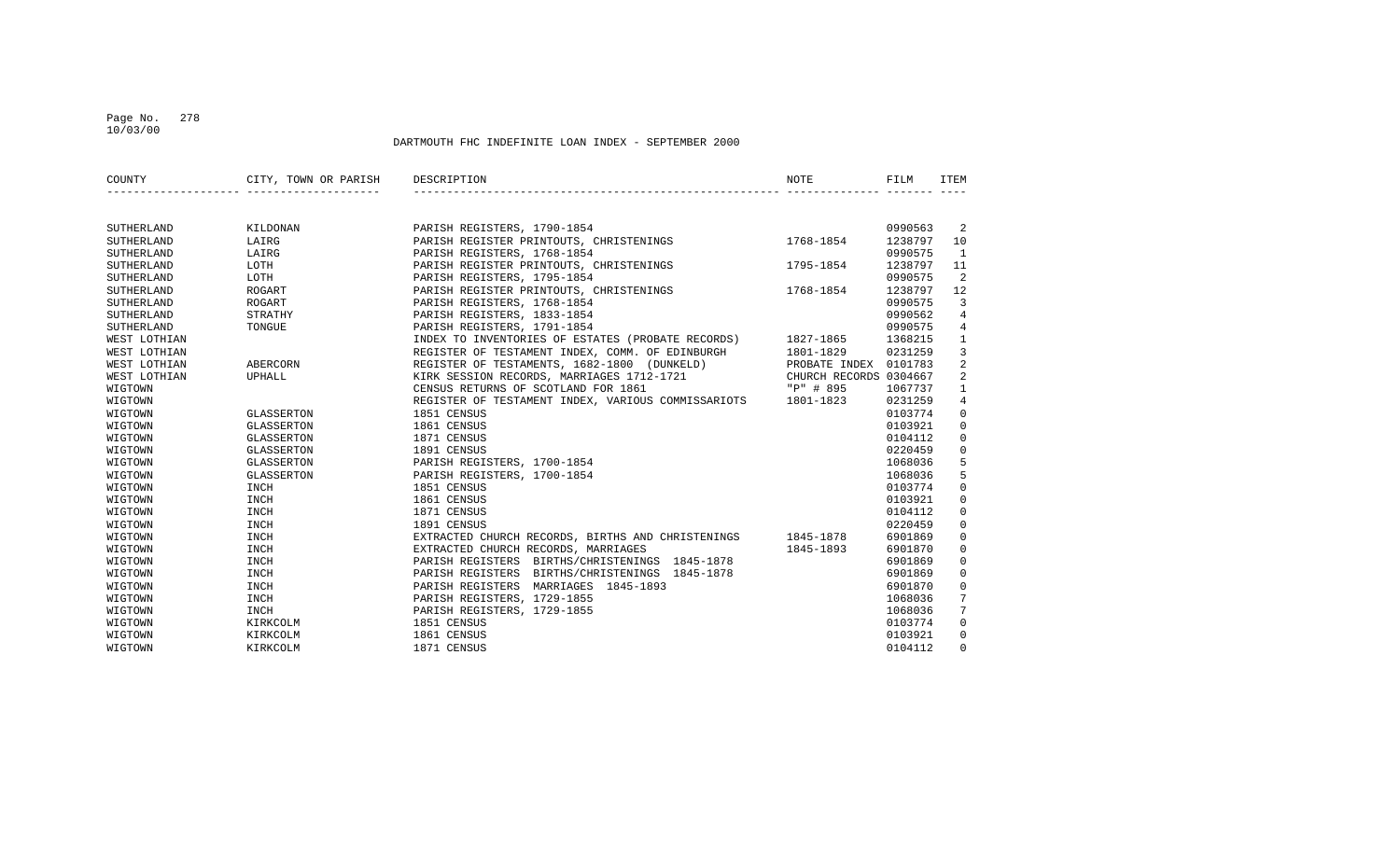## Page No. 278 10/03/00

| COUNTY       | CITY, TOWN OR PARISH | DESCRIPTION                                                  | NOTE                   | FILM    | ITEM           |
|--------------|----------------------|--------------------------------------------------------------|------------------------|---------|----------------|
|              |                      |                                                              |                        |         |                |
| SUTHERLAND   | KILDONAN             | PARISH REGISTERS, 1790-1854                                  |                        | 0990563 | -2             |
| SUTHERLAND   | LAIRG                | PARISH REGISTER PRINTOUTS, CHRISTENINGS                      | 1768-1854              | 1238797 | 10             |
| SUTHERLAND   | LAIRG                | PARISH REGISTERS, 1768-1854                                  |                        | 0990575 | <sup>1</sup>   |
| SUTHERLAND   | LOTH                 | PARISH REGISTER PRINTOUTS, CHRISTENINGS                      | 1795-1854              | 1238797 | 11             |
| SUTHERLAND   | LOTH                 | PARISH REGISTERS, 1795-1854                                  |                        | 0990575 | 2              |
| SUTHERLAND   | ROGART               | PARISH REGISTER PRINTOUTS, CHRISTENINGS                      | 1768-1854              | 1238797 | 12             |
| SUTHERLAND   | ROGART               | PARISH REGISTERS, 1768-1854                                  |                        | 0990575 | 3              |
| SUTHERLAND   | STRATHY              | PARISH REGISTERS, 1833-1854                                  |                        | 0990562 | 4              |
| SUTHERLAND   | TONGUE               | PARISH REGISTERS, 1791-1854                                  |                        | 0990575 | 4              |
| WEST LOTHIAN |                      | INDEX TO INVENTORIES OF ESTATES (PROBATE RECORDS)            | 1827-1865              | 1368215 | $\mathbf{1}$   |
| WEST LOTHIAN |                      | REGISTER OF TESTAMENT INDEX, COMM. OF EDINBURGH              | 1801-1829              | 0231259 | 3              |
| WEST LOTHIAN | ABERCORN             | REGISTER OF TESTAMENTS, 1682-1800 (DUNKELD)                  | PROBATE INDEX 0101783  |         | 2              |
| WEST LOTHIAN | UPHALL               | KIRK SESSION RECORDS, MARRIAGES 1712-1721                    | CHURCH RECORDS 0304667 |         | 2              |
| WIGTOWN      |                      | CENSUS RETURNS OF SCOTLAND FOR 1861                          | "P" # 895              | 1067737 | $\mathbf{1}$   |
| WIGTOWN      |                      | REGISTER OF TESTAMENT INDEX, VARIOUS COMMISSARIOTS 1801-1823 |                        | 0231259 | $\overline{4}$ |
| WIGTOWN      | GLASSERTON           | 1851 CENSUS                                                  |                        | 0103774 | $\mathbf 0$    |
| WIGTOWN      | GLASSERTON           | 1861 CENSUS                                                  |                        | 0103921 | $\mathbf 0$    |
| WIGTOWN      | GLASSERTON           | 1871 CENSUS                                                  |                        | 0104112 | $\mathbf 0$    |
| WIGTOWN      | GLASSERTON           | 1891 CENSUS                                                  |                        | 0220459 | $\mathbf 0$    |
| WIGTOWN      | GLASSERTON           | PARISH REGISTERS, 1700-1854                                  |                        | 1068036 | 5              |
| WIGTOWN      | GLASSERTON           | PARISH REGISTERS, 1700-1854                                  |                        | 1068036 | 5              |
| WIGTOWN      | INCH                 | 1851 CENSUS                                                  |                        | 0103774 | $\mathbf 0$    |
| WIGTOWN      | INCH                 | 1861 CENSUS                                                  |                        | 0103921 | $\mathbf 0$    |
| WIGTOWN      | INCH                 | 1871 CENSUS                                                  |                        | 0104112 | $\mathbf 0$    |
| WIGTOWN      | INCH                 | 1891 CENSUS                                                  |                        | 0220459 | $\mathbf 0$    |
| WIGTOWN      | INCH                 | EXTRACTED CHURCH RECORDS, BIRTHS AND CHRISTENINGS            | 1845-1878              | 6901869 | $\mathbf 0$    |
| WIGTOWN      | <b>INCH</b>          | EXTRACTED CHURCH RECORDS, MARRIAGES                          | 1845-1893              | 6901870 | $\mathbf 0$    |
| WIGTOWN      | <b>INCH</b>          | PARISH REGISTERS BIRTHS/CHRISTENINGS 1845-1878               |                        | 6901869 | 0              |
| WIGTOWN      | <b>INCH</b>          | PARISH REGISTERS BIRTHS/CHRISTENINGS 1845-1878               |                        | 6901869 | $\mathbf 0$    |
| WIGTOWN      | INCH                 | PARISH REGISTERS MARRIAGES 1845-1893                         |                        | 6901870 | $\mathbf 0$    |
| WIGTOWN      | INCH                 | PARISH REGISTERS, 1729-1855                                  |                        | 1068036 | 7              |
| WIGTOWN      | INCH                 | PARISH REGISTERS, 1729-1855                                  |                        | 1068036 | 7              |
| WIGTOWN      | KIRKCOLM             | 1851 CENSUS                                                  |                        | 0103774 | $\mathbf 0$    |
| WIGTOWN      | KIRKCOLM             | 1861 CENSUS                                                  |                        | 0103921 | 0              |
| WIGTOWN      | KIRKCOLM             | 1871 CENSUS                                                  |                        | 0104112 | $\Omega$       |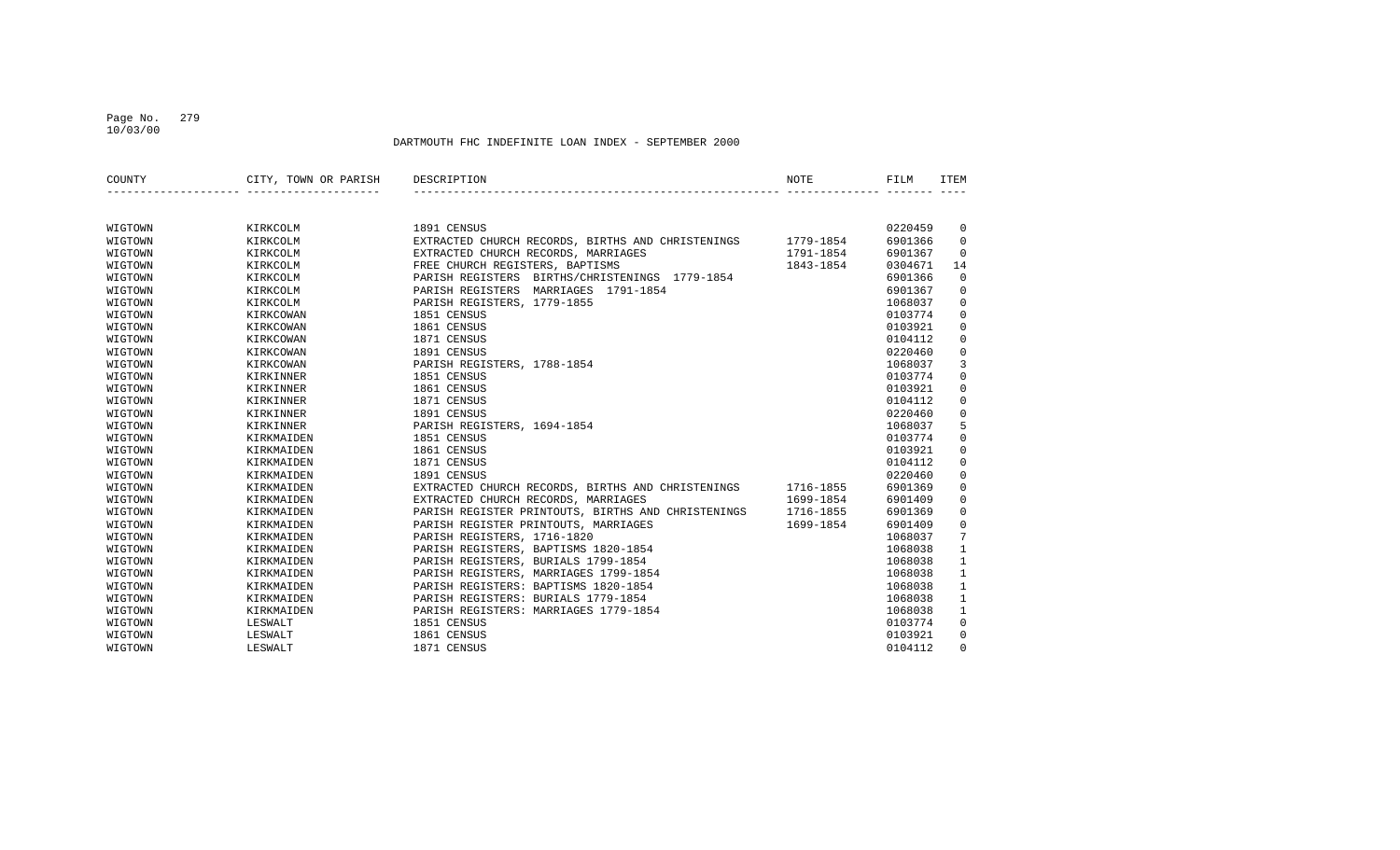## Page No. 279 10/03/00

| COUNTY  | CITY, TOWN OR PARISH | DESCRIPTION                                        | NOTE      | FILM    | <b>ITEM</b>         |
|---------|----------------------|----------------------------------------------------|-----------|---------|---------------------|
|         |                      |                                                    |           |         |                     |
| WIGTOWN | KIRKCOLM             | 1891 CENSUS                                        |           | 0220459 | 0                   |
| WIGTOWN | KIRKCOLM             | EXTRACTED CHURCH RECORDS, BIRTHS AND CHRISTENINGS  | 1779-1854 | 6901366 | $\mathbf 0$         |
| WIGTOWN | KIRKCOLM             | EXTRACTED CHURCH RECORDS, MARRIAGES                | 1791-1854 | 6901367 | $\mathbf 0$         |
| WIGTOWN | KIRKCOLM             | FREE CHURCH REGISTERS, BAPTISMS                    | 1843-1854 | 0304671 | 14                  |
| WIGTOWN | KIRKCOLM             | PARISH REGISTERS BIRTHS/CHRISTENINGS 1779-1854     |           | 6901366 | 0                   |
| WIGTOWN | KIRKCOLM             | PARISH REGISTERS MARRIAGES 1791-1854               |           | 6901367 | $\mathsf 0$         |
| WIGTOWN | KIRKCOLM             | PARISH REGISTERS, 1779-1855                        |           | 1068037 | 0                   |
| WIGTOWN | KIRKCOWAN            | 1851 CENSUS                                        |           | 0103774 | 0                   |
| WIGTOWN | KIRKCOWAN            | 1861 CENSUS                                        |           | 0103921 | $\mathbf 0$         |
| WIGTOWN | KIRKCOWAN            | 1871 CENSUS                                        |           | 0104112 | 0                   |
| WIGTOWN | KIRKCOWAN            | 1891 CENSUS                                        |           | 0220460 | 0                   |
| WIGTOWN | KIRKCOWAN            | PARISH REGISTERS, 1788-1854                        |           | 1068037 | 3                   |
| WIGTOWN | KIRKINNER            | 1851 CENSUS                                        |           | 0103774 | $\mathsf 0$         |
| WIGTOWN | KIRKINNER            | 1861 CENSUS                                        |           | 0103921 | $\mathsf 0$         |
| WIGTOWN | KIRKINNER            | 1871 CENSUS                                        |           | 0104112 | $\mathsf 0$         |
| WIGTOWN | KIRKINNER            | 1891 CENSUS                                        |           | 0220460 | 0                   |
| WIGTOWN | KIRKINNER            | PARISH REGISTERS, 1694-1854                        |           | 1068037 | 5                   |
| WIGTOWN | KIRKMAIDEN           | 1851 CENSUS                                        |           | 0103774 | $\mathbf 0$         |
| WIGTOWN | KIRKMAIDEN           | 1861 CENSUS                                        |           | 0103921 | $\mathsf{O}\xspace$ |
| WIGTOWN | KIRKMAIDEN           | 1871 CENSUS                                        |           | 0104112 | $\mathbf 0$         |
| WIGTOWN | KIRKMAIDEN           | 1891 CENSUS                                        |           | 0220460 | $\mathbf 0$         |
| WIGTOWN | KIRKMAIDEN           | EXTRACTED CHURCH RECORDS, BIRTHS AND CHRISTENINGS  | 1716-1855 | 6901369 | $\mathsf 0$         |
| WIGTOWN | KIRKMAIDEN           | EXTRACTED CHURCH RECORDS, MARRIAGES                | 1699-1854 | 6901409 | 0                   |
| WIGTOWN | KIRKMAIDEN           | PARISH REGISTER PRINTOUTS, BIRTHS AND CHRISTENINGS | 1716-1855 | 6901369 | 0                   |
| WIGTOWN | KIRKMAIDEN           | PARISH REGISTER PRINTOUTS, MARRIAGES               | 1699-1854 | 6901409 | $\mathbf 0$         |
| WIGTOWN | KIRKMAIDEN           | PARISH REGISTERS, 1716-1820                        |           | 1068037 | 7                   |
| WIGTOWN | KIRKMAIDEN           | PARISH REGISTERS, BAPTISMS 1820-1854               |           | 1068038 | $\mathbf{1}$        |
| WIGTOWN | KIRKMAIDEN           | PARISH REGISTERS, BURIALS 1799-1854                |           | 1068038 | 1                   |
| WIGTOWN | KIRKMAIDEN           | PARISH REGISTERS, MARRIAGES 1799-1854              |           | 1068038 | 1                   |
| WIGTOWN | KIRKMAIDEN           | PARISH REGISTERS: BAPTISMS 1820-1854               |           | 1068038 | $\mathbf{1}$        |
| WIGTOWN | KIRKMAIDEN           | PARISH REGISTERS: BURIALS 1779-1854                |           | 1068038 | $\mathbf{1}$        |
| WIGTOWN | KIRKMAIDEN           | PARISH REGISTERS: MARRIAGES 1779-1854              |           | 1068038 | 1                   |
| WIGTOWN | LESWALT              | 1851 CENSUS                                        |           | 0103774 | 0                   |
| WIGTOWN | LESWALT              | 1861 CENSUS                                        |           | 0103921 | 0                   |
| WIGTOWN | LESWALT              | 1871 CENSUS                                        |           | 0104112 | $\Omega$            |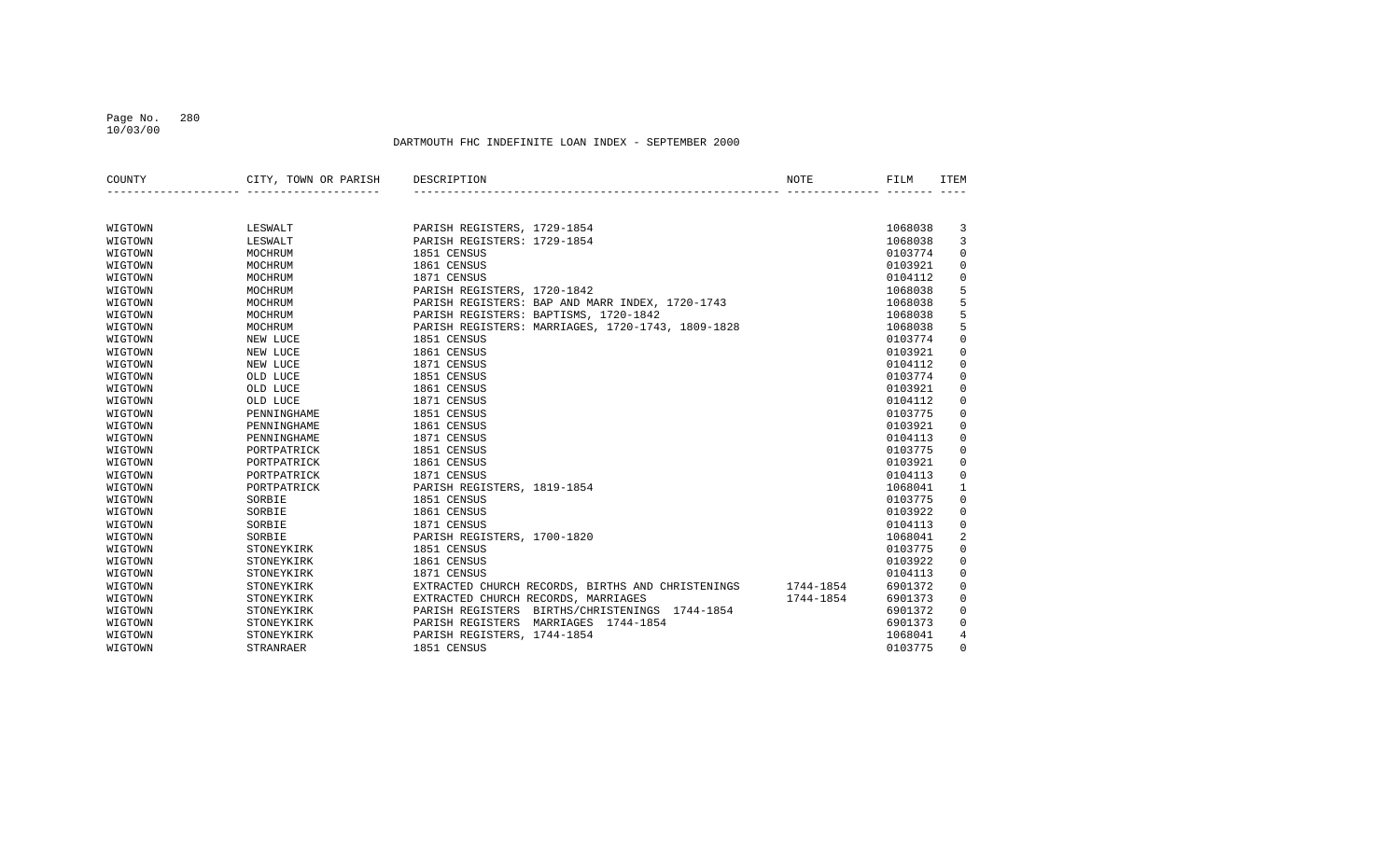### Page No. 280 10/03/00

| COUNTY  | CITY, TOWN OR PARISH | DESCRIPTION                                       | NOTE      | FILM    | <b>ITEM</b>  |
|---------|----------------------|---------------------------------------------------|-----------|---------|--------------|
|         |                      |                                                   |           |         |              |
| WIGTOWN | LESWALT              | PARISH REGISTERS, 1729-1854                       |           | 1068038 | 3            |
| WIGTOWN | LESWALT              | PARISH REGISTERS: 1729-1854                       |           | 1068038 | 3            |
| WIGTOWN | MOCHRUM              | 1851 CENSUS                                       |           | 0103774 | $\mathbf 0$  |
| WIGTOWN | MOCHRUM              | 1861 CENSUS                                       |           | 0103921 | $\mathbf 0$  |
| WIGTOWN | MOCHRUM              | 1871 CENSUS                                       |           | 0104112 | 0            |
| WIGTOWN | MOCHRUM              | PARISH REGISTERS, 1720-1842                       |           | 1068038 | 5            |
| WIGTOWN | MOCHRUM              | PARISH REGISTERS: BAP AND MARR INDEX, 1720-1743   |           | 1068038 | 5            |
| WIGTOWN | MOCHRUM              | PARISH REGISTERS: BAPTISMS, 1720-1842             |           | 1068038 | 5            |
| WIGTOWN | MOCHRUM              | PARISH REGISTERS: MARRIAGES, 1720-1743, 1809-1828 |           | 1068038 | 5            |
| WIGTOWN | NEW LUCE             | 1851 CENSUS                                       |           | 0103774 | $\mathbf 0$  |
| WIGTOWN | NEW LUCE             | 1861 CENSUS                                       |           | 0103921 | $\mathbf 0$  |
| WIGTOWN | NEW LUCE             | 1871 CENSUS                                       |           | 0104112 | $\mathbf 0$  |
| WIGTOWN | OLD LUCE             | 1851 CENSUS                                       |           | 0103774 | 0            |
| WIGTOWN | OLD LUCE             | 1861 CENSUS                                       |           | 0103921 | 0            |
| WIGTOWN | OLD LUCE             | 1871 CENSUS                                       |           | 0104112 | 0            |
| WIGTOWN | PENNINGHAME          | 1851 CENSUS                                       |           | 0103775 | 0            |
| WIGTOWN | PENNINGHAME          | 1861 CENSUS                                       |           | 0103921 | 0            |
| WIGTOWN | PENNINGHAME          | 1871 CENSUS                                       |           | 0104113 | $\mathbf 0$  |
| WIGTOWN | PORTPATRICK          | 1851 CENSUS                                       |           | 0103775 | $\mathbf 0$  |
| WIGTOWN | PORTPATRICK          | 1861 CENSUS                                       |           | 0103921 | 0            |
| WIGTOWN | PORTPATRICK          | 1871 CENSUS                                       |           | 0104113 | $\mathbf 0$  |
| WIGTOWN | PORTPATRICK          | PARISH REGISTERS, 1819-1854                       |           | 1068041 | $\mathbf{1}$ |
| WIGTOWN | SORBIE               | 1851 CENSUS                                       |           | 0103775 | $\mathbf 0$  |
| WIGTOWN | SORBIE               | 1861 CENSUS                                       |           | 0103922 | $\mathbf 0$  |
| WIGTOWN | SORBIE               | 1871 CENSUS                                       |           | 0104113 | $\mathbf 0$  |
| WIGTOWN | SORBIE               | PARISH REGISTERS, 1700-1820                       |           | 1068041 | 2            |
| WIGTOWN | STONEYKIRK           | 1851 CENSUS                                       |           | 0103775 | $\mathbf 0$  |
| WIGTOWN | STONEYKIRK           | 1861 CENSUS                                       |           | 0103922 | 0            |
| WIGTOWN | STONEYKIRK           | 1871 CENSUS                                       |           | 0104113 | $\mathbf 0$  |
| WIGTOWN | STONEYKIRK           | EXTRACTED CHURCH RECORDS, BIRTHS AND CHRISTENINGS | 1744-1854 | 6901372 | $\mathbf 0$  |
| WIGTOWN | STONEYKIRK           | EXTRACTED CHURCH RECORDS, MARRIAGES               | 1744-1854 | 6901373 | $\mathbf 0$  |
| WIGTOWN | STONEYKIRK           | PARISH REGISTERS<br>BIRTHS/CHRISTENINGS 1744-1854 |           | 6901372 | 0            |
| WIGTOWN | STONEYKIRK           | PARISH REGISTERS<br>MARRIAGES 1744-1854           |           | 6901373 | $\mathbf 0$  |
| WIGTOWN | STONEYKIRK           | PARISH REGISTERS, 1744-1854                       |           | 1068041 | 4            |
| WIGTOWN | <b>STRANRAER</b>     | 1851 CENSUS                                       |           | 0103775 | $\mathbf 0$  |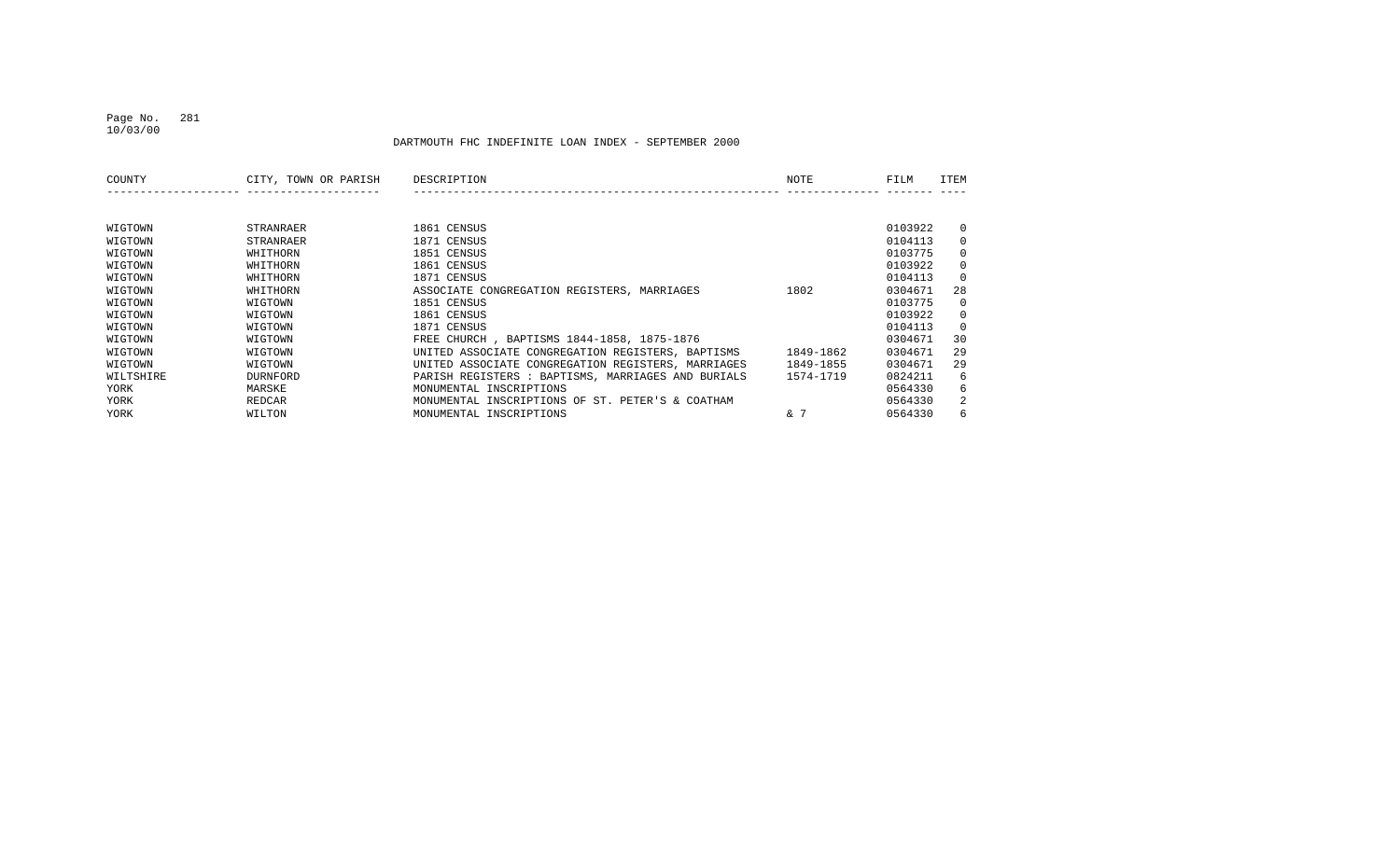## Page No. 281 10/03/00

| COUNTY    | CITY, TOWN OR PARISH | DESCRIPTION                                        | NOTE      | FILM    | <b>ITEM</b> |
|-----------|----------------------|----------------------------------------------------|-----------|---------|-------------|
|           |                      |                                                    |           |         |             |
|           |                      |                                                    |           |         |             |
| WIGTOWN   | STRANRAER            | 1861 CENSUS                                        |           | 0103922 | $\Omega$    |
| WIGTOWN   | STRANRAER            | 1871 CENSUS                                        |           | 0104113 | $\Omega$    |
| WIGTOWN   | WHITHORN             | 1851 CENSUS                                        |           | 0103775 | $\Omega$    |
| WIGTOWN   | WHITHORN             | 1861 CENSUS                                        |           | 0103922 | $\Omega$    |
| WIGTOWN   | WHITHORN             | 1871 CENSUS                                        |           | 0104113 | $\Omega$    |
| WIGTOWN   | WHITHORN             | ASSOCIATE CONGREGATION REGISTERS, MARRIAGES        | 1802      | 0304671 | 28          |
| WIGTOWN   | WIGTOWN              | 1851 CENSUS                                        |           | 0103775 | $\Omega$    |
| WIGTOWN   | WIGTOWN              | 1861 CENSUS                                        |           | 0103922 | $\Omega$    |
| WIGTOWN   | WIGTOWN              | 1871 CENSUS                                        |           | 0104113 | $\Omega$    |
| WIGTOWN   | WIGTOWN              | FREE CHURCH, BAPTISMS 1844-1858, 1875-1876         |           | 0304671 | 30          |
| WIGTOWN   | WIGTOWN              | UNITED ASSOCIATE CONGREGATION REGISTERS, BAPTISMS  | 1849-1862 | 0304671 | 29          |
| WIGTOWN   | WIGTOWN              | UNITED ASSOCIATE CONGREGATION REGISTERS, MARRIAGES | 1849-1855 | 0304671 | 29          |
| WILTSHIRE | <b>DURNFORD</b>      | PARISH REGISTERS : BAPTISMS, MARRIAGES AND BURIALS | 1574-1719 | 0824211 | 6           |
| YORK      | MARSKE               | MONUMENTAL INSCRIPTIONS                            |           | 0564330 | 6           |
| YORK      | REDCAR               | MONUMENTAL INSCRIPTIONS OF ST. PETER'S & COATHAM   |           | 0564330 | 2           |
| YORK      | WILTON               | MONUMENTAL INSCRIPTIONS                            | & 7       | 0564330 | 6           |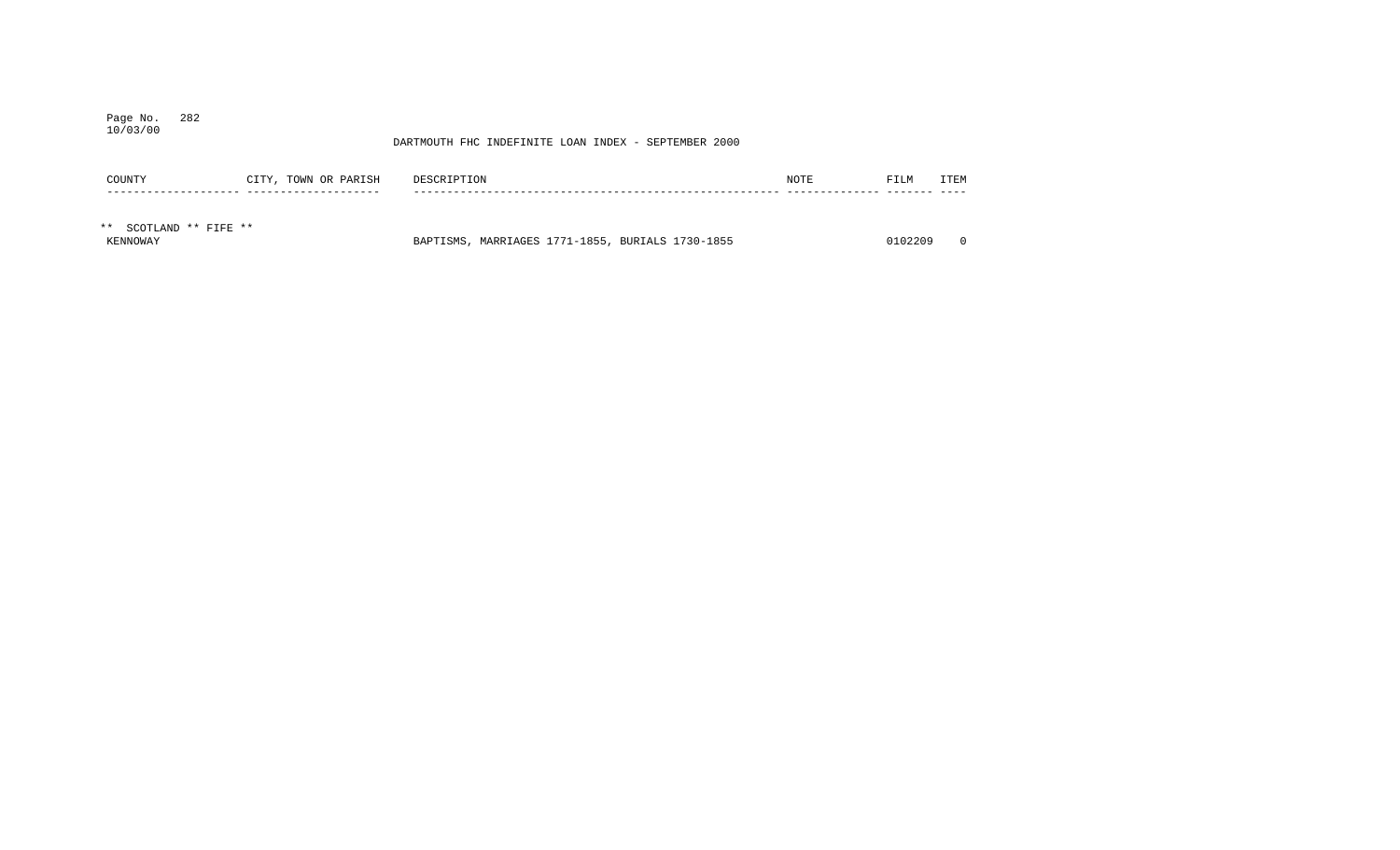## Page No. 282 10/03/00

| COUNTY                 | CITY, TOWN OR PARISH | DESCRIPTION                                      | NOTE | FILM    | ITEM     |
|------------------------|----------------------|--------------------------------------------------|------|---------|----------|
|                        |                      |                                                  |      |         |          |
| ** SCOTLAND ** FIFE ** |                      |                                                  |      |         |          |
| KENNOWAY               |                      | BAPTISMS, MARRIAGES 1771-1855, BURIALS 1730-1855 |      | 0102209 | $\Omega$ |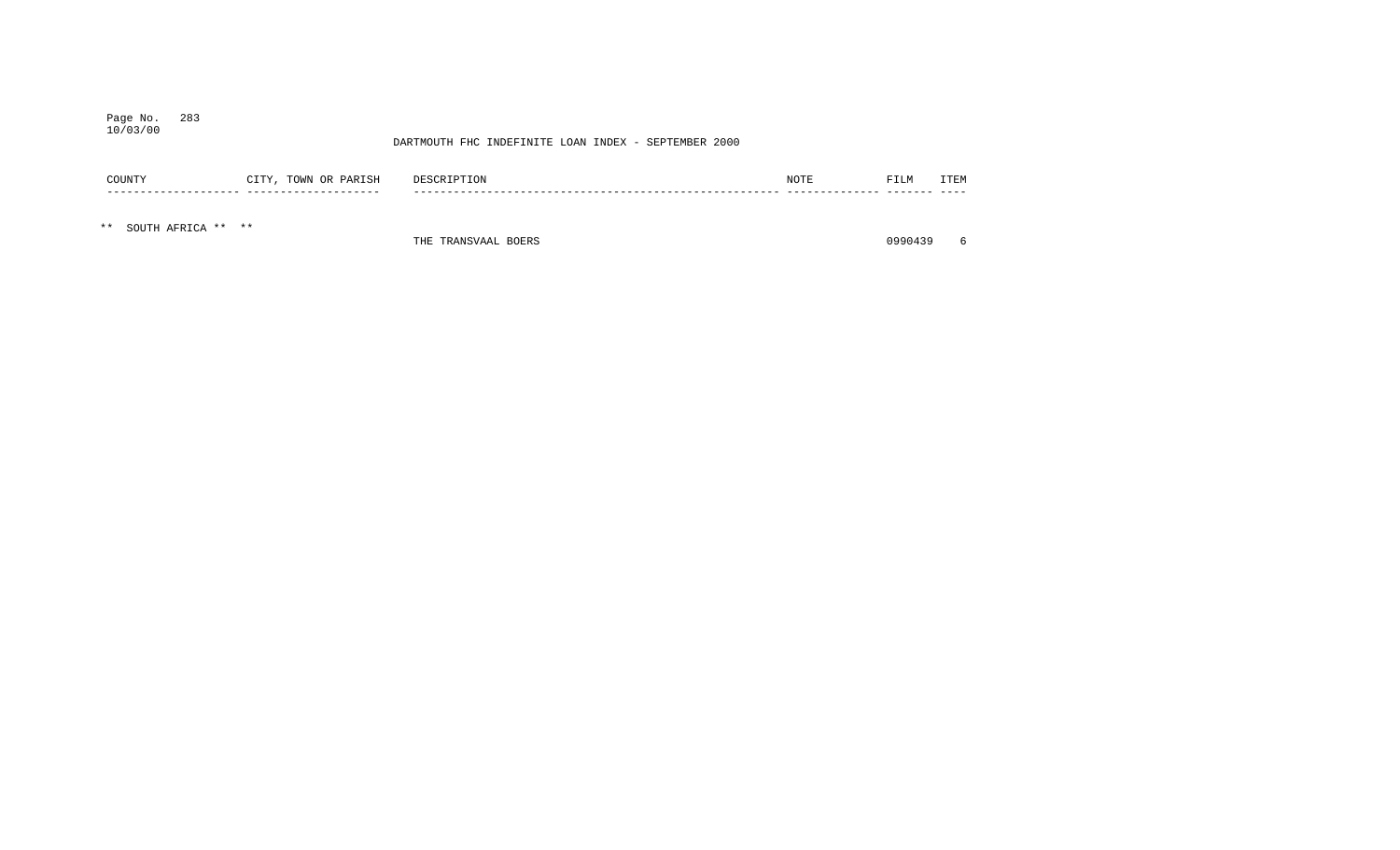## Page No. 283 10/03/00

## DARTMOUTH FHC INDEFINITE LOAN INDEX - SEPTEMBER 2000

| COUNTY | PARISH<br>TOWN<br>CTTY<br>OR<br>, , | DESCRIPTION   | NOTE | FILM | <b>TTEM</b><br>ᆂᆂ |
|--------|-------------------------------------|---------------|------|------|-------------------|
|        | ___                                 | $\sim$ $\sim$ |      |      |                   |

\*\* SOUTH AFRICA \*\* \*\*

THE TRANSVAAL BOERS 6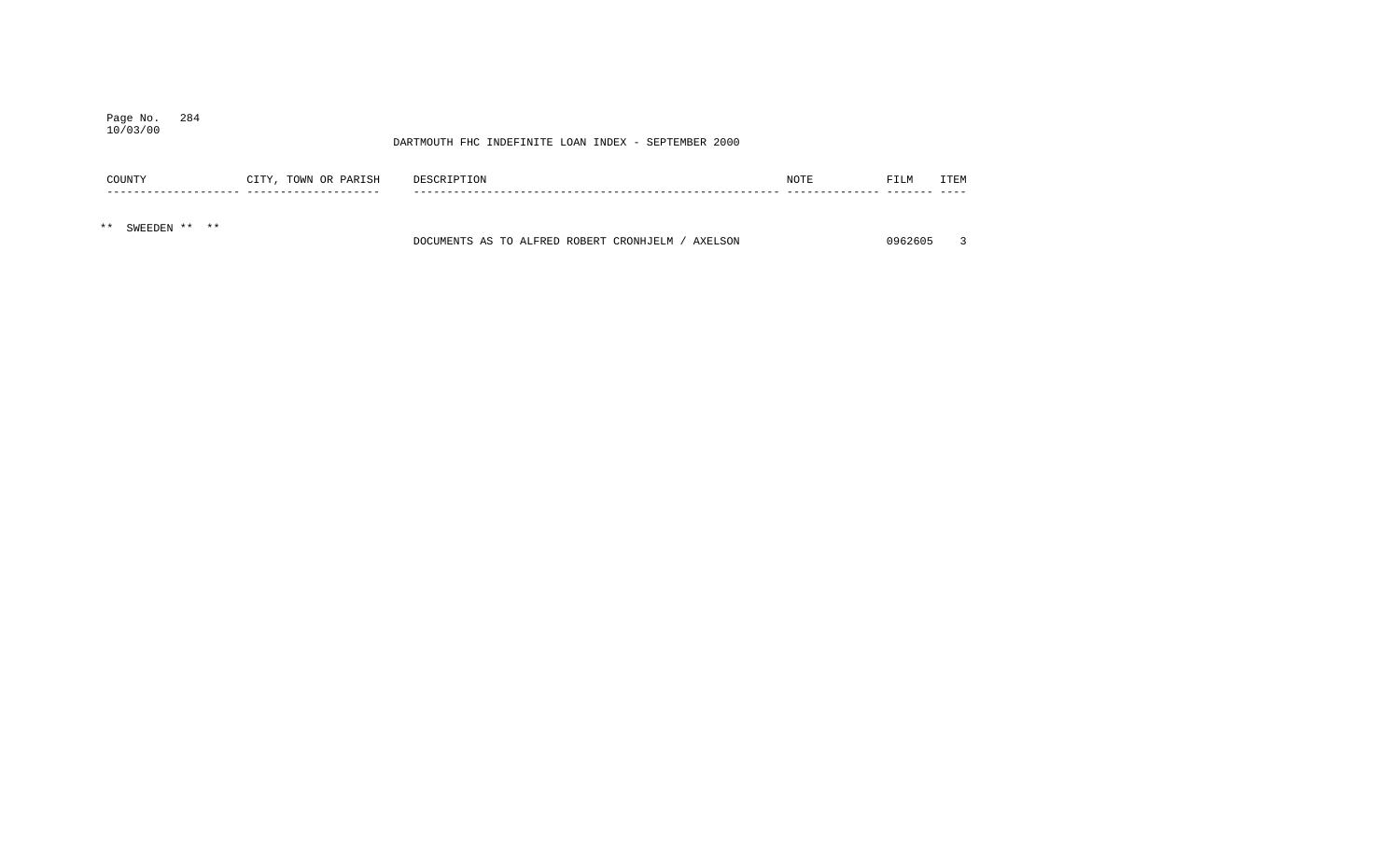## Page No. 284 10/03/00

| COUNTY                 | CITY, TOWN OR PARISH | DESCRIPTION                                       | NOTE | FILM    | ITEM |
|------------------------|----------------------|---------------------------------------------------|------|---------|------|
|                        |                      |                                                   |      |         |      |
| SWEEDEN ** **<br>$***$ |                      | DOCUMENTS AS TO ALFRED ROBERT CRONHJELM / AXELSON |      | 0962605 |      |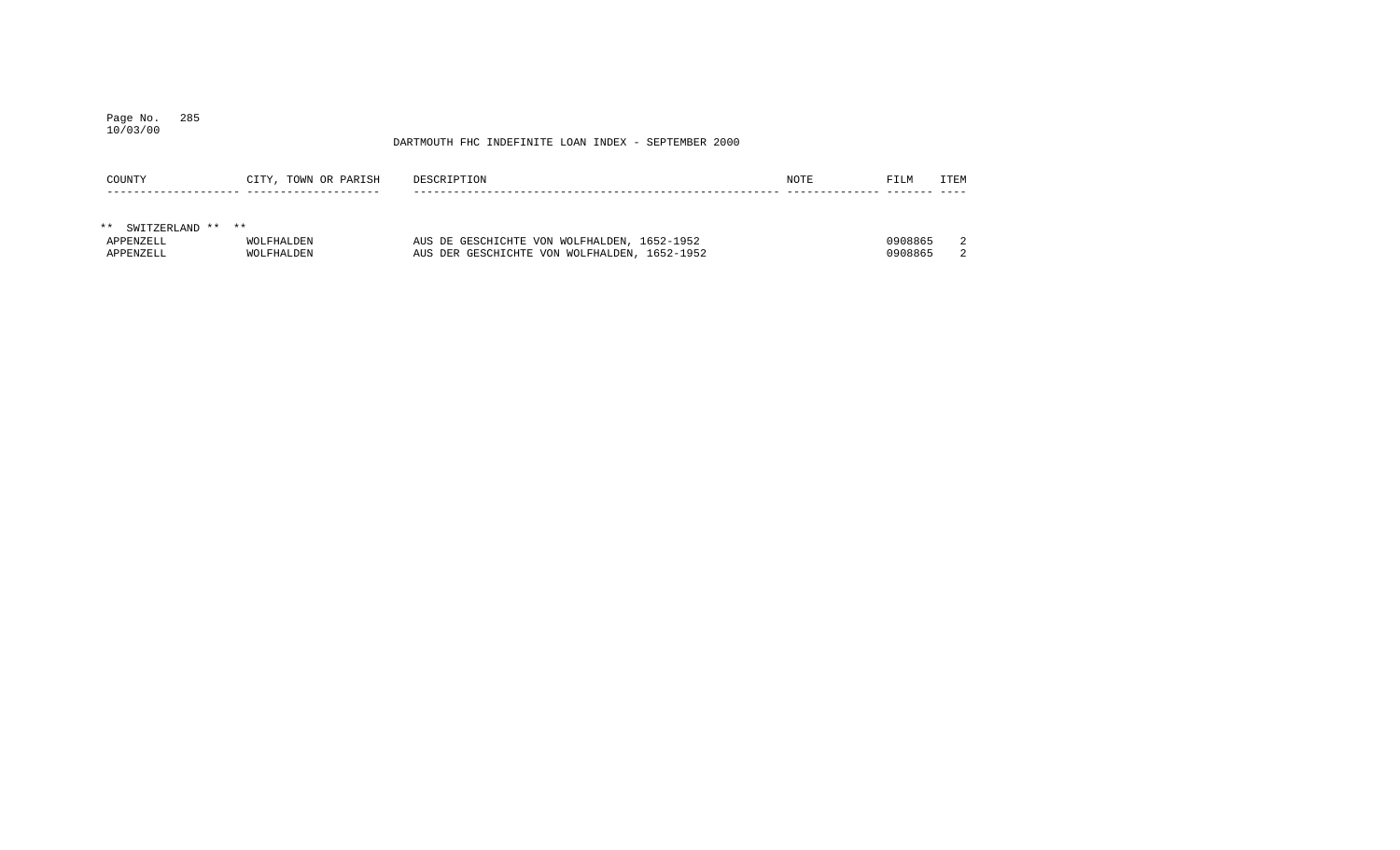## Page No. 285 10/03/00

| COUNTY               | CITY, TOWN OR PARISH | DESCRIPTION                                  | NOTE | FILM    | <b>ITEM</b> |
|----------------------|----------------------|----------------------------------------------|------|---------|-------------|
|                      |                      |                                              |      |         |             |
|                      |                      |                                              |      |         |             |
| ** SWITZERLAND ** ** |                      |                                              |      |         |             |
| APPENZELL            | WOLFHALDEN           | AUS DE GESCHICHTE VON WOLFHALDEN, 1652-1952  |      | 0908865 | 2           |
| APPENZELL            | WOLFHALDEN           | AUS DER GESCHICHTE VON WOLFHALDEN, 1652-1952 |      | 0908865 |             |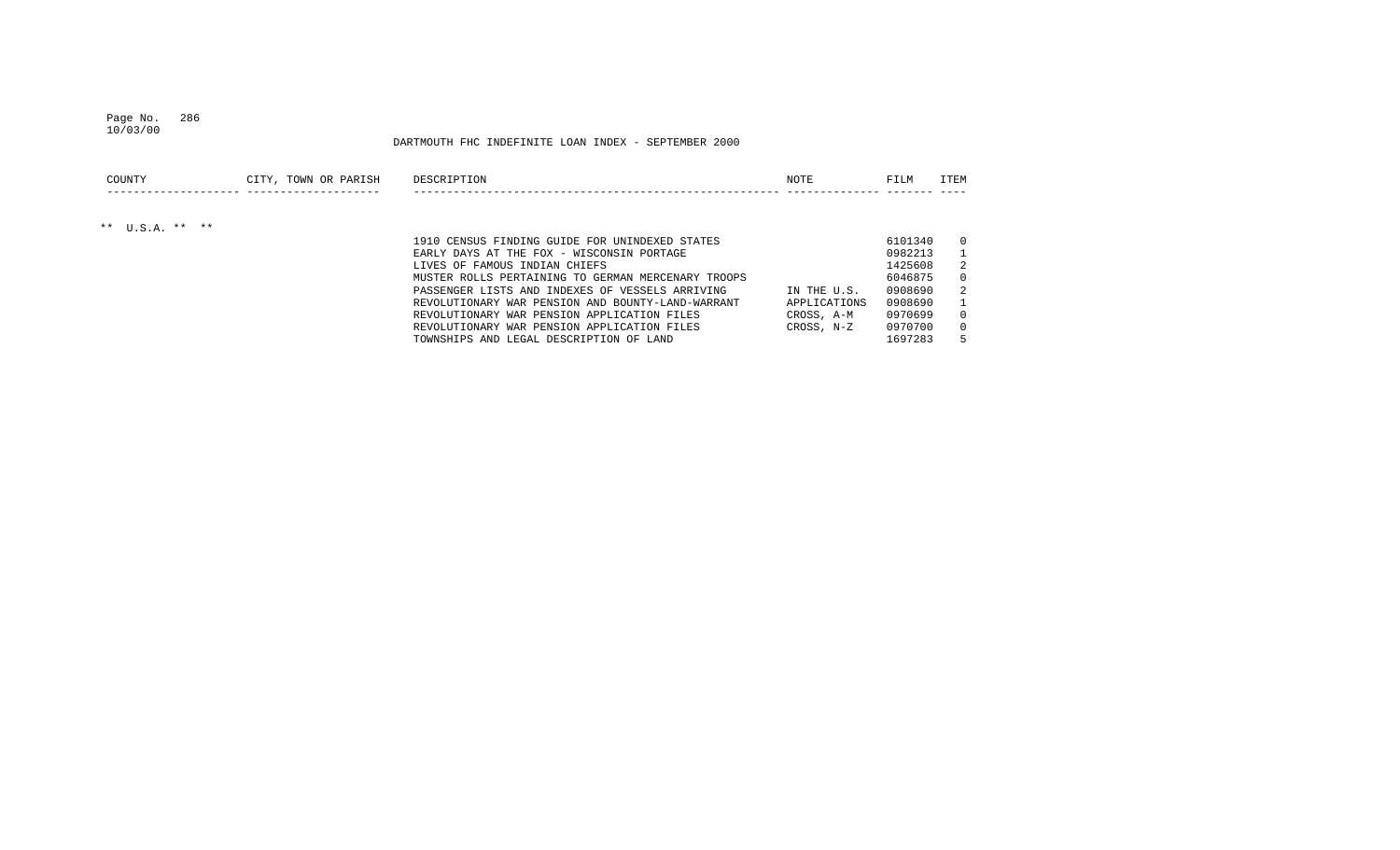### Page No. 286 10/03/00

| COUNTY            | CITY, TOWN OR PARISH | DESCRIPTION                                        | NOTE         | FILM    | <b>ITEM</b> |
|-------------------|----------------------|----------------------------------------------------|--------------|---------|-------------|
|                   |                      |                                                    |              |         |             |
| ** $U.S.A.$ ** ** |                      |                                                    |              |         |             |
|                   |                      | 1910 CENSUS FINDING GUIDE FOR UNINDEXED STATES     |              | 6101340 | $\Omega$    |
|                   |                      | EARLY DAYS AT THE FOX - WISCONSIN PORTAGE          |              | 0982213 |             |
|                   |                      | LIVES OF FAMOUS INDIAN CHIEFS                      |              | 1425608 |             |
|                   |                      | MUSTER ROLLS PERTAINING TO GERMAN MERCENARY TROOPS |              | 6046875 | $\Omega$    |
|                   |                      | PASSENGER LISTS AND INDEXES OF VESSELS ARRIVING    | IN THE U.S.  | 0908690 | 2           |
|                   |                      | REVOLUTIONARY WAR PENSION AND BOUNTY-LAND-WARRANT  | APPLICATIONS | 0908690 |             |
|                   |                      | REVOLUTIONARY WAR PENSION APPLICATION FILES        | CROSS, A-M   | 0970699 | $\Omega$    |
|                   |                      | REVOLUTIONARY WAR PENSION APPLICATION FILES        | CROSS, N-Z   | 0970700 | $\Omega$    |
|                   |                      | TOWNSHIPS AND LEGAL DESCRIPTION OF LAND            |              | 1697283 |             |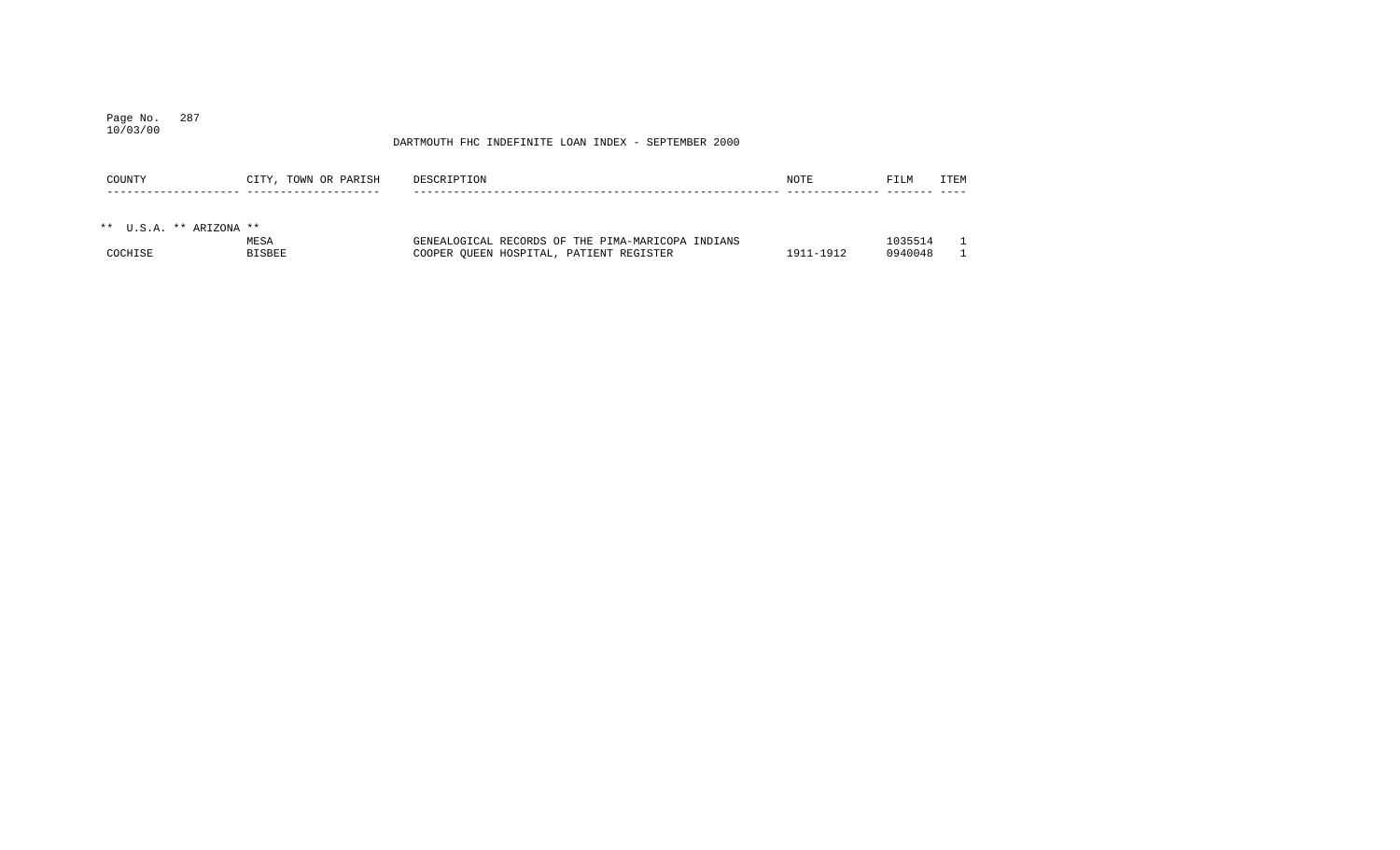## Page No. 287 10/03/00

| COUNTY                  | CITY, TOWN OR PARISH | DESCRIPTION                                       | NOTE      | FILM    | <b>TTEM</b> |
|-------------------------|----------------------|---------------------------------------------------|-----------|---------|-------------|
|                         |                      |                                                   |           |         |             |
| ** U.S.A. ** ARIZONA ** |                      |                                                   |           |         |             |
|                         | MESA                 | GENEALOGICAL RECORDS OF THE PIMA-MARICOPA INDIANS |           | 1035514 |             |
| COCHISE                 | <b>BISBEE</b>        | COOPER OUEEN HOSPITAL, PATIENT REGISTER           | 1911-1912 | 0940048 |             |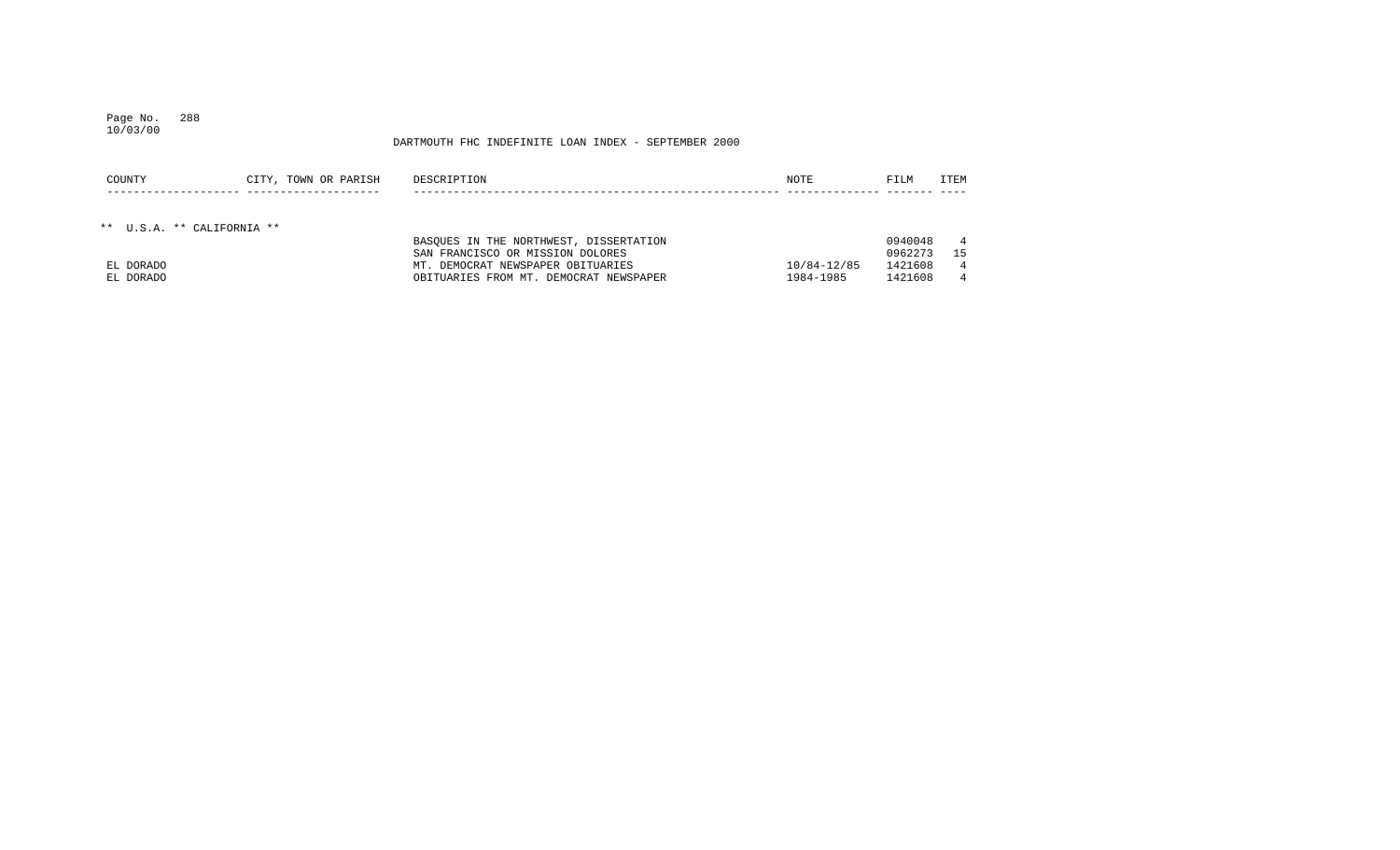## Page No. 288 10/03/00

| COUNTY    | CITY, TOWN OR PARISH       | DESCRIPTION                            | NOTE        | FILM    | ITEM           |
|-----------|----------------------------|----------------------------------------|-------------|---------|----------------|
|           |                            |                                        |             |         |                |
|           |                            |                                        |             |         |                |
|           | ** U.S.A. ** CALIFORNIA ** |                                        |             |         |                |
|           |                            | BASOUES IN THE NORTHWEST, DISSERTATION |             | 0940048 | $\overline{4}$ |
|           |                            | SAN FRANCISCO OR MISSION DOLORES       |             | 0962273 | 15             |
| EL DORADO |                            | MT. DEMOCRAT NEWSPAPER OBITUARIES      | 10/84-12/85 | 1421608 | 4              |
| EL DORADO |                            | OBITUARIES FROM MT. DEMOCRAT NEWSPAPER | 1984-1985   | 1421608 | 4              |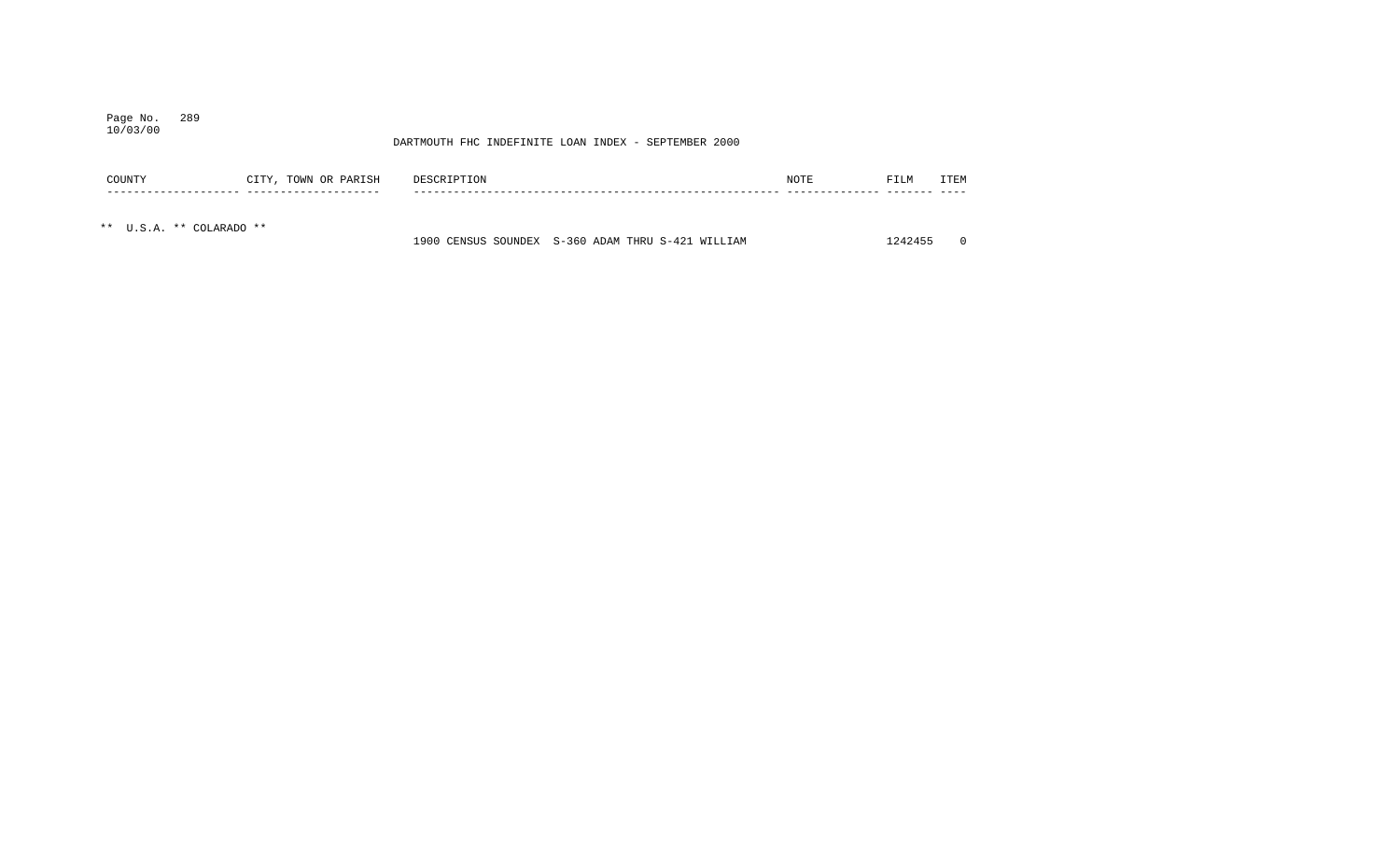# Page No. 289

## DARTMOUTH FHC INDEFINITE LOAN INDEX - SEPTEMBER 2000

| COUNTY                   | CITY, TOWN OR PARISH | DESCRIPTION |                                                   | NOTE | FILM    | ITEM     |
|--------------------------|----------------------|-------------|---------------------------------------------------|------|---------|----------|
|                          |                      |             |                                                   |      |         |          |
| ** U.S.A. ** COLARADO ** |                      |             | 1900 CENSUS SOUNDEX S-360 ADAM THRU S-421 WILLIAM |      | 1242455 | $\Omega$ |

10/03/00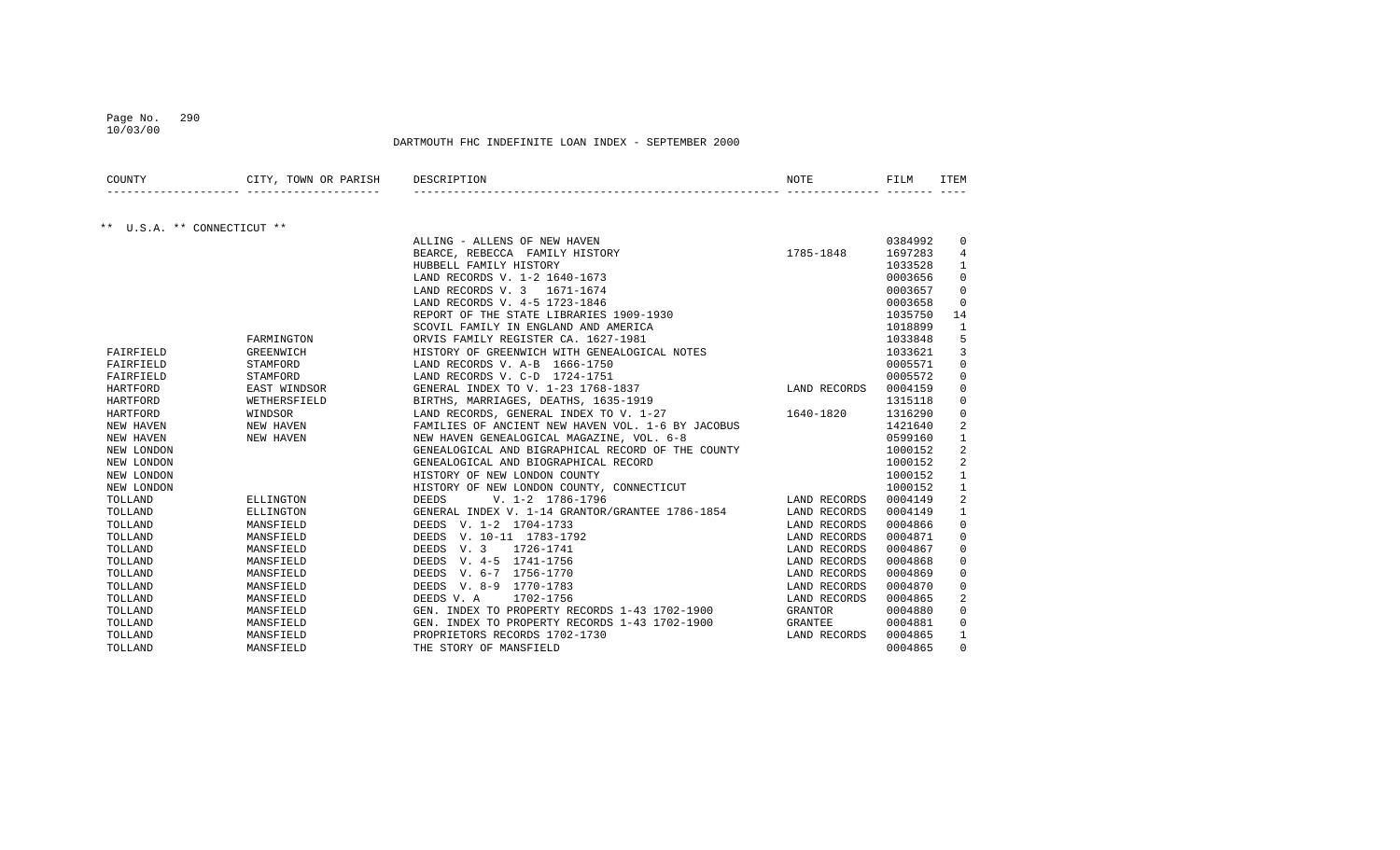## Page No. 290

DARTMOUTH FHC INDEFINITE LOAN INDEX - SEPTEMBER 2000

| COUNTY                      | CITY, TOWN OR PARISH | DESCRIPTION                                       | NOTE         | FILM    | ITEM         |
|-----------------------------|----------------------|---------------------------------------------------|--------------|---------|--------------|
|                             |                      |                                                   |              |         |              |
| ** U.S.A. ** CONNECTICUT ** |                      |                                                   |              |         |              |
|                             |                      | ALLING - ALLENS OF NEW HAVEN                      |              | 0384992 | 0            |
|                             |                      | BEARCE, REBECCA FAMILY HISTORY                    | 1785-1848    | 1697283 | 4            |
|                             |                      | HUBBELL FAMILY HISTORY                            |              | 1033528 | 1            |
|                             |                      | LAND RECORDS V. 1-2 1640-1673                     |              | 0003656 | $\mathbf 0$  |
|                             |                      | LAND RECORDS V. 3 1671-1674                       |              | 0003657 | 0            |
|                             |                      | LAND RECORDS V. 4-5 1723-1846                     |              | 0003658 | $\mathbf 0$  |
|                             |                      | REPORT OF THE STATE LIBRARIES 1909-1930           |              | 1035750 | 14           |
|                             |                      | SCOVIL FAMILY IN ENGLAND AND AMERICA              |              | 1018899 | $\mathbf{1}$ |
|                             | FARMINGTON           | ORVIS FAMILY REGISTER CA. 1627-1981               |              | 1033848 | 5            |
| FAIRFIELD                   | <b>GREENWICH</b>     | HISTORY OF GREENWICH WITH GENEALOGICAL NOTES      |              | 1033621 | 3            |
| FAIRFIELD                   | STAMFORD             | LAND RECORDS V. A-B 1666-1750                     |              | 0005571 | 0            |
| FAIRFIELD                   | STAMFORD             | LAND RECORDS V. C-D 1724-1751                     |              | 0005572 | 0            |
| HARTFORD                    | EAST WINDSOR         | GENERAL INDEX TO V. 1-23 1768-1837                | LAND RECORDS | 0004159 | 0            |
| HARTFORD                    | WETHERSFIELD         | BIRTHS, MARRIAGES, DEATHS, 1635-1919              |              | 1315118 | 0            |
| HARTFORD                    | WINDSOR              | LAND RECORDS, GENERAL INDEX TO V. 1-27            | 1640-1820    | 1316290 | 0            |
| NEW HAVEN                   | NEW HAVEN            | FAMILIES OF ANCIENT NEW HAVEN VOL. 1-6 BY JACOBUS |              | 1421640 | 2            |
| NEW HAVEN                   | NEW HAVEN            | NEW HAVEN GENEALOGICAL MAGAZINE, VOL. 6-8         |              | 0599160 | $\mathbf{1}$ |
| NEW LONDON                  |                      | GENEALOGICAL AND BIGRAPHICAL RECORD OF THE COUNTY |              | 1000152 | 2            |
| NEW LONDON                  |                      | GENEALOGICAL AND BIOGRAPHICAL RECORD              |              | 1000152 | 2            |
| NEW LONDON                  |                      | HISTORY OF NEW LONDON COUNTY                      |              | 1000152 | 1            |
| NEW LONDON                  |                      | HISTORY OF NEW LONDON COUNTY, CONNECTICUT         |              | 1000152 | $\mathbf{1}$ |
| TOLLAND                     | ELLINGTON            | $V. 1-2 1786-1796$<br><b>DEEDS</b>                | LAND RECORDS | 0004149 | 2            |
| TOLLAND                     | ELLINGTON            | GENERAL INDEX V. 1-14 GRANTOR/GRANTEE 1786-1854   | LAND RECORDS | 0004149 | 1            |
| TOLLAND                     | MANSFIELD            | DEEDS V. 1-2 1704-1733                            | LAND RECORDS | 0004866 | 0            |
| TOLLAND                     | MANSFIELD            | DEEDS V. 10-11 1783-1792                          | LAND RECORDS | 0004871 | 0            |
| TOLLAND                     | MANSFIELD            | V. 3<br>1726-1741<br>DEEDS                        | LAND RECORDS | 0004867 | 0            |
| TOLLAND                     | MANSFIELD            | DEEDS V. 4-5 1741-1756                            | LAND RECORDS | 0004868 | 0            |
| TOLLAND                     | MANSFIELD            | DEEDS V. 6-7 1756-1770                            | LAND RECORDS | 0004869 | 0            |
| TOLLAND                     | MANSFIELD            | DEEDS V. 8-9 1770-1783                            | LAND RECORDS | 0004870 | 0            |
| TOLLAND                     | MANSFIELD            | DEEDS V. A<br>1702-1756                           | LAND RECORDS | 0004865 | 2            |
| TOLLAND                     | MANSFIELD            | GEN. INDEX TO PROPERTY RECORDS 1-43 1702-1900     | GRANTOR      | 0004880 | $\mathbf 0$  |
| TOLLAND                     | MANSFIELD            | GEN. INDEX TO PROPERTY RECORDS 1-43 1702-1900     | GRANTEE      | 0004881 | 0            |
| TOLLAND                     | MANSFIELD            | PROPRIETORS RECORDS 1702-1730                     | LAND RECORDS | 0004865 | 1            |
| TOLLAND                     | MANSFIELD            | THE STORY OF MANSFIELD                            |              | 0004865 | 0            |

10/03/00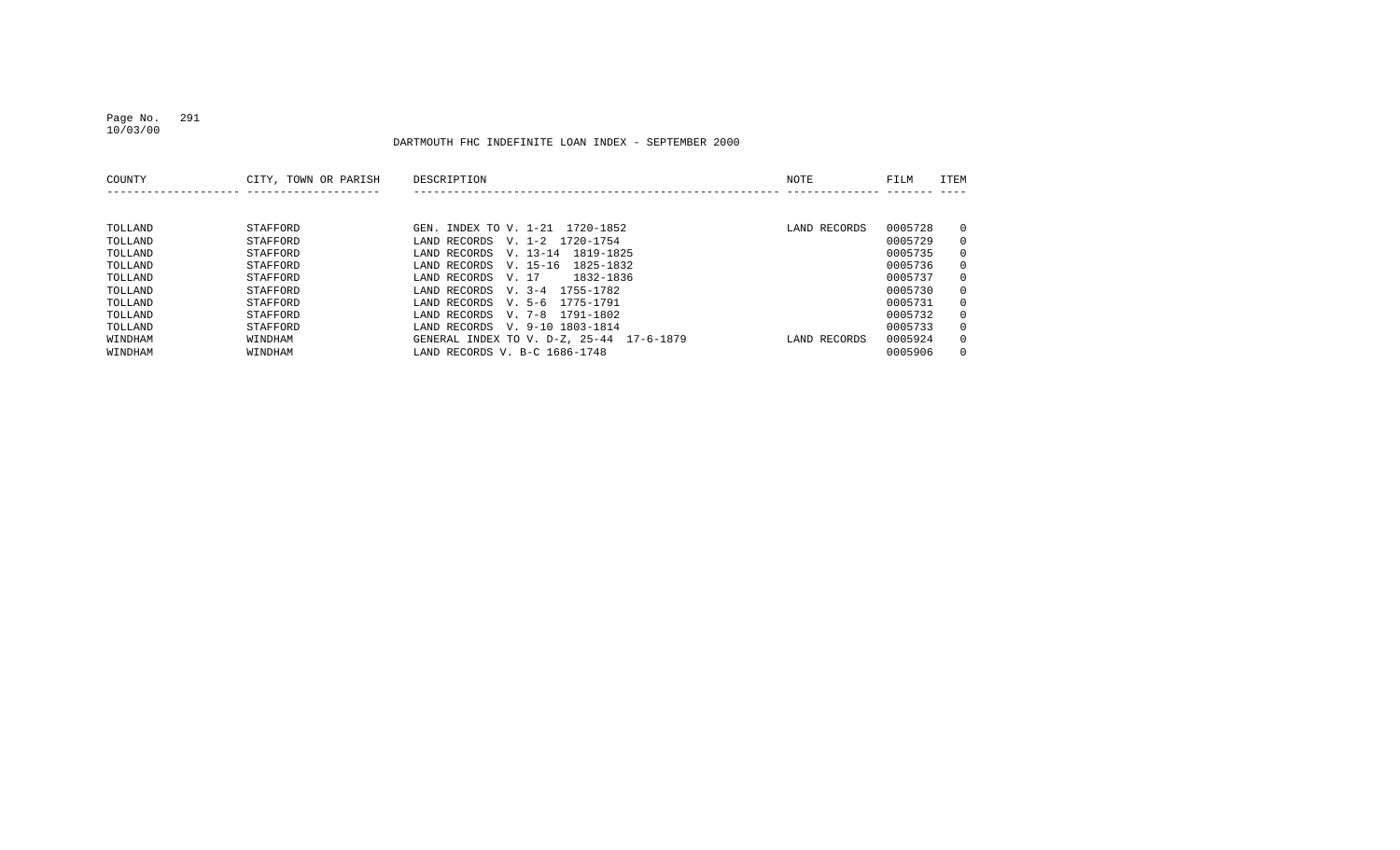## Page No. 291 10/03/00

| COUNTY  | CITY, TOWN OR PARISH | DESCRIPTION                              | NOTE         | FILM    | <b>ITEM</b>  |
|---------|----------------------|------------------------------------------|--------------|---------|--------------|
|         |                      |                                          |              |         |              |
| TOLLAND | STAFFORD             | GEN. INDEX TO V. 1-21 1720-1852          | LAND RECORDS | 0005728 | $\mathbf{0}$ |
| TOLLAND | STAFFORD             | LAND RECORDS<br>V. 1-2 1720-1754         |              | 0005729 | $\mathbf{0}$ |
| TOLLAND | STAFFORD             | V. 13-14 1819-1825<br>LAND RECORDS       |              | 0005735 | $\mathbf{0}$ |
| TOLLAND | STAFFORD             | LAND RECORDS<br>V. 15-16<br>1825-1832    |              | 0005736 | $\mathbf{0}$ |
| TOLLAND | STAFFORD             | 1832-1836<br>LAND RECORDS<br>V. 17       |              | 0005737 | $\mathbf{0}$ |
| TOLLAND | STAFFORD             | LAND RECORDS<br>V. 3-4 1755-1782         |              | 0005730 | $\mathbf{0}$ |
| TOLLAND | STAFFORD             | LAND RECORDS<br>V. 5-6 1775-1791         |              | 0005731 | $\mathbf{0}$ |
| TOLLAND | STAFFORD             | V. 7-8 1791-1802<br>LAND RECORDS         |              | 0005732 | $\mathbf{0}$ |
| TOLLAND | STAFFORD             | V. 9-10 1803-1814<br>LAND RECORDS        |              | 0005733 | $\mathbf{0}$ |
| WINDHAM | WINDHAM              | GENERAL INDEX TO V. D-Z, 25-44 17-6-1879 | LAND RECORDS | 0005924 | $\mathbf{0}$ |
| WINDHAM | WINDHAM              | LAND RECORDS V. B-C 1686-1748            |              | 0005906 | $\Omega$     |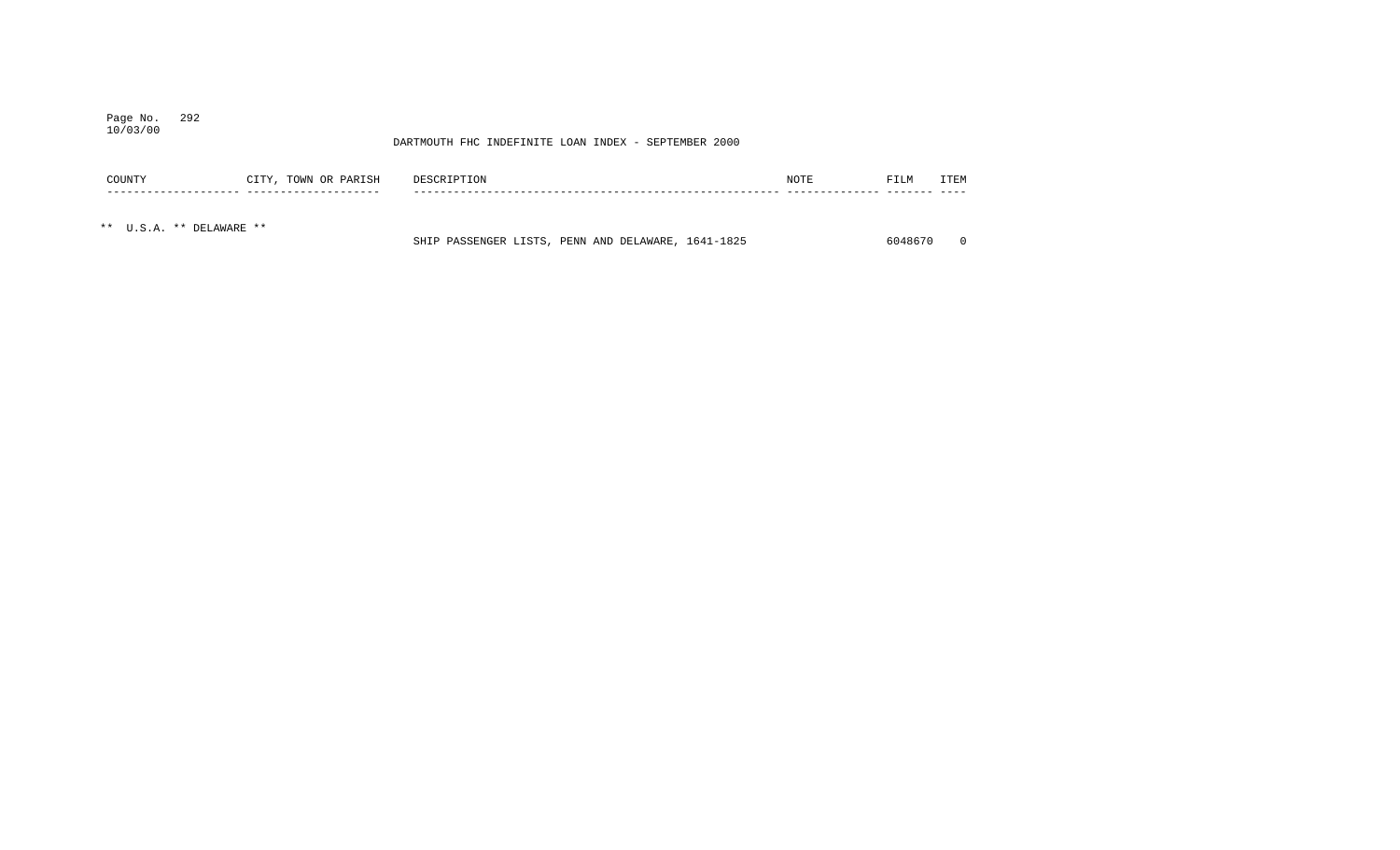## Page No. 292 10/03/00

| COUNTY                   | CITY, TOWN OR PARISH | DESCRIPTION                                        | NOTE | FILM    | ITEM |
|--------------------------|----------------------|----------------------------------------------------|------|---------|------|
|                          |                      |                                                    |      |         |      |
| ** U.S.A. ** DELAWARE ** |                      | SHIP PASSENGER LISTS, PENN AND DELAWARE, 1641-1825 |      | 6048670 |      |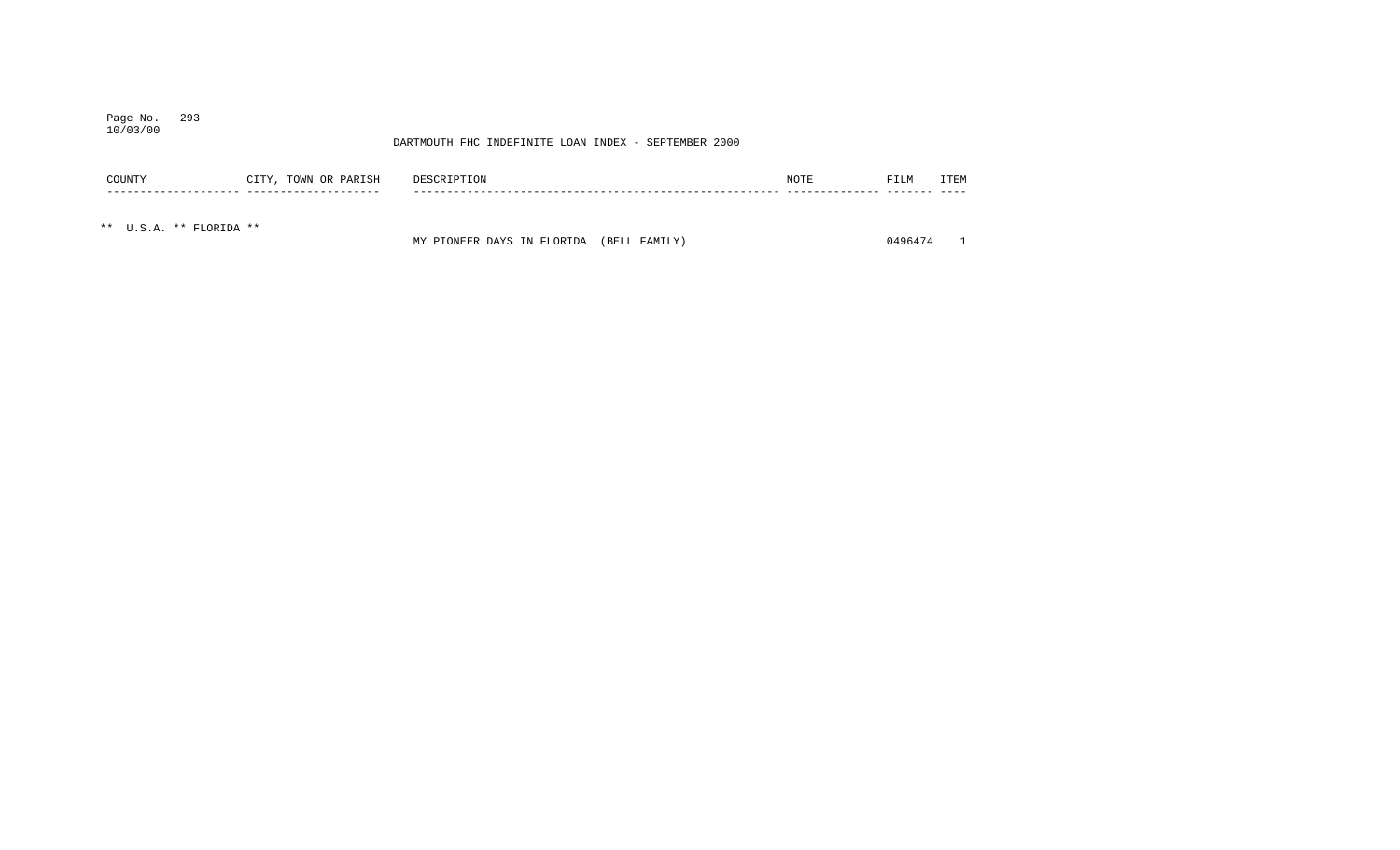## Page No. 293 10/03/00

## DARTMOUTH FHC INDEFINITE LOAN INDEX - SEPTEMBER 2000

| COUNTY                  | CITY, TOWN OR PARISH | DESCRIPTION | NOTE | FILM | ITEM |
|-------------------------|----------------------|-------------|------|------|------|
|                         |                      |             |      |      |      |
| ** U.S.A. ** FLORIDA ** |                      |             |      |      |      |

MY PIONEER DAYS IN FLORIDA (BELL FAMILY) 0496474 1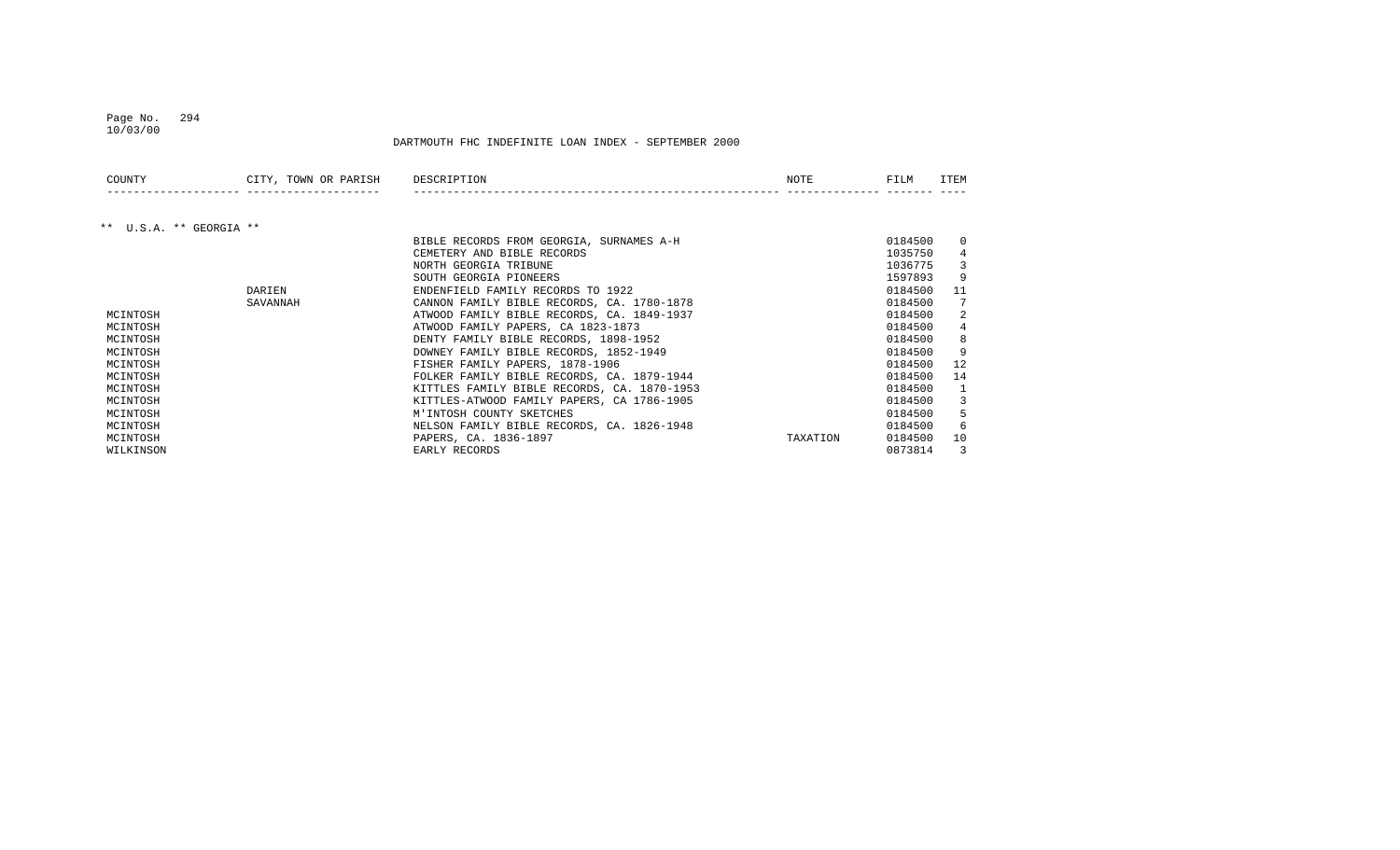### Page No. 294 10/03/00

| COUNTY                  | CITY, TOWN OR PARISH | DESCRIPTION                                 | NOTE     | FILM    | ITEM     |
|-------------------------|----------------------|---------------------------------------------|----------|---------|----------|
|                         |                      |                                             |          |         |          |
| ** U.S.A. ** GEORGIA ** |                      |                                             |          |         |          |
|                         |                      | BIBLE RECORDS FROM GEORGIA, SURNAMES A-H    |          | 0184500 | $\Omega$ |
|                         |                      | CEMETERY AND BIBLE RECORDS                  |          | 1035750 |          |
|                         |                      | NORTH GEORGIA TRIBUNE                       |          | 1036775 |          |
|                         |                      | SOUTH GEORGIA PIONEERS                      |          | 1597893 | 9        |
|                         | DARIEN               | ENDENFIELD FAMILY RECORDS TO 1922           |          | 0184500 | 11       |
|                         | SAVANNAH             | CANNON FAMILY BIBLE RECORDS, CA. 1780-1878  |          | 0184500 |          |
| MCINTOSH                |                      | ATWOOD FAMILY BIBLE RECORDS, CA. 1849-1937  |          | 0184500 |          |
| MCINTOSH                |                      | ATWOOD FAMILY PAPERS, CA 1823-1873          |          | 0184500 |          |
| MCINTOSH                |                      | DENTY FAMILY BIBLE RECORDS, 1898-1952       |          | 0184500 |          |
| MCINTOSH                |                      | DOWNEY FAMILY BIBLE RECORDS, 1852-1949      |          | 0184500 |          |
| MCINTOSH                |                      | FISHER FAMILY PAPERS, 1878-1906             |          | 0184500 | 12       |
| MCINTOSH                |                      | FOLKER FAMILY BIBLE RECORDS, CA. 1879-1944  |          | 0184500 | 14       |
| MCINTOSH                |                      | KITTLES FAMILY BIBLE RECORDS, CA. 1870-1953 |          | 0184500 |          |
| MCINTOSH                |                      | KITTLES-ATWOOD FAMILY PAPERS, CA 1786-1905  |          | 0184500 |          |
| MCINTOSH                |                      | M'INTOSH COUNTY SKETCHES                    |          | 0184500 |          |
| MCINTOSH                |                      | NELSON FAMILY BIBLE RECORDS, CA. 1826-1948  |          | 0184500 | 6        |
| MCINTOSH                |                      | PAPERS, CA. 1836-1897                       | TAXATION | 0184500 | 10       |
| WILKINSON               |                      | EARLY RECORDS                               |          | 0873814 | 3        |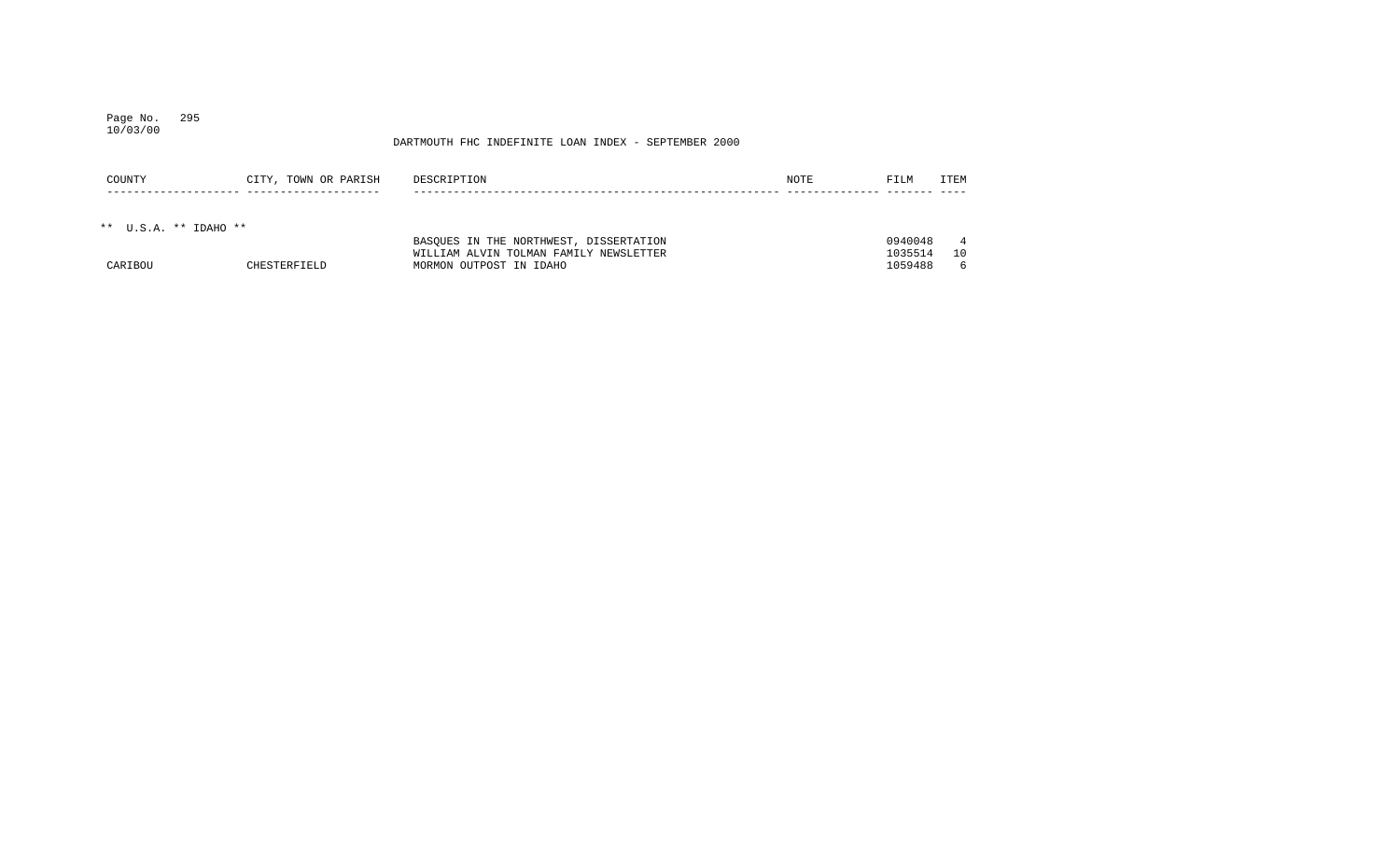## Page No. 295 10/03/00

| COUNTY                  | CITY, TOWN OR PARISH | DESCRIPTION                                                                      | NOTE | FILM               | ITEM                  |
|-------------------------|----------------------|----------------------------------------------------------------------------------|------|--------------------|-----------------------|
| ** $U.S.A.$ ** IDAHO ** |                      |                                                                                  |      |                    |                       |
|                         |                      | BASOUES IN THE NORTHWEST, DISSERTATION<br>WILLIAM ALVIN TOLMAN FAMILY NEWSLETTER |      | 0940048<br>1035514 | $4\overline{4}$<br>10 |
| CARIBOU                 | CHESTERFIELD         | MORMON OUTPOST IN IDAHO                                                          |      | 1059488            | 6                     |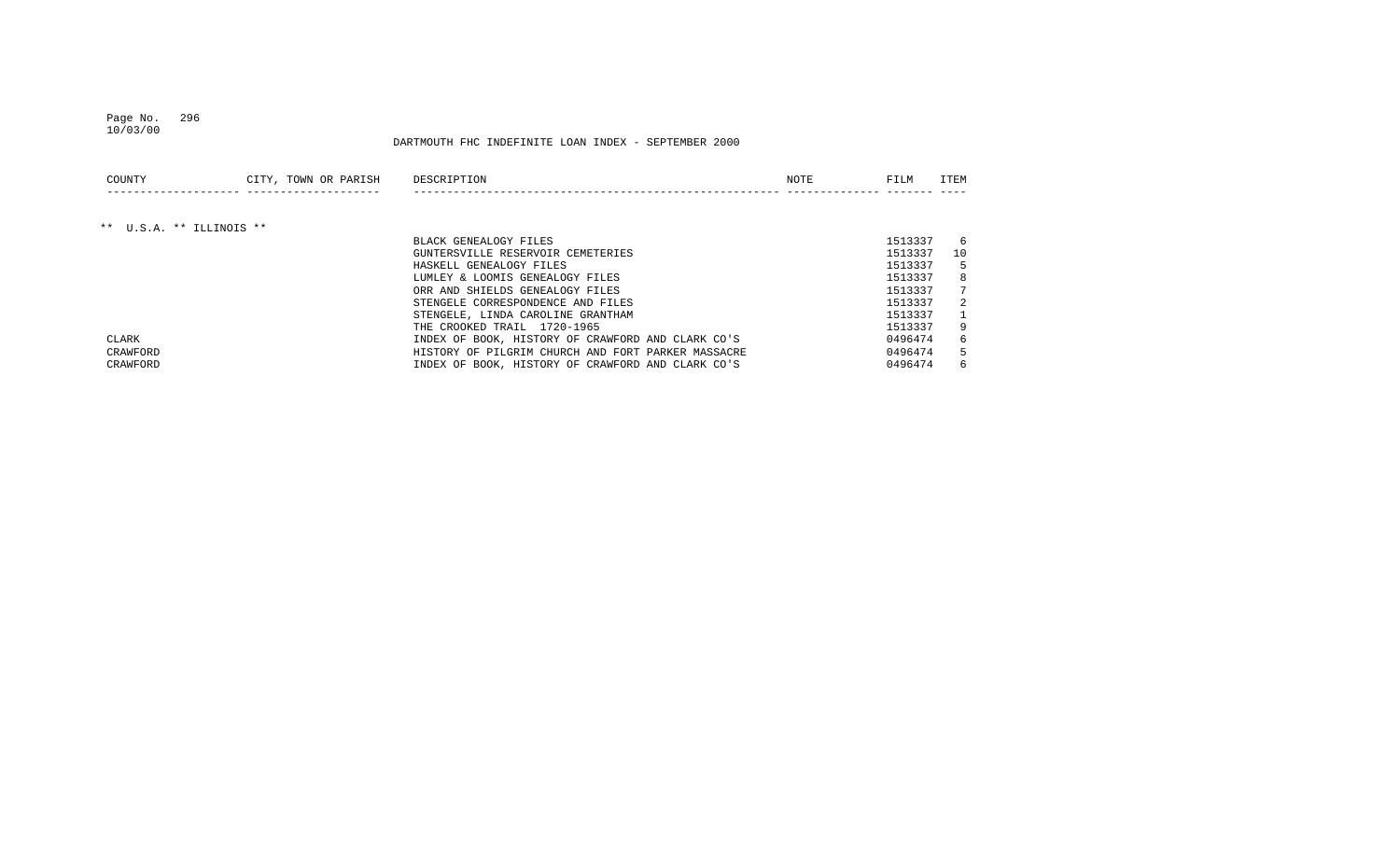### Page No. 296 10/03/00

| COUNTY                   | CITY, TOWN OR PARISH | DESCRIPTION                                        | NOTE | FILM    | <b>ITEM</b> |
|--------------------------|----------------------|----------------------------------------------------|------|---------|-------------|
|                          |                      |                                                    |      |         |             |
| ** U.S.A. ** ILLINOIS ** |                      |                                                    |      |         |             |
|                          |                      | BLACK GENEALOGY FILES                              |      | 1513337 | 6           |
|                          |                      | GUNTERSVILLE RESERVOIR CEMETERIES                  |      | 1513337 | 10          |
|                          |                      | HASKELL GENEALOGY FILES                            |      | 1513337 | 5           |
|                          |                      | LUMLEY & LOOMIS GENEALOGY FILES                    |      | 1513337 | 8           |
|                          |                      | ORR AND SHIELDS GENEALOGY FILES                    |      | 1513337 | 7           |
|                          |                      | STENGELE CORRESPONDENCE AND FILES                  |      | 1513337 | 2           |
|                          |                      | STENGELE, LINDA CAROLINE GRANTHAM                  |      | 1513337 |             |
|                          |                      | THE CROOKED TRAIL 1720-1965                        |      | 1513337 | 9           |
| CLARK                    |                      | INDEX OF BOOK, HISTORY OF CRAWFORD AND CLARK CO'S  |      | 0496474 | 6           |
| CRAWFORD                 |                      | HISTORY OF PILGRIM CHURCH AND FORT PARKER MASSACRE |      | 0496474 | 5           |
| CRAWFORD                 |                      | INDEX OF BOOK, HISTORY OF CRAWFORD AND CLARK CO'S  |      | 0496474 | 6           |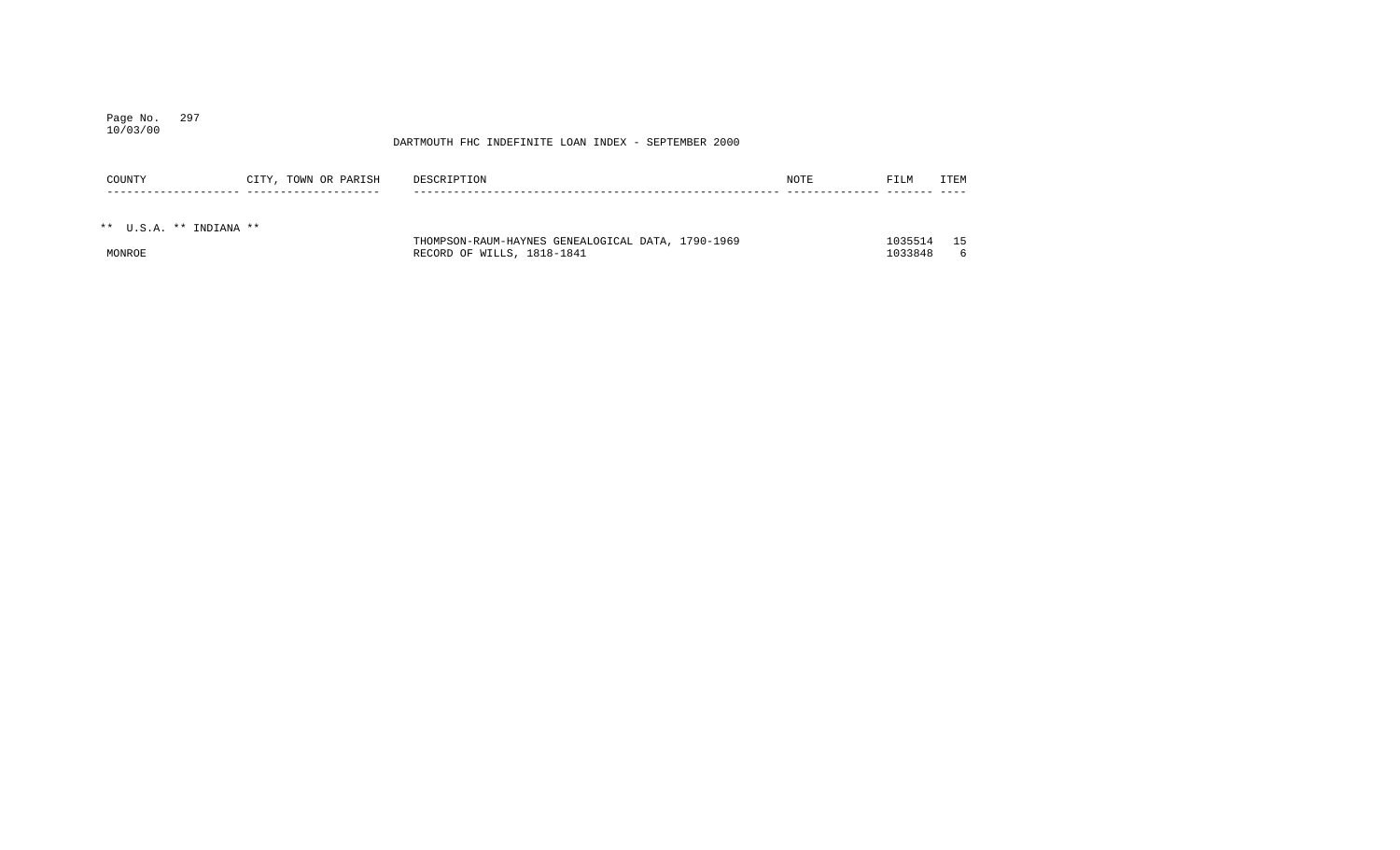## Page No. 297 10/03/00

| COUNTY                  | CITY, TOWN OR PARISH | DESCRIPTION                                       | NOTE | FILM    | ITEM |
|-------------------------|----------------------|---------------------------------------------------|------|---------|------|
|                         |                      |                                                   |      |         |      |
| ** U.S.A. ** INDIANA ** |                      |                                                   |      |         |      |
|                         |                      | THOMPSON-RAUM-HAYNES GENEALOGICAL DATA, 1790-1969 |      | 1035514 | 15   |
| MONROE                  |                      | RECORD OF WILLS, 1818-1841                        |      | 1033848 | 6    |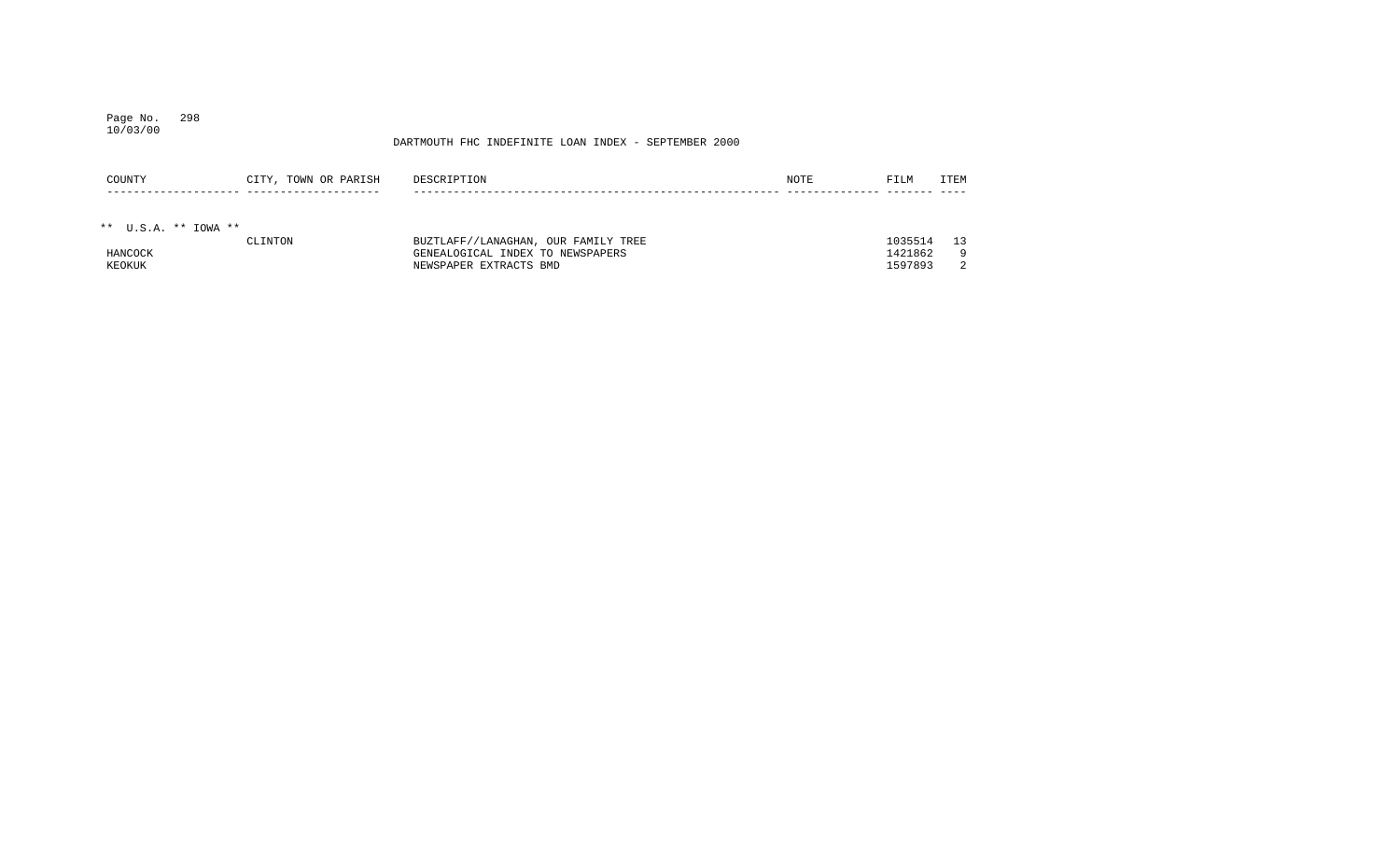## Page No. 298 10/03/00

| COUNTY                 | CITY, TOWN OR PARISH | DESCRIPTION                         | <b>NOTE</b> | FILM    | ITEM |
|------------------------|----------------------|-------------------------------------|-------------|---------|------|
|                        |                      |                                     |             |         |      |
|                        |                      |                                     |             |         |      |
| ** $U.S.A.$ ** IOWA ** |                      |                                     |             |         |      |
|                        | CLINTON              | BUZTLAFF//LANAGHAN, OUR FAMILY TREE |             | 1035514 | 13   |
| HANCOCK                |                      | GENEALOGICAL INDEX TO NEWSPAPERS    |             | 1421862 | -9   |
| KEOKUK                 |                      | NEWSPAPER EXTRACTS BMD              |             | 1597893 |      |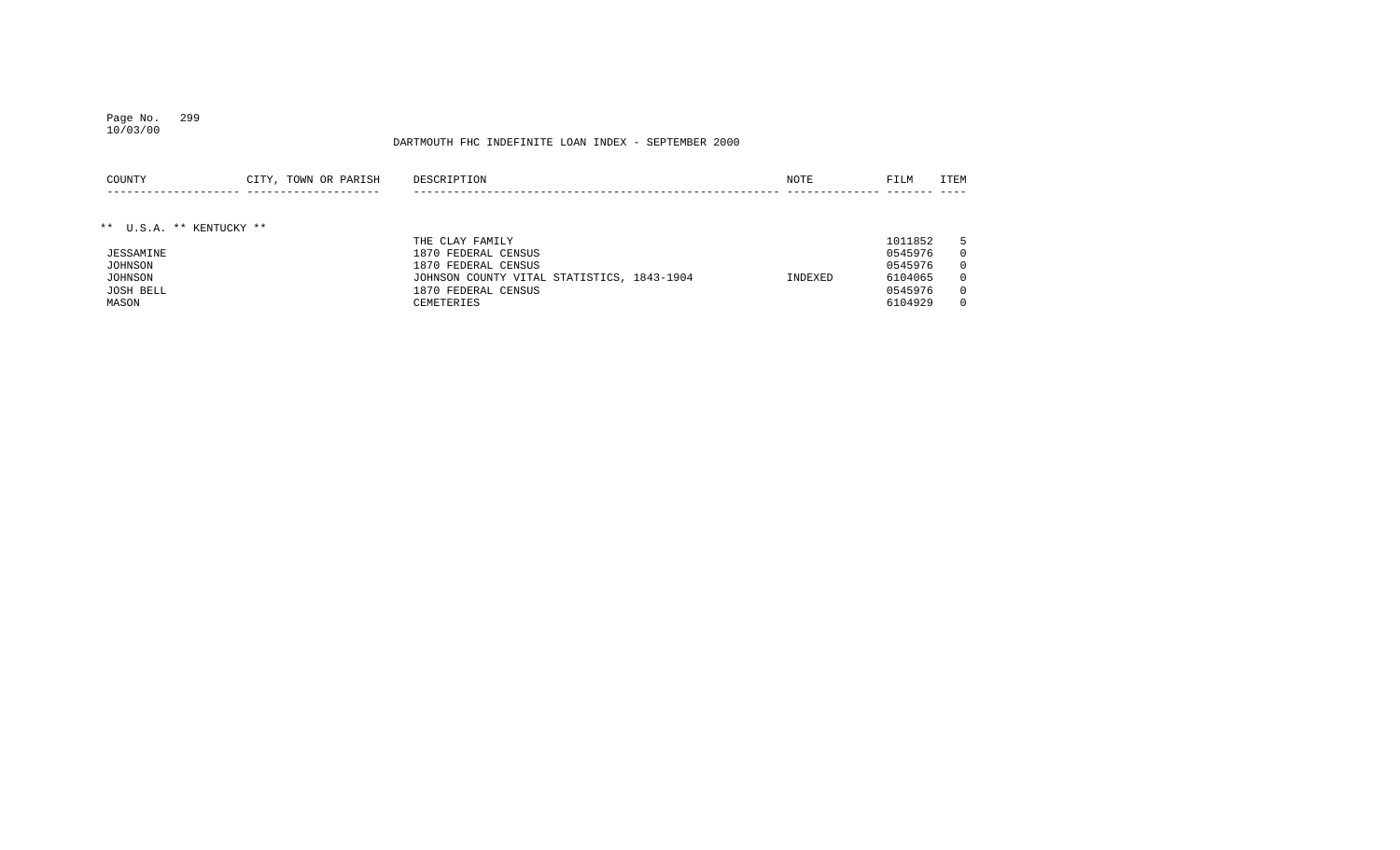## Page No. 299 10/03/00

| COUNTY                   | CITY, TOWN OR PARISH | DESCRIPTION                                | NOTE    | FILM    | ITEM     |
|--------------------------|----------------------|--------------------------------------------|---------|---------|----------|
|                          |                      |                                            |         |         |          |
|                          |                      |                                            |         |         |          |
| ** U.S.A. ** KENTUCKY ** |                      |                                            |         |         |          |
|                          |                      | THE CLAY FAMILY                            |         | 1011852 |          |
| JESSAMINE                |                      | 1870 FEDERAL CENSUS                        |         | 0545976 |          |
| JOHNSON                  |                      | 1870 FEDERAL CENSUS                        |         | 0545976 |          |
| JOHNSON                  |                      | JOHNSON COUNTY VITAL STATISTICS, 1843-1904 | INDEXED | 6104065 | $\Omega$ |
| JOSH BELL                |                      | 1870 FEDERAL CENSUS                        |         | 0545976 |          |
| MASON                    |                      | CEMETERIES                                 |         | 6104929 |          |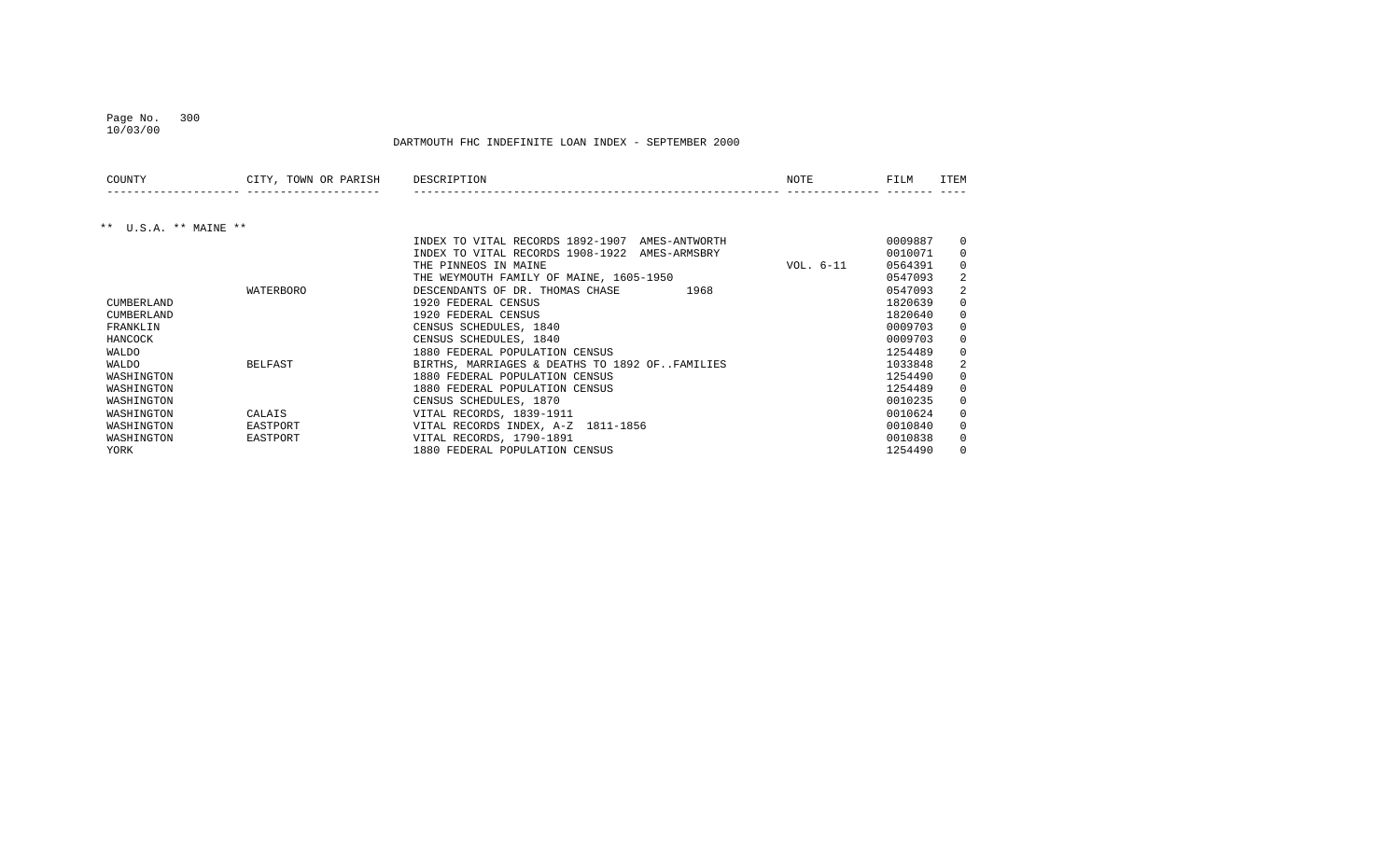## Page No. 300

10/03/00

| COUNTY                | CITY, TOWN OR PARISH | DESCRIPTION                                       | <b>NOTE</b> | FILM    | ITEM         |
|-----------------------|----------------------|---------------------------------------------------|-------------|---------|--------------|
|                       |                      |                                                   |             |         |              |
| ** U.S.A. ** MAINE ** |                      |                                                   |             |         |              |
|                       |                      | INDEX TO VITAL RECORDS 1892-1907<br>AMES-ANTWORTH |             | 0009887 | 0            |
|                       |                      | INDEX TO VITAL RECORDS 1908-1922<br>AMES-ARMSBRY  |             | 0010071 | $\Omega$     |
|                       |                      | THE PINNEOS IN MAINE                              | VOL. 6-11   | 0564391 | $\Omega$     |
|                       |                      | THE WEYMOUTH FAMILY OF MAINE, 1605-1950           |             | 0547093 | 2            |
|                       | WATERBORO            | 1968<br>DESCENDANTS OF DR. THOMAS CHASE           |             | 0547093 | 2            |
| CUMBERLAND            |                      | 1920 FEDERAL CENSUS                               |             | 1820639 | $\Omega$     |
| CUMBERLAND            |                      | 1920 FEDERAL CENSUS                               |             | 1820640 | 0            |
| FRANKLIN              |                      | CENSUS SCHEDULES, 1840                            |             | 0009703 | $\Omega$     |
| HANCOCK               |                      | CENSUS SCHEDULES, 1840                            |             | 0009703 | $\mathbf 0$  |
| WALDO                 |                      | 1880 FEDERAL POPULATION CENSUS                    |             | 1254489 | 0            |
| WALDO                 | <b>BELFAST</b>       | BIRTHS, MARRIAGES & DEATHS TO 1892 OFFAMILIES     |             | 1033848 | 2            |
| WASHINGTON            |                      | 1880 FEDERAL POPULATION CENSUS                    |             | 1254490 | 0            |
| WASHINGTON            |                      | 1880 FEDERAL POPULATION CENSUS                    |             | 1254489 | $\Omega$     |
| WASHINGTON            |                      | CENSUS SCHEDULES, 1870                            |             | 0010235 | $\mathbf 0$  |
| WASHINGTON            | CALAIS               | VITAL RECORDS, 1839-1911                          |             | 0010624 | $\mathbf{0}$ |
| WASHINGTON            | EASTPORT             | VITAL RECORDS INDEX, A-Z 1811-1856                |             | 0010840 | $\Omega$     |
| WASHINGTON            | EASTPORT             | VITAL RECORDS, 1790-1891                          |             | 0010838 | 0            |
| YORK                  |                      | 1880 FEDERAL POPULATION CENSUS                    |             | 1254490 | $\Omega$     |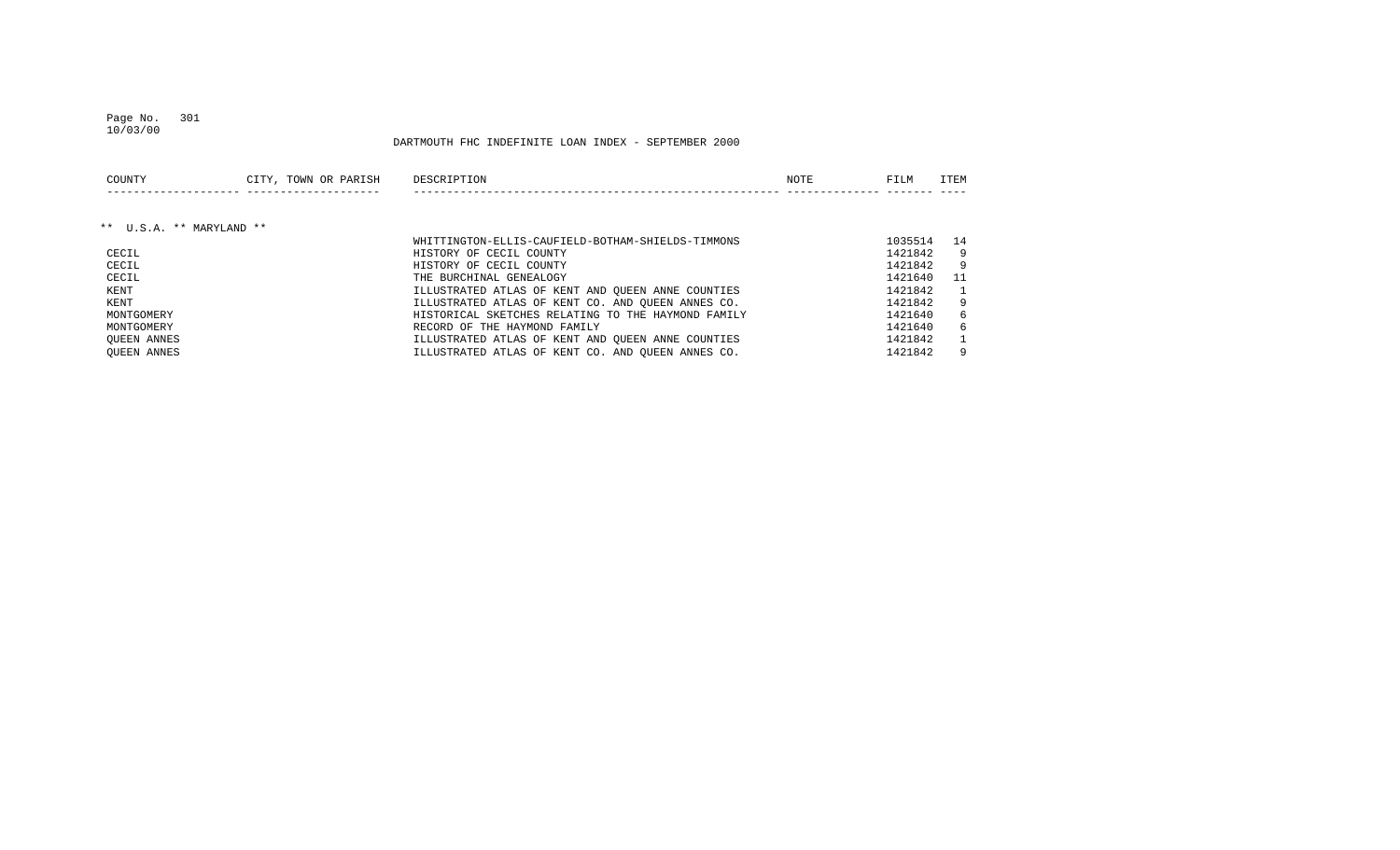## Page No. 301

DARTMOUTH FHC INDEFINITE LOAN INDEX - SEPTEMBER 2000

| COUNTY                   | CITY, TOWN OR PARISH | DESCRIPTION                                        | NOTE | FILM    | ITEM         |
|--------------------------|----------------------|----------------------------------------------------|------|---------|--------------|
|                          |                      |                                                    |      |         |              |
| ** U.S.A. ** MARYLAND ** |                      |                                                    |      |         |              |
|                          |                      | WHITTINGTON-ELLIS-CAUFIELD-BOTHAM-SHIELDS-TIMMONS  |      | 1035514 | 14           |
| CECIL                    |                      | HISTORY OF CECIL COUNTY                            |      | 1421842 | 9            |
| CECIL                    |                      | HISTORY OF CECIL COUNTY                            |      | 1421842 | 9            |
| CECIL                    |                      | THE BURCHINAL GENEALOGY                            |      | 1421640 | 11           |
| KENT                     |                      | ILLUSTRATED ATLAS OF KENT AND OUEEN ANNE COUNTIES  |      | 1421842 | $\mathbf{1}$ |
| KENT                     |                      | ILLUSTRATED ATLAS OF KENT CO. AND OUEEN ANNES CO.  |      | 1421842 | 9            |
| MONTGOMERY               |                      | HISTORICAL SKETCHES RELATING TO THE HAYMOND FAMILY |      | 1421640 | 6            |
| MONTGOMERY               |                      | RECORD OF THE HAYMOND FAMILY                       |      | 1421640 | 6            |
| OUEEN ANNES              |                      | ILLUSTRATED ATLAS OF KENT AND OUEEN ANNE COUNTIES  |      | 1421842 | $\mathbf{1}$ |
| OUEEN ANNES              |                      | ILLUSTRATED ATLAS OF KENT CO. AND OUEEN ANNES CO.  |      | 1421842 | 9            |

10/03/00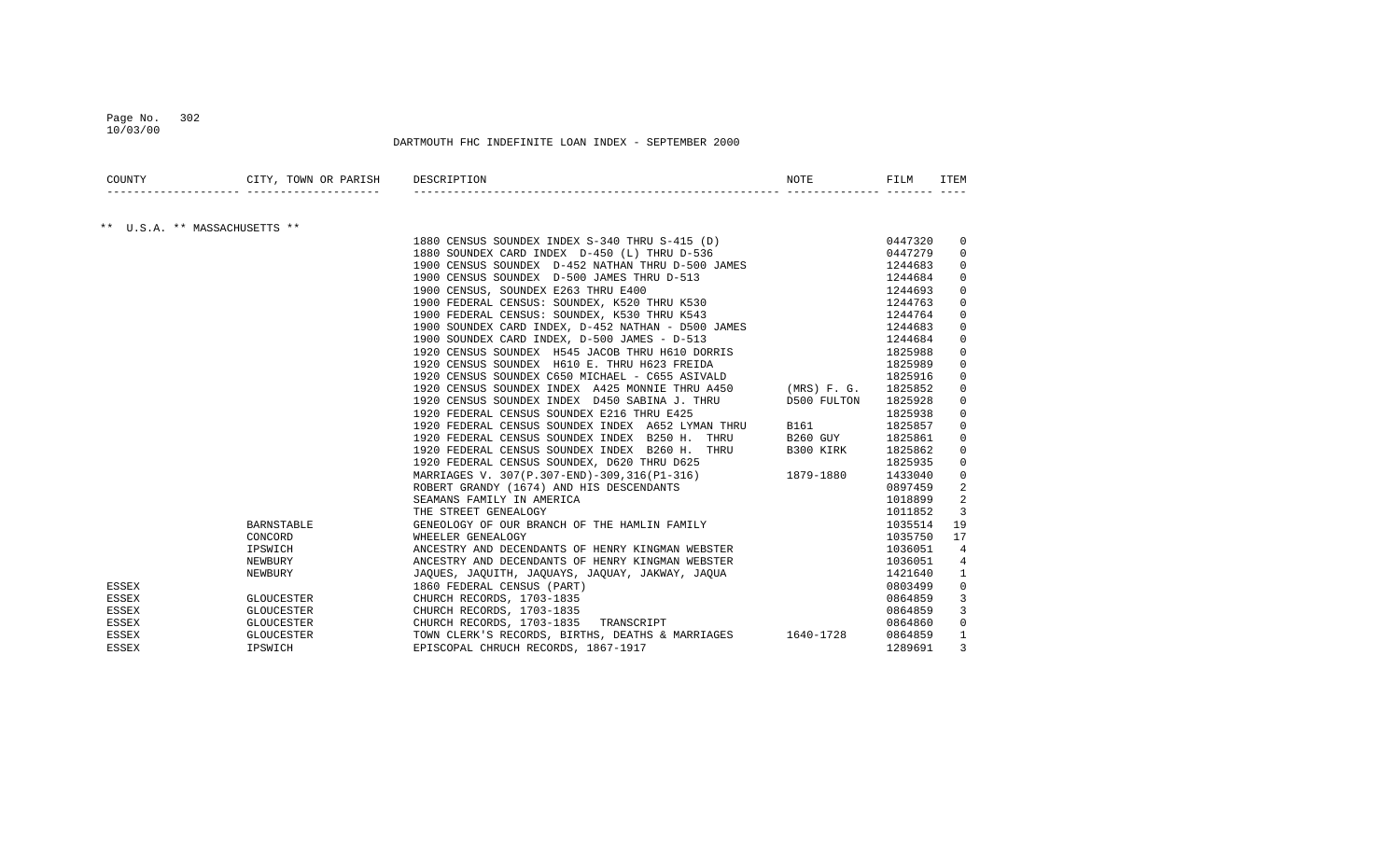## Page No. 302 10/03/00

| COUNTY       | CITY, TOWN OR PARISH DESCRIPTION |                                                                                                                                                                                                                                         | NOTE | FILM    | ITEM           |
|--------------|----------------------------------|-----------------------------------------------------------------------------------------------------------------------------------------------------------------------------------------------------------------------------------------|------|---------|----------------|
|              | ** U.S.A. ** MASSACHUSETTS **    |                                                                                                                                                                                                                                         |      |         |                |
|              |                                  | 1880 CENSUS SOUNDEX INDEX S-340 THRU S-415 (D) 0447320                                                                                                                                                                                  |      |         | 0              |
|              |                                  | 1880 SOUNDEX CARD INDEX D-450 (L) THRU D-536                                                                                                                                                                                            |      | 0447279 | $\Omega$       |
|              |                                  | 1900 CENSUS SOUNDEX D-452 NATHAN THRU D-500 JAMES                                                                                                                                                                                       |      | 1244683 | 0              |
|              |                                  |                                                                                                                                                                                                                                         |      | 1244684 | 0              |
|              |                                  | 1900 CENSUS SOUNDEX D-500 JAMES THRU D-513<br>1900 CENSUS, SOUNDEX E263 THRU E400<br>1900 FEDERAL CENSUS: SOUNDEX, K520 THRU K530<br>1900 FEDERAL CENSUS: SOUNDEX, K530 THRU K543                                                       |      | 1244693 | 0              |
|              |                                  |                                                                                                                                                                                                                                         |      | 1244763 | $\mathbf 0$    |
|              |                                  |                                                                                                                                                                                                                                         |      | 1244764 | $\Omega$       |
|              |                                  | 1900 SOUNDEX CARD INDEX, D-452 NATHAN - D500 JAMES<br>1900 SOUNDEX CARD INDEX, D-500 JAMES - D-513                                                                                                                                      |      | 1244683 | $\Omega$       |
|              |                                  |                                                                                                                                                                                                                                         |      | 1244684 | 0              |
|              |                                  | 1920 CENSUS SOUNDEX H545 JACOB THRU H610 DORRIS                                                                                                                                                                                         |      | 1825988 | 0              |
|              |                                  | 1920 CENSUS SOUNDEX H610 E. THRU H623 FREIDA                                                                                                                                                                                            |      | 1825989 | 0              |
|              |                                  | 1920 CENSUS SOUNDEX C650 MICHAEL - C655 ASIVALD                                                                                                                                                                                         |      | 1825916 | 0              |
|              |                                  | 1920 CENSUS SOUNDEX INDEX A425 MONNIE THRU A450 (MRS) F. G.                                                                                                                                                                             |      | 1825852 | 0              |
|              |                                  | 1920 CENSUS SOUNDEX INDEX D450 SABINA J. THRU D500 FULTON                                                                                                                                                                               |      | 1825928 | 0              |
|              |                                  | 1920 FEDERAL CENSUS SOUNDEX E216 THRU E425                                                                                                                                                                                              |      | 1825938 | 0              |
|              |                                  | 1920 FEDERAL CENSUS SOUNDEX E216 THRU E425<br>1920 FEDERAL CENSUS SOUNDEX INDEX A652 LYMAN THRU B161                                                                                                                                    |      | 1825857 | $\mathbf 0$    |
|              |                                  | 1920 FEDERAL CENSUS SOUNDEX INDEX B250 H. THRU B260 GUY 1825861                                                                                                                                                                         |      |         | $\Omega$       |
|              |                                  | 1920 FEDERAL CENSUS SOUNDEX INDEX B260 H. THRU B300 KIRK 1825862                                                                                                                                                                        |      |         | 0              |
|              |                                  | 1920 FEDERAL CENSUS SOUNDEX, D620 THRU D625                                                                                                                                                                                             |      | 1825935 | 0              |
|              |                                  | 1825935 1825935 EDINDER, DO20 IRRU DO25<br>MARRIAGES V. 307(P.307-END)-309, 316(P1-316) 1879-1880 1433040                                                                                                                               |      |         | 0              |
|              |                                  | ROBERT GRANDY (1674) AND HIS DESCENDANTS                                                                                                                                                                                                |      | 0897459 | 2              |
|              |                                  | SEAMANS FAMILY IN AMERICA                                                                                                                                                                                                               |      | 1018899 | 2              |
|              |                                  |                                                                                                                                                                                                                                         |      | 1011852 | 3              |
|              | <b>BARNSTABLE</b>                |                                                                                                                                                                                                                                         |      | 1035514 | 19             |
|              | CONCORD                          |                                                                                                                                                                                                                                         |      | 1035750 | 17             |
|              | IPSWICH                          |                                                                                                                                                                                                                                         |      | 1036051 | $\overline{4}$ |
|              | NEWBURY                          |                                                                                                                                                                                                                                         |      | 1036051 | 4              |
|              | NEWBURY                          |                                                                                                                                                                                                                                         |      | 1421640 | 1              |
| ESSEX        |                                  | EAMANS FAMILY 1<br>THE STREET GENEALOGY<br>GENEOLOGY OF OUR BRANCH OF THE HAMLIN FAMILY<br>WHEELER GENEALOGY<br>ANCESTRY AND DECENDANTS OF HENRY KINGMAN WEBSTER<br>ANCESTRY AND DECENDANTS OF HENRY KINGMAN WEBSTER<br>JAQUES, JAQUITH |      | 0803499 | $\mathbf 0$    |
| ESSEX        | <b>GLOUCESTER</b>                |                                                                                                                                                                                                                                         |      | 0864859 | 3              |
| ESSEX        |                                  |                                                                                                                                                                                                                                         |      | 0864859 | 3              |
| ESSEX        |                                  |                                                                                                                                                                                                                                         |      | 0864860 | $\mathbf 0$    |
| ESSEX        |                                  | GLOUCESTER TOWN CLERK'S RECORDS, BIRTHS, DEATHS & MARRIAGES 1640-1728                                                                                                                                                                   |      | 0864859 | $\mathbf{1}$   |
| <b>ESSEX</b> | IPSWICH                          | EPISCOPAL CHRUCH RECORDS, 1867-1917                                                                                                                                                                                                     |      | 1289691 | 3              |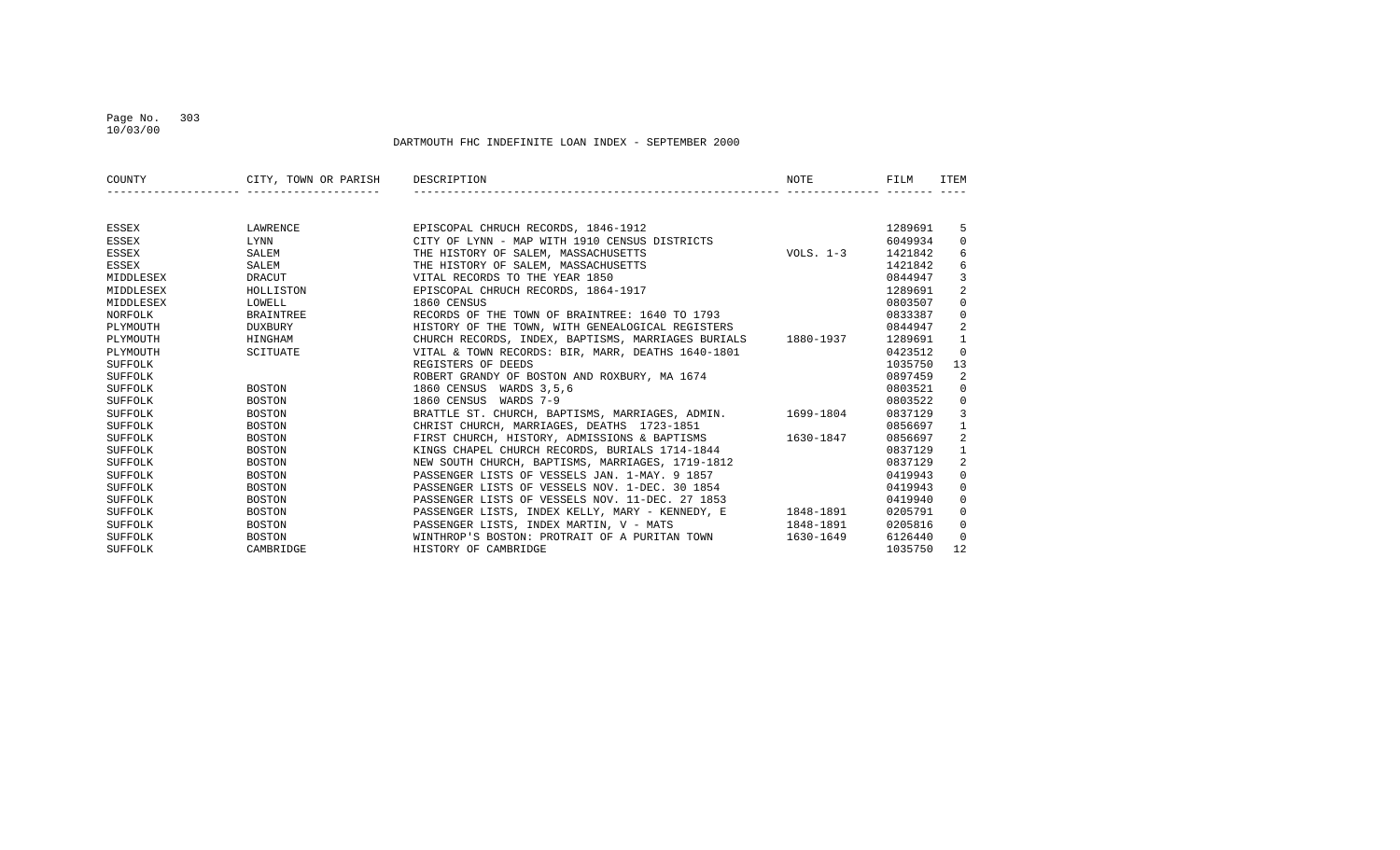## Page No. 303 10/03/00

| COUNTY    | CITY, TOWN OR PARISH | DESCRIPTION                                                  | NOTE        | FILM    | ITEM           |
|-----------|----------------------|--------------------------------------------------------------|-------------|---------|----------------|
|           |                      |                                                              |             |         |                |
| ESSEX     | LAWRENCE             | EPISCOPAL CHRUCH RECORDS, 1846-1912                          |             | 1289691 | 5              |
| ESSEX     | LYNN                 | CITY OF LYNN - MAP WITH 1910 CENSUS DISTRICTS                |             | 6049934 | $\mathbf{0}$   |
| ESSEX     | SALEM                | THE HISTORY OF SALEM, MASSACHUSETTS                          | VOLS. $1-3$ | 1421842 | 6              |
| ESSEX     | SALEM                | THE HISTORY OF SALEM, MASSACHUSETTS                          |             | 1421842 | 6              |
| MIDDLESEX | DRACUT               | VITAL RECORDS TO THE YEAR 1850                               |             | 0844947 | 3              |
| MIDDLESEX | HOLLISTON            | EPISCOPAL CHRUCH RECORDS, 1864-1917                          |             | 1289691 | $\overline{2}$ |
| MIDDLESEX | LOWELL               | 1860 CENSUS                                                  |             | 0803507 | $\mathbf{0}$   |
| NORFOLK   | <b>BRAINTREE</b>     | RECORDS OF THE TOWN OF BRAINTREE: 1640 TO 1793               |             | 0833387 | $\mathbf 0$    |
| PLYMOUTH  | <b>DUXBURY</b>       | HISTORY OF THE TOWN, WITH GENEALOGICAL REGISTERS             |             | 0844947 | 2              |
| PLYMOUTH  | HINGHAM              | CHURCH RECORDS, INDEX, BAPTISMS, MARRIAGES BURIALS 1880-1937 |             | 1289691 | $\mathbf{1}$   |
| PLYMOUTH  | SCITUATE             | VITAL & TOWN RECORDS: BIR, MARR, DEATHS 1640-1801            |             | 0423512 | $\Omega$       |
| SUFFOLK   |                      | REGISTERS OF DEEDS                                           |             | 1035750 | 13             |
| SUFFOLK   |                      | ROBERT GRANDY OF BOSTON AND ROXBURY, MA 1674                 |             | 0897459 | 2              |
| SUFFOLK   | BOSTON               | 1860 CENSUS WARDS 3,5,6                                      |             | 0803521 | $\mathbf{0}$   |
| SUFFOLK   | <b>BOSTON</b>        | WARDS 7-9<br>1860 CENSUS                                     |             | 0803522 | 0              |
| SUFFOLK   | BOSTON               | BRATTLE ST. CHURCH, BAPTISMS, MARRIAGES, ADMIN. 1699-1804    |             | 0837129 | $\overline{3}$ |
| SUFFOLK   | BOSTON               | CHRIST CHURCH, MARRIAGES, DEATHS 1723-1851                   |             | 0856697 | 1              |
| SUFFOLK   | BOSTON               | FIRST CHURCH, HISTORY, ADMISSIONS & BAPTISMS 1630-1847       |             | 0856697 | 2              |
| SUFFOLK   | BOSTON               | KINGS CHAPEL CHURCH RECORDS, BURIALS 1714-1844               |             | 0837129 | $\mathbf{1}$   |
| SUFFOLK   | <b>BOSTON</b>        | NEW SOUTH CHURCH, BAPTISMS, MARRIAGES, 1719-1812             |             | 0837129 | 2              |
| SUFFOLK   | <b>BOSTON</b>        | PASSENGER LISTS OF VESSELS JAN. 1-MAY. 9 1857                |             | 0419943 | $\mathbf 0$    |
| SUFFOLK   | <b>BOSTON</b>        | PASSENGER LISTS OF VESSELS NOV. 1-DEC. 30 1854               |             | 0419943 | $\mathbf{0}$   |
| SUFFOLK   | <b>BOSTON</b>        | PASSENGER LISTS OF VESSELS NOV. 11-DEC. 27 1853              |             | 0419940 | $\mathbf{0}$   |
| SUFFOLK   | BOSTON               | PASSENGER LISTS, INDEX KELLY, MARY - KENNEDY, E 1848-1891    |             | 0205791 | $\mathbf 0$    |
| SUFFOLK   | BOSTON               | PASSENGER LISTS, INDEX MARTIN, V - MATS                      | 1848-1891   | 0205816 | $\mathbf{0}$   |
| SUFFOLK   | <b>BOSTON</b>        | WINTHROP'S BOSTON: PROTRAIT OF A PURITAN TOWN                | 1630-1649   | 6126440 | $\Omega$       |
| SUFFOLK   | CAMBRIDGE            | HISTORY OF CAMBRIDGE                                         |             | 1035750 | 12             |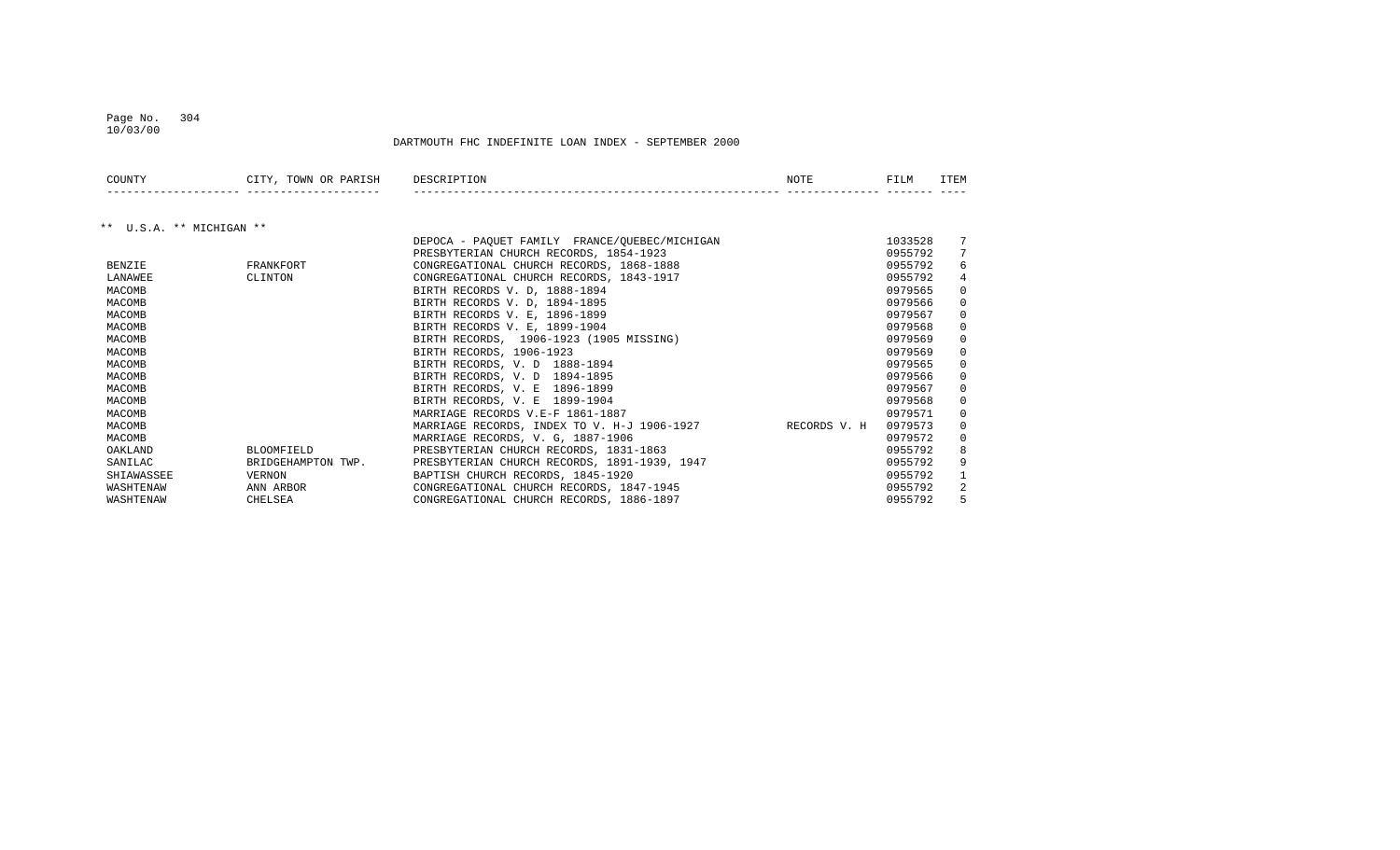## Page No. 304 10/03/00

| COUNTY                   | CITY, TOWN OR PARISH | DESCRIPTION                                   | NOTE         | FILM    | <b>ITEM</b> |
|--------------------------|----------------------|-----------------------------------------------|--------------|---------|-------------|
|                          |                      |                                               |              |         |             |
| ** U.S.A. ** MICHIGAN ** |                      |                                               |              |         |             |
|                          |                      | DEPOCA - PAQUET FAMILY FRANCE/QUEBEC/MICHIGAN |              | 1033528 |             |
|                          |                      | PRESBYTERIAN CHURCH RECORDS, 1854-1923        |              | 0955792 |             |
| <b>BENZIE</b>            | FRANKFORT            | CONGREGATIONAL CHURCH RECORDS, 1868-1888      |              | 0955792 | 6           |
| LANAWEE                  | CLINTON              | CONGREGATIONAL CHURCH RECORDS, 1843-1917      |              | 0955792 | 4           |
| MACOMB                   |                      | BIRTH RECORDS V. D, 1888-1894                 |              | 0979565 | $\Omega$    |
| MACOMB                   |                      | BIRTH RECORDS V. D, 1894-1895                 |              | 0979566 | 0           |
| MACOMB                   |                      | BIRTH RECORDS V. E, 1896-1899                 |              | 0979567 | $\Omega$    |
| MACOMB                   |                      | BIRTH RECORDS V. E. 1899-1904                 |              | 0979568 | $\Omega$    |
| MACOMB                   |                      | BIRTH RECORDS, 1906-1923 (1905 MISSING)       |              | 0979569 | $\Omega$    |
| MACOMB                   |                      | BIRTH RECORDS, 1906-1923                      |              | 0979569 | $\Omega$    |
| MACOMB                   |                      | BIRTH RECORDS, V. D 1888-1894                 |              | 0979565 | $\Omega$    |
| MACOMB                   |                      | BIRTH RECORDS, V. D 1894-1895                 |              | 0979566 | $\Omega$    |
| MACOMB                   |                      | BIRTH RECORDS, V. E 1896-1899                 |              | 0979567 | $\Omega$    |
| MACOMB                   |                      | BIRTH RECORDS, V. E 1899-1904                 |              | 0979568 | $\Omega$    |
| MACOMB                   |                      | MARRIAGE RECORDS V.E-F 1861-1887              |              | 0979571 | $\Omega$    |
| MACOMB                   |                      | MARRIAGE RECORDS, INDEX TO V. H-J 1906-1927   | RECORDS V. H | 0979573 | 0           |
| MACOMB                   |                      | MARRIAGE RECORDS, V. G, 1887-1906             |              | 0979572 | $\Omega$    |
| OAKLAND                  | <b>BLOOMFIELD</b>    | PRESBYTERIAN CHURCH RECORDS, 1831-1863        |              | 0955792 | 8           |
| SANILAC                  | BRIDGEHAMPTON TWP.   | PRESBYTERIAN CHURCH RECORDS, 1891-1939, 1947  |              | 0955792 | 9           |
| SHIAWASSEE               | VERNON               | BAPTISH CHURCH RECORDS, 1845-1920             |              | 0955792 |             |
| WASHTENAW                | ANN ARBOR            | CONGREGATIONAL CHURCH RECORDS, 1847-1945      |              | 0955792 | 2           |
| WASHTENAW                | CHELSEA              | CONGREGATIONAL CHURCH RECORDS, 1886-1897      |              | 0955792 | 5           |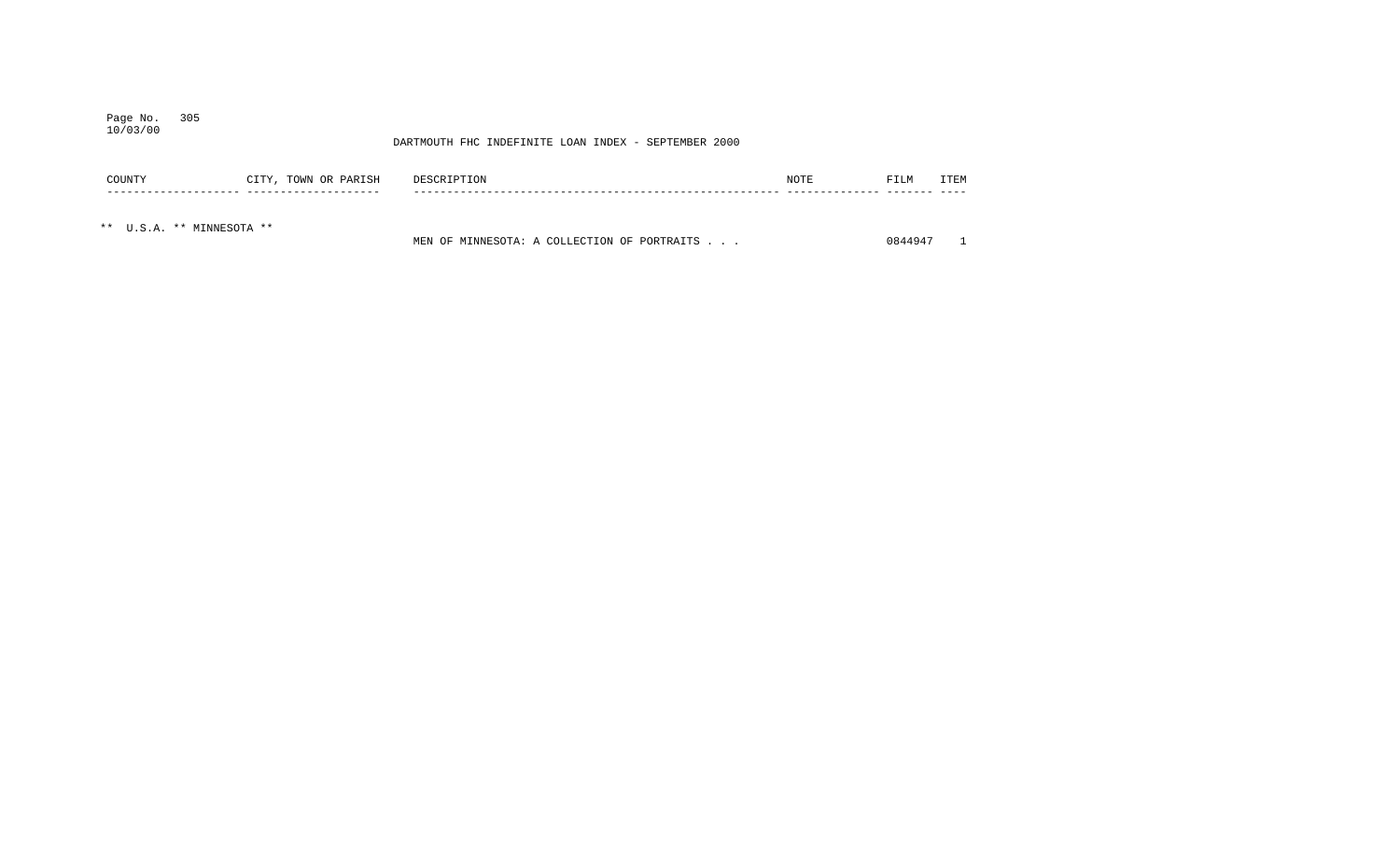## Page No. 305 10/03/00

| COUNTY                    | CITY, TOWN OR PARISH | DESCRIPTION                                 | NOTE | FILM    | ITEM |
|---------------------------|----------------------|---------------------------------------------|------|---------|------|
|                           |                      |                                             |      |         |      |
| ** U.S.A. ** MINNESOTA ** |                      | MEN OF MINNESOTA: A COLLECTION OF PORTRAITS |      | 0844947 |      |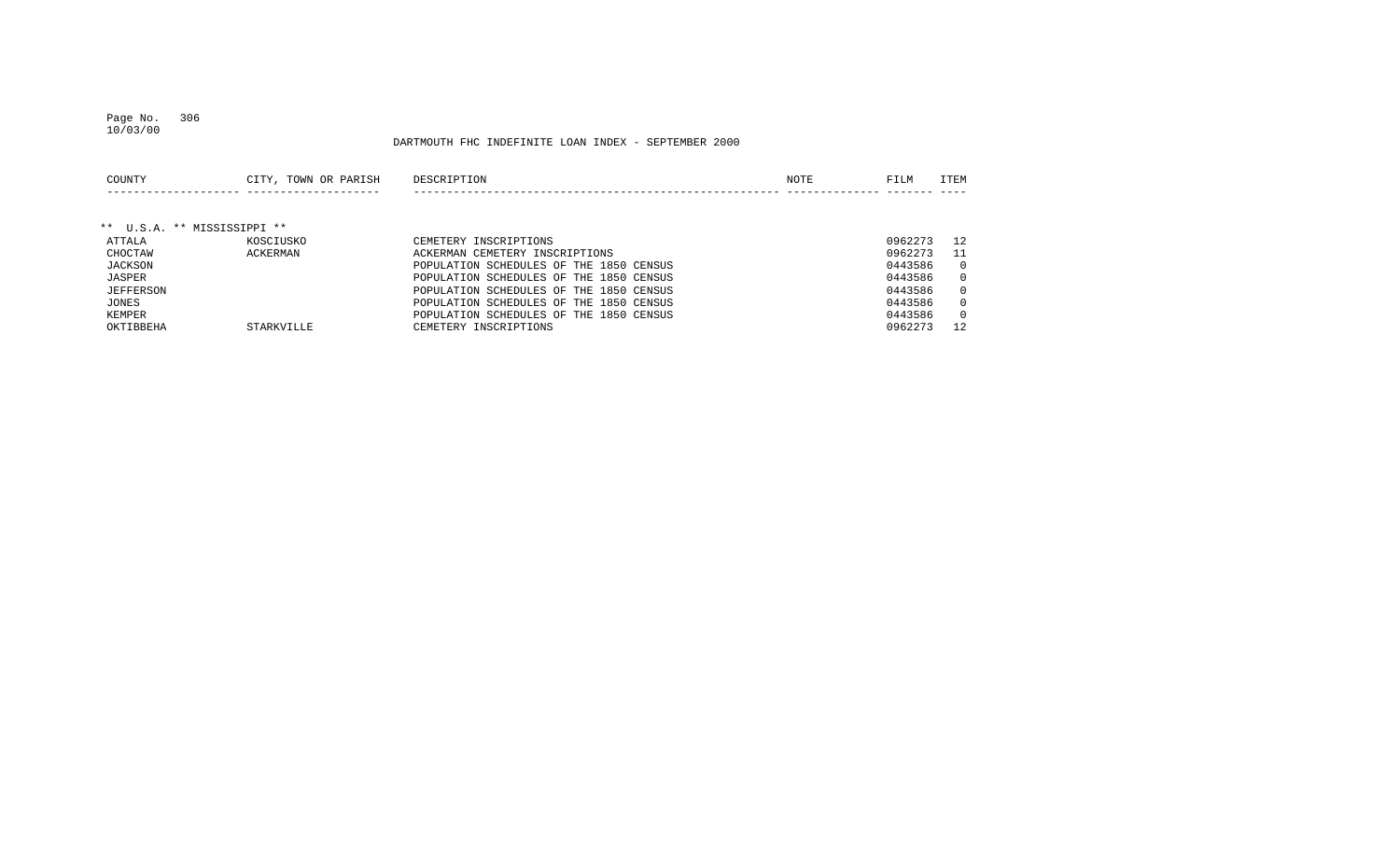## Page No. 306 10/03/00

| COUNTY                      | CITY, TOWN OR PARISH | DESCRIPTION                             | NOTE | FILM    | <b>ITEM</b>  |
|-----------------------------|----------------------|-----------------------------------------|------|---------|--------------|
|                             |                      |                                         |      |         |              |
| ** U.S.A. ** MISSISSIPPI ** |                      |                                         |      |         |              |
| ATTALA                      | KOSCIUSKO            | CEMETERY INSCRIPTIONS                   |      | 0962273 | 12.          |
| CHOCTAW                     | ACKERMAN             | ACKERMAN CEMETERY INSCRIPTIONS          |      | 0962273 | -11          |
| JACKSON                     |                      | POPULATION SCHEDULES OF THE 1850 CENSUS |      | 0443586 | $\mathbf{0}$ |
| JASPER                      |                      | POPULATION SCHEDULES OF THE 1850 CENSUS |      | 0443586 | $\mathbf{0}$ |
| <b>JEFFERSON</b>            |                      | POPULATION SCHEDULES OF THE 1850 CENSUS |      | 0443586 | $\Omega$     |
| JONES                       |                      | POPULATION SCHEDULES OF THE 1850 CENSUS |      | 0443586 | $\Omega$     |
| KEMPER                      |                      | POPULATION SCHEDULES OF THE 1850 CENSUS |      | 0443586 | $\mathbf{0}$ |
| OKTIBBEHA                   | STARKVILLE           | CEMETERY INSCRIPTIONS                   |      | 0962273 | 12           |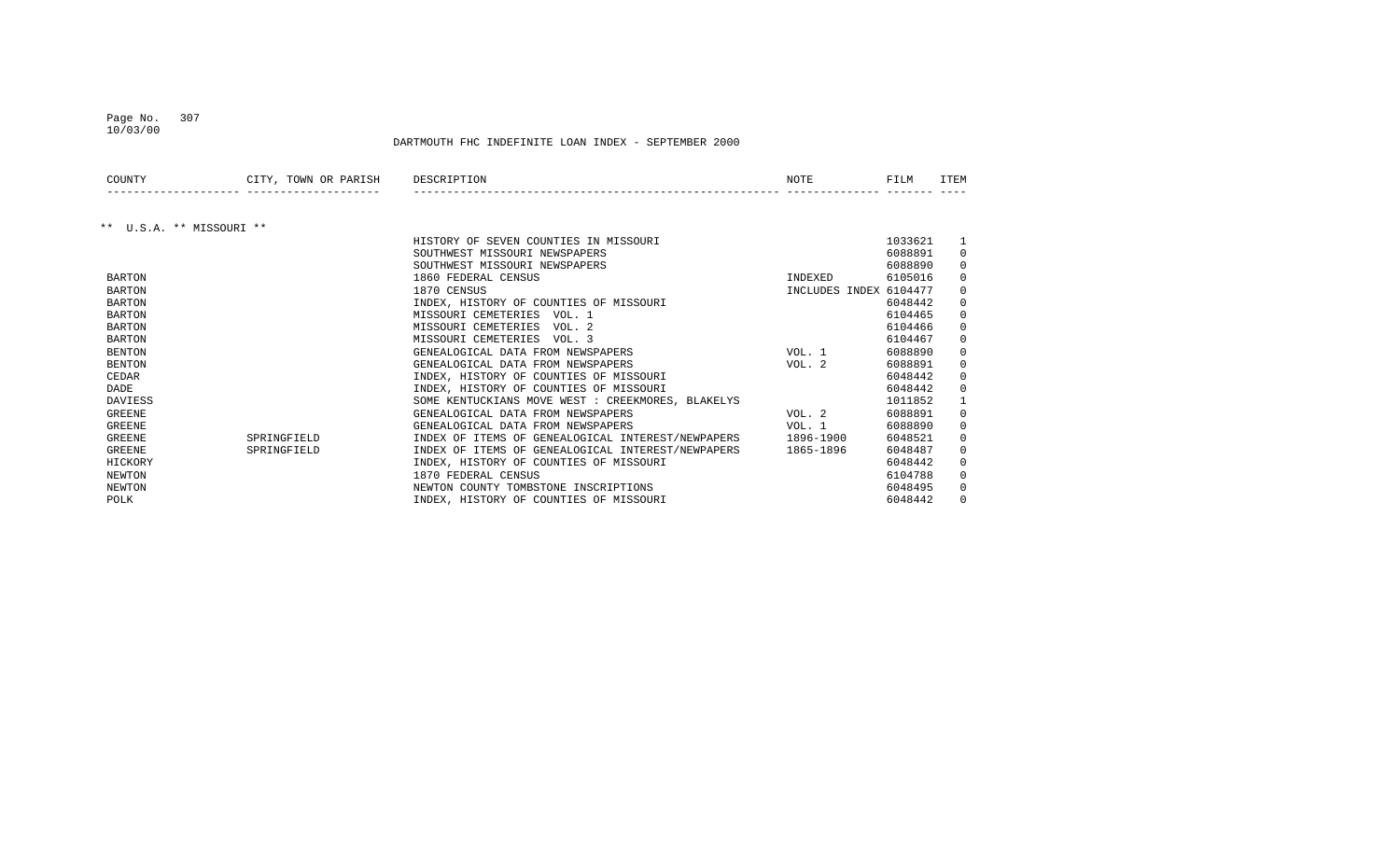## Page No. 307 10/03/00

| COUNTY                   | CITY, TOWN OR PARISH | DESCRIPTION                                                 | NOTE                   | FILM    | ITEM        |
|--------------------------|----------------------|-------------------------------------------------------------|------------------------|---------|-------------|
|                          |                      |                                                             |                        |         |             |
| ** U.S.A. ** MISSOURI ** |                      |                                                             |                        |         |             |
|                          |                      | HISTORY OF SEVEN COUNTIES IN MISSOURI                       |                        | 1033621 |             |
|                          |                      | SOUTHWEST MISSOURI NEWSPAPERS                               |                        | 6088891 | $\mathbf 0$ |
|                          |                      | SOUTHWEST MISSOURI NEWSPAPERS                               |                        | 6088890 | $\Omega$    |
| <b>BARTON</b>            |                      | 1860 FEDERAL CENSUS                                         | INDEXED                | 6105016 | 0           |
| <b>BARTON</b>            |                      | 1870 CENSUS                                                 | INCLUDES INDEX 6104477 |         | 0           |
| <b>BARTON</b>            |                      | INDEX, HISTORY OF COUNTIES OF MISSOURI                      |                        | 6048442 | $\mathbf 0$ |
| <b>BARTON</b>            |                      | MISSOURI CEMETERIES VOL. 1                                  |                        | 6104465 | 0           |
| <b>BARTON</b>            |                      | MISSOURI CEMETERIES<br>VOL. 2                               |                        | 6104466 | 0           |
| <b>BARTON</b>            |                      | MISSOURI CEMETERIES VOL. 3                                  |                        | 6104467 | $\Omega$    |
| <b>BENTON</b>            |                      | GENEALOGICAL DATA FROM NEWSPAPERS                           | VOL. 1                 | 6088890 | 0           |
| <b>BENTON</b>            |                      | GENEALOGICAL DATA FROM NEWSPAPERS                           | VOL. 2                 | 6088891 | $\mathbf 0$ |
| <b>CEDAR</b>             |                      | INDEX, HISTORY OF COUNTIES OF MISSOURI                      |                        | 6048442 | $\mathbf 0$ |
| DADE                     |                      | INDEX, HISTORY OF COUNTIES OF MISSOURI                      |                        | 6048442 | $\mathbf 0$ |
| <b>DAVIESS</b>           |                      | SOME KENTUCKIANS MOVE WEST : CREEKMORES, BLAKELYS           |                        | 1011852 |             |
| <b>GREENE</b>            |                      | GENEALOGICAL DATA FROM NEWSPAPERS                           | VOL. 2                 | 6088891 | 0           |
| <b>GREENE</b>            |                      | GENEALOGICAL DATA FROM NEWSPAPERS                           | VOL. 1                 | 6088890 | 0           |
| <b>GREENE</b>            | SPRINGFIELD          | INDEX OF ITEMS OF GENEALOGICAL INTEREST/NEWPAPERS 1896-1900 |                        | 6048521 | 0           |
| <b>GREENE</b>            | SPRINGFIELD          | INDEX OF ITEMS OF GENEALOGICAL INTEREST/NEWPAPERS           | 1865-1896              | 6048487 | $\mathbf 0$ |
| HICKORY                  |                      | INDEX, HISTORY OF COUNTIES OF MISSOURI                      |                        | 6048442 | 0           |
| NEWTON                   |                      | 1870 FEDERAL CENSUS                                         |                        | 6104788 | 0           |
| NEWTON                   |                      | NEWTON COUNTY TOMBSTONE INSCRIPTIONS                        |                        | 6048495 | $\Omega$    |
| POLK                     |                      | INDEX, HISTORY OF COUNTIES OF MISSOURI                      |                        | 6048442 | $\Omega$    |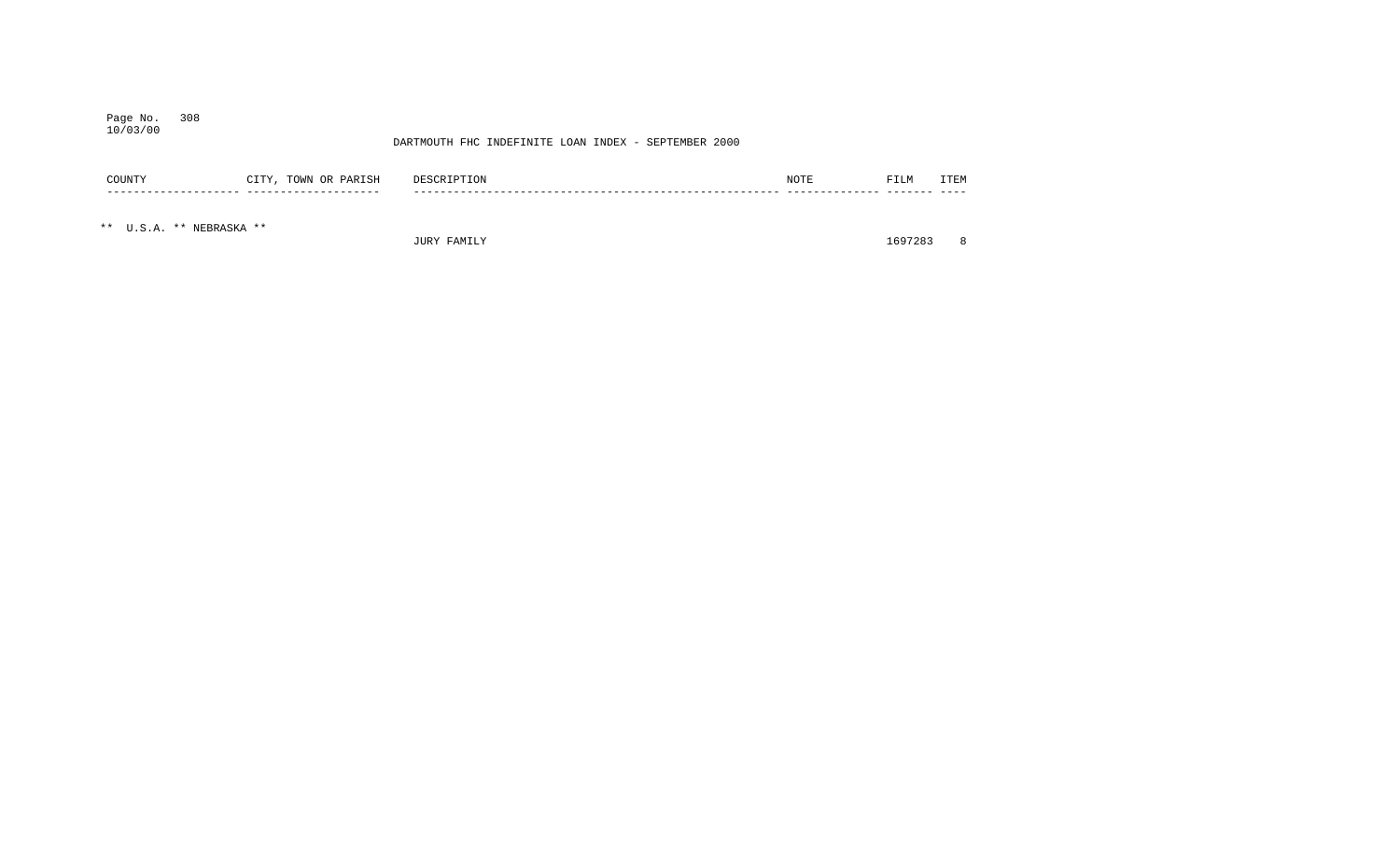## Page No. 308 10/03/00

### DARTMOUTH FHC INDEFINITE LOAN INDEX - SEPTEMBER 2000

| COUNTY                   | CITY, TOWN OR PARISH | DESCRIPTION | NOTE | FILM | <b>ITEM</b> |
|--------------------------|----------------------|-------------|------|------|-------------|
|                          |                      |             |      |      |             |
| ** U.S.A. ** NEBRASKA ** |                      |             |      |      |             |

JURY FAMILY 1697283 8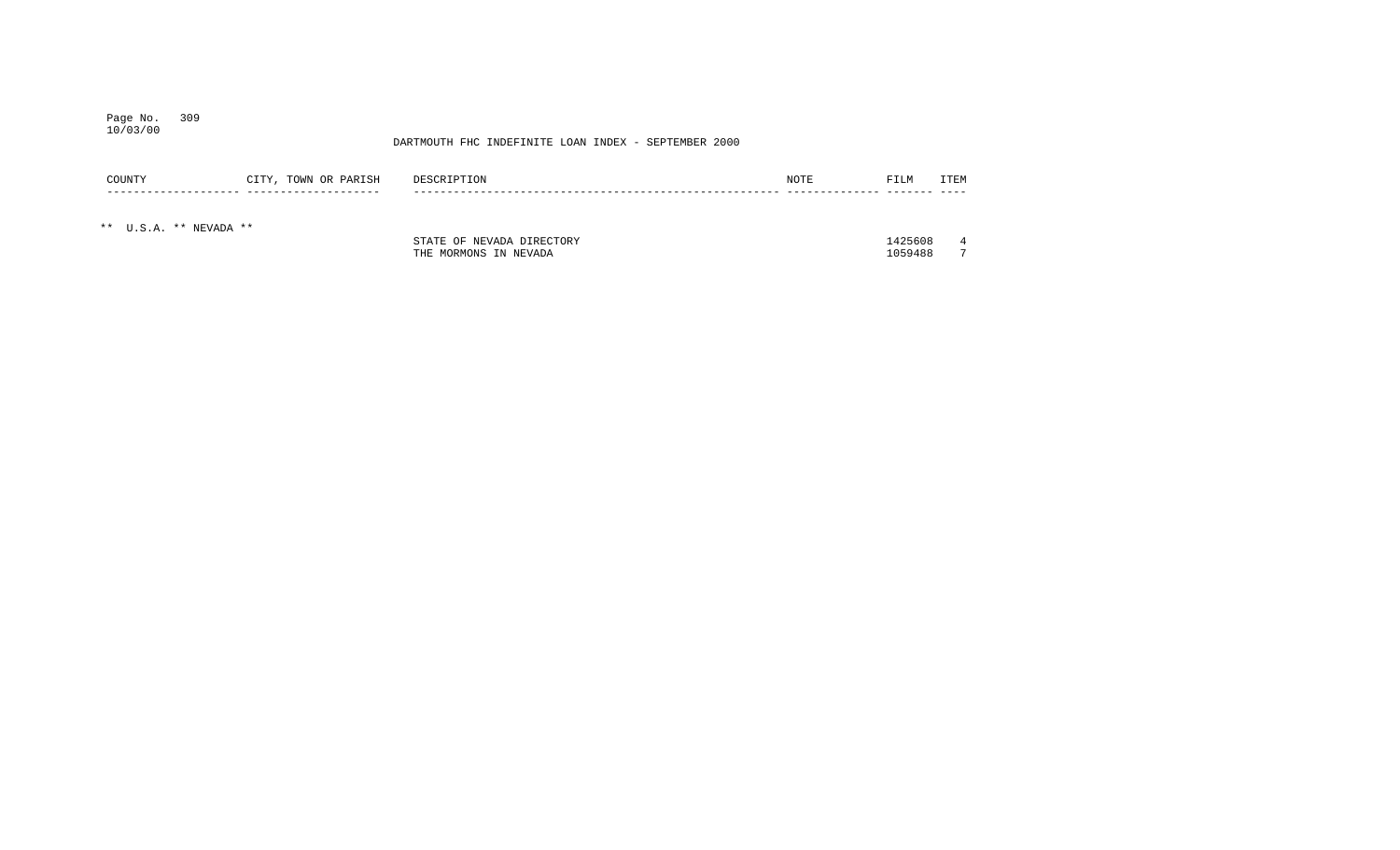#### Page No. 309 10/03/00

## DARTMOUTH FHC INDEFINITE LOAN INDEX - SEPTEMBER 2000

| COUNTY | TOWN<br>םר<br>ARISH<br>____ | DΕ | ᇧ | -<br>படங | $-$ mms. |
|--------|-----------------------------|----|---|----------|----------|
|        |                             | __ |   |          |          |

\*\* U.S.A. \*\* NEVADA \*\*

| <b>STATE</b><br>DIRECTORY<br>$\sim$ $\sim$<br>NEVADA<br>----- | 1425608 |        |
|---------------------------------------------------------------|---------|--------|
| NEVADA<br>MORMONS<br>THE<br>$T+T$<br>. IN                     | 1059488 | $\sim$ |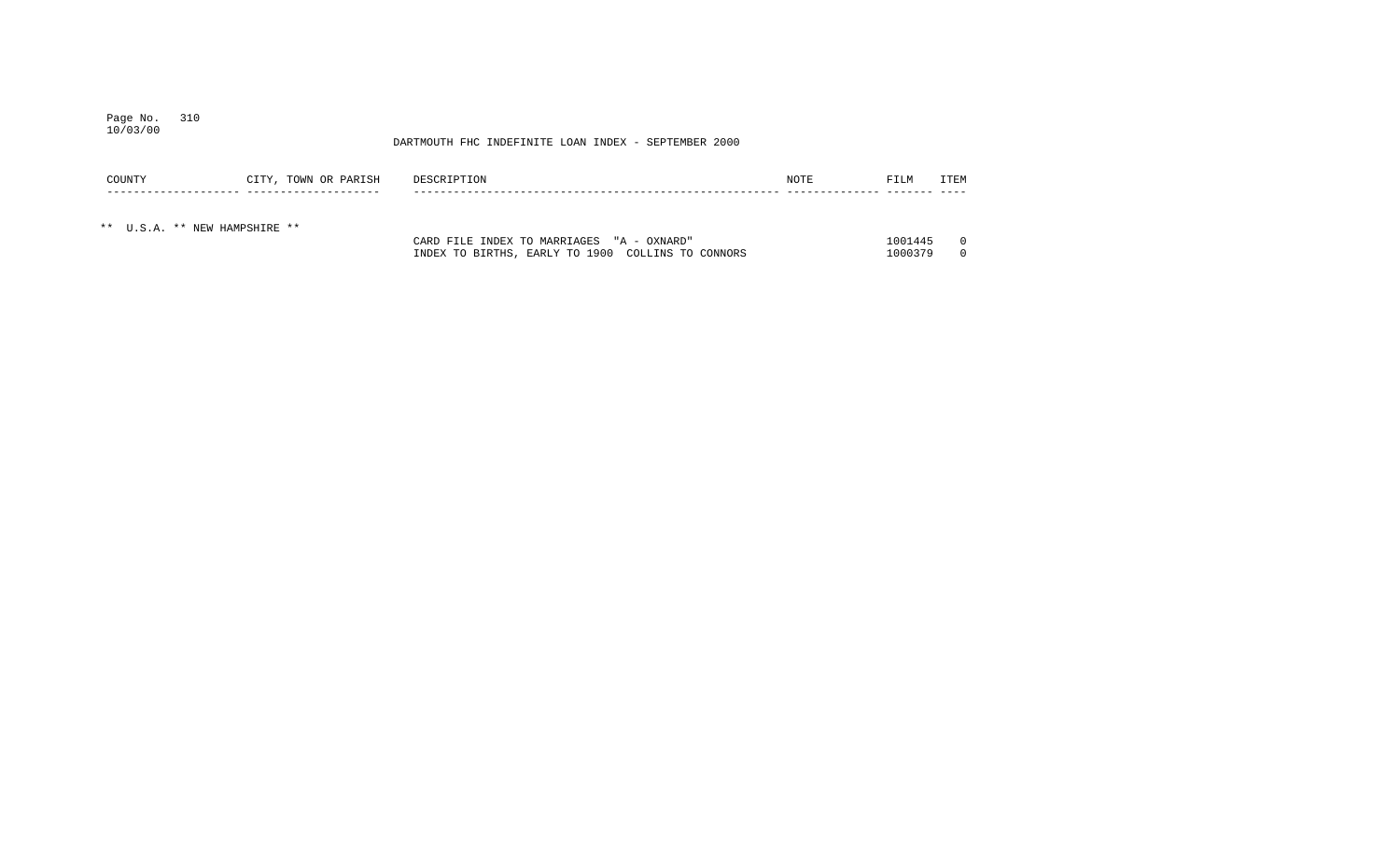#### Page No. 310 10/03/00

| COUNTY                        | CITY, TOWN OR PARISH | DESCRIPTION                                       | NOTE | FILM    | <b>TTEM</b> |
|-------------------------------|----------------------|---------------------------------------------------|------|---------|-------------|
|                               |                      |                                                   |      |         |             |
| ** U.S.A. ** NEW HAMPSHIRE ** |                      |                                                   |      |         |             |
|                               |                      | CARD FILE INDEX TO MARRIAGES "A - OXNARD"         |      | 1001445 |             |
|                               |                      | INDEX TO BIRTHS, EARLY TO 1900 COLLINS TO CONNORS |      | 1000379 |             |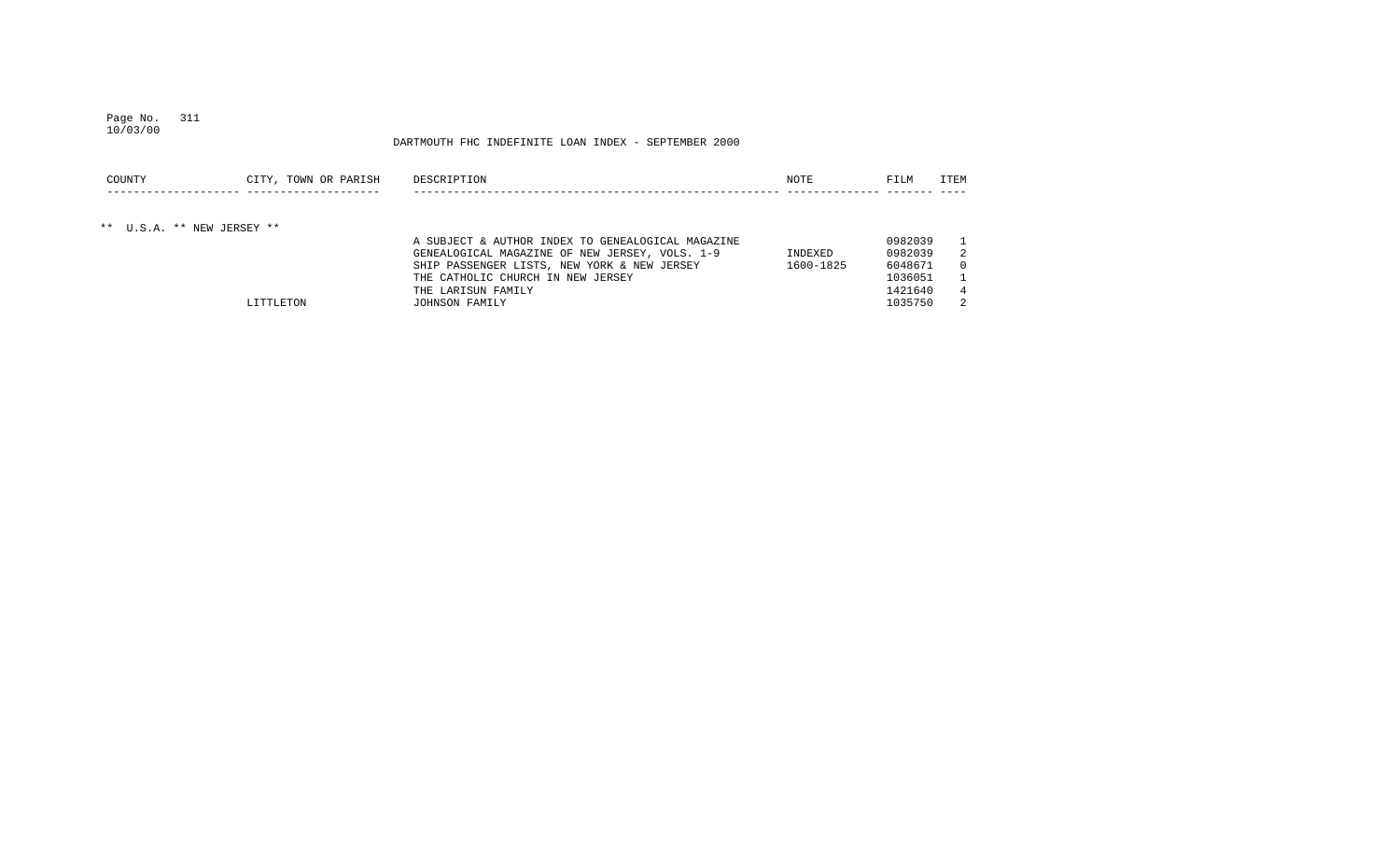#### Page No. 311 10/03/00

| COUNTY                     | CITY, TOWN OR PARISH | DESCRIPTION                                       | NOTE      | FILM    | ITEM |
|----------------------------|----------------------|---------------------------------------------------|-----------|---------|------|
|                            |                      |                                                   |           |         |      |
| ** U.S.A. ** NEW JERSEY ** |                      |                                                   |           |         |      |
|                            |                      | A SUBJECT & AUTHOR INDEX TO GENEALOGICAL MAGAZINE |           | 0982039 |      |
|                            |                      | GENEALOGICAL MAGAZINE OF NEW JERSEY, VOLS. 1-9    | INDEXED   | 0982039 | 2    |
|                            |                      | SHIP PASSENGER LISTS, NEW YORK & NEW JERSEY       | 1600-1825 | 6048671 |      |
|                            |                      | THE CATHOLIC CHURCH IN NEW JERSEY                 |           | 1036051 |      |
|                            |                      | THE LARISUN FAMILY                                |           | 1421640 |      |
|                            | LITTLETON            | JOHNSON FAMILY                                    |           | 1035750 | 2    |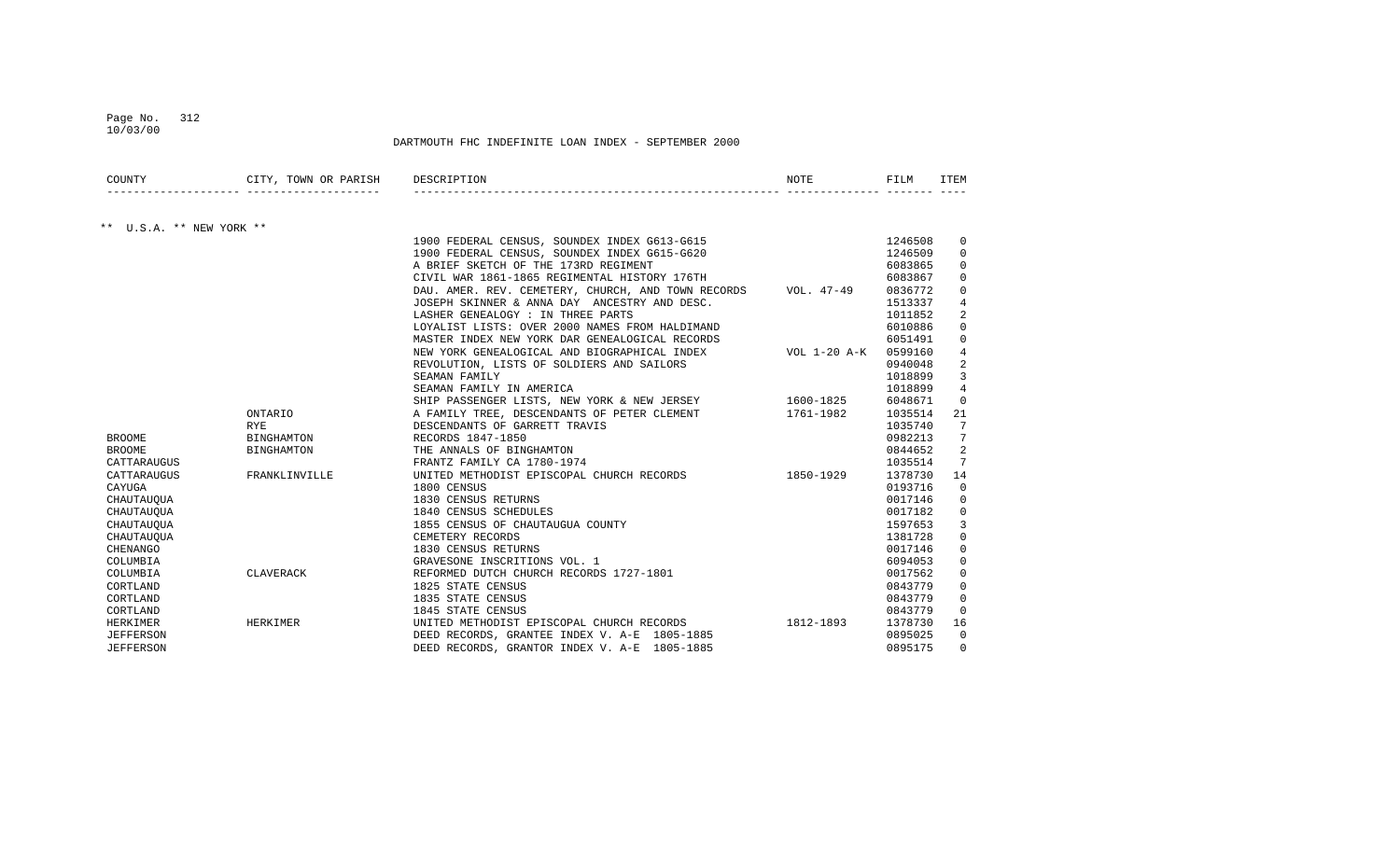## Page No. 312 10/03/00

| COUNTY                   | CITY, TOWN OR PARISH | DESCRIPTION                                                       | <b>NOTE</b> | FILM    | ITEM           |
|--------------------------|----------------------|-------------------------------------------------------------------|-------------|---------|----------------|
|                          |                      |                                                                   |             |         |                |
| ** U.S.A. ** NEW YORK ** |                      |                                                                   |             |         |                |
|                          |                      | 1900 FEDERAL CENSUS, SOUNDEX INDEX G613-G615                      |             | 1246508 | $\Omega$       |
|                          |                      | 1900 FEDERAL CENSUS, SOUNDEX INDEX G615-G620                      |             | 1246509 | $\Omega$       |
|                          |                      | A BRIEF SKETCH OF THE 173RD REGIMENT                              |             | 6083865 | $\Omega$       |
|                          |                      | CIVIL WAR 1861-1865 REGIMENTAL HISTORY 176TH                      |             | 6083867 | $\Omega$       |
|                          |                      | DAU. AMER. REV. CEMETERY, CHURCH, AND TOWN RECORDS VOL. 47-49     |             | 0836772 | 0              |
|                          |                      | JOSEPH SKINNER & ANNA DAY ANCESTRY AND DESC.                      |             | 1513337 | $\overline{4}$ |
|                          |                      | LASHER GENEALOGY : IN THREE PARTS                                 |             | 1011852 | $\overline{2}$ |
|                          |                      | LOYALIST LISTS: OVER 2000 NAMES FROM HALDIMAND                    |             | 6010886 | $\Omega$       |
|                          |                      | MASTER INDEX NEW YORK DAR GENEALOGICAL RECORDS                    |             | 6051491 | $\Omega$       |
|                          |                      | NEW YORK GENEALOGICAL AND BIOGRAPHICAL INDEX VOL 1-20 A-K 0599160 |             |         | $\overline{4}$ |
|                          |                      | REVOLUTION, LISTS OF SOLDIERS AND SAILORS                         |             | 0940048 | $\overline{2}$ |
|                          |                      | SEAMAN FAMILY                                                     |             | 1018899 | 3              |
|                          |                      | SEAMAN FAMILY IN AMERICA                                          |             | 1018899 | $\overline{4}$ |
|                          |                      | SHIP PASSENGER LISTS, NEW YORK & NEW JERSEY 1600-1825             |             | 6048671 | $\Omega$       |
|                          | ONTARIO              | A FAMILY TREE, DESCENDANTS OF PETER CLEMENT 1761-1982             |             | 1035514 | 21             |
|                          | <b>RYE</b>           | DESCENDANTS OF GARRETT TRAVIS                                     |             | 1035740 | 7              |
| <b>BROOME</b>            | BINGHAMTON           | RECORDS 1847-1850                                                 |             | 0982213 | 7              |
| <b>BROOME</b>            | BINGHAMTON           | THE ANNALS OF BINGHAMTON                                          |             | 0844652 | $\overline{2}$ |
| CATTARAUGUS              |                      | FRANTZ FAMILY CA 1780-1974                                        |             | 1035514 | 7              |
| CATTARAUGUS              | FRANKLINVILLE        | UNITED METHODIST EPISCOPAL CHURCH RECORDS 1850-1929               |             | 1378730 | 14             |
| CAYUGA                   |                      | 1800 CENSUS                                                       |             | 0193716 | $\Omega$       |
| CHAUTAUQUA               |                      | 1830 CENSUS RETURNS                                               |             | 0017146 | $\Omega$       |
| CHAUTAUQUA               |                      | 1840 CENSUS SCHEDULES                                             |             | 0017182 | $\Omega$       |
| CHAUTAUQUA               |                      | 1855 CENSUS OF CHAUTAUGUA COUNTY                                  |             | 1597653 | 3              |
| CHAUTAUOUA               |                      | CEMETERY RECORDS                                                  |             | 1381728 | $\mathbf 0$    |
| <b>CHENANGO</b>          |                      | 1830 CENSUS RETURNS                                               |             | 0017146 | $\mathbf{0}$   |
| COLUMBIA                 |                      | GRAVESONE INSCRITIONS VOL. 1                                      |             | 6094053 | $\Omega$       |
| COLUMBIA                 | CLAVERACK            | REFORMED DUTCH CHURCH RECORDS 1727-1801                           |             | 0017562 | $\Omega$       |
| CORTLAND                 |                      | 1825 STATE CENSUS                                                 |             | 0843779 | $\Omega$       |
| CORTLAND                 |                      | 1835 STATE CENSUS                                                 |             | 0843779 | $\Omega$       |
| CORTLAND                 |                      | 1845 STATE CENSUS                                                 |             | 0843779 | $\Omega$       |
| HERKIMER                 | HERKIMER             | UNITED METHODIST EPISCOPAL CHURCH RECORDS 1812-1893               |             | 1378730 | 16             |
| <b>JEFFERSON</b>         |                      | DEED RECORDS, GRANTEE INDEX V. A-E 1805-1885                      |             | 0895025 | $\Omega$       |
| <b>JEFFERSON</b>         |                      | DEED RECORDS, GRANTOR INDEX V. A-E 1805-1885                      |             | 0895175 | $\Omega$       |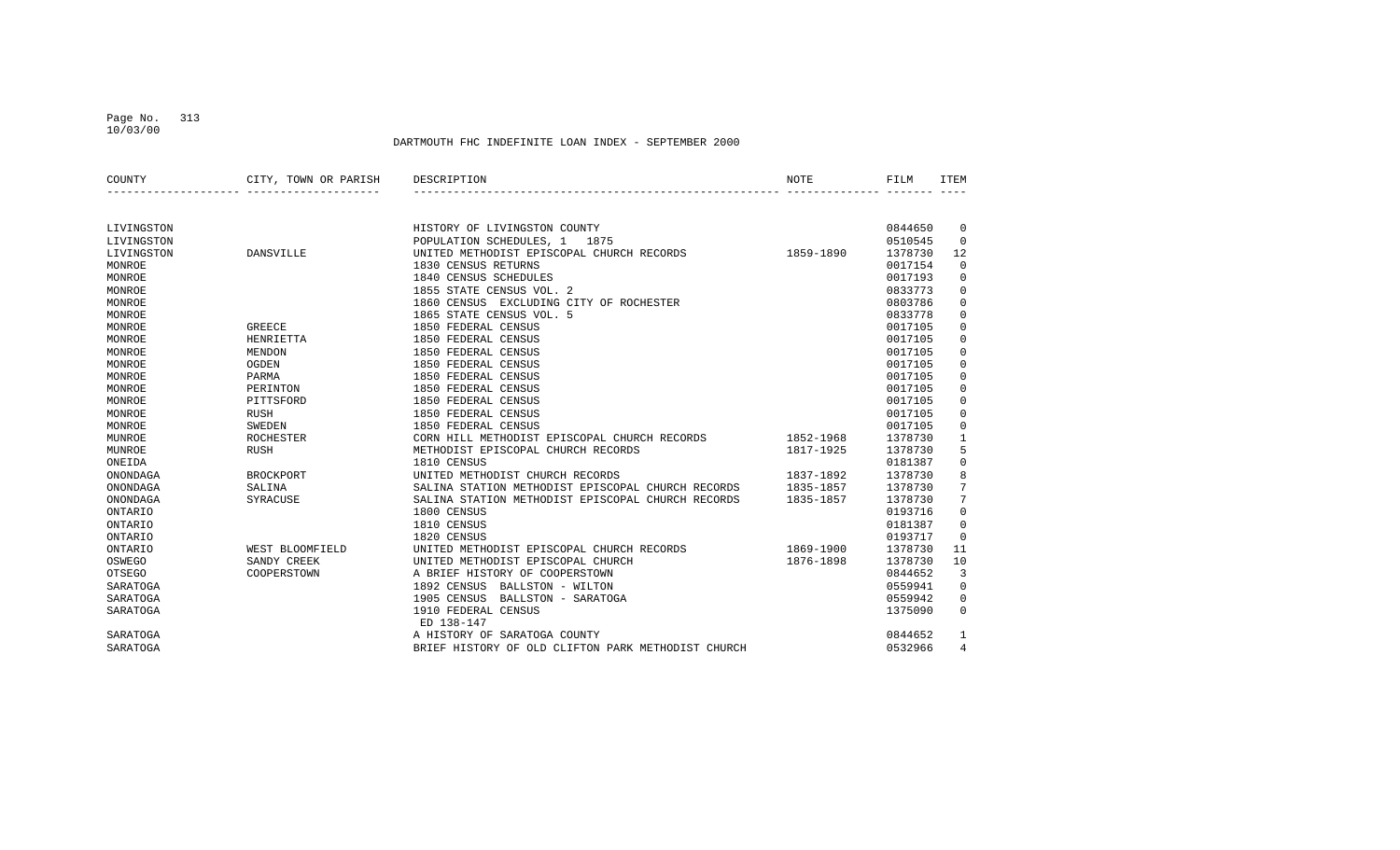## Page No. 313 10/03/00

| COUNTY         | CITY, TOWN OR PARISH | DESCRIPTION                                        | NOTE      | FILM    | <b>ITEM</b>    |
|----------------|----------------------|----------------------------------------------------|-----------|---------|----------------|
|                |                      |                                                    |           |         |                |
| LIVINGSTON     |                      | HISTORY OF LIVINGSTON COUNTY                       |           | 0844650 | $\mathbf 0$    |
| LIVINGSTON     |                      | POPULATION SCHEDULES, 1<br>1875                    |           | 0510545 | $\Omega$       |
| LIVINGSTON     | DANSVILLE            | UNITED METHODIST EPISCOPAL CHURCH RECORDS          | 1859-1890 | 1378730 | 12             |
| MONROE         |                      | 1830 CENSUS RETURNS                                |           | 0017154 | 0              |
| MONROE         |                      | 1840 CENSUS SCHEDULES                              |           | 0017193 | 0              |
| MONROE         |                      | 1855 STATE CENSUS VOL. 2                           |           | 0833773 | $\mathbf 0$    |
| MONROE         |                      | 1860 CENSUS EXCLUDING CITY OF ROCHESTER            |           | 0803786 | 0              |
| MONROE         |                      | 1865 STATE CENSUS VOL. 5                           |           | 0833778 | 0              |
| MONROE         | <b>GREECE</b>        | 1850 FEDERAL CENSUS                                |           | 0017105 | 0              |
| MONROE         | HENRIETTA            | 1850 FEDERAL CENSUS                                |           | 0017105 | $\mathbf 0$    |
| MONROE         | <b>MENDON</b>        | 1850 FEDERAL CENSUS                                |           | 0017105 | $\mathbf 0$    |
| MONROE         | OGDEN                | 1850 FEDERAL CENSUS                                |           | 0017105 | $\mathbf 0$    |
| MONROE         | PARMA                | 1850 FEDERAL CENSUS                                |           | 0017105 | $\mathbf 0$    |
| MONROE         | PERINTON             | 1850 FEDERAL CENSUS                                |           | 0017105 | $\mathbf 0$    |
| MONROE         | PITTSFORD            | 1850 FEDERAL CENSUS                                |           | 0017105 | $\mathbf 0$    |
| MONROE         | <b>RUSH</b>          | 1850 FEDERAL CENSUS                                |           | 0017105 | 0              |
| MONROE         | <b>SWEDEN</b>        | 1850 FEDERAL CENSUS                                |           | 0017105 | 0              |
| MUNROE         | <b>ROCHESTER</b>     | CORN HILL METHODIST EPISCOPAL CHURCH RECORDS       | 1852-1968 | 1378730 | $\mathbf{1}$   |
| MUNROE         | <b>RUSH</b>          | METHODIST EPISCOPAL CHURCH RECORDS                 | 1817-1925 | 1378730 | 5              |
| ONEIDA         |                      | 1810 CENSUS                                        |           | 0181387 | 0              |
| ONONDAGA       | <b>BROCKPORT</b>     | UNITED METHODIST CHURCH RECORDS                    | 1837-1892 | 1378730 | 8              |
| ONONDAGA       | SALINA               | SALINA STATION METHODIST EPISCOPAL CHURCH RECORDS  | 1835-1857 | 1378730 | 7              |
| ONONDAGA       | SYRACUSE             | SALINA STATION METHODIST EPISCOPAL CHURCH RECORDS  | 1835-1857 | 1378730 | $\overline{7}$ |
| ONTARIO        |                      | 1800 CENSUS                                        |           | 0193716 | $\mathbf 0$    |
| ONTARIO        |                      | 1810 CENSUS                                        |           | 0181387 | 0              |
| ONTARIO        |                      | 1820 CENSUS                                        |           | 0193717 | $\Omega$       |
| <b>ONTARIO</b> | WEST BLOOMFIELD      | UNITED METHODIST EPISCOPAL CHURCH RECORDS          | 1869-1900 | 1378730 | 11             |
| OSWEGO         | SANDY CREEK          | UNITED METHODIST EPISCOPAL CHURCH                  | 1876-1898 | 1378730 | 10             |
| <b>OTSEGO</b>  | COOPERSTOWN          | A BRIEF HISTORY OF COOPERSTOWN                     |           | 0844652 | 3              |
| SARATOGA       |                      | 1892 CENSUS<br>BALLSTON - WILTON                   |           | 0559941 | $\mathbf 0$    |
| SARATOGA       |                      | 1905 CENSUS<br>BALLSTON - SARATOGA                 |           | 0559942 | 0              |
| SARATOGA       |                      | 1910 FEDERAL CENSUS<br>ED 138-147                  |           | 1375090 | $\Omega$       |
| SARATOGA       |                      | A HISTORY OF SARATOGA COUNTY                       |           | 0844652 | 1              |
| SARATOGA       |                      | BRIEF HISTORY OF OLD CLIFTON PARK METHODIST CHURCH |           | 0532966 | 4              |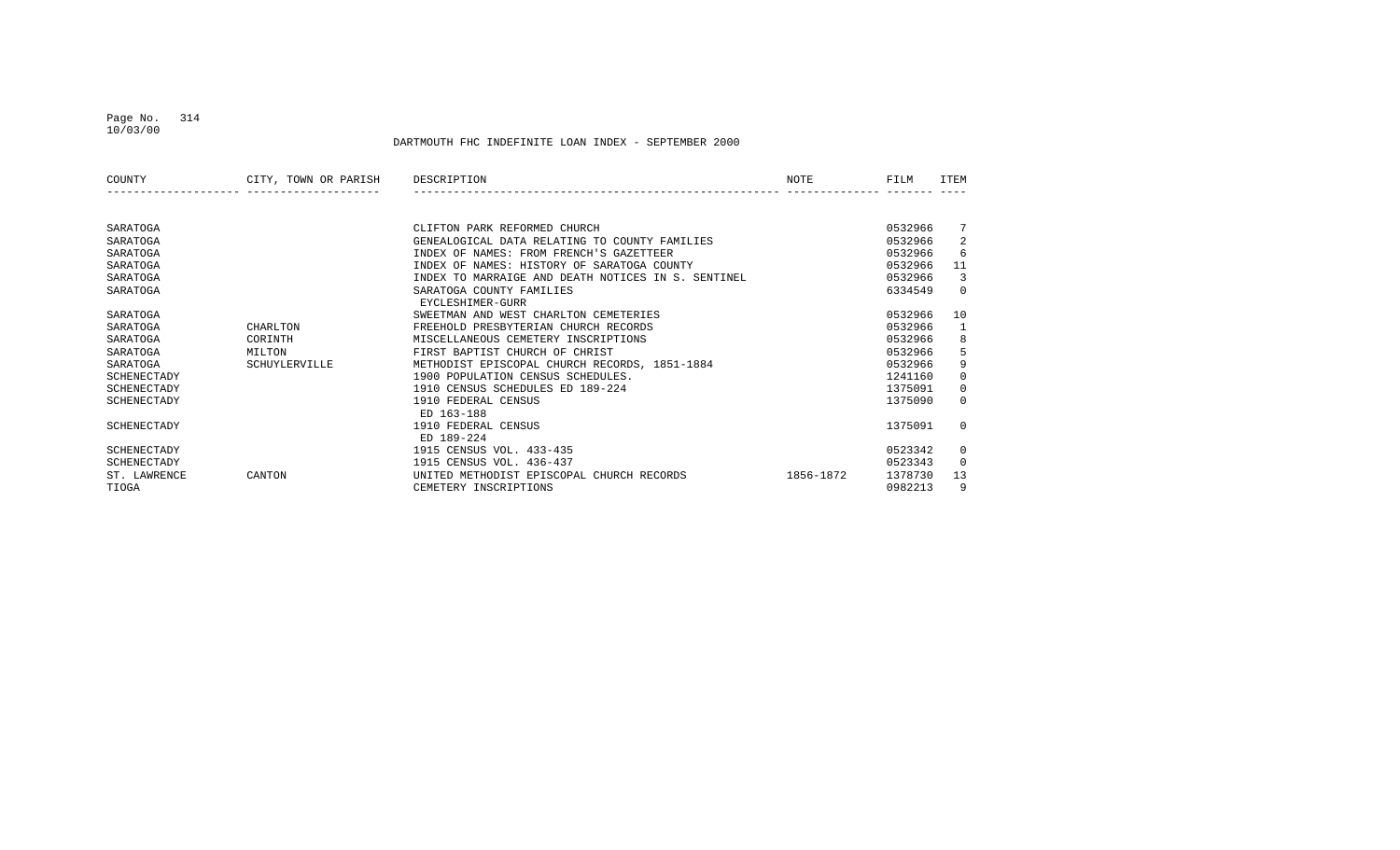### Page No. 314 10/03/00

| COUNTY       | CITY, TOWN OR PARISH | DESCRIPTION                                        | NOTE      | FILM    | <b>TTEM</b>  |
|--------------|----------------------|----------------------------------------------------|-----------|---------|--------------|
|              |                      |                                                    |           |         |              |
| SARATOGA     |                      | CLIFTON PARK REFORMED CHURCH                       |           | 0532966 | 7            |
| SARATOGA     |                      | GENEALOGICAL DATA RELATING TO COUNTY FAMILIES      |           | 0532966 | 2            |
| SARATOGA     |                      | INDEX OF NAMES: FROM FRENCH'S GAZETTEER            |           | 0532966 | 6            |
| SARATOGA     |                      | INDEX OF NAMES: HISTORY OF SARATOGA COUNTY         |           | 0532966 | 11           |
| SARATOGA     |                      | INDEX TO MARRAIGE AND DEATH NOTICES IN S. SENTINEL |           | 0532966 | 3            |
| SARATOGA     |                      | SARATOGA COUNTY FAMILIES                           |           | 6334549 | $\Omega$     |
|              |                      | EYCLESHIMER-GURR                                   |           |         |              |
| SARATOGA     |                      | SWEETMAN AND WEST CHARLTON CEMETERIES              |           | 0532966 | 10           |
| SARATOGA     | CHARLTON             | FREEHOLD PRESBYTERIAN CHURCH RECORDS               |           | 0532966 | 1            |
| SARATOGA     | CORINTH              | MISCELLANEOUS CEMETERY INSCRIPTIONS                |           | 0532966 | 8            |
| SARATOGA     | MILTON               | FIRST BAPTIST CHURCH OF CHRIST                     |           | 0532966 | 5            |
| SARATOGA     | SCHUYLERVILLE        | METHODIST EPISCOPAL CHURCH RECORDS, 1851-1884      |           | 0532966 | 9            |
| SCHENECTADY  |                      | 1900 POPULATION CENSUS SCHEDULES.                  |           | 1241160 | $\mathbf{0}$ |
| SCHENECTADY  |                      | 1910 CENSUS SCHEDULES ED 189-224                   |           | 1375091 | $\Omega$     |
| SCHENECTADY  |                      | 1910 FEDERAL CENSUS                                |           | 1375090 | $\Omega$     |
|              |                      | ED 163-188                                         |           |         |              |
| SCHENECTADY  |                      | 1910 FEDERAL CENSUS                                |           | 1375091 | $\Omega$     |
|              |                      | ED 189-224                                         |           |         |              |
| SCHENECTADY  |                      | 1915 CENSUS VOL. 433-435                           |           | 0523342 | $\mathbf{0}$ |
| SCHENECTADY  |                      | 1915 CENSUS VOL. 436-437                           |           | 0523343 | $\Omega$     |
| ST. LAWRENCE | CANTON               | UNITED METHODIST EPISCOPAL CHURCH RECORDS          | 1856-1872 | 1378730 | 13           |
| TIOGA        |                      | CEMETERY INSCRIPTIONS                              |           | 0982213 | 9            |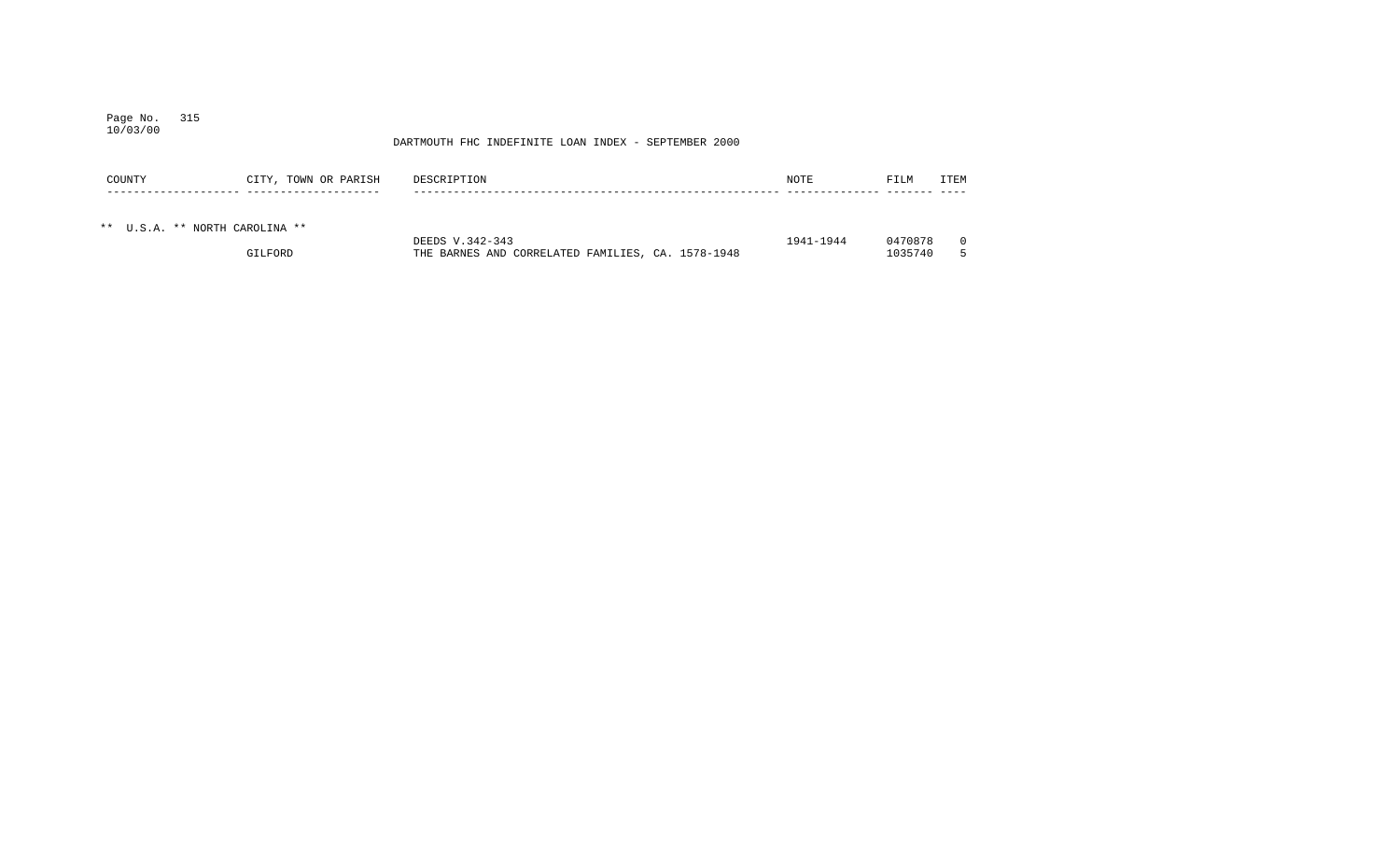### Page No. 315 10/03/00

| COUNTY                         | CITY, TOWN OR PARISH | DESCRIPTION                                       | NOTE      | FILM    | ITEM |
|--------------------------------|----------------------|---------------------------------------------------|-----------|---------|------|
| ** U.S.A. ** NORTH CAROLINA ** |                      | DEEDS V.342-343                                   | 1941-1944 | 0470878 |      |
|                                | GILFORD              | THE BARNES AND CORRELATED FAMILIES, CA. 1578-1948 |           | 1035740 |      |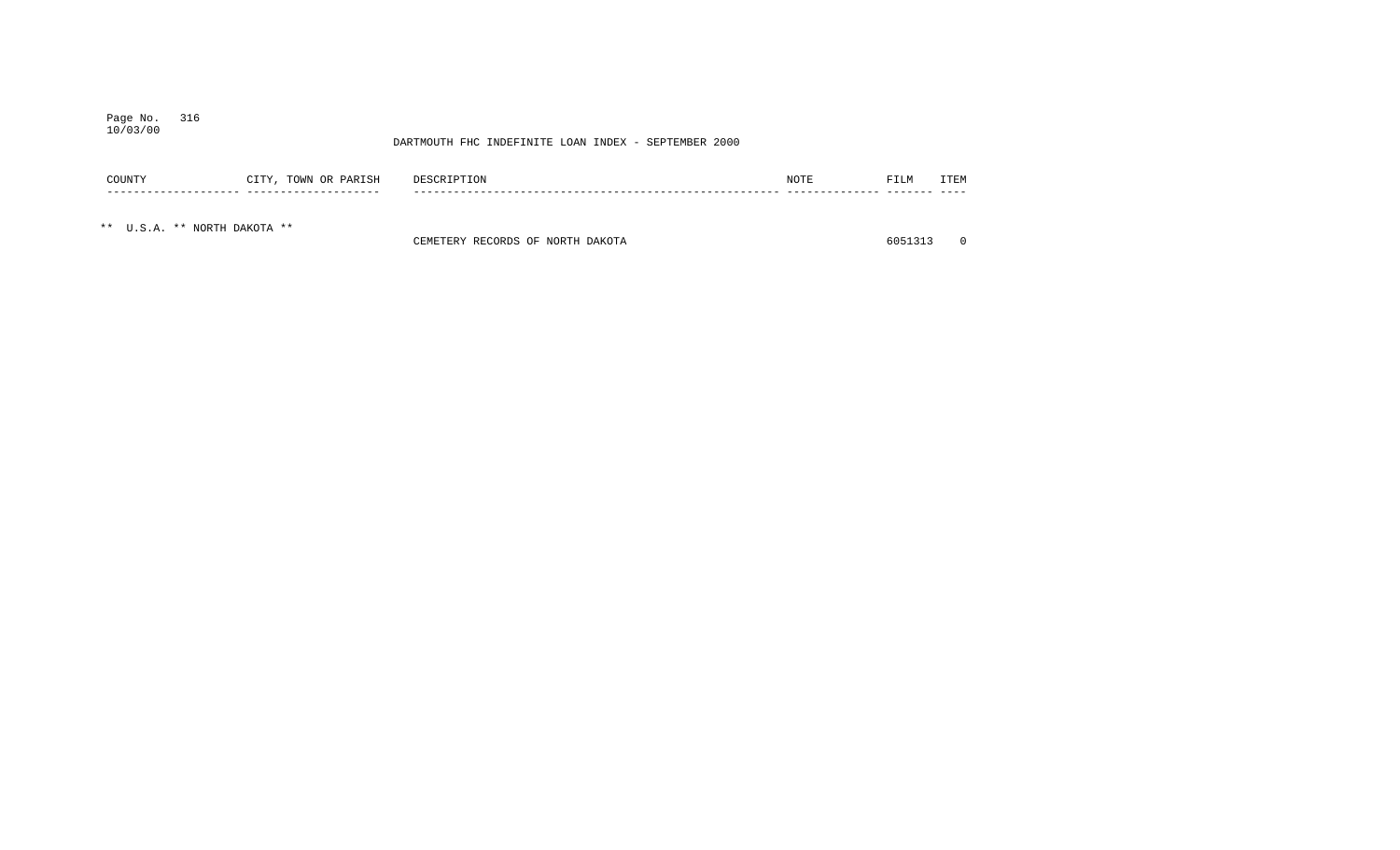### Page No. 316 10/03/00

## DARTMOUTH FHC INDEFINITE LOAN INDEX - SEPTEMBER 2000

| COUNTY                       | CITY, TOWN OR PARISH | DESCRIPTION | NOTE | FILM | ITEM |
|------------------------------|----------------------|-------------|------|------|------|
|                              |                      |             |      |      |      |
| ** U.S.A. ** NORTH DAKOTA ** |                      |             |      |      |      |

CEMETERY RECORDS OF NORTH DAKOTA 6051313 0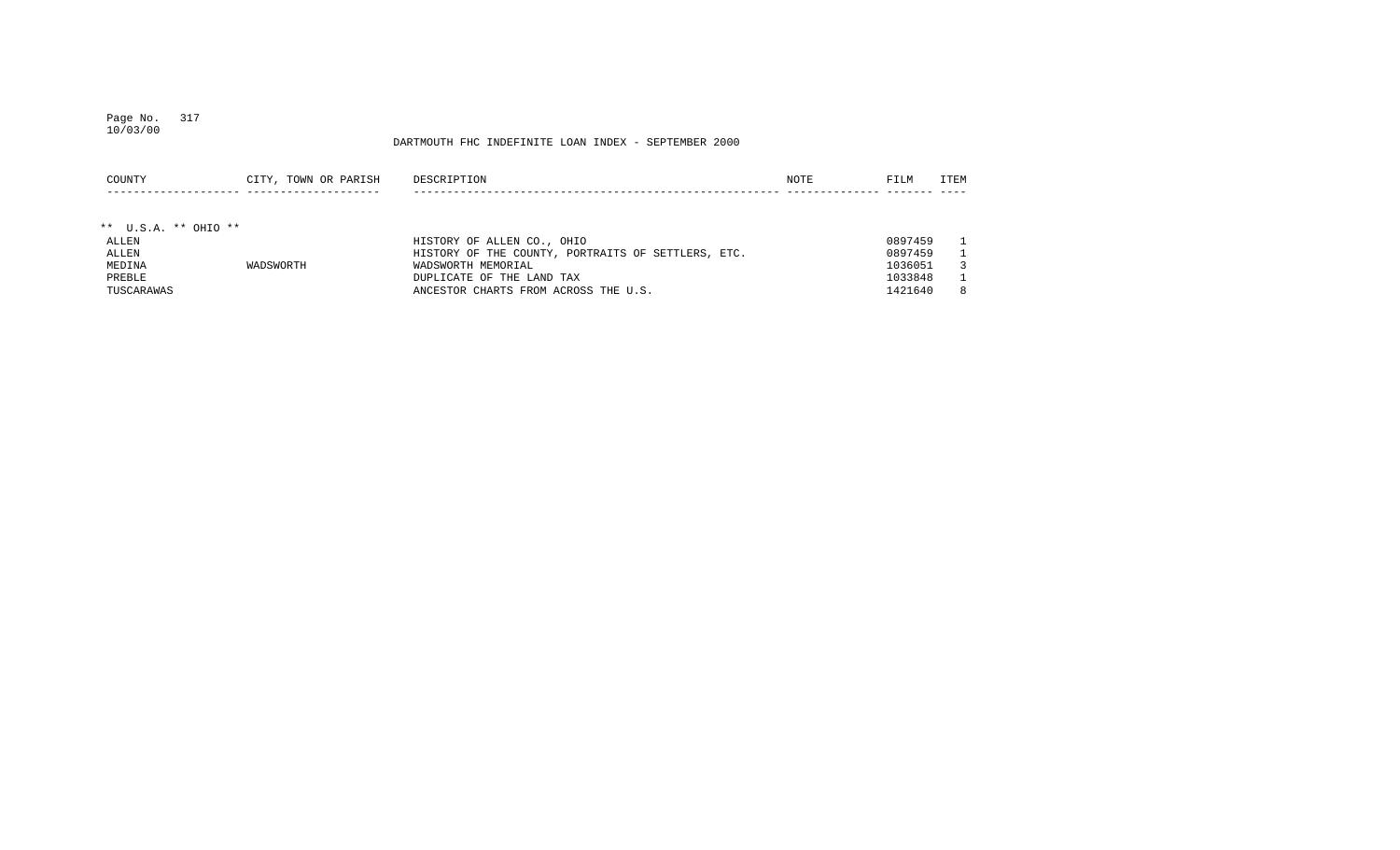#### Page No. 317 10/03/00

| COUNTY                 | CITY, TOWN OR PARISH | DESCRIPTION                                        | NOTE | FILM    | ITEM          |
|------------------------|----------------------|----------------------------------------------------|------|---------|---------------|
|                        |                      |                                                    |      |         |               |
| ** $U.S.A.$ ** OHIO ** |                      |                                                    |      |         |               |
| ALLEN                  |                      | HISTORY OF ALLEN CO., OHIO                         |      | 0897459 | $\mathbf{1}$  |
| ALLEN                  |                      | HISTORY OF THE COUNTY, PORTRAITS OF SETTLERS, ETC. |      | 0897459 |               |
| MEDINA                 | WADSWORTH            | WADSWORTH MEMORIAL                                 |      | 1036051 | $\mathcal{R}$ |
| PREBLE                 |                      | DUPLICATE OF THE LAND TAX                          |      | 1033848 | $\mathbf{1}$  |
| TUSCARAWAS             |                      | ANCESTOR CHARTS FROM ACROSS THE U.S.               |      | 1421640 | 8             |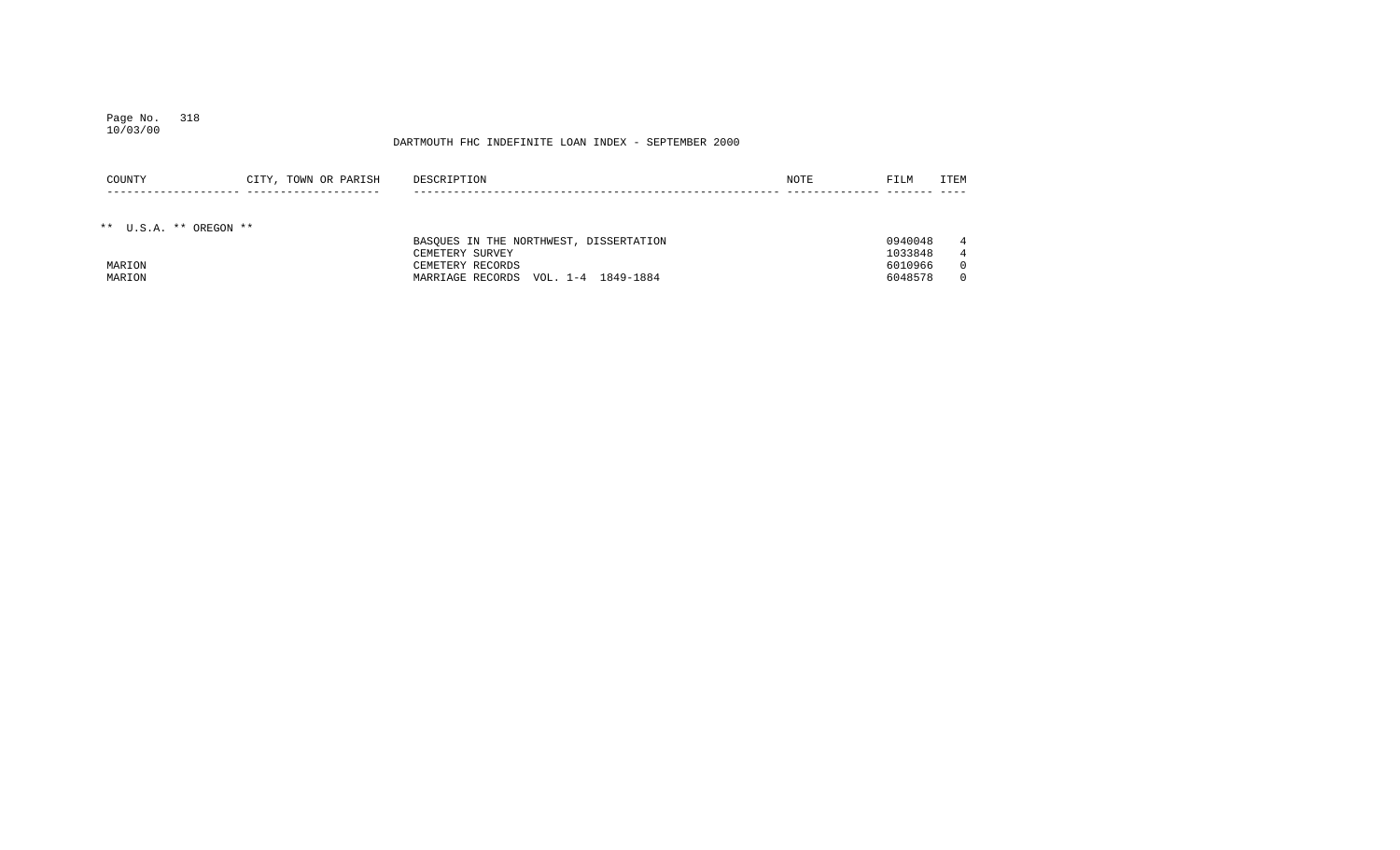## Page No. 318 10/03/00

| COUNTY                 | CITY, TOWN OR PARISH | DESCRIPTION                            | NOTE | FILM    | <b>ITEM</b> |
|------------------------|----------------------|----------------------------------------|------|---------|-------------|
|                        |                      |                                        |      |         |             |
|                        |                      |                                        |      |         |             |
| ** U.S.A. ** OREGON ** |                      |                                        |      |         |             |
|                        |                      | BASOUES IN THE NORTHWEST, DISSERTATION |      | 0940048 | 4           |
|                        |                      | CEMETERY SURVEY                        |      | 1033848 | 4           |
| MARION                 |                      | CEMETERY RECORDS                       |      | 6010966 |             |
| MARION                 |                      | VOL. 1-4 1849-1884<br>MARRIAGE RECORDS |      | 6048578 |             |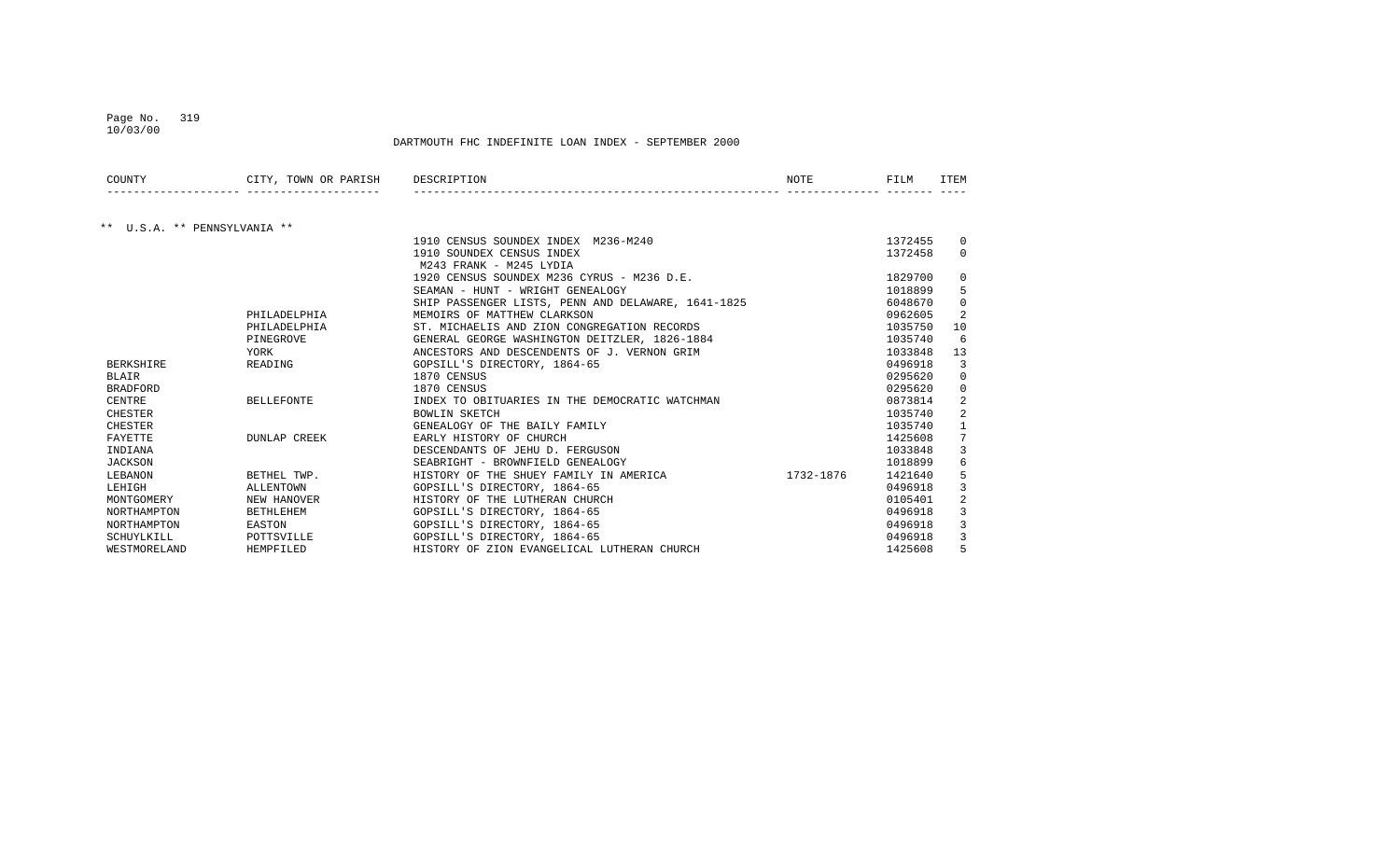## Page No. 319

DARTMOUTH FHC INDEFINITE LOAN INDEX - SEPTEMBER 2000

| COUNTY                       | CITY, TOWN OR PARISH | DESCRIPTION                                        | NOTE      | FILM    | ITEM     |
|------------------------------|----------------------|----------------------------------------------------|-----------|---------|----------|
|                              |                      |                                                    |           |         |          |
| ** U.S.A. ** PENNSYLVANIA ** |                      |                                                    |           |         |          |
|                              |                      | 1910 CENSUS SOUNDEX INDEX M236-M240                |           | 1372455 | $\Omega$ |
|                              |                      | 1910 SOUNDEX CENSUS INDEX                          |           | 1372458 | $\Omega$ |
|                              |                      | M243 FRANK - M245 LYDIA                            |           |         |          |
|                              |                      | 1920 CENSUS SOUNDEX M236 CYRUS - M236 D.E.         |           | 1829700 | $\Omega$ |
|                              |                      | SEAMAN - HUNT - WRIGHT GENEALOGY                   |           | 1018899 | 5        |
|                              |                      | SHIP PASSENGER LISTS, PENN AND DELAWARE, 1641-1825 |           | 6048670 | $\Omega$ |
|                              | PHILADELPHIA         | MEMOIRS OF MATTHEW CLARKSON                        |           | 0962605 | 2        |
|                              | PHILADELPHIA         | ST. MICHAELIS AND ZION CONGREGATION RECORDS        |           | 1035750 | 10       |
|                              | PINEGROVE            | GENERAL GEORGE WASHINGTON DEITZLER, 1826-1884      |           | 1035740 | 6        |
|                              | YORK                 | ANCESTORS AND DESCENDENTS OF J. VERNON GRIM        |           | 1033848 | 13       |
| <b>BERKSHIRE</b>             | READING              | GOPSILL'S DIRECTORY, 1864-65                       |           | 0496918 | 3        |
| <b>BLAIR</b>                 |                      | 1870 CENSUS                                        |           | 0295620 | $\Omega$ |
| <b>BRADFORD</b>              |                      | 1870 CENSUS                                        |           | 0295620 | $\Omega$ |
| CENTRE                       | <b>BELLEFONTE</b>    | INDEX TO OBITUARIES IN THE DEMOCRATIC WATCHMAN     |           | 0873814 | 2        |
| <b>CHESTER</b>               |                      | <b>BOWLIN SKETCH</b>                               |           | 1035740 |          |
| CHESTER                      |                      | GENEALOGY OF THE BAILY FAMILY                      |           | 1035740 |          |
| FAYETTE                      | DUNLAP CREEK         | EARLY HISTORY OF CHURCH                            |           | 1425608 |          |
| INDIANA                      |                      | DESCENDANTS OF JEHU D. FERGUSON                    |           | 1033848 | 3        |
| <b>JACKSON</b>               |                      | SEABRIGHT - BROWNFIELD GENEALOGY                   |           | 1018899 |          |
| LEBANON                      | BETHEL TWP.          | HISTORY OF THE SHUEY FAMILY IN AMERICA             | 1732-1876 | 1421640 |          |
| LEHIGH                       | ALLENTOWN            | GOPSILL'S DIRECTORY, 1864-65                       |           | 0496918 | 3        |
| MONTGOMERY                   | NEW HANOVER          | HISTORY OF THE LUTHERAN CHURCH                     |           | 0105401 | 2        |
| NORTHAMPTON                  | <b>BETHLEHEM</b>     | GOPSILL'S DIRECTORY, 1864-65                       |           | 0496918 | 3        |
| NORTHAMPTON                  | EASTON               | GOPSILL'S DIRECTORY, 1864-65                       |           | 0496918 |          |
| SCHUYLKILL                   | POTTSVILLE           | GOPSILL'S DIRECTORY, 1864-65                       |           | 0496918 |          |
| WESTMORELAND                 | HEMPFILED            | HISTORY OF ZION EVANGELICAL LUTHERAN CHURCH        |           | 1425608 | 5        |

10/03/00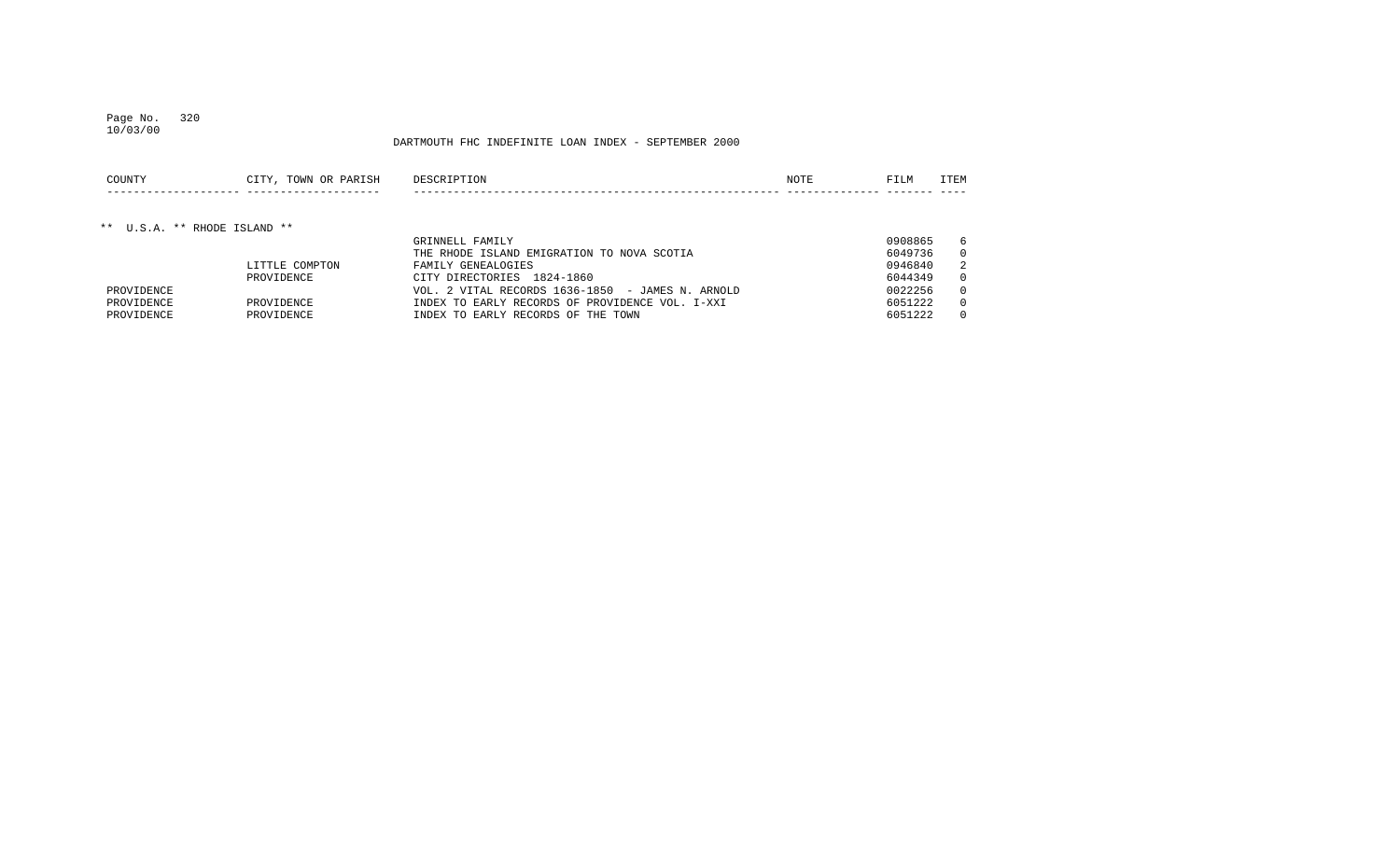## Page No. 320 10/03/00

### DARTMOUTH FHC INDEFINITE LOAN INDEX - SEPTEMBER 2000

| COUNTY                 | TOWN<br>ז דוד ד<br>$\cap$<br>OR.<br>PARIS. | DE. | NOTE | ----<br>$+1$ | <b>FMM</b> |
|------------------------|--------------------------------------------|-----|------|--------------|------------|
| ______________________ | ______________________                     |     |      |              | ____       |

## \*\* U.S.A. \*\* RHODE ISLAND \*\*

|            |                | GRINNELL FAMILY                                  | 0908865 | - 6            |
|------------|----------------|--------------------------------------------------|---------|----------------|
|            |                | THE RHODE ISLAND EMIGRATION TO NOVA SCOTIA       | 6049736 | $\Omega$       |
|            | LITTLE COMPTON | FAMILY GENEALOGIES                               | 0946840 | $\overline{2}$ |
|            | PROVIDENCE     | CITY DIRECTORIES 1824-1860                       | 6044349 | $\Omega$       |
| PROVIDENCE |                | VOL. 2 VITAL RECORDS 1636-1850 - JAMES N. ARNOLD | 0022256 | $\Omega$       |
| PROVIDENCE | PROVIDENCE     | INDEX TO EARLY RECORDS OF PROVIDENCE VOL. I-XXI  | 6051222 | $\Omega$       |
| PROVIDENCE | PROVIDENCE     | INDEX TO EARLY RECORDS OF THE TOWN               | 6051222 | $\Omega$       |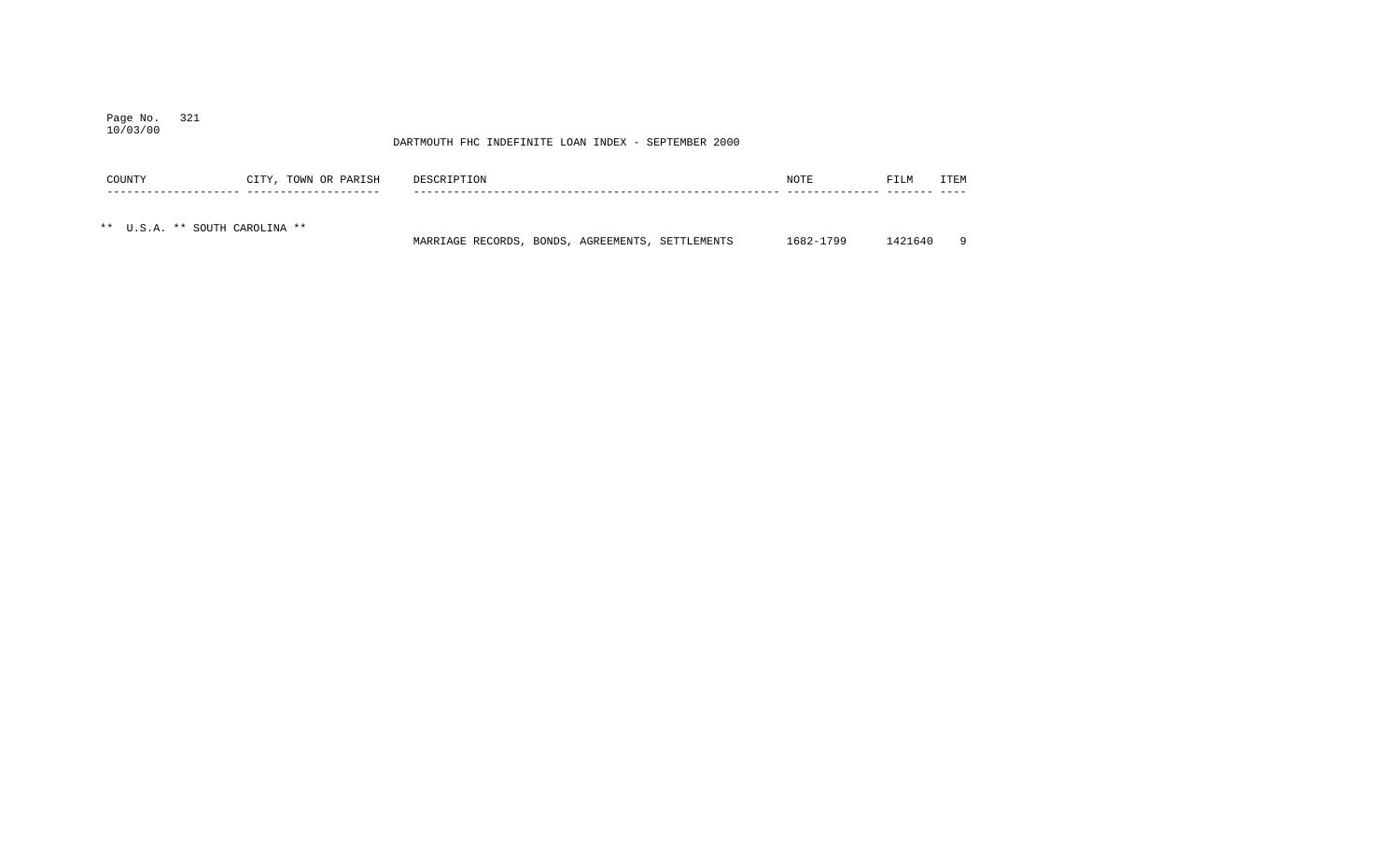#### Page No. 321 10/03/00

| COUNTY                         | CITY, TOWN OR PARISH | DESCRIPTION                                      |  | NOTE      | FILM    | ITEM     |
|--------------------------------|----------------------|--------------------------------------------------|--|-----------|---------|----------|
|                                |                      |                                                  |  |           |         |          |
| ** U.S.A. ** SOUTH CAROLINA ** |                      | MARRIAGE RECORDS, BONDS, AGREEMENTS, SETTLEMENTS |  | 1682-1799 | 1421640 | $\alpha$ |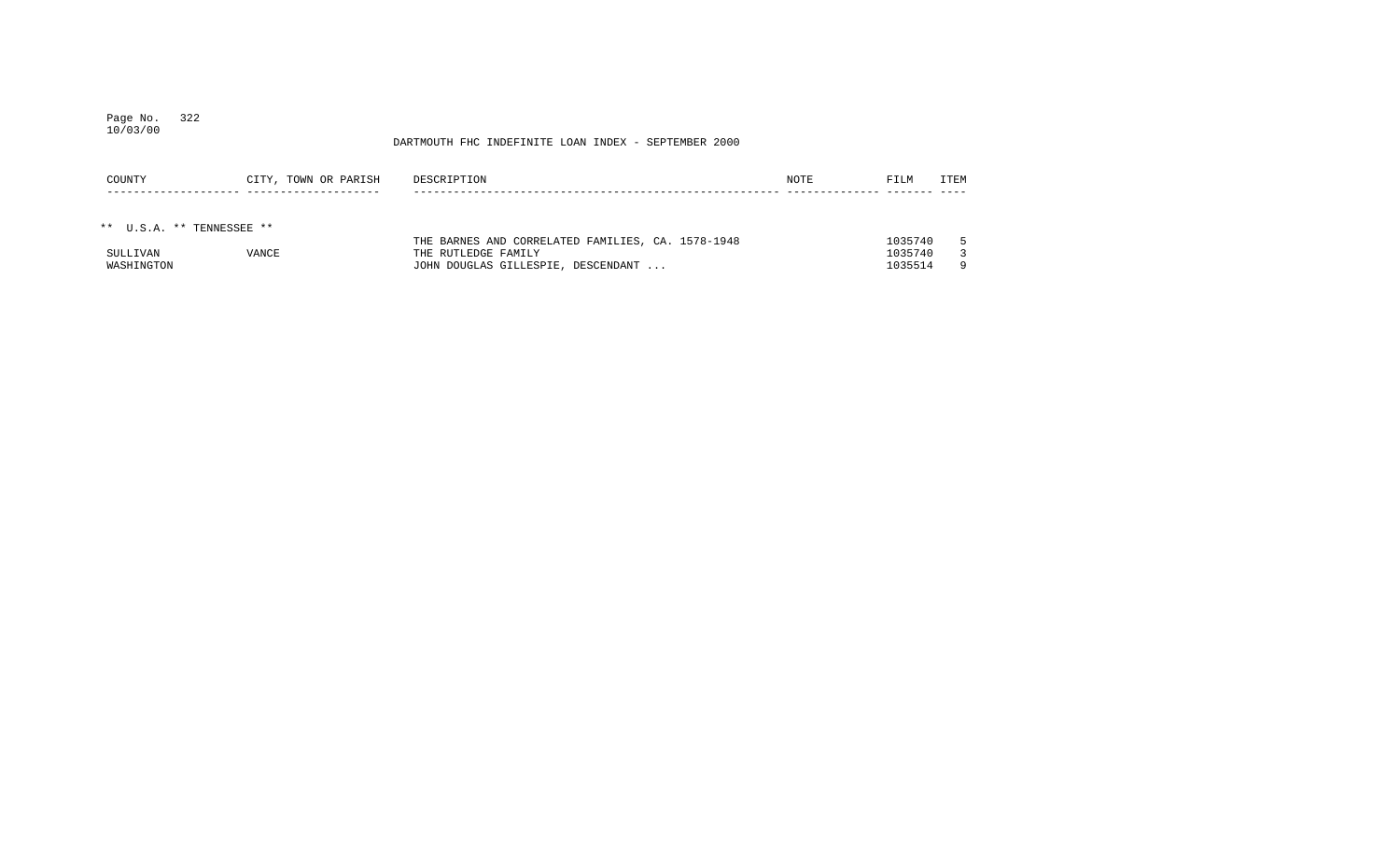## Page No. 322 10/03/00

| COUNTY                    | CITY, TOWN OR PARISH | DESCRIPTION                                       | NOTE | FILM    | ITEM |
|---------------------------|----------------------|---------------------------------------------------|------|---------|------|
|                           |                      |                                                   |      |         |      |
|                           |                      |                                                   |      |         |      |
| ** U.S.A. ** TENNESSEE ** |                      |                                                   |      |         |      |
|                           |                      | THE BARNES AND CORRELATED FAMILIES, CA. 1578-1948 |      | 1035740 | 5.   |
| SULLIVAN                  | <b>VANCE</b>         | THE RUTLEDGE FAMILY                               |      | 1035740 |      |
| WASHINGTON                |                      | JOHN DOUGLAS GILLESPIE, DESCENDANT                |      | 1035514 | -9   |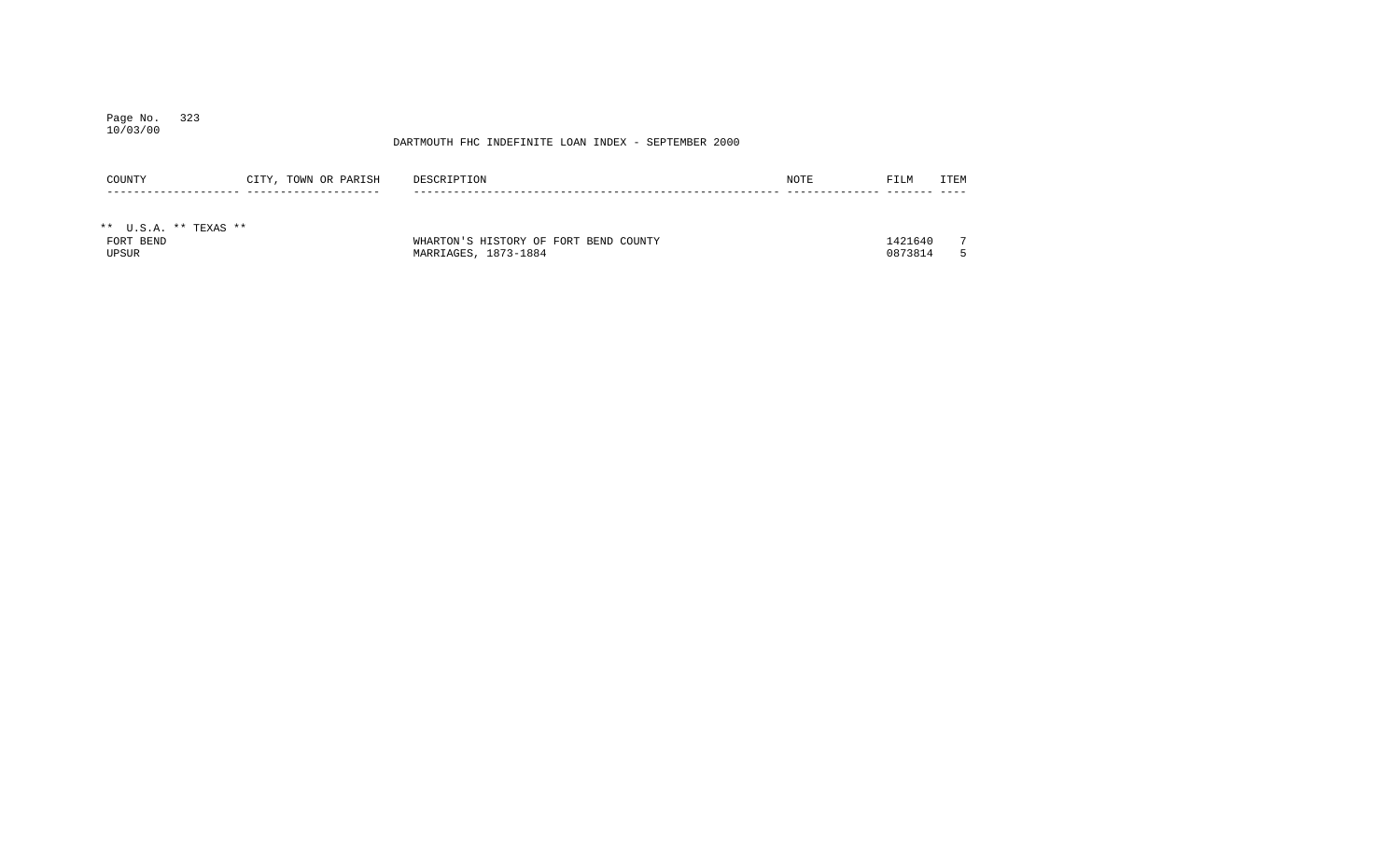## Page No. 323 10/03/00

| COUNTY                | CITY, TOWN OR PARISH | DESCRIPTION                           | NOTE | FILM    | <b>ITEM</b>    |
|-----------------------|----------------------|---------------------------------------|------|---------|----------------|
|                       |                      |                                       |      |         |                |
| ** U.S.A. ** TEXAS ** |                      |                                       |      |         |                |
| FORT BEND             |                      | WHARTON'S HISTORY OF FORT BEND COUNTY |      | 1421640 | $\overline{ }$ |
| UPSUR                 |                      | MARRIAGES, 1873-1884                  |      | 0873814 |                |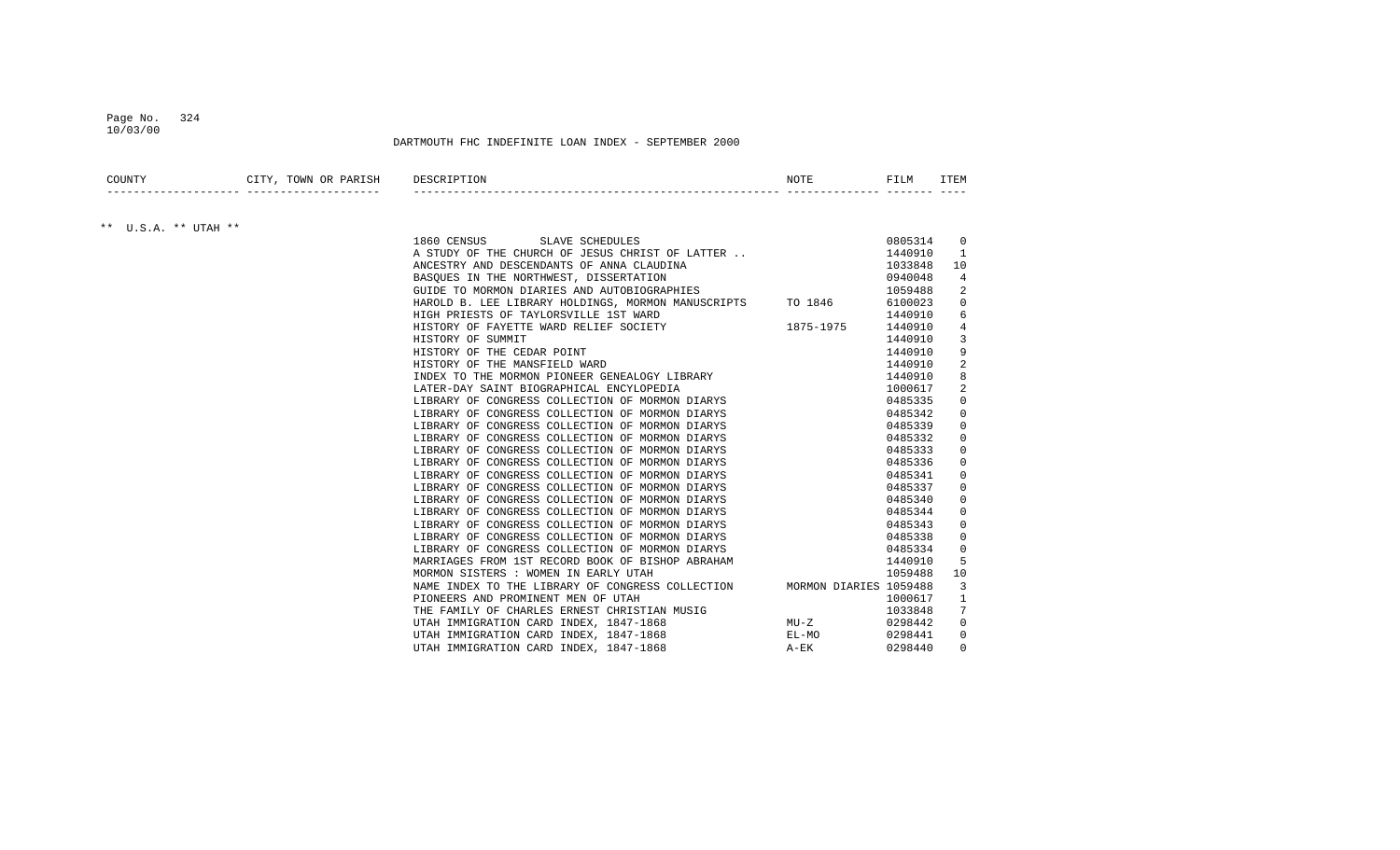#### Page No. 324 10/03/00

## DARTMOUTH FHC INDEFINITE LOAN INDEX - SEPTEMBER 2000

| COUNTY | TOWN<br>7.7<br>$\sim$<br>UK<br>PARISI. | DE.S | NOTF | ----<br>$+11$ |      |
|--------|----------------------------------------|------|------|---------------|------|
|        |                                        |      |      |               | ____ |

## \*\* U.S.A. \*\* UTAH \*\*

| SLAVE SCHEDULES<br>1860 CENSUS                                             | 0805314 | 0           |
|----------------------------------------------------------------------------|---------|-------------|
| A STUDY OF THE CHURCH OF JESUS CHRIST OF LATTER                            | 1440910 |             |
| ANCESTRY AND DESCENDANTS OF ANNA CLAUDINA                                  | 1033848 | 10          |
| BASOUES IN THE NORTHWEST, DISSERTATION                                     | 0940048 | 4           |
| GUIDE TO MORMON DIARIES AND AUTOBIOGRAPHIES                                | 1059488 | 2           |
| HAROLD B. LEE LIBRARY HOLDINGS, MORMON MANUSCRIPTS TO 1846                 | 6100023 | $\Omega$    |
| HIGH PRIESTS OF TAYLORSVILLE 1ST WARD                                      | 1440910 | 6           |
| 1875-1975<br>HISTORY OF FAYETTE WARD RELIEF SOCIETY                        | 1440910 | 4           |
| HISTORY OF SUMMIT                                                          | 1440910 | 3           |
| HISTORY OF THE CEDAR POINT                                                 | 1440910 | 9           |
| HISTORY OF THE MANSFIELD WARD                                              | 1440910 | 2           |
| INDEX TO THE MORMON PIONEER GENEALOGY LIBRARY                              | 1440910 | 8           |
| LATER-DAY SAINT BIOGRAPHICAL ENCYLOPEDIA                                   | 1000617 | 2           |
| LIBRARY OF CONGRESS COLLECTION OF MORMON DIARYS                            | 0485335 | 0           |
| LIBRARY OF CONGRESS COLLECTION OF MORMON DIARYS                            | 0485342 | $\Omega$    |
| LIBRARY OF CONGRESS COLLECTION OF MORMON DIARYS                            | 0485339 | 0           |
| LIBRARY OF CONGRESS COLLECTION OF MORMON DIARYS                            | 0485332 | $\Omega$    |
| LIBRARY OF CONGRESS COLLECTION OF MORMON DIARYS                            | 0485333 | 0           |
| LIBRARY OF CONGRESS COLLECTION OF MORMON DIARYS                            | 0485336 | 0           |
| LIBRARY OF CONGRESS COLLECTION OF MORMON DIARYS                            | 0485341 | 0           |
| LIBRARY OF CONGRESS COLLECTION OF MORMON DIARYS                            | 0485337 | 0           |
| LIBRARY OF CONGRESS COLLECTION OF MORMON DIARYS                            | 0485340 | 0           |
| LIBRARY OF CONGRESS COLLECTION OF MORMON DIARYS                            | 0485344 | 0           |
| LIBRARY OF CONGRESS COLLECTION OF MORMON DIARYS                            | 0485343 | 0           |
| LIBRARY OF CONGRESS COLLECTION OF MORMON DIARYS                            | 0485338 | 0           |
| LIBRARY OF CONGRESS COLLECTION OF MORMON DIARYS                            | 0485334 | $\mathbf 0$ |
| MARRIAGES FROM 1ST RECORD BOOK OF BISHOP ABRAHAM                           | 1440910 | 5           |
| MORMON SISTERS : WOMEN IN EARLY UTAH                                       | 1059488 | 10          |
| MORMON DIARIES 1059488<br>NAME INDEX TO THE LIBRARY OF CONGRESS COLLECTION |         | 3           |
| PIONEERS AND PROMINENT MEN OF UTAH                                         | 1000617 |             |
| THE FAMILY OF CHARLES ERNEST CHRISTIAN MUSIG                               | 1033848 |             |
| UTAH IMMIGRATION CARD INDEX, 1847-1868<br>MU-Z                             | 0298442 | $\mathbf 0$ |
| UTAH IMMIGRATION CARD INDEX, 1847-1868<br>EL-MO                            | 0298441 | 0           |
| UTAH IMMIGRATION CARD INDEX, 1847-1868<br>A-EK                             | 0298440 | $\Omega$    |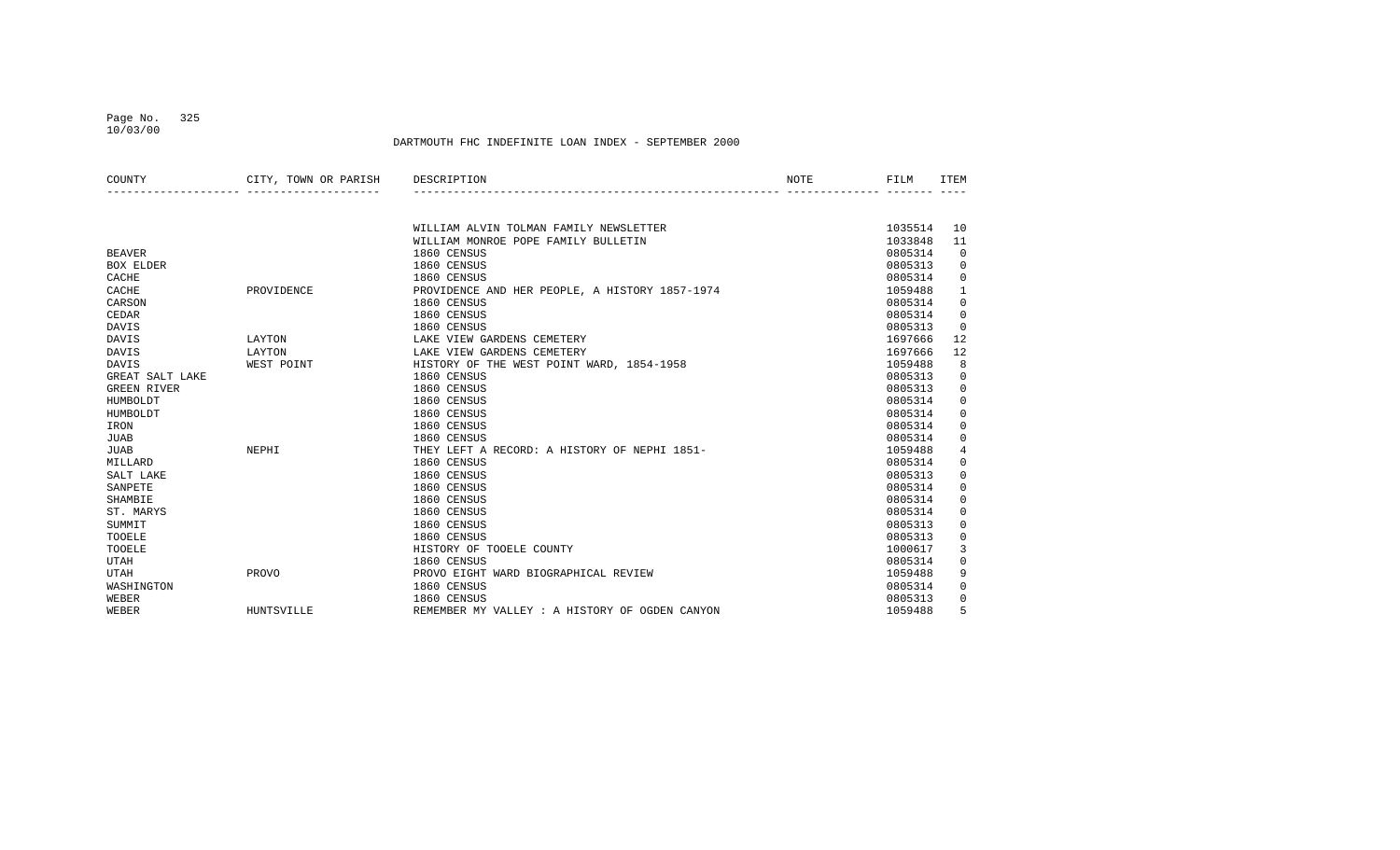# Page No. 325

10/03/00

| COUNTY             | CITY, TOWN OR PARISH | DESCRIPTION                                    | NOTE | FILM    | ITEM         |
|--------------------|----------------------|------------------------------------------------|------|---------|--------------|
|                    |                      |                                                |      |         |              |
|                    |                      | WILLIAM ALVIN TOLMAN FAMILY NEWSLETTER         |      | 1035514 | 10           |
|                    |                      | WILLIAM MONROE POPE FAMILY BULLETIN            |      | 1033848 | 11           |
| <b>BEAVER</b>      |                      | 1860 CENSUS                                    |      | 0805314 | 0            |
| <b>BOX ELDER</b>   |                      | 1860 CENSUS                                    |      | 0805313 | 0            |
| CACHE              |                      | 1860 CENSUS                                    |      | 0805314 | 0            |
| CACHE              | PROVIDENCE           | PROVIDENCE AND HER PEOPLE, A HISTORY 1857-1974 |      | 1059488 | $\mathbf{1}$ |
| CARSON             |                      | 1860 CENSUS                                    |      | 0805314 | 0            |
| <b>CEDAR</b>       |                      | 1860 CENSUS                                    |      | 0805314 | $\mathbf 0$  |
| DAVIS              |                      | 1860 CENSUS                                    |      | 0805313 | $\Omega$     |
| <b>DAVIS</b>       | LAYTON               | LAKE VIEW GARDENS CEMETERY                     |      | 1697666 | 12           |
| DAVIS              | LAYTON               | LAKE VIEW GARDENS CEMETERY                     |      | 1697666 | 12           |
| DAVIS              | WEST POINT           | HISTORY OF THE WEST POINT WARD, 1854-1958      |      | 1059488 | 8            |
| GREAT SALT LAKE    |                      | 1860 CENSUS                                    |      | 0805313 | 0            |
| <b>GREEN RIVER</b> |                      | 1860 CENSUS                                    |      | 0805313 | 0            |
| HUMBOLDT           |                      | 1860 CENSUS                                    |      | 0805314 | 0            |
| HUMBOLDT           |                      | 1860 CENSUS                                    |      | 0805314 | 0            |
| IRON               |                      | 1860 CENSUS                                    |      | 0805314 | 0            |
| <b>JUAB</b>        |                      | 1860 CENSUS                                    |      | 0805314 | $\mathbf 0$  |
| <b>JUAB</b>        | NEPHI                | THEY LEFT A RECORD: A HISTORY OF NEPHI 1851-   |      | 1059488 | 4            |
| MILLARD            |                      | 1860 CENSUS                                    |      | 0805314 | $\mathbf 0$  |
| SALT LAKE          |                      | 1860 CENSUS                                    |      | 0805313 | $\mathbf 0$  |
| SANPETE            |                      | 1860 CENSUS                                    |      | 0805314 | $\mathbf 0$  |
| SHAMBIE            |                      | 1860 CENSUS                                    |      | 0805314 | 0            |
| ST. MARYS          |                      | 1860 CENSUS                                    |      | 0805314 | $\mathbf 0$  |
| SUMMIT             |                      | 1860 CENSUS                                    |      | 0805313 | $\mathbf 0$  |
| TOOELE             |                      | 1860 CENSUS                                    |      | 0805313 | $\mathbf 0$  |
| TOOELE             |                      | HISTORY OF TOOELE COUNTY                       |      | 1000617 | 3            |
| <b>UTAH</b>        |                      | 1860 CENSUS                                    |      | 0805314 | 0            |
| <b>UTAH</b>        | PROVO                | PROVO EIGHT WARD BIOGRAPHICAL REVIEW           |      | 1059488 | 9            |
| WASHINGTON         |                      | 1860 CENSUS                                    |      | 0805314 | 0            |
| WEBER              |                      | 1860 CENSUS                                    |      | 0805313 | 0            |
| WEBER              | HUNTSVILLE           | REMEMBER MY VALLEY : A HISTORY OF OGDEN CANYON |      | 1059488 | 5            |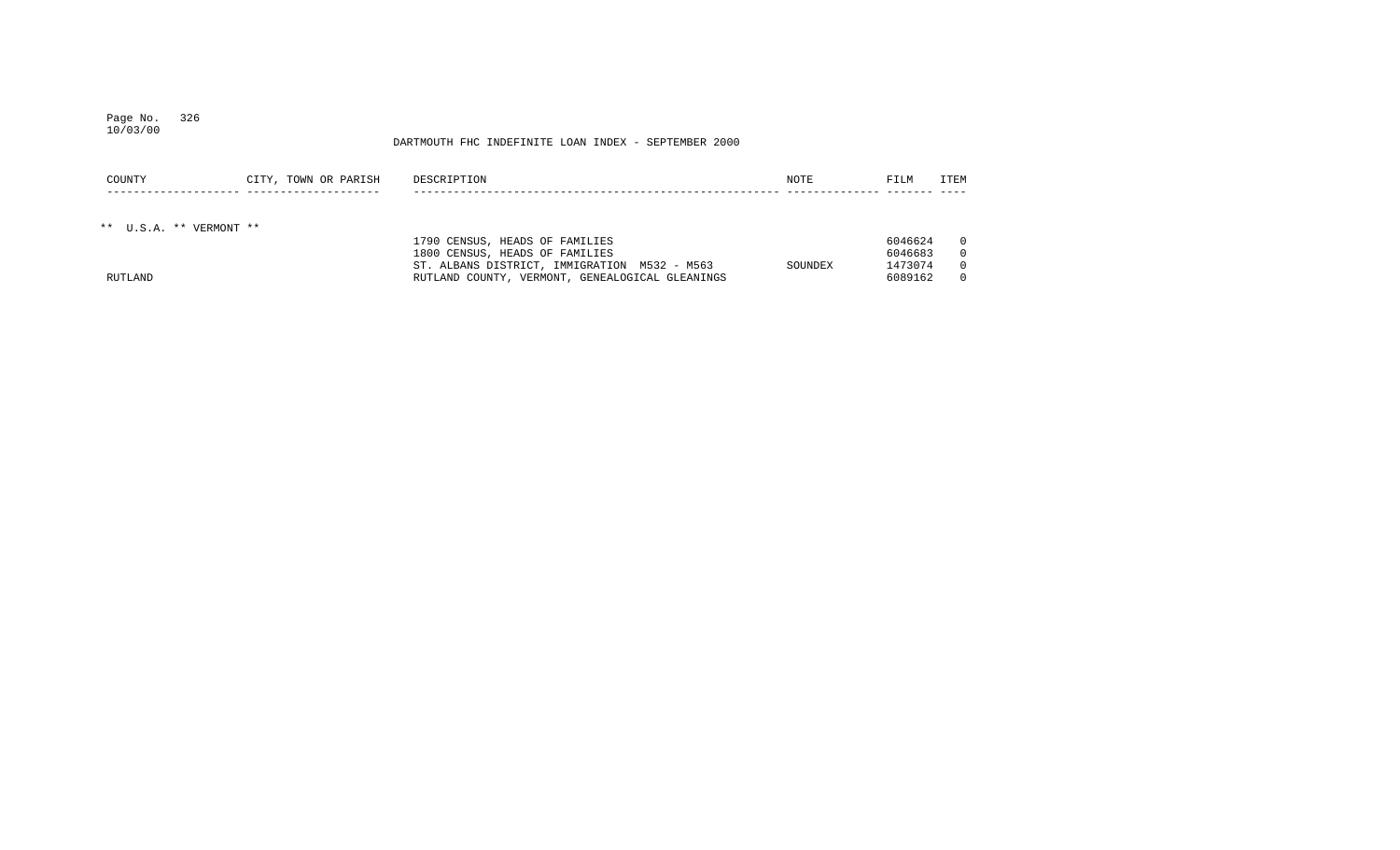#### Page No. 326 10/03/00

| COUNTY                  | CITY, TOWN OR PARISH | DESCRIPTION                                     | NOTE    | FILM    | ITEM     |
|-------------------------|----------------------|-------------------------------------------------|---------|---------|----------|
|                         |                      |                                                 |         |         |          |
|                         |                      |                                                 |         |         |          |
| ** U.S.A. ** VERMONT ** |                      |                                                 |         |         |          |
|                         |                      | 1790 CENSUS, HEADS OF FAMILIES                  |         | 6046624 | $\Omega$ |
|                         |                      | 1800 CENSUS, HEADS OF FAMILIES                  |         | 6046683 | $\Omega$ |
|                         |                      | ST. ALBANS DISTRICT, IMMIGRATION M532 - M563    | SOUNDEX | 1473074 | $\Omega$ |
| RUTLAND                 |                      | RUTLAND COUNTY, VERMONT, GENEALOGICAL GLEANINGS |         | 6089162 | $\Omega$ |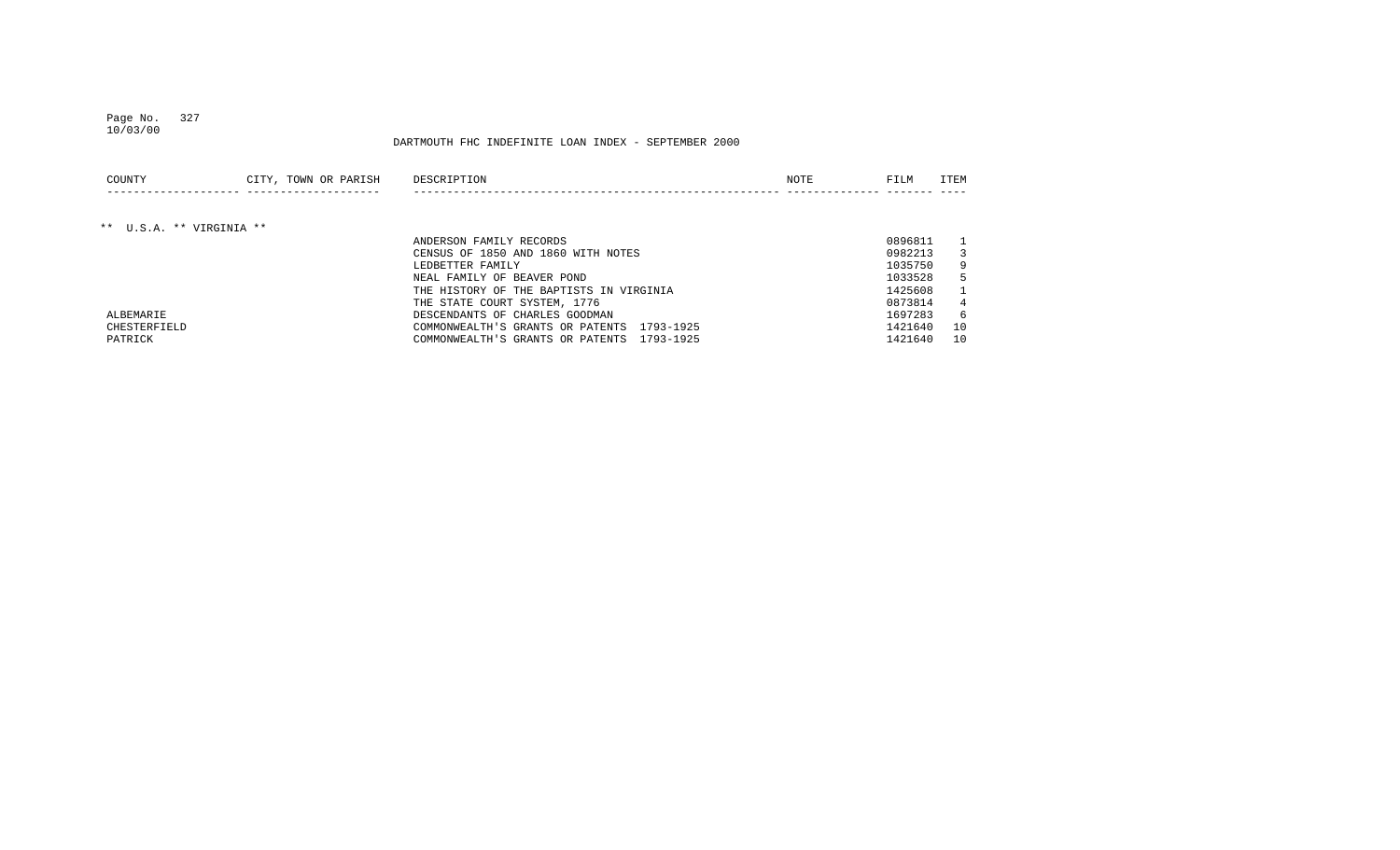## Page No. 327 10/03/00

| COUNTY                   | CITY, TOWN OR PARISH | DESCRIPTION                                   | NOTE | FILM    | ITEM |
|--------------------------|----------------------|-----------------------------------------------|------|---------|------|
|                          |                      |                                               |      |         |      |
| ** U.S.A. ** VIRGINIA ** |                      |                                               |      |         |      |
|                          |                      | ANDERSON FAMILY RECORDS                       |      | 0896811 |      |
|                          |                      | CENSUS OF 1850 AND 1860 WITH NOTES            |      | 0982213 |      |
|                          |                      | LEDBETTER FAMILY                              |      | 1035750 | 9    |
|                          |                      | NEAL FAMILY OF BEAVER POND                    |      | 1033528 | 5    |
|                          |                      | THE HISTORY OF THE BAPTISTS IN VIRGINIA       |      | 1425608 |      |
|                          |                      | THE STATE COURT SYSTEM, 1776                  |      | 0873814 |      |
| ALBEMARIE                |                      | DESCENDANTS OF CHARLES GOODMAN                |      | 1697283 | 6    |
| CHESTERFIELD             |                      | 1793-1925<br>COMMONWEALTH'S GRANTS OR PATENTS |      | 1421640 | 10   |
| PATRICK                  |                      | 1793-1925<br>COMMONWEALTH'S GRANTS OR PATENTS |      | 1421640 | 10   |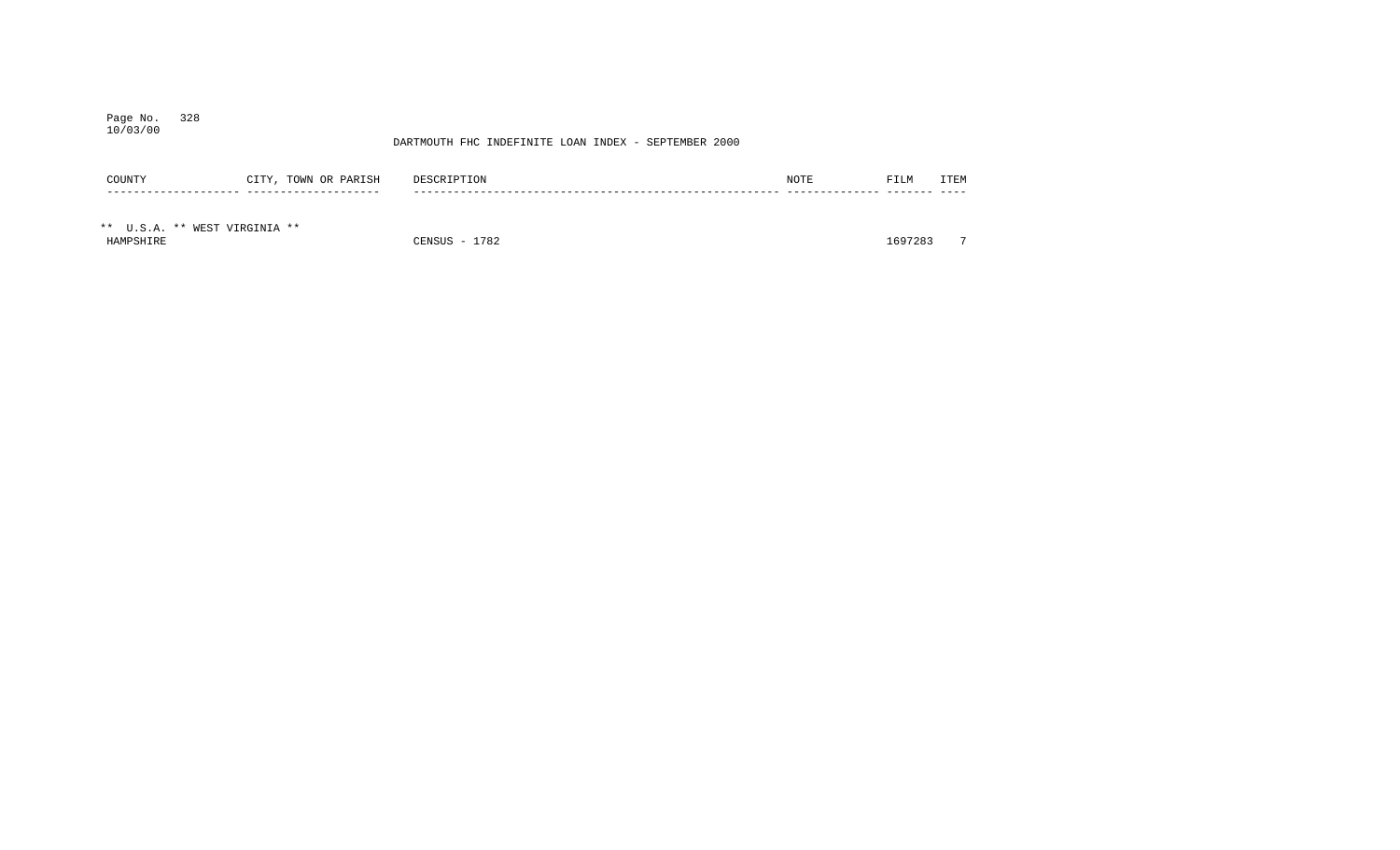## Page No. 328 10/03/00

| COUNTY                        | CITY, TOWN OR PARISH | DESCRIPTION   | NOTE | FILM    | ITEM           |
|-------------------------------|----------------------|---------------|------|---------|----------------|
|                               |                      |               |      |         |                |
| ** U.S.A. ** WEST VIRGINIA ** |                      |               |      |         |                |
| HAMPSHIRE                     |                      | CENSUS - 1782 |      | 1697283 | $\overline{ }$ |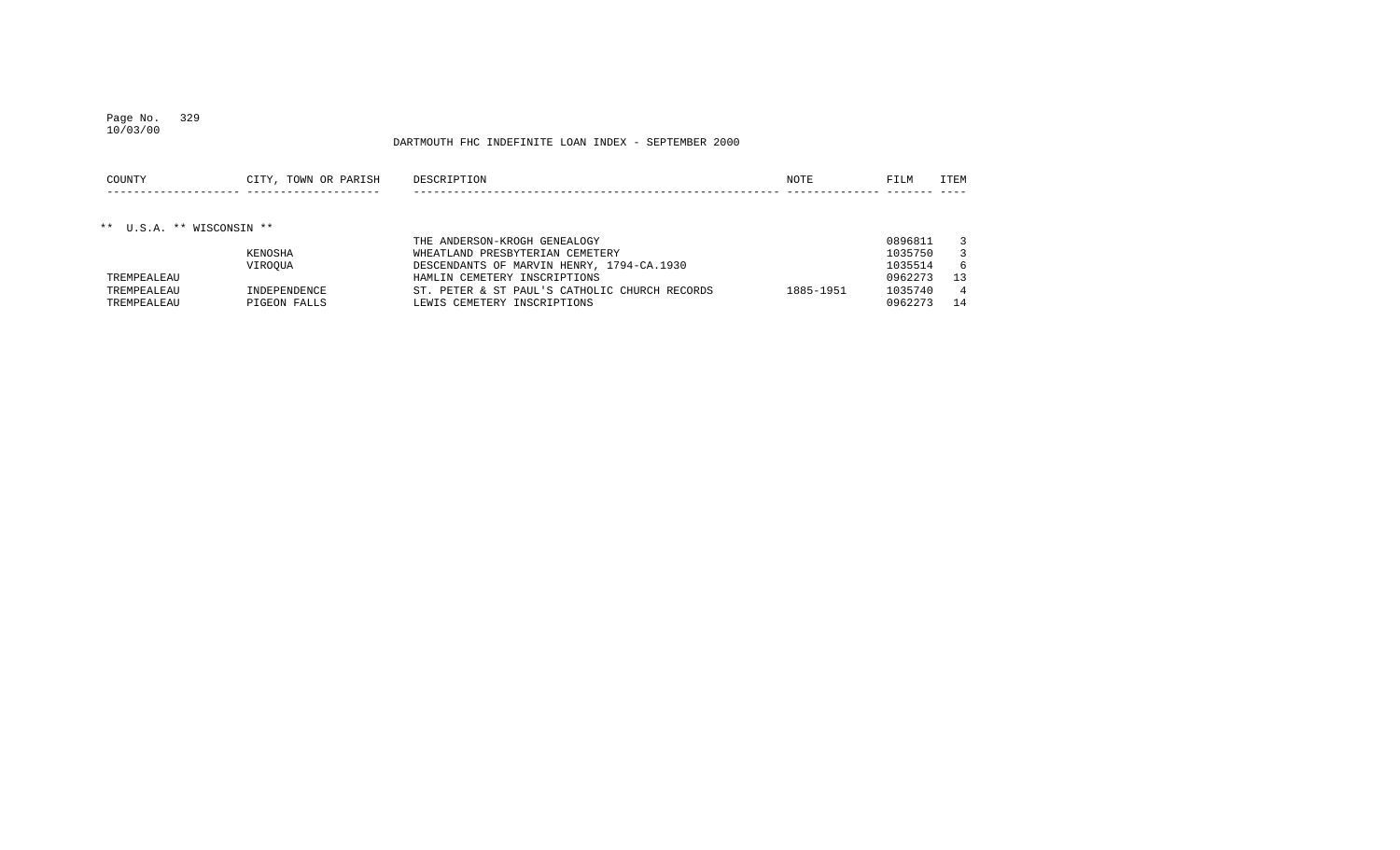## Page No. 329 10/03/00

| COUNTY                    | CITY, TOWN OR PARISH | DESCRIPTION                     | NOTE | FILM    | <b>TTEM</b> |
|---------------------------|----------------------|---------------------------------|------|---------|-------------|
|                           |                      |                                 |      |         |             |
| ** U.S.A. ** WISCONSIN ** |                      |                                 |      |         |             |
|                           |                      | THE ANDERSON-KROGH GENEALOGY    |      | 0896811 |             |
|                           | KENOSHA              | WHEATLAND PRESBYTERIAN CEMETERY |      | 1035750 |             |

| NENUSHA      | WALAILAND FRESBIILKIAN CLMLILKI | 1033730                                                                                    |    |
|--------------|---------------------------------|--------------------------------------------------------------------------------------------|----|
| VIROOUA      |                                 | 1035514                                                                                    |    |
|              | HAMLIN CEMETERY INSCRIPTIONS    | 0962273                                                                                    | 13 |
| INDEPENDENCE | 1885-1951                       | 1035740                                                                                    |    |
| PIGEON FALLS | LEWIS CEMETERY INSCRIPTIONS     | 0962273                                                                                    | 14 |
|              |                                 | DESCENDANTS OF MARVIN HENRY, 1794-CA.1930<br>ST. PETER & ST PAUL'S CATHOLIC CHURCH RECORDS |    |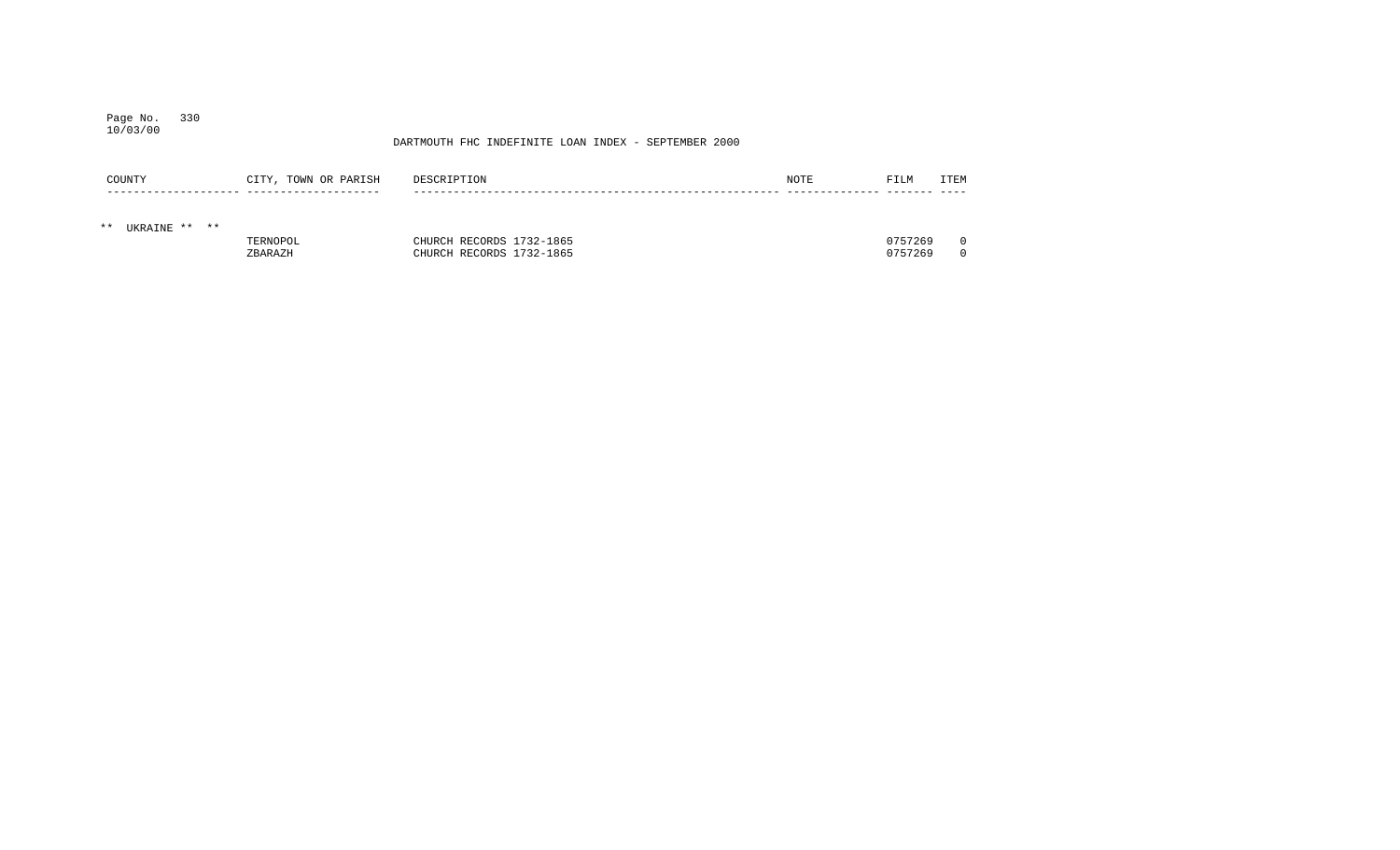## Page No. 330 10/03/00

| COUNTY                 | CITY, TOWN OR PARISH | DESCRIPTION              | NOTE | FILM    | <b>ITEM</b> |
|------------------------|----------------------|--------------------------|------|---------|-------------|
| $***$<br>UKRAINE ** ** |                      |                          |      |         |             |
|                        | TERNOPOL             | CHURCH RECORDS 1732-1865 |      | 0757269 |             |
|                        | ZBARAZH              | CHURCH RECORDS 1732-1865 |      | 0757269 |             |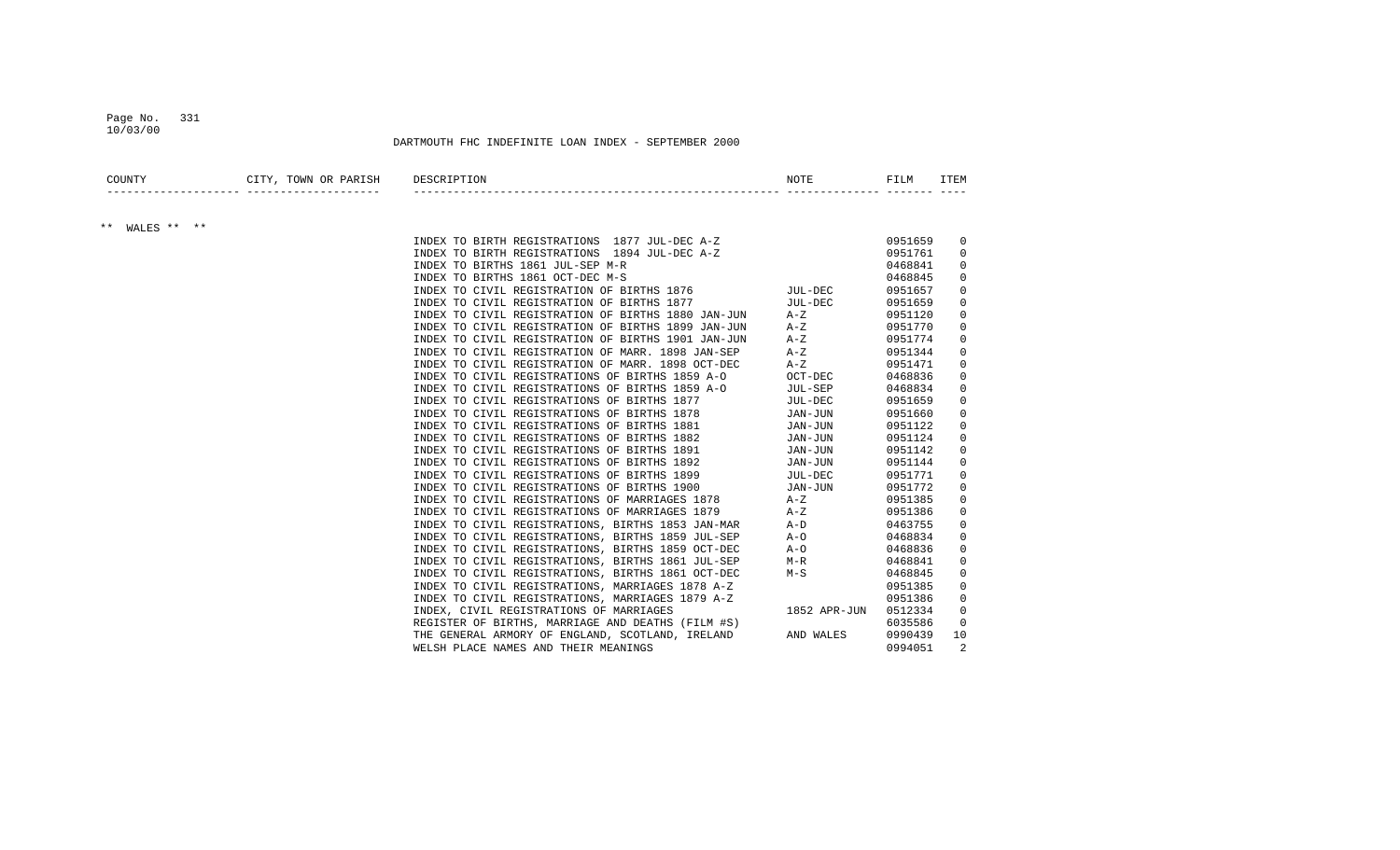#### Page No. 331 10/03/00

| COUNTY               | CITY, TOWN OR PARISH            | DESCRIPTION                                                                            | NOTE         | FILM    | ITEM        |
|----------------------|---------------------------------|----------------------------------------------------------------------------------------|--------------|---------|-------------|
|                      | --------- --------------------- |                                                                                        |              |         |             |
| WALES ** **<br>$***$ |                                 |                                                                                        |              |         |             |
|                      |                                 | INDEX TO BIRTH REGISTRATIONS 1877 JUL-DEC A-Z                                          |              | 0951659 | $\mathbf 0$ |
|                      |                                 | INDEX TO BIRTH REGISTRATIONS 1894 JUL-DEC A-Z<br>INDEX TO BIRTHS 1861 JUL-SEP M-R      |              | 0951761 | $\Omega$    |
|                      |                                 |                                                                                        |              | 0468841 | 0           |
|                      |                                 | INDEX TO BIRTHS 1861 OCT-DEC M-S                                                       |              | 0468845 | 0           |
|                      |                                 | INDEX TO BIRTHS 1861 OCT-DEC M-S<br>INDEX TO CIVIL REGISTRATION OF BIRTHS 1876 MUL-DEC |              | 0951657 | 0           |
|                      |                                 | INDEX TO CIVIL REGISTRATION OF BIRTHS 1877                                             | JUL-DEC      | 0951659 | 0           |
|                      |                                 | INDEX TO CIVIL REGISTRATION OF BIRTHS 1880 JAN-JUN                                     | $A - Z$      | 0951120 | 0           |
|                      |                                 | INDEX TO CIVIL REGISTRATION OF BIRTHS 1899 JAN-JUN                                     | $A-Z$        | 0951770 | 0           |
|                      |                                 | INDEX TO CIVIL REGISTRATION OF BIRTHS 1901 JAN-JUN                                     | $A - Z$      | 0951774 | 0           |
|                      |                                 | INDEX TO CIVIL REGISTRATION OF MARR. 1898 JAN-SEP                                      | $A - Z$      | 0951344 | $\Omega$    |
|                      |                                 | INDEX TO CIVIL REGISTRATION OF MARR. 1898 OCT-DEC                                      | $A-Z$        | 0951471 | $\mathbf 0$ |
|                      |                                 | INDEX TO CIVIL REGISTRATIONS OF BIRTHS 1859 A-O                                        | OCT-DEC      | 0468836 | 0           |
|                      |                                 | INDEX TO CIVIL REGISTRATIONS OF BIRTHS 1859 A-O                                        | JUL-SEP      | 0468834 | 0           |
|                      |                                 | INDEX TO CIVIL REGISTRATIONS OF BIRTHS 1877                                            | JUL-DEC      | 0951659 | 0           |
|                      |                                 | INDEX TO CIVIL REGISTRATIONS OF BIRTHS 1878                                            | JAN-JUN      | 0951660 | 0           |
|                      |                                 | INDEX TO CIVIL REGISTRATIONS OF BIRTHS 1881                                            | JAN-JUN      | 0951122 | 0           |
|                      |                                 | INDEX TO CIVIL REGISTRATIONS OF BIRTHS 1882                                            | JAN-JUN      | 0951124 | 0           |
|                      |                                 | INDEX TO CIVIL REGISTRATIONS OF BIRTHS 1891                                            | JAN-JUN      | 0951142 | 0           |
|                      |                                 | INDEX TO CIVIL REGISTRATIONS OF BIRTHS 1892                                            | JAN-JUN      | 0951144 | 0           |
|                      |                                 | INDEX TO CIVIL REGISTRATIONS OF BIRTHS 1899                                            | JUL-DEC      | 0951771 | $\mathbf 0$ |
|                      |                                 | INDEX TO CIVIL REGISTRATIONS OF BIRTHS 1900                                            | JAN-JUN      | 0951772 | 0           |
|                      |                                 | INDEX TO CIVIL REGISTRATIONS OF MARRIAGES 1878                                         | A-Z          | 0951385 | 0           |
|                      |                                 | INDEX TO CIVIL REGISTRATIONS OF MARRIAGES 1879                                         | $A-Z$        | 0951386 | 0           |
|                      |                                 | INDEX TO CIVIL REGISTRATIONS, BIRTHS 1853 JAN-MAR                                      | $A-D$        | 0463755 | 0           |
|                      |                                 | INDEX TO CIVIL REGISTRATIONS, BIRTHS 1859 JUL-SEP                                      | $A-O$        | 0468834 | 0           |
|                      |                                 | INDEX TO CIVIL REGISTRATIONS, BIRTHS 1859 OCT-DEC                                      | $A-O$        | 0468836 | 0           |
|                      |                                 | INDEX TO CIVIL REGISTRATIONS, BIRTHS 1861 JUL-SEP                                      | $M-R$        | 0468841 | 0           |
|                      |                                 | INDEX TO CIVIL REGISTRATIONS, BIRTHS 1861 OCT-DEC                                      | $M-S$        | 0468845 | $\Omega$    |
|                      |                                 | INDEX TO CIVIL REGISTRATIONS, MARRIAGES 1878 A-Z                                       |              | 0951385 | $\mathbf 0$ |
|                      |                                 | INDEX TO CIVIL REGISTRATIONS, MARRIAGES 1879 A-Z                                       |              | 0951386 | $\mathbf 0$ |
|                      |                                 | INDEX, CIVIL REGISTRATIONS OF MARRIAGES                                                | 1852 APR-JUN | 0512334 | $\mathbf 0$ |
|                      |                                 | REGISTER OF BIRTHS, MARRIAGE AND DEATHS (FILM #S)                                      |              | 6035586 | 0           |
|                      |                                 | THE GENERAL ARMORY OF ENGLAND, SCOTLAND, IRELAND                                       | AND WALES    | 0990439 | 10          |
|                      |                                 |                                                                                        |              |         |             |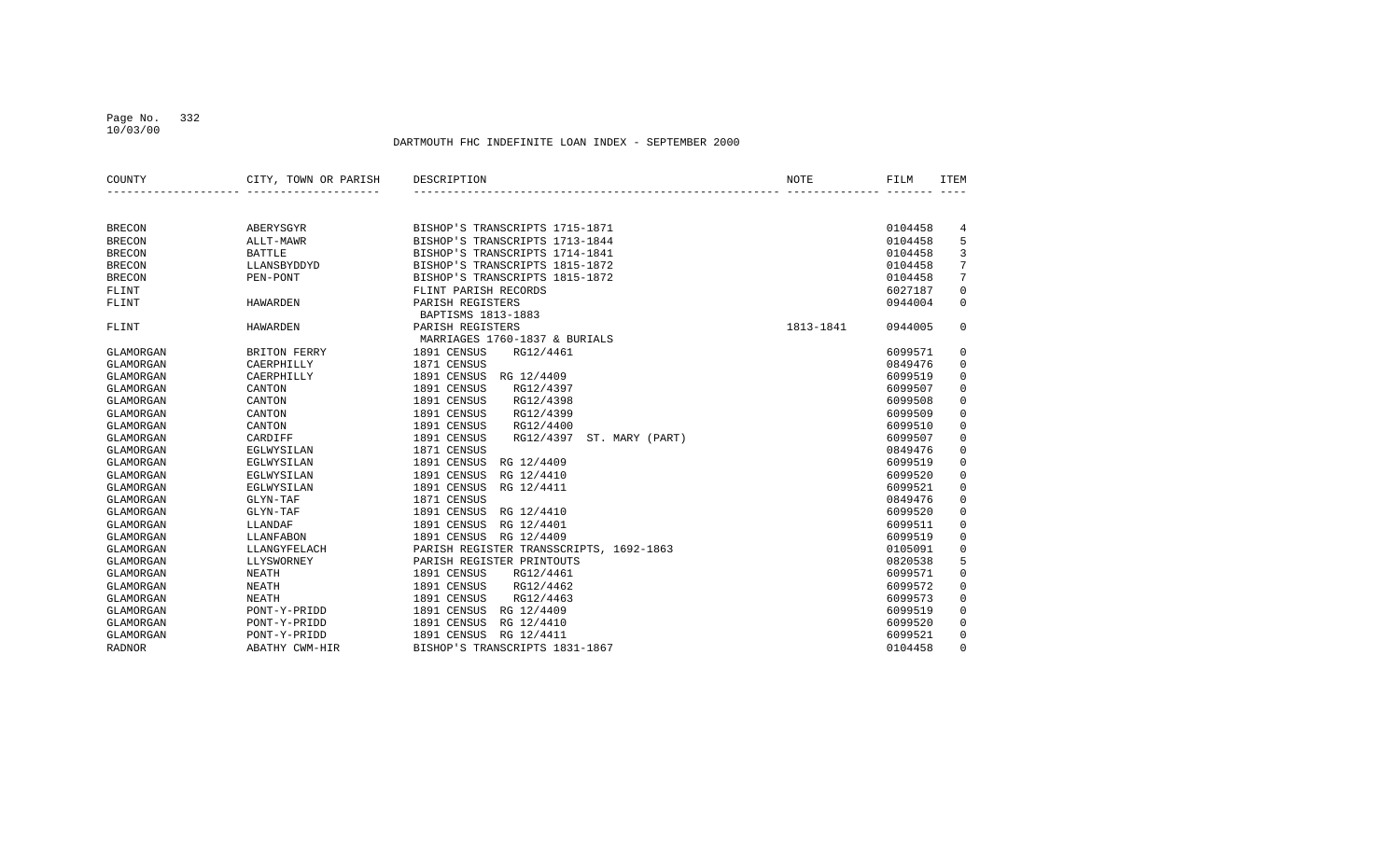## Page No. 332 10/03/00

| COUNTY        | CITY, TOWN OR PARISH | DESCRIPTION                              | NOTE      | FILM    | <b>ITEM</b> |
|---------------|----------------------|------------------------------------------|-----------|---------|-------------|
|               |                      |                                          |           |         |             |
| <b>BRECON</b> | ABERYSGYR            | BISHOP'S TRANSCRIPTS 1715-1871           |           | 0104458 | 4           |
| <b>BRECON</b> | ALLT-MAWR            | BISHOP'S TRANSCRIPTS 1713-1844           |           | 0104458 | 5           |
| <b>BRECON</b> | <b>BATTLE</b>        | BISHOP'S TRANSCRIPTS 1714-1841           |           | 0104458 | 3           |
| <b>BRECON</b> | LLANSBYDDYD          | BISHOP'S TRANSCRIPTS 1815-1872           |           | 0104458 | 7           |
| <b>BRECON</b> | PEN-PONT             | BISHOP'S TRANSCRIPTS 1815-1872           |           | 0104458 | 7           |
| FLINT         |                      | FLINT PARISH RECORDS                     |           | 6027187 | $\mathbf 0$ |
| FLINT         | <b>HAWARDEN</b>      | PARISH REGISTERS                         |           | 0944004 | $\mathbf 0$ |
|               |                      | BAPTISMS 1813-1883                       |           |         |             |
| FLINT         | <b>HAWARDEN</b>      | PARISH REGISTERS                         | 1813-1841 | 0944005 | $\mathbf 0$ |
|               |                      | MARRIAGES 1760-1837 & BURIALS            |           |         |             |
| GLAMORGAN     | BRITON FERRY         | 1891 CENSUS<br>RG12/4461                 |           | 6099571 | 0           |
| GLAMORGAN     | CAERPHILLY           | 1871 CENSUS                              |           | 0849476 | $\mathsf 0$ |
| GLAMORGAN     | CAERPHILLY           | 1891 CENSUS<br>RG 12/4409                |           | 6099519 | 0           |
| GLAMORGAN     | CANTON               | 1891 CENSUS<br>RG12/4397                 |           | 6099507 | 0           |
| GLAMORGAN     | CANTON               | 1891 CENSUS<br>RG12/4398                 |           | 6099508 | 0           |
| GLAMORGAN     | CANTON               | 1891 CENSUS<br>RG12/4399                 |           | 6099509 | $\mathbf 0$ |
| GLAMORGAN     | CANTON               | 1891 CENSUS<br>RG12/4400                 |           | 6099510 | $\mathsf 0$ |
| GLAMORGAN     | CARDIFF              | 1891 CENSUS<br>RG12/4397 ST. MARY (PART) |           | 6099507 | 0           |
| GLAMORGAN     | EGLWYSILAN           | 1871 CENSUS                              |           | 0849476 | $\mathbf 0$ |
| GLAMORGAN     | EGLWYSILAN           | 1891 CENSUS<br>RG 12/4409                |           | 6099519 | 0           |
| GLAMORGAN     | EGLWYSILAN           | 1891 CENSUS<br>RG 12/4410                |           | 6099520 | 0           |
| GLAMORGAN     | EGLWYSILAN           | 1891 CENSUS<br>RG 12/4411                |           | 6099521 | $\mathbf 0$ |
| GLAMORGAN     | GLYN-TAF             | 1871 CENSUS                              |           | 0849476 | $\mathbf 0$ |
| GLAMORGAN     | GLYN-TAF             | 1891 CENSUS<br>RG 12/4410                |           | 6099520 | $\mathbf 0$ |
| GLAMORGAN     | LLANDAF              | 1891 CENSUS<br>RG 12/4401                |           | 6099511 | 0           |
| GLAMORGAN     | LLANFABON            | 1891 CENSUS<br>RG 12/4409                |           | 6099519 | 0           |
| GLAMORGAN     | LLANGYFELACH         | PARISH REGISTER TRANSSCRIPTS, 1692-1863  |           | 0105091 | $\mathsf 0$ |
| GLAMORGAN     | LLYSWORNEY           | PARISH REGISTER PRINTOUTS                |           | 0820538 | 5           |
| GLAMORGAN     | <b>NEATH</b>         | RG12/4461<br>1891 CENSUS                 |           | 6099571 | 0           |
| GLAMORGAN     | <b>NEATH</b>         | 1891 CENSUS<br>RG12/4462                 |           | 6099572 | $\mathbf 0$ |
| GLAMORGAN     | <b>NEATH</b>         | 1891 CENSUS<br>RG12/4463                 |           | 6099573 | $\mathbf 0$ |
| GLAMORGAN     | PONT-Y-PRIDD         | 1891 CENSUS<br>RG 12/4409                |           | 6099519 | $\mathbf 0$ |
| GLAMORGAN     | PONT-Y-PRIDD         | 1891 CENSUS<br>RG 12/4410                |           | 6099520 | $\mathbf 0$ |
| GLAMORGAN     | PONT-Y-PRIDD         | 1891 CENSUS<br>RG 12/4411                |           | 6099521 | 0           |
| <b>RADNOR</b> | ABATHY CWM-HIR       | BISHOP'S TRANSCRIPTS 1831-1867           |           | 0104458 | $\mathbf 0$ |